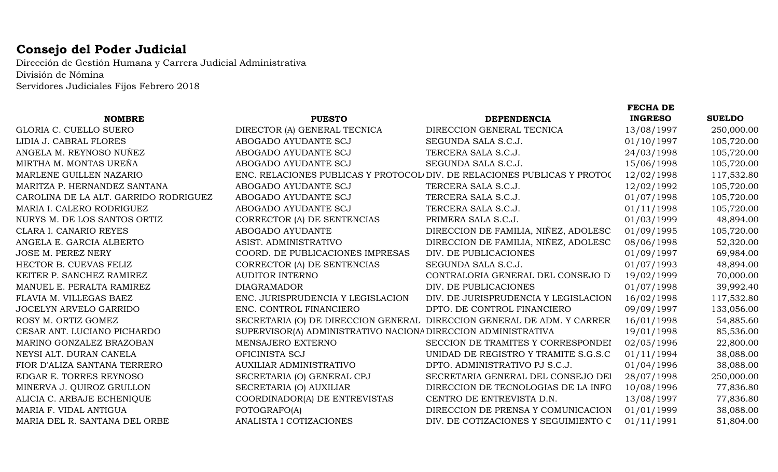## **Consejo del Poder Judicial**

Dirección de Gestión Humana y Carrera Judicial Administrativa División de Nómina Servidores Judiciales Fijos Febrero 2018

|                                       |                                                               |                                                                          | <b>FECHA DE</b> |               |
|---------------------------------------|---------------------------------------------------------------|--------------------------------------------------------------------------|-----------------|---------------|
| <b>NOMBRE</b>                         | <b>PUESTO</b>                                                 | <b>DEPENDENCIA</b>                                                       | <b>INGRESO</b>  | <b>SUELDO</b> |
| GLORIA C. CUELLO SUERO                | DIRECTOR (A) GENERAL TECNICA                                  | DIRECCION GENERAL TECNICA                                                | 13/08/1997      | 250,000.00    |
| LIDIA J. CABRAL FLORES                | ABOGADO AYUDANTE SCJ                                          | SEGUNDA SALA S.C.J.                                                      | 01/10/1997      | 105,720.00    |
| ANGELA M. REYNOSO NUÑEZ               | ABOGADO AYUDANTE SCJ                                          | TERCERA SALA S.C.J.                                                      | 24/03/1998      | 105,720.00    |
| MIRTHA M. MONTAS UREÑA                | ABOGADO AYUDANTE SCJ                                          | SEGUNDA SALA S.C.J.                                                      | 15/06/1998      | 105,720.00    |
| MARLENE GUILLEN NAZARIO               |                                                               | ENC. RELACIONES PUBLICAS Y PROTOCOL DIV. DE RELACIONES PUBLICAS Y PROTOC | 12/02/1998      | 117,532.80    |
| MARITZA P. HERNANDEZ SANTANA          | ABOGADO AYUDANTE SCJ                                          | TERCERA SALA S.C.J.                                                      | 12/02/1992      | 105,720.00    |
| CAROLINA DE LA ALT. GARRIDO RODRIGUEZ | ABOGADO AYUDANTE SCJ                                          | TERCERA SALA S.C.J.                                                      | 01/07/1998      | 105,720.00    |
| MARIA I. CALERO RODRIGUEZ             | ABOGADO AYUDANTE SCJ                                          | TERCERA SALA S.C.J.                                                      | 01/11/1998      | 105,720.00    |
| NURYS M. DE LOS SANTOS ORTIZ          | CORRECTOR (A) DE SENTENCIAS                                   | PRIMERA SALA S.C.J.                                                      | 01/03/1999      | 48,894.00     |
| CLARA I. CANARIO REYES                | ABOGADO AYUDANTE                                              | DIRECCION DE FAMILIA, NIÑEZ, ADOLESC                                     | 01/09/1995      | 105,720.00    |
| ANGELA E. GARCIA ALBERTO              | ASIST. ADMINISTRATIVO                                         | DIRECCION DE FAMILIA, NIÑEZ, ADOLESC                                     | 08/06/1998      | 52,320.00     |
| <b>JOSE M. PEREZ NERY</b>             | COORD. DE PUBLICACIONES IMPRESAS                              | DIV. DE PUBLICACIONES                                                    | 01/09/1997      | 69,984.00     |
| HECTOR B. CUEVAS FELIZ                | CORRECTOR (A) DE SENTENCIAS                                   | SEGUNDA SALA S.C.J.                                                      | 01/07/1993      | 48,894.00     |
| KEITER P. SANCHEZ RAMIREZ             | <b>AUDITOR INTERNO</b>                                        | CONTRALORIA GENERAL DEL CONSEJO D                                        | 19/02/1999      | 70,000.00     |
| MANUEL E. PERALTA RAMIREZ             | <b>DIAGRAMADOR</b>                                            | DIV. DE PUBLICACIONES                                                    | 01/07/1998      | 39,992.40     |
| FLAVIA M. VILLEGAS BAEZ               | ENC. JURISPRUDENCIA Y LEGISLACION                             | DIV. DE JURISPRUDENCIA Y LEGISLACION                                     | 16/02/1998      | 117,532.80    |
| JOCELYN ARVELO GARRIDO                | ENC. CONTROL FINANCIERO                                       | DPTO. DE CONTROL FINANCIERO                                              | 09/09/1997      | 133,056.00    |
| ROSY M. ORTIZ GOMEZ                   |                                                               | SECRETARIA (O) DE DIRECCION GENERAL DIRECCION GENERAL DE ADM. Y CARRER   | 16/01/1998      | 54,885.60     |
| CESAR ANT. LUCIANO PICHARDO           | SUPERVISOR(A) ADMINISTRATIVO NACIONA DIRECCION ADMINISTRATIVA |                                                                          | 19/01/1998      | 85,536.00     |
| MARINO GONZALEZ BRAZOBAN              | MENSAJERO EXTERNO                                             | SECCION DE TRAMITES Y CORRESPONDEI                                       | 02/05/1996      | 22,800.00     |
| NEYSI ALT. DURAN CANELA               | OFICINISTA SCJ                                                | UNIDAD DE REGISTRO Y TRAMITE S.G.S.C                                     | 01/11/1994      | 38,088.00     |
| FIOR D'ALIZA SANTANA TERRERO          | AUXILIAR ADMINISTRATIVO                                       | DPTO. ADMINISTRATIVO PJ S.C.J.                                           | 01/04/1996      | 38,088.00     |
| EDGAR E. TORRES REYNOSO               | SECRETARIA (O) GENERAL CPJ                                    | SECRETARIA GENERAL DEL CONSEJO DEI                                       | 28/07/1998      | 250,000.00    |
| MINERVA J. QUIROZ GRULLON             | SECRETARIA (O) AUXILIAR                                       | DIRECCION DE TECNOLOGIAS DE LA INFO                                      | 10/08/1996      | 77,836.80     |
| ALICIA C. ARBAJE ECHENIQUE            | COORDINADOR(A) DE ENTREVISTAS                                 | CENTRO DE ENTREVISTA D.N.                                                | 13/08/1997      | 77,836.80     |
| MARIA F. VIDAL ANTIGUA                | FOTOGRAFO(A)                                                  | DIRECCION DE PRENSA Y COMUNICACION                                       | 01/01/1999      | 38,088.00     |
| MARIA DEL R. SANTANA DEL ORBE         | ANALISTA I COTIZACIONES                                       | DIV. DE COTIZACIONES Y SEGUIMIENTO C                                     | 01/11/1991      | 51,804.00     |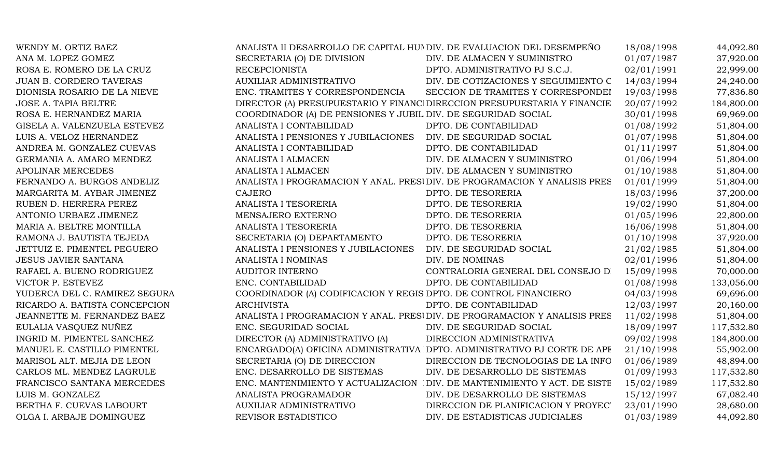| WENDY M. ORTIZ BAEZ            | ANALISTA II DESARROLLO DE CAPITAL HUI DIV. DE EVALUACION DEL DESEMPEÑO |                                                                           | 18/08/1998 | 44,092.80  |
|--------------------------------|------------------------------------------------------------------------|---------------------------------------------------------------------------|------------|------------|
| ANA M. LOPEZ GOMEZ             | SECRETARIA (O) DE DIVISION                                             | DIV. DE ALMACEN Y SUMINISTRO                                              | 01/07/1987 | 37,920.00  |
| ROSA E. ROMERO DE LA CRUZ      | <b>RECEPCIONISTA</b>                                                   | DPTO. ADMINISTRATIVO PJ S.C.J.                                            | 02/01/1991 | 22,999.00  |
| <b>JUAN B. CORDERO TAVERAS</b> | AUXILIAR ADMINISTRATIVO                                                | DIV. DE COTIZACIONES Y SEGUIMIENTO C                                      | 14/03/1994 | 24,240.00  |
| DIONISIA ROSARIO DE LA NIEVE   | ENC. TRAMITES Y CORRESPONDENCIA                                        | SECCION DE TRAMITES Y CORRESPONDEI                                        | 19/03/1998 | 77,836.80  |
| JOSE A. TAPIA BELTRE           |                                                                        | DIRECTOR (A) PRESUPUESTARIO Y FINANCI DIRECCION PRESUPUESTARIA Y FINANCIE | 20/07/1992 | 184,800.00 |
| ROSA E. HERNANDEZ MARIA        | COORDINADOR (A) DE PENSIONES Y JUBIL DIV. DE SEGURIDAD SOCIAL          |                                                                           | 30/01/1998 | 69,969.00  |
| GISELA A. VALENZUELA ESTEVEZ   | ANALISTA I CONTABILIDAD                                                | DPTO. DE CONTABILIDAD                                                     | 01/08/1992 | 51,804.00  |
| LUIS A. VELOZ HERNANDEZ        | ANALISTA I PENSIONES Y JUBILACIONES                                    | DIV. DE SEGURIDAD SOCIAL                                                  | 01/07/1998 | 51,804.00  |
| ANDREA M. GONZALEZ CUEVAS      | ANALISTA I CONTABILIDAD                                                | DPTO. DE CONTABILIDAD                                                     | 01/11/1997 | 51,804.00  |
| GERMANIA A. AMARO MENDEZ       | ANALISTA I ALMACEN                                                     | DIV. DE ALMACEN Y SUMINISTRO                                              | 01/06/1994 | 51,804.00  |
| APOLINAR MERCEDES              | ANALISTA I ALMACEN                                                     | DIV. DE ALMACEN Y SUMINISTRO                                              | 01/10/1988 | 51,804.00  |
| FERNANDO A. BURGOS ANDELIZ     |                                                                        | ANALISTA I PROGRAMACION Y ANAL. PRESUDIV. DE PROGRAMACION Y ANALISIS PRES | 01/01/1999 | 51,804.00  |
| MARGARITA M. AYBAR JIMENEZ     | <b>CAJERO</b>                                                          | DPTO. DE TESORERIA                                                        | 18/03/1996 | 37,200.00  |
| RUBEN D. HERRERA PEREZ         | ANALISTA I TESORERIA                                                   | DPTO. DE TESORERIA                                                        | 19/02/1990 | 51,804.00  |
| ANTONIO URBAEZ JIMENEZ         | MENSAJERO EXTERNO                                                      | DPTO. DE TESORERIA                                                        | 01/05/1996 | 22,800.00  |
| MARIA A. BELTRE MONTILLA       | ANALISTA I TESORERIA                                                   | DPTO. DE TESORERIA                                                        | 16/06/1998 | 51,804.00  |
| RAMONA J. BAUTISTA TEJEDA      | SECRETARIA (O) DEPARTAMENTO                                            | DPTO. DE TESORERIA                                                        | 01/10/1998 | 37,920.00  |
| JETTUIZ E. PIMENTEL PEGUERO    | ANALISTA I PENSIONES Y JUBILACIONES                                    | DIV. DE SEGURIDAD SOCIAL                                                  | 21/02/1985 | 51,804.00  |
| <b>JESUS JAVIER SANTANA</b>    | ANALISTA I NOMINAS                                                     | DIV. DE NOMINAS                                                           | 02/01/1996 | 51,804.00  |
| RAFAEL A. BUENO RODRIGUEZ      | <b>AUDITOR INTERNO</b>                                                 | CONTRALORIA GENERAL DEL CONSEJO D                                         | 15/09/1998 | 70,000.00  |
| VICTOR P. ESTEVEZ              | ENC. CONTABILIDAD                                                      | DPTO. DE CONTABILIDAD                                                     | 01/08/1998 | 133,056.00 |
| YUDERCA DEL C. RAMIREZ SEGURA  | COORDINADOR (A) CODIFICACION Y REGIS DPTO. DE CONTROL FINANCIERO       |                                                                           | 04/03/1998 | 69,696.00  |
| RICARDO A. BATISTA CONCEPCION  | <b>ARCHIVISTA</b>                                                      | DPTO. DE CONTABILIDAD                                                     | 12/03/1997 | 20,160.00  |
| JEANNETTE M. FERNANDEZ BAEZ    |                                                                        | ANALISTA I PROGRAMACION Y ANAL. PRESIDIV. DE PROGRAMACION Y ANALISIS PRES | 11/02/1998 | 51,804.00  |
| EULALIA VASQUEZ NUÑEZ          | ENC. SEGURIDAD SOCIAL                                                  | DIV. DE SEGURIDAD SOCIAL                                                  | 18/09/1997 | 117,532.80 |
| INGRID M. PIMENTEL SANCHEZ     | DIRECTOR (A) ADMINISTRATIVO (A)                                        | DIRECCION ADMINISTRATIVA                                                  | 09/02/1998 | 184,800.00 |
| MANUEL E. CASTILLO PIMENTEL    |                                                                        | ENCARGADO(A) OFICINA ADMINISTRATIVA DPTO. ADMINISTRATIVO PJ CORTE DE APF  | 21/10/1998 | 55,902.00  |
| MARISOL ALT. MEJIA DE LEON     | SECRETARIA (O) DE DIRECCION                                            | DIRECCION DE TECNOLOGIAS DE LA INFO                                       | 01/06/1989 | 48,894.00  |
| CARLOS ML. MENDEZ LAGRULE      | ENC. DESARROLLO DE SISTEMAS                                            | DIV. DE DESARROLLO DE SISTEMAS                                            | 01/09/1993 | 117,532.80 |
| FRANCISCO SANTANA MERCEDES     |                                                                        | ENC. MANTENIMIENTO Y ACTUALIZACION DIV. DE MANTENIMIENTO Y ACT. DE SISTE  | 15/02/1989 | 117,532.80 |
| LUIS M. GONZALEZ               | ANALISTA PROGRAMADOR                                                   | DIV. DE DESARROLLO DE SISTEMAS                                            | 15/12/1997 | 67,082.40  |
| BERTHA F. CUEVAS LABOURT       | <b>AUXILIAR ADMINISTRATIVO</b>                                         | DIRECCION DE PLANIFICACION Y PROYEC'                                      | 23/01/1990 | 28,680.00  |
| OLGA I. ARBAJE DOMINGUEZ       | REVISOR ESTADISTICO                                                    | DIV. DE ESTADISTICAS JUDICIALES                                           | 01/03/1989 | 44,092.80  |
|                                |                                                                        |                                                                           |            |            |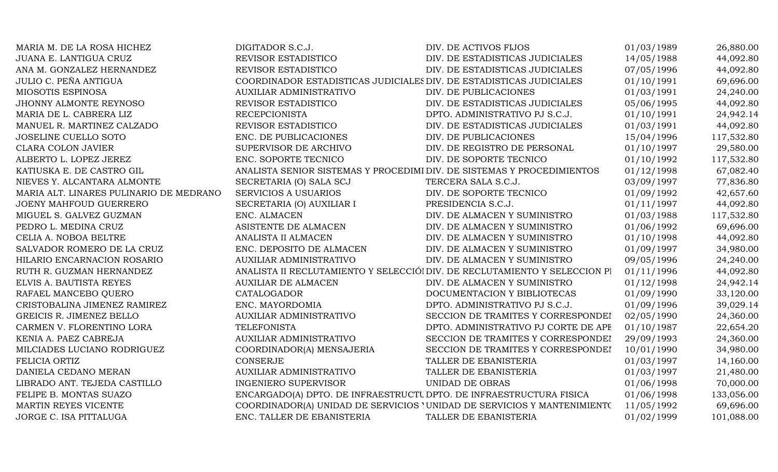| MARIA M. DE LA ROSA HICHEZ              | DIGITADOR S.C.J.                                                       | DIV. DE ACTIVOS FIJOS                                                      | 01/03/1989 | 26,880.00  |
|-----------------------------------------|------------------------------------------------------------------------|----------------------------------------------------------------------------|------------|------------|
| <b>JUANA E. LANTIGUA CRUZ</b>           | REVISOR ESTADISTICO                                                    | DIV. DE ESTADISTICAS JUDICIALES                                            | 14/05/1988 | 44,092.80  |
| ANA M. GONZALEZ HERNANDEZ               | REVISOR ESTADISTICO                                                    | DIV. DE ESTADISTICAS JUDICIALES                                            | 07/05/1996 | 44,092.80  |
| JULIO C. PEÑA ANTIGUA                   | COORDINADOR ESTADISTICAS JUDICIALES DIV. DE ESTADISTICAS JUDICIALES    |                                                                            | 01/10/1991 | 69,696.00  |
| MIOSOTIS ESPINOSA                       | AUXILIAR ADMINISTRATIVO                                                | DIV. DE PUBLICACIONES                                                      | 01/03/1991 | 24,240.00  |
| JHONNY ALMONTE REYNOSO                  | REVISOR ESTADISTICO                                                    | DIV. DE ESTADISTICAS JUDICIALES                                            | 05/06/1995 | 44,092.80  |
| MARIA DE L. CABRERA LIZ                 | <b>RECEPCIONISTA</b>                                                   | DPTO. ADMINISTRATIVO PJ S.C.J.                                             | 01/10/1991 | 24,942.14  |
| MANUEL R. MARTINEZ CALZADO              | REVISOR ESTADISTICO                                                    | DIV. DE ESTADISTICAS JUDICIALES                                            | 01/03/1991 | 44,092.80  |
| JOSELINE CUELLO SOTO                    | ENC. DE PUBLICACIONES                                                  | DIV. DE PUBLICACIONES                                                      | 15/04/1996 | 117,532.80 |
| <b>CLARA COLON JAVIER</b>               | SUPERVISOR DE ARCHIVO                                                  | DIV. DE REGISTRO DE PERSONAL                                               | 01/10/1997 | 29,580.00  |
| ALBERTO L. LOPEZ JEREZ                  | ENC. SOPORTE TECNICO                                                   | DIV. DE SOPORTE TECNICO                                                    | 01/10/1992 | 117,532.80 |
| KATIUSKA E. DE CASTRO GIL               | ANALISTA SENIOR SISTEMAS Y PROCEDIMI DIV. DE SISTEMAS Y PROCEDIMIENTOS |                                                                            | 01/12/1998 | 67,082.40  |
| NIEVES Y. ALCANTARA ALMONTE             | SECRETARIA (O) SALA SCJ                                                | TERCERA SALA S.C.J.                                                        | 03/09/1997 | 77,836.80  |
| MARIA ALT. LINARES PULINARIO DE MEDRANO | <b>SERVICIOS A USUARIOS</b>                                            | DIV. DE SOPORTE TECNICO                                                    | 01/09/1992 | 42,657.60  |
| <b>JOENY MAHFOUD GUERRERO</b>           | SECRETARIA (O) AUXILIAR I                                              | PRESIDENCIA S.C.J.                                                         | 01/11/1997 | 44,092.80  |
| MIGUEL S. GALVEZ GUZMAN                 | ENC. ALMACEN                                                           | DIV. DE ALMACEN Y SUMINISTRO                                               | 01/03/1988 | 117,532.80 |
| PEDRO L. MEDINA CRUZ                    | ASISTENTE DE ALMACEN                                                   | DIV. DE ALMACEN Y SUMINISTRO                                               | 01/06/1992 | 69,696.00  |
| CELIA A. NOBOA BELTRE                   | ANALISTA II ALMACEN                                                    | DIV. DE ALMACEN Y SUMINISTRO                                               | 01/10/1998 | 44,092.80  |
| SALVADOR ROMERO DE LA CRUZ              | ENC. DEPOSITO DE ALMACEN                                               | DIV. DE ALMACEN Y SUMINISTRO                                               | 01/09/1997 | 34,980.00  |
| HILARIO ENCARNACION ROSARIO             | AUXILIAR ADMINISTRATIVO                                                | DIV. DE ALMACEN Y SUMINISTRO                                               | 09/05/1996 | 24,240.00  |
| RUTH R. GUZMAN HERNANDEZ                |                                                                        | ANALISTA II RECLUTAMIENTO Y SELECCIÓI DIV. DE RECLUTAMIENTO Y SELECCION PI | 01/11/1996 | 44,092.80  |
| ELVIS A. BAUTISTA REYES                 | <b>AUXILIAR DE ALMACEN</b>                                             | DIV. DE ALMACEN Y SUMINISTRO                                               | 01/12/1998 | 24,942.14  |
| RAFAEL MANCEBO QUERO                    | CATALOGADOR                                                            | DOCUMENTACION Y BIBLIOTECAS                                                | 01/09/1990 | 33,120.00  |
| CRISTOBALINA JIMENEZ RAMIREZ            | ENC. MAYORDOMIA                                                        | DPTO. ADMINISTRATIVO PJ S.C.J.                                             | 01/09/1996 | 39,029.14  |
| GREICIS R. JIMENEZ BELLO                | <b>AUXILIAR ADMINISTRATIVO</b>                                         | SECCION DE TRAMITES Y CORRESPONDEI                                         | 02/05/1990 | 24,360.00  |
| CARMEN V. FLORENTINO LORA               | <b>TELEFONISTA</b>                                                     | DPTO. ADMINISTRATIVO PJ CORTE DE APE                                       | 01/10/1987 | 22,654.20  |
| KENIA A. PAEZ CABREJA                   | <b>AUXILIAR ADMINISTRATIVO</b>                                         | SECCION DE TRAMITES Y CORRESPONDEI                                         | 29/09/1993 | 24,360.00  |
| MILCIADES LUCIANO RODRIGUEZ             | COORDINADOR(A) MENSAJERIA                                              | SECCION DE TRAMITES Y CORRESPONDEI                                         | 10/01/1990 | 34,980.00  |
| FELICIA ORTIZ                           | <b>CONSERJE</b>                                                        | TALLER DE EBANISTERIA                                                      | 01/03/1997 | 14,160.00  |
| DANIELA CEDANO MERAN                    | AUXILIAR ADMINISTRATIVO                                                | TALLER DE EBANISTERIA                                                      | 01/03/1997 | 21,480.00  |
| LIBRADO ANT. TEJEDA CASTILLO            | <b>INGENIERO SUPERVISOR</b>                                            | UNIDAD DE OBRAS                                                            | 01/06/1998 | 70,000.00  |
| FELIPE B. MONTAS SUAZO                  | ENCARGADO(A) DPTO. DE INFRAESTRUCTU DPTO. DE INFRAESTRUCTURA FISICA    |                                                                            | 01/06/1998 | 133,056.00 |
| MARTIN REYES VICENTE                    |                                                                        | COORDINADOR(A) UNIDAD DE SERVICIOS 'UNIDAD DE SERVICIOS Y MANTENIMIENTO    | 11/05/1992 | 69,696.00  |
| JORGE C. ISA PITTALUGA                  | ENC. TALLER DE EBANISTERIA                                             | TALLER DE EBANISTERIA                                                      | 01/02/1999 | 101,088.00 |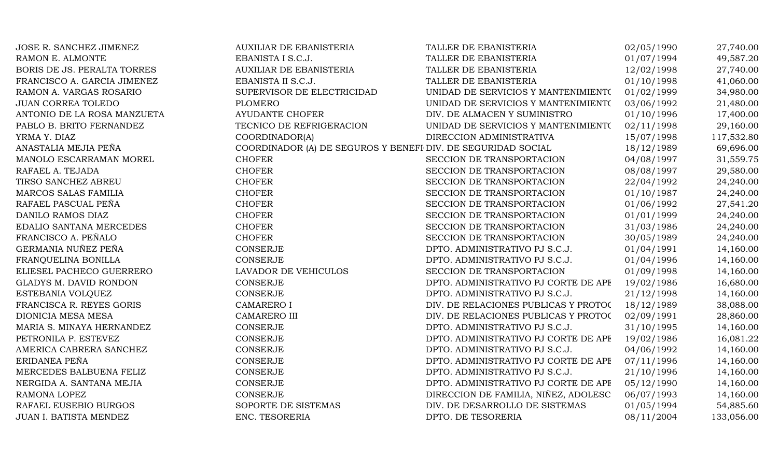| JOSE R. SANCHEZ JIMENEZ       | <b>AUXILIAR DE EBANISTERIA</b>                               | TALLER DE EBANISTERIA                | 02/05/1990 | 27,740.00  |
|-------------------------------|--------------------------------------------------------------|--------------------------------------|------------|------------|
| RAMON E. ALMONTE              | EBANISTA I S.C.J.                                            | TALLER DE EBANISTERIA                | 01/07/1994 | 49,587.20  |
| BORIS DE JS. PERALTA TORRES   | <b>AUXILIAR DE EBANISTERIA</b>                               | TALLER DE EBANISTERIA                | 12/02/1998 | 27,740.00  |
| FRANCISCO A. GARCIA JIMENEZ   | EBANISTA II S.C.J.                                           | TALLER DE EBANISTERIA                | 01/10/1998 | 41,060.00  |
| RAMON A. VARGAS ROSARIO       | SUPERVISOR DE ELECTRICIDAD                                   | UNIDAD DE SERVICIOS Y MANTENIMIENTO  | 01/02/1999 | 34,980.00  |
| <b>JUAN CORREA TOLEDO</b>     | <b>PLOMERO</b>                                               | UNIDAD DE SERVICIOS Y MANTENIMIENTO  | 03/06/1992 | 21,480.00  |
| ANTONIO DE LA ROSA MANZUETA   | <b>AYUDANTE CHOFER</b>                                       | DIV. DE ALMACEN Y SUMINISTRO         | 01/10/1996 | 17,400.00  |
| PABLO B. BRITO FERNANDEZ      | TECNICO DE REFRIGERACION                                     | UNIDAD DE SERVICIOS Y MANTENIMIENT(  | 02/11/1998 | 29,160.00  |
| YRMA Y. DIAZ                  | COORDINADOR(A)                                               | DIRECCION ADMINISTRATIVA             | 15/07/1998 | 117,532.80 |
| ANASTALIA MEJIA PEÑA          | COORDINADOR (A) DE SEGUROS Y BENEFI DIV. DE SEGURIDAD SOCIAL |                                      | 18/12/1989 | 69,696.00  |
| MANOLO ESCARRAMAN MOREL       | <b>CHOFER</b>                                                | SECCION DE TRANSPORTACION            | 04/08/1997 | 31,559.75  |
| RAFAEL A. TEJADA              | <b>CHOFER</b>                                                | SECCION DE TRANSPORTACION            | 08/08/1997 | 29,580.00  |
| TIRSO SANCHEZ ABREU           | <b>CHOFER</b>                                                | SECCION DE TRANSPORTACION            | 22/04/1992 | 24,240.00  |
| MARCOS SALAS FAMILIA          | <b>CHOFER</b>                                                | SECCION DE TRANSPORTACION            | 01/10/1987 | 24,240.00  |
| RAFAEL PASCUAL PEÑA           | <b>CHOFER</b>                                                | SECCION DE TRANSPORTACION            | 01/06/1992 | 27,541.20  |
| DANILO RAMOS DIAZ             | <b>CHOFER</b>                                                | SECCION DE TRANSPORTACION            | 01/01/1999 | 24,240.00  |
| EDALIO SANTANA MERCEDES       | <b>CHOFER</b>                                                | SECCION DE TRANSPORTACION            | 31/03/1986 | 24,240.00  |
| FRANCISCO A. PEÑALO           | <b>CHOFER</b>                                                | SECCION DE TRANSPORTACION            | 30/05/1989 | 24,240.00  |
| GERMANIA NUÑEZ PEÑA           | <b>CONSERJE</b>                                              | DPTO. ADMINISTRATIVO PJ S.C.J.       | 01/04/1991 | 14,160.00  |
| FRANQUELINA BONILLA           | CONSERJE                                                     | DPTO. ADMINISTRATIVO PJ S.C.J.       | 01/04/1996 | 14,160.00  |
| ELIESEL PACHECO GUERRERO      | LAVADOR DE VEHICULOS                                         | SECCION DE TRANSPORTACION            | 01/09/1998 | 14,160.00  |
| <b>GLADYS M. DAVID RONDON</b> | <b>CONSERJE</b>                                              | DPTO. ADMINISTRATIVO PJ CORTE DE APE | 19/02/1986 | 16,680.00  |
| ESTEBANIA VOLQUEZ             | <b>CONSERJE</b>                                              | DPTO. ADMINISTRATIVO PJ S.C.J.       | 21/12/1998 | 14,160.00  |
| FRANCISCA R. REYES GORIS      | <b>CAMARERO I</b>                                            | DIV. DE RELACIONES PUBLICAS Y PROTOC | 18/12/1989 | 38,088.00  |
| DIONICIA MESA MESA            | CAMARERO III                                                 | DIV. DE RELACIONES PUBLICAS Y PROTOC | 02/09/1991 | 28,860.00  |
| MARIA S. MINAYA HERNANDEZ     | <b>CONSERJE</b>                                              | DPTO. ADMINISTRATIVO PJ S.C.J.       | 31/10/1995 | 14,160.00  |
| PETRONILA P. ESTEVEZ          | CONSERJE                                                     | DPTO. ADMINISTRATIVO PJ CORTE DE APE | 19/02/1986 | 16,081.22  |
| AMERICA CABRERA SANCHEZ       | <b>CONSERJE</b>                                              | DPTO. ADMINISTRATIVO PJ S.C.J.       | 04/06/1992 | 14,160.00  |
| ERIDANEA PEÑA                 | <b>CONSERJE</b>                                              | DPTO. ADMINISTRATIVO PJ CORTE DE APE | 07/11/1996 | 14,160.00  |
| MERCEDES BALBUENA FELIZ       | CONSERJE                                                     | DPTO. ADMINISTRATIVO PJ S.C.J.       | 21/10/1996 | 14,160.00  |
| NERGIDA A. SANTANA MEJIA      | <b>CONSERJE</b>                                              | DPTO. ADMINISTRATIVO PJ CORTE DE APF | 05/12/1990 | 14,160.00  |
| RAMONA LOPEZ                  | <b>CONSERJE</b>                                              | DIRECCION DE FAMILIA, NIÑEZ, ADOLESC | 06/07/1993 | 14,160.00  |
| RAFAEL EUSEBIO BURGOS         | SOPORTE DE SISTEMAS                                          | DIV. DE DESARROLLO DE SISTEMAS       | 01/05/1994 | 54,885.60  |
| JUAN I. BATISTA MENDEZ        | ENC. TESORERIA                                               | DPTO. DE TESORERIA                   | 08/11/2004 | 133,056.00 |
|                               |                                                              |                                      |            |            |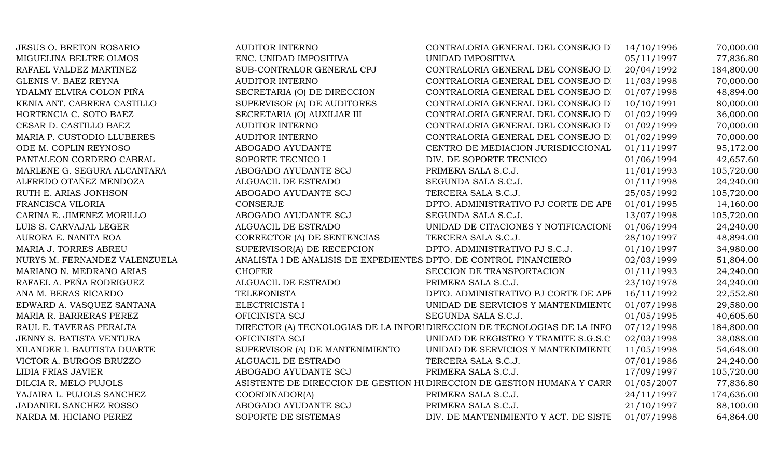| <b>JESUS O. BRETON ROSARIO</b> | <b>AUDITOR INTERNO</b>                                            | CONTRALORIA GENERAL DEL CONSEJO D                                         | 14/10/1996 | 70,000.00  |
|--------------------------------|-------------------------------------------------------------------|---------------------------------------------------------------------------|------------|------------|
| MIGUELINA BELTRE OLMOS         | ENC. UNIDAD IMPOSITIVA                                            | UNIDAD IMPOSITIVA                                                         | 05/11/1997 | 77,836.80  |
| RAFAEL VALDEZ MARTINEZ         | SUB-CONTRALOR GENERAL CPJ                                         | CONTRALORIA GENERAL DEL CONSEJO DI                                        | 20/04/1992 | 184,800.00 |
| <b>GLENIS V. BAEZ REYNA</b>    | <b>AUDITOR INTERNO</b>                                            | CONTRALORIA GENERAL DEL CONSEJO D                                         | 11/03/1998 | 70,000.00  |
| YDALMY ELVIRA COLON PIÑA       | SECRETARIA (O) DE DIRECCION                                       | CONTRALORIA GENERAL DEL CONSEJO D                                         | 01/07/1998 | 48,894.00  |
| KENIA ANT. CABRERA CASTILLO    | SUPERVISOR (A) DE AUDITORES                                       | CONTRALORIA GENERAL DEL CONSEJO DI                                        | 10/10/1991 | 80,000.00  |
| HORTENCIA C. SOTO BAEZ         | SECRETARIA (O) AUXILIAR III                                       | CONTRALORIA GENERAL DEL CONSEJO D                                         | 01/02/1999 | 36,000.00  |
| CESAR D. CASTILLO BAEZ         | <b>AUDITOR INTERNO</b>                                            | CONTRALORIA GENERAL DEL CONSEJO D                                         | 01/02/1999 | 70,000.00  |
| MARIA P. CUSTODIO LLUBERES     | <b>AUDITOR INTERNO</b>                                            | CONTRALORIA GENERAL DEL CONSEJO D                                         | 01/02/1999 | 70,000.00  |
| ODE M. COPLIN REYNOSO          | ABOGADO AYUDANTE                                                  | CENTRO DE MEDIACION JURISDICCIONAL                                        | 01/11/1997 | 95,172.00  |
| PANTALEON CORDERO CABRAL       | SOPORTE TECNICO I                                                 | DIV. DE SOPORTE TECNICO                                                   | 01/06/1994 | 42,657.60  |
| MARLENE G. SEGURA ALCANTARA    | ABOGADO AYUDANTE SCJ                                              | PRIMERA SALA S.C.J.                                                       | 11/01/1993 | 105,720.00 |
| ALFREDO OTAÑEZ MENDOZA         | ALGUACIL DE ESTRADO                                               | SEGUNDA SALA S.C.J.                                                       | 01/11/1998 | 24,240.00  |
| RUTH E. ARIAS JONHSON          | ABOGADO AYUDANTE SCJ                                              | TERCERA SALA S.C.J.                                                       | 25/05/1992 | 105,720.00 |
| FRANCISCA VILORIA              | <b>CONSERJE</b>                                                   | DPTO. ADMINISTRATIVO PJ CORTE DE APF                                      | 01/01/1995 | 14,160.00  |
| CARINA E. JIMENEZ MORILLO      | ABOGADO AYUDANTE SCJ                                              | SEGUNDA SALA S.C.J.                                                       | 13/07/1998 | 105,720.00 |
| LUIS S. CARVAJAL LEGER         | ALGUACIL DE ESTRADO                                               | UNIDAD DE CITACIONES Y NOTIFICACIONI                                      | 01/06/1994 | 24,240.00  |
| AURORA E. NANITA ROA           | CORRECTOR (A) DE SENTENCIAS                                       | TERCERA SALA S.C.J.                                                       | 28/10/1997 | 48,894.00  |
| MARIA J. TORRES ABREU          | SUPERVISOR(A) DE RECEPCION                                        | DPTO. ADMINISTRATIVO PJ S.C.J.                                            | 01/10/1997 | 34,980.00  |
| NURYS M. FERNANDEZ VALENZUELA  | ANALISTA I DE ANALISIS DE EXPEDIENTES DPTO. DE CONTROL FINANCIERO |                                                                           | 02/03/1999 | 51,804.00  |
| MARIANO N. MEDRANO ARIAS       | <b>CHOFER</b>                                                     | SECCION DE TRANSPORTACION                                                 | 01/11/1993 | 24,240.00  |
| RAFAEL A. PEÑA RODRIGUEZ       | ALGUACIL DE ESTRADO                                               | PRIMERA SALA S.C.J.                                                       | 23/10/1978 | 24,240.00  |
| ANA M. BERAS RICARDO           | TELEFONISTA                                                       | DPTO. ADMINISTRATIVO PJ CORTE DE APF                                      | 16/11/1992 | 22,552.80  |
| EDWARD A. VASQUEZ SANTANA      | ELECTRICISTA I                                                    | UNIDAD DE SERVICIOS Y MANTENIMIENTO                                       | 01/07/1998 | 29,580.00  |
| MARIA R. BARRERAS PEREZ        | OFICINISTA SCJ                                                    | SEGUNDA SALA S.C.J.                                                       | 01/05/1995 | 40,605.60  |
| RAUL E. TAVERAS PERALTA        |                                                                   | DIRECTOR (A) TECNOLOGIAS DE LA INFORI DIRECCION DE TECNOLOGIAS DE LA INFO | 07/12/1998 | 184,800.00 |
| JENNY S. BATISTA VENTURA       | OFICINISTA SCJ                                                    | UNIDAD DE REGISTRO Y TRAMITE S.G.S.C                                      | 02/03/1998 | 38,088.00  |
| XILANDER I. BAUTISTA DUARTE    | SUPERVISOR (A) DE MANTENIMIENTO                                   | UNIDAD DE SERVICIOS Y MANTENIMIENTO                                       | 11/05/1998 | 54,648.00  |
| VICTOR A. BURGOS BRUZZO        | ALGUACIL DE ESTRADO                                               | TERCERA SALA S.C.J.                                                       | 07/01/1986 | 24,240.00  |
| LIDIA FRIAS JAVIER             | ABOGADO AYUDANTE SCJ                                              | PRIMERA SALA S.C.J.                                                       | 17/09/1997 | 105,720.00 |
| DILCIA R. MELO PUJOLS          |                                                                   | ASISTENTE DE DIRECCION DE GESTION HUDIRECCION DE GESTION HUMANA Y CARR    | 01/05/2007 | 77,836.80  |
| YAJAIRA L. PUJOLS SANCHEZ      | COORDINADOR(A)                                                    | PRIMERA SALA S.C.J.                                                       | 24/11/1997 | 174,636.00 |
| JADANIEL SANCHEZ ROSSO         | ABOGADO AYUDANTE SCJ                                              | PRIMERA SALA S.C.J.                                                       | 21/10/1997 | 88,100.00  |
| NARDA M. HICIANO PEREZ         | SOPORTE DE SISTEMAS                                               | DIV. DE MANTENIMIENTO Y ACT. DE SISTE                                     | 01/07/1998 | 64,864.00  |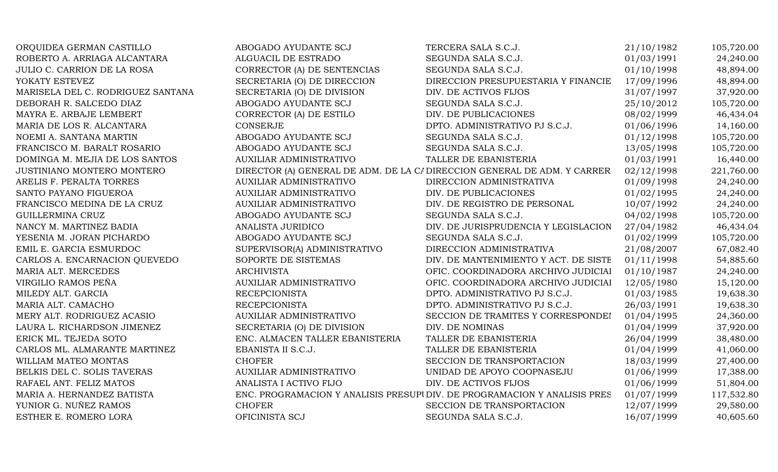| ORQUIDEA GERMAN CASTILLO          | ABOGADO AYUDANTE SCJ            | TERCERA SALA S.C.J.                                                      | 21/10/1982 | 105,720.00 |
|-----------------------------------|---------------------------------|--------------------------------------------------------------------------|------------|------------|
| ROBERTO A. ARRIAGA ALCANTARA      | ALGUACIL DE ESTRADO             | SEGUNDA SALA S.C.J.                                                      | 01/03/1991 | 24,240.00  |
| JULIO C. CARRION DE LA ROSA       | CORRECTOR (A) DE SENTENCIAS     | SEGUNDA SALA S.C.J.                                                      | 01/10/1998 | 48,894.00  |
| YOKATY ESTEVEZ                    | SECRETARIA (O) DE DIRECCION     | DIRECCION PRESUPUESTARIA Y FINANCIE                                      | 17/09/1996 | 48,894.00  |
| MARISELA DEL C. RODRIGUEZ SANTANA | SECRETARIA (O) DE DIVISION      | DIV. DE ACTIVOS FIJOS                                                    | 31/07/1997 | 37,920.00  |
| DEBORAH R. SALCEDO DIAZ           | ABOGADO AYUDANTE SCJ            | SEGUNDA SALA S.C.J.                                                      | 25/10/2012 | 105,720.00 |
| MAYRA E. ARBAJE LEMBERT           | CORRECTOR (A) DE ESTILO         | DIV. DE PUBLICACIONES                                                    | 08/02/1999 | 46,434.04  |
| MARIA DE LOS R. ALCANTARA         | <b>CONSERJE</b>                 | DPTO. ADMINISTRATIVO PJ S.C.J.                                           | 01/06/1996 | 14,160.00  |
| NOEMI A. SANTANA MARTIN           | ABOGADO AYUDANTE SCJ            | SEGUNDA SALA S.C.J.                                                      | 01/12/1998 | 105,720.00 |
| FRANCISCO M. BARALT ROSARIO       | ABOGADO AYUDANTE SCJ            | SEGUNDA SALA S.C.J.                                                      | 13/05/1998 | 105,720.00 |
| DOMINGA M. MEJIA DE LOS SANTOS    | <b>AUXILIAR ADMINISTRATIVO</b>  | TALLER DE EBANISTERIA                                                    | 01/03/1991 | 16,440.00  |
| JUSTINIANO MONTERO MONTERO        |                                 | DIRECTOR (A) GENERAL DE ADM. DE LA CI DIRECCION GENERAL DE ADM. Y CARRER | 02/12/1998 | 221,760.00 |
| ARELIS F. PERALTA TORRES          | AUXILIAR ADMINISTRATIVO         | DIRECCION ADMINISTRATIVA                                                 | 01/09/1998 | 24,240.00  |
| SANTO PAYANO FIGUEROA             | <b>AUXILIAR ADMINISTRATIVO</b>  | DIV. DE PUBLICACIONES                                                    | 01/02/1995 | 24,240.00  |
| FRANCISCO MEDINA DE LA CRUZ       | <b>AUXILIAR ADMINISTRATIVO</b>  | DIV. DE REGISTRO DE PERSONAL                                             | 10/07/1992 | 24,240.00  |
| GUILLERMINA CRUZ                  | ABOGADO AYUDANTE SCJ            | SEGUNDA SALA S.C.J.                                                      | 04/02/1998 | 105,720.00 |
| NANCY M. MARTINEZ BADIA           | ANALISTA JURIDICO               | DIV. DE JURISPRUDENCIA Y LEGISLACION                                     | 27/04/1982 | 46,434.04  |
| YESENIA M. JORAN PICHARDO         | ABOGADO AYUDANTE SCJ            | SEGUNDA SALA S.C.J.                                                      | 01/02/1999 | 105,720.00 |
| EMIL E. GARCIA ESMURDOC           | SUPERVISOR(A) ADMINISTRATIVO    | DIRECCION ADMINISTRATIVA                                                 | 21/08/2007 | 67,082.40  |
| CARLOS A. ENCARNACION QUEVEDO     | SOPORTE DE SISTEMAS             | DIV. DE MANTENIMIENTO Y ACT. DE SISTE                                    | 01/11/1998 | 54,885.60  |
| MARIA ALT. MERCEDES               | <b>ARCHIVISTA</b>               | OFIC. COORDINADORA ARCHIVO JUDICIAI                                      | 01/10/1987 | 24,240.00  |
| VIRGILIO RAMOS PEÑA               | <b>AUXILIAR ADMINISTRATIVO</b>  | OFIC. COORDINADORA ARCHIVO JUDICIAI                                      | 12/05/1980 | 15,120.00  |
| MILEDY ALT. GARCIA                | <b>RECEPCIONISTA</b>            | DPTO. ADMINISTRATIVO PJ S.C.J.                                           | 01/03/1985 | 19,638.30  |
| MARIA ALT. CAMACHO                | <b>RECEPCIONISTA</b>            | DPTO. ADMINISTRATIVO PJ S.C.J.                                           | 26/03/1991 | 19,638.30  |
| MERY ALT. RODRIGUEZ ACASIO        | <b>AUXILIAR ADMINISTRATIVO</b>  | SECCION DE TRAMITES Y CORRESPONDEI                                       | 01/04/1995 | 24,360.00  |
| LAURA L. RICHARDSON JIMENEZ       | SECRETARIA (O) DE DIVISION      | DIV. DE NOMINAS                                                          | 01/04/1999 | 37,920.00  |
| ERICK ML. TEJEDA SOTO             | ENC. ALMACEN TALLER EBANISTERIA | TALLER DE EBANISTERIA                                                    | 26/04/1999 | 38,480.00  |
| CARLOS ML. ALMARANTE MARTINEZ     | EBANISTA II S.C.J.              | TALLER DE EBANISTERIA                                                    | 01/04/1999 | 41,060.00  |
| WILLIAM MATEO MONTAS              | <b>CHOFER</b>                   | SECCION DE TRANSPORTACION                                                | 18/03/1999 | 27,400.00  |
| BELKIS DEL C. SOLIS TAVERAS       | <b>AUXILIAR ADMINISTRATIVO</b>  | UNIDAD DE APOYO COOPNASEJU                                               | 01/06/1999 | 17,388.00  |
| RAFAEL ANT. FELIZ MATOS           | ANALISTA I ACTIVO FIJO          | DIV. DE ACTIVOS FIJOS                                                    | 01/06/1999 | 51,804.00  |
| MARIA A. HERNANDEZ BATISTA        |                                 | ENC. PROGRAMACION Y ANALISIS PRESUPUDIV. DE PROGRAMACION Y ANALISIS PRES | 01/07/1999 | 117,532.80 |
| YUNIOR G. NUÑEZ RAMOS             | <b>CHOFER</b>                   | SECCION DE TRANSPORTACION                                                | 12/07/1999 | 29,580.00  |
| ESTHER E. ROMERO LORA             | OFICINISTA SCJ                  | SEGUNDA SALA S.C.J.                                                      | 16/07/1999 | 40,605.60  |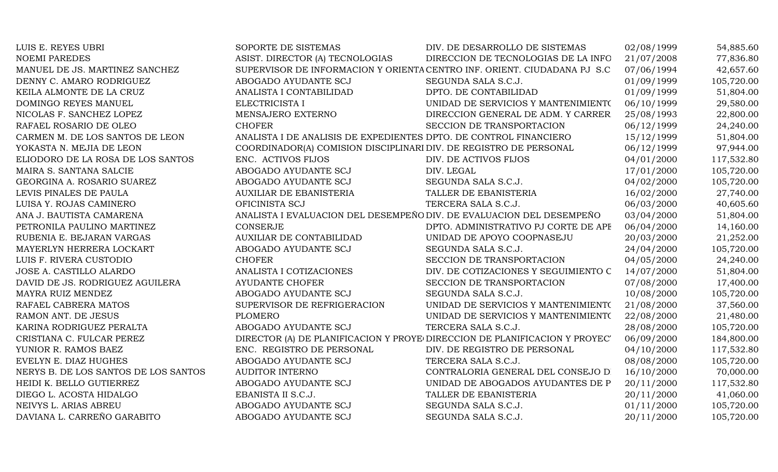| LUIS E. REYES UBRI                   | SOPORTE DE SISTEMAS                                                  | DIV. DE DESARROLLO DE SISTEMAS                                            | 02/08/1999 | 54,885.60  |
|--------------------------------------|----------------------------------------------------------------------|---------------------------------------------------------------------------|------------|------------|
| <b>NOEMI PAREDES</b>                 | ASIST. DIRECTOR (A) TECNOLOGIAS                                      | DIRECCION DE TECNOLOGIAS DE LA INFO                                       | 21/07/2008 | 77,836.80  |
| MANUEL DE JS. MARTINEZ SANCHEZ       |                                                                      | SUPERVISOR DE INFORMACION Y ORIENTA CENTRO INF. ORIENT. CIUDADANA PJ S.C  | 07/06/1994 | 42,657.60  |
| DENNY C. AMARO RODRIGUEZ             | ABOGADO AYUDANTE SCJ                                                 | SEGUNDA SALA S.C.J.                                                       | 01/09/1999 | 105,720.00 |
| KEILA ALMONTE DE LA CRUZ             | ANALISTA I CONTABILIDAD                                              | DPTO. DE CONTABILIDAD                                                     | 01/09/1999 | 51,804.00  |
| DOMINGO REYES MANUEL                 | ELECTRICISTA I                                                       | UNIDAD DE SERVICIOS Y MANTENIMIENTO                                       | 06/10/1999 | 29,580.00  |
| NICOLAS F. SANCHEZ LOPEZ             | MENSAJERO EXTERNO                                                    | DIRECCION GENERAL DE ADM. Y CARRER                                        | 25/08/1993 | 22,800.00  |
| RAFAEL ROSARIO DE OLEO               | <b>CHOFER</b>                                                        | SECCION DE TRANSPORTACION                                                 | 06/12/1999 | 24,240.00  |
| CARMEN M. DE LOS SANTOS DE LEON      | ANALISTA I DE ANALISIS DE EXPEDIENTES DPTO. DE CONTROL FINANCIERO    |                                                                           | 15/12/1999 | 51,804.00  |
| YOKASTA N. MEJIA DE LEON             | COORDINADOR(A) COMISION DISCIPLINARI DIV. DE REGISTRO DE PERSONAL    |                                                                           | 06/12/1999 | 97,944.00  |
| ELIODORO DE LA ROSA DE LOS SANTOS    | ENC. ACTIVOS FIJOS                                                   | DIV. DE ACTIVOS FIJOS                                                     | 04/01/2000 | 117,532.80 |
| MAIRA S. SANTANA SALCIE              | ABOGADO AYUDANTE SCJ                                                 | DIV. LEGAL                                                                | 17/01/2000 | 105,720.00 |
| GEORGINA A. ROSARIO SUAREZ           | ABOGADO AYUDANTE SCJ                                                 | SEGUNDA SALA S.C.J.                                                       | 04/02/2000 | 105,720.00 |
| LEVIS PINALES DE PAULA               | <b>AUXILIAR DE EBANISTERIA</b>                                       | TALLER DE EBANISTERIA                                                     | 16/02/2000 | 27,740.00  |
| LUISA Y. ROJAS CAMINERO              | OFICINISTA SCJ                                                       | TERCERA SALA S.C.J.                                                       | 06/03/2000 | 40,605.60  |
| ANA J. BAUTISTA CAMARENA             | ANALISTA I EVALUACION DEL DESEMPEÑO DIV. DE EVALUACION DEL DESEMPEÑO |                                                                           | 03/04/2000 | 51,804.00  |
| PETRONILA PAULINO MARTINEZ           | <b>CONSERJE</b>                                                      | DPTO. ADMINISTRATIVO PJ CORTE DE APF                                      | 06/04/2000 | 14,160.00  |
| RUBENIA E. BEJARAN VARGAS            | <b>AUXILIAR DE CONTABILIDAD</b>                                      | UNIDAD DE APOYO COOPNASEJU                                                | 20/03/2000 | 21,252.00  |
| MAYERLYN HERRERA LOCKART             | ABOGADO AYUDANTE SCJ                                                 | SEGUNDA SALA S.C.J.                                                       | 24/04/2000 | 105,720.00 |
| LUIS F. RIVERA CUSTODIO              | <b>CHOFER</b>                                                        | SECCION DE TRANSPORTACION                                                 | 04/05/2000 | 24,240.00  |
| JOSE A. CASTILLO ALARDO              | ANALISTA I COTIZACIONES                                              | DIV. DE COTIZACIONES Y SEGUIMIENTO C                                      | 14/07/2000 | 51,804.00  |
| DAVID DE JS. RODRIGUEZ AGUILERA      | <b>AYUDANTE CHOFER</b>                                               | SECCION DE TRANSPORTACION                                                 | 07/08/2000 | 17,400.00  |
| MAYRA RUIZ MENDEZ                    | ABOGADO AYUDANTE SCJ                                                 | SEGUNDA SALA S.C.J.                                                       | 10/08/2000 | 105,720.00 |
| RAFAEL CABRERA MATOS                 | SUPERVISOR DE REFRIGERACION                                          | UNIDAD DE SERVICIOS Y MANTENIMIENTO                                       | 21/08/2000 | 37,560.00  |
| RAMON ANT. DE JESUS                  | <b>PLOMERO</b>                                                       | UNIDAD DE SERVICIOS Y MANTENIMIENTO                                       | 22/08/2000 | 21,480.00  |
| KARINA RODRIGUEZ PERALTA             | ABOGADO AYUDANTE SCJ                                                 | TERCERA SALA S.C.J.                                                       | 28/08/2000 | 105,720.00 |
| CRISTIANA C. FULCAR PEREZ            |                                                                      | DIRECTOR (A) DE PLANIFICACION Y PROYE DIRECCION DE PLANIFICACION Y PROYEC | 06/09/2000 | 184,800.00 |
| YUNIOR R. RAMOS BAEZ                 | ENC. REGISTRO DE PERSONAL                                            | DIV. DE REGISTRO DE PERSONAL                                              | 04/10/2000 | 117,532.80 |
| EVELYN E. DIAZ HUGHES                | ABOGADO AYUDANTE SCJ                                                 | TERCERA SALA S.C.J.                                                       | 08/08/2000 | 105,720.00 |
| NERYS B. DE LOS SANTOS DE LOS SANTOS | <b>AUDITOR INTERNO</b>                                               | CONTRALORIA GENERAL DEL CONSEJO D                                         | 16/10/2000 | 70,000.00  |
| HEIDI K. BELLO GUTIERREZ             | ABOGADO AYUDANTE SCJ                                                 | UNIDAD DE ABOGADOS AYUDANTES DE P                                         | 20/11/2000 | 117,532.80 |
| DIEGO L. ACOSTA HIDALGO              | EBANISTA II S.C.J.                                                   | TALLER DE EBANISTERIA                                                     | 20/11/2000 | 41,060.00  |
| NEIVYS L. ARIAS ABREU                | ABOGADO AYUDANTE SCJ                                                 | SEGUNDA SALA S.C.J.                                                       | 01/11/2000 | 105,720.00 |
| DAVIANA L. CARREÑO GARABITO          | ABOGADO AYUDANTE SCJ                                                 | SEGUNDA SALA S.C.J.                                                       | 20/11/2000 | 105,720.00 |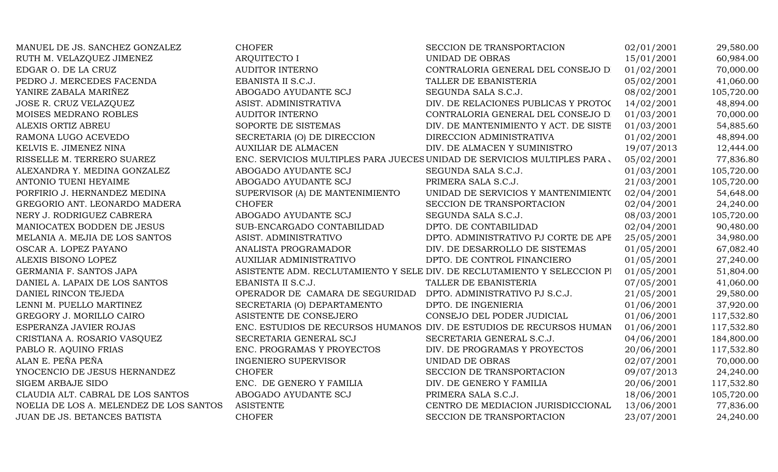| MANUEL DE JS. SANCHEZ GONZALEZ          | <b>CHOFER</b>                   | SECCION DE TRANSPORTACION                                                | 02/01/2001 | 29,580.00  |
|-----------------------------------------|---------------------------------|--------------------------------------------------------------------------|------------|------------|
| RUTH M. VELAZQUEZ JIMENEZ               | <b>ARQUITECTO I</b>             | UNIDAD DE OBRAS                                                          | 15/01/2001 | 60,984.00  |
| EDGAR O. DE LA CRUZ                     | <b>AUDITOR INTERNO</b>          | CONTRALORIA GENERAL DEL CONSEJO DI                                       | 01/02/2001 | 70,000.00  |
| PEDRO J. MERCEDES FACENDA               | EBANISTA II S.C.J.              | TALLER DE EBANISTERIA                                                    | 05/02/2001 | 41,060.00  |
| YANIRE ZABALA MARIÑEZ                   | ABOGADO AYUDANTE SCJ            | SEGUNDA SALA S.C.J.                                                      | 08/02/2001 | 105,720.00 |
| JOSE R. CRUZ VELAZQUEZ                  | ASIST. ADMINISTRATIVA           | DIV. DE RELACIONES PUBLICAS Y PROTOC                                     | 14/02/2001 | 48,894.00  |
| MOISES MEDRANO ROBLES                   | <b>AUDITOR INTERNO</b>          | CONTRALORIA GENERAL DEL CONSEJO D                                        | 01/03/2001 | 70,000.00  |
| ALEXIS ORTIZ ABREU                      | SOPORTE DE SISTEMAS             | DIV. DE MANTENIMIENTO Y ACT. DE SISTE                                    | 01/03/2001 | 54,885.60  |
| RAMONA LUGO ACEVEDO                     | SECRETARIA (O) DE DIRECCION     | DIRECCION ADMINISTRATIVA                                                 | 01/02/2001 | 48,894.00  |
| KELVIS E. JIMENEZ NINA                  | <b>AUXILIAR DE ALMACEN</b>      | DIV. DE ALMACEN Y SUMINISTRO                                             | 19/07/2013 | 12,444.00  |
| RISSELLE M. TERRERO SUAREZ              |                                 | ENC. SERVICIOS MULTIPLES PARA JUECES UNIDAD DE SERVICIOS MULTIPLES PARA  | 05/02/2001 | 77,836.80  |
| ALEXANDRA Y. MEDINA GONZALEZ            | ABOGADO AYUDANTE SCJ            | SEGUNDA SALA S.C.J.                                                      | 01/03/2001 | 105,720.00 |
| ANTONIO TUENI HEYAIME                   | ABOGADO AYUDANTE SCJ            | PRIMERA SALA S.C.J.                                                      | 21/03/2001 | 105,720.00 |
| PORFIRIO J. HERNANDEZ MEDINA            | SUPERVISOR (A) DE MANTENIMIENTO | UNIDAD DE SERVICIOS Y MANTENIMIENTO                                      | 02/04/2001 | 54,648.00  |
| GREGORIO ANT. LEONARDO MADERA           | <b>CHOFER</b>                   | SECCION DE TRANSPORTACION                                                | 02/04/2001 | 24,240.00  |
| NERY J. RODRIGUEZ CABRERA               | ABOGADO AYUDANTE SCJ            | SEGUNDA SALA S.C.J.                                                      | 08/03/2001 | 105,720.00 |
| MANIOCATEX BODDEN DE JESUS              | SUB-ENCARGADO CONTABILIDAD      | DPTO. DE CONTABILIDAD                                                    | 02/04/2001 | 90,480.00  |
| MELANIA A. MEJIA DE LOS SANTOS          | ASIST. ADMINISTRATIVO           | DPTO. ADMINISTRATIVO PJ CORTE DE APF                                     | 25/05/2001 | 34,980.00  |
| OSCAR A. LOPEZ PAYANO                   | ANALISTA PROGRAMADOR            | DIV. DE DESARROLLO DE SISTEMAS                                           | 01/05/2001 | 67,082.40  |
| ALEXIS BISONO LOPEZ                     | AUXILIAR ADMINISTRATIVO         | DPTO. DE CONTROL FINANCIERO                                              | 01/05/2001 | 27,240.00  |
| GERMANIA F. SANTOS JAPA                 |                                 | ASISTENTE ADM. RECLUTAMIENTO Y SELE DIV. DE RECLUTAMIENTO Y SELECCION PI | 01/05/2001 | 51,804.00  |
| DANIEL A. LAPAIX DE LOS SANTOS          | EBANISTA II S.C.J.              | TALLER DE EBANISTERIA                                                    | 07/05/2001 | 41,060.00  |
| DANIEL RINCON TEJEDA                    | OPERADOR DE CAMARA DE SEGURIDAD | DPTO. ADMINISTRATIVO PJ S.C.J.                                           | 21/05/2001 | 29,580.00  |
| LENNI M. PUELLO MARTINEZ                | SECRETARIA (O) DEPARTAMENTO     | DPTO. DE INGENIERIA                                                      | 01/06/2001 | 37,920.00  |
| GREGORY J. MORILLO CAIRO                | ASISTENTE DE CONSEJERO          | CONSEJO DEL PODER JUDICIAL                                               | 01/06/2001 | 117,532.80 |
| ESPERANZA JAVIER ROJAS                  |                                 | ENC. ESTUDIOS DE RECURSOS HUMANOS DIV. DE ESTUDIOS DE RECURSOS HUMAN     | 01/06/2001 | 117,532.80 |
| CRISTIANA A. ROSARIO VASQUEZ            | SECRETARIA GENERAL SCJ          | SECRETARIA GENERAL S.C.J.                                                | 04/06/2001 | 184,800.00 |
| PABLO R. AQUINO FRIAS                   | ENC. PROGRAMAS Y PROYECTOS      | DIV. DE PROGRAMAS Y PROYECTOS                                            | 20/06/2001 | 117,532.80 |
| ALAN E. PEÑA PEÑA                       | <b>INGENIERO SUPERVISOR</b>     | UNIDAD DE OBRAS                                                          | 02/07/2001 | 70,000.00  |
| YNOCENCIO DE JESUS HERNANDEZ            | <b>CHOFER</b>                   | SECCION DE TRANSPORTACION                                                | 09/07/2013 | 24,240.00  |
| <b>SIGEM ARBAJE SIDO</b>                | ENC. DE GENERO Y FAMILIA        | DIV. DE GENERO Y FAMILIA                                                 | 20/06/2001 | 117,532.80 |
| CLAUDIA ALT. CABRAL DE LOS SANTOS       | ABOGADO AYUDANTE SCJ            | PRIMERA SALA S.C.J.                                                      | 18/06/2001 | 105,720.00 |
| NOELIA DE LOS A. MELENDEZ DE LOS SANTOS | <b>ASISTENTE</b>                | CENTRO DE MEDIACION JURISDICCIONAL                                       | 13/06/2001 | 77,836.00  |
| JUAN DE JS. BETANCES BATISTA            | <b>CHOFER</b>                   | SECCION DE TRANSPORTACION                                                | 23/07/2001 | 24,240.00  |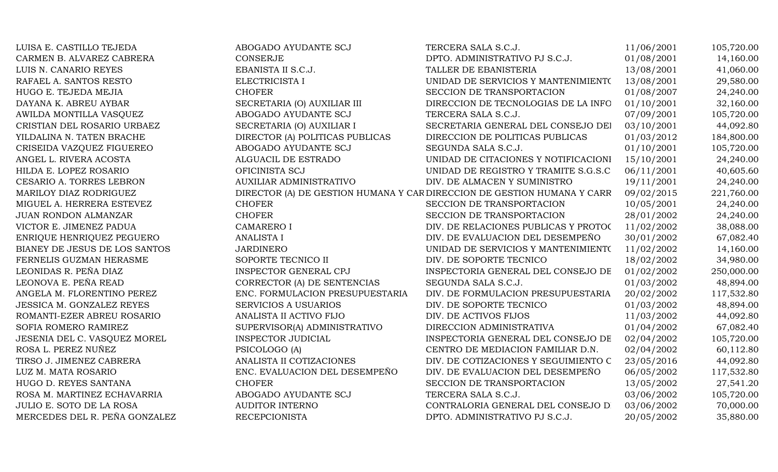| LUISA E. CASTILLO TEJEDA        | ABOGADO AYUDANTE SCJ            | TERCERA SALA S.C.J.                                                     | 11/06/2001 | 105,720.00 |
|---------------------------------|---------------------------------|-------------------------------------------------------------------------|------------|------------|
| CARMEN B. ALVAREZ CABRERA       | <b>CONSERJE</b>                 | DPTO. ADMINISTRATIVO PJ S.C.J.                                          | 01/08/2001 | 14,160.00  |
| LUIS N. CANARIO REYES           | EBANISTA II S.C.J.              | TALLER DE EBANISTERIA                                                   | 13/08/2001 | 41,060.00  |
| RAFAEL A. SANTOS RESTO          | ELECTRICISTA I                  | UNIDAD DE SERVICIOS Y MANTENIMIENTO                                     | 13/08/2001 | 29,580.00  |
| HUGO E. TEJEDA MEJIA            | <b>CHOFER</b>                   | SECCION DE TRANSPORTACION                                               | 01/08/2007 | 24,240.00  |
| DAYANA K. ABREU AYBAR           | SECRETARIA (O) AUXILIAR III     | DIRECCION DE TECNOLOGIAS DE LA INFO                                     | 01/10/2001 | 32,160.00  |
| AWILDA MONTILLA VASQUEZ         | ABOGADO AYUDANTE SCJ            | TERCERA SALA S.C.J.                                                     | 07/09/2001 | 105,720.00 |
| CRISTIAN DEL ROSARIO URBAEZ     | SECRETARIA (O) AUXILIAR I       | SECRETARIA GENERAL DEL CONSEJO DEI                                      | 03/10/2001 | 44,092.80  |
| YILDALINA N. TATEN BRACHE       | DIRECTOR (A) POLITICAS PUBLICAS | DIRECCION DE POLITICAS PUBLICAS                                         | 01/03/2012 | 184,800.00 |
| CRISEIDA VAZQUEZ FIGUEREO       | ABOGADO AYUDANTE SCJ            | SEGUNDA SALA S.C.J.                                                     | 01/10/2001 | 105,720.00 |
| ANGEL L. RIVERA ACOSTA          | ALGUACIL DE ESTRADO             | UNIDAD DE CITACIONES Y NOTIFICACIONI                                    | 15/10/2001 | 24,240.00  |
| HILDA E. LOPEZ ROSARIO          | OFICINISTA SCJ                  | UNIDAD DE REGISTRO Y TRAMITE S.G.S.C                                    | 06/11/2001 | 40,605.60  |
| CESARIO A. TORRES LEBRON        | <b>AUXILIAR ADMINISTRATIVO</b>  | DIV. DE ALMACEN Y SUMINISTRO                                            | 19/11/2001 | 24,240.00  |
| MARILOY DIAZ RODRIGUEZ          |                                 | DIRECTOR (A) DE GESTION HUMANA Y CAR DIRECCION DE GESTION HUMANA Y CARR | 09/02/2015 | 221,760.00 |
| MIGUEL A. HERRERA ESTEVEZ       | <b>CHOFER</b>                   | SECCION DE TRANSPORTACION                                               | 10/05/2001 | 24,240.00  |
| JUAN RONDON ALMANZAR            | <b>CHOFER</b>                   | SECCION DE TRANSPORTACION                                               | 28/01/2002 | 24,240.00  |
| VICTOR E. JIMENEZ PADUA         | <b>CAMARERO I</b>               | DIV. DE RELACIONES PUBLICAS Y PROTOC                                    | 11/02/2002 | 38,088.00  |
| ENRIQUE HENRIQUEZ PEGUERO       | <b>ANALISTA I</b>               | DIV. DE EVALUACION DEL DESEMPEÑO                                        | 30/01/2002 | 67,082.40  |
| BIANEY DE JESUS DE LOS SANTOS   | <b>JARDINERO</b>                | UNIDAD DE SERVICIOS Y MANTENIMIENTO                                     | 11/02/2002 | 14,160.00  |
| FERNELIS GUZMAN HERASME         | SOPORTE TECNICO II              | DIV. DE SOPORTE TECNICO                                                 | 18/02/2002 | 34,980.00  |
| LEONIDAS R. PEÑA DIAZ           | <b>INSPECTOR GENERAL CPJ</b>    | INSPECTORIA GENERAL DEL CONSEJO DE                                      | 01/02/2002 | 250,000.00 |
| LEONOVA E. PEÑA READ            | CORRECTOR (A) DE SENTENCIAS     | SEGUNDA SALA S.C.J.                                                     | 01/03/2002 | 48,894.00  |
| ANGELA M. FLORENTINO PEREZ      | ENC. FORMULACION PRESUPUESTARIA | DIV. DE FORMULACION PRESUPUESTARIA                                      | 20/02/2002 | 117,532.80 |
| JESSICA M. GONZALEZ REYES       | <b>SERVICIOS A USUARIOS</b>     | DIV. DE SOPORTE TECNICO                                                 | 01/03/2002 | 48,894.00  |
| ROMANTI-EZER ABREU ROSARIO      | ANALISTA II ACTIVO FIJO         | DIV. DE ACTIVOS FIJOS                                                   | 11/03/2002 | 44,092.80  |
| SOFIA ROMERO RAMIREZ            | SUPERVISOR(A) ADMINISTRATIVO    | DIRECCION ADMINISTRATIVA                                                | 01/04/2002 | 67,082.40  |
| JESENIA DEL C. VASQUEZ MOREL    | <b>INSPECTOR JUDICIAL</b>       | INSPECTORIA GENERAL DEL CONSEJO DE                                      | 02/04/2002 | 105,720.00 |
| ROSA L. PEREZ NUÑEZ             | PSICOLOGO (A)                   | CENTRO DE MEDIACION FAMILIAR D.N.                                       | 02/04/2002 | 60,112.80  |
| TIRSO J. JIMENEZ CABRERA        | ANALISTA II COTIZACIONES        | DIV. DE COTIZACIONES Y SEGUIMIENTO C                                    | 23/05/2016 | 44,092.80  |
| LUZ M. MATA ROSARIO             | ENC. EVALUACION DEL DESEMPEÑO   | DIV. DE EVALUACION DEL DESEMPEÑO                                        | 06/05/2002 | 117,532.80 |
| HUGO D. REYES SANTANA           | <b>CHOFER</b>                   | SECCION DE TRANSPORTACION                                               | 13/05/2002 | 27,541.20  |
| ROSA M. MARTINEZ ECHAVARRIA     | ABOGADO AYUDANTE SCJ            | TERCERA SALA S.C.J.                                                     | 03/06/2002 | 105,720.00 |
| <b>JULIO E. SOTO DE LA ROSA</b> | <b>AUDITOR INTERNO</b>          | CONTRALORIA GENERAL DEL CONSEJO D                                       | 03/06/2002 | 70,000.00  |
| MERCEDES DEL R. PEÑA GONZALEZ   | <b>RECEPCIONISTA</b>            | DPTO. ADMINISTRATIVO PJ S.C.J.                                          | 20/05/2002 | 35,880.00  |
|                                 |                                 |                                                                         |            |            |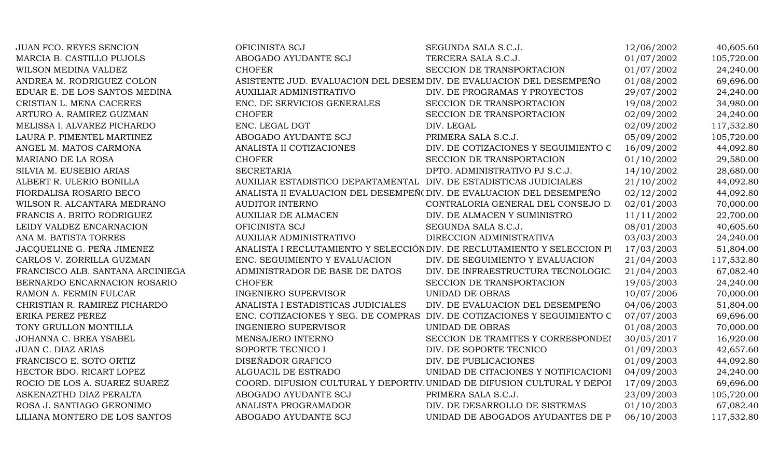| JUAN FCO. REYES SENCION          | OFICINISTA SCJ                                                       | SEGUNDA SALA S.C.J.                                                       | 12/06/2002 | 40,605.60  |
|----------------------------------|----------------------------------------------------------------------|---------------------------------------------------------------------------|------------|------------|
| MARCIA B. CASTILLO PUJOLS        | ABOGADO AYUDANTE SCJ                                                 | TERCERA SALA S.C.J.                                                       | 01/07/2002 | 105,720.00 |
| WILSON MEDINA VALDEZ             | <b>CHOFER</b>                                                        | SECCION DE TRANSPORTACION                                                 | 01/07/2002 | 24,240.00  |
| ANDREA M. RODRIGUEZ COLON        | ASISTENTE JUD. EVALUACION DEL DESEM DIV. DE EVALUACION DEL DESEMPEÑO |                                                                           | 01/08/2002 | 69,696.00  |
| EDUAR E. DE LOS SANTOS MEDINA    | <b>AUXILIAR ADMINISTRATIVO</b>                                       | DIV. DE PROGRAMAS Y PROYECTOS                                             | 29/07/2002 | 24,240.00  |
| CRISTIAN L. MENA CACERES         | ENC. DE SERVICIOS GENERALES                                          | SECCION DE TRANSPORTACION                                                 | 19/08/2002 | 34,980.00  |
| ARTURO A. RAMIREZ GUZMAN         | <b>CHOFER</b>                                                        | SECCION DE TRANSPORTACION                                                 | 02/09/2002 | 24,240.00  |
| MELISSA I. ALVAREZ PICHARDO      | ENC. LEGAL DGT                                                       | DIV. LEGAL                                                                | 02/09/2002 | 117,532.80 |
| LAURA P. PIMENTEL MARTINEZ       | ABOGADO AYUDANTE SCJ                                                 | PRIMERA SALA S.C.J.                                                       | 05/09/2002 | 105,720.00 |
| ANGEL M. MATOS CARMONA           | ANALISTA II COTIZACIONES                                             | DIV. DE COTIZACIONES Y SEGUIMIENTO C                                      | 16/09/2002 | 44,092.80  |
| MARIANO DE LA ROSA               | <b>CHOFER</b>                                                        | SECCION DE TRANSPORTACION                                                 | 01/10/2002 | 29,580.00  |
| SILVIA M. EUSEBIO ARIAS          | <b>SECRETARIA</b>                                                    | DPTO. ADMINISTRATIVO PJ S.C.J.                                            | 14/10/2002 | 28,680.00  |
| ALBERT R. ULERIO BONILLA         | AUXILIAR ESTADISTICO DEPARTAMENTAL DIV. DE ESTADISTICAS JUDICIALES   |                                                                           | 21/10/2002 | 44,092.80  |
| FIORDALISA ROSARIO BECO          | ANALISTA II EVALUACION DEL DESEMPEÑ(DIV. DE EVALUACION DEL DESEMPEÑO |                                                                           | 02/12/2002 | 44,092.80  |
| WILSON R. ALCANTARA MEDRANO      | <b>AUDITOR INTERNO</b>                                               | CONTRALORIA GENERAL DEL CONSEJO D                                         | 02/01/2003 | 70,000.00  |
| FRANCIS A. BRITO RODRIGUEZ       | <b>AUXILIAR DE ALMACEN</b>                                           | DIV. DE ALMACEN Y SUMINISTRO                                              | 11/11/2002 | 22,700.00  |
| LEIDY VALDEZ ENCARNACION         | OFICINISTA SCJ                                                       | SEGUNDA SALA S.C.J.                                                       | 08/01/2003 | 40,605.60  |
| ANA M. BATISTA TORRES            | <b>AUXILIAR ADMINISTRATIVO</b>                                       | DIRECCION ADMINISTRATIVA                                                  | 03/03/2003 | 24,240.00  |
| JACQUELINE G. PEÑA JIMENEZ       |                                                                      | ANALISTA I RECLUTAMIENTO Y SELECCIÓN DIV. DE RECLUTAMIENTO Y SELECCION PI | 17/03/2003 | 51,804.00  |
| CARLOS V. ZORRILLA GUZMAN        | ENC. SEGUIMIENTO Y EVALUACION                                        | DIV. DE SEGUIMIENTO Y EVALUACION                                          | 21/04/2003 | 117,532.80 |
| FRANCISCO ALB. SANTANA ARCINIEGA | ADMINISTRADOR DE BASE DE DATOS                                       | DIV. DE INFRAESTRUCTURA TECNOLOGIC.                                       | 21/04/2003 | 67,082.40  |
| BERNARDO ENCARNACION ROSARIO     | <b>CHOFER</b>                                                        | SECCION DE TRANSPORTACION                                                 | 19/05/2003 | 24,240.00  |
| RAMON A. FERMIN FULCAR           | <b>INGENIERO SUPERVISOR</b>                                          | UNIDAD DE OBRAS                                                           | 10/07/2006 | 70,000.00  |
| CHRISTIAN R. RAMIREZ PICHARDO    | ANALISTA I ESTADISTICAS JUDICIALES                                   | DIV. DE EVALUACION DEL DESEMPEÑO                                          | 04/06/2003 | 51,804.00  |
| ERIKA PEREZ PEREZ                |                                                                      | ENC. COTIZACIONES Y SEG. DE COMPRAS DIV. DE COTIZACIONES Y SEGUIMIENTO C  | 07/07/2003 | 69,696.00  |
| TONY GRULLON MONTILLA            | <b>INGENIERO SUPERVISOR</b>                                          | UNIDAD DE OBRAS                                                           | 01/08/2003 | 70,000.00  |
| JOHANNA C. BREA YSABEL           | MENSAJERO INTERNO                                                    | SECCION DE TRAMITES Y CORRESPONDEI                                        | 30/05/2017 | 16,920.00  |
| <b>JUAN C. DIAZ ARIAS</b>        | SOPORTE TECNICO I                                                    | DIV. DE SOPORTE TECNICO                                                   | 01/09/2003 | 42,657.60  |
| FRANCISCO E. SOTO ORTIZ          | DISEÑADOR GRAFICO                                                    | DIV. DE PUBLICACIONES                                                     | 01/09/2003 | 44,092.80  |
| HECTOR BDO. RICART LOPEZ         | ALGUACIL DE ESTRADO                                                  | UNIDAD DE CITACIONES Y NOTIFICACIONI                                      | 04/09/2003 | 24,240.00  |
| ROCIO DE LOS A. SUAREZ SUAREZ    |                                                                      | COORD. DIFUSION CULTURAL Y DEPORTIV. UNIDAD DE DIFUSION CULTURAL Y DEPOI  | 17/09/2003 | 69,696.00  |
| ASKENAZTHD DIAZ PERALTA          | ABOGADO AYUDANTE SCJ                                                 | PRIMERA SALA S.C.J.                                                       | 23/09/2003 | 105,720.00 |
| ROSA J. SANTIAGO GERONIMO        | ANALISTA PROGRAMADOR                                                 | DIV. DE DESARROLLO DE SISTEMAS                                            | 01/10/2003 | 67,082.40  |
| LILIANA MONTERO DE LOS SANTOS    | ABOGADO AYUDANTE SCJ                                                 | UNIDAD DE ABOGADOS AYUDANTES DE P                                         | 06/10/2003 | 117,532.80 |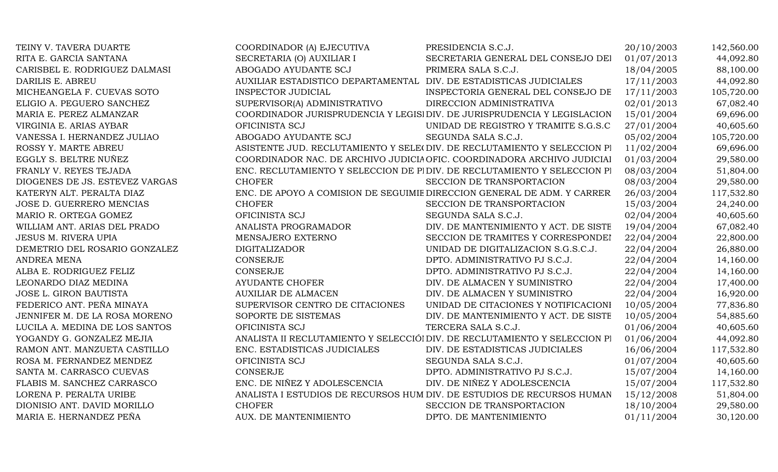| TEINY V. TAVERA DUARTE         | COORDINADOR (A) EJECUTIVA                                          | PRESIDENCIA S.C.J.                                                         | 20/10/2003 | 142,560.00 |
|--------------------------------|--------------------------------------------------------------------|----------------------------------------------------------------------------|------------|------------|
| RITA E. GARCIA SANTANA         | SECRETARIA (O) AUXILIAR I                                          | SECRETARIA GENERAL DEL CONSEJO DEI                                         | 01/07/2013 | 44,092.80  |
| CARISBEL E. RODRIGUEZ DALMASI  | ABOGADO AYUDANTE SCJ                                               | PRIMERA SALA S.C.J.                                                        | 18/04/2005 | 88,100.00  |
| DARILIS E. ABREU               | AUXILIAR ESTADISTICO DEPARTAMENTAL DIV. DE ESTADISTICAS JUDICIALES |                                                                            | 17/11/2003 | 44,092.80  |
| MICHEANGELA F. CUEVAS SOTO     | <b>INSPECTOR JUDICIAL</b>                                          | INSPECTORIA GENERAL DEL CONSEJO DE                                         | 17/11/2003 | 105,720.00 |
| ELIGIO A. PEGUERO SANCHEZ      | SUPERVISOR(A) ADMINISTRATIVO                                       | DIRECCION ADMINISTRATIVA                                                   | 02/01/2013 | 67,082.40  |
| MARIA E. PEREZ ALMANZAR        |                                                                    | COORDINADOR JURISPRUDENCIA Y LEGISI DIV. DE JURISPRUDENCIA Y LEGISLACION   | 15/01/2004 | 69,696.00  |
| VIRGINIA E. ARIAS AYBAR        | OFICINISTA SCJ                                                     | UNIDAD DE REGISTRO Y TRAMITE S.G.S.C                                       | 27/01/2004 | 40,605.60  |
| VANESSA I. HERNANDEZ JULIAO    | ABOGADO AYUDANTE SCJ                                               | SEGUNDA SALA S.C.J.                                                        | 05/02/2004 | 105,720.00 |
| ROSSY Y. MARTE ABREU           |                                                                    | ASISTENTE JUD. RECLUTAMIENTO Y SELE(DIV. DE RECLUTAMIENTO Y SELECCION PI   | 11/02/2004 | 69,696.00  |
| EGGLY S. BELTRE NUÑEZ          |                                                                    | COORDINADOR NAC. DE ARCHIVO JUDICIA OFIC. COORDINADORA ARCHIVO JUDICIAI    | 01/03/2004 | 29,580.00  |
| FRANLY V. REYES TEJADA         |                                                                    | ENC. RECLUTAMIENTO Y SELECCION DE PIDIV. DE RECLUTAMIENTO Y SELECCION PI   | 08/03/2004 | 51,804.00  |
| DIOGENES DE JS. ESTEVEZ VARGAS | <b>CHOFER</b>                                                      | SECCION DE TRANSPORTACION                                                  | 08/03/2004 | 29,580.00  |
| KATERYN ALT. PERALTA DIAZ      |                                                                    | ENC. DE APOYO A COMISION DE SEGUIMIE DIRECCION GENERAL DE ADM. Y CARRER    | 26/03/2004 | 117,532.80 |
| JOSE D. GUERRERO MENCIAS       | <b>CHOFER</b>                                                      | SECCION DE TRANSPORTACION                                                  | 15/03/2004 | 24,240.00  |
| MARIO R. ORTEGA GOMEZ          | OFICINISTA SCJ                                                     | SEGUNDA SALA S.C.J.                                                        | 02/04/2004 | 40,605.60  |
| WILLIAM ANT. ARIAS DEL PRADO   | ANALISTA PROGRAMADOR                                               | DIV. DE MANTENIMIENTO Y ACT. DE SISTE                                      | 19/04/2004 | 67,082.40  |
| <b>JESUS M. RIVERA UPIA</b>    | MENSAJERO EXTERNO                                                  | SECCION DE TRAMITES Y CORRESPONDEI                                         | 22/04/2004 | 22,800.00  |
| DEMETRIO DEL ROSARIO GONZALEZ  | <b>DIGITALIZADOR</b>                                               | UNIDAD DE DIGITALIZACION S.G.S.C.J.                                        | 22/04/2004 | 26,880.00  |
| <b>ANDREA MENA</b>             | CONSERJE                                                           | DPTO. ADMINISTRATIVO PJ S.C.J.                                             | 22/04/2004 | 14,160.00  |
| ALBA E. RODRIGUEZ FELIZ        | CONSERJE                                                           | DPTO. ADMINISTRATIVO PJ S.C.J.                                             | 22/04/2004 | 14,160.00  |
| LEONARDO DIAZ MEDINA           | <b>AYUDANTE CHOFER</b>                                             | DIV. DE ALMACEN Y SUMINISTRO                                               | 22/04/2004 | 17,400.00  |
| JOSE L. GIRON BAUTISTA         | <b>AUXILIAR DE ALMACEN</b>                                         | DIV. DE ALMACEN Y SUMINISTRO                                               | 22/04/2004 | 16,920.00  |
| FEDERICO ANT. PEÑA MINAYA      | SUPERVISOR CENTRO DE CITACIONES                                    | UNIDAD DE CITACIONES Y NOTIFICACIONI                                       | 10/05/2004 | 77,836.80  |
| JENNIFER M. DE LA ROSA MORENO  | SOPORTE DE SISTEMAS                                                | DIV. DE MANTENIMIENTO Y ACT. DE SISTE                                      | 10/05/2004 | 54,885.60  |
| LUCILA A. MEDINA DE LOS SANTOS | OFICINISTA SCJ                                                     | TERCERA SALA S.C.J.                                                        | 01/06/2004 | 40,605.60  |
| YOGANDY G. GONZALEZ MEJIA      |                                                                    | ANALISTA II RECLUTAMIENTO Y SELECCIÓI DIV. DE RECLUTAMIENTO Y SELECCION PI | 01/06/2004 | 44,092.80  |
| RAMON ANT. MANZUETA CASTILLO   | ENC. ESTADISTICAS JUDICIALES                                       | DIV. DE ESTADISTICAS JUDICIALES                                            | 16/06/2004 | 117,532.80 |
| ROSA M. FERNANDEZ MENDEZ       | OFICINISTA SCJ                                                     | SEGUNDA SALA S.C.J.                                                        | 01/07/2004 | 40,605.60  |
| SANTA M. CARRASCO CUEVAS       | <b>CONSERJE</b>                                                    | DPTO. ADMINISTRATIVO PJ S.C.J.                                             | 15/07/2004 | 14,160.00  |
| FLABIS M. SANCHEZ CARRASCO     | ENC. DE NIÑEZ Y ADOLESCENCIA                                       | DIV. DE NIÑEZ Y ADOLESCENCIA                                               | 15/07/2004 | 117,532.80 |
| LORENA P. PERALTA URIBE        |                                                                    | ANALISTA I ESTUDIOS DE RECURSOS HUM DIV. DE ESTUDIOS DE RECURSOS HUMAN     | 15/12/2008 | 51,804.00  |
| DIONISIO ANT. DAVID MORILLO    | <b>CHOFER</b>                                                      | SECCION DE TRANSPORTACION                                                  | 18/10/2004 | 29,580.00  |
| MARIA E. HERNANDEZ PEÑA        | AUX. DE MANTENIMIENTO                                              | DPTO. DE MANTENIMIENTO                                                     | 01/11/2004 | 30,120.00  |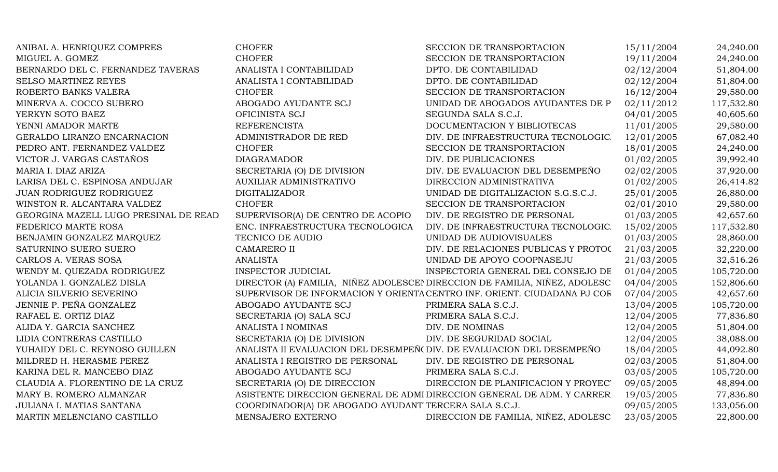| ANIBAL A. HENRIQUEZ COMPRES           | <b>CHOFER</b>                                                         | SECCION DE TRANSPORTACION                                                  | 15/11/2004 | 24,240.00  |
|---------------------------------------|-----------------------------------------------------------------------|----------------------------------------------------------------------------|------------|------------|
| MIGUEL A. GOMEZ                       | <b>CHOFER</b>                                                         | SECCION DE TRANSPORTACION                                                  | 19/11/2004 | 24,240.00  |
| BERNARDO DEL C. FERNANDEZ TAVERAS     | ANALISTA I CONTABILIDAD                                               | DPTO. DE CONTABILIDAD                                                      | 02/12/2004 | 51,804.00  |
| SELSO MARTINEZ REYES                  | ANALISTA I CONTABILIDAD                                               | DPTO. DE CONTABILIDAD                                                      | 02/12/2004 | 51,804.00  |
| ROBERTO BANKS VALERA                  | <b>CHOFER</b>                                                         | SECCION DE TRANSPORTACION                                                  | 16/12/2004 | 29,580.00  |
| MINERVA A. COCCO SUBERO               | ABOGADO AYUDANTE SCJ                                                  | UNIDAD DE ABOGADOS AYUDANTES DE P                                          | 02/11/2012 | 117,532.80 |
| YERKYN SOTO BAEZ                      | OFICINISTA SCJ                                                        | SEGUNDA SALA S.C.J.                                                        | 04/01/2005 | 40,605.60  |
| YENNI AMADOR MARTE                    | <b>REFERENCISTA</b>                                                   | DOCUMENTACION Y BIBLIOTECAS                                                | 11/01/2005 | 29,580.00  |
| GERALDO LIRANZO ENCARNACION           | ADMINISTRADOR DE RED                                                  | DIV. DE INFRAESTRUCTURA TECNOLOGIC.                                        | 12/01/2005 | 67,082.40  |
| PEDRO ANT. FERNANDEZ VALDEZ           | <b>CHOFER</b>                                                         | SECCION DE TRANSPORTACION                                                  | 18/01/2005 | 24,240.00  |
| VICTOR J. VARGAS CASTAÑOS             | <b>DIAGRAMADOR</b>                                                    | DIV. DE PUBLICACIONES                                                      | 01/02/2005 | 39,992.40  |
| MARIA I. DIAZ ARIZA                   | SECRETARIA (O) DE DIVISION                                            | DIV. DE EVALUACION DEL DESEMPEÑO                                           | 02/02/2005 | 37,920.00  |
| LARISA DEL C. ESPINOSA ANDUJAR        | <b>AUXILIAR ADMINISTRATIVO</b>                                        | DIRECCION ADMINISTRATIVA                                                   | 01/02/2005 | 26,414.82  |
| JUAN RODRIGUEZ RODRIGUEZ              | <b>DIGITALIZADOR</b>                                                  | UNIDAD DE DIGITALIZACION S.G.S.C.J.                                        | 25/01/2005 | 26,880.00  |
| WINSTON R. ALCANTARA VALDEZ           | <b>CHOFER</b>                                                         | SECCION DE TRANSPORTACION                                                  | 02/01/2010 | 29,580.00  |
| GEORGINA MAZELL LUGO PRESINAL DE READ | SUPERVISOR(A) DE CENTRO DE ACOPIO                                     | DIV. DE REGISTRO DE PERSONAL                                               | 01/03/2005 | 42,657.60  |
| FEDERICO MARTE ROSA                   | ENC. INFRAESTRUCTURA TECNOLOGICA                                      | DIV. DE INFRAESTRUCTURA TECNOLOGIC.                                        | 15/02/2005 | 117,532.80 |
| BENJAMIN GONZALEZ MARQUEZ             | TECNICO DE AUDIO                                                      | UNIDAD DE AUDIOVISUALES                                                    | 01/03/2005 | 28,860.00  |
| SATURNINO SUERO SUERO                 | <b>CAMARERO II</b>                                                    | DIV. DE RELACIONES PUBLICAS Y PROTOC                                       | 21/03/2005 | 32,220.00  |
| CARLOS A. VERAS SOSA                  | <b>ANALISTA</b>                                                       | UNIDAD DE APOYO COOPNASEJU                                                 | 21/03/2005 | 32,516.26  |
| WENDY M. QUEZADA RODRIGUEZ            | <b>INSPECTOR JUDICIAL</b>                                             | INSPECTORIA GENERAL DEL CONSEJO DE                                         | 01/04/2005 | 105,720.00 |
| YOLANDA I. GONZALEZ DISLA             |                                                                       | DIRECTOR (A) FAMILIA, NIÑEZ ADOLESCEI DIRECCION DE FAMILIA, NIÑEZ, ADOLESC | 04/04/2005 | 152,806.60 |
| ALICIA SILVERIO SEVERINO              |                                                                       | SUPERVISOR DE INFORMACION Y ORIENTA CENTRO INF. ORIENT. CIUDADANA PJ COR   | 07/04/2005 | 42,657.60  |
| JENNIE P. PEÑA GONZALEZ               | ABOGADO AYUDANTE SCJ                                                  | PRIMERA SALA S.C.J.                                                        | 13/04/2005 | 105,720.00 |
| RAFAEL E. ORTIZ DIAZ                  | SECRETARIA (O) SALA SCJ                                               | PRIMERA SALA S.C.J.                                                        | 12/04/2005 | 77,836.80  |
| ALIDA Y. GARCIA SANCHEZ               | ANALISTA I NOMINAS                                                    | DIV. DE NOMINAS                                                            | 12/04/2005 | 51,804.00  |
| LIDIA CONTRERAS CASTILLO              | SECRETARIA (O) DE DIVISION                                            | DIV. DE SEGURIDAD SOCIAL                                                   | 12/04/2005 | 38,088.00  |
| YUHAIDY DEL C. REYNOSO GUILLEN        | ANALISTA II EVALUACION DEL DESEMPEÑ (DIV. DE EVALUACION DEL DESEMPEÑO |                                                                            | 18/04/2005 | 44,092.80  |
| MILDRED H. HERASME PEREZ              | ANALISTA I REGISTRO DE PERSONAL                                       | DIV. DE REGISTRO DE PERSONAL                                               | 02/03/2005 | 51,804.00  |
| KARINA DEL R. MANCEBO DIAZ            | ABOGADO AYUDANTE SCJ                                                  | PRIMERA SALA S.C.J.                                                        | 03/05/2005 | 105,720.00 |
| CLAUDIA A. FLORENTINO DE LA CRUZ      | SECRETARIA (O) DE DIRECCION                                           | DIRECCION DE PLANIFICACION Y PROYEC'                                       | 09/05/2005 | 48,894.00  |
| MARY B. ROMERO ALMANZAR               |                                                                       | ASISTENTE DIRECCION GENERAL DE ADMI DIRECCION GENERAL DE ADM. Y CARRER     | 19/05/2005 | 77,836.80  |
| JULIANA I. MATIAS SANTANA             | COORDINADOR(A) DE ABOGADO AYUDANT TERCERA SALA S.C.J.                 |                                                                            | 09/05/2005 | 133,056.00 |
| MARTIN MELENCIANO CASTILLO            | MENSAJERO EXTERNO                                                     | DIRECCION DE FAMILIA, NIÑEZ, ADOLESC                                       | 23/05/2005 | 22,800.00  |
|                                       |                                                                       |                                                                            |            |            |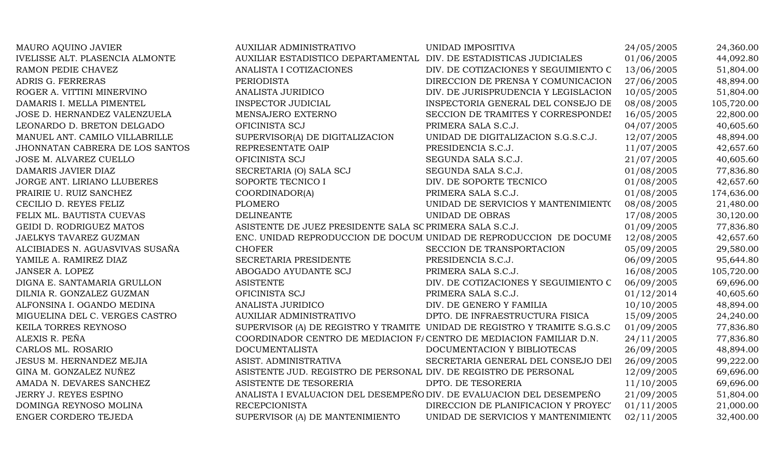| MAURO AQUINO JAVIER             | <b>AUXILIAR ADMINISTRATIVO</b>                                       | UNIDAD IMPOSITIVA                                                         | 24/05/2005 | 24,360.00  |
|---------------------------------|----------------------------------------------------------------------|---------------------------------------------------------------------------|------------|------------|
| IVELISSE ALT. PLASENCIA ALMONTE | AUXILIAR ESTADISTICO DEPARTAMENTAL DIV. DE ESTADISTICAS JUDICIALES   |                                                                           | 01/06/2005 | 44,092.80  |
| RAMON PEDIE CHAVEZ              | ANALISTA I COTIZACIONES                                              | DIV. DE COTIZACIONES Y SEGUIMIENTO C                                      | 13/06/2005 | 51,804.00  |
| ADRIS G. FERRERAS               | <b>PERIODISTA</b>                                                    | DIRECCION DE PRENSA Y COMUNICACION                                        | 27/06/2005 | 48,894.00  |
| ROGER A. VITTINI MINERVINO      | ANALISTA JURIDICO                                                    | DIV. DE JURISPRUDENCIA Y LEGISLACION                                      | 10/05/2005 | 51,804.00  |
| DAMARIS I. MELLA PIMENTEL       | <b>INSPECTOR JUDICIAL</b>                                            | INSPECTORIA GENERAL DEL CONSEJO DE                                        | 08/08/2005 | 105,720.00 |
| JOSE D. HERNANDEZ VALENZUELA    | MENSAJERO EXTERNO                                                    | SECCION DE TRAMITES Y CORRESPONDEI                                        | 16/05/2005 | 22,800.00  |
| LEONARDO D. BRETON DELGADO      | OFICINISTA SCJ                                                       | PRIMERA SALA S.C.J.                                                       | 04/07/2005 | 40,605.60  |
| MANUEL ANT. CAMILO VILLABRILLE  | SUPERVISOR(A) DE DIGITALIZACION                                      | UNIDAD DE DIGITALIZACION S.G.S.C.J.                                       | 12/07/2005 | 48,894.00  |
| JHONNATAN CABRERA DE LOS SANTOS | REPRESENTATE OAIP                                                    | PRESIDENCIA S.C.J.                                                        | 11/07/2005 | 42,657.60  |
| JOSE M. ALVAREZ CUELLO          | OFICINISTA SCJ                                                       | SEGUNDA SALA S.C.J.                                                       | 21/07/2005 | 40,605.60  |
| DAMARIS JAVIER DIAZ             | SECRETARIA (O) SALA SCJ                                              | SEGUNDA SALA S.C.J.                                                       | 01/08/2005 | 77,836.80  |
| JORGE ANT. LIRIANO LLUBERES     | SOPORTE TECNICO I                                                    | DIV. DE SOPORTE TECNICO                                                   | 01/08/2005 | 42,657.60  |
| PRAIRIE U. RUIZ SANCHEZ         | COORDINADOR(A)                                                       | PRIMERA SALA S.C.J.                                                       | 01/08/2005 | 174,636.00 |
| CECILIO D. REYES FELIZ          | <b>PLOMERO</b>                                                       | UNIDAD DE SERVICIOS Y MANTENIMIENTO                                       | 08/08/2005 | 21,480.00  |
| FELIX ML. BAUTISTA CUEVAS       | <b>DELINEANTE</b>                                                    | <b>UNIDAD DE OBRAS</b>                                                    | 17/08/2005 | 30,120.00  |
| GEIDI D. RODRIGUEZ MATOS        | ASISTENTE DE JUEZ PRESIDENTE SALA SC PRIMERA SALA S.C.J.             |                                                                           | 01/09/2005 | 77,836.80  |
| JAELKYS TAVAREZ GUZMAN          |                                                                      | ENC. UNIDAD REPRODUCCION DE DOCUM UNIDAD DE REPRODUCCION DE DOCUME        | 12/08/2005 | 42,657.60  |
| ALCIBIADES N. AGUASVIVAS SUSAÑA | <b>CHOFER</b>                                                        | SECCION DE TRANSPORTACION                                                 | 05/09/2005 | 29,580.00  |
| YAMILE A. RAMIREZ DIAZ          | SECRETARIA PRESIDENTE                                                | PRESIDENCIA S.C.J.                                                        | 06/09/2005 | 95,644.80  |
| JANSER A. LOPEZ                 | ABOGADO AYUDANTE SCJ                                                 | PRIMERA SALA S.C.J.                                                       | 16/08/2005 | 105,720.00 |
| DIGNA E. SANTAMARIA GRULLON     | <b>ASISTENTE</b>                                                     | DIV. DE COTIZACIONES Y SEGUIMIENTO C                                      | 06/09/2005 | 69,696.00  |
| DILNIA R. GONZALEZ GUZMAN       | OFICINISTA SCJ                                                       | PRIMERA SALA S.C.J.                                                       | 01/12/2014 | 40,605.60  |
| ALFONSINA I. OGANDO MEDINA      | ANALISTA JURIDICO                                                    | DIV. DE GENERO Y FAMILIA                                                  | 10/10/2005 | 48,894.00  |
| MIGUELINA DEL C. VERGES CASTRO  | AUXILIAR ADMINISTRATIVO                                              | DPTO. DE INFRAESTRUCTURA FISICA                                           | 15/09/2005 | 24,240.00  |
| KEILA TORRES REYNOSO            |                                                                      | SUPERVISOR (A) DE REGISTRO Y TRAMITE UNIDAD DE REGISTRO Y TRAMITE S.G.S.C | 01/09/2005 | 77,836.80  |
| ALEXIS R. PEÑA                  | COORDINADOR CENTRO DE MEDIACION F/CENTRO DE MEDIACION FAMILIAR D.N.  |                                                                           | 24/11/2005 | 77,836.80  |
| CARLOS ML. ROSARIO              | <b>DOCUMENTALISTA</b>                                                | DOCUMENTACION Y BIBLIOTECAS                                               | 26/09/2005 | 48,894.00  |
| JESUS M. HERNANDEZ MEJIA        | ASIST. ADMINISTRATIVA                                                | SECRETARIA GENERAL DEL CONSEJO DEI                                        | 26/09/2005 | 99,222.00  |
| GINA M. GONZALEZ NUÑEZ          | ASISTENTE JUD. REGISTRO DE PERSONAL DIV. DE REGISTRO DE PERSONAL     |                                                                           | 12/09/2005 | 69,696.00  |
| AMADA N. DEVARES SANCHEZ        | ASISTENTE DE TESORERIA                                               | DPTO. DE TESORERIA                                                        | 11/10/2005 | 69,696.00  |
| JERRY J. REYES ESPINO           | ANALISTA I EVALUACION DEL DESEMPEÑO DIV. DE EVALUACION DEL DESEMPEÑO |                                                                           | 21/09/2005 | 51,804.00  |
| DOMINGA REYNOSO MOLINA          | <b>RECEPCIONISTA</b>                                                 | DIRECCION DE PLANIFICACION Y PROYEC'                                      | 01/11/2005 | 21,000.00  |
| ENGER CORDERO TEJEDA            | SUPERVISOR (A) DE MANTENIMIENTO                                      | UNIDAD DE SERVICIOS Y MANTENIMIENTO                                       | 02/11/2005 | 32,400.00  |
|                                 |                                                                      |                                                                           |            |            |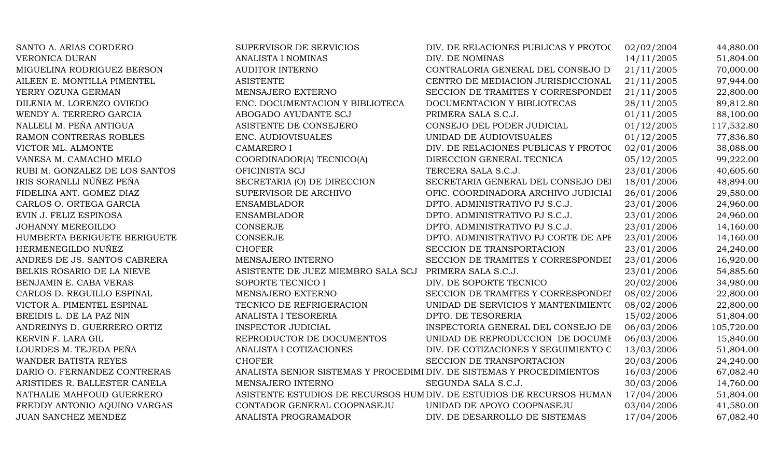| SANTO A. ARIAS CORDERO         | SUPERVISOR DE SERVICIOS                                                | DIV. DE RELACIONES PUBLICAS Y PROTOC                                  | 02/02/2004 | 44,880.00  |
|--------------------------------|------------------------------------------------------------------------|-----------------------------------------------------------------------|------------|------------|
| <b>VERONICA DURAN</b>          | ANALISTA I NOMINAS                                                     | DIV. DE NOMINAS                                                       | 14/11/2005 | 51,804.00  |
| MIGUELINA RODRIGUEZ BERSON     | <b>AUDITOR INTERNO</b>                                                 | CONTRALORIA GENERAL DEL CONSEJO D                                     | 21/11/2005 | 70,000.00  |
| AILEEN E. MONTILLA PIMENTEL    | <b>ASISTENTE</b>                                                       | CENTRO DE MEDIACION JURISDICCIONAL                                    | 21/11/2005 | 97,944.00  |
| YERRY OZUNA GERMAN             | MENSAJERO EXTERNO                                                      | SECCION DE TRAMITES Y CORRESPONDEI                                    | 21/11/2005 | 22,800.00  |
| DILENIA M. LORENZO OVIEDO      | ENC. DOCUMENTACION Y BIBLIOTECA                                        | DOCUMENTACION Y BIBLIOTECAS                                           | 28/11/2005 | 89,812.80  |
| WENDY A. TERRERO GARCIA        | ABOGADO AYUDANTE SCJ                                                   | PRIMERA SALA S.C.J.                                                   | 01/11/2005 | 88,100.00  |
| NALLELI M. PEÑA ANTIGUA        | ASISTENTE DE CONSEJERO                                                 | CONSEJO DEL PODER JUDICIAL                                            | 01/12/2005 | 117,532.80 |
| RAMON CONTRERAS ROBLES         | ENC. AUDIOVISUALES                                                     | UNIDAD DE AUDIOVISUALES                                               | 01/12/2005 | 77,836.80  |
| VICTOR ML. ALMONTE             | <b>CAMARERO I</b>                                                      | DIV. DE RELACIONES PUBLICAS Y PROTOC                                  | 02/01/2006 | 38,088.00  |
| VANESA M. CAMACHO MELO         | COORDINADOR(A) TECNICO(A)                                              | DIRECCION GENERAL TECNICA                                             | 05/12/2005 | 99,222.00  |
| RUBI M. GONZALEZ DE LOS SANTOS | OFICINISTA SCJ                                                         | TERCERA SALA S.C.J.                                                   | 23/01/2006 | 40,605.60  |
| IRIS SORANLLI NÚÑEZ PEÑA       | SECRETARIA (O) DE DIRECCION                                            | SECRETARIA GENERAL DEL CONSEJO DEI                                    | 18/01/2006 | 48,894.00  |
| FIDELINA ANT. GOMEZ DIAZ       | SUPERVISOR DE ARCHIVO                                                  | OFIC. COORDINADORA ARCHIVO JUDICIAI                                   | 26/01/2006 | 29,580.00  |
| CARLOS O. ORTEGA GARCIA        | <b>ENSAMBLADOR</b>                                                     | DPTO. ADMINISTRATIVO PJ S.C.J.                                        | 23/01/2006 | 24,960.00  |
| EVIN J. FELIZ ESPINOSA         | <b>ENSAMBLADOR</b>                                                     | DPTO. ADMINISTRATIVO PJ S.C.J.                                        | 23/01/2006 | 24,960.00  |
| <b>JOHANNY MEREGILDO</b>       | <b>CONSERJE</b>                                                        | DPTO. ADMINISTRATIVO PJ S.C.J.                                        | 23/01/2006 | 14,160.00  |
| HUMBERTA BERIGUETE BERIGUETE   | <b>CONSERJE</b>                                                        | DPTO. ADMINISTRATIVO PJ CORTE DE APF                                  | 23/01/2006 | 14,160.00  |
| HERMENEGILDO NUÑEZ             | <b>CHOFER</b>                                                          | SECCION DE TRANSPORTACION                                             | 23/01/2006 | 24,240.00  |
| ANDRES DE JS. SANTOS CABRERA   | MENSAJERO INTERNO                                                      | SECCION DE TRAMITES Y CORRESPONDEI                                    | 23/01/2006 | 16,920.00  |
| BELKIS ROSARIO DE LA NIEVE     | ASISTENTE DE JUEZ MIEMBRO SALA SCJ PRIMERA SALA S.C.J.                 |                                                                       | 23/01/2006 | 54,885.60  |
| BENJAMIN E. CABA VERAS         | SOPORTE TECNICO I                                                      | DIV. DE SOPORTE TECNICO                                               | 20/02/2006 | 34,980.00  |
| CARLOS D. REGUILLO ESPINAL     | MENSAJERO EXTERNO                                                      | SECCION DE TRAMITES Y CORRESPONDEI                                    | 08/02/2006 | 22,800.00  |
| VICTOR A. PIMENTEL ESPINAL     | TECNICO DE REFRIGERACION                                               | UNIDAD DE SERVICIOS Y MANTENIMIENTO                                   | 08/02/2006 | 22,800.00  |
| BREIDIS L. DE LA PAZ NIN       | ANALISTA I TESORERIA                                                   | DPTO. DE TESORERIA                                                    | 15/02/2006 | 51,804.00  |
| ANDREINYS D. GUERRERO ORTIZ    | <b>INSPECTOR JUDICIAL</b>                                              | INSPECTORIA GENERAL DEL CONSEJO DE                                    | 06/03/2006 | 105,720.00 |
| KERVIN F. LARA GIL             | REPRODUCTOR DE DOCUMENTOS                                              | UNIDAD DE REPRODUCCION DE DOCUME                                      | 06/03/2006 | 15,840.00  |
| LOURDES M. TEJEDA PEÑA         | ANALISTA I COTIZACIONES                                                | DIV. DE COTIZACIONES Y SEGUIMIENTO C                                  | 13/03/2006 | 51,804.00  |
| WANDER BATISTA REYES           | <b>CHOFER</b>                                                          | SECCION DE TRANSPORTACION                                             | 20/03/2006 | 24,240.00  |
| DARIO O. FERNANDEZ CONTRERAS   | ANALISTA SENIOR SISTEMAS Y PROCEDIMI DIV. DE SISTEMAS Y PROCEDIMIENTOS |                                                                       | 16/03/2006 | 67,082.40  |
| ARISTIDES R. BALLESTER CANELA  | MENSAJERO INTERNO                                                      | SEGUNDA SALA S.C.J.                                                   | 30/03/2006 | 14,760.00  |
| NATHALIE MAHFOUD GUERRERO      |                                                                        | ASISTENTE ESTUDIOS DE RECURSOS HUM DIV. DE ESTUDIOS DE RECURSOS HUMAN | 17/04/2006 | 51,804.00  |
| FREDDY ANTONIO AQUINO VARGAS   | CONTADOR GENERAL COOPNASEJU                                            | UNIDAD DE APOYO COOPNASEJU                                            | 03/04/2006 | 41,580.00  |
| JUAN SANCHEZ MENDEZ            | ANALISTA PROGRAMADOR                                                   | DIV. DE DESARROLLO DE SISTEMAS                                        | 17/04/2006 | 67,082.40  |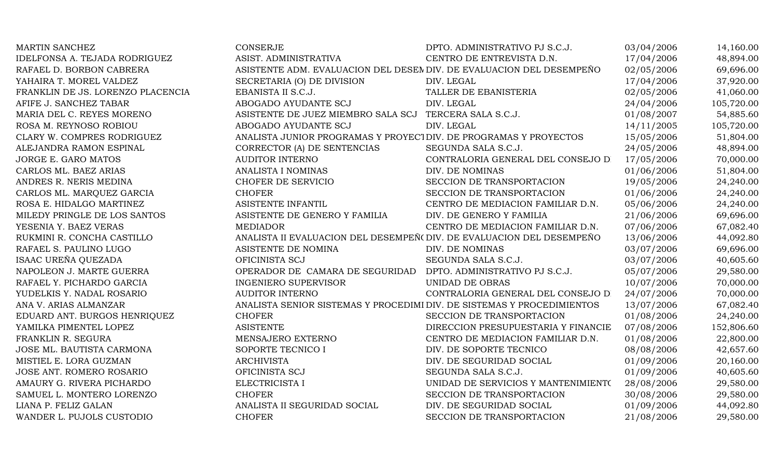| <b>MARTIN SANCHEZ</b>             | <b>CONSERJE</b>                                                        | DPTO. ADMINISTRATIVO PJ S.C.J.      | 03/04/2006 | 14,160.00  |
|-----------------------------------|------------------------------------------------------------------------|-------------------------------------|------------|------------|
| IDELFONSA A. TEJADA RODRIGUEZ     | ASIST. ADMINISTRATIVA                                                  | CENTRO DE ENTREVISTA D.N.           | 17/04/2006 | 48,894.00  |
| RAFAEL D. BORBON CABRERA          | ASISTENTE ADM. EVALUACION DEL DESEM DIV. DE EVALUACION DEL DESEMPEÑO   |                                     | 02/05/2006 | 69,696.00  |
| YAHAIRA T. MOREL VALDEZ           | SECRETARIA (O) DE DIVISION                                             | DIV. LEGAL                          | 17/04/2006 | 37,920.00  |
| FRANKLIN DE JS. LORENZO PLACENCIA | EBANISTA II S.C.J.                                                     | TALLER DE EBANISTERIA               | 02/05/2006 | 41,060.00  |
| AFIFE J. SANCHEZ TABAR            | ABOGADO AYUDANTE SCJ                                                   | DIV. LEGAL                          | 24/04/2006 | 105,720.00 |
| MARIA DEL C. REYES MORENO         | ASISTENTE DE JUEZ MIEMBRO SALA SCJ TERCERA SALA S.C.J.                 |                                     | 01/08/2007 | 54,885.60  |
| ROSA M. REYNOSO ROBIOU            | ABOGADO AYUDANTE SCJ                                                   | DIV. LEGAL                          | 14/11/2005 | 105,720.00 |
| CLARY W. COMPRES RODRIGUEZ        | ANALISTA JUNIOR PROGRAMAS Y PROYECTOIV. DE PROGRAMAS Y PROYECTOS       |                                     | 15/05/2006 | 51,804.00  |
| ALEJANDRA RAMON ESPINAL           | CORRECTOR (A) DE SENTENCIAS                                            | SEGUNDA SALA S.C.J.                 | 24/05/2006 | 48,894.00  |
| JORGE E. GARO MATOS               | <b>AUDITOR INTERNO</b>                                                 | CONTRALORIA GENERAL DEL CONSEJO D   | 17/05/2006 | 70,000.00  |
| CARLOS ML. BAEZ ARIAS             | ANALISTA I NOMINAS                                                     | DIV. DE NOMINAS                     | 01/06/2006 | 51,804.00  |
| ANDRES R. NERIS MEDINA            | CHOFER DE SERVICIO                                                     | SECCION DE TRANSPORTACION           | 19/05/2006 | 24,240.00  |
| CARLOS ML. MARQUEZ GARCIA         | <b>CHOFER</b>                                                          | SECCION DE TRANSPORTACION           | 01/06/2006 | 24,240.00  |
| ROSA E. HIDALGO MARTINEZ          | ASISTENTE INFANTIL                                                     | CENTRO DE MEDIACION FAMILIAR D.N.   | 05/06/2006 | 24,240.00  |
| MILEDY PRINGLE DE LOS SANTOS      | ASISTENTE DE GENERO Y FAMILIA                                          | DIV. DE GENERO Y FAMILIA            | 21/06/2006 | 69,696.00  |
| YESENIA Y. BAEZ VERAS             | <b>MEDIADOR</b>                                                        | CENTRO DE MEDIACION FAMILIAR D.N.   | 07/06/2006 | 67,082.40  |
| RUKMINI R. CONCHA CASTILLO        | ANALISTA II EVALUACION DEL DESEMPEÑ(DIV. DE EVALUACION DEL DESEMPEÑO   |                                     | 13/06/2006 | 44,092.80  |
| RAFAEL S. PAULINO LUGO            | ASISTENTE DE NOMINA                                                    | DIV. DE NOMINAS                     | 03/07/2006 | 69,696.00  |
| ISAAC UREÑA QUEZADA               | OFICINISTA SCJ                                                         | SEGUNDA SALA S.C.J.                 | 03/07/2006 | 40,605.60  |
| NAPOLEON J. MARTE GUERRA          | OPERADOR DE CAMARA DE SEGURIDAD                                        | DPTO. ADMINISTRATIVO PJ S.C.J.      | 05/07/2006 | 29,580.00  |
| RAFAEL Y. PICHARDO GARCIA         | <b>INGENIERO SUPERVISOR</b>                                            | UNIDAD DE OBRAS                     | 10/07/2006 | 70,000.00  |
| YUDELKIS Y. NADAL ROSARIO         | AUDITOR INTERNO                                                        | CONTRALORIA GENERAL DEL CONSEJO DI  | 24/07/2006 | 70,000.00  |
| ANA V. ARIAS ALMANZAR             | ANALISTA SENIOR SISTEMAS Y PROCEDIMI DIV. DE SISTEMAS Y PROCEDIMIENTOS |                                     | 13/07/2006 | 67,082.40  |
| EDUARD ANT. BURGOS HENRIQUEZ      | <b>CHOFER</b>                                                          | SECCION DE TRANSPORTACION           | 01/08/2006 | 24,240.00  |
| YAMILKA PIMENTEL LOPEZ            | <b>ASISTENTE</b>                                                       | DIRECCION PRESUPUESTARIA Y FINANCIE | 07/08/2006 | 152,806.60 |
| FRANKLIN R. SEGURA                | MENSAJERO EXTERNO                                                      | CENTRO DE MEDIACION FAMILIAR D.N.   | 01/08/2006 | 22,800.00  |
| JOSE ML. BAUTISTA CARMONA         | SOPORTE TECNICO I                                                      | DIV. DE SOPORTE TECNICO             | 08/08/2006 | 42,657.60  |
| MISTIEL E. LORA GUZMAN            | <b>ARCHIVISTA</b>                                                      | DIV. DE SEGURIDAD SOCIAL            | 01/09/2006 | 20,160.00  |
| JOSE ANT. ROMERO ROSARIO          | OFICINISTA SCJ                                                         | SEGUNDA SALA S.C.J.                 | 01/09/2006 | 40,605.60  |
| AMAURY G. RIVERA PICHARDO         | ELECTRICISTA I                                                         | UNIDAD DE SERVICIOS Y MANTENIMIENTO | 28/08/2006 | 29,580.00  |
| SAMUEL L. MONTERO LORENZO         | <b>CHOFER</b>                                                          | SECCION DE TRANSPORTACION           | 30/08/2006 | 29,580.00  |
| LIANA P. FELIZ GALAN              | ANALISTA II SEGURIDAD SOCIAL                                           | DIV. DE SEGURIDAD SOCIAL            | 01/09/2006 | 44,092.80  |
| WANDER L. PUJOLS CUSTODIO         | <b>CHOFER</b>                                                          | SECCION DE TRANSPORTACION           | 21/08/2006 | 29,580.00  |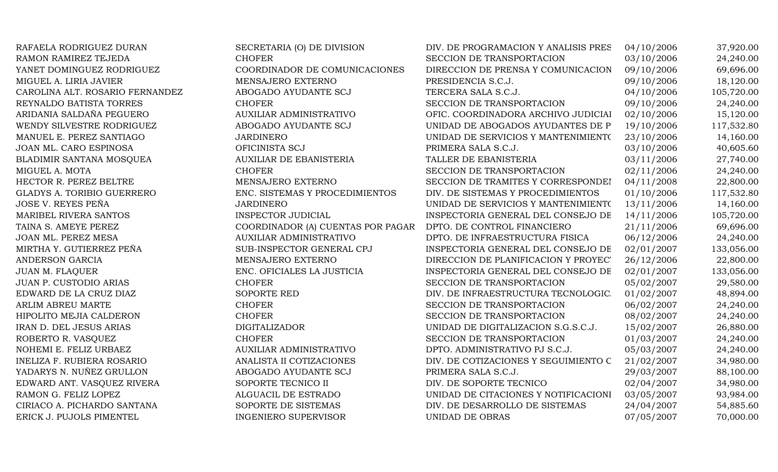| RAFAELA RODRIGUEZ DURAN           | SECRETARIA (O) DE DIVISION        | DIV. DE PROGRAMACION Y ANALISIS PRES | 04/10/2006 | 37,920.00  |
|-----------------------------------|-----------------------------------|--------------------------------------|------------|------------|
| RAMON RAMIREZ TEJEDA              | <b>CHOFER</b>                     | SECCION DE TRANSPORTACION            | 03/10/2006 | 24,240.00  |
| YANET DOMINGUEZ RODRIGUEZ         | COORDINADOR DE COMUNICACIONES     | DIRECCION DE PRENSA Y COMUNICACION   | 09/10/2006 | 69,696.00  |
| MIGUEL A. LIRIA JAVIER            | MENSAJERO EXTERNO                 | PRESIDENCIA S.C.J.                   | 09/10/2006 | 18,120.00  |
| CAROLINA ALT. ROSARIO FERNANDEZ   | ABOGADO AYUDANTE SCJ              | TERCERA SALA S.C.J.                  | 04/10/2006 | 105,720.00 |
| REYNALDO BATISTA TORRES           | <b>CHOFER</b>                     | SECCION DE TRANSPORTACION            | 09/10/2006 | 24,240.00  |
| ARIDANIA SALDAÑA PEGUERO          | AUXILIAR ADMINISTRATIVO           | OFIC. COORDINADORA ARCHIVO JUDICIAI  | 02/10/2006 | 15,120.00  |
| WENDY SILVESTRE RODRIGUEZ         | ABOGADO AYUDANTE SCJ              | UNIDAD DE ABOGADOS AYUDANTES DE P    | 19/10/2006 | 117,532.80 |
| MANUEL E. PEREZ SANTIAGO          | <b>JARDINERO</b>                  | UNIDAD DE SERVICIOS Y MANTENIMIENTO  | 23/10/2006 | 14,160.00  |
| JOAN ML. CARO ESPINOSA            | OFICINISTA SCJ                    | PRIMERA SALA S.C.J.                  | 03/10/2006 | 40,605.60  |
| BLADIMIR SANTANA MOSQUEA          | <b>AUXILIAR DE EBANISTERIA</b>    | TALLER DE EBANISTERIA                | 03/11/2006 | 27,740.00  |
| MIGUEL A. MOTA                    | <b>CHOFER</b>                     | SECCION DE TRANSPORTACION            | 02/11/2006 | 24,240.00  |
| HECTOR R. PEREZ BELTRE            | MENSAJERO EXTERNO                 | SECCION DE TRAMITES Y CORRESPONDEI   | 04/11/2008 | 22,800.00  |
| <b>GLADYS A. TORIBIO GUERRERO</b> | ENC. SISTEMAS Y PROCEDIMIENTOS    | DIV. DE SISTEMAS Y PROCEDIMIENTOS    | 01/10/2006 | 117,532.80 |
| <b>JOSE V. REYES PEÑA</b>         | <b>JARDINERO</b>                  | UNIDAD DE SERVICIOS Y MANTENIMIENTO  | 13/11/2006 | 14,160.00  |
| MARIBEL RIVERA SANTOS             | <b>INSPECTOR JUDICIAL</b>         | INSPECTORIA GENERAL DEL CONSEJO DE   | 14/11/2006 | 105,720.00 |
| TAINA S. AMEYE PEREZ              | COORDINADOR (A) CUENTAS POR PAGAR | DPTO. DE CONTROL FINANCIERO          | 21/11/2006 | 69,696.00  |
| JOAN ML. PEREZ MESA               | AUXILIAR ADMINISTRATIVO           | DPTO. DE INFRAESTRUCTURA FISICA      | 06/12/2006 | 24,240.00  |
| MIRTHA Y. GUTIERREZ PEÑA          | SUB-INSPECTOR GENERAL CPJ         | INSPECTORIA GENERAL DEL CONSEJO DE   | 02/01/2007 | 133,056.00 |
| ANDERSON GARCIA                   | MENSAJERO EXTERNO                 | DIRECCION DE PLANIFICACION Y PROYEC' | 26/12/2006 | 22,800.00  |
| <b>JUAN M. FLAQUER</b>            | ENC. OFICIALES LA JUSTICIA        | INSPECTORIA GENERAL DEL CONSEJO DE   | 02/01/2007 | 133,056.00 |
| <b>JUAN P. CUSTODIO ARIAS</b>     | <b>CHOFER</b>                     | SECCION DE TRANSPORTACION            | 05/02/2007 | 29,580.00  |
| EDWARD DE LA CRUZ DIAZ            | SOPORTE RED                       | DIV. DE INFRAESTRUCTURA TECNOLOGIC.  | 01/02/2007 | 48,894.00  |
| ARLIM ABREU MARTE                 | <b>CHOFER</b>                     | SECCION DE TRANSPORTACION            | 06/02/2007 | 24,240.00  |
| HIPOLITO MEJIA CALDERON           | <b>CHOFER</b>                     | SECCION DE TRANSPORTACION            | 08/02/2007 | 24,240.00  |
| IRAN D. DEL JESUS ARIAS           | <b>DIGITALIZADOR</b>              | UNIDAD DE DIGITALIZACION S.G.S.C.J.  | 15/02/2007 | 26,880.00  |
| ROBERTO R. VASQUEZ                | <b>CHOFER</b>                     | SECCION DE TRANSPORTACION            | 01/03/2007 | 24,240.00  |
| NOHEMI E. FELIZ URBAEZ            | AUXILIAR ADMINISTRATIVO           | DPTO. ADMINISTRATIVO PJ S.C.J.       | 05/03/2007 | 24,240.00  |
| <b>INELIZA F. RUBIERA ROSARIO</b> | ANALISTA II COTIZACIONES          | DIV. DE COTIZACIONES Y SEGUIMIENTO C | 21/02/2007 | 34,980.00  |
| YADARYS N. NUÑEZ GRULLON          | ABOGADO AYUDANTE SCJ              | PRIMERA SALA S.C.J.                  | 29/03/2007 | 88,100.00  |
| EDWARD ANT. VASQUEZ RIVERA        | SOPORTE TECNICO II                | DIV. DE SOPORTE TECNICO              | 02/04/2007 | 34,980.00  |
| RAMON G. FELIZ LOPEZ              | ALGUACIL DE ESTRADO               | UNIDAD DE CITACIONES Y NOTIFICACIONI | 03/05/2007 | 93,984.00  |
| CIRIACO A. PICHARDO SANTANA       | SOPORTE DE SISTEMAS               | DIV. DE DESARROLLO DE SISTEMAS       | 24/04/2007 | 54,885.60  |
| ERICK J. PUJOLS PIMENTEL          | <b>INGENIERO SUPERVISOR</b>       | <b>UNIDAD DE OBRAS</b>               | 07/05/2007 | 70,000.00  |
|                                   |                                   |                                      |            |            |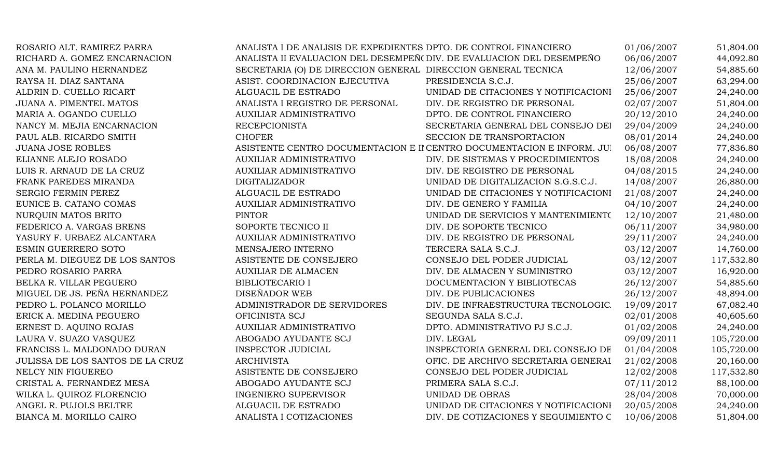| ROSARIO ALT. RAMIREZ PARRA       | ANALISTA I DE ANALISIS DE EXPEDIENTES DPTO. DE CONTROL FINANCIERO     |                                                                        | 01/06/2007 | 51,804.00  |
|----------------------------------|-----------------------------------------------------------------------|------------------------------------------------------------------------|------------|------------|
| RICHARD A. GOMEZ ENCARNACION     | ANALISTA II EVALUACION DEL DESEMPEÑ (DIV. DE EVALUACION DEL DESEMPEÑO |                                                                        | 06/06/2007 | 44,092.80  |
| ANA M. PAULINO HERNANDEZ         | SECRETARIA (O) DE DIRECCION GENERAL DIRECCION GENERAL TECNICA         |                                                                        | 12/06/2007 | 54,885.60  |
| RAYSA H. DIAZ SANTANA            | ASIST. COORDINACION EJECUTIVA                                         | PRESIDENCIA S.C.J.                                                     | 25/06/2007 | 63,294.00  |
| ALDRIN D. CUELLO RICART          | ALGUACIL DE ESTRADO                                                   | UNIDAD DE CITACIONES Y NOTIFICACIONI                                   | 25/06/2007 | 24,240.00  |
| <b>JUANA A. PIMENTEL MATOS</b>   | ANALISTA I REGISTRO DE PERSONAL                                       | DIV. DE REGISTRO DE PERSONAL                                           | 02/07/2007 | 51,804.00  |
| MARIA A. OGANDO CUELLO           | AUXILIAR ADMINISTRATIVO                                               | DPTO. DE CONTROL FINANCIERO                                            | 20/12/2010 | 24,240.00  |
| NANCY M. MEJIA ENCARNACION       | <b>RECEPCIONISTA</b>                                                  | SECRETARIA GENERAL DEL CONSEJO DEI                                     | 29/04/2009 | 24,240.00  |
| PAUL ALB. RICARDO SMITH          | <b>CHOFER</b>                                                         | SECCION DE TRANSPORTACION                                              | 08/01/2014 | 24,240.00  |
| <b>JUANA JOSE ROBLES</b>         |                                                                       | ASISTENTE CENTRO DOCUMENTACION E II CENTRO DOCUMENTACION E INFORM. JUI | 06/08/2007 | 77,836.80  |
| ELIANNE ALEJO ROSADO             | <b>AUXILIAR ADMINISTRATIVO</b>                                        | DIV. DE SISTEMAS Y PROCEDIMIENTOS                                      | 18/08/2008 | 24,240.00  |
| LUIS R. ARNAUD DE LA CRUZ        | <b>AUXILIAR ADMINISTRATIVO</b>                                        | DIV. DE REGISTRO DE PERSONAL                                           | 04/08/2015 | 24,240.00  |
| FRANK PAREDES MIRANDA            | <b>DIGITALIZADOR</b>                                                  | UNIDAD DE DIGITALIZACION S.G.S.C.J.                                    | 14/08/2007 | 26,880.00  |
| SERGIO FERMIN PEREZ              | ALGUACIL DE ESTRADO                                                   | UNIDAD DE CITACIONES Y NOTIFICACIONI                                   | 21/08/2007 | 24,240.00  |
| EUNICE B. CATANO COMAS           | AUXILIAR ADMINISTRATIVO                                               | DIV. DE GENERO Y FAMILIA                                               | 04/10/2007 | 24,240.00  |
| NURQUIN MATOS BRITO              | <b>PINTOR</b>                                                         | UNIDAD DE SERVICIOS Y MANTENIMIENTO                                    | 12/10/2007 | 21,480.00  |
| FEDERICO A. VARGAS BRENS         | SOPORTE TECNICO II                                                    | DIV. DE SOPORTE TECNICO                                                | 06/11/2007 | 34,980.00  |
| YASURY F. URBAEZ ALCANTARA       | <b>AUXILIAR ADMINISTRATIVO</b>                                        | DIV. DE REGISTRO DE PERSONAL                                           | 29/11/2007 | 24,240.00  |
| ESMIN GUERRERO SOTO              | MENSAJERO INTERNO                                                     | TERCERA SALA S.C.J.                                                    | 03/12/2007 | 14,760.00  |
| PERLA M. DIEGUEZ DE LOS SANTOS   | ASISTENTE DE CONSEJERO                                                | CONSEJO DEL PODER JUDICIAL                                             | 03/12/2007 | 117,532.80 |
| PEDRO ROSARIO PARRA              | <b>AUXILIAR DE ALMACEN</b>                                            | DIV. DE ALMACEN Y SUMINISTRO                                           | 03/12/2007 | 16,920.00  |
| BELKA R. VILLAR PEGUERO          | <b>BIBLIOTECARIO I</b>                                                | DOCUMENTACION Y BIBLIOTECAS                                            | 26/12/2007 | 54,885.60  |
| MIGUEL DE JS. PEÑA HERNANDEZ     | DISEÑADOR WEB                                                         | DIV. DE PUBLICACIONES                                                  | 26/12/2007 | 48,894.00  |
| PEDRO L. POLANCO MORILLO         | ADMINISTRADOR DE SERVIDORES                                           | DIV. DE INFRAESTRUCTURA TECNOLOGIC.                                    | 19/09/2017 | 67,082.40  |
| ERICK A. MEDINA PEGUERO          | OFICINISTA SCJ                                                        | SEGUNDA SALA S.C.J.                                                    | 02/01/2008 | 40,605.60  |
| ERNEST D. AQUINO ROJAS           | <b>AUXILIAR ADMINISTRATIVO</b>                                        | DPTO. ADMINISTRATIVO PJ S.C.J.                                         | 01/02/2008 | 24,240.00  |
| LAURA V. SUAZO VASQUEZ           | ABOGADO AYUDANTE SCJ                                                  | DIV. LEGAL                                                             | 09/09/2011 | 105,720.00 |
| FRANCISS L. MALDONADO DURAN      | <b>INSPECTOR JUDICIAL</b>                                             | INSPECTORIA GENERAL DEL CONSEJO DE                                     | 01/04/2008 | 105,720.00 |
| JULISSA DE LOS SANTOS DE LA CRUZ | <b>ARCHIVISTA</b>                                                     | OFIC. DE ARCHIVO SECRETARIA GENERAI                                    | 21/02/2008 | 20,160.00  |
| NELCY NIN FIGUEREO               | ASISTENTE DE CONSEJERO                                                | CONSEJO DEL PODER JUDICIAL                                             | 12/02/2008 | 117,532.80 |
| CRISTAL A. FERNANDEZ MESA        | ABOGADO AYUDANTE SCJ                                                  | PRIMERA SALA S.C.J.                                                    | 07/11/2012 | 88,100.00  |
| WILKA L. QUIROZ FLORENCIO        | <b>INGENIERO SUPERVISOR</b>                                           | UNIDAD DE OBRAS                                                        | 28/04/2008 | 70,000.00  |
| ANGEL R. PUJOLS BELTRE           | ALGUACIL DE ESTRADO                                                   | UNIDAD DE CITACIONES Y NOTIFICACIONI                                   | 20/05/2008 | 24,240.00  |
| BIANCA M. MORILLO CAIRO          | ANALISTA I COTIZACIONES                                               | DIV. DE COTIZACIONES Y SEGUIMIENTO C                                   | 10/06/2008 | 51,804.00  |
|                                  |                                                                       |                                                                        |            |            |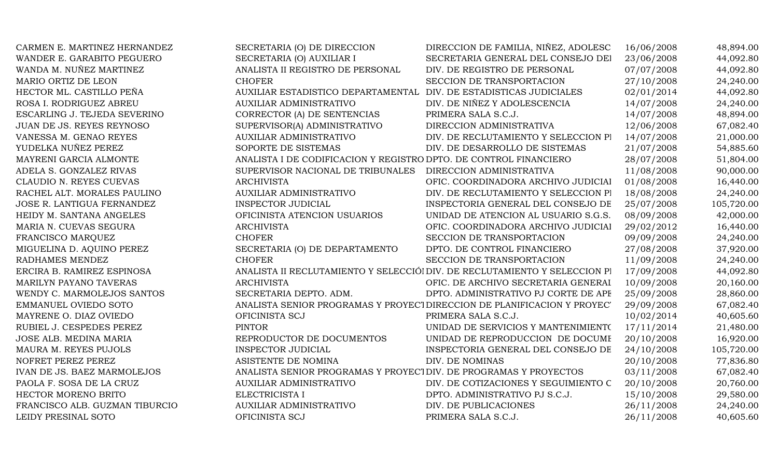| CARMEN E. MARTINEZ HERNANDEZ   | SECRETARIA (O) DE DIRECCION                                        | DIRECCION DE FAMILIA, NIÑEZ, ADOLESC                                       | 16/06/2008 | 48,894.00  |
|--------------------------------|--------------------------------------------------------------------|----------------------------------------------------------------------------|------------|------------|
| WANDER E. GARABITO PEGUERO     | SECRETARIA (O) AUXILIAR I                                          | SECRETARIA GENERAL DEL CONSEJO DEI                                         | 23/06/2008 | 44,092.80  |
| WANDA M. NUÑEZ MARTINEZ        | ANALISTA II REGISTRO DE PERSONAL                                   | DIV. DE REGISTRO DE PERSONAL                                               | 07/07/2008 | 44,092.80  |
| MARIO ORTIZ DE LEON            | <b>CHOFER</b>                                                      | SECCION DE TRANSPORTACION                                                  | 27/10/2008 | 24,240.00  |
| HECTOR ML. CASTILLO PEÑA       | AUXILIAR ESTADISTICO DEPARTAMENTAL DIV. DE ESTADISTICAS JUDICIALES |                                                                            | 02/01/2014 | 44,092.80  |
| ROSA I. RODRIGUEZ ABREU        | <b>AUXILIAR ADMINISTRATIVO</b>                                     | DIV. DE NIÑEZ Y ADOLESCENCIA                                               | 14/07/2008 | 24,240.00  |
| ESCARLING J. TEJEDA SEVERINO   | CORRECTOR (A) DE SENTENCIAS                                        | PRIMERA SALA S.C.J.                                                        | 14/07/2008 | 48,894.00  |
| JUAN DE JS. REYES REYNOSO      | SUPERVISOR(A) ADMINISTRATIVO                                       | DIRECCION ADMINISTRATIVA                                                   | 12/06/2008 | 67,082.40  |
| VANESSA M. GENAO REYES         | AUXILIAR ADMINISTRATIVO                                            | DIV. DE RECLUTAMIENTO Y SELECCION PI                                       | 14/07/2008 | 21,000.00  |
| YUDELKA NUÑEZ PEREZ            | SOPORTE DE SISTEMAS                                                | DIV. DE DESARROLLO DE SISTEMAS                                             | 21/07/2008 | 54,885.60  |
| MAYRENI GARCIA ALMONTE         | ANALISTA I DE CODIFICACION Y REGISTRO DPTO. DE CONTROL FINANCIERO  |                                                                            | 28/07/2008 | 51,804.00  |
| ADELA S. GONZALEZ RIVAS        | SUPERVISOR NACIONAL DE TRIBUNALES                                  | DIRECCION ADMINISTRATIVA                                                   | 11/08/2008 | 90,000.00  |
| CLAUDIO N. REYES CUEVAS        | <b>ARCHIVISTA</b>                                                  | OFIC. COORDINADORA ARCHIVO JUDICIAI                                        | 01/08/2008 | 16,440.00  |
| RACHEL ALT. MORALES PAULINO    | AUXILIAR ADMINISTRATIVO                                            | DIV. DE RECLUTAMIENTO Y SELECCION PI                                       | 18/08/2008 | 24,240.00  |
| JOSE R. LANTIGUA FERNANDEZ     | <b>INSPECTOR JUDICIAL</b>                                          | INSPECTORIA GENERAL DEL CONSEJO DE                                         | 25/07/2008 | 105,720.00 |
| HEIDY M. SANTANA ANGELES       | OFICINISTA ATENCION USUARIOS                                       | UNIDAD DE ATENCION AL USUARIO S.G.S.                                       | 08/09/2008 | 42,000.00  |
| MARIA N. CUEVAS SEGURA         | <b>ARCHIVISTA</b>                                                  | OFIC. COORDINADORA ARCHIVO JUDICIAI                                        | 29/02/2012 | 16,440.00  |
| FRANCISCO MARQUEZ              | <b>CHOFER</b>                                                      | SECCION DE TRANSPORTACION                                                  | 09/09/2008 | 24,240.00  |
| MIGUELINA D. AQUINO PEREZ      | SECRETARIA (O) DE DEPARTAMENTO                                     | DPTO. DE CONTROL FINANCIERO                                                | 27/08/2008 | 37,920.00  |
| RADHAMES MENDEZ                | <b>CHOFER</b>                                                      | SECCION DE TRANSPORTACION                                                  | 11/09/2008 | 24,240.00  |
| ERCIRA B. RAMIREZ ESPINOSA     |                                                                    | ANALISTA II RECLUTAMIENTO Y SELECCIÓI DIV. DE RECLUTAMIENTO Y SELECCION PI | 17/09/2008 | 44,092.80  |
| MARILYN PAYANO TAVERAS         | <b>ARCHIVISTA</b>                                                  | OFIC. DE ARCHIVO SECRETARIA GENERAI                                        | 10/09/2008 | 20,160.00  |
| WENDY C. MARMOLEJOS SANTOS     | SECRETARIA DEPTO. ADM.                                             | DPTO. ADMINISTRATIVO PJ CORTE DE APF                                       | 25/09/2008 | 28,860.00  |
| EMMANUEL OVIEDO SOTO           |                                                                    | ANALISTA SENIOR PROGRAMAS Y PROYECT DIRECCION DE PLANIFICACION Y PROYEC'   | 29/09/2008 | 67,082.40  |
| MAYRENE O. DIAZ OVIEDO         | OFICINISTA SCJ                                                     | PRIMERA SALA S.C.J.                                                        | 10/02/2014 | 40,605.60  |
| RUBIEL J. CESPEDES PEREZ       | <b>PINTOR</b>                                                      | UNIDAD DE SERVICIOS Y MANTENIMIENTO                                        | 17/11/2014 | 21,480.00  |
| JOSE ALB. MEDINA MARIA         | REPRODUCTOR DE DOCUMENTOS                                          | UNIDAD DE REPRODUCCION DE DOCUME                                           | 20/10/2008 | 16,920.00  |
| MAURA M. REYES PUJOLS          | <b>INSPECTOR JUDICIAL</b>                                          | INSPECTORIA GENERAL DEL CONSEJO DE                                         | 24/10/2008 | 105,720.00 |
| NOFRET PEREZ PEREZ             | ASISTENTE DE NOMINA                                                | DIV. DE NOMINAS                                                            | 20/10/2008 | 77,836.80  |
| IVAN DE JS. BAEZ MARMOLEJOS    | ANALISTA SENIOR PROGRAMAS Y PROYECTOIV. DE PROGRAMAS Y PROYECTOS   |                                                                            | 03/11/2008 | 67,082.40  |
| PAOLA F. SOSA DE LA CRUZ       | <b>AUXILIAR ADMINISTRATIVO</b>                                     | DIV. DE COTIZACIONES Y SEGUIMIENTO C                                       | 20/10/2008 | 20,760.00  |
| HECTOR MORENO BRITO            | ELECTRICISTA I                                                     | DPTO. ADMINISTRATIVO PJ S.C.J.                                             | 15/10/2008 | 29,580.00  |
| FRANCISCO ALB. GUZMAN TIBURCIO | AUXILIAR ADMINISTRATIVO                                            | DIV. DE PUBLICACIONES                                                      | 26/11/2008 | 24,240.00  |
| LEIDY PRESINAL SOTO            | OFICINISTA SCJ                                                     | PRIMERA SALA S.C.J.                                                        | 26/11/2008 | 40,605.60  |
|                                |                                                                    |                                                                            |            |            |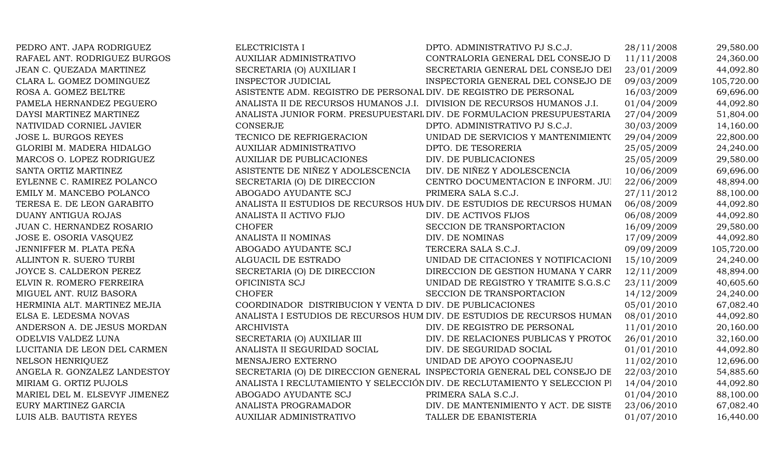| PEDRO ANT. JAPA RODRIGUEZ     | ELECTRICISTA I                                                         | DPTO. ADMINISTRATIVO PJ S.C.J.                                            | 28/11/2008 | 29,580.00  |
|-------------------------------|------------------------------------------------------------------------|---------------------------------------------------------------------------|------------|------------|
| RAFAEL ANT. RODRIGUEZ BURGOS  | AUXILIAR ADMINISTRATIVO                                                | CONTRALORIA GENERAL DEL CONSEJO D                                         | 11/11/2008 | 24,360.00  |
| JEAN C. QUEZADA MARTINEZ      | SECRETARIA (O) AUXILIAR I                                              | SECRETARIA GENERAL DEL CONSEJO DEI                                        | 23/01/2009 | 44,092.80  |
| CLARA L. GOMEZ DOMINGUEZ      | <b>INSPECTOR JUDICIAL</b>                                              | INSPECTORIA GENERAL DEL CONSEJO DE                                        | 09/03/2009 | 105,720.00 |
| ROSA A. GOMEZ BELTRE          | ASISTENTE ADM. REGISTRO DE PERSONAL DIV. DE REGISTRO DE PERSONAL       |                                                                           | 16/03/2009 | 69,696.00  |
| PAMELA HERNANDEZ PEGUERO      | ANALISTA II DE RECURSOS HUMANOS J.I. DIVISION DE RECURSOS HUMANOS J.I. |                                                                           | 01/04/2009 | 44,092.80  |
| DAYSI MARTINEZ MARTINEZ       |                                                                        | ANALISTA JUNIOR FORM. PRESUPUESTARL DIV. DE FORMULACION PRESUPUESTARIA    | 27/04/2009 | 51,804.00  |
| NATIVIDAD CORNIEL JAVIER      | <b>CONSERJE</b>                                                        | DPTO. ADMINISTRATIVO PJ S.C.J.                                            | 30/03/2009 | 14,160.00  |
| <b>JOSE L. BURGOS REYES</b>   | TECNICO DE REFRIGERACION                                               | UNIDAD DE SERVICIOS Y MANTENIMIENTO                                       | 29/04/2009 | 22,800.00  |
| GLORIBI M. MADERA HIDALGO     | <b>AUXILIAR ADMINISTRATIVO</b>                                         | DPTO. DE TESORERIA                                                        | 25/05/2009 | 24,240.00  |
| MARCOS O. LOPEZ RODRIGUEZ     | <b>AUXILIAR DE PUBLICACIONES</b>                                       | DIV. DE PUBLICACIONES                                                     | 25/05/2009 | 29,580.00  |
| SANTA ORTIZ MARTINEZ          | ASISTENTE DE NIÑEZ Y ADOLESCENCIA                                      | DIV. DE NIÑEZ Y ADOLESCENCIA                                              | 10/06/2009 | 69,696.00  |
| EYLENNE C. RAMIREZ POLANCO    | SECRETARIA (O) DE DIRECCION                                            | CENTRO DOCUMENTACION E INFORM. JUI                                        | 22/06/2009 | 48,894.00  |
| EMILY M. MANCEBO POLANCO      | ABOGADO AYUDANTE SCJ                                                   | PRIMERA SALA S.C.J.                                                       | 27/11/2012 | 88,100.00  |
| TERESA E. DE LEON GARABITO    |                                                                        | ANALISTA II ESTUDIOS DE RECURSOS HUNDIV. DE ESTUDIOS DE RECURSOS HUMAN    | 06/08/2009 | 44,092.80  |
| DUANY ANTIGUA ROJAS           | ANALISTA II ACTIVO FIJO                                                | DIV. DE ACTIVOS FIJOS                                                     | 06/08/2009 | 44,092.80  |
| JUAN C. HERNANDEZ ROSARIO     | <b>CHOFER</b>                                                          | SECCION DE TRANSPORTACION                                                 | 16/09/2009 | 29,580.00  |
| JOSE E. OSORIA VASQUEZ        | ANALISTA II NOMINAS                                                    | DIV. DE NOMINAS                                                           | 17/09/2009 | 44,092.80  |
| JENNIFFER M. PLATA PEÑA       | ABOGADO AYUDANTE SCJ                                                   | TERCERA SALA S.C.J.                                                       | 09/09/2009 | 105,720.00 |
| ALLINTON R. SUERO TURBI       | ALGUACIL DE ESTRADO                                                    | UNIDAD DE CITACIONES Y NOTIFICACIONI                                      | 15/10/2009 | 24,240.00  |
| JOYCE S. CALDERON PEREZ       | SECRETARIA (O) DE DIRECCION                                            | DIRECCION DE GESTION HUMANA Y CARR                                        | 12/11/2009 | 48,894.00  |
| ELVIN R. ROMERO FERREIRA      | OFICINISTA SCJ                                                         | UNIDAD DE REGISTRO Y TRAMITE S.G.S.C                                      | 23/11/2009 | 40,605.60  |
| MIGUEL ANT. RUIZ BASORA       | <b>CHOFER</b>                                                          | SECCION DE TRANSPORTACION                                                 | 14/12/2009 | 24,240.00  |
| HERMINIA ALT. MARTINEZ MEJIA  | COORDINADOR DISTRIBUCION Y VENTA D DIV. DE PUBLICACIONES               |                                                                           | 05/01/2010 | 67,082.40  |
| ELSA E. LEDESMA NOVAS         |                                                                        | ANALISTA I ESTUDIOS DE RECURSOS HUM DIV. DE ESTUDIOS DE RECURSOS HUMAN    | 08/01/2010 | 44,092.80  |
| ANDERSON A. DE JESUS MORDAN   | <b>ARCHIVISTA</b>                                                      | DIV. DE REGISTRO DE PERSONAL                                              | 11/01/2010 | 20,160.00  |
| ODELVIS VALDEZ LUNA           | SECRETARIA (O) AUXILIAR III                                            | DIV. DE RELACIONES PUBLICAS Y PROTOC                                      | 26/01/2010 | 32,160.00  |
| LUCITANIA DE LEON DEL CARMEN  | ANALISTA II SEGURIDAD SOCIAL                                           | DIV. DE SEGURIDAD SOCIAL                                                  | 01/01/2010 | 44,092.80  |
| NELSON HENRIQUEZ              | MENSAJERO EXTERNO                                                      | UNIDAD DE APOYO COOPNASEJU                                                | 11/02/2010 | 12,696.00  |
| ANGELA R. GONZALEZ LANDESTOY  |                                                                        | SECRETARIA (O) DE DIRECCION GENERAL INSPECTORIA GENERAL DEL CONSEJO DE    | 22/03/2010 | 54,885.60  |
| MIRIAM G. ORTIZ PUJOLS        |                                                                        | ANALISTA I RECLUTAMIENTO Y SELECCIÓN DIV. DE RECLUTAMIENTO Y SELECCION PI | 14/04/2010 | 44,092.80  |
| MARIEL DEL M. ELSEVYF JIMENEZ | ABOGADO AYUDANTE SCJ                                                   | PRIMERA SALA S.C.J.                                                       | 01/04/2010 | 88,100.00  |
| EURY MARTINEZ GARCIA          | ANALISTA PROGRAMADOR                                                   | DIV. DE MANTENIMIENTO Y ACT. DE SISTE                                     | 23/06/2010 | 67,082.40  |
| LUIS ALB. BAUTISTA REYES      | <b>AUXILIAR ADMINISTRATIVO</b>                                         | TALLER DE EBANISTERIA                                                     | 01/07/2010 | 16,440.00  |
|                               |                                                                        |                                                                           |            |            |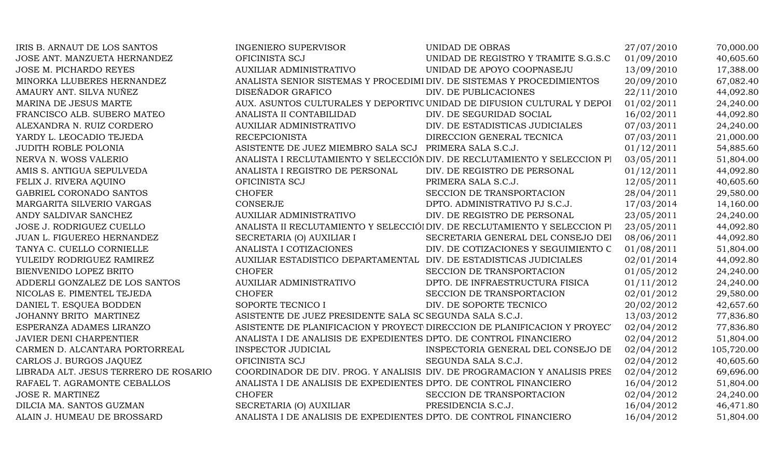| IRIS B. ARNAUT DE LOS SANTOS          | <b>INGENIERO SUPERVISOR</b>                                            | <b>UNIDAD DE OBRAS</b>                                                     | 27/07/2010 | 70,000.00  |
|---------------------------------------|------------------------------------------------------------------------|----------------------------------------------------------------------------|------------|------------|
| JOSE ANT. MANZUETA HERNANDEZ          | OFICINISTA SCJ                                                         | UNIDAD DE REGISTRO Y TRAMITE S.G.S.C                                       | 01/09/2010 | 40,605.60  |
| JOSE M. PICHARDO REYES                | AUXILIAR ADMINISTRATIVO                                                | UNIDAD DE APOYO COOPNASEJU                                                 | 13/09/2010 | 17,388.00  |
| MINORKA LLUBERES HERNANDEZ            | ANALISTA SENIOR SISTEMAS Y PROCEDIMI DIV. DE SISTEMAS Y PROCEDIMIENTOS |                                                                            | 20/09/2010 | 67,082.40  |
| AMAURY ANT. SILVA NUÑEZ               | DISEÑADOR GRAFICO                                                      | DIV. DE PUBLICACIONES                                                      | 22/11/2010 | 44,092.80  |
| MARINA DE JESUS MARTE                 |                                                                        | AUX. ASUNTOS CULTURALES Y DEPORTIVC UNIDAD DE DIFUSION CULTURAL Y DEPOI    | 01/02/2011 | 24,240.00  |
| FRANCISCO ALB. SUBERO MATEO           | ANALISTA II CONTABILIDAD                                               | DIV. DE SEGURIDAD SOCIAL                                                   | 16/02/2011 | 44,092.80  |
| ALEXANDRA N. RUIZ CORDERO             | <b>AUXILIAR ADMINISTRATIVO</b>                                         | DIV. DE ESTADISTICAS JUDICIALES                                            | 07/03/2011 | 24,240.00  |
| YARDY L. LEOCADIO TEJEDA              | <b>RECEPCIONISTA</b>                                                   | DIRECCION GENERAL TECNICA                                                  | 07/03/2011 | 21,000.00  |
| <b>JUDITH ROBLE POLONIA</b>           | ASISTENTE DE JUEZ MIEMBRO SALA SCJ                                     | PRIMERA SALA S.C.J.                                                        | 01/12/2011 | 54,885.60  |
| NERVA N. WOSS VALERIO                 |                                                                        | ANALISTA I RECLUTAMIENTO Y SELECCIÓN DIV. DE RECLUTAMIENTO Y SELECCION PI  | 03/05/2011 | 51,804.00  |
| AMIS S. ANTIGUA SEPULVEDA             | ANALISTA I REGISTRO DE PERSONAL                                        | DIV. DE REGISTRO DE PERSONAL                                               | 01/12/2011 | 44,092.80  |
| FELIX J. RIVERA AQUINO                | OFICINISTA SCJ                                                         | PRIMERA SALA S.C.J.                                                        | 12/05/2011 | 40,605.60  |
| GABRIEL CORONADO SANTOS               | <b>CHOFER</b>                                                          | SECCION DE TRANSPORTACION                                                  | 28/04/2011 | 29,580.00  |
| MARGARITA SILVERIO VARGAS             | <b>CONSERJE</b>                                                        | DPTO. ADMINISTRATIVO PJ S.C.J.                                             | 17/03/2014 | 14,160.00  |
| ANDY SALDIVAR SANCHEZ                 | <b>AUXILIAR ADMINISTRATIVO</b>                                         | DIV. DE REGISTRO DE PERSONAL                                               | 23/05/2011 | 24,240.00  |
| JOSE J. RODRIGUEZ CUELLO              |                                                                        | ANALISTA II RECLUTAMIENTO Y SELECCIÓI DIV. DE RECLUTAMIENTO Y SELECCION PI | 23/05/2011 | 44,092.80  |
| JUAN L. FIGUEREO HERNANDEZ            | SECRETARIA (O) AUXILIAR I                                              | SECRETARIA GENERAL DEL CONSEJO DEI                                         | 08/06/2011 | 44,092.80  |
| TANYA C. CUELLO CORNIELLE             | ANALISTA I COTIZACIONES                                                | DIV. DE COTIZACIONES Y SEGUIMIENTO C                                       | 01/08/2011 | 51,804.00  |
| YULEIDY RODRIGUEZ RAMIREZ             | AUXILIAR ESTADISTICO DEPARTAMENTAL                                     | DIV. DE ESTADISTICAS JUDICIALES                                            | 02/01/2014 | 44,092.80  |
| BIENVENIDO LOPEZ BRITO                | <b>CHOFER</b>                                                          | SECCION DE TRANSPORTACION                                                  | 01/05/2012 | 24,240.00  |
| ADDERLI GONZALEZ DE LOS SANTOS        | <b>AUXILIAR ADMINISTRATIVO</b>                                         | DPTO. DE INFRAESTRUCTURA FISICA                                            | 01/11/2012 | 24,240.00  |
| NICOLAS E. PIMENTEL TEJEDA            | <b>CHOFER</b>                                                          | SECCION DE TRANSPORTACION                                                  | 02/01/2012 | 29,580.00  |
| DANIEL T. ESQUEA BODDEN               | SOPORTE TECNICO I                                                      | DIV. DE SOPORTE TECNICO                                                    | 20/02/2012 | 42,657.60  |
| JOHANNY BRITO MARTINEZ                | ASISTENTE DE JUEZ PRESIDENTE SALA SC SEGUNDA SALA S.C.J.               |                                                                            | 13/03/2012 | 77,836.80  |
| ESPERANZA ADAMES LIRANZO              |                                                                        | ASISTENTE DE PLANIFICACION Y PROYECT DIRECCION DE PLANIFICACION Y PROYEC'  | 02/04/2012 | 77,836.80  |
| JAVIER DENI CHARPENTIER               | ANALISTA I DE ANALISIS DE EXPEDIENTES DPTO. DE CONTROL FINANCIERO      |                                                                            | 02/04/2012 | 51,804.00  |
| CARMEN D. ALCANTARA PORTORREAL        | INSPECTOR JUDICIAL                                                     | INSPECTORIA GENERAL DEL CONSEJO DE                                         | 02/04/2012 | 105,720.00 |
| CARLOS J. BURGOS JAQUEZ               | OFICINISTA SCJ                                                         | SEGUNDA SALA S.C.J.                                                        | 02/04/2012 | 40,605.60  |
| LIBRADA ALT. JESUS TERRERO DE ROSARIO |                                                                        | COORDINADOR DE DIV. PROG. Y ANALISIS DIV. DE PROGRAMACION Y ANALISIS PRES  | 02/04/2012 | 69,696.00  |
| RAFAEL T. AGRAMONTE CEBALLOS          | ANALISTA I DE ANALISIS DE EXPEDIENTES DPTO. DE CONTROL FINANCIERO      |                                                                            | 16/04/2012 | 51,804.00  |
| JOSE R. MARTINEZ                      | <b>CHOFER</b>                                                          | SECCION DE TRANSPORTACION                                                  | 02/04/2012 | 24,240.00  |
| DILCIA MA. SANTOS GUZMAN              | SECRETARIA (O) AUXILIAR                                                | PRESIDENCIA S.C.J.                                                         | 16/04/2012 | 46,471.80  |
| ALAIN J. HUMEAU DE BROSSARD           | ANALISTA I DE ANALISIS DE EXPEDIENTES DPTO. DE CONTROL FINANCIERO      |                                                                            | 16/04/2012 | 51,804.00  |
|                                       |                                                                        |                                                                            |            |            |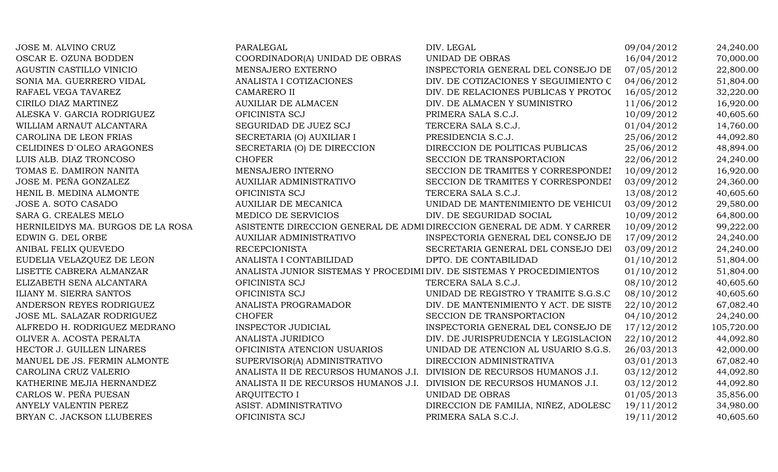| JOSE M. ALVINO CRUZ               | PARALEGAL                                                              | DIV. LEGAL                                                             | 09/04/2012 | 24,240.00  |
|-----------------------------------|------------------------------------------------------------------------|------------------------------------------------------------------------|------------|------------|
| OSCAR E. OZUNA BODDEN             | COORDINADOR(A) UNIDAD DE OBRAS                                         | UNIDAD DE OBRAS                                                        | 16/04/2012 | 70,000.00  |
| AGUSTIN CASTILLO VINICIO          | MENSAJERO EXTERNO                                                      | INSPECTORIA GENERAL DEL CONSEJO DE                                     | 07/05/2012 | 22,800.00  |
| SONIA MA. GUERRERO VIDAL          | ANALISTA I COTIZACIONES                                                | DIV. DE COTIZACIONES Y SEGUIMIENTO C                                   | 04/06/2012 | 51,804.00  |
| RAFAEL VEGA TAVAREZ               | <b>CAMARERO II</b>                                                     | DIV. DE RELACIONES PUBLICAS Y PROTOC                                   | 16/05/2012 | 32,220.00  |
| CIRILO DIAZ MARTINEZ              | <b>AUXILIAR DE ALMACEN</b>                                             | DIV. DE ALMACEN Y SUMINISTRO                                           | 11/06/2012 | 16,920.00  |
| ALESKA V. GARCIA RODRIGUEZ        | OFICINISTA SCJ                                                         | PRIMERA SALA S.C.J.                                                    | 10/09/2012 | 40,605.60  |
| WILLIAM ARNAUT ALCANTARA          | SEGURIDAD DE JUEZ SCJ                                                  | TERCERA SALA S.C.J.                                                    | 01/04/2012 | 14,760.00  |
| CAROLINA DE LEON FRIAS            | SECRETARIA (O) AUXILIAR I                                              | PRESIDENCIA S.C.J.                                                     | 25/06/2012 | 44,092.80  |
| CELIDINES D'OLEO ARAGONES         | SECRETARIA (O) DE DIRECCION                                            | DIRECCION DE POLITICAS PUBLICAS                                        | 25/06/2012 | 48,894.00  |
| LUIS ALB. DIAZ TRONCOSO           | <b>CHOFER</b>                                                          | SECCION DE TRANSPORTACION                                              | 22/06/2012 | 24,240.00  |
| TOMAS E. DAMIRON NANITA           | MENSAJERO INTERNO                                                      | SECCION DE TRAMITES Y CORRESPONDEI                                     | 10/09/2012 | 16,920.00  |
| JOSE M. PEÑA GONZALEZ             | <b>AUXILIAR ADMINISTRATIVO</b>                                         | SECCION DE TRAMITES Y CORRESPONDEI                                     | 03/09/2012 | 24,360.00  |
| HENIL B. MEDINA ALMONTE           | OFICINISTA SCJ                                                         | TERCERA SALA S.C.J.                                                    | 13/08/2012 | 40,605.60  |
| JOSE A. SOTO CASADO               | <b>AUXILIAR DE MECANICA</b>                                            | UNIDAD DE MANTENIMIENTO DE VEHICUI                                     | 03/09/2012 | 29,580.00  |
| SARA G. CREALES MELO              | MEDICO DE SERVICIOS                                                    | DIV. DE SEGURIDAD SOCIAL                                               | 10/09/2012 | 64,800.00  |
| HERNILEIDYS MA. BURGOS DE LA ROSA |                                                                        | ASISTENTE DIRECCION GENERAL DE ADMI DIRECCION GENERAL DE ADM. Y CARRER | 10/09/2012 | 99,222.00  |
| EDWIN G. DEL ORBE                 | <b>AUXILIAR ADMINISTRATIVO</b>                                         | INSPECTORIA GENERAL DEL CONSEJO DE                                     | 17/09/2012 | 24,240.00  |
| ANIBAL FELIX QUEVEDO              | <b>RECEPCIONISTA</b>                                                   | SECRETARIA GENERAL DEL CONSEJO DEI                                     | 03/09/2012 | 24,240.00  |
| EUDELIA VELAZQUEZ DE LEON         | ANALISTA I CONTABILIDAD                                                | DPTO. DE CONTABILIDAD                                                  | 01/10/2012 | 51,804.00  |
| LISETTE CABRERA ALMANZAR          | ANALISTA JUNIOR SISTEMAS Y PROCEDIMI DIV. DE SISTEMAS Y PROCEDIMIENTOS |                                                                        | 01/10/2012 | 51,804.00  |
| ELIZABETH SENA ALCANTARA          | OFICINISTA SCJ                                                         | TERCERA SALA S.C.J.                                                    | 08/10/2012 | 40,605.60  |
| ILIANY M. SIERRA SANTOS           | OFICINISTA SCJ                                                         | UNIDAD DE REGISTRO Y TRAMITE S.G.S.C                                   | 08/10/2012 | 40,605.60  |
| ANDERSON REYES RODRIGUEZ          | ANALISTA PROGRAMADOR                                                   | DIV. DE MANTENIMIENTO Y ACT. DE SISTE                                  | 22/10/2012 | 67,082.40  |
| JOSE ML. SALAZAR RODRIGUEZ        | <b>CHOFER</b>                                                          | SECCION DE TRANSPORTACION                                              | 04/10/2012 | 24,240.00  |
| ALFREDO H. RODRIGUEZ MEDRANO      | <b>INSPECTOR JUDICIAL</b>                                              | INSPECTORIA GENERAL DEL CONSEJO DE                                     | 17/12/2012 | 105,720.00 |
| OLIVER A. ACOSTA PERALTA          | ANALISTA JURIDICO                                                      | DIV. DE JURISPRUDENCIA Y LEGISLACION                                   | 22/10/2012 | 44,092.80  |
| HECTOR J. GUILLEN LINARES         | OFICINISTA ATENCION USUARIOS                                           | UNIDAD DE ATENCION AL USUARIO S.G.S.                                   | 26/03/2013 | 42,000.00  |
| MANUEL DE JS. FERMIN ALMONTE      | SUPERVISOR(A) ADMINISTRATIVO                                           | DIRECCION ADMINISTRATIVA                                               | 03/01/2013 | 67,082.40  |
| CAROLINA CRUZ VALERIO             | ANALISTA II DE RECURSOS HUMANOS J.I.                                   | DIVISION DE RECURSOS HUMANOS J.I.                                      | 03/12/2012 | 44,092.80  |
| KATHERINE MEJIA HERNANDEZ         | ANALISTA II DE RECURSOS HUMANOS J.I.                                   | DIVISION DE RECURSOS HUMANOS J.I.                                      | 03/12/2012 | 44,092.80  |
| CARLOS W. PEÑA PUESAN             | <b>ARQUITECTO I</b>                                                    | UNIDAD DE OBRAS                                                        | 01/05/2013 | 35,856.00  |
| ANYELY VALENTIN PEREZ             | ASIST. ADMINISTRATIVO                                                  | DIRECCION DE FAMILIA, NIÑEZ, ADOLESC                                   | 19/11/2012 | 34,980.00  |
| BRYAN C. JACKSON LLUBERES         | OFICINISTA SCJ                                                         | PRIMERA SALA S.C.J.                                                    | 19/11/2012 | 40,605.60  |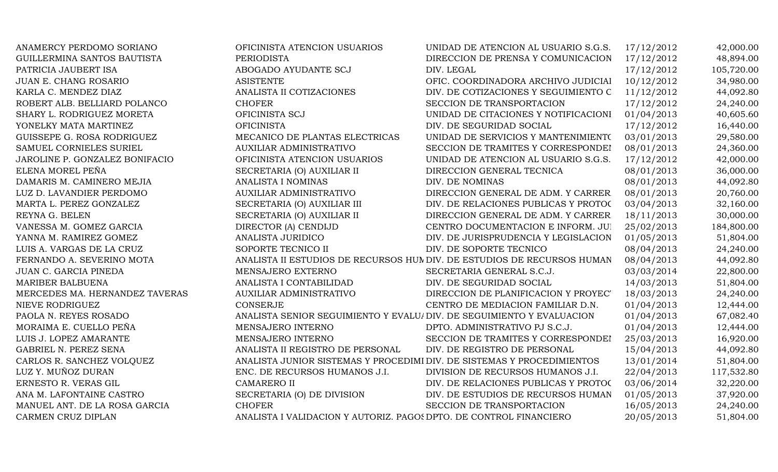| ANAMERCY PERDOMO SORIANO       | OFICINISTA ATENCION USUARIOS                                           | UNIDAD DE ATENCION AL USUARIO S.G.S.                                   | 17/12/2012 | 42,000.00  |
|--------------------------------|------------------------------------------------------------------------|------------------------------------------------------------------------|------------|------------|
| GUILLERMINA SANTOS BAUTISTA    | <b>PERIODISTA</b>                                                      | DIRECCION DE PRENSA Y COMUNICACION                                     | 17/12/2012 | 48,894.00  |
| PATRICIA JAUBERT ISA           | ABOGADO AYUDANTE SCJ                                                   | DIV. LEGAL                                                             | 17/12/2012 | 105,720.00 |
| JUAN E. CHANG ROSARIO          | <b>ASISTENTE</b>                                                       | OFIC. COORDINADORA ARCHIVO JUDICIAI                                    | 10/12/2012 | 34,980.00  |
| KARLA C. MENDEZ DIAZ           | ANALISTA II COTIZACIONES                                               | DIV. DE COTIZACIONES Y SEGUIMIENTO C                                   | 11/12/2012 | 44,092.80  |
| ROBERT ALB. BELLIARD POLANCO   | <b>CHOFER</b>                                                          | SECCION DE TRANSPORTACION                                              | 17/12/2012 | 24,240.00  |
| SHARY L. RODRIGUEZ MORETA      | OFICINISTA SCJ                                                         | UNIDAD DE CITACIONES Y NOTIFICACIONI                                   | 01/04/2013 | 40,605.60  |
| YONELKY MATA MARTINEZ          | <b>OFICINISTA</b>                                                      | DIV. DE SEGURIDAD SOCIAL                                               | 17/12/2012 | 16,440.00  |
| GUISSEPE G. ROSA RODRIGUEZ     | MECANICO DE PLANTAS ELECTRICAS                                         | UNIDAD DE SERVICIOS Y MANTENIMIENTO                                    | 03/01/2013 | 29,580.00  |
| SAMUEL CORNIELES SURIEL        | AUXILIAR ADMINISTRATIVO                                                | SECCION DE TRAMITES Y CORRESPONDEI                                     | 08/01/2013 | 24,360.00  |
| JAROLINE P. GONZALEZ BONIFACIO | OFICINISTA ATENCION USUARIOS                                           | UNIDAD DE ATENCION AL USUARIO S.G.S.                                   | 17/12/2012 | 42,000.00  |
| ELENA MOREL PEÑA               | SECRETARIA (O) AUXILIAR II                                             | DIRECCION GENERAL TECNICA                                              | 08/01/2013 | 36,000.00  |
| DAMARIS M. CAMINERO MEJIA      | ANALISTA I NOMINAS                                                     | DIV. DE NOMINAS                                                        | 08/01/2013 | 44,092.80  |
| LUZ D. LAVANDIER PERDOMO       | AUXILIAR ADMINISTRATIVO                                                | DIRECCION GENERAL DE ADM. Y CARRER                                     | 08/01/2013 | 20,760.00  |
| MARTA L. PEREZ GONZALEZ        | SECRETARIA (O) AUXILIAR III                                            | DIV. DE RELACIONES PUBLICAS Y PROTOC                                   | 03/04/2013 | 32,160.00  |
| REYNA G. BELEN                 | SECRETARIA (O) AUXILIAR II                                             | DIRECCION GENERAL DE ADM. Y CARRER                                     | 18/11/2013 | 30,000.00  |
| VANESSA M. GOMEZ GARCIA        | DIRECTOR (A) CENDIJD                                                   | CENTRO DOCUMENTACION E INFORM. JUI                                     | 25/02/2013 | 184,800.00 |
| YANNA M. RAMIREZ GOMEZ         | ANALISTA JURIDICO                                                      | DIV. DE JURISPRUDENCIA Y LEGISLACION                                   | 01/05/2013 | 51,804.00  |
| LUIS A. VARGAS DE LA CRUZ      | SOPORTE TECNICO II                                                     | DIV. DE SOPORTE TECNICO                                                | 08/04/2013 | 24,240.00  |
| FERNANDO A. SEVERINO MOTA      |                                                                        | ANALISTA II ESTUDIOS DE RECURSOS HUNDIV. DE ESTUDIOS DE RECURSOS HUMAN | 08/04/2013 | 44,092.80  |
| JUAN C. GARCIA PINEDA          | MENSAJERO EXTERNO                                                      | SECRETARIA GENERAL S.C.J.                                              | 03/03/2014 | 22,800.00  |
| <b>MARIBER BALBUENA</b>        | ANALISTA I CONTABILIDAD                                                | DIV. DE SEGURIDAD SOCIAL                                               | 14/03/2013 | 51,804.00  |
| MERCEDES MA. HERNANDEZ TAVERAS | AUXILIAR ADMINISTRATIVO                                                | DIRECCION DE PLANIFICACION Y PROYEC'                                   | 18/03/2013 | 24,240.00  |
| NIEVE RODRIGUEZ                | CONSERJE                                                               | CENTRO DE MEDIACION FAMILIAR D.N.                                      | 01/04/2013 | 12,444.00  |
| PAOLA N. REYES ROSADO          | ANALISTA SENIOR SEGUIMIENTO Y EVALU/ DIV. DE SEGUIMIENTO Y EVALUACION  |                                                                        | 01/04/2013 | 67,082.40  |
| MORAIMA E. CUELLO PEÑA         | MENSAJERO INTERNO                                                      | DPTO. ADMINISTRATIVO PJ S.C.J.                                         | 01/04/2013 | 12,444.00  |
| LUIS J. LOPEZ AMARANTE         | MENSAJERO INTERNO                                                      | SECCION DE TRAMITES Y CORRESPONDEI                                     | 25/03/2013 | 16,920.00  |
| GABRIEL N. PEREZ SENA          | ANALISTA II REGISTRO DE PERSONAL                                       | DIV. DE REGISTRO DE PERSONAL                                           | 15/04/2013 | 44,092.80  |
| CARLOS R. SANCHEZ VOLQUEZ      | ANALISTA JUNIOR SISTEMAS Y PROCEDIMI DIV. DE SISTEMAS Y PROCEDIMIENTOS |                                                                        | 13/01/2014 | 51,804.00  |
| LUZ Y. MUÑOZ DURAN             | ENC. DE RECURSOS HUMANOS J.I.                                          | DIVISION DE RECURSOS HUMANOS J.I.                                      | 22/04/2013 | 117,532.80 |
| ERNESTO R. VERAS GIL           | <b>CAMARERO II</b>                                                     | DIV. DE RELACIONES PUBLICAS Y PROTOC                                   | 03/06/2014 | 32,220.00  |
| ANA M. LAFONTAINE CASTRO       | SECRETARIA (O) DE DIVISION                                             | DIV. DE ESTUDIOS DE RECURSOS HUMAN                                     | 01/05/2013 | 37,920.00  |
| MANUEL ANT. DE LA ROSA GARCIA  | <b>CHOFER</b>                                                          | SECCION DE TRANSPORTACION                                              | 16/05/2013 | 24,240.00  |
| CARMEN CRUZ DIPLAN             | ANALISTA I VALIDACION Y AUTORIZ. PAGOS DPTO. DE CONTROL FINANCIERO     |                                                                        | 20/05/2013 | 51,804.00  |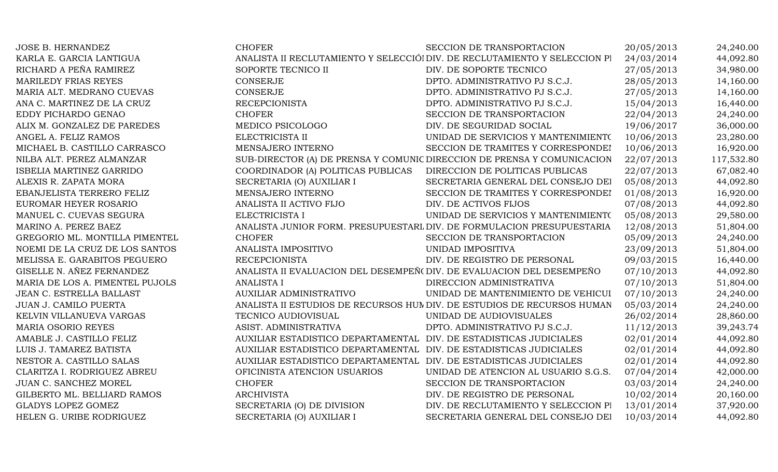| <b>JOSE B. HERNANDEZ</b>        | <b>CHOFER</b>                                                         | SECCION DE TRANSPORTACION                                                  | 20/05/2013 | 24,240.00  |
|---------------------------------|-----------------------------------------------------------------------|----------------------------------------------------------------------------|------------|------------|
| KARLA E. GARCIA LANTIGUA        |                                                                       | ANALISTA II RECLUTAMIENTO Y SELECCIÓI DIV. DE RECLUTAMIENTO Y SELECCION PI | 24/03/2014 | 44,092.80  |
| RICHARD A PEÑA RAMIREZ          | SOPORTE TECNICO II                                                    | DIV. DE SOPORTE TECNICO                                                    | 27/05/2013 | 34,980.00  |
| MARILEDY FRIAS REYES            | <b>CONSERJE</b>                                                       | DPTO. ADMINISTRATIVO PJ S.C.J.                                             | 28/05/2013 | 14,160.00  |
| MARIA ALT. MEDRANO CUEVAS       | <b>CONSERJE</b>                                                       | DPTO. ADMINISTRATIVO PJ S.C.J.                                             | 27/05/2013 | 14,160.00  |
| ANA C. MARTINEZ DE LA CRUZ      | <b>RECEPCIONISTA</b>                                                  | DPTO. ADMINISTRATIVO PJ S.C.J.                                             | 15/04/2013 | 16,440.00  |
| EDDY PICHARDO GENAO             | <b>CHOFER</b>                                                         | SECCION DE TRANSPORTACION                                                  | 22/04/2013 | 24,240.00  |
| ALIX M. GONZALEZ DE PAREDES     | MEDICO PSICOLOGO                                                      | DIV. DE SEGURIDAD SOCIAL                                                   | 19/06/2017 | 36,000.00  |
| ANGEL A. FELIZ RAMOS            | ELECTRICISTA II                                                       | UNIDAD DE SERVICIOS Y MANTENIMIENTO                                        | 10/06/2013 | 23,280.00  |
| MICHAEL B. CASTILLO CARRASCO    | MENSAJERO INTERNO                                                     | SECCION DE TRAMITES Y CORRESPONDEI                                         | 10/06/2013 | 16,920.00  |
| NILBA ALT. PEREZ ALMANZAR       |                                                                       | SUB-DIRECTOR (A) DE PRENSA Y COMUNIC DIRECCION DE PRENSA Y COMUNICACION    | 22/07/2013 | 117,532.80 |
| ISBELIA MARTINEZ GARRIDO        | COORDINADOR (A) POLITICAS PUBLICAS                                    | DIRECCION DE POLITICAS PUBLICAS                                            | 22/07/2013 | 67,082.40  |
| ALEXIS R. ZAPATA MORA           | SECRETARIA (O) AUXILIAR I                                             | SECRETARIA GENERAL DEL CONSEJO DEI                                         | 05/08/2013 | 44,092.80  |
| EBANJELISTA TERRERO FELIZ       | MENSAJERO INTERNO                                                     | SECCION DE TRAMITES Y CORRESPONDEI                                         | 01/08/2013 | 16,920.00  |
| EUROMAR HEYER ROSARIO           | ANALISTA II ACTIVO FIJO                                               | DIV. DE ACTIVOS FIJOS                                                      | 07/08/2013 | 44,092.80  |
| MANUEL C. CUEVAS SEGURA         | ELECTRICISTA I                                                        | UNIDAD DE SERVICIOS Y MANTENIMIENTO                                        | 05/08/2013 | 29,580.00  |
| MARINO A. PEREZ BAEZ            |                                                                       | ANALISTA JUNIOR FORM. PRESUPUESTARL DIV. DE FORMULACION PRESUPUESTARIA     | 12/08/2013 | 51,804.00  |
| GREGORIO ML. MONTILLA PIMENTEL  | <b>CHOFER</b>                                                         | SECCION DE TRANSPORTACION                                                  | 05/09/2013 | 24,240.00  |
| NOEMI DE LA CRUZ DE LOS SANTOS  | ANALISTA IMPOSITIVO                                                   | UNIDAD IMPOSITIVA                                                          | 23/09/2013 | 51,804.00  |
| MELISSA E. GARABITOS PEGUERO    | <b>RECEPCIONISTA</b>                                                  | DIV. DE REGISTRO DE PERSONAL                                               | 09/03/2015 | 16,440.00  |
| GISELLE N. AÑEZ FERNANDEZ       | ANALISTA II EVALUACION DEL DESEMPEÑ (DIV. DE EVALUACION DEL DESEMPEÑO |                                                                            | 07/10/2013 | 44,092.80  |
| MARIA DE LOS A. PIMENTEL PUJOLS | <b>ANALISTA I</b>                                                     | DIRECCION ADMINISTRATIVA                                                   | 07/10/2013 | 51,804.00  |
| JEAN C. ESTRELLA BALLAST        | <b>AUXILIAR ADMINISTRATIVO</b>                                        | UNIDAD DE MANTENIMIENTO DE VEHICUI                                         | 07/10/2013 | 24,240.00  |
| JUAN J. CAMILO PUERTA           |                                                                       | ANALISTA II ESTUDIOS DE RECURSOS HUM DIV. DE ESTUDIOS DE RECURSOS HUMAN    | 05/03/2014 | 24,240.00  |
| KELVIN VILLANUEVA VARGAS        | TECNICO AUDIOVISUAL                                                   | UNIDAD DE AUDIOVISUALES                                                    | 26/02/2014 | 28,860.00  |
| <b>MARIA OSORIO REYES</b>       | ASIST. ADMINISTRATIVA                                                 | DPTO. ADMINISTRATIVO PJ S.C.J.                                             | 11/12/2013 | 39,243.74  |
| AMABLE J. CASTILLO FELIZ        | AUXILIAR ESTADISTICO DEPARTAMENTAL DIV. DE ESTADISTICAS JUDICIALES    |                                                                            | 02/01/2014 | 44,092.80  |
| LUIS J. TAMAREZ BATISTA         | AUXILIAR ESTADISTICO DEPARTAMENTAL DIV. DE ESTADISTICAS JUDICIALES    |                                                                            | 02/01/2014 | 44,092.80  |
| NESTOR A. CASTILLO SALAS        | AUXILIAR ESTADISTICO DEPARTAMENTAL DIV. DE ESTADISTICAS JUDICIALES    |                                                                            | 02/01/2014 | 44,092.80  |
| CLARITZA I. RODRIGUEZ ABREU     | OFICINISTA ATENCION USUARIOS                                          | UNIDAD DE ATENCION AL USUARIO S.G.S.                                       | 07/04/2014 | 42,000.00  |
| JUAN C. SANCHEZ MOREL           | <b>CHOFER</b>                                                         | SECCION DE TRANSPORTACION                                                  | 03/03/2014 | 24,240.00  |
| GILBERTO ML. BELLIARD RAMOS     | <b>ARCHIVISTA</b>                                                     | DIV. DE REGISTRO DE PERSONAL                                               | 10/02/2014 | 20,160.00  |
| <b>GLADYS LOPEZ GOMEZ</b>       | SECRETARIA (O) DE DIVISION                                            | DIV. DE RECLUTAMIENTO Y SELECCION PI                                       | 13/01/2014 | 37,920.00  |
| HELEN G. URIBE RODRIGUEZ        | SECRETARIA (O) AUXILIAR I                                             | SECRETARIA GENERAL DEL CONSEJO DEI                                         | 10/03/2014 | 44,092.80  |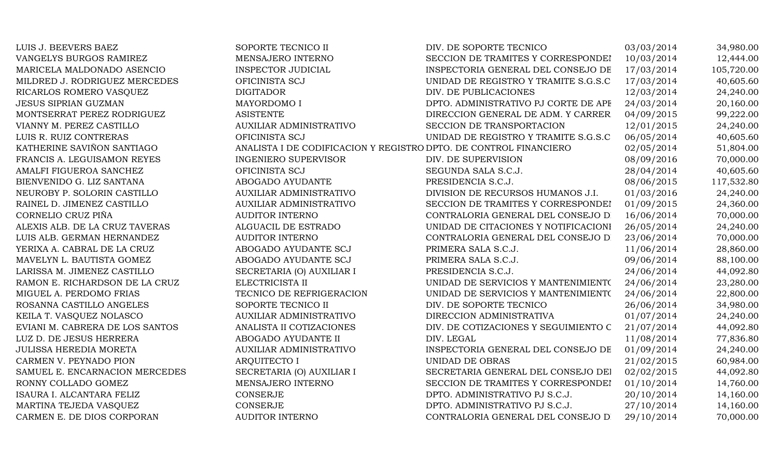| LUIS J. BEEVERS BAEZ            | SOPORTE TECNICO II             | DIV. DE SOPORTE TECNICO                                           | 03/03/2014 | 34,980.00  |
|---------------------------------|--------------------------------|-------------------------------------------------------------------|------------|------------|
| VANGELYS BURGOS RAMIREZ         | MENSAJERO INTERNO              | SECCION DE TRAMITES Y CORRESPONDEI                                | 10/03/2014 | 12,444.00  |
| MARICELA MALDONADO ASENCIO      | INSPECTOR JUDICIAL             | INSPECTORIA GENERAL DEL CONSEJO DE                                | 17/03/2014 | 105,720.00 |
| MILDRED J. RODRIGUEZ MERCEDES   | OFICINISTA SCJ                 | UNIDAD DE REGISTRO Y TRAMITE S.G.S.C                              | 17/03/2014 | 40,605.60  |
| RICARLOS ROMERO VASQUEZ         | <b>DIGITADOR</b>               | DIV. DE PUBLICACIONES                                             | 12/03/2014 | 24,240.00  |
| <b>JESUS SIPRIAN GUZMAN</b>     | MAYORDOMO I                    | DPTO. ADMINISTRATIVO PJ CORTE DE APF                              | 24/03/2014 | 20,160.00  |
| MONTSERRAT PEREZ RODRIGUEZ      | <b>ASISTENTE</b>               | DIRECCION GENERAL DE ADM. Y CARRER                                | 04/09/2015 | 99,222.00  |
| VIANNY M. PEREZ CASTILLO        | AUXILIAR ADMINISTRATIVO        | SECCION DE TRANSPORTACION                                         | 12/01/2015 | 24,240.00  |
| LUIS R. RUIZ CONTRERAS          | OFICINISTA SCJ                 | UNIDAD DE REGISTRO Y TRAMITE S.G.S.C                              | 06/05/2014 | 40,605.60  |
| KATHERINE SAVIÑON SANTIAGO      |                                | ANALISTA I DE CODIFICACION Y REGISTRO DPTO. DE CONTROL FINANCIERO | 02/05/2014 | 51,804.00  |
| FRANCIS A. LEGUISAMON REYES     | <b>INGENIERO SUPERVISOR</b>    | DIV. DE SUPERVISION                                               | 08/09/2016 | 70,000.00  |
| AMALFI FIGUEROA SANCHEZ         | OFICINISTA SCJ                 | SEGUNDA SALA S.C.J.                                               | 28/04/2014 | 40,605.60  |
| BIENVENIDO G. LIZ SANTANA       | ABOGADO AYUDANTE               | PRESIDENCIA S.C.J.                                                | 08/06/2015 | 117,532.80 |
| NEUROBY P. SOLORIN CASTILLO     | <b>AUXILIAR ADMINISTRATIVO</b> | DIVISION DE RECURSOS HUMANOS J.I.                                 | 01/03/2016 | 24,240.00  |
| RAINEL D. JIMENEZ CASTILLO      | <b>AUXILIAR ADMINISTRATIVO</b> | SECCION DE TRAMITES Y CORRESPONDEI                                | 01/09/2015 | 24,360.00  |
| CORNELIO CRUZ PIÑA              | <b>AUDITOR INTERNO</b>         | CONTRALORIA GENERAL DEL CONSEJO D                                 | 16/06/2014 | 70,000.00  |
| ALEXIS ALB. DE LA CRUZ TAVERAS  | ALGUACIL DE ESTRADO            | UNIDAD DE CITACIONES Y NOTIFICACIONI                              | 26/05/2014 | 24,240.00  |
| LUIS ALB. GERMAN HERNANDEZ      | <b>AUDITOR INTERNO</b>         | CONTRALORIA GENERAL DEL CONSEJO D                                 | 23/06/2014 | 70,000.00  |
| YERIXA A. CABRAL DE LA CRUZ     | ABOGADO AYUDANTE SCJ           | PRIMERA SALA S.C.J.                                               | 11/06/2014 | 28,860.00  |
| MAVELYN L. BAUTISTA GOMEZ       | ABOGADO AYUDANTE SCJ           | PRIMERA SALA S.C.J.                                               | 09/06/2014 | 88,100.00  |
| LARISSA M. JIMENEZ CASTILLO     | SECRETARIA (O) AUXILIAR I      | PRESIDENCIA S.C.J.                                                | 24/06/2014 | 44,092.80  |
| RAMON E. RICHARDSON DE LA CRUZ  | ELECTRICISTA II                | UNIDAD DE SERVICIOS Y MANTENIMIENTO                               | 24/06/2014 | 23,280.00  |
| MIGUEL A. PERDOMO FRIAS         | TECNICO DE REFRIGERACION       | UNIDAD DE SERVICIOS Y MANTENIMIENTO                               | 24/06/2014 | 22,800.00  |
| ROSANNA CASTILLO ANGELES        | SOPORTE TECNICO II             | DIV. DE SOPORTE TECNICO                                           | 26/06/2014 | 34,980.00  |
| KEILA T. VASQUEZ NOLASCO        | AUXILIAR ADMINISTRATIVO        | DIRECCION ADMINISTRATIVA                                          | 01/07/2014 | 24,240.00  |
| EVIANI M. CABRERA DE LOS SANTOS | ANALISTA II COTIZACIONES       | DIV. DE COTIZACIONES Y SEGUIMIENTO C                              | 21/07/2014 | 44,092.80  |
| LUZ D. DE JESUS HERRERA         | ABOGADO AYUDANTE II            | DIV. LEGAL                                                        | 11/08/2014 | 77,836.80  |
| JULISSA HEREDIA MORETA          | AUXILIAR ADMINISTRATIVO        | INSPECTORIA GENERAL DEL CONSEJO DE                                | 01/09/2014 | 24,240.00  |
| CARMEN V. PEYNADO PION          | <b>ARQUITECTO I</b>            | UNIDAD DE OBRAS                                                   | 21/02/2015 | 60,984.00  |
| SAMUEL E. ENCARNACION MERCEDES  | SECRETARIA (O) AUXILIAR I      | SECRETARIA GENERAL DEL CONSEJO DEI                                | 02/02/2015 | 44,092.80  |
| RONNY COLLADO GOMEZ             | MENSAJERO INTERNO              | SECCION DE TRAMITES Y CORRESPONDEI                                | 01/10/2014 | 14,760.00  |
| ISAURA I. ALCANTARA FELIZ       | <b>CONSERJE</b>                | DPTO. ADMINISTRATIVO PJ S.C.J.                                    | 20/10/2014 | 14,160.00  |
| MARTINA TEJEDA VASQUEZ          | <b>CONSERJE</b>                | DPTO. ADMINISTRATIVO PJ S.C.J.                                    | 27/10/2014 | 14,160.00  |
| CARMEN E. DE DIOS CORPORAN      | <b>AUDITOR INTERNO</b>         | CONTRALORIA GENERAL DEL CONSEJO D                                 | 29/10/2014 | 70,000.00  |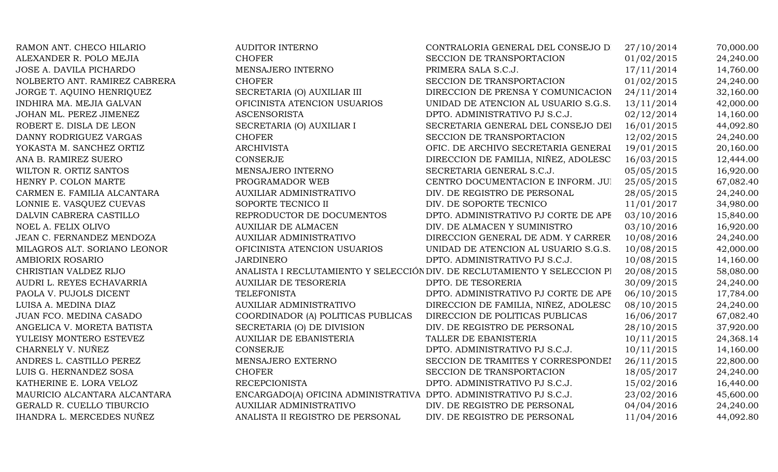| RAMON ANT. CHECO HILARIO      | <b>AUDITOR INTERNO</b>                                             | CONTRALORIA GENERAL DEL CONSEJO D                                         | 27/10/2014 | 70,000.00 |
|-------------------------------|--------------------------------------------------------------------|---------------------------------------------------------------------------|------------|-----------|
| ALEXANDER R. POLO MEJIA       | <b>CHOFER</b>                                                      | SECCION DE TRANSPORTACION                                                 | 01/02/2015 | 24,240.00 |
| JOSE A. DAVILA PICHARDO       | MENSAJERO INTERNO                                                  | PRIMERA SALA S.C.J.                                                       | 17/11/2014 | 14,760.00 |
| NOLBERTO ANT. RAMIREZ CABRERA | <b>CHOFER</b>                                                      | SECCION DE TRANSPORTACION                                                 | 01/02/2015 | 24,240.00 |
| JORGE T. AQUINO HENRIQUEZ     | SECRETARIA (O) AUXILIAR III                                        | DIRECCION DE PRENSA Y COMUNICACION                                        | 24/11/2014 | 32,160.00 |
| INDHIRA MA. MEJIA GALVAN      | OFICINISTA ATENCION USUARIOS                                       | UNIDAD DE ATENCION AL USUARIO S.G.S.                                      | 13/11/2014 | 42,000.00 |
| JOHAN ML. PEREZ JIMENEZ       | <b>ASCENSORISTA</b>                                                | DPTO. ADMINISTRATIVO PJ S.C.J.                                            | 02/12/2014 | 14,160.00 |
| ROBERT E. DISLA DE LEON       | SECRETARIA (O) AUXILIAR I                                          | SECRETARIA GENERAL DEL CONSEJO DEI                                        | 16/01/2015 | 44,092.80 |
| DANNY RODRIGUEZ VARGAS        | <b>CHOFER</b>                                                      | SECCION DE TRANSPORTACION                                                 | 12/02/2015 | 24,240.00 |
| YOKASTA M. SANCHEZ ORTIZ      | <b>ARCHIVISTA</b>                                                  | OFIC. DE ARCHIVO SECRETARIA GENERAI                                       | 19/01/2015 | 20,160.00 |
| ANA B. RAMIREZ SUERO          | <b>CONSERJE</b>                                                    | DIRECCION DE FAMILIA, NIÑEZ, ADOLESC                                      | 16/03/2015 | 12,444.00 |
| WILTON R. ORTIZ SANTOS        | MENSAJERO INTERNO                                                  | SECRETARIA GENERAL S.C.J.                                                 | 05/05/2015 | 16,920.00 |
| HENRY P. COLON MARTE          | PROGRAMADOR WEB                                                    | CENTRO DOCUMENTACION E INFORM. JUI                                        | 25/05/2015 | 67,082.40 |
| CARMEN E. FAMILIA ALCANTARA   | AUXILIAR ADMINISTRATIVO                                            | DIV. DE REGISTRO DE PERSONAL                                              | 28/05/2015 | 24,240.00 |
| LONNIE E. VASQUEZ CUEVAS      | SOPORTE TECNICO II                                                 | DIV. DE SOPORTE TECNICO                                                   | 11/01/2017 | 34,980.00 |
| DALVIN CABRERA CASTILLO       | REPRODUCTOR DE DOCUMENTOS                                          | DPTO. ADMINISTRATIVO PJ CORTE DE APF                                      | 03/10/2016 | 15,840.00 |
| NOEL A. FELIX OLIVO           | <b>AUXILIAR DE ALMACEN</b>                                         | DIV. DE ALMACEN Y SUMINISTRO                                              | 03/10/2016 | 16,920.00 |
| JEAN C. FERNANDEZ MENDOZA     | AUXILIAR ADMINISTRATIVO                                            | DIRECCION GENERAL DE ADM. Y CARRER                                        | 10/08/2016 | 24,240.00 |
| MILAGROS ALT. SORIANO LEONOR  | OFICINISTA ATENCION USUARIOS                                       | UNIDAD DE ATENCION AL USUARIO S.G.S.                                      | 10/08/2015 | 42,000.00 |
| AMBIORIX ROSARIO              | <b>JARDINERO</b>                                                   | DPTO. ADMINISTRATIVO PJ S.C.J.                                            | 10/08/2015 | 14,160.00 |
| CHRISTIAN VALDEZ RIJO         |                                                                    | ANALISTA I RECLUTAMIENTO Y SELECCIÓN DIV. DE RECLUTAMIENTO Y SELECCION PI | 20/08/2015 | 58,080.00 |
| AUDRI L. REYES ECHAVARRIA     | <b>AUXILIAR DE TESORERIA</b>                                       | DPTO. DE TESORERIA                                                        | 30/09/2015 | 24,240.00 |
| PAOLA V. PUJOLS DICENT        | <b>TELEFONISTA</b>                                                 | DPTO. ADMINISTRATIVO PJ CORTE DE APF                                      | 06/10/2015 | 17,784.00 |
| LUISA A. MEDINA DIAZ          | <b>AUXILIAR ADMINISTRATIVO</b>                                     | DIRECCION DE FAMILIA, NIÑEZ, ADOLESC                                      | 08/10/2015 | 24,240.00 |
| JUAN FCO. MEDINA CASADO       | COORDINADOR (A) POLITICAS PUBLICAS                                 | DIRECCION DE POLITICAS PUBLICAS                                           | 16/06/2017 | 67,082.40 |
| ANGELICA V. MORETA BATISTA    | SECRETARIA (O) DE DIVISION                                         | DIV. DE REGISTRO DE PERSONAL                                              | 28/10/2015 | 37,920.00 |
| YULEISY MONTERO ESTEVEZ       | <b>AUXILIAR DE EBANISTERIA</b>                                     | TALLER DE EBANISTERIA                                                     | 10/11/2015 | 24,368.14 |
| CHARNELY V. NUÑEZ             | <b>CONSERJE</b>                                                    | DPTO. ADMINISTRATIVO PJ S.C.J.                                            | 10/11/2015 | 14,160.00 |
| ANDRES L. CASTILLO PEREZ      | MENSAJERO EXTERNO                                                  | SECCION DE TRAMITES Y CORRESPONDEI                                        | 26/11/2015 | 22,800.00 |
| LUIS G. HERNANDEZ SOSA        | <b>CHOFER</b>                                                      | SECCION DE TRANSPORTACION                                                 | 18/05/2017 | 24,240.00 |
| KATHERINE E. LORA VELOZ       | <b>RECEPCIONISTA</b>                                               | DPTO. ADMINISTRATIVO PJ S.C.J.                                            | 15/02/2016 | 16,440.00 |
| MAURICIO ALCANTARA ALCANTARA  | ENCARGADO(A) OFICINA ADMINISTRATIVA DPTO. ADMINISTRATIVO PJ S.C.J. |                                                                           | 23/02/2016 | 45,600.00 |
| GERALD R. CUELLO TIBURCIO     | AUXILIAR ADMINISTRATIVO                                            | DIV. DE REGISTRO DE PERSONAL                                              | 04/04/2016 | 24,240.00 |
| IHANDRA L. MERCEDES NUÑEZ     | ANALISTA II REGISTRO DE PERSONAL                                   | DIV. DE REGISTRO DE PERSONAL                                              | 11/04/2016 | 44,092.80 |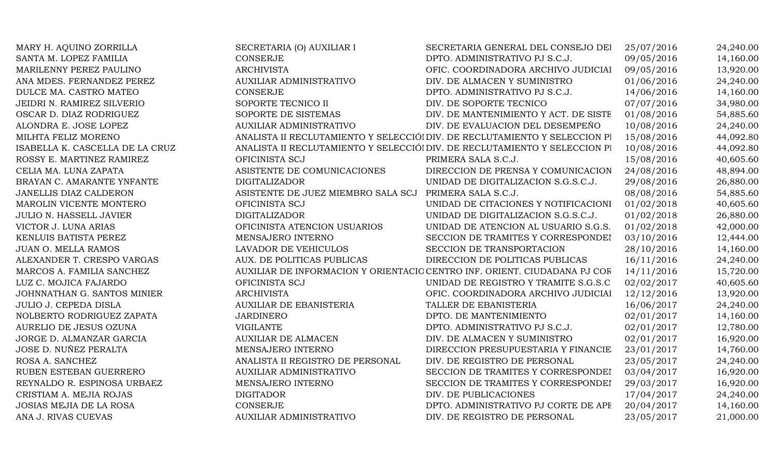| MARY H. AQUINO ZORRILLA         | SECRETARIA (O) AUXILIAR I                              | SECRETARIA GENERAL DEL CONSEJO DEI                                         | 25/07/2016 | 24,240.00 |
|---------------------------------|--------------------------------------------------------|----------------------------------------------------------------------------|------------|-----------|
| SANTA M. LOPEZ FAMILIA          | CONSERJE                                               | DPTO. ADMINISTRATIVO PJ S.C.J.                                             | 09/05/2016 | 14,160.00 |
| MARILENNY PEREZ PAULINO         | <b>ARCHIVISTA</b>                                      | OFIC. COORDINADORA ARCHIVO JUDICIAI                                        | 09/05/2016 | 13,920.00 |
| ANA MDES. FERNANDEZ PEREZ       | AUXILIAR ADMINISTRATIVO                                | DIV. DE ALMACEN Y SUMINISTRO                                               | 01/06/2016 | 24,240.00 |
| DULCE MA. CASTRO MATEO          | CONSERJE                                               | DPTO. ADMINISTRATIVO PJ S.C.J.                                             | 14/06/2016 | 14,160.00 |
| JEIDRI N. RAMIREZ SILVERIO      | SOPORTE TECNICO II                                     | DIV. DE SOPORTE TECNICO                                                    | 07/07/2016 | 34,980.00 |
| OSCAR D. DIAZ RODRIGUEZ         | SOPORTE DE SISTEMAS                                    | DIV. DE MANTENIMIENTO Y ACT. DE SISTE                                      | 01/08/2016 | 54,885.60 |
| ALONDRA E. JOSE LOPEZ           | <b>AUXILIAR ADMINISTRATIVO</b>                         | DIV. DE EVALUACION DEL DESEMPEÑO                                           | 10/08/2016 | 24,240.00 |
| MILHTA FELIZ MORENO             |                                                        | ANALISTA II RECLUTAMIENTO Y SELECCIÓI DIV. DE RECLUTAMIENTO Y SELECCION PI | 15/08/2016 | 44,092.80 |
| ISABELLA K. CASCELLA DE LA CRUZ |                                                        | ANALISTA II RECLUTAMIENTO Y SELECCIÓI DIV. DE RECLUTAMIENTO Y SELECCION PI | 10/08/2016 | 44,092.80 |
| ROSSY E. MARTINEZ RAMIREZ       | OFICINISTA SCJ                                         | PRIMERA SALA S.C.J.                                                        | 15/08/2016 | 40,605.60 |
| CELIA MA. LUNA ZAPATA           | ASISTENTE DE COMUNICACIONES                            | DIRECCION DE PRENSA Y COMUNICACION                                         | 24/08/2016 | 48,894.00 |
| BRAYAN C. AMARANTE YNFANTE      | <b>DIGITALIZADOR</b>                                   | UNIDAD DE DIGITALIZACION S.G.S.C.J.                                        | 29/08/2016 | 26,880.00 |
| JANELLIS DIAZ CALDERON          | ASISTENTE DE JUEZ MIEMBRO SALA SCJ PRIMERA SALA S.C.J. |                                                                            | 08/08/2016 | 54,885.60 |
| MAROLIN VICENTE MONTERO         | OFICINISTA SCJ                                         | UNIDAD DE CITACIONES Y NOTIFICACIONI                                       | 01/02/2018 | 40,605.60 |
| <b>JULIO N. HASSELL JAVIER</b>  | <b>DIGITALIZADOR</b>                                   | UNIDAD DE DIGITALIZACION S.G.S.C.J.                                        | 01/02/2018 | 26,880.00 |
| VICTOR J. LUNA ARIAS            | OFICINISTA ATENCION USUARIOS                           | UNIDAD DE ATENCION AL USUARIO S.G.S.                                       | 01/02/2018 | 42,000.00 |
| KENLUIS BATISTA PEREZ           | MENSAJERO INTERNO                                      | SECCION DE TRAMITES Y CORRESPONDEI                                         | 03/10/2016 | 12,444.00 |
| <b>JUAN O. MELLA RAMOS</b>      | LAVADOR DE VEHICULOS                                   | SECCION DE TRANSPORTACION                                                  | 28/10/2016 | 14,160.00 |
| ALEXANDER T. CRESPO VARGAS      | AUX. DE POLITICAS PUBLICAS                             | DIRECCION DE POLITICAS PUBLICAS                                            | 16/11/2016 | 24,240.00 |
| MARCOS A. FAMILIA SANCHEZ       |                                                        | AUXILIAR DE INFORMACION Y ORIENTACIO CENTRO INF. ORIENT. CIUDADANA PJ COR  | 14/11/2016 | 15,720.00 |
| LUZ C. MOJICA FAJARDO           | OFICINISTA SCJ                                         | UNIDAD DE REGISTRO Y TRAMITE S.G.S.C                                       | 02/02/2017 | 40,605.60 |
| JOHNNATHAN G. SANTOS MINIER     | <b>ARCHIVISTA</b>                                      | OFIC. COORDINADORA ARCHIVO JUDICIAI                                        | 12/12/2016 | 13,920.00 |
| <b>JULIO J. CEPEDA DISLA</b>    | <b>AUXILIAR DE EBANISTERIA</b>                         | TALLER DE EBANISTERIA                                                      | 16/06/2017 | 24,240.00 |
| NOLBERTO RODRIGUEZ ZAPATA       | <b>JARDINERO</b>                                       | DPTO. DE MANTENIMIENTO                                                     | 02/01/2017 | 14,160.00 |
| AURELIO DE JESUS OZUNA          | <b>VIGILANTE</b>                                       | DPTO. ADMINISTRATIVO PJ S.C.J.                                             | 02/01/2017 | 12,780.00 |
| JORGE D. ALMANZAR GARCIA        | <b>AUXILIAR DE ALMACEN</b>                             | DIV. DE ALMACEN Y SUMINISTRO                                               | 02/01/2017 | 16,920.00 |
| JOSE D. NUÑEZ PERALTA           | MENSAJERO INTERNO                                      | DIRECCION PRESUPUESTARIA Y FINANCIE                                        | 23/01/2017 | 14,760.00 |
| ROSA A. SANCHEZ                 | ANALISTA II REGISTRO DE PERSONAL                       | DIV. DE REGISTRO DE PERSONAL                                               | 23/05/2017 | 24,240.00 |
| RUBEN ESTEBAN GUERRERO          | AUXILIAR ADMINISTRATIVO                                | SECCION DE TRAMITES Y CORRESPONDEI                                         | 03/04/2017 | 16,920.00 |
| REYNALDO R. ESPINOSA URBAEZ     | MENSAJERO INTERNO                                      | SECCION DE TRAMITES Y CORRESPONDEI                                         | 29/03/2017 | 16,920.00 |
| CRISTIAM A. MEJIA ROJAS         | <b>DIGITADOR</b>                                       | DIV. DE PUBLICACIONES                                                      | 17/04/2017 | 24,240.00 |
| JOSIAS MEJIA DE LA ROSA         | CONSERJE                                               | DPTO. ADMINISTRATIVO PJ CORTE DE APE                                       | 20/04/2017 | 14,160.00 |
| ANA J. RIVAS CUEVAS             | <b>AUXILIAR ADMINISTRATIVO</b>                         | DIV. DE REGISTRO DE PERSONAL                                               | 23/05/2017 | 21,000.00 |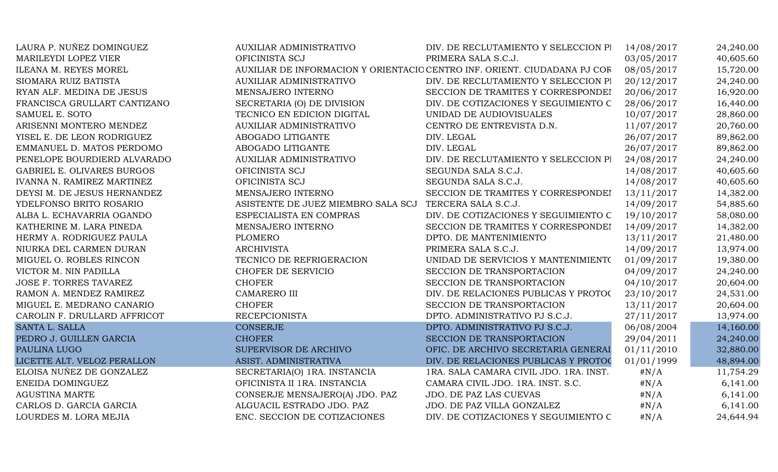| LAURA P. NUÑEZ DOMINGUEZ          | <b>AUXILIAR ADMINISTRATIVO</b>                         | DIV. DE RECLUTAMIENTO Y SELECCION PI                                      | 14/08/2017 | 24,240.00 |
|-----------------------------------|--------------------------------------------------------|---------------------------------------------------------------------------|------------|-----------|
| MARILEYDI LOPEZ VIER              | OFICINISTA SCJ                                         | PRIMERA SALA S.C.J.                                                       | 03/05/2017 | 40,605.60 |
| ILEANA M. REYES MOREL             |                                                        | AUXILIAR DE INFORMACION Y ORIENTACIO CENTRO INF. ORIENT. CIUDADANA PJ COR | 08/05/2017 | 15,720.00 |
| SIOMARA RUIZ BATISTA              | <b>AUXILIAR ADMINISTRATIVO</b>                         | DIV. DE RECLUTAMIENTO Y SELECCION PI                                      | 20/12/2017 | 24,240.00 |
| RYAN ALF. MEDINA DE JESUS         | MENSAJERO INTERNO                                      | SECCION DE TRAMITES Y CORRESPONDEI                                        | 20/06/2017 | 16,920.00 |
| FRANCISCA GRULLART CANTIZANO      | SECRETARIA (O) DE DIVISION                             | DIV. DE COTIZACIONES Y SEGUIMIENTO C                                      | 28/06/2017 | 16,440.00 |
| SAMUEL E. SOTO                    | TECNICO EN EDICION DIGITAL                             | UNIDAD DE AUDIOVISUALES                                                   | 10/07/2017 | 28,860.00 |
| ARISENNI MONTERO MENDEZ           | AUXILIAR ADMINISTRATIVO                                | CENTRO DE ENTREVISTA D.N.                                                 | 11/07/2017 | 20,760.00 |
| YISEL E. DE LEON RODRIGUEZ        | ABOGADO LITIGANTE                                      | DIV. LEGAL                                                                | 26/07/2017 | 89,862.00 |
| EMMANUEL D. MATOS PERDOMO         | ABOGADO LITIGANTE                                      | DIV. LEGAL                                                                | 26/07/2017 | 89,862.00 |
| PENELOPE BOURDIERD ALVARADO       | AUXILIAR ADMINISTRATIVO                                | DIV. DE RECLUTAMIENTO Y SELECCION PI                                      | 24/08/2017 | 24,240.00 |
| <b>GABRIEL E. OLIVARES BURGOS</b> | OFICINISTA SCJ                                         | SEGUNDA SALA S.C.J.                                                       | 14/08/2017 | 40,605.60 |
| IVANNA N. RAMIREZ MARTINEZ        | OFICINISTA SCJ                                         | SEGUNDA SALA S.C.J.                                                       | 14/08/2017 | 40,605.60 |
| DEYSI M. DE JESUS HERNANDEZ       | MENSAJERO INTERNO                                      | SECCION DE TRAMITES Y CORRESPONDEI                                        | 13/11/2017 | 14,382.00 |
| YDELFONSO BRITO ROSARIO           | ASISTENTE DE JUEZ MIEMBRO SALA SCJ TERCERA SALA S.C.J. |                                                                           | 14/09/2017 | 54,885.60 |
| ALBA L. ECHAVARRIA OGANDO         | ESPECIALISTA EN COMPRAS                                | DIV. DE COTIZACIONES Y SEGUIMIENTO C 19/10/2017                           |            | 58,080.00 |
| KATHERINE M. LARA PINEDA          | MENSAJERO INTERNO                                      | SECCION DE TRAMITES Y CORRESPONDEI                                        | 14/09/2017 | 14,382.00 |
| HERMY A. RODRIGUEZ PAULA          | <b>PLOMERO</b>                                         | DPTO. DE MANTENIMIENTO                                                    | 13/11/2017 | 21,480.00 |
| NIURKA DEL CARMEN DURAN           | <b>ARCHIVISTA</b>                                      | PRIMERA SALA S.C.J.                                                       | 14/09/2017 | 13,974.00 |
| MIGUEL O. ROBLES RINCON           | TECNICO DE REFRIGERACION                               | UNIDAD DE SERVICIOS Y MANTENIMIENTO                                       | 01/09/2017 | 19,380.00 |
| VICTOR M. NIN PADILLA             | CHOFER DE SERVICIO                                     | SECCION DE TRANSPORTACION                                                 | 04/09/2017 | 24,240.00 |
| JOSE F. TORRES TAVAREZ            | <b>CHOFER</b>                                          | SECCION DE TRANSPORTACION                                                 | 04/10/2017 | 20,604.00 |
| RAMON A. MENDEZ RAMIREZ           | <b>CAMARERO III</b>                                    | DIV. DE RELACIONES PUBLICAS Y PROTOC                                      | 23/10/2017 | 24,531.00 |
| MIGUEL E. MEDRANO CANARIO         | <b>CHOFER</b>                                          | SECCION DE TRANSPORTACION                                                 | 13/11/2017 | 20,604.00 |
| CAROLIN F. DRULLARD AFFRICOT      | <b>RECEPCIONISTA</b>                                   | DPTO. ADMINISTRATIVO PJ S.C.J.                                            | 27/11/2017 | 13,974.00 |
| SANTA L. SALLA                    | <b>CONSERJE</b>                                        | DPTO. ADMINISTRATIVO PJ S.C.J.                                            | 06/08/2004 | 14,160.00 |
| PEDRO J. GUILLEN GARCIA           | <b>CHOFER</b>                                          | SECCION DE TRANSPORTACION                                                 | 29/04/2011 | 24,240.00 |
| <b>PAULINA LUGO</b>               | SUPERVISOR DE ARCHIVO                                  | OFIC. DE ARCHIVO SECRETARIA GENERAI                                       | 01/11/2010 | 32,880.00 |
| LICETTE ALT. VELOZ PERALLON       | ASIST. ADMINISTRATIVA                                  | DIV. DE RELACIONES PUBLICAS Y PROTOC                                      | 01/01/1999 | 48,894.00 |
| ELOISA NUÑEZ DE GONZALEZ          | SECRETARIA(O) 1RA. INSTANCIA                           | 1RA. SALA CAMARA CIVIL JDO. 1RA. INST.                                    | $\#N/A$    | 11,754.29 |
| ENEIDA DOMINGUEZ                  | OFICINISTA II 1RA. INSTANCIA                           | CAMARA CIVIL JDO. 1RA. INST. S.C.                                         | $\#N/A$    | 6,141.00  |
| <b>AGUSTINA MARTE</b>             | CONSERJE MENSAJERO(A) JDO. PAZ                         | JDO. DE PAZ LAS CUEVAS                                                    | $\#N/A$    | 6,141.00  |
| CARLOS D. GARCIA GARCIA           | ALGUACIL ESTRADO JDO. PAZ                              | JDO. DE PAZ VILLA GONZALEZ                                                | # $N/A$    | 6,141.00  |
| LOURDES M. LORA MEJIA             | ENC. SECCION DE COTIZACIONES                           | DIV. DE COTIZACIONES Y SEGUIMIENTO C                                      | $\#N/A$    | 24,644.94 |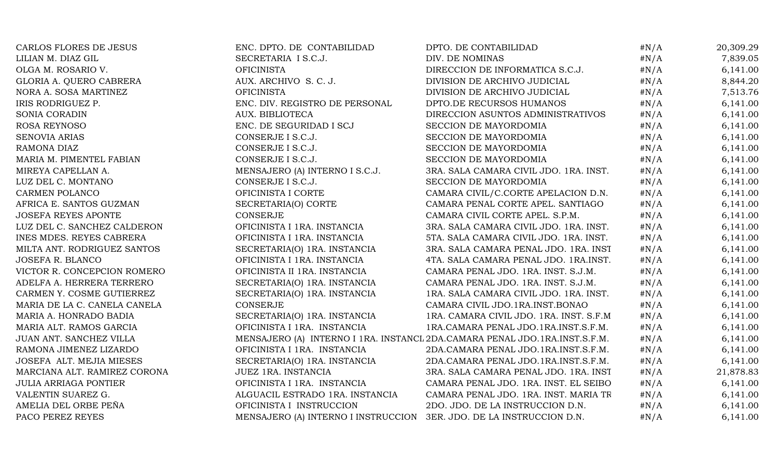| CARLOS FLORES DE JESUS       | ENC. DPTO. DE CONTABILIDAD                                           | DPTO. DE CONTABILIDAD                                                      | $\#N/A$ | 20,309.29 |
|------------------------------|----------------------------------------------------------------------|----------------------------------------------------------------------------|---------|-----------|
| LILIAN M. DIAZ GIL           | SECRETARIA I S.C.J.                                                  | DIV. DE NOMINAS                                                            | $\#N/A$ | 7,839.05  |
| OLGA M. ROSARIO V.           | <b>OFICINISTA</b>                                                    | DIRECCION DE INFORMATICA S.C.J.                                            | $\#N/A$ | 6,141.00  |
| GLORIA A. QUERO CABRERA      | AUX. ARCHIVO S. C. J.                                                | DIVISION DE ARCHIVO JUDICIAL                                               | $\#N/A$ | 8,844.20  |
| NORA A. SOSA MARTINEZ        | <b>OFICINISTA</b>                                                    | DIVISION DE ARCHIVO JUDICIAL                                               | $\#N/A$ | 7,513.76  |
| IRIS RODRIGUEZ P.            | ENC. DIV. REGISTRO DE PERSONAL                                       | DPTO.DE RECURSOS HUMANOS                                                   | # $N/A$ | 6,141.00  |
| SONIA CORADIN                | AUX. BIBLIOTECA                                                      | DIRECCION ASUNTOS ADMINISTRATIVOS                                          | $\#N/A$ | 6,141.00  |
| ROSA REYNOSO                 | ENC. DE SEGURIDAD I SCJ                                              | SECCION DE MAYORDOMIA                                                      | $\#N/A$ | 6,141.00  |
| SENOVIA ARIAS                | CONSERJE I S.C.J.                                                    | SECCION DE MAYORDOMIA                                                      | $\#N/A$ | 6,141.00  |
| RAMONA DIAZ                  | CONSERJE I S.C.J.                                                    | SECCION DE MAYORDOMIA                                                      | $\#N/A$ | 6,141.00  |
| MARIA M. PIMENTEL FABIAN     | CONSERJE I S.C.J.                                                    | SECCION DE MAYORDOMIA                                                      | $\#N/A$ | 6,141.00  |
| MIREYA CAPELLAN A.           | MENSAJERO (A) INTERNO I S.C.J.                                       | 3RA. SALA CAMARA CIVIL JDO. 1RA. INST.                                     | $\#N/A$ | 6,141.00  |
| LUZ DEL C. MONTANO           | CONSERJE I S.C.J.                                                    | SECCION DE MAYORDOMIA                                                      | $\#N/A$ | 6,141.00  |
| CARMEN POLANCO               | OFICINISTA I CORTE                                                   | CAMARA CIVIL/C.CORTE APELACION D.N.                                        | $\#N/A$ | 6,141.00  |
| AFRICA E. SANTOS GUZMAN      | SECRETARIA(O) CORTE                                                  | CAMARA PENAL CORTE APEL. SANTIAGO                                          | $\#N/A$ | 6,141.00  |
| <b>JOSEFA REYES APONTE</b>   | CONSERJE                                                             | CAMARA CIVIL CORTE APEL. S.P.M.                                            | # $N/A$ | 6,141.00  |
| LUZ DEL C. SANCHEZ CALDERON  | OFICINISTA I 1RA. INSTANCIA                                          | 3RA. SALA CAMARA CIVIL JDO. 1RA. INST.                                     | $\#N/A$ | 6,141.00  |
| INES MDES. REYES CABRERA     | OFICINISTA I 1RA. INSTANCIA                                          | 5TA. SALA CAMARA CIVIL JDO. 1RA. INST.                                     | $\#N/A$ | 6,141.00  |
| MILTA ANT. RODRIGUEZ SANTOS  | SECRETARIA(O) 1RA. INSTANCIA                                         | 3RA. SALA CAMARA PENAL JDO. 1RA. INST                                      | $\#N/A$ | 6,141.00  |
| JOSEFA R. BLANCO             | OFICINISTA I 1RA. INSTANCIA                                          | 4TA. SALA CAMARA PENAL JDO. 1RA.INST.                                      | $\#N/A$ | 6,141.00  |
| VICTOR R. CONCEPCION ROMERO  | OFICINISTA II 1RA. INSTANCIA                                         | CAMARA PENAL JDO. 1RA. INST. S.J.M.                                        | $\#N/A$ | 6,141.00  |
| ADELFA A. HERRERA TERRERO    | SECRETARIA(O) 1RA. INSTANCIA                                         | CAMARA PENAL JDO. 1RA. INST. S.J.M.                                        | $\#N/A$ | 6,141.00  |
| CARMEN Y. COSME GUTIERREZ    | SECRETARIA(O) 1RA. INSTANCIA                                         | 1RA. SALA CAMARA CIVIL JDO. 1RA. INST.                                     | # $N/A$ | 6,141.00  |
| MARIA DE LA C. CANELA CANELA | CONSERJE                                                             | CAMARA CIVIL JDO.1RA.INST.BONAO                                            | $\#N/A$ | 6,141.00  |
| MARIA A. HONRADO BADIA       | SECRETARIA(O) 1RA. INSTANCIA                                         | 1RA. CAMARA CIVIL JDO. 1RA. INST. S.F.M                                    | $\#N/A$ | 6,141.00  |
| MARIA ALT. RAMOS GARCIA      | OFICINISTA I 1RA. INSTANCIA                                          | 1RA.CAMARA PENAL JDO.1RA.INST.S.F.M.                                       | $\#N/A$ | 6,141.00  |
| JUAN ANT. SANCHEZ VILLA      |                                                                      | MENSAJERO (A) INTERNO I 1RA. INSTANCL 2DA.CAMARA PENAL JDO.1RA.INST.S.F.M. | $\#N/A$ | 6,141.00  |
| RAMONA JIMENEZ LIZARDO       | OFICINISTA I 1RA. INSTANCIA                                          | 2DA.CAMARA PENAL JDO.1RA.INST.S.F.M.                                       | $\#N/A$ | 6,141.00  |
| JOSEFA ALT. MEJIA MIESES     | SECRETARIA(O) 1RA. INSTANCIA                                         | 2DA.CAMARA PENAL JDO.1RA.INST.S.F.M.                                       | $\#N/A$ | 6,141.00  |
| MARCIANA ALT. RAMIREZ CORONA | <b>JUEZ 1RA. INSTANCIA</b>                                           | 3RA. SALA CAMARA PENAL JDO. 1RA. INST                                      | $\#N/A$ | 21,878.83 |
| <b>JULIA ARRIAGA PONTIER</b> | OFICINISTA I 1RA. INSTANCIA                                          | CAMARA PENAL JDO. 1RA. INST. EL SEIBO                                      | $\#N/A$ | 6,141.00  |
| VALENTIN SUAREZ G.           | ALGUACIL ESTRADO 1RA. INSTANCIA                                      | CAMARA PENAL JDO. 1RA. INST. MARIA TR                                      | $\#N/A$ | 6,141.00  |
| AMELIA DEL ORBE PEÑA         | OFICINISTA I INSTRUCCION                                             | 2DO. JDO. DE LA INSTRUCCION D.N.                                           | $\#N/A$ | 6,141.00  |
| PACO PEREZ REYES             | MENSAJERO (A) INTERNO I INSTRUCCION 3ER. JDO. DE LA INSTRUCCION D.N. |                                                                            | $\#N/A$ | 6,141.00  |
|                              |                                                                      |                                                                            |         |           |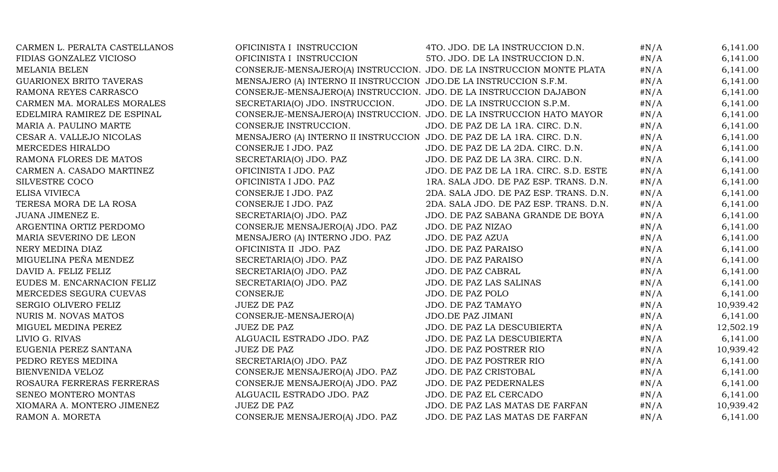| CARMEN L. PERALTA CASTELLANOS  | OFICINISTA I INSTRUCCION                                               | 4TO. JDO. DE LA INSTRUCCION D.N.                                      | $\#N/A$ | 6,141.00  |
|--------------------------------|------------------------------------------------------------------------|-----------------------------------------------------------------------|---------|-----------|
| FIDIAS GONZALEZ VICIOSO        | OFICINISTA I INSTRUCCION                                               | 5TO. JDO. DE LA INSTRUCCION D.N.                                      | $\#N/A$ | 6,141.00  |
| <b>MELANIA BELEN</b>           |                                                                        | CONSERJE-MENSAJERO(A) INSTRUCCION. JDO. DE LA INSTRUCCION MONTE PLATA | $\#N/A$ | 6,141.00  |
| <b>GUARIONEX BRITO TAVERAS</b> | MENSAJERO (A) INTERNO II INSTRUCCION JDO.DE LA INSTRUCCION S.F.M.      |                                                                       | $\#N/A$ | 6,141.00  |
| RAMONA REYES CARRASCO          | CONSERJE-MENSAJERO(A) INSTRUCCION. JDO. DE LA INSTRUCCION DAJABON      |                                                                       | $\#N/A$ | 6,141.00  |
| CARMEN MA. MORALES MORALES     | SECRETARIA(O) JDO. INSTRUCCION.                                        | JDO. DE LA INSTRUCCION S.P.M.                                         | $\#N/A$ | 6,141.00  |
| EDELMIRA RAMIREZ DE ESPINAL    |                                                                        | CONSERJE-MENSAJERO(A) INSTRUCCION. JDO. DE LA INSTRUCCION HATO MAYOR  | $\#N/A$ | 6,141.00  |
| MARIA A. PAULINO MARTE         | CONSERJE INSTRUCCION.                                                  | JDO. DE PAZ DE LA 1RA. CIRC. D.N.                                     | $\#N/A$ | 6,141.00  |
| CESAR A. VALLEJO NICOLAS       | MENSAJERO (A) INTERNO II INSTRUCCION JDO. DE PAZ DE LA 1RA. CIRC. D.N. |                                                                       | $\#N/A$ | 6,141.00  |
| MERCEDES HIRALDO               | CONSERJE I JDO. PAZ                                                    | JDO. DE PAZ DE LA 2DA. CIRC. D.N.                                     | $\#N/A$ | 6,141.00  |
| RAMONA FLORES DE MATOS         | SECRETARIA(O) JDO. PAZ                                                 | JDO. DE PAZ DE LA 3RA. CIRC. D.N.                                     | $\#N/A$ | 6,141.00  |
| CARMEN A. CASADO MARTINEZ      | OFICINISTA I JDO. PAZ                                                  | JDO. DE PAZ DE LA 1RA. CIRC. S.D. ESTE                                | $\#N/A$ | 6,141.00  |
| SILVESTRE COCO                 | OFICINISTA I JDO. PAZ                                                  | 1RA. SALA JDO. DE PAZ ESP. TRANS. D.N.                                | $\#N/A$ | 6,141.00  |
| <b>ELISA VIVIECA</b>           | CONSERJE I JDO. PAZ                                                    | 2DA. SALA JDO. DE PAZ ESP. TRANS. D.N.                                | $\#N/A$ | 6,141.00  |
| TERESA MORA DE LA ROSA         | CONSERJE I JDO. PAZ                                                    | 2DA. SALA JDO. DE PAZ ESP. TRANS. D.N.                                | $\#N/A$ | 6,141.00  |
| <b>JUANA JIMENEZ E.</b>        | SECRETARIA(O) JDO. PAZ                                                 | JDO. DE PAZ SABANA GRANDE DE BOYA                                     | $\#N/A$ | 6,141.00  |
| ARGENTINA ORTIZ PERDOMO        | CONSERJE MENSAJERO(A) JDO. PAZ                                         | JDO. DE PAZ NIZAO                                                     | $\#N/A$ | 6,141.00  |
| MARIA SEVERINO DE LEON         | MENSAJERO (A) INTERNO JDO. PAZ                                         | JDO. DE PAZ AZUA                                                      | $\#N/A$ | 6,141.00  |
| NERY MEDINA DIAZ               | OFICINISTA II JDO. PAZ                                                 | JDO. DE PAZ PARAISO                                                   | # $N/A$ | 6,141.00  |
| MIGUELINA PEÑA MENDEZ          | SECRETARIA(O) JDO. PAZ                                                 | <b>JDO. DE PAZ PARAISO</b>                                            | $\#N/A$ | 6,141.00  |
| DAVID A. FELIZ FELIZ           | SECRETARIA(O) JDO. PAZ                                                 | JDO. DE PAZ CABRAL                                                    | # $N/A$ | 6,141.00  |
| EUDES M. ENCARNACION FELIZ     | SECRETARIA(O) JDO. PAZ                                                 | JDO. DE PAZ LAS SALINAS                                               | $\#N/A$ | 6,141.00  |
| MERCEDES SEGURA CUEVAS         | CONSERJE                                                               | JDO. DE PAZ POLO                                                      | $\#N/A$ | 6,141.00  |
| SERGIO OLIVERO FELIZ           | <b>JUEZ DE PAZ</b>                                                     | JDO. DE PAZ TAMAYO                                                    | $\#N/A$ | 10,939.42 |
| NURIS M. NOVAS MATOS           | CONSERJE-MENSAJERO(A)                                                  | JDO.DE PAZ JIMANI                                                     | $\#N/A$ | 6,141.00  |
| MIGUEL MEDINA PEREZ            | <b>JUEZ DE PAZ</b>                                                     | JDO. DE PAZ LA DESCUBIERTA                                            | $\#N/A$ | 12,502.19 |
| LIVIO G. RIVAS                 | ALGUACIL ESTRADO JDO. PAZ                                              | JDO. DE PAZ LA DESCUBIERTA                                            | $\#N/A$ | 6,141.00  |
| EUGENIA PEREZ SANTANA          | <b>JUEZ DE PAZ</b>                                                     | JDO. DE PAZ POSTRER RIO                                               | $\#N/A$ | 10,939.42 |
| PEDRO REYES MEDINA             | SECRETARIA(O) JDO. PAZ                                                 | JDO. DE PAZ POSTRER RIO                                               | $\#N/A$ | 6,141.00  |
| BIENVENIDA VELOZ               | CONSERJE MENSAJERO(A) JDO. PAZ                                         | JDO. DE PAZ CRISTOBAL                                                 | # $N/A$ | 6,141.00  |
| ROSAURA FERRERAS FERRERAS      | CONSERJE MENSAJERO(A) JDO. PAZ                                         | JDO. DE PAZ PEDERNALES                                                | # $N/A$ | 6,141.00  |
| SENEO MONTERO MONTAS           | ALGUACIL ESTRADO JDO. PAZ                                              | JDO. DE PAZ EL CERCADO                                                | $\#N/A$ | 6,141.00  |
| XIOMARA A. MONTERO JIMENEZ     | <b>JUEZ DE PAZ</b>                                                     | JDO. DE PAZ LAS MATAS DE FARFAN                                       | # $N/A$ | 10,939.42 |
| RAMON A. MORETA                | CONSERJE MENSAJERO(A) JDO. PAZ                                         | JDO. DE PAZ LAS MATAS DE FARFAN                                       | #N/A    | 6,141.00  |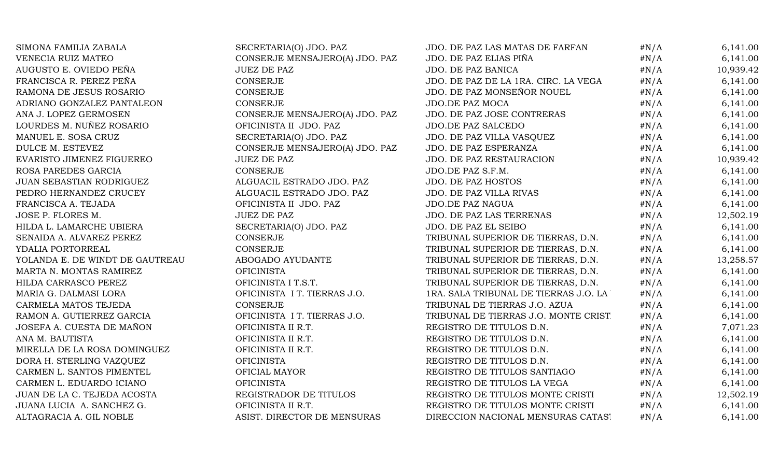| SIMONA FAMILIA ZABALA           | SECRETARIA(O) JDO. PAZ         | JDO. DE PAZ LAS MATAS DE FARFAN         | $\#N/A$ | 6,141.00  |
|---------------------------------|--------------------------------|-----------------------------------------|---------|-----------|
| VENECIA RUIZ MATEO              | CONSERJE MENSAJERO(A) JDO. PAZ | JDO. DE PAZ ELIAS PIÑA                  | $\#N/A$ | 6,141.00  |
| AUGUSTO E. OVIEDO PEÑA          | <b>JUEZ DE PAZ</b>             | JDO. DE PAZ BANICA                      | $\#N/A$ | 10,939.42 |
| FRANCISCA R. PEREZ PEÑA         | CONSERJE                       | JDO. DE PAZ DE LA 1RA. CIRC. LA VEGA    | $\#N/A$ | 6,141.00  |
| RAMONA DE JESUS ROSARIO         | CONSERJE                       | JDO. DE PAZ MONSEÑOR NOUEL              | # $N/A$ | 6,141.00  |
| ADRIANO GONZALEZ PANTALEON      | CONSERJE                       | JDO.DE PAZ MOCA                         | $\#N/A$ | 6,141.00  |
| ANA J. LOPEZ GERMOSEN           | CONSERJE MENSAJERO(A) JDO. PAZ | JDO. DE PAZ JOSE CONTRERAS              | $\#N/A$ | 6,141.00  |
| LOURDES M. NUÑEZ ROSARIO        | OFICINISTA II JDO. PAZ         | <b>JDO.DE PAZ SALCEDO</b>               | $\#N/A$ | 6,141.00  |
| MANUEL E. SOSA CRUZ             | SECRETARIA(O) JDO. PAZ         | JDO. DE PAZ VILLA VASQUEZ               | $\#N/A$ | 6,141.00  |
| DULCE M. ESTEVEZ                | CONSERJE MENSAJERO(A) JDO. PAZ | JDO. DE PAZ ESPERANZA                   | # $N/A$ | 6,141.00  |
| EVARISTO JIMENEZ FIGUEREO       | <b>JUEZ DE PAZ</b>             | JDO. DE PAZ RESTAURACION                | $\#N/A$ | 10,939.42 |
| ROSA PAREDES GARCIA             | CONSERJE                       | JDO.DE PAZ S.F.M.                       | $\#N/A$ | 6,141.00  |
| JUAN SEBASTIAN RODRIGUEZ        | ALGUACIL ESTRADO JDO. PAZ      | <b>JDO. DE PAZ HOSTOS</b>               | $\#N/A$ | 6,141.00  |
| PEDRO HERNANDEZ CRUCEY          | ALGUACIL ESTRADO JDO. PAZ      | JDO. DE PAZ VILLA RIVAS                 | $\#N/A$ | 6,141.00  |
| FRANCISCA A. TEJADA             | OFICINISTA II JDO. PAZ         | JDO.DE PAZ NAGUA                        | # $N/A$ | 6,141.00  |
| JOSE P. FLORES M.               | <b>JUEZ DE PAZ</b>             | JDO. DE PAZ LAS TERRENAS                | $\#N/A$ | 12,502.19 |
| HILDA L. LAMARCHE UBIERA        | SECRETARIA(O) JDO. PAZ         | JDO. DE PAZ EL SEIBO                    | $\#N/A$ | 6,141.00  |
| SENAIDA A. ALVAREZ PEREZ        | CONSERJE                       | TRIBUNAL SUPERIOR DE TIERRAS, D.N.      | $\#N/A$ | 6,141.00  |
| YDALIA PORTORREAL               | CONSERJE                       | TRIBUNAL SUPERIOR DE TIERRAS, D.N.      | # $N/A$ | 6,141.00  |
| YOLANDA E. DE WINDT DE GAUTREAU | ABOGADO AYUDANTE               | TRIBUNAL SUPERIOR DE TIERRAS, D.N.      | $\#N/A$ | 13,258.57 |
| MARTA N. MONTAS RAMIREZ         | <b>OFICINISTA</b>              | TRIBUNAL SUPERIOR DE TIERRAS, D.N.      | $\#N/A$ | 6,141.00  |
| HILDA CARRASCO PEREZ            | OFICINISTA I T.S.T.            | TRIBUNAL SUPERIOR DE TIERRAS, D.N.      | $\#N/A$ | 6,141.00  |
| MARIA G. DALMASI LORA           | OFICINISTA I T. TIERRAS J.O.   | 1RA. SALA TRIBUNAL DE TIERRAS J.O. LA ' | # $N/A$ | 6,141.00  |
| CARMELA MATOS TEJEDA            | CONSERJE                       | TRIBUNAL DE TIERRAS J.O. AZUA           | $\#N/A$ | 6,141.00  |
| RAMON A. GUTIERREZ GARCIA       | OFICINISTA I T. TIERRAS J.O.   | TRIBUNAL DE TIERRAS J.O. MONTE CRIST.   | $\#N/A$ | 6,141.00  |
| JOSEFA A. CUESTA DE MAÑON       | OFICINISTA II R.T.             | REGISTRO DE TITULOS D.N.                | $\#N/A$ | 7,071.23  |
| ANA M. BAUTISTA                 | OFICINISTA II R.T.             | REGISTRO DE TITULOS D.N.                | # $N/A$ | 6,141.00  |
| MIRELLA DE LA ROSA DOMINGUEZ    | OFICINISTA II R.T.             | REGISTRO DE TITULOS D.N.                | $\#N/A$ | 6,141.00  |
| DORA H. STERLING VAZQUEZ        | <b>OFICINISTA</b>              | REGISTRO DE TITULOS D.N.                | $\#N/A$ | 6,141.00  |
| CARMEN L. SANTOS PIMENTEL       | OFICIAL MAYOR                  | REGISTRO DE TITULOS SANTIAGO            | $\#N/A$ | 6,141.00  |
| CARMEN L. EDUARDO ICIANO        | <b>OFICINISTA</b>              | REGISTRO DE TITULOS LA VEGA             | $\#N/A$ | 6,141.00  |
| JUAN DE LA C. TEJEDA ACOSTA     | REGISTRADOR DE TITULOS         | REGISTRO DE TITULOS MONTE CRISTI        | # $N/A$ | 12,502.19 |
| JUANA LUCIA A. SANCHEZ G.       | OFICINISTA II R.T.             | REGISTRO DE TITULOS MONTE CRISTI        | # $N/A$ | 6,141.00  |
| ALTAGRACIA A. GIL NOBLE         | ASIST. DIRECTOR DE MENSURAS    | DIRECCION NACIONAL MENSURAS CATAST      | #N/A    | 6,141.00  |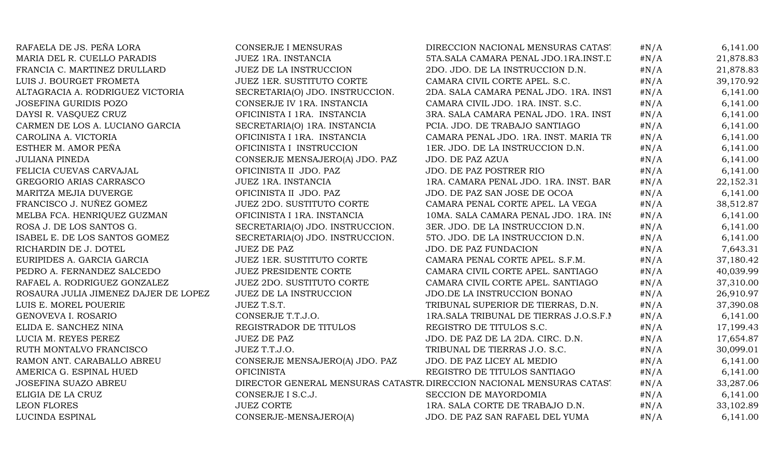| RAFAELA DE JS. PEÑA LORA             | <b>CONSERJE I MENSURAS</b>       | DIRECCION NACIONAL MENSURAS CATAST                                   | #N/A    | 6,141.00  |
|--------------------------------------|----------------------------------|----------------------------------------------------------------------|---------|-----------|
| MARIA DEL R. CUELLO PARADIS          | JUEZ 1RA. INSTANCIA              | 5TA.SALA CAMARA PENAL JDO.1RA.INST.L                                 | $\#N/A$ | 21,878.83 |
| FRANCIA C. MARTINEZ DRULLARD         | <b>JUEZ DE LA INSTRUCCION</b>    | 2DO. JDO. DE LA INSTRUCCION D.N.                                     | $\#N/A$ | 21,878.83 |
| LUIS J. BOURGET FROMETA              | <b>JUEZ 1ER. SUSTITUTO CORTE</b> | CAMARA CIVIL CORTE APEL. S.C.                                        | $\#N/A$ | 39,170.92 |
| ALTAGRACIA A. RODRIGUEZ VICTORIA     | SECRETARIA(O) JDO. INSTRUCCION.  | 2DA. SALA CAMARA PENAL JDO. 1RA. INST                                | $\#N/A$ | 6,141.00  |
| <b>JOSEFINA GURIDIS POZO</b>         | CONSERJE IV 1RA. INSTANCIA       | CAMARA CIVIL JDO. 1RA. INST. S.C.                                    | $\#N/A$ | 6,141.00  |
| DAYSI R. VASQUEZ CRUZ                | OFICINISTA I 1RA. INSTANCIA      | 3RA. SALA CAMARA PENAL JDO. 1RA. INST                                | $\#N/A$ | 6,141.00  |
| CARMEN DE LOS A. LUCIANO GARCIA      | SECRETARIA(O) 1RA. INSTANCIA     | PCIA. JDO. DE TRABAJO SANTIAGO                                       | $\#N/A$ | 6,141.00  |
| CAROLINA A. VICTORIA                 | OFICINISTA I 1RA. INSTANCIA      | CAMARA PENAL JDO. 1RA. INST. MARIA TR                                | #N/A    | 6,141.00  |
| ESTHER M. AMOR PEÑA                  | OFICINISTA I INSTRUCCION         | 1ER. JDO. DE LA INSTRUCCION D.N.                                     | $\#N/A$ | 6,141.00  |
| <b>JULIANA PINEDA</b>                | CONSERJE MENSAJERO(A) JDO. PAZ   | JDO. DE PAZ AZUA                                                     | $\#N/A$ | 6,141.00  |
| FELICIA CUEVAS CARVAJAL              | OFICINISTA II JDO. PAZ           | JDO. DE PAZ POSTRER RIO                                              | #N/A    | 6,141.00  |
| GREGORIO ARIAS CARRASCO              | JUEZ 1RA. INSTANCIA              | 1RA. CAMARA PENAL JDO. 1RA. INST. BAR                                | #N/A    | 22,152.31 |
| MARITZA MEJIA DUVERGE                | OFICINISTA II JDO. PAZ           | JDO. DE PAZ SAN JOSE DE OCOA                                         | #N/A    | 6,141.00  |
| FRANCISCO J. NUÑEZ GOMEZ             | <b>JUEZ 2DO. SUSTITUTO CORTE</b> | CAMARA PENAL CORTE APEL. LA VEGA                                     | #N/A    | 38,512.87 |
| MELBA FCA. HENRIQUEZ GUZMAN          | OFICINISTA I 1RA. INSTANCIA      | 10MA. SALA CAMARA PENAL JDO. 1RA. INS                                | $\#N/A$ | 6,141.00  |
| ROSA J. DE LOS SANTOS G.             | SECRETARIA(O) JDO. INSTRUCCION.  | 3ER. JDO. DE LA INSTRUCCION D.N.                                     | $\#N/A$ | 6,141.00  |
| ISABEL E. DE LOS SANTOS GOMEZ        | SECRETARIA(O) JDO. INSTRUCCION.  | 5TO. JDO. DE LA INSTRUCCION D.N.                                     | #N/A    | 6,141.00  |
| RICHARDIN DE J. DOTEL                | <b>JUEZ DE PAZ</b>               | <b>JDO. DE PAZ FUNDACION</b>                                         | $\#N/A$ | 7,643.31  |
| EURIPIDES A. GARCIA GARCIA           | <b>JUEZ 1ER. SUSTITUTO CORTE</b> | CAMARA PENAL CORTE APEL. S.F.M.                                      | $\#N/A$ | 37,180.42 |
| PEDRO A. FERNANDEZ SALCEDO           | <b>JUEZ PRESIDENTE CORTE</b>     | CAMARA CIVIL CORTE APEL. SANTIAGO                                    | $\#N/A$ | 40,039.99 |
| RAFAEL A. RODRIGUEZ GONZALEZ         | <b>JUEZ 2DO. SUSTITUTO CORTE</b> | CAMARA CIVIL CORTE APEL. SANTIAGO                                    | $\#N/A$ | 37,310.00 |
| ROSAURA JULIA JIMENEZ DAJER DE LOPEZ | <b>JUEZ DE LA INSTRUCCION</b>    | JDO.DE LA INSTRUCCION BONAO                                          | $\#N/A$ | 26,910.97 |
| LUIS E. MOREL POUERIE                | JUEZ T.S.T.                      | TRIBUNAL SUPERIOR DE TIERRAS, D.N.                                   | $\#N/A$ | 37,390.08 |
| GENOVEVA I. ROSARIO                  | CONSERJE T.T.J.O.                | 1RA. SALA TRIBUNAL DE TIERRAS J.O.S.F. N                             | $\#N/A$ | 6,141.00  |
| ELIDA E. SANCHEZ NINA                | REGISTRADOR DE TITULOS           | REGISTRO DE TITULOS S.C.                                             | $\#N/A$ | 17,199.43 |
| LUCIA M. REYES PEREZ                 | <b>JUEZ DE PAZ</b>               | JDO. DE PAZ DE LA 2DA. CIRC. D.N.                                    | $\#N/A$ | 17,654.87 |
| RUTH MONTALVO FRANCISCO              | JUEZ T.T.J.O.                    | TRIBUNAL DE TIERRAS J.O. S.C.                                        | $\#N/A$ | 30,099.01 |
| RAMON ANT. CARABALLO ABREU           | CONSERJE MENSAJERO(A) JDO. PAZ   | JDO. DE PAZ LICEY AL MEDIO                                           | $\#N/A$ | 6,141.00  |
| AMERICA G. ESPINAL HUED              | <b>OFICINISTA</b>                | REGISTRO DE TITULOS SANTIAGO                                         | $\#N/A$ | 6,141.00  |
| JOSEFINA SUAZO ABREU                 |                                  | DIRECTOR GENERAL MENSURAS CATASTR DIRECCION NACIONAL MENSURAS CATAST | $\#N/A$ | 33,287.06 |
| ELIGIA DE LA CRUZ                    | CONSERJE I S.C.J.                | SECCION DE MAYORDOMIA                                                | #N/A    | 6,141.00  |
| <b>LEON FLORES</b>                   | <b>JUEZ CORTE</b>                | 1RA. SALA CORTE DE TRABAJO D.N.                                      | $\#N/A$ | 33,102.89 |
| LUCINDA ESPINAL                      | CONSERJE-MENSAJERO(A)            | JDO. DE PAZ SAN RAFAEL DEL YUMA                                      | $\#N/A$ | 6,141.00  |
|                                      |                                  |                                                                      |         |           |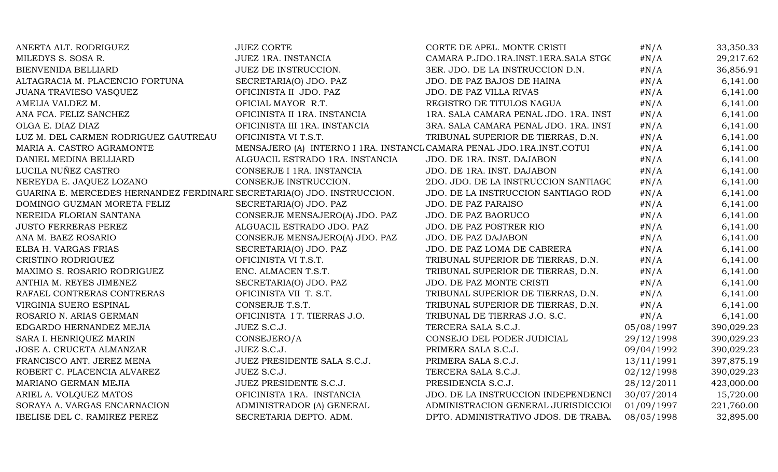| ANERTA ALT. RODRIGUEZ                                                   | <b>JUEZ CORTE</b>                                                     | CORTE DE APEL. MONTE CRISTI           | #N/A       | 33,350.33  |
|-------------------------------------------------------------------------|-----------------------------------------------------------------------|---------------------------------------|------------|------------|
| MILEDYS S. SOSA R.                                                      | JUEZ 1RA. INSTANCIA                                                   | CAMARA P.JDO.1RA.INST.1ERA.SALA STGC  | $\#N/A$    | 29,217.62  |
| BIENVENIDA BELLIARD                                                     | JUEZ DE INSTRUCCION.                                                  | 3ER. JDO. DE LA INSTRUCCION D.N.      | $\#N/A$    | 36,856.91  |
| ALTAGRACIA M. PLACENCIO FORTUNA                                         | SECRETARIA(O) JDO. PAZ                                                | JDO. DE PAZ BAJOS DE HAINA            | $\#N/A$    | 6,141.00   |
| JUANA TRAVIESO VASQUEZ                                                  | OFICINISTA II JDO. PAZ                                                | JDO. DE PAZ VILLA RIVAS               | $\#N/A$    | 6,141.00   |
| AMELIA VALDEZ M.                                                        | OFICIAL MAYOR R.T.                                                    | REGISTRO DE TITULOS NAGUA             | $\#N/A$    | 6,141.00   |
| ANA FCA. FELIZ SANCHEZ                                                  | OFICINISTA II 1RA. INSTANCIA                                          | 1RA. SALA CAMARA PENAL JDO. 1RA. INST | $\#N/A$    | 6,141.00   |
| OLGA E. DIAZ DIAZ                                                       | OFICINISTA III 1RA. INSTANCIA                                         | 3RA. SALA CAMARA PENAL JDO. 1RA. INST | $\#N/A$    | 6,141.00   |
| LUZ M. DEL CARMEN RODRIGUEZ GAUTREAU                                    | OFICINISTA VI T.S.T.                                                  | TRIBUNAL SUPERIOR DE TIERRAS, D.N.    | $\#N/A$    | 6,141.00   |
| MARIA A. CASTRO AGRAMONTE                                               | MENSAJERO (A) INTERNO I 1RA. INSTANCL CAMARA PENAL JDO.1RA.INST.COTUI |                                       | $\#N/A$    | 6,141.00   |
| DANIEL MEDINA BELLIARD                                                  | ALGUACIL ESTRADO 1RA. INSTANCIA                                       | JDO. DE 1RA. INST. DAJABON            | $\#N/A$    | 6,141.00   |
| LUCILA NUÑEZ CASTRO                                                     | CONSERJE I 1RA. INSTANCIA                                             | JDO. DE 1RA. INST. DAJABON            | $\#N/A$    | 6,141.00   |
| NEREYDA E. JAQUEZ LOZANO                                                | CONSERJE INSTRUCCION.                                                 | 2DO. JDO. DE LA INSTRUCCION SANTIAGC  | $\#N/A$    | 6,141.00   |
| GUARINA E. MERCEDES HERNANDEZ FERDINARE SECRETARIA(O) JDO. INSTRUCCION. |                                                                       | JDO. DE LA INSTRUCCION SANTIAGO ROD   | $\#N/A$    | 6,141.00   |
| DOMINGO GUZMAN MORETA FELIZ                                             | SECRETARIA(O) JDO. PAZ                                                | JDO. DE PAZ PARAISO                   | $\#N/A$    | 6,141.00   |
| NEREIDA FLORIAN SANTANA                                                 | CONSERJE MENSAJERO(A) JDO. PAZ                                        | JDO. DE PAZ BAORUCO                   | $\#N/A$    | 6,141.00   |
| <b>JUSTO FERRERAS PEREZ</b>                                             | ALGUACIL ESTRADO JDO. PAZ                                             | JDO. DE PAZ POSTRER RIO               | $\#N/A$    | 6,141.00   |
| ANA M. BAEZ ROSARIO                                                     | CONSERJE MENSAJERO(A) JDO. PAZ                                        | JDO. DE PAZ DAJABON                   | $\#N/A$    | 6,141.00   |
| ELBA H. VARGAS FRIAS                                                    | SECRETARIA(O) JDO. PAZ                                                | JDO. DE PAZ LOMA DE CABRERA           | $\#N/A$    | 6,141.00   |
| CRISTINO RODRIGUEZ                                                      | OFICINISTA VI T.S.T.                                                  | TRIBUNAL SUPERIOR DE TIERRAS, D.N.    | # $N/A$    | 6,141.00   |
| MAXIMO S. ROSARIO RODRIGUEZ                                             | ENC. ALMACEN T.S.T.                                                   | TRIBUNAL SUPERIOR DE TIERRAS, D.N.    | $\#N/A$    | 6,141.00   |
| ANTHIA M. REYES JIMENEZ                                                 | SECRETARIA(O) JDO. PAZ                                                | JDO. DE PAZ MONTE CRISTI              | $\#N/A$    | 6,141.00   |
| RAFAEL CONTRERAS CONTRERAS                                              | OFICINISTA VII T. S.T.                                                | TRIBUNAL SUPERIOR DE TIERRAS, D.N.    | $\#N/A$    | 6,141.00   |
| VIRGINIA SUERO ESPINAL                                                  | CONSERJE T.S.T.                                                       | TRIBUNAL SUPERIOR DE TIERRAS, D.N.    | $\#N/A$    | 6,141.00   |
| ROSARIO N. ARIAS GERMAN                                                 | OFICINISTA I T. TIERRAS J.O.                                          | TRIBUNAL DE TIERRAS J.O. S.C.         | $\#N/A$    | 6,141.00   |
| EDGARDO HERNANDEZ MEJIA                                                 | JUEZ S.C.J.                                                           | TERCERA SALA S.C.J.                   | 05/08/1997 | 390,029.23 |
| SARA I. HENRIQUEZ MARIN                                                 | CONSEJERO/A                                                           | CONSEJO DEL PODER JUDICIAL            | 29/12/1998 | 390,029.23 |
| JOSE A. CRUCETA ALMANZAR                                                | JUEZ S.C.J.                                                           | PRIMERA SALA S.C.J.                   | 09/04/1992 | 390,029.23 |
| FRANCISCO ANT. JEREZ MENA                                               | JUEZ PRESIDENTE SALA S.C.J.                                           | PRIMERA SALA S.C.J.                   | 13/11/1991 | 397,875.19 |
| ROBERT C. PLACENCIA ALVAREZ                                             | JUEZ S.C.J.                                                           | TERCERA SALA S.C.J.                   | 02/12/1998 | 390,029.23 |
| MARIANO GERMAN MEJIA                                                    | JUEZ PRESIDENTE S.C.J.                                                | PRESIDENCIA S.C.J.                    | 28/12/2011 | 423,000.00 |
| ARIEL A. VOLQUEZ MATOS                                                  | OFICINISTA 1RA. INSTANCIA                                             | JDO. DE LA INSTRUCCION INDEPENDENCI   | 30/07/2014 | 15,720.00  |
| SORAYA A. VARGAS ENCARNACION                                            | ADMINISTRADOR (A) GENERAL                                             | ADMINISTRACION GENERAL JURISDICCIOI   | 01/09/1997 | 221,760.00 |
| IBELISE DEL C. RAMIREZ PEREZ                                            | SECRETARIA DEPTO. ADM.                                                | DPTO. ADMINISTRATIVO JDOS. DE TRABA.  | 08/05/1998 | 32,895.00  |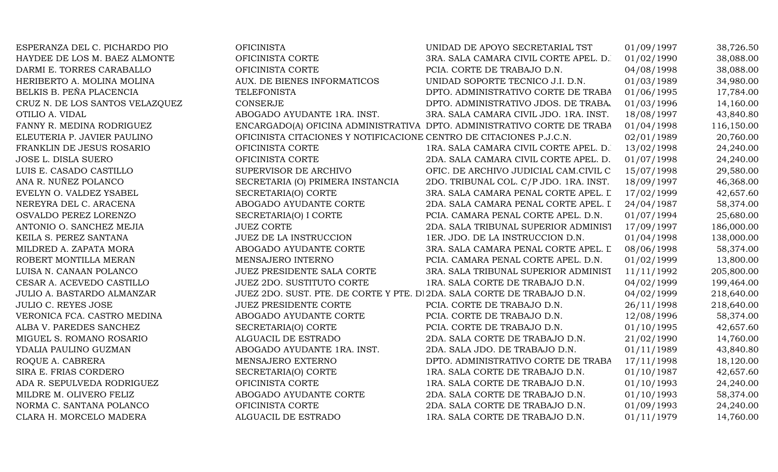| ESPERANZA DEL C. PICHARDO PIO     | <b>OFICINISTA</b>                                                       | UNIDAD DE APOYO SECRETARIAL TST                                         | 01/09/1997 | 38,726.50  |
|-----------------------------------|-------------------------------------------------------------------------|-------------------------------------------------------------------------|------------|------------|
| HAYDEE DE LOS M. BAEZ ALMONTE     | OFICINISTA CORTE                                                        | 3RA. SALA CAMARA CIVIL CORTE APEL. D.                                   | 01/02/1990 | 38,088.00  |
| DARMI E. TORRES CARABALLO         | OFICINISTA CORTE                                                        | PCIA. CORTE DE TRABAJO D.N.                                             | 04/08/1998 | 38,088.00  |
| HERIBERTO A. MOLINA MOLINA        | AUX. DE BIENES INFORMATICOS                                             | UNIDAD SOPORTE TECNICO J.I. D.N.                                        | 01/03/1989 | 34,980.00  |
| BELKIS B. PEÑA PLACENCIA          | <b>TELEFONISTA</b>                                                      | DPTO. ADMINISTRATIVO CORTE DE TRABA                                     | 01/06/1995 | 17,784.00  |
| CRUZ N. DE LOS SANTOS VELAZQUEZ   | <b>CONSERJE</b>                                                         | DPTO. ADMINISTRATIVO JDOS. DE TRABA.                                    | 01/03/1996 | 14,160.00  |
| OTILIO A. VIDAL                   | ABOGADO AYUDANTE 1RA. INST.                                             | 3RA. SALA CAMARA CIVIL JDO. 1RA. INST.                                  | 18/08/1997 | 43,840.80  |
| FANNY R. MEDINA RODRIGUEZ         |                                                                         | ENCARGADO(A) OFICINA ADMINISTRATIVA DPTO. ADMINISTRATIVO CORTE DE TRABA | 01/04/1998 | 116,150.00 |
| ELEUTERIA P. JAVIER PAULINO       | OFICINISTA CITACIONES Y NOTIFICACIONE CENTRO DE CITACIONES P.J.C.N.     |                                                                         | 02/01/1989 | 20,760.00  |
| FRANKLIN DE JESUS ROSARIO         | OFICINISTA CORTE                                                        | 1RA. SALA CAMARA CIVIL CORTE APEL. D.                                   | 13/02/1998 | 24,240.00  |
| JOSE L. DISLA SUERO               | OFICINISTA CORTE                                                        | 2DA. SALA CAMARA CIVIL CORTE APEL. D.                                   | 01/07/1998 | 24,240.00  |
| LUIS E. CASADO CASTILLO           | SUPERVISOR DE ARCHIVO                                                   | OFIC. DE ARCHIVO JUDICIAL CAM.CIVIL C                                   | 15/07/1998 | 29,580.00  |
| ANA R. NUÑEZ POLANCO              | SECRETARIA (O) PRIMERA INSTANCIA                                        | 2DO. TRIBUNAL COL. C/P JDO. 1RA. INST.                                  | 18/09/1997 | 46,368.00  |
| EVELYN O. VALDEZ YSABEL           | SECRETARIA(O) CORTE                                                     | 3RA. SALA CAMARA PENAL CORTE APEL. L                                    | 17/02/1999 | 42,657.60  |
| NEREYRA DEL C. ARACENA            | ABOGADO AYUDANTE CORTE                                                  | 2DA. SALA CAMARA PENAL CORTE APEL. I                                    | 24/04/1987 | 58,374.00  |
| OSVALDO PEREZ LORENZO             | SECRETARIA(O) I CORTE                                                   | PCIA. CAMARA PENAL CORTE APEL. D.N.                                     | 01/07/1994 | 25,680.00  |
| ANTONIO O. SANCHEZ MEJIA          | <b>JUEZ CORTE</b>                                                       | 2DA. SALA TRIBUNAL SUPERIOR ADMINIST                                    | 17/09/1997 | 186,000.00 |
| KEILA S. PEREZ SANTANA            | JUEZ DE LA INSTRUCCION                                                  | 1ER. JDO. DE LA INSTRUCCION D.N.                                        | 01/04/1998 | 138,000.00 |
| MILDRED A. ZAPATA MORA            | ABOGADO AYUDANTE CORTE                                                  | 3RA. SALA CAMARA PENAL CORTE APEL. L                                    | 08/06/1998 | 58,374.00  |
| ROBERT MONTILLA MERAN             | MENSAJERO INTERNO                                                       | PCIA. CAMARA PENAL CORTE APEL. D.N.                                     | 01/02/1999 | 13,800.00  |
| LUISA N. CANAAN POLANCO           | JUEZ PRESIDENTE SALA CORTE                                              | 3RA. SALA TRIBUNAL SUPERIOR ADMINIST                                    | 11/11/1992 | 205,800.00 |
| CESAR A. ACEVEDO CASTILLO         | <b>JUEZ 2DO. SUSTITUTO CORTE</b>                                        | 1RA. SALA CORTE DE TRABAJO D.N.                                         | 04/02/1999 | 199,464.00 |
| <b>JULIO A. BASTARDO ALMANZAR</b> | JUEZ 2DO. SUST. PTE. DE CORTE Y PTE. DI 2DA. SALA CORTE DE TRABAJO D.N. |                                                                         | 04/02/1999 | 218,640.00 |
| <b>JULIO C. REYES JOSE</b>        | <b>JUEZ PRESIDENTE CORTE</b>                                            | PCIA. CORTE DE TRABAJO D.N.                                             | 26/11/1998 | 218,640.00 |
| VERONICA FCA. CASTRO MEDINA       | ABOGADO AYUDANTE CORTE                                                  | PCIA. CORTE DE TRABAJO D.N.                                             | 12/08/1996 | 58,374.00  |
| ALBA V. PAREDES SANCHEZ           | SECRETARIA(O) CORTE                                                     | PCIA. CORTE DE TRABAJO D.N.                                             | 01/10/1995 | 42,657.60  |
| MIGUEL S. ROMANO ROSARIO          | ALGUACIL DE ESTRADO                                                     | 2DA. SALA CORTE DE TRABAJO D.N.                                         | 21/02/1990 | 14,760.00  |
| YDALIA PAULINO GUZMAN             | ABOGADO AYUDANTE 1RA. INST.                                             | 2DA. SALA JDO. DE TRABAJO D.N.                                          | 01/11/1989 | 43,840.80  |
| ROQUE A. CABRERA                  | MENSAJERO EXTERNO                                                       | DPTO. ADMINISTRATIVO CORTE DE TRABA                                     | 17/11/1998 | 18,120.00  |
| SIRA E. FRIAS CORDERO             | SECRETARIA(O) CORTE                                                     | 1RA. SALA CORTE DE TRABAJO D.N.                                         | 01/10/1987 | 42,657.60  |
| ADA R. SEPULVEDA RODRIGUEZ        | OFICINISTA CORTE                                                        | 1RA. SALA CORTE DE TRABAJO D.N.                                         | 01/10/1993 | 24,240.00  |
| MILDRE M. OLIVERO FELIZ           | ABOGADO AYUDANTE CORTE                                                  | 2DA. SALA CORTE DE TRABAJO D.N.                                         | 01/10/1993 | 58,374.00  |
| NORMA C. SANTANA POLANCO          | OFICINISTA CORTE                                                        | 2DA. SALA CORTE DE TRABAJO D.N.                                         | 01/09/1993 | 24,240.00  |
| CLARA H. MORCELO MADERA           | ALGUACIL DE ESTRADO                                                     | 1RA. SALA CORTE DE TRABAJO D.N.                                         | 01/11/1979 | 14,760.00  |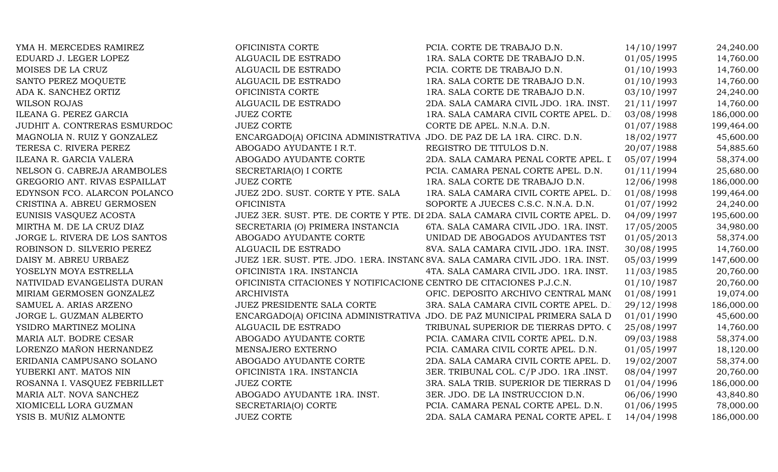| YMA H. MERCEDES RAMIREZ       | OFICINISTA CORTE                                                      | PCIA. CORTE DE TRABAJO D.N.                                                    | 14/10/1997 | 24,240.00  |
|-------------------------------|-----------------------------------------------------------------------|--------------------------------------------------------------------------------|------------|------------|
| EDUARD J. LEGER LOPEZ         | ALGUACIL DE ESTRADO                                                   | 1RA. SALA CORTE DE TRABAJO D.N.                                                | 01/05/1995 | 14,760.00  |
| MOISES DE LA CRUZ             | ALGUACIL DE ESTRADO                                                   | PCIA. CORTE DE TRABAJO D.N.                                                    | 01/10/1993 | 14,760.00  |
| SANTO PEREZ MOQUETE           | ALGUACIL DE ESTRADO                                                   | 1RA. SALA CORTE DE TRABAJO D.N.                                                | 01/10/1993 | 14,760.00  |
| ADA K. SANCHEZ ORTIZ          | OFICINISTA CORTE                                                      | 1RA. SALA CORTE DE TRABAJO D.N.                                                | 03/10/1997 | 24,240.00  |
| <b>WILSON ROJAS</b>           | ALGUACIL DE ESTRADO                                                   | 2DA. SALA CAMARA CIVIL JDO. 1RA. INST.                                         | 21/11/1997 | 14,760.00  |
| ILEANA G. PEREZ GARCIA        | <b>JUEZ CORTE</b>                                                     | 1RA. SALA CAMARA CIVIL CORTE APEL. D.                                          | 03/08/1998 | 186,000.00 |
| JUDHIT A. CONTRERAS ESMURDOC  | <b>JUEZ CORTE</b>                                                     | CORTE DE APEL. N.N.A. D.N.                                                     | 01/07/1988 | 199,464.00 |
| MAGNOLIA N. RUIZ Y GONZALEZ   | ENCARGADO(A) OFICINA ADMINISTRATIVA JDO. DE PAZ DE LA 1RA. CIRC. D.N. |                                                                                | 18/02/1977 | 45,600.00  |
| TERESA C. RIVERA PEREZ        | ABOGADO AYUDANTE I R.T.                                               | REGISTRO DE TITULOS D.N.                                                       | 20/07/1988 | 54,885.60  |
| ILEANA R. GARCIA VALERA       | ABOGADO AYUDANTE CORTE                                                | 2DA. SALA CAMARA PENAL CORTE APEL. I                                           | 05/07/1994 | 58,374.00  |
| NELSON G. CABREJA ARAMBOLES   | SECRETARIA(O) I CORTE                                                 | PCIA. CAMARA PENAL CORTE APEL. D.N.                                            | 01/11/1994 | 25,680.00  |
| GREGORIO ANT. RIVAS ESPAILLAT | <b>JUEZ CORTE</b>                                                     | 1RA. SALA CORTE DE TRABAJO D.N.                                                | 12/06/1998 | 186,000.00 |
| EDYNSON FCO. ALARCON POLANCO  | JUEZ 2DO. SUST. CORTE Y PTE. SALA                                     | 1RA. SALA CAMARA CIVIL CORTE APEL. D.                                          | 01/08/1998 | 199,464.00 |
| CRISTINA A. ABREU GERMOSEN    | <b>OFICINISTA</b>                                                     | SOPORTE A JUECES C.S.C. N.N.A. D.N.                                            | 01/07/1992 | 24,240.00  |
| EUNISIS VASQUEZ ACOSTA        |                                                                       | JUEZ 3ER. SUST. PTE. DE CORTE Y PTE. DI 2DA. SALA CAMARA CIVIL CORTE APEL. D.  | 04/09/1997 | 195,600.00 |
| MIRTHA M. DE LA CRUZ DIAZ     | SECRETARIA (O) PRIMERA INSTANCIA                                      | 6TA. SALA CAMARA CIVIL JDO. 1RA. INST.                                         | 17/05/2005 | 34,980.00  |
| JORGE L. RIVERA DE LOS SANTOS | ABOGADO AYUDANTE CORTE                                                | UNIDAD DE ABOGADOS AYUDANTES TST                                               | 01/05/2013 | 58,374.00  |
| ROBINSON D. SILVERIO PEREZ    | ALGUACIL DE ESTRADO                                                   | 8VA. SALA CAMARA CIVIL JDO. 1RA. INST.                                         | 30/08/1995 | 14,760.00  |
| DAISY M. ABREU URBAEZ         |                                                                       | JUEZ 1ER. SUST. PTE. JDO. 1ERA. INSTANC 8VA. SALA CAMARA CIVIL JDO. 1RA. INST. | 05/03/1999 | 147,600.00 |
| YOSELYN MOYA ESTRELLA         | OFICINISTA 1RA. INSTANCIA                                             | 4TA. SALA CAMARA CIVIL JDO. 1RA. INST.                                         | 11/03/1985 | 20,760.00  |
| NATIVIDAD EVANGELISTA DURAN   | OFICINISTA CITACIONES Y NOTIFICACIONE CENTRO DE CITACIONES P.J.C.N.   |                                                                                | 01/10/1987 | 20,760.00  |
| MIRIAM GERMOSEN GONZALEZ      | <b>ARCHIVISTA</b>                                                     | OFIC. DEPOSITO ARCHIVO CENTRAL MANO                                            | 01/08/1991 | 19,074.00  |
| SAMUEL A. ARIAS ARZENO        | JUEZ PRESIDENTE SALA CORTE                                            | 3RA. SALA CAMARA CIVIL CORTE APEL. D.                                          | 29/12/1998 | 186,000.00 |
| JORGE L. GUZMAN ALBERTO       |                                                                       | ENCARGADO(A) OFICINA ADMINISTRATIVA JDO. DE PAZ MUNICIPAL PRIMERA SALA D       | 01/01/1990 | 45,600.00  |
| YSIDRO MARTINEZ MOLINA        | ALGUACIL DE ESTRADO                                                   | TRIBUNAL SUPERIOR DE TIERRAS DPTO. C                                           | 25/08/1997 | 14,760.00  |
| MARIA ALT. BODRE CESAR        | ABOGADO AYUDANTE CORTE                                                | PCIA. CAMARA CIVIL CORTE APEL. D.N.                                            | 09/03/1988 | 58,374.00  |
| LORENZO MAÑON HERNANDEZ       | MENSAJERO EXTERNO                                                     | PCIA. CAMARA CIVIL CORTE APEL. D.N.                                            | 01/05/1997 | 18,120.00  |
| ERIDANIA CAMPUSANO SOLANO     | ABOGADO AYUDANTE CORTE                                                | 2DA. SALA CAMARA CIVIL CORTE APEL. D.                                          | 19/02/2007 | 58,374.00  |
| YUBERKI ANT. MATOS NIN        | OFICINISTA 1RA. INSTANCIA                                             | 3ER. TRIBUNAL COL. C/P JDO. 1RA .INST.                                         | 08/04/1997 | 20,760.00  |
| ROSANNA I. VASQUEZ FEBRILLET  | <b>JUEZ CORTE</b>                                                     | 3RA. SALA TRIB. SUPERIOR DE TIERRAS D                                          | 01/04/1996 | 186,000.00 |
| MARIA ALT. NOVA SANCHEZ       | ABOGADO AYUDANTE 1RA. INST.                                           | 3ER. JDO. DE LA INSTRUCCION D.N.                                               | 06/06/1990 | 43,840.80  |
| XIOMICELL LORA GUZMAN         | SECRETARIA(O) CORTE                                                   | PCIA. CAMARA PENAL CORTE APEL. D.N.                                            | 01/06/1995 | 78,000.00  |
| YSIS B. MUÑIZ ALMONTE         | <b>JUEZ CORTE</b>                                                     | 2DA. SALA CAMARA PENAL CORTE APEL. I                                           | 14/04/1998 | 186,000.00 |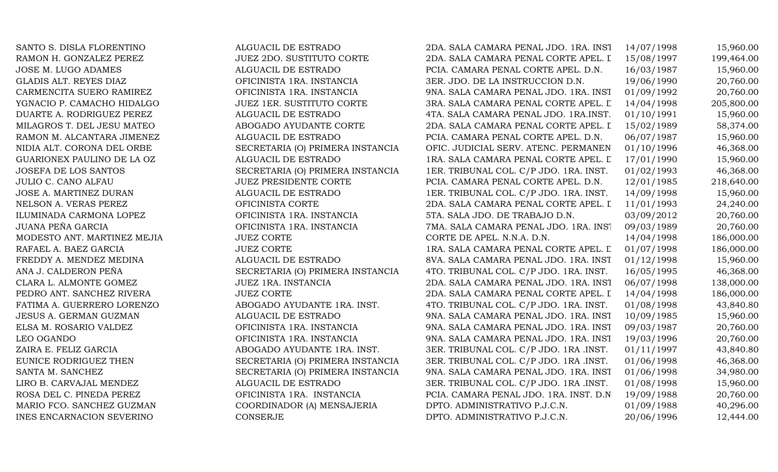SANTO S. DISLA FLORENTINO 2008 2DA. SALGUACIL DE ESTRADO RAMON H. GONZALEZ PEREZ 1999 JUEZ 2DO. SUSTITUTO CORTE JOSE M. LUGO ADAMES ALGUACIL DE ESTRADO GLADIS ALT. REYES DIAZ OFICINISTA 1RA. INSTANCIA CARMENCITA SUERO RAMIREZ OFICINISTA 1RA. INSTANCIA YGNACIO P. CAMACHO HIDALGO JUEZ 1ER. SUSTITUTO CORTE DUARTE A. RODRIGUEZ PEREZ ALGUACIL DE ESTRADO MILAGROS T. DEL JESU MATEO ABOGADO AYUDANTE CORTE RAMON M. ALCANTARA JIMENEZ ALGUACIL DE ESTRADO GUARIONEX PAULINO DE LA OZ ALGUACIL DE ESTRADO JULIO C. CANO ALFAU JUEZ PRESIDENTE CORTE PCIA. CAMARA PENAL CORTE APEL. D.N. 12/01/1985 218,640.00 JOSE A. MARTINEZ DURAN ALGUACIL DE ESTRADO NELSON A. VERAS PEREZ OFICINISTA CORTE 20 ILUMINADA CARMONA LOPEZ OFICINISTA 1RA. INSTANCIA JUANA PEÑA GARCIA OFICINISTA 1RA. INSTANCIA MODESTO ANT. MARTINEZ MEJIA DE APELITA JUEZ CORTE RAFAEL A. BAEZ GARCIA 1999 1999 1999 1998 1999 1999 1998 1999 1998 1999 1998 1999 1998 1999 1998 199 FREDDY A. MENDEZ MEDINA ALGUACIL DE ESTRADO CLARA L. ALMONTE GOMEZ JUEZ 1RA. INSTANCIA PEDRO ANT. SANCHEZ RIVERA JUEZ CORTE FATIMA A. GUERRERO LORENZO ABOGADO AYUDANTE 1RA. INST. JESUS A. GERMAN GUZMAN **ALGUACIL DE ESTRADO** ELSA M. ROSARIO VALDEZ OFICINISTA 1RA. INSTANCIA LEO OGANDO OFICINISTA 1RA. INSTANCIA ZAIRA E. FELIZ GARCIA ABOGADO AYUDANTE 1RA. INST. LIRO B. CARVAJAL MENDEZ ALGUACIL DE ESTRADO 3ER. TRIBUNAL COL. C/P JDO. 1RA .INST. D.N.01/08/1998 15,960.00 ROSA DEL C. PINEDA PEREZ OFICINISTA 1RA. INSTANCIA MARIO FCO. SANCHEZ GUZMAN COORDINADOR (A) MENSAJERIA INES ENCARNACION SEVERINO CONSERJE

NIDIA ALT. CORONA DEL ORBE SECRETARIA (O) PRIMERA INSTANCIA JOSEFA DE LOS SANTOS SECRETARIA (O) PRIMERA INSTANCIA ANA J. CALDERON PEÑA SECRETARIA (O) PRIMERA INSTANCIA EUNICE RODRIGUEZ THEN SECRETARIA (O) PRIMERA INSTANCIA SANTA M. SANCHEZ SECRETARIA (O) PRIMERA INSTANCIA

| 2DA. SALA CAMARA PENAL JDO. 1RA. INST  | 14/07/1998 | 15,960.00  |
|----------------------------------------|------------|------------|
| 2DA. SALA CAMARA PENAL CORTE APEL. I   | 15/08/1997 | 199,464.00 |
| PCIA. CAMARA PENAL CORTE APEL. D.N.    | 16/03/1987 | 15,960.00  |
| 3ER. JDO. DE LA INSTRUCCION D.N.       | 19/06/1990 | 20,760.00  |
| 9NA. SALA CAMARA PENAL JDO. 1RA. INST  | 01/09/1992 | 20,760.00  |
| 3RA. SALA CAMARA PENAL CORTE APEL. L   | 14/04/1998 | 205,800.00 |
| 4TA. SALA CAMARA PENAL JDO. 1RA.INST.  | 01/10/1991 | 15,960.00  |
| 2DA. SALA CAMARA PENAL CORTE APEL. I   | 15/02/1989 | 58,374.00  |
| PCIA. CAMARA PENAL CORTE APEL. D.N.    | 06/07/1987 | 15,960.00  |
| OFIC. JUDICIAL SERV. ATENC. PERMANEN   | 01/10/1996 | 46,368.00  |
| 1RA. SALA CAMARA PENAL CORTE APEL. L   | 17/01/1990 | 15,960.00  |
| 1ER. TRIBUNAL COL. C/P JDO. 1RA. INST. | 01/02/1993 | 46,368.00  |
| PCIA. CAMARA PENAL CORTE APEL. D.N.    | 12/01/1985 | 218,640.00 |
| 1ER. TRIBUNAL COL. C/P JDO. 1RA. INST. | 14/09/1998 | 15,960.00  |
| 2DA. SALA CAMARA PENAL CORTE APEL. I   | 11/01/1993 | 24,240.00  |
| 5TA. SALA JDO. DE TRABAJO D.N.         | 03/09/2012 | 20,760.00  |
| 7MA. SALA CAMARA PENAL JDO. 1RA. INST  | 09/03/1989 | 20,760.00  |
| CORTE DE APEL. N.N.A. D.N.             | 14/04/1998 | 186,000.00 |
| 1RA. SALA CAMARA PENAL CORTE APEL. L   | 01/07/1998 | 186,000.00 |
| 8VA. SALA CAMARA PENAL JDO. 1RA. INST  | 01/12/1998 | 15,960.00  |
| 4TO. TRIBUNAL COL. C/P JDO. 1RA. INST. | 16/05/1995 | 46,368.00  |
| 2DA. SALA CAMARA PENAL JDO. 1RA. INST  | 06/07/1998 | 138,000.00 |
| 2DA. SALA CAMARA PENAL CORTE APEL. I   | 14/04/1998 | 186,000.00 |
| 4TO. TRIBUNAL COL. C/P JDO. 1RA. INST. | 01/08/1998 | 43,840.80  |
| 9NA. SALA CAMARA PENAL JDO. 1RA. INST  | 10/09/1985 | 15,960.00  |
| 9NA. SALA CAMARA PENAL JDO. 1RA. INST  | 09/03/1987 | 20,760.00  |
| 9NA. SALA CAMARA PENAL JDO. 1RA. INST  | 19/03/1996 | 20,760.00  |
| 3ER. TRIBUNAL COL. C/P JDO. 1RA .INST. | 01/11/1997 | 43,840.80  |
| 3ER. TRIBUNAL COL. C/P JDO. 1RA .INST. | 01/06/1998 | 46,368.00  |
| 9NA. SALA CAMARA PENAL JDO. 1RA. INST  | 01/06/1998 | 34,980.00  |
| 3ER. TRIBUNAL COL. C/P JDO. 1RA .INST. | 01/08/1998 | 15,960.00  |
| PCIA. CAMARA PENAL JDO. 1RA. INST. D.N | 19/09/1988 | 20,760.00  |
| DPTO. ADMINISTRATIVO P.J.C.N.          | 01/09/1988 | 40,296.00  |
| DPTO. ADMINISTRATIVO P.J.C.N.          | 20/06/1996 | 12,444.00  |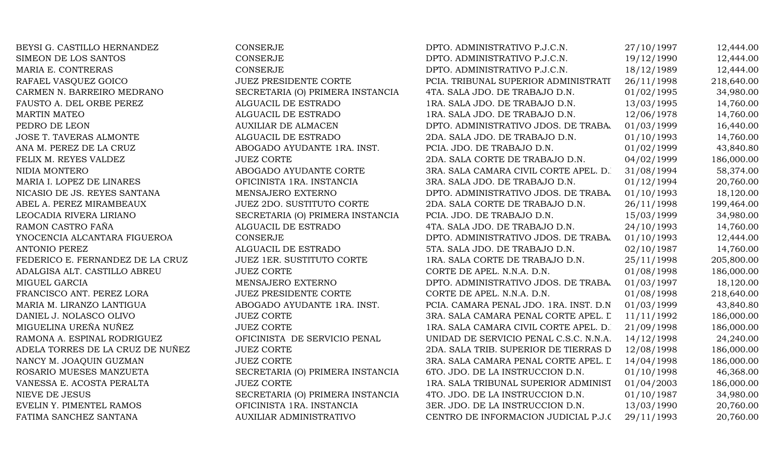| BEYSI G. CASTILLO HERNANDEZ      | <b>CONSERJE</b>                  | DPTO. ADMINISTRATIVO P.J.C.N.           | 27/10/1997 | 12,444.00  |
|----------------------------------|----------------------------------|-----------------------------------------|------------|------------|
| SIMEON DE LOS SANTOS             | <b>CONSERJE</b>                  | DPTO. ADMINISTRATIVO P.J.C.N.           | 19/12/1990 | 12,444.00  |
| MARIA E. CONTRERAS               | <b>CONSERJE</b>                  | DPTO. ADMINISTRATIVO P.J.C.N.           | 18/12/1989 | 12,444.00  |
| RAFAEL VASQUEZ GOICO             | <b>JUEZ PRESIDENTE CORTE</b>     | PCIA. TRIBUNAL SUPERIOR ADMINISTRATI    | 26/11/1998 | 218,640.00 |
| CARMEN N. BARREIRO MEDRANO       | SECRETARIA (O) PRIMERA INSTANCIA | 4TA. SALA JDO. DE TRABAJO D.N.          | 01/02/1995 | 34,980.00  |
| FAUSTO A. DEL ORBE PEREZ         | ALGUACIL DE ESTRADO              | 1RA. SALA JDO. DE TRABAJO D.N.          | 13/03/1995 | 14,760.00  |
| <b>MARTIN MATEO</b>              | ALGUACIL DE ESTRADO              | 1RA. SALA JDO. DE TRABAJO D.N.          | 12/06/1978 | 14,760.00  |
| PEDRO DE LEON                    | <b>AUXILIAR DE ALMACEN</b>       | DPTO. ADMINISTRATIVO JDOS. DE TRABA.    | 01/03/1999 | 16,440.00  |
| <b>JOSE T. TAVERAS ALMONTE</b>   | ALGUACIL DE ESTRADO              | 2DA. SALA JDO. DE TRABAJO D.N.          | 01/10/1993 | 14,760.00  |
| ANA M. PEREZ DE LA CRUZ          | ABOGADO AYUDANTE 1RA. INST.      | PCIA. JDO. DE TRABAJO D.N.              | 01/02/1999 | 43,840.80  |
| FELIX M. REYES VALDEZ            | <b>JUEZ CORTE</b>                | 2DA. SALA CORTE DE TRABAJO D.N.         | 04/02/1999 | 186,000.00 |
| NIDIA MONTERO                    | ABOGADO AYUDANTE CORTE           | 3RA. SALA CAMARA CIVIL CORTE APEL. D.   | 31/08/1994 | 58,374.00  |
| MARIA I. LOPEZ DE LINARES        | OFICINISTA 1RA. INSTANCIA        | 3RA. SALA JDO. DE TRABAJO D.N.          | 01/12/1994 | 20,760.00  |
| NICASIO DE JS. REYES SANTANA     | MENSAJERO EXTERNO                | DPTO. ADMINISTRATIVO JDOS. DE TRABA.    | 01/10/1993 | 18,120.00  |
| ABEL A. PEREZ MIRAMBEAUX         | <b>JUEZ 2DO. SUSTITUTO CORTE</b> | 2DA. SALA CORTE DE TRABAJO D.N.         | 26/11/1998 | 199,464.00 |
| LEOCADIA RIVERA LIRIANO          | SECRETARIA (O) PRIMERA INSTANCIA | PCIA. JDO. DE TRABAJO D.N.              | 15/03/1999 | 34,980.00  |
| RAMON CASTRO FAÑA                | ALGUACIL DE ESTRADO              | 4TA. SALA JDO. DE TRABAJO D.N.          | 24/10/1993 | 14,760.00  |
| YNOCENCIA ALCANTARA FIGUEROA     | <b>CONSERJE</b>                  | DPTO. ADMINISTRATIVO JDOS. DE TRABA.    | 01/10/1993 | 12,444.00  |
| <b>ANTONIO PEREZ</b>             | ALGUACIL DE ESTRADO              | 5TA. SALA JDO. DE TRABAJO D.N.          | 02/10/1987 | 14,760.00  |
| FEDERICO E. FERNANDEZ DE LA CRUZ | <b>JUEZ 1ER. SUSTITUTO CORTE</b> | 1RA. SALA CORTE DE TRABAJO D.N.         | 25/11/1998 | 205,800.00 |
| ADALGISA ALT. CASTILLO ABREU     | <b>JUEZ CORTE</b>                | CORTE DE APEL. N.N.A. D.N.              | 01/08/1998 | 186,000.00 |
| MIGUEL GARCIA                    | MENSAJERO EXTERNO                | DPTO. ADMINISTRATIVO JDOS. DE TRABA.    | 01/03/1997 | 18,120.00  |
| FRANCISCO ANT. PEREZ LORA        | <b>JUEZ PRESIDENTE CORTE</b>     | CORTE DE APEL. N.N.A. D.N.              | 01/08/1998 | 218,640.00 |
| MARIA M. LIRANZO LANTIGUA        | ABOGADO AYUDANTE 1RA. INST.      | PCIA. CAMARA PENAL JDO. 1RA. INST. D.N. | 01/03/1999 | 43,840.80  |
| DANIEL J. NOLASCO OLIVO          | <b>JUEZ CORTE</b>                | 3RA. SALA CAMARA PENAL CORTE APEL. L    | 11/11/1992 | 186,000.00 |
| MIGUELINA UREÑA NUÑEZ            | <b>JUEZ CORTE</b>                | 1RA. SALA CAMARA CIVIL CORTE APEL. D.   | 21/09/1998 | 186,000.00 |
| RAMONA A. ESPINAL RODRIGUEZ      | OFICINISTA DE SERVICIO PENAL     | UNIDAD DE SERVICIO PENAL C.S.C. N.N.A.  | 14/12/1998 | 24,240.00  |
| ADELA TORRES DE LA CRUZ DE NUÑEZ | <b>JUEZ CORTE</b>                | 2DA. SALA TRIB. SUPERIOR DE TIERRAS D   | 12/08/1998 | 186,000.00 |
| NANCY M. JOAQUIN GUZMAN          | <b>JUEZ CORTE</b>                | 3RA. SALA CAMARA PENAL CORTE APEL. L    | 14/04/1998 | 186,000.00 |
| ROSARIO MUESES MANZUETA          | SECRETARIA (O) PRIMERA INSTANCIA | 6TO. JDO. DE LA INSTRUCCION D.N.        | 01/10/1998 | 46,368.00  |
| VANESSA E. ACOSTA PERALTA        | <b>JUEZ CORTE</b>                | 1RA. SALA TRIBUNAL SUPERIOR ADMINIST    | 01/04/2003 | 186,000.00 |
| NIEVE DE JESUS                   | SECRETARIA (O) PRIMERA INSTANCIA | 4TO. JDO. DE LA INSTRUCCION D.N.        | 01/10/1987 | 34,980.00  |
| EVELIN Y. PIMENTEL RAMOS         | OFICINISTA 1RA. INSTANCIA        | 3ER. JDO. DE LA INSTRUCCION D.N.        | 13/03/1990 | 20,760.00  |
| FATIMA SANCHEZ SANTANA           | AUXILIAR ADMINISTRATIVO          | CENTRO DE INFORMACION JUDICIAL P.J.C    | 29/11/1993 | 20,760.00  |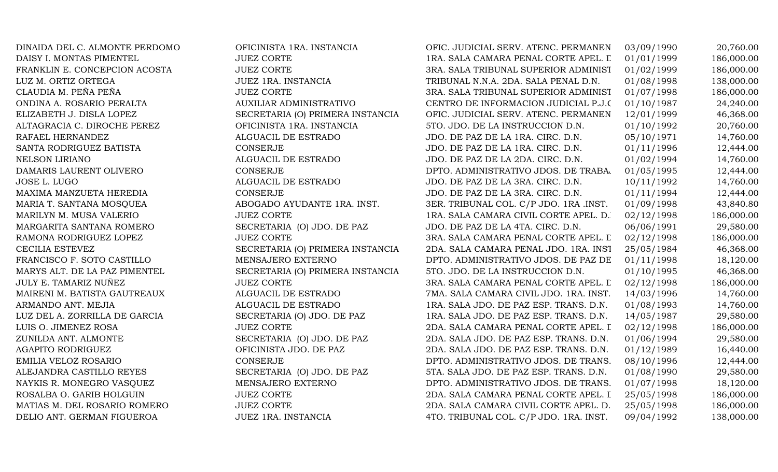| DINAIDA DEL C. ALMONTE PERDOMO | OFICINISTA 1RA. INSTANCIA        | OFIC. JUDICIAL SERV. ATENC. PERMANEN   | 03/09/1990 | 20,760.00  |
|--------------------------------|----------------------------------|----------------------------------------|------------|------------|
| DAISY I. MONTAS PIMENTEL       | <b>JUEZ CORTE</b>                | 1RA. SALA CAMARA PENAL CORTE APEL. L   | 01/01/1999 | 186,000.00 |
| FRANKLIN E. CONCEPCION ACOSTA  | <b>JUEZ CORTE</b>                | 3RA. SALA TRIBUNAL SUPERIOR ADMINIST   | 01/02/1999 | 186,000.00 |
| LUZ M. ORTIZ ORTEGA            | JUEZ 1RA. INSTANCIA              | TRIBUNAL N.N.A. 2DA. SALA PENAL D.N.   | 01/08/1998 | 138,000.00 |
| CLAUDIA M. PEÑA PEÑA           | <b>JUEZ CORTE</b>                | 3RA. SALA TRIBUNAL SUPERIOR ADMINIST   | 01/07/1998 | 186,000.00 |
| ONDINA A. ROSARIO PERALTA      | <b>AUXILIAR ADMINISTRATIVO</b>   | CENTRO DE INFORMACION JUDICIAL P.J.C   | 01/10/1987 | 24,240.00  |
| ELIZABETH J. DISLA LOPEZ       | SECRETARIA (O) PRIMERA INSTANCIA | OFIC. JUDICIAL SERV. ATENC. PERMANEN   | 12/01/1999 | 46,368.00  |
| ALTAGRACIA C. DIROCHE PEREZ    | OFICINISTA 1RA. INSTANCIA        | 5TO. JDO. DE LA INSTRUCCION D.N.       | 01/10/1992 | 20,760.00  |
| RAFAEL HERNANDEZ               | ALGUACIL DE ESTRADO              | JDO. DE PAZ DE LA 1RA. CIRC. D.N.      | 05/10/1971 | 14,760.00  |
| SANTA RODRIGUEZ BATISTA        | CONSERJE                         | JDO. DE PAZ DE LA 1RA. CIRC. D.N.      | 01/11/1996 | 12,444.00  |
| <b>NELSON LIRIANO</b>          | ALGUACIL DE ESTRADO              | JDO. DE PAZ DE LA 2DA. CIRC. D.N.      | 01/02/1994 | 14,760.00  |
| DAMARIS LAURENT OLIVERO        | CONSERJE                         | DPTO. ADMINISTRATIVO JDOS. DE TRABA.   | 01/05/1995 | 12,444.00  |
| JOSE L. LUGO                   | ALGUACIL DE ESTRADO              | JDO. DE PAZ DE LA 3RA. CIRC. D.N.      | 10/11/1992 | 14,760.00  |
| MAXIMA MANZUETA HEREDIA        | CONSERJE                         | JDO. DE PAZ DE LA 3RA. CIRC. D.N.      | 01/11/1994 | 12,444.00  |
| MARIA T. SANTANA MOSQUEA       | ABOGADO AYUDANTE 1RA. INST.      | 3ER. TRIBUNAL COL. C/P JDO. 1RA .INST. | 01/09/1998 | 43,840.80  |
| MARILYN M. MUSA VALERIO        | <b>JUEZ CORTE</b>                | 1RA. SALA CAMARA CIVIL CORTE APEL. D.  | 02/12/1998 | 186,000.00 |
| MARGARITA SANTANA ROMERO       | SECRETARIA (O) JDO. DE PAZ       | JDO. DE PAZ DE LA 4TA. CIRC. D.N.      | 06/06/1991 | 29,580.00  |
| RAMONA RODRIGUEZ LOPEZ         | <b>JUEZ CORTE</b>                | 3RA. SALA CAMARA PENAL CORTE APEL. L   | 02/12/1998 | 186,000.00 |
| CECILIA ESTEVEZ                | SECRETARIA (O) PRIMERA INSTANCIA | 2DA. SALA CAMARA PENAL JDO. 1RA. INST  | 25/05/1984 | 46,368.00  |
| FRANCISCO F. SOTO CASTILLO     | MENSAJERO EXTERNO                | DPTO. ADMINISTRATIVO JDOS. DE PAZ DE   | 01/11/1998 | 18,120.00  |
| MARYS ALT. DE LA PAZ PIMENTEL  | SECRETARIA (O) PRIMERA INSTANCIA | 5TO. JDO. DE LA INSTRUCCION D.N.       | 01/10/1995 | 46,368.00  |
| JULY E. TAMARIZ NUÑEZ          | <b>JUEZ CORTE</b>                | 3RA. SALA CAMARA PENAL CORTE APEL. L   | 02/12/1998 | 186,000.00 |
| MAIRENI M. BATISTA GAUTREAUX   | ALGUACIL DE ESTRADO              | 7MA. SALA CAMARA CIVIL JDO. 1RA. INST. | 14/03/1996 | 14,760.00  |
| ARMANDO ANT. MEJIA             | ALGUACIL DE ESTRADO              | 1RA. SALA JDO. DE PAZ ESP. TRANS. D.N. | 01/08/1993 | 14,760.00  |
| LUZ DEL A. ZORRILLA DE GARCIA  | SECRETARIA (O) JDO. DE PAZ       | 1RA. SALA JDO. DE PAZ ESP. TRANS. D.N. | 14/05/1987 | 29,580.00  |
| LUIS O. JIMENEZ ROSA           | <b>JUEZ CORTE</b>                | 2DA. SALA CAMARA PENAL CORTE APEL. I   | 02/12/1998 | 186,000.00 |
| ZUNILDA ANT. ALMONTE           | SECRETARIA (O) JDO. DE PAZ       | 2DA. SALA JDO. DE PAZ ESP. TRANS. D.N. | 01/06/1994 | 29,580.00  |
| AGAPITO RODRIGUEZ              | OFICINISTA JDO. DE PAZ           | 2DA. SALA JDO. DE PAZ ESP. TRANS. D.N. | 01/12/1989 | 16,440.00  |
| EMILIA VELOZ ROSARIO           | CONSERJE                         | DPTO. ADMINISTRATIVO JDOS. DE TRANS.   | 08/10/1996 | 12,444.00  |
| ALEJANDRA CASTILLO REYES       | SECRETARIA (O) JDO. DE PAZ       | 5TA. SALA JDO. DE PAZ ESP. TRANS. D.N. | 01/08/1990 | 29,580.00  |
| NAYKIS R. MONEGRO VASQUEZ      | MENSAJERO EXTERNO                | DPTO. ADMINISTRATIVO JDOS. DE TRANS.   | 01/07/1998 | 18,120.00  |
| ROSALBA O. GARIB HOLGUIN       | <b>JUEZ CORTE</b>                | 2DA. SALA CAMARA PENAL CORTE APEL. I   | 25/05/1998 | 186,000.00 |
| MATIAS M. DEL ROSARIO ROMERO   | <b>JUEZ CORTE</b>                | 2DA. SALA CAMARA CIVIL CORTE APEL. D.  | 25/05/1998 | 186,000.00 |
| DELIO ANT. GERMAN FIGUEROA     | JUEZ 1RA. INSTANCIA              | 4TO. TRIBUNAL COL. C/P JDO. 1RA. INST. | 09/04/1992 | 138,000.00 |
|                                |                                  |                                        |            |            |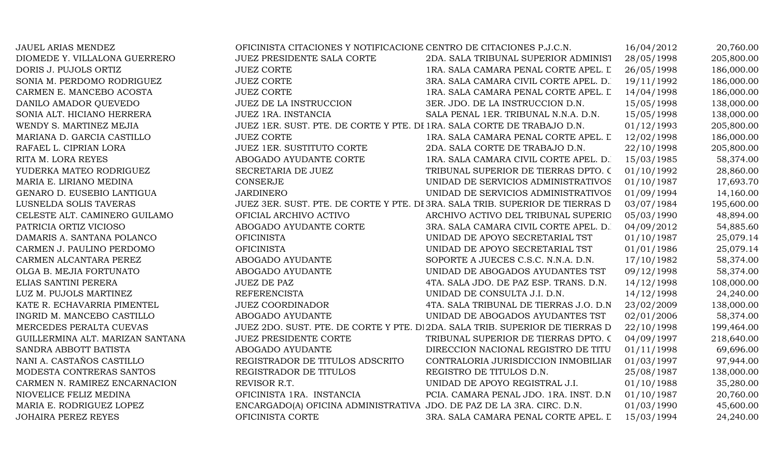| JAUEL ARIAS MENDEZ               | OFICINISTA CITACIONES Y NOTIFICACIONE CENTRO DE CITACIONES P.J.C.N.     |                                                                               | 16/04/2012 | 20,760.00  |
|----------------------------------|-------------------------------------------------------------------------|-------------------------------------------------------------------------------|------------|------------|
| DIOMEDE Y. VILLALONA GUERRERO    | JUEZ PRESIDENTE SALA CORTE                                              | 2DA. SALA TRIBUNAL SUPERIOR ADMINIST                                          | 28/05/1998 | 205,800.00 |
| DORIS J. PUJOLS ORTIZ            | <b>JUEZ CORTE</b>                                                       | 1RA. SALA CAMARA PENAL CORTE APEL. L                                          | 26/05/1998 | 186,000.00 |
| SONIA M. PERDOMO RODRIGUEZ       | <b>JUEZ CORTE</b>                                                       | 3RA. SALA CAMARA CIVIL CORTE APEL. D.                                         | 19/11/1992 | 186,000.00 |
| CARMEN E. MANCEBO ACOSTA         | <b>JUEZ CORTE</b>                                                       | 1RA. SALA CAMARA PENAL CORTE APEL. L                                          | 14/04/1998 | 186,000.00 |
| DANILO AMADOR QUEVEDO            | <b>JUEZ DE LA INSTRUCCION</b>                                           | 3ER. JDO. DE LA INSTRUCCION D.N.                                              | 15/05/1998 | 138,000.00 |
| SONIA ALT. HICIANO HERRERA       | JUEZ 1RA. INSTANCIA                                                     | SALA PENAL 1ER. TRIBUNAL N.N.A. D.N.                                          | 15/05/1998 | 138,000.00 |
| WENDY S. MARTINEZ MEJIA          | JUEZ 1ER. SUST. PTE. DE CORTE Y PTE. DI 1RA. SALA CORTE DE TRABAJO D.N. |                                                                               | 01/12/1993 | 205,800.00 |
| MARIANA D. GARCIA CASTILLO       | <b>JUEZ CORTE</b>                                                       | 1RA. SALA CAMARA PENAL CORTE APEL. L                                          | 12/02/1998 | 186,000.00 |
| RAFAEL L. CIPRIAN LORA           | <b>JUEZ 1ER. SUSTITUTO CORTE</b>                                        | 2DA. SALA CORTE DE TRABAJO D.N.                                               | 22/10/1998 | 205,800.00 |
| RITA M. LORA REYES               | ABOGADO AYUDANTE CORTE                                                  | 1RA. SALA CAMARA CIVIL CORTE APEL. D.                                         | 15/03/1985 | 58,374.00  |
| YUDERKA MATEO RODRIGUEZ          | SECRETARIA DE JUEZ                                                      | TRIBUNAL SUPERIOR DE TIERRAS DPTO. C                                          | 01/10/1992 | 28,860.00  |
| MARIA E. LIRIANO MEDINA          | CONSERJE                                                                | UNIDAD DE SERVICIOS ADMINISTRATIVOS                                           | 01/10/1987 | 17,693.70  |
| GENARO D. EUSEBIO LANTIGUA       | <b>JARDINERO</b>                                                        | UNIDAD DE SERVICIOS ADMINISTRATIVOS                                           | 01/09/1994 | 14,160.00  |
| LUSNELDA SOLIS TAVERAS           |                                                                         | JUEZ 3ER. SUST. PTE. DE CORTE Y PTE. DI 3RA. SALA TRIB. SUPERIOR DE TIERRAS D | 03/07/1984 | 195,600.00 |
| CELESTE ALT. CAMINERO GUILAMO    | OFICIAL ARCHIVO ACTIVO                                                  | ARCHIVO ACTIVO DEL TRIBUNAL SUPERIO                                           | 05/03/1990 | 48,894.00  |
| PATRICIA ORTIZ VICIOSO           | ABOGADO AYUDANTE CORTE                                                  | 3RA. SALA CAMARA CIVIL CORTE APEL. D.                                         | 04/09/2012 | 54,885.60  |
| DAMARIS A. SANTANA POLANCO       | <b>OFICINISTA</b>                                                       | UNIDAD DE APOYO SECRETARIAL TST                                               | 01/10/1987 | 25,079.14  |
| CARMEN J. PAULINO PERDOMO        | <b>OFICINISTA</b>                                                       | UNIDAD DE APOYO SECRETARIAL TST                                               | 01/01/1986 | 25,079.14  |
| CARMEN ALCANTARA PEREZ           | ABOGADO AYUDANTE                                                        | SOPORTE A JUECES C.S.C. N.N.A. D.N.                                           | 17/10/1982 | 58,374.00  |
| OLGA B. MEJIA FORTUNATO          | ABOGADO AYUDANTE                                                        | UNIDAD DE ABOGADOS AYUDANTES TST                                              | 09/12/1998 | 58,374.00  |
| ELIAS SANTINI PERERA             | JUEZ DE PAZ                                                             | 4TA. SALA JDO. DE PAZ ESP. TRANS. D.N.                                        | 14/12/1998 | 108,000.00 |
| LUZ M. PUJOLS MARTINEZ           | <b>REFERENCISTA</b>                                                     | UNIDAD DE CONSULTA J.I. D.N.                                                  | 14/12/1998 | 24,240.00  |
| KATE R. ECHAVARRIA PIMENTEL      | <b>JUEZ COORDINADOR</b>                                                 | 4TA. SALA TRIBUNAL DE TIERRAS J.O. D.N.                                       | 23/02/2009 | 138,000.00 |
| INGRID M. MANCEBO CASTILLO       | ABOGADO AYUDANTE                                                        | UNIDAD DE ABOGADOS AYUDANTES TST                                              | 02/01/2006 | 58,374.00  |
| MERCEDES PERALTA CUEVAS          |                                                                         | JUEZ 2DO. SUST. PTE. DE CORTE Y PTE. DI 2DA. SALA TRIB. SUPERIOR DE TIERRAS D | 22/10/1998 | 199,464.00 |
| GUILLERMINA ALT. MARIZAN SANTANA | <b>JUEZ PRESIDENTE CORTE</b>                                            | TRIBUNAL SUPERIOR DE TIERRAS DPTO. C                                          | 04/09/1997 | 218,640.00 |
| SANDRA ABBOTT BATISTA            | ABOGADO AYUDANTE                                                        | DIRECCION NACIONAL REGISTRO DE TITU                                           | 01/11/1998 | 69,696.00  |
| NANI A. CASTAÑOS CASTILLO        | REGISTRADOR DE TITULOS ADSCRITO                                         | CONTRALORIA JURISDICCION INMOBILIAR                                           | 01/03/1997 | 97,944.00  |
| MODESTA CONTRERAS SANTOS         | REGISTRADOR DE TITULOS                                                  | REGISTRO DE TITULOS D.N.                                                      | 25/08/1987 | 138,000.00 |
| CARMEN N. RAMIREZ ENCARNACION    | REVISOR R.T.                                                            | UNIDAD DE APOYO REGISTRAL J.I.                                                | 01/10/1988 | 35,280.00  |
| NIOVELICE FELIZ MEDINA           | OFICINISTA 1RA. INSTANCIA                                               | PCIA. CAMARA PENAL JDO. 1RA. INST. D.N                                        | 01/10/1987 | 20,760.00  |
| MARIA E. RODRIGUEZ LOPEZ         | ENCARGADO(A) OFICINA ADMINISTRATIVA JDO. DE PAZ DE LA 3RA. CIRC. D.N.   |                                                                               | 01/03/1990 | 45,600.00  |
| <b>JOHAIRA PEREZ REYES</b>       | OFICINISTA CORTE                                                        | 3RA. SALA CAMARA PENAL CORTE APEL. L                                          | 15/03/1994 | 24,240.00  |
|                                  |                                                                         |                                                                               |            |            |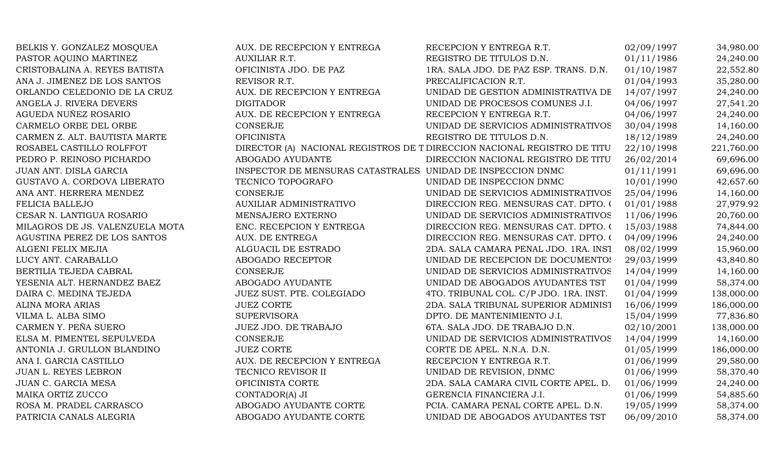| BELKIS Y. GONZALEZ MOSQUEA      | AUX. DE RECEPCION Y ENTREGA                                 | RECEPCION Y ENTREGA R.T.                                                 | 02/09/1997 | 34,980.00  |
|---------------------------------|-------------------------------------------------------------|--------------------------------------------------------------------------|------------|------------|
| PASTOR AQUINO MARTINEZ          | <b>AUXILIAR R.T.</b>                                        | REGISTRO DE TITULOS D.N.                                                 | 01/11/1986 | 24,240.00  |
| CRISTOBALINA A. REYES BATISTA   | OFICINISTA JDO. DE PAZ                                      | 1RA. SALA JDO. DE PAZ ESP. TRANS. D.N.                                   | 01/10/1987 | 22,552.80  |
| ANA J. JIMENEZ DE LOS SANTOS    | REVISOR R.T.                                                | PRECALIFICACION R.T.                                                     | 01/04/1993 | 35,280.00  |
| ORLANDO CELEDONIO DE LA CRUZ    | AUX. DE RECEPCION Y ENTREGA                                 | UNIDAD DE GESTION ADMINISTRATIVA DE                                      | 14/07/1997 | 24,240.00  |
| ANGELA J. RIVERA DEVERS         | <b>DIGITADOR</b>                                            | UNIDAD DE PROCESOS COMUNES J.I.                                          | 04/06/1997 | 27,541.20  |
| AGUEDA NUÑEZ ROSARIO            | AUX. DE RECEPCION Y ENTREGA                                 | RECEPCION Y ENTREGA R.T.                                                 | 04/06/1997 | 24,240.00  |
| CARMELO ORBE DEL ORBE           | <b>CONSERJE</b>                                             | UNIDAD DE SERVICIOS ADMINISTRATIVOS                                      | 30/04/1998 | 14,160.00  |
| CARMEN Z. ALT. BAUTISTA MARTE   | <b>OFICINISTA</b>                                           | REGISTRO DE TITULOS D.N.                                                 | 18/12/1989 | 24,240.00  |
| ROSABEL CASTILLO ROLFFOT        |                                                             | DIRECTOR (A) NACIONAL REGISTROS DE T DIRECCION NACIONAL REGISTRO DE TITU | 22/10/1998 | 221,760.00 |
| PEDRO P. REINOSO PICHARDO       | ABOGADO AYUDANTE                                            | DIRECCION NACIONAL REGISTRO DE TITU                                      | 26/02/2014 | 69,696.00  |
| JUAN ANT. DISLA GARCIA          | INSPECTOR DE MENSURAS CATASTRALES UNIDAD DE INSPECCION DNMC |                                                                          | 01/11/1991 | 69,696.00  |
| GUSTAVO A. CORDOVA LIBERATO     | TECNICO TOPOGRAFO                                           | UNIDAD DE INSPECCION DNMC                                                | 10/01/1990 | 42,657.60  |
| ANA ANT. HERRERA MENDEZ         | CONSERJE                                                    | UNIDAD DE SERVICIOS ADMINISTRATIVOS                                      | 25/04/1996 | 14,160.00  |
| FELICIA BALLEJO                 | <b>AUXILIAR ADMINISTRATIVO</b>                              | DIRECCION REG. MENSURAS CAT. DPTO. 0                                     | 01/01/1988 | 27,979.92  |
| CESAR N. LANTIGUA ROSARIO       | MENSAJERO EXTERNO                                           | UNIDAD DE SERVICIOS ADMINISTRATIVOS                                      | 11/06/1996 | 20,760.00  |
| MILAGROS DE JS. VALENZUELA MOTA | ENC. RECEPCION Y ENTREGA                                    | DIRECCION REG. MENSURAS CAT. DPTO. 0                                     | 15/03/1988 | 74,844.00  |
| AGUSTINA PEREZ DE LOS SANTOS    | AUX. DE ENTREGA                                             | DIRECCION REG. MENSURAS CAT. DPTO. 0                                     | 04/09/1996 | 24,240.00  |
| ALGENI FELIX MEJIA              | ALGUACIL DE ESTRADO                                         | 2DA. SALA CAMARA PENAL JDO. 1RA. INST                                    | 08/02/1999 | 15,960.00  |
| LUCY ANT. CARABALLO             | ABOGADO RECEPTOR                                            | UNIDAD DE RECEPCION DE DOCUMENTOS                                        | 29/03/1999 | 43,840.80  |
| BERTILIA TEJEDA CABRAL          | <b>CONSERJE</b>                                             | UNIDAD DE SERVICIOS ADMINISTRATIVOS                                      | 14/04/1999 | 14,160.00  |
| YESENIA ALT. HERNANDEZ BAEZ     | ABOGADO AYUDANTE                                            | UNIDAD DE ABOGADOS AYUDANTES TST                                         | 01/04/1999 | 58,374.00  |
| DAIRA C. MEDINA TEJEDA          | JUEZ SUST. PTE. COLEGIADO                                   | 4TO. TRIBUNAL COL. C/P JDO. 1RA. INST.                                   | 01/04/1999 | 138,000.00 |
| ALINA MORA ARIAS                | <b>JUEZ CORTE</b>                                           | 2DA. SALA TRIBUNAL SUPERIOR ADMINIST                                     | 16/06/1999 | 186,000.00 |
| VILMA L. ALBA SIMO              | <b>SUPERVISORA</b>                                          | DPTO. DE MANTENIMIENTO J.I.                                              | 15/04/1999 | 77,836.80  |
| CARMEN Y. PEÑA SUERO            | JUEZ JDO. DE TRABAJO                                        | 6TA. SALA JDO. DE TRABAJO D.N.                                           | 02/10/2001 | 138,000.00 |
| ELSA M. PIMENTEL SEPULVEDA      | <b>CONSERJE</b>                                             | UNIDAD DE SERVICIOS ADMINISTRATIVOS                                      | 14/04/1999 | 14,160.00  |
| ANTONIA J. GRULLON BLANDINO     | <b>JUEZ CORTE</b>                                           | CORTE DE APEL. N.N.A. D.N.                                               | 01/05/1999 | 186,000.00 |
| ANA I. GARCIA CASTILLO          | AUX. DE RECEPCION Y ENTREGA                                 | RECEPCION Y ENTREGA R.T.                                                 | 01/06/1999 | 29,580.00  |
| JUAN L. REYES LEBRON            | TECNICO REVISOR II                                          | UNIDAD DE REVISION, DNMC                                                 | 01/06/1999 | 58,370.40  |
| JUAN C. GARCIA MESA             | OFICINISTA CORTE                                            | 2DA. SALA CAMARA CIVIL CORTE APEL. D.                                    | 01/06/1999 | 24,240.00  |
| MAIKA ORTIZ ZUCCO               | CONTADOR(A) JI                                              | GERENCIA FINANCIERA J.I.                                                 | 01/06/1999 | 54,885.60  |
| ROSA M. PRADEL CARRASCO         | ABOGADO AYUDANTE CORTE                                      | PCIA. CAMARA PENAL CORTE APEL. D.N.                                      | 19/05/1999 | 58,374.00  |
| PATRICIA CANALS ALEGRIA         | ABOGADO AYUDANTE CORTE                                      | UNIDAD DE ABOGADOS AYUDANTES TST                                         | 06/09/2010 | 58,374.00  |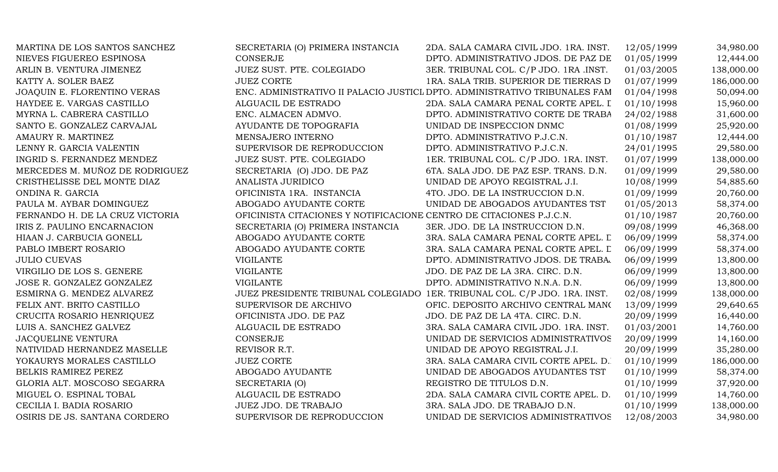| MARTINA DE LOS SANTOS SANCHEZ      | SECRETARIA (O) PRIMERA INSTANCIA                                    | 2DA. SALA CAMARA CIVIL JDO. 1RA. INST.                                     | 12/05/1999 | 34,980.00  |
|------------------------------------|---------------------------------------------------------------------|----------------------------------------------------------------------------|------------|------------|
| NIEVES FIGUEREO ESPINOSA           | <b>CONSERJE</b>                                                     | DPTO. ADMINISTRATIVO JDOS. DE PAZ DE                                       | 01/05/1999 | 12,444.00  |
| ARLIN B. VENTURA JIMENEZ           | JUEZ SUST. PTE. COLEGIADO                                           | 3ER. TRIBUNAL COL. C/P JDO. 1RA .INST.                                     | 01/03/2005 | 138,000.00 |
| KATTY A. SOLER BAEZ                | <b>JUEZ CORTE</b>                                                   | 1RA. SALA TRIB. SUPERIOR DE TIERRAS D                                      | 01/07/1999 | 186,000.00 |
| <b>JOAQUIN E. FLORENTINO VERAS</b> |                                                                     | ENC. ADMINISTRATIVO II PALACIO JUSTICL DPTO. ADMINISTRATIVO TRIBUNALES FAM | 01/04/1998 | 50,094.00  |
| HAYDEE E. VARGAS CASTILLO          | ALGUACIL DE ESTRADO                                                 | 2DA. SALA CAMARA PENAL CORTE APEL. I                                       | 01/10/1998 | 15,960.00  |
| MYRNA L. CABRERA CASTILLO          | ENC. ALMACEN ADMVO.                                                 | DPTO. ADMINISTRATIVO CORTE DE TRABA                                        | 24/02/1988 | 31,600.00  |
| SANTO E. GONZALEZ CARVAJAL         | AYUDANTE DE TOPOGRAFIA                                              | UNIDAD DE INSPECCION DNMC                                                  | 01/08/1999 | 25,920.00  |
| AMAURY R. MARTINEZ                 | MENSAJERO INTERNO                                                   | DPTO. ADMINISTRATIVO P.J.C.N.                                              | 01/10/1987 | 12,444.00  |
| LENNY R. GARCIA VALENTIN           | SUPERVISOR DE REPRODUCCION                                          | DPTO. ADMINISTRATIVO P.J.C.N.                                              | 24/01/1995 | 29,580.00  |
| INGRID S. FERNANDEZ MENDEZ         | JUEZ SUST. PTE. COLEGIADO                                           | 1ER. TRIBUNAL COL. C/P JDO. 1RA. INST.                                     | 01/07/1999 | 138,000.00 |
| MERCEDES M. MUÑOZ DE RODRIGUEZ     | SECRETARIA (O) JDO. DE PAZ                                          | 6TA. SALA JDO. DE PAZ ESP. TRANS. D.N.                                     | 01/09/1999 | 29,580.00  |
| CRISTHELISSE DEL MONTE DIAZ        | ANALISTA JURIDICO                                                   | UNIDAD DE APOYO REGISTRAL J.I.                                             | 10/08/1999 | 54,885.60  |
| ONDINA R. GARCIA                   | OFICINISTA 1RA. INSTANCIA                                           | 4TO. JDO. DE LA INSTRUCCION D.N.                                           | 01/09/1999 | 20,760.00  |
| PAULA M. AYBAR DOMINGUEZ           | ABOGADO AYUDANTE CORTE                                              | UNIDAD DE ABOGADOS AYUDANTES TST                                           | 01/05/2013 | 58,374.00  |
| FERNANDO H. DE LA CRUZ VICTORIA    | OFICINISTA CITACIONES Y NOTIFICACIONE CENTRO DE CITACIONES P.J.C.N. |                                                                            | 01/10/1987 | 20,760.00  |
| IRIS Z. PAULINO ENCARNACION        | SECRETARIA (O) PRIMERA INSTANCIA                                    | 3ER. JDO. DE LA INSTRUCCION D.N.                                           | 09/08/1999 | 46,368.00  |
| HIAAN J. CARBUCIA GONELL           | ABOGADO AYUDANTE CORTE                                              | 3RA. SALA CAMARA PENAL CORTE APEL. L                                       | 06/09/1999 | 58,374.00  |
| PABLO IMBERT ROSARIO               | ABOGADO AYUDANTE CORTE                                              | 3RA. SALA CAMARA PENAL CORTE APEL. L                                       | 06/09/1999 | 58,374.00  |
| <b>JULIO CUEVAS</b>                | <b>VIGILANTE</b>                                                    | DPTO. ADMINISTRATIVO JDOS. DE TRABA.                                       | 06/09/1999 | 13,800.00  |
| VIRGILIO DE LOS S. GENERE          | <b>VIGILANTE</b>                                                    | JDO. DE PAZ DE LA 3RA. CIRC. D.N.                                          | 06/09/1999 | 13,800.00  |
| JOSE R. GONZALEZ GONZALEZ          | <b>VIGILANTE</b>                                                    | DPTO. ADMINISTRATIVO N.N.A. D.N.                                           | 06/09/1999 | 13,800.00  |
| ESMIRNA G. MENDEZ ALVAREZ          |                                                                     | JUEZ PRESIDENTE TRIBUNAL COLEGIADO 1ER. TRIBUNAL COL. C/P JDO. 1RA. INST.  | 02/08/1999 | 138,000.00 |
| FELIX ANT. BRITO CASTILLO          | SUPERVISOR DE ARCHIVO                                               | OFIC. DEPOSITO ARCHIVO CENTRAL MANO                                        | 13/09/1999 | 29,640.65  |
| CRUCITA ROSARIO HENRIQUEZ          | OFICINISTA JDO. DE PAZ                                              | JDO. DE PAZ DE LA 4TA. CIRC. D.N.                                          | 20/09/1999 | 16,440.00  |
| LUIS A. SANCHEZ GALVEZ             | ALGUACIL DE ESTRADO                                                 | 3RA. SALA CAMARA CIVIL JDO. 1RA. INST.                                     | 01/03/2001 | 14,760.00  |
| JACQUELINE VENTURA                 | <b>CONSERJE</b>                                                     | UNIDAD DE SERVICIOS ADMINISTRATIVOS                                        | 20/09/1999 | 14,160.00  |
| NATIVIDAD HERNANDEZ MASELLE        | REVISOR R.T.                                                        | UNIDAD DE APOYO REGISTRAL J.I.                                             | 20/09/1999 | 35,280.00  |
| YOKAURYS MORALES CASTILLO          | <b>JUEZ CORTE</b>                                                   | 3RA. SALA CAMARA CIVIL CORTE APEL. D.                                      | 01/10/1999 | 186,000.00 |
| BELKIS RAMIREZ PEREZ               | ABOGADO AYUDANTE                                                    | UNIDAD DE ABOGADOS AYUDANTES TST                                           | 01/10/1999 | 58,374.00  |
| GLORIA ALT. MOSCOSO SEGARRA        | SECRETARIA (O)                                                      | REGISTRO DE TITULOS D.N.                                                   | 01/10/1999 | 37,920.00  |
| MIGUEL O. ESPINAL TOBAL            | ALGUACIL DE ESTRADO                                                 | 2DA. SALA CAMARA CIVIL CORTE APEL. D.                                      | 01/10/1999 | 14,760.00  |
| CECILIA I. BADIA ROSARIO           | JUEZ JDO. DE TRABAJO                                                | 3RA. SALA JDO. DE TRABAJO D.N.                                             | 01/10/1999 | 138,000.00 |
| OSIRIS DE JS. SANTANA CORDERO      | SUPERVISOR DE REPRODUCCION                                          | UNIDAD DE SERVICIOS ADMINISTRATIVOS                                        | 12/08/2003 | 34,980.00  |
|                                    |                                                                     |                                                                            |            |            |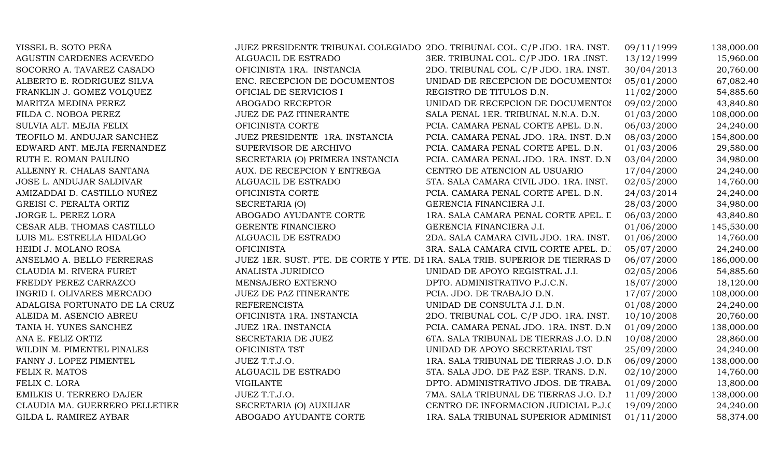| YISSEL B. SOTO PEÑA            |                                  | JUEZ PRESIDENTE TRIBUNAL COLEGIADO 2DO. TRIBUNAL COL. C/P JDO. 1RA. INST.     | 09/11/1999 | 138,000.00 |
|--------------------------------|----------------------------------|-------------------------------------------------------------------------------|------------|------------|
| AGUSTIN CARDENES ACEVEDO       | ALGUACIL DE ESTRADO              | 3ER. TRIBUNAL COL. C/P JDO. 1RA .INST.                                        | 13/12/1999 | 15,960.00  |
| SOCORRO A. TAVAREZ CASADO      | OFICINISTA 1RA. INSTANCIA        | 2DO. TRIBUNAL COL. C/P JDO. 1RA. INST.                                        | 30/04/2013 | 20,760.00  |
| ALBERTO E. RODRIGUEZ SILVA     | ENC. RECEPCION DE DOCUMENTOS     | UNIDAD DE RECEPCION DE DOCUMENTOS                                             | 05/01/2000 | 67,082.40  |
| FRANKLIN J. GOMEZ VOLQUEZ      | OFICIAL DE SERVICIOS I           | REGISTRO DE TITULOS D.N.                                                      | 11/02/2000 | 54,885.60  |
| MARITZA MEDINA PEREZ           | ABOGADO RECEPTOR                 | UNIDAD DE RECEPCION DE DOCUMENTOS                                             | 09/02/2000 | 43,840.80  |
| FILDA C. NOBOA PEREZ           | JUEZ DE PAZ ITINERANTE           | SALA PENAL 1ER. TRIBUNAL N.N.A. D.N.                                          | 01/03/2000 | 108,000.00 |
| SULVIA ALT. MEJIA FELIX        | OFICINISTA CORTE                 | PCIA. CAMARA PENAL CORTE APEL. D.N.                                           | 06/03/2000 | 24,240.00  |
| TEOFILO M. ANDUJAR SANCHEZ     | JUEZ PRESIDENTE 1RA. INSTANCIA   | PCIA. CAMARA PENAL JDO. 1RA. INST. D.N                                        | 08/03/2000 | 154,800.00 |
| EDWARD ANT. MEJIA FERNANDEZ    | SUPERVISOR DE ARCHIVO            | PCIA. CAMARA PENAL CORTE APEL. D.N.                                           | 01/03/2006 | 29,580.00  |
| RUTH E. ROMAN PAULINO          | SECRETARIA (O) PRIMERA INSTANCIA | PCIA. CAMARA PENAL JDO. 1RA. INST. D.N                                        | 03/04/2000 | 34,980.00  |
| ALLENNY R. CHALAS SANTANA      | AUX. DE RECEPCION Y ENTREGA      | CENTRO DE ATENCION AL USUARIO                                                 | 17/04/2000 | 24,240.00  |
| JOSE L. ANDUJAR SALDIVAR       | ALGUACIL DE ESTRADO              | 5TA. SALA CAMARA CIVIL JDO. 1RA. INST.                                        | 02/05/2000 | 14,760.00  |
| AMIZADDAI D. CASTILLO NUÑEZ    | OFICINISTA CORTE                 | PCIA. CAMARA PENAL CORTE APEL. D.N.                                           | 24/03/2014 | 24,240.00  |
| GREISI C. PERALTA ORTIZ        | SECRETARIA (O)                   | GERENCIA FINANCIERA J.I.                                                      | 28/03/2000 | 34,980.00  |
| JORGE L. PEREZ LORA            | ABOGADO AYUDANTE CORTE           | 1RA. SALA CAMARA PENAL CORTE APEL. L                                          | 06/03/2000 | 43,840.80  |
| CESAR ALB. THOMAS CASTILLO     | GERENTE FINANCIERO               | GERENCIA FINANCIERA J.I.                                                      | 01/06/2000 | 145,530.00 |
| LUIS ML. ESTRELLA HIDALGO      | ALGUACIL DE ESTRADO              | 2DA. SALA CAMARA CIVIL JDO. 1RA. INST.                                        | 01/06/2000 | 14,760.00  |
| HEIDI J. MOLANO ROSA           | <b>OFICINISTA</b>                | 3RA. SALA CAMARA CIVIL CORTE APEL. D.                                         | 05/07/2000 | 24,240.00  |
| ANSELMO A. BELLO FERRERAS      |                                  | JUEZ 1ER. SUST. PTE. DE CORTE Y PTE. DI 1RA. SALA TRIB. SUPERIOR DE TIERRAS D | 06/07/2000 | 186,000.00 |
| CLAUDIA M. RIVERA FURET        | ANALISTA JURIDICO                | UNIDAD DE APOYO REGISTRAL J.I.                                                | 02/05/2006 | 54,885.60  |
| FREDDY PEREZ CARRAZCO          | MENSAJERO EXTERNO                | DPTO. ADMINISTRATIVO P.J.C.N.                                                 | 18/07/2000 | 18,120.00  |
| INGRID I. OLIVARES MERCADO     | <b>JUEZ DE PAZ ITINERANTE</b>    | PCIA. JDO. DE TRABAJO D.N.                                                    | 17/07/2000 | 108,000.00 |
| ADALGISA FORTUNATO DE LA CRUZ  | <b>REFERENCISTA</b>              | UNIDAD DE CONSULTA J.I. D.N.                                                  | 01/08/2000 | 24,240.00  |
| ALEIDA M. ASENCIO ABREU        | OFICINISTA 1RA. INSTANCIA        | 2DO. TRIBUNAL COL. C/P JDO. 1RA. INST.                                        | 10/10/2008 | 20,760.00  |
| TANIA H. YUNES SANCHEZ         | JUEZ 1RA. INSTANCIA              | PCIA. CAMARA PENAL JDO. 1RA. INST. D.N.                                       | 01/09/2000 | 138,000.00 |
| ANA E. FELIZ ORTIZ             | SECRETARIA DE JUEZ               | 6TA. SALA TRIBUNAL DE TIERRAS J.O. D.N                                        | 10/08/2000 | 28,860.00  |
| WILDIN M. PIMENTEL PINALES     | OFICINISTA TST                   | UNIDAD DE APOYO SECRETARIAL TST                                               | 25/09/2000 | 24,240.00  |
| FANNY J. LOPEZ PIMENTEL        | JUEZ T.T.J.O.                    | 1RA. SALA TRIBUNAL DE TIERRAS J.O. D.N                                        | 06/09/2000 | 138,000.00 |
| FELIX R. MATOS                 | ALGUACIL DE ESTRADO              | 5TA. SALA JDO. DE PAZ ESP. TRANS. D.N.                                        | 02/10/2000 | 14,760.00  |
| FELIX C. LORA                  | <b>VIGILANTE</b>                 | DPTO. ADMINISTRATIVO JDOS. DE TRABA.                                          | 01/09/2000 | 13,800.00  |
| EMILKIS U. TERRERO DAJER       | JUEZ T.T.J.O.                    | 7MA. SALA TRIBUNAL DE TIERRAS J.O. D.I                                        | 11/09/2000 | 138,000.00 |
| CLAUDIA MA. GUERRERO PELLETIER | SECRETARIA (O) AUXILIAR          | CENTRO DE INFORMACION JUDICIAL P.J.C                                          | 19/09/2000 | 24,240.00  |
| GILDA L. RAMIREZ AYBAR         | ABOGADO AYUDANTE CORTE           | 1RA. SALA TRIBUNAL SUPERIOR ADMINIST                                          | 01/11/2000 | 58,374.00  |
|                                |                                  |                                                                               |            |            |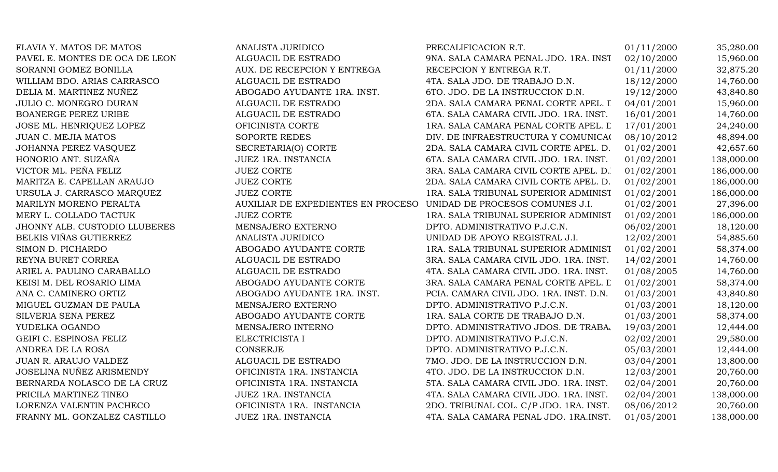| FLAVIA Y. MATOS DE MATOS       | ANALISTA JURIDICO                  | PRECALIFICACION R.T.                    | 01/11/2000 | 35,280.00  |
|--------------------------------|------------------------------------|-----------------------------------------|------------|------------|
| PAVEL E. MONTES DE OCA DE LEON | ALGUACIL DE ESTRADO                | 9NA. SALA CAMARA PENAL JDO. 1RA. INST   | 02/10/2000 | 15,960.00  |
| SORANNI GOMEZ BONILLA          | AUX. DE RECEPCION Y ENTREGA        | RECEPCION Y ENTREGA R.T.                | 01/11/2000 | 32,875.20  |
| WILLIAM BDO. ARIAS CARRASCO    | ALGUACIL DE ESTRADO                | 4TA. SALA JDO. DE TRABAJO D.N.          | 18/12/2000 | 14,760.00  |
| DELIA M. MARTINEZ NUÑEZ        | ABOGADO AYUDANTE 1RA. INST.        | 6TO. JDO. DE LA INSTRUCCION D.N.        | 19/12/2000 | 43,840.80  |
| JULIO C. MONEGRO DURAN         | ALGUACIL DE ESTRADO                | 2DA. SALA CAMARA PENAL CORTE APEL. I    | 04/01/2001 | 15,960.00  |
| BOANERGE PEREZ URIBE           | ALGUACIL DE ESTRADO                | 6TA. SALA CAMARA CIVIL JDO. 1RA. INST.  | 16/01/2001 | 14,760.00  |
| JOSE ML. HENRIQUEZ LOPEZ       | OFICINISTA CORTE                   | 1RA. SALA CAMARA PENAL CORTE APEL. L    | 17/01/2001 | 24,240.00  |
| JUAN C. MEJIA MATOS            | SOPORTE REDES                      | DIV. DE INFRAESTRUCTURA Y COMUNICA(     | 08/10/2012 | 48,894.00  |
| JOHANNA PEREZ VASQUEZ          | SECRETARIA(O) CORTE                | 2DA. SALA CAMARA CIVIL CORTE APEL. D.   | 01/02/2001 | 42,657.60  |
| HONORIO ANT. SUZAÑA            | JUEZ 1RA. INSTANCIA                | 6TA. SALA CAMARA CIVIL JDO. 1RA. INST.  | 01/02/2001 | 138,000.00 |
| VICTOR ML. PEÑA FELIZ          | <b>JUEZ CORTE</b>                  | 3RA. SALA CAMARA CIVIL CORTE APEL. D.   | 01/02/2001 | 186,000.00 |
| MARITZA E. CAPELLAN ARAUJO     | <b>JUEZ CORTE</b>                  | 2DA. SALA CAMARA CIVIL CORTE APEL. D.   | 01/02/2001 | 186,000.00 |
| URSULA J. CARRASCO MARQUEZ     | <b>JUEZ CORTE</b>                  | 1RA. SALA TRIBUNAL SUPERIOR ADMINIST    | 01/02/2001 | 186,000.00 |
| MARILYN MORENO PERALTA         | AUXILIAR DE EXPEDIENTES EN PROCESO | UNIDAD DE PROCESOS COMUNES J.I.         | 01/02/2001 | 27,396.00  |
| MERY L. COLLADO TACTUK         | <b>JUEZ CORTE</b>                  | 1RA. SALA TRIBUNAL SUPERIOR ADMINIST    | 01/02/2001 | 186,000.00 |
| JHONNY ALB. CUSTODIO LLUBERES  | MENSAJERO EXTERNO                  | DPTO. ADMINISTRATIVO P.J.C.N.           | 06/02/2001 | 18,120.00  |
| BELKIS VIÑAS GUTIERREZ         | ANALISTA JURIDICO                  | UNIDAD DE APOYO REGISTRAL J.I.          | 12/02/2001 | 54,885.60  |
| SIMON D. PICHARDO              | ABOGADO AYUDANTE CORTE             | 1RA. SALA TRIBUNAL SUPERIOR ADMINIST    | 01/02/2001 | 58,374.00  |
| REYNA BURET CORREA             | ALGUACIL DE ESTRADO                | 3RA. SALA CAMARA CIVIL JDO. 1RA. INST.  | 14/02/2001 | 14,760.00  |
| ARIEL A. PAULINO CARABALLO     | ALGUACIL DE ESTRADO                | 4TA. SALA CAMARA CIVIL JDO. 1RA. INST.  | 01/08/2005 | 14,760.00  |
| KEISI M. DEL ROSARIO LIMA      | ABOGADO AYUDANTE CORTE             | 3RA. SALA CAMARA PENAL CORTE APEL. L    | 01/02/2001 | 58,374.00  |
| ANA C. CAMINERO ORTIZ          | ABOGADO AYUDANTE 1RA. INST.        | PCIA. CAMARA CIVIL JDO. 1RA. INST. D.N. | 01/03/2001 | 43,840.80  |
| MIGUEL GUZMAN DE PAULA         | MENSAJERO EXTERNO                  | DPTO. ADMINISTRATIVO P.J.C.N.           | 01/03/2001 | 18,120.00  |
| SILVERIA SENA PEREZ            | ABOGADO AYUDANTE CORTE             | 1RA. SALA CORTE DE TRABAJO D.N.         | 01/03/2001 | 58,374.00  |
| YUDELKA OGANDO                 | MENSAJERO INTERNO                  | DPTO. ADMINISTRATIVO JDOS. DE TRABA.    | 19/03/2001 | 12,444.00  |
| GEIFI C. ESPINOSA FELIZ        | ELECTRICISTA I                     | DPTO. ADMINISTRATIVO P.J.C.N.           | 02/02/2001 | 29,580.00  |
| ANDREA DE LA ROSA              | <b>CONSERJE</b>                    | DPTO. ADMINISTRATIVO P.J.C.N.           | 05/03/2001 | 12,444.00  |
| JUAN R. ARAUJO VALDEZ          | ALGUACIL DE ESTRADO                | 7MO. JDO. DE LA INSTRUCCION D.N.        | 03/04/2001 | 13,800.00  |
| JOSELINA NUÑEZ ARISMENDY       | OFICINISTA 1RA. INSTANCIA          | 4TO. JDO. DE LA INSTRUCCION D.N.        | 12/03/2001 | 20,760.00  |
| BERNARDA NOLASCO DE LA CRUZ    | OFICINISTA 1RA. INSTANCIA          | 5TA. SALA CAMARA CIVIL JDO. 1RA. INST.  | 02/04/2001 | 20,760.00  |
| PRICILA MARTINEZ TINEO         | JUEZ 1RA. INSTANCIA                | 4TA. SALA CAMARA CIVIL JDO. 1RA. INST.  | 02/04/2001 | 138,000.00 |
| LORENZA VALENTIN PACHECO       | OFICINISTA 1RA. INSTANCIA          | 2DO. TRIBUNAL COL. C/P JDO. 1RA. INST.  | 08/06/2012 | 20,760.00  |
| FRANNY ML. GONZALEZ CASTILLO   | JUEZ 1RA. INSTANCIA                | 4TA. SALA CAMARA PENAL JDO. 1RA.INST.   | 01/05/2001 | 138,000.00 |
|                                |                                    |                                         |            |            |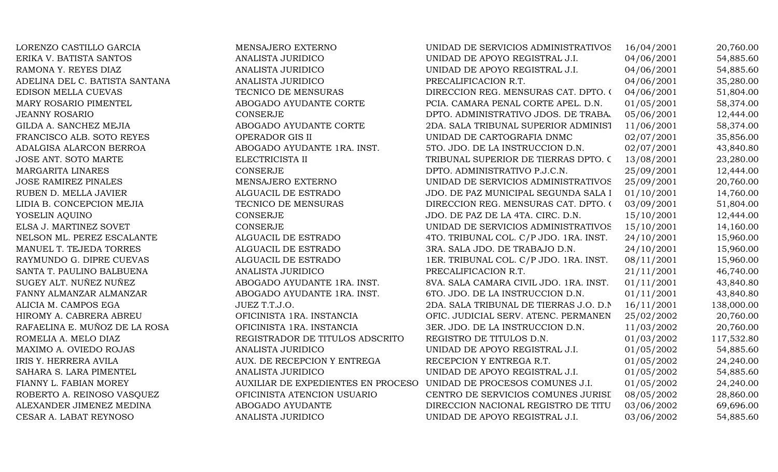| LORENZO CASTILLO GARCIA        | MENSAJERO EXTERNO                  | UNIDAD DE SERVICIOS ADMINISTRATIVOS    | 16/04/2001 | 20,760.00  |
|--------------------------------|------------------------------------|----------------------------------------|------------|------------|
| ERIKA V. BATISTA SANTOS        | <b>ANALISTA JURIDICO</b>           | UNIDAD DE APOYO REGISTRAL J.I.         | 04/06/2001 | 54,885.60  |
| RAMONA Y. REYES DIAZ           | ANALISTA JURIDICO                  | UNIDAD DE APOYO REGISTRAL J.I.         | 04/06/2001 | 54,885.60  |
| ADELINA DEL C. BATISTA SANTANA | ANALISTA JURIDICO                  | PRECALIFICACION R.T.                   | 04/06/2001 | 35,280.00  |
| EDISON MELLA CUEVAS            | TECNICO DE MENSURAS                | DIRECCION REG. MENSURAS CAT. DPTO. 0   | 04/06/2001 | 51,804.00  |
| MARY ROSARIO PIMENTEL          | ABOGADO AYUDANTE CORTE             | PCIA. CAMARA PENAL CORTE APEL. D.N.    | 01/05/2001 | 58,374.00  |
| <b>JEANNY ROSARIO</b>          | <b>CONSERJE</b>                    | DPTO. ADMINISTRATIVO JDOS. DE TRABA.   | 05/06/2001 | 12,444.00  |
| GILDA A. SANCHEZ MEJIA         | ABOGADO AYUDANTE CORTE             | 2DA. SALA TRIBUNAL SUPERIOR ADMINIST   | 11/06/2001 | 58,374.00  |
| FRANCISCO ALB. SOTO REYES      | OPERADOR GIS II                    | UNIDAD DE CARTOGRAFIA DNMC             | 02/07/2001 | 35,856.00  |
| ADALGISA ALARCON BERROA        | ABOGADO AYUDANTE 1RA. INST.        | 5TO. JDO. DE LA INSTRUCCION D.N.       | 02/07/2001 | 43,840.80  |
| JOSE ANT. SOTO MARTE           | ELECTRICISTA II                    | TRIBUNAL SUPERIOR DE TIERRAS DPTO. C   | 13/08/2001 | 23,280.00  |
| <b>MARGARITA LINARES</b>       | <b>CONSERJE</b>                    | DPTO. ADMINISTRATIVO P.J.C.N.          | 25/09/2001 | 12,444.00  |
| <b>JOSE RAMIREZ PINALES</b>    | MENSAJERO EXTERNO                  | UNIDAD DE SERVICIOS ADMINISTRATIVOS    | 25/09/2001 | 20,760.00  |
| RUBEN D. MELLA JAVIER          | ALGUACIL DE ESTRADO                | JDO. DE PAZ MUNICIPAL SEGUNDA SALA I   | 01/10/2001 | 14,760.00  |
| LIDIA B. CONCEPCION MEJIA      | TECNICO DE MENSURAS                | DIRECCION REG. MENSURAS CAT. DPTO. (   | 03/09/2001 | 51,804.00  |
| YOSELIN AQUINO                 | <b>CONSERJE</b>                    | JDO. DE PAZ DE LA 4TA. CIRC. D.N.      | 15/10/2001 | 12,444.00  |
| ELSA J. MARTINEZ SOVET         | <b>CONSERJE</b>                    | UNIDAD DE SERVICIOS ADMINISTRATIVOS    | 15/10/2001 | 14,160.00  |
| NELSON ML. PEREZ ESCALANTE     | ALGUACIL DE ESTRADO                | 4TO. TRIBUNAL COL. C/P JDO. 1RA. INST. | 24/10/2001 | 15,960.00  |
| MANUEL T. TEJEDA TORRES        | ALGUACIL DE ESTRADO                | 3RA. SALA JDO. DE TRABAJO D.N.         | 24/10/2001 | 15,960.00  |
| RAYMUNDO G. DIPRE CUEVAS       | ALGUACIL DE ESTRADO                | 1ER. TRIBUNAL COL. C/P JDO. 1RA. INST. | 08/11/2001 | 15,960.00  |
| SANTA T. PAULINO BALBUENA      | ANALISTA JURIDICO                  | PRECALIFICACION R.T.                   | 21/11/2001 | 46,740.00  |
| SUGEY ALT. NUÑEZ NUÑEZ         | ABOGADO AYUDANTE 1RA. INST.        | 8VA. SALA CAMARA CIVIL JDO. 1RA. INST. | 01/11/2001 | 43,840.80  |
| FANNY ALMANZAR ALMANZAR        | ABOGADO AYUDANTE 1RA. INST.        | 6TO. JDO. DE LA INSTRUCCION D.N.       | 01/11/2001 | 43,840.80  |
| ALICIA M. CAMPOS EGA           | JUEZ T.T.J.O.                      | 2DA. SALA TRIBUNAL DE TIERRAS J.O. D.N | 16/11/2001 | 138,000.00 |
| HIROMY A. CABRERA ABREU        | OFICINISTA 1RA. INSTANCIA          | OFIC. JUDICIAL SERV. ATENC. PERMANEN   | 25/02/2002 | 20,760.00  |
| RAFAELINA E. MUÑOZ DE LA ROSA  | OFICINISTA 1RA. INSTANCIA          | 3ER. JDO. DE LA INSTRUCCION D.N.       | 11/03/2002 | 20,760.00  |
| ROMELIA A. MELO DIAZ           | REGISTRADOR DE TITULOS ADSCRITO    | REGISTRO DE TITULOS D.N.               | 01/03/2002 | 117,532.80 |
| MAXIMO A. OVIEDO ROJAS         | ANALISTA JURIDICO                  | UNIDAD DE APOYO REGISTRAL J.I.         | 01/05/2002 | 54,885.60  |
| IRIS Y. HERRERA AVILA          | AUX. DE RECEPCION Y ENTREGA        | RECEPCION Y ENTREGA R.T.               | 01/05/2002 | 24,240.00  |
| SAHARA S. LARA PIMENTEL        | ANALISTA JURIDICO                  | UNIDAD DE APOYO REGISTRAL J.I.         | 01/05/2002 | 54,885.60  |
| FIANNY L. FABIAN MOREY         | AUXILIAR DE EXPEDIENTES EN PROCESO | UNIDAD DE PROCESOS COMUNES J.I.        | 01/05/2002 | 24,240.00  |
| ROBERTO A. REINOSO VASQUEZ     | OFICINISTA ATENCION USUARIO        | CENTRO DE SERVICIOS COMUNES JURISI     | 08/05/2002 | 28,860.00  |
| ALEXANDER JIMENEZ MEDINA       | ABOGADO AYUDANTE                   | DIRECCION NACIONAL REGISTRO DE TITU    | 03/06/2002 | 69,696.00  |
| CESAR A. LABAT REYNOSO         | ANALISTA JURIDICO                  | UNIDAD DE APOYO REGISTRAL J.I.         | 03/06/2002 | 54,885.60  |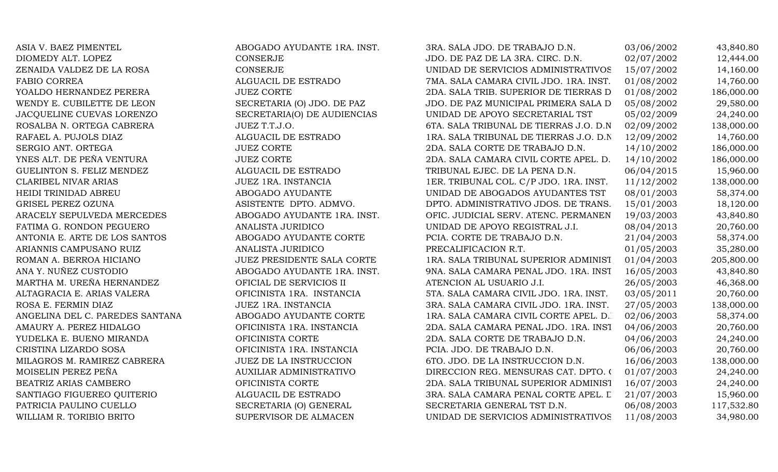| ASIA V. BAEZ PIMENTEL            | ABOGADO AYUDANTE 1RA. INST.    | 3RA. SALA JDO. DE TRABAJO D.N.         | 03/06/2002 | 43,840.80  |
|----------------------------------|--------------------------------|----------------------------------------|------------|------------|
| DIOMEDY ALT. LOPEZ               | <b>CONSERJE</b>                | JDO. DE PAZ DE LA 3RA. CIRC. D.N.      | 02/07/2002 | 12,444.00  |
| ZENAIDA VALDEZ DE LA ROSA        | <b>CONSERJE</b>                | UNIDAD DE SERVICIOS ADMINISTRATIVOS    | 15/07/2002 | 14,160.00  |
| <b>FABIO CORREA</b>              | ALGUACIL DE ESTRADO            | 7MA. SALA CAMARA CIVIL JDO. 1RA. INST. | 01/08/2002 | 14,760.00  |
| YOALDO HERNANDEZ PERERA          | <b>JUEZ CORTE</b>              | 2DA. SALA TRIB. SUPERIOR DE TIERRAS D  | 01/08/2002 | 186,000.00 |
| WENDY E. CUBILETTE DE LEON       | SECRETARIA (O) JDO. DE PAZ     | JDO. DE PAZ MUNICIPAL PRIMERA SALA D   | 05/08/2002 | 29,580.00  |
| JACQUELINE CUEVAS LORENZO        | SECRETARIA(O) DE AUDIENCIAS    | UNIDAD DE APOYO SECRETARIAL TST        | 05/02/2009 | 24,240.00  |
| ROSALBA N. ORTEGA CABRERA        | JUEZ T.T.J.O.                  | 6TA. SALA TRIBUNAL DE TIERRAS J.O. D.N | 02/09/2002 | 138,000.00 |
| RAFAEL A. PUJOLS DIAZ            | ALGUACIL DE ESTRADO            | 1RA. SALA TRIBUNAL DE TIERRAS J.O. D.N | 12/09/2002 | 14,760.00  |
| SERGIO ANT. ORTEGA               | <b>JUEZ CORTE</b>              | 2DA. SALA CORTE DE TRABAJO D.N.        | 14/10/2002 | 186,000.00 |
| YNES ALT. DE PEÑA VENTURA        | <b>JUEZ CORTE</b>              | 2DA. SALA CAMARA CIVIL CORTE APEL. D.  | 14/10/2002 | 186,000.00 |
| <b>GUELINTON S. FELIZ MENDEZ</b> | ALGUACIL DE ESTRADO            | TRIBUNAL EJEC. DE LA PENA D.N.         | 06/04/2015 | 15,960.00  |
| <b>CLARIBEL NIVAR ARIAS</b>      | JUEZ 1RA. INSTANCIA            | 1ER. TRIBUNAL COL. C/P JDO. 1RA. INST. | 11/12/2002 | 138,000.00 |
| HEIDI TRINIDAD ABREU             | ABOGADO AYUDANTE               | UNIDAD DE ABOGADOS AYUDANTES TST       | 08/01/2003 | 58,374.00  |
| GRISEL PEREZ OZUNA               | ASISTENTE DPTO. ADMVO.         | DPTO. ADMINISTRATIVO JDOS. DE TRANS.   | 15/01/2003 | 18,120.00  |
| ARACELY SEPULVEDA MERCEDES       | ABOGADO AYUDANTE 1RA. INST.    | OFIC. JUDICIAL SERV. ATENC. PERMANEN   | 19/03/2003 | 43,840.80  |
| FATIMA G. RONDON PEGUERO         | ANALISTA JURIDICO              | UNIDAD DE APOYO REGISTRAL J.I.         | 08/04/2013 | 20,760.00  |
| ANTONIA E. ARTE DE LOS SANTOS    | ABOGADO AYUDANTE CORTE         | PCIA. CORTE DE TRABAJO D.N.            | 21/04/2003 | 58,374.00  |
| ARIANNIS CAMPUSANO RUIZ          | ANALISTA JURIDICO              | PRECALIFICACION R.T.                   | 01/05/2003 | 35,280.00  |
| ROMAN A. BERROA HICIANO          | JUEZ PRESIDENTE SALA CORTE     | 1RA. SALA TRIBUNAL SUPERIOR ADMINIST   | 01/04/2003 | 205,800.00 |
| ANA Y. NUÑEZ CUSTODIO            | ABOGADO AYUDANTE 1RA. INST.    | 9NA. SALA CAMARA PENAL JDO. 1RA. INST  | 16/05/2003 | 43,840.80  |
| MARTHA M. UREÑA HERNANDEZ        | OFICIAL DE SERVICIOS II        | ATENCION AL USUARIO J.I.               | 26/05/2003 | 46,368.00  |
| ALTAGRACIA E. ARIAS VALERA       | OFICINISTA 1RA. INSTANCIA      | 5TA. SALA CAMARA CIVIL JDO. 1RA. INST. | 03/05/2011 | 20,760.00  |
| ROSA E. FERMIN DIAZ              | JUEZ 1RA. INSTANCIA            | 3RA. SALA CAMARA CIVIL JDO. 1RA. INST. | 27/05/2003 | 138,000.00 |
| ANGELINA DEL C. PAREDES SANTANA  | ABOGADO AYUDANTE CORTE         | 1RA. SALA CAMARA CIVIL CORTE APEL. D.  | 02/06/2003 | 58,374.00  |
| AMAURY A. PEREZ HIDALGO          | OFICINISTA 1RA. INSTANCIA      | 2DA. SALA CAMARA PENAL JDO. 1RA. INST  | 04/06/2003 | 20,760.00  |
| YUDELKA E. BUENO MIRANDA         | OFICINISTA CORTE               | 2DA. SALA CORTE DE TRABAJO D.N.        | 04/06/2003 | 24,240.00  |
| CRISTINA LIZARDO SOSA            | OFICINISTA 1RA. INSTANCIA      | PCIA. JDO. DE TRABAJO D.N.             | 06/06/2003 | 20,760.00  |
| MILAGROS M. RAMIREZ CABRERA      | JUEZ DE LA INSTRUCCION         | 6TO. JDO. DE LA INSTRUCCION D.N.       | 16/06/2003 | 138,000.00 |
| MOISELIN PEREZ PEÑA              | <b>AUXILIAR ADMINISTRATIVO</b> | DIRECCION REG. MENSURAS CAT. DPTO. 0   | 01/07/2003 | 24,240.00  |
| BEATRIZ ARIAS CAMBERO            | OFICINISTA CORTE               | 2DA. SALA TRIBUNAL SUPERIOR ADMINIST   | 16/07/2003 | 24,240.00  |
| SANTIAGO FIGUEREO QUITERIO       | ALGUACIL DE ESTRADO            | 3RA. SALA CAMARA PENAL CORTE APEL. L   | 21/07/2003 | 15,960.00  |
| PATRICIA PAULINO CUELLO          | SECRETARIA (O) GENERAL         | SECRETARIA GENERAL TST D.N.            | 06/08/2003 | 117,532.80 |
| WILLIAM R. TORIBIO BRITO         | SUPERVISOR DE ALMACEN          | UNIDAD DE SERVICIOS ADMINISTRATIVOS    | 11/08/2003 | 34,980.00  |
|                                  |                                |                                        |            |            |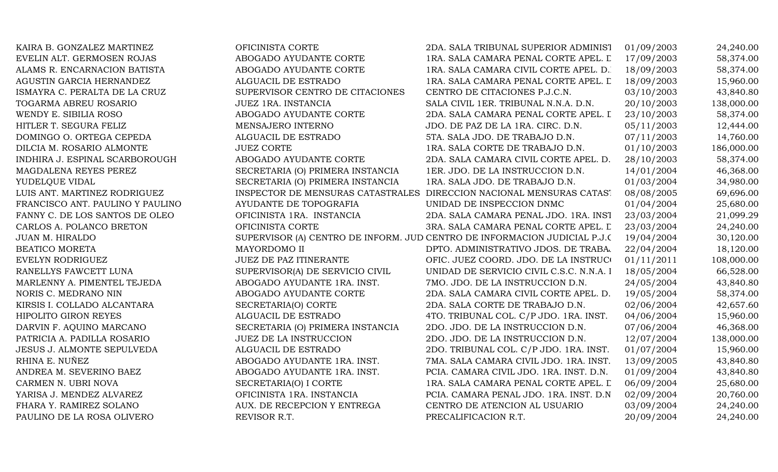| KAIRA B. GONZALEZ MARTINEZ       | OFICINISTA CORTE                  | 2DA. SALA TRIBUNAL SUPERIOR ADMINIST                                      | 01/09/2003 | 24,240.00  |
|----------------------------------|-----------------------------------|---------------------------------------------------------------------------|------------|------------|
| EVELIN ALT. GERMOSEN ROJAS       | ABOGADO AYUDANTE CORTE            | IRA. SALA CAMARA PENAL CORTE APEL. L                                      | 17/09/2003 | 58,374.00  |
| ALAMS R. ENCARNACION BATISTA     | ABOGADO AYUDANTE CORTE            | 1RA. SALA CAMARA CIVIL CORTE APEL. D.                                     | 18/09/2003 | 58,374.00  |
| AGUSTIN GARCIA HERNANDEZ         | ALGUACIL DE ESTRADO               | 1RA. SALA CAMARA PENAL CORTE APEL. L                                      | 18/09/2003 | 15,960.00  |
| ISMAYRA C. PERALTA DE LA CRUZ    | SUPERVISOR CENTRO DE CITACIONES   | CENTRO DE CITACIONES P.J.C.N.                                             | 03/10/2003 | 43,840.80  |
| TOGARMA ABREU ROSARIO            | <b>JUEZ 1RA. INSTANCIA</b>        | SALA CIVIL 1ER. TRIBUNAL N.N.A. D.N.                                      | 20/10/2003 | 138,000.00 |
| WENDY E. SIBILIA ROSO            | ABOGADO AYUDANTE CORTE            | 2DA. SALA CAMARA PENAL CORTE APEL. I                                      | 23/10/2003 | 58,374.00  |
| HITLER T. SEGURA FELIZ           | MENSAJERO INTERNO                 | JDO. DE PAZ DE LA 1RA. CIRC. D.N.                                         | 05/11/2003 | 12,444.00  |
| DOMINGO O. ORTEGA CEPEDA         | ALGUACIL DE ESTRADO               | 5TA. SALA JDO. DE TRABAJO D.N.                                            | 07/11/2003 | 14,760.00  |
| DILCIA M. ROSARIO ALMONTE        | <b>JUEZ CORTE</b>                 | 1RA. SALA CORTE DE TRABAJO D.N.                                           | 01/10/2003 | 186,000.00 |
| INDHIRA J. ESPINAL SCARBOROUGH   | ABOGADO AYUDANTE CORTE            | 2DA. SALA CAMARA CIVIL CORTE APEL. D.                                     | 28/10/2003 | 58,374.00  |
| MAGDALENA REYES PEREZ            | SECRETARIA (O) PRIMERA INSTANCIA  | 1ER. JDO. DE LA INSTRUCCION D.N.                                          | 14/01/2004 | 46,368.00  |
| YUDELQUE VIDAL                   | SECRETARIA (O) PRIMERA INSTANCIA  | 1RA. SALA JDO. DE TRABAJO D.N.                                            | 01/03/2004 | 34,980.00  |
| LUIS ANT. MARTINEZ RODRIGUEZ     | INSPECTOR DE MENSURAS CATASTRALES | DIRECCION NACIONAL MENSURAS CATAST                                        | 08/08/2005 | 69,696.00  |
| FRANCISCO ANT. PAULINO Y PAULINO | AYUDANTE DE TOPOGRAFIA            | UNIDAD DE INSPECCION DNMC                                                 | 01/04/2004 | 25,680.00  |
| FANNY C. DE LOS SANTOS DE OLEO   | OFICINISTA 1RA. INSTANCIA         | 2DA. SALA CAMARA PENAL JDO. 1RA. INST                                     | 23/03/2004 | 21,099.29  |
| CARLOS A. POLANCO BRETON         | OFICINISTA CORTE                  | 3RA. SALA CAMARA PENAL CORTE APEL. L                                      | 23/03/2004 | 24,240.00  |
| <b>JUAN M. HIRALDO</b>           |                                   | SUPERVISOR (A) CENTRO DE INFORM. JUD CENTRO DE INFORMACION JUDICIAL P.J.C | 19/04/2004 | 30,120.00  |
| <b>BEATICO MORETA</b>            | MAYORDOMO II                      | DPTO. ADMINISTRATIVO JDOS. DE TRABA.                                      | 22/04/2004 | 18,120.00  |
| EVELYN RODRIGUEZ                 | JUEZ DE PAZ ITINERANTE            | OFIC. JUEZ COORD. JDO. DE LA INSTRUCO                                     | 01/11/2011 | 108,000.00 |
| RANELLYS FAWCETT LUNA            | SUPERVISOR(A) DE SERVICIO CIVIL   | UNIDAD DE SERVICIO CIVIL C.S.C. N.N.A. I                                  | 18/05/2004 | 66,528.00  |
| MARLENNY A. PIMENTEL TEJEDA      | ABOGADO AYUDANTE 1RA. INST.       | 7MO. JDO. DE LA INSTRUCCION D.N.                                          | 24/05/2004 | 43,840.80  |
| NORIS C. MEDRANO NIN             | ABOGADO AYUDANTE CORTE            | 2DA. SALA CAMARA CIVIL CORTE APEL. D.                                     | 19/05/2004 | 58,374.00  |
| KIRSIS I. COLLADO ALCANTARA      | SECRETARIA(O) CORTE               | 2DA. SALA CORTE DE TRABAJO D.N.                                           | 02/06/2004 | 42,657.60  |
| <b>HIPOLITO GIRON REYES</b>      | ALGUACIL DE ESTRADO               | 4TO. TRIBUNAL COL. C/P JDO. 1RA. INST.                                    | 04/06/2004 | 15,960.00  |
| DARVIN F. AQUINO MARCANO         | SECRETARIA (O) PRIMERA INSTANCIA  | 2DO. JDO. DE LA INSTRUCCION D.N.                                          | 07/06/2004 | 46,368.00  |
| PATRICIA A. PADILLA ROSARIO      | <b>JUEZ DE LA INSTRUCCION</b>     | 2DO. JDO. DE LA INSTRUCCION D.N.                                          | 12/07/2004 | 138,000.00 |
| JESUS J. ALMONTE SEPULVEDA       | ALGUACIL DE ESTRADO               | 2DO. TRIBUNAL COL. C/P JDO. 1RA. INST.                                    | 01/07/2004 | 15,960.00  |
| RHINA E. NUÑEZ                   | ABOGADO AYUDANTE 1RA. INST.       | 7MA. SALA CAMARA CIVIL JDO. 1RA. INST.                                    | 13/09/2005 | 43,840.80  |
| ANDREA M. SEVERINO BAEZ          | ABOGADO AYUDANTE 1RA. INST.       | PCIA. CAMARA CIVIL JDO. 1RA. INST. D.N.                                   | 01/09/2004 | 43,840.80  |
| CARMEN N. UBRI NOVA              | SECRETARIA(O) I CORTE             | 1RA. SALA CAMARA PENAL CORTE APEL. L                                      | 06/09/2004 | 25,680.00  |
| YARISA J. MENDEZ ALVAREZ         | OFICINISTA 1RA. INSTANCIA         | PCIA. CAMARA PENAL JDO. 1RA. INST. D.N                                    | 02/09/2004 | 20,760.00  |
| FHARA Y. RAMIREZ SOLANO          | AUX. DE RECEPCION Y ENTREGA       | CENTRO DE ATENCION AL USUARIO                                             | 03/09/2004 | 24,240.00  |
| PAULINO DE LA ROSA OLIVERO       | REVISOR R.T.                      | PRECALIFICACION R.T.                                                      | 20/09/2004 | 24,240.00  |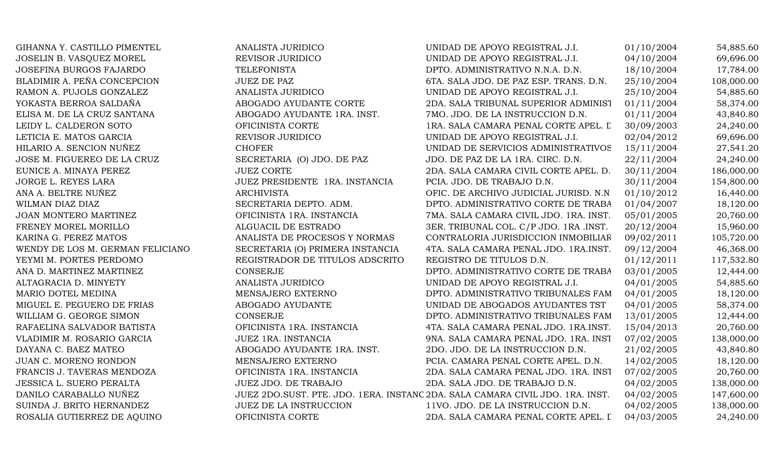GIHANNA Y. CASTILLO PIMENTEL ANALISTA JURIDICO UNIDAD DE APOYO REGISTRAL J.I. 01/10/2004 54,885.60 JOSELIN B. VASQUEZ MOREL REVISOR JURIDICO UNIDAD DE APOYO REGISTRAL J.I. 04/10/2004 69,696.00 JOSEFINA BURGOS FAJARDO TELEFONISTA DPTO. ADMINISTRATIVO N.N.A. D.N. 18/10/2004 17,784.00 BLADIMIR A. PEÑA CONCEPCION JUEZ DE PAZ 6TA. SALA JDO. DE PAZ ESP. TRANS. D.N. 25/10/2004 108,000.00 RAMON A. PUJOLS GONZALEZ ANALISTA JURIDICO NE APOYO REGISTRAL J.I. 25/10/2004 54,885.60 YOKASTA BERROA SALDAÑA  $\blacksquare$ ABOGADO AYUDANTE CORTE 2DA. SALA TRIBUNAL SUPERIOR ADMINIST 01/11/2004 58,374.00 ELISA M. DE LA CRUZ SANTANA  $\overline{ABOGADO AVUDANTE}$  1RA. INST.  $\overline{7MO}$ . JDO. DE LA INSTRUCCION D.N.  $\overline{01/11/2004}$   $\overline{43.840.80}$ LEIDY L. CALDERON SOTO **OFICINISTA CORTE** 1RA. SALA CAMARA PENAL CORTE APEL. L<sup>30</sup>/09/2003 24,240.00 LETICIA E. MATOS GARCIA REVISOR JURIDICO REGISTRAL J.I. 02/04/2012 69,696.00 HILARIO A. SENCION NUÑEZ CHOFER CHOFER UNIDAD DE SERVICIOS ADMINISTRATIVOS 15/11/2004 27,541.20 JOSE M. FIGUEREO DE LA CRUZ SECRETARIA (O) JDO. DE PAZ JDO. DE PAZ DE LA 1RA. CIRC. D.N. 22/11/2004 24,240.00 EUNICE A. MINAYA PEREZ JUEZ CORTE JUEZ CORTE 2DA. SALA CAMARA CIVIL CORTE APEL. D. 30/11/2004 186,000.00 JORGE L. REYES LARA JUEZ PRESIDENTE 1RA. INSTANCIA PCIA. JDO. DE TRABAJO D.N. 30/11/2004 154,800.00 ANA A. BELTRE NUÑEZ ARCHIVISTA ARCHIVISTA OFIC. DE ARCHIVO JUDICIAL JURISD. N.N. 01/10/2012 16,440.00 WILMAN DIAZ DIAZ SECRETARIA DEPTO. ADM. DPTO. ADMINISTRATIVO CORTE DE TRABA 01/04/2007 18,120.00 JOAN MONTERO MARTINEZ **OFICINISTA 1RA. INSTANCIA** 7MA. SALA CAMARA CIVIL JDO. 1RA. INST. 05/01/2005 20,760.00 FRENEY MOREL MORILLO ALGUACIL DE ESTRADO 3ER. TRIBUNAL COL. C/P JDO. 1RA .INST. 20/12/2004 15,960.00 KARINA G. PEREZ MATOS ANALISTA DE PROCESOS Y NORMAS CONTRALORIA JURISDICCION INMOBILIAR 09/02/2011 105,720.00 WENDY DE LOS M. GERMAN FELICIANO SECRETARIA (O) PRIMERA INSTANCIA 4TA. SALA CAMARA PENAL JDO. 1RA.INST. 09/12/2004 46,368.00 YEYMI M. PORTES PERDOMO **REGISTRADOR DE TITULOS ADSCRITO** REGISTRO DE TITULOS D.N. 01/12/2011 117,532.80 ANA D. MARTINEZ MARTINEZ CONSERJE CONSERJE DPTO. ADMINISTRATIVO CORTE DE TRABA 03/01/2005 12,444.00 ALTAGRACIA D. MINYETY ANALISTA JURIDICO UNIDAD DE APOYO REGISTRAL J.I. 04/01/2005 54,885.60 MARIO DOTEL MEDINA MENSAJERO EXTERNO DPTO. ADMINISTRATIVO TRIBUNALES FAM 04/01/2005 18,120.00 MIGUEL E. PEGUERO DE FRIAS ABOGADO AYUDANTE UNIDAD DE ABOGADOS AYUDANTES TST 04/01/2005 58,374.00 WILLIAM G. GEORGE SIMON CONSERJE CONSERUE DPTO. ADMINISTRATIVO TRIBUNALES FAM 13/01/2005 12,444.00 RAFAELINA SALVADOR BATISTA **OFICINISTA 1RA. INSTANCIA** 4TA. SALA CAMARA PENAL JDO. 1RA.INST. 15/04/2013 20,760.00 VLADIMIR M. ROSARIO GARCIA JUEZ 1RA. INSTANCIA 9NA. SALA CAMARA PENAL JDO. 1RA. INST. 07/02/2005 138,000.00 DAYANA C. BAEZ MATEO AND ABOGADO AYUDANTE 1RA. INST. 2DO. JDO. DE LA INSTRUCCION D.N. 21/02/2005 43,840.80 JUAN C. MORENO RONDON MENSAJERO EXTERNO PCIA. CAMARA PENAL CORTE APEL. D.N. 14/02/2005 18,120.00 FRANCIS J. TAVERAS MENDOZA **OFICINISTA 1RA. INSTANCIA** 2DA. SALA CAMARA PENAL JDO. 1RA. INST. 07/02/2005 20,760.00 JESSICA L. SUERO PERALTA JUEZ JDO. DE TRABAJO 2DA. SALA JDO. DE TRABAJO D.N. 04/02/2005 138,000.00 DANILO CARABALLO NUÑEZ 1999 JUEZ 2DO.SUST. PTE. JDO. 1ERA. INSTANCIA. SALA CAMARA CIVIL JDO. 1RA. INST. 04/02/2005 147,600.00 SUINDA J. BRITO HERNANDEZ JUEZ DE LA INSTRUCCION 11VO. JDO. DE LA INSTRUCCION D.N. 04/02/2005 138,000.00 ROSALIA GUTIERREZ DE AQUINO  $\qquad \qquad \text{OFICINISTA CORTE}$  2DA. SALA CAMARA PENAL CORTE APEL. [ 04/03/2005 24,240.00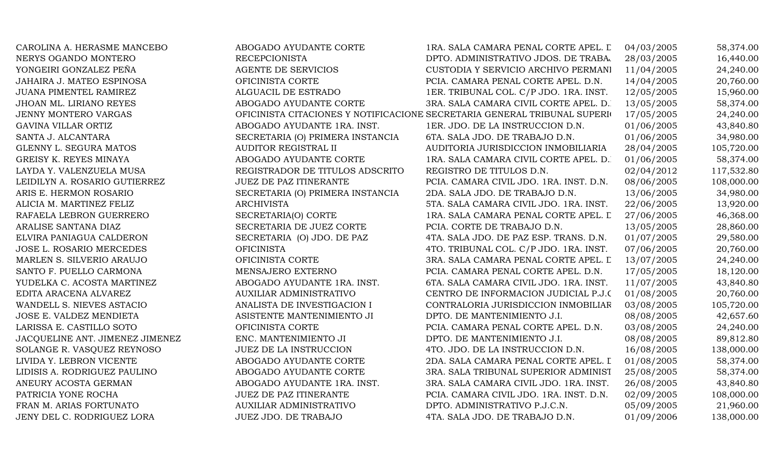| CAROLINA A. HERASME MANCEBO     | ABOGADO AYUDANTE CORTE           | 1RA. SALA CAMARA PENAL CORTE APEL. L                                      | 04/03/2005 | 58,374.00  |
|---------------------------------|----------------------------------|---------------------------------------------------------------------------|------------|------------|
| NERYS OGANDO MONTERO            | <b>RECEPCIONISTA</b>             | DPTO. ADMINISTRATIVO JDOS. DE TRABA.                                      | 28/03/2005 | 16,440.00  |
| YONGEIRI GONZALEZ PEÑA          | AGENTE DE SERVICIOS              | CUSTODIA Y SERVICIO ARCHIVO PERMANI                                       | 11/04/2005 | 24,240.00  |
| JAHAIRA J. MATEO ESPINOSA       | OFICINISTA CORTE                 | PCIA. CAMARA PENAL CORTE APEL. D.N.                                       | 14/04/2005 | 20,760.00  |
| JUANA PIMENTEL RAMIREZ          | ALGUACIL DE ESTRADO              | 1ER. TRIBUNAL COL. C/P JDO. 1RA. INST.                                    | 12/05/2005 | 15,960.00  |
| JHOAN ML. LIRIANO REYES         | ABOGADO AYUDANTE CORTE           | 3RA. SALA CAMARA CIVIL CORTE APEL. D.                                     | 13/05/2005 | 58,374.00  |
| JENNY MONTERO VARGAS            |                                  | OFICINISTA CITACIONES Y NOTIFICACIONE SECRETARIA GENERAL TRIBUNAL SUPERIO | 17/05/2005 | 24,240.00  |
| GAVINA VILLAR ORTIZ             | ABOGADO AYUDANTE 1RA. INST.      | 1ER. JDO. DE LA INSTRUCCION D.N.                                          | 01/06/2005 | 43,840.80  |
| SANTA J. ALCANTARA              | SECRETARIA (O) PRIMERA INSTANCIA | 6TA. SALA JDO. DE TRABAJO D.N.                                            | 01/06/2005 | 34,980.00  |
| GLENNY L. SEGURA MATOS          | AUDITOR REGISTRAL II             | AUDITORIA JURISDICCION INMOBILIARIA                                       | 28/04/2005 | 105,720.00 |
| GREISY K. REYES MINAYA          | ABOGADO AYUDANTE CORTE           | 1RA. SALA CAMARA CIVIL CORTE APEL. D.                                     | 01/06/2005 | 58,374.00  |
| LAYDA Y. VALENZUELA MUSA        | REGISTRADOR DE TITULOS ADSCRITO  | REGISTRO DE TITULOS D.N.                                                  | 02/04/2012 | 117,532.80 |
| LEIDILYN A. ROSARIO GUTIERREZ   | <b>JUEZ DE PAZ ITINERANTE</b>    | PCIA. CAMARA CIVIL JDO. 1RA. INST. D.N.                                   | 08/06/2005 | 108,000.00 |
| ARIS E. HERMON ROSARIO          | SECRETARIA (O) PRIMERA INSTANCIA | 2DA. SALA JDO. DE TRABAJO D.N.                                            | 13/06/2005 | 34,980.00  |
| ALICIA M. MARTINEZ FELIZ        | <b>ARCHIVISTA</b>                | 5TA. SALA CAMARA CIVIL JDO. 1RA. INST.                                    | 22/06/2005 | 13,920.00  |
| RAFAELA LEBRON GUERRERO         | SECRETARIA(O) CORTE              | 1RA. SALA CAMARA PENAL CORTE APEL. L                                      | 27/06/2005 | 46,368.00  |
| ARALISE SANTANA DIAZ            | SECRETARIA DE JUEZ CORTE         | PCIA. CORTE DE TRABAJO D.N.                                               | 13/05/2005 | 28,860.00  |
| ELVIRA PANIAGUA CALDERON        | SECRETARIA (O) JDO. DE PAZ       | 4TA. SALA JDO. DE PAZ ESP. TRANS. D.N.                                    | 01/07/2005 | 29,580.00  |
| JOSE L. ROSARIO MERCEDES        | <b>OFICINISTA</b>                | 4TO. TRIBUNAL COL. C/P JDO. 1RA. INST.                                    | 07/06/2005 | 20,760.00  |
| MARLEN S. SILVERIO ARAUJO       | OFICINISTA CORTE                 | 3RA. SALA CAMARA PENAL CORTE APEL. L                                      | 13/07/2005 | 24,240.00  |
| SANTO F. PUELLO CARMONA         | MENSAJERO EXTERNO                | PCIA. CAMARA PENAL CORTE APEL. D.N.                                       | 17/05/2005 | 18,120.00  |
| YUDELKA C. ACOSTA MARTINEZ      | ABOGADO AYUDANTE 1RA. INST.      | 6TA. SALA CAMARA CIVIL JDO. 1RA. INST.                                    | 11/07/2005 | 43,840.80  |
| EDITA ARACENA ALVAREZ           | <b>AUXILIAR ADMINISTRATIVO</b>   | CENTRO DE INFORMACION JUDICIAL P.J.C                                      | 01/08/2005 | 20,760.00  |
| WANDELL S. NIEVES ASTACIO       | ANALISTA DE INVESTIGACION I      | CONTRALORIA JURISDICCION INMOBILIAR                                       | 03/08/2005 | 105,720.00 |
| JOSE E. VALDEZ MENDIETA         | ASISTENTE MANTENIMIENTO JI       | DPTO. DE MANTENIMIENTO J.I.                                               | 08/08/2005 | 42,657.60  |
| LARISSA E. CASTILLO SOTO        | OFICINISTA CORTE                 | PCIA. CAMARA PENAL CORTE APEL. D.N.                                       | 03/08/2005 | 24,240.00  |
| JACQUELINE ANT. JIMENEZ JIMENEZ | ENC. MANTENIMIENTO JI            | DPTO. DE MANTENIMIENTO J.I.                                               | 08/08/2005 | 89,812.80  |
| SOLANGE R. VASQUEZ REYNOSO      | JUEZ DE LA INSTRUCCION           | 4TO. JDO. DE LA INSTRUCCION D.N.                                          | 16/08/2005 | 138,000.00 |
| LIVIDA Y. LEBRON VICENTE        | ABOGADO AYUDANTE CORTE           | 2DA. SALA CAMARA PENAL CORTE APEL. I                                      | 01/08/2005 | 58,374.00  |
| LIDISIS A. RODRIGUEZ PAULINO    | ABOGADO AYUDANTE CORTE           | 3RA. SALA TRIBUNAL SUPERIOR ADMINIST                                      | 25/08/2005 | 58,374.00  |
| ANEURY ACOSTA GERMAN            | ABOGADO AYUDANTE 1RA. INST.      | 3RA. SALA CAMARA CIVIL JDO. 1RA. INST.                                    | 26/08/2005 | 43,840.80  |
| PATRICIA YONE ROCHA             | JUEZ DE PAZ ITINERANTE           | PCIA. CAMARA CIVIL JDO. 1RA. INST. D.N.                                   | 02/09/2005 | 108,000.00 |
| FRAN M. ARIAS FORTUNATO         | AUXILIAR ADMINISTRATIVO          | DPTO. ADMINISTRATIVO P.J.C.N.                                             | 05/09/2005 | 21,960.00  |
| JENY DEL C. RODRIGUEZ LORA      | <b>JUEZ JDO. DE TRABAJO</b>      | 4TA. SALA JDO. DE TRABAJO D.N.                                            | 01/09/2006 | 138,000.00 |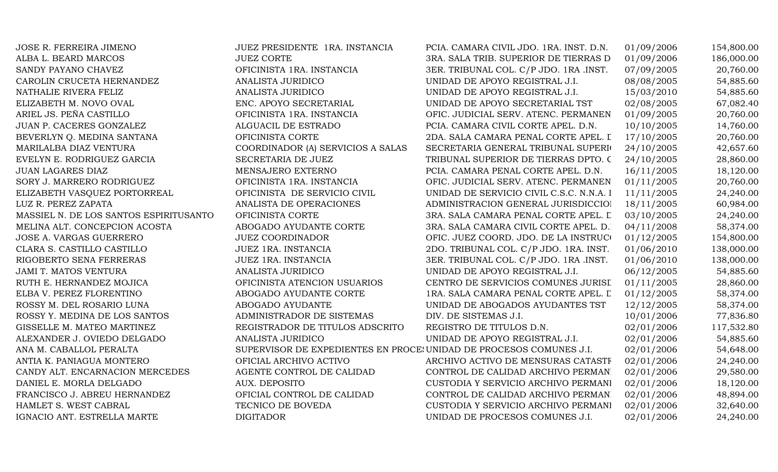| JOSE R. FERREIRA JIMENO                | JUEZ PRESIDENTE 1RA. INSTANCIA                                      | PCIA. CAMARA CIVIL JDO. 1RA. INST. D.N.  | 01/09/2006 | 154,800.00 |
|----------------------------------------|---------------------------------------------------------------------|------------------------------------------|------------|------------|
| ALBA L. BEARD MARCOS                   | <b>JUEZ CORTE</b>                                                   | 3RA. SALA TRIB. SUPERIOR DE TIERRAS D    | 01/09/2006 | 186,000.00 |
| SANDY PAYANO CHAVEZ                    | OFICINISTA 1RA. INSTANCIA                                           | 3ER. TRIBUNAL COL. C/P JDO. 1RA .INST.   | 07/09/2005 | 20,760.00  |
| CAROLIN CRUCETA HERNANDEZ              | <b>ANALISTA JURIDICO</b>                                            | UNIDAD DE APOYO REGISTRAL J.I.           | 08/08/2005 | 54,885.60  |
| NATHALIE RIVERA FELIZ                  | ANALISTA JURIDICO                                                   | UNIDAD DE APOYO REGISTRAL J.I.           | 15/03/2010 | 54,885.60  |
| ELIZABETH M. NOVO OVAL                 | ENC. APOYO SECRETARIAL                                              | UNIDAD DE APOYO SECRETARIAL TST          | 02/08/2005 | 67,082.40  |
| ARIEL JS. PEÑA CASTILLO                | OFICINISTA 1RA. INSTANCIA                                           | OFIC. JUDICIAL SERV. ATENC. PERMANEN     | 01/09/2005 | 20,760.00  |
| JUAN P. CACERES GONZALEZ               | ALGUACIL DE ESTRADO                                                 | PCIA. CAMARA CIVIL CORTE APEL. D.N.      | 10/10/2005 | 14,760.00  |
| BEVERLYN Q. MEDINA SANTANA             | OFICINISTA CORTE                                                    | 2DA. SALA CAMARA PENAL CORTE APEL. I     | 17/10/2005 | 20,760.00  |
| MARILALBA DIAZ VENTURA                 | COORDINADOR (A) SERVICIOS A SALAS                                   | SECRETARIA GENERAL TRIBUNAL SUPERIO      | 24/10/2005 | 42,657.60  |
| EVELYN E. RODRIGUEZ GARCIA             | SECRETARIA DE JUEZ                                                  | TRIBUNAL SUPERIOR DE TIERRAS DPTO. C     | 24/10/2005 | 28,860.00  |
| JUAN LAGARES DIAZ                      | MENSAJERO EXTERNO                                                   | PCIA. CAMARA PENAL CORTE APEL. D.N.      | 16/11/2005 | 18,120.00  |
| SORY J. MARRERO RODRIGUEZ              | OFICINISTA 1RA. INSTANCIA                                           | OFIC. JUDICIAL SERV. ATENC. PERMANEN     | 01/11/2005 | 20,760.00  |
| ELIZABETH VASQUEZ PORTORREAL           | OFICINISTA DE SERVICIO CIVIL                                        | UNIDAD DE SERVICIO CIVIL C.S.C. N.N.A. I | 11/11/2005 | 24,240.00  |
| LUZ R. PEREZ ZAPATA                    | ANALISTA DE OPERACIONES                                             | ADMINISTRACION GENERAL JURISDICCIOI      | 18/11/2005 | 60,984.00  |
| MASSIEL N. DE LOS SANTOS ESPIRITUSANTO | OFICINISTA CORTE                                                    | 3RA. SALA CAMARA PENAL CORTE APEL. L     | 03/10/2005 | 24,240.00  |
| MELINA ALT. CONCEPCION ACOSTA          | ABOGADO AYUDANTE CORTE                                              | 3RA. SALA CAMARA CIVIL CORTE APEL. D.    | 04/11/2008 | 58,374.00  |
| <b>JOSE A. VARGAS GUERRERO</b>         | <b>JUEZ COORDINADOR</b>                                             | OFIC. JUEZ COORD. JDO. DE LA INSTRUCO    | 01/12/2005 | 154,800.00 |
| CLARA S. CASTILLO CASTILLO             | <b>JUEZ 1RA. INSTANCIA</b>                                          | 2DO. TRIBUNAL COL. C/P JDO. 1RA. INST.   | 01/06/2010 | 138,000.00 |
| RIGOBERTO SENA FERRERAS                | <b>JUEZ 1RA. INSTANCIA</b>                                          | 3ER. TRIBUNAL COL. C/P JDO. 1RA .INST.   | 01/06/2010 | 138,000.00 |
| <b>JAMI T. MATOS VENTURA</b>           | ANALISTA JURIDICO                                                   | UNIDAD DE APOYO REGISTRAL J.I.           | 06/12/2005 | 54,885.60  |
| RUTH E. HERNANDEZ MOJICA               | OFICINISTA ATENCION USUARIOS                                        | CENTRO DE SERVICIOS COMUNES JURISI       | 01/11/2005 | 28,860.00  |
| ELBA V. PEREZ FLORENTINO               | ABOGADO AYUDANTE CORTE                                              | 1RA. SALA CAMARA PENAL CORTE APEL. L     | 01/12/2005 | 58,374.00  |
| ROSSY M. DEL ROSARIO LUNA              | ABOGADO AYUDANTE                                                    | UNIDAD DE ABOGADOS AYUDANTES TST         | 12/12/2005 | 58,374.00  |
| ROSSY Y. MEDINA DE LOS SANTOS          | ADMINISTRADOR DE SISTEMAS                                           | DIV. DE SISTEMAS J.I.                    | 10/01/2006 | 77,836.80  |
| GISSELLE M. MATEO MARTINEZ             | REGISTRADOR DE TITULOS ADSCRITO                                     | REGISTRO DE TITULOS D.N.                 | 02/01/2006 | 117,532.80 |
| ALEXANDER J. OVIEDO DELGADO            | <b>ANALISTA JURIDICO</b>                                            | UNIDAD DE APOYO REGISTRAL J.I.           | 02/01/2006 | 54,885.60  |
| ANA M. CABALLOL PERALTA                | SUPERVISOR DE EXPEDIENTES EN PROCE: UNIDAD DE PROCESOS COMUNES J.I. |                                          | 02/01/2006 | 54,648.00  |
| ANTIA K. PANIAGUA MONTERO              | OFICIAL ARCHIVO ACTIVO                                              | ARCHIVO ACTIVO DE MENSURAS CATASTF       | 02/01/2006 | 24,240.00  |
| CANDY ALT. ENCARNACION MERCEDES        | AGENTE CONTROL DE CALIDAD                                           | CONTROL DE CALIDAD ARCHIVO PERMAN.       | 02/01/2006 | 29,580.00  |
| DANIEL E. MORLA DELGADO                | AUX. DEPOSITO                                                       | CUSTODIA Y SERVICIO ARCHIVO PERMANI      | 02/01/2006 | 18,120.00  |
| FRANCISCO J. ABREU HERNANDEZ           | OFICIAL CONTROL DE CALIDAD                                          | CONTROL DE CALIDAD ARCHIVO PERMAN        | 02/01/2006 | 48,894.00  |
| HAMLET S. WEST CABRAL                  | TECNICO DE BOVEDA                                                   | CUSTODIA Y SERVICIO ARCHIVO PERMANI      | 02/01/2006 | 32,640.00  |
| IGNACIO ANT. ESTRELLA MARTE            | <b>DIGITADOR</b>                                                    | UNIDAD DE PROCESOS COMUNES J.I.          | 02/01/2006 | 24,240.00  |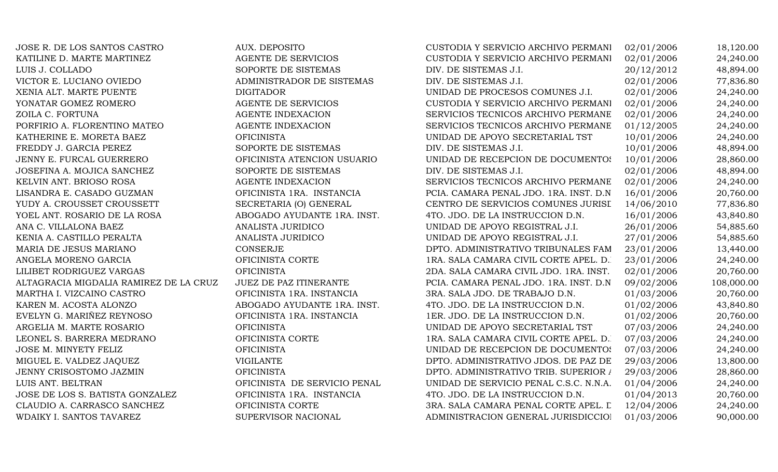JOSE R. DE LOS SANTOS CASTRO CUSTODIA AUX. DEPOSITO KATILINE D. MARTE MARTINEZ AGENTE DE SERVICIOS LUIS J. COLLADO SOPORTE DE SISTEMAS VICTOR E. LUCIANO OVIEDO ADMINISTRADOR DE SISTEMAS XENIA ALT. MARTE PUENTE DIGITADOR DIGITADOR YONATAR GOMEZ ROMERO AGENTE DE SERVICIOS ZOILA C. FORTUNA AGENTE INDEXACION PORFIRIO A. FLORENTINO MATEO **AGENTE INDEXACION** KATHERINE E. MORETA BAEZ OFICINISTA FREDDY J. GARCIA PEREZ SOPORTE DE SISTEMAS JENNY E. FURCAL GUERRERO **OFICINISTA ATENCION USUARIO** JOSEFINA A. MOJICA SANCHEZ SOPORTE DE SISTEMAS KELVIN ANT. BRIOSO ROSA AGENTE INDEXACION LISANDRA E. CASADO GUZMAN OFICINISTA 1RA. INSTANCIA YUDY A. CROUSSET CROUSSETT SECRETARIA (O) GENERAL YOEL ANT. ROSARIO DE LA ROSA ABOGADO AYUDANTE 1RA. INST. ANA C. VILLALONA BAEZ ANALISTA JURIDICO KENIA A. CASTILLO PERALTA ANALISTA JURIDICO MARIA DE JESUS MARIANO CONSERJE ANGELA MORENO GARCIA OFICINISTA CORTE 1 LILIBET RODRIGUEZ VARGAS OFICINISTA ALTAGRACIA MIGDALIA RAMIREZ DE LA CRUZ JUEZ DE PAZ ITINERANTE MARTHA I. VIZCAINO CASTRO **OFICINISTA 1RA. INSTANCIA** KAREN M. ACOSTA ALONZO ABOGADO AYUDANTE 1RA. INST. EVELYN G. MARIÑEZ REYNOSO OFICINISTA 1RA. INSTANCIA ARGELIA M. MARTE ROSARIO OFICINISTA LEONEL S. BARRERA MEDRANO OFICINISTA CORTE 1 JOSE M. MINYETY FELIZ OFICINISTA MIGUEL E. VALDEZ JAQUEZ DE PAZ DE PAZ DE VIGILANTE JENNY CRISOSTOMO JAZMIN OFICINISTA LUIS ANT. BELTRAN OFICINISTA DE SERVICIO PENAL JOSE DE LOS S. BATISTA GONZALEZ **OFICINISTA 1RA. INSTANCIA** CLAUDIO A. CARRASCO SANCHEZ OFICINISTA CORTE WDAIKY I. SANTOS TAVAREZ SUPERVISOR NACIONAL

| CUSTODIA Y SERVICIO ARCHIVO PERMANI    | 02/01/2006 | 18,120.00  |
|----------------------------------------|------------|------------|
| CUSTODIA Y SERVICIO ARCHIVO PERMANI    | 02/01/2006 | 24,240.00  |
| DIV. DE SISTEMAS J.I.                  | 20/12/2012 | 48,894.00  |
| DIV. DE SISTEMAS J.I.                  | 02/01/2006 | 77,836.80  |
| UNIDAD DE PROCESOS COMUNES J.I.        | 02/01/2006 | 24,240.00  |
| CUSTODIA Y SERVICIO ARCHIVO PERMANI    | 02/01/2006 | 24,240.00  |
| SERVICIOS TECNICOS ARCHIVO PERMANE     | 02/01/2006 | 24,240.00  |
| SERVICIOS TECNICOS ARCHIVO PERMANE     | 01/12/2005 | 24,240.00  |
| UNIDAD DE APOYO SECRETARIAL TST        | 10/01/2006 | 24,240.00  |
| DIV. DE SISTEMAS J.I.                  | 10/01/2006 | 48,894.00  |
| UNIDAD DE RECEPCION DE DOCUMENTOS      | 10/01/2006 | 28,860.00  |
| DIV. DE SISTEMAS J.I.                  | 02/01/2006 | 48,894.00  |
| SERVICIOS TECNICOS ARCHIVO PERMANE     | 02/01/2006 | 24,240.00  |
| PCIA. CAMARA PENAL JDO. 1RA. INST. D.N | 16/01/2006 | 20,760.00  |
| CENTRO DE SERVICIOS COMUNES JURISI     | 14/06/2010 | 77,836.80  |
| 4TO. JDO. DE LA INSTRUCCION D.N.       | 16/01/2006 | 43,840.80  |
| UNIDAD DE APOYO REGISTRAL J.I.         | 26/01/2006 | 54,885.60  |
| UNIDAD DE APOYO REGISTRAL J.I.         | 27/01/2006 | 54,885.60  |
| DPTO. ADMINISTRATIVO TRIBUNALES FAM    | 23/01/2006 | 13,440.00  |
| 1RA. SALA CAMARA CIVIL CORTE APEL. D.  | 23/01/2006 | 24,240.00  |
| 2DA. SALA CAMARA CIVIL JDO. 1RA. INST. | 02/01/2006 | 20,760.00  |
| PCIA. CAMARA PENAL JDO. 1RA. INST. D.N | 09/02/2006 | 108,000.00 |
| 3RA. SALA JDO. DE TRABAJO D.N.         | 01/03/2006 | 20,760.00  |
| 4TO. JDO. DE LA INSTRUCCION D.N.       | 01/02/2006 | 43,840.80  |
| 1ER. JDO. DE LA INSTRUCCION D.N.       | 01/02/2006 | 20,760.00  |
| UNIDAD DE APOYO SECRETARIAL TST        | 07/03/2006 | 24,240.00  |
| 1RA. SALA CAMARA CIVIL CORTE APEL. D.  | 07/03/2006 | 24,240.00  |
| UNIDAD DE RECEPCION DE DOCUMENTOS      | 07/03/2006 | 24,240.00  |
| DPTO. ADMINISTRATIVO JDOS. DE PAZ DE   | 29/03/2006 | 13,800.00  |
| DPTO. ADMINISTRATIVO TRIB. SUPERIOR /  | 29/03/2006 | 28,860.00  |
| UNIDAD DE SERVICIO PENAL C.S.C. N.N.A. | 01/04/2006 | 24,240.00  |
| 4TO. JDO. DE LA INSTRUCCION D.N.       | 01/04/2013 | 20,760.00  |
| 3RA. SALA CAMARA PENAL CORTE APEL. L   | 12/04/2006 | 24,240.00  |
| ADMINISTRACION GENERAL JURISDICCIOI    | 01/03/2006 | 90,000.00  |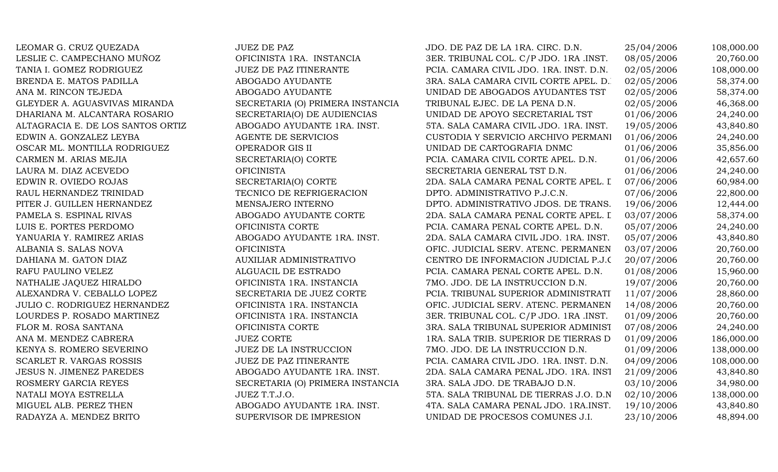LEOMAR G. CRUZ QUEZADA JUEZ DE PAZ JUEZ DE PAZ JDO. DE PAZ DE LA 1RA. CIRC. D.N. 25/04/2006 108,000.00 LESLIE C. CAMPECHANO MUÑOZ **OFICINISTA 1RA. INSTANCIA** 3ER. TRIBUNAL COL. C/P JDO. 1RA .INST. 08/05/2006 20,760.00 TANIA I. GOMEZ RODRIGUEZ JUEZ DE PAZ ITINERANTE PCIA. CAMARA CIVIL JDO. 1RA. INST. D.N. 02/05/2006 108,000.00 BRENDA E. MATOS PADILLA ABOGADO AYUDANTE 3RA. SALA CAMARA CIVIL CORTE APEL. D. 02/05/2006 58,374.00 ANA M. RINCON TEJEDA ABOGADO AYUDANTE UNIDAD DE ABOGADOS AYUDANTES TST 02/05/2006 58,374.00 GLEYDER A. AGUASVIVAS MIRANDA SECRETARIA (O) PRIMERA INSTANCIA TRIBUNAL EJEC. DE LA PENA D.N. 02/05/2006 46,368.00 DHARIANA M. ALCANTARA ROSARIO SECRETARIA(O) DE AUDIENCIAS UNIDAD DE APOYO SECRETARIAL TST 01/06/2006 24,240.00 ALTAGRACIA E. DE LOS SANTOS ORTIZ ABOGADO AYUDANTE 1RA. INST. 5TA. SALA CAMARA CIVIL JDO. 1RA. INST. 19/05/2006 43,840.80 EDWIN A. GONZALEZ LEYBA AGENTE DE SERVICIOS CUSTODIA Y SERVICIO ARCHIVO PERMANI 01/06/2006 24,240.00 OSCAR ML. MONTILLA RODRIGUEZ OPERADOR GIS II UNIDAD DE CARTOGRAFIA DNMC 01/06/2006 35,856.00 CARMEN M. ARIAS MEJIA SECRETARIA(O) CORTE PCIA. CAMARA CIVIL CORTE APEL. D.N. 01/06/2006 42,657.60 LAURA M. DIAZ ACEVEDO **OFICINISTA** OFICINISTA SECRETARIA GENERAL TST D.N. 01/06/2006 24,240.00 EDWIN R. OVIEDO ROJAS SECRETARIA(O) CORTE 2DA. SALA CAMARA PENAL CORTE APEL. I 07/06/2006 60,984.00 RAUL HERNANDEZ TRINIDAD **TECNICO DE REFRIGERACION** DPTO. ADMINISTRATIVO P.J.C.N. 07/06/2006 22,800.00 PITER J. GUILLEN HERNANDEZ MENSAJERO INTERNO DPTO. ADMINISTRATIVO JDOS. DE TRANS. 19/06/2006 12,444.00 PAMELA S. ESPINAL RIVAS ABOGADO AYUDANTE CORTE 2DA. SALA CAMARA PENAL CORTE APEL. I 03/07/2006 58,374.00 LUIS E. PORTES PERDOMO **OFICINISTA CORTE** PCIA. CAMARA PENAL CORTE APEL. D.N. 05/07/2006 24,240.00 YANUARIA Y. RAMIREZ ARIAS ABOGADO AYUDANTE 1RA. INST. 2DA. SALA CAMARA CIVIL JDO. 1RA. INST. 05/07/2006 43,840.80 ALBANIA S. SALAS NOVA **OFICINISTA** OFICINISTA OFIC. JUDICIAL SERV. ATENC. PERMANEN 03/07/2006 20,760.00 DAHIANA M. GATON DIAZ **AUXILIAR ADMINISTRATIVO** CENTRO DE INFORMACION JUDICIAL P.J.C. 20/07/2006 20,760.00 RAFU PAULINO VELEZ ALGUACIL DE ESTRADO PCIA. CAMARA PENAL CORTE APEL. D.N. 01/08/2006 15,960.00 NATHALIE JAQUEZ HIRALDO **OFICINISTA 1RA. INSTANCIA** 7MO. JDO. DE LA INSTRUCCION D.N. 19/07/2006 20,760.00 ALEXANDRA V. CEBALLO LOPEZ SECRETARIA DE JUEZ CORTE PCIA. TRIBUNAL SUPERIOR ADMINISTRATI 11/07/2006 28,860.00 JULIO C. RODRIGUEZ HERNANDEZ **OFICINISTA 1RA. INSTANCIA** OFIC. JUDICIAL SERV. ATENC. PERMANEN 14/08/2006 20.760.00 LOURDES P. ROSADO MARTINEZ **OFICINISTA 1RA. INSTANCIA** 3ER. TRIBUNAL COL. C/P JDO. 1RA .INST. 01/09/2006 20,760.00 FLOR M. ROSA SANTANA **EXECUCIO SECULAT SERVE A CORTE** 3RA. SALA TRIBUNAL SUPERIOR ADMINIST 07/08/2006 24,240.00 ANA M. MENDEZ CABRERA JUEZ CORTE JUEZ CORTE 1RA. SALA TRIB. SUPERIOR DE TIERRAS D 01/09/2006 186,000.00 KENYA S. ROMERO SEVERINO JUEZ DE LA INSTRUCCION 7MO. JDO. DE LA INSTRUCCION D.N. 01/09/2006 138,000.00 SCARLET R. VARGAS ROSSIS STRANTE STRAIN THE PAZ ITINERANTE PCIA. CAMARA CIVIL JDO. 1RA. INST. D.N. 04/09/2006 108,000.00 JESUS N. JIMENEZ PAREDES ABOGADO AYUDANTE 1RA. INST. 2DA. SALA CAMARA PENAL JDO. 1RA. INST. 21/09/2006 43,840.80 ROSMERY GARCIA REYES SECRETARIA (O) PRIMERA INSTANCIA 3RA. SALA JDO. DE TRABAJO D.N. 03/10/2006 34,980.00 NATALI MOYA ESTRELLA JUEZ T.T.J.O. JUEZ T.T.J.O. 5TA. SALA TRIBUNAL DE TIERRAS J.O. D.N. 02/10/2006 138,000.00 MIGUEL ALB. PEREZ THEN ABOGADO AYUDANTE 1RA. INST. 4TA. SALA CAMARA PENAL JDO. 1RA.INST. 19/10/2006 43,840.80 RADAYZA A. MENDEZ BRITO SUPERVISOR DE IMPRESION UNIDAD DE PROCESOS COMUNES J.I. 23/10/2006 48,894.00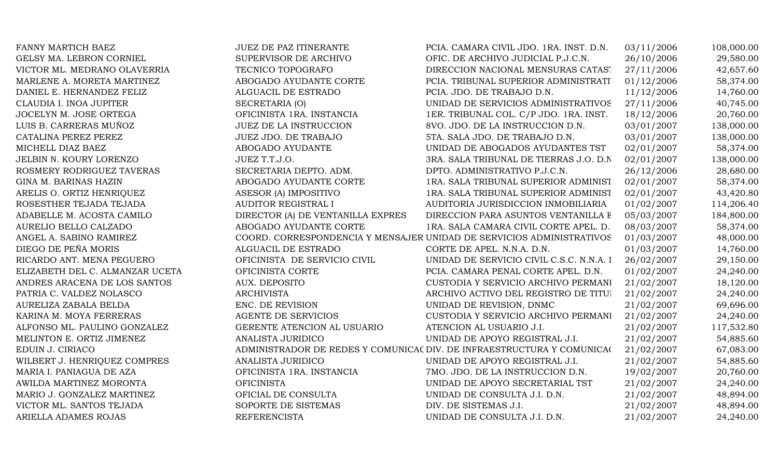| FANNY MARTICH BAEZ              | <b>JUEZ DE PAZ ITINERANTE</b>     | PCIA. CAMARA CIVIL JDO. 1RA. INST. D.N.                                | 03/11/2006 | 108,000.00 |
|---------------------------------|-----------------------------------|------------------------------------------------------------------------|------------|------------|
| GELSY MA. LEBRON CORNIEL        | SUPERVISOR DE ARCHIVO             | OFIC. DE ARCHIVO JUDICIAL P.J.C.N.                                     | 26/10/2006 | 29,580.00  |
| VICTOR ML. MEDRANO OLAVERRIA    | TECNICO TOPOGRAFO                 | DIRECCION NACIONAL MENSURAS CATAST                                     | 27/11/2006 | 42,657.60  |
| MARLENE A. MORETA MARTINEZ      | ABOGADO AYUDANTE CORTE            | PCIA. TRIBUNAL SUPERIOR ADMINISTRATI                                   | 01/12/2006 | 58,374.00  |
| DANIEL E. HERNANDEZ FELIZ       | ALGUACIL DE ESTRADO               | PCIA. JDO. DE TRABAJO D.N.                                             | 11/12/2006 | 14,760.00  |
| CLAUDIA I. INOA JUPITER         | SECRETARIA (O)                    | UNIDAD DE SERVICIOS ADMINISTRATIVOS                                    | 27/11/2006 | 40,745.00  |
| JOCELYN M. JOSE ORTEGA          | OFICINISTA 1RA. INSTANCIA         | 1ER. TRIBUNAL COL. C/P JDO. 1RA. INST.                                 | 18/12/2006 | 20,760.00  |
| LUIS B. CARRERAS MUÑOZ          | JUEZ DE LA INSTRUCCION            | 8VO. JDO. DE LA INSTRUCCION D.N.                                       | 03/01/2007 | 138,000.00 |
| CATALINA PEREZ PEREZ            | <b>JUEZ JDO. DE TRABAJO</b>       | 5TA. SALA JDO. DE TRABAJO D.N.                                         | 03/01/2007 | 138,000.00 |
| MICHELL DIAZ BAEZ               | ABOGADO AYUDANTE                  | UNIDAD DE ABOGADOS AYUDANTES TST                                       | 02/01/2007 | 58,374.00  |
| JELBIN N. KOURY LORENZO         | JUEZ T.T.J.O.                     | 3RA. SALA TRIBUNAL DE TIERRAS J.O. D.N                                 | 02/01/2007 | 138,000.00 |
| ROSMERY RODRIGUEZ TAVERAS       | SECRETARIA DEPTO. ADM.            | DPTO. ADMINISTRATIVO P.J.C.N.                                          | 26/12/2006 | 28,680.00  |
| GINA M. BARINAS HAZIN           | ABOGADO AYUDANTE CORTE            | 1RA. SALA TRIBUNAL SUPERIOR ADMINIST                                   | 02/01/2007 | 58,374.00  |
| ARELIS O. ORTIZ HENRIQUEZ       | ASESOR (A) IMPOSITIVO             | 1RA. SALA TRIBUNAL SUPERIOR ADMINIST                                   | 02/01/2007 | 43,420.80  |
| ROSESTHER TEJADA TEJADA         | AUDITOR REGISTRAL I               | AUDITORIA JURISDICCION INMOBILIARIA                                    | 01/02/2007 | 114,206.40 |
| ADABELLE M. ACOSTA CAMILO       | DIRECTOR (A) DE VENTANILLA EXPRES | DIRECCION PARA ASUNTOS VENTANILLA E                                    | 05/03/2007 | 184,800.00 |
| AURELIO BELLO CALZADO           | ABOGADO AYUDANTE CORTE            | 1RA. SALA CAMARA CIVIL CORTE APEL. D.                                  | 08/03/2007 | 58,374.00  |
| ANGEL A. SABINO RAMIREZ         |                                   | COORD. CORRESPONDENCIA Y MENSAJER UNIDAD DE SERVICIOS ADMINISTRATIVOS  | 01/03/2007 | 48,000.00  |
| DIEGO DE PEÑA MORIS             | ALGUACIL DE ESTRADO               | CORTE DE APEL. N.N.A. D.N.                                             | 01/03/2007 | 14,760.00  |
| RICARDO ANT. MENA PEGUERO       | OFICINISTA DE SERVICIO CIVIL      | UNIDAD DE SERVICIO CIVIL C.S.C. N.N.A. I                               | 26/02/2007 | 29,150.00  |
| ELIZABETH DEL C. ALMANZAR UCETA | OFICINISTA CORTE                  | PCIA. CAMARA PENAL CORTE APEL. D.N.                                    | 01/02/2007 | 24,240.00  |
| ANDRES ARACENA DE LOS SANTOS    | <b>AUX. DEPOSITO</b>              | CUSTODIA Y SERVICIO ARCHIVO PERMANI                                    | 21/02/2007 | 18,120.00  |
| PATRIA C. VALDEZ NOLASCO        | <b>ARCHIVISTA</b>                 | ARCHIVO ACTIVO DEL REGISTRO DE TITUI                                   | 21/02/2007 | 24,240.00  |
| AURELIZA ZABALA BELDA           | ENC. DE REVISION                  | UNIDAD DE REVISION, DNMC                                               | 21/02/2007 | 69,696.00  |
| KARINA M. MOYA FERRERAS         | AGENTE DE SERVICIOS               | CUSTODIA Y SERVICIO ARCHIVO PERMANI                                    | 21/02/2007 | 24,240.00  |
| ALFONSO ML. PAULINO GONZALEZ    | GERENTE ATENCION AL USUARIO       | ATENCION AL USUARIO J.I.                                               | 21/02/2007 | 117,532.80 |
| MELINTON E. ORTIZ JIMENEZ       | ANALISTA JURIDICO                 | UNIDAD DE APOYO REGISTRAL J.I.                                         | 21/02/2007 | 54,885.60  |
| EDUIN J. CIRIACO                |                                   | ADMINISTRADOR DE REDES Y COMUNICAC DIV. DE INFRAESTRUCTURA Y COMUNICA( | 21/02/2007 | 67,083.00  |
| WILBERT J. HENRIQUEZ COMPRES    | ANALISTA JURIDICO                 | UNIDAD DE APOYO REGISTRAL J.I.                                         | 21/02/2007 | 54,885.60  |
| MARIA I. PANIAGUA DE AZA        | OFICINISTA 1RA. INSTANCIA         | 7MO. JDO. DE LA INSTRUCCION D.N.                                       | 19/02/2007 | 20,760.00  |
| AWILDA MARTINEZ MORONTA         | <b>OFICINISTA</b>                 | UNIDAD DE APOYO SECRETARIAL TST                                        | 21/02/2007 | 24,240.00  |
| MARIO J. GONZALEZ MARTINEZ      | OFICIAL DE CONSULTA               | UNIDAD DE CONSULTA J.I. D.N.                                           | 21/02/2007 | 48,894.00  |
| VICTOR ML. SANTOS TEJADA        | SOPORTE DE SISTEMAS               | DIV. DE SISTEMAS J.I.                                                  | 21/02/2007 | 48,894.00  |
| ARIELLA ADAMES ROJAS            | <b>REFERENCISTA</b>               | UNIDAD DE CONSULTA J.I. D.N.                                           | 21/02/2007 | 24,240.00  |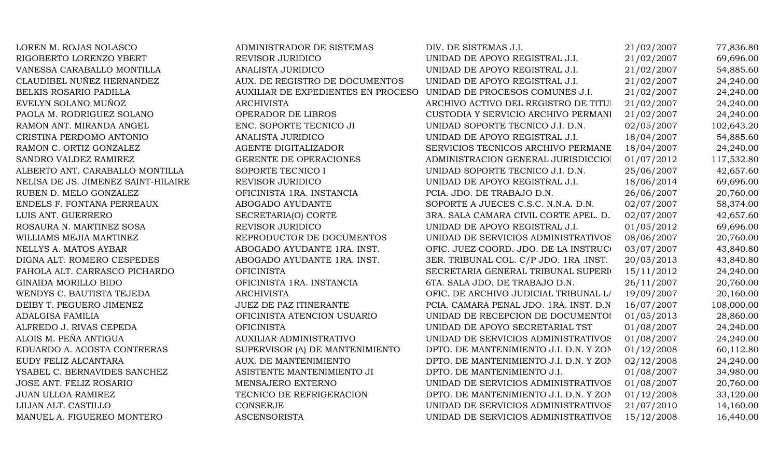| LOREN M. ROJAS NOLASCO              | ADMINISTRADOR DE SISTEMAS                                          | DIV. DE SISTEMAS J.I.                   | 21/02/2007 | 77,836.80  |
|-------------------------------------|--------------------------------------------------------------------|-----------------------------------------|------------|------------|
| RIGOBERTO LORENZO YBERT             | REVISOR JURIDICO                                                   | UNIDAD DE APOYO REGISTRAL J.I.          | 21/02/2007 | 69,696.00  |
| VANESSA CARABALLO MONTILLA          | ANALISTA JURIDICO                                                  | UNIDAD DE APOYO REGISTRAL J.I.          | 21/02/2007 | 54,885.60  |
| CLAUDIBEL NUÑEZ HERNANDEZ           | AUX. DE REGISTRO DE DOCUMENTOS                                     | UNIDAD DE APOYO REGISTRAL J.I.          | 21/02/2007 | 24,240.00  |
| BELKIS ROSARIO PADILLA              | AUXILIAR DE EXPEDIENTES EN PROCESO UNIDAD DE PROCESOS COMUNES J.I. |                                         | 21/02/2007 | 24,240.00  |
| EVELYN SOLANO MUÑOZ                 | <b>ARCHIVISTA</b>                                                  | ARCHIVO ACTIVO DEL REGISTRO DE TITUI    | 21/02/2007 | 24,240.00  |
| PAOLA M. RODRIGUEZ SOLANO           | OPERADOR DE LIBROS                                                 | CUSTODIA Y SERVICIO ARCHIVO PERMANI     | 21/02/2007 | 24,240.00  |
| RAMON ANT. MIRANDA ANGEL            | ENC. SOPORTE TECNICO JI                                            | UNIDAD SOPORTE TECNICO J.I. D.N.        | 02/05/2007 | 102,643.20 |
| CRISTINA PERDOMO ANTONIO            | ANALISTA JURIDICO                                                  | UNIDAD DE APOYO REGISTRAL J.I.          | 18/04/2007 | 54,885.60  |
| RAMON C. ORTIZ GONZALEZ             | AGENTE DIGITALIZADOR                                               | SERVICIOS TECNICOS ARCHIVO PERMANE      | 18/04/2007 | 24,240.00  |
| SANDRO VALDEZ RAMIREZ               | GERENTE DE OPERACIONES                                             | ADMINISTRACION GENERAL JURISDICCIOI     | 01/07/2012 | 117,532.80 |
| ALBERTO ANT. CARABALLO MONTILLA     | SOPORTE TECNICO I                                                  | UNIDAD SOPORTE TECNICO J.I. D.N.        | 25/06/2007 | 42,657.60  |
| NELISA DE JS. JIMENEZ SAINT-HILAIRE | REVISOR JURIDICO                                                   | UNIDAD DE APOYO REGISTRAL J.I.          | 18/06/2014 | 69,696.00  |
| RUBEN D. MELO GONZALEZ              | OFICINISTA 1RA. INSTANCIA                                          | PCIA. JDO. DE TRABAJO D.N.              | 26/06/2007 | 20,760.00  |
| ENDELS F. FONTANA PERREAUX          | ABOGADO AYUDANTE                                                   | SOPORTE A JUECES C.S.C. N.N.A. D.N.     | 02/07/2007 | 58,374.00  |
| LUIS ANT. GUERRERO                  | SECRETARIA(O) CORTE                                                | 3RA. SALA CAMARA CIVIL CORTE APEL. D.   | 02/07/2007 | 42,657.60  |
| ROSAURA N. MARTINEZ SOSA            | REVISOR JURIDICO                                                   | UNIDAD DE APOYO REGISTRAL J.I.          | 01/05/2012 | 69,696.00  |
| WILLIAMS MEJIA MARTINEZ             | REPRODUCTOR DE DOCUMENTOS                                          | UNIDAD DE SERVICIOS ADMINISTRATIVOS     | 08/06/2007 | 20,760.00  |
| NELLYS A. MATOS AYBAR               | ABOGADO AYUDANTE 1RA. INST.                                        | OFIC. JUEZ COORD. JDO. DE LA INSTRUCO   | 03/07/2007 | 43,840.80  |
| DIGNA ALT. ROMERO CESPEDES          | ABOGADO AYUDANTE 1RA. INST.                                        | 3ER. TRIBUNAL COL. C/P JDO. 1RA .INST.  | 20/05/2013 | 43,840.80  |
| FAHOLA ALT. CARRASCO PICHARDO       | <b>OFICINISTA</b>                                                  | SECRETARIA GENERAL TRIBUNAL SUPERIO     | 15/11/2012 | 24,240.00  |
| GINAIDA MORILLO BIDO                | OFICINISTA 1RA. INSTANCIA                                          | 6TA. SALA JDO. DE TRABAJO D.N.          | 26/11/2007 | 20,760.00  |
| WENDYS C. BAUTISTA TEJEDA           | <b>ARCHIVISTA</b>                                                  | OFIC. DE ARCHIVO JUDICIAL TRIBUNAL LA   | 19/09/2007 | 20,160.00  |
| DEIBY T. PEGUERO JIMENEZ            | <b>JUEZ DE PAZ ITINERANTE</b>                                      | PCIA. CAMARA PENAL JDO. 1RA. INST. D.N. | 16/07/2007 | 108,000.00 |
| <b>ADALGISA FAMILIA</b>             | OFICINISTA ATENCION USUARIO                                        | UNIDAD DE RECEPCION DE DOCUMENTOS       | 01/05/2013 | 28,860.00  |
| ALFREDO J. RIVAS CEPEDA             | <b>OFICINISTA</b>                                                  | UNIDAD DE APOYO SECRETARIAL TST         | 01/08/2007 | 24,240.00  |
| ALOIS M. PEÑA ANTIGUA               | <b>AUXILIAR ADMINISTRATIVO</b>                                     | UNIDAD DE SERVICIOS ADMINISTRATIVOS     | 01/08/2007 | 24,240.00  |
| EDUARDO A. ACOSTA CONTRERAS         | SUPERVISOR (A) DE MANTENIMIENTO                                    | DPTO. DE MANTENIMIENTO J.I. D.N. Y ZON  | 01/12/2008 | 60,112.80  |
| EUDY FELIZ ALCANTARA                | AUX. DE MANTENIMIENTO                                              | DPTO. DE MANTENIMIENTO J.I. D.N. Y ZON  | 02/12/2008 | 24,240.00  |
| YSABEL C. BERNAVIDES SANCHEZ        | ASISTENTE MANTENIMIENTO JI                                         | DPTO. DE MANTENIMIENTO J.I.             | 01/08/2007 | 34,980.00  |
| <b>JOSE ANT. FELIZ ROSARIO</b>      | MENSAJERO EXTERNO                                                  | UNIDAD DE SERVICIOS ADMINISTRATIVOS     | 01/08/2007 | 20,760.00  |
| <b>JUAN ULLOA RAMIREZ</b>           | TECNICO DE REFRIGERACION                                           | DPTO. DE MANTENIMIENTO J.I. D.N. Y ZON  | 01/12/2008 | 33,120.00  |
| LILIAN ALT. CASTILLO                | <b>CONSERJE</b>                                                    | UNIDAD DE SERVICIOS ADMINISTRATIVOS     | 21/07/2010 | 14,160.00  |
| MANUEL A. FIGUEREO MONTERO          | <b>ASCENSORISTA</b>                                                | UNIDAD DE SERVICIOS ADMINISTRATIVOS     | 15/12/2008 | 16,440.00  |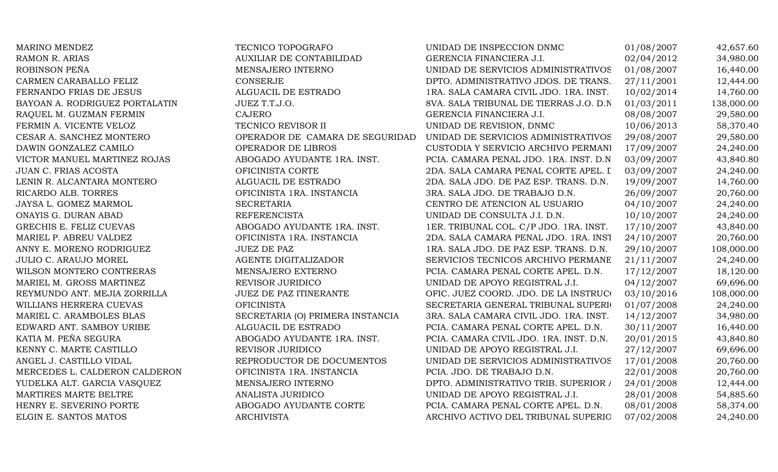| <b>MARINO MENDEZ</b>           | TECNICO TOPOGRAFO                | UNIDAD DE INSPECCION DNMC               | 01/08/2007 | 42,657.60  |
|--------------------------------|----------------------------------|-----------------------------------------|------------|------------|
| <b>RAMON R. ARIAS</b>          | <b>AUXILIAR DE CONTABILIDAD</b>  | GERENCIA FINANCIERA J.I.                | 02/04/2012 | 34,980.00  |
| ROBINSON PEÑA                  | MENSAJERO INTERNO                | UNIDAD DE SERVICIOS ADMINISTRATIVOS     | 01/08/2007 | 16,440.00  |
| CARMEN CARABALLO FELIZ         | CONSERJE                         | DPTO. ADMINISTRATIVO JDOS. DE TRANS.    | 27/11/2001 | 12,444.00  |
| FERNANDO FRIAS DE JESUS        | ALGUACIL DE ESTRADO              | 1RA. SALA CAMARA CIVIL JDO. 1RA. INST.  | 10/02/2014 | 14,760.00  |
| BAYOAN A. RODRIGUEZ PORTALATIN | JUEZ T.T.J.O.                    | 8VA. SALA TRIBUNAL DE TIERRAS J.O. D.N  | 01/03/2011 | 138,000.00 |
| RAQUEL M. GUZMAN FERMIN        | <b>CAJERO</b>                    | GERENCIA FINANCIERA J.I.                | 08/08/2007 | 29,580.00  |
| FERMIN A. VICENTE VELOZ        | TECNICO REVISOR II               | UNIDAD DE REVISION, DNMC                | 10/06/2013 | 58,370.40  |
| CESAR A. SANCHEZ MONTERO       | OPERADOR DE CAMARA DE SEGURIDAD  | UNIDAD DE SERVICIOS ADMINISTRATIVOS     | 29/08/2007 | 29,580.00  |
| DAWIN GONZALEZ CAMILO          | OPERADOR DE LIBROS               | CUSTODIA Y SERVICIO ARCHIVO PERMANI     | 17/09/2007 | 24,240.00  |
| VICTOR MANUEL MARTINEZ ROJAS   | ABOGADO AYUDANTE 1RA. INST.      | PCIA. CAMARA PENAL JDO. 1RA. INST. D.N. | 03/09/2007 | 43,840.80  |
| JUAN C. FRIAS ACOSTA           | OFICINISTA CORTE                 | 2DA. SALA CAMARA PENAL CORTE APEL. I    | 03/09/2007 | 24,240.00  |
| LENIN R. ALCANTARA MONTERO     | ALGUACIL DE ESTRADO              | 2DA. SALA JDO. DE PAZ ESP. TRANS. D.N.  | 19/09/2007 | 14,760.00  |
| RICARDO ALB. TORRES            | OFICINISTA 1RA. INSTANCIA        | 3RA. SALA JDO. DE TRABAJO D.N.          | 26/09/2007 | 20,760.00  |
| JAYSA L. GOMEZ MARMOL          | <b>SECRETARIA</b>                | CENTRO DE ATENCION AL USUARIO           | 04/10/2007 | 24,240.00  |
| ONAYIS G. DURAN ABAD           | <b>REFERENCISTA</b>              | UNIDAD DE CONSULTA J.I. D.N.            | 10/10/2007 | 24,240.00  |
| GRECHIS E. FELIZ CUEVAS        | ABOGADO AYUDANTE 1RA. INST.      | 1ER. TRIBUNAL COL. C/P JDO. 1RA. INST.  | 17/10/2007 | 43,840.00  |
| MARIEL P. ABREU VALDEZ         | OFICINISTA 1RA. INSTANCIA        | 2DA. SALA CAMARA PENAL JDO. 1RA. INST   | 24/10/2007 | 20,760.00  |
| ANNY E. MORENO RODRIGUEZ       | <b>JUEZ DE PAZ</b>               | 1RA. SALA JDO. DE PAZ ESP. TRANS. D.N.  | 29/10/2007 | 108,000.00 |
| <b>JULIO C. ARAUJO MOREL</b>   | AGENTE DIGITALIZADOR             | SERVICIOS TECNICOS ARCHIVO PERMANE      | 21/11/2007 | 24,240.00  |
| WILSON MONTERO CONTRERAS       | MENSAJERO EXTERNO                | PCIA. CAMARA PENAL CORTE APEL. D.N.     | 17/12/2007 | 18,120.00  |
| MARIEL M. GROSS MARTINEZ       | REVISOR JURIDICO                 | UNIDAD DE APOYO REGISTRAL J.I.          | 04/12/2007 | 69,696.00  |
| REYMUNDO ANT. MEJIA ZORRILLA   | <b>JUEZ DE PAZ ITINERANTE</b>    | OFIC. JUEZ COORD. JDO. DE LA INSTRUCO   | 03/10/2016 | 108,000.00 |
| WILLIANS HERRERA CUEVAS        | <b>OFICINISTA</b>                | SECRETARIA GENERAL TRIBUNAL SUPERIO     | 01/07/2008 | 24,240.00  |
| MARIEL C. ARAMBOLES BLAS       | SECRETARIA (O) PRIMERA INSTANCIA | 3RA. SALA CAMARA CIVIL JDO. 1RA. INST.  | 14/12/2007 | 34,980.00  |
| EDWARD ANT. SAMBOY URIBE       | ALGUACIL DE ESTRADO              | PCIA. CAMARA PENAL CORTE APEL. D.N.     | 30/11/2007 | 16,440.00  |
| KATIA M. PEÑA SEGURA           | ABOGADO AYUDANTE 1RA. INST.      | PCIA. CAMARA CIVIL JDO. 1RA. INST. D.N. | 20/01/2015 | 43,840.80  |
| KENNY C. MARTE CASTILLO        | REVISOR JURIDICO                 | UNIDAD DE APOYO REGISTRAL J.I.          | 27/12/2007 | 69,696.00  |
| ANGEL J. CASTILLO VIDAL        | REPRODUCTOR DE DOCUMENTOS        | UNIDAD DE SERVICIOS ADMINISTRATIVOS     | 17/01/2008 | 20,760.00  |
| MERCEDES L. CALDERON CALDERON  | OFICINISTA 1RA. INSTANCIA        | PCIA. JDO. DE TRABAJO D.N.              | 22/01/2008 | 20,760.00  |
| YUDELKA ALT. GARCIA VASQUEZ    | MENSAJERO INTERNO                | DPTO. ADMINISTRATIVO TRIB. SUPERIOR /   | 24/01/2008 | 12,444.00  |
| MARTIRES MARTE BELTRE          | ANALISTA JURIDICO                | UNIDAD DE APOYO REGISTRAL J.I.          | 28/01/2008 | 54,885.60  |
| HENRY E. SEVERINO PORTE        | ABOGADO AYUDANTE CORTE           | PCIA. CAMARA PENAL CORTE APEL. D.N.     | 08/01/2008 | 58,374.00  |
| ELGIN E. SANTOS MATOS          | <b>ARCHIVISTA</b>                | ARCHIVO ACTIVO DEL TRIBUNAL SUPERIO     | 07/02/2008 | 24,240.00  |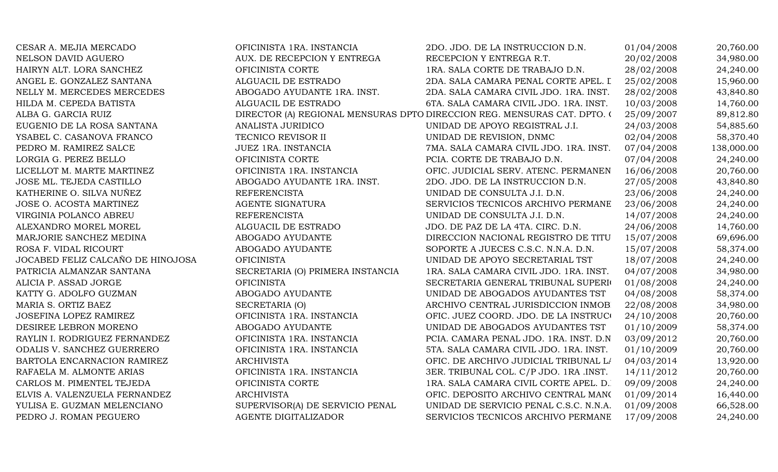| CESAR A. MEJIA MERCADO            | OFICINISTA 1RA. INSTANCIA        | 2DO. JDO. DE LA INSTRUCCION D.N.                                         | 01/04/2008 | 20,760.00  |
|-----------------------------------|----------------------------------|--------------------------------------------------------------------------|------------|------------|
| NELSON DAVID AGUERO               | AUX. DE RECEPCION Y ENTREGA      | RECEPCION Y ENTREGA R.T.                                                 | 20/02/2008 | 34,980.00  |
| HAIRYN ALT. LORA SANCHEZ          | OFICINISTA CORTE                 | 1RA. SALA CORTE DE TRABAJO D.N.                                          | 28/02/2008 | 24,240.00  |
| ANGEL E. GONZALEZ SANTANA         | ALGUACIL DE ESTRADO              | 2DA. SALA CAMARA PENAL CORTE APEL. I                                     | 25/02/2008 | 15,960.00  |
| NELLY M. MERCEDES MERCEDES        | ABOGADO AYUDANTE 1RA. INST.      | 2DA. SALA CAMARA CIVIL JDO. 1RA. INST.                                   | 28/02/2008 | 43,840.80  |
| HILDA M. CEPEDA BATISTA           | ALGUACIL DE ESTRADO              | 6TA. SALA CAMARA CIVIL JDO. 1RA. INST.                                   | 10/03/2008 | 14,760.00  |
| ALBA G. GARCIA RUIZ               |                                  | DIRECTOR (A) REGIONAL MENSURAS DPTO DIRECCION REG. MENSURAS CAT. DPTO. ( | 25/09/2007 | 89,812.80  |
| EUGENIO DE LA ROSA SANTANA        | ANALISTA JURIDICO                | UNIDAD DE APOYO REGISTRAL J.I.                                           | 24/03/2008 | 54,885.60  |
| YSABEL C. CASANOVA FRANCO         | TECNICO REVISOR II               | UNIDAD DE REVISION, DNMC                                                 | 02/04/2008 | 58,370.40  |
| PEDRO M. RAMIREZ SALCE            | JUEZ 1RA. INSTANCIA              | 7MA. SALA CAMARA CIVIL JDO. 1RA. INST.                                   | 07/04/2008 | 138,000.00 |
| LORGIA G. PEREZ BELLO             | OFICINISTA CORTE                 | PCIA. CORTE DE TRABAJO D.N.                                              | 07/04/2008 | 24,240.00  |
| LICELLOT M. MARTE MARTINEZ        | OFICINISTA 1RA. INSTANCIA        | OFIC. JUDICIAL SERV. ATENC. PERMANEN                                     | 16/06/2008 | 20,760.00  |
| JOSE ML. TEJEDA CASTILLO          | ABOGADO AYUDANTE 1RA. INST.      | 2DO. JDO. DE LA INSTRUCCION D.N.                                         | 27/05/2008 | 43,840.80  |
| KATHERINE O. SILVA NUÑEZ          | <b>REFERENCISTA</b>              | UNIDAD DE CONSULTA J.I. D.N.                                             | 23/06/2008 | 24,240.00  |
| JOSE O. ACOSTA MARTINEZ           | AGENTE SIGNATURA                 | SERVICIOS TECNICOS ARCHIVO PERMANE                                       | 23/06/2008 | 24,240.00  |
| VIRGINIA POLANCO ABREU            | <b>REFERENCISTA</b>              | UNIDAD DE CONSULTA J.I. D.N.                                             | 14/07/2008 | 24,240.00  |
| ALEXANDRO MOREL MOREL             | ALGUACIL DE ESTRADO              | JDO. DE PAZ DE LA 4TA. CIRC. D.N.                                        | 24/06/2008 | 14,760.00  |
| MARJORIE SANCHEZ MEDINA           | ABOGADO AYUDANTE                 | DIRECCION NACIONAL REGISTRO DE TITU                                      | 15/07/2008 | 69,696.00  |
| ROSA F. VIDAL RICOURT             | ABOGADO AYUDANTE                 | SOPORTE A JUECES C.S.C. N.N.A. D.N.                                      | 15/07/2008 | 58,374.00  |
| JOCABED FELIZ CALCAÑO DE HINOJOSA | <b>OFICINISTA</b>                | UNIDAD DE APOYO SECRETARIAL TST                                          | 18/07/2008 | 24,240.00  |
| PATRICIA ALMANZAR SANTANA         | SECRETARIA (O) PRIMERA INSTANCIA | 1RA. SALA CAMARA CIVIL JDO. 1RA. INST.                                   | 04/07/2008 | 34,980.00  |
| ALICIA P. ASSAD JORGE             | <b>OFICINISTA</b>                | SECRETARIA GENERAL TRIBUNAL SUPERIO                                      | 01/08/2008 | 24,240.00  |
| KATTY G. ADOLFO GUZMAN            | ABOGADO AYUDANTE                 | UNIDAD DE ABOGADOS AYUDANTES TST                                         | 04/08/2008 | 58,374.00  |
| MARIA S. ORTIZ BAEZ               | SECRETARIA (O)                   | ARCHIVO CENTRAL JURISDICCION INMOB                                       | 22/08/2008 | 34,980.00  |
| JOSEFINA LOPEZ RAMIREZ            | OFICINISTA 1RA. INSTANCIA        | OFIC. JUEZ COORD. JDO. DE LA INSTRUCO                                    | 24/10/2008 | 20,760.00  |
| DESIREE LEBRON MORENO             | ABOGADO AYUDANTE                 | UNIDAD DE ABOGADOS AYUDANTES TST                                         | 01/10/2009 | 58,374.00  |
| RAYLIN I. RODRIGUEZ FERNANDEZ     | OFICINISTA 1RA. INSTANCIA        | PCIA. CAMARA PENAL JDO. 1RA. INST. D.N                                   | 03/09/2012 | 20,760.00  |
| ODALIS V. SANCHEZ GUERRERO        | OFICINISTA 1RA. INSTANCIA        | 5TA. SALA CAMARA CIVIL JDO. 1RA. INST.                                   | 01/10/2009 | 20,760.00  |
| BARTOLA ENCARNACION RAMIREZ       | <b>ARCHIVISTA</b>                | OFIC. DE ARCHIVO JUDICIAL TRIBUNAL LA                                    | 04/03/2014 | 13,920.00  |
| RAFAELA M. ALMONTE ARIAS          | OFICINISTA 1RA. INSTANCIA        | 3ER. TRIBUNAL COL. C/P JDO. 1RA .INST.                                   | 14/11/2012 | 20,760.00  |
| CARLOS M. PIMENTEL TEJEDA         | OFICINISTA CORTE                 | 1RA. SALA CAMARA CIVIL CORTE APEL. D.                                    | 09/09/2008 | 24,240.00  |
| ELVIS A. VALENZUELA FERNANDEZ     | <b>ARCHIVISTA</b>                | OFIC. DEPOSITO ARCHIVO CENTRAL MANO                                      | 01/09/2014 | 16,440.00  |
| YULISA E. GUZMAN MELENCIANO       | SUPERVISOR(A) DE SERVICIO PENAL  | UNIDAD DE SERVICIO PENAL C.S.C. N.N.A.                                   | 01/09/2008 | 66,528.00  |
| PEDRO J. ROMAN PEGUERO            | <b>AGENTE DIGITALIZADOR</b>      | SERVICIOS TECNICOS ARCHIVO PERMANE                                       | 17/09/2008 | 24,240.00  |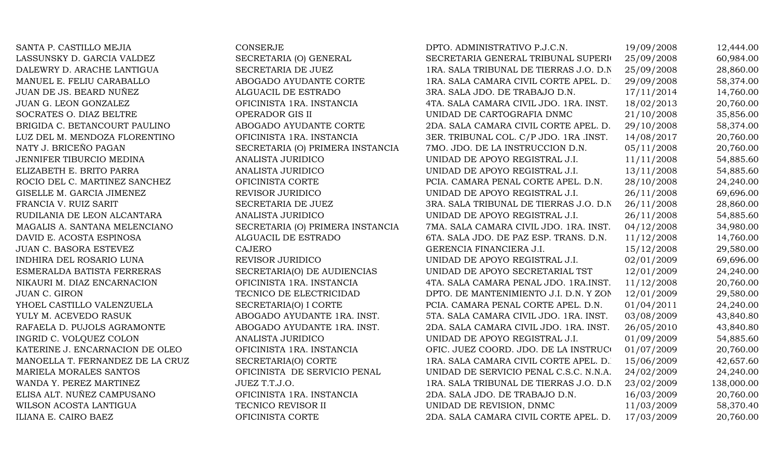SANTA P. CASTILLO MEJIA CONSERJE LASSUNSKY D. GARCIA VALDEZ SECRETARIA (O) GENERAL DALEWRY D. ARACHE LANTIGUA SECRETARIA DE JUEZ MANUEL E. FELIU CARABALLO ABOGADO AYUDANTE CORTE JUAN DE JS. BEARD NUÑEZ ALGUACIL DE ESTRADO JUAN G. LEON GONZALEZ OFICINISTA 1RA. INSTANCIA SOCRATES O. DIAZ BELTRE **OPERADOR GIS II** BRIGIDA C. BETANCOURT PAULINO ABOGADO AYUDANTE CORTE LUZ DEL M. MENDOZA FLORENTINO OFICINISTA 1RA. INSTANCIA NATY J. BRICEÑO PAGAN SECRETARIA (O) PRIMERA INSTANCIA JENNIFER TIBURCIO MEDINA ANALISTA JURIDICO ELIZABETH E. BRITO PARRA ANALISTA JURIDICO ROCIO DEL C. MARTINEZ SANCHEZ **EL CAMARA PENAL CORTE PENAL CORTE** GISELLE M. GARCIA JIMENEZ REVISOR JURIDICO FRANCIA V. RUIZ SARIT SECRETARIA DE JUEZ RUDILANIA DE LEON ALCANTARA ANALISTA JURIDICO MAGALIS A. SANTANA MELENCIANO SECRETARIA (O) PRIMERA INSTANCIA DAVID E. ACOSTA ESPINOSA ALGUACIL DE ESTRADO JUAN C. BASORA ESTEVEZ CAJERO INDHIRA DEL ROSARIO LUNA REVISOR JURIDICO ESMERALDA BATISTA FERRERAS SECRETARIA(O) DE AUDIENCIAS NIKAURI M. DIAZ ENCARNACION OFICINISTA 1RA. INSTANCIA JUAN C. GIRON TECNICO DE ELECTRICIDAD YHOEL CASTILLO VALENZUELA SECRETARIA(O) I CORTE YULY M. ACEVEDO RASUK ABOGADO AYUDANTE 1RA. INST. RAFAELA D. PUJOLS AGRAMONTE ABOGADO AYUDANTE 1RA. INST. INGRID C. VOLQUEZ COLON ANALISTA JURIDICO KATERINE J. ENCARNACION DE OLEO OFICINISTA 1RA. INSTANCIA MANOELLA T. FERNANDEZ DE LA CRUZ SECRETARIA(O) CORTE MARIELA MORALES SANTOS OFICINISTA DE SERVICIO PENAL WANDA Y. PEREZ MARTINEZ JUEZ T.T.J.O. ELISA ALT. NUÑEZ CAMPUSANO **OFICINISTA 1RA. INSTANCIA** WILSON ACOSTA LANTIGUA TECNICO REVISOR II ILIANA E. CAIRO BAEZ OFICINISTA CORTE 2009 2009 2012

| DPTO. ADMINISTRATIVO P.J.C.N.          | 19/09/2008 | 12,444.00  |
|----------------------------------------|------------|------------|
| SECRETARIA GENERAL TRIBUNAL SUPERIO    | 25/09/2008 | 60,984.00  |
| 1RA. SALA TRIBUNAL DE TIERRAS J.O. D.N | 25/09/2008 | 28,860.00  |
| 1RA. SALA CAMARA CIVIL CORTE APEL. D.  | 29/09/2008 | 58,374.00  |
| 3RA. SALA JDO. DE TRABAJO D.N.         | 17/11/2014 | 14,760.00  |
| 4TA. SALA CAMARA CIVIL JDO. 1RA. INST. | 18/02/2013 | 20,760.00  |
| UNIDAD DE CARTOGRAFIA DNMC             | 21/10/2008 | 35,856.00  |
| 2DA. SALA CAMARA CIVIL CORTE APEL. D.  | 29/10/2008 | 58,374.00  |
| 3ER. TRIBUNAL COL. C/P JDO. 1RA .INST. | 14/08/2017 | 20,760.00  |
| 7MO. JDO. DE LA INSTRUCCION D.N.       | 05/11/2008 | 20,760.00  |
| UNIDAD DE APOYO REGISTRAL J.I.         | 11/11/2008 | 54,885.60  |
| UNIDAD DE APOYO REGISTRAL J.I.         | 13/11/2008 | 54,885.60  |
| PCIA. CAMARA PENAL CORTE APEL. D.N.    | 28/10/2008 | 24,240.00  |
| UNIDAD DE APOYO REGISTRAL J.I.         | 26/11/2008 | 69,696.00  |
| 3RA. SALA TRIBUNAL DE TIERRAS J.O. D.N | 26/11/2008 | 28,860.00  |
| UNIDAD DE APOYO REGISTRAL J.I.         | 26/11/2008 | 54,885.60  |
| 7MA. SALA CAMARA CIVIL JDO. 1RA. INST. | 04/12/2008 | 34,980.00  |
| 6TA. SALA JDO. DE PAZ ESP. TRANS. D.N. | 11/12/2008 | 14,760.00  |
| GERENCIA FINANCIERA J.I.               | 15/12/2008 | 29,580.00  |
| UNIDAD DE APOYO REGISTRAL J.I.         | 02/01/2009 | 69,696.00  |
| UNIDAD DE APOYO SECRETARIAL TST        | 12/01/2009 | 24,240.00  |
| 4TA. SALA CAMARA PENAL JDO. 1RA.INST.  | 11/12/2008 | 20,760.00  |
| DPTO. DE MANTENIMIENTO J.I. D.N. Y ZON | 12/01/2009 | 29,580.00  |
| PCIA. CAMARA PENAL CORTE APEL. D.N.    | 01/04/2011 | 24,240.00  |
| 5TA. SALA CAMARA CIVIL JDO. 1RA. INST. | 03/08/2009 | 43,840.80  |
| 2DA. SALA CAMARA CIVIL JDO. 1RA. INST. | 26/05/2010 | 43,840.80  |
| UNIDAD DE APOYO REGISTRAL J.I.         | 01/09/2009 | 54,885.60  |
| OFIC. JUEZ COORD. JDO. DE LA INSTRUCO  | 01/07/2009 | 20,760.00  |
| 1RA. SALA CAMARA CIVIL CORTE APEL. D.  | 15/06/2009 | 42,657.60  |
| UNIDAD DE SERVICIO PENAL C.S.C. N.N.A. | 24/02/2009 | 24,240.00  |
| 1RA. SALA TRIBUNAL DE TIERRAS J.O. D.N | 23/02/2009 | 138,000.00 |
| 2DA. SALA JDO. DE TRABAJO D.N.         | 16/03/2009 | 20,760.00  |
| UNIDAD DE REVISION, DNMC               | 11/03/2009 | 58,370.40  |
| 2DA. SALA CAMARA CIVIL CORTE APEL. D.  | 17/03/2009 | 20,760.00  |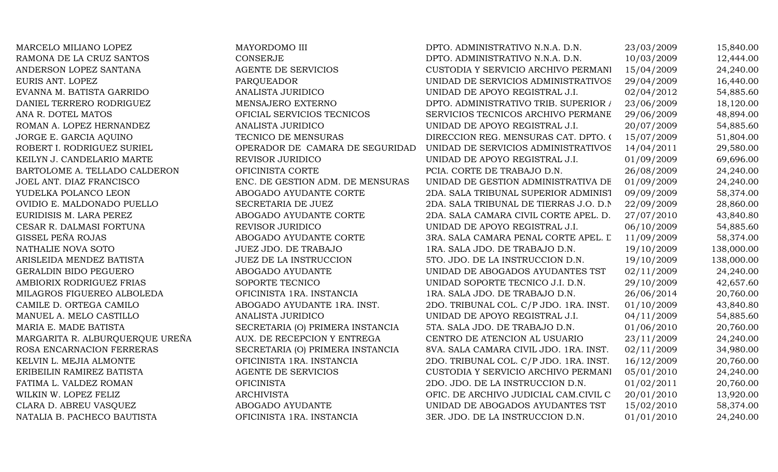MARCELO MILIANO LOPEZ MAYORDOMO III DPTO. ADMINISTRATIVO N.N.A. D.N. 23/03/2009 15,840.00 RAMONA DE LA CRUZ SANTOS CONSERJE CONSERUE DPTO. ADMINISTRATIVO N.N.A. D.N. 10/03/2009 12,444.00 ANDERSON LOPEZ SANTANA AGENTE DE SERVICIOS CUSTODIA Y SERVICIO ARCHIVO PERMANI 15/04/2009 24,240.00 EURIS ANT. LOPEZ CHECH CHAROUEADOR PAROUEADOR UNIDAD DE SERVICIOS ADMINISTRATIVOS 29/04/2009 16.440.00 EVANNA M. BATISTA GARRIDO ANALISTA JURIDICO UNIDAD DE APOYO REGISTRAL J.I. 02/04/2012 54,885.60 DANIEL TERRERO RODRIGUEZ MENSAJERO EXTERNO DPTO. ADMINISTRATIVO TRIB. SUPERIOR A 23/06/2009 18,120.00 ANA R. DOTEL MATOS CHOROS OFICIAL SERVICIOS TECNICOS SERVICIOS TECNICOS ARCHIVO PERMANE 29/06/2009 48,894.00 ROMAN A. LOPEZ HERNANDEZ ANALISTA JURIDICO UNIDAD DE APOYO REGISTRAL J.I. 20/07/2009 54,885.60 JORGE E. GARCIA AQUINO TECNICO DE MENSURAS DIRECCION REG. MENSURAS CAT. DPTO. (15/07/2009 51,804.00 ROBERT I. RODRIGUEZ SURIEL OPERADOR DE CAMARA DE SEGURIDAD UNIDAD DE SERVICIOS ADMINISTRATIVOS 14/04/2011 29,580.00 KEILYN J. CANDELARIO MARTE REVISOR JURIDICO WELLYN J.I. 01/09/2009 69,696.00 BARTOLOME A. TELLADO CALDERON **OFICINISTA CORTE** PCIA. CORTE DE TRABAJO D.N. 26/08/2009 24,240.00 JOEL ANT. DIAZ FRANCISCO **ENC. DE GESTION ADM. DE MENSURAS** UNIDAD DE GESTION ADMINISTRATIVA DE 01/09/2009 24,240.00 YUDELKA POLANCO LEON ANGGADO AYUDANTE CORTE 2DA. SALA TRIBUNAL SUPERIOR ADMINIST 09/09/2009 58,374.00 OVIDIO E. MALDONADO PUELLO SECRETARIA DE JUEZ 2DA. SALA TRIBUNAL DE TIERRAS J.O. D.N. 22/09/2009 28,860.00 EURIDISIS M. LARA PEREZ ABOGADO AYUDANTE CORTE 2DA. SALA CAMARA CIVIL CORTE APEL. D. 27/07/2010 43,840.80 CESAR R. DALMASI FORTUNA REVISOR JURIDICO UNIDAD DE APOYO REGISTRAL J.I. 06/10/2009 54,885.60 GISSEL PEÑA ROJAS ABOGADO AYUDANTE CORTE 3RA. SALA CAMARA PENAL CORTE APEL. L. 11/09/2009 58,374.00 NATHALIE NOVA SOTO SUMEZ JDO. DE TRABAJO 18. SALA JDO. DE TRABAJO D.N. 19/10/2009 138,000.00 ARISLEIDA MENDEZ BATISTA JUEZ DE LA INSTRUCCION 5TO. JDO. DE LA INSTRUCCION D.N. 19/10/2009 138,000.00 GERALDIN BIDO PEGUERO  $\sim$  ABOGADO AYUDANTE UNIDAD DE ABOGADOS AYUDANTES TST 02/11/2009 24.240.00 AMBIORIX RODRIGUEZ FRIAS SOPORTE TECNICO SOPORTE TECNICO UNIDAD SOPORTE TECNICO J.I. D.N. 29/10/2009 42,657.60 MILAGROS FIGUEREO ALBOLEDA OFICINISTA 1RA. INSTANCIA 1RA. SALA JDO. DE TRABAJO D.N. 26/06/2014 20,760.00 CAMILE D. ORTEGA CAMILO **ABOGADO AYUDANTE 1RA. INST.** 2DO. TRIBUNAL COL. C/P JDO. 1RA. INST. 01/10/2009 43.840.80 MANUEL A. MELO CASTILLO ANALISTA JURIDICO MUNIDAD DE APOYO REGISTRAL J.I. 04/11/2009 54,885.60 MARIA E. MADE BATISTA SECRETARIA (O) PRIMERA INSTANCIA 5TA. SALA JDO. DE TRABAJO D.N. 01/06/2010 20,760.00 MARGARITA R. ALBURQUERQUE UREÑA AUX. DE RECEPCION Y ENTREGA CENTRO DE ATENCION AL USUARIO 23/11/2009 24,240.00 ROSA ENCARNACION FERRERAS SECRETARIA (O) PRIMERA INSTANCIA 8VA. SALA CAMARA CIVIL JDO. 1RA. INST. 02/11/2009 34,980.00 KELVIN L. MEJIA ALMONTE **OFICINISTA 1RA. INSTANCIA** 2DO. TRIBUNAL COL. C/P JDO. 1RA. INST. 16/12/2009 20,760.00 ERIBEILIN RAMIREZ BATISTA **AGENTE DE SERVICIOS** CUSTODIA Y SERVICIO ARCHIVO PERMANI 05/01/2010 24,240.00 FATIMA L. VALDEZ ROMAN CHE CONSTRA CONSTRUCCION D.N. 01/02/2011 20,760.00 WILKIN W. LOPEZ FELIZ ARCHIVISTA ARCHIVISTA OFIC. DE ARCHIVO JUDICIAL CAM.CIVIL C 20/01/2010 13,920.00 CLARA D. ABREU VASQUEZ ABOGADO AYUDANTE UNIDAD DE ABOGADOS AYUDANTES TST 15/02/2010 58,374.00 NATALIA B. PACHECO BAUTISTA OFICINISTA 1RA. INSTANCIA 3ER. JDO. DE LA INSTRUCCION D.N. 01/01/2010 24,240.00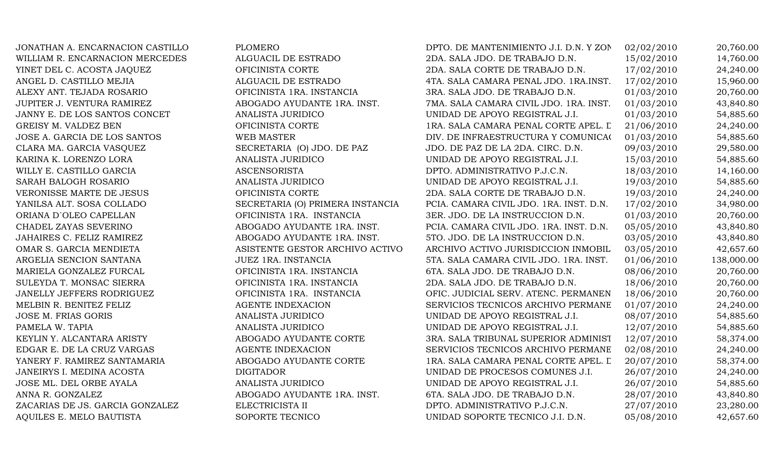| JONATHAN A. ENCARNACION CASTILLO | PLOMERO                          | DPTO. DE MANTENIMIENTO J.I. D.N. Y ZON  | 02/02/2010 | 20,760.00  |
|----------------------------------|----------------------------------|-----------------------------------------|------------|------------|
| WILLIAM R. ENCARNACION MERCEDES  | ALGUACIL DE ESTRADO              | 2DA. SALA JDO. DE TRABAJO D.N.          | 15/02/2010 | 14,760.00  |
| YINET DEL C. ACOSTA JAQUEZ       | OFICINISTA CORTE                 | 2DA. SALA CORTE DE TRABAJO D.N.         | 17/02/2010 | 24,240.00  |
| ANGEL D. CASTILLO MEJIA          | ALGUACIL DE ESTRADO              | 4TA. SALA CAMARA PENAL JDO. 1RA.INST.   | 17/02/2010 | 15,960.00  |
| ALEXY ANT. TEJADA ROSARIO        | OFICINISTA 1RA. INSTANCIA        | 3RA. SALA JDO. DE TRABAJO D.N.          | 01/03/2010 | 20,760.00  |
| JUPITER J. VENTURA RAMIREZ       | ABOGADO AYUDANTE 1RA. INST.      | 7MA. SALA CAMARA CIVIL JDO. 1RA. INST.  | 01/03/2010 | 43,840.80  |
| JANNY E. DE LOS SANTOS CONCET    | ANALISTA JURIDICO                | UNIDAD DE APOYO REGISTRAL J.I.          | 01/03/2010 | 54,885.60  |
| GREISY M. VALDEZ BEN             | OFICINISTA CORTE                 | 1RA. SALA CAMARA PENAL CORTE APEL. L    | 21/06/2010 | 24,240.00  |
| JOSE A. GARCIA DE LOS SANTOS     | WEB MASTER                       | DIV. DE INFRAESTRUCTURA Y COMUNICA(     | 01/03/2010 | 54,885.60  |
| CLARA MA. GARCIA VASQUEZ         | SECRETARIA (O) JDO. DE PAZ       | JDO. DE PAZ DE LA 2DA. CIRC. D.N.       | 09/03/2010 | 29,580.00  |
| KARINA K. LORENZO LORA           | ANALISTA JURIDICO                | UNIDAD DE APOYO REGISTRAL J.I.          | 15/03/2010 | 54,885.60  |
| WILLY E. CASTILLO GARCIA         | <b>ASCENSORISTA</b>              | DPTO. ADMINISTRATIVO P.J.C.N.           | 18/03/2010 | 14,160.00  |
| SARAH BALOGH ROSARIO             | ANALISTA JURIDICO                | UNIDAD DE APOYO REGISTRAL J.I.          | 19/03/2010 | 54,885.60  |
| VERONISSE MARTE DE JESUS         | OFICINISTA CORTE                 | 2DA. SALA CORTE DE TRABAJO D.N.         | 19/03/2010 | 24,240.00  |
| YANILSA ALT. SOSA COLLADO        | SECRETARIA (O) PRIMERA INSTANCIA | PCIA. CAMARA CIVIL JDO. 1RA. INST. D.N. | 17/02/2010 | 34,980.00  |
| ORIANA D'OLEO CAPELLAN           | OFICINISTA 1RA. INSTANCIA        | 3ER. JDO. DE LA INSTRUCCION D.N.        | 01/03/2010 | 20,760.00  |
| CHADEL ZAYAS SEVERINO            | ABOGADO AYUDANTE 1RA. INST.      | PCIA. CAMARA CIVIL JDO. 1RA. INST. D.N. | 05/05/2010 | 43,840.80  |
| JAHAIRES C. FELIZ RAMIREZ        | ABOGADO AYUDANTE 1RA. INST.      | 5TO. JDO. DE LA INSTRUCCION D.N.        | 03/05/2010 | 43,840.80  |
| OMAR S. GARCIA MENDIETA          | ASISTENTE GESTOR ARCHIVO ACTIVO  | ARCHIVO ACTIVO JURISDICCION INMOBIL     | 03/05/2010 | 42,657.60  |
| ARGELIA SENCION SANTANA          | JUEZ 1RA. INSTANCIA              | 5TA. SALA CAMARA CIVIL JDO. 1RA. INST.  | 01/06/2010 | 138,000.00 |
| MARIELA GONZALEZ FURCAL          | OFICINISTA 1RA. INSTANCIA        | 6TA. SALA JDO. DE TRABAJO D.N.          | 08/06/2010 | 20,760.00  |
| SULEYDA T. MONSAC SIERRA         | OFICINISTA 1RA. INSTANCIA        | 2DA. SALA JDO. DE TRABAJO D.N.          | 18/06/2010 | 20,760.00  |
| JANELLY JEFFERS RODRIGUEZ        | OFICINISTA 1RA. INSTANCIA        | OFIC. JUDICIAL SERV. ATENC. PERMANEN    | 18/06/2010 | 20,760.00  |
| MELBIN R. BENITEZ FELIZ          | <b>AGENTE INDEXACION</b>         | SERVICIOS TECNICOS ARCHIVO PERMANE      | 01/07/2010 | 24,240.00  |
| JOSE M. FRIAS GORIS              | ANALISTA JURIDICO                | UNIDAD DE APOYO REGISTRAL J.I.          | 08/07/2010 | 54,885.60  |
| PAMELA W. TAPIA                  | ANALISTA JURIDICO                | UNIDAD DE APOYO REGISTRAL J.I.          | 12/07/2010 | 54,885.60  |
| KEYLIN Y. ALCANTARA ARISTY       | ABOGADO AYUDANTE CORTE           | 3RA. SALA TRIBUNAL SUPERIOR ADMINIST    | 12/07/2010 | 58,374.00  |
| EDGAR E. DE LA CRUZ VARGAS       | <b>AGENTE INDEXACION</b>         | SERVICIOS TECNICOS ARCHIVO PERMANE      | 02/08/2010 | 24,240.00  |
| YANERY F. RAMIREZ SANTAMARIA     | ABOGADO AYUDANTE CORTE           | 1RA. SALA CAMARA PENAL CORTE APEL. L    | 20/07/2010 | 58,374.00  |
| JANEIRYS I. MEDINA ACOSTA        | <b>DIGITADOR</b>                 | UNIDAD DE PROCESOS COMUNES J.I.         | 26/07/2010 | 24,240.00  |
| JOSE ML. DEL ORBE AYALA          | ANALISTA JURIDICO                | UNIDAD DE APOYO REGISTRAL J.I.          | 26/07/2010 | 54,885.60  |
| ANNA R. GONZALEZ                 | ABOGADO AYUDANTE 1RA. INST.      | 6TA. SALA JDO. DE TRABAJO D.N.          | 28/07/2010 | 43,840.80  |
| ZACARIAS DE JS. GARCIA GONZALEZ  | ELECTRICISTA II                  | DPTO. ADMINISTRATIVO P.J.C.N.           | 27/07/2010 | 23,280.00  |
| AQUILES E. MELO BAUTISTA         | SOPORTE TECNICO                  | UNIDAD SOPORTE TECNICO J.I. D.N.        | 05/08/2010 | 42,657.60  |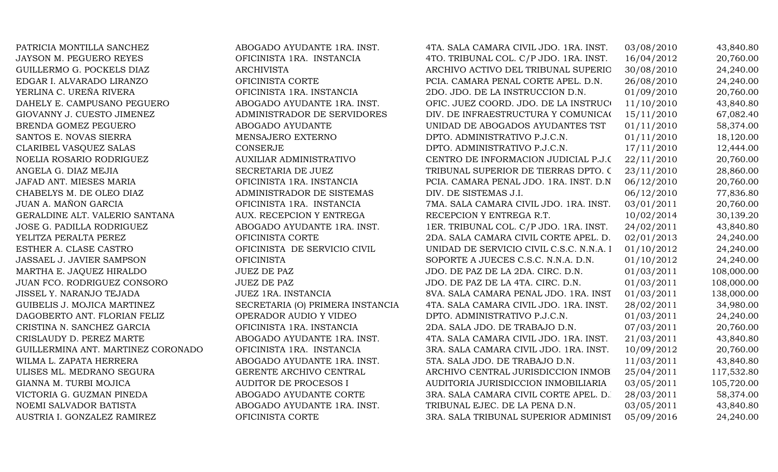PATRICIA MONTILLA SANCHEZ ABOGADO AYUDANTE 1RA. INST. 4TA. SALA CAMARA CIVIL JDO. 1RA. INST. 03/08/2010 43,840.80 JAYSON M. PEGUERO REYES **OFICINISTA 1RA. INSTANCIA** 4TO. TRIBUNAL COL. C/P JDO. 1RA. INST. 16/04/2012 20,760.00 GUILLERMO G. POCKELS DIAZ ARCHIVISTA ARCHIVO ACTIVO ACTIVO DEL TRIBUNAL SUPERIO 30/08/2010 24,240.00 EDGAR I. ALVARADO LIRANZO **OFICINISTA CORTE** PCIA. CAMARA PENAL CORTE APEL. D.N. 26/08/2010 24,240.00 YERLINA C. UREÑA RIVERA **OFICINISTA 1RA. INSTANCIA** 2DO. JDO. DE LA INSTRUCCION D.N. 01/09/2010 20,760.00 DAHELY E. CAMPUSANO PEGUERO ABOGADO AYUDANTE 1RA. INST. OFIC. JUEZ COORD. JDO. DE LA INSTRUCI 11/10/2010 43,840.80 GIOVANNY J. CUESTO JIMENEZ ADMINISTRADOR DE SERVIDORES DIV. DE INFRAESTRUCTURA Y COMUNICA(15/11/2010 67.082.40 BRENDA GOMEZ PEGUERO ABOGADO AYUDANTE UNIDAD DE ABOGADOS AYUDANTES TST 01/11/2010 58,374.00 SANTOS E. NOVAS SIERRA MENSAJERO EXTERNO DPTO. ADMINISTRATIVO P.J.C.N. 01/11/2010 18,120.00 CLARIBEL VASOUEZ SALAS CONSERJE CONSERUE DPTO. ADMINISTRATIVO P.J.C.N. 17/11/2010 12,444.00 NOELIA ROSARIO RODRIGUEZ AUXILIAR ADMINISTRATIVO CENTRO DE INFORMACION JUDICIAL P.J.C. 22/11/2010 20,760.00 ANGELA G. DIAZ MEJIA SENIA SECRETARIA DE JUEZ TRIBUNAL SUPERIOR DE TIERRAS DPTO. C 23/11/2010 28,860.00 JAFAD ANT. MIESES MARIA OFICINISTA 1RA. INSTANCIA PCIA. CAMARA PENAL JDO. 1RA. INST. D.N. 06/12/2010 20,760.00 CHABELYS M. DE OLEO DIAZ ADMINISTRADOR DE SISTEMAS DIV. DE SISTEMAS J.I. 06/12/2010 77,836.80 JUAN A. MAÑON GARCIA **OFICINISTA 1RA. INSTANCIA** 7MA. SALA CAMARA CIVIL JDO. 1RA. INST. 03/01/2011 20,760.00 GERALDINE ALT. VALERIO SANTANA  $AUX. RECEPTCION Y ENTREGA$  RECEPCION Y ENTREGA R.T.  $10/02/2014$  30,139.20 JOSE G. PADILLA RODRIGUEZ ABOGADO AYUDANTE 1RA. INST. 1ER. TRIBUNAL COL. C/P JDO. 1RA. INST. 24/02/2011 43,840.80 YELITZA PERALTA PEREZ OFICINISTA CORTE 2DA. SALA CAMARA CIVIL CORTE APEL. D. 02/01/2013 24,240.00 ESTHER A. CLASE CASTRO **OFICINISTA DE SERVICIO CIVIL** UNIDAD DE SERVICIO CIVIL C.S.C. N.N.A. I 01/10/2012 24,240.00 JASSAEL J. JAVIER SAMPSON OFICINISTA OFICINISTA SOPORTE A JUECES C.S.C. N.N.A. D.N. 01/10/2012 24,240.00 MARTHA E. JAOUEZ HIRALDO JUEZ DE PAZ JUEZ DE PAZ JDO. DE PAZ DE LA 2DA. CIRC. D.N. 01/03/2011 108,000.00 JUAN FCO. RODRIGUEZ CONSORO JUEZ DE PAZ DE PAZ JDO. DE PAZ DE LA 4TA. CIRC. D.N. 01/03/2011 108,000.00 JISSEL Y. NARANJO TEJADA JUEZ 1RA. INSTANCIA 8VA. SALA CAMARA PENAL JDO. 1RA. INST. D.N. 01/03/2011 138,000.00 GUIBELIS J. MOJICA MARTINEZ SECRETARIA (O) PRIMERA INSTANCIA 4TA. SALA CAMARA CIVIL JDO. 1RA. INST. 28/02/2011 34,980.00 DAGOBERTO ANT. FLORIAN FELIZ OPERADOR AUDIO Y VIDEO DPTO. ADMINISTRATIVO P.J.C.N. 01/03/2011 24,240.00 CRISTINA N. SANCHEZ GARCIA OFICINISTA 1RA. INSTANCIA 2DA. SALA JDO. DE TRABAJO D.N. 07/03/2011 20,760.00 CRISLAUDY D. PEREZ MARTE ABOGADO AYUDANTE 1RA. INST. 4TA. SALA CAMARA CIVIL JDO. 1RA. INST. 21/03/2011 43,840.80 GUILLERMINA ANT. MARTINEZ CORONADO OFICINISTA 1RA. INSTANCIA 3RA. SALA CAMARA CIVIL JDO. 1RA. INST. 10/09/2012 20,760.00 WILMA L. ZAPATA HERRERA **ABOGADO AYUDANTE 1RA. INST.** 5TA. SALA JDO. DE TRABAJO D.N. 11/03/2011 43.840.80 ULISES ML. MEDRANO SEGURA GERENTE ARCHIVO CENTRAL ARCHIVO CENTRAL JURISDICCION INMOB 25/04/2011 117,532.80 GIANNA M. TURBI MOJICA **AUDITOR DE PROCESOS I** AUDITORIA JURISDICCION INMOBILIARIA 03/05/2011 105,720.00 VICTORIA G. GUZMAN PINEDA **ABOGADO AYUDANTE CORTE** 3RA. SALA CAMARA CIVIL CORTE APEL. D. 28/03/2011 58,374.00 NOEMI SALVADOR BATISTA ABOGADO AYUDANTE 1RA. INST. TRIBUNAL EJEC. DE LA PENA D.N. 03/05/2011 43,840.80 AUSTRIA I. GONZALEZ RAMIREZ **OFICINISTA CORTE** 3RA. SALA TRIBUNAL SUPERIOR ADMINIST 05/09/2016 24,240.00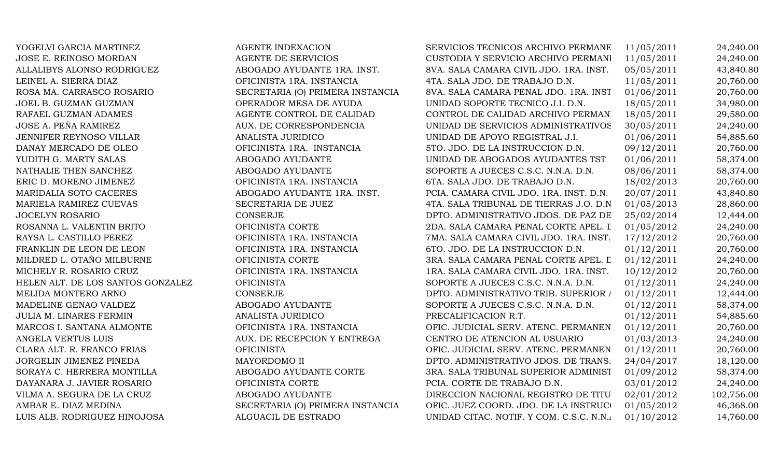| YOGELVI GARCIA MARTINEZ           | <b>AGENTE INDEXACION</b>         | SERVICIOS TECNICOS ARCHIVO PERMANE      | 11/05/2011 | 24,240.00  |
|-----------------------------------|----------------------------------|-----------------------------------------|------------|------------|
| JOSE E. REINOSO MORDAN            | AGENTE DE SERVICIOS              | CUSTODIA Y SERVICIO ARCHIVO PERMANI     | 11/05/2011 | 24,240.00  |
| ALLALIBYS ALONSO RODRIGUEZ        | ABOGADO AYUDANTE 1RA. INST.      | 8VA. SALA CAMARA CIVIL JDO. 1RA. INST.  | 05/05/2011 | 43,840.80  |
| LEINEL A. SIERRA DIAZ             | OFICINISTA 1RA. INSTANCIA        | 4TA. SALA JDO. DE TRABAJO D.N.          | 11/05/2011 | 20,760.00  |
| ROSA MA. CARRASCO ROSARIO         | SECRETARIA (O) PRIMERA INSTANCIA | 8VA. SALA CAMARA PENAL JDO. 1RA. INST   | 01/06/2011 | 20,760.00  |
| JOEL B. GUZMAN GUZMAN             | OPERADOR MESA DE AYUDA           | UNIDAD SOPORTE TECNICO J.I. D.N.        | 18/05/2011 | 34,980.00  |
| RAFAEL GUZMAN ADAMES              | AGENTE CONTROL DE CALIDAD        | CONTROL DE CALIDAD ARCHIVO PERMANI      | 18/05/2011 | 29,580.00  |
| JOSE A. PEÑA RAMIREZ              | AUX. DE CORRESPONDENCIA          | UNIDAD DE SERVICIOS ADMINISTRATIVOS     | 30/05/2011 | 24,240.00  |
| JENNIFER REYNOSO VILLAR           | ANALISTA JURIDICO                | UNIDAD DE APOYO REGISTRAL J.I.          | 01/06/2011 | 54,885.60  |
| DANAY MERCADO DE OLEO             | OFICINISTA 1RA. INSTANCIA        | 5TO. JDO. DE LA INSTRUCCION D.N.        | 09/12/2011 | 20,760.00  |
| YUDITH G. MARTY SALAS             | ABOGADO AYUDANTE                 | UNIDAD DE ABOGADOS AYUDANTES TST        | 01/06/2011 | 58,374.00  |
| NATHALIE THEN SANCHEZ             | ABOGADO AYUDANTE                 | SOPORTE A JUECES C.S.C. N.N.A. D.N.     | 08/06/2011 | 58,374.00  |
| ERIC D. MORENO JIMENEZ            | OFICINISTA 1RA. INSTANCIA        | 6TA. SALA JDO. DE TRABAJO D.N.          | 18/02/2013 | 20,760.00  |
| MARIDALIA SOTO CACERES            | ABOGADO AYUDANTE 1RA. INST.      | PCIA. CAMARA CIVIL JDO. 1RA. INST. D.N. | 20/07/2011 | 43,840.80  |
| MARIELA RAMIREZ CUEVAS            | SECRETARIA DE JUEZ               | 4TA. SALA TRIBUNAL DE TIERRAS J.O. D.N  | 01/05/2013 | 28,860.00  |
| <b>JOCELYN ROSARIO</b>            | <b>CONSERJE</b>                  | DPTO. ADMINISTRATIVO JDOS. DE PAZ DE    | 25/02/2014 | 12,444.00  |
| ROSANNA L. VALENTIN BRITO         | OFICINISTA CORTE                 | 2DA. SALA CAMARA PENAL CORTE APEL. I    | 01/05/2012 | 24,240.00  |
| RAYSA L. CASTILLO PEREZ           | OFICINISTA 1RA. INSTANCIA        | 7MA. SALA CAMARA CIVIL JDO. 1RA. INST.  | 17/12/2012 | 20,760.00  |
| FRANKLIN DE LEON DE LEON          | OFICINISTA 1RA. INSTANCIA        | 6TO. JDO. DE LA INSTRUCCION D.N.        | 01/12/2011 | 20,760.00  |
| MILDRED L. OTAÑO MILBURNE         | OFICINISTA CORTE                 | 3RA. SALA CAMARA PENAL CORTE APEL. L    | 01/12/2011 | 24,240.00  |
| MICHELY R. ROSARIO CRUZ           | OFICINISTA 1RA. INSTANCIA        | 1RA. SALA CAMARA CIVIL JDO. 1RA. INST.  | 10/12/2012 | 20,760.00  |
| HELEN ALT. DE LOS SANTOS GONZALEZ | <b>OFICINISTA</b>                | SOPORTE A JUECES C.S.C. N.N.A. D.N.     | 01/12/2011 | 24,240.00  |
| MELIDA MONTERO ARNO               | <b>CONSERJE</b>                  | DPTO. ADMINISTRATIVO TRIB. SUPERIOR /   | 01/12/2011 | 12,444.00  |
| MADELINE GENAO VALDEZ             | ABOGADO AYUDANTE                 | SOPORTE A JUECES C.S.C. N.N.A. D.N.     | 01/12/2011 | 58,374.00  |
| <b>JULIA M. LINARES FERMIN</b>    | ANALISTA JURIDICO                | PRECALIFICACION R.T.                    | 01/12/2011 | 54,885.60  |
| MARCOS I. SANTANA ALMONTE         | OFICINISTA 1RA. INSTANCIA        | OFIC. JUDICIAL SERV. ATENC. PERMANEN    | 01/12/2011 | 20,760.00  |
| ANGELA VERTUS LUIS                | AUX. DE RECEPCION Y ENTREGA      | CENTRO DE ATENCION AL USUARIO           | 01/03/2013 | 24,240.00  |
| CLARA ALT. R. FRANCO FRIAS        | <b>OFICINISTA</b>                | OFIC. JUDICIAL SERV. ATENC. PERMANEN    | 01/12/2011 | 20,760.00  |
| JORGELIN JIMENEZ PINEDA           | MAYORDOMO II                     | DPTO. ADMINISTRATIVO JDOS. DE TRANS.    | 24/04/2017 | 18,120.00  |
| SORAYA C. HERRERA MONTILLA        | ABOGADO AYUDANTE CORTE           | 3RA. SALA TRIBUNAL SUPERIOR ADMINIST    | 01/09/2012 | 58,374.00  |
| DAYANARA J. JAVIER ROSARIO        | OFICINISTA CORTE                 | PCIA. CORTE DE TRABAJO D.N.             | 03/01/2012 | 24,240.00  |
| VILMA A. SEGURA DE LA CRUZ        | ABOGADO AYUDANTE                 | DIRECCION NACIONAL REGISTRO DE TITU     | 02/01/2012 | 102,756.00 |
| AMBAR E. DIAZ MEDINA              | SECRETARIA (O) PRIMERA INSTANCIA | OFIC. JUEZ COORD. JDO. DE LA INSTRUCO   | 01/05/2012 | 46,368.00  |
| LUIS ALB. RODRIGUEZ HINOJOSA      | ALGUACIL DE ESTRADO              | UNIDAD CITAC. NOTIF. Y COM. C.S.C. N.N. | 01/10/2012 | 14,760.00  |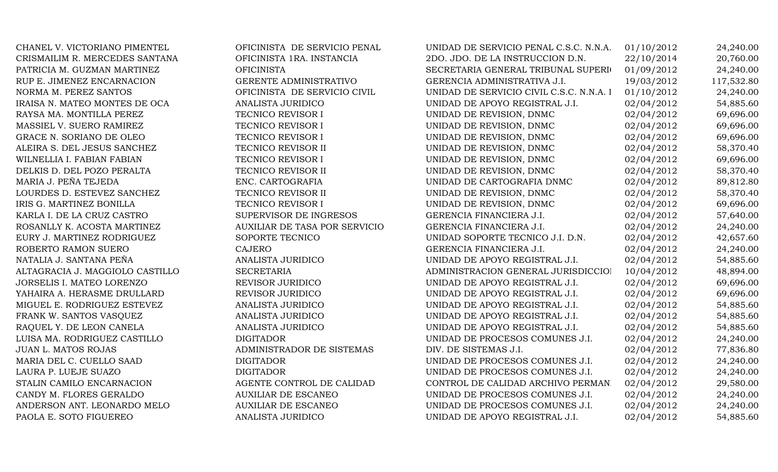CHANEL V. VICTORIANO PIMENTEL OFICINISTA DE SERVICIO PENAL UNIDAD DE SERVICIO PENAL C.S.C. N.N.A. 01/10/2012 24,240.00 CRISMAILIM R. MERCEDES SANTANA OFICINISTA 1RA. INSTANCIA 2DO. JDO. DE LA INSTRUCCION D.N. 22/10/2014 20,760.00 PATRICIA M. GUZMAN MARTINEZ OFICINISTA OFICINISTA SECRETARIA GENERAL TRIBUNAL SUPERIOR 01/09/2012 24,240.00 RUP E. JIMENEZ ENCARNACION GERENTE ADMINISTRATIVO GERENCIA ADMINISTRATIVA J.I. 19/03/2012 117,532.80 NORMA M. PEREZ SANTOS **OFICINISTA DE SERVICIO CIVIL** UNIDAD DE SERVICIO CIVIL C.S.C. N.N.A. I 01/10/2012 24,240.00 IRAISA N. MATEO MONTES DE OCA ANALISTA JURIDICO UNIDAD DE APOYO REGISTRAL J.I. 02/04/2012 54,885.60 RAYSA MA. MONTILLA PEREZ TECNICO REVISOR I UNIDAD DE REVISION, DNMC 02/04/2012 69,696.00 MASSIEL V. SUERO RAMIREZ TECNICO REVISOR I UNIDAD DE REVISION, DNMC 02/04/2012 69,696.00 GRACE N. SORIANO DE OLEO TECNICO REVISOR I UNIDAD DE REVISION, DNMC 02/04/2012 69,696.00 ALEIRA S. DEL JESUS SANCHEZ TECNICO REVISOR II UNIDAD DE REVISION, DNMC 02/04/2012 58,370.40 WILNELLIA I. FABIAN FABIAN **TECNICO REVISOR I** UNIDAD DE REVISION, DNMC 02/04/2012 69,696.00 DELKIS D. DEL POZO PERALTA TECNICO REVISOR II UNIDAD DE REVISION, DNMC 02/04/2012 58,370.40 MARIA J. PEÑA TEJEDA ENC. CARTOGRAFIA ENC. CARTOGRAFIA EN ENGLACIA EN EL EL EL ENCLORATOGRAFIA DNMC 02/04/2012 89,812.80 LOURDES D. ESTEVEZ SANCHEZ TECNICO REVISOR II UNIDAD DE REVISION, DNMC 02/04/2012 58,370.40 IRIS G. MARTINEZ BONILLA TECNICO REVISOR I UNIDAD DE REVISION, DNMC 02/04/2012 69,696.00 KARLA I. DE LA CRUZ CASTRO SUPERVISOR DE INGRESOS GERENCIA FINANCIERA J.I. 02/04/2012 57,640.00 ROSANLLY K. ACOSTA MARTINEZ AUXILIAR DE TASA POR SERVICIO GERENCIA FINANCIERA J.I. 02/04/2012 24,240.00 EURY J. MARTINEZ RODRIGUEZ SOPORTE TECNICO UNIDAD SOPORTE TECNICO J.I. D.N. 02/04/2012 42,657.60 ROBERTO RAMON SUERO CAJERO CAJERO CAJERO GERENCIA FINANCIERA J.I. 02/04/2012 24,240.00 NATALIA J. SANTANA PEÑA ANALISTA JURIDICO UNIDAD DE APOYO REGISTRAL J.I. 02/04/2012 54,885.60 ALTAGRACIA J. MAGGIOLO CASTILLO SECRETARIA SECRETARIA ADMINISTRACION GENERAL JURISDICCIO 10/04/2012 48.894.00 JORSELIS I. MATEO LORENZO REVISOR JURIDICO UNIDAD DE APOYO REGISTRAL J.I. 02/04/2012 69,696.00 YAHAIRA A. HERASME DRULLARD **REVISOR JURIDICO** UNIDAD DE APOYO REGISTRAL J.I. 02/04/2012 69,696.00 MIGUEL E. RODRIGUEZ ESTEVEZ ANALISTA JURIDICO UNIDAD DE APOYO REGISTRAL J.I. 02/04/2012 54,885.60 FRANK W. SANTOS VASQUEZ ANALISTA JURIDICO ME UNIDAD DE APOYO REGISTRAL J.I. 02/04/2012 54,885.60 RAQUEL Y. DE LEON CANELA ANALISTA JURIDICO NE APOYO REGISTRAL J.I. 02/04/2012 54,885.60 LUISA MA. RODRIGUEZ CASTILLO DIGITADOR UNIDAD DE PROCESOS COMUNES J.I. 02/04/2012 24,240.00 JUAN L. MATOS ROJAS CHARLA ADMINISTRADOR DE SISTEMAS DIV. DE SISTEMAS J.I. 02/04/2012 77,836.80 MARIA DEL C. CUELLO SAAD DIGITADOR DIGITADOR UNIDAD DE PROCESOS COMUNES J.I. 02/04/2012 24.240.00 LAURA P. LUEJE SUAZO DIGITADOR UNIDAD DE PROCESOS COMUNES J.I. 02/04/2012 24,240.00 STALIN CAMILO ENCARNACION AGENTE CONTROL DE CALIDAD CONTROL DE CALIDAD ARCHIVO PERMANE 02/04/2012 29,580.00 CANDY M. FLORES GERALDO AUXILIAR DE ESCANEO UNIDAD DE PROCESOS COMUNES J.I. 02/04/2012 24.240.00 ANDERSON ANT. LEONARDO MELO AUXILIAR DE ESCANEO UNIDAD DE PROCESOS COMUNES J.I. 02/04/2012 24,240.00 PAOLA E. SOTO FIGUEREO ANALISTA JURIDICO UNIDAD DE APOYO REGISTRAL J.I. 02/04/2012 54,885.60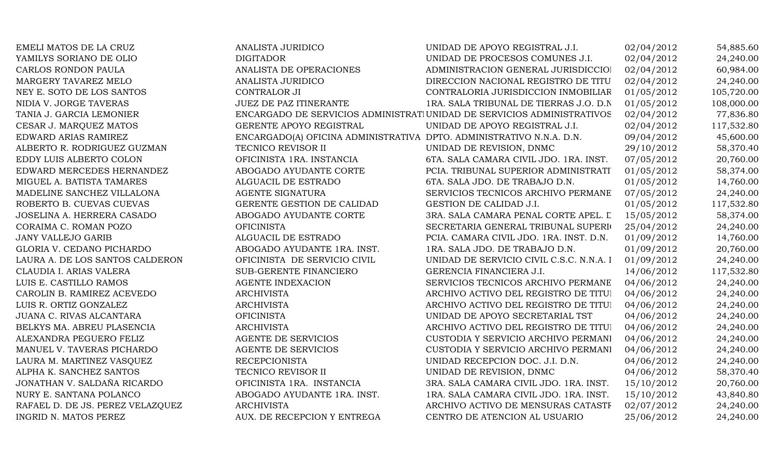| EMELI MATOS DE LA CRUZ           | <b>ANALISTA JURIDICO</b>                                             | UNIDAD DE APOYO REGISTRAL J.I.                                          | 02/04/2012 | 54,885.60  |
|----------------------------------|----------------------------------------------------------------------|-------------------------------------------------------------------------|------------|------------|
| YAMILYS SORIANO DE OLIO          | <b>DIGITADOR</b>                                                     | UNIDAD DE PROCESOS COMUNES J.I.                                         | 02/04/2012 | 24,240.00  |
| CARLOS RONDON PAULA              | ANALISTA DE OPERACIONES                                              | ADMINISTRACION GENERAL JURISDICCIOI                                     | 02/04/2012 | 60,984.00  |
| MARGERY TAVAREZ MELO             | ANALISTA JURIDICO                                                    | DIRECCION NACIONAL REGISTRO DE TITU                                     | 02/04/2012 | 24,240.00  |
| NEY E. SOTO DE LOS SANTOS        | CONTRALOR JI                                                         | CONTRALORIA JURISDICCION INMOBILIAR                                     | 01/05/2012 | 105,720.00 |
| NIDIA V. JORGE TAVERAS           | JUEZ DE PAZ ITINERANTE                                               | 1RA. SALA TRIBUNAL DE TIERRAS J.O. D.N                                  | 01/05/2012 | 108,000.00 |
| TANIA J. GARCIA LEMONIER         |                                                                      | ENCARGADO DE SERVICIOS ADMINISTRATI UNIDAD DE SERVICIOS ADMINISTRATIVOS | 02/04/2012 | 77,836.80  |
| CESAR J. MARQUEZ MATOS           | GERENTE APOYO REGISTRAL                                              | UNIDAD DE APOYO REGISTRAL J.I.                                          | 02/04/2012 | 117,532.80 |
| EDWARD ARIAS RAMIREZ             | ENCARGADO(A) OFICINA ADMINISTRATIVA DPTO. ADMINISTRATIVO N.N.A. D.N. |                                                                         | 09/04/2012 | 45,600.00  |
| ALBERTO R. RODRIGUEZ GUZMAN      | TECNICO REVISOR II                                                   | UNIDAD DE REVISION, DNMC                                                | 29/10/2012 | 58,370.40  |
| EDDY LUIS ALBERTO COLON          | OFICINISTA 1RA. INSTANCIA                                            | 6TA. SALA CAMARA CIVIL JDO. 1RA. INST.                                  | 07/05/2012 | 20,760.00  |
| EDWARD MERCEDES HERNANDEZ        | ABOGADO AYUDANTE CORTE                                               | PCIA. TRIBUNAL SUPERIOR ADMINISTRATI                                    | 01/05/2012 | 58,374.00  |
| MIGUEL A. BATISTA TAMARES        | ALGUACIL DE ESTRADO                                                  | 6TA. SALA JDO. DE TRABAJO D.N.                                          | 01/05/2012 | 14,760.00  |
| MADELINE SANCHEZ VILLALONA       | AGENTE SIGNATURA                                                     | SERVICIOS TECNICOS ARCHIVO PERMANE                                      | 07/05/2012 | 24,240.00  |
| ROBERTO B. CUEVAS CUEVAS         | GERENTE GESTION DE CALIDAD                                           | GESTION DE CALIDAD J.I.                                                 | 01/05/2012 | 117,532.80 |
| JOSELINA A. HERRERA CASADO       | ABOGADO AYUDANTE CORTE                                               | 3RA. SALA CAMARA PENAL CORTE APEL. L                                    | 15/05/2012 | 58,374.00  |
| CORAIMA C. ROMAN POZO            | <b>OFICINISTA</b>                                                    | SECRETARIA GENERAL TRIBUNAL SUPERIO                                     | 25/04/2012 | 24,240.00  |
| <b>JANY VALLEJO GARIB</b>        | ALGUACIL DE ESTRADO                                                  | PCIA. CAMARA CIVIL JDO. 1RA. INST. D.N.                                 | 01/09/2012 | 14,760.00  |
| GLORIA V. CEDANO PICHARDO        | ABOGADO AYUDANTE 1RA. INST.                                          | 1RA. SALA JDO. DE TRABAJO D.N.                                          | 01/09/2012 | 20,760.00  |
| LAURA A. DE LOS SANTOS CALDERON  | OFICINISTA DE SERVICIO CIVIL                                         | UNIDAD DE SERVICIO CIVIL C.S.C. N.N.A. I                                | 01/09/2012 | 24,240.00  |
| CLAUDIA I. ARIAS VALERA          | SUB-GERENTE FINANCIERO                                               | GERENCIA FINANCIERA J.I.                                                | 14/06/2012 | 117,532.80 |
| LUIS E. CASTILLO RAMOS           | <b>AGENTE INDEXACION</b>                                             | SERVICIOS TECNICOS ARCHIVO PERMANE                                      | 04/06/2012 | 24,240.00  |
| CAROLIN B. RAMIREZ ACEVEDO       | <b>ARCHIVISTA</b>                                                    | ARCHIVO ACTIVO DEL REGISTRO DE TITUI                                    | 04/06/2012 | 24,240.00  |
| LUIS R. ORTIZ GONZALEZ           | <b>ARCHIVISTA</b>                                                    | ARCHIVO ACTIVO DEL REGISTRO DE TITUI                                    | 04/06/2012 | 24,240.00  |
| JUANA C. RIVAS ALCANTARA         | <b>OFICINISTA</b>                                                    | UNIDAD DE APOYO SECRETARIAL TST                                         | 04/06/2012 | 24,240.00  |
| BELKYS MA. ABREU PLASENCIA       | <b>ARCHIVISTA</b>                                                    | ARCHIVO ACTIVO DEL REGISTRO DE TITUI                                    | 04/06/2012 | 24,240.00  |
| ALEXANDRA PEGUERO FELIZ          | AGENTE DE SERVICIOS                                                  | CUSTODIA Y SERVICIO ARCHIVO PERMANI                                     | 04/06/2012 | 24,240.00  |
| MANUEL V. TAVERAS PICHARDO       | AGENTE DE SERVICIOS                                                  | CUSTODIA Y SERVICIO ARCHIVO PERMANI                                     | 04/06/2012 | 24,240.00  |
| LAURA M. MARTINEZ VASQUEZ        | <b>RECEPCIONISTA</b>                                                 | UNIDAD RECEPCION DOC. J.I. D.N.                                         | 04/06/2012 | 24,240.00  |
| ALPHA K. SANCHEZ SANTOS          | TECNICO REVISOR II                                                   | UNIDAD DE REVISION, DNMC                                                | 04/06/2012 | 58,370.40  |
| JONATHAN V. SALDAÑA RICARDO      | OFICINISTA 1RA. INSTANCIA                                            | 3RA. SALA CAMARA CIVIL JDO. 1RA. INST.                                  | 15/10/2012 | 20,760.00  |
| NURY E. SANTANA POLANCO          | ABOGADO AYUDANTE 1RA. INST.                                          | 1RA. SALA CAMARA CIVIL JDO. 1RA. INST.                                  | 15/10/2012 | 43,840.80  |
| RAFAEL D. DE JS. PEREZ VELAZQUEZ | <b>ARCHIVISTA</b>                                                    | ARCHIVO ACTIVO DE MENSURAS CATASTF                                      | 02/07/2012 | 24,240.00  |
| INGRID N. MATOS PEREZ            | AUX. DE RECEPCION Y ENTREGA                                          | CENTRO DE ATENCION AL USUARIO                                           | 25/06/2012 | 24,240.00  |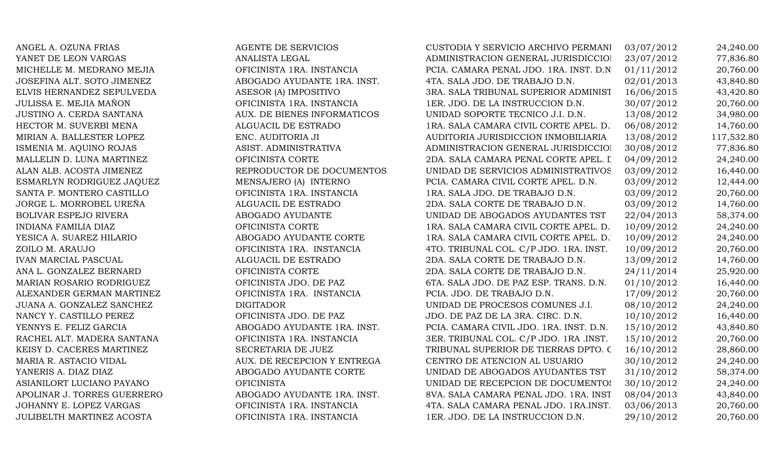ANGEL A. OZUNA FRIAS AGENTE DE SERVICIOS YANET DE LEON VARGAS ANALISTA LEGAL MICHELLE M. MEDRANO MEJIA **OFICINISTA 1RA. INSTANCIA** JOSEFINA ALT. SOTO JIMENEZ ABOGADO AYUDANTE 1RA. INST. ELVIS HERNANDEZ SEPULVEDA ASESOR (A) IMPOSITIVO JULISSA E. MEJIA MAÑON OFICINISTA 1RA. INSTANCIA 1ER. JDO. DE LA INSTRUCCION D.N. 30/07/2012 20,760.00 JUSTINO A. CERDA SANTANA AUX. DE BIENES INFORMATICOS HECTOR M. SUVERBI MENA 1888 ALGUACIL DE ESTRADO MIRIAN A. BALLESTER LOPEZ ENC. AUDITORIA JI ISMENIA M. AOUINO ROJAS ASIST. ADMINISTRATIVA MALLELIN D. LUNA MARTINEZ OFICINISTA CORTE ALAN ALB. ACOSTA JIMENEZ REPRODUCTOR DE DOCUMENTOS ESMARLYN RODRIGUEZ JAQUEZ MENSAJERO (A) INTERNO SANTA P. MONTERO CASTILLO OFICINISTA 1RA. INSTANCIA JORGE L. MORROBEL UREÑA ALGUACIL DE ESTRADO BOLIVAR ESPEJO RIVERA ABOGADO AYUDANTE INDIANA FAMILIA DIAZ OFICINISTA CORTE 1 YESICA A. SUAREZ HILARIO ABOGADO AYUDANTE CORTE ZOILO M. ARAUJO OFICINISTA 1RA. INSTANCIA 4TO. TRIBUNAL COL. C/P JDO. 1RA. INST. D.N.10/09/2012 20,760.00 IVAN MARCIAL PASCUAL ALGUACIL DE ESTRADO 2DA. SALA CORTE DE TRABAJO D.N. 13/09/2012 14,760.00 ANA L. GONZALEZ BERNARD OFICINISTA CORTE MARIAN ROSARIO RODRIGUEZ OFICINISTA JDO. DE PAZ ALEXANDER GERMAN MARTINEZ OFICINISTA 1RA. INSTANCIA JUANA A. GONZALEZ SANCHEZ DIGITADOR NANCY Y. CASTILLO PEREZ OFICINISTA JDO. DE PAZ YENNYS E. FELIZ GARCIA ABOGADO AYUDANTE 1RA. INST. RACHEL ALT. MADERA SANTANA **OFICINISTA 1RA. INSTANCIA** KEISY D. CACERES MARTINEZ SECRETARIA DE JUEZ MARIA R. ASTACIO VIDAL AUX. DE RECEPCION Y ENTREGA YANERIS A. DIAZ DIAZ  $\blacksquare$  ABOGADO AYUDANTE CORTE ASIANILORT LUCIANO PAYANO **EXECUPADA DE DOCUMENTOS DE LOCALIDADE DE LOCALIDAD DE DOCUMENTOS TODAS EN 2012** APOLINAR J. TORRES GUERRERO ABOGADO AYUDANTE 1RA. INST. JOHANNY E. LOPEZ VARGAS OFICINISTA 1RA. INSTANCIA JULIBELTH MARTINEZ ACOSTA OFICINISTA 1RA. INSTANCIA

| CUSTODIA Y SERVICIO ARCHIVO PERMANI     | 03/07/2012 | 24,240.00  |
|-----------------------------------------|------------|------------|
| ADMINISTRACION GENERAL JURISDICCIOI     | 23/07/2012 | 77,836.80  |
| PCIA. CAMARA PENAL JDO. 1RA. INST. D.N  | 01/11/2012 | 20,760.00  |
| 4TA. SALA JDO. DE TRABAJO D.N.          | 02/01/2013 | 43,840.80  |
| 3RA. SALA TRIBUNAL SUPERIOR ADMINIST    | 16/06/2015 | 43,420.80  |
| 1ER. JDO. DE LA INSTRUCCION D.N.        | 30/07/2012 | 20,760.00  |
| UNIDAD SOPORTE TECNICO J.I. D.N.        | 13/08/2012 | 34,980.00  |
| 1RA. SALA CAMARA CIVIL CORTE APEL. D.   | 06/08/2012 | 14,760.00  |
| AUDITORIA JURISDICCION INMOBILIARIA     | 13/08/2012 | 117,532.80 |
| ADMINISTRACION GENERAL JURISDICCIOI     | 30/08/2012 | 77,836.80  |
| 2DA. SALA CAMARA PENAL CORTE APEL. I    | 04/09/2012 | 24,240.00  |
| UNIDAD DE SERVICIOS ADMINISTRATIVOS     | 03/09/2012 | 16,440.00  |
| PCIA. CAMARA CIVIL CORTE APEL. D.N.     | 03/09/2012 | 12,444.00  |
| 1RA. SALA JDO. DE TRABAJO D.N.          | 03/09/2012 | 20,760.00  |
| 2DA. SALA CORTE DE TRABAJO D.N.         | 03/09/2012 | 14,760.00  |
| UNIDAD DE ABOGADOS AYUDANTES TST        | 22/04/2013 | 58,374.00  |
| 1RA. SALA CAMARA CIVIL CORTE APEL. D.   | 10/09/2012 | 24,240.00  |
| 1RA. SALA CAMARA CIVIL CORTE APEL. D.   | 10/09/2012 | 24,240.00  |
| 4TO. TRIBUNAL COL. C/P JDO. 1RA. INST.  | 10/09/2012 | 20,760.00  |
| 2DA. SALA CORTE DE TRABAJO D.N.         | 13/09/2012 | 14,760.00  |
| 2DA. SALA CORTE DE TRABAJO D.N.         | 24/11/2014 | 25,920.00  |
| 6TA. SALA JDO. DE PAZ ESP. TRANS. D.N.  | 01/10/2012 | 16,440.00  |
| PCIA. JDO. DE TRABAJO D.N.              | 17/09/2012 | 20,760.00  |
| UNIDAD DE PROCESOS COMUNES J.I.         | 08/10/2012 | 24,240.00  |
| JDO. DE PAZ DE LA 3RA. CIRC. D.N.       | 10/10/2012 | 16,440.00  |
| PCIA. CAMARA CIVIL JDO. 1RA. INST. D.N. | 15/10/2012 | 43,840.80  |
| 3ER. TRIBUNAL COL. C/P JDO. 1RA .INST.  | 15/10/2012 | 20,760.00  |
| TRIBUNAL SUPERIOR DE TIERRAS DPTO. C    | 16/10/2012 | 28,860.00  |
| CENTRO DE ATENCION AL USUARIO           | 30/10/2012 | 24,240.00  |
| UNIDAD DE ABOGADOS AYUDANTES TST        | 31/10/2012 | 58,374.00  |
| UNIDAD DE RECEPCION DE DOCUMENTOS       | 30/10/2012 | 24,240.00  |
| 8VA. SALA CAMARA PENAL JDO. 1RA. INST   | 08/04/2013 | 43,840.00  |
| 4TA. SALA CAMARA PENAL JDO. 1RA.INST.   | 03/06/2013 | 20,760.00  |
| 1ER. JDO. DE LA INSTRUCCION D.N.        | 29/10/2012 | 20,760.00  |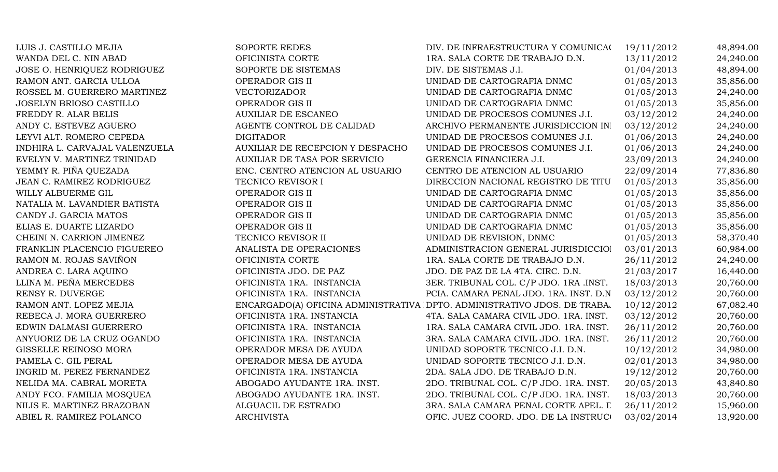LUIS J. CASTILLO MEJIA SOPORTE REDES SOPORTE REDES DIV. DE INFRAESTRUCTURA Y COMUNICA(19/11/2012 48,894.00 WANDA DEL C. NIN ABAD **OFICINISTA CORTE** 1RA. SALA CORTE DE TRABAJO D.N. 13/11/2012 24,240.00 JOSE O. HENRIQUEZ RODRIGUEZ SOPORTE DE SISTEMAS DIV. DE SISTEMAS J.I. 01/04/2013 48,894.00 RAMON ANT. GARCIA ULLOA OPERADOR GIS II UNIDAD DE CARTOGRAFIA DNMC 01/05/2013 35.856.00 ROSSEL M. GUERRERO MARTINEZ  $V$ ECTORIZADOR UNIDAD DE CARTOGRAFIA DNMC 01/05/2013 24,240.00 JOSELYN BRIOSO CASTILLO OPERADOR GIS II UNIDAD DE CARTOGRAFIA DNMC 01/05/2013 35,856.00 FREDDY R. ALAR BELIS AUXILIAR DE ESCANEO UNIDAD DE PROCESOS COMUNES J.I. 03/12/2012 24,240.00 ANDY C. ESTEVEZ AGUERO AGENTE CONTROL DE CALIDAD ARCHIVO PERMANENTE JURISDICCION IN 03/12/2012 24,240.00 LEYVI ALT. ROMERO CEPEDA DIGITADOR DIGITADOR UNIDAD DE PROCESOS COMUNES J.I. 01/06/2013 24,240.00 INDHIRA L. CARVAJAL VALENZUELA AUXILIAR DE RECEPCION Y DESPACHO UNIDAD DE PROCESOS COMUNES J.I. 01/06/2013 24,240.00 EVELYN V. MARTINEZ TRINIDAD AUXILIAR DE TASA POR SERVICIO GERENCIA FINANCIERA J.I. 23/09/2013 24,240.00 YEMMY R. PIÑA QUEZADA ENC. CENTRO ATENCION AL USUARIO CENTRO DE ATENCION AL USUARIO 22/09/2014 77,836.80 JEAN C. RAMIREZ RODRIGUEZ TECNICO REVISOR I DIRECCION NACIONAL REGISTRO DE TITU 01/05/2013 35,856.00 WILLY ALBUERME GIL **ALBUERME GIL CONSTANT OPERADOR GIS II** UNIDAD DE CARTOGRAFIA DNMC 01/05/2013 35,856.00 NATALIA M. LAVANDIER BATISTA OPERADOR GIS II UNIDAD DE CARTOGRAFIA DNMC 01/05/2013 35,856.00 CANDY J. GARCIA MATOS OPERADOR GIS II UNIDAD DE CARTOGRAFIA DNMC 01/05/2013 35,856.00 ELIAS E. DUARTE LIZARDO **OPERADOR GIS II** UNIDAD DE CARTOGRAFIA DNMC 01/05/2013 35,856.00 CHEINI N. CARRION JIMENEZ TECNICO REVISOR II UNIDAD DE REVISION, DNMC 01/05/2013 58,370.40 FRANKLIN PLACENCIO FIGUEREO ANALISTA DE OPERACIONES ADMINISTRACION GENERAL JURISDICCIO 03/01/2013 60,984.00 RAMON M. ROJAS SAVIÑON CHORTE OFICINISTA CORTE 1RA. SALA CORTE DE TRABAJO D.N. 26/11/2012 24,240.00 ANDREA C. LARA AQUINO **OFICINISTA JDO. DE PAZ** JDO. DE PAZ DE LA 4TA. CIRC. D.N. 21/03/2017 16,440.00 LLINA M. PEÑA MERCEDES **OFICINISTA 1RA. INSTANCIA** 3ER. TRIBUNAL COL. C/P JDO. 1RA .INST. 18/03/2013 20,760.00 RENSY R. DUVERGE **A CHARA CHARA CONTRIGUING PELA. CAMARA PENAL JDO. 1RA. INST. D.N. 03/12/2012** 20,760.00 RAMON ANT. LOPEZ MEJIA ENCARGADO(A) OFICINA ADMINISTRATIVA DPTO. ADMINISTRATIVO JDOS. DE TRABA, 10/12/2012 67,082.40 REBECA J. MORA GUERRERO **OFICINISTA 1RA. INSTANCIA** 4TA. SALA CAMARA CIVIL JDO. 1RA. INST. 03/12/2012 20,760.00 EDWIN DALMASI GUERRERO **OFICINISTA 1RA. INSTANCIA** 1RA. SALA CAMARA CIVIL JDO. 1RA. INST. 26/11/2012 20,760.00 ANYUORIZ DE LA CRUZ OGANDO **OFICINISTA 1RA. INSTANCIA** 3RA. SALA CAMARA CIVIL JDO. 1RA. INST. 26/11/2012 20,760.00 GISSELLE REINOSO MORA **OPERADOR MESA DE AYUDA** UNIDAD SOPORTE TECNICO J.I. D.N. 10/12/2012 34,980.00 PAMELA C. GIL PERAL **OPERADOR MESA DE AYUDA** UNIDAD SOPORTE TECNICO J.I. D.N. 02/01/2013 34,980.00 INGRID M. PEREZ FERNANDEZ **OFICINISTA 1RA. INSTANCIA** 2DA. SALA JDO. DE TRABAJO D.N. 19/12/2012 20,760.00 NELIDA MA. CABRAL MORETA ABOGADO AYUDANTE 1RA. INST. 2DO. TRIBUNAL COL. C/P JDO. 1RA. INST. 20/05/2013 43,840.80 ANDY FCO. FAMILIA MOSQUEA ABOGADO AYUDANTE 1RA. INST. 2DO. TRIBUNAL COL. C/P JDO. 1RA. INST. 18/03/2013 20,760.00 NILIS E. MARTINEZ BRAZOBAN ALGUACIL DE ESTRADO 3RA. SALA CAMARA PENAL CORTE APEL. L 26/11/2012 15,960.00 ABIEL R. RAMIREZ POLANCO ARCHIVISTA ARCHIVISTA OFIC. JUEZ COORD. JDO. DE LA INSTRUCION 03/02/2014 13,920.00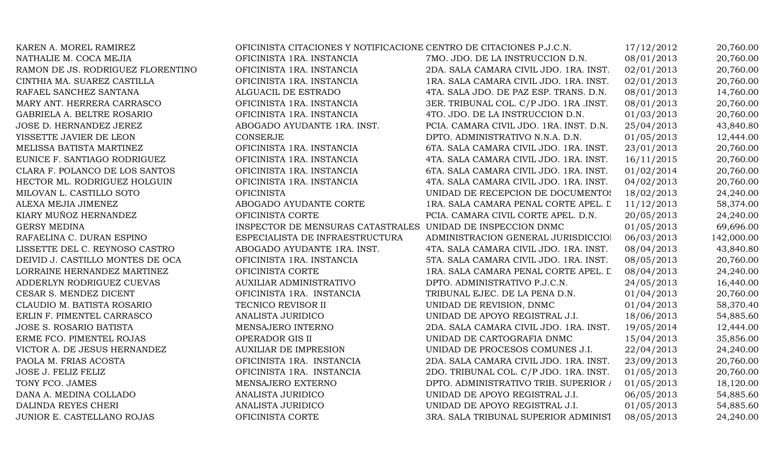| KAREN A. MOREL RAMIREZ            | OFICINISTA CITACIONES Y NOTIFICACIONE CENTRO DE CITACIONES P.J.C.N. |                                         | 17/12/2012 | 20,760.00  |
|-----------------------------------|---------------------------------------------------------------------|-----------------------------------------|------------|------------|
| NATHALIE M. COCA MEJIA            | OFICINISTA 1RA. INSTANCIA                                           | 7MO. JDO. DE LA INSTRUCCION D.N.        | 08/01/2013 | 20,760.00  |
| RAMON DE JS. RODRIGUEZ FLORENTINO | OFICINISTA 1RA. INSTANCIA                                           | 2DA. SALA CAMARA CIVIL JDO. 1RA. INST.  | 02/01/2013 | 20,760.00  |
| CINTHIA MA. SUAREZ CASTILLA       | OFICINISTA 1RA. INSTANCIA                                           | 1RA. SALA CAMARA CIVIL JDO. 1RA. INST.  | 02/01/2013 | 20,760.00  |
| RAFAEL SANCHEZ SANTANA            | ALGUACIL DE ESTRADO                                                 | 4TA. SALA JDO. DE PAZ ESP. TRANS. D.N.  | 08/01/2013 | 14,760.00  |
| MARY ANT. HERRERA CARRASCO        | OFICINISTA 1RA. INSTANCIA                                           | 3ER. TRIBUNAL COL. C/P JDO. 1RA .INST.  | 08/01/2013 | 20,760.00  |
| GABRIELA A. BELTRE ROSARIO        | OFICINISTA 1RA. INSTANCIA                                           | 4TO. JDO. DE LA INSTRUCCION D.N.        | 01/03/2013 | 20,760.00  |
| JOSE D. HERNANDEZ JEREZ           | ABOGADO AYUDANTE 1RA. INST.                                         | PCIA. CAMARA CIVIL JDO. 1RA. INST. D.N. | 25/04/2013 | 43,840.80  |
| YISSETTE JAVIER DE LEON           | <b>CONSERJE</b>                                                     | DPTO. ADMINISTRATIVO N.N.A. D.N.        | 01/05/2013 | 12,444.00  |
| MELISSA BATISTA MARTINEZ          | OFICINISTA 1RA. INSTANCIA                                           | 6TA. SALA CAMARA CIVIL JDO. 1RA. INST.  | 23/01/2013 | 20,760.00  |
| EUNICE F. SANTIAGO RODRIGUEZ      | OFICINISTA 1RA. INSTANCIA                                           | 4TA. SALA CAMARA CIVIL JDO. 1RA. INST.  | 16/11/2015 | 20,760.00  |
| CLARA F. POLANCO DE LOS SANTOS    | OFICINISTA 1RA. INSTANCIA                                           | 6TA. SALA CAMARA CIVIL JDO. 1RA. INST.  | 01/02/2014 | 20,760.00  |
| HECTOR ML. RODRIGUEZ HOLGUIN      | OFICINISTA 1RA. INSTANCIA                                           | 4TA. SALA CAMARA CIVIL JDO. 1RA. INST.  | 04/02/2013 | 20,760.00  |
| MILOVAN L. CASTILLO SOTO          | <b>OFICINISTA</b>                                                   | UNIDAD DE RECEPCION DE DOCUMENTOS       | 18/02/2013 | 24,240.00  |
| ALEXA MEJIA JIMENEZ               | ABOGADO AYUDANTE CORTE                                              | 1RA. SALA CAMARA PENAL CORTE APEL. L    | 11/12/2013 | 58,374.00  |
| KIARY MUÑOZ HERNANDEZ             | OFICINISTA CORTE                                                    | PCIA. CAMARA CIVIL CORTE APEL. D.N.     | 20/05/2013 | 24,240.00  |
| <b>GERSY MEDINA</b>               | INSPECTOR DE MENSURAS CATASTRALES UNIDAD DE INSPECCION DNMC         |                                         | 01/05/2013 | 69,696.00  |
| RAFAELINA C. DURAN ESPINO         | ESPECIALISTA DE INFRAESTRUCTURA                                     | ADMINISTRACION GENERAL JURISDICCIOI     | 06/03/2013 | 142,000.00 |
| LISSETTE DEL C. REYNOSO CASTRO    | ABOGADO AYUDANTE 1RA. INST.                                         | 4TA. SALA CAMARA CIVIL JDO. 1RA. INST.  | 08/04/2013 | 43,840.80  |
| DEIVID J. CASTILLO MONTES DE OCA  | OFICINISTA 1RA. INSTANCIA                                           | 5TA. SALA CAMARA CIVIL JDO. 1RA. INST.  | 08/05/2013 | 20,760.00  |
| LORRAINE HERNANDEZ MARTINEZ       | OFICINISTA CORTE                                                    | 1RA. SALA CAMARA PENAL CORTE APEL. L    | 08/04/2013 | 24,240.00  |
| ADDERLYN RODRIGUEZ CUEVAS         | <b>AUXILIAR ADMINISTRATIVO</b>                                      | DPTO. ADMINISTRATIVO P.J.C.N.           | 24/05/2013 | 16,440.00  |
| CESAR S. MENDEZ DICENT            | OFICINISTA 1RA. INSTANCIA                                           | TRIBUNAL EJEC. DE LA PENA D.N.          | 01/04/2013 | 20,760.00  |
| CLAUDIO M. BATISTA ROSARIO        | TECNICO REVISOR II                                                  | UNIDAD DE REVISION, DNMC                | 01/04/2013 | 58,370.40  |
| ERLIN F. PIMENTEL CARRASCO        | ANALISTA JURIDICO                                                   | UNIDAD DE APOYO REGISTRAL J.I.          | 18/06/2013 | 54,885.60  |
| JOSE S. ROSARIO BATISTA           | MENSAJERO INTERNO                                                   | 2DA. SALA CAMARA CIVIL JDO. 1RA. INST.  | 19/05/2014 | 12,444.00  |
| ERME FCO. PIMENTEL ROJAS          | OPERADOR GIS II                                                     | UNIDAD DE CARTOGRAFIA DNMC              | 15/04/2013 | 35,856.00  |
| VICTOR A. DE JESUS HERNANDEZ      | <b>AUXILIAR DE IMPRESION</b>                                        | UNIDAD DE PROCESOS COMUNES J.I.         | 22/04/2013 | 24,240.00  |
| PAOLA M. FRIAS ACOSTA             | OFICINISTA 1RA. INSTANCIA                                           | 2DA. SALA CAMARA CIVIL JDO. 1RA. INST.  | 23/09/2013 | 20,760.00  |
| JOSE J. FELIZ FELIZ               | OFICINISTA 1RA. INSTANCIA                                           | 2DO. TRIBUNAL COL. C/P JDO. 1RA. INST.  | 01/05/2013 | 20,760.00  |
| TONY FCO. JAMES                   | MENSAJERO EXTERNO                                                   | DPTO. ADMINISTRATIVO TRIB. SUPERIOR /   | 01/05/2013 | 18,120.00  |
| DANA A. MEDINA COLLADO            | <b>ANALISTA JURIDICO</b>                                            | UNIDAD DE APOYO REGISTRAL J.I.          | 06/05/2013 | 54,885.60  |
| DALINDA REYES CHERI               | ANALISTA JURIDICO                                                   | UNIDAD DE APOYO REGISTRAL J.I.          | 01/05/2013 | 54,885.60  |
| JUNIOR E. CASTELLANO ROJAS        | OFICINISTA CORTE                                                    | 3RA. SALA TRIBUNAL SUPERIOR ADMINIST    | 08/05/2013 | 24,240.00  |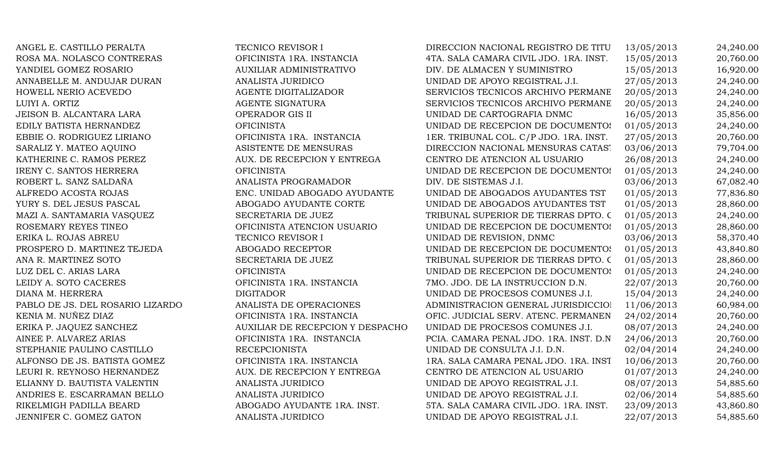ANGEL E. CASTILLO PERALTA TECNICO REVISOR I DIRECCION NACIONAL REGISTRO DE TITU 13/05/2013 24,240.00 ROSA MA. NOLASCO CONTRERAS **OFICINISTA 1RA. INSTANCIA** 4TA. SALA CAMARA CIVIL JDO. 1RA. INST. 15/05/2013 20,760.00 YANDIEL GOMEZ ROSARIO AUXILIAR ADMINISTRATIVO DIV. DE ALMACEN Y SUMINISTRO 15/05/2013 16,920.00 ANNABELLE M. ANDUJAR DURAN ANALISTA JURIDICO UNIDAD DE APOYO REGISTRAL J.I. 27/05/2013 24.240.00 HOWELL NERIO ACEVEDO AGENTE DIGITALIZADOR SERVICIOS TECNICOS ARCHIVO PERMANE 20/05/2013 24,240.00 LUIYI A. ORTIZ SAGENTE SIGNATURA SERVICIOS TECNICOS ARCHIVO PERMANE 20/05/2013 24,240.00 JEISON B. ALCANTARA LARA OPERADOR GIS II UNIDAD DE CARTOGRAFIA DNMC 16/05/2013 35,856.00 EDILY BATISTA HERNANDEZ OFICINISTA OFICINISTA UNIDAD DE RECEPCION DE DOCUMENTOS 01/05/2013 24,240.00 EBBIE O. RODRIGUEZ LIRIANO **OFICINISTA 1RA. INSTANCIA** 1ER. TRIBUNAL COL. C/P JDO. 1RA. INST. 27/05/2013 20,760.00 SARALIZ Y. MATEO AQUINO ASISTENTE DE MENSURAS DIRECCION NACIONAL MENSURAS CATAST 03/06/2013 79,704.00 KATHERINE C. RAMOS PEREZ AUX. DE RECEPCION Y ENTREGA CENTRO DE ATENCION AL USUARIO 26/08/2013 24,240.00 IRENY C. SANTOS HERRERA **OFICINISTA** OFICINISTA UNIDAD DE RECEPCION DE DOCUMENTOS 01/05/2013 24,240.00 ROBERT L. SANZ SALDAÑA ANALISTA PROGRAMADOR DIV. DE SISTEMAS J.I. 03/06/2013 67,082.40 ALFREDO ACOSTA ROJAS ENC. UNIDAD ABOGADO AYUDANTE UNIDAD DE ABOGADOS AYUDANTES TST 01/05/2013 77,836.80 YURY S. DEL JESUS PASCAL ABOGADO AYUDANTE CORTE UNIDAD DE ABOGADOS AYUDANTES TST 01/05/2013 28,860.00 MAZI A. SANTAMARIA VASQUEZ SECRETARIA DE JUEZ TRIBUNAL SUPERIOR DE TIERRAS DPTO. C 01/05/2013 24,240.00 ROSEMARY REYES TINEO **OFICINISTA ATENCION USUARIO** UNIDAD DE RECEPCION DE DOCUMENTOS 01/05/2013 28,860.00 ERIKA L. ROJAS ABREU TECNICO REVISOR I UNIDAD DE REVISION, DNMC 03/06/2013 58,370.40 PROSPERO D. MARTINEZ TEJEDA ABOGADO RECEPTOR UNIDAD DE RECEPCION DE DOCUMENTOS 01/05/2013 43,840.80 ANA R. MARTINEZ SOTO SECRETARIA DE JUEZ TRIBUNAL SUPERIOR DE TIERRAS DPTO. C 01/05/2013 28,860.00 LUZ DEL C. ARIAS LARA CHUCHISTA OFICINISTA DE RECEPCION DE DOCUMENTOS 01/05/2013 24,240.00 LEIDY A. SOTO CACERES **OFICINISTA 1RA. INSTANCIA** 7MO. JDO. DE LA INSTRUCCION D.N. 22/07/2013 20,760.00 DIANA M. HERRERA DIGITADOR UNIDAD DE PROCESOS COMUNES J.I. 15/04/2013 24,240.00 PABLO DE JS. DEL ROSARIO LIZARDO ANALISTA DE OPERACIONES ADMINISTRACION GENERAL JURISDICCIO 11/06/2013 60,984.00 KENIA M. NUÑEZ DIAZ **OFICINISTA 1RA. INSTANCIA** OFIC. JUDICIAL SERV. ATENC. PERMANEN 24/02/2014 20,760.00 ERIKA P. JAQUEZ SANCHEZ AUXILIAR DE RECEPCION Y DESPACHO UNIDAD DE PROCESOS COMUNES J.I. 08/07/2013 24,240.00 AINEE P. ALVAREZ ARIAS OFICINISTA 1RA. INSTANCIA PCIA. CAMARA PENAL JDO. 1RA. INST. D.N. 24/06/2013 20,760.00 STEPHANIE PAULINO CASTILLO RECEPCIONISTA UNIDAD DE CONSULTA J.I. D.N. 02/04/2014 24,240.00 ALFONSO DE JS. BATISTA GOMEZ COFICINISTA 1RA. INSTANCIA 1RA. SALA CAMARA PENAL JDO. 1RA. INST. 10/06/2013 20.760.00 LEURI R. REYNOSO HERNANDEZ AUX. DE RECEPCION Y ENTREGA CENTRO DE ATENCION AL USUARIO 01/07/2013 24,240.00 ELIANNY D. BAUTISTA VALENTIN ANALISTA JURIDICO UNIDAD DE APOYO REGISTRAL J.I. 08/07/2013 54,885.60 ANDRIES E. ESCARRAMAN BELLO ANALISTA JURIDICO UNIDAD DE APOYO REGISTRAL J.I. 02/06/2014 54,885.60 RIKELMIGH PADILLA BEARD AND ABOGADO AYUDANTE 1RA. INST. 5TA. SALA CAMARA CIVIL JDO. 1RA. INST. 23/09/2013 43,860.80 JENNIFER C. GOMEZ GATON ANALISTA JURIDICO UNIDAD DE APOYO REGISTRAL J.I. 22/07/2013 54,885.60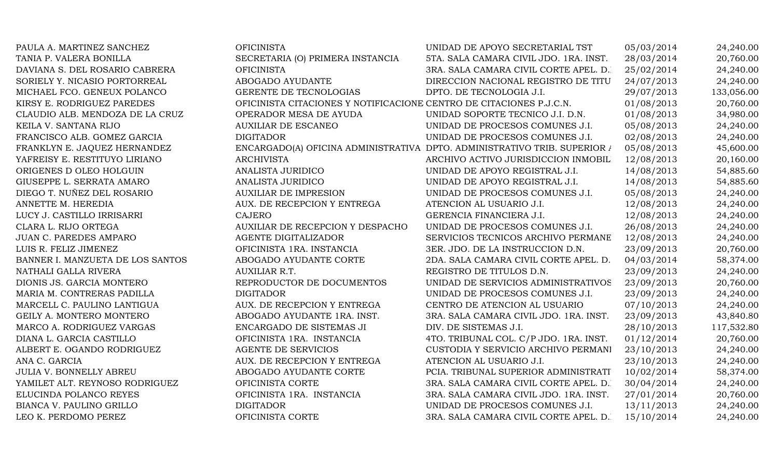| PAULA A. MARTINEZ SANCHEZ        | <b>OFICINISTA</b>                                                   | UNIDAD DE APOYO SECRETARIAL TST                                           | 05/03/2014 | 24,240.00  |
|----------------------------------|---------------------------------------------------------------------|---------------------------------------------------------------------------|------------|------------|
| TANIA P. VALERA BONILLA          | SECRETARIA (O) PRIMERA INSTANCIA                                    | 5TA. SALA CAMARA CIVIL JDO. 1RA. INST.                                    | 28/03/2014 | 20,760.00  |
| DAVIANA S. DEL ROSARIO CABRERA   | <b>OFICINISTA</b>                                                   | 3RA. SALA CAMARA CIVIL CORTE APEL. D.                                     | 25/02/2014 | 24,240.00  |
| SORIELY Y. NICASIO PORTORREAL    | ABOGADO AYUDANTE                                                    | DIRECCION NACIONAL REGISTRO DE TITU                                       | 24/07/2013 | 24,240.00  |
| MICHAEL FCO. GENEUX POLANCO      | GERENTE DE TECNOLOGIAS                                              | DPTO. DE TECNOLOGIA J.I.                                                  | 29/07/2013 | 133,056.00 |
| KIRSY E. RODRIGUEZ PAREDES       | OFICINISTA CITACIONES Y NOTIFICACIONE CENTRO DE CITACIONES P.J.C.N. |                                                                           | 01/08/2013 | 20,760.00  |
| CLAUDIO ALB. MENDOZA DE LA CRUZ  | OPERADOR MESA DE AYUDA                                              | UNIDAD SOPORTE TECNICO J.I. D.N.                                          | 01/08/2013 | 34,980.00  |
| KEILA V. SANTANA RIJO            | <b>AUXILIAR DE ESCANEO</b>                                          | UNIDAD DE PROCESOS COMUNES J.I.                                           | 05/08/2013 | 24,240.00  |
| FRANCISCO ALB. GOMEZ GARCIA      | <b>DIGITADOR</b>                                                    | UNIDAD DE PROCESOS COMUNES J.I.                                           | 02/08/2013 | 24,240.00  |
| FRANKLYN E. JAQUEZ HERNANDEZ     |                                                                     | ENCARGADO(A) OFICINA ADMINISTRATIVA DPTO. ADMINISTRATIVO TRIB. SUPERIOR / | 05/08/2013 | 45,600.00  |
| YAFREISY E. RESTITUYO LIRIANO    | <b>ARCHIVISTA</b>                                                   | ARCHIVO ACTIVO JURISDICCION INMOBIL                                       | 12/08/2013 | 20,160.00  |
| ORIGENES D OLEO HOLGUIN          | ANALISTA JURIDICO                                                   | UNIDAD DE APOYO REGISTRAL J.I.                                            | 14/08/2013 | 54,885.60  |
| GIUSEPPE L. SERRATA AMARO        | ANALISTA JURIDICO                                                   | UNIDAD DE APOYO REGISTRAL J.I.                                            | 14/08/2013 | 54,885.60  |
| DIEGO T. NUÑEZ DEL ROSARIO       | <b>AUXILIAR DE IMPRESION</b>                                        | UNIDAD DE PROCESOS COMUNES J.I.                                           | 05/08/2013 | 24,240.00  |
| ANNETTE M. HEREDIA               | AUX. DE RECEPCION Y ENTREGA                                         | ATENCION AL USUARIO J.I.                                                  | 12/08/2013 | 24,240.00  |
| LUCY J. CASTILLO IRRISARRI       | <b>CAJERO</b>                                                       | GERENCIA FINANCIERA J.I.                                                  | 12/08/2013 | 24,240.00  |
| CLARA L. RIJO ORTEGA             | AUXILIAR DE RECEPCION Y DESPACHO                                    | UNIDAD DE PROCESOS COMUNES J.I.                                           | 26/08/2013 | 24,240.00  |
| JUAN C. PAREDES AMPARO           | AGENTE DIGITALIZADOR                                                | SERVICIOS TECNICOS ARCHIVO PERMANE                                        | 12/08/2013 | 24,240.00  |
| LUIS R. FELIZ JIMENEZ            | OFICINISTA 1RA. INSTANCIA                                           | 3ER. JDO. DE LA INSTRUCCION D.N.                                          | 23/09/2013 | 20,760.00  |
| BANNER I. MANZUETA DE LOS SANTOS | ABOGADO AYUDANTE CORTE                                              | 2DA. SALA CAMARA CIVIL CORTE APEL. D.                                     | 04/03/2014 | 58,374.00  |
| NATHALI GALLA RIVERA             | AUXILIAR R.T.                                                       | REGISTRO DE TITULOS D.N.                                                  | 23/09/2013 | 24,240.00  |
| DIONIS JS. GARCIA MONTERO        | REPRODUCTOR DE DOCUMENTOS                                           | UNIDAD DE SERVICIOS ADMINISTRATIVOS                                       | 23/09/2013 | 20,760.00  |
| MARIA M. CONTRERAS PADILLA       | <b>DIGITADOR</b>                                                    | UNIDAD DE PROCESOS COMUNES J.I.                                           | 23/09/2013 | 24,240.00  |
| MARCELL C. PAULINO LANTIGUA      | AUX. DE RECEPCION Y ENTREGA                                         | CENTRO DE ATENCION AL USUARIO                                             | 07/10/2013 | 24,240.00  |
| GEILY A. MONTERO MONTERO         | ABOGADO AYUDANTE 1RA. INST.                                         | 3RA. SALA CAMARA CIVIL JDO. 1RA. INST.                                    | 23/09/2013 | 43,840.80  |
| MARCO A. RODRIGUEZ VARGAS        | ENCARGADO DE SISTEMAS JI                                            | DIV. DE SISTEMAS J.I.                                                     | 28/10/2013 | 117,532.80 |
| DIANA L. GARCIA CASTILLO         | OFICINISTA 1RA. INSTANCIA                                           | 4TO. TRIBUNAL COL. C/P JDO. 1RA. INST.                                    | 01/12/2014 | 20,760.00  |
| ALBERT E. OGANDO RODRIGUEZ       | AGENTE DE SERVICIOS                                                 | CUSTODIA Y SERVICIO ARCHIVO PERMANI                                       | 23/10/2013 | 24,240.00  |
| ANA C. GARCIA                    | AUX. DE RECEPCION Y ENTREGA                                         | ATENCION AL USUARIO J.I.                                                  | 23/10/2013 | 24,240.00  |
| <b>JULIA V. BONNELLY ABREU</b>   | ABOGADO AYUDANTE CORTE                                              | PCIA. TRIBUNAL SUPERIOR ADMINISTRATI                                      | 10/02/2014 | 58,374.00  |
| YAMILET ALT. REYNOSO RODRIGUEZ   | OFICINISTA CORTE                                                    | 3RA. SALA CAMARA CIVIL CORTE APEL. D.                                     | 30/04/2014 | 24,240.00  |
| ELUCINDA POLANCO REYES           | OFICINISTA 1RA. INSTANCIA                                           | 3RA. SALA CAMARA CIVIL JDO. 1RA. INST.                                    | 27/01/2014 | 20,760.00  |
| BIANCA V. PAULINO GRILLO         | <b>DIGITADOR</b>                                                    | UNIDAD DE PROCESOS COMUNES J.I.                                           | 13/11/2013 | 24,240.00  |
| LEO K. PERDOMO PEREZ             | OFICINISTA CORTE                                                    | 3RA. SALA CAMARA CIVIL CORTE APEL. D.                                     | 15/10/2014 | 24,240.00  |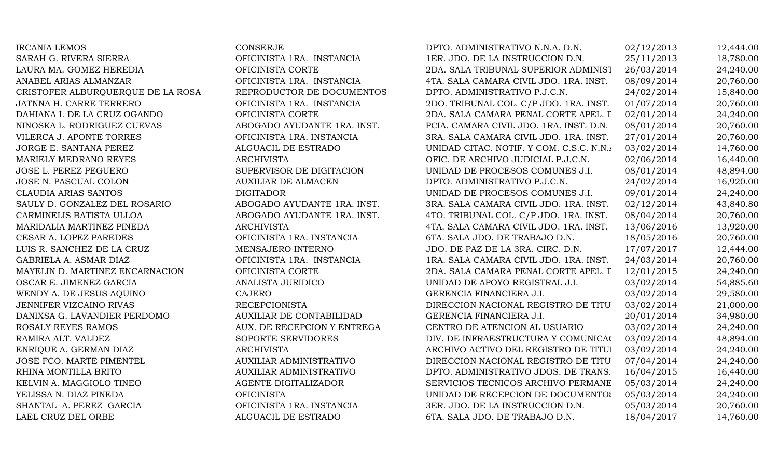| <b>IRCANIA LEMOS</b>              | <b>CONSERJE</b>             | DPTO. ADMINISTRATIVO N.N.A. D.N.        | 02/12/2013 | 12,444.00 |
|-----------------------------------|-----------------------------|-----------------------------------------|------------|-----------|
| SARAH G. RIVERA SIERRA            | OFICINISTA 1RA. INSTANCIA   | 1ER. JDO. DE LA INSTRUCCION D.N.        | 25/11/2013 | 18,780.00 |
| LAURA MA. GOMEZ HEREDIA           | OFICINISTA CORTE            | 2DA. SALA TRIBUNAL SUPERIOR ADMINIST    | 26/03/2014 | 24,240.00 |
| ANABEL ARIAS ALMANZAR             | OFICINISTA 1RA. INSTANCIA   | 4TA. SALA CAMARA CIVIL JDO. 1RA. INST.  | 08/09/2014 | 20,760.00 |
| CRISTOFER ALBURQUERQUE DE LA ROSA | REPRODUCTOR DE DOCUMENTOS   | DPTO. ADMINISTRATIVO P.J.C.N.           | 24/02/2014 | 15,840.00 |
| JATNNA H. CARRE TERRERO           | OFICINISTA 1RA. INSTANCIA   | 2DO. TRIBUNAL COL. C/P JDO. 1RA. INST.  | 01/07/2014 | 20,760.00 |
| DAHIANA I. DE LA CRUZ OGANDO      | OFICINISTA CORTE            | 2DA. SALA CAMARA PENAL CORTE APEL. I    | 02/01/2014 | 24,240.00 |
| NINOSKA L. RODRIGUEZ CUEVAS       | ABOGADO AYUDANTE 1RA. INST. | PCIA. CAMARA CIVIL JDO. 1RA. INST. D.N. | 08/01/2014 | 20,760.00 |
| VILERCA J. APONTE TORRES          | OFICINISTA 1RA. INSTANCIA   | 3RA. SALA CAMARA CIVIL JDO. 1RA. INST.  | 27/01/2014 | 20,760.00 |
| JORGE E. SANTANA PEREZ            | ALGUACIL DE ESTRADO         | UNIDAD CITAC. NOTIF. Y COM. C.S.C. N.N. | 03/02/2014 | 14,760.00 |
| MARIELY MEDRANO REYES             | <b>ARCHIVISTA</b>           | OFIC. DE ARCHIVO JUDICIAL P.J.C.N.      | 02/06/2014 | 16,440.00 |
| JOSE L. PEREZ PEGUERO             | SUPERVISOR DE DIGITACION    | UNIDAD DE PROCESOS COMUNES J.I.         | 08/01/2014 | 48,894.00 |
| JOSE N. PASCUAL COLON             | <b>AUXILIAR DE ALMACEN</b>  | DPTO. ADMINISTRATIVO P.J.C.N.           | 24/02/2014 | 16,920.00 |
| CLAUDIA ARIAS SANTOS              | <b>DIGITADOR</b>            | UNIDAD DE PROCESOS COMUNES J.I.         | 09/01/2014 | 24,240.00 |
| SAULY D. GONZALEZ DEL ROSARIO     | ABOGADO AYUDANTE 1RA. INST. | 3RA. SALA CAMARA CIVIL JDO. 1RA. INST.  | 02/12/2014 | 43,840.80 |
| CARMINELIS BATISTA ULLOA          | ABOGADO AYUDANTE 1RA. INST. | 4TO. TRIBUNAL COL. C/P JDO. 1RA. INST.  | 08/04/2014 | 20,760.00 |
| MARIDALIA MARTINEZ PINEDA         | <b>ARCHIVISTA</b>           | 4TA. SALA CAMARA CIVIL JDO. 1RA. INST.  | 13/06/2016 | 13,920.00 |
| CESAR A. LOPEZ PAREDES            | OFICINISTA 1RA. INSTANCIA   | 6TA. SALA JDO. DE TRABAJO D.N.          | 18/05/2016 | 20,760.00 |
| LUIS R. SANCHEZ DE LA CRUZ        | MENSAJERO INTERNO           | JDO. DE PAZ DE LA 3RA. CIRC. D.N.       | 17/07/2017 | 12,444.00 |
| GABRIELA A. ASMAR DIAZ            | OFICINISTA 1RA. INSTANCIA   | 1RA. SALA CAMARA CIVIL JDO. 1RA. INST.  | 24/03/2014 | 20,760.00 |
| MAYELIN D. MARTINEZ ENCARNACION   | OFICINISTA CORTE            | 2DA. SALA CAMARA PENAL CORTE APEL. I    | 12/01/2015 | 24,240.00 |
| OSCAR E. JIMENEZ GARCIA           | ANALISTA JURIDICO           | UNIDAD DE APOYO REGISTRAL J.I.          | 03/02/2014 | 54,885.60 |
| WENDY A. DE JESUS AQUINO          | CAJERO                      | GERENCIA FINANCIERA J.I.                | 03/02/2014 | 29,580.00 |
| JENNIFER VIZCAINO RIVAS           | <b>RECEPCIONISTA</b>        | DIRECCION NACIONAL REGISTRO DE TITU     | 03/02/2014 | 21,000.00 |
| DANIXSA G. LAVANDIER PERDOMO      | AUXILIAR DE CONTABILIDAD    | GERENCIA FINANCIERA J.I.                | 20/01/2014 | 34,980.00 |
| ROSALY REYES RAMOS                | AUX. DE RECEPCION Y ENTREGA | CENTRO DE ATENCION AL USUARIO           | 03/02/2014 | 24,240.00 |
| RAMIRA ALT. VALDEZ                | SOPORTE SERVIDORES          | DIV. DE INFRAESTRUCTURA Y COMUNICA(     | 03/02/2014 | 48,894.00 |
| ENRIQUE A. GERMAN DIAZ            | <b>ARCHIVISTA</b>           | ARCHIVO ACTIVO DEL REGISTRO DE TITUI    | 03/02/2014 | 24,240.00 |
| JOSE FCO. MARTE PIMENTEL          | AUXILIAR ADMINISTRATIVO     | DIRECCION NACIONAL REGISTRO DE TITU     | 07/04/2014 | 24,240.00 |
| RHINA MONTILLA BRITO              | AUXILIAR ADMINISTRATIVO     | DPTO. ADMINISTRATIVO JDOS. DE TRANS.    | 16/04/2015 | 16,440.00 |
| KELVIN A. MAGGIOLO TINEO          | AGENTE DIGITALIZADOR        | SERVICIOS TECNICOS ARCHIVO PERMANE      | 05/03/2014 | 24,240.00 |
| YELISSA N. DIAZ PINEDA            | <b>OFICINISTA</b>           | UNIDAD DE RECEPCION DE DOCUMENTOS       | 05/03/2014 | 24,240.00 |
| SHANTAL A. PEREZ GARCIA           | OFICINISTA 1RA. INSTANCIA   | 3ER. JDO. DE LA INSTRUCCION D.N.        | 05/03/2014 | 20,760.00 |
| LAEL CRUZ DEL ORBE                | ALGUACIL DE ESTRADO         | 6TA. SALA JDO. DE TRABAJO D.N.          | 18/04/2017 | 14,760.00 |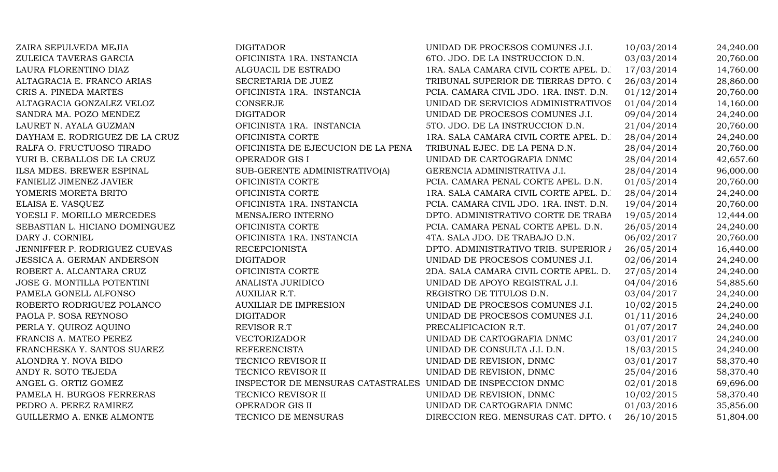| ZAIRA SEPULVEDA MEJIA          | <b>DIGITADOR</b>                                            | UNIDAD DE PROCESOS COMUNES J.I.         | 10/03/2014 | 24,240.00 |
|--------------------------------|-------------------------------------------------------------|-----------------------------------------|------------|-----------|
| ZULEICA TAVERAS GARCIA         | OFICINISTA 1RA. INSTANCIA                                   | 6TO. JDO. DE LA INSTRUCCION D.N.        | 03/03/2014 | 20,760.00 |
| LAURA FLORENTINO DIAZ          | ALGUACIL DE ESTRADO                                         | 1RA. SALA CAMARA CIVIL CORTE APEL. D.   | 17/03/2014 | 14,760.00 |
| ALTAGRACIA E. FRANCO ARIAS     | SECRETARIA DE JUEZ                                          | TRIBUNAL SUPERIOR DE TIERRAS DPTO. C    | 26/03/2014 | 28,860.00 |
| CRIS A. PINEDA MARTES          | OFICINISTA 1RA. INSTANCIA                                   | PCIA. CAMARA CIVIL JDO. 1RA. INST. D.N. | 01/12/2014 | 20,760.00 |
| ALTAGRACIA GONZALEZ VELOZ      | <b>CONSERJE</b>                                             | UNIDAD DE SERVICIOS ADMINISTRATIVOS     | 01/04/2014 | 14,160.00 |
| SANDRA MA. POZO MENDEZ         | <b>DIGITADOR</b>                                            | UNIDAD DE PROCESOS COMUNES J.I.         | 09/04/2014 | 24,240.00 |
| LAURET N. AYALA GUZMAN         | OFICINISTA 1RA. INSTANCIA                                   | 5TO. JDO. DE LA INSTRUCCION D.N.        | 21/04/2014 | 20,760.00 |
| DAYHAM E. RODRIGUEZ DE LA CRUZ | OFICINISTA CORTE                                            | 1RA. SALA CAMARA CIVIL CORTE APEL. D.   | 28/04/2014 | 24,240.00 |
| RALFA O. FRUCTUOSO TIRADO      | OFICINISTA DE EJECUCION DE LA PENA                          | TRIBUNAL EJEC. DE LA PENA D.N.          | 28/04/2014 | 20,760.00 |
| YURI B. CEBALLOS DE LA CRUZ    | OPERADOR GIS I                                              | UNIDAD DE CARTOGRAFIA DNMC              | 28/04/2014 | 42,657.60 |
| ILSA MDES. BREWER ESPINAL      | SUB-GERENTE ADMINISTRATIVO(A)                               | GERENCIA ADMINISTRATIVA J.I.            | 28/04/2014 | 96,000.00 |
| FANIELIZ JIMENEZ JAVIER        | OFICINISTA CORTE                                            | PCIA. CAMARA PENAL CORTE APEL. D.N.     | 01/05/2014 | 20,760.00 |
| YOMERIS MORETA BRITO           | OFICINISTA CORTE                                            | 1RA. SALA CAMARA CIVIL CORTE APEL. D.   | 28/04/2014 | 24,240.00 |
| ELAISA E. VASQUEZ              | OFICINISTA 1RA. INSTANCIA                                   | PCIA. CAMARA CIVIL JDO. 1RA. INST. D.N. | 19/04/2014 | 20,760.00 |
| YOESLI F. MORILLO MERCEDES     | MENSAJERO INTERNO                                           | DPTO. ADMINISTRATIVO CORTE DE TRABA     | 19/05/2014 | 12,444.00 |
| SEBASTIAN L. HICIANO DOMINGUEZ | OFICINISTA CORTE                                            | PCIA. CAMARA PENAL CORTE APEL. D.N.     | 26/05/2014 | 24,240.00 |
| DARY J. CORNIEL                | OFICINISTA 1RA. INSTANCIA                                   | 4TA. SALA JDO. DE TRABAJO D.N.          | 06/02/2017 | 20,760.00 |
| JENNIFFER P. RODRIGUEZ CUEVAS  | <b>RECEPCIONISTA</b>                                        | DPTO. ADMINISTRATIVO TRIB. SUPERIOR /   | 26/05/2014 | 16,440.00 |
| JESSICA A. GERMAN ANDERSON     | <b>DIGITADOR</b>                                            | UNIDAD DE PROCESOS COMUNES J.I.         | 02/06/2014 | 24,240.00 |
| ROBERT A. ALCANTARA CRUZ       | OFICINISTA CORTE                                            | 2DA. SALA CAMARA CIVIL CORTE APEL. D.   | 27/05/2014 | 24,240.00 |
| JOSE G. MONTILLA POTENTINI     | ANALISTA JURIDICO                                           | UNIDAD DE APOYO REGISTRAL J.I.          | 04/04/2016 | 54,885.60 |
| PAMELA GONELL ALFONSO          | AUXILIAR R.T.                                               | REGISTRO DE TITULOS D.N.                | 03/04/2017 | 24,240.00 |
| ROBERTO RODRIGUEZ POLANCO      | <b>AUXILIAR DE IMPRESION</b>                                | UNIDAD DE PROCESOS COMUNES J.I.         | 10/02/2015 | 24,240.00 |
| PAOLA P. SOSA REYNOSO          | <b>DIGITADOR</b>                                            | UNIDAD DE PROCESOS COMUNES J.I.         | 01/11/2016 | 24,240.00 |
| PERLA Y. QUIROZ AQUINO         | REVISOR R.T                                                 | PRECALIFICACION R.T.                    | 01/07/2017 | 24,240.00 |
| FRANCIS A. MATEO PEREZ         | VECTORIZADOR                                                | UNIDAD DE CARTOGRAFIA DNMC              | 03/01/2017 | 24,240.00 |
| FRANCHESKA Y. SANTOS SUAREZ    | <b>REFERENCISTA</b>                                         | UNIDAD DE CONSULTA J.I. D.N.            | 18/03/2015 | 24,240.00 |
| ALONDRA Y. NOVA BIDO           | TECNICO REVISOR II                                          | UNIDAD DE REVISION, DNMC                | 03/01/2017 | 58,370.40 |
| ANDY R. SOTO TEJEDA            | TECNICO REVISOR II                                          | UNIDAD DE REVISION, DNMC                | 25/04/2016 | 58,370.40 |
| ANGEL G. ORTIZ GOMEZ           | INSPECTOR DE MENSURAS CATASTRALES UNIDAD DE INSPECCION DNMC |                                         | 02/01/2018 | 69,696.00 |
| PAMELA H. BURGOS FERRERAS      | TECNICO REVISOR II                                          | UNIDAD DE REVISION, DNMC                | 10/02/2015 | 58,370.40 |
| PEDRO A. PEREZ RAMIREZ         | OPERADOR GIS II                                             | UNIDAD DE CARTOGRAFIA DNMC              | 01/03/2016 | 35,856.00 |
| GUILLERMO A. ENKE ALMONTE      | TECNICO DE MENSURAS                                         | DIRECCION REG. MENSURAS CAT. DPTO. 0    | 26/10/2015 | 51,804.00 |
|                                |                                                             |                                         |            |           |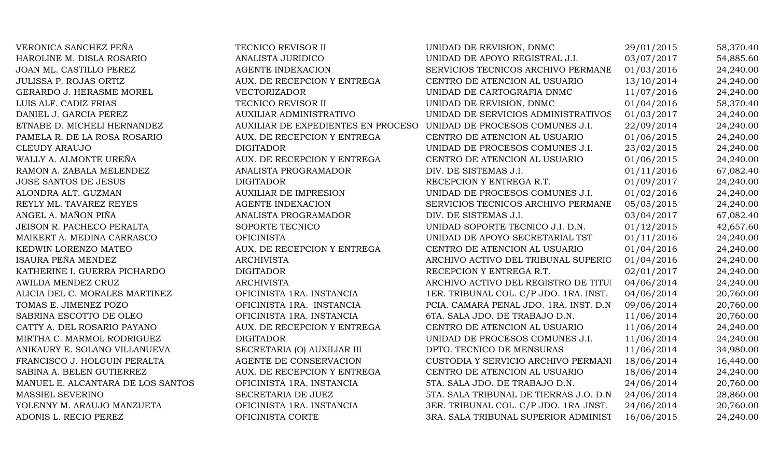| VERONICA SANCHEZ PEÑA             | TECNICO REVISOR II                                                 | UNIDAD DE REVISION, DNMC                | 29/01/2015 | 58,370.40 |
|-----------------------------------|--------------------------------------------------------------------|-----------------------------------------|------------|-----------|
| HAROLINE M. DISLA ROSARIO         | ANALISTA JURIDICO                                                  | UNIDAD DE APOYO REGISTRAL J.I.          | 03/07/2017 | 54,885.60 |
| JOAN ML. CASTILLO PEREZ           | <b>AGENTE INDEXACION</b>                                           | SERVICIOS TECNICOS ARCHIVO PERMANE      | 01/03/2016 | 24,240.00 |
| JULISSA P. ROJAS ORTIZ            | AUX. DE RECEPCION Y ENTREGA                                        | CENTRO DE ATENCION AL USUARIO           | 13/10/2014 | 24,240.00 |
| GERARDO J. HERASME MOREL          | <b>VECTORIZADOR</b>                                                | UNIDAD DE CARTOGRAFIA DNMC              | 11/07/2016 | 24,240.00 |
| LUIS ALF. CADIZ FRIAS             | TECNICO REVISOR II                                                 | UNIDAD DE REVISION, DNMC                | 01/04/2016 | 58,370.40 |
| DANIEL J. GARCIA PEREZ            | AUXILIAR ADMINISTRATIVO                                            | UNIDAD DE SERVICIOS ADMINISTRATIVOS     | 01/03/2017 | 24,240.00 |
| ETNABE D. MICHELI HERNANDEZ       | AUXILIAR DE EXPEDIENTES EN PROCESO UNIDAD DE PROCESOS COMUNES J.I. |                                         | 22/09/2014 | 24,240.00 |
| PAMELA R. DE LA ROSA ROSARIO      | AUX. DE RECEPCION Y ENTREGA                                        | CENTRO DE ATENCION AL USUARIO           | 01/06/2015 | 24,240.00 |
| <b>CLEUDY ARAUJO</b>              | <b>DIGITADOR</b>                                                   | UNIDAD DE PROCESOS COMUNES J.I.         | 23/02/2015 | 24,240.00 |
| WALLY A. ALMONTE UREÑA            | AUX. DE RECEPCION Y ENTREGA                                        | CENTRO DE ATENCION AL USUARIO           | 01/06/2015 | 24,240.00 |
| RAMON A. ZABALA MELENDEZ          | ANALISTA PROGRAMADOR                                               | DIV. DE SISTEMAS J.I.                   | 01/11/2016 | 67,082.40 |
| <b>JOSE SANTOS DE JESUS</b>       | <b>DIGITADOR</b>                                                   | RECEPCION Y ENTREGA R.T.                | 01/09/2017 | 24,240.00 |
| ALONDRA ALT. GUZMAN               | <b>AUXILIAR DE IMPRESION</b>                                       | UNIDAD DE PROCESOS COMUNES J.I.         | 01/02/2016 | 24,240.00 |
| REYLY ML. TAVAREZ REYES           | <b>AGENTE INDEXACION</b>                                           | SERVICIOS TECNICOS ARCHIVO PERMANE      | 05/05/2015 | 24,240.00 |
| ANGEL A. MAÑON PIÑA               | ANALISTA PROGRAMADOR                                               | DIV. DE SISTEMAS J.I.                   | 03/04/2017 | 67,082.40 |
| <b>JEISON R. PACHECO PERALTA</b>  | SOPORTE TECNICO                                                    | UNIDAD SOPORTE TECNICO J.I. D.N.        | 01/12/2015 | 42,657.60 |
| MAIKERT A. MEDINA CARRASCO        | <b>OFICINISTA</b>                                                  | UNIDAD DE APOYO SECRETARIAL TST         | 01/11/2016 | 24,240.00 |
| KEDWIN LORENZO MATEO              | AUX. DE RECEPCION Y ENTREGA                                        | CENTRO DE ATENCION AL USUARIO           | 01/04/2016 | 24,240.00 |
| ISAURA PEÑA MENDEZ                | <b>ARCHIVISTA</b>                                                  | ARCHIVO ACTIVO DEL TRIBUNAL SUPERIO     | 01/04/2016 | 24,240.00 |
| KATHERINE I. GUERRA PICHARDO      | <b>DIGITADOR</b>                                                   | RECEPCION Y ENTREGA R.T.                | 02/01/2017 | 24,240.00 |
| AWILDA MENDEZ CRUZ                | <b>ARCHIVISTA</b>                                                  | ARCHIVO ACTIVO DEL REGISTRO DE TITUI    | 04/06/2014 | 24,240.00 |
| ALICIA DEL C. MORALES MARTINEZ    | OFICINISTA 1RA. INSTANCIA                                          | 1ER. TRIBUNAL COL. C/P JDO. 1RA. INST.  | 04/06/2014 | 20,760.00 |
| TOMAS E. JIMENEZ POZO             | OFICINISTA 1RA. INSTANCIA                                          | PCIA. CAMARA PENAL JDO. 1RA. INST. D.N  | 09/06/2014 | 20,760.00 |
| SABRINA ESCOTTO DE OLEO           | OFICINISTA 1RA. INSTANCIA                                          | 6TA. SALA JDO. DE TRABAJO D.N.          | 11/06/2014 | 20,760.00 |
| CATTY A. DEL ROSARIO PAYANO       | AUX. DE RECEPCION Y ENTREGA                                        | CENTRO DE ATENCION AL USUARIO           | 11/06/2014 | 24,240.00 |
| MIRTHA C. MARMOL RODRIGUEZ        | <b>DIGITADOR</b>                                                   | UNIDAD DE PROCESOS COMUNES J.I.         | 11/06/2014 | 24,240.00 |
| ANIKAURY E. SOLANO VILLANUEVA     | SECRETARIA (O) AUXILIAR III                                        | DPTO. TECNICO DE MENSURAS               | 11/06/2014 | 34,980.00 |
| FRANCISCO J. HOLGUIN PERALTA      | AGENTE DE CONSERVACION                                             | CUSTODIA Y SERVICIO ARCHIVO PERMANI     | 18/06/2014 | 16,440.00 |
| SABINA A. BELEN GUTIERREZ         | AUX. DE RECEPCION Y ENTREGA                                        | CENTRO DE ATENCION AL USUARIO           | 18/06/2014 | 24,240.00 |
| MANUEL E. ALCANTARA DE LOS SANTOS | OFICINISTA 1RA. INSTANCIA                                          | 5TA. SALA JDO. DE TRABAJO D.N.          | 24/06/2014 | 20,760.00 |
| MASSIEL SEVERINO                  | SECRETARIA DE JUEZ                                                 | 5TA. SALA TRIBUNAL DE TIERRAS J.O. D.N. | 24/06/2014 | 28,860.00 |
| YOLENNY M. ARAUJO MANZUETA        | OFICINISTA 1RA. INSTANCIA                                          | 3ER. TRIBUNAL COL. C/P JDO. 1RA .INST.  | 24/06/2014 | 20,760.00 |
| ADONIS L. RECIO PEREZ             | OFICINISTA CORTE                                                   | 3RA. SALA TRIBUNAL SUPERIOR ADMINIST    | 16/06/2015 | 24,240.00 |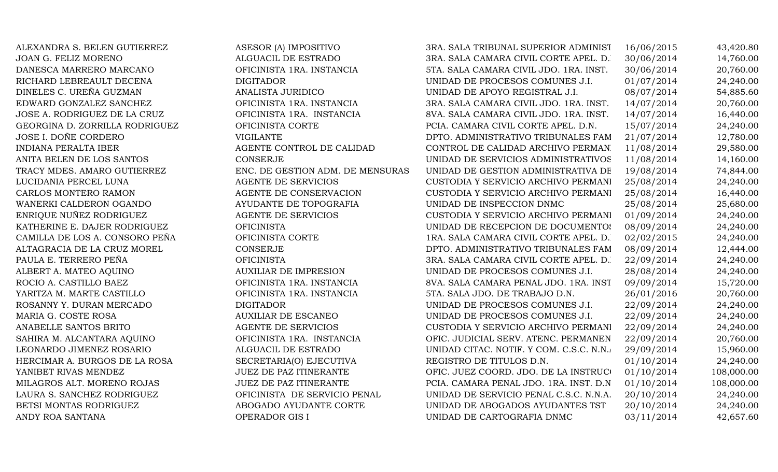ALEXANDRA S. BELEN GUTIERREZ ASESOR (A) IMPOSITIVO 3RA. SALA TRIBUNAL SUPERIOR ADMINIST 16/06/2015 43,420.80 JOAN G. FELIZ MORENO ALGUACIL DE ESTRADO 3RA. SALA CAMARA CIVIL CORTE APEL. D.N. 30/06/2014 14,760.00 DANESCA MARRERO MARCANO **OFICINISTA 1RA. INSTANCIA** 5TA. SALA CAMARA CIVIL JDO. 1RA. INST. 30/06/2014 20,760.00 RICHARD LEBREAULT DECENA DIGITADOR DIGITADOR UNIDAD DE PROCESOS COMUNES J.I. 01/07/2014 24.240.00 DINELES C. UREÑA GUZMAN ANALISTA JURIDICO NE APOYO REGISTRAL J.I. 08/07/2014 54,885.60 EDWARD GONZALEZ SANCHEZ **OFICINISTA 1RA. INSTANCIA** 3RA. SALA CAMARA CIVIL JDO. 1RA. INST. 14/07/2014 20,760.00 JOSE A. RODRIGUEZ DE LA CRUZ **OFICINISTA 1RA. INSTANCIA** 8VA. SALA CAMARA CIVIL JDO. 1RA. INST. 14/07/2014 16,440.00 GEORGINA D. ZORRILLA RODRIGUEZ **OFICINISTA CORTE** PCIA. CAMARA CIVIL CORTE APEL. D.N. 15/07/2014 24,240.00 JOSE I. DOÑE CORDERO VIGILANTE VIGLANTE DPTO. ADMINISTRATIVO TRIBUNALES FAM 21/07/2014 12,780.00 INDIANA PERALTA IBER AGENTE CONTROL DE CALIDAD CONTROL DE CALIDAD ARCHIVO PERMANE 11/08/2014 29.580.00 ANITA BELEN DE LOS SANTOS CONSERJE CONSERVE UNIDAD DE SERVICIOS ADMINISTRATIVOS 11/08/2014 14,160.00 TRACY MDES. AMARO GUTIERREZ ENC. DE GESTION ADM. DE MENSURAS UNIDAD DE GESTION ADMINISTRATIVA DE 19/08/2014 74,844.00 LUCIDANIA PERCEL LUNA ANGENTE DE SERVICIOS CUSTODIA Y SERVICIO ARCHIVO PERMANI 25/08/2014 24,240.00 CARLOS MONTERO RAMON AGENTE DE CONSERVACION CUSTODIA Y SERVICIO ARCHIVO PERMANI 25/08/2014 16,440.00 WANERKI CALDERON OGANDO AYUDANTE DE TOPOGRAFIA UNIDAD DE INSPECCION DNMC 25/08/2014 25,680.00 ENRIQUE NUÑEZ RODRIGUEZ AGENTE DE SERVICIOS CUSTODIA Y SERVICIO ARCHIVO PERMANI 01/09/2014 24,240.00 KATHERINE E. DAJER RODRIGUEZ OFICINISTA OFICINISTA UNIDAD DE RECEPCION DE DOCUMENTOS 08/09/2014 24,240.00 CAMILLA DE LOS A. CONSORO PEÑA OFICINISTA CORTE 1RA. SALA CAMARA CIVIL CORTE APEL. D. 02/02/2015 24,240.00 ALTAGRACIA DE LA CRUZ MOREL CONSERJE CONSERJE DPTO. ADMINISTRATIVO TRIBUNALES FAM 08/09/2014 12,444.00 PAULA E. TERRERO PEÑA CORTE OFICINISTA CIVIL CORTE APEL. D. 22/09/2014 24,240.00 ALBERT A. MATEO AQUINO AUXILIAR DE IMPRESION UNIDAD DE PROCESOS COMUNES J.I. 28/08/2014 24,240.00 ROCIO A. CASTILLO BAEZ **OFICINISTA 1RA. INSTANCIA** 8VA. SALA CAMARA PENAL JDO. 1RA. INST. 09/09/2014 15,720.00 YARITZA M. MARTE CASTILLO OFICINISTA 1RA. INSTANCIA 5TA. SALA JDO. DE TRABAJO D.N. 26/01/2016 20,760.00 ROSANNY Y. DURAN MERCADO DIGITADOR DIGITADOR UNIDAD DE PROCESOS COMUNES J.I. 22/09/2014 24.240.00 MARIA G. COSTE ROSA AUXILIAR DE ESCANEO UNIDAD DE PROCESOS COMUNES J.I. 22/09/2014 24,240.00 ANABELLE SANTOS BRITO AGENTE DE SERVICIOS CUSTODIA Y SERVICIO ARCHIVO PERMANI 22/09/2014 24,240.00 SAHIRA M. ALCANTARA AQUINO **OFICINISTA 1RA. INSTANCIA** OFIC. JUDICIAL SERV. ATENC. PERMANEN 22/09/2014 20,760.00 LEONARDO JIMENEZ ROSARIO ALGUACIL DE ESTRADO UNIDAD CITAC. NOTIF. Y COM. C.S.C. N.N. 29/09/2014 15,960.00 HERCIMAR A. BURGOS DE LA ROSA SECRETARIA(O) EJECUTIVA REGISTRO DE TITULOS D.N. 01/10/2014 24,240.00 YANIBET RIVAS MENDEZ JUEZ DE PAZ ITINERANTE OFIC. JUEZ COORD. JDO. DE LA INSTRUCION 101/10/2014 108,000.00 MILAGROS ALT. MORENO ROJAS JUEZ DE PAZ ITINERANTE PCIA. CAMARA PENAL JDO. 1RA. INST. D.N 01/10/2014 108,000.00 LAURA S. SANCHEZ RODRIGUEZ OFICINISTA DE SERVICIO PENAL UNIDAD DE SERVICIO PENAL C.S.C. N.N.A. 20/10/2014 24,240.00 BETSI MONTAS RODRIGUEZ ABOGADO AYUDANTE CORTE UNIDAD DE ABOGADOS AYUDANTES TST 20/10/2014 24,240.00 ANDY ROA SANTANA OPERADOR GIS I UNIDAD DE CARTOGRAFIA DNMC 03/11/2014 42,657.60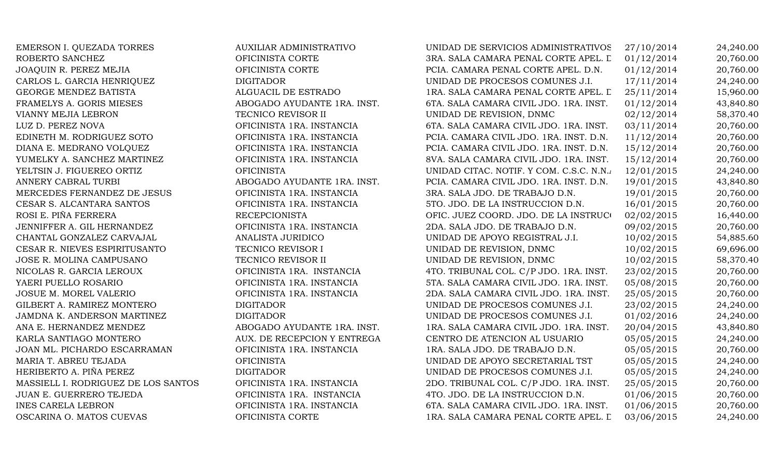| EMERSON I. QUEZADA TORRES           | <b>AUXILIAR ADMINISTRATIVO</b> | UNIDAD DE SERVICIOS ADMINISTRATIVOS     | 27/10/2014 | 24,240.00 |
|-------------------------------------|--------------------------------|-----------------------------------------|------------|-----------|
| ROBERTO SANCHEZ                     | OFICINISTA CORTE               | 3RA. SALA CAMARA PENAL CORTE APEL. L    | 01/12/2014 | 20,760.00 |
| JOAQUIN R. PEREZ MEJIA              | OFICINISTA CORTE               | PCIA. CAMARA PENAL CORTE APEL. D.N.     | 01/12/2014 | 20,760.00 |
| CARLOS L. GARCIA HENRIQUEZ          | <b>DIGITADOR</b>               | UNIDAD DE PROCESOS COMUNES J.I.         | 17/11/2014 | 24,240.00 |
| GEORGE MENDEZ BATISTA               | ALGUACIL DE ESTRADO            | 1RA. SALA CAMARA PENAL CORTE APEL. L    | 25/11/2014 | 15,960.00 |
| FRAMELYS A. GORIS MIESES            | ABOGADO AYUDANTE 1RA. INST.    | 6TA. SALA CAMARA CIVIL JDO. 1RA. INST.  | 01/12/2014 | 43,840.80 |
| VIANNY MEJIA LEBRON                 | TECNICO REVISOR II             | UNIDAD DE REVISION, DNMC                | 02/12/2014 | 58,370.40 |
| LUZ D. PEREZ NOVA                   | OFICINISTA 1RA. INSTANCIA      | 6TA. SALA CAMARA CIVIL JDO. 1RA. INST.  | 03/11/2014 | 20,760.00 |
| EDINETH M. RODRIGUEZ SOTO           | OFICINISTA 1RA. INSTANCIA      | PCIA. CAMARA CIVIL JDO. 1RA. INST. D.N. | 11/12/2014 | 20,760.00 |
| DIANA E. MEDRANO VOLQUEZ            | OFICINISTA 1RA. INSTANCIA      | PCIA. CAMARA CIVIL JDO. 1RA. INST. D.N. | 15/12/2014 | 20,760.00 |
| YUMELKY A. SANCHEZ MARTINEZ         | OFICINISTA 1RA. INSTANCIA      | 8VA. SALA CAMARA CIVIL JDO. 1RA. INST.  | 15/12/2014 | 20,760.00 |
| YELTSIN J. FIGUEREO ORTIZ           | <b>OFICINISTA</b>              | UNIDAD CITAC. NOTIF. Y COM. C.S.C. N.N. | 12/01/2015 | 24,240.00 |
| ANNERY CABRAL TURBI                 | ABOGADO AYUDANTE 1RA. INST.    | PCIA. CAMARA CIVIL JDO. 1RA. INST. D.N. | 19/01/2015 | 43,840.80 |
| MERCEDES FERNANDEZ DE JESUS         | OFICINISTA 1RA. INSTANCIA      | 3RA. SALA JDO. DE TRABAJO D.N.          | 19/01/2015 | 20,760.00 |
| CESAR S. ALCANTARA SANTOS           | OFICINISTA 1RA. INSTANCIA      | 5TO. JDO. DE LA INSTRUCCION D.N.        | 16/01/2015 | 20,760.00 |
| ROSI E. PIÑA FERRERA                | <b>RECEPCIONISTA</b>           | OFIC. JUEZ COORD. JDO. DE LA INSTRUCO   | 02/02/2015 | 16,440.00 |
| JENNIFFER A. GIL HERNANDEZ          | OFICINISTA 1RA. INSTANCIA      | 2DA. SALA JDO. DE TRABAJO D.N.          | 09/02/2015 | 20,760.00 |
| CHANTAL GONZALEZ CARVAJAL           | ANALISTA JURIDICO              | UNIDAD DE APOYO REGISTRAL J.I.          | 10/02/2015 | 54,885.60 |
| CESAR R. NIEVES ESPIRITUSANTO       | TECNICO REVISOR I              | UNIDAD DE REVISION, DNMC                | 10/02/2015 | 69,696.00 |
| JOSE R. MOLINA CAMPUSANO            | TECNICO REVISOR II             | UNIDAD DE REVISION, DNMC                | 10/02/2015 | 58,370.40 |
| NICOLAS R. GARCIA LEROUX            | OFICINISTA 1RA. INSTANCIA      | 4TO. TRIBUNAL COL. C/P JDO. 1RA. INST.  | 23/02/2015 | 20,760.00 |
| YAERI PUELLO ROSARIO                | OFICINISTA 1RA. INSTANCIA      | 5TA. SALA CAMARA CIVIL JDO. 1RA. INST.  | 05/08/2015 | 20,760.00 |
| JOSUE M. MOREL VALERIO              | OFICINISTA 1RA. INSTANCIA      | 2DA. SALA CAMARA CIVIL JDO. 1RA. INST.  | 25/05/2015 | 20,760.00 |
| GILBERT A. RAMIREZ MONTERO          | <b>DIGITADOR</b>               | UNIDAD DE PROCESOS COMUNES J.I.         | 23/02/2015 | 24,240.00 |
| JAMDNA K. ANDERSON MARTINEZ         | <b>DIGITADOR</b>               | UNIDAD DE PROCESOS COMUNES J.I.         | 01/02/2016 | 24,240.00 |
| ANA E. HERNANDEZ MENDEZ             | ABOGADO AYUDANTE 1RA. INST.    | 1RA. SALA CAMARA CIVIL JDO. 1RA. INST.  | 20/04/2015 | 43,840.80 |
| KARLA SANTIAGO MONTERO              | AUX. DE RECEPCION Y ENTREGA    | CENTRO DE ATENCION AL USUARIO           | 05/05/2015 | 24,240.00 |
| JOAN ML. PICHARDO ESCARRAMAN        | OFICINISTA 1RA. INSTANCIA      | 1RA. SALA JDO. DE TRABAJO D.N.          | 05/05/2015 | 20,760.00 |
| MARIA T. ABREU TEJADA               | <b>OFICINISTA</b>              | UNIDAD DE APOYO SECRETARIAL TST         | 05/05/2015 | 24,240.00 |
| HERIBERTO A. PIÑA PEREZ             | <b>DIGITADOR</b>               | UNIDAD DE PROCESOS COMUNES J.I.         | 05/05/2015 | 24,240.00 |
| MASSIELL I. RODRIGUEZ DE LOS SANTOS | OFICINISTA 1RA. INSTANCIA      | 2DO. TRIBUNAL COL. C/P JDO. 1RA. INST.  | 25/05/2015 | 20,760.00 |
| JUAN E. GUERRERO TEJEDA             | OFICINISTA 1RA. INSTANCIA      | 4TO. JDO. DE LA INSTRUCCION D.N.        | 01/06/2015 | 20,760.00 |
| <b>INES CARELA LEBRON</b>           | OFICINISTA 1RA. INSTANCIA      | 6TA. SALA CAMARA CIVIL JDO. 1RA. INST.  | 01/06/2015 | 20,760.00 |
| OSCARINA O. MATOS CUEVAS            | OFICINISTA CORTE               | 1RA. SALA CAMARA PENAL CORTE APEL. L    | 03/06/2015 | 24,240.00 |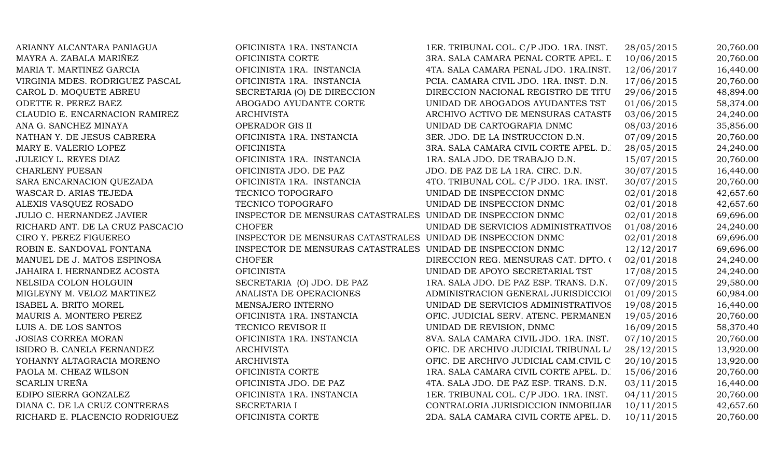| ARIANNY ALCANTARA PANIAGUA       | OFICINISTA 1RA. INSTANCIA                                   | 1ER. TRIBUNAL COL. C/P JDO. 1RA. INST.  | 28/05/2015 | 20,760.00 |
|----------------------------------|-------------------------------------------------------------|-----------------------------------------|------------|-----------|
| MAYRA A. ZABALA MARIÑEZ          | OFICINISTA CORTE                                            | 3RA. SALA CAMARA PENAL CORTE APEL. L    | 10/06/2015 | 20,760.00 |
| MARIA T. MARTINEZ GARCIA         | OFICINISTA 1RA. INSTANCIA                                   | 4TA. SALA CAMARA PENAL JDO. 1RA.INST.   | 12/06/2017 | 16,440.00 |
| VIRGINIA MDES. RODRIGUEZ PASCAL  | OFICINISTA 1RA. INSTANCIA                                   | PCIA. CAMARA CIVIL JDO. 1RA. INST. D.N. | 17/06/2015 | 20,760.00 |
| CAROL D. MOQUETE ABREU           | SECRETARIA (O) DE DIRECCION                                 | DIRECCION NACIONAL REGISTRO DE TITU     | 29/06/2015 | 48,894.00 |
| ODETTE R. PEREZ BAEZ             | ABOGADO AYUDANTE CORTE                                      | UNIDAD DE ABOGADOS AYUDANTES TST        | 01/06/2015 | 58,374.00 |
| CLAUDIO E. ENCARNACION RAMIREZ   | <b>ARCHIVISTA</b>                                           | ARCHIVO ACTIVO DE MENSURAS CATASTF      | 03/06/2015 | 24,240.00 |
| ANA G. SANCHEZ MINAYA            | OPERADOR GIS II                                             | UNIDAD DE CARTOGRAFIA DNMC              | 08/03/2016 | 35,856.00 |
| NATHAN Y. DE JESUS CABRERA       | OFICINISTA 1RA. INSTANCIA                                   | 3ER. JDO. DE LA INSTRUCCION D.N.        | 07/09/2015 | 20,760.00 |
| MARY E. VALERIO LOPEZ            | <b>OFICINISTA</b>                                           | 3RA. SALA CAMARA CIVIL CORTE APEL. D.   | 28/05/2015 | 24,240.00 |
| <b>JULEICY L. REYES DIAZ</b>     | OFICINISTA 1RA. INSTANCIA                                   | 1RA. SALA JDO. DE TRABAJO D.N.          | 15/07/2015 | 20,760.00 |
| <b>CHARLENY PUESAN</b>           | OFICINISTA JDO. DE PAZ                                      | JDO. DE PAZ DE LA 1RA. CIRC. D.N.       | 30/07/2015 | 16,440.00 |
| SARA ENCARNACION QUEZADA         | OFICINISTA 1RA. INSTANCIA                                   | 4TO. TRIBUNAL COL. C/P JDO. 1RA. INST.  | 30/07/2015 | 20,760.00 |
| WASCAR D. ARIAS TEJEDA           | TECNICO TOPOGRAFO                                           | UNIDAD DE INSPECCION DNMC               | 02/01/2018 | 42,657.60 |
| ALEXIS VASQUEZ ROSADO            | TECNICO TOPOGRAFO                                           | UNIDAD DE INSPECCION DNMC               | 02/01/2018 | 42,657.60 |
| <b>JULIO C. HERNANDEZ JAVIER</b> | INSPECTOR DE MENSURAS CATASTRALES UNIDAD DE INSPECCION DNMC |                                         | 02/01/2018 | 69,696.00 |
| RICHARD ANT. DE LA CRUZ PASCACIO | <b>CHOFER</b>                                               | UNIDAD DE SERVICIOS ADMINISTRATIVOS     | 01/08/2016 | 24,240.00 |
| CIRO Y. PEREZ FIGUEREO           | INSPECTOR DE MENSURAS CATASTRALES UNIDAD DE INSPECCION DNMC |                                         | 02/01/2018 | 69,696.00 |
| ROBIN E. SANDOVAL FONTANA        | INSPECTOR DE MENSURAS CATASTRALES UNIDAD DE INSPECCION DNMC |                                         | 12/12/2017 | 69,696.00 |
| MANUEL DE J. MATOS ESPINOSA      | <b>CHOFER</b>                                               | DIRECCION REG. MENSURAS CAT. DPTO. 0    | 02/01/2018 | 24,240.00 |
| JAHAIRA I. HERNANDEZ ACOSTA      | <b>OFICINISTA</b>                                           | UNIDAD DE APOYO SECRETARIAL TST         | 17/08/2015 | 24,240.00 |
| NELSIDA COLON HOLGUIN            | SECRETARIA (O) JDO. DE PAZ                                  | 1RA. SALA JDO. DE PAZ ESP. TRANS. D.N.  | 07/09/2015 | 29,580.00 |
| MIGLEYNY M. VELOZ MARTINEZ       | ANALISTA DE OPERACIONES                                     | ADMINISTRACION GENERAL JURISDICCIOI     | 01/09/2015 | 60,984.00 |
| ISABEL A. BRITO MOREL            | MENSAJERO INTERNO                                           | UNIDAD DE SERVICIOS ADMINISTRATIVOS     | 19/08/2015 | 16,440.00 |
| MAURIS A. MONTERO PEREZ          | OFICINISTA 1RA. INSTANCIA                                   | OFIC. JUDICIAL SERV. ATENC. PERMANEN    | 19/05/2016 | 20,760.00 |
| LUIS A. DE LOS SANTOS            | TECNICO REVISOR II                                          | UNIDAD DE REVISION, DNMC                | 16/09/2015 | 58,370.40 |
| <b>JOSIAS CORREA MORAN</b>       | OFICINISTA 1RA. INSTANCIA                                   | 8VA. SALA CAMARA CIVIL JDO. 1RA. INST.  | 07/10/2015 | 20,760.00 |
| ISIDRO B. CANELA FERNANDEZ       | <b>ARCHIVISTA</b>                                           | OFIC. DE ARCHIVO JUDICIAL TRIBUNAL LA   | 28/12/2015 | 13,920.00 |
| YOHANNY ALTAGRACIA MORENO        | <b>ARCHIVISTA</b>                                           | OFIC. DE ARCHIVO JUDICIAL CAM.CIVIL C   | 20/10/2015 | 13,920.00 |
| PAOLA M. CHEAZ WILSON            | OFICINISTA CORTE                                            | IRA. SALA CAMARA CIVIL CORTE APEL. D.   | 15/06/2016 | 20,760.00 |
| <b>SCARLIN UREÑA</b>             | OFICINISTA JDO. DE PAZ                                      | 4TA. SALA JDO. DE PAZ ESP. TRANS. D.N.  | 03/11/2015 | 16,440.00 |
| EDIPO SIERRA GONZALEZ            | OFICINISTA 1RA. INSTANCIA                                   | 1ER. TRIBUNAL COL. C/P JDO. 1RA. INST.  | 04/11/2015 | 20,760.00 |
| DIANA C. DE LA CRUZ CONTRERAS    | <b>SECRETARIA I</b>                                         | CONTRALORIA JURISDICCION INMOBILIAR     | 10/11/2015 | 42,657.60 |
| RICHARD E. PLACENCIO RODRIGUEZ   | OFICINISTA CORTE                                            | 2DA. SALA CAMARA CIVIL CORTE APEL. D.   | 10/11/2015 | 20,760.00 |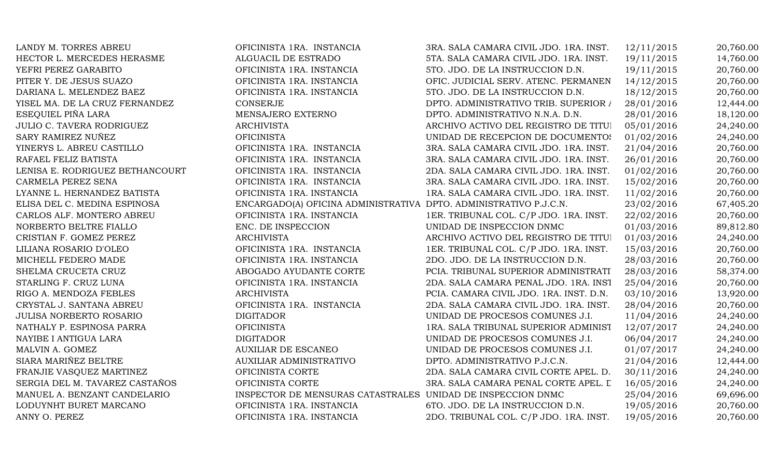| LANDY M. TORRES ABREU            | OFICINISTA 1RA. INSTANCIA                                         | 3RA. SALA CAMARA CIVIL JDO. 1RA. INST.  | 12/11/2015 | 20,760.00 |
|----------------------------------|-------------------------------------------------------------------|-----------------------------------------|------------|-----------|
| HECTOR L. MERCEDES HERASME       | ALGUACIL DE ESTRADO                                               | 5TA. SALA CAMARA CIVIL JDO. 1RA. INST.  | 19/11/2015 | 14,760.00 |
| YEFRI PEREZ GARABITO             | OFICINISTA 1RA. INSTANCIA                                         | 5TO. JDO. DE LA INSTRUCCION D.N.        | 19/11/2015 | 20,760.00 |
| PITER Y. DE JESUS SUAZO          | OFICINISTA 1RA. INSTANCIA                                         | OFIC. JUDICIAL SERV. ATENC. PERMANEN    | 14/12/2015 | 20,760.00 |
| DARIANA L. MELENDEZ BAEZ         | OFICINISTA 1RA. INSTANCIA                                         | 5TO. JDO. DE LA INSTRUCCION D.N.        | 18/12/2015 | 20,760.00 |
| YISEL MA. DE LA CRUZ FERNANDEZ   | <b>CONSERJE</b>                                                   | DPTO. ADMINISTRATIVO TRIB. SUPERIOR /   | 28/01/2016 | 12,444.00 |
| ESEQUIEL PIÑA LARA               | MENSAJERO EXTERNO                                                 | DPTO. ADMINISTRATIVO N.N.A. D.N.        | 28/01/2016 | 18,120.00 |
| <b>JULIO C. TAVERA RODRIGUEZ</b> | <b>ARCHIVISTA</b>                                                 | ARCHIVO ACTIVO DEL REGISTRO DE TITUI    | 05/01/2016 | 24,240.00 |
| SARY RAMIREZ NUÑEZ               | <b>OFICINISTA</b>                                                 | UNIDAD DE RECEPCION DE DOCUMENTOS       | 01/02/2016 | 24,240.00 |
| YINERYS L. ABREU CASTILLO        | OFICINISTA 1RA. INSTANCIA                                         | 3RA. SALA CAMARA CIVIL JDO. 1RA. INST.  | 21/04/2016 | 20,760.00 |
| RAFAEL FELIZ BATISTA             | OFICINISTA 1RA. INSTANCIA                                         | 3RA. SALA CAMARA CIVIL JDO. 1RA. INST.  | 26/01/2016 | 20,760.00 |
| LENISA E. RODRIGUEZ BETHANCOURT  | OFICINISTA 1RA. INSTANCIA                                         | 2DA. SALA CAMARA CIVIL JDO. 1RA. INST.  | 01/02/2016 | 20,760.00 |
| CARMELA PEREZ SENA               | OFICINISTA 1RA. INSTANCIA                                         | 3RA. SALA CAMARA CIVIL JDO. 1RA. INST.  | 15/02/2016 | 20,760.00 |
| LYANNE L. HERNANDEZ BATISTA      | OFICINISTA 1RA. INSTANCIA                                         | 1RA. SALA CAMARA CIVIL JDO. 1RA. INST.  | 11/02/2016 | 20,760.00 |
| ELISA DEL C. MEDINA ESPINOSA     | ENCARGADO(A) OFICINA ADMINISTRATIVA DPTO. ADMINISTRATIVO P.J.C.N. |                                         | 23/02/2016 | 67,405.20 |
| CARLOS ALF. MONTERO ABREU        | OFICINISTA 1RA. INSTANCIA                                         | 1ER. TRIBUNAL COL. C/P JDO. 1RA. INST.  | 22/02/2016 | 20,760.00 |
| NORBERTO BELTRE FIALLO           | ENC. DE INSPECCION                                                | UNIDAD DE INSPECCION DNMC               | 01/03/2016 | 89,812.80 |
| CRISTIAN F. GOMEZ PEREZ          | <b>ARCHIVISTA</b>                                                 | ARCHIVO ACTIVO DEL REGISTRO DE TITUI    | 01/03/2016 | 24,240.00 |
| LILIANA ROSARIO D'OLEO           | OFICINISTA 1RA. INSTANCIA                                         | 1ER. TRIBUNAL COL. C/P JDO. 1RA. INST.  | 15/03/2016 | 20,760.00 |
| MICHELL FEDERO MADE              | OFICINISTA 1RA. INSTANCIA                                         | 2DO. JDO. DE LA INSTRUCCION D.N.        | 28/03/2016 | 20,760.00 |
| SHELMA CRUCETA CRUZ              | ABOGADO AYUDANTE CORTE                                            | PCIA. TRIBUNAL SUPERIOR ADMINISTRATI    | 28/03/2016 | 58,374.00 |
| STARLING F. CRUZ LUNA            | OFICINISTA 1RA. INSTANCIA                                         | 2DA. SALA CAMARA PENAL JDO. 1RA. INST   | 25/04/2016 | 20,760.00 |
| RIGO A. MENDOZA FEBLES           | <b>ARCHIVISTA</b>                                                 | PCIA. CAMARA CIVIL JDO. 1RA. INST. D.N. | 03/10/2016 | 13,920.00 |
| CRYSTAL J. SANTANA ABREU         | OFICINISTA 1RA. INSTANCIA                                         | 2DA. SALA CAMARA CIVIL JDO. 1RA. INST.  | 28/04/2016 | 20,760.00 |
| JULISA NORBERTO ROSARIO          | <b>DIGITADOR</b>                                                  | UNIDAD DE PROCESOS COMUNES J.I.         | 11/04/2016 | 24,240.00 |
| NATHALY P. ESPINOSA PARRA        | <b>OFICINISTA</b>                                                 | 1RA. SALA TRIBUNAL SUPERIOR ADMINIST    | 12/07/2017 | 24,240.00 |
| NAYIBE I ANTIGUA LARA            | <b>DIGITADOR</b>                                                  | UNIDAD DE PROCESOS COMUNES J.I.         | 06/04/2017 | 24,240.00 |
| MALVIN A. GOMEZ                  | <b>AUXILIAR DE ESCANEO</b>                                        | UNIDAD DE PROCESOS COMUNES J.I.         | 01/07/2017 | 24,240.00 |
| SIARA MARIÑEZ BELTRE             | AUXILIAR ADMINISTRATIVO                                           | DPTO. ADMINISTRATIVO P.J.C.N.           | 21/04/2016 | 12,444.00 |
| FRANJIE VASQUEZ MARTINEZ         | OFICINISTA CORTE                                                  | 2DA. SALA CAMARA CIVIL CORTE APEL. D.   | 30/11/2016 | 24,240.00 |
| SERGIA DEL M. TAVAREZ CASTAÑOS   | OFICINISTA CORTE                                                  | 3RA. SALA CAMARA PENAL CORTE APEL. L    | 16/05/2016 | 24,240.00 |
| MANUEL A. BENZANT CANDELARIO     | INSPECTOR DE MENSURAS CATASTRALES UNIDAD DE INSPECCION DNMC       |                                         | 25/04/2016 | 69,696.00 |
| LODUYNHT BURET MARCANO           | OFICINISTA 1RA. INSTANCIA                                         | 6TO. JDO. DE LA INSTRUCCION D.N.        | 19/05/2016 | 20,760.00 |
| ANNY O. PEREZ                    | OFICINISTA 1RA. INSTANCIA                                         | 2DO. TRIBUNAL COL. C/P JDO. 1RA. INST.  | 19/05/2016 | 20,760.00 |
|                                  |                                                                   |                                         |            |           |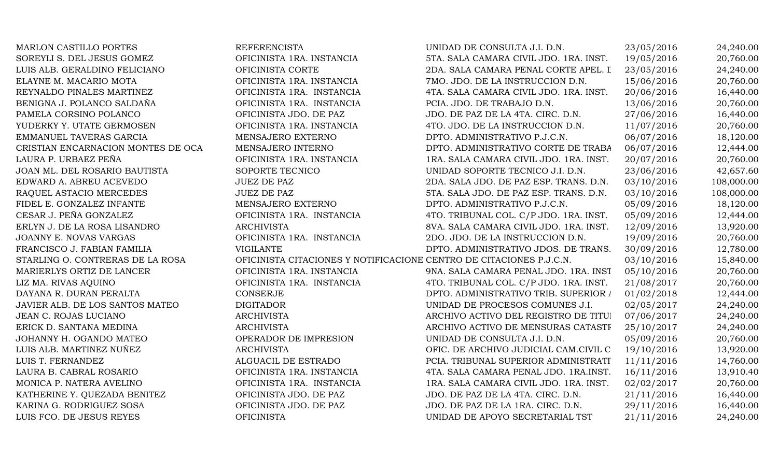| <b>MARLON CASTILLO PORTES</b>      | <b>REFERENCISTA</b>                                                 | UNIDAD DE CONSULTA J.I. D.N.           | 23/05/2016 | 24,240.00  |
|------------------------------------|---------------------------------------------------------------------|----------------------------------------|------------|------------|
| SOREYLI S. DEL JESUS GOMEZ         | OFICINISTA 1RA. INSTANCIA                                           | 5TA. SALA CAMARA CIVIL JDO. 1RA. INST. | 19/05/2016 | 20,760.00  |
| LUIS ALB. GERALDINO FELICIANO      | OFICINISTA CORTE                                                    | 2DA. SALA CAMARA PENAL CORTE APEL. I   | 23/05/2016 | 24,240.00  |
| ELAYNE M. MACARIO MOTA             | OFICINISTA 1RA. INSTANCIA                                           | 7MO. JDO. DE LA INSTRUCCION D.N.       | 15/06/2016 | 20,760.00  |
| REYNALDO PINALES MARTINEZ          | OFICINISTA 1RA. INSTANCIA                                           | 4TA. SALA CAMARA CIVIL JDO. 1RA. INST. | 20/06/2016 | 16,440.00  |
| BENIGNA J. POLANCO SALDAÑA         | OFICINISTA 1RA. INSTANCIA                                           | PCIA. JDO. DE TRABAJO D.N.             | 13/06/2016 | 20,760.00  |
| PAMELA CORSINO POLANCO             | OFICINISTA JDO. DE PAZ                                              | JDO. DE PAZ DE LA 4TA. CIRC. D.N.      | 27/06/2016 | 16,440.00  |
| YUDERKY Y. UTATE GERMOSEN          | OFICINISTA 1RA. INSTANCIA                                           | 4TO. JDO. DE LA INSTRUCCION D.N.       | 11/07/2016 | 20,760.00  |
| EMMANUEL TAVERAS GARCIA            | MENSAJERO EXTERNO                                                   | DPTO. ADMINISTRATIVO P.J.C.N.          | 06/07/2016 | 18,120.00  |
| CRISTIAN ENCARNACION MONTES DE OCA | MENSAJERO INTERNO                                                   | DPTO. ADMINISTRATIVO CORTE DE TRABA    | 06/07/2016 | 12,444.00  |
| LAURA P. URBAEZ PEÑA               | OFICINISTA 1RA. INSTANCIA                                           | 1RA. SALA CAMARA CIVIL JDO. 1RA. INST. | 20/07/2016 | 20,760.00  |
| JOAN ML. DEL ROSARIO BAUTISTA      | SOPORTE TECNICO                                                     | UNIDAD SOPORTE TECNICO J.I. D.N.       | 23/06/2016 | 42,657.60  |
| EDWARD A. ABREU ACEVEDO            | <b>JUEZ DE PAZ</b>                                                  | 2DA. SALA JDO. DE PAZ ESP. TRANS. D.N. | 03/10/2016 | 108,000.00 |
| RAQUEL ASTACIO MERCEDES            | <b>JUEZ DE PAZ</b>                                                  | 5TA. SALA JDO. DE PAZ ESP. TRANS. D.N. | 03/10/2016 | 108,000.00 |
| FIDEL E. GONZALEZ INFANTE          | MENSAJERO EXTERNO                                                   | DPTO. ADMINISTRATIVO P.J.C.N.          | 05/09/2016 | 18,120.00  |
| CESAR J. PEÑA GONZALEZ             | OFICINISTA 1RA. INSTANCIA                                           | 4TO. TRIBUNAL COL. C/P JDO. 1RA. INST. | 05/09/2016 | 12,444.00  |
| ERLYN J. DE LA ROSA LISANDRO       | <b>ARCHIVISTA</b>                                                   | 8VA. SALA CAMARA CIVIL JDO. 1RA. INST. | 12/09/2016 | 13,920.00  |
| JOANNY E. NOVAS VARGAS             | OFICINISTA 1RA. INSTANCIA                                           | 2DO. JDO. DE LA INSTRUCCION D.N.       | 19/09/2016 | 20,760.00  |
| FRANCISCO J. FABIAN FAMILIA        | <b>VIGILANTE</b>                                                    | DPTO. ADMINISTRATIVO JDOS. DE TRANS.   | 30/09/2016 | 12,780.00  |
| STARLING O. CONTRERAS DE LA ROSA   | OFICINISTA CITACIONES Y NOTIFICACIONE CENTRO DE CITACIONES P.J.C.N. |                                        | 03/10/2016 | 15,840.00  |
| MARIERLYS ORTIZ DE LANCER          | OFICINISTA 1RA. INSTANCIA                                           | 9NA. SALA CAMARA PENAL JDO. 1RA. INST  | 05/10/2016 | 20,760.00  |
| LIZ MA. RIVAS AQUINO               | OFICINISTA 1RA. INSTANCIA                                           | 4TO. TRIBUNAL COL. C/P JDO. 1RA. INST. | 21/08/2017 | 20,760.00  |
| DAYANA R. DURAN PERALTA            | CONSERJE                                                            | DPTO. ADMINISTRATIVO TRIB. SUPERIOR /  | 01/02/2018 | 12,444.00  |
| JAVIER ALB. DE LOS SANTOS MATEO    | <b>DIGITADOR</b>                                                    | UNIDAD DE PROCESOS COMUNES J.I.        | 02/05/2017 | 24,240.00  |
| JEAN C. ROJAS LUCIANO              | <b>ARCHIVISTA</b>                                                   | ARCHIVO ACTIVO DEL REGISTRO DE TITUI   | 07/06/2017 | 24,240.00  |
| ERICK D. SANTANA MEDINA            | <b>ARCHIVISTA</b>                                                   | ARCHIVO ACTIVO DE MENSURAS CATASTF     | 25/10/2017 | 24,240.00  |
| JOHANNY H. OGANDO MATEO            | OPERADOR DE IMPRESION                                               | UNIDAD DE CONSULTA J.I. D.N.           | 05/09/2016 | 20,760.00  |
| LUIS ALB. MARTINEZ NUÑEZ           | <b>ARCHIVISTA</b>                                                   | OFIC. DE ARCHIVO JUDICIAL CAM.CIVIL C  | 19/10/2016 | 13,920.00  |
| LUIS T. FERNANDEZ                  | ALGUACIL DE ESTRADO                                                 | PCIA. TRIBUNAL SUPERIOR ADMINISTRATI   | 11/11/2016 | 14,760.00  |
| LAURA B. CABRAL ROSARIO            | OFICINISTA 1RA. INSTANCIA                                           | 4TA. SALA CAMARA PENAL JDO. 1RA.INST.  | 16/11/2016 | 13,910.40  |
| MONICA P. NATERA AVELINO           | OFICINISTA 1RA. INSTANCIA                                           | 1RA. SALA CAMARA CIVIL JDO. 1RA. INST. | 02/02/2017 | 20,760.00  |
| KATHERINE Y. QUEZADA BENITEZ       | OFICINISTA JDO. DE PAZ                                              | JDO. DE PAZ DE LA 4TA. CIRC. D.N.      | 21/11/2016 | 16,440.00  |
| KARINA G. RODRIGUEZ SOSA           | OFICINISTA JDO. DE PAZ                                              | JDO. DE PAZ DE LA 1RA. CIRC. D.N.      | 29/11/2016 | 16,440.00  |
| LUIS FCO. DE JESUS REYES           | <b>OFICINISTA</b>                                                   | UNIDAD DE APOYO SECRETARIAL TST        | 21/11/2016 | 24,240.00  |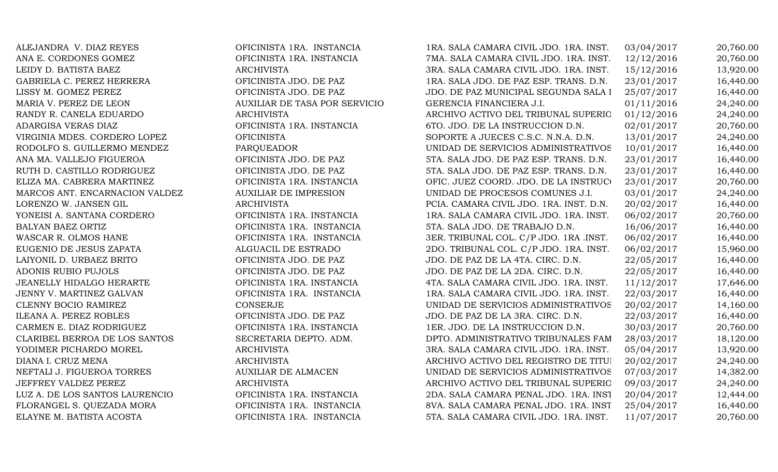ALEJANDRA V. DIAZ REYES **OFICINISTA 1RA. INSTANCIA** 1RA. SALA CAMARA CIVIL JDO. 1RA. INST. 03/04/2017 20,760.00 ANA E. CORDONES GOMEZ **OFICINISTA 1RA. INSTANCIA** 7MA. SALA CAMARA CIVIL JDO. 1RA. INST. 12/12/2016 20,760.00 LEIDY D. BATISTA BAEZ ARCHIVISTA ARCHIVISTA 3RA. SALA CAMARA CIVIL JDO. 1RA. INST. 15/12/2016 13,920.00 GABRIELA C. PEREZ HERRERA OFICINISTA JDO. DE PAZ 1RA. SALA JDO. DE PAZ ESP. TRANS. D.N. 23/01/2017 16,440.00 LISSY M. GOMEZ PEREZ CORICINISTA JDO. DE PAZ JDO. DE PAZ JUDO. DE PAZ MUNICIPAL SEGUNDA SALA I 25/07/2017 16,440.00 MARIA V. PEREZ DE LEON AUXILIAR DE TASA POR SERVICIO GERENCIA FINANCIERA J.I. 01/11/2016 24,240.00 RANDY R. CANELA EDUARDO ARCHIVISTA ARCHIVISTA ARCHIVO ACTIVO DEL TRIBUNAL SUPERIO 01/12/2016 24.240.00 ADARGISA VERAS DIAZ **OFICINISTA 1RA. INSTANCIA** 6TO. JDO. DE LA INSTRUCCION D.N. 02/01/2017 20,760.00 VIRGINIA MDES. CORDERO LOPEZ OFICINISTA OFICINISTA SOPORTE A JUECES C.S.C. N.N.A. D.N. 13/01/2017 24,240.00 RODOLFO S. GUILLERMO MENDEZ PARQUEADOR DE SERVICIOS ADMINISTRATIVOS 10/01/2017 16,440.00 ANA MA. VALLEJO FIGUEROA OFICINISTA JDO. DE PAZ 5TA. SALA JDO. DE PAZ ESP. TRANS. D.N. 23/01/2017 16,440.00 RUTH D. CASTILLO RODRIGUEZ CHE CHICINISTA JDO. DE PAZ 5TA. SALA JDO. DE PAZ ESP. TRANS. D.N. 23/01/2017 16,440.00 ELIZA MA. CABRERA MARTINEZ **OFICINISTA 1RA. INSTANCIA** OFIC. JUEZ COORD. JDO. DE LA INSTRUC<sup>I</sup> 23/01/2017 20,760.00 MARCOS ANT. ENCARNACION VALDEZ AUXILIAR DE IMPRESION UNIDAD DE PROCESOS COMUNES J.I. 03/01/2017 24,240.00 LORENZO W. JANSEN GIL **ARCHIVISTA** ARCHIVISTA PCIA. CAMARA CIVIL JDO. 1RA. INST. D.N. 20/02/2017 16,440.00 YONEISI A. SANTANA CORDERO **OFICINISTA 1RA. INSTANCIA** 1RA. SALA CAMARA CIVIL JDO. 1RA. INST. 06/02/2017 20,760.00 BALYAN BAEZ ORTIZ **EXECUTIVE OF SUBSEX OF ICINISTA 1RA. INSTANCIA** 5TA. SALA JDO. DE TRABAJO D.N. 16/06/2017 16,440.00 WASCAR R. OLMOS HANE **OFICINISTA 1RA. INSTANCIA** 3ER. TRIBUNAL COL. C/P JDO. 1RA .INST. 06/02/2017 16,440.00 EUGENIO DE JESUS ZAPATA ALGUACIL DE ESTRADO 2DO. TRIBUNAL COL. C/P JDO. 1RA. INST. 06/02/2017 15,960.00 LAIYONIL D. URBAEZ BRITO **OFICINISTA JDO. DE PAZ** JDO. DE PAZ DE LA 4TA. CIRC. D.N. 22/05/2017 16,440.00 ADONIS RUBIO PUJOLS **OFICINISTA JDO. DE PAZ** JDO. DE PAZ DE LA 2DA. CIRC. D.N. 22/05/2017 16,440.00 JEANELLY HIDALGO HERARTE **OFICINISTA 1RA. INSTANCIA** 4TA. SALA CAMARA CIVIL JDO. 1RA. INST. 11/12/2017 17,646.00 JENNY V. MARTINEZ GALVAN **OFICINISTA 1RA. INSTANCIA** 1RA. SALA CAMARA CIVIL JDO. 1RA. INST. 22/03/2017 16,440.00 CLENNY BOCIO RAMIREZ CONSERJE CONSERIE UNIDAD DE SERVICIOS ADMINISTRATIVOS 20/02/2017 14,160.00 ILEANA A. PEREZ ROBLES **OFICINISTA JDO. DE PAZ** JDO. DE PAZ DE LA 3RA. CIRC. D.N. 22/03/2017 16,440.00 CARMEN E. DIAZ RODRIGUEZ **OFICINISTA 1RA. INSTANCIA** 1ER. JDO. DE LA INSTRUCCION D.N. 30/03/2017 20,760.00 CLARIBEL BERROA DE LOS SANTOS SECRETARIA DEPTO. ADM. DPTO. ADMINISTRATIVO TRIBUNALES FAM 28/03/2017 18,120.00 YODIMER PICHARDO MOREL ARCHIVISTA ARCHIVISTA 3RA. SALA CAMARA CIVIL JDO. 1RA. INST. 05/04/2017 13,920.00 DIANA I. CRUZ MENA ANGHIVISTA ARCHIVISTA ARCHIVO ACTIVO DEL REGISTRO DE TITULOS 20/02/2017 24.240.00 NEFTALI J. FIGUEROA TORRES AUXILIAR DE ALMACEN UNIDAD DE SERVICIOS ADMINISTRATIVOS 07/03/2017 14,382.00 JEFFREY VALDEZ PEREZ ARCHIVISTA ARCHIVO ARCHIVO ACTIVO DEL TRIBUNAL SUPERIO 09/03/2017 24,240.00 LUZ A. DE LOS SANTOS LAURENCIO **OFICINISTA 1RA. INSTANCIA** 2DA. SALA CAMARA PENAL JDO. 1RA. INST. 20/04/2017 12,444.00 FLORANGEL S. QUEZADA MORA OFICINISTA 1RA. INSTANCIA 8VA. SALA CAMARA PENAL JDO. 1RA. INST. 25/04/2017 16,440.00 ELAYNE M. BATISTA ACOSTA **OFICINISTA 1RA. INSTANCIA** 5TA. SALA CAMARA CIVIL JDO. 1RA. INST. 11/07/2017 20,760.00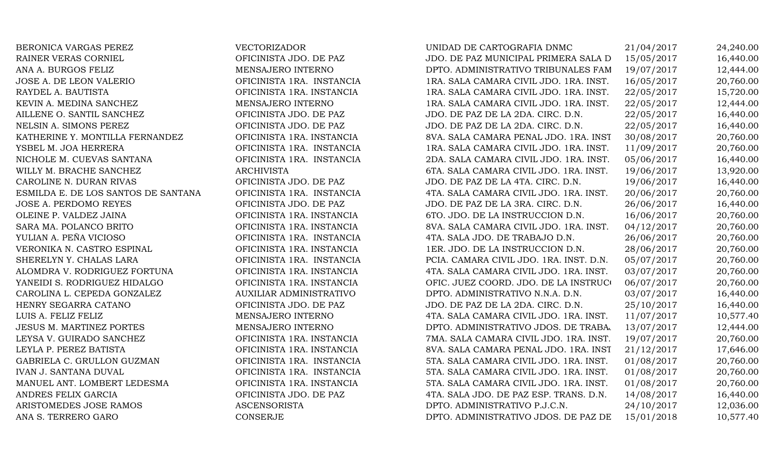| BERONICA VARGAS PEREZ               | VECTORIZADOR              | UNIDAD DE CARTOGRAFIA DNMC              | 21/04/2017 | 24,240.00 |
|-------------------------------------|---------------------------|-----------------------------------------|------------|-----------|
| RAINER VERAS CORNIEL                | OFICINISTA JDO. DE PAZ    | JDO. DE PAZ MUNICIPAL PRIMERA SALA D    | 15/05/2017 | 16,440.00 |
| ANA A. BURGOS FELIZ                 | MENSAJERO INTERNO         | DPTO. ADMINISTRATIVO TRIBUNALES FAM     | 19/07/2017 | 12,444.00 |
| JOSE A. DE LEON VALERIO             | OFICINISTA 1RA. INSTANCIA | 1RA. SALA CAMARA CIVIL JDO. 1RA. INST.  | 16/05/2017 | 20,760.00 |
| RAYDEL A. BAUTISTA                  | OFICINISTA 1RA. INSTANCIA | 1RA. SALA CAMARA CIVIL JDO. 1RA. INST.  | 22/05/2017 | 15,720.00 |
| KEVIN A. MEDINA SANCHEZ             | MENSAJERO INTERNO         | 1RA. SALA CAMARA CIVIL JDO. 1RA. INST.  | 22/05/2017 | 12,444.00 |
| AILLENE O. SANTIL SANCHEZ           | OFICINISTA JDO. DE PAZ    | JDO. DE PAZ DE LA 2DA. CIRC. D.N.       | 22/05/2017 | 16,440.00 |
| NELSIN A. SIMONS PEREZ              | OFICINISTA JDO. DE PAZ    | JDO. DE PAZ DE LA 2DA. CIRC. D.N.       | 22/05/2017 | 16,440.00 |
| KATHERINE Y. MONTILLA FERNANDEZ     | OFICINISTA 1RA. INSTANCIA | 8VA. SALA CAMARA PENAL JDO. 1RA. INST   | 30/08/2017 | 20,760.00 |
| YSBEL M. JOA HERRERA                | OFICINISTA 1RA. INSTANCIA | 1RA. SALA CAMARA CIVIL JDO. 1RA. INST.  | 11/09/2017 | 20,760.00 |
| NICHOLE M. CUEVAS SANTANA           | OFICINISTA 1RA. INSTANCIA | 2DA. SALA CAMARA CIVIL JDO. 1RA. INST.  | 05/06/2017 | 16,440.00 |
| WILLY M. BRACHE SANCHEZ             | <b>ARCHIVISTA</b>         | 6TA. SALA CAMARA CIVIL JDO. 1RA. INST.  | 19/06/2017 | 13,920.00 |
| CAROLINE N. DURAN RIVAS             | OFICINISTA JDO. DE PAZ    | JDO. DE PAZ DE LA 4TA. CIRC. D.N.       | 19/06/2017 | 16,440.00 |
| ESMILDA E. DE LOS SANTOS DE SANTANA | OFICINISTA 1RA. INSTANCIA | 4TA. SALA CAMARA CIVIL JDO. 1RA. INST.  | 20/06/2017 | 20,760.00 |
| <b>JOSE A. PERDOMO REYES</b>        | OFICINISTA JDO. DE PAZ    | JDO. DE PAZ DE LA 3RA. CIRC. D.N.       | 26/06/2017 | 16,440.00 |
| OLEINE P. VALDEZ JAINA              | OFICINISTA 1RA. INSTANCIA | 6TO. JDO. DE LA INSTRUCCION D.N.        | 16/06/2017 | 20,760.00 |
| SARA MA. POLANCO BRITO              | OFICINISTA 1RA. INSTANCIA | 8VA. SALA CAMARA CIVIL JDO. 1RA. INST.  | 04/12/2017 | 20,760.00 |
| YULIAN A. PEÑA VICIOSO              | OFICINISTA 1RA. INSTANCIA | 4TA. SALA JDO. DE TRABAJO D.N.          | 26/06/2017 | 20,760.00 |
| VERONIKA N. CASTRO ESPINAL          | OFICINISTA 1RA. INSTANCIA | 1ER. JDO. DE LA INSTRUCCION D.N.        | 28/06/2017 | 20,760.00 |
| SHERELYN Y. CHALAS LARA             | OFICINISTA 1RA. INSTANCIA | PCIA. CAMARA CIVIL JDO. 1RA. INST. D.N. | 05/07/2017 | 20,760.00 |
| ALOMDRA V. RODRIGUEZ FORTUNA        | OFICINISTA 1RA. INSTANCIA | 4TA. SALA CAMARA CIVIL JDO. 1RA. INST.  | 03/07/2017 | 20,760.00 |
| YANEIDI S. RODRIGUEZ HIDALGO        | OFICINISTA 1RA. INSTANCIA | OFIC. JUEZ COORD. JDO. DE LA INSTRUCO   | 06/07/2017 | 20,760.00 |
| CAROLINA L. CEPEDA GONZALEZ         | AUXILIAR ADMINISTRATIVO   | DPTO. ADMINISTRATIVO N.N.A. D.N.        | 03/07/2017 | 16,440.00 |
| HENRY SEGARRA CATANO                | OFICINISTA JDO. DE PAZ    | JDO. DE PAZ DE LA 2DA. CIRC. D.N.       | 25/10/2017 | 16,440.00 |
| LUIS A. FELIZ FELIZ                 | MENSAJERO INTERNO         | 4TA. SALA CAMARA CIVIL JDO. 1RA. INST.  | 11/07/2017 | 10,577.40 |
| <b>JESUS M. MARTINEZ PORTES</b>     | MENSAJERO INTERNO         | DPTO. ADMINISTRATIVO JDOS. DE TRABA     | 13/07/2017 | 12,444.00 |
| LEYSA V. GUIRADO SANCHEZ            | OFICINISTA 1RA. INSTANCIA | 7MA. SALA CAMARA CIVIL JDO. 1RA. INST.  | 19/07/2017 | 20,760.00 |
| LEYLA P. PEREZ BATISTA              | OFICINISTA 1RA. INSTANCIA | 8VA. SALA CAMARA PENAL JDO. 1RA. INST   | 21/12/2017 | 17,646.00 |
| GABRIELA C. GRULLON GUZMAN          | OFICINISTA 1RA. INSTANCIA | 5TA. SALA CAMARA CIVIL JDO. 1RA. INST.  | 01/08/2017 | 20,760.00 |
| IVAN J. SANTANA DUVAL               | OFICINISTA 1RA. INSTANCIA | 5TA. SALA CAMARA CIVIL JDO. 1RA. INST.  | 01/08/2017 | 20,760.00 |
| MANUEL ANT. LOMBERT LEDESMA         | OFICINISTA 1RA. INSTANCIA | 5TA. SALA CAMARA CIVIL JDO. 1RA. INST.  | 01/08/2017 | 20,760.00 |
| ANDRES FELIX GARCIA                 | OFICINISTA JDO. DE PAZ    | 4TA. SALA JDO. DE PAZ ESP. TRANS. D.N.  | 14/08/2017 | 16,440.00 |
| ARISTOMEDES JOSE RAMOS              | <b>ASCENSORISTA</b>       | DPTO. ADMINISTRATIVO P.J.C.N.           | 24/10/2017 | 12,036.00 |
| ANA S. TERRERO GARO                 | <b>CONSERJE</b>           | DPTO. ADMINISTRATIVO JDOS. DE PAZ DE    | 15/01/2018 | 10,577.40 |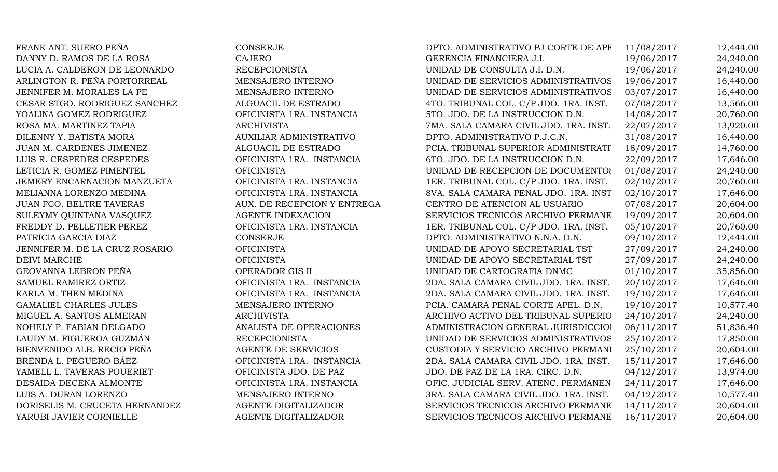FRANK ANT. SUERO PEÑA CONSERJE CONSERJE DPTO. ADMINISTRATIVO PJ CORTE DE APE 11/08/2017 12,444.00 DANNY D. RAMOS DE LA ROSA CAJERO CAJERO GERENCIA FINANCIERA J.I. 19/06/2017 24,240.00 LUCIA A. CALDERON DE LEONARDO RECEPCIONISTA UNIDAD DE CONSULTA J.I. D.N. 19/06/2017 24,240.00 ARLINGTON R. PEÑA PORTORREAL MENSAJERO INTERNO UNIDAD DE SERVICIOS ADMINISTRATIVOS 19/06/2017 16,440.00 JENNIFER M. MORALES LA PE **MENSAJERO INTERNO** UNIDAD DE SERVICIOS ADMINISTRATIVOS 03/07/2017 16,440.00 CESAR STGO. RODRIGUEZ SANCHEZ ALGUACIL DE ESTRADO 4TO. TRIBUNAL COL. C/P JDO. 1RA. INST. 07/08/2017 13,566.00 YOALINA GOMEZ RODRIGUEZ **OFICINISTA 1RA. INSTANCIA** 5TO. JDO. DE LA INSTRUCCION D.N. 14/08/2017 20,760.00 ROSA MA. MARTINEZ TAPIA **ARCHIVISTA** ARCHIVISTA 7MA. SALA CAMARA CIVIL JDO. 1RA. INST. 22/07/2017 13,920.00 DILENNY Y. BATISTA MORA AUXILIAR ADMINISTRATIVO DPTO. ADMINISTRATIVO P.J.C.N. 31/08/2017 16,440.00 JUAN M. CARDENES JIMENEZ ALGUACIL DE ESTRADO PCIA. TRIBUNAL SUPERIOR ADMINISTRATI 18/09/2017 14,760.00 LUIS R. CESPEDES CESPEDES **CESPEDES** OFICINISTA 1RA. INSTANCIA 6TO. JDO. DE LA INSTRUCCION D.N. 22/09/2017 17,646.00 LETICIA R. GOMEZ PIMENTEL **OFICINISTA** OFICINISTA UNIDAD DE RECEPCION DE DOCUMENTOS 01/08/2017 24,240.00 JEMERY ENCARNACION MANZUETA OFICINISTA 1RA. INSTANCIA 1ER. TRIBUNAL COL. C/P JDO. 1RA. INST. 02/10/2017 20,760.00 MELIANNA LORENZO MEDINA  $\qquad \qquad \text{OFICINISTA IRA. INSTANCIA}$  8VA. SALA CAMARA PENAL JDO. 1RA. INST. 02/10/2017 17,646.00 JUAN FCO. BELTRE TAVERAS AUX. DE RECEPCION Y ENTREGA CENTRO DE ATENCION AL USUARIO 07/08/2017 20,604.00 SULEYMY QUINTANA VASQUEZ AGENTE INDEXACION SERVICIOS TECNICOS ARCHIVO PERMANE 19/09/2017 20,604.00 FREDDY D. PELLETIER PEREZ **OFICINISTA 1RA. INSTANCIA** 1ER. TRIBUNAL COL. C/P JDO. 1RA. INST. 05/10/2017 20,760.00 PATRICIA GARCIA DIAZ CONSERJE CONSERIE DPTO. ADMINISTRATIVO N.N.A. D.N. 09/10/2017 12,444.00 JENNIFER M. DE LA CRUZ ROSARIO OFICINISTA UNIDAD DE APOYO SECRETARIAL TST 27/09/2017 24,240.00 DEIVI MARCHE OFICINISTA UNIDAD DE APOYO SECRETARIAL TST 27/09/2017 24,240.00 GEOVANNA LEBRON PEÑA OPERADOR GIS II UNIDAD DE CARTOGRAFIA DNMC 01/10/2017 35,856.00 SAMUEL RAMIREZ ORTIZ CHERO OFICINISTA 1RA. INSTANCIA 2DA. SALA CAMARA CIVIL JDO. 1RA. INST. 20/10/2017 17,646.00 KARLA M. THEN MEDINA **OFICINISTA 1RA. INSTANCIA** 2DA. SALA CAMARA CIVIL JDO. 1RA. INST. 19/10/2017 17,646.00 GAMALIEL CHARLES JULES MENSAJERO INTERNO PCIA. CAMARA PENAL CORTE APEL. D.N. 19/10/2017 10.577.40 MIGUEL A. SANTOS ALMERAN ARCHIVISTA ARCHIVISTA ARCHIVO ACTIVO DEL TRIBUNAL SUPERIO 24/10/2017 24,240.00 NOHELY P. FABIAN DELGADO ANALISTA DE OPERACIONES ADMINISTRACION GENERAL JURISDICCIO 06/11/2017 51,836.40 LAUDY M. FIGUEROA GUZMÁN RECEPCIONISTA RECEPCIONISTA UNIDAD DE SERVICIOS ADMINISTRATIVOS 25/10/2017 17,850.00 BIENVENIDO ALB. RECIO PEÑA AGENTE DE SERVICIOS CUSTODIA Y SERVICIO ARCHIVO PERMANI 25/10/2017 20,604.00 BRENDA L. PEGUERO BÁEZ **OFICINISTA 1RA. INSTANCIA** 2DA. SALA CAMARA CIVIL JDO. 1RA. INST. 15/11/2017 17,646.00 YAMELL L. TAVERAS POUERIET OFICINISTA JDO. DE PAZ JDO. DE PAZ DE LA 1RA. CIRC. D.N. 04/12/2017 13,974.00 DESAIDA DECENA ALMONTE **OFICINISTA 1RA. INSTANCIA** OFIC. JUDICIAL SERV. ATENC. PERMANEN 24/11/2017 17,646.00 LUIS A. DURAN LORENZO MENSAJERO INTERNO 3RA. SALA CAMARA CIVIL JDO. 1RA. INST. 04/12/2017 10,577.40 DORISELIS M. CRUCETA HERNANDEZ AGENTE DIGITALIZADOR SERVICIOS TECNICOS ARCHIVO PERMANE 14/11/2017 20,604.00 YARUBI JAVIER CORNIELLE AGENTE DIGITALIZADOR SERVICIOS TECNICOS ARCHIVO PERMANE 16/11/2017 20,604.00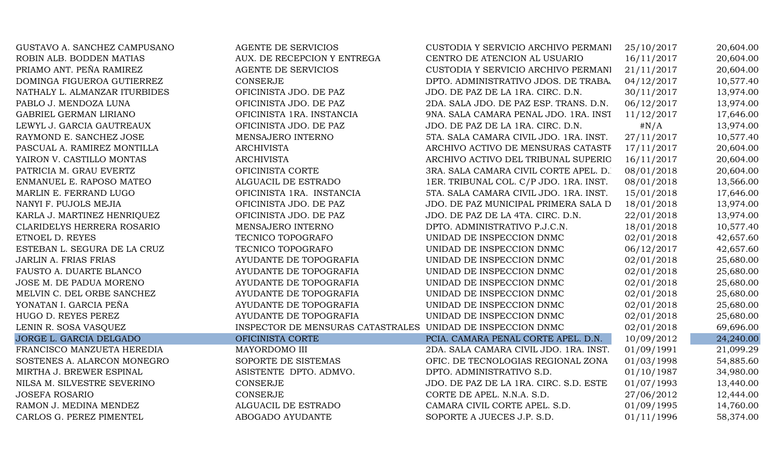| GUSTAVO A. SANCHEZ CAMPUSANO  | <b>AGENTE DE SERVICIOS</b>                                  | CUSTODIA Y SERVICIO ARCHIVO PERMANI    | 25/10/2017 | 20,604.00 |
|-------------------------------|-------------------------------------------------------------|----------------------------------------|------------|-----------|
| ROBIN ALB. BODDEN MATIAS      | AUX. DE RECEPCION Y ENTREGA                                 | CENTRO DE ATENCION AL USUARIO          | 16/11/2017 | 20,604.00 |
| PRIAMO ANT. PEÑA RAMIREZ      | <b>AGENTE DE SERVICIOS</b>                                  | CUSTODIA Y SERVICIO ARCHIVO PERMANI    | 21/11/2017 | 20,604.00 |
| DOMINGA FIGUEROA GUTIERREZ    | <b>CONSERJE</b>                                             | DPTO. ADMINISTRATIVO JDOS. DE TRABA.   | 04/12/2017 | 10,577.40 |
| NATHALY L. ALMANZAR ITURBIDES | OFICINISTA JDO. DE PAZ                                      | JDO. DE PAZ DE LA 1RA. CIRC. D.N.      | 30/11/2017 | 13,974.00 |
| PABLO J. MENDOZA LUNA         | OFICINISTA JDO. DE PAZ                                      | 2DA. SALA JDO. DE PAZ ESP. TRANS. D.N. | 06/12/2017 | 13,974.00 |
| GABRIEL GERMAN LIRIANO        | OFICINISTA 1RA. INSTANCIA                                   | 9NA. SALA CAMARA PENAL JDO. 1RA. INST  | 11/12/2017 | 17,646.00 |
| LEWYL J. GARCIA GAUTREAUX     | OFICINISTA JDO. DE PAZ                                      | JDO. DE PAZ DE LA 1RA. CIRC. D.N.      | $\#N/A$    | 13,974.00 |
| RAYMOND E. SANCHEZ JOSE       | MENSAJERO INTERNO                                           | 5TA. SALA CAMARA CIVIL JDO. 1RA. INST. | 27/11/2017 | 10,577.40 |
| PASCUAL A. RAMIREZ MONTILLA   | <b>ARCHIVISTA</b>                                           | ARCHIVO ACTIVO DE MENSURAS CATASTF     | 17/11/2017 | 20,604.00 |
| YAIRON V. CASTILLO MONTAS     | <b>ARCHIVISTA</b>                                           | ARCHIVO ACTIVO DEL TRIBUNAL SUPERIO    | 16/11/2017 | 20,604.00 |
| PATRICIA M. GRAU EVERTZ       | OFICINISTA CORTE                                            | 3RA. SALA CAMARA CIVIL CORTE APEL. D.  | 08/01/2018 | 20,604.00 |
| ENMANUEL E. RAPOSO MATEO      | ALGUACIL DE ESTRADO                                         | 1ER. TRIBUNAL COL. C/P JDO. 1RA. INST. | 08/01/2018 | 13,566.00 |
| MARLIN E. FERRAND LUGO        | OFICINISTA 1RA. INSTANCIA                                   | 5TA. SALA CAMARA CIVIL JDO. 1RA. INST. | 15/01/2018 | 17,646.00 |
| NANYI F. PUJOLS MEJIA         | OFICINISTA JDO. DE PAZ                                      | JDO. DE PAZ MUNICIPAL PRIMERA SALA D   | 18/01/2018 | 13,974.00 |
| KARLA J. MARTINEZ HENRIQUEZ   | OFICINISTA JDO. DE PAZ                                      | JDO. DE PAZ DE LA 4TA. CIRC. D.N.      | 22/01/2018 | 13,974.00 |
| CLARIDELYS HERRERA ROSARIO    | MENSAJERO INTERNO                                           | DPTO. ADMINISTRATIVO P.J.C.N.          | 18/01/2018 | 10,577.40 |
| ETNOEL D. REYES               | TECNICO TOPOGRAFO                                           | UNIDAD DE INSPECCION DNMC              | 02/01/2018 | 42,657.60 |
| ESTEBAN L. SEGURA DE LA CRUZ  | TECNICO TOPOGRAFO                                           | UNIDAD DE INSPECCION DNMC              | 06/12/2017 | 42,657.60 |
| <b>JARLIN A. FRIAS FRIAS</b>  | AYUDANTE DE TOPOGRAFIA                                      | UNIDAD DE INSPECCION DNMC              | 02/01/2018 | 25,680.00 |
| FAUSTO A. DUARTE BLANCO       | AYUDANTE DE TOPOGRAFIA                                      | UNIDAD DE INSPECCION DNMC              | 02/01/2018 | 25,680.00 |
| JOSE M. DE PADUA MORENO       | AYUDANTE DE TOPOGRAFIA                                      | UNIDAD DE INSPECCION DNMC              | 02/01/2018 | 25,680.00 |
| MELVIN C. DEL ORBE SANCHEZ    | AYUDANTE DE TOPOGRAFIA                                      | UNIDAD DE INSPECCION DNMC              | 02/01/2018 | 25,680.00 |
| YONATAN I. GARCIA PEÑA        | AYUDANTE DE TOPOGRAFIA                                      | UNIDAD DE INSPECCION DNMC              | 02/01/2018 | 25,680.00 |
| HUGO D. REYES PEREZ           | AYUDANTE DE TOPOGRAFIA                                      | UNIDAD DE INSPECCION DNMC              | 02/01/2018 | 25,680.00 |
| LENIN R. SOSA VASQUEZ         | INSPECTOR DE MENSURAS CATASTRALES UNIDAD DE INSPECCION DNMC |                                        | 02/01/2018 | 69,696.00 |
| JORGE L. GARCIA DELGADO       | OFICINISTA CORTE                                            | PCIA. CAMARA PENAL CORTE APEL. D.N.    | 10/09/2012 | 24,240.00 |
| FRANCISCO MANZUETA HEREDIA    | MAYORDOMO III                                               | 2DA. SALA CAMARA CIVIL JDO. 1RA. INST. | 01/09/1991 | 21,099.29 |
| SOSTENES A. ALARCON MONEGRO   | SOPORTE DE SISTEMAS                                         | OFIC. DE TECNOLOGIAS REGIONAL ZONA     | 01/03/1998 | 54,885.60 |
| MIRTHA J. BREWER ESPINAL      | ASISTENTE DPTO. ADMVO.                                      | DPTO. ADMINISTRATIVO S.D.              | 01/10/1987 | 34,980.00 |
| NILSA M. SILVESTRE SEVERINO   | CONSERJE                                                    | JDO. DE PAZ DE LA 1RA. CIRC. S.D. ESTE | 01/07/1993 | 13,440.00 |
| <b>JOSEFA ROSARIO</b>         | CONSERJE                                                    | CORTE DE APEL. N.N.A. S.D.             | 27/06/2012 | 12,444.00 |
| RAMON J. MEDINA MENDEZ        | ALGUACIL DE ESTRADO                                         | CAMARA CIVIL CORTE APEL. S.D.          | 01/09/1995 | 14,760.00 |
| CARLOS G. PEREZ PIMENTEL      | ABOGADO AYUDANTE                                            | SOPORTE A JUECES J.P. S.D.             | 01/11/1996 | 58,374.00 |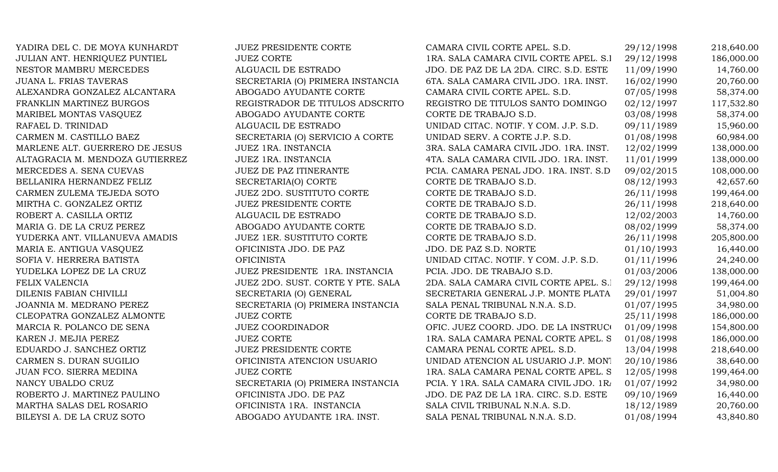| YADIRA DEL C. DE MOYA KUNHARDT  | <b>JUEZ PRESIDENTE CORTE</b>      | CAMARA CIVIL CORTE APEL. S.D.           | 29/12/1998 | 218,640.00 |
|---------------------------------|-----------------------------------|-----------------------------------------|------------|------------|
| JULIAN ANT. HENRIQUEZ PUNTIEL   | <b>JUEZ CORTE</b>                 | 1RA. SALA CAMARA CIVIL CORTE APEL. S.I  | 29/12/1998 | 186,000.00 |
| NESTOR MAMBRU MERCEDES          | ALGUACIL DE ESTRADO               | JDO. DE PAZ DE LA 2DA. CIRC. S.D. ESTE  | 11/09/1990 | 14,760.00  |
| JUANA L. FRIAS TAVERAS          | SECRETARIA (O) PRIMERA INSTANCIA  | 6TA. SALA CAMARA CIVIL JDO. 1RA. INST.  | 16/02/1990 | 20,760.00  |
| ALEXANDRA GONZALEZ ALCANTARA    | ABOGADO AYUDANTE CORTE            | CAMARA CIVIL CORTE APEL. S.D.           | 07/05/1998 | 58,374.00  |
| FRANKLIN MARTINEZ BURGOS        | REGISTRADOR DE TITULOS ADSCRITO   | REGISTRO DE TITULOS SANTO DOMINGO       | 02/12/1997 | 117,532.80 |
| MARIBEL MONTAS VASQUEZ          | ABOGADO AYUDANTE CORTE            | CORTE DE TRABAJO S.D.                   | 03/08/1998 | 58,374.00  |
| RAFAEL D. TRINIDAD              | ALGUACIL DE ESTRADO               | UNIDAD CITAC. NOTIF. Y COM. J.P. S.D.   | 09/11/1989 | 15,960.00  |
| CARMEN M. CASTILLO BAEZ         | SECRETARIA (O) SERVICIO A CORTE   | UNIDAD SERV. A CORTE J.P. S.D.          | 01/08/1998 | 60,984.00  |
| MARLENE ALT. GUERRERO DE JESUS  | JUEZ 1RA. INSTANCIA               | 3RA. SALA CAMARA CIVIL JDO. 1RA. INST.  | 12/02/1999 | 138,000.00 |
| ALTAGRACIA M. MENDOZA GUTIERREZ | JUEZ 1RA. INSTANCIA               | 4TA. SALA CAMARA CIVIL JDO. 1RA. INST.  | 11/01/1999 | 138,000.00 |
| MERCEDES A. SENA CUEVAS         | <b>JUEZ DE PAZ ITINERANTE</b>     | PCIA. CAMARA PENAL JDO. 1RA. INST. S.D  | 09/02/2015 | 108,000.00 |
| BELLANIRA HERNANDEZ FELIZ       | SECRETARIA(O) CORTE               | CORTE DE TRABAJO S.D.                   | 08/12/1993 | 42,657.60  |
| CARMEN ZULEMA TEJEDA SOTO       | JUEZ 2DO. SUSTITUTO CORTE         | CORTE DE TRABAJO S.D.                   | 26/11/1998 | 199,464.00 |
| MIRTHA C. GONZALEZ ORTIZ        | <b>JUEZ PRESIDENTE CORTE</b>      | CORTE DE TRABAJO S.D.                   | 26/11/1998 | 218,640.00 |
| ROBERT A. CASILLA ORTIZ         | ALGUACIL DE ESTRADO               | CORTE DE TRABAJO S.D.                   | 12/02/2003 | 14,760.00  |
| MARIA G. DE LA CRUZ PEREZ       | ABOGADO AYUDANTE CORTE            | CORTE DE TRABAJO S.D.                   | 08/02/1999 | 58,374.00  |
| YUDERKA ANT. VILLANUEVA AMADIS  | <b>JUEZ 1ER. SUSTITUTO CORTE</b>  | CORTE DE TRABAJO S.D.                   | 26/11/1998 | 205,800.00 |
| MARIA E. ANTIGUA VASQUEZ        | OFICINISTA JDO. DE PAZ            | JDO. DE PAZ S.D. NORTE                  | 01/10/1993 | 16,440.00  |
| SOFIA V. HERRERA BATISTA        | <b>OFICINISTA</b>                 | UNIDAD CITAC. NOTIF. Y COM. J.P. S.D.   | 01/11/1996 | 24,240.00  |
| YUDELKA LOPEZ DE LA CRUZ        | JUEZ PRESIDENTE 1RA. INSTANCIA    | PCIA. JDO. DE TRABAJO S.D.              | 01/03/2006 | 138,000.00 |
| FELIX VALENCIA                  | JUEZ 2DO. SUST. CORTE Y PTE. SALA | 2DA. SALA CAMARA CIVIL CORTE APEL. S.1  | 29/12/1998 | 199,464.00 |
| DILENIS FABIAN CHIVILLI         | SECRETARIA (O) GENERAL            | SECRETARIA GENERAL J.P. MONTE PLATA     | 29/01/1997 | 51,004.80  |
| JOANNIA M. MEDRANO PEREZ        | SECRETARIA (O) PRIMERA INSTANCIA  | SALA PENAL TRIBUNAL N.N.A. S.D.         | 01/07/1995 | 34,980.00  |
| CLEOPATRA GONZALEZ ALMONTE      | <b>JUEZ CORTE</b>                 | CORTE DE TRABAJO S.D.                   | 25/11/1998 | 186,000.00 |
| MARCIA R. POLANCO DE SENA       | <b>JUEZ COORDINADOR</b>           | OFIC. JUEZ COORD. JDO. DE LA INSTRUCO   | 01/09/1998 | 154,800.00 |
| KAREN J. MEJIA PEREZ            | <b>JUEZ CORTE</b>                 | 1RA. SALA CAMARA PENAL CORTE APEL. S    | 01/08/1998 | 186,000.00 |
| EDUARDO J. SANCHEZ ORTIZ        | <b>JUEZ PRESIDENTE CORTE</b>      | CAMARA PENAL CORTE APEL. S.D.           | 13/04/1998 | 218,640.00 |
| CARMEN S. DURAN SUGILIO         | OFICINISTA ATENCION USUARIO       | UNIDAD ATENCION AL USUARIO J.P. MONT    | 20/10/1986 | 38,640.00  |
| JUAN FCO. SIERRA MEDINA         | <b>JUEZ CORTE</b>                 | 1RA. SALA CAMARA PENAL CORTE APEL. S    | 12/05/1998 | 199,464.00 |
| NANCY UBALDO CRUZ               | SECRETARIA (O) PRIMERA INSTANCIA  | PCIA. Y 1RA. SALA CAMARA CIVIL JDO. 1R/ | 01/07/1992 | 34,980.00  |
| ROBERTO J. MARTINEZ PAULINO     | OFICINISTA JDO. DE PAZ            | JDO. DE PAZ DE LA 1RA. CIRC. S.D. ESTE  | 09/10/1969 | 16,440.00  |
| MARTHA SALAS DEL ROSARIO        | OFICINISTA 1RA. INSTANCIA         | SALA CIVIL TRIBUNAL N.N.A. S.D.         | 18/12/1989 | 20,760.00  |
| BILEYSI A. DE LA CRUZ SOTO      | ABOGADO AYUDANTE 1RA. INST.       | SALA PENAL TRIBUNAL N.N.A. S.D.         | 01/08/1994 | 43,840.80  |
|                                 |                                   |                                         |            |            |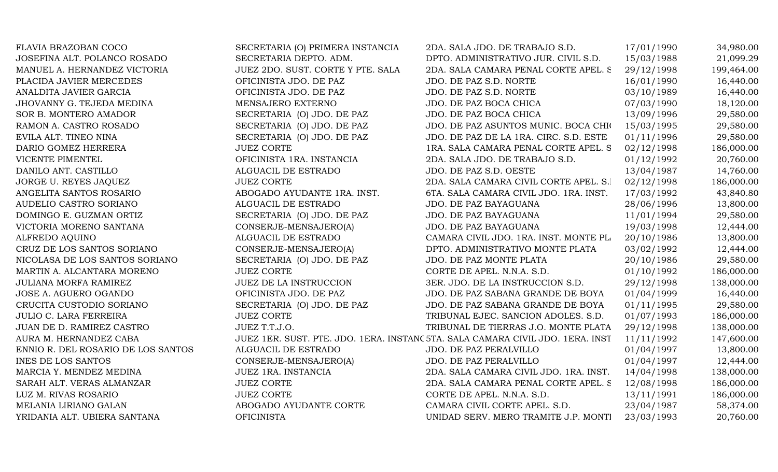| FLAVIA BRAZOBAN COCO               | SECRETARIA (O) PRIMERA INSTANCIA  | 2DA. SALA JDO. DE TRABAJO S.D.                                                 | 17/01/1990 | 34,980.00  |
|------------------------------------|-----------------------------------|--------------------------------------------------------------------------------|------------|------------|
| JOSEFINA ALT. POLANCO ROSADO       | SECRETARIA DEPTO. ADM.            | DPTO. ADMINISTRATIVO JUR. CIVIL S.D.                                           | 15/03/1988 | 21,099.29  |
| MANUEL A. HERNANDEZ VICTORIA       | JUEZ 2DO. SUST. CORTE Y PTE. SALA | 2DA. SALA CAMARA PENAL CORTE APEL. S                                           | 29/12/1998 | 199,464.00 |
| PLACIDA JAVIER MERCEDES            | OFICINISTA JDO. DE PAZ            | JDO. DE PAZ S.D. NORTE                                                         | 16/01/1990 | 16,440.00  |
| ANALDITA JAVIER GARCIA             | OFICINISTA JDO. DE PAZ            | JDO. DE PAZ S.D. NORTE                                                         | 03/10/1989 | 16,440.00  |
| JHOVANNY G. TEJEDA MEDINA          | MENSAJERO EXTERNO                 | JDO. DE PAZ BOCA CHICA                                                         | 07/03/1990 | 18,120.00  |
| SOR B. MONTERO AMADOR              | SECRETARIA (O) JDO. DE PAZ        | JDO. DE PAZ BOCA CHICA                                                         | 13/09/1996 | 29,580.00  |
| RAMON A. CASTRO ROSADO             | SECRETARIA (O) JDO. DE PAZ        | JDO. DE PAZ ASUNTOS MUNIC. BOCA CHIO                                           | 15/03/1995 | 29,580.00  |
| EVILA ALT. TINEO NINA              | SECRETARIA (O) JDO. DE PAZ        | JDO. DE PAZ DE LA 1RA. CIRC. S.D. ESTE                                         | 01/11/1996 | 29,580.00  |
| DARIO GOMEZ HERRERA                | <b>JUEZ CORTE</b>                 | 1RA. SALA CAMARA PENAL CORTE APEL. S                                           | 02/12/1998 | 186,000.00 |
| VICENTE PIMENTEL                   | OFICINISTA 1RA. INSTANCIA         | 2DA. SALA JDO. DE TRABAJO S.D.                                                 | 01/12/1992 | 20,760.00  |
| DANILO ANT. CASTILLO               | ALGUACIL DE ESTRADO               | JDO. DE PAZ S.D. OESTE                                                         | 13/04/1987 | 14,760.00  |
| JORGE U. REYES JAQUEZ              | <b>JUEZ CORTE</b>                 | 2DA. SALA CAMARA CIVIL CORTE APEL. S.I                                         | 02/12/1998 | 186,000.00 |
| ANGELITA SANTOS ROSARIO            | ABOGADO AYUDANTE 1RA. INST.       | 6TA. SALA CAMARA CIVIL JDO. 1RA. INST.                                         | 17/03/1992 | 43,840.80  |
| AUDELIO CASTRO SORIANO             | ALGUACIL DE ESTRADO               | JDO. DE PAZ BAYAGUANA                                                          | 28/06/1996 | 13,800.00  |
| DOMINGO E. GUZMAN ORTIZ            | SECRETARIA (O) JDO. DE PAZ        | JDO. DE PAZ BAYAGUANA                                                          | 11/01/1994 | 29,580.00  |
| VICTORIA MORENO SANTANA            | CONSERJE-MENSAJERO(A)             | JDO. DE PAZ BAYAGUANA                                                          | 19/03/1998 | 12,444.00  |
| ALFREDO AQUINO                     | ALGUACIL DE ESTRADO               | CAMARA CIVIL JDO. 1RA. INST. MONTE PL.                                         | 20/10/1986 | 13,800.00  |
| CRUZ DE LOS SANTOS SORIANO         | CONSERJE-MENSAJERO(A)             | DPTO. ADMINISTRATIVO MONTE PLATA                                               | 03/02/1992 | 12,444.00  |
| NICOLASA DE LOS SANTOS SORIANO     | SECRETARIA (O) JDO. DE PAZ        | JDO. DE PAZ MONTE PLATA                                                        | 20/10/1986 | 29,580.00  |
| MARTIN A. ALCANTARA MORENO         | <b>JUEZ CORTE</b>                 | CORTE DE APEL. N.N.A. S.D.                                                     | 01/10/1992 | 186,000.00 |
| <b>JULIANA MORFA RAMIREZ</b>       | JUEZ DE LA INSTRUCCION            | 3ER. JDO. DE LA INSTRUCCION S.D.                                               | 29/12/1998 | 138,000.00 |
| JOSE A. AGUERO OGANDO              | OFICINISTA JDO. DE PAZ            | JDO. DE PAZ SABANA GRANDE DE BOYA                                              | 01/04/1999 | 16,440.00  |
| CRUCITA CUSTODIO SORIANO           | SECRETARIA (O) JDO. DE PAZ        | JDO. DE PAZ SABANA GRANDE DE BOYA                                              | 01/11/1995 | 29,580.00  |
| <b>JULIO C. LARA FERREIRA</b>      | <b>JUEZ CORTE</b>                 | TRIBUNAL EJEC. SANCION ADOLES. S.D.                                            | 01/07/1993 | 186,000.00 |
| JUAN DE D. RAMIREZ CASTRO          | JUEZ T.T.J.O.                     | TRIBUNAL DE TIERRAS J.O. MONTE PLATA                                           | 29/12/1998 | 138,000.00 |
| AURA M. HERNANDEZ CABA             |                                   | JUEZ 1ER. SUST. PTE. JDO. 1ERA. INSTANC 5TA. SALA CAMARA CIVIL JDO. 1ERA. INST | 11/11/1992 | 147,600.00 |
| ENNIO R. DEL ROSARIO DE LOS SANTOS | ALGUACIL DE ESTRADO               | JDO. DE PAZ PERALVILLO                                                         | 01/04/1997 | 13,800.00  |
| <b>INES DE LOS SANTOS</b>          | CONSERJE-MENSAJERO(A)             | JDO. DE PAZ PERALVILLO                                                         | 01/04/1997 | 12,444.00  |
| MARCIA Y. MENDEZ MEDINA            | JUEZ 1RA. INSTANCIA               | 2DA. SALA CAMARA CIVIL JDO. 1RA. INST.                                         | 14/04/1998 | 138,000.00 |
| SARAH ALT. VERAS ALMANZAR          | <b>JUEZ CORTE</b>                 | 2DA. SALA CAMARA PENAL CORTE APEL. S                                           | 12/08/1998 | 186,000.00 |
| LUZ M. RIVAS ROSARIO               | <b>JUEZ CORTE</b>                 | CORTE DE APEL. N.N.A. S.D.                                                     | 13/11/1991 | 186,000.00 |
| MELANIA LIRIANO GALAN              | ABOGADO AYUDANTE CORTE            | CAMARA CIVIL CORTE APEL. S.D.                                                  | 23/04/1987 | 58,374.00  |
| YRIDANIA ALT. UBIERA SANTANA       | <b>OFICINISTA</b>                 | UNIDAD SERV. MERO TRAMITE J.P. MONTI                                           | 23/03/1993 | 20,760.00  |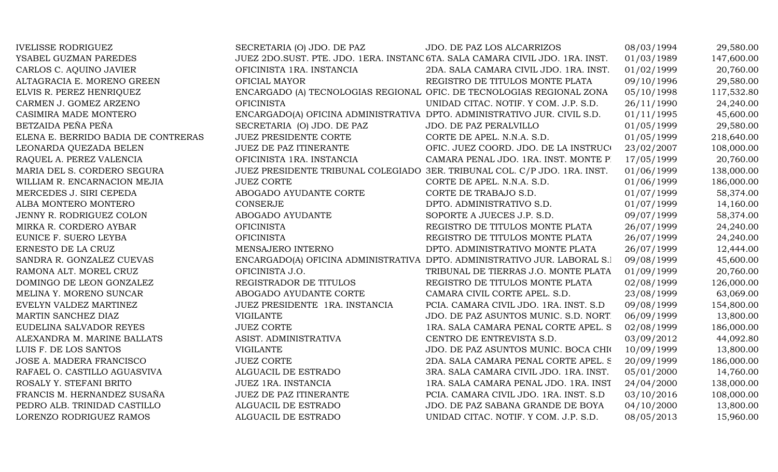| <b>IVELISSE RODRIGUEZ</b>           | SECRETARIA (O) JDO. DE PAZ                                               | JDO. DE PAZ LOS ALCARRIZOS                                                    | 08/03/1994 | 29,580.00  |
|-------------------------------------|--------------------------------------------------------------------------|-------------------------------------------------------------------------------|------------|------------|
| YSABEL GUZMAN PAREDES               |                                                                          | JUEZ 2DO.SUST. PTE. JDO. 1ERA. INSTANC 6TA. SALA CAMARA CIVIL JDO. 1RA. INST. | 01/03/1989 | 147,600.00 |
| CARLOS C. AQUINO JAVIER             | OFICINISTA 1RA. INSTANCIA                                                | 2DA. SALA CAMARA CIVIL JDO. 1RA. INST.                                        | 01/02/1999 | 20,760.00  |
| ALTAGRACIA E. MORENO GREEN          | OFICIAL MAYOR                                                            | REGISTRO DE TITULOS MONTE PLATA                                               | 09/10/1996 | 29,580.00  |
| ELVIS R. PEREZ HENRIQUEZ            |                                                                          | ENCARGADO (A) TECNOLOGIAS REGIONAL OFIC. DE TECNOLOGIAS REGIONAL ZONA         | 05/10/1998 | 117,532.80 |
| CARMEN J. GOMEZ ARZENO              | <b>OFICINISTA</b>                                                        | UNIDAD CITAC. NOTIF. Y COM. J.P. S.D.                                         | 26/11/1990 | 24,240.00  |
| CASIMIRA MADE MONTERO               | ENCARGADO(A) OFICINA ADMINISTRATIVA DPTO. ADMINISTRATIVO JUR. CIVIL S.D. |                                                                               | 01/11/1995 | 45,600.00  |
| BETZAIDA PEÑA PEÑA                  | SECRETARIA (O) JDO. DE PAZ                                               | JDO. DE PAZ PERALVILLO                                                        | 01/05/1999 | 29,580.00  |
| ELENA E. BERRIDO BADIA DE CONTRERAS | <b>JUEZ PRESIDENTE CORTE</b>                                             | CORTE DE APEL. N.N.A. S.D.                                                    | 01/05/1999 | 218,640.00 |
| LEONARDA QUEZADA BELEN              | JUEZ DE PAZ ITINERANTE                                                   | OFIC. JUEZ COORD. JDO. DE LA INSTRUCO                                         | 23/02/2007 | 108,000.00 |
| RAQUEL A. PEREZ VALENCIA            | OFICINISTA 1RA. INSTANCIA                                                | CAMARA PENAL JDO. 1RA. INST. MONTE P.                                         | 17/05/1999 | 20,760.00  |
| MARIA DEL S. CORDERO SEGURA         |                                                                          | JUEZ PRESIDENTE TRIBUNAL COLEGIADO 3ER. TRIBUNAL COL. C/P JDO. 1RA. INST.     | 01/06/1999 | 138,000.00 |
| WILLIAM R. ENCARNACION MEJIA        | <b>JUEZ CORTE</b>                                                        | CORTE DE APEL. N.N.A. S.D.                                                    | 01/06/1999 | 186,000.00 |
| MERCEDES J. SIRI CEPEDA             | ABOGADO AYUDANTE CORTE                                                   | CORTE DE TRABAJO S.D.                                                         | 01/07/1999 | 58,374.00  |
| ALBA MONTERO MONTERO                | <b>CONSERJE</b>                                                          | DPTO. ADMINISTRATIVO S.D.                                                     | 01/07/1999 | 14,160.00  |
| JENNY R. RODRIGUEZ COLON            | ABOGADO AYUDANTE                                                         | SOPORTE A JUECES J.P. S.D.                                                    | 09/07/1999 | 58,374.00  |
| MIRKA R. CORDERO AYBAR              | <b>OFICINISTA</b>                                                        | REGISTRO DE TITULOS MONTE PLATA                                               | 26/07/1999 | 24,240.00  |
| EUNICE F. SUERO LEYBA               | <b>OFICINISTA</b>                                                        | REGISTRO DE TITULOS MONTE PLATA                                               | 26/07/1999 | 24,240.00  |
| ERNESTO DE LA CRUZ                  | MENSAJERO INTERNO                                                        | DPTO. ADMINISTRATIVO MONTE PLATA                                              | 26/07/1999 | 12,444.00  |
| SANDRA R. GONZALEZ CUEVAS           |                                                                          | ENCARGADO(A) OFICINA ADMINISTRATIVA DPTO. ADMINISTRATIVO JUR. LABORAL S.I     | 09/08/1999 | 45,600.00  |
| RAMONA ALT. MOREL CRUZ              | OFICINISTA J.O.                                                          | TRIBUNAL DE TIERRAS J.O. MONTE PLATA                                          | 01/09/1999 | 20,760.00  |
| DOMINGO DE LEON GONZALEZ            | REGISTRADOR DE TITULOS                                                   | REGISTRO DE TITULOS MONTE PLATA                                               | 02/08/1999 | 126,000.00 |
| MELINA Y. MORENO SUNCAR             | ABOGADO AYUDANTE CORTE                                                   | CAMARA CIVIL CORTE APEL. S.D.                                                 | 23/08/1999 | 63,069.00  |
| EVELYN VALDEZ MARTINEZ              | JUEZ PRESIDENTE 1RA. INSTANCIA                                           | PCIA. CAMARA CIVIL JDO. 1RA. INST. S.D                                        | 09/08/1999 | 154,800.00 |
| MARTIN SANCHEZ DIAZ                 | <b>VIGILANTE</b>                                                         | JDO. DE PAZ ASUNTOS MUNIC. S.D. NORT                                          | 06/09/1999 | 13,800.00  |
| EUDELINA SALVADOR REYES             | <b>JUEZ CORTE</b>                                                        | 1RA. SALA CAMARA PENAL CORTE APEL. S                                          | 02/08/1999 | 186,000.00 |
| ALEXANDRA M. MARINE BALLATS         | ASIST. ADMINISTRATIVA                                                    | CENTRO DE ENTREVISTA S.D.                                                     | 03/09/2012 | 44,092.80  |
| LUIS F. DE LOS SANTOS               | <b>VIGILANTE</b>                                                         | JDO. DE PAZ ASUNTOS MUNIC. BOCA CHIO                                          | 10/09/1999 | 13,800.00  |
| JOSE A. MADERA FRANCISCO            | <b>JUEZ CORTE</b>                                                        | 2DA. SALA CAMARA PENAL CORTE APEL. S                                          | 20/09/1999 | 186,000.00 |
| RAFAEL O. CASTILLO AGUASVIVA        | ALGUACIL DE ESTRADO                                                      | 3RA. SALA CAMARA CIVIL JDO. 1RA. INST.                                        | 05/01/2000 | 14,760.00  |
| ROSALY Y. STEFANI BRITO             | JUEZ 1RA. INSTANCIA                                                      | 1RA. SALA CAMARA PENAL JDO. 1RA. INST                                         | 24/04/2000 | 138,000.00 |
| FRANCIS M. HERNANDEZ SUSAÑA         | JUEZ DE PAZ ITINERANTE                                                   | PCIA. CAMARA CIVIL JDO. 1RA. INST. S.D                                        | 03/10/2016 | 108,000.00 |
| PEDRO ALB. TRINIDAD CASTILLO        | ALGUACIL DE ESTRADO                                                      | JDO. DE PAZ SABANA GRANDE DE BOYA                                             | 04/10/2000 | 13,800.00  |
| LORENZO RODRIGUEZ RAMOS             | ALGUACIL DE ESTRADO                                                      | UNIDAD CITAC. NOTIF. Y COM. J.P. S.D.                                         | 08/05/2013 | 15,960.00  |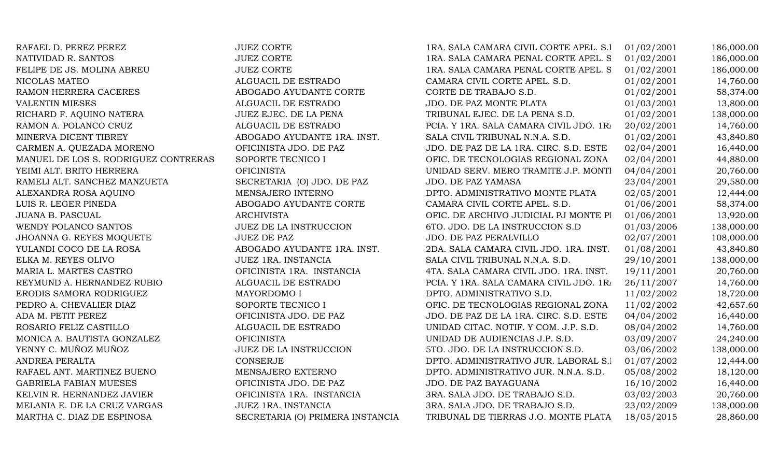RAFAEL D. PEREZ PEREZ 1886. SALA CAMARA CORTE 1866. SALA CAMARA CAMARA CAMARA CAMARA CAMARA CAMARA CAMARA CAMA NATIVIDAD R. SANTOS JUEZ CORTE 1RA. SALA CAMARA PENAL CORTE APEL. S.D.01/02/2001 186,000.00 FELIPE DE JS. MOLINA ABREU JUEZ CORTE NICOLAS MATEO ALGUACIL DE ESTRADO RAMON HERRERA CACERES ABOGADO AYUDANTE CORTE VALENTIN MIESES ALGUACIL DE ESTRADO RICHARD F. AOUINO NATERA JUEZ EJEC. DE LA PENA RAMON A. POLANCO CRUZ ALGUACIL DE ESTRADO MINERVA DICENT TIBREY ABOGADO AYUDANTE 1RA. INST. CARMEN A. OUEZADA MORENO **OFICINISTA JDO. DE PAZ** MANUEL DE LOS S. RODRIGUEZ CONTRERAS SOPORTE TECNICO I YEIMI ALT. BRITO HERRERA OFICINISTA RAMELI ALT. SANCHEZ MANZUETA SECRETARIA (O) JDO. DE PAZ ALEXANDRA ROSA AQUINO MENSAJERO INTERNO LUIS R. LEGER PINEDA ABOGADO AYUDANTE CORTE WENDY POLANCO SANTOS GENERAL DE LA INSTRUCCION JHOANNA G. REYES MOOUETE JUEZ DE PAZ YULANDI COCO DE LA ROSA ABOGADO AYUDANTE 1RA. INST. ELKA M. REYES OLIVO GALA CHE SALA CIVIL TRIBUNAL SALA CIVIL TRIBUNAL SALA CIVIL TRIBUNAL NEGRI DEL SALA CIVIL MARIA L. MARTES CASTRO **OFICINISTA 1RA. INSTANCIA** REYMUND A. HERNANDEZ RUBIO ALGUACIL DE ESTRADO ERODIS SAMORA RODRIGUEZ MAYORDOMO I PEDRO A. CHEVALIER DIAZ SOPORTE TECNICO I ADA M. PETIT PEREZ OFICINISTA JDO. DE PAZ ROSARIO FELIZ CASTILLO ALGUACIL DE ESTRADO MONICA A. BAUTISTA GONZALEZ OFICINISTA YENNY C. MUÑOZ MUÑOZ 1999 STO. JUEZ DE LA INSTRUCCION RAFAEL ANT. MARTINEZ BUENO MENSAJERO EXTERNO GABRIELA FABIAN MUESES OFICINISTA JDO. DE PAZ KELVIN R. HERNANDEZ JAVIER OFICINISTA 1RA. INSTANCIA MELANIA E. DE LA CRUZ VARGAS JUEZ 1RA. INSTANCIA MARTHA C. DIAZ DE ESPINOSA SECRETARIA (O) PRIMERA INSTANCIA

| RAFAEL D. PEREZ PEREZ                | <b>JUEZ CORTE</b>                | 1RA. SALA CAMARA CIVIL CORTE APEL. S.I  | 01/02/2001 | 186,000.00 |
|--------------------------------------|----------------------------------|-----------------------------------------|------------|------------|
| NATIVIDAD R. SANTOS                  | <b>JUEZ CORTE</b>                | 1RA. SALA CAMARA PENAL CORTE APEL. S    | 01/02/2001 | 186,000.00 |
| FELIPE DE JS. MOLINA ABREU           | <b>JUEZ CORTE</b>                | 1RA. SALA CAMARA PENAL CORTE APEL. S    | 01/02/2001 | 186,000.00 |
| NICOLAS MATEO                        | ALGUACIL DE ESTRADO              | CAMARA CIVIL CORTE APEL. S.D.           | 01/02/2001 | 14,760.00  |
| RAMON HERRERA CACERES                | ABOGADO AYUDANTE CORTE           | CORTE DE TRABAJO S.D.                   | 01/02/2001 | 58,374.00  |
| <b>VALENTIN MIESES</b>               | ALGUACIL DE ESTRADO              | JDO. DE PAZ MONTE PLATA                 | 01/03/2001 | 13,800.00  |
| RICHARD F. AQUINO NATERA             | JUEZ EJEC. DE LA PENA            | TRIBUNAL EJEC. DE LA PENA S.D.          | 01/02/2001 | 138,000.00 |
| RAMON A. POLANCO CRUZ                | ALGUACIL DE ESTRADO              | PCIA. Y 1RA. SALA CAMARA CIVIL JDO. 1R/ | 20/02/2001 | 14,760.00  |
| MINERVA DICENT TIBREY                | ABOGADO AYUDANTE 1RA. INST.      | SALA CIVIL TRIBUNAL N.N.A. S.D.         | 01/02/2001 | 43,840.80  |
| CARMEN A. QUEZADA MORENO             | OFICINISTA JDO. DE PAZ           | JDO. DE PAZ DE LA 1RA. CIRC. S.D. ESTE  | 02/04/2001 | 16,440.00  |
| MANUEL DE LOS S. RODRIGUEZ CONTRERAS | SOPORTE TECNICO I                | OFIC. DE TECNOLOGIAS REGIONAL ZONA      | 02/04/2001 | 44,880.00  |
| YEIMI ALT. BRITO HERRERA             | <b>OFICINISTA</b>                | UNIDAD SERV. MERO TRAMITE J.P. MONTI    | 04/04/2001 | 20,760.00  |
| RAMELI ALT. SANCHEZ MANZUETA         | SECRETARIA (O) JDO. DE PAZ       | <b>JDO. DE PAZ YAMASA</b>               | 23/04/2001 | 29,580.00  |
| ALEXANDRA ROSA AQUINO                | MENSAJERO INTERNO                | DPTO. ADMINISTRATIVO MONTE PLATA        | 02/05/2001 | 12,444.00  |
| LUIS R. LEGER PINEDA                 | ABOGADO AYUDANTE CORTE           | CAMARA CIVIL CORTE APEL. S.D.           | 01/06/2001 | 58,374.00  |
| JUANA B. PASCUAL                     | <b>ARCHIVISTA</b>                | OFIC. DE ARCHIVO JUDICIAL PJ MONTE PI   | 01/06/2001 | 13,920.00  |
| WENDY POLANCO SANTOS                 | <b>JUEZ DE LA INSTRUCCION</b>    | 6TO. JDO. DE LA INSTRUCCION S.D         | 01/03/2006 | 138,000.00 |
| JHOANNA G. REYES MOQUETE             | <b>JUEZ DE PAZ</b>               | JDO. DE PAZ PERALVILLO                  | 02/07/2001 | 108,000.00 |
| YULANDI COCO DE LA ROSA              | ABOGADO AYUDANTE 1RA. INST.      | 2DA. SALA CAMARA CIVIL JDO. 1RA. INST.  | 01/08/2001 | 43,840.80  |
| ELKA M. REYES OLIVO                  | JUEZ 1RA. INSTANCIA              | SALA CIVIL TRIBUNAL N.N.A. S.D.         | 29/10/2001 | 138,000.00 |
| MARIA L. MARTES CASTRO               | OFICINISTA 1RA. INSTANCIA        | 4TA. SALA CAMARA CIVIL JDO. 1RA. INST.  | 19/11/2001 | 20,760.00  |
| REYMUND A. HERNANDEZ RUBIO           | ALGUACIL DE ESTRADO              | PCIA. Y 1RA. SALA CAMARA CIVIL JDO. 1R/ | 26/11/2007 | 14,760.00  |
| ERODIS SAMORA RODRIGUEZ              | MAYORDOMO I                      | DPTO. ADMINISTRATIVO S.D.               | 11/02/2002 | 18,720.00  |
| PEDRO A. CHEVALIER DIAZ              | SOPORTE TECNICO I                | OFIC. DE TECNOLOGIAS REGIONAL ZONA      | 11/02/2002 | 42,657.60  |
| ADA M. PETIT PEREZ                   | OFICINISTA JDO. DE PAZ           | JDO. DE PAZ DE LA 1RA. CIRC. S.D. ESTE  | 04/04/2002 | 16,440.00  |
| ROSARIO FELIZ CASTILLO               | ALGUACIL DE ESTRADO              | UNIDAD CITAC. NOTIF. Y COM. J.P. S.D.   | 08/04/2002 | 14,760.00  |
| MONICA A. BAUTISTA GONZALEZ          | <b>OFICINISTA</b>                | UNIDAD DE AUDIENCIAS J.P. S.D.          | 03/09/2007 | 24,240.00  |
| YENNY C. MUÑOZ MUÑOZ                 | JUEZ DE LA INSTRUCCION           | 5TO. JDO. DE LA INSTRUCCION S.D.        | 03/06/2002 | 138,000.00 |
| ANDREA PERALTA                       | <b>CONSERJE</b>                  | DPTO. ADMINISTRATIVO JUR. LABORAL S.I   | 01/07/2002 | 12,444.00  |
| RAFAEL ANT. MARTINEZ BUENO           | MENSAJERO EXTERNO                | DPTO. ADMINISTRATIVO JUR. N.N.A. S.D.   | 05/08/2002 | 18,120.00  |
| GABRIELA FABIAN MUESES               | OFICINISTA JDO. DE PAZ           | JDO. DE PAZ BAYAGUANA                   | 16/10/2002 | 16,440.00  |
| KELVIN R. HERNANDEZ JAVIER           | OFICINISTA 1RA. INSTANCIA        | 3RA. SALA JDO. DE TRABAJO S.D.          | 03/02/2003 | 20,760.00  |
| MELANIA E. DE LA CRUZ VARGAS         | JUEZ 1RA. INSTANCIA              | 3RA. SALA JDO. DE TRABAJO S.D.          | 23/02/2009 | 138,000.00 |
| MARTHA C. DIAZ DE ESPINOSA           | SECRETARIA (O) PRIMERA INSTANCIA | TRIBUNAL DE TIERRAS J.O. MONTE PLATA    | 18/05/2015 | 28,860.00  |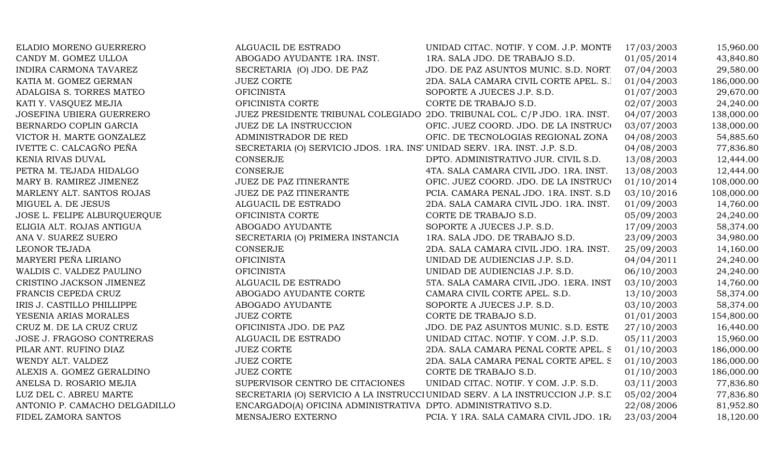| ELADIO MORENO GUERRERO          | ALGUACIL DE ESTRADO                                                       | UNIDAD CITAC. NOTIF. Y COM. J.P. MONTE                                        | 17/03/2003 | 15,960.00  |
|---------------------------------|---------------------------------------------------------------------------|-------------------------------------------------------------------------------|------------|------------|
| CANDY M. GOMEZ ULLOA            | ABOGADO AYUDANTE 1RA. INST.                                               | 1RA. SALA JDO. DE TRABAJO S.D.                                                | 01/05/2014 | 43,840.80  |
| INDIRA CARMONA TAVAREZ          | SECRETARIA (O) JDO. DE PAZ                                                | JDO. DE PAZ ASUNTOS MUNIC. S.D. NORT.                                         | 07/04/2003 | 29,580.00  |
| KATIA M. GOMEZ GERMAN           | <b>JUEZ CORTE</b>                                                         | 2DA. SALA CAMARA CIVIL CORTE APEL. S.I                                        | 01/04/2003 | 186,000.00 |
| ADALGISA S. TORRES MATEO        | <b>OFICINISTA</b>                                                         | SOPORTE A JUECES J.P. S.D.                                                    | 01/07/2003 | 29,670.00  |
| KATI Y. VASQUEZ MEJIA           | OFICINISTA CORTE                                                          | CORTE DE TRABAJO S.D.                                                         | 02/07/2003 | 24,240.00  |
| <b>JOSEFINA UBIERA GUERRERO</b> |                                                                           | JUEZ PRESIDENTE TRIBUNAL COLEGIADO 2DO. TRIBUNAL COL. C/P JDO. 1RA. INST.     | 04/07/2003 | 138,000.00 |
| BERNARDO COPLIN GARCIA          | <b>JUEZ DE LA INSTRUCCION</b>                                             | OFIC. JUEZ COORD. JDO. DE LA INSTRUCO                                         | 03/07/2003 | 138,000.00 |
| VICTOR H. MARTE GONZALEZ        | ADMINISTRADOR DE RED                                                      | OFIC. DE TECNOLOGIAS REGIONAL ZONA                                            | 04/08/2003 | 54,885.60  |
| IVETTE C. CALCAGÑO PEÑA         | SECRETARIA (O) SERVICIO JDOS. 1RA. INSI UNIDAD SERV. 1RA. INST. J.P. S.D. |                                                                               | 04/08/2003 | 77,836.80  |
| KENIA RIVAS DUVAL               | <b>CONSERJE</b>                                                           | DPTO. ADMINISTRATIVO JUR. CIVIL S.D.                                          | 13/08/2003 | 12,444.00  |
| PETRA M. TEJADA HIDALGO         | <b>CONSERJE</b>                                                           | 4TA. SALA CAMARA CIVIL JDO. 1RA. INST.                                        | 13/08/2003 | 12,444.00  |
| MARY B. RAMIREZ JIMENEZ         | JUEZ DE PAZ ITINERANTE                                                    | OFIC. JUEZ COORD. JDO. DE LA INSTRUCO                                         | 01/10/2014 | 108,000.00 |
| MARLENY ALT. SANTOS ROJAS       | JUEZ DE PAZ ITINERANTE                                                    | PCIA. CAMARA PENAL JDO. 1RA. INST. S.D                                        | 03/10/2016 | 108,000.00 |
| MIGUEL A. DE JESUS              | ALGUACIL DE ESTRADO                                                       | 2DA. SALA CAMARA CIVIL JDO. 1RA. INST.                                        | 01/09/2003 | 14,760.00  |
| JOSE L. FELIPE ALBURQUERQUE     | OFICINISTA CORTE                                                          | CORTE DE TRABAJO S.D.                                                         | 05/09/2003 | 24,240.00  |
| ELIGIA ALT. ROJAS ANTIGUA       | ABOGADO AYUDANTE                                                          | SOPORTE A JUECES J.P. S.D.                                                    | 17/09/2003 | 58,374.00  |
| ANA V. SUAREZ SUERO             | SECRETARIA (O) PRIMERA INSTANCIA                                          | 1RA. SALA JDO. DE TRABAJO S.D.                                                | 23/09/2003 | 34,980.00  |
| LEONOR TEJADA                   | CONSERJE                                                                  | 2DA. SALA CAMARA CIVIL JDO. 1RA. INST.                                        | 25/09/2003 | 14,160.00  |
| MARYERI PEÑA LIRIANO            | <b>OFICINISTA</b>                                                         | UNIDAD DE AUDIENCIAS J.P. S.D.                                                | 04/04/2011 | 24,240.00  |
| WALDIS C. VALDEZ PAULINO        | <b>OFICINISTA</b>                                                         | UNIDAD DE AUDIENCIAS J.P. S.D.                                                | 06/10/2003 | 24,240.00  |
| CRISTINO JACKSON JIMENEZ        | ALGUACIL DE ESTRADO                                                       | 5TA. SALA CAMARA CIVIL JDO. 1ERA. INST                                        | 03/10/2003 | 14,760.00  |
| FRANCIS CEPEDA CRUZ             | ABOGADO AYUDANTE CORTE                                                    | CAMARA CIVIL CORTE APEL. S.D.                                                 | 13/10/2003 | 58,374.00  |
| IRIS J. CASTILLO PHILLIPPE      | ABOGADO AYUDANTE                                                          | SOPORTE A JUECES J.P. S.D.                                                    | 03/10/2003 | 58,374.00  |
| YESENIA ARIAS MORALES           | <b>JUEZ CORTE</b>                                                         | CORTE DE TRABAJO S.D.                                                         | 01/01/2003 | 154,800.00 |
| CRUZ M. DE LA CRUZ CRUZ         | OFICINISTA JDO. DE PAZ                                                    | JDO. DE PAZ ASUNTOS MUNIC. S.D. ESTE                                          | 27/10/2003 | 16,440.00  |
| JOSE J. FRAGOSO CONTRERAS       | ALGUACIL DE ESTRADO                                                       | UNIDAD CITAC. NOTIF. Y COM. J.P. S.D.                                         | 05/11/2003 | 15,960.00  |
| PILAR ANT. RUFINO DIAZ          | <b>JUEZ CORTE</b>                                                         | 2DA. SALA CAMARA PENAL CORTE APEL. S                                          | 01/10/2003 | 186,000.00 |
| WENDY ALT. VALDEZ               | <b>JUEZ CORTE</b>                                                         | 2DA. SALA CAMARA PENAL CORTE APEL. S                                          | 01/10/2003 | 186,000.00 |
| ALEXIS A. GOMEZ GERALDINO       | <b>JUEZ CORTE</b>                                                         | CORTE DE TRABAJO S.D.                                                         | 01/10/2003 | 186,000.00 |
| ANELSA D. ROSARIO MEJIA         | SUPERVISOR CENTRO DE CITACIONES                                           | UNIDAD CITAC. NOTIF. Y COM. J.P. S.D.                                         | 03/11/2003 | 77,836.80  |
| LUZ DEL C. ABREU MARTE          |                                                                           | SECRETARIA (O) SERVICIO A LA INSTRUCCI UNIDAD SERV. A LA INSTRUCCION J.P. S.L | 05/02/2004 | 77,836.80  |
| ANTONIO P. CAMACHO DELGADILLO   | ENCARGADO(A) OFICINA ADMINISTRATIVA DPTO. ADMINISTRATIVO S.D.             |                                                                               | 22/08/2006 | 81,952.80  |
| FIDEL ZAMORA SANTOS             | MENSAJERO EXTERNO                                                         | PCIA. Y 1RA. SALA CAMARA CIVIL JDO. 1R/                                       | 23/03/2004 | 18,120.00  |
|                                 |                                                                           |                                                                               |            |            |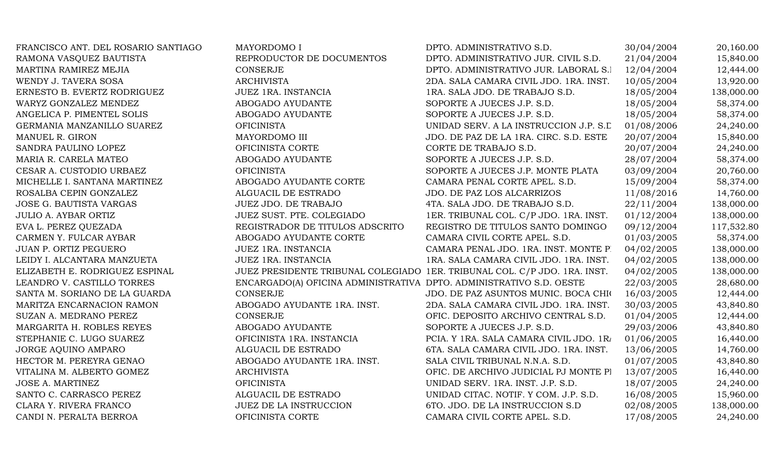| FRANCISCO ANT. DEL ROSARIO SANTIAGO | MAYORDOMO I                                                               | DPTO. ADMINISTRATIVO S.D.               | 30/04/2004 | 20,160.00  |
|-------------------------------------|---------------------------------------------------------------------------|-----------------------------------------|------------|------------|
| RAMONA VASQUEZ BAUTISTA             | REPRODUCTOR DE DOCUMENTOS                                                 | DPTO. ADMINISTRATIVO JUR. CIVIL S.D.    | 21/04/2004 | 15,840.00  |
| MARTINA RAMIREZ MEJIA               | <b>CONSERJE</b>                                                           | DPTO. ADMINISTRATIVO JUR. LABORAL S.I   | 12/04/2004 | 12,444.00  |
| WENDY J. TAVERA SOSA                | <b>ARCHIVISTA</b>                                                         | 2DA. SALA CAMARA CIVIL JDO. 1RA. INST.  | 10/05/2004 | 13,920.00  |
| ERNESTO B. EVERTZ RODRIGUEZ         | JUEZ 1RA. INSTANCIA                                                       | 1RA. SALA JDO. DE TRABAJO S.D.          | 18/05/2004 | 138,000.00 |
| WARYZ GONZALEZ MENDEZ               | ABOGADO AYUDANTE                                                          | SOPORTE A JUECES J.P. S.D.              | 18/05/2004 | 58,374.00  |
| ANGELICA P. PIMENTEL SOLIS          | ABOGADO AYUDANTE                                                          | SOPORTE A JUECES J.P. S.D.              | 18/05/2004 | 58,374.00  |
| GERMANIA MANZANILLO SUAREZ          | <b>OFICINISTA</b>                                                         | UNIDAD SERV. A LA INSTRUCCION J.P. S.L  | 01/08/2006 | 24,240.00  |
| MANUEL R. GIRON                     | MAYORDOMO III                                                             | JDO. DE PAZ DE LA 1RA. CIRC. S.D. ESTE  | 20/07/2004 | 15,840.00  |
| SANDRA PAULINO LOPEZ                | OFICINISTA CORTE                                                          | CORTE DE TRABAJO S.D.                   | 20/07/2004 | 24,240.00  |
| MARIA R. CARELA MATEO               | ABOGADO AYUDANTE                                                          | SOPORTE A JUECES J.P. S.D.              | 28/07/2004 | 58,374.00  |
| CESAR A. CUSTODIO URBAEZ            | <b>OFICINISTA</b>                                                         | SOPORTE A JUECES J.P. MONTE PLATA       | 03/09/2004 | 20,760.00  |
| MICHELLE I. SANTANA MARTINEZ        | ABOGADO AYUDANTE CORTE                                                    | CAMARA PENAL CORTE APEL. S.D.           | 15/09/2004 | 58,374.00  |
| ROSALBA CEPIN GONZALEZ              | ALGUACIL DE ESTRADO                                                       | JDO. DE PAZ LOS ALCARRIZOS              | 11/08/2016 | 14,760.00  |
| <b>JOSE G. BAUTISTA VARGAS</b>      | JUEZ JDO. DE TRABAJO                                                      | 4TA. SALA JDO. DE TRABAJO S.D.          | 22/11/2004 | 138,000.00 |
| <b>JULIO A. AYBAR ORTIZ</b>         | JUEZ SUST. PTE. COLEGIADO                                                 | 1ER. TRIBUNAL COL. C/P JDO. 1RA. INST.  | 01/12/2004 | 138,000.00 |
| EVA L. PEREZ QUEZADA                | REGISTRADOR DE TITULOS ADSCRITO                                           | REGISTRO DE TITULOS SANTO DOMINGO       | 09/12/2004 | 117,532.80 |
| CARMEN Y. FULCAR AYBAR              | ABOGADO AYUDANTE CORTE                                                    | CAMARA CIVIL CORTE APEL. S.D.           | 01/03/2005 | 58,374.00  |
| JUAN P. ORTIZ PEGUERO               | JUEZ 1RA. INSTANCIA                                                       | CAMARA PENAL JDO. 1RA. INST. MONTE P.   | 04/02/2005 | 138,000.00 |
| LEIDY I. ALCANTARA MANZUETA         | JUEZ 1RA. INSTANCIA                                                       | 1RA. SALA CAMARA CIVIL JDO. 1RA. INST.  | 04/02/2005 | 138,000.00 |
| ELIZABETH E. RODRIGUEZ ESPINAL      | JUEZ PRESIDENTE TRIBUNAL COLEGIADO 1ER. TRIBUNAL COL. C/P JDO. 1RA. INST. |                                         | 04/02/2005 | 138,000.00 |
| LEANDRO V. CASTILLO TORRES          | ENCARGADO(A) OFICINA ADMINISTRATIVA DPTO. ADMINISTRATIVO S.D. OESTE       |                                         | 22/03/2005 | 28,680.00  |
| SANTA M. SORIANO DE LA GUARDA       | CONSERJE                                                                  | JDO. DE PAZ ASUNTOS MUNIC. BOCA CHIO    | 16/03/2005 | 12,444.00  |
| MARITZA ENCARNACION RAMON           | ABOGADO AYUDANTE 1RA. INST.                                               | 2DA. SALA CAMARA CIVIL JDO. 1RA. INST.  | 30/03/2005 | 43,840.80  |
| SUZAN A. MEDRANO PEREZ              | <b>CONSERJE</b>                                                           | OFIC. DEPOSITO ARCHIVO CENTRAL S.D.     | 01/04/2005 | 12,444.00  |
| MARGARITA H. ROBLES REYES           | ABOGADO AYUDANTE                                                          | SOPORTE A JUECES J.P. S.D.              | 29/03/2006 | 43,840.80  |
| STEPHANIE C. LUGO SUAREZ            | OFICINISTA 1RA. INSTANCIA                                                 | PCIA. Y 1RA. SALA CAMARA CIVIL JDO. 1R/ | 01/06/2005 | 16,440.00  |
| JORGE AQUINO AMPARO                 | ALGUACIL DE ESTRADO                                                       | 6TA. SALA CAMARA CIVIL JDO. 1RA. INST.  | 13/06/2005 | 14,760.00  |
| HECTOR M. PEREYRA GENAO             | ABOGADO AYUDANTE 1RA. INST.                                               | SALA CIVIL TRIBUNAL N.N.A. S.D.         | 01/07/2005 | 43,840.80  |
| VITALINA M. ALBERTO GOMEZ           | <b>ARCHIVISTA</b>                                                         | OFIC. DE ARCHIVO JUDICIAL PJ MONTE PI   | 13/07/2005 | 16,440.00  |
| <b>JOSE A. MARTINEZ</b>             | <b>OFICINISTA</b>                                                         | UNIDAD SERV. 1RA. INST. J.P. S.D.       | 18/07/2005 | 24,240.00  |
| SANTO C. CARRASCO PEREZ             | ALGUACIL DE ESTRADO                                                       | UNIDAD CITAC. NOTIF. Y COM. J.P. S.D.   | 16/08/2005 | 15,960.00  |
| CLARA Y. RIVERA FRANCO              | JUEZ DE LA INSTRUCCION                                                    | 6TO. JDO. DE LA INSTRUCCION S.D         | 02/08/2005 | 138,000.00 |
| CANDI N. PERALTA BERROA             | OFICINISTA CORTE                                                          | CAMARA CIVIL CORTE APEL. S.D.           | 17/08/2005 | 24,240.00  |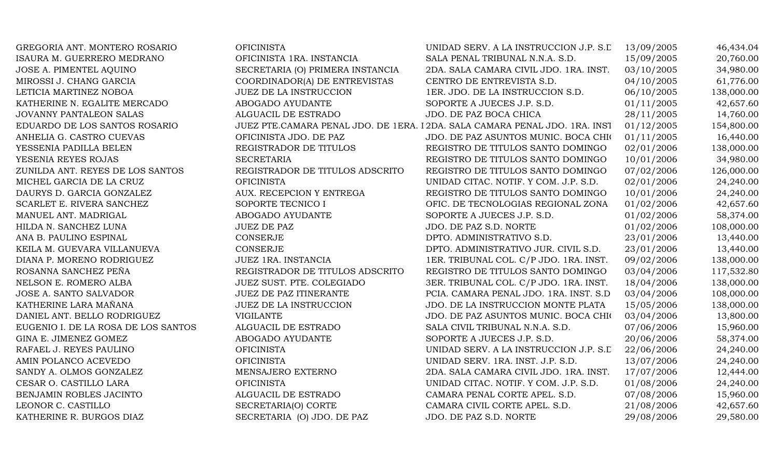| GREGORIA ANT. MONTERO ROSARIO       | <b>OFICINISTA</b>                | UNIDAD SERV. A LA INSTRUCCION J.P. S.L                                      | 13/09/2005 | 46,434.04  |
|-------------------------------------|----------------------------------|-----------------------------------------------------------------------------|------------|------------|
| ISAURA M. GUERRERO MEDRANO          | OFICINISTA 1RA. INSTANCIA        | SALA PENAL TRIBUNAL N.N.A. S.D.                                             | 15/09/2005 | 20,760.00  |
| JOSE A. PIMENTEL AQUINO             | SECRETARIA (O) PRIMERA INSTANCIA | 2DA. SALA CAMARA CIVIL JDO. 1RA. INST.                                      | 03/10/2005 | 34,980.00  |
| MIROSSI J. CHANG GARCIA             | COORDINADOR(A) DE ENTREVISTAS    | CENTRO DE ENTREVISTA S.D.                                                   | 04/10/2005 | 61,776.00  |
| LETICIA MARTINEZ NOBOA              | <b>JUEZ DE LA INSTRUCCION</b>    | 1ER. JDO. DE LA INSTRUCCION S.D.                                            | 06/10/2005 | 138,000.00 |
| KATHERINE N. EGALITE MERCADO        | ABOGADO AYUDANTE                 | SOPORTE A JUECES J.P. S.D.                                                  | 01/11/2005 | 42,657.60  |
| <b>JOVANNY PANTALEON SALAS</b>      | ALGUACIL DE ESTRADO              | JDO. DE PAZ BOCA CHICA                                                      | 28/11/2005 | 14,760.00  |
| EDUARDO DE LOS SANTOS ROSARIO       |                                  | JUEZ PTE.CAMARA PENAL JDO. DE 1ERA. I 2DA. SALA CAMARA PENAL JDO. 1RA. INST | 01/12/2005 | 154,800.00 |
| ANHELIA G. CASTRO CUEVAS            | OFICINISTA JDO. DE PAZ           | JDO. DE PAZ ASUNTOS MUNIC. BOCA CHIO                                        | 01/11/2005 | 16,440.00  |
| YESSENIA PADILLA BELEN              | REGISTRADOR DE TITULOS           | REGISTRO DE TITULOS SANTO DOMINGO                                           | 02/01/2006 | 138,000.00 |
| YESENIA REYES ROJAS                 | <b>SECRETARIA</b>                | REGISTRO DE TITULOS SANTO DOMINGO                                           | 10/01/2006 | 34,980.00  |
| ZUNILDA ANT. REYES DE LOS SANTOS    | REGISTRADOR DE TITULOS ADSCRITO  | REGISTRO DE TITULOS SANTO DOMINGO                                           | 07/02/2006 | 126,000.00 |
| MICHEL GARCIA DE LA CRUZ            | <b>OFICINISTA</b>                | UNIDAD CITAC. NOTIF. Y COM. J.P. S.D.                                       | 02/01/2006 | 24,240.00  |
| DAURYS D. GARCIA GONZALEZ           | AUX. RECEPCION Y ENTREGA         | REGISTRO DE TITULOS SANTO DOMINGO                                           | 10/01/2006 | 24,240.00  |
| SCARLET E. RIVERA SANCHEZ           | SOPORTE TECNICO I                | OFIC. DE TECNOLOGIAS REGIONAL ZONA                                          | 01/02/2006 | 42,657.60  |
| MANUEL ANT. MADRIGAL                | ABOGADO AYUDANTE                 | SOPORTE A JUECES J.P. S.D.                                                  | 01/02/2006 | 58,374.00  |
| HILDA N. SANCHEZ LUNA               | <b>JUEZ DE PAZ</b>               | JDO. DE PAZ S.D. NORTE                                                      | 01/02/2006 | 108,000.00 |
| ANA B. PAULINO ESPINAL              | <b>CONSERJE</b>                  | DPTO. ADMINISTRATIVO S.D.                                                   | 23/01/2006 | 13,440.00  |
| KEILA M. GUEVARA VILLANUEVA         | <b>CONSERJE</b>                  | DPTO. ADMINISTRATIVO JUR. CIVIL S.D.                                        | 23/01/2006 | 13,440.00  |
| DIANA P. MORENO RODRIGUEZ           | JUEZ 1RA. INSTANCIA              | 1ER. TRIBUNAL COL. C/P JDO. 1RA. INST.                                      | 09/02/2006 | 138,000.00 |
| ROSANNA SANCHEZ PEÑA                | REGISTRADOR DE TITULOS ADSCRITO  | REGISTRO DE TITULOS SANTO DOMINGO                                           | 03/04/2006 | 117,532.80 |
| NELSON E. ROMERO ALBA               | JUEZ SUST. PTE. COLEGIADO        | 3ER. TRIBUNAL COL. C/P JDO. 1RA. INST.                                      | 18/04/2006 | 138,000.00 |
| JOSE A. SANTO SALVADOR              | JUEZ DE PAZ ITINERANTE           | PCIA. CAMARA PENAL JDO. 1RA. INST. S.D                                      | 03/04/2006 | 108,000.00 |
| KATHERINE LARA MAÑANA               | <b>JUEZ DE LA INSTRUCCION</b>    | JDO. DE LA INSTRUCCION MONTE PLATA                                          | 15/05/2006 | 138,000.00 |
| DANIEL ANT. BELLO RODRIGUEZ         | <b>VIGILANTE</b>                 | JDO. DE PAZ ASUNTOS MUNIC. BOCA CHIO                                        | 03/04/2006 | 13,800.00  |
| EUGENIO I. DE LA ROSA DE LOS SANTOS | ALGUACIL DE ESTRADO              | SALA CIVIL TRIBUNAL N.N.A. S.D.                                             | 07/06/2006 | 15,960.00  |
| GINA E. JIMENEZ GOMEZ               | ABOGADO AYUDANTE                 | SOPORTE A JUECES J.P. S.D.                                                  | 20/06/2006 | 58,374.00  |
| RAFAEL J. REYES PAULINO             | <b>OFICINISTA</b>                | UNIDAD SERV. A LA INSTRUCCION J.P. S.L                                      | 22/06/2006 | 24,240.00  |
| AMIN POLANCO ACEVEDO                | <b>OFICINISTA</b>                | UNIDAD SERV. 1RA. INST. J.P. S.D.                                           | 13/07/2006 | 24,240.00  |
| SANDY A. OLMOS GONZALEZ             | MENSAJERO EXTERNO                | 2DA. SALA CAMARA CIVIL JDO. 1RA. INST.                                      | 17/07/2006 | 12,444.00  |
| CESAR O. CASTILLO LARA              | <b>OFICINISTA</b>                | UNIDAD CITAC. NOTIF. Y COM. J.P. S.D.                                       | 01/08/2006 | 24,240.00  |
| BENJAMIN ROBLES JACINTO             | ALGUACIL DE ESTRADO              | CAMARA PENAL CORTE APEL. S.D.                                               | 07/08/2006 | 15,960.00  |
| LEONOR C. CASTILLO                  | SECRETARIA(O) CORTE              | CAMARA CIVIL CORTE APEL. S.D.                                               | 21/08/2006 | 42,657.60  |
| KATHERINE R. BURGOS DIAZ            | SECRETARIA (O) JDO. DE PAZ       | JDO. DE PAZ S.D. NORTE                                                      | 29/08/2006 | 29,580.00  |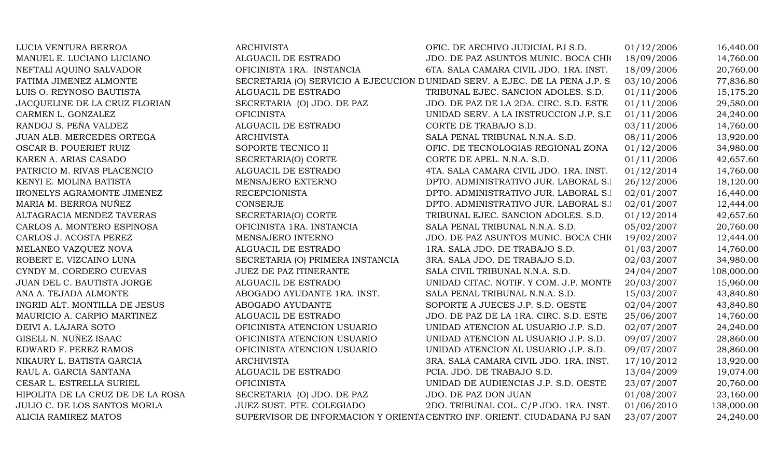| LUCIA VENTURA BERROA              | <b>ARCHIVISTA</b>                | OFIC. DE ARCHIVO JUDICIAL PJ S.D.                                            | 01/12/2006 | 16,440.00  |
|-----------------------------------|----------------------------------|------------------------------------------------------------------------------|------------|------------|
| MANUEL E. LUCIANO LUCIANO         | ALGUACIL DE ESTRADO              | JDO. DE PAZ ASUNTOS MUNIC. BOCA CHIO                                         | 18/09/2006 | 14,760.00  |
| NEFTALI AQUINO SALVADOR           | OFICINISTA 1RA. INSTANCIA        | 6TA. SALA CAMARA CIVIL JDO. 1RA. INST.                                       | 18/09/2006 | 20,760.00  |
| FATIMA JIMENEZ ALMONTE            |                                  | SECRETARIA (O) SERVICIO A EJECUCION DUNIDAD SERV. A EJEC. DE LA PENA J.P. S. | 03/10/2006 | 77,836.80  |
| LUIS O. REYNOSO BAUTISTA          | ALGUACIL DE ESTRADO              | TRIBUNAL EJEC. SANCION ADOLES. S.D.                                          | 01/11/2006 | 15,175.20  |
| JACQUELINE DE LA CRUZ FLORIAN     | SECRETARIA (O) JDO. DE PAZ       | JDO. DE PAZ DE LA 2DA. CIRC. S.D. ESTE                                       | 01/11/2006 | 29,580.00  |
| CARMEN L. GONZALEZ                | <b>OFICINISTA</b>                | UNIDAD SERV. A LA INSTRUCCION J.P. S.L                                       | 01/11/2006 | 24,240.00  |
| RANDOJ S. PEÑA VALDEZ             | ALGUACIL DE ESTRADO              | CORTE DE TRABAJO S.D.                                                        | 03/11/2006 | 14,760.00  |
| JUAN ALB. MERCEDES ORTEGA         | <b>ARCHIVISTA</b>                | SALA PENAL TRIBUNAL N.N.A. S.D.                                              | 08/11/2006 | 13,920.00  |
| OSCAR B. POUERIET RUIZ            | SOPORTE TECNICO II               | OFIC. DE TECNOLOGIAS REGIONAL ZONA                                           | 01/12/2006 | 34,980.00  |
| KAREN A. ARIAS CASADO             | SECRETARIA(O) CORTE              | CORTE DE APEL. N.N.A. S.D.                                                   | 01/11/2006 | 42,657.60  |
| PATRICIO M. RIVAS PLACENCIO       | ALGUACIL DE ESTRADO              | 4TA. SALA CAMARA CIVIL JDO. 1RA. INST.                                       | 01/12/2014 | 14,760.00  |
| KENYI E. MOLINA BATISTA           | MENSAJERO EXTERNO                | DPTO. ADMINISTRATIVO JUR. LABORAL S.I                                        | 26/12/2006 | 18,120.00  |
| IRONELYS AGRAMONTE JIMENEZ        | <b>RECEPCIONISTA</b>             | DPTO. ADMINISTRATIVO JUR. LABORAL S.1                                        | 02/01/2007 | 16,440.00  |
| MARIA M. BERROA NUÑEZ             | CONSERJE                         | DPTO. ADMINISTRATIVO JUR. LABORAL S.I                                        | 02/01/2007 | 12,444.00  |
| ALTAGRACIA MENDEZ TAVERAS         | SECRETARIA(O) CORTE              | TRIBUNAL EJEC. SANCION ADOLES. S.D.                                          | 01/12/2014 | 42,657.60  |
| CARLOS A. MONTERO ESPINOSA        | OFICINISTA 1RA. INSTANCIA        | SALA PENAL TRIBUNAL N.N.A. S.D.                                              | 05/02/2007 | 20,760.00  |
| CARLOS J. ACOSTA PEREZ            | MENSAJERO INTERNO                | JDO. DE PAZ ASUNTOS MUNIC. BOCA CHIO                                         | 19/02/2007 | 12,444.00  |
| MELANEO VAZQUEZ NOVA              | ALGUACIL DE ESTRADO              | 1RA. SALA JDO. DE TRABAJO S.D.                                               | 01/03/2007 | 14,760.00  |
| ROBERT E. VIZCAINO LUNA           | SECRETARIA (O) PRIMERA INSTANCIA | 3RA. SALA JDO. DE TRABAJO S.D.                                               | 02/03/2007 | 34,980.00  |
| CYNDY M. CORDERO CUEVAS           | <b>JUEZ DE PAZ ITINERANTE</b>    | SALA CIVIL TRIBUNAL N.N.A. S.D.                                              | 24/04/2007 | 108,000.00 |
| JUAN DEL C. BAUTISTA JORGE        | ALGUACIL DE ESTRADO              | UNIDAD CITAC. NOTIF. Y COM. J.P. MONTE                                       | 20/03/2007 | 15,960.00  |
| ANA A. TEJADA ALMONTE             | ABOGADO AYUDANTE 1RA. INST.      | SALA PENAL TRIBUNAL N.N.A. S.D.                                              | 15/03/2007 | 43,840.80  |
| INGRID ALT. MONTILLA DE JESUS     | ABOGADO AYUDANTE                 | SOPORTE A JUECES J.P. S.D. OESTE                                             | 02/04/2007 | 43,840.80  |
| MAURICIO A. CARPIO MARTINEZ       | ALGUACIL DE ESTRADO              | JDO. DE PAZ DE LA 1RA. CIRC. S.D. ESTE                                       | 25/06/2007 | 14,760.00  |
| DEIVI A. LAJARA SOTO              | OFICINISTA ATENCION USUARIO      | UNIDAD ATENCION AL USUARIO J.P. S.D.                                         | 02/07/2007 | 24,240.00  |
| GISELL N. NUÑEZ ISAAC             | OFICINISTA ATENCION USUARIO      | UNIDAD ATENCION AL USUARIO J.P. S.D.                                         | 09/07/2007 | 28,860.00  |
| EDWARD F. PEREZ RAMOS             | OFICINISTA ATENCION USUARIO      | UNIDAD ATENCION AL USUARIO J.P. S.D.                                         | 09/07/2007 | 28,860.00  |
| NIKAURY L. BATISTA GARCIA         | <b>ARCHIVISTA</b>                | 3RA. SALA CAMARA CIVIL JDO. 1RA. INST.                                       | 17/10/2012 | 13,920.00  |
| RAUL A. GARCIA SANTANA            | ALGUACIL DE ESTRADO              | PCIA. JDO. DE TRABAJO S.D.                                                   | 13/04/2009 | 19,074.00  |
| CESAR L. ESTRELLA SURIEL          | <b>OFICINISTA</b>                | UNIDAD DE AUDIENCIAS J.P. S.D. OESTE                                         | 23/07/2007 | 20,760.00  |
| HIPOLITA DE LA CRUZ DE DE LA ROSA | SECRETARIA (O) JDO. DE PAZ       | JDO. DE PAZ DON JUAN                                                         | 01/08/2007 | 23,160.00  |
| JULIO C. DE LOS SANTOS MORLA      | JUEZ SUST. PTE. COLEGIADO        | 2DO. TRIBUNAL COL. C/P JDO. 1RA. INST.                                       | 01/06/2010 | 138,000.00 |
| <b>ALICIA RAMIREZ MATOS</b>       |                                  | SUPERVISOR DE INFORMACION Y ORIENTA CENTRO INF. ORIENT. CIUDADANA PJ SAN     | 23/07/2007 | 24,240.00  |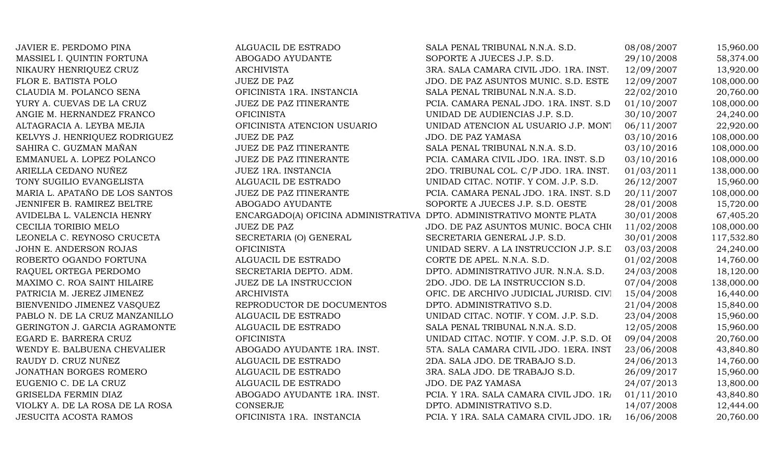| JAVIER E. PERDOMO PINA          | ALGUACIL DE ESTRADO                                                  | SALA PENAL TRIBUNAL N.N.A. S.D.          | 08/08/2007 | 15,960.00  |
|---------------------------------|----------------------------------------------------------------------|------------------------------------------|------------|------------|
| MASSIEL I. QUINTIN FORTUNA      | ABOGADO AYUDANTE                                                     | SOPORTE A JUECES J.P. S.D.               | 29/10/2008 | 58,374.00  |
| NIKAURY HENRIQUEZ CRUZ          | <b>ARCHIVISTA</b>                                                    | 3RA. SALA CAMARA CIVIL JDO. 1RA. INST.   | 12/09/2007 | 13,920.00  |
| FLOR E. BATISTA POLO            | <b>JUEZ DE PAZ</b>                                                   | JDO. DE PAZ ASUNTOS MUNIC. S.D. ESTE     | 12/09/2007 | 108,000.00 |
| CLAUDIA M. POLANCO SENA         | OFICINISTA 1RA. INSTANCIA                                            | SALA PENAL TRIBUNAL N.N.A. S.D.          | 22/02/2010 | 20,760.00  |
| YURY A. CUEVAS DE LA CRUZ       | JUEZ DE PAZ ITINERANTE                                               | PCIA. CAMARA PENAL JDO. 1RA. INST. S.D   | 01/10/2007 | 108,000.00 |
| ANGIE M. HERNANDEZ FRANCO       | <b>OFICINISTA</b>                                                    | UNIDAD DE AUDIENCIAS J.P. S.D.           | 30/10/2007 | 24,240.00  |
| ALTAGRACIA A. LEYBA MEJIA       | OFICINISTA ATENCION USUARIO                                          | UNIDAD ATENCION AL USUARIO J.P. MONT     | 06/11/2007 | 22,920.00  |
| KELVYS J. HENRIQUEZ RODRIGUEZ   | <b>JUEZ DE PAZ</b>                                                   | <b>JDO. DE PAZ YAMASA</b>                | 03/10/2016 | 108,000.00 |
| SAHIRA C. GUZMAN MAÑAN          | JUEZ DE PAZ ITINERANTE                                               | SALA PENAL TRIBUNAL N.N.A. S.D.          | 03/10/2016 | 108,000.00 |
| EMMANUEL A. LOPEZ POLANCO       | <b>JUEZ DE PAZ ITINERANTE</b>                                        | PCIA. CAMARA CIVIL JDO. 1RA. INST. S.D   | 03/10/2016 | 108,000.00 |
| ARIELLA CEDANO NUÑEZ            | JUEZ 1RA. INSTANCIA                                                  | 2DO. TRIBUNAL COL. C/P JDO. 1RA. INST.   | 01/03/2011 | 138,000.00 |
| TONY SUGILIO EVANGELISTA        | ALGUACIL DE ESTRADO                                                  | UNIDAD CITAC. NOTIF. Y COM. J.P. S.D.    | 26/12/2007 | 15,960.00  |
| MARIA L. APATAÑO DE LOS SANTOS  | <b>JUEZ DE PAZ ITINERANTE</b>                                        | PCIA. CAMARA PENAL JDO. 1RA. INST. S.D   | 20/11/2007 | 108,000.00 |
| JENNIFER B. RAMIREZ BELTRE      | ABOGADO AYUDANTE                                                     | SOPORTE A JUECES J.P. S.D. OESTE         | 28/01/2008 | 15,720.00  |
| AVIDELBA L. VALENCIA HENRY      | ENCARGADO(A) OFICINA ADMINISTRATIVA DPTO. ADMINISTRATIVO MONTE PLATA |                                          | 30/01/2008 | 67,405.20  |
| CECILIA TORIBIO MELO            | <b>JUEZ DE PAZ</b>                                                   | JDO. DE PAZ ASUNTOS MUNIC. BOCA CHIO     | 11/02/2008 | 108,000.00 |
| LEONELA C. REYNOSO CRUCETA      | SECRETARIA (O) GENERAL                                               | SECRETARIA GENERAL J.P. S.D.             | 30/01/2008 | 117,532.80 |
| JOHN E. ANDERSON ROJAS          | <b>OFICINISTA</b>                                                    | UNIDAD SERV. A LA INSTRUCCION J.P. S.L   | 03/03/2008 | 24,240.00  |
| ROBERTO OGANDO FORTUNA          | ALGUACIL DE ESTRADO                                                  | CORTE DE APEL. N.N.A. S.D.               | 01/02/2008 | 14,760.00  |
| RAQUEL ORTEGA PERDOMO           | SECRETARIA DEPTO. ADM.                                               | DPTO. ADMINISTRATIVO JUR. N.N.A. S.D.    | 24/03/2008 | 18,120.00  |
| MAXIMO C. ROA SAINT HILAIRE     | <b>JUEZ DE LA INSTRUCCION</b>                                        | 2DO. JDO. DE LA INSTRUCCION S.D.         | 07/04/2008 | 138,000.00 |
| PATRICIA M. JEREZ JIMENEZ       | <b>ARCHIVISTA</b>                                                    | OFIC. DE ARCHIVO JUDICIAL JURISD. CIVI   | 15/04/2008 | 16,440.00  |
| BIENVENIDO JIMENEZ VASQUEZ      | REPRODUCTOR DE DOCUMENTOS                                            | DPTO. ADMINISTRATIVO S.D.                | 21/04/2008 | 15,840.00  |
| PABLO N. DE LA CRUZ MANZANILLO  | ALGUACIL DE ESTRADO                                                  | UNIDAD CITAC. NOTIF. Y COM. J.P. S.D.    | 23/04/2008 | 15,960.00  |
| GERINGTON J. GARCIA AGRAMONTE   | ALGUACIL DE ESTRADO                                                  | SALA PENAL TRIBUNAL N.N.A. S.D.          | 12/05/2008 | 15,960.00  |
| EGARD E. BARRERA CRUZ           | <b>OFICINISTA</b>                                                    | UNIDAD CITAC. NOTIF. Y COM. J.P. S.D. OI | 09/04/2008 | 20,760.00  |
| WENDY E. BALBUENA CHEVALIER     | ABOGADO AYUDANTE 1RA. INST.                                          | 5TA. SALA CAMARA CIVIL JDO. 1ERA. INST   | 23/06/2008 | 43,840.80  |
| RAUDY D. CRUZ NUÑEZ             | ALGUACIL DE ESTRADO                                                  | 2DA. SALA JDO. DE TRABAJO S.D.           | 24/06/2013 | 14,760.00  |
| JONATHAN BORGES ROMERO          | ALGUACIL DE ESTRADO                                                  | 3RA. SALA JDO. DE TRABAJO S.D.           | 26/09/2017 | 15,960.00  |
| EUGENIO C. DE LA CRUZ           | ALGUACIL DE ESTRADO                                                  | <b>JDO. DE PAZ YAMASA</b>                | 24/07/2013 | 13,800.00  |
| GRISELDA FERMIN DIAZ            | ABOGADO AYUDANTE 1RA. INST.                                          | PCIA. Y 1RA. SALA CAMARA CIVIL JDO. 1R/  | 01/11/2010 | 43,840.80  |
| VIOLKY A. DE LA ROSA DE LA ROSA | <b>CONSERJE</b>                                                      | DPTO. ADMINISTRATIVO S.D.                | 14/07/2008 | 12,444.00  |
| <b>JESUCITA ACOSTA RAMOS</b>    | OFICINISTA 1RA. INSTANCIA                                            | PCIA. Y 1RA. SALA CAMARA CIVIL JDO. 1R/  | 16/06/2008 | 20,760.00  |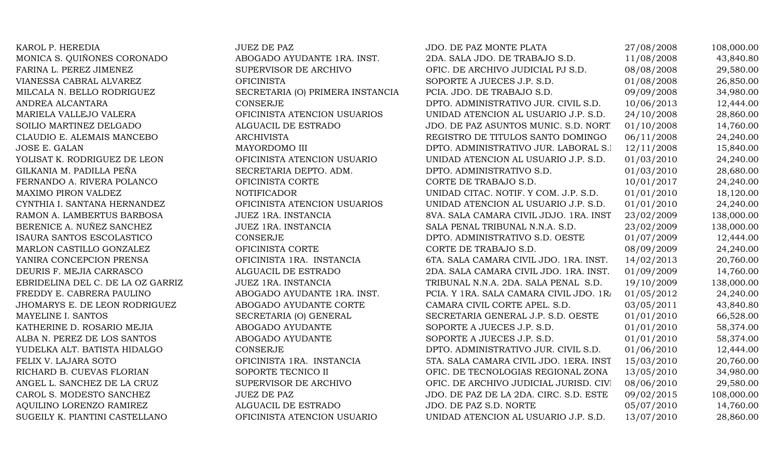| KAROL P. HEREDIA                  | <b>JUEZ DE PAZ</b>               | JDO. DE PAZ MONTE PLATA                 | 27/08/2008 | 108,000.00 |
|-----------------------------------|----------------------------------|-----------------------------------------|------------|------------|
| MONICA S. QUIÑONES CORONADO       | ABOGADO AYUDANTE 1RA. INST.      | 2DA. SALA JDO. DE TRABAJO S.D.          | 11/08/2008 | 43,840.80  |
| FARINA L. PEREZ JIMENEZ           | SUPERVISOR DE ARCHIVO            | OFIC. DE ARCHIVO JUDICIAL PJ S.D.       | 08/08/2008 | 29,580.00  |
| VIANESSA CABRAL ALVAREZ           | <b>OFICINISTA</b>                | SOPORTE A JUECES J.P. S.D.              | 01/08/2008 | 26,850.00  |
| MILCALA N. BELLO RODRIGUEZ        | SECRETARIA (O) PRIMERA INSTANCIA | PCIA. JDO. DE TRABAJO S.D.              | 09/09/2008 | 34,980.00  |
| ANDREA ALCANTARA                  | <b>CONSERJE</b>                  | DPTO. ADMINISTRATIVO JUR. CIVIL S.D.    | 10/06/2013 | 12,444.00  |
| MARIELA VALLEJO VALERA            | OFICINISTA ATENCION USUARIOS     | UNIDAD ATENCION AL USUARIO J.P. S.D.    | 24/10/2008 | 28,860.00  |
| SOILIO MARTINEZ DELGADO           | ALGUACIL DE ESTRADO              | JDO. DE PAZ ASUNTOS MUNIC. S.D. NORT    | 01/10/2008 | 14,760.00  |
| CLAUDIO E. ALEMAIS MANCEBO        | <b>ARCHIVISTA</b>                | REGISTRO DE TITULOS SANTO DOMINGO       | 06/11/2008 | 24,240.00  |
| JOSE E. GALAN                     | MAYORDOMO III                    | DPTO. ADMINISTRATIVO JUR. LABORAL S.I   | 12/11/2008 | 15,840.00  |
| YOLISAT K. RODRIGUEZ DE LEON      | OFICINISTA ATENCION USUARIO      | UNIDAD ATENCION AL USUARIO J.P. S.D.    | 01/03/2010 | 24,240.00  |
| GILKANIA M. PADILLA PEÑA          | SECRETARIA DEPTO. ADM.           | DPTO. ADMINISTRATIVO S.D.               | 01/03/2010 | 28,680.00  |
| FERNANDO A. RIVERA POLANCO        | OFICINISTA CORTE                 | CORTE DE TRABAJO S.D.                   | 10/01/2017 | 24,240.00  |
| MAXIMO PIRON VALDEZ               | <b>NOTIFICADOR</b>               | UNIDAD CITAC. NOTIF. Y COM. J.P. S.D.   | 01/01/2010 | 18,120.00  |
| CYNTHIA I. SANTANA HERNANDEZ      | OFICINISTA ATENCION USUARIOS     | UNIDAD ATENCION AL USUARIO J.P. S.D.    | 01/01/2010 | 24,240.00  |
| RAMON A. LAMBERTUS BARBOSA        | JUEZ 1RA. INSTANCIA              | 8VA. SALA CAMARA CIVIL JDJO. 1RA. INST  | 23/02/2009 | 138,000.00 |
| BERENICE A. NUÑEZ SANCHEZ         | JUEZ 1RA. INSTANCIA              | SALA PENAL TRIBUNAL N.N.A. S.D.         | 23/02/2009 | 138,000.00 |
| ISAURA SANTOS ESCOLASTICO         | <b>CONSERJE</b>                  | DPTO. ADMINISTRATIVO S.D. OESTE         | 01/07/2009 | 12,444.00  |
| MARLON CASTILLO GONZALEZ          | OFICINISTA CORTE                 | CORTE DE TRABAJO S.D.                   | 08/09/2009 | 24,240.00  |
| YANIRA CONCEPCION PRENSA          | OFICINISTA 1RA. INSTANCIA        | 6TA. SALA CAMARA CIVIL JDO. 1RA. INST.  | 14/02/2013 | 20,760.00  |
| DEURIS F. MEJIA CARRASCO          | ALGUACIL DE ESTRADO              | 2DA. SALA CAMARA CIVIL JDO. 1RA. INST.  | 01/09/2009 | 14,760.00  |
| EBRIDELINA DEL C. DE LA OZ GARRIZ | JUEZ 1RA. INSTANCIA              | TRIBUNAL N.N.A. 2DA. SALA PENAL S.D.    | 19/10/2009 | 138,000.00 |
| FREDDY E. CABRERA PAULINO         | ABOGADO AYUDANTE 1RA. INST.      | PCIA. Y 1RA. SALA CAMARA CIVIL JDO. 1R/ | 01/05/2012 | 24,240.00  |
| JHOMARYS E. DE LEON RODRIGUEZ     | ABOGADO AYUDANTE CORTE           | CAMARA CIVIL CORTE APEL. S.D.           | 03/05/2011 | 43,840.80  |
| MAYELINE I. SANTOS                | SECRETARIA (O) GENERAL           | SECRETARIA GENERAL J.P. S.D. OESTE      | 01/01/2010 | 66,528.00  |
| KATHERINE D. ROSARIO MEJIA        | ABOGADO AYUDANTE                 | SOPORTE A JUECES J.P. S.D.              | 01/01/2010 | 58,374.00  |
| ALBA N. PEREZ DE LOS SANTOS       | ABOGADO AYUDANTE                 | SOPORTE A JUECES J.P. S.D.              | 01/01/2010 | 58,374.00  |
| YUDELKA ALT. BATISTA HIDALGO      | <b>CONSERJE</b>                  | DPTO. ADMINISTRATIVO JUR. CIVIL S.D.    | 01/06/2010 | 12,444.00  |
| FELIX V. LAJARA SOTO              | OFICINISTA 1RA. INSTANCIA        | 5TA. SALA CAMARA CIVIL JDO. 1ERA. INST  | 15/03/2010 | 20,760.00  |
| RICHARD B. CUEVAS FLORIAN         | SOPORTE TECNICO II               | OFIC. DE TECNOLOGIAS REGIONAL ZONA      | 13/05/2010 | 34,980.00  |
| ANGEL L. SANCHEZ DE LA CRUZ       | SUPERVISOR DE ARCHIVO            | OFIC. DE ARCHIVO JUDICIAL JURISD. CIVI  | 08/06/2010 | 29,580.00  |
| CAROL S. MODESTO SANCHEZ          | <b>JUEZ DE PAZ</b>               | JDO. DE PAZ DE LA 2DA. CIRC. S.D. ESTE  | 09/02/2015 | 108,000.00 |
| AQUILINO LORENZO RAMIREZ          | ALGUACIL DE ESTRADO              | JDO. DE PAZ S.D. NORTE                  | 05/07/2010 | 14,760.00  |
| SUGEILY K. PIANTINI CASTELLANO    | OFICINISTA ATENCION USUARIO      | UNIDAD ATENCION AL USUARIO J.P. S.D.    | 13/07/2010 | 28,860.00  |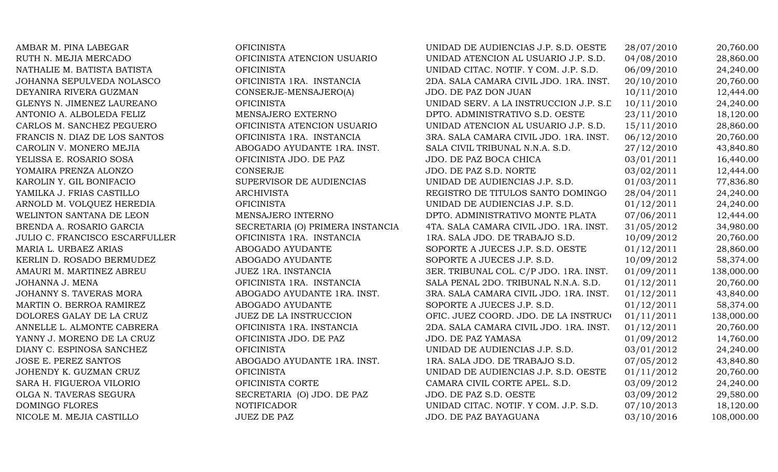| AMBAR M. PINA LABEGAR                 | <b>OFICINISTA</b>                | UNIDAD DE AUDIENCIAS J.P. S.D. OESTE   | 28/07/2010 | 20,760.00  |
|---------------------------------------|----------------------------------|----------------------------------------|------------|------------|
| RUTH N. MEJIA MERCADO                 | OFICINISTA ATENCION USUARIO      | UNIDAD ATENCION AL USUARIO J.P. S.D.   | 04/08/2010 | 28,860.00  |
| NATHALIE M. BATISTA BATISTA           | <b>OFICINISTA</b>                | UNIDAD CITAC. NOTIF. Y COM. J.P. S.D.  | 06/09/2010 | 24,240.00  |
| JOHANNA SEPULVEDA NOLASCO             | OFICINISTA 1RA. INSTANCIA        | 2DA. SALA CAMARA CIVIL JDO. 1RA. INST. | 20/10/2010 | 20,760.00  |
| DEYANIRA RIVERA GUZMAN                | CONSERJE-MENSAJERO(A)            | JDO. DE PAZ DON JUAN                   | 10/11/2010 | 12,444.00  |
| GLENYS N. JIMENEZ LAUREANO            | <b>OFICINISTA</b>                | UNIDAD SERV. A LA INSTRUCCION J.P. S.L | 10/11/2010 | 24,240.00  |
| ANTONIO A. ALBOLEDA FELIZ             | MENSAJERO EXTERNO                | DPTO. ADMINISTRATIVO S.D. OESTE        | 23/11/2010 | 18,120.00  |
| CARLOS M. SANCHEZ PEGUERO             | OFICINISTA ATENCION USUARIO      | UNIDAD ATENCION AL USUARIO J.P. S.D.   | 15/11/2010 | 28,860.00  |
| FRANCIS N. DIAZ DE LOS SANTOS         | OFICINISTA 1RA. INSTANCIA        | 3RA. SALA CAMARA CIVIL JDO. 1RA. INST. | 06/12/2010 | 20,760.00  |
| CAROLIN V. MONERO MEJIA               | ABOGADO AYUDANTE 1RA. INST.      | SALA CIVIL TRIBUNAL N.N.A. S.D.        | 27/12/2010 | 43,840.80  |
| YELISSA E. ROSARIO SOSA               | OFICINISTA JDO. DE PAZ           | JDO. DE PAZ BOCA CHICA                 | 03/01/2011 | 16,440.00  |
| YOMAIRA PRENZA ALONZO                 | CONSERJE                         | JDO. DE PAZ S.D. NORTE                 | 03/02/2011 | 12,444.00  |
| KAROLIN Y. GIL BONIFACIO              | SUPERVISOR DE AUDIENCIAS         | UNIDAD DE AUDIENCIAS J.P. S.D.         | 01/03/2011 | 77,836.80  |
| YAMILKA J. FRIAS CASTILLO             | <b>ARCHIVISTA</b>                | REGISTRO DE TITULOS SANTO DOMINGO      | 28/04/2011 | 24,240.00  |
| ARNOLD M. VOLQUEZ HEREDIA             | <b>OFICINISTA</b>                | UNIDAD DE AUDIENCIAS J.P. S.D.         | 01/12/2011 | 24,240.00  |
| WELINTON SANTANA DE LEON              | MENSAJERO INTERNO                | DPTO. ADMINISTRATIVO MONTE PLATA       | 07/06/2011 | 12,444.00  |
| BRENDA A. ROSARIO GARCIA              | SECRETARIA (O) PRIMERA INSTANCIA | 4TA. SALA CAMARA CIVIL JDO. 1RA. INST. | 31/05/2012 | 34,980.00  |
| <b>JULIO C. FRANCISCO ESCARFULLER</b> | OFICINISTA 1RA. INSTANCIA        | 1RA. SALA JDO. DE TRABAJO S.D.         | 10/09/2012 | 20,760.00  |
| MARIA L. URBAEZ ARIAS                 | ABOGADO AYUDANTE                 | SOPORTE A JUECES J.P. S.D. OESTE       | 01/12/2011 | 28,860.00  |
| KERLIN D. ROSADO BERMUDEZ             | ABOGADO AYUDANTE                 | SOPORTE A JUECES J.P. S.D.             | 10/09/2012 | 58,374.00  |
| AMAURI M. MARTINEZ ABREU              | JUEZ 1RA. INSTANCIA              | 3ER. TRIBUNAL COL. C/P JDO. 1RA. INST. | 01/09/2011 | 138,000.00 |
| JOHANNA J. MENA                       | OFICINISTA 1RA. INSTANCIA        | SALA PENAL 2DO. TRIBUNAL N.N.A. S.D.   | 01/12/2011 | 20,760.00  |
| JOHANNY S. TAVERAS MORA               | ABOGADO AYUDANTE 1RA. INST.      | 3RA. SALA CAMARA CIVIL JDO. 1RA. INST. | 01/12/2011 | 43,840.00  |
| MARTIN O. BERROA RAMIREZ              | ABOGADO AYUDANTE                 | SOPORTE A JUECES J.P. S.D.             | 01/12/2011 | 58,374.00  |
| DOLORES GALAY DE LA CRUZ              | JUEZ DE LA INSTRUCCION           | OFIC. JUEZ COORD. JDO. DE LA INSTRUCO  | 01/11/2011 | 138,000.00 |
| ANNELLE L. ALMONTE CABRERA            | OFICINISTA 1RA. INSTANCIA        | 2DA. SALA CAMARA CIVIL JDO. 1RA. INST. | 01/12/2011 | 20,760.00  |
| YANNY J. MORENO DE LA CRUZ            | OFICINISTA JDO. DE PAZ           | JDO. DE PAZ YAMASA                     | 01/09/2012 | 14,760.00  |
| DIANY C. ESPINOSA SANCHEZ             | <b>OFICINISTA</b>                | UNIDAD DE AUDIENCIAS J.P. S.D.         | 03/01/2012 | 24,240.00  |
| <b>JOSE E. PEREZ SANTOS</b>           | ABOGADO AYUDANTE 1RA. INST.      | 1RA. SALA JDO. DE TRABAJO S.D.         | 07/05/2012 | 43,840.80  |
| JOHENDY K. GUZMAN CRUZ                | <b>OFICINISTA</b>                | UNIDAD DE AUDIENCIAS J.P. S.D. OESTE   | 01/11/2012 | 20,760.00  |
| SARA H. FIGUEROA VILORIO              | OFICINISTA CORTE                 | CAMARA CIVIL CORTE APEL. S.D.          | 03/09/2012 | 24,240.00  |
| OLGA N. TAVERAS SEGURA                | SECRETARIA (O) JDO. DE PAZ       | JDO. DE PAZ S.D. OESTE                 | 03/09/2012 | 29,580.00  |
| DOMINGO FLORES                        | <b>NOTIFICADOR</b>               | UNIDAD CITAC. NOTIF. Y COM. J.P. S.D.  | 07/10/2013 | 18,120.00  |
| NICOLE M. MEJIA CASTILLO              | <b>JUEZ DE PAZ</b>               | JDO. DE PAZ BAYAGUANA                  | 03/10/2016 | 108,000.00 |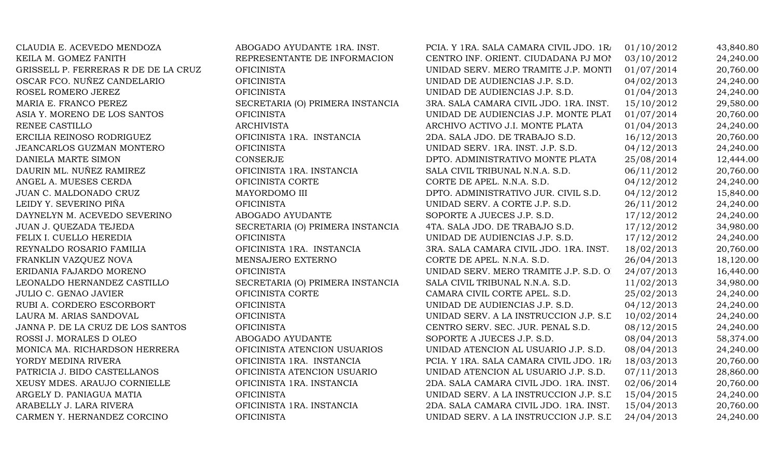| CLAUDIA E. ACEVEDO MENDOZA           | ABOGADO AYUDANTE 1RA. INST.      | PCIA. Y 1RA. SALA CAMARA CIVIL JDO. 1RA | 01/10/2012 | 43,840.80 |
|--------------------------------------|----------------------------------|-----------------------------------------|------------|-----------|
| KEILA M. GOMEZ FANITH                | REPRESENTANTE DE INFORMACION     | CENTRO INF. ORIENT. CIUDADANA PJ MOI    | 03/10/2012 | 24,240.00 |
| GRISSELL P. FERRERAS R DE DE LA CRUZ | <b>OFICINISTA</b>                | UNIDAD SERV. MERO TRAMITE J.P. MONTI    | 01/07/2014 | 20,760.00 |
| OSCAR FCO. NUÑEZ CANDELARIO          | <b>OFICINISTA</b>                | UNIDAD DE AUDIENCIAS J.P. S.D.          | 04/02/2013 | 24,240.00 |
| ROSEL ROMERO JEREZ                   | <b>OFICINISTA</b>                | UNIDAD DE AUDIENCIAS J.P. S.D.          | 01/04/2013 | 24,240.00 |
| MARIA E. FRANCO PEREZ                | SECRETARIA (O) PRIMERA INSTANCIA | 3RA. SALA CAMARA CIVIL JDO. 1RA. INST.  | 15/10/2012 | 29,580.00 |
| ASIA Y. MORENO DE LOS SANTOS         | <b>OFICINISTA</b>                | UNIDAD DE AUDIENCIAS J.P. MONTE PLAT    | 01/07/2014 | 20,760.00 |
| RENEE CASTILLO                       | <b>ARCHIVISTA</b>                | ARCHIVO ACTIVO J.I. MONTE PLATA         | 01/04/2013 | 24,240.00 |
| ERCILIA REINOSO RODRIGUEZ            | OFICINISTA 1RA. INSTANCIA        | 2DA. SALA JDO. DE TRABAJO S.D.          | 16/12/2013 | 20,760.00 |
| JEANCARLOS GUZMAN MONTERO            | <b>OFICINISTA</b>                | UNIDAD SERV. 1RA. INST. J.P. S.D.       | 04/12/2013 | 24,240.00 |
| DANIELA MARTE SIMON                  | <b>CONSERJE</b>                  | DPTO. ADMINISTRATIVO MONTE PLATA        | 25/08/2014 | 12,444.00 |
| DAURIN ML. NUÑEZ RAMIREZ             | OFICINISTA 1RA. INSTANCIA        | SALA CIVIL TRIBUNAL N.N.A. S.D.         | 06/11/2012 | 20,760.00 |
| ANGEL A. MUESES CERDA                | OFICINISTA CORTE                 | CORTE DE APEL. N.N.A. S.D.              | 04/12/2012 | 24,240.00 |
| JUAN C. MALDONADO CRUZ               | MAYORDOMO III                    | DPTO. ADMINISTRATIVO JUR. CIVIL S.D.    | 04/12/2012 | 15,840.00 |
| LEIDY Y. SEVERINO PIÑA               | <b>OFICINISTA</b>                | UNIDAD SERV. A CORTE J.P. S.D.          | 26/11/2012 | 24,240.00 |
| DAYNELYN M. ACEVEDO SEVERINO         | ABOGADO AYUDANTE                 | SOPORTE A JUECES J.P. S.D.              | 17/12/2012 | 24,240.00 |
| JUAN J. QUEZADA TEJEDA               | SECRETARIA (O) PRIMERA INSTANCIA | 4TA. SALA JDO. DE TRABAJO S.D.          | 17/12/2012 | 34,980.00 |
| FELIX I. CUELLO HEREDIA              | <b>OFICINISTA</b>                | UNIDAD DE AUDIENCIAS J.P. S.D.          | 17/12/2012 | 24,240.00 |
| REYNALDO ROSARIO FAMILIA             | OFICINISTA 1RA. INSTANCIA        | 3RA. SALA CAMARA CIVIL JDO. 1RA. INST.  | 18/02/2013 | 20,760.00 |
| FRANKLIN VAZQUEZ NOVA                | MENSAJERO EXTERNO                | CORTE DE APEL. N.N.A. S.D.              | 26/04/2013 | 18,120.00 |
| ERIDANIA FAJARDO MORENO              | <b>OFICINISTA</b>                | UNIDAD SERV. MERO TRAMITE J.P. S.D. O   | 24/07/2013 | 16,440.00 |
| LEONALDO HERNANDEZ CASTILLO          | SECRETARIA (O) PRIMERA INSTANCIA | SALA CIVIL TRIBUNAL N.N.A. S.D.         | 11/02/2013 | 34,980.00 |
| <b>JULIO C. GENAO JAVIER</b>         | OFICINISTA CORTE                 | CAMARA CIVIL CORTE APEL. S.D.           | 25/02/2013 | 24,240.00 |
| RUBI A. CORDERO ESCORBORT            | <b>OFICINISTA</b>                | UNIDAD DE AUDIENCIAS J.P. S.D.          | 04/12/2013 | 24,240.00 |
| LAURA M. ARIAS SANDOVAL              | <b>OFICINISTA</b>                | UNIDAD SERV. A LA INSTRUCCION J.P. S.L  | 10/02/2014 | 24,240.00 |
| JANNA P. DE LA CRUZ DE LOS SANTOS    | <b>OFICINISTA</b>                | CENTRO SERV. SEC. JUR. PENAL S.D.       | 08/12/2015 | 24,240.00 |
| ROSSI J. MORALES D OLEO              | ABOGADO AYUDANTE                 | SOPORTE A JUECES J.P. S.D.              | 08/04/2013 | 58,374.00 |
| MONICA MA. RICHARDSON HERRERA        | OFICINISTA ATENCION USUARIOS     | UNIDAD ATENCION AL USUARIO J.P. S.D.    | 08/04/2013 | 24,240.00 |
| YORDY MEDINA RIVERA                  | OFICINISTA 1RA. INSTANCIA        | PCIA. Y 1RA. SALA CAMARA CIVIL JDO. 1RA | 18/03/2013 | 20,760.00 |
| PATRICIA J. BIDO CASTELLANOS         | OFICINISTA ATENCION USUARIO      | UNIDAD ATENCION AL USUARIO J.P. S.D.    | 07/11/2013 | 28,860.00 |
| XEUSY MDES. ARAUJO CORNIELLE         | OFICINISTA 1RA. INSTANCIA        | 2DA. SALA CAMARA CIVIL JDO. 1RA. INST.  | 02/06/2014 | 20,760.00 |
| ARGELY D. PANIAGUA MATIA             | <b>OFICINISTA</b>                | UNIDAD SERV. A LA INSTRUCCION J.P. S.L  | 15/04/2015 | 24,240.00 |
| ARABELLY J. LARA RIVERA              | OFICINISTA 1RA. INSTANCIA        | 2DA. SALA CAMARA CIVIL JDO. 1RA. INST.  | 15/04/2013 | 20,760.00 |
| CARMEN Y. HERNANDEZ CORCINO          | <b>OFICINISTA</b>                | UNIDAD SERV. A LA INSTRUCCION J.P. S.L  | 24/04/2013 | 24,240.00 |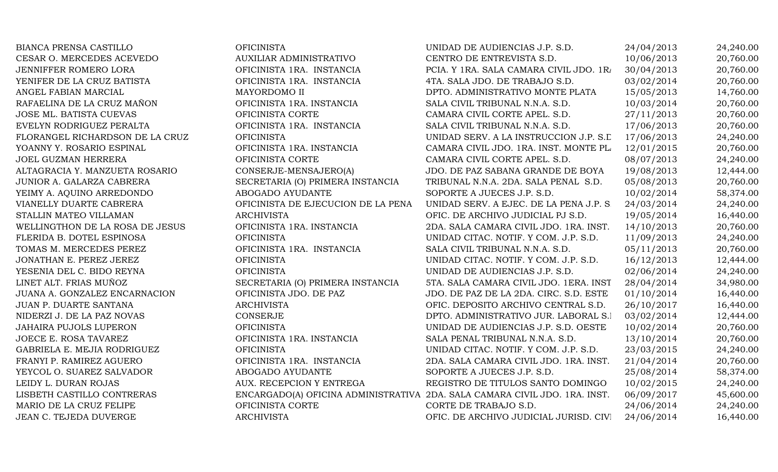| <b>BIANCA PRENSA CASTILLO</b>   | <b>OFICINISTA</b>                  | UNIDAD DE AUDIENCIAS J.P. S.D.                                             | 24/04/2013 | 24,240.00 |
|---------------------------------|------------------------------------|----------------------------------------------------------------------------|------------|-----------|
| CESAR O. MERCEDES ACEVEDO       | AUXILIAR ADMINISTRATIVO            | CENTRO DE ENTREVISTA S.D.                                                  | 10/06/2013 | 20,760.00 |
| JENNIFFER ROMERO LORA           | OFICINISTA 1RA. INSTANCIA          | PCIA. Y 1RA. SALA CAMARA CIVIL JDO. 1R/                                    | 30/04/2013 | 20,760.00 |
| YENIFER DE LA CRUZ BATISTA      | OFICINISTA 1RA. INSTANCIA          | 4TA. SALA JDO. DE TRABAJO S.D.                                             | 03/02/2014 | 20,760.00 |
| ANGEL FABIAN MARCIAL            | MAYORDOMO II                       | DPTO. ADMINISTRATIVO MONTE PLATA                                           | 15/05/2013 | 14,760.00 |
| RAFAELINA DE LA CRUZ MAÑON      | OFICINISTA 1RA. INSTANCIA          | SALA CIVIL TRIBUNAL N.N.A. S.D.                                            | 10/03/2014 | 20,760.00 |
| JOSE ML. BATISTA CUEVAS         | OFICINISTA CORTE                   | CAMARA CIVIL CORTE APEL. S.D.                                              | 27/11/2013 | 20,760.00 |
| EVELYN RODRIGUEZ PERALTA        | OFICINISTA 1RA. INSTANCIA          | SALA CIVIL TRIBUNAL N.N.A. S.D.                                            | 17/06/2013 | 20,760.00 |
| FLORANGEL RICHARDSON DE LA CRUZ | <b>OFICINISTA</b>                  | UNIDAD SERV. A LA INSTRUCCION J.P. S.L                                     | 17/06/2013 | 24,240.00 |
| YOANNY Y. ROSARIO ESPINAL       | OFICINISTA 1RA. INSTANCIA          | CAMARA CIVIL JDO. 1RA. INST. MONTE PL.                                     | 12/01/2015 | 20,760.00 |
| JOEL GUZMAN HERRERA             | OFICINISTA CORTE                   | CAMARA CIVIL CORTE APEL. S.D.                                              | 08/07/2013 | 24,240.00 |
| ALTAGRACIA Y. MANZUETA ROSARIO  | CONSERJE-MENSAJERO(A)              | JDO. DE PAZ SABANA GRANDE DE BOYA                                          | 19/08/2013 | 12,444.00 |
| JUNIOR A. GALARZA CABRERA       | SECRETARIA (O) PRIMERA INSTANCIA   | TRIBUNAL N.N.A. 2DA. SALA PENAL S.D.                                       | 05/08/2013 | 20,760.00 |
| YEIMY A. AQUINO ARREDONDO       | ABOGADO AYUDANTE                   | SOPORTE A JUECES J.P. S.D.                                                 | 10/02/2014 | 58,374.00 |
| VIANELLY DUARTE CABRERA         | OFICINISTA DE EJECUCION DE LA PENA | UNIDAD SERV. A EJEC. DE LA PENA J.P. S.                                    | 24/03/2014 | 24,240.00 |
| STALLIN MATEO VILLAMAN          | <b>ARCHIVISTA</b>                  | OFIC. DE ARCHIVO JUDICIAL PJ S.D.                                          | 19/05/2014 | 16,440.00 |
| WELLINGTHON DE LA ROSA DE JESUS | OFICINISTA 1RA. INSTANCIA          | 2DA. SALA CAMARA CIVIL JDO. 1RA. INST.                                     | 14/10/2013 | 20,760.00 |
| FLERIDA B. DOTEL ESPINOSA       | <b>OFICINISTA</b>                  | UNIDAD CITAC. NOTIF. Y COM. J.P. S.D.                                      | 11/09/2013 | 24,240.00 |
| TOMAS M. MERCEDES PEREZ         | OFICINISTA 1RA. INSTANCIA          | SALA CIVIL TRIBUNAL N.N.A. S.D.                                            | 05/11/2013 | 20,760.00 |
| JONATHAN E. PEREZ JEREZ         | <b>OFICINISTA</b>                  | UNIDAD CITAC. NOTIF. Y COM. J.P. S.D.                                      | 16/12/2013 | 12,444.00 |
| YESENIA DEL C. BIDO REYNA       | <b>OFICINISTA</b>                  | UNIDAD DE AUDIENCIAS J.P. S.D.                                             | 02/06/2014 | 24,240.00 |
| LINET ALT. FRIAS MUÑOZ          | SECRETARIA (O) PRIMERA INSTANCIA   | 5TA. SALA CAMARA CIVIL JDO. 1ERA. INST                                     | 28/04/2014 | 34,980.00 |
| JUANA A. GONZALEZ ENCARNACION   | OFICINISTA JDO. DE PAZ             | JDO. DE PAZ DE LA 2DA. CIRC. S.D. ESTE                                     | 01/10/2014 | 16,440.00 |
| JUAN P. DUARTE SANTANA          | <b>ARCHIVISTA</b>                  | OFIC. DEPOSITO ARCHIVO CENTRAL S.D.                                        | 26/10/2017 | 16,440.00 |
| NIDERZI J. DE LA PAZ NOVAS      | CONSERJE                           | DPTO. ADMINISTRATIVO JUR. LABORAL S.I                                      | 03/02/2014 | 12,444.00 |
| <b>JAHAIRA PUJOLS LUPERON</b>   | <b>OFICINISTA</b>                  | UNIDAD DE AUDIENCIAS J.P. S.D. OESTE                                       | 10/02/2014 | 20,760.00 |
| JOECE E. ROSA TAVAREZ           | OFICINISTA 1RA. INSTANCIA          | SALA PENAL TRIBUNAL N.N.A. S.D.                                            | 13/10/2014 | 20,760.00 |
| GABRIELA E. MEJIA RODRIGUEZ     | <b>OFICINISTA</b>                  | UNIDAD CITAC. NOTIF. Y COM. J.P. S.D.                                      | 23/03/2015 | 24,240.00 |
| FRANYI P. RAMIREZ AGUERO        | OFICINISTA 1RA. INSTANCIA          | 2DA. SALA CAMARA CIVIL JDO. 1RA. INST.                                     | 21/04/2014 | 20,760.00 |
| YEYCOL O. SUAREZ SALVADOR       | ABOGADO AYUDANTE                   | SOPORTE A JUECES J.P. S.D.                                                 | 25/08/2014 | 58,374.00 |
| LEIDY L. DURAN ROJAS            | AUX. RECEPCION Y ENTREGA           | REGISTRO DE TITULOS SANTO DOMINGO                                          | 10/02/2015 | 24,240.00 |
| LISBETH CASTILLO CONTRERAS      |                                    | ENCARGADO(A) OFICINA ADMINISTRATIVA 2DA. SALA CAMARA CIVIL JDO. 1RA. INST. | 06/09/2017 | 45,600.00 |
| MARIO DE LA CRUZ FELIPE         | OFICINISTA CORTE                   | CORTE DE TRABAJO S.D.                                                      | 24/06/2014 | 24,240.00 |
| JEAN C. TEJEDA DUVERGE          | <b>ARCHIVISTA</b>                  | OFIC. DE ARCHIVO JUDICIAL JURISD. CIVI                                     | 24/06/2014 | 16,440.00 |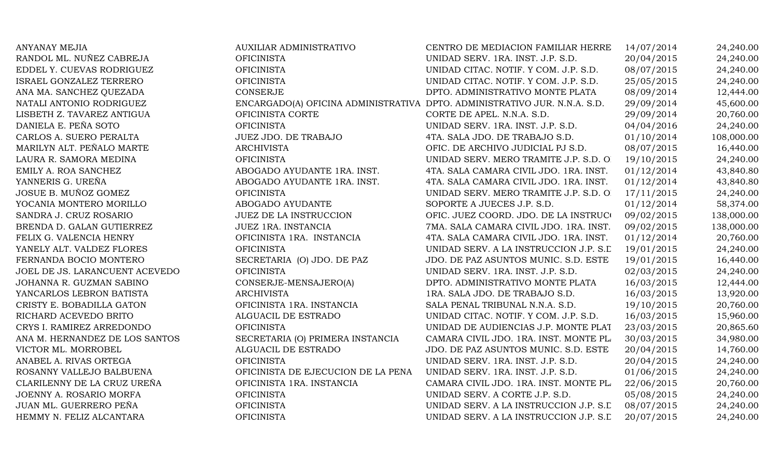| <b>ANYANAY MEJIA</b>           | AUXILIAR ADMINISTRATIVO                                                   | CENTRO DE MEDIACION FAMILIAR HERRE     | 14/07/2014 | 24,240.00  |
|--------------------------------|---------------------------------------------------------------------------|----------------------------------------|------------|------------|
| RANDOL ML. NUÑEZ CABREJA       | <b>OFICINISTA</b>                                                         | UNIDAD SERV. 1RA. INST. J.P. S.D.      | 20/04/2015 | 24,240.00  |
| EDDEL Y. CUEVAS RODRIGUEZ      | <b>OFICINISTA</b>                                                         | UNIDAD CITAC. NOTIF. Y COM. J.P. S.D.  | 08/07/2015 | 24,240.00  |
| ISRAEL GONZALEZ TERRERO        | <b>OFICINISTA</b>                                                         | UNIDAD CITAC. NOTIF. Y COM. J.P. S.D.  | 25/05/2015 | 24,240.00  |
| ANA MA. SANCHEZ QUEZADA        | <b>CONSERJE</b>                                                           | DPTO. ADMINISTRATIVO MONTE PLATA       | 08/09/2014 | 12,444.00  |
| NATALI ANTONIO RODRIGUEZ       | ENCARGADO(A) OFICINA ADMINISTRATIVA DPTO. ADMINISTRATIVO JUR. N.N.A. S.D. |                                        | 29/09/2014 | 45,600.00  |
| LISBETH Z. TAVAREZ ANTIGUA     | OFICINISTA CORTE                                                          | CORTE DE APEL. N.N.A. S.D.             | 29/09/2014 | 20,760.00  |
| DANIELA E. PEÑA SOTO           | <b>OFICINISTA</b>                                                         | UNIDAD SERV. 1RA. INST. J.P. S.D.      | 04/04/2016 | 24,240.00  |
| CARLOS A. SUERO PERALTA        | JUEZ JDO. DE TRABAJO                                                      | 4TA. SALA JDO. DE TRABAJO S.D.         | 01/10/2014 | 108,000.00 |
| MARILYN ALT. PEÑALO MARTE      | <b>ARCHIVISTA</b>                                                         | OFIC. DE ARCHIVO JUDICIAL PJ S.D.      | 08/07/2015 | 16,440.00  |
| LAURA R. SAMORA MEDINA         | <b>OFICINISTA</b>                                                         | UNIDAD SERV. MERO TRAMITE J.P. S.D. O. | 19/10/2015 | 24,240.00  |
| EMILY A. ROA SANCHEZ           | ABOGADO AYUDANTE 1RA. INST.                                               | 4TA. SALA CAMARA CIVIL JDO. 1RA. INST. | 01/12/2014 | 43,840.80  |
| YANNERIS G. UREÑA              | ABOGADO AYUDANTE 1RA. INST.                                               | 4TA. SALA CAMARA CIVIL JDO. 1RA. INST. | 01/12/2014 | 43,840.80  |
| JOSUE B. MUÑOZ GOMEZ           | <b>OFICINISTA</b>                                                         | UNIDAD SERV. MERO TRAMITE J.P. S.D. O  | 17/11/2015 | 24,240.00  |
| YOCANIA MONTERO MORILLO        | ABOGADO AYUDANTE                                                          | SOPORTE A JUECES J.P. S.D.             | 01/12/2014 | 58,374.00  |
| SANDRA J. CRUZ ROSARIO         | <b>JUEZ DE LA INSTRUCCION</b>                                             | OFIC. JUEZ COORD. JDO. DE LA INSTRUCO  | 09/02/2015 | 138,000.00 |
| BRENDA D. GALAN GUTIERREZ      | JUEZ 1RA. INSTANCIA                                                       | 7MA. SALA CAMARA CIVIL JDO. 1RA. INST. | 09/02/2015 | 138,000.00 |
| FELIX G. VALENCIA HENRY        | OFICINISTA 1RA. INSTANCIA                                                 | 4TA. SALA CAMARA CIVIL JDO. 1RA. INST. | 01/12/2014 | 20,760.00  |
| YANELY ALT. VALDEZ FLORES      | <b>OFICINISTA</b>                                                         | UNIDAD SERV. A LA INSTRUCCION J.P. S.L | 19/01/2015 | 24,240.00  |
| FERNANDA BOCIO MONTERO         | SECRETARIA (O) JDO. DE PAZ                                                | JDO. DE PAZ ASUNTOS MUNIC. S.D. ESTE   | 19/01/2015 | 16,440.00  |
| JOEL DE JS. LARANCUENT ACEVEDO | <b>OFICINISTA</b>                                                         | UNIDAD SERV. 1RA. INST. J.P. S.D.      | 02/03/2015 | 24,240.00  |
| JOHANNA R. GUZMAN SABINO       | CONSERJE-MENSAJERO(A)                                                     | DPTO. ADMINISTRATIVO MONTE PLATA       | 16/03/2015 | 12,444.00  |
| YANCARLOS LEBRON BATISTA       | <b>ARCHIVISTA</b>                                                         | 1RA. SALA JDO. DE TRABAJO S.D.         | 16/03/2015 | 13,920.00  |
| CRISTY E. BOBADILLA GATON      | OFICINISTA 1RA. INSTANCIA                                                 | SALA PENAL TRIBUNAL N.N.A. S.D.        | 19/10/2015 | 20,760.00  |
| RICHARD ACEVEDO BRITO          | ALGUACIL DE ESTRADO                                                       | UNIDAD CITAC. NOTIF. Y COM. J.P. S.D.  | 16/03/2015 | 15,960.00  |
| CRYS I. RAMIREZ ARREDONDO      | <b>OFICINISTA</b>                                                         | UNIDAD DE AUDIENCIAS J.P. MONTE PLAT   | 23/03/2015 | 20,865.60  |
| ANA M. HERNANDEZ DE LOS SANTOS | SECRETARIA (O) PRIMERA INSTANCIA                                          | CAMARA CIVIL JDO. 1RA. INST. MONTE PL. | 30/03/2015 | 34,980.00  |
| VICTOR ML. MORROBEL            | ALGUACIL DE ESTRADO                                                       | JDO. DE PAZ ASUNTOS MUNIC. S.D. ESTE   | 20/04/2015 | 14,760.00  |
| ANABEL A. RIVAS ORTEGA         | <b>OFICINISTA</b>                                                         | UNIDAD SERV. 1RA. INST. J.P. S.D.      | 20/04/2015 | 24,240.00  |
| ROSANNY VALLEJO BALBUENA       | OFICINISTA DE EJECUCION DE LA PENA                                        | UNIDAD SERV. 1RA. INST. J.P. S.D.      | 01/06/2015 | 24,240.00  |
| CLARILENNY DE LA CRUZ UREÑA    | OFICINISTA 1RA. INSTANCIA                                                 | CAMARA CIVIL JDO. 1RA. INST. MONTE PL. | 22/06/2015 | 20,760.00  |
| JOENNY A. ROSARIO MORFA        | <b>OFICINISTA</b>                                                         | UNIDAD SERV. A CORTE J.P. S.D.         | 05/08/2015 | 24,240.00  |
| JUAN ML. GUERRERO PEÑA         | <b>OFICINISTA</b>                                                         | UNIDAD SERV. A LA INSTRUCCION J.P. S.L | 08/07/2015 | 24,240.00  |
| HEMMY N. FELIZ ALCANTARA       | <b>OFICINISTA</b>                                                         | UNIDAD SERV. A LA INSTRUCCION J.P. S.L | 20/07/2015 | 24,240.00  |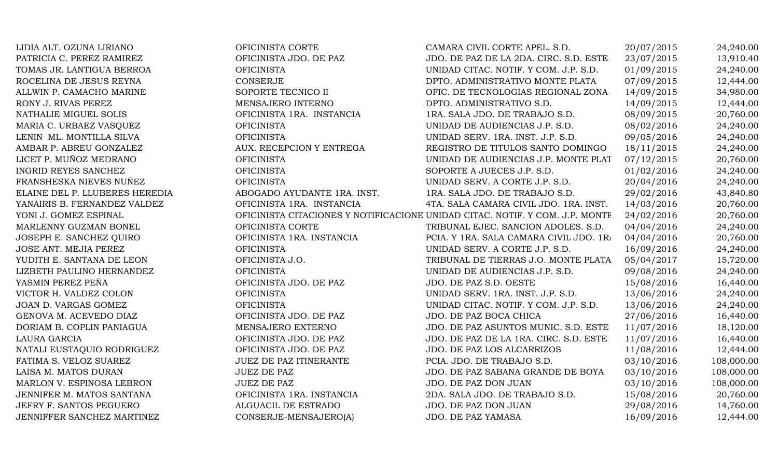| LIDIA ALT. OZUNA LIRIANO       | OFICINISTA CORTE            | CAMARA CIVIL CORTE APEL. S.D.                                                | 20/07/2015 | 24,240.00  |
|--------------------------------|-----------------------------|------------------------------------------------------------------------------|------------|------------|
| PATRICIA C. PEREZ RAMIREZ      | OFICINISTA JDO. DE PAZ      | JDO. DE PAZ DE LA 2DA. CIRC. S.D. ESTE                                       | 23/07/2015 | 13,910.40  |
| TOMAS JR. LANTIGUA BERROA      | <b>OFICINISTA</b>           | UNIDAD CITAC. NOTIF. Y COM. J.P. S.D.                                        | 01/09/2015 | 24,240.00  |
| ROCELINA DE JESUS REYNA        | CONSERJE                    | DPTO. ADMINISTRATIVO MONTE PLATA                                             | 07/09/2015 | 12,444.00  |
| ALLWIN P. CAMACHO MARINE       | SOPORTE TECNICO II          | OFIC. DE TECNOLOGIAS REGIONAL ZONA                                           | 14/09/2015 | 34,980.00  |
| RONY J. RIVAS PEREZ            | MENSAJERO INTERNO           | DPTO. ADMINISTRATIVO S.D.                                                    | 14/09/2015 | 12,444.00  |
| NATHALIE MIGUEL SOLIS          | OFICINISTA 1RA. INSTANCIA   | 1RA. SALA JDO. DE TRABAJO S.D.                                               | 08/09/2015 | 20,760.00  |
| MARIA C. URBAEZ VASQUEZ        | <b>OFICINISTA</b>           | UNIDAD DE AUDIENCIAS J.P. S.D.                                               | 08/02/2016 | 24,240.00  |
| LENIN ML. MONTILLA SILVA       | <b>OFICINISTA</b>           | UNIDAD SERV. 1RA. INST. J.P. S.D.                                            | 09/05/2016 | 24,240.00  |
| AMBAR P. ABREU GONZALEZ        | AUX. RECEPCION Y ENTREGA    | REGISTRO DE TITULOS SANTO DOMINGO                                            | 18/11/2015 | 24,240.00  |
| LICET P. MUÑOZ MEDRANO         | <b>OFICINISTA</b>           | UNIDAD DE AUDIENCIAS J.P. MONTE PLAT                                         | 07/12/2015 | 20,760.00  |
| <b>INGRID REYES SANCHEZ</b>    | <b>OFICINISTA</b>           | SOPORTE A JUECES J.P. S.D.                                                   | 01/02/2016 | 24,240.00  |
| FRANSHESKA NIEVES NUÑEZ        | <b>OFICINISTA</b>           | UNIDAD SERV. A CORTE J.P. S.D.                                               | 20/04/2016 | 24,240.00  |
| ELAINE DEL P. LLUBERES HEREDIA | ABOGADO AYUDANTE 1RA. INST. | 1RA. SALA JDO. DE TRABAJO S.D.                                               | 29/02/2016 | 43,840.80  |
| YANAIRIS B. FERNANDEZ VALDEZ   | OFICINISTA 1RA. INSTANCIA   | 4TA. SALA CAMARA CIVIL JDO. 1RA. INST.                                       | 14/03/2016 | 20,760.00  |
| YONI J. GOMEZ ESPINAL          |                             | OFICINISTA CITACIONES Y NOTIFICACIONE UNIDAD CITAC. NOTIF. Y COM. J.P. MONTE | 24/02/2016 | 20,760.00  |
| MARLENNY GUZMAN BONEL          | OFICINISTA CORTE            | TRIBUNAL EJEC. SANCION ADOLES. S.D.                                          | 04/04/2016 | 24,240.00  |
| JOSEPH E. SANCHEZ QUIRO        | OFICINISTA 1RA. INSTANCIA   | PCIA. Y 1RA. SALA CAMARA CIVIL JDO. 1R/                                      | 04/04/2016 | 20,760.00  |
| JOSE ANT. MEJIA PEREZ          | <b>OFICINISTA</b>           | UNIDAD SERV. A CORTE J.P. S.D.                                               | 16/09/2016 | 24,240.00  |
| YUDITH E. SANTANA DE LEON      | OFICINISTA J.O.             | TRIBUNAL DE TIERRAS J.O. MONTE PLATA                                         | 05/04/2017 | 15,720.00  |
| LIZBETH PAULINO HERNANDEZ      | <b>OFICINISTA</b>           | UNIDAD DE AUDIENCIAS J.P. S.D.                                               | 09/08/2016 | 24,240.00  |
| YASMIN PEREZ PEÑA              | OFICINISTA JDO. DE PAZ      | JDO. DE PAZ S.D. OESTE                                                       | 15/08/2016 | 16,440.00  |
| VICTOR H. VALDEZ COLON         | <b>OFICINISTA</b>           | UNIDAD SERV. 1RA. INST. J.P. S.D.                                            | 13/06/2016 | 24,240.00  |
| JOAN D. VARGAS GOMEZ           | <b>OFICINISTA</b>           | UNIDAD CITAC. NOTIF. Y COM. J.P. S.D.                                        | 13/06/2016 | 24,240.00  |
| GENOVA M. ACEVEDO DIAZ         | OFICINISTA JDO. DE PAZ      | JDO. DE PAZ BOCA CHICA                                                       | 27/06/2016 | 16,440.00  |
| DORIAM B. COPLIN PANIAGUA      | MENSAJERO EXTERNO           | JDO. DE PAZ ASUNTOS MUNIC. S.D. ESTE                                         | 11/07/2016 | 18,120.00  |
| LAURA GARCIA                   | OFICINISTA JDO. DE PAZ      | JDO. DE PAZ DE LA 1RA. CIRC. S.D. ESTE                                       | 11/07/2016 | 16,440.00  |
| NATALI EUSTAQUIO RODRIGUEZ     | OFICINISTA JDO. DE PAZ      | JDO. DE PAZ LOS ALCARRIZOS                                                   | 11/08/2016 | 12,444.00  |
| FATIMA S. VELOZ SUAREZ         | JUEZ DE PAZ ITINERANTE      | PCIA. JDO. DE TRABAJO S.D.                                                   | 03/10/2016 | 108,000.00 |
| LAISA M. MATOS DURAN           | <b>JUEZ DE PAZ</b>          | JDO. DE PAZ SABANA GRANDE DE BOYA                                            | 03/10/2016 | 108,000.00 |
| MARLON V. ESPINOSA LEBRON      | <b>JUEZ DE PAZ</b>          | JDO. DE PAZ DON JUAN                                                         | 03/10/2016 | 108,000.00 |
| JENNIFER M. MATOS SANTANA      | OFICINISTA 1RA. INSTANCIA   | 2DA. SALA JDO. DE TRABAJO S.D.                                               | 15/08/2016 | 20,760.00  |
| JEFRY F. SANTOS PEGUERO        | ALGUACIL DE ESTRADO         | JDO. DE PAZ DON JUAN                                                         | 29/08/2016 | 14,760.00  |
| JENNIFFER SANCHEZ MARTINEZ     | CONSERJE-MENSAJERO(A)       | JDO. DE PAZ YAMASA                                                           | 16/09/2016 | 12,444.00  |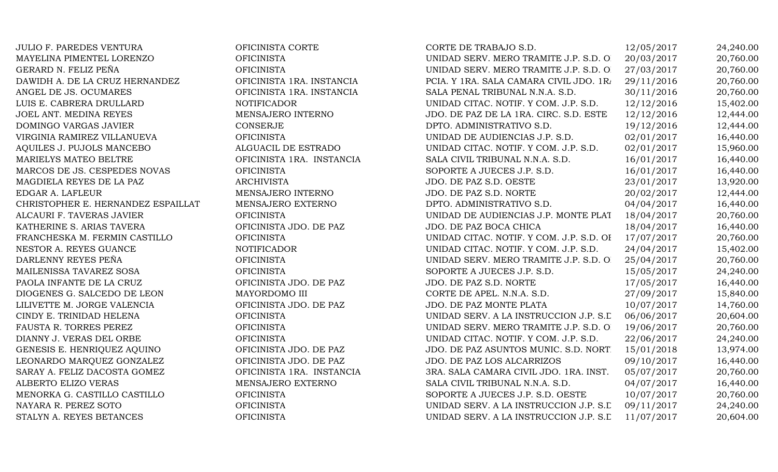JULIO F. PAREDES VENTURA OFICINISTA CORTE MAYELINA PIMENTEL LORENZO OFICINISTA GERARD N. FELIZ PEÑA OFICINISTA DAWIDH A. DE LA CRUZ HERNANDEZ OFICINISTA 1RA. INSTANCIA ANGEL DE JS. OCUMARES OFICINISTA 1RA. INSTANCIA LUIS E. CABRERA DRULLARD NOTIFICADOR JOEL ANT. MEDINA REYES MENSAJERO INTERNO DOMINGO VARGAS JAVIER CONSERJE VIRGINIA RAMIREZ VILLANUEVA OFICINISTA AQUILES J. PUJOLS MANCEBO ALGUACIL DE ESTRADO MARIELYS MATEO BELTRE **OFICINISTA 1RA. INSTANCIA** MARCOS DE JS. CESPEDES NOVAS OFICINISTA MAGDIELA REYES DE LA PAZ ARCHIVISTA EDGAR A. LAFLEUR MENSAJERO INTERNO CHRISTOPHER E. HERNANDEZ ESPAILLAT MENSAJERO EXTERNO ALCAURI F. TAVERAS JAVIER OFICINISTA KATHERINE S. ARIAS TAVERA OFICINISTA JDO. DE PAZ FRANCHESKA M. FERMIN CASTILLO OFICINISTA NESTOR A. REYES GUANCE NOTIFICADOR DARLENNY REYES PEÑA OFICINISTA MAILENISSA TAVAREZ SOSA OFICINISTA PAOLA INFANTE DE LA CRUZ OFICINISTA JDO. DE PAZ DIOGENES G. SALCEDO DE LEON MAYORDOMO III LILIVETTE M. JORGE VALENCIA OFICINISTA JDO. DE PAZ CINDY E. TRINIDAD HELENA OFICINISTA FAUSTA R. TORRES PEREZ OFICINISTA DIANNY J. VERAS DEL ORBE OFICINISTA GENESIS E. HENRIQUEZ AQUINO **OFICINISTA JDO. DE PAZ** LEONARDO MARQUEZ GONZALEZ OFICINISTA JDO. DE PAZ SARAY A. FELIZ DACOSTA GOMEZ OFICINISTA 1RA. INSTANCIA ALBERTO ELIZO VERAS MENSAJERO EXTERNO MENORKA G. CASTILLO CASTILLO OFICINISTA NAYARA R. PEREZ SOTO OFICINISTA STALYN A. REYES BETANCES OFICINISTA

| CORTE DE TRABAJO S.D.                    | 12/05/2017 | 24,240.00 |
|------------------------------------------|------------|-----------|
| UNIDAD SERV. MERO TRAMITE J.P. S.D. O    | 20/03/2017 | 20,760.00 |
| UNIDAD SERV. MERO TRAMITE J.P. S.D. O.   | 27/03/2017 | 20,760.00 |
| PCIA. Y 1RA. SALA CAMARA CIVIL JDO. 1R/  | 29/11/2016 | 20,760.00 |
| SALA PENAL TRIBUNAL N.N.A. S.D.          | 30/11/2016 | 20,760.00 |
| UNIDAD CITAC. NOTIF. Y COM. J.P. S.D.    | 12/12/2016 | 15,402.00 |
| JDO. DE PAZ DE LA 1RA. CIRC. S.D. ESTE   | 12/12/2016 | 12,444.00 |
| DPTO. ADMINISTRATIVO S.D.                | 19/12/2016 | 12,444.00 |
| UNIDAD DE AUDIENCIAS J.P. S.D.           | 02/01/2017 | 16,440.00 |
| UNIDAD CITAC. NOTIF. Y COM. J.P. S.D.    | 02/01/2017 | 15,960.00 |
| SALA CIVIL TRIBUNAL N.N.A. S.D.          | 16/01/2017 | 16,440.00 |
| SOPORTE A JUECES J.P. S.D.               | 16/01/2017 | 16,440.00 |
| JDO. DE PAZ S.D. OESTE                   | 23/01/2017 | 13,920.00 |
| JDO. DE PAZ S.D. NORTE                   | 20/02/2017 | 12,444.00 |
| DPTO. ADMINISTRATIVO S.D.                | 04/04/2017 | 16,440.00 |
| UNIDAD DE AUDIENCIAS J.P. MONTE PLAT     | 18/04/2017 | 20,760.00 |
| JDO. DE PAZ BOCA CHICA                   | 18/04/2017 | 16,440.00 |
| UNIDAD CITAC. NOTIF. Y COM. J.P. S.D. OI | 17/07/2017 | 20,760.00 |
| UNIDAD CITAC. NOTIF. Y COM. J.P. S.D.    | 24/04/2017 | 15,402.00 |
| UNIDAD SERV. MERO TRAMITE J.P. S.D. O.   | 25/04/2017 | 20,760.00 |
| SOPORTE A JUECES J.P. S.D.               | 15/05/2017 | 24,240.00 |
| JDO. DE PAZ S.D. NORTE                   | 17/05/2017 | 16,440.00 |
| CORTE DE APEL. N.N.A. S.D.               | 27/09/2017 | 15,840.00 |
| JDO. DE PAZ MONTE PLATA                  | 10/07/2017 | 14,760.00 |
| UNIDAD SERV. A LA INSTRUCCION J.P. S.L   | 06/06/2017 | 20,604.00 |
| UNIDAD SERV. MERO TRAMITE J.P. S.D. O.   | 19/06/2017 | 20,760.00 |
| UNIDAD CITAC. NOTIF. Y COM. J.P. S.D.    | 22/06/2017 | 24,240.00 |
| JDO. DE PAZ ASUNTOS MUNIC. S.D. NORT.    | 15/01/2018 | 13,974.00 |
| JDO. DE PAZ LOS ALCARRIZOS               | 09/10/2017 | 16,440.00 |
| 3RA. SALA CAMARA CIVIL JDO. 1RA. INST.   | 05/07/2017 | 20,760.00 |
| SALA CIVIL TRIBUNAL N.N.A. S.D.          | 04/07/2017 | 16,440.00 |
| SOPORTE A JUECES J.P. S.D. OESTE         | 10/07/2017 | 20,760.00 |
| UNIDAD SERV. A LA INSTRUCCION J.P. S.L   | 09/11/2017 | 24,240.00 |
| UNIDAD SERV. A LA INSTRUCCION J.P. S.L   | 11/07/2017 | 20,604.00 |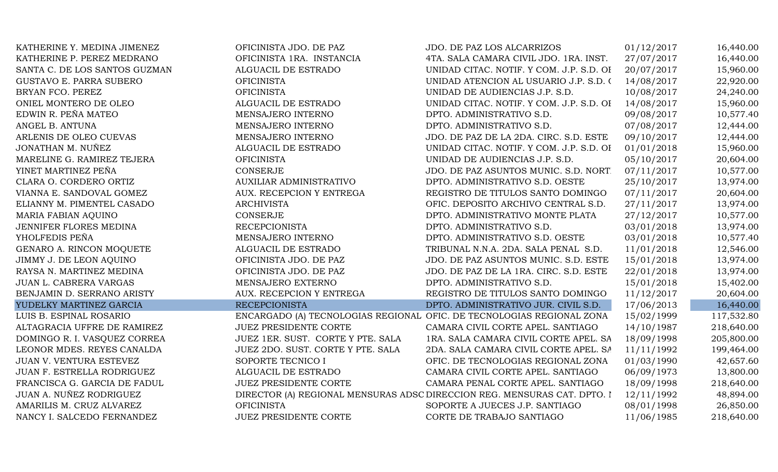| 16,440.00<br>KATHERINE P. PEREZ MEDRANO<br>OFICINISTA 1RA. INSTANCIA<br>4TA. SALA CAMARA CIVIL JDO. 1RA. INST.<br>27/07/2017<br>ALGUACIL DE ESTRADO<br>UNIDAD CITAC. NOTIF. Y COM. J.P. S.D. OH<br>20/07/2017<br>15,960.00<br>SANTA C. DE LOS SANTOS GUZMAN<br>UNIDAD ATENCION AL USUARIO J.P. S.D. (<br>14/08/2017<br>22,920.00<br>GUSTAVO E. PARRA SUBERO<br><b>OFICINISTA</b><br>24,240.00<br>BRYAN FCO. PEREZ<br><b>OFICINISTA</b><br>10/08/2017<br>UNIDAD DE AUDIENCIAS J.P. S.D.<br>ONIEL MONTERO DE OLEO<br>UNIDAD CITAC. NOTIF. Y COM. J.P. S.D. OI<br>14/08/2017<br>15,960.00<br>ALGUACIL DE ESTRADO<br>EDWIN R. PEÑA MATEO<br>MENSAJERO INTERNO<br>DPTO. ADMINISTRATIVO S.D.<br>09/08/2017<br>10,577.40<br>DPTO. ADMINISTRATIVO S.D.<br>07/08/2017<br>12,444.00<br>ANGEL B. ANTUNA<br>MENSAJERO INTERNO<br>12,444.00<br>ARLENIS DE OLEO CUEVAS<br>09/10/2017<br>MENSAJERO INTERNO<br>JDO. DE PAZ DE LA 2DA. CIRC. S.D. ESTE<br>JONATHAN M. NUÑEZ<br>15,960.00<br>01/01/2018<br>ALGUACIL DE ESTRADO<br>UNIDAD CITAC. NOTIF. Y COM. J.P. S.D. OI<br>05/10/2017<br>20,604.00<br>MARELINE G. RAMIREZ TEJERA<br><b>OFICINISTA</b><br>UNIDAD DE AUDIENCIAS J.P. S.D.<br>YINET MARTINEZ PEÑA<br><b>CONSERJE</b><br>07/11/2017<br>10,577.00<br>JDO. DE PAZ ASUNTOS MUNIC. S.D. NORT<br>CLARA O. CORDERO ORTIZ<br><b>AUXILIAR ADMINISTRATIVO</b><br>25/10/2017<br>13,974.00<br>DPTO. ADMINISTRATIVO S.D. OESTE<br>07/11/2017<br>20,604.00<br>VIANNA E. SANDOVAL GOMEZ<br>AUX. RECEPCION Y ENTREGA<br>REGISTRO DE TITULOS SANTO DOMINGO<br>27/11/2017<br>13,974.00<br>ELIANNY M. PIMENTEL CASADO<br><b>ARCHIVISTA</b><br>OFIC. DEPOSITO ARCHIVO CENTRAL S.D.<br><b>CONSERJE</b><br>27/12/2017<br>10,577.00<br>MARIA FABIAN AQUINO<br>DPTO. ADMINISTRATIVO MONTE PLATA<br>DPTO. ADMINISTRATIVO S.D.<br>03/01/2018<br>13,974.00<br>JENNIFER FLORES MEDINA<br><b>RECEPCIONISTA</b><br>YHOLFEDIS PEÑA<br>DPTO. ADMINISTRATIVO S.D. OESTE<br>03/01/2018<br>MENSAJERO INTERNO<br>10,577.40<br>GENARO A. RINCON MOQUETE<br>ALGUACIL DE ESTRADO<br>TRIBUNAL N.N.A. 2DA. SALA PENAL S.D.<br>11/01/2018<br>12,546.00<br>13,974.00<br>15/01/2018<br>JIMMY J. DE LEON AQUINO<br>OFICINISTA JDO. DE PAZ<br>JDO. DE PAZ ASUNTOS MUNIC. S.D. ESTE<br>22/01/2018<br>13,974.00<br>RAYSA N. MARTINEZ MEDINA<br>OFICINISTA JDO. DE PAZ<br>JDO. DE PAZ DE LA 1RA. CIRC. S.D. ESTE<br>MENSAJERO EXTERNO<br>DPTO. ADMINISTRATIVO S.D.<br>15/01/2018<br>15,402.00<br>JUAN L. CABRERA VARGAS<br>20,604.00<br>BENJAMIN D. SERRANO ARISTY<br>AUX. RECEPCION Y ENTREGA<br>REGISTRO DE TITULOS SANTO DOMINGO<br>11/12/2017<br>16,440.00<br><b>RECEPCIONISTA</b><br>17/06/2013<br>YUDELKY MARTINEZ GARCIA<br>DPTO. ADMINISTRATIVO JUR. CIVIL S.D.<br>ENCARGADO (A) TECNOLOGIAS REGIONAL OFIC. DE TECNOLOGIAS REGIONAL ZONA<br>15/02/1999<br>117,532.80<br>LUIS B. ESPINAL ROSARIO<br>14/10/1987<br>ALTAGRACIA UFFRE DE RAMIREZ<br>JUEZ PRESIDENTE CORTE<br>CAMARA CIVIL CORTE APEL. SANTIAGO<br>218,640.00<br>DOMINGO R. I. VASQUEZ CORREA<br>JUEZ 1ER. SUST. CORTE Y PTE. SALA<br>18/09/1998<br>205,800.00<br>1RA. SALA CAMARA CIVIL CORTE APEL. SA<br>LEONOR MDES. REYES CANALDA<br>JUEZ 2DO. SUST. CORTE Y PTE. SALA<br>2DA. SALA CAMARA CIVIL CORTE APEL. SA<br>11/11/1992<br>199,464.00<br>JUAN V. VENTURA ESTEVEZ<br>SOPORTE TECNICO I<br>OFIC. DE TECNOLOGIAS REGIONAL ZONA<br>01/03/1990<br>42,657.60<br>06/09/1973<br>JUAN F. ESTRELLA RODRIGUEZ<br>ALGUACIL DE ESTRADO<br>CAMARA CIVIL CORTE APEL. SANTIAGO<br>13,800.00<br>218,640.00<br>FRANCISCA G. GARCIA DE FADUL<br>JUEZ PRESIDENTE CORTE<br>CAMARA PENAL CORTE APEL. SANTIAGO<br>18/09/1998<br>48,894.00<br>JUAN A. NUÑEZ RODRIGUEZ<br>DIRECTOR (A) REGIONAL MENSURAS ADSC DIRECCION REG. MENSURAS CAT. DPTO. I<br>12/11/1992<br><b>OFICINISTA</b><br>08/01/1998<br>26,850.00<br>AMARILIS M. CRUZ ALVAREZ<br>SOPORTE A JUECES J.P. SANTIAGO<br>218,640.00<br>NANCY I. SALCEDO FERNANDEZ<br>JUEZ PRESIDENTE CORTE<br>CORTE DE TRABAJO SANTIAGO<br>11/06/1985 | KATHERINE Y. MEDINA JIMENEZ | OFICINISTA JDO. DE PAZ | <b>JDO. DE PAZ LOS ALCARRIZOS</b> | 01/12/2017 | 16,440.00 |
|-------------------------------------------------------------------------------------------------------------------------------------------------------------------------------------------------------------------------------------------------------------------------------------------------------------------------------------------------------------------------------------------------------------------------------------------------------------------------------------------------------------------------------------------------------------------------------------------------------------------------------------------------------------------------------------------------------------------------------------------------------------------------------------------------------------------------------------------------------------------------------------------------------------------------------------------------------------------------------------------------------------------------------------------------------------------------------------------------------------------------------------------------------------------------------------------------------------------------------------------------------------------------------------------------------------------------------------------------------------------------------------------------------------------------------------------------------------------------------------------------------------------------------------------------------------------------------------------------------------------------------------------------------------------------------------------------------------------------------------------------------------------------------------------------------------------------------------------------------------------------------------------------------------------------------------------------------------------------------------------------------------------------------------------------------------------------------------------------------------------------------------------------------------------------------------------------------------------------------------------------------------------------------------------------------------------------------------------------------------------------------------------------------------------------------------------------------------------------------------------------------------------------------------------------------------------------------------------------------------------------------------------------------------------------------------------------------------------------------------------------------------------------------------------------------------------------------------------------------------------------------------------------------------------------------------------------------------------------------------------------------------------------------------------------------------------------------------------------------------------------------------------------------------------------------------------------------------------------------------------------------------------------------------------------------------------------------------------------------------------------------------------------------------------------------------------------------------------------------------------------------------------------------------------------------------------------------------------------------------------------------------------------------------------------------------------------------------------------------------------------------------------------------------------------------------------------------------------------------------------------------------------------------------------------------------------------------------------------------------------------|-----------------------------|------------------------|-----------------------------------|------------|-----------|
|                                                                                                                                                                                                                                                                                                                                                                                                                                                                                                                                                                                                                                                                                                                                                                                                                                                                                                                                                                                                                                                                                                                                                                                                                                                                                                                                                                                                                                                                                                                                                                                                                                                                                                                                                                                                                                                                                                                                                                                                                                                                                                                                                                                                                                                                                                                                                                                                                                                                                                                                                                                                                                                                                                                                                                                                                                                                                                                                                                                                                                                                                                                                                                                                                                                                                                                                                                                                                                                                                                                                                                                                                                                                                                                                                                                                                                                                                                                                                                                                 |                             |                        |                                   |            |           |
|                                                                                                                                                                                                                                                                                                                                                                                                                                                                                                                                                                                                                                                                                                                                                                                                                                                                                                                                                                                                                                                                                                                                                                                                                                                                                                                                                                                                                                                                                                                                                                                                                                                                                                                                                                                                                                                                                                                                                                                                                                                                                                                                                                                                                                                                                                                                                                                                                                                                                                                                                                                                                                                                                                                                                                                                                                                                                                                                                                                                                                                                                                                                                                                                                                                                                                                                                                                                                                                                                                                                                                                                                                                                                                                                                                                                                                                                                                                                                                                                 |                             |                        |                                   |            |           |
|                                                                                                                                                                                                                                                                                                                                                                                                                                                                                                                                                                                                                                                                                                                                                                                                                                                                                                                                                                                                                                                                                                                                                                                                                                                                                                                                                                                                                                                                                                                                                                                                                                                                                                                                                                                                                                                                                                                                                                                                                                                                                                                                                                                                                                                                                                                                                                                                                                                                                                                                                                                                                                                                                                                                                                                                                                                                                                                                                                                                                                                                                                                                                                                                                                                                                                                                                                                                                                                                                                                                                                                                                                                                                                                                                                                                                                                                                                                                                                                                 |                             |                        |                                   |            |           |
|                                                                                                                                                                                                                                                                                                                                                                                                                                                                                                                                                                                                                                                                                                                                                                                                                                                                                                                                                                                                                                                                                                                                                                                                                                                                                                                                                                                                                                                                                                                                                                                                                                                                                                                                                                                                                                                                                                                                                                                                                                                                                                                                                                                                                                                                                                                                                                                                                                                                                                                                                                                                                                                                                                                                                                                                                                                                                                                                                                                                                                                                                                                                                                                                                                                                                                                                                                                                                                                                                                                                                                                                                                                                                                                                                                                                                                                                                                                                                                                                 |                             |                        |                                   |            |           |
|                                                                                                                                                                                                                                                                                                                                                                                                                                                                                                                                                                                                                                                                                                                                                                                                                                                                                                                                                                                                                                                                                                                                                                                                                                                                                                                                                                                                                                                                                                                                                                                                                                                                                                                                                                                                                                                                                                                                                                                                                                                                                                                                                                                                                                                                                                                                                                                                                                                                                                                                                                                                                                                                                                                                                                                                                                                                                                                                                                                                                                                                                                                                                                                                                                                                                                                                                                                                                                                                                                                                                                                                                                                                                                                                                                                                                                                                                                                                                                                                 |                             |                        |                                   |            |           |
|                                                                                                                                                                                                                                                                                                                                                                                                                                                                                                                                                                                                                                                                                                                                                                                                                                                                                                                                                                                                                                                                                                                                                                                                                                                                                                                                                                                                                                                                                                                                                                                                                                                                                                                                                                                                                                                                                                                                                                                                                                                                                                                                                                                                                                                                                                                                                                                                                                                                                                                                                                                                                                                                                                                                                                                                                                                                                                                                                                                                                                                                                                                                                                                                                                                                                                                                                                                                                                                                                                                                                                                                                                                                                                                                                                                                                                                                                                                                                                                                 |                             |                        |                                   |            |           |
|                                                                                                                                                                                                                                                                                                                                                                                                                                                                                                                                                                                                                                                                                                                                                                                                                                                                                                                                                                                                                                                                                                                                                                                                                                                                                                                                                                                                                                                                                                                                                                                                                                                                                                                                                                                                                                                                                                                                                                                                                                                                                                                                                                                                                                                                                                                                                                                                                                                                                                                                                                                                                                                                                                                                                                                                                                                                                                                                                                                                                                                                                                                                                                                                                                                                                                                                                                                                                                                                                                                                                                                                                                                                                                                                                                                                                                                                                                                                                                                                 |                             |                        |                                   |            |           |
|                                                                                                                                                                                                                                                                                                                                                                                                                                                                                                                                                                                                                                                                                                                                                                                                                                                                                                                                                                                                                                                                                                                                                                                                                                                                                                                                                                                                                                                                                                                                                                                                                                                                                                                                                                                                                                                                                                                                                                                                                                                                                                                                                                                                                                                                                                                                                                                                                                                                                                                                                                                                                                                                                                                                                                                                                                                                                                                                                                                                                                                                                                                                                                                                                                                                                                                                                                                                                                                                                                                                                                                                                                                                                                                                                                                                                                                                                                                                                                                                 |                             |                        |                                   |            |           |
|                                                                                                                                                                                                                                                                                                                                                                                                                                                                                                                                                                                                                                                                                                                                                                                                                                                                                                                                                                                                                                                                                                                                                                                                                                                                                                                                                                                                                                                                                                                                                                                                                                                                                                                                                                                                                                                                                                                                                                                                                                                                                                                                                                                                                                                                                                                                                                                                                                                                                                                                                                                                                                                                                                                                                                                                                                                                                                                                                                                                                                                                                                                                                                                                                                                                                                                                                                                                                                                                                                                                                                                                                                                                                                                                                                                                                                                                                                                                                                                                 |                             |                        |                                   |            |           |
|                                                                                                                                                                                                                                                                                                                                                                                                                                                                                                                                                                                                                                                                                                                                                                                                                                                                                                                                                                                                                                                                                                                                                                                                                                                                                                                                                                                                                                                                                                                                                                                                                                                                                                                                                                                                                                                                                                                                                                                                                                                                                                                                                                                                                                                                                                                                                                                                                                                                                                                                                                                                                                                                                                                                                                                                                                                                                                                                                                                                                                                                                                                                                                                                                                                                                                                                                                                                                                                                                                                                                                                                                                                                                                                                                                                                                                                                                                                                                                                                 |                             |                        |                                   |            |           |
|                                                                                                                                                                                                                                                                                                                                                                                                                                                                                                                                                                                                                                                                                                                                                                                                                                                                                                                                                                                                                                                                                                                                                                                                                                                                                                                                                                                                                                                                                                                                                                                                                                                                                                                                                                                                                                                                                                                                                                                                                                                                                                                                                                                                                                                                                                                                                                                                                                                                                                                                                                                                                                                                                                                                                                                                                                                                                                                                                                                                                                                                                                                                                                                                                                                                                                                                                                                                                                                                                                                                                                                                                                                                                                                                                                                                                                                                                                                                                                                                 |                             |                        |                                   |            |           |
|                                                                                                                                                                                                                                                                                                                                                                                                                                                                                                                                                                                                                                                                                                                                                                                                                                                                                                                                                                                                                                                                                                                                                                                                                                                                                                                                                                                                                                                                                                                                                                                                                                                                                                                                                                                                                                                                                                                                                                                                                                                                                                                                                                                                                                                                                                                                                                                                                                                                                                                                                                                                                                                                                                                                                                                                                                                                                                                                                                                                                                                                                                                                                                                                                                                                                                                                                                                                                                                                                                                                                                                                                                                                                                                                                                                                                                                                                                                                                                                                 |                             |                        |                                   |            |           |
|                                                                                                                                                                                                                                                                                                                                                                                                                                                                                                                                                                                                                                                                                                                                                                                                                                                                                                                                                                                                                                                                                                                                                                                                                                                                                                                                                                                                                                                                                                                                                                                                                                                                                                                                                                                                                                                                                                                                                                                                                                                                                                                                                                                                                                                                                                                                                                                                                                                                                                                                                                                                                                                                                                                                                                                                                                                                                                                                                                                                                                                                                                                                                                                                                                                                                                                                                                                                                                                                                                                                                                                                                                                                                                                                                                                                                                                                                                                                                                                                 |                             |                        |                                   |            |           |
|                                                                                                                                                                                                                                                                                                                                                                                                                                                                                                                                                                                                                                                                                                                                                                                                                                                                                                                                                                                                                                                                                                                                                                                                                                                                                                                                                                                                                                                                                                                                                                                                                                                                                                                                                                                                                                                                                                                                                                                                                                                                                                                                                                                                                                                                                                                                                                                                                                                                                                                                                                                                                                                                                                                                                                                                                                                                                                                                                                                                                                                                                                                                                                                                                                                                                                                                                                                                                                                                                                                                                                                                                                                                                                                                                                                                                                                                                                                                                                                                 |                             |                        |                                   |            |           |
|                                                                                                                                                                                                                                                                                                                                                                                                                                                                                                                                                                                                                                                                                                                                                                                                                                                                                                                                                                                                                                                                                                                                                                                                                                                                                                                                                                                                                                                                                                                                                                                                                                                                                                                                                                                                                                                                                                                                                                                                                                                                                                                                                                                                                                                                                                                                                                                                                                                                                                                                                                                                                                                                                                                                                                                                                                                                                                                                                                                                                                                                                                                                                                                                                                                                                                                                                                                                                                                                                                                                                                                                                                                                                                                                                                                                                                                                                                                                                                                                 |                             |                        |                                   |            |           |
|                                                                                                                                                                                                                                                                                                                                                                                                                                                                                                                                                                                                                                                                                                                                                                                                                                                                                                                                                                                                                                                                                                                                                                                                                                                                                                                                                                                                                                                                                                                                                                                                                                                                                                                                                                                                                                                                                                                                                                                                                                                                                                                                                                                                                                                                                                                                                                                                                                                                                                                                                                                                                                                                                                                                                                                                                                                                                                                                                                                                                                                                                                                                                                                                                                                                                                                                                                                                                                                                                                                                                                                                                                                                                                                                                                                                                                                                                                                                                                                                 |                             |                        |                                   |            |           |
|                                                                                                                                                                                                                                                                                                                                                                                                                                                                                                                                                                                                                                                                                                                                                                                                                                                                                                                                                                                                                                                                                                                                                                                                                                                                                                                                                                                                                                                                                                                                                                                                                                                                                                                                                                                                                                                                                                                                                                                                                                                                                                                                                                                                                                                                                                                                                                                                                                                                                                                                                                                                                                                                                                                                                                                                                                                                                                                                                                                                                                                                                                                                                                                                                                                                                                                                                                                                                                                                                                                                                                                                                                                                                                                                                                                                                                                                                                                                                                                                 |                             |                        |                                   |            |           |
|                                                                                                                                                                                                                                                                                                                                                                                                                                                                                                                                                                                                                                                                                                                                                                                                                                                                                                                                                                                                                                                                                                                                                                                                                                                                                                                                                                                                                                                                                                                                                                                                                                                                                                                                                                                                                                                                                                                                                                                                                                                                                                                                                                                                                                                                                                                                                                                                                                                                                                                                                                                                                                                                                                                                                                                                                                                                                                                                                                                                                                                                                                                                                                                                                                                                                                                                                                                                                                                                                                                                                                                                                                                                                                                                                                                                                                                                                                                                                                                                 |                             |                        |                                   |            |           |
|                                                                                                                                                                                                                                                                                                                                                                                                                                                                                                                                                                                                                                                                                                                                                                                                                                                                                                                                                                                                                                                                                                                                                                                                                                                                                                                                                                                                                                                                                                                                                                                                                                                                                                                                                                                                                                                                                                                                                                                                                                                                                                                                                                                                                                                                                                                                                                                                                                                                                                                                                                                                                                                                                                                                                                                                                                                                                                                                                                                                                                                                                                                                                                                                                                                                                                                                                                                                                                                                                                                                                                                                                                                                                                                                                                                                                                                                                                                                                                                                 |                             |                        |                                   |            |           |
|                                                                                                                                                                                                                                                                                                                                                                                                                                                                                                                                                                                                                                                                                                                                                                                                                                                                                                                                                                                                                                                                                                                                                                                                                                                                                                                                                                                                                                                                                                                                                                                                                                                                                                                                                                                                                                                                                                                                                                                                                                                                                                                                                                                                                                                                                                                                                                                                                                                                                                                                                                                                                                                                                                                                                                                                                                                                                                                                                                                                                                                                                                                                                                                                                                                                                                                                                                                                                                                                                                                                                                                                                                                                                                                                                                                                                                                                                                                                                                                                 |                             |                        |                                   |            |           |
|                                                                                                                                                                                                                                                                                                                                                                                                                                                                                                                                                                                                                                                                                                                                                                                                                                                                                                                                                                                                                                                                                                                                                                                                                                                                                                                                                                                                                                                                                                                                                                                                                                                                                                                                                                                                                                                                                                                                                                                                                                                                                                                                                                                                                                                                                                                                                                                                                                                                                                                                                                                                                                                                                                                                                                                                                                                                                                                                                                                                                                                                                                                                                                                                                                                                                                                                                                                                                                                                                                                                                                                                                                                                                                                                                                                                                                                                                                                                                                                                 |                             |                        |                                   |            |           |
|                                                                                                                                                                                                                                                                                                                                                                                                                                                                                                                                                                                                                                                                                                                                                                                                                                                                                                                                                                                                                                                                                                                                                                                                                                                                                                                                                                                                                                                                                                                                                                                                                                                                                                                                                                                                                                                                                                                                                                                                                                                                                                                                                                                                                                                                                                                                                                                                                                                                                                                                                                                                                                                                                                                                                                                                                                                                                                                                                                                                                                                                                                                                                                                                                                                                                                                                                                                                                                                                                                                                                                                                                                                                                                                                                                                                                                                                                                                                                                                                 |                             |                        |                                   |            |           |
|                                                                                                                                                                                                                                                                                                                                                                                                                                                                                                                                                                                                                                                                                                                                                                                                                                                                                                                                                                                                                                                                                                                                                                                                                                                                                                                                                                                                                                                                                                                                                                                                                                                                                                                                                                                                                                                                                                                                                                                                                                                                                                                                                                                                                                                                                                                                                                                                                                                                                                                                                                                                                                                                                                                                                                                                                                                                                                                                                                                                                                                                                                                                                                                                                                                                                                                                                                                                                                                                                                                                                                                                                                                                                                                                                                                                                                                                                                                                                                                                 |                             |                        |                                   |            |           |
|                                                                                                                                                                                                                                                                                                                                                                                                                                                                                                                                                                                                                                                                                                                                                                                                                                                                                                                                                                                                                                                                                                                                                                                                                                                                                                                                                                                                                                                                                                                                                                                                                                                                                                                                                                                                                                                                                                                                                                                                                                                                                                                                                                                                                                                                                                                                                                                                                                                                                                                                                                                                                                                                                                                                                                                                                                                                                                                                                                                                                                                                                                                                                                                                                                                                                                                                                                                                                                                                                                                                                                                                                                                                                                                                                                                                                                                                                                                                                                                                 |                             |                        |                                   |            |           |
|                                                                                                                                                                                                                                                                                                                                                                                                                                                                                                                                                                                                                                                                                                                                                                                                                                                                                                                                                                                                                                                                                                                                                                                                                                                                                                                                                                                                                                                                                                                                                                                                                                                                                                                                                                                                                                                                                                                                                                                                                                                                                                                                                                                                                                                                                                                                                                                                                                                                                                                                                                                                                                                                                                                                                                                                                                                                                                                                                                                                                                                                                                                                                                                                                                                                                                                                                                                                                                                                                                                                                                                                                                                                                                                                                                                                                                                                                                                                                                                                 |                             |                        |                                   |            |           |
|                                                                                                                                                                                                                                                                                                                                                                                                                                                                                                                                                                                                                                                                                                                                                                                                                                                                                                                                                                                                                                                                                                                                                                                                                                                                                                                                                                                                                                                                                                                                                                                                                                                                                                                                                                                                                                                                                                                                                                                                                                                                                                                                                                                                                                                                                                                                                                                                                                                                                                                                                                                                                                                                                                                                                                                                                                                                                                                                                                                                                                                                                                                                                                                                                                                                                                                                                                                                                                                                                                                                                                                                                                                                                                                                                                                                                                                                                                                                                                                                 |                             |                        |                                   |            |           |
|                                                                                                                                                                                                                                                                                                                                                                                                                                                                                                                                                                                                                                                                                                                                                                                                                                                                                                                                                                                                                                                                                                                                                                                                                                                                                                                                                                                                                                                                                                                                                                                                                                                                                                                                                                                                                                                                                                                                                                                                                                                                                                                                                                                                                                                                                                                                                                                                                                                                                                                                                                                                                                                                                                                                                                                                                                                                                                                                                                                                                                                                                                                                                                                                                                                                                                                                                                                                                                                                                                                                                                                                                                                                                                                                                                                                                                                                                                                                                                                                 |                             |                        |                                   |            |           |
|                                                                                                                                                                                                                                                                                                                                                                                                                                                                                                                                                                                                                                                                                                                                                                                                                                                                                                                                                                                                                                                                                                                                                                                                                                                                                                                                                                                                                                                                                                                                                                                                                                                                                                                                                                                                                                                                                                                                                                                                                                                                                                                                                                                                                                                                                                                                                                                                                                                                                                                                                                                                                                                                                                                                                                                                                                                                                                                                                                                                                                                                                                                                                                                                                                                                                                                                                                                                                                                                                                                                                                                                                                                                                                                                                                                                                                                                                                                                                                                                 |                             |                        |                                   |            |           |
|                                                                                                                                                                                                                                                                                                                                                                                                                                                                                                                                                                                                                                                                                                                                                                                                                                                                                                                                                                                                                                                                                                                                                                                                                                                                                                                                                                                                                                                                                                                                                                                                                                                                                                                                                                                                                                                                                                                                                                                                                                                                                                                                                                                                                                                                                                                                                                                                                                                                                                                                                                                                                                                                                                                                                                                                                                                                                                                                                                                                                                                                                                                                                                                                                                                                                                                                                                                                                                                                                                                                                                                                                                                                                                                                                                                                                                                                                                                                                                                                 |                             |                        |                                   |            |           |
|                                                                                                                                                                                                                                                                                                                                                                                                                                                                                                                                                                                                                                                                                                                                                                                                                                                                                                                                                                                                                                                                                                                                                                                                                                                                                                                                                                                                                                                                                                                                                                                                                                                                                                                                                                                                                                                                                                                                                                                                                                                                                                                                                                                                                                                                                                                                                                                                                                                                                                                                                                                                                                                                                                                                                                                                                                                                                                                                                                                                                                                                                                                                                                                                                                                                                                                                                                                                                                                                                                                                                                                                                                                                                                                                                                                                                                                                                                                                                                                                 |                             |                        |                                   |            |           |
|                                                                                                                                                                                                                                                                                                                                                                                                                                                                                                                                                                                                                                                                                                                                                                                                                                                                                                                                                                                                                                                                                                                                                                                                                                                                                                                                                                                                                                                                                                                                                                                                                                                                                                                                                                                                                                                                                                                                                                                                                                                                                                                                                                                                                                                                                                                                                                                                                                                                                                                                                                                                                                                                                                                                                                                                                                                                                                                                                                                                                                                                                                                                                                                                                                                                                                                                                                                                                                                                                                                                                                                                                                                                                                                                                                                                                                                                                                                                                                                                 |                             |                        |                                   |            |           |
|                                                                                                                                                                                                                                                                                                                                                                                                                                                                                                                                                                                                                                                                                                                                                                                                                                                                                                                                                                                                                                                                                                                                                                                                                                                                                                                                                                                                                                                                                                                                                                                                                                                                                                                                                                                                                                                                                                                                                                                                                                                                                                                                                                                                                                                                                                                                                                                                                                                                                                                                                                                                                                                                                                                                                                                                                                                                                                                                                                                                                                                                                                                                                                                                                                                                                                                                                                                                                                                                                                                                                                                                                                                                                                                                                                                                                                                                                                                                                                                                 |                             |                        |                                   |            |           |
|                                                                                                                                                                                                                                                                                                                                                                                                                                                                                                                                                                                                                                                                                                                                                                                                                                                                                                                                                                                                                                                                                                                                                                                                                                                                                                                                                                                                                                                                                                                                                                                                                                                                                                                                                                                                                                                                                                                                                                                                                                                                                                                                                                                                                                                                                                                                                                                                                                                                                                                                                                                                                                                                                                                                                                                                                                                                                                                                                                                                                                                                                                                                                                                                                                                                                                                                                                                                                                                                                                                                                                                                                                                                                                                                                                                                                                                                                                                                                                                                 |                             |                        |                                   |            |           |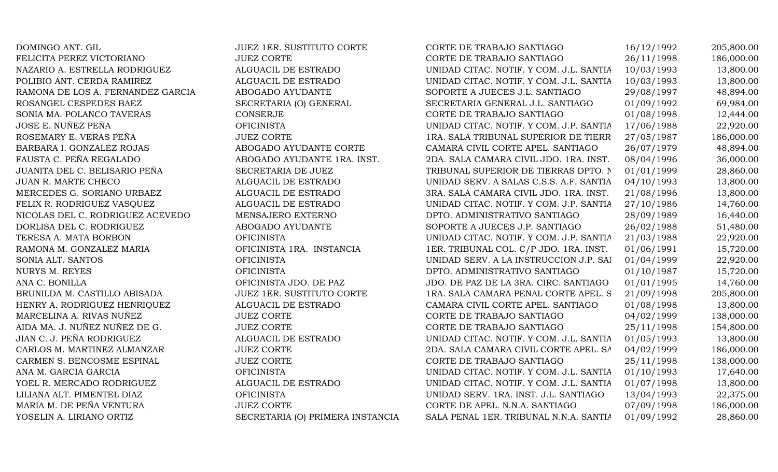| DOMINGO ANT. GIL                  | <b>JUEZ 1ER. SUSTITUTO CORTE</b> | CORTE DE TRABAJO SANTIAGO               | 16/12/1992 | 205,800.00 |
|-----------------------------------|----------------------------------|-----------------------------------------|------------|------------|
| FELICITA PEREZ VICTORIANO         | <b>JUEZ CORTE</b>                | CORTE DE TRABAJO SANTIAGO               | 26/11/1998 | 186,000.00 |
| NAZARIO A. ESTRELLA RODRIGUEZ     | ALGUACIL DE ESTRADO              | UNIDAD CITAC. NOTIF. Y COM. J.L. SANTIA | 10/03/1993 | 13,800.00  |
| POLIBIO ANT. CERDA RAMIREZ        | ALGUACIL DE ESTRADO              | UNIDAD CITAC. NOTIF. Y COM. J.L. SANTIA | 10/03/1993 | 13,800.00  |
| RAMONA DE LOS A. FERNANDEZ GARCIA | ABOGADO AYUDANTE                 | SOPORTE A JUECES J.L. SANTIAGO          | 29/08/1997 | 48,894.00  |
| ROSANGEL CESPEDES BAEZ            | SECRETARIA (O) GENERAL           | SECRETARIA GENERAL J.L. SANTIAGO        | 01/09/1992 | 69,984.00  |
| SONIA MA. POLANCO TAVERAS         | CONSERJE                         | CORTE DE TRABAJO SANTIAGO               | 01/08/1998 | 12,444.00  |
| JOSE E. NUÑEZ PEÑA                | <b>OFICINISTA</b>                | UNIDAD CITAC. NOTIF. Y COM. J.P. SANTIA | 17/06/1988 | 22,920.00  |
| ROSEMARY E. VERAS PEÑA            | <b>JUEZ CORTE</b>                | 1RA. SALA TRIBUNAL SUPERIOR DE TIERR    | 27/05/1987 | 186,000.00 |
| BARBARA I. GONZALEZ ROJAS         | ABOGADO AYUDANTE CORTE           | CAMARA CIVIL CORTE APEL. SANTIAGO       | 26/07/1979 | 48,894.00  |
| FAUSTA C. PEÑA REGALADO           | ABOGADO AYUDANTE 1RA. INST.      | 2DA. SALA CAMARA CIVIL JDO. 1RA. INST.  | 08/04/1996 | 36,000.00  |
| JUANITA DEL C. BELISARIO PEÑA     | SECRETARIA DE JUEZ               | TRIBUNAL SUPERIOR DE TIERRAS DPTO. N    | 01/01/1999 | 28,860.00  |
| <b>JUAN R. MARTE CHECO</b>        | ALGUACIL DE ESTRADO              | UNIDAD SERV. A SALAS C.S.S. A.F. SANTIA | 04/10/1993 | 13,800.00  |
| MERCEDES G. SORIANO URBAEZ        | ALGUACIL DE ESTRADO              | 3RA. SALA CAMARA CIVIL JDO. 1RA. INST.  | 21/08/1996 | 13,800.00  |
| FELIX R. RODRIGUEZ VASQUEZ        | ALGUACIL DE ESTRADO              | UNIDAD CITAC. NOTIF. Y COM. J.P. SANTIA | 27/10/1986 | 14,760.00  |
| NICOLAS DEL C. RODRIGUEZ ACEVEDO  | MENSAJERO EXTERNO                | DPTO. ADMINISTRATIVO SANTIAGO           | 28/09/1989 | 16,440.00  |
| DORLISA DEL C. RODRIGUEZ          | ABOGADO AYUDANTE                 | SOPORTE A JUECES J.P. SANTIAGO          | 26/02/1988 | 51,480.00  |
| TERESA A. MATA BORBON             | <b>OFICINISTA</b>                | UNIDAD CITAC. NOTIF. Y COM. J.P. SANTIA | 21/03/1988 | 22,920.00  |
| RAMONA M. GONZALEZ MARIA          | OFICINISTA 1RA. INSTANCIA        | 1ER. TRIBUNAL COL. C/P JDO. 1RA. INST.  | 01/06/1991 | 15,720.00  |
| SONIA ALT. SANTOS                 | <b>OFICINISTA</b>                | UNIDAD SERV. A LA INSTRUCCION J.P. SAI  | 01/04/1999 | 22,920.00  |
| NURYS M. REYES                    | <b>OFICINISTA</b>                | DPTO. ADMINISTRATIVO SANTIAGO           | 01/10/1987 | 15,720.00  |
| ANA C. BONILLA                    | OFICINISTA JDO. DE PAZ           | JDO. DE PAZ DE LA 3RA. CIRC. SANTIAGO   | 01/01/1995 | 14,760.00  |
| BRUNILDA M. CASTILLO ABISADA      | JUEZ 1ER. SUSTITUTO CORTE        | 1RA. SALA CAMARA PENAL CORTE APEL. S    | 21/09/1998 | 205,800.00 |
| HENRY A. RODRIGUEZ HENRIQUEZ      | ALGUACIL DE ESTRADO              | CAMARA CIVIL CORTE APEL. SANTIAGO       | 01/08/1998 | 13,800.00  |
| MARCELINA A. RIVAS NUÑEZ          | <b>JUEZ CORTE</b>                | CORTE DE TRABAJO SANTIAGO               | 04/02/1999 | 138,000.00 |
| AIDA MA. J. NUÑEZ NUÑEZ DE G.     | JUEZ CORTE                       | CORTE DE TRABAJO SANTIAGO               | 25/11/1998 | 154,800.00 |
| JIAN C. J. PEÑA RODRIGUEZ         | ALGUACIL DE ESTRADO              | UNIDAD CITAC. NOTIF. Y COM. J.L. SANTIA | 01/05/1993 | 13,800.00  |
| CARLOS M. MARTINEZ ALMANZAR       | <b>JUEZ CORTE</b>                | 2DA. SALA CAMARA CIVIL CORTE APEL. SA   | 04/02/1999 | 186,000.00 |
| CARMEN S. BENCOSME ESPINAL        | <b>JUEZ CORTE</b>                | CORTE DE TRABAJO SANTIAGO               | 25/11/1998 | 138,000.00 |
| ANA M. GARCIA GARCIA              | <b>OFICINISTA</b>                | UNIDAD CITAC. NOTIF. Y COM. J.L. SANTIA | 01/10/1993 | 17,640.00  |
| YOEL R. MERCADO RODRIGUEZ         | ALGUACIL DE ESTRADO              | UNIDAD CITAC. NOTIF. Y COM. J.L. SANTIA | 01/07/1998 | 13,800.00  |
| LILIANA ALT. PIMENTEL DIAZ        | <b>OFICINISTA</b>                | UNIDAD SERV. 1RA. INST. J.L. SANTIAGO   | 13/04/1993 | 22,375.00  |
| MARIA M. DE PEÑA VENTURA          | <b>JUEZ CORTE</b>                | CORTE DE APEL. N.N.A. SANTIAGO          | 07/09/1998 | 186,000.00 |
| YOSELIN A. LIRIANO ORTIZ          | SECRETARIA (O) PRIMERA INSTANCIA | SALA PENAL 1ER. TRIBUNAL N.N.A. SANTIA  | 01/09/1992 | 28,860.00  |
|                                   |                                  |                                         |            |            |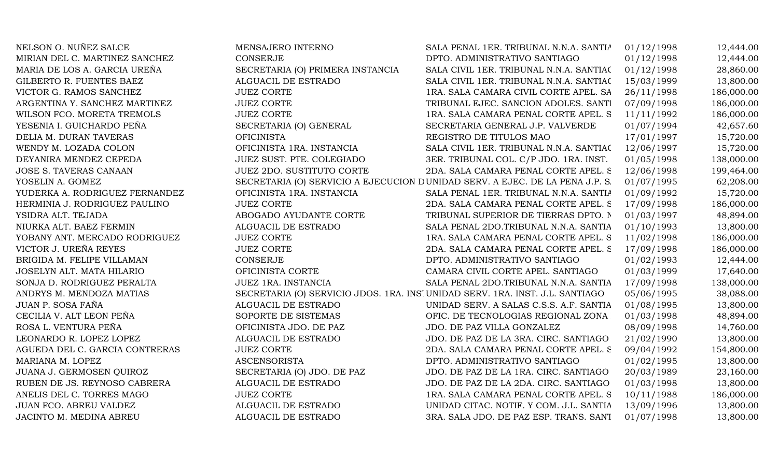| NELSON O. NUÑEZ SALCE          | MENSAJERO INTERNO                | SALA PENAL 1ER. TRIBUNAL N.N.A. SANTIA                                        | 01/12/1998 | 12,444.00  |
|--------------------------------|----------------------------------|-------------------------------------------------------------------------------|------------|------------|
| MIRIAN DEL C. MARTINEZ SANCHEZ | <b>CONSERJE</b>                  | DPTO. ADMINISTRATIVO SANTIAGO                                                 | 01/12/1998 | 12,444.00  |
| MARIA DE LOS A. GARCIA UREÑA   | SECRETARIA (O) PRIMERA INSTANCIA | SALA CIVIL 1ER. TRIBUNAL N.N.A. SANTIAC                                       | 01/12/1998 | 28,860.00  |
| GILBERTO R. FUENTES BAEZ       | ALGUACIL DE ESTRADO              | SALA CIVIL 1ER. TRIBUNAL N.N.A. SANTIAC                                       | 15/03/1999 | 13,800.00  |
| VICTOR G. RAMOS SANCHEZ        | <b>JUEZ CORTE</b>                | 1RA. SALA CAMARA CIVIL CORTE APEL. SA                                         | 26/11/1998 | 186,000.00 |
| ARGENTINA Y. SANCHEZ MARTINEZ  | <b>JUEZ CORTE</b>                | TRIBUNAL EJEC. SANCION ADOLES. SANTI                                          | 07/09/1998 | 186,000.00 |
| WILSON FCO. MORETA TREMOLS     | <b>JUEZ CORTE</b>                | 1RA. SALA CAMARA PENAL CORTE APEL. S                                          | 11/11/1992 | 186,000.00 |
| YESENIA I. GUICHARDO PEÑA      | SECRETARIA (O) GENERAL           | SECRETARIA GENERAL J.P. VALVERDE                                              | 01/07/1994 | 42,657.60  |
| DELIA M. DURAN TAVERAS         | <b>OFICINISTA</b>                | REGISTRO DE TITULOS MAO                                                       | 17/01/1997 | 15,720.00  |
| WENDY M. LOZADA COLON          | OFICINISTA 1RA. INSTANCIA        | SALA CIVIL 1ER. TRIBUNAL N.N.A. SANTIAC                                       | 12/06/1997 | 15,720.00  |
| DEYANIRA MENDEZ CEPEDA         | JUEZ SUST. PTE. COLEGIADO        | 3ER. TRIBUNAL COL. C/P JDO. 1RA. INST.                                        | 01/05/1998 | 138,000.00 |
| JOSE S. TAVERAS CANAAN         | JUEZ 2DO. SUSTITUTO CORTE        | 2DA. SALA CAMARA PENAL CORTE APEL. S                                          | 12/06/1998 | 199,464.00 |
| YOSELIN A. GOMEZ               |                                  | SECRETARIA (O) SERVICIO A EJECUCION DUNIDAD SERV. A EJEC. DE LA PENA J.P. S.  | 01/07/1995 | 62,208.00  |
| YUDERKA A. RODRIGUEZ FERNANDEZ | OFICINISTA 1RA. INSTANCIA        | SALA PENAL 1ER. TRIBUNAL N.N.A. SANTIA                                        | 01/09/1992 | 15,720.00  |
| HERMINIA J. RODRIGUEZ PAULINO  | <b>JUEZ CORTE</b>                | 2DA. SALA CAMARA PENAL CORTE APEL. S                                          | 17/09/1998 | 186,000.00 |
| YSIDRA ALT. TEJADA             | ABOGADO AYUDANTE CORTE           | TRIBUNAL SUPERIOR DE TIERRAS DPTO. N                                          | 01/03/1997 | 48,894.00  |
| NIURKA ALT. BAEZ FERMIN        | ALGUACIL DE ESTRADO              | SALA PENAL 2DO.TRIBUNAL N.N.A. SANTIA                                         | 01/10/1993 | 13,800.00  |
| YOBANY ANT. MERCADO RODRIGUEZ  | <b>JUEZ CORTE</b>                | 1RA. SALA CAMARA PENAL CORTE APEL. S                                          | 11/02/1998 | 186,000.00 |
| VICTOR J. UREÑA REYES          | <b>JUEZ CORTE</b>                | 2DA. SALA CAMARA PENAL CORTE APEL. S                                          | 17/09/1998 | 186,000.00 |
| BRIGIDA M. FELIPE VILLAMAN     | <b>CONSERJE</b>                  | DPTO. ADMINISTRATIVO SANTIAGO                                                 | 01/02/1993 | 12,444.00  |
| JOSELYN ALT. MATA HILARIO      | OFICINISTA CORTE                 | CAMARA CIVIL CORTE APEL. SANTIAGO                                             | 01/03/1999 | 17,640.00  |
| SONJA D. RODRIGUEZ PERALTA     | JUEZ 1RA. INSTANCIA              | SALA PENAL 2DO.TRIBUNAL N.N.A. SANTIA                                         | 17/09/1998 | 138,000.00 |
| ANDRYS M. MENDOZA MATIAS       |                                  | SECRETARIA (O) SERVICIO JDOS. 1RA. INS' UNIDAD SERV. 1RA. INST. J.L. SANTIAGO | 05/06/1995 | 38,088.00  |
| JUAN P. SOSA FAÑA              | ALGUACIL DE ESTRADO              | UNIDAD SERV. A SALAS C.S.S. A.F. SANTIA                                       | 01/08/1995 | 13,800.00  |
| CECILIA V. ALT LEON PEÑA       | SOPORTE DE SISTEMAS              | OFIC. DE TECNOLOGIAS REGIONAL ZONA                                            | 01/03/1998 | 48,894.00  |
| ROSA L. VENTURA PEÑA           | OFICINISTA JDO. DE PAZ           | JDO. DE PAZ VILLA GONZALEZ                                                    | 08/09/1998 | 14,760.00  |
| LEONARDO R. LOPEZ LOPEZ        | ALGUACIL DE ESTRADO              | JDO. DE PAZ DE LA 3RA. CIRC. SANTIAGO                                         | 21/02/1990 | 13,800.00  |
| AGUEDA DEL C. GARCIA CONTRERAS | <b>JUEZ CORTE</b>                | 2DA. SALA CAMARA PENAL CORTE APEL. S                                          | 09/04/1992 | 154,800.00 |
| MARIANA M. LOPEZ               | <b>ASCENSORISTA</b>              | DPTO. ADMINISTRATIVO SANTIAGO                                                 | 01/02/1995 | 13,800.00  |
| JUANA J. GERMOSEN QUIROZ       | SECRETARIA (O) JDO. DE PAZ       | JDO. DE PAZ DE LA 1RA. CIRC. SANTIAGO                                         | 20/03/1989 | 23,160.00  |
| RUBEN DE JS. REYNOSO CABRERA   | ALGUACIL DE ESTRADO              | JDO. DE PAZ DE LA 2DA. CIRC. SANTIAGO                                         | 01/03/1998 | 13,800.00  |
| ANELIS DEL C. TORRES MAGO      | <b>JUEZ CORTE</b>                | 1RA. SALA CAMARA PENAL CORTE APEL. S                                          | 10/11/1988 | 186,000.00 |
| JUAN FCO. ABREU VALDEZ         | ALGUACIL DE ESTRADO              | UNIDAD CITAC. NOTIF. Y COM. J.L. SANTIA                                       | 13/09/1996 | 13,800.00  |
| JACINTO M. MEDINA ABREU        | ALGUACIL DE ESTRADO              | 3RA. SALA JDO. DE PAZ ESP. TRANS. SANT                                        | 01/07/1998 | 13,800.00  |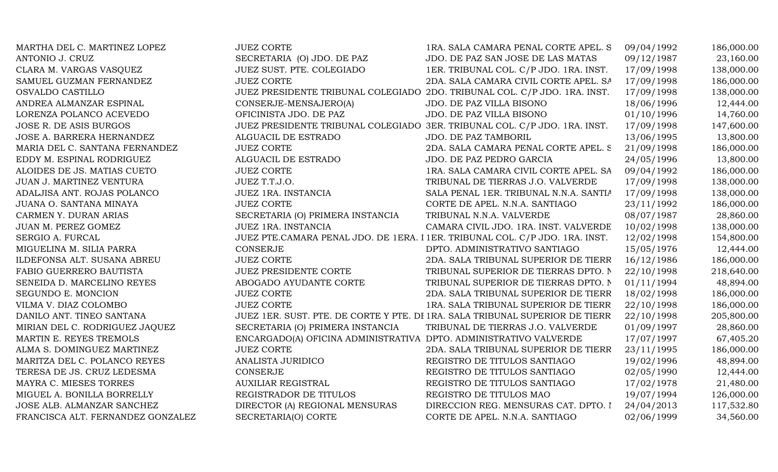| MARTHA DEL C. MARTINEZ LOPEZ      | <b>JUEZ CORTE</b>                                                 | 1RA. SALA CAMARA PENAL CORTE APEL. S                                         | 09/04/1992 | 186,000.00 |
|-----------------------------------|-------------------------------------------------------------------|------------------------------------------------------------------------------|------------|------------|
| ANTONIO J. CRUZ                   | SECRETARIA (O) JDO. DE PAZ                                        | JDO. DE PAZ SAN JOSE DE LAS MATAS                                            | 09/12/1987 | 23,160.00  |
| CLARA M. VARGAS VASQUEZ           | JUEZ SUST. PTE. COLEGIADO                                         | 1ER. TRIBUNAL COL. C/P JDO. 1RA. INST.                                       | 17/09/1998 | 138,000.00 |
| SAMUEL GUZMAN FERNANDEZ           | <b>JUEZ CORTE</b>                                                 | 2DA. SALA CAMARA CIVIL CORTE APEL. SA                                        | 17/09/1998 | 186,000.00 |
| OSVALDO CASTILLO                  |                                                                   | JUEZ PRESIDENTE TRIBUNAL COLEGIADO 2DO. TRIBUNAL COL. C/P JDO. 1RA. INST.    | 17/09/1998 | 138,000.00 |
| ANDREA ALMANZAR ESPINAL           | CONSERJE-MENSAJERO(A)                                             | JDO. DE PAZ VILLA BISONO                                                     | 18/06/1996 | 12,444.00  |
| LORENZA POLANCO ACEVEDO           | OFICINISTA JDO. DE PAZ                                            | JDO. DE PAZ VILLA BISONO                                                     | 01/10/1996 | 14,760.00  |
| <b>JOSE R. DE ASIS BURGOS</b>     |                                                                   | JUEZ PRESIDENTE TRIBUNAL COLEGIADO 3ER. TRIBUNAL COL. C/P JDO. 1RA. INST.    | 17/09/1998 | 147,600.00 |
| JOSE A. BARRERA HERNANDEZ         | ALGUACIL DE ESTRADO                                               | JDO. DE PAZ TAMBORIL                                                         | 13/06/1995 | 13,800.00  |
| MARIA DEL C. SANTANA FERNANDEZ    | <b>JUEZ CORTE</b>                                                 | 2DA. SALA CAMARA PENAL CORTE APEL. S                                         | 21/09/1998 | 186,000.00 |
| EDDY M. ESPINAL RODRIGUEZ         | ALGUACIL DE ESTRADO                                               | JDO. DE PAZ PEDRO GARCIA                                                     | 24/05/1996 | 13,800.00  |
| ALOIDES DE JS. MATIAS CUETO       | <b>JUEZ CORTE</b>                                                 | 1RA. SALA CAMARA CIVIL CORTE APEL. SA                                        | 09/04/1992 | 186,000.00 |
| JUAN J. MARTINEZ VENTURA          | JUEZ T.T.J.O.                                                     | TRIBUNAL DE TIERRAS J.O. VALVERDE                                            | 17/09/1998 | 138,000.00 |
| ADALJISA ANT. ROJAS POLANCO       | JUEZ 1RA. INSTANCIA                                               | SALA PENAL 1ER. TRIBUNAL N.N.A. SANTIA                                       | 17/09/1998 | 138,000.00 |
| JUANA O. SANTANA MINAYA           | <b>JUEZ CORTE</b>                                                 | CORTE DE APEL. N.N.A. SANTIAGO                                               | 23/11/1992 | 186,000.00 |
| CARMEN Y. DURAN ARIAS             | SECRETARIA (O) PRIMERA INSTANCIA                                  | TRIBUNAL N.N.A. VALVERDE                                                     | 08/07/1987 | 28,860.00  |
| JUAN M. PEREZ GOMEZ               | JUEZ 1RA. INSTANCIA                                               | CAMARA CIVIL JDO. 1RA. INST. VALVERDE                                        | 10/02/1998 | 138,000.00 |
| SERGIO A. FURCAL                  |                                                                   | JUEZ PTE.CAMARA PENAL JDO. DE 1ERA. I 1ER. TRIBUNAL COL. C/P JDO. 1RA. INST. | 12/02/1998 | 154,800.00 |
| MIGUELINA M. SILIA PARRA          | CONSERJE                                                          | DPTO. ADMINISTRATIVO SANTIAGO                                                | 15/05/1976 | 12,444.00  |
| ILDEFONSA ALT. SUSANA ABREU       | <b>JUEZ CORTE</b>                                                 | 2DA. SALA TRIBUNAL SUPERIOR DE TIERR                                         | 16/12/1986 | 186,000.00 |
| FABIO GUERRERO BAUTISTA           | <b>JUEZ PRESIDENTE CORTE</b>                                      | TRIBUNAL SUPERIOR DE TIERRAS DPTO. N                                         | 22/10/1998 | 218,640.00 |
| SENEIDA D. MARCELINO REYES        | ABOGADO AYUDANTE CORTE                                            | TRIBUNAL SUPERIOR DE TIERRAS DPTO. N                                         | 01/11/1994 | 48,894.00  |
| SEGUNDO E. MONCION                | <b>JUEZ CORTE</b>                                                 | 2DA. SALA TRIBUNAL SUPERIOR DE TIERR                                         | 18/02/1998 | 186,000.00 |
| VILMA V. DIAZ COLOMBO             | <b>JUEZ CORTE</b>                                                 | 1RA. SALA TRIBUNAL SUPERIOR DE TIERR                                         | 22/10/1998 | 186,000.00 |
| DANILO ANT. TINEO SANTANA         |                                                                   | JUEZ 1ER. SUST. PTE. DE CORTE Y PTE. DI 1RA. SALA TRIBUNAL SUPERIOR DE TIERR | 22/10/1998 | 205,800.00 |
| MIRIAN DEL C. RODRIGUEZ JAQUEZ    | SECRETARIA (O) PRIMERA INSTANCIA                                  | TRIBUNAL DE TIERRAS J.O. VALVERDE                                            | 01/09/1997 | 28,860.00  |
| MARTIN E. REYES TREMOLS           | ENCARGADO(A) OFICINA ADMINISTRATIVA DPTO. ADMINISTRATIVO VALVERDE |                                                                              | 17/07/1997 | 67,405.20  |
| ALMA S. DOMINGUEZ MARTINEZ        | <b>JUEZ CORTE</b>                                                 | 2DA. SALA TRIBUNAL SUPERIOR DE TIERR                                         | 23/11/1995 | 186,000.00 |
| MARITZA DEL C. POLANCO REYES      | ANALISTA JURIDICO                                                 | REGISTRO DE TITULOS SANTIAGO                                                 | 19/02/1996 | 48,894.00  |
| TERESA DE JS. CRUZ LEDESMA        | CONSERJE                                                          | REGISTRO DE TITULOS SANTIAGO                                                 | 02/05/1990 | 12,444.00  |
| MAYRA C. MIESES TORRES            | <b>AUXILIAR REGISTRAL</b>                                         | REGISTRO DE TITULOS SANTIAGO                                                 | 17/02/1978 | 21,480.00  |
| MIGUEL A. BONILLA BORRELLY        | REGISTRADOR DE TITULOS                                            | REGISTRO DE TITULOS MAO                                                      | 19/07/1994 | 126,000.00 |
| JOSE ALB. ALMANZAR SANCHEZ        | DIRECTOR (A) REGIONAL MENSURAS                                    | DIRECCION REG. MENSURAS CAT. DPTO. I                                         | 24/04/2013 | 117,532.80 |
| FRANCISCA ALT. FERNANDEZ GONZALEZ | SECRETARIA(O) CORTE                                               | CORTE DE APEL. N.N.A. SANTIAGO                                               | 02/06/1999 | 34,560.00  |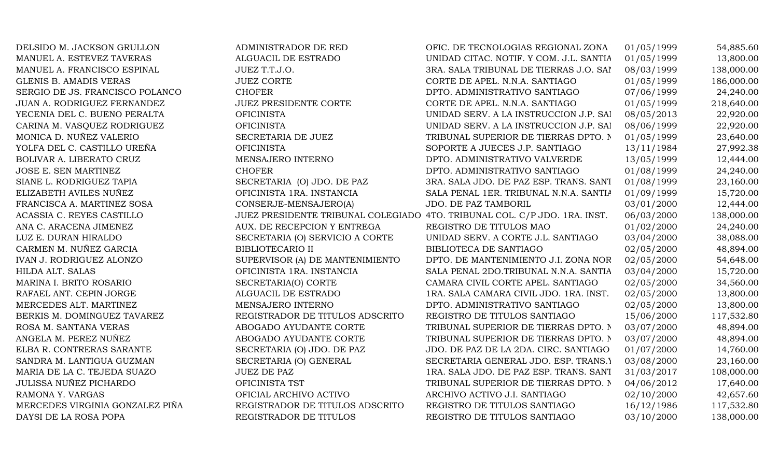| DELSIDO M. JACKSON GRULLON      | ADMINISTRADOR DE RED            | OFIC. DE TECNOLOGIAS REGIONAL ZONA                                        | 01/05/1999 | 54,885.60  |
|---------------------------------|---------------------------------|---------------------------------------------------------------------------|------------|------------|
| MANUEL A. ESTEVEZ TAVERAS       | ALGUACIL DE ESTRADO             | UNIDAD CITAC. NOTIF. Y COM. J.L. SANTIA                                   | 01/05/1999 | 13,800.00  |
| MANUEL A. FRANCISCO ESPINAL     | JUEZ T.T.J.O.                   | 3RA. SALA TRIBUNAL DE TIERRAS J.O. SAI                                    | 08/03/1999 | 138,000.00 |
| <b>GLENIS B. AMADIS VERAS</b>   | <b>JUEZ CORTE</b>               | CORTE DE APEL. N.N.A. SANTIAGO                                            | 01/05/1999 | 186,000.00 |
| SERGIO DE JS. FRANCISCO POLANCO | <b>CHOFER</b>                   | DPTO. ADMINISTRATIVO SANTIAGO                                             | 07/06/1999 | 24,240.00  |
| JUAN A. RODRIGUEZ FERNANDEZ     | <b>JUEZ PRESIDENTE CORTE</b>    | CORTE DE APEL. N.N.A. SANTIAGO                                            | 01/05/1999 | 218,640.00 |
| YECENIA DEL C. BUENO PERALTA    | <b>OFICINISTA</b>               | UNIDAD SERV. A LA INSTRUCCION J.P. SAI                                    | 08/05/2013 | 22,920.00  |
| CARINA M. VASQUEZ RODRIGUEZ     | <b>OFICINISTA</b>               | UNIDAD SERV. A LA INSTRUCCION J.P. SAI                                    | 08/06/1999 | 22,920.00  |
| MONICA D. NUÑEZ VALERIO         | SECRETARIA DE JUEZ              | TRIBUNAL SUPERIOR DE TIERRAS DPTO. N                                      | 01/05/1999 | 23,640.00  |
| YOLFA DEL C. CASTILLO UREÑA     | <b>OFICINISTA</b>               | SOPORTE A JUECES J.P. SANTIAGO                                            | 13/11/1984 | 27,992.38  |
| BOLIVAR A. LIBERATO CRUZ        | MENSAJERO INTERNO               | DPTO. ADMINISTRATIVO VALVERDE                                             | 13/05/1999 | 12,444.00  |
| JOSE E. SEN MARTINEZ            | <b>CHOFER</b>                   | DPTO. ADMINISTRATIVO SANTIAGO                                             | 01/08/1999 | 24,240.00  |
| SIANE L. RODRIGUEZ TAPIA        | SECRETARIA (O) JDO. DE PAZ      | 3RA. SALA JDO. DE PAZ ESP. TRANS. SANT                                    | 01/08/1999 | 23,160.00  |
| ELIZABETH AVILES NUÑEZ          | OFICINISTA 1RA. INSTANCIA       | SALA PENAL 1ER. TRIBUNAL N.N.A. SANTIA                                    | 01/09/1999 | 15,720.00  |
| FRANCISCA A. MARTINEZ SOSA      | CONSERJE-MENSAJERO(A)           | JDO. DE PAZ TAMBORIL                                                      | 03/01/2000 | 12,444.00  |
| ACASSIA C. REYES CASTILLO       |                                 | JUEZ PRESIDENTE TRIBUNAL COLEGIADO 4TO. TRIBUNAL COL. C/P JDO. 1RA. INST. | 06/03/2000 | 138,000.00 |
| ANA C. ARACENA JIMENEZ          | AUX. DE RECEPCION Y ENTREGA     | REGISTRO DE TITULOS MAO                                                   | 01/02/2000 | 24,240.00  |
| LUZ E. DURAN HIRALDO            | SECRETARIA (O) SERVICIO A CORTE | UNIDAD SERV. A CORTE J.L. SANTIAGO                                        | 03/04/2000 | 38,088.00  |
| CARMEN M. NUÑEZ GARCIA          | <b>BIBLIOTECARIO II</b>         | BIBLIOTECA DE SANTIAGO                                                    | 02/05/2000 | 48,894.00  |
| IVAN J. RODRIGUEZ ALONZO        | SUPERVISOR (A) DE MANTENIMIENTO | DPTO. DE MANTENIMIENTO J.I. ZONA NOR                                      | 02/05/2000 | 54,648.00  |
| HILDA ALT. SALAS                | OFICINISTA 1RA. INSTANCIA       | SALA PENAL 2DO.TRIBUNAL N.N.A. SANTIA                                     | 03/04/2000 | 15,720.00  |
| MARINA I. BRITO ROSARIO         | SECRETARIA(O) CORTE             | CAMARA CIVIL CORTE APEL. SANTIAGO                                         | 02/05/2000 | 34,560.00  |
| RAFAEL ANT. CEPIN JORGE         | ALGUACIL DE ESTRADO             | 1RA. SALA CAMARA CIVIL JDO. 1RA. INST.                                    | 02/05/2000 | 13,800.00  |
| MERCEDES ALT. MARTINEZ          | MENSAJERO INTERNO               | DPTO. ADMINISTRATIVO SANTIAGO                                             | 02/05/2000 | 13,800.00  |
| BERKIS M. DOMINGUEZ TAVAREZ     | REGISTRADOR DE TITULOS ADSCRITO | REGISTRO DE TITULOS SANTIAGO                                              | 15/06/2000 | 117,532.80 |
| ROSA M. SANTANA VERAS           | ABOGADO AYUDANTE CORTE          | TRIBUNAL SUPERIOR DE TIERRAS DPTO. N                                      | 03/07/2000 | 48,894.00  |
| ANGELA M. PEREZ NUÑEZ           | ABOGADO AYUDANTE CORTE          | TRIBUNAL SUPERIOR DE TIERRAS DPTO. N                                      | 03/07/2000 | 48,894.00  |
| ELBA R. CONTRERAS SARANTE       | SECRETARIA (O) JDO. DE PAZ      | JDO. DE PAZ DE LA 2DA. CIRC. SANTIAGO                                     | 01/07/2000 | 14,760.00  |
| SANDRA M. LANTIGUA GUZMAN       | SECRETARIA (O) GENERAL          | SECRETARIA GENERAL JDO. ESP. TRANS.)                                      | 03/08/2000 | 23,160.00  |
| MARIA DE LA C. TEJEDA SUAZO     | <b>JUEZ DE PAZ</b>              | 1RA. SALA JDO. DE PAZ ESP. TRANS. SANT                                    | 31/03/2017 | 108,000.00 |
| <b>JULISSA NUÑEZ PICHARDO</b>   | OFICINISTA TST                  | TRIBUNAL SUPERIOR DE TIERRAS DPTO. N                                      | 04/06/2012 | 17,640.00  |
| RAMONA Y. VARGAS                | OFICIAL ARCHIVO ACTIVO          | ARCHIVO ACTIVO J.I. SANTIAGO                                              | 02/10/2000 | 42,657.60  |
| MERCEDES VIRGINIA GONZALEZ PIÑA | REGISTRADOR DE TITULOS ADSCRITO | REGISTRO DE TITULOS SANTIAGO                                              | 16/12/1986 | 117,532.80 |
| DAYSI DE LA ROSA POPA           | REGISTRADOR DE TITULOS          | REGISTRO DE TITULOS SANTIAGO                                              | 03/10/2000 | 138,000.00 |
|                                 |                                 |                                                                           |            |            |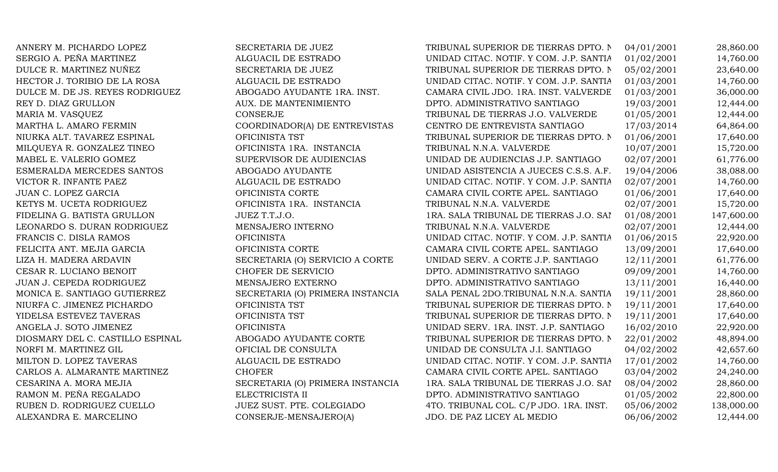| ANNERY M. PICHARDO LOPEZ         | SECRETARIA DE JUEZ               | TRIBUNAL SUPERIOR DE TIERRAS DPTO. N    | 04/01/2001 | 28,860.00  |
|----------------------------------|----------------------------------|-----------------------------------------|------------|------------|
| SERGIO A. PEÑA MARTINEZ          | ALGUACIL DE ESTRADO              | UNIDAD CITAC. NOTIF. Y COM. J.P. SANTIA | 01/02/2001 | 14,760.00  |
| DULCE R. MARTINEZ NUÑEZ          | SECRETARIA DE JUEZ               | TRIBUNAL SUPERIOR DE TIERRAS DPTO. N    | 05/02/2001 | 23,640.00  |
| HECTOR J. TORIBIO DE LA ROSA     | ALGUACIL DE ESTRADO              | UNIDAD CITAC. NOTIF. Y COM. J.P. SANTIA | 01/03/2001 | 14,760.00  |
| DULCE M. DE JS. REYES RODRIGUEZ  | ABOGADO AYUDANTE 1RA. INST.      | CAMARA CIVIL JDO. 1RA. INST. VALVERDE   | 01/03/2001 | 36,000.00  |
| REY D. DIAZ GRULLON              | AUX. DE MANTENIMIENTO            | DPTO. ADMINISTRATIVO SANTIAGO           | 19/03/2001 | 12,444.00  |
| MARIA M. VASQUEZ                 | <b>CONSERJE</b>                  | TRIBUNAL DE TIERRAS J.O. VALVERDE       | 01/05/2001 | 12,444.00  |
| MARTHA L. AMARO FERMIN           | COORDINADOR(A) DE ENTREVISTAS    | CENTRO DE ENTREVISTA SANTIAGO           | 17/03/2014 | 64,864.00  |
| NIURKA ALT. TAVAREZ ESPINAL      | OFICINISTA TST                   | TRIBUNAL SUPERIOR DE TIERRAS DPTO. N    | 01/06/2001 | 17,640.00  |
| MILQUEYA R. GONZALEZ TINEO       | OFICINISTA 1RA. INSTANCIA        | TRIBUNAL N.N.A. VALVERDE                | 10/07/2001 | 15,720.00  |
| MABEL E. VALERIO GOMEZ           | SUPERVISOR DE AUDIENCIAS         | UNIDAD DE AUDIENCIAS J.P. SANTIAGO      | 02/07/2001 | 61,776.00  |
| ESMERALDA MERCEDES SANTOS        | ABOGADO AYUDANTE                 | UNIDAD ASISTENCIA A JUECES C.S.S. A.F.  | 19/04/2006 | 38,088.00  |
| VICTOR R. INFANTE PAEZ           | ALGUACIL DE ESTRADO              | UNIDAD CITAC. NOTIF. Y COM. J.P. SANTIA | 02/07/2001 | 14,760.00  |
| JUAN C. LOPEZ GARCIA             | OFICINISTA CORTE                 | CAMARA CIVIL CORTE APEL. SANTIAGO       | 01/06/2001 | 17,640.00  |
| KETYS M. UCETA RODRIGUEZ         | OFICINISTA 1RA. INSTANCIA        | TRIBUNAL N.N.A. VALVERDE                | 02/07/2001 | 15,720.00  |
| FIDELINA G. BATISTA GRULLON      | JUEZ T.T.J.O.                    | 1RA. SALA TRIBUNAL DE TIERRAS J.O. SAI  | 01/08/2001 | 147,600.00 |
| LEONARDO S. DURAN RODRIGUEZ      | MENSAJERO INTERNO                | TRIBUNAL N.N.A. VALVERDE                | 02/07/2001 | 12,444.00  |
| FRANCIS C. DISLA RAMOS           | <b>OFICINISTA</b>                | UNIDAD CITAC. NOTIF. Y COM. J.P. SANTIA | 01/06/2015 | 22,920.00  |
| FELICITA ANT. MEJIA GARCIA       | OFICINISTA CORTE                 | CAMARA CIVIL CORTE APEL. SANTIAGO       | 13/09/2001 | 17,640.00  |
| LIZA H. MADERA ARDAVIN           | SECRETARIA (O) SERVICIO A CORTE  | UNIDAD SERV. A CORTE J.P. SANTIAGO      | 12/11/2001 | 61,776.00  |
| CESAR R. LUCIANO BENOIT          | CHOFER DE SERVICIO               | DPTO. ADMINISTRATIVO SANTIAGO           | 09/09/2001 | 14,760.00  |
| JUAN J. CEPEDA RODRIGUEZ         | MENSAJERO EXTERNO                | DPTO. ADMINISTRATIVO SANTIAGO           | 13/11/2001 | 16,440.00  |
| MONICA E. SANTIAGO GUTIERREZ     | SECRETARIA (O) PRIMERA INSTANCIA | SALA PENAL 2DO.TRIBUNAL N.N.A. SANTIA   | 19/11/2001 | 28,860.00  |
| NIURFA C. JIMENEZ PICHARDO       | OFICINISTA TST                   | TRIBUNAL SUPERIOR DE TIERRAS DPTO. N    | 19/11/2001 | 17,640.00  |
| YIDELSA ESTEVEZ TAVERAS          | OFICINISTA TST                   | TRIBUNAL SUPERIOR DE TIERRAS DPTO. N    | 19/11/2001 | 17,640.00  |
| ANGELA J. SOTO JIMENEZ           | <b>OFICINISTA</b>                | UNIDAD SERV. 1RA. INST. J.P. SANTIAGO   | 16/02/2010 | 22,920.00  |
| DIOSMARY DEL C. CASTILLO ESPINAL | ABOGADO AYUDANTE CORTE           | TRIBUNAL SUPERIOR DE TIERRAS DPTO. N    | 22/01/2002 | 48,894.00  |
| NORFI M. MARTINEZ GIL            | OFICIAL DE CONSULTA              | UNIDAD DE CONSULTA J.I. SANTIAGO        | 04/02/2002 | 42,657.60  |
| MILTON D. LOPEZ TAVERAS          | ALGUACIL DE ESTRADO              | UNIDAD CITAC. NOTIF. Y COM. J.P. SANTIA | 17/01/2002 | 14,760.00  |
| CARLOS A. ALMARANTE MARTINEZ     | <b>CHOFER</b>                    | CAMARA CIVIL CORTE APEL. SANTIAGO       | 03/04/2002 | 24,240.00  |
| CESARINA A. MORA MEJIA           | SECRETARIA (O) PRIMERA INSTANCIA | 1RA. SALA TRIBUNAL DE TIERRAS J.O. SAI  | 08/04/2002 | 28,860.00  |
| RAMON M. PEÑA REGALADO           | ELECTRICISTA II                  | DPTO. ADMINISTRATIVO SANTIAGO           | 01/05/2002 | 22,800.00  |
| RUBEN D. RODRIGUEZ CUELLO        | JUEZ SUST. PTE. COLEGIADO        | 4TO. TRIBUNAL COL. C/P JDO. 1RA. INST.  | 05/06/2002 | 138,000.00 |
| ALEXANDRA E. MARCELINO           | CONSERJE-MENSAJERO(A)            | JDO. DE PAZ LICEY AL MEDIO              | 06/06/2002 | 12,444.00  |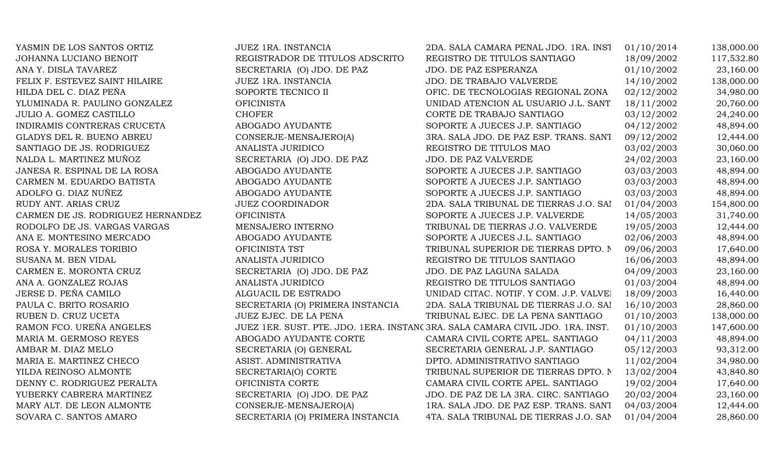| YASMIN DE LOS SANTOS ORTIZ        | <b>JUEZ 1RA. INSTANCIA</b>                                                     | 2DA. SALA CAMARA PENAL JDO. 1RA. INST   | 01/10/2014 | 138,000.00 |
|-----------------------------------|--------------------------------------------------------------------------------|-----------------------------------------|------------|------------|
| JOHANNA LUCIANO BENOIT            | REGISTRADOR DE TITULOS ADSCRITO                                                | REGISTRO DE TITULOS SANTIAGO            | 18/09/2002 | 117,532.80 |
| ANA Y. DISLA TAVAREZ              | SECRETARIA (O) JDO. DE PAZ                                                     | JDO. DE PAZ ESPERANZA                   | 01/10/2002 | 23,160.00  |
| FELIX F. ESTEVEZ SAINT HILAIRE    | JUEZ 1RA. INSTANCIA                                                            | JDO. DE TRABAJO VALVERDE                | 14/10/2002 | 138,000.00 |
| HILDA DEL C. DIAZ PEÑA            | SOPORTE TECNICO II                                                             | OFIC. DE TECNOLOGIAS REGIONAL ZONA      | 02/12/2002 | 34,980.00  |
| YLUMINADA R. PAULINO GONZALEZ     | <b>OFICINISTA</b>                                                              | UNIDAD ATENCION AL USUARIO J.L. SANT    | 18/11/2002 | 20,760.00  |
| JULIO A. GOMEZ CASTILLO           | <b>CHOFER</b>                                                                  | CORTE DE TRABAJO SANTIAGO               | 03/12/2002 | 24,240.00  |
| INDIRAMIS CONTRERAS CRUCETA       | ABOGADO AYUDANTE                                                               | SOPORTE A JUECES J.P. SANTIAGO          | 04/12/2002 | 48,894.00  |
| GLADYS DEL R. BUENO ABREU         | CONSERJE-MENSAJERO(A)                                                          | 3RA. SALA JDO. DE PAZ ESP. TRANS. SANT  | 09/12/2002 | 12,444.00  |
| SANTIAGO DE JS. RODRIGUEZ         | ANALISTA JURIDICO                                                              | REGISTRO DE TITULOS MAO                 | 03/02/2003 | 30,060.00  |
| NALDA L. MARTINEZ MUÑOZ           | SECRETARIA (O) JDO. DE PAZ                                                     | JDO. DE PAZ VALVERDE                    | 24/02/2003 | 23,160.00  |
| JANESA R. ESPINAL DE LA ROSA      | ABOGADO AYUDANTE                                                               | SOPORTE A JUECES J.P. SANTIAGO          | 03/03/2003 | 48,894.00  |
| CARMEN M. EDUARDO BATISTA         | ABOGADO AYUDANTE                                                               | SOPORTE A JUECES J.P. SANTIAGO          | 03/03/2003 | 48,894.00  |
| ADOLFO G. DIAZ NUÑEZ              | ABOGADO AYUDANTE                                                               | SOPORTE A JUECES J.P. SANTIAGO          | 03/03/2003 | 48,894.00  |
| RUDY ANT. ARIAS CRUZ              | <b>JUEZ COORDINADOR</b>                                                        | 2DA. SALA TRIBUNAL DE TIERRAS J.O. SAI  | 01/04/2003 | 154,800.00 |
| CARMEN DE JS. RODRIGUEZ HERNANDEZ | <b>OFICINISTA</b>                                                              | SOPORTE A JUECES J.P. VALVERDE          | 14/05/2003 | 31,740.00  |
| RODOLFO DE JS. VARGAS VARGAS      | MENSAJERO INTERNO                                                              | TRIBUNAL DE TIERRAS J.O. VALVERDE       | 19/05/2003 | 12,444.00  |
| ANA E. MONTESINO MERCADO          | ABOGADO AYUDANTE                                                               | SOPORTE A JUECES J.L. SANTIAGO          | 02/06/2003 | 48,894.00  |
| ROSA Y. MORALES TORIBIO           | OFICINISTA TST                                                                 | TRIBUNAL SUPERIOR DE TIERRAS DPTO. N    | 09/06/2003 | 17,640.00  |
| SUSANA M. BEN VIDAL               | ANALISTA JURIDICO                                                              | REGISTRO DE TITULOS SANTIAGO            | 16/06/2003 | 48,894.00  |
| CARMEN E. MORONTA CRUZ            | SECRETARIA (O) JDO. DE PAZ                                                     | JDO. DE PAZ LAGUNA SALADA               | 04/09/2003 | 23,160.00  |
| ANA A. GONZALEZ ROJAS             | ANALISTA JURIDICO                                                              | REGISTRO DE TITULOS SANTIAGO            | 01/03/2004 | 48,894.00  |
| JERSE D. PEÑA CAMILO              | ALGUACIL DE ESTRADO                                                            | UNIDAD CITAC. NOTIF. Y COM. J.P. VALVEI | 18/09/2003 | 16,440.00  |
| PAULA C. BRITO ROSARIO            | SECRETARIA (O) PRIMERA INSTANCIA                                               | 2DA. SALA TRIBUNAL DE TIERRAS J.O. SAI  | 16/10/2003 | 28,860.00  |
| RUBEN D. CRUZ UCETA               | JUEZ EJEC. DE LA PENA                                                          | TRIBUNAL EJEC. DE LA PENA SANTIAGO      | 01/10/2003 | 138,000.00 |
| RAMON FCO. UREÑA ANGELES          | JUEZ 1ER. SUST. PTE. JDO. 1ERA. INSTANC 3RA. SALA CAMARA CIVIL JDO. 1RA. INST. |                                         | 01/10/2003 | 147,600.00 |
| MARIA M. GERMOSO REYES            | ABOGADO AYUDANTE CORTE                                                         | CAMARA CIVIL CORTE APEL. SANTIAGO       | 04/11/2003 | 48,894.00  |
| AMBAR M. DIAZ MELO                | SECRETARIA (O) GENERAL                                                         | SECRETARIA GENERAL J.P. SANTIAGO        | 05/12/2003 | 93,312.00  |
| MARIA E. MARTINEZ CHECO           | ASIST. ADMINISTRATIVA                                                          | DPTO. ADMINISTRATIVO SANTIAGO           | 11/02/2004 | 34,980.00  |
| YILDA REINOSO ALMONTE             | SECRETARIA(O) CORTE                                                            | TRIBUNAL SUPERIOR DE TIERRAS DPTO. N    | 13/02/2004 | 43,840.80  |
| DENNY C. RODRIGUEZ PERALTA        | OFICINISTA CORTE                                                               | CAMARA CIVIL CORTE APEL. SANTIAGO       | 19/02/2004 | 17,640.00  |
| YUBERKY CABRERA MARTINEZ          | SECRETARIA (O) JDO. DE PAZ                                                     | JDO. DE PAZ DE LA 3RA. CIRC. SANTIAGO   | 20/02/2004 | 23,160.00  |
| MARY ALT. DE LEON ALMONTE         | CONSERJE-MENSAJERO(A)                                                          | 1RA. SALA JDO. DE PAZ ESP. TRANS. SANT  | 04/03/2004 | 12,444.00  |
| SOVARA C. SANTOS AMARO            | SECRETARIA (O) PRIMERA INSTANCIA                                               | 4TA. SALA TRIBUNAL DE TIERRAS J.O. SAN  | 01/04/2004 | 28,860.00  |
|                                   |                                                                                |                                         |            |            |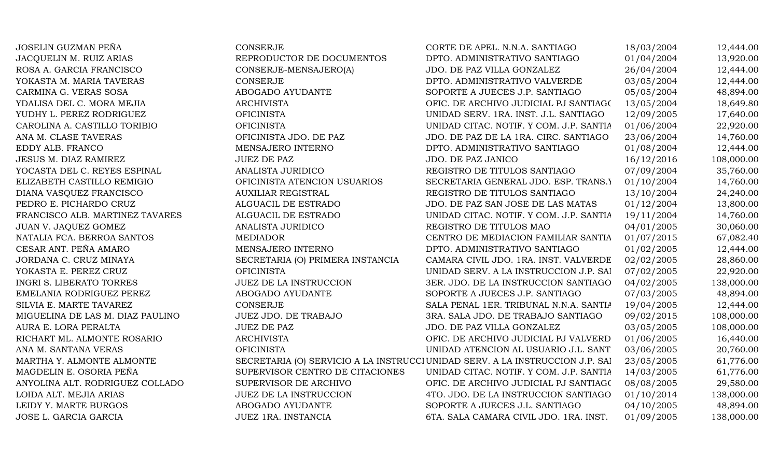| JOSELIN GUZMAN PEÑA              | <b>CONSERJE</b>                  | CORTE DE APEL. N.N.A. SANTIAGO                                                | 18/03/2004 | 12,444.00  |
|----------------------------------|----------------------------------|-------------------------------------------------------------------------------|------------|------------|
| JACQUELIN M. RUIZ ARIAS          | REPRODUCTOR DE DOCUMENTOS        | DPTO. ADMINISTRATIVO SANTIAGO                                                 | 01/04/2004 | 13,920.00  |
| ROSA A. GARCIA FRANCISCO         | CONSERJE-MENSAJERO(A)            | JDO. DE PAZ VILLA GONZALEZ                                                    | 26/04/2004 | 12,444.00  |
| YOKASTA M. MARIA TAVERAS         | <b>CONSERJE</b>                  | DPTO. ADMINISTRATIVO VALVERDE                                                 | 03/05/2004 | 12,444.00  |
| CARMINA G. VERAS SOSA            | ABOGADO AYUDANTE                 | SOPORTE A JUECES J.P. SANTIAGO                                                | 05/05/2004 | 48,894.00  |
| YDALISA DEL C. MORA MEJIA        | <b>ARCHIVISTA</b>                | OFIC. DE ARCHIVO JUDICIAL PJ SANTIAGO                                         | 13/05/2004 | 18,649.80  |
| YUDHY L. PEREZ RODRIGUEZ         | <b>OFICINISTA</b>                | UNIDAD SERV. 1RA. INST. J.L. SANTIAGO                                         | 12/09/2005 | 17,640.00  |
| CAROLINA A. CASTILLO TORIBIO     | <b>OFICINISTA</b>                | UNIDAD CITAC. NOTIF. Y COM. J.P. SANTIA                                       | 01/06/2004 | 22,920.00  |
| ANA M. CLASE TAVERAS             | OFICINISTA JDO. DE PAZ           | JDO. DE PAZ DE LA 1RA. CIRC. SANTIAGO                                         | 23/06/2004 | 14,760.00  |
| EDDY ALB. FRANCO                 | MENSAJERO INTERNO                | DPTO. ADMINISTRATIVO SANTIAGO                                                 | 01/08/2004 | 12,444.00  |
| JESUS M. DIAZ RAMIREZ            | <b>JUEZ DE PAZ</b>               | JDO. DE PAZ JANICO                                                            | 16/12/2016 | 108,000.00 |
| YOCASTA DEL C. REYES ESPINAL     | ANALISTA JURIDICO                | REGISTRO DE TITULOS SANTIAGO                                                  | 07/09/2004 | 35,760.00  |
| ELIZABETH CASTILLO REMIGIO       | OFICINISTA ATENCION USUARIOS     | SECRETARIA GENERAL JDO. ESP. TRANS.)                                          | 01/10/2004 | 14,760.00  |
| DIANA VASQUEZ FRANCISCO          | <b>AUXILIAR REGISTRAL</b>        | REGISTRO DE TITULOS SANTIAGO                                                  | 13/10/2004 | 24,240.00  |
| PEDRO E. PICHARDO CRUZ           | ALGUACIL DE ESTRADO              | JDO. DE PAZ SAN JOSE DE LAS MATAS                                             | 01/12/2004 | 13,800.00  |
| FRANCISCO ALB. MARTINEZ TAVARES  | ALGUACIL DE ESTRADO              | UNIDAD CITAC. NOTIF. Y COM. J.P. SANTIA                                       | 19/11/2004 | 14,760.00  |
| JUAN V. JAQUEZ GOMEZ             | ANALISTA JURIDICO                | REGISTRO DE TITULOS MAO                                                       | 04/01/2005 | 30,060.00  |
| NATALIA FCA. BERROA SANTOS       | <b>MEDIADOR</b>                  | CENTRO DE MEDIACION FAMILIAR SANTIA                                           | 01/07/2015 | 67,082.40  |
| CESAR ANT. PEÑA AMARO            | MENSAJERO INTERNO                | DPTO. ADMINISTRATIVO SANTIAGO                                                 | 01/02/2005 | 12,444.00  |
| JORDANA C. CRUZ MINAYA           | SECRETARIA (O) PRIMERA INSTANCIA | CAMARA CIVIL JDO. 1RA. INST. VALVERDE                                         | 02/02/2005 | 28,860.00  |
| YOKASTA E. PEREZ CRUZ            | <b>OFICINISTA</b>                | UNIDAD SERV. A LA INSTRUCCION J.P. SAI                                        | 07/02/2005 | 22,920.00  |
| <b>INGRI S. LIBERATO TORRES</b>  | <b>JUEZ DE LA INSTRUCCION</b>    | 3ER. JDO. DE LA INSTRUCCION SANTIAGO                                          | 04/02/2005 | 138,000.00 |
| EMELANIA RODRIGUEZ PEREZ         | ABOGADO AYUDANTE                 | SOPORTE A JUECES J.P. SANTIAGO                                                | 07/03/2005 | 48,894.00  |
| SILVIA E. MARTE TAVAREZ          | <b>CONSERJE</b>                  | SALA PENAL 1ER. TRIBUNAL N.N.A. SANTIA                                        | 19/04/2005 | 12,444.00  |
| MIGUELINA DE LAS M. DIAZ PAULINO | JUEZ JDO. DE TRABAJO             | 3RA. SALA JDO. DE TRABAJO SANTIAGO                                            | 09/02/2015 | 108,000.00 |
| AURA E. LORA PERALTA             | <b>JUEZ DE PAZ</b>               | JDO. DE PAZ VILLA GONZALEZ                                                    | 03/05/2005 | 108,000.00 |
| RICHART ML. ALMONTE ROSARIO      | <b>ARCHIVISTA</b>                | OFIC. DE ARCHIVO JUDICIAL PJ VALVERD                                          | 01/06/2005 | 16,440.00  |
| ANA M. SANTANA VERAS             | <b>OFICINISTA</b>                | UNIDAD ATENCION AL USUARIO J.L. SANT                                          | 03/06/2005 | 20,760.00  |
| MARTHA Y. ALMONTE ALMONTE        |                                  | SECRETARIA (O) SERVICIO A LA INSTRUCCI UNIDAD SERV. A LA INSTRUCCION J.P. SAI | 23/05/2005 | 61,776.00  |
| MAGDELIN E. OSORIA PEÑA          | SUPERVISOR CENTRO DE CITACIONES  | UNIDAD CITAC. NOTIF. Y COM. J.P. SANTIA                                       | 14/03/2005 | 61,776.00  |
| ANYOLINA ALT. RODRIGUEZ COLLADO  | SUPERVISOR DE ARCHIVO            | OFIC. DE ARCHIVO JUDICIAL PJ SANTIAGO                                         | 08/08/2005 | 29,580.00  |
| LOIDA ALT. MEJIA ARIAS           | <b>JUEZ DE LA INSTRUCCION</b>    | 4TO. JDO. DE LA INSTRUCCION SANTIAGO                                          | 01/10/2014 | 138,000.00 |
| LEIDY Y. MARTE BURGOS            | ABOGADO AYUDANTE                 | SOPORTE A JUECES J.L. SANTIAGO                                                | 04/10/2005 | 48,894.00  |
| JOSE L. GARCIA GARCIA            | JUEZ 1RA. INSTANCIA              | 6TA. SALA CAMARA CIVIL JDO. 1RA. INST.                                        | 01/09/2005 | 138,000.00 |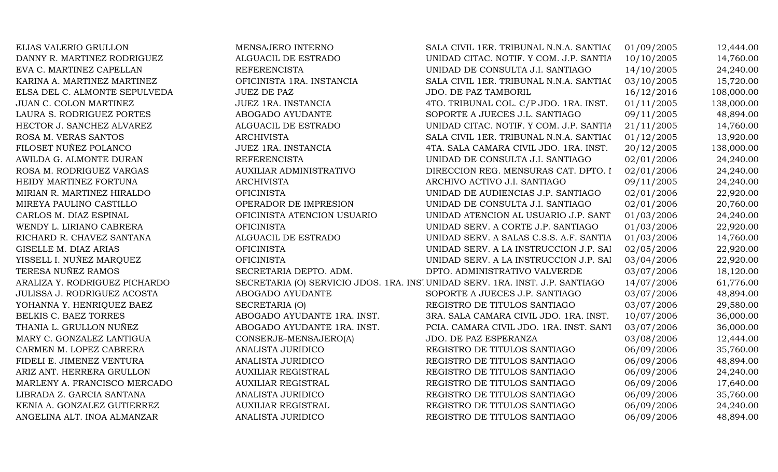| ELIAS VALERIO GRULLON         | MENSAJERO INTERNO                                                             | SALA CIVIL 1ER. TRIBUNAL N.N.A. SANTIAC | 01/09/2005 | 12,444.00  |
|-------------------------------|-------------------------------------------------------------------------------|-----------------------------------------|------------|------------|
| DANNY R. MARTINEZ RODRIGUEZ   | ALGUACIL DE ESTRADO                                                           | UNIDAD CITAC. NOTIF. Y COM. J.P. SANTIA | 10/10/2005 | 14,760.00  |
| EVA C. MARTINEZ CAPELLAN      | <b>REFERENCISTA</b>                                                           | UNIDAD DE CONSULTA J.I. SANTIAGO        | 14/10/2005 | 24,240.00  |
| KARINA A. MARTINEZ MARTINEZ   | OFICINISTA 1RA. INSTANCIA                                                     | SALA CIVIL 1ER. TRIBUNAL N.N.A. SANTIAC | 03/10/2005 | 15,720.00  |
| ELSA DEL C. ALMONTE SEPULVEDA | <b>JUEZ DE PAZ</b>                                                            | JDO. DE PAZ TAMBORIL                    | 16/12/2016 | 108,000.00 |
| JUAN C. COLON MARTINEZ        | JUEZ 1RA. INSTANCIA                                                           | 4TO. TRIBUNAL COL. C/P JDO. 1RA. INST.  | 01/11/2005 | 138,000.00 |
| LAURA S. RODRIGUEZ PORTES     | ABOGADO AYUDANTE                                                              | SOPORTE A JUECES J.L. SANTIAGO          | 09/11/2005 | 48,894.00  |
| HECTOR J. SANCHEZ ALVAREZ     | ALGUACIL DE ESTRADO                                                           | UNIDAD CITAC. NOTIF. Y COM. J.P. SANTIA | 21/11/2005 | 14,760.00  |
| ROSA M. VERAS SANTOS          | <b>ARCHIVISTA</b>                                                             | SALA CIVIL 1ER. TRIBUNAL N.N.A. SANTIAC | 01/12/2005 | 13,920.00  |
| FILOSET NUÑEZ POLANCO         | JUEZ 1RA. INSTANCIA                                                           | 4TA. SALA CAMARA CIVIL JDO. 1RA. INST.  | 20/12/2005 | 138,000.00 |
| AWILDA G. ALMONTE DURAN       | <b>REFERENCISTA</b>                                                           | UNIDAD DE CONSULTA J.I. SANTIAGO        | 02/01/2006 | 24,240.00  |
| ROSA M. RODRIGUEZ VARGAS      | AUXILIAR ADMINISTRATIVO                                                       | DIRECCION REG. MENSURAS CAT. DPTO. I    | 02/01/2006 | 24,240.00  |
| HEIDY MARTINEZ FORTUNA        | <b>ARCHIVISTA</b>                                                             | ARCHIVO ACTIVO J.I. SANTIAGO            | 09/11/2005 | 24,240.00  |
| MIRIAN R. MARTINEZ HIRALDO    | <b>OFICINISTA</b>                                                             | UNIDAD DE AUDIENCIAS J.P. SANTIAGO      | 02/01/2006 | 22,920.00  |
| MIREYA PAULINO CASTILLO       | OPERADOR DE IMPRESION                                                         | UNIDAD DE CONSULTA J.I. SANTIAGO        | 02/01/2006 | 20,760.00  |
| CARLOS M. DIAZ ESPINAL        | OFICINISTA ATENCION USUARIO                                                   | UNIDAD ATENCION AL USUARIO J.P. SANT    | 01/03/2006 | 24,240.00  |
| WENDY L. LIRIANO CABRERA      | <b>OFICINISTA</b>                                                             | UNIDAD SERV. A CORTE J.P. SANTIAGO      | 01/03/2006 | 22,920.00  |
| RICHARD R. CHAVEZ SANTANA     | ALGUACIL DE ESTRADO                                                           | UNIDAD SERV. A SALAS C.S.S. A.F. SANTIA | 01/03/2006 | 14,760.00  |
| GISELLE M. DIAZ ARIAS         | <b>OFICINISTA</b>                                                             | UNIDAD SERV. A LA INSTRUCCION J.P. SAI  | 02/05/2006 | 22,920.00  |
| YISSELL I. NUÑEZ MARQUEZ      | <b>OFICINISTA</b>                                                             | UNIDAD SERV. A LA INSTRUCCION J.P. SAI  | 03/04/2006 | 22,920.00  |
| TERESA NUÑEZ RAMOS            | SECRETARIA DEPTO. ADM.                                                        | DPTO. ADMINISTRATIVO VALVERDE           | 03/07/2006 | 18,120.00  |
| ARALIZA Y. RODRIGUEZ PICHARDO | SECRETARIA (O) SERVICIO JDOS. 1RA. INS' UNIDAD SERV. 1RA. INST. J.P. SANTIAGO |                                         | 14/07/2006 | 61,776.00  |
| JULISSA J. RODRIGUEZ ACOSTA   | ABOGADO AYUDANTE                                                              | SOPORTE A JUECES J.P. SANTIAGO          | 03/07/2006 | 48,894.00  |
| YOHANNA Y. HENRIQUEZ BAEZ     | SECRETARIA (O)                                                                | REGISTRO DE TITULOS SANTIAGO            | 03/07/2006 | 29,580.00  |
| BELKIS C. BAEZ TORRES         | ABOGADO AYUDANTE 1RA. INST.                                                   | 3RA. SALA CAMARA CIVIL JDO. 1RA. INST.  | 10/07/2006 | 36,000.00  |
| THANIA L. GRULLON NUÑEZ       | ABOGADO AYUDANTE 1RA. INST.                                                   | PCIA. CAMARA CIVIL JDO. 1RA. INST. SANT | 03/07/2006 | 36,000.00  |
| MARY C. GONZALEZ LANTIGUA     | CONSERJE-MENSAJERO(A)                                                         | JDO. DE PAZ ESPERANZA                   | 03/08/2006 | 12,444.00  |
| CARMEN M. LOPEZ CABRERA       | ANALISTA JURIDICO                                                             | REGISTRO DE TITULOS SANTIAGO            | 06/09/2006 | 35,760.00  |
| FIDELI E. JIMENEZ VENTURA     | <b>ANALISTA JURIDICO</b>                                                      | REGISTRO DE TITULOS SANTIAGO            | 06/09/2006 | 48,894.00  |
| ARIZ ANT. HERRERA GRULLON     | <b>AUXILIAR REGISTRAL</b>                                                     | REGISTRO DE TITULOS SANTIAGO            | 06/09/2006 | 24,240.00  |
| MARLENY A. FRANCISCO MERCADO  | <b>AUXILIAR REGISTRAL</b>                                                     | REGISTRO DE TITULOS SANTIAGO            | 06/09/2006 | 17,640.00  |
| LIBRADA Z. GARCIA SANTANA     | ANALISTA JURIDICO                                                             | REGISTRO DE TITULOS SANTIAGO            | 06/09/2006 | 35,760.00  |
| KENIA A. GONZALEZ GUTIERREZ   | <b>AUXILIAR REGISTRAL</b>                                                     | REGISTRO DE TITULOS SANTIAGO            | 06/09/2006 | 24,240.00  |
| ANGELINA ALT. INOA ALMANZAR   | <b>ANALISTA JURIDICO</b>                                                      | REGISTRO DE TITULOS SANTIAGO            | 06/09/2006 | 48,894.00  |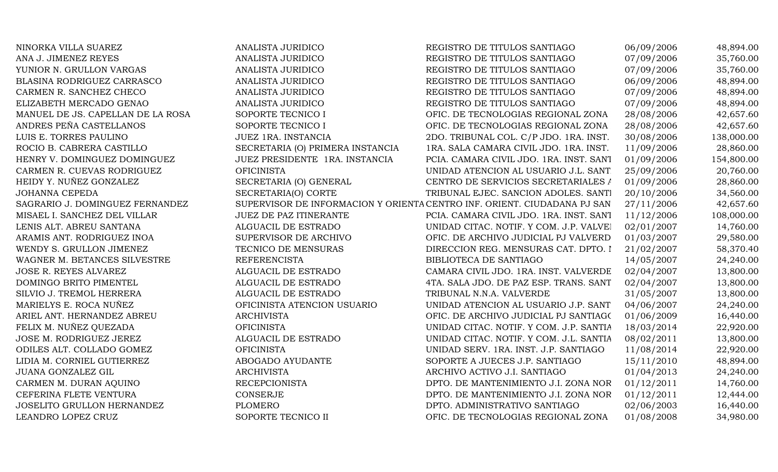| NINORKA VILLA SUAREZ              | <b>ANALISTA JURIDICO</b>         | REGISTRO DE TITULOS SANTIAGO                                             | 06/09/2006 | 48,894.00  |
|-----------------------------------|----------------------------------|--------------------------------------------------------------------------|------------|------------|
| ANA J. JIMENEZ REYES              | ANALISTA JURIDICO                | REGISTRO DE TITULOS SANTIAGO                                             | 07/09/2006 | 35,760.00  |
| YUNIOR N. GRULLON VARGAS          | ANALISTA JURIDICO                | REGISTRO DE TITULOS SANTIAGO                                             | 07/09/2006 | 35,760.00  |
| BLASINA RODRIGUEZ CARRASCO        | ANALISTA JURIDICO                | REGISTRO DE TITULOS SANTIAGO                                             | 06/09/2006 | 48,894.00  |
| CARMEN R. SANCHEZ CHECO           | ANALISTA JURIDICO                | REGISTRO DE TITULOS SANTIAGO                                             | 07/09/2006 | 48,894.00  |
| ELIZABETH MERCADO GENAO           | ANALISTA JURIDICO                | REGISTRO DE TITULOS SANTIAGO                                             | 07/09/2006 | 48,894.00  |
| MANUEL DE JS. CAPELLAN DE LA ROSA | SOPORTE TECNICO I                | OFIC. DE TECNOLOGIAS REGIONAL ZONA                                       | 28/08/2006 | 42,657.60  |
| ANDRES PEÑA CASTELLANOS           | SOPORTE TECNICO I                | OFIC. DE TECNOLOGIAS REGIONAL ZONA                                       | 28/08/2006 | 42,657.60  |
| LUIS E. TORRES PAULINO            | JUEZ 1RA. INSTANCIA              | 2DO. TRIBUNAL COL. C/P JDO. 1RA. INST.                                   | 30/08/2006 | 138,000.00 |
| ROCIO B. CABRERA CASTILLO         | SECRETARIA (O) PRIMERA INSTANCIA | 1RA. SALA CAMARA CIVIL JDO. 1RA. INST.                                   | 11/09/2006 | 28,860.00  |
| HENRY V. DOMINGUEZ DOMINGUEZ      | JUEZ PRESIDENTE 1RA. INSTANCIA   | PCIA. CAMARA CIVIL JDO. 1RA. INST. SANT                                  | 01/09/2006 | 154,800.00 |
| CARMEN R. CUEVAS RODRIGUEZ        | <b>OFICINISTA</b>                | UNIDAD ATENCION AL USUARIO J.L. SANT                                     | 25/09/2006 | 20,760.00  |
| HEIDY Y. NUÑEZ GONZALEZ           | SECRETARIA (O) GENERAL           | CENTRO DE SERVICIOS SECRETARIALES A                                      | 01/09/2006 | 28,860.00  |
| <b>JOHANNA CEPEDA</b>             | SECRETARIA(O) CORTE              | TRIBUNAL EJEC. SANCION ADOLES. SANTI                                     | 20/10/2006 | 34,560.00  |
| SAGRARIO J. DOMINGUEZ FERNANDEZ   |                                  | SUPERVISOR DE INFORMACION Y ORIENTA CENTRO INF. ORIENT. CIUDADANA PJ SAN | 27/11/2006 | 42,657.60  |
| MISAEL I. SANCHEZ DEL VILLAR      | <b>JUEZ DE PAZ ITINERANTE</b>    | PCIA. CAMARA CIVIL JDO. 1RA. INST. SANT                                  | 11/12/2006 | 108,000.00 |
| LENIS ALT. ABREU SANTANA          | ALGUACIL DE ESTRADO              | UNIDAD CITAC. NOTIF. Y COM. J.P. VALVEI                                  | 02/01/2007 | 14,760.00  |
| ARAMIS ANT. RODRIGUEZ INOA        | SUPERVISOR DE ARCHIVO            | OFIC. DE ARCHIVO JUDICIAL PJ VALVERD                                     | 01/03/2007 | 29,580.00  |
| WENDY S. GRULLON JIMENEZ          | TECNICO DE MENSURAS              | DIRECCION REG. MENSURAS CAT. DPTO. I                                     | 21/02/2007 | 58,370.40  |
| WAGNER M. BETANCES SILVESTRE      | <b>REFERENCISTA</b>              | BIBLIOTECA DE SANTIAGO                                                   | 14/05/2007 | 24,240.00  |
| JOSE R. REYES ALVAREZ             | ALGUACIL DE ESTRADO              | CAMARA CIVIL JDO. 1RA. INST. VALVERDE                                    | 02/04/2007 | 13,800.00  |
| DOMINGO BRITO PIMENTEL            | ALGUACIL DE ESTRADO              | 4TA. SALA JDO. DE PAZ ESP. TRANS. SANT                                   | 02/04/2007 | 13,800.00  |
| SILVIO J. TREMOL HERRERA          | ALGUACIL DE ESTRADO              | TRIBUNAL N.N.A. VALVERDE                                                 | 31/05/2007 | 13,800.00  |
| MARIELYS E. ROCA NUÑEZ            | OFICINISTA ATENCION USUARIO      | UNIDAD ATENCION AL USUARIO J.P. SANT                                     | 04/06/2007 | 24,240.00  |
| ARIEL ANT. HERNANDEZ ABREU        | <b>ARCHIVISTA</b>                | OFIC. DE ARCHIVO JUDICIAL PJ SANTIAGO                                    | 01/06/2009 | 16,440.00  |
| FELIX M. NUÑEZ QUEZADA            | <b>OFICINISTA</b>                | UNIDAD CITAC. NOTIF. Y COM. J.P. SANTIA                                  | 18/03/2014 | 22,920.00  |
| JOSE M. RODRIGUEZ JEREZ           | ALGUACIL DE ESTRADO              | UNIDAD CITAC. NOTIF. Y COM. J.L. SANTIA                                  | 08/02/2011 | 13,800.00  |
| ODILES ALT. COLLADO GOMEZ         | <b>OFICINISTA</b>                | UNIDAD SERV. 1RA. INST. J.P. SANTIAGO                                    | 11/08/2014 | 22,920.00  |
| LIDIA M. CORNIEL GUTIERREZ        | ABOGADO AYUDANTE                 | SOPORTE A JUECES J.P. SANTIAGO                                           | 15/11/2010 | 48,894.00  |
| JUANA GONZALEZ GIL                | <b>ARCHIVISTA</b>                | ARCHIVO ACTIVO J.I. SANTIAGO                                             | 01/04/2013 | 24,240.00  |
| CARMEN M. DURAN AQUINO            | <b>RECEPCIONISTA</b>             | DPTO. DE MANTENIMIENTO J.I. ZONA NOR                                     | 01/12/2011 | 14,760.00  |
| CEFERINA FLETE VENTURA            | <b>CONSERJE</b>                  | DPTO. DE MANTENIMIENTO J.I. ZONA NOR                                     | 01/12/2011 | 12,444.00  |
| JOSELITO GRULLON HERNANDEZ        | <b>PLOMERO</b>                   | DPTO. ADMINISTRATIVO SANTIAGO                                            | 02/06/2003 | 16,440.00  |
| LEANDRO LOPEZ CRUZ                | SOPORTE TECNICO II               | OFIC. DE TECNOLOGIAS REGIONAL ZONA                                       | 01/08/2008 | 34,980.00  |
|                                   |                                  |                                                                          |            |            |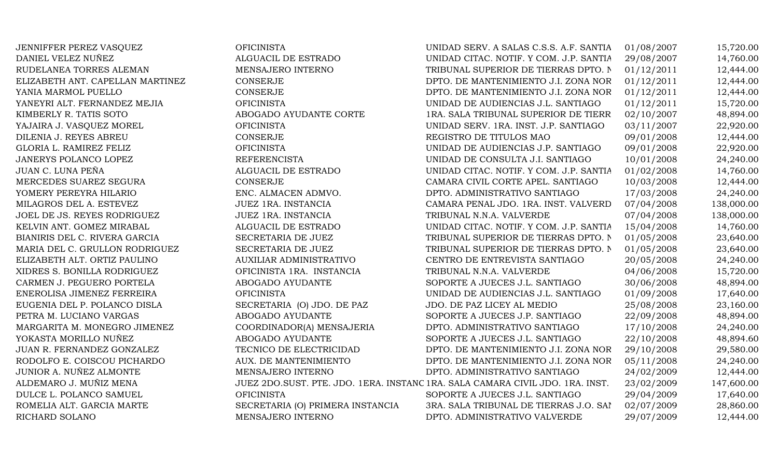JENNIFFER PEREZ VASQUEZ OFICINISTA OFICINISTA UNIDAD SERV. A SALAS C.S.S. A.F. SANTIA 01/08/2007 15,720.00 DANIEL VELEZ NUÑEZ **ALGUACIL DE ESTRADO** UNIDAD CITAC. NOTIF. Y COM. J.P. SANTIA 29/08/2007 14,760.00 RUDELANEA TORRES ALEMAN MENSAJERO INTERNO TRIBUNAL SUPERIOR DE TIERRAS DPTO. NO 1/12/2011 12,444.00 ELIZABETH ANT. CAPELLAN MARTINEZ CONSERJE CONSERJE DPTO. DE MANTENIMIENTO J.I. ZONA NOR 01/12/2011 12,444.00 YANIA MARMOL PUELLO CONSERJE CONSERJE DPTO. DE MANTENIMIENTO J.I. ZONA NOR 01/12/2011 12,444.00 YANEYRI ALT. FERNANDEZ MEJIA  $\qquad \qquad \qquad$  OFICINISTA  $\qquad \qquad \qquad$  UNIDAD DE AUDIENCIAS J.L. SANTIAGO 01/12/2011 15,720.00 KIMBERLY R. TATIS SOTO AND ABOGADO AYUDANTE CORTE 1RA. SALA TRIBUNAL SUPERIOR DE TIERR 02/10/2007 48.894.00 YAJAIRA J. VASQUEZ MOREL **OFICINISTA** OFICINISTA UNIDAD SERV. 1RA. INST. J.P. SANTIAGO 03/11/2007 22,920.00 DILENIA J. REYES ABREU CONSERJE CONSERJE CONSERIE REGISTRO DE TITULOS MAO 09/01/2008 12,444.00 GLORIA L. RAMIREZ FELIZ CHORICINISTA OFICINISTA UNIDAD DE AUDIENCIAS J.P. SANTIAGO 09/01/2008 22,920.00 JANERYS POLANCO LOPEZ REFERENCISTA UNIDAD DE CONSULTA J.I. SANTIAGO 10/01/2008 24,240.00 JUAN C. LUNA PEÑA **ALGUACIL DE ESTRADO** UNIDAD CITAC. NOTIF. Y COM. J.P. SANTIA 01/02/2008 14,760.00 MERCEDES SUAREZ SEGURA CONSERJE CONSERVE CAMARA CIVIL CORTE APEL. SANTIAGO 10/03/2008 12,444.00 YOMERY PEREYRA HILARIO ENC. ALMACEN ADMVO. DPTO. ADMINISTRATIVO SANTIAGO 17/03/2008 24,240.00 MILAGROS DEL A. ESTEVEZ JUEZ 1RA. INSTANCIA CAMARA PENAL JDO. 1RA. INST. VALVERDE 07/04/2008 138,000.00 JOEL DE JS. REYES RODRIGUEZ JUEZ 1RA. INSTANCIA TRIBUNAL N.N.A. VALVERDE 07/04/2008 138,000.00 KELVIN ANT. GOMEZ MIRABAL ALGUACIL DE ESTRADO UNIDAD CITAC. NOTIF. Y COM. J.P. SANTIA 15/04/2008 14,760.00 BIANIRIS DEL C. RIVERA GARCIA SECRETARIA DE JUEZ TRIBUNAL SUPERIOR DE TIERRAS DPTO. NORTEOLO 23,640.00 MARIA DEL C. GRULLON RODRIGUEZ SECRETARIA DE JUEZ TRIBUNAL SUPERIOR DE TIERRAS DPTO. NO $1/05/2008$  23,640.00 ELIZABETH ALT. ORTIZ PAULINO AUXILIAR ADMINISTRATIVO CENTRO DE ENTREVISTA SANTIAGO 20/05/2008 24,240.00 XIDRES S. BONILLA RODRIGUEZ COFICINISTA 1RA. INSTANCIA TRIBUNAL N.N.A. VALVERDE 04/06/2008 15.720.00 CARMEN J. PEGUERO PORTELA ABOGADO AYUDANTE SOPORTE A JUECES J.L. SANTIAGO 30/06/2008 48,894.00 ENEROLISA JIMENEZ FERREIRA OFICINISTA UNIDAD DE AUDIENCIAS J.L. SANTIAGO 01/09/2008 17,640.00 EUGENIA DEL P. POLANCO DISLA SECRETARIA (O) JDO. DE PAZ JDO. DE PAZ LICEY AL MEDIO 25/08/2008 23,160.00 PETRA M. LUCIANO VARGAS ABOGADO AYUDANTE SOPORTE A JUECES J.P. SANTIAGO 22/09/2008 48,894.00 MARGARITA M. MONEGRO JIMENEZ COORDINADOR(A) MENSAJERIA DPTO. ADMINISTRATIVO SANTIAGO 17/10/2008 24,240.00 YOKASTA MORILLO NUÑEZ ABOGADO AYUDANTE SOPORTE A JUECES J.L. SANTIAGO 22/10/2008 48,894.60 JUAN R. FERNANDEZ GONZALEZ TECNICO DE ELECTRICIDAD DPTO. DE MANTENIMIENTO J.I. ZONA NORTE 29/10/2008 29,580.00 RODOLFO E. COISCOU PICHARDO AUX. DE MANTENIMIENTO DPTO. DE MANTENIMIENTO J.I. ZONA NOR 05/11/2008 24.240.00 JUNIOR A. NUÑEZ ALMONTE MENSAJERO INTERNO DPTO. ADMINISTRATIVO SANTIAGO 24/02/2009 12,444.00 ALDEMARO J. MUÑIZ MENA JUEZ 2DO.SUST. PTE. JDO. 1ERA. INSTANC 1RA. SALA CAMARA CIVIL JDO. 1RA. INST. 23/02/2009 147,600.00 DULCE L. POLANCO SAMUEL OFICINISTA SOPORTE A JUECES J.L. SANTIAGO 29/04/2009 17,640.00 ROMELIA ALT. GARCIA MARTE SECRETARIA (O) PRIMERA INSTANCIA 3RA. SALA TRIBUNAL DE TIERRAS J.O. SANTIAGO 02/07/2009 28,860.00 RICHARD SOLANO **RICHARD SOLANO MENSAJERO INTERNO DPTO. ADMINISTRATIVO VALVERDE** 29/07/2009 12,444.00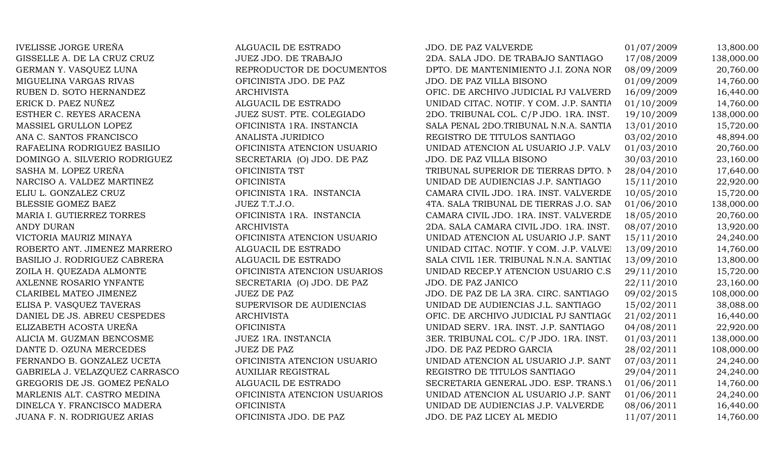IVELISSE JORGE UREÑA ALGUACIL DE ESTRADO JDO. DE PAZ VALVERDE 01/07/2009 13,800.00 GISSELLE A. DE LA CRUZ CRUZ JUEZ JDO. DE TRABAJO 2DA. SALA JDO. DE TRABAJO SANTIAGO 17/08/2009 138,000.00 GERMAN Y. VASQUEZ LUNA REPRODUCTOR DE DOCUMENTOS DPTO. DE MANTENIMIENTO J.I. ZONA NORTE 08/09/2009 20,760.00 MIGUELINA VARGAS RIVAS CHE OFICINISTA JDO. DE PAZ JDO. DE PAZ VILLA BISONO 01/09/2009 14,760.00 RUBEN D. SOTO HERNANDEZ ARCHIVISTA ARCHIVISTA OFIC. DE ARCHIVO JUDICIAL PJ VALVERD 16/09/2009 16,440.00 ERICK D. PAEZ NUÑEZ ALGUACIL DE ESTRADO UNIDAD CITAC. NOTIF. Y COM. J.P. SANTIA 01/10/2009 14,760.00 ESTHER C. REYES ARACENA **19/10/2009** JUEZ SUST. PTE. COLEGIADO 2DO. TRIBUNAL COL. C/P JDO. 1RA. INST. 19/10/2009 138,000.00 MASSIEL GRULLON LOPEZ **OFICINISTA 1RA. INSTANCIA** SALA PENAL 2DO.TRIBUNAL N.N.A. SANTIA 13/01/2010 15,720.00 ANA C. SANTOS FRANCISCO ANALISTA JURIDICO REGISTRO DE TITULOS SANTIAGO 03/02/2010 48,894.00 RAFAELINA RODRIGUEZ BASILIO **OFICINISTA ATENCION USUARIO** UNIDAD ATENCION AL USUARIO J.P. VALV 01/03/2010 20,760.00 DOMINGO A. SILVERIO RODRIGUEZ SECRETARIA (O) JDO. DE PAZ JDO. DE PAZ VILLA BISONO 30/03/2010 23,160.00 SASHA M. LOPEZ UREÑA **OFICINISTA TST OFICINISTA TST** TRIBUNAL SUPERIOR DE TIERRAS DPTO. NORTE28/04/2010 17,640.00 NARCISO A. VALDEZ MARTINEZ CHE CONSTA OFICINISTA DE AUDIENCIAS J.P. SANTIAGO 15/11/2010 22,920.00 ELIU L. GONZALEZ CRUZ CONZALEZ CRUZ OFICINISTA 1RA. INSTANCIA CAMARA CIVIL JDO. 1RA. INST. VALVERDE 10/05/2010 15,720.00 BLESSIE GOMEZ BAEZ JUEZ T.T.J.O. 4TA. SALA TRIBUNAL DE TIERRAS J.O. SAN 01/06/2010 138,000.00 MARIA I. GUTIERREZ TORRES **OFICINISTA 1RA. INSTANCIA** CAMARA CIVIL JDO. 1RA. INST. VALVERDE 18/05/2010 20,760.00 ANDY DURAN ARCHIVISTA ARCHIVISTA 2DA. SALA CAMARA CIVIL JDO. 1RA. INST. 08/07/2010 13,920.00 VICTORIA MAURIZ MINAYA **OFICINISTA ATENCION USUARIO** UNIDAD ATENCION AL USUARIO J.P. SANT 15/11/2010 24.240.00 ROBERTO ANT. JIMENEZ MARRERO ALGUACIL DE ESTRADO UNIDAD CITAC. NOTIF. Y COM. J.P. VALVE 13/09/2010 14,760.00 BASILIO J. RODRIGUEZ CABRERA ALGUACIL DE ESTRADO SALA CIVIL 1ER. TRIBUNAL N.N.A. SANTIAC 13/09/2010 13,800.00 ZOILA H. QUEZADA ALMONTE *OFICINISTA ATENCION USUARIOS* UNIDAD RECEP.Y ATENCION USUARIO C.S 29/11/2010 15,720.00 AXLENNE ROSARIO YNFANTE SECRETARIA (O) JDO. DE PAZ JUDO. DE PAZ JANICO 22/11/2010 23,160.00 CLARIBEL MATEO JIMENEZ JUEZ DE PAZ JUEZ DE PAZ JUEZ OU PAZ DE PAZ DE LA 3RA. CIRC. SANTIAGO 09/02/2015 108,000.00 ELISA P. VASQUEZ TAVERAS SUPERVISOR DE AUDIENCIAS UNIDAD DE AUDIENCIAS J.L. SANTIAGO 15/02/2011 38,088.00 DANIEL DE JS. ABREU CESPEDES ARCHIVISTA ARCHIVISTA OFIC. DE ARCHIVO JUDICIAL PJ SANTIAGO 21/02/2011 16,440.00 ELIZABETH ACOSTA UREÑA **OFICINISTA** OFICINISTA UNIDAD SERV. 1RA. INST. J.P. SANTIAGO 04/08/2011 22,920.00 ALICIA M. GUZMAN BENCOSME JUEZ 1RA. INSTANCIA 3ER. TRIBUNAL COL. C/P JDO. 1RA. INST. 01/03/2011 138,000.00 DANTE D. OZUNA MERCEDES JUEZ DE PAZ JUEZ DE PAZ SANTE DO DE PAZ PEDRO GARCIA 28/02/2011 108,000.00 FERNANDO B. GONZALEZ UCETA OFICINISTA ATENCION USUARIO UNIDAD ATENCION AL USUARIO J.P. SANT 07/03/2011 24.240.00 GABRIELA J. VELAZQUEZ CARRASCO AUXILIAR REGISTRAL REGISTRO DE TITULOS SANTIAGO 29/04/2011 24,240.00 GREGORIS DE JS. GOMEZ PEÑALO ALGUACIL DE ESTRADO SECRETARIA GENERAL JDO. ESP. TRANS.Y 01/06/2011 14,760.00 MARLENIS ALT. CASTRO MEDINA **OFICINISTA ATENCION USUARIOS** UNIDAD ATENCION AL USUARIO J.P. SANT 01/06/2011 24.240.00 DINELCA Y. FRANCISCO MADERA **OFICINISTA** OFICINISTA UNIDAD DE AUDIENCIAS J.P. VALVERDE 08/06/2011 16,440.00 JUANA F. N. RODRIGUEZ ARIAS OFICINISTA JDO. DE PAZ JDO. DE PAZ LICEY AL MEDIO 11/07/2011 14,760.00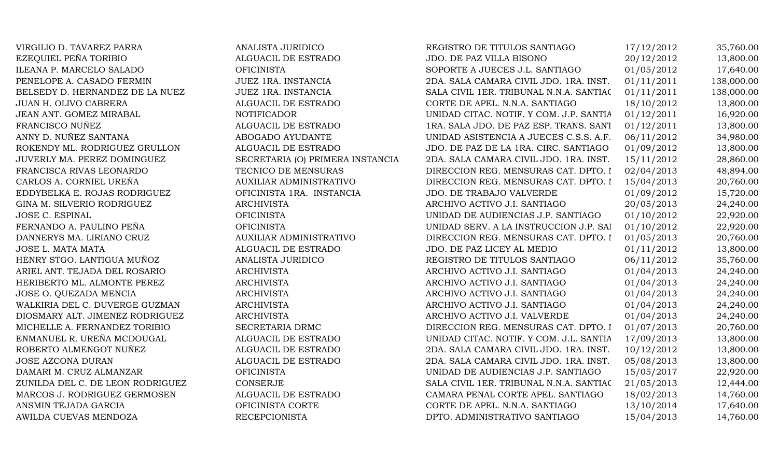| VIRGILIO D. TAVAREZ PARRA        | ANALISTA JURIDICO                | REGISTRO DE TITULOS SANTIAGO            | 17/12/2012 | 35,760.00  |
|----------------------------------|----------------------------------|-----------------------------------------|------------|------------|
| EZEQUIEL PEÑA TORIBIO            | ALGUACIL DE ESTRADO              | JDO. DE PAZ VILLA BISONO                | 20/12/2012 | 13,800.00  |
| ILEANA P. MARCELO SALADO         | <b>OFICINISTA</b>                | SOPORTE A JUECES J.L. SANTIAGO          | 01/05/2012 | 17,640.00  |
| PENELOPE A. CASADO FERMIN        | JUEZ 1RA. INSTANCIA              | 2DA. SALA CAMARA CIVIL JDO. 1RA. INST.  | 01/11/2011 | 138,000.00 |
| BELSEDY D. HERNANDEZ DE LA NUEZ  | JUEZ 1RA. INSTANCIA              | SALA CIVIL 1ER. TRIBUNAL N.N.A. SANTIAC | 01/11/2011 | 138,000.00 |
| JUAN H. OLIVO CABRERA            | ALGUACIL DE ESTRADO              | CORTE DE APEL. N.N.A. SANTIAGO          | 18/10/2012 | 13,800.00  |
| JEAN ANT. GOMEZ MIRABAL          | <b>NOTIFICADOR</b>               | UNIDAD CITAC. NOTIF. Y COM. J.P. SANTIA | 01/12/2011 | 16,920.00  |
| FRANCISCO NUÑEZ                  | ALGUACIL DE ESTRADO              | 1RA. SALA JDO. DE PAZ ESP. TRANS. SANT  | 01/12/2011 | 13,800.00  |
| ANNY D. NUÑEZ SANTANA            | ABOGADO AYUDANTE                 | UNIDAD ASISTENCIA A JUECES C.S.S. A.F.  | 06/11/2012 | 34,980.00  |
| ROKENDY ML. RODRIGUEZ GRULLON    | ALGUACIL DE ESTRADO              | JDO. DE PAZ DE LA 1RA. CIRC. SANTIAGO   | 01/09/2012 | 13,800.00  |
| JUVERLY MA. PEREZ DOMINGUEZ      | SECRETARIA (O) PRIMERA INSTANCIA | 2DA. SALA CAMARA CIVIL JDO. 1RA. INST.  | 15/11/2012 | 28,860.00  |
| FRANCISCA RIVAS LEONARDO         | TECNICO DE MENSURAS              | DIRECCION REG. MENSURAS CAT. DPTO. I    | 02/04/2013 | 48,894.00  |
| CARLOS A. CORNIEL UREÑA          | AUXILIAR ADMINISTRATIVO          | DIRECCION REG. MENSURAS CAT. DPTO. I    | 15/04/2013 | 20,760.00  |
| EDDYBELKA E. ROJAS RODRIGUEZ     | OFICINISTA 1RA. INSTANCIA        | JDO. DE TRABAJO VALVERDE                | 01/09/2012 | 15,720.00  |
| GINA M. SILVERIO RODRIGUEZ       | <b>ARCHIVISTA</b>                | ARCHIVO ACTIVO J.I. SANTIAGO            | 20/05/2013 | 24,240.00  |
| JOSE C. ESPINAL                  | <b>OFICINISTA</b>                | UNIDAD DE AUDIENCIAS J.P. SANTIAGO      | 01/10/2012 | 22,920.00  |
| FERNANDO A. PAULINO PEÑA         | <b>OFICINISTA</b>                | UNIDAD SERV. A LA INSTRUCCION J.P. SAI  | 01/10/2012 | 22,920.00  |
| DANNERYS MA. LIRIANO CRUZ        | <b>AUXILIAR ADMINISTRATIVO</b>   | DIRECCION REG. MENSURAS CAT. DPTO. I    | 01/05/2013 | 20,760.00  |
| JOSE L. MATA MATA                | ALGUACIL DE ESTRADO              | JDO. DE PAZ LICEY AL MEDIO              | 01/11/2012 | 13,800.00  |
| HENRY STGO. LANTIGUA MUÑOZ       | ANALISTA JURIDICO                | REGISTRO DE TITULOS SANTIAGO            | 06/11/2012 | 35,760.00  |
| ARIEL ANT. TEJADA DEL ROSARIO    | <b>ARCHIVISTA</b>                | ARCHIVO ACTIVO J.I. SANTIAGO            | 01/04/2013 | 24,240.00  |
| HERIBERTO ML. ALMONTE PEREZ      | <b>ARCHIVISTA</b>                | ARCHIVO ACTIVO J.I. SANTIAGO            | 01/04/2013 | 24,240.00  |
| JOSE O. QUEZADA MENCIA           | <b>ARCHIVISTA</b>                | ARCHIVO ACTIVO J.I. SANTIAGO            | 01/04/2013 | 24,240.00  |
| WALKIRIA DEL C. DUVERGE GUZMAN   | <b>ARCHIVISTA</b>                | ARCHIVO ACTIVO J.I. SANTIAGO            | 01/04/2013 | 24,240.00  |
| DIOSMARY ALT. JIMENEZ RODRIGUEZ  | <b>ARCHIVISTA</b>                | ARCHIVO ACTIVO J.I. VALVERDE            | 01/04/2013 | 24,240.00  |
| MICHELLE A. FERNANDEZ TORIBIO    | SECRETARIA DRMC                  | DIRECCION REG. MENSURAS CAT. DPTO. I    | 01/07/2013 | 20,760.00  |
| ENMANUEL R. UREÑA MCDOUGAL       | ALGUACIL DE ESTRADO              | UNIDAD CITAC. NOTIF. Y COM. J.L. SANTIA | 17/09/2013 | 13,800.00  |
| ROBERTO ALMENGOT NUÑEZ           | ALGUACIL DE ESTRADO              | 2DA. SALA CAMARA CIVIL JDO. 1RA. INST.  | 10/12/2012 | 13,800.00  |
| <b>JOSE AZCONA DURAN</b>         | ALGUACIL DE ESTRADO              | 2DA. SALA CAMARA CIVIL JDO. 1RA. INST.  | 05/08/2013 | 13,800.00  |
| DAMARI M. CRUZ ALMANZAR          | <b>OFICINISTA</b>                | UNIDAD DE AUDIENCIAS J.P. SANTIAGO      | 15/05/2017 | 22,920.00  |
| ZUNILDA DEL C. DE LEON RODRIGUEZ | <b>CONSERJE</b>                  | SALA CIVIL 1ER. TRIBUNAL N.N.A. SANTIAC | 21/05/2013 | 12,444.00  |
| MARCOS J. RODRIGUEZ GERMOSEN     | ALGUACIL DE ESTRADO              | CAMARA PENAL CORTE APEL. SANTIAGO       | 18/02/2013 | 14,760.00  |
| ANSMIN TEJADA GARCIA             | OFICINISTA CORTE                 | CORTE DE APEL. N.N.A. SANTIAGO          | 13/10/2014 | 17,640.00  |
| AWILDA CUEVAS MENDOZA            | <b>RECEPCIONISTA</b>             | DPTO. ADMINISTRATIVO SANTIAGO           | 15/04/2013 | 14,760.00  |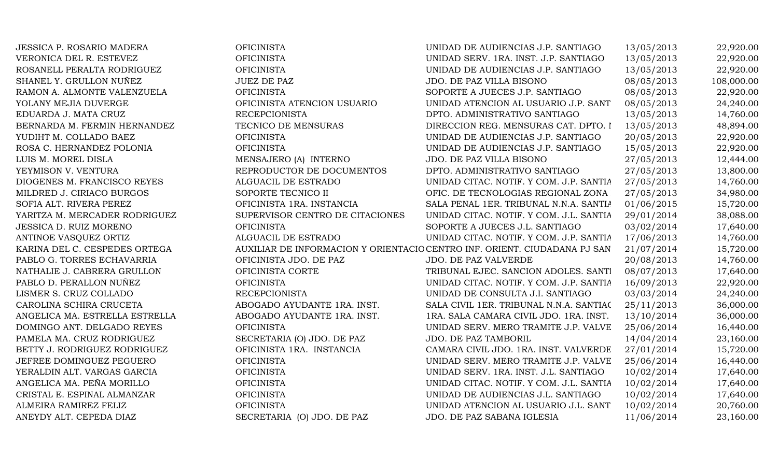| <b>JESSICA P. ROSARIO MADERA</b> | <b>OFICINISTA</b>               | UNIDAD DE AUDIENCIAS J.P. SANTIAGO                                        | 13/05/2013 | 22,920.00  |
|----------------------------------|---------------------------------|---------------------------------------------------------------------------|------------|------------|
| VERONICA DEL R. ESTEVEZ          | <b>OFICINISTA</b>               | UNIDAD SERV. 1RA. INST. J.P. SANTIAGO                                     | 13/05/2013 | 22,920.00  |
| ROSANELL PERALTA RODRIGUEZ       | <b>OFICINISTA</b>               | UNIDAD DE AUDIENCIAS J.P. SANTIAGO                                        | 13/05/2013 | 22,920.00  |
| SHANEL Y. GRULLON NUÑEZ          | <b>JUEZ DE PAZ</b>              | JDO. DE PAZ VILLA BISONO                                                  | 08/05/2013 | 108,000.00 |
| RAMON A. ALMONTE VALENZUELA      | <b>OFICINISTA</b>               | SOPORTE A JUECES J.P. SANTIAGO                                            | 08/05/2013 | 22,920.00  |
| YOLANY MEJIA DUVERGE             | OFICINISTA ATENCION USUARIO     | UNIDAD ATENCION AL USUARIO J.P. SANT                                      | 08/05/2013 | 24,240.00  |
| EDUARDA J. MATA CRUZ             | <b>RECEPCIONISTA</b>            | DPTO. ADMINISTRATIVO SANTIAGO                                             | 13/05/2013 | 14,760.00  |
| BERNARDA M. FERMIN HERNANDEZ     | TECNICO DE MENSURAS             | DIRECCION REG. MENSURAS CAT. DPTO. I                                      | 13/05/2013 | 48,894.00  |
| YUDIHT M. COLLADO BAEZ           | <b>OFICINISTA</b>               | UNIDAD DE AUDIENCIAS J.P. SANTIAGO                                        | 20/05/2013 | 22,920.00  |
| ROSA C. HERNANDEZ POLONIA        | <b>OFICINISTA</b>               | UNIDAD DE AUDIENCIAS J.P. SANTIAGO                                        | 15/05/2013 | 22,920.00  |
| LUIS M. MOREL DISLA              | MENSAJERO (A) INTERNO           | JDO. DE PAZ VILLA BISONO                                                  | 27/05/2013 | 12,444.00  |
| YEYMISON V. VENTURA              | REPRODUCTOR DE DOCUMENTOS       | DPTO. ADMINISTRATIVO SANTIAGO                                             | 27/05/2013 | 13,800.00  |
| DIOGENES M. FRANCISCO REYES      | ALGUACIL DE ESTRADO             | UNIDAD CITAC. NOTIF. Y COM. J.P. SANTIA                                   | 27/05/2013 | 14,760.00  |
| MILDRED J. CIRIACO BURGOS        | SOPORTE TECNICO II              | OFIC. DE TECNOLOGIAS REGIONAL ZONA                                        | 27/05/2013 | 34,980.00  |
| SOFIA ALT. RIVERA PEREZ          | OFICINISTA 1RA. INSTANCIA       | SALA PENAL 1ER. TRIBUNAL N.N.A. SANTIA                                    | 01/06/2015 | 15,720.00  |
| YARITZA M. MERCADER RODRIGUEZ    | SUPERVISOR CENTRO DE CITACIONES | UNIDAD CITAC. NOTIF. Y COM. J.L. SANTIA                                   | 29/01/2014 | 38,088.00  |
| JESSICA D. RUIZ MORENO           | <b>OFICINISTA</b>               | SOPORTE A JUECES J.L. SANTIAGO                                            | 03/02/2014 | 17,640.00  |
| ANTINOE VASQUEZ ORTIZ            | ALGUACIL DE ESTRADO             | UNIDAD CITAC. NOTIF. Y COM. J.P. SANTIA                                   | 17/06/2013 | 14,760.00  |
| KARINA DEL C. CESPEDES ORTEGA    |                                 | AUXILIAR DE INFORMACION Y ORIENTACIO CENTRO INF. ORIENT. CIUDADANA PJ SAN | 21/07/2014 | 15,720.00  |
| PABLO G. TORRES ECHAVARRIA       | OFICINISTA JDO. DE PAZ          | JDO. DE PAZ VALVERDE                                                      | 20/08/2013 | 14,760.00  |
| NATHALIE J. CABRERA GRULLON      | OFICINISTA CORTE                | TRIBUNAL EJEC. SANCION ADOLES. SANTI                                      | 08/07/2013 | 17,640.00  |
| PABLO D. PERALLON NUÑEZ          | <b>OFICINISTA</b>               | UNIDAD CITAC. NOTIF. Y COM. J.P. SANTIA                                   | 16/09/2013 | 22,920.00  |
| LISMER S. CRUZ COLLADO           | <b>RECEPCIONISTA</b>            | UNIDAD DE CONSULTA J.I. SANTIAGO                                          | 03/03/2014 | 24,240.00  |
| CAROLINA SCHIRA CRUCETA          | ABOGADO AYUDANTE 1RA. INST.     | SALA CIVIL 1ER. TRIBUNAL N.N.A. SANTIAC                                   | 25/11/2013 | 36,000.00  |
| ANGELICA MA. ESTRELLA ESTRELLA   | ABOGADO AYUDANTE 1RA. INST.     | 1RA. SALA CAMARA CIVIL JDO. 1RA. INST.                                    | 13/10/2014 | 36,000.00  |
| DOMINGO ANT. DELGADO REYES       | <b>OFICINISTA</b>               | UNIDAD SERV. MERO TRAMITE J.P. VALVE                                      | 25/06/2014 | 16,440.00  |
| PAMELA MA. CRUZ RODRIGUEZ        | SECRETARIA (O) JDO. DE PAZ      | JDO. DE PAZ TAMBORIL                                                      | 14/04/2014 | 23,160.00  |
| BETTY J. RODRIGUEZ RODRIGUEZ     | OFICINISTA 1RA. INSTANCIA       | CAMARA CIVIL JDO. 1RA. INST. VALVERDE                                     | 27/01/2014 | 15,720.00  |
| JEFREE DOMINGUEZ PEGUERO         | <b>OFICINISTA</b>               | UNIDAD SERV. MERO TRAMITE J.P. VALVE                                      | 25/06/2014 | 16,440.00  |
| YERALDIN ALT. VARGAS GARCIA      | <b>OFICINISTA</b>               | UNIDAD SERV. 1RA. INST. J.L. SANTIAGO                                     | 10/02/2014 | 17,640.00  |
| ANGELICA MA. PEÑA MORILLO        | <b>OFICINISTA</b>               | UNIDAD CITAC. NOTIF. Y COM. J.L. SANTIA                                   | 10/02/2014 | 17,640.00  |
| CRISTAL E. ESPINAL ALMANZAR      | <b>OFICINISTA</b>               | UNIDAD DE AUDIENCIAS J.L. SANTIAGO                                        | 10/02/2014 | 17,640.00  |
| ALMEIRA RAMIREZ FELIZ            | <b>OFICINISTA</b>               | UNIDAD ATENCION AL USUARIO J.L. SANT                                      | 10/02/2014 | 20,760.00  |
| ANEYDY ALT. CEPEDA DIAZ          | SECRETARIA (O) JDO. DE PAZ      | JDO. DE PAZ SABANA IGLESIA                                                | 11/06/2014 | 23,160.00  |
|                                  |                                 |                                                                           |            |            |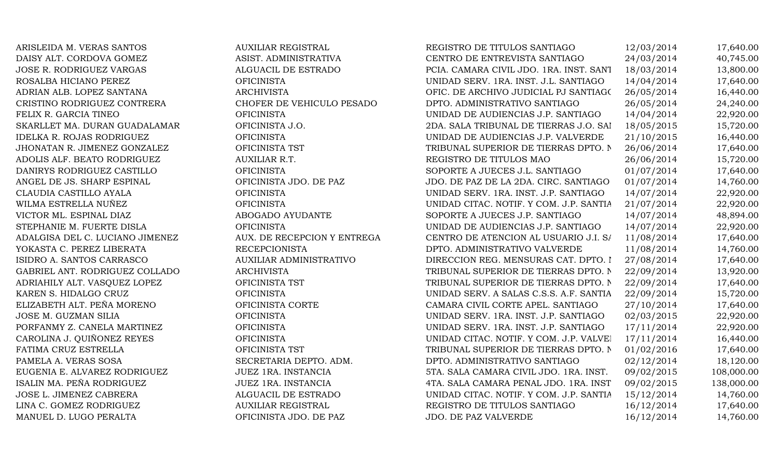ARISLEIDA M. VERAS SANTOS AUXILIAR REGISTRAL REGISTRO DE TITULOS SANTIAGO AUXILIAR PEGISTRO DE TITULOS SANTIAGO DAISY ALT. CORDOVA GOMEZ **ASIST. ADMINISTRATIVA** CENTRO DE ENTREVISTA SANTIAGO 24/03/2014 40,745.00 JOSE R. RODRIGUEZ VARGAS ALGUACIL DE ESTRADO PCIA. CAMARA CIVIL JDO. 1RA. INST. SANTIAGO18/03/2014 13,800.00 ROSALBA HICIANO PEREZ CHE CHICINISTA CHE CHICINISTA DE UNIDAD SERV. 1RA. INST. J.L. SANTIAGO 14/04/2014 17,640.00 ADRIAN ALB. LOPEZ SANTANA  $\blacksquare$  ARCHIVISTA  $\blacksquare$  OFIC. DE ARCHIVO JUDICIAL PJ SANTIAG( 26/05/2014 16,440.00 CRISTINO RODRIGUEZ CONTRERA CHOFER DE VEHICULO PESADO DPTO. ADMINISTRATIVO SANTIAGO 26/05/2014 24,240.00 FELIX R. GARCIA TINEO OFICINISTA UNIDAD DE AUDIENCIAS J.P. SANTIAGO 14/04/2014 22,920.00 SKARLLET MA. DURAN GUADALAMAR OFICINISTA J.O. 2DA. SALA TRIBUNAL DE TIERRAS J.O. SAI 18/05/2015 15,720.00 IDELKA R. ROJAS RODRIGUEZ OFICINISTA OFICINISTA UNIDAD DE AUDIENCIAS J.P. VALVERDE 21/10/2015 16,440.00 JHONATAN R. JIMENEZ GONZALEZ OFICINISTA TST TRIBUNAL SUPERIOR DE TIERRAS DPTO. NORT 26/06/2014 17,640.00 ADOLIS ALF. BEATO RODRIGUEZ AUXILIAR R.T. AUXILIAR R.T. REGISTRO DE TITULOS MAO 26/06/2014 15,720.00 DANIRYS RODRIGUEZ CASTILLO **OFICINISTA** OFICINISTA SOPORTE A JUECES J.L. SANTIAGO 01/07/2014 17,640.00 ANGEL DE JS. SHARP ESPINAL **OFICINISTA JDO. DE PAZ** JDO. DE PAZ DE LA 2DA. CIRC. SANTIAGO 01/07/2014 14,760.00 CLAUDIA CASTILLO AYALA OFICINISTA UNIDAD SERV. 1RA. INST. J.P. SANTIAGO 14/07/2014 22,920.00 WILMA ESTRELLA NUÑEZ CHICINISTA OFICINISTA UNIDAD CITAC. NOTIF. Y COM. J.P. SANTIA 21/07/2014 22,920.00 VICTOR ML. ESPINAL DIAZ ABOGADO AYUDANTE SOPORTE A JUECES J.P. SANTIAGO 14/07/2014 48,894.00 STEPHANIE M. FUERTE DISLA **OFICINISTA** OFICINISTA UNIDAD DE AUDIENCIAS J.P. SANTIAGO 14/07/2014 22,920.00 ADALGISA DEL C. LUCIANO JIMENEZ AUX. DE RECEPCION Y ENTREGA CENTRO DE ATENCION AL USUARIO J.I. S/ 11/08/2014 17,640.00 YOKASTA C. PEREZ LIBERATA RECEPCIONISTA DPTO. ADMINISTRATIVO VALVERDE 11/08/2014 14,760.00 ISIDRO A. SANTOS CARRASCO AUXILIAR ADMINISTRATIVO DIRECCION REG. MENSURAS CAT. DPTO. I 27/08/2014 17,640.00 GABRIEL ANT. RODRIGUEZ COLLADO ARCHIVISTA ARCHIVISTA TRIBUNAL SUPERIOR DE TIERRAS DPTO. NO. 22/09/2014 13,920.00 ADRIAHILY ALT. VASQUEZ LOPEZ **OFICINISTA TST** TRIBUNAL SUPERIOR DE TIERRAS DPTO. NO. 22/09/2014 17,640.00 KAREN S. HIDALGO CRUZ CHENISTA OFICINISTA OFICINISTA UNIDAD SERV. A SALAS C.S.S. A.F. SANTIA 22/09/2014 15,720.00 ELIZABETH ALT. PEÑA MORENO **OFICINISTA CORTE** CAMARA CIVIL CORTE APEL. SANTIAGO 27/10/2014 17,640.00 JOSE M. GUZMAN SILIA **OFICINISTA** OFICINISTA UNIDAD SERV. 1RA. INST. J.P. SANTIAGO 02/03/2015 22,920.00 PORFANMY Z. CANELA MARTINEZ **OFICINISTA** OFICINISTA UNIDAD SERV. 1RA. INST. J.P. SANTIAGO 17/11/2014 22,920.00 CAROLINA J. QUIÑONEZ REYES OFICINISTA OFICINISTA UNIDAD CITAC. NOTIF. Y COM. J.P. VALVEI 17/11/2014 16,440.00 FATIMA CRUZ ESTRELLA **EXECUCIÓN DE SEGUILISTA TST** TRIBUNAL SUPERIOR DE TIERRAS DPTO. NO 1/02/2016 17,640.00 PAMELA A. VERAS SOSA SECRETARIA DEPTO. ADM. DPTO. ADMINISTRATIVO SANTIAGO 02/12/2014 18,120.00 EUGENIA E. ALVAREZ RODRIGUEZ JUEZ 1RA. INSTANCIA 5TA. SALA CAMARA CIVIL JDO. 1RA. INST. 09/02/2015 108,000.00 ISALIN MA. PEÑA RODRIGUEZ JUEZ 1RA. INSTANCIA 4TA. SALA CAMARA PENAL JDO. 1RA. INST. 09/02/2015 138,000.00 JOSE L. JIMENEZ CABRERA ALGUACIL DE ESTRADO UNIDAD CITAC. NOTIF. Y COM. J.P. SANTIA 15/12/2014 14,760.00 LINA C. GOMEZ RODRIGUEZ AUXILIAR REGISTRAL REGISTRO DE TITULOS SANTIAGO 16/12/2014 17,640.00 MANUEL D. LUGO PERALTA CHICINISTA JDO. DE PAZ JDO. DE PAZ VALVERDE 16/12/2014 14,760.00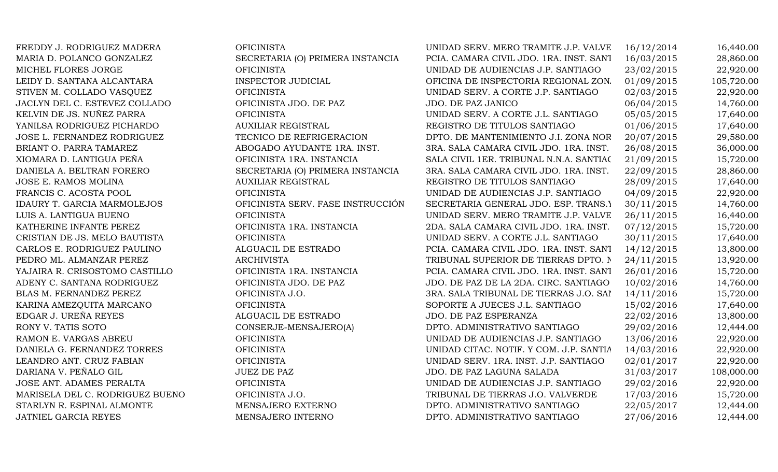FREDDY J. RODRIGUEZ MADERA **OFICINISTA** OFICINISTA UNIDAD SERV. MERO TRAMITE J.P. VALVE 16/12/2014 16,440.00 MARIA D. POLANCO GONZALEZ SECRETARIA (O) PRIMERA INSTANCIA PCIA. CAMARA CIVIL JDO. 1RA. INST. SANT 16/03/2015 28,860.00 MICHEL FLORES JORGE OFICINISTA UNIDAD DE AUDIENCIAS J.P. SANTIAGO 23/02/2015 22,920.00 LEIDY D. SANTANA ALCANTARA **INSPECTOR JUDICIAL** OFICINA DE INSPECTORIA REGIONAL ZON. 01/09/2015 105.720.00 STIVEN M. COLLADO VASQUEZ CORTE OFICINISTA CORTE OF CORTE J.P. SANTIAGO 02/03/2015 22,920.00 JACLYN DEL C. ESTEVEZ COLLADO **OFICINISTA JDO. DE PAZ** JDO. DE PAZ JANICO 06/04/2015 14,760.00 KELVIN DE JS. NUÑEZ PARRA CORTE OFICINISTA OFICINISTA DINIDAD SERV. A CORTE J.L. SANTIAGO 05/05/2015 17,640.00 YANILSA RODRIGUEZ PICHARDO AUXILIAR REGISTRAL REGISTRO DE TITULOS SANTIAGO 01/06/2015 17,640.00 JOSE L. FERNANDEZ RODRIGUEZ TECNICO DE REFRIGERACION DPTO. DE MANTENIMIENTO J.I. ZONA NOR 20/07/2015 29,580.00 BRIANT O. PARRA TAMAREZ ABOGADO AYUDANTE 1RA. INST. 3RA. SALA CAMARA CIVIL JDO. 1RA. INST. 26/08/2015 36,000.00 XIOMARA D. LANTIGUA PEÑA **OFICINISTA 1RA. INSTANCIA** SALA CIVIL 1ER. TRIBUNAL N.N.A. SANTIAC 21/09/2015 15,720.00 DANIELA A. BELTRAN FORERO SECRETARIA (O) PRIMERA INSTANCIA 3RA. SALA CAMARA CIVIL JDO. 1RA. INST. 22/09/2015 28,860.00 JOSE E. RAMOS MOLINA AUXILIAR REGISTRAL REGISTRO DE TITULOS SANTIAGO 28/09/2015 17,640.00 FRANCIS C. ACOSTA POOL **OFICINISTA** OFICINISTA UNIDAD DE AUDIENCIAS J.P. SANTIAGO 04/09/2015 22,920.00 IDAURY T. GARCIA MARMOLEJOS **OFICINISTA SERV. FASE INSTRUCCIÓN** SECRETARIA GENERAL JDO. ESP. TRANS.Y 30/11/2015 14,760.00 LUIS A. LANTIGUA BUENO **OFICINISTA** OFICINISTA UNIDAD SERV. MERO TRAMITE J.P. VALVE 26/11/2015 16,440.00 KATHERINE INFANTE PEREZ **OFICINISTA 1RA. INSTANCIA** 2DA. SALA CAMARA CIVIL JDO. 1RA. INST. 07/12/2015 15,720.00 CRISTIAN DE JS. MELO BAUTISTA OFICINISTA UNIDAD SERV. A CORTE J.L. SANTIAGO 30/11/2015 17,640.00 CARLOS E. RODRIGUEZ PAULINO ALGUACIL DE ESTRADO PCIA. CAMARA CIVIL JDO. 1RA. INST. SANT 14/12/2015 13,800.00 PEDRO ML. ALMANZAR PEREZ ARCHIVISTA ARCHIVISTA TRIBUNAL SUPERIOR DE TIERRAS DPTO. NO. 24/11/2015 13,920.00 YAJAIRA R. CRISOSTOMO CASTILLO **OFICINISTA 1RA. INSTANCIA** PCIA. CAMARA CIVIL JDO. 1RA. INST. SANT 26/01/2016 15,720.00 ADENY C. SANTANA RODRIGUEZ OFICINISTA JDO. DE PAZ JDO. DE PAZ DE LA 2DA. CIRC. SANTIAGO 10/02/2016 14,760.00 BLAS M. FERNANDEZ PEREZ **OFICINISTA J.O.** 3RA. SALA TRIBUNAL DE TIERRAS J.O. SANTIAGO 15,720.00 KARINA AMEZOUITA MARCANO CHE OFICINISTA CHE SOPORTE A JUECES J.L. SANTIAGO 15/02/2016 17,640.00 EDGAR J. UREÑA REYES ALGUACIL DE ESTRADO JDO. DE PAZ ESPERANZA 22/02/2016 13,800.00 RONY V. TATIS SOTO CONSERJE-MENSAJERO(A) DPTO. ADMINISTRATIVO SANTIAGO 29/02/2016 12,444.00 RAMON E. VARGAS ABREU CFICINISTA OFICINISTA UNIDAD DE AUDIENCIAS J.P. SANTIAGO 13/06/2016 22,920.00 DANIELA G. FERNANDEZ TORRES OFICINISTA OFICINISTA UNIDAD CITAC. NOTIF. Y COM. J.P. SANTIA 14/03/2016 22,920.00 LEANDRO ANT. CRUZ FABIAN **OFICINISTA** OFICINISTA UNIDAD SERV. 1RA. INST. J.P. SANTIAGO 02/01/2017 22,920.00 DARIANA V. PEÑALO GIL JUEZ DE PAZ JUEZ DE PAZ VIO. DE PAZ LAGUNA SALADA 31/03/2017 108,000.00 JOSE ANT. ADAMES PERALTA OFICINISTA UNIDAD DE AUDIENCIAS J.P. SANTIAGO 29/02/2016 22,920.00 MARISELA DEL C. RODRIGUEZ BUENO OFICINISTA J.O. TRIBUNAL DE TIERRAS J.O. VALVERDE 17/03/2016 15,720.00 STARLYN R. ESPINAL ALMONTE MENSAJERO EXTERNO DPTO. ADMINISTRATIVO SANTIAGO 22/05/2017 12,444.00 JATNIEL GARCIA REYES MENSAJERO INTERNO DPTO. ADMINISTRATIVO SANTIAGO 27/06/2016 12,444.00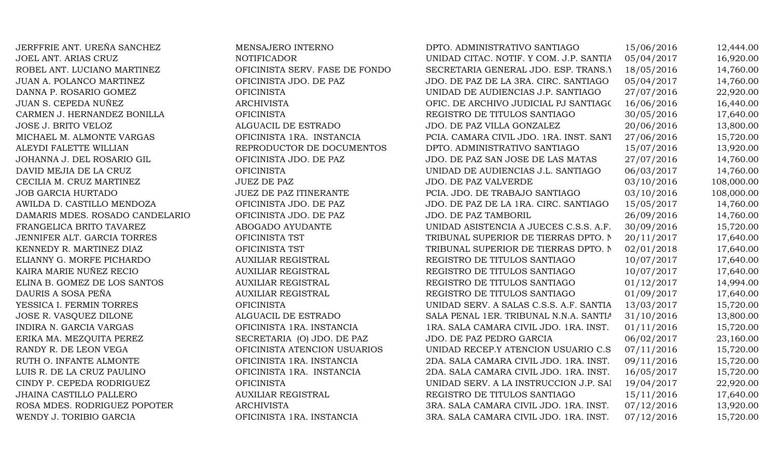JERFFRIE ANT. UREÑA SANCHEZ MENSAJERO INTERNO JOEL ANT. ARIAS CRUZ NOTIFICADOR ROBEL ANT. LUCIANO MARTINEZ OFICINISTA SERV. FASE DE FONDO JUAN A. POLANCO MARTINEZ OFICINISTA JDO. DE PAZ DANNA P. ROSARIO GOMEZ OFICINISTA JUAN S. CEPEDA NUÑEZ ARCHIVISTA CARMEN J. HERNANDEZ BONILLA OFICINISTA JOSE J. BRITO VELOZ ALGUACIL DE ESTRADO MICHAEL M. ALMONTE VARGAS OFICINISTA 1RA. INSTANCIA ALEYDI FALETTE WILLIAN REPRODUCTOR DE DOCUMENTOS JOHANNA J. DEL ROSARIO GIL OFICINISTA JDO. DE PAZ DAVID MEJIA DE LA CRUZ OFICINISTA CECILIA M. CRUZ MARTINEZ JUEZ DE PAZ JOB GARCIA HURTADO JUEZ DE PAZ ITINERANTE AWILDA D. CASTILLO MENDOZA OFICINISTA JDO. DE PAZ DAMARIS MDES. ROSADO CANDELARIO OFICINISTA JDO. DE PAZ FRANGELICA BRITO TAVAREZ ABOGADO AYUDANTE JENNIFER ALT. GARCIA TORRES OFICINISTA TST KENNEDY R. MARTINEZ DIAZ OFICINISTA TST ELIANNY G. MORFE PICHARDO AUXILIAR REGISTRAL KAIRA MARIE NUÑEZ RECIO AUXILIAR REGISTRAL ELINA B. GOMEZ DE LOS SANTOS  $\overline{A}$ UXILIAR REGISTRAL DAURIS A SOSA PEÑA AUXILIAR REGISTRAL REGISTRAL REGISTRAL REGISTRAL REGISTRAL DE TITULOS SANTIAGO O 1 YESSICA I. FERMIN TORRES OFICINISTA JOSE R. VASQUEZ DILONE ALGUACIL DE ESTRADO INDIRA N. GARCIA VARGAS OFICINISTA 1RA. INSTANCIA ERIKA MA. MEZQUITA PEREZ SECRETARIA (O) JDO. DE PAZ RANDY R. DE LEON VEGA OFICINISTA ATENCION USUARIOS RUTH O. INFANTE ALMONTE **OFICINISTA 1RA. INSTANCIA** LUIS R. DE LA CRUZ PAULINO **OFICINISTA 1RA. INSTANCIA** CINDY P. CEPEDA RODRIGUEZ OFICINISTA JHAINA CASTILLO PALLERO **AUXILIAR REGISTRAL** ROSA MDES. RODRIGUEZ POPOTER ARCHIVISTA WENDY J. TORIBIO GARCIA OFICINISTA 1RA. INSTANCIA

| DPTO. ADMINISTRATIVO SANTIAGO           | 15/06/2016 | 12,444.00  |
|-----------------------------------------|------------|------------|
| UNIDAD CITAC. NOTIF. Y COM. J.P. SANTIA | 05/04/2017 | 16,920.00  |
| SECRETARIA GENERAL JDO. ESP. TRANS.)    | 18/05/2016 | 14,760.00  |
| JDO. DE PAZ DE LA 3RA. CIRC. SANTIAGO   | 05/04/2017 | 14,760.00  |
| UNIDAD DE AUDIENCIAS J.P. SANTIAGO      | 27/07/2016 | 22,920.00  |
| OFIC. DE ARCHIVO JUDICIAL PJ SANTIAGO   | 16/06/2016 | 16,440.00  |
| REGISTRO DE TITULOS SANTIAGO            | 30/05/2016 | 17,640.00  |
| JDO. DE PAZ VILLA GONZALEZ              | 20/06/2016 | 13,800.00  |
| PCIA. CAMARA CIVIL JDO. 1RA. INST. SANT | 27/06/2016 | 15,720.00  |
| DPTO. ADMINISTRATIVO SANTIAGO           | 15/07/2016 | 13,920.00  |
| JDO. DE PAZ SAN JOSE DE LAS MATAS       | 27/07/2016 | 14,760.00  |
| UNIDAD DE AUDIENCIAS J.L. SANTIAGO      | 06/03/2017 | 14,760.00  |
| <b>JDO. DE PAZ VALVERDE</b>             | 03/10/2016 | 108,000.00 |
| PCIA. JDO. DE TRABAJO SANTIAGO          | 03/10/2016 | 108,000.00 |
| JDO. DE PAZ DE LA 1RA. CIRC. SANTIAGO   | 15/05/2017 | 14,760.00  |
| JDO. DE PAZ TAMBORIL                    | 26/09/2016 | 14,760.00  |
| UNIDAD ASISTENCIA A JUECES C.S.S. A.F.  | 30/09/2016 | 15,720.00  |
| TRIBUNAL SUPERIOR DE TIERRAS DPTO. N    | 20/11/2017 | 17,640.00  |
| TRIBUNAL SUPERIOR DE TIERRAS DPTO. N    | 02/01/2018 | 17,640.00  |
| REGISTRO DE TITULOS SANTIAGO            | 10/07/2017 | 17,640.00  |
| REGISTRO DE TITULOS SANTIAGO            | 10/07/2017 | 17,640.00  |
| REGISTRO DE TITULOS SANTIAGO            | 01/12/2017 | 14,994.00  |
| REGISTRO DE TITULOS SANTIAGO            | 01/09/2017 | 17,640.00  |
| UNIDAD SERV. A SALAS C.S.S. A.F. SANTIA | 13/03/2017 | 15,720.00  |
| SALA PENAL 1ER. TRIBUNAL N.N.A. SANTIA  | 31/10/2016 | 13,800.00  |
| 1RA. SALA CAMARA CIVIL JDO. 1RA. INST.  | 01/11/2016 | 15,720.00  |
| JDO. DE PAZ PEDRO GARCIA                | 06/02/2017 | 23,160.00  |
| UNIDAD RECEP.Y ATENCION USUARIO C.S     | 07/11/2016 | 15,720.00  |
| 2DA. SALA CAMARA CIVIL JDO. 1RA. INST.  | 09/11/2016 | 15,720.00  |
| 2DA. SALA CAMARA CIVIL JDO. 1RA. INST.  | 16/05/2017 | 15,720.00  |
| UNIDAD SERV. A LA INSTRUCCION J.P. SAI  | 19/04/2017 | 22,920.00  |
| REGISTRO DE TITULOS SANTIAGO            | 15/11/2016 | 17,640.00  |
| 3RA. SALA CAMARA CIVIL JDO. 1RA. INST.  | 07/12/2016 | 13,920.00  |
| 3RA. SALA CAMARA CIVIL JDO. 1RA. INST.  | 07/12/2016 | 15,720.00  |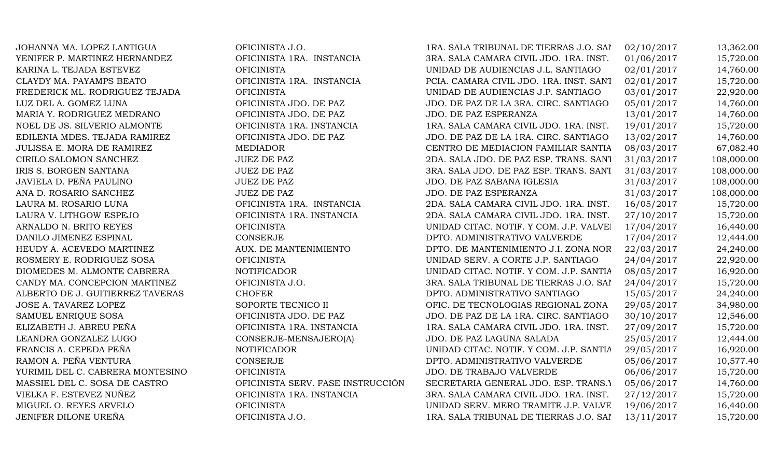JOHANNA MA. LOPEZ LANTIGUA OFICINISTA J.O. 1RA. SALA TRIBUNAL DE TIERRAS J.O. SANTIAGO 02/10/2017 13,362.00 YENIFER P. MARTINEZ HERNANDEZ **OFICINISTA 1RA. INSTANCIA** 3RA. SALA CAMARA CIVIL JDO. 1RA. INST. 01/06/2017 15,720.00 KARINA L. TEJADA ESTEVEZ CHUMISTA OFICINISTA UNIDAD DE AUDIENCIAS J.L. SANTIAGO 02/01/2017 14,760.00 CLAYDY MA. PAYAMPS BEATO **OFICINISTA 1RA. INSTANCIA** PCIA. CAMARA CIVIL JDO. 1RA. INST. SANT 02/01/2017 15,720.00 FREDERICK ML. RODRIGUEZ TEJADA OFICINISTA UNIDAD DE AUDIENCIAS J.P. SANTIAGO 03/01/2017 22,920.00 LUZ DEL A. GOMEZ LUNA OFICINISTA JDO. DE PAZ JDO. DE PAZ DE LA 3RA. CIRC. SANTIAGO 05/01/2017 14,760.00 MARIA Y. RODRIGUEZ MEDRANO **OFICINISTA JDO. DE PAZ** JDO. DE PAZ ESPERANZA 13/01/2017 14,760.00 NOEL DE JS. SILVERIO ALMONTE **OFICINISTA 1RA. INSTANCIA** 1RA. SALA CAMARA CIVIL JDO. 1RA. INST. 19/01/2017 15,720.00 EDILENIA MDES. TEJADA RAMIREZ OFICINISTA JDO. DE PAZ JDO. DE PAZ DE LA 1RA. CIRC. SANTIAGO 13/02/2017 14,760.00 JULISSA E. MORA DE RAMIREZ MEDIADOR MEDIADOR CENTRO DE MEDIACION FAMILIAR SANTIA 08/03/2017 67.082.40 CIRILO SALOMON SANCHEZ JUEZ DE PAZ 2DA. SALA JDO. DE PAZ ESP. TRANS. SANT 31/03/2017 108,000.00 IRIS S. BORGEN SANTANA JUEZ DE PAZ JUEZ DE PAZ 3RA. SALA JDO. DE PAZ ESP. TRANS. SANT 31/03/2017 108,000.00 JAVIELA D. PEÑA PAULINO JUEZ DE PAZ JUEZ DE PAZ SABANA IGLESIA 31/03/2017 108,000.00 ANA D. ROSARIO SANCHEZ JUEZ DE PAZ DE PAZ JUEZ DE PAZ SINGLE PAZ ESPERANZA 31/03/2017 108,000.00 LAURA M. ROSARIO LUNA **OFICINISTA 1RA. INSTANCIA** 2DA. SALA CAMARA CIVIL JDO. 1RA. INST. 16/05/2017 15,720.00 LAURA V. LITHGOW ESPEJO **OFICINISTA 1RA. INSTANCIA** 2DA. SALA CAMARA CIVIL JDO. 1RA. INST. 27/10/2017 15,720.00 ARNALDO N. BRITO REYES OFICINISTA OFICINISTA UNIDAD CITAC. NOTIF. Y COM. J.P. VALVEI 17/04/2017 16,440.00 DANILO JIMENEZ ESPINAL CONSERJE CONSERJE DPTO. ADMINISTRATIVO VALVERDE 17/04/2017 12,444.00 HEUDY A. ACEVEDO MARTINEZ AUX. DE MANTENIMIENTO DE MANTENIMIENTO J.I. ZONA NORTE 22/03/2017 24,240.00 ROSMERY E. RODRIGUEZ SOSA CHICINISTA OFICINISTA UNIDAD SERV. A CORTE J.P. SANTIAGO 24/04/2017 22,920.00 DIOMEDES M. ALMONTE CABRERA NOTIFICADOR UNIDAD CITAC. NOTIF. Y COM. J.P. SANTIA 08/05/2017 16,920.00 CANDY MA. CONCEPCION MARTINEZ OFICINISTA J.O. 3RA. SALA TRIBUNAL DE TIERRAS J.O. SANTIAGO 24/04/2017 15,720.00 ALBERTO DE J. GUITIERREZ TAVERAS CHOFER CHOFER DPTO. ADMINISTRATIVO SANTIAGO 15/05/2017 24,240.00 JOSE A. TAVAREZ LOPEZ SOPORTE TECNICO II OFIC. DE TECNOLOGIAS REGIONAL ZONA 29/05/2017 34,980.00 SAMUEL ENRIQUE SOSA **OFICINISTA JDO. DE PAZ** JDO. DE PAZ DE LA 1RA. CIRC. SANTIAGO 30/10/2017 12,546.00 ELIZABETH J. ABREU PEÑA **OFICINISTA 1RA. INSTANCIA** 1RA. SALA CAMARA CIVIL JDO. 1RA. INST. 27/09/2017 15,720.00 LEANDRA GONZALEZ LUGO CONSERJE-MENSAJERO(A) JDO. DE PAZ LAGUNA SALADA 25/05/2017 12,444.00 FRANCIS A. CEPEDA PEÑA **NOTIFICADOR** NOTIFICADOR UNIDAD CITAC. NOTIF. Y COM. J.P. SANTIA 29/05/2017 16,920.00 RAMON A. PEÑA VENTURA CONSERJE CONSERIE DPTO. ADMINISTRATIVO VALVERDE 05/06/2017 10,577.40 YURIMIL DEL C. CABRERA MONTESINO OFICINISTA OFICINISTA JDO. DE TRABAJO VALVERDE 06/06/2017 15,720.00 MASSIEL DEL C. SOSA DE CASTRO OFICINISTA SERV. FASE INSTRUCCIÓN SECRETARIA GENERAL JDO. ESP. TRANS.Y 05/06/2017 14,760.00 VIELKA F. ESTEVEZ NUÑEZ **OFICINISTA 1RA. INSTANCIA** 3RA. SALA CAMARA CIVIL JDO. 1RA. INST. 27/12/2017 15.720.00 MIGUEL O. REYES ARVELO **OFICINISTA** OFICINISTA UNIDAD SERV. MERO TRAMITE J.P. VALVE 19/06/2017 16,440.00 JENIFER DILONE UREÑA CHENISTA J.O. 1899 OFICINISTA J.O. 1RA. SALA TRIBUNAL DE TIERRAS J.O. SANTIAGO 13/11/2017 15,720.00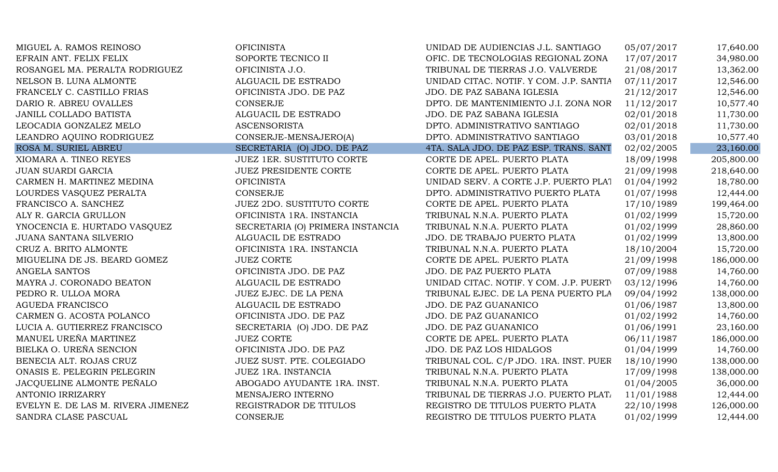| MIGUEL A. RAMOS REINOSO            | <b>OFICINISTA</b>                | UNIDAD DE AUDIENCIAS J.L. SANTIAGO      | 05/07/2017 | 17,640.00  |
|------------------------------------|----------------------------------|-----------------------------------------|------------|------------|
| EFRAIN ANT. FELIX FELIX            | SOPORTE TECNICO II               | OFIC. DE TECNOLOGIAS REGIONAL ZONA      | 17/07/2017 | 34,980.00  |
| ROSANGEL MA. PERALTA RODRIGUEZ     | OFICINISTA J.O.                  | TRIBUNAL DE TIERRAS J.O. VALVERDE       | 21/08/2017 | 13,362.00  |
| NELSON B. LUNA ALMONTE             | ALGUACIL DE ESTRADO              | UNIDAD CITAC. NOTIF. Y COM. J.P. SANTIA | 07/11/2017 | 12,546.00  |
| FRANCELY C. CASTILLO FRIAS         | OFICINISTA JDO. DE PAZ           | JDO. DE PAZ SABANA IGLESIA              | 21/12/2017 | 12,546.00  |
| DARIO R. ABREU OVALLES             | CONSERJE                         | DPTO. DE MANTENIMIENTO J.I. ZONA NOR    | 11/12/2017 | 10,577.40  |
| JANILL COLLADO BATISTA             | ALGUACIL DE ESTRADO              | JDO. DE PAZ SABANA IGLESIA              | 02/01/2018 | 11,730.00  |
| LEOCADIA GONZALEZ MELO             | <b>ASCENSORISTA</b>              | DPTO. ADMINISTRATIVO SANTIAGO           | 02/01/2018 | 11,730.00  |
| LEANDRO AQUINO RODRIGUEZ           | CONSERJE-MENSAJERO(A)            | DPTO. ADMINISTRATIVO SANTIAGO           | 03/01/2018 | 10,577.40  |
| ROSA M. SURIEL ABREU               | SECRETARIA (O) JDO. DE PAZ       | 4TA. SALA JDO. DE PAZ ESP. TRANS. SANT  | 02/02/2005 | 23,160.00  |
| XIOMARA A. TINEO REYES             | <b>JUEZ 1ER. SUSTITUTO CORTE</b> | CORTE DE APEL. PUERTO PLATA             | 18/09/1998 | 205,800.00 |
| <b>JUAN SUARDI GARCIA</b>          | <b>JUEZ PRESIDENTE CORTE</b>     | CORTE DE APEL. PUERTO PLATA             | 21/09/1998 | 218,640.00 |
| CARMEN H. MARTINEZ MEDINA          | <b>OFICINISTA</b>                | UNIDAD SERV. A CORTE J.P. PUERTO PLAT   | 01/04/1992 | 18,780.00  |
| LOURDES VASQUEZ PERALTA            | CONSERJE                         | DPTO. ADMINISTRATIVO PUERTO PLATA       | 01/07/1998 | 12,444.00  |
| FRANCISCO A. SANCHEZ               | <b>JUEZ 2DO. SUSTITUTO CORTE</b> | CORTE DE APEL. PUERTO PLATA             | 17/10/1989 | 199,464.00 |
| ALY R. GARCIA GRULLON              | OFICINISTA 1RA. INSTANCIA        | TRIBUNAL N.N.A. PUERTO PLATA            | 01/02/1999 | 15,720.00  |
| YNOCENCIA E. HURTADO VASQUEZ       | SECRETARIA (O) PRIMERA INSTANCIA | TRIBUNAL N.N.A. PUERTO PLATA            | 01/02/1999 | 28,860.00  |
| JUANA SANTANA SILVERIO             | ALGUACIL DE ESTRADO              | JDO. DE TRABAJO PUERTO PLATA            | 01/02/1999 | 13,800.00  |
| CRUZ A. BRITO ALMONTE              | OFICINISTA 1RA. INSTANCIA        | TRIBUNAL N.N.A. PUERTO PLATA            | 18/10/2004 | 15,720.00  |
| MIGUELINA DE JS. BEARD GOMEZ       | <b>JUEZ CORTE</b>                | CORTE DE APEL. PUERTO PLATA             | 21/09/1998 | 186,000.00 |
| ANGELA SANTOS                      | OFICINISTA JDO. DE PAZ           | JDO. DE PAZ PUERTO PLATA                | 07/09/1988 | 14,760.00  |
| MAYRA J. CORONADO BEATON           | ALGUACIL DE ESTRADO              | UNIDAD CITAC. NOTIF. Y COM. J.P. PUERT  | 03/12/1996 | 14,760.00  |
| PEDRO R. ULLOA MORA                | JUEZ EJEC. DE LA PENA            | TRIBUNAL EJEC. DE LA PENA PUERTO PLA    | 09/04/1992 | 138,000.00 |
| <b>AGUEDA FRANCISCO</b>            | ALGUACIL DE ESTRADO              | JDO. DE PAZ GUANANICO                   | 01/06/1987 | 13,800.00  |
| CARMEN G. ACOSTA POLANCO           | OFICINISTA JDO. DE PAZ           | JDO. DE PAZ GUANANICO                   | 01/02/1992 | 14,760.00  |
| LUCIA A. GUTIERREZ FRANCISCO       | SECRETARIA (O) JDO. DE PAZ       | JDO. DE PAZ GUANANICO                   | 01/06/1991 | 23,160.00  |
| MANUEL UREÑA MARTINEZ              | <b>JUEZ CORTE</b>                | CORTE DE APEL. PUERTO PLATA             | 06/11/1987 | 186,000.00 |
| BIELKA O. UREÑA SENCION            | OFICINISTA JDO. DE PAZ           | JDO. DE PAZ LOS HIDALGOS                | 01/04/1999 | 14,760.00  |
| BENECIA ALT. ROJAS CRUZ            | JUEZ SUST. PTE. COLEGIADO        | TRIBUNAL COL. C/P JDO. 1RA. INST. PUER  | 18/10/1990 | 138,000.00 |
| ONASIS E. PELEGRIN PELEGRIN        | JUEZ 1RA. INSTANCIA              | TRIBUNAL N.N.A. PUERTO PLATA            | 17/09/1998 | 138,000.00 |
| JACQUELINE ALMONTE PEÑALO          | ABOGADO AYUDANTE 1RA. INST.      | TRIBUNAL N.N.A. PUERTO PLATA            | 01/04/2005 | 36,000.00  |
| <b>ANTONIO IRRIZARRY</b>           | MENSAJERO INTERNO                | TRIBUNAL DE TIERRAS J.O. PUERTO PLATA   | 11/01/1988 | 12,444.00  |
| EVELYN E. DE LAS M. RIVERA JIMENEZ | REGISTRADOR DE TITULOS           | REGISTRO DE TITULOS PUERTO PLATA        | 22/10/1998 | 126,000.00 |
| SANDRA CLASE PASCUAL               | <b>CONSERJE</b>                  | REGISTRO DE TITULOS PUERTO PLATA        | 01/02/1999 | 12,444.00  |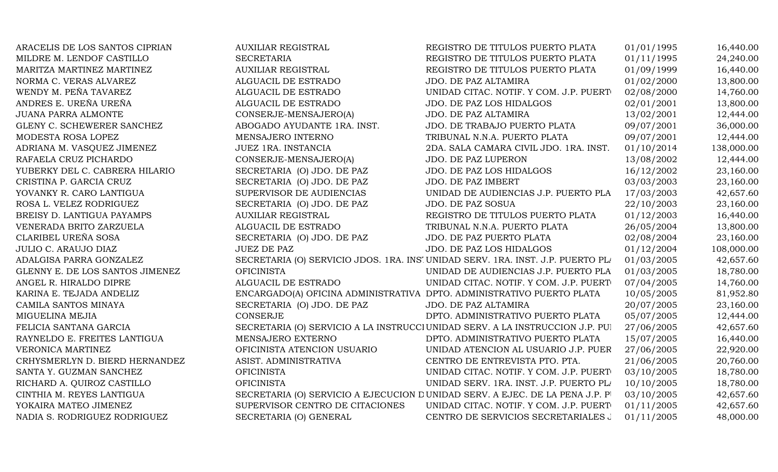| ARACELIS DE LOS SANTOS CIPRIAN  | <b>AUXILIAR REGISTRAL</b>                                             | REGISTRO DE TITULOS PUERTO PLATA                                                | 01/01/1995 | 16,440.00  |
|---------------------------------|-----------------------------------------------------------------------|---------------------------------------------------------------------------------|------------|------------|
| MILDRE M. LENDOF CASTILLO       | <b>SECRETARIA</b>                                                     | REGISTRO DE TITULOS PUERTO PLATA                                                | 01/11/1995 | 24,240.00  |
| MARITZA MARTINEZ MARTINEZ       | <b>AUXILIAR REGISTRAL</b>                                             | REGISTRO DE TITULOS PUERTO PLATA                                                | 01/09/1999 | 16,440.00  |
| NORMA C. VERAS ALVAREZ          | ALGUACIL DE ESTRADO                                                   | JDO. DE PAZ ALTAMIRA                                                            | 01/02/2000 | 13,800.00  |
| WENDY M. PEÑA TAVAREZ           | ALGUACIL DE ESTRADO                                                   | UNIDAD CITAC. NOTIF. Y COM. J.P. PUERT                                          | 02/08/2000 | 14,760.00  |
| ANDRES E. UREÑA UREÑA           | ALGUACIL DE ESTRADO                                                   | JDO. DE PAZ LOS HIDALGOS                                                        | 02/01/2001 | 13,800.00  |
| <b>JUANA PARRA ALMONTE</b>      | CONSERJE-MENSAJERO(A)                                                 | JDO. DE PAZ ALTAMIRA                                                            | 13/02/2001 | 12,444.00  |
| GLENY C. SCHEWERER SANCHEZ      | ABOGADO AYUDANTE 1RA. INST.                                           | JDO. DE TRABAJO PUERTO PLATA                                                    | 09/07/2001 | 36,000.00  |
| MODESTA ROSA LOPEZ              | MENSAJERO INTERNO                                                     | TRIBUNAL N.N.A. PUERTO PLATA                                                    | 09/07/2001 | 12,444.00  |
| ADRIANA M. VASQUEZ JIMENEZ      | JUEZ 1RA. INSTANCIA                                                   | 2DA. SALA CAMARA CIVIL JDO. 1RA. INST.                                          | 01/10/2014 | 138,000.00 |
| RAFAELA CRUZ PICHARDO           | CONSERJE-MENSAJERO(A)                                                 | JDO. DE PAZ LUPERON                                                             | 13/08/2002 | 12,444.00  |
| YUBERKY DEL C. CABRERA HILARIO  | SECRETARIA (O) JDO. DE PAZ                                            | JDO. DE PAZ LOS HIDALGOS                                                        | 16/12/2002 | 23,160.00  |
| CRISTINA P. GARCIA CRUZ         | SECRETARIA (O) JDO. DE PAZ                                            | JDO. DE PAZ IMBERT                                                              | 03/03/2003 | 23,160.00  |
| YOVANKY R. CARO LANTIGUA        | SUPERVISOR DE AUDIENCIAS                                              | UNIDAD DE AUDIENCIAS J.P. PUERTO PLA                                            | 17/03/2003 | 42,657.60  |
| ROSA L. VELEZ RODRIGUEZ         | SECRETARIA (O) JDO. DE PAZ                                            | <b>JDO. DE PAZ SOSUA</b>                                                        | 22/10/2003 | 23,160.00  |
| BREISY D. LANTIGUA PAYAMPS      | <b>AUXILIAR REGISTRAL</b>                                             | REGISTRO DE TITULOS PUERTO PLATA                                                | 01/12/2003 | 16,440.00  |
| VENERADA BRITO ZARZUELA         | ALGUACIL DE ESTRADO                                                   | TRIBUNAL N.N.A. PUERTO PLATA                                                    | 26/05/2004 | 13,800.00  |
| CLARIBEL UREÑA SOSA             | SECRETARIA (O) JDO. DE PAZ                                            | JDO. DE PAZ PUERTO PLATA                                                        | 02/08/2004 | 23,160.00  |
| <b>JULIO C. ARAUJO DIAZ</b>     | <b>JUEZ DE PAZ</b>                                                    | JDO. DE PAZ LOS HIDALGOS                                                        | 01/12/2004 | 108,000.00 |
| ADALGISA PARRA GONZALEZ         |                                                                       | SECRETARIA (O) SERVICIO JDOS. 1RA. INS' UNIDAD SERV. 1RA. INST. J.P. PUERTO PLI | 01/03/2005 | 42,657.60  |
| GLENNY E. DE LOS SANTOS JIMENEZ | <b>OFICINISTA</b>                                                     | UNIDAD DE AUDIENCIAS J.P. PUERTO PLA                                            | 01/03/2005 | 18,780.00  |
| ANGEL R. HIRALDO DIPRE          | ALGUACIL DE ESTRADO                                                   | UNIDAD CITAC. NOTIF. Y COM. J.P. PUERT                                          | 07/04/2005 | 14,760.00  |
| KARINA E. TEJADA ANDELIZ        | ENCARGADO(A) OFICINA ADMINISTRATIVA DPTO. ADMINISTRATIVO PUERTO PLATA |                                                                                 | 10/05/2005 | 81,952.80  |
| CAMILA SANTOS MINAYA            | SECRETARIA (O) JDO. DE PAZ                                            | JDO. DE PAZ ALTAMIRA                                                            | 20/07/2005 | 23,160.00  |
| MIGUELINA MEJIA                 | <b>CONSERJE</b>                                                       | DPTO. ADMINISTRATIVO PUERTO PLATA                                               | 05/07/2005 | 12,444.00  |
| FELICIA SANTANA GARCIA          |                                                                       | SECRETARIA (O) SERVICIO A LA INSTRUCCI UNIDAD SERV. A LA INSTRUCCION J.P. PUI   | 27/06/2005 | 42,657.60  |
| RAYNELDO E. FREITES LANTIGUA    | MENSAJERO EXTERNO                                                     | DPTO. ADMINISTRATIVO PUERTO PLATA                                               | 15/07/2005 | 16,440.00  |
| VERONICA MARTINEZ               | OFICINISTA ATENCION USUARIO                                           | UNIDAD ATENCION AL USUARIO J.P. PUER                                            | 27/06/2005 | 22,920.00  |
| CRHYSMERLYN D. BIERD HERNANDEZ  | ASIST. ADMINISTRATIVA                                                 | CENTRO DE ENTREVISTA PTO. PTA.                                                  | 21/06/2005 | 20,760.00  |
| SANTA Y. GUZMAN SANCHEZ         | <b>OFICINISTA</b>                                                     | UNIDAD CITAC. NOTIF. Y COM. J.P. PUERT                                          | 03/10/2005 | 18,780.00  |
| RICHARD A. QUIROZ CASTILLO      | <b>OFICINISTA</b>                                                     | UNIDAD SERV. 1RA. INST. J.P. PUERTO PL/                                         | 10/10/2005 | 18,780.00  |
| CINTHIA M. REYES LANTIGUA       |                                                                       | SECRETARIA (O) SERVICIO A EJECUCION DUNIDAD SERV. A EJEC. DE LA PENA J.P. P     | 03/10/2005 | 42,657.60  |
| YOKAIRA MATEO JIMENEZ           | SUPERVISOR CENTRO DE CITACIONES                                       | UNIDAD CITAC. NOTIF. Y COM. J.P. PUERT                                          | 01/11/2005 | 42,657.60  |
| NADIA S. RODRIGUEZ RODRIGUEZ    | SECRETARIA (O) GENERAL                                                | CENTRO DE SERVICIOS SECRETARIALES J                                             | 01/11/2005 | 48,000.00  |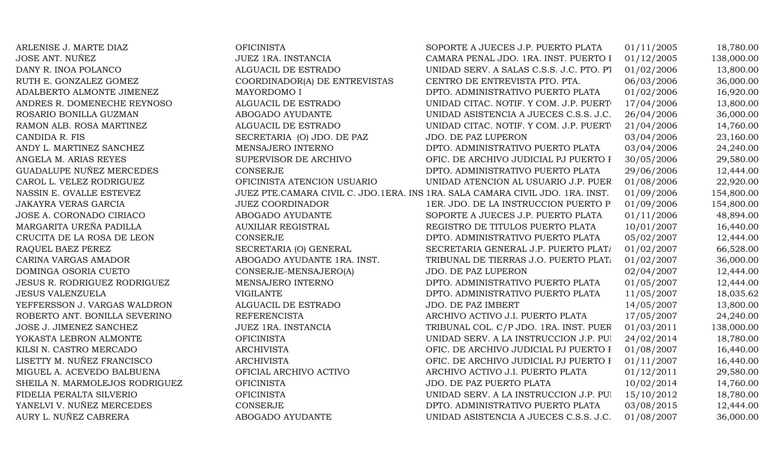| ARLENISE J. MARTE DIAZ              | <b>OFICINISTA</b>             | SOPORTE A JUECES J.P. PUERTO PLATA                                            | 01/11/2005 | 18,780.00  |
|-------------------------------------|-------------------------------|-------------------------------------------------------------------------------|------------|------------|
| JOSE ANT. NUÑEZ                     | JUEZ 1RA. INSTANCIA           | CAMARA PENAL JDO. 1RA. INST. PUERTO I                                         | 01/12/2005 | 138,000.00 |
| DANY R. INOA POLANCO                | ALGUACIL DE ESTRADO           | UNIDAD SERV. A SALAS C.S.S. J.C. PTO. PT                                      | 01/02/2006 | 13,800.00  |
| RUTH E. GONZALEZ GOMEZ              | COORDINADOR(A) DE ENTREVISTAS | CENTRO DE ENTREVISTA PTO. PTA.                                                | 06/03/2006 | 36,000.00  |
| ADALBERTO ALMONTE JIMENEZ           | MAYORDOMO I                   | DPTO. ADMINISTRATIVO PUERTO PLATA                                             | 01/02/2006 | 16,920.00  |
| ANDRES R. DOMENECHE REYNOSO         | ALGUACIL DE ESTRADO           | UNIDAD CITAC. NOTIF. Y COM. J.P. PUERT                                        | 17/04/2006 | 13,800.00  |
| ROSARIO BONILLA GUZMAN              | ABOGADO AYUDANTE              | UNIDAD ASISTENCIA A JUECES C.S.S. J.C.                                        | 26/04/2006 | 36,000.00  |
| RAMON ALB. ROSA MARTINEZ            | ALGUACIL DE ESTRADO           | UNIDAD CITAC. NOTIF. Y COM. J.P. PUERT                                        | 21/04/2006 | 14,760.00  |
| CANDIDA R. FIS                      | SECRETARIA (O) JDO. DE PAZ    | JDO. DE PAZ LUPERON                                                           | 03/04/2006 | 23,160.00  |
| ANDY L. MARTINEZ SANCHEZ            | MENSAJERO INTERNO             | DPTO. ADMINISTRATIVO PUERTO PLATA                                             | 03/04/2006 | 24,240.00  |
| ANGELA M. ARIAS REYES               | SUPERVISOR DE ARCHIVO         | OFIC. DE ARCHIVO JUDICIAL PJ PUERTO I                                         | 30/05/2006 | 29,580.00  |
| GUADALUPE NUÑEZ MERCEDES            | <b>CONSERJE</b>               | DPTO. ADMINISTRATIVO PUERTO PLATA                                             | 29/06/2006 | 12,444.00  |
| CAROL L. VELEZ RODRIGUEZ            | OFICINISTA ATENCION USUARIO   | UNIDAD ATENCION AL USUARIO J.P. PUER                                          | 01/08/2006 | 22,920.00  |
| NASSIN E. OVALLE ESTEVEZ            |                               | JUEZ PTE.CAMARA CIVIL C. JDO.1ERA. INS 1RA. SALA CAMARA CIVIL JDO. 1RA. INST. | 01/09/2006 | 154,800.00 |
| <b>JAKAYRA VERAS GARCIA</b>         | <b>JUEZ COORDINADOR</b>       | 1ER. JDO. DE LA INSTRUCCION PUERTO P                                          | 01/09/2006 | 154,800.00 |
| JOSE A. CORONADO CIRIACO            | ABOGADO AYUDANTE              | SOPORTE A JUECES J.P. PUERTO PLATA                                            | 01/11/2006 | 48,894.00  |
| MARGARITA UREÑA PADILLA             | <b>AUXILIAR REGISTRAL</b>     | REGISTRO DE TITULOS PUERTO PLATA                                              | 10/01/2007 | 16,440.00  |
| CRUCITA DE LA ROSA DE LEON          | <b>CONSERJE</b>               | DPTO. ADMINISTRATIVO PUERTO PLATA                                             | 05/02/2007 | 12,444.00  |
| RAQUEL BAEZ PEREZ                   | SECRETARIA (O) GENERAL        | SECRETARIA GENERAL J.P. PUERTO PLAT/                                          | 01/02/2007 | 66,528.00  |
| CARINA VARGAS AMADOR                | ABOGADO AYUDANTE 1RA. INST.   | TRIBUNAL DE TIERRAS J.O. PUERTO PLATA                                         | 01/02/2007 | 36,000.00  |
| DOMINGA OSORIA CUETO                | CONSERJE-MENSAJERO(A)         | JDO. DE PAZ LUPERON                                                           | 02/04/2007 | 12,444.00  |
| <b>JESUS R. RODRIGUEZ RODRIGUEZ</b> | MENSAJERO INTERNO             | DPTO. ADMINISTRATIVO PUERTO PLATA                                             | 01/05/2007 | 12,444.00  |
| <b>JESUS VALENZUELA</b>             | <b>VIGILANTE</b>              | DPTO. ADMINISTRATIVO PUERTO PLATA                                             | 11/05/2007 | 18,035.62  |
| YEFFERSSON J. VARGAS WALDRON        | ALGUACIL DE ESTRADO           | JDO. DE PAZ IMBERT                                                            | 14/05/2007 | 13,800.00  |
| ROBERTO ANT. BONILLA SEVERINO       | <b>REFERENCISTA</b>           | ARCHIVO ACTIVO J.I. PUERTO PLATA                                              | 17/05/2007 | 24,240.00  |
| JOSE J. JIMENEZ SANCHEZ             | JUEZ 1RA. INSTANCIA           | TRIBUNAL COL. C/P JDO. 1RA. INST. PUER                                        | 01/03/2011 | 138,000.00 |
| YOKASTA LEBRON ALMONTE              | <b>OFICINISTA</b>             | UNIDAD SERV. A LA INSTRUCCION J.P. PUI                                        | 24/02/2014 | 18,780.00  |
| KILSI N. CASTRO MERCADO             | <b>ARCHIVISTA</b>             | OFIC. DE ARCHIVO JUDICIAL PJ PUERTO I                                         | 01/08/2007 | 16,440.00  |
| LISETTY M. NUÑEZ FRANCISCO          | <b>ARCHIVISTA</b>             | OFIC. DE ARCHIVO JUDICIAL PJ PUERTO I                                         | 01/11/2007 | 16,440.00  |
| MIGUEL A. ACEVEDO BALBUENA          | OFICIAL ARCHIVO ACTIVO        | ARCHIVO ACTIVO J.I. PUERTO PLATA                                              | 01/12/2011 | 29,580.00  |
| SHEILA N. MARMOLEJOS RODRIGUEZ      | <b>OFICINISTA</b>             | JDO. DE PAZ PUERTO PLATA                                                      | 10/02/2014 | 14,760.00  |
| FIDELIA PERALTA SILVERIO            | <b>OFICINISTA</b>             | UNIDAD SERV. A LA INSTRUCCION J.P. PUI                                        | 15/10/2012 | 18,780.00  |
| YANELVI V. NUÑEZ MERCEDES           | <b>CONSERJE</b>               | DPTO. ADMINISTRATIVO PUERTO PLATA                                             | 03/08/2015 | 12,444.00  |
| AURY L. NUÑEZ CABRERA               | ABOGADO AYUDANTE              | UNIDAD ASISTENCIA A JUECES C.S.S. J.C.                                        | 01/08/2007 | 36,000.00  |
|                                     |                               |                                                                               |            |            |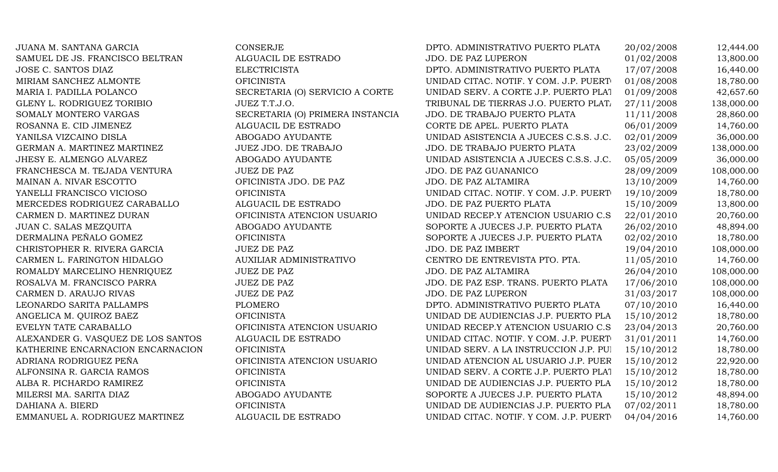| JUANA M. SANTANA GARCIA            | CONSERJE                         | DPTO. ADMINISTRATIVO PUERTO PLATA      | 20/02/2008 | 12,444.00  |
|------------------------------------|----------------------------------|----------------------------------------|------------|------------|
| SAMUEL DE JS. FRANCISCO BELTRAN    | ALGUACIL DE ESTRADO              | JDO. DE PAZ LUPERON                    | 01/02/2008 | 13,800.00  |
| JOSE C. SANTOS DIAZ                | <b>ELECTRICISTA</b>              | DPTO. ADMINISTRATIVO PUERTO PLATA      | 17/07/2008 | 16,440.00  |
| MIRIAM SANCHEZ ALMONTE             | <b>OFICINISTA</b>                | UNIDAD CITAC. NOTIF. Y COM. J.P. PUERT | 01/08/2008 | 18,780.00  |
| MARIA I. PADILLA POLANCO           | SECRETARIA (O) SERVICIO A CORTE  | UNIDAD SERV. A CORTE J.P. PUERTO PLAT  | 01/09/2008 | 42,657.60  |
| GLENY L. RODRIGUEZ TORIBIO         | JUEZ T.T.J.O.                    | TRIBUNAL DE TIERRAS J.O. PUERTO PLATA  | 27/11/2008 | 138,000.00 |
| SOMALY MONTERO VARGAS              | SECRETARIA (O) PRIMERA INSTANCIA | JDO. DE TRABAJO PUERTO PLATA           | 11/11/2008 | 28,860.00  |
| ROSANNA E. CID JIMENEZ             | ALGUACIL DE ESTRADO              | CORTE DE APEL. PUERTO PLATA            | 06/01/2009 | 14,760.00  |
| YANILSA VIZCAINO DISLA             | ABOGADO AYUDANTE                 | UNIDAD ASISTENCIA A JUECES C.S.S. J.C. | 02/01/2009 | 36,000.00  |
| GERMAN A. MARTINEZ MARTINEZ        | <b>JUEZ JDO. DE TRABAJO</b>      | JDO. DE TRABAJO PUERTO PLATA           | 23/02/2009 | 138,000.00 |
| JHESY E. ALMENGO ALVAREZ           | ABOGADO AYUDANTE                 | UNIDAD ASISTENCIA A JUECES C.S.S. J.C. | 05/05/2009 | 36,000.00  |
| FRANCHESCA M. TEJADA VENTURA       | <b>JUEZ DE PAZ</b>               | JDO. DE PAZ GUANANICO                  | 28/09/2009 | 108,000.00 |
| MAINAN A. NIVAR ESCOTTO            | OFICINISTA JDO. DE PAZ           | JDO. DE PAZ ALTAMIRA                   | 13/10/2009 | 14,760.00  |
| YANELLI FRANCISCO VICIOSO          | <b>OFICINISTA</b>                | UNIDAD CITAC. NOTIF. Y COM. J.P. PUERT | 19/10/2009 | 18,780.00  |
| MERCEDES RODRIGUEZ CARABALLO       | ALGUACIL DE ESTRADO              | JDO. DE PAZ PUERTO PLATA               | 15/10/2009 | 13,800.00  |
| CARMEN D. MARTINEZ DURAN           | OFICINISTA ATENCION USUARIO      | UNIDAD RECEP.Y ATENCION USUARIO C.S.   | 22/01/2010 | 20,760.00  |
| JUAN C. SALAS MEZQUITA             | ABOGADO AYUDANTE                 | SOPORTE A JUECES J.P. PUERTO PLATA     | 26/02/2010 | 48,894.00  |
| DERMALINA PEÑALO GOMEZ             | <b>OFICINISTA</b>                | SOPORTE A JUECES J.P. PUERTO PLATA     | 02/02/2010 | 18,780.00  |
| CHRISTOPHER R. RIVERA GARCIA       | <b>JUEZ DE PAZ</b>               | JDO. DE PAZ IMBERT                     | 19/04/2010 | 108,000.00 |
| CARMEN L. FARINGTON HIDALGO        | AUXILIAR ADMINISTRATIVO          | CENTRO DE ENTREVISTA PTO. PTA.         | 11/05/2010 | 14,760.00  |
| ROMALDY MARCELINO HENRIQUEZ        | <b>JUEZ DE PAZ</b>               | JDO. DE PAZ ALTAMIRA                   | 26/04/2010 | 108,000.00 |
| ROSALVA M. FRANCISCO PARRA         | <b>JUEZ DE PAZ</b>               | JDO. DE PAZ ESP. TRANS. PUERTO PLATA   | 17/06/2010 | 108,000.00 |
| CARMEN D. ARAUJO RIVAS             | <b>JUEZ DE PAZ</b>               | JDO. DE PAZ LUPERON                    | 31/03/2017 | 108,000.00 |
| LEONARDO SARITA PALLAMPS           | <b>PLOMERO</b>                   | DPTO. ADMINISTRATIVO PUERTO PLATA      | 07/10/2010 | 16,440.00  |
| ANGELICA M. QUIROZ BAEZ            | <b>OFICINISTA</b>                | UNIDAD DE AUDIENCIAS J.P. PUERTO PLA   | 15/10/2012 | 18,780.00  |
| EVELYN TATE CARABALLO              | OFICINISTA ATENCION USUARIO      | UNIDAD RECEP.Y ATENCION USUARIO C.S.   | 23/04/2013 | 20,760.00  |
| ALEXANDER G. VASQUEZ DE LOS SANTOS | ALGUACIL DE ESTRADO              | UNIDAD CITAC. NOTIF. Y COM. J.P. PUERT | 31/01/2011 | 14,760.00  |
| KATHERINE ENCARNACION ENCARNACION  | <b>OFICINISTA</b>                | UNIDAD SERV. A LA INSTRUCCION J.P. PUI | 15/10/2012 | 18,780.00  |
| ADRIANA RODRIGUEZ PEÑA             | OFICINISTA ATENCION USUARIO      | UNIDAD ATENCION AL USUARIO J.P. PUER   | 15/10/2012 | 22,920.00  |
| ALFONSINA R. GARCIA RAMOS          | <b>OFICINISTA</b>                | UNIDAD SERV. A CORTE J.P. PUERTO PLAT  | 15/10/2012 | 18,780.00  |
| ALBA R. PICHARDO RAMIREZ           | <b>OFICINISTA</b>                | UNIDAD DE AUDIENCIAS J.P. PUERTO PLA   | 15/10/2012 | 18,780.00  |
| MILERSI MA. SARITA DIAZ            | ABOGADO AYUDANTE                 | SOPORTE A JUECES J.P. PUERTO PLATA     | 15/10/2012 | 48,894.00  |
| DAHIANA A. BIERD                   | <b>OFICINISTA</b>                | UNIDAD DE AUDIENCIAS J.P. PUERTO PLA   | 07/02/2011 | 18,780.00  |
| EMMANUEL A. RODRIGUEZ MARTINEZ     | ALGUACIL DE ESTRADO              | UNIDAD CITAC. NOTIF. Y COM. J.P. PUERT | 04/04/2016 | 14,760.00  |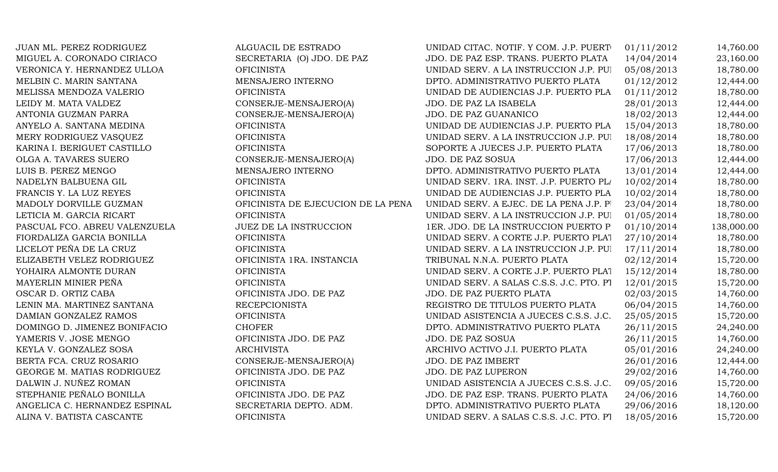| JUAN ML. PEREZ RODRIGUEZ      | ALGUACIL DE ESTRADO                | UNIDAD CITAC. NOTIF. Y COM. J.P. PUERT   | 01/11/2012 | 14,760.00  |
|-------------------------------|------------------------------------|------------------------------------------|------------|------------|
| MIGUEL A. CORONADO CIRIACO    | SECRETARIA (O) JDO. DE PAZ         | JDO. DE PAZ ESP. TRANS. PUERTO PLATA     | 14/04/2014 | 23,160.00  |
| VERONICA Y. HERNANDEZ ULLOA   | <b>OFICINISTA</b>                  | UNIDAD SERV. A LA INSTRUCCION J.P. PUI   | 05/08/2013 | 18,780.00  |
| MELBIN C. MARIN SANTANA       | MENSAJERO INTERNO                  | DPTO. ADMINISTRATIVO PUERTO PLATA        | 01/12/2012 | 12,444.00  |
| MELISSA MENDOZA VALERIO       | <b>OFICINISTA</b>                  | UNIDAD DE AUDIENCIAS J.P. PUERTO PLA     | 01/11/2012 | 18,780.00  |
| LEIDY M. MATA VALDEZ          | CONSERJE-MENSAJERO(A)              | JDO. DE PAZ LA ISABELA                   | 28/01/2013 | 12,444.00  |
| ANTONIA GUZMAN PARRA          | CONSERJE-MENSAJERO(A)              | JDO. DE PAZ GUANANICO                    | 18/02/2013 | 12,444.00  |
| ANYELO A. SANTANA MEDINA      | <b>OFICINISTA</b>                  | UNIDAD DE AUDIENCIAS J.P. PUERTO PLA     | 15/04/2013 | 18,780.00  |
| MERY RODRIGUEZ VASQUEZ        | <b>OFICINISTA</b>                  | UNIDAD SERV. A LA INSTRUCCION J.P. PUI   | 18/08/2014 | 18,780.00  |
| KARINA I. BERIGUET CASTILLO   | <b>OFICINISTA</b>                  | SOPORTE A JUECES J.P. PUERTO PLATA       | 17/06/2013 | 18,780.00  |
| OLGA A. TAVARES SUERO         | CONSERJE-MENSAJERO(A)              | JDO. DE PAZ SOSUA                        | 17/06/2013 | 12,444.00  |
| LUIS B. PEREZ MENGO           | MENSAJERO INTERNO                  | DPTO. ADMINISTRATIVO PUERTO PLATA        | 13/01/2014 | 12,444.00  |
| NADELYN BALBUENA GIL          | <b>OFICINISTA</b>                  | UNIDAD SERV. 1RA. INST. J.P. PUERTO PL/  | 10/02/2014 | 18,780.00  |
| FRANCIS Y. LA LUZ REYES       | <b>OFICINISTA</b>                  | UNIDAD DE AUDIENCIAS J.P. PUERTO PLA     | 10/02/2014 | 18,780.00  |
| MADOLY DORVILLE GUZMAN        | OFICINISTA DE EJECUCION DE LA PENA | UNIDAD SERV. A EJEC. DE LA PENA J.P. PI  | 23/04/2014 | 18,780.00  |
| LETICIA M. GARCIA RICART      | <b>OFICINISTA</b>                  | UNIDAD SERV. A LA INSTRUCCION J.P. PUI   | 01/05/2014 | 18,780.00  |
| PASCUAL FCO. ABREU VALENZUELA | <b>JUEZ DE LA INSTRUCCION</b>      | 1ER. JDO. DE LA INSTRUCCION PUERTO P     | 01/10/2014 | 138,000.00 |
| FIORDALIZA GARCIA BONILLA     | <b>OFICINISTA</b>                  | UNIDAD SERV. A CORTE J.P. PUERTO PLAT    | 27/10/2014 | 18,780.00  |
| LICELOT PEÑA DE LA CRUZ       | <b>OFICINISTA</b>                  | UNIDAD SERV. A LA INSTRUCCION J.P. PUI   | 17/11/2014 | 18,780.00  |
| ELIZABETH VELEZ RODRIGUEZ     | OFICINISTA 1RA. INSTANCIA          | TRIBUNAL N.N.A. PUERTO PLATA             | 02/12/2014 | 15,720.00  |
| YOHAIRA ALMONTE DURAN         | <b>OFICINISTA</b>                  | UNIDAD SERV. A CORTE J.P. PUERTO PLAT    | 15/12/2014 | 18,780.00  |
| MAYERLIN MINIER PEÑA          | <b>OFICINISTA</b>                  | UNIDAD SERV. A SALAS C.S.S. J.C. PTO. PT | 12/01/2015 | 15,720.00  |
| OSCAR D. ORTIZ CABA           | OFICINISTA JDO. DE PAZ             | JDO. DE PAZ PUERTO PLATA                 | 02/03/2015 | 14,760.00  |
| LENIN MA. MARTINEZ SANTANA    | <b>RECEPCIONISTA</b>               | REGISTRO DE TITULOS PUERTO PLATA         | 06/04/2015 | 14,760.00  |
| DAMIAN GONZALEZ RAMOS         | <b>OFICINISTA</b>                  | UNIDAD ASISTENCIA A JUECES C.S.S. J.C.   | 25/05/2015 | 15,720.00  |
| DOMINGO D. JIMENEZ BONIFACIO  | <b>CHOFER</b>                      | DPTO. ADMINISTRATIVO PUERTO PLATA        | 26/11/2015 | 24,240.00  |
| YAMERIS V. JOSE MENGO         | OFICINISTA JDO. DE PAZ             | JDO. DE PAZ SOSUA                        | 26/11/2015 | 14,760.00  |
| KEYLA V. GONZALEZ SOSA        | <b>ARCHIVISTA</b>                  | ARCHIVO ACTIVO J.I. PUERTO PLATA         | 05/01/2016 | 24,240.00  |
| BERTA FCA. CRUZ ROSARIO       | CONSERJE-MENSAJERO(A)              | JDO. DE PAZ IMBERT                       | 26/01/2016 | 12,444.00  |
| GEORGE M. MATIAS RODRIGUEZ    | OFICINISTA JDO. DE PAZ             | JDO. DE PAZ LUPERON                      | 29/02/2016 | 14,760.00  |
| DALWIN J. NUÑEZ ROMAN         | <b>OFICINISTA</b>                  | UNIDAD ASISTENCIA A JUECES C.S.S. J.C.   | 09/05/2016 | 15,720.00  |
| STEPHANIE PEÑALO BONILLA      | OFICINISTA JDO. DE PAZ             | JDO. DE PAZ ESP. TRANS. PUERTO PLATA     | 24/06/2016 | 14,760.00  |
| ANGELICA C. HERNANDEZ ESPINAL | SECRETARIA DEPTO. ADM.             | DPTO. ADMINISTRATIVO PUERTO PLATA        | 29/06/2016 | 18,120.00  |
| ALINA V. BATISTA CASCANTE     | <b>OFICINISTA</b>                  | UNIDAD SERV. A SALAS C.S.S. J.C. PTO. PT | 18/05/2016 | 15,720.00  |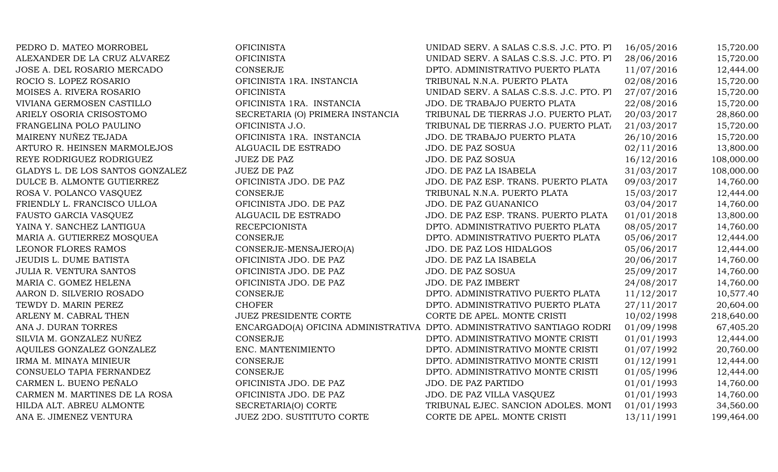| PEDRO D. MATEO MORROBEL          | <b>OFICINISTA</b>                | UNIDAD SERV. A SALAS C.S.S. J.C. PTO. PT                                | 16/05/2016 | 15,720.00  |
|----------------------------------|----------------------------------|-------------------------------------------------------------------------|------------|------------|
| ALEXANDER DE LA CRUZ ALVAREZ     | <b>OFICINISTA</b>                | UNIDAD SERV. A SALAS C.S.S. J.C. PTO. PT                                | 28/06/2016 | 15,720.00  |
| JOSE A. DEL ROSARIO MERCADO      | CONSERJE                         | DPTO. ADMINISTRATIVO PUERTO PLATA                                       | 11/07/2016 | 12,444.00  |
| ROCIO S. LOPEZ ROSARIO           | OFICINISTA 1RA. INSTANCIA        | TRIBUNAL N.N.A. PUERTO PLATA                                            | 02/08/2016 | 15,720.00  |
| MOISES A. RIVERA ROSARIO         | <b>OFICINISTA</b>                | UNIDAD SERV. A SALAS C.S.S. J.C. PTO. PT                                | 27/07/2016 | 15,720.00  |
| VIVIANA GERMOSEN CASTILLO        | OFICINISTA 1RA. INSTANCIA        | JDO. DE TRABAJO PUERTO PLATA                                            | 22/08/2016 | 15,720.00  |
| ARIELY OSORIA CRISOSTOMO         | SECRETARIA (O) PRIMERA INSTANCIA | TRIBUNAL DE TIERRAS J.O. PUERTO PLATA                                   | 20/03/2017 | 28,860.00  |
| FRANGELINA POLO PAULINO          | OFICINISTA J.O.                  | TRIBUNAL DE TIERRAS J.O. PUERTO PLATA                                   | 21/03/2017 | 15,720.00  |
| MAIRENY NUÑEZ TEJADA             | OFICINISTA 1RA. INSTANCIA        | JDO. DE TRABAJO PUERTO PLATA                                            | 26/10/2016 | 15,720.00  |
| ARTURO R. HEINSEN MARMOLEJOS     | ALGUACIL DE ESTRADO              | JDO. DE PAZ SOSUA                                                       | 02/11/2016 | 13,800.00  |
| REYE RODRIGUEZ RODRIGUEZ         | <b>JUEZ DE PAZ</b>               | JDO. DE PAZ SOSUA                                                       | 16/12/2016 | 108,000.00 |
| GLADYS L. DE LOS SANTOS GONZALEZ | <b>JUEZ DE PAZ</b>               | JDO. DE PAZ LA ISABELA                                                  | 31/03/2017 | 108,000.00 |
| DULCE B. ALMONTE GUTIERREZ       | OFICINISTA JDO. DE PAZ           | JDO. DE PAZ ESP. TRANS. PUERTO PLATA                                    | 09/03/2017 | 14,760.00  |
| ROSA V. POLANCO VASQUEZ          | CONSERJE                         | TRIBUNAL N.N.A. PUERTO PLATA                                            | 15/03/2017 | 12,444.00  |
| FRIENDLY L. FRANCISCO ULLOA      | OFICINISTA JDO. DE PAZ           | JDO. DE PAZ GUANANICO                                                   | 03/04/2017 | 14,760.00  |
| FAUSTO GARCIA VASQUEZ            | ALGUACIL DE ESTRADO              | JDO. DE PAZ ESP. TRANS. PUERTO PLATA                                    | 01/01/2018 | 13,800.00  |
| YAINA Y. SANCHEZ LANTIGUA        | <b>RECEPCIONISTA</b>             | DPTO. ADMINISTRATIVO PUERTO PLATA                                       | 08/05/2017 | 14,760.00  |
| MARIA A. GUTIERREZ MOSQUEA       | <b>CONSERJE</b>                  | DPTO. ADMINISTRATIVO PUERTO PLATA                                       | 05/06/2017 | 12,444.00  |
| LEONOR FLORES RAMOS              | CONSERJE-MENSAJERO(A)            | JDO. DE PAZ LOS HIDALGOS                                                | 05/06/2017 | 12,444.00  |
| JEUDIS L. DUME BATISTA           | OFICINISTA JDO. DE PAZ           | JDO. DE PAZ LA ISABELA                                                  | 20/06/2017 | 14,760.00  |
| <b>JULIA R. VENTURA SANTOS</b>   | OFICINISTA JDO. DE PAZ           | JDO. DE PAZ SOSUA                                                       | 25/09/2017 | 14,760.00  |
| MARIA C. GOMEZ HELENA            | OFICINISTA JDO. DE PAZ           | JDO. DE PAZ IMBERT                                                      | 24/08/2017 | 14,760.00  |
| AARON D. SILVERIO ROSADO         | CONSERJE                         | DPTO. ADMINISTRATIVO PUERTO PLATA                                       | 11/12/2017 | 10,577.40  |
| TEWDY D. MARIN PEREZ             | <b>CHOFER</b>                    | DPTO. ADMINISTRATIVO PUERTO PLATA                                       | 27/11/2017 | 20,604.00  |
| ARLENY M. CABRAL THEN            | <b>JUEZ PRESIDENTE CORTE</b>     | CORTE DE APEL. MONTE CRISTI                                             | 10/02/1998 | 218,640.00 |
| ANA J. DURAN TORRES              |                                  | ENCARGADO(A) OFICINA ADMINISTRATIVA DPTO. ADMINISTRATIVO SANTIAGO RODRI | 01/09/1998 | 67,405.20  |
| SILVIA M. GONZALEZ NUÑEZ         | <b>CONSERJE</b>                  | DPTO. ADMINISTRATIVO MONTE CRISTI                                       | 01/01/1993 | 12,444.00  |
| AQUILES GONZALEZ GONZALEZ        | ENC. MANTENIMIENTO               | DPTO. ADMINISTRATIVO MONTE CRISTI                                       | 01/07/1992 | 20,760.00  |
| IRMA M. MINAYA MINIEUR           | CONSERJE                         | DPTO. ADMINISTRATIVO MONTE CRISTI                                       | 01/12/1991 | 12,444.00  |
| CONSUELO TAPIA FERNANDEZ         | <b>CONSERJE</b>                  | DPTO. ADMINISTRATIVO MONTE CRISTI                                       | 01/05/1996 | 12,444.00  |
| CARMEN L. BUENO PEÑALO           | OFICINISTA JDO. DE PAZ           | JDO. DE PAZ PARTIDO                                                     | 01/01/1993 | 14,760.00  |
| CARMEN M. MARTINES DE LA ROSA    | OFICINISTA JDO. DE PAZ           | JDO. DE PAZ VILLA VASQUEZ                                               | 01/01/1993 | 14,760.00  |
| HILDA ALT. ABREU ALMONTE         | SECRETARIA(O) CORTE              | TRIBUNAL EJEC. SANCION ADOLES. MONT                                     | 01/01/1993 | 34,560.00  |
| ANA E. JIMENEZ VENTURA           | <b>JUEZ 2DO. SUSTITUTO CORTE</b> | CORTE DE APEL. MONTE CRISTI                                             | 13/11/1991 | 199,464.00 |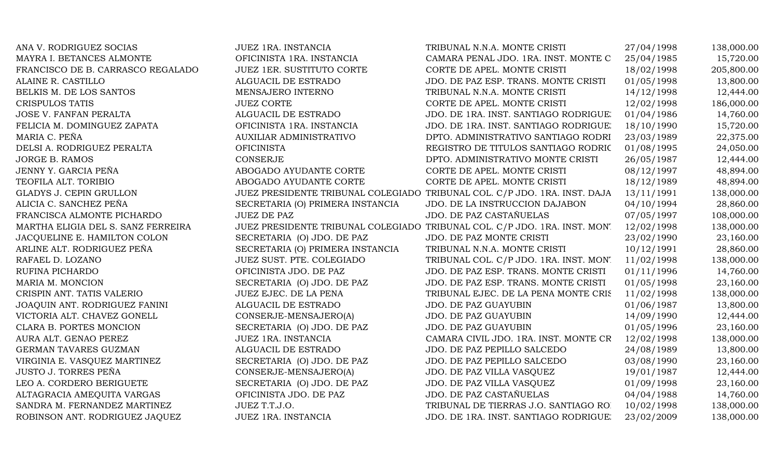| ANA V. RODRIGUEZ SOCIAS            | JUEZ 1RA. INSTANCIA              | TRIBUNAL N.N.A. MONTE CRISTI                                               | 27/04/1998 | 138,000.00 |
|------------------------------------|----------------------------------|----------------------------------------------------------------------------|------------|------------|
| MAYRA I. BETANCES ALMONTE          | OFICINISTA 1RA. INSTANCIA        | CAMARA PENAL JDO. 1RA. INST. MONTE C                                       | 25/04/1985 | 15,720.00  |
| FRANCISCO DE B. CARRASCO REGALADO  | <b>JUEZ 1ER. SUSTITUTO CORTE</b> | CORTE DE APEL. MONTE CRISTI                                                | 18/02/1998 | 205,800.00 |
| ALAINE R. CASTILLO                 | ALGUACIL DE ESTRADO              | JDO. DE PAZ ESP. TRANS. MONTE CRISTI                                       | 01/05/1998 | 13,800.00  |
| BELKIS M. DE LOS SANTOS            | MENSAJERO INTERNO                | TRIBUNAL N.N.A. MONTE CRISTI                                               | 14/12/1998 | 12,444.00  |
| CRISPULOS TATIS                    | <b>JUEZ CORTE</b>                | CORTE DE APEL. MONTE CRISTI                                                | 12/02/1998 | 186,000.00 |
| <b>JOSE V. FANFAN PERALTA</b>      | ALGUACIL DE ESTRADO              | JDO. DE 1RA. INST. SANTIAGO RODRIGUE.                                      | 01/04/1986 | 14,760.00  |
| FELICIA M. DOMINGUEZ ZAPATA        | OFICINISTA 1RA. INSTANCIA        | JDO. DE 1RA. INST. SANTIAGO RODRIGUE.                                      | 18/10/1990 | 15,720.00  |
| MARIA C. PEÑA                      | <b>AUXILIAR ADMINISTRATIVO</b>   | DPTO. ADMINISTRATIVO SANTIAGO RODRI                                        | 23/03/1989 | 22,375.00  |
| DELSI A. RODRIGUEZ PERALTA         | <b>OFICINISTA</b>                | REGISTRO DE TITULOS SANTIAGO RODRIC                                        | 01/08/1995 | 24,050.00  |
| JORGE B. RAMOS                     | <b>CONSERJE</b>                  | DPTO. ADMINISTRATIVO MONTE CRISTI                                          | 26/05/1987 | 12,444.00  |
| JENNY Y. GARCIA PEÑA               | ABOGADO AYUDANTE CORTE           | CORTE DE APEL. MONTE CRISTI                                                | 08/12/1997 | 48,894.00  |
| TEOFILA ALT. TORIBIO               | ABOGADO AYUDANTE CORTE           | CORTE DE APEL. MONTE CRISTI                                                | 18/12/1989 | 48,894.00  |
| GLADYS J. CEPIN GRULLON            |                                  | JUEZ PRESIDENTE TRIBUNAL COLEGIADO TRIBUNAL COL. C/P JDO. 1RA. INST. DAJA  | 13/11/1991 | 138,000.00 |
| ALICIA C. SANCHEZ PEÑA             | SECRETARIA (O) PRIMERA INSTANCIA | JDO. DE LA INSTRUCCION DAJABON                                             | 04/10/1994 | 28,860.00  |
| FRANCISCA ALMONTE PICHARDO         | <b>JUEZ DE PAZ</b>               | JDO. DE PAZ CASTAÑUELAS                                                    | 07/05/1997 | 108,000.00 |
| MARTHA ELIGIA DEL S. SANZ FERREIRA |                                  | JUEZ PRESIDENTE TRIBUNAL COLEGIADO TRIBUNAL COL. C/P JDO. 1RA. INST. MON'. | 12/02/1998 | 138,000.00 |
| JACQUELINE E. HAMILTON COLON       | SECRETARIA (O) JDO. DE PAZ       | JDO. DE PAZ MONTE CRISTI                                                   | 23/02/1990 | 23,160.00  |
| ARLINE ALT. RODRIGUEZ PEÑA         | SECRETARIA (O) PRIMERA INSTANCIA | TRIBUNAL N.N.A. MONTE CRISTI                                               | 10/12/1991 | 28,860.00  |
| RAFAEL D. LOZANO                   | JUEZ SUST. PTE. COLEGIADO        | TRIBUNAL COL. C/P JDO. 1RA. INST. MON.                                     | 11/02/1998 | 138,000.00 |
| RUFINA PICHARDO                    | OFICINISTA JDO. DE PAZ           | JDO. DE PAZ ESP. TRANS. MONTE CRISTI                                       | 01/11/1996 | 14,760.00  |
| MARIA M. MONCION                   | SECRETARIA (O) JDO. DE PAZ       | JDO. DE PAZ ESP. TRANS. MONTE CRISTI                                       | 01/05/1998 | 23,160.00  |
| CRISPIN ANT. TATIS VALERIO         | JUEZ EJEC. DE LA PENA            | TRIBUNAL EJEC. DE LA PENA MONTE CRIS                                       | 11/02/1998 | 138,000.00 |
| JOAQUIN ANT. RODRIGUEZ FANINI      | ALGUACIL DE ESTRADO              | JDO. DE PAZ GUAYUBIN                                                       | 01/06/1987 | 13,800.00  |
| VICTORIA ALT. CHAVEZ GONELL        | CONSERJE-MENSAJERO(A)            | <b>JDO. DE PAZ GUAYUBIN</b>                                                | 14/09/1990 | 12,444.00  |
| CLARA B. PORTES MONCION            | SECRETARIA (O) JDO. DE PAZ       | JDO. DE PAZ GUAYUBIN                                                       | 01/05/1996 | 23,160.00  |
| AURA ALT. GENAO PEREZ              | JUEZ 1RA. INSTANCIA              | CAMARA CIVIL JDO. 1RA. INST. MONTE CR                                      | 12/02/1998 | 138,000.00 |
| GERMAN TAVARES GUZMAN              | ALGUACIL DE ESTRADO              | JDO. DE PAZ PEPILLO SALCEDO                                                | 24/08/1989 | 13,800.00  |
| VIRGINIA E. VASQUEZ MARTINEZ       | SECRETARIA (O) JDO. DE PAZ       | JDO. DE PAZ PEPILLO SALCEDO                                                | 03/08/1990 | 23,160.00  |
| <b>JUSTO J. TORRES PEÑA</b>        | CONSERJE-MENSAJERO(A)            | JDO. DE PAZ VILLA VASQUEZ                                                  | 19/01/1987 | 12,444.00  |
| LEO A. CORDERO BERIGUETE           | SECRETARIA (O) JDO. DE PAZ       | JDO. DE PAZ VILLA VASQUEZ                                                  | 01/09/1998 | 23,160.00  |
| ALTAGRACIA AMEQUITA VARGAS         | OFICINISTA JDO. DE PAZ           | JDO. DE PAZ CASTAÑUELAS                                                    | 04/04/1988 | 14,760.00  |
| SANDRA M. FERNANDEZ MARTINEZ       | JUEZ T.T.J.O.                    | TRIBUNAL DE TIERRAS J.O. SANTIAGO RO.                                      | 10/02/1998 | 138,000.00 |
| ROBINSON ANT. RODRIGUEZ JAQUEZ     | JUEZ 1RA. INSTANCIA              | JDO. DE 1RA. INST. SANTIAGO RODRIGUE.                                      | 23/02/2009 | 138,000.00 |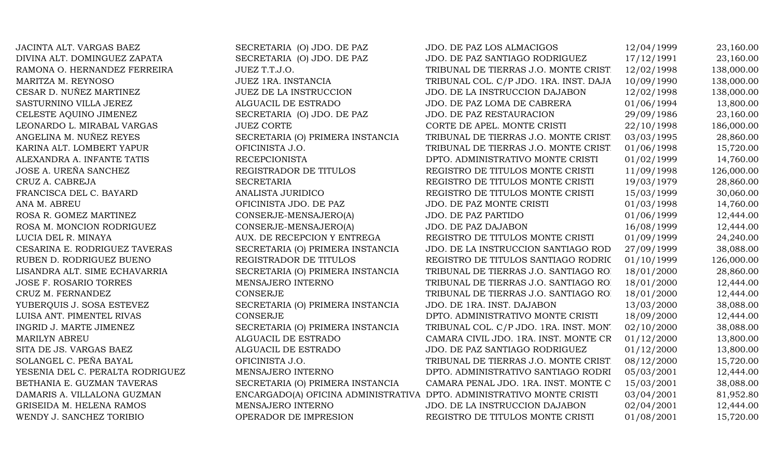| JACINTA ALT. VARGAS BAEZ         | SECRETARIA (O) JDO. DE PAZ                                            | JDO. DE PAZ LOS ALMACIGOS              | 12/04/1999 | 23,160.00  |
|----------------------------------|-----------------------------------------------------------------------|----------------------------------------|------------|------------|
| DIVINA ALT. DOMINGUEZ ZAPATA     | SECRETARIA (O) JDO. DE PAZ                                            | JDO. DE PAZ SANTIAGO RODRIGUEZ         | 17/12/1991 | 23,160.00  |
| RAMONA O. HERNANDEZ FERREIRA     | JUEZ T.T.J.O.                                                         | TRIBUNAL DE TIERRAS J.O. MONTE CRIST.  | 12/02/1998 | 138,000.00 |
| MARITZA M. REYNOSO               | JUEZ 1RA. INSTANCIA                                                   | TRIBUNAL COL. C/P JDO. 1RA. INST. DAJA | 10/09/1990 | 138,000.00 |
| CESAR D. NUÑEZ MARTINEZ          | <b>JUEZ DE LA INSTRUCCION</b>                                         | JDO. DE LA INSTRUCCION DAJABON         | 12/02/1998 | 138,000.00 |
| SASTURNINO VILLA JEREZ           | ALGUACIL DE ESTRADO                                                   | JDO. DE PAZ LOMA DE CABRERA            | 01/06/1994 | 13,800.00  |
| CELESTE AQUINO JIMENEZ           | SECRETARIA (O) JDO. DE PAZ                                            | <b>JDO. DE PAZ RESTAURACION</b>        | 29/09/1986 | 23,160.00  |
| LEONARDO L. MIRABAL VARGAS       | <b>JUEZ CORTE</b>                                                     | CORTE DE APEL. MONTE CRISTI            | 22/10/1998 | 186,000.00 |
| ANGELINA M. NUÑEZ REYES          | SECRETARIA (O) PRIMERA INSTANCIA                                      | TRIBUNAL DE TIERRAS J.O. MONTE CRIST   | 03/03/1995 | 28,860.00  |
| KARINA ALT. LOMBERT YAPUR        | OFICINISTA J.O.                                                       | TRIBUNAL DE TIERRAS J.O. MONTE CRIST   | 01/06/1998 | 15,720.00  |
| ALEXANDRA A. INFANTE TATIS       | <b>RECEPCIONISTA</b>                                                  | DPTO. ADMINISTRATIVO MONTE CRISTI      | 01/02/1999 | 14,760.00  |
| JOSE A. UREÑA SANCHEZ            | REGISTRADOR DE TITULOS                                                | REGISTRO DE TITULOS MONTE CRISTI       | 11/09/1998 | 126,000.00 |
| CRUZ A. CABREJA                  | <b>SECRETARIA</b>                                                     | REGISTRO DE TITULOS MONTE CRISTI       | 19/03/1979 | 28,860.00  |
| FRANCISCA DEL C. BAYARD          | ANALISTA JURIDICO                                                     | REGISTRO DE TITULOS MONTE CRISTI       | 15/03/1999 | 30,060.00  |
| ANA M. ABREU                     | OFICINISTA JDO. DE PAZ                                                | JDO. DE PAZ MONTE CRISTI               | 01/03/1998 | 14,760.00  |
| ROSA R. GOMEZ MARTINEZ           | CONSERJE-MENSAJERO(A)                                                 | JDO. DE PAZ PARTIDO                    | 01/06/1999 | 12,444.00  |
| ROSA M. MONCION RODRIGUEZ        | CONSERJE-MENSAJERO(A)                                                 | JDO. DE PAZ DAJABON                    | 16/08/1999 | 12,444.00  |
| LUCIA DEL R. MINAYA              | AUX. DE RECEPCION Y ENTREGA                                           | REGISTRO DE TITULOS MONTE CRISTI       | 01/09/1999 | 24,240.00  |
| CESARINA E. RODRIGUEZ TAVERAS    | SECRETARIA (O) PRIMERA INSTANCIA                                      | JDO. DE LA INSTRUCCION SANTIAGO ROD    | 27/09/1999 | 38,088.00  |
| RUBEN D. RODRIGUEZ BUENO         | REGISTRADOR DE TITULOS                                                | REGISTRO DE TITULOS SANTIAGO RODRIC    | 01/10/1999 | 126,000.00 |
| LISANDRA ALT. SIME ECHAVARRIA    | SECRETARIA (O) PRIMERA INSTANCIA                                      | TRIBUNAL DE TIERRAS J.O. SANTIAGO RO.  | 18/01/2000 | 28,860.00  |
| <b>JOSE F. ROSARIO TORRES</b>    | MENSAJERO INTERNO                                                     | TRIBUNAL DE TIERRAS J.O. SANTIAGO RO.  | 18/01/2000 | 12,444.00  |
| CRUZ M. FERNANDEZ                | <b>CONSERJE</b>                                                       | TRIBUNAL DE TIERRAS J.O. SANTIAGO RO.  | 18/01/2000 | 12,444.00  |
| YUBERQUIS J. SOSA ESTEVEZ        | SECRETARIA (O) PRIMERA INSTANCIA                                      | JDO. DE 1RA. INST. DAJABON             | 13/03/2000 | 38,088.00  |
| LUISA ANT. PIMENTEL RIVAS        | <b>CONSERJE</b>                                                       | DPTO. ADMINISTRATIVO MONTE CRISTI      | 18/09/2000 | 12,444.00  |
| INGRID J. MARTE JIMENEZ          | SECRETARIA (O) PRIMERA INSTANCIA                                      | TRIBUNAL COL. C/P JDO. 1RA. INST. MON. | 02/10/2000 | 38,088.00  |
| <b>MARILYN ABREU</b>             | ALGUACIL DE ESTRADO                                                   | CAMARA CIVIL JDO. 1RA. INST. MONTE CR  | 01/12/2000 | 13,800.00  |
| SITA DE JS. VARGAS BAEZ          | ALGUACIL DE ESTRADO                                                   | JDO. DE PAZ SANTIAGO RODRIGUEZ         | 01/12/2000 | 13,800.00  |
| SOLANGEL C. PEÑA BAYAL           | OFICINISTA J.O.                                                       | TRIBUNAL DE TIERRAS J.O. MONTE CRIST   | 08/12/2000 | 15,720.00  |
| YESENIA DEL C. PERALTA RODRIGUEZ | MENSAJERO INTERNO                                                     | DPTO. ADMINISTRATIVO SANTIAGO RODRI    | 05/03/2001 | 12,444.00  |
| BETHANIA E. GUZMAN TAVERAS       | SECRETARIA (O) PRIMERA INSTANCIA                                      | CAMARA PENAL JDO. 1RA. INST. MONTE C   | 15/03/2001 | 38,088.00  |
| DAMARIS A. VILLALONA GUZMAN      | ENCARGADO(A) OFICINA ADMINISTRATIVA DPTO. ADMINISTRATIVO MONTE CRISTI |                                        | 03/04/2001 | 81,952.80  |
| GRISEIDA M. HELENA RAMOS         | MENSAJERO INTERNO                                                     | JDO. DE LA INSTRUCCION DAJABON         | 02/04/2001 | 12,444.00  |
| WENDY J. SANCHEZ TORIBIO         | OPERADOR DE IMPRESION                                                 | REGISTRO DE TITULOS MONTE CRISTI       | 01/08/2001 | 15,720.00  |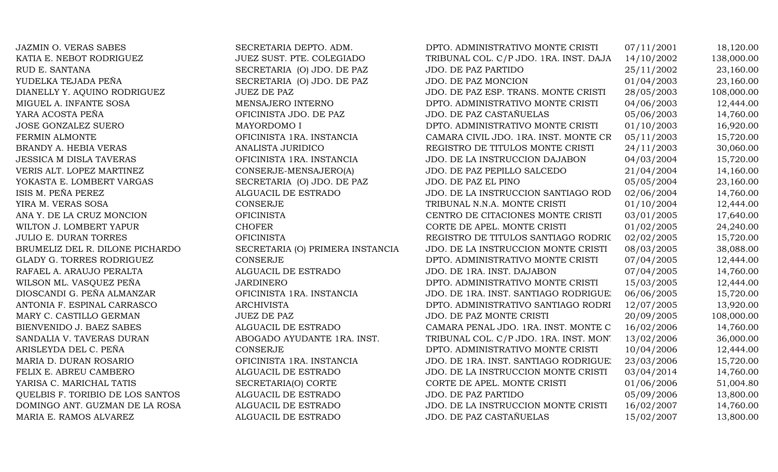| <b>JAZMIN O. VERAS SABES</b>     | SECRETARIA DEPTO. ADM.           | DPTO. ADMINISTRATIVO MONTE CRISTI      | 07/11/2001 | 18,120.00  |
|----------------------------------|----------------------------------|----------------------------------------|------------|------------|
| KATIA E. NEBOT RODRIGUEZ         | JUEZ SUST. PTE. COLEGIADO        | TRIBUNAL COL. C/P JDO. 1RA. INST. DAJA | 14/10/2002 | 138,000.00 |
| RUD E. SANTANA                   | SECRETARIA (O) JDO. DE PAZ       | <b>JDO. DE PAZ PARTIDO</b>             | 25/11/2002 | 23,160.00  |
| YUDELKA TEJADA PEÑA              | SECRETARIA (O) JDO. DE PAZ       | JDO. DE PAZ MONCION                    | 01/04/2003 | 23,160.00  |
| DIANELLY Y. AQUINO RODRIGUEZ     | <b>JUEZ DE PAZ</b>               | JDO. DE PAZ ESP. TRANS. MONTE CRISTI   | 28/05/2003 | 108,000.00 |
| MIGUEL A. INFANTE SOSA           | MENSAJERO INTERNO                | DPTO. ADMINISTRATIVO MONTE CRISTI      | 04/06/2003 | 12,444.00  |
| YARA ACOSTA PEÑA                 | OFICINISTA JDO. DE PAZ           | JDO. DE PAZ CASTAÑUELAS                | 05/06/2003 | 14,760.00  |
| <b>JOSE GONZALEZ SUERO</b>       | MAYORDOMO I                      | DPTO. ADMINISTRATIVO MONTE CRISTI      | 01/10/2003 | 16,920.00  |
| FERMIN ALMONTE                   | OFICINISTA 1RA. INSTANCIA        | CAMARA CIVIL JDO. 1RA. INST. MONTE CR  | 05/11/2003 | 15,720.00  |
| BRANDY A. HEBIA VERAS            | ANALISTA JURIDICO                | REGISTRO DE TITULOS MONTE CRISTI       | 24/11/2003 | 30,060.00  |
| <b>JESSICA M DISLA TAVERAS</b>   | OFICINISTA 1RA. INSTANCIA        | JDO. DE LA INSTRUCCION DAJABON         | 04/03/2004 | 15,720.00  |
| VERIS ALT. LOPEZ MARTINEZ        | CONSERJE-MENSAJERO(A)            | JDO. DE PAZ PEPILLO SALCEDO            | 21/04/2004 | 14,160.00  |
| YOKASTA E. LOMBERT VARGAS        | SECRETARIA (O) JDO. DE PAZ       | JDO. DE PAZ EL PINO                    | 05/05/2004 | 23,160.00  |
| ISIS M. PEÑA PEREZ               | ALGUACIL DE ESTRADO              | JDO. DE LA INSTRUCCION SANTIAGO ROD    | 02/06/2004 | 14,760.00  |
| YIRA M. VERAS SOSA               | CONSERJE                         | TRIBUNAL N.N.A. MONTE CRISTI           | 01/10/2004 | 12,444.00  |
| ANA Y. DE LA CRUZ MONCION        | <b>OFICINISTA</b>                | CENTRO DE CITACIONES MONTE CRISTI      | 03/01/2005 | 17,640.00  |
| WILTON J. LOMBERT YAPUR          | <b>CHOFER</b>                    | CORTE DE APEL. MONTE CRISTI            | 01/02/2005 | 24,240.00  |
| <b>JULIO E. DURAN TORRES</b>     | <b>OFICINISTA</b>                | REGISTRO DE TITULOS SANTIAGO RODRIC    | 02/02/2005 | 15,720.00  |
| BRUMELIZ DEL R. DILONE PICHARDO  | SECRETARIA (O) PRIMERA INSTANCIA | JDO. DE LA INSTRUCCION MONTE CRISTI    | 08/03/2005 | 38,088.00  |
| <b>GLADY G. TORRES RODRIGUEZ</b> | <b>CONSERJE</b>                  | DPTO. ADMINISTRATIVO MONTE CRISTI      | 07/04/2005 | 12,444.00  |
| RAFAEL A. ARAUJO PERALTA         | ALGUACIL DE ESTRADO              | JDO. DE 1RA. INST. DAJABON             | 07/04/2005 | 14,760.00  |
| WILSON ML. VASQUEZ PEÑA          | <b>JARDINERO</b>                 | DPTO. ADMINISTRATIVO MONTE CRISTI      | 15/03/2005 | 12,444.00  |
| DIOSCANDI G. PEÑA ALMANZAR       | OFICINISTA 1RA. INSTANCIA        | JDO. DE 1RA. INST. SANTIAGO RODRIGUE.  | 06/06/2005 | 15,720.00  |
| ANTONIA F. ESPINAL CARRASCO      | <b>ARCHIVISTA</b>                | DPTO. ADMINISTRATIVO SANTIAGO RODRI    | 12/07/2005 | 13,920.00  |
| MARY C. CASTILLO GERMAN          | <b>JUEZ DE PAZ</b>               | JDO. DE PAZ MONTE CRISTI               | 20/09/2005 | 108,000.00 |
| BIENVENIDO J. BAEZ SABES         | ALGUACIL DE ESTRADO              | CAMARA PENAL JDO. 1RA. INST. MONTE C   | 16/02/2006 | 14,760.00  |
| SANDALIA V. TAVERAS DURAN        | ABOGADO AYUDANTE 1RA. INST.      | TRIBUNAL COL. C/P JDO. 1RA. INST. MON. | 13/02/2006 | 36,000.00  |
| ARISLEYDA DEL C. PEÑA            | CONSERJE                         | DPTO. ADMINISTRATIVO MONTE CRISTI      | 10/04/2006 | 12,444.00  |
| MARIA D. DURAN ROSARIO           | OFICINISTA 1RA. INSTANCIA        | JDO. DE 1RA. INST. SANTIAGO RODRIGUE.  | 23/03/2006 | 15,720.00  |
| FELIX E. ABREU CAMBERO           | ALGUACIL DE ESTRADO              | JDO. DE LA INSTRUCCION MONTE CRISTI    | 03/04/2014 | 14,760.00  |
| YARISA C. MARICHAL TATIS         | SECRETARIA(O) CORTE              | CORTE DE APEL. MONTE CRISTI            | 01/06/2006 | 51,004.80  |
| QUELBIS F. TORIBIO DE LOS SANTOS | ALGUACIL DE ESTRADO              | JDO. DE PAZ PARTIDO                    | 05/09/2006 | 13,800.00  |
| DOMINGO ANT. GUZMAN DE LA ROSA   | ALGUACIL DE ESTRADO              | JDO. DE LA INSTRUCCION MONTE CRISTI    | 16/02/2007 | 14,760.00  |
| MARIA E. RAMOS ALVAREZ           | ALGUACIL DE ESTRADO              | JDO. DE PAZ CASTAÑUELAS                | 15/02/2007 | 13,800.00  |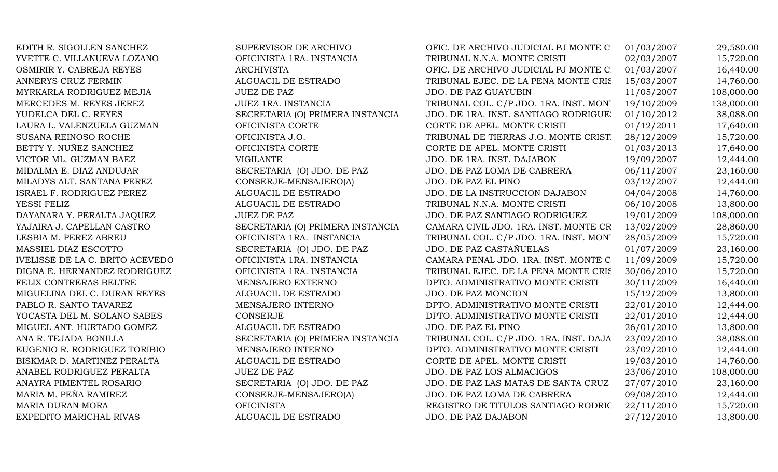EDITH R. SIGOLLEN SANCHEZ SUPERVISOR DE ARCHIVO YVETTE C. VILLANUEVA LOZANO OFICINISTA 1RA. INSTANCIA OSMIRIR Y. CABREJA REYES ARCHIVISTA ANNERYS CRUZ FERMIN ALGUACIL DE ESTRADO MYRKARLA RODRIGUEZ MEJIA  $JUEZ$  DE PAZ MERCEDES M. REYES JEREZ JUEZ 1RA. INSTANCIA LAURA L. VALENZUELA GUZMAN OFICINISTA CORTE SUSANA REINOSO ROCHE OFICINISTA J.O. BETTY Y. NUÑEZ SANCHEZ OFICINISTA CORTE VICTOR ML. GUZMAN BAEZ VIGILANTE MIDALMA E. DIAZ ANDUJAR SECRETARIA (O) JDO. DE PAZ MILADYS ALT. SANTANA PEREZ CONSERJE-MENSAJERO(A) ISRAEL F. RODRIGUEZ PEREZ ALGUACIL DE ESTRADO YESSI FELIZ ALGUACIL DE ESTRADO DAYANARA Y. PERALTA JAQUEZ JUEZ DE PAZ LESBIA M. PEREZ ABREU **OFICINISTA 1RA. INSTANCIA** MASSIEL DIAZ ESCOTTO SECRETARIA (O) JDO. DE PAZ IVELISSE DE LA C. BRITO ACEVEDO OFICINISTA 1RA. INSTANCIA DIGNA E. HERNANDEZ RODRIGUEZ OFICINISTA 1RA. INSTANCIA FELIX CONTRERAS BELTRE MENSAJERO EXTERNO MIGUELINA DEL C. DURAN REYES ALGUACIL DE ESTRADO PABLO R. SANTO TAVAREZ MENSAJERO INTERNO YOCASTA DEL M. SOLANO SABES CONSERJE MIGUEL ANT. HURTADO GOMEZ ALGUACIL DE ESTRADO EUGENIO R. RODRIGUEZ TORIBIO MENSAJERO INTERNO BISKMAR D. MARTINEZ PERALTA ALGUACIL DE ESTRADO ANABEL RODRIGUEZ PERALTA JUEZ DE PAZ ANAYRA PIMENTEL ROSARIO SECRETARIA (O) JDO. DE PAZ MARIA M. PEÑA RAMIREZ CONSERJE-MENSAJERO(A) MARIA DURAN MORA OFICINISTA EXPEDITO MARICHAL RIVAS ALGUACIL DE ESTRADO

YUDELCA DEL C. REYES SECRETARIA (O) PRIMERA INSTANCIA YAJAIRA J. CAPELLAN CASTRO SECRETARIA (O) PRIMERA INSTANCIA ANA R. TEJADA BONILLA SECRETARIA (O) PRIMERA INSTANCIA

| OFIC. DE ARCHIVO JUDICIAL PJ MONTE C   | 01/03/2007 | 29,580.00  |
|----------------------------------------|------------|------------|
| TRIBUNAL N.N.A. MONTE CRISTI           | 02/03/2007 | 15,720.00  |
| OFIC. DE ARCHIVO JUDICIAL PJ MONTE C   | 01/03/2007 | 16,440.00  |
| TRIBUNAL EJEC. DE LA PENA MONTE CRIS   | 15/03/2007 | 14,760.00  |
| JDO. DE PAZ GUAYUBIN                   | 11/05/2007 | 108,000.00 |
| TRIBUNAL COL. C/P JDO. 1RA. INST. MON. | 19/10/2009 | 138,000.00 |
| JDO. DE 1RA. INST. SANTIAGO RODRIGUE.  | 01/10/2012 | 38,088.00  |
| CORTE DE APEL. MONTE CRISTI            | 01/12/2011 | 17,640.00  |
| TRIBUNAL DE TIERRAS J.O. MONTE CRIST   | 28/12/2009 | 15,720.00  |
| CORTE DE APEL. MONTE CRISTI            | 01/03/2013 | 17,640.00  |
| JDO. DE 1RA. INST. DAJABON             | 19/09/2007 | 12,444.00  |
| JDO. DE PAZ LOMA DE CABRERA            | 06/11/2007 | 23,160.00  |
| JDO. DE PAZ EL PINO                    | 03/12/2007 | 12,444.00  |
| JDO. DE LA INSTRUCCION DAJABON         | 04/04/2008 | 14,760.00  |
| TRIBUNAL N.N.A. MONTE CRISTI           | 06/10/2008 | 13,800.00  |
| JDO. DE PAZ SANTIAGO RODRIGUEZ         | 19/01/2009 | 108,000.00 |
| CAMARA CIVIL JDO. 1RA. INST. MONTE CR  | 13/02/2009 | 28,860.00  |
| TRIBUNAL COL. C/P JDO. 1RA. INST. MON. | 28/05/2009 | 15,720.00  |
| JDO. DE PAZ CASTAÑUELAS                | 01/07/2009 | 23,160.00  |
| CAMARA PENAL JDO. 1RA. INST. MONTE C   | 11/09/2009 | 15,720.00  |
| TRIBUNAL EJEC. DE LA PENA MONTE CRIS   | 30/06/2010 | 15,720.00  |
| DPTO. ADMINISTRATIVO MONTE CRISTI      | 30/11/2009 | 16,440.00  |
| JDO. DE PAZ MONCION                    | 15/12/2009 | 13,800.00  |
| DPTO. ADMINISTRATIVO MONTE CRISTI      | 22/01/2010 | 12,444.00  |
| DPTO. ADMINISTRATIVO MONTE CRISTI      | 22/01/2010 | 12,444.00  |
| JDO. DE PAZ EL PINO                    | 26/01/2010 | 13,800.00  |
| TRIBUNAL COL. C/P JDO. 1RA. INST. DAJA | 23/02/2010 | 38,088.00  |
| DPTO. ADMINISTRATIVO MONTE CRISTI      | 23/02/2010 | 12,444.00  |
| CORTE DE APEL. MONTE CRISTI            | 19/03/2010 | 14,760.00  |
| JDO. DE PAZ LOS ALMACIGOS              | 23/06/2010 | 108,000.00 |
| JDO. DE PAZ LAS MATAS DE SANTA CRUZ    | 27/07/2010 | 23,160.00  |
| JDO. DE PAZ LOMA DE CABRERA            | 09/08/2010 | 12,444.00  |
| REGISTRO DE TITULOS SANTIAGO RODRIC    | 22/11/2010 | 15,720.00  |
| <b>JDO. DE PAZ DAJABON</b>             | 27/12/2010 | 13,800.00  |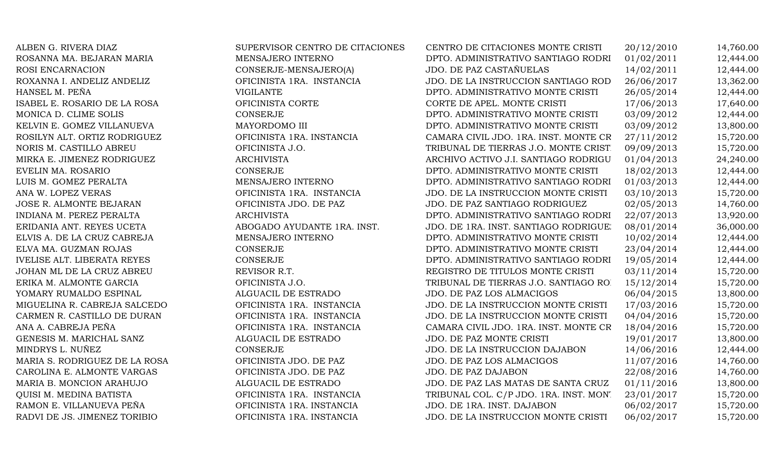| ALBEN G. RIVERA DIAZ               | SUPERVISOR CENTRO DE CITACIONES | CENTRO DE CITACIONES MONTE CRISTI      | 20/12/2010 | 14,760.00 |
|------------------------------------|---------------------------------|----------------------------------------|------------|-----------|
| ROSANNA MA. BEJARAN MARIA          | MENSAJERO INTERNO               | DPTO. ADMINISTRATIVO SANTIAGO RODRI    | 01/02/2011 | 12,444.00 |
| ROSI ENCARNACION                   | CONSERJE-MENSAJERO(A)           | JDO. DE PAZ CASTAÑUELAS                | 14/02/2011 | 12,444.00 |
| ROXANNA I. ANDELIZ ANDELIZ         | OFICINISTA 1RA. INSTANCIA       | JDO. DE LA INSTRUCCION SANTIAGO ROD    | 26/06/2017 | 13,362.00 |
| HANSEL M. PEÑA                     | <b>VIGILANTE</b>                | DPTO. ADMINISTRATIVO MONTE CRISTI      | 26/05/2014 | 12,444.00 |
| ISABEL E. ROSARIO DE LA ROSA       | OFICINISTA CORTE                | CORTE DE APEL. MONTE CRISTI            | 17/06/2013 | 17,640.00 |
| MONICA D. CLIME SOLIS              | <b>CONSERJE</b>                 | DPTO. ADMINISTRATIVO MONTE CRISTI      | 03/09/2012 | 12,444.00 |
| KELVIN E. GOMEZ VILLANUEVA         | MAYORDOMO III                   | DPTO. ADMINISTRATIVO MONTE CRISTI      | 03/09/2012 | 13,800.00 |
| ROSILYN ALT. ORTIZ RODRIGUEZ       | OFICINISTA 1RA. INSTANCIA       | CAMARA CIVIL JDO. 1RA. INST. MONTE CR  | 27/11/2012 | 15,720.00 |
| NORIS M. CASTILLO ABREU            | OFICINISTA J.O.                 | TRIBUNAL DE TIERRAS J.O. MONTE CRIST   | 09/09/2013 | 15,720.00 |
| MIRKA E. JIMENEZ RODRIGUEZ         | <b>ARCHIVISTA</b>               | ARCHIVO ACTIVO J.I. SANTIAGO RODRIGU   | 01/04/2013 | 24,240.00 |
| EVELIN MA. ROSARIO                 | <b>CONSERJE</b>                 | DPTO. ADMINISTRATIVO MONTE CRISTI      | 18/02/2013 | 12,444.00 |
| LUIS M. GOMEZ PERALTA              | MENSAJERO INTERNO               | DPTO. ADMINISTRATIVO SANTIAGO RODRI    | 01/03/2013 | 12,444.00 |
| ANA W. LOPEZ VERAS                 | OFICINISTA 1RA. INSTANCIA       | JDO. DE LA INSTRUCCION MONTE CRISTI    | 03/10/2013 | 15,720.00 |
| JOSE R. ALMONTE BEJARAN            | OFICINISTA JDO. DE PAZ          | JDO. DE PAZ SANTIAGO RODRIGUEZ         | 02/05/2013 | 14,760.00 |
| INDIANA M. PEREZ PERALTA           | <b>ARCHIVISTA</b>               | DPTO. ADMINISTRATIVO SANTIAGO RODRI    | 22/07/2013 | 13,920.00 |
| ERIDANIA ANT. REYES UCETA          | ABOGADO AYUDANTE 1RA. INST.     | JDO. DE 1RA. INST. SANTIAGO RODRIGUE.  | 08/01/2014 | 36,000.00 |
| ELVIS A. DE LA CRUZ CABREJA        | MENSAJERO INTERNO               | DPTO. ADMINISTRATIVO MONTE CRISTI      | 10/02/2014 | 12,444.00 |
| ELVA MA. GUZMAN ROJAS              | <b>CONSERJE</b>                 | DPTO. ADMINISTRATIVO MONTE CRISTI      | 23/04/2014 | 12,444.00 |
| <b>IVELISE ALT. LIBERATA REYES</b> | <b>CONSERJE</b>                 | DPTO. ADMINISTRATIVO SANTIAGO RODRI    | 19/05/2014 | 12,444.00 |
| JOHAN ML DE LA CRUZ ABREU          | REVISOR R.T.                    | REGISTRO DE TITULOS MONTE CRISTI       | 03/11/2014 | 15,720.00 |
| ERIKA M. ALMONTE GARCIA            | OFICINISTA J.O.                 | TRIBUNAL DE TIERRAS J.O. SANTIAGO RO.  | 15/12/2014 | 15,720.00 |
| YOMARY RUMALDO ESPINAL             | ALGUACIL DE ESTRADO             | JDO. DE PAZ LOS ALMACIGOS              | 06/04/2015 | 13,800.00 |
| MIGUELINA R. CABREJA SALCEDO       | OFICINISTA 1RA. INSTANCIA       | JDO. DE LA INSTRUCCION MONTE CRISTI    | 17/03/2016 | 15,720.00 |
| CARMEN R. CASTILLO DE DURAN        | OFICINISTA 1RA. INSTANCIA       | JDO. DE LA INSTRUCCION MONTE CRISTI    | 04/04/2016 | 15,720.00 |
| ANA A. CABREJA PEÑA                | OFICINISTA 1RA. INSTANCIA       | CAMARA CIVIL JDO. 1RA. INST. MONTE CR  | 18/04/2016 | 15,720.00 |
| GENESIS M. MARICHAL SANZ           | ALGUACIL DE ESTRADO             | JDO. DE PAZ MONTE CRISTI               | 19/01/2017 | 13,800.00 |
| MINDRYS L. NUÑEZ                   | <b>CONSERJE</b>                 | JDO. DE LA INSTRUCCION DAJABON         | 14/06/2016 | 12,444.00 |
| MARIA S. RODRIGUEZ DE LA ROSA      | OFICINISTA JDO. DE PAZ          | JDO. DE PAZ LOS ALMACIGOS              | 11/07/2016 | 14,760.00 |
| CAROLINA E. ALMONTE VARGAS         | OFICINISTA JDO. DE PAZ          | JDO. DE PAZ DAJABON                    | 22/08/2016 | 14,760.00 |
| MARIA B. MONCION ARAHUJO           | ALGUACIL DE ESTRADO             | JDO. DE PAZ LAS MATAS DE SANTA CRUZ    | 01/11/2016 | 13,800.00 |
| QUISI M. MEDINA BATISTA            | OFICINISTA 1RA. INSTANCIA       | TRIBUNAL COL. C/P JDO. 1RA. INST. MON. | 23/01/2017 | 15,720.00 |
| RAMON E. VILLANUEVA PEÑA           | OFICINISTA 1RA. INSTANCIA       | JDO. DE 1RA. INST. DAJABON             | 06/02/2017 | 15,720.00 |
| RADVI DE JS. JIMENEZ TORIBIO       | OFICINISTA 1RA. INSTANCIA       | JDO. DE LA INSTRUCCION MONTE CRISTI    | 06/02/2017 | 15,720.00 |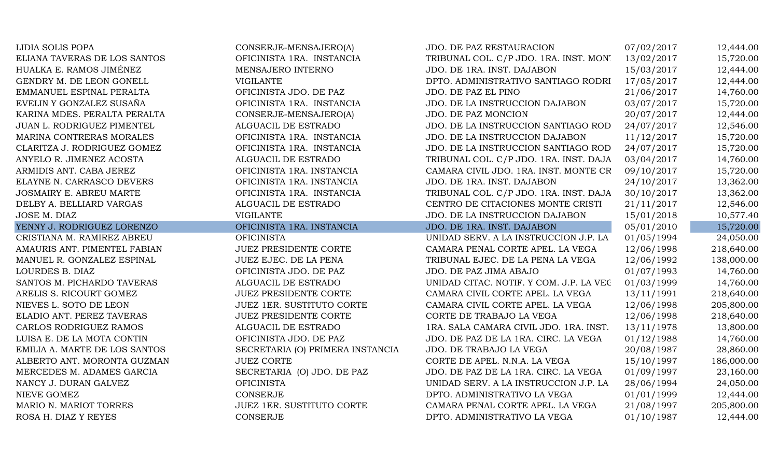| LIDIA SOLIS POPA               | CONSERJE-MENSAJERO(A)            | JDO. DE PAZ RESTAURACION                | 07/02/2017 | 12,444.00  |
|--------------------------------|----------------------------------|-----------------------------------------|------------|------------|
| ELIANA TAVERAS DE LOS SANTOS   | OFICINISTA 1RA. INSTANCIA        | TRIBUNAL COL. C/P JDO. 1RA. INST. MON.  | 13/02/2017 | 15,720.00  |
| HUALKA E. RAMOS JIMÉNEZ        | MENSAJERO INTERNO                | JDO. DE 1RA. INST. DAJABON              | 15/03/2017 | 12,444.00  |
| GENDRY M. DE LEON GONELL       | <b>VIGILANTE</b>                 | DPTO. ADMINISTRATIVO SANTIAGO RODRI     | 17/05/2017 | 12,444.00  |
| EMMANUEL ESPINAL PERALTA       | OFICINISTA JDO. DE PAZ           | JDO. DE PAZ EL PINO                     | 21/06/2017 | 14,760.00  |
| EVELIN Y GONZALEZ SUSAÑA       | OFICINISTA 1RA. INSTANCIA        | JDO. DE LA INSTRUCCION DAJABON          | 03/07/2017 | 15,720.00  |
| KARINA MDES. PERALTA PERALTA   | CONSERJE-MENSAJERO(A)            | JDO. DE PAZ MONCION                     | 20/07/2017 | 12,444.00  |
| JUAN L. RODRIGUEZ PIMENTEL     | ALGUACIL DE ESTRADO              | JDO. DE LA INSTRUCCION SANTIAGO ROD     | 24/07/2017 | 12,546.00  |
| MARINA CONTRERAS MORALES       | OFICINISTA 1RA. INSTANCIA        | JDO. DE LA INSTRUCCION DAJABON          | 11/12/2017 | 15,720.00  |
| CLARITZA J. RODRIGUEZ GOMEZ    | OFICINISTA 1RA. INSTANCIA        | JDO. DE LA INSTRUCCION SANTIAGO ROD     | 24/07/2017 | 15,720.00  |
| ANYELO R. JIMENEZ ACOSTA       | ALGUACIL DE ESTRADO              | TRIBUNAL COL. C/P JDO. 1RA. INST. DAJA  | 03/04/2017 | 14,760.00  |
| ARMIDIS ANT. CABA JEREZ        | OFICINISTA 1RA. INSTANCIA        | CAMARA CIVIL JDO. 1RA. INST. MONTE CR   | 09/10/2017 | 15,720.00  |
| ELAYNE N. CARRASCO DEVERS      | OFICINISTA 1RA. INSTANCIA        | JDO. DE 1RA. INST. DAJABON              | 24/10/2017 | 13,362.00  |
| <b>JOSMAIRY E. ABREU MARTE</b> | OFICINISTA 1RA. INSTANCIA        | TRIBUNAL COL. C/P JDO. 1RA. INST. DAJA  | 30/10/2017 | 13,362.00  |
| DELBY A. BELLIARD VARGAS       | ALGUACIL DE ESTRADO              | CENTRO DE CITACIONES MONTE CRISTI       | 21/11/2017 | 12,546.00  |
| JOSE M. DIAZ                   | <b>VIGILANTE</b>                 | JDO. DE LA INSTRUCCION DAJABON          | 15/01/2018 | 10,577.40  |
| YENNY J. RODRIGUEZ LORENZO     | OFICINISTA 1RA. INSTANCIA        | JDO. DE 1RA. INST. DAJABON              | 05/01/2010 | 15,720.00  |
| CRISTIANA M. RAMIREZ ABREU     | <b>OFICINISTA</b>                | UNIDAD SERV. A LA INSTRUCCION J.P. LA   | 01/05/1994 | 24,050.00  |
| AMAURIS ANT. PIMENTEL FABIAN   | <b>JUEZ PRESIDENTE CORTE</b>     | CAMARA PENAL CORTE APEL. LA VEGA        | 12/06/1998 | 218,640.00 |
| MANUEL R. GONZALEZ ESPINAL     | JUEZ EJEC. DE LA PENA            | TRIBUNAL EJEC. DE LA PENA LA VEGA       | 12/06/1992 | 138,000.00 |
| LOURDES B. DIAZ                | OFICINISTA JDO. DE PAZ           | JDO. DE PAZ JIMA ABAJO                  | 01/07/1993 | 14,760.00  |
| SANTOS M. PICHARDO TAVERAS     | ALGUACIL DE ESTRADO              | UNIDAD CITAC. NOTIF. Y COM. J.P. LA VEC | 01/03/1999 | 14,760.00  |
| ARELIS S. RICOURT GOMEZ        | <b>JUEZ PRESIDENTE CORTE</b>     | CAMARA CIVIL CORTE APEL. LA VEGA        | 13/11/1991 | 218,640.00 |
| NIEVES L. SOTO DE LEON         | JUEZ 1ER. SUSTITUTO CORTE        | CAMARA CIVIL CORTE APEL. LA VEGA        | 12/06/1998 | 205,800.00 |
| ELADIO ANT. PEREZ TAVERAS      | <b>JUEZ PRESIDENTE CORTE</b>     | CORTE DE TRABAJO LA VEGA                | 12/06/1998 | 218,640.00 |
| CARLOS RODRIGUEZ RAMOS         | ALGUACIL DE ESTRADO              | 1RA. SALA CAMARA CIVIL JDO. 1RA. INST.  | 13/11/1978 | 13,800.00  |
| LUISA E. DE LA MOTA CONTIN     | OFICINISTA JDO. DE PAZ           | JDO. DE PAZ DE LA 1RA. CIRC. LA VEGA    | 01/12/1988 | 14,760.00  |
| EMILIA A. MARTE DE LOS SANTOS  | SECRETARIA (O) PRIMERA INSTANCIA | JDO. DE TRABAJO LA VEGA                 | 20/08/1987 | 28,860.00  |
| ALBERTO ANT. MORONTA GUZMAN    | <b>JUEZ CORTE</b>                | CORTE DE APEL. N.N.A. LA VEGA           | 15/10/1997 | 186,000.00 |
| MERCEDES M. ADAMES GARCIA      | SECRETARIA (O) JDO. DE PAZ       | JDO. DE PAZ DE LA 1RA. CIRC. LA VEGA    | 01/09/1997 | 23,160.00  |
| NANCY J. DURAN GALVEZ          | <b>OFICINISTA</b>                | UNIDAD SERV. A LA INSTRUCCION J.P. LA   | 28/06/1994 | 24,050.00  |
| NIEVE GOMEZ                    | CONSERJE                         | DPTO. ADMINISTRATIVO LA VEGA            | 01/01/1999 | 12,444.00  |
| MARIO N. MARIOT TORRES         | <b>JUEZ 1ER. SUSTITUTO CORTE</b> | CAMARA PENAL CORTE APEL. LA VEGA        | 21/08/1997 | 205,800.00 |
| ROSA H. DIAZ Y REYES           | <b>CONSERJE</b>                  | DPTO. ADMINISTRATIVO LA VEGA            | 01/10/1987 | 12,444.00  |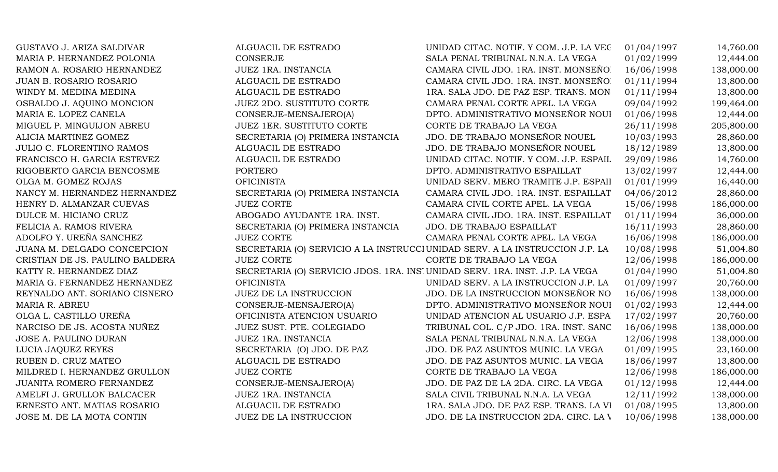| GUSTAVO J. ARIZA SALDIVAR        | ALGUACIL DE ESTRADO                                                          | UNIDAD CITAC. NOTIF. Y COM. J.P. LA VEC                                      | 01/04/1997 | 14,760.00  |
|----------------------------------|------------------------------------------------------------------------------|------------------------------------------------------------------------------|------------|------------|
| MARIA P. HERNANDEZ POLONIA       | <b>CONSERJE</b>                                                              | SALA PENAL TRIBUNAL N.N.A. LA VEGA                                           | 01/02/1999 | 12,444.00  |
| RAMON A. ROSARIO HERNANDEZ       | JUEZ 1RA. INSTANCIA                                                          | CAMARA CIVIL JDO. 1RA. INST. MONSEÑO.                                        | 16/06/1998 | 138,000.00 |
| <b>JUAN B. ROSARIO ROSARIO</b>   | ALGUACIL DE ESTRADO                                                          | CAMARA CIVIL JDO. 1RA. INST. MONSEÑO.                                        | 01/11/1994 | 13,800.00  |
| WINDY M. MEDINA MEDINA           | ALGUACIL DE ESTRADO                                                          | 1RA. SALA JDO. DE PAZ ESP. TRANS. MON                                        | 01/11/1994 | 13,800.00  |
| OSBALDO J. AQUINO MONCION        | <b>JUEZ 2DO. SUSTITUTO CORTE</b>                                             | CAMARA PENAL CORTE APEL. LA VEGA                                             | 09/04/1992 | 199,464.00 |
| MARIA E. LOPEZ CANELA            | CONSERJE-MENSAJERO(A)                                                        | DPTO. ADMINISTRATIVO MONSEÑOR NOUI                                           | 01/06/1998 | 12,444.00  |
| MIGUEL P. MINGUIJON ABREU        | JUEZ 1ER. SUSTITUTO CORTE                                                    | CORTE DE TRABAJO LA VEGA                                                     | 26/11/1998 | 205,800.00 |
| ALICIA MARTINEZ GOMEZ            | SECRETARIA (O) PRIMERA INSTANCIA                                             | JDO. DE TRABAJO MONSEÑOR NOUEL                                               | 10/03/1993 | 28,860.00  |
| <b>JULIO C. FLORENTINO RAMOS</b> | ALGUACIL DE ESTRADO                                                          | JDO. DE TRABAJO MONSEÑOR NOUEL                                               | 18/12/1989 | 13,800.00  |
| FRANCISCO H. GARCIA ESTEVEZ      | ALGUACIL DE ESTRADO                                                          | UNIDAD CITAC. NOTIF. Y COM. J.P. ESPAIL                                      | 29/09/1986 | 14,760.00  |
| RIGOBERTO GARCIA BENCOSME        | <b>PORTERO</b>                                                               | DPTO. ADMINISTRATIVO ESPAILLAT                                               | 13/02/1997 | 12,444.00  |
| OLGA M. GOMEZ ROJAS              | <b>OFICINISTA</b>                                                            | UNIDAD SERV. MERO TRAMITE J.P. ESPAII                                        | 01/01/1999 | 16,440.00  |
| NANCY M. HERNANDEZ HERNANDEZ     | SECRETARIA (O) PRIMERA INSTANCIA                                             | CAMARA CIVIL JDO. 1RA. INST. ESPAILLAT                                       | 04/06/2012 | 28,860.00  |
| HENRY D. ALMANZAR CUEVAS         | <b>JUEZ CORTE</b>                                                            | CAMARA CIVIL CORTE APEL. LA VEGA                                             | 15/06/1998 | 186,000.00 |
| DULCE M. HICIANO CRUZ            | ABOGADO AYUDANTE 1RA. INST.                                                  | CAMARA CIVIL JDO. 1RA. INST. ESPAILLAT                                       | 01/11/1994 | 36,000.00  |
| FELICIA A. RAMOS RIVERA          | SECRETARIA (O) PRIMERA INSTANCIA                                             | JDO. DE TRABAJO ESPAILLAT                                                    | 16/11/1993 | 28,860.00  |
| ADOLFO Y. UREÑA SANCHEZ          | <b>JUEZ CORTE</b>                                                            | CAMARA PENAL CORTE APEL. LA VEGA                                             | 16/06/1998 | 186,000.00 |
| JUANA M. DELGADO CONCEPCION      |                                                                              | SECRETARIA (O) SERVICIO A LA INSTRUCCI UNIDAD SERV. A LA INSTRUCCION J.P. LA | 10/08/1998 | 51,004.80  |
| CRISTIAN DE JS. PAULINO BALDERA  | <b>JUEZ CORTE</b>                                                            | CORTE DE TRABAJO LA VEGA                                                     | 12/06/1998 | 186,000.00 |
| KATTY R. HERNANDEZ DIAZ          | SECRETARIA (O) SERVICIO JDOS. 1RA. INS' UNIDAD SERV. 1RA. INST. J.P. LA VEGA |                                                                              | 01/04/1990 | 51,004.80  |
| MARIA G. FERNANDEZ HERNANDEZ     | <b>OFICINISTA</b>                                                            | UNIDAD SERV. A LA INSTRUCCION J.P. LA                                        | 01/09/1997 | 20,760.00  |
| REYNALDO ANT. SORIANO CISNERO    | JUEZ DE LA INSTRUCCION                                                       | JDO. DE LA INSTRUCCION MONSEÑOR NO                                           | 16/06/1998 | 138,000.00 |
| MARIA R. ABREU                   | CONSERJE-MENSAJERO(A)                                                        | DPTO. ADMINISTRATIVO MONSEÑOR NOUI                                           | 01/02/1993 | 12,444.00  |
| OLGA L. CASTILLO UREÑA           | OFICINISTA ATENCION USUARIO                                                  | UNIDAD ATENCION AL USUARIO J.P. ESPA                                         | 17/02/1997 | 20,760.00  |
| NARCISO DE JS. ACOSTA NUÑEZ      | JUEZ SUST. PTE. COLEGIADO                                                    | TRIBUNAL COL. C/P JDO. 1RA. INST. SANC                                       | 16/06/1998 | 138,000.00 |
| JOSE A. PAULINO DURAN            | JUEZ 1RA. INSTANCIA                                                          | SALA PENAL TRIBUNAL N.N.A. LA VEGA                                           | 12/06/1998 | 138,000.00 |
| LUCIA JAQUEZ REYES               | SECRETARIA (O) JDO. DE PAZ                                                   | JDO. DE PAZ ASUNTOS MUNIC. LA VEGA                                           | 01/09/1995 | 23,160.00  |
| RUBEN D. CRUZ MATEO              | ALGUACIL DE ESTRADO                                                          | JDO. DE PAZ ASUNTOS MUNIC. LA VEGA                                           | 18/06/1997 | 13,800.00  |
| MILDRED I. HERNANDEZ GRULLON     | <b>JUEZ CORTE</b>                                                            | CORTE DE TRABAJO LA VEGA                                                     | 12/06/1998 | 186,000.00 |
| JUANITA ROMERO FERNANDEZ         | CONSERJE-MENSAJERO(A)                                                        | JDO. DE PAZ DE LA 2DA. CIRC. LA VEGA                                         | 01/12/1998 | 12,444.00  |
| AMELFI J. GRULLON BALCACER       | JUEZ 1RA. INSTANCIA                                                          | SALA CIVIL TRIBUNAL N.N.A. LA VEGA                                           | 12/11/1992 | 138,000.00 |
| ERNESTO ANT. MATIAS ROSARIO      | ALGUACIL DE ESTRADO                                                          | 1RA. SALA JDO. DE PAZ ESP. TRANS. LA VI                                      | 01/08/1995 | 13,800.00  |
| JOSE M. DE LA MOTA CONTIN        | <b>JUEZ DE LA INSTRUCCION</b>                                                | JDO. DE LA INSTRUCCION 2DA. CIRC. LA V                                       | 10/06/1998 | 138,000.00 |
|                                  |                                                                              |                                                                              |            |            |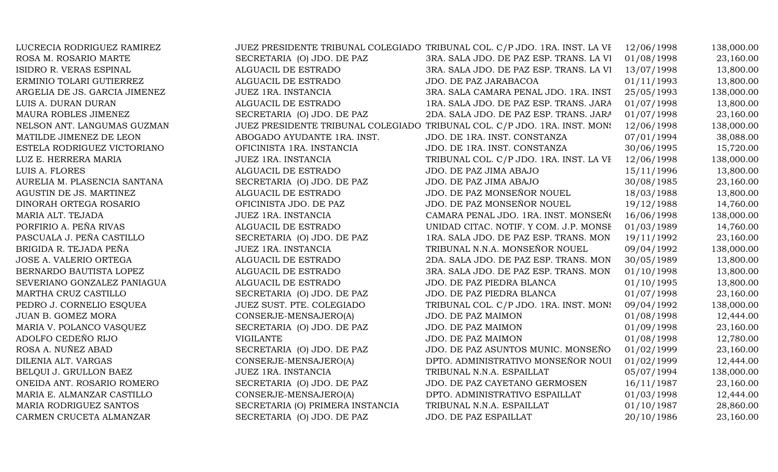|                                  |                                         | 12/06/1998                                                                                                                                              | 138,000.00 |
|----------------------------------|-----------------------------------------|---------------------------------------------------------------------------------------------------------------------------------------------------------|------------|
| SECRETARIA (O) JDO. DE PAZ       | 3RA. SALA JDO. DE PAZ ESP. TRANS. LA VI | 01/08/1998                                                                                                                                              | 23,160.00  |
| ALGUACIL DE ESTRADO              | 3RA. SALA JDO. DE PAZ ESP. TRANS. LA VI | 13/07/1998                                                                                                                                              | 13,800.00  |
| ALGUACIL DE ESTRADO              | JDO. DE PAZ JARABACOA                   | 01/11/1993                                                                                                                                              | 13,800.00  |
| JUEZ 1RA. INSTANCIA              | 3RA. SALA CAMARA PENAL JDO. 1RA. INST   | 25/05/1993                                                                                                                                              | 138,000.00 |
| ALGUACIL DE ESTRADO              | 1RA. SALA JDO. DE PAZ ESP. TRANS. JARA  | 01/07/1998                                                                                                                                              | 13,800.00  |
| SECRETARIA (O) JDO. DE PAZ       | 2DA. SALA JDO. DE PAZ ESP. TRANS. JARA  | 01/07/1998                                                                                                                                              | 23,160.00  |
|                                  |                                         | 12/06/1998                                                                                                                                              | 138,000.00 |
| ABOGADO AYUDANTE 1RA. INST.      | JDO. DE 1RA. INST. CONSTANZA            | 07/01/1994                                                                                                                                              | 38,088.00  |
| OFICINISTA 1RA. INSTANCIA        | JDO. DE 1RA. INST. CONSTANZA            | 30/06/1995                                                                                                                                              | 15,720.00  |
| JUEZ 1RA. INSTANCIA              | TRIBUNAL COL. C/P JDO. 1RA. INST. LA VE | 12/06/1998                                                                                                                                              | 138,000.00 |
| ALGUACIL DE ESTRADO              | JDO. DE PAZ JIMA ABAJO                  | 15/11/1996                                                                                                                                              | 13,800.00  |
| SECRETARIA (O) JDO. DE PAZ       | JDO. DE PAZ JIMA ABAJO                  | 30/08/1985                                                                                                                                              | 23,160.00  |
| ALGUACIL DE ESTRADO              | JDO. DE PAZ MONSEÑOR NOUEL              | 18/03/1988                                                                                                                                              | 13,800.00  |
| OFICINISTA JDO. DE PAZ           | JDO. DE PAZ MONSEÑOR NOUEL              | 19/12/1988                                                                                                                                              | 14,760.00  |
| JUEZ 1RA. INSTANCIA              | CAMARA PENAL JDO. 1RA. INST. MONSEÑO    | 16/06/1998                                                                                                                                              | 138,000.00 |
| ALGUACIL DE ESTRADO              | UNIDAD CITAC. NOTIF. Y COM. J.P. MONSE  | 01/03/1989                                                                                                                                              | 14,760.00  |
| SECRETARIA (O) JDO. DE PAZ       | 1RA. SALA JDO. DE PAZ ESP. TRANS. MON   | 19/11/1992                                                                                                                                              | 23,160.00  |
| JUEZ 1RA. INSTANCIA              | TRIBUNAL N.N.A. MONSEÑOR NOUEL          | 09/04/1992                                                                                                                                              | 138,000.00 |
| ALGUACIL DE ESTRADO              | 2DA. SALA JDO. DE PAZ ESP. TRANS. MON   | 30/05/1989                                                                                                                                              | 13,800.00  |
| ALGUACIL DE ESTRADO              | 3RA. SALA JDO. DE PAZ ESP. TRANS. MON   | 01/10/1998                                                                                                                                              | 13,800.00  |
| ALGUACIL DE ESTRADO              | JDO. DE PAZ PIEDRA BLANCA               | 01/10/1995                                                                                                                                              | 13,800.00  |
| SECRETARIA (O) JDO. DE PAZ       | JDO. DE PAZ PIEDRA BLANCA               | 01/07/1998                                                                                                                                              | 23,160.00  |
| JUEZ SUST. PTE. COLEGIADO        | TRIBUNAL COL. C/P JDO. 1RA. INST. MON!  | 09/04/1992                                                                                                                                              | 138,000.00 |
| CONSERJE-MENSAJERO(A)            | JDO. DE PAZ MAIMON                      | 01/08/1998                                                                                                                                              | 12,444.00  |
| SECRETARIA (O) JDO. DE PAZ       | JDO. DE PAZ MAIMON                      | 01/09/1998                                                                                                                                              | 23,160.00  |
| <b>VIGILANTE</b>                 | JDO. DE PAZ MAIMON                      | 01/08/1998                                                                                                                                              | 12,780.00  |
| SECRETARIA (O) JDO. DE PAZ       | JDO. DE PAZ ASUNTOS MUNIC. MONSEÑO      | 01/02/1999                                                                                                                                              | 23,160.00  |
| CONSERJE-MENSAJERO(A)            | DPTO. ADMINISTRATIVO MONSEÑOR NOUI      | 01/02/1999                                                                                                                                              | 12,444.00  |
| JUEZ 1RA. INSTANCIA              | TRIBUNAL N.N.A. ESPAILLAT               | 05/07/1994                                                                                                                                              | 138,000.00 |
| SECRETARIA (O) JDO. DE PAZ       | JDO. DE PAZ CAYETANO GERMOSEN           | 16/11/1987                                                                                                                                              | 23,160.00  |
| CONSERJE-MENSAJERO(A)            | DPTO. ADMINISTRATIVO ESPAILLAT          | 01/03/1998                                                                                                                                              | 12,444.00  |
| SECRETARIA (O) PRIMERA INSTANCIA | TRIBUNAL N.N.A. ESPAILLAT               | 01/10/1987                                                                                                                                              | 28,860.00  |
| SECRETARIA (O) JDO. DE PAZ       | JDO. DE PAZ ESPAILLAT                   | 20/10/1986                                                                                                                                              | 23,160.00  |
|                                  |                                         | JUEZ PRESIDENTE TRIBUNAL COLEGIADO TRIBUNAL COL. C/P JDO. 1RA. INST. LA VE<br>JUEZ PRESIDENTE TRIBUNAL COLEGIADO TRIBUNAL COL. C/P JDO. 1RA. INST. MON! |            |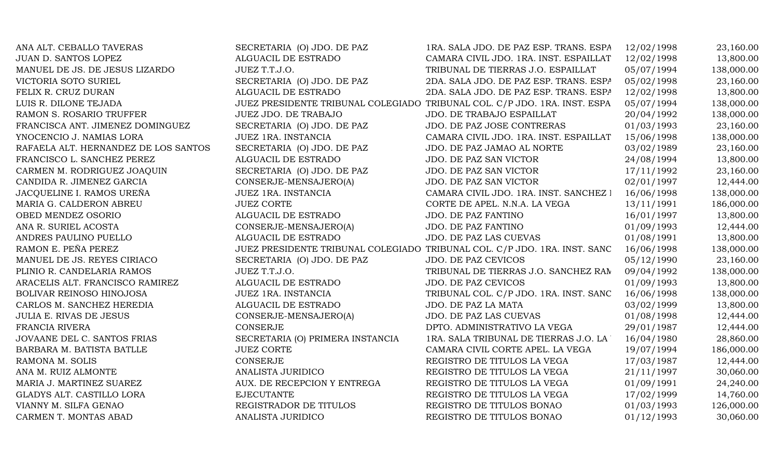| ANA ALT. CEBALLO TAVERAS             | SECRETARIA (O) JDO. DE PAZ       | 1RA. SALA JDO. DE PAZ ESP. TRANS. ESPA                                    | 12/02/1998 | 23,160.00  |
|--------------------------------------|----------------------------------|---------------------------------------------------------------------------|------------|------------|
| JUAN D. SANTOS LOPEZ                 | ALGUACIL DE ESTRADO              | CAMARA CIVIL JDO. 1RA. INST. ESPAILLAT                                    | 12/02/1998 | 13,800.00  |
| MANUEL DE JS. DE JESUS LIZARDO       | JUEZ T.T.J.O.                    | TRIBUNAL DE TIERRAS J.O. ESPAILLAT                                        | 05/07/1994 | 138,000.00 |
| VICTORIA SOTO SURIEL                 | SECRETARIA (O) JDO. DE PAZ       | 2DA. SALA JDO. DE PAZ ESP. TRANS. ESPA                                    | 05/02/1998 | 23,160.00  |
| FELIX R. CRUZ DURAN                  | ALGUACIL DE ESTRADO              | 2DA. SALA JDO. DE PAZ ESP. TRANS. ESPA                                    | 12/02/1998 | 13,800.00  |
| LUIS R. DILONE TEJADA                |                                  | JUEZ PRESIDENTE TRIBUNAL COLEGIADO TRIBUNAL COL. C/P JDO. 1RA. INST. ESPA | 05/07/1994 | 138,000.00 |
| RAMON S. ROSARIO TRUFFER             | JUEZ JDO. DE TRABAJO             | JDO. DE TRABAJO ESPAILLAT                                                 | 20/04/1992 | 138,000.00 |
| FRANCISCA ANT. JIMENEZ DOMINGUEZ     | SECRETARIA (O) JDO. DE PAZ       | JDO. DE PAZ JOSE CONTRERAS                                                | 01/03/1993 | 23,160.00  |
| YNOCENCIO J. NAMIAS LORA             | JUEZ 1RA. INSTANCIA              | CAMARA CIVIL JDO. 1RA. INST. ESPAILLAT                                    | 15/06/1998 | 138,000.00 |
| RAFAELA ALT. HERNANDEZ DE LOS SANTOS | SECRETARIA (O) JDO. DE PAZ       | JDO. DE PAZ JAMAO AL NORTE                                                | 03/02/1989 | 23,160.00  |
| FRANCISCO L. SANCHEZ PEREZ           | ALGUACIL DE ESTRADO              | JDO. DE PAZ SAN VICTOR                                                    | 24/08/1994 | 13,800.00  |
| CARMEN M. RODRIGUEZ JOAQUIN          | SECRETARIA (O) JDO. DE PAZ       | <b>JDO. DE PAZ SAN VICTOR</b>                                             | 17/11/1992 | 23,160.00  |
| CANDIDA R. JIMENEZ GARCIA            | CONSERJE-MENSAJERO(A)            | <b>JDO. DE PAZ SAN VICTOR</b>                                             | 02/01/1997 | 12,444.00  |
| JACQUELINE I. RAMOS UREÑA            | JUEZ 1RA. INSTANCIA              | CAMARA CIVIL JDO. 1RA. INST. SANCHEZ I                                    | 16/06/1998 | 138,000.00 |
| MARIA G. CALDERON ABREU              | <b>JUEZ CORTE</b>                | CORTE DE APEL. N.N.A. LA VEGA                                             | 13/11/1991 | 186,000.00 |
| OBED MENDEZ OSORIO                   | ALGUACIL DE ESTRADO              | JDO. DE PAZ FANTINO                                                       | 16/01/1997 | 13,800.00  |
| ANA R. SURIEL ACOSTA                 | CONSERJE-MENSAJERO(A)            | JDO. DE PAZ FANTINO                                                       | 01/09/1993 | 12,444.00  |
| ANDRES PAULINO PUELLO                | ALGUACIL DE ESTRADO              | JDO. DE PAZ LAS CUEVAS                                                    | 01/08/1991 | 13,800.00  |
| RAMON E. PEÑA PEREZ                  |                                  | JUEZ PRESIDENTE TRIBUNAL COLEGIADO TRIBUNAL COL. C/P JDO. 1RA. INST. SANC | 16/06/1998 | 138,000.00 |
| MANUEL DE JS. REYES CIRIACO          | SECRETARIA (O) JDO. DE PAZ       | JDO. DE PAZ CEVICOS                                                       | 05/12/1990 | 23,160.00  |
| PLINIO R. CANDELARIA RAMOS           | JUEZ T.T.J.O.                    | TRIBUNAL DE TIERRAS J.O. SANCHEZ RAN                                      | 09/04/1992 | 138,000.00 |
| ARACELIS ALT. FRANCISCO RAMIREZ      | ALGUACIL DE ESTRADO              | JDO. DE PAZ CEVICOS                                                       | 01/09/1993 | 13,800.00  |
| BOLIVAR REINOSO HINOJOSA             | JUEZ 1RA. INSTANCIA              | TRIBUNAL COL. C/P JDO. 1RA. INST. SANC                                    | 16/06/1998 | 138,000.00 |
| CARLOS M. SANCHEZ HEREDIA            | ALGUACIL DE ESTRADO              | JDO. DE PAZ LA MATA                                                       | 03/02/1999 | 13,800.00  |
| <b>JULIA E. RIVAS DE JESUS</b>       | CONSERJE-MENSAJERO(A)            | JDO. DE PAZ LAS CUEVAS                                                    | 01/08/1998 | 12,444.00  |
| FRANCIA RIVERA                       | CONSERJE                         | DPTO. ADMINISTRATIVO LA VEGA                                              | 29/01/1987 | 12,444.00  |
| JOVAANE DEL C. SANTOS FRIAS          | SECRETARIA (O) PRIMERA INSTANCIA | 1RA. SALA TRIBUNAL DE TIERRAS J.O. LA                                     | 16/04/1980 | 28,860.00  |
| BARBARA M. BATISTA BATLLE            | <b>JUEZ CORTE</b>                | CAMARA CIVIL CORTE APEL. LA VEGA                                          | 19/07/1994 | 186,000.00 |
| RAMONA M. SOLIS                      | CONSERJE                         | REGISTRO DE TITULOS LA VEGA                                               | 17/03/1987 | 12,444.00  |
| ANA M. RUIZ ALMONTE                  | ANALISTA JURIDICO                | REGISTRO DE TITULOS LA VEGA                                               | 21/11/1997 | 30,060.00  |
| MARIA J. MARTINEZ SUAREZ             | AUX. DE RECEPCION Y ENTREGA      | REGISTRO DE TITULOS LA VEGA                                               | 01/09/1991 | 24,240.00  |
| GLADYS ALT. CASTILLO LORA            | <b>EJECUTANTE</b>                | REGISTRO DE TITULOS LA VEGA                                               | 17/02/1999 | 14,760.00  |
| VIANNY M. SILFA GENAO                | REGISTRADOR DE TITULOS           | REGISTRO DE TITULOS BONAO                                                 | 01/03/1993 | 126,000.00 |
| CARMEN T. MONTAS ABAD                | ANALISTA JURIDICO                | REGISTRO DE TITULOS BONAO                                                 | 01/12/1993 | 30,060.00  |
|                                      |                                  |                                                                           |            |            |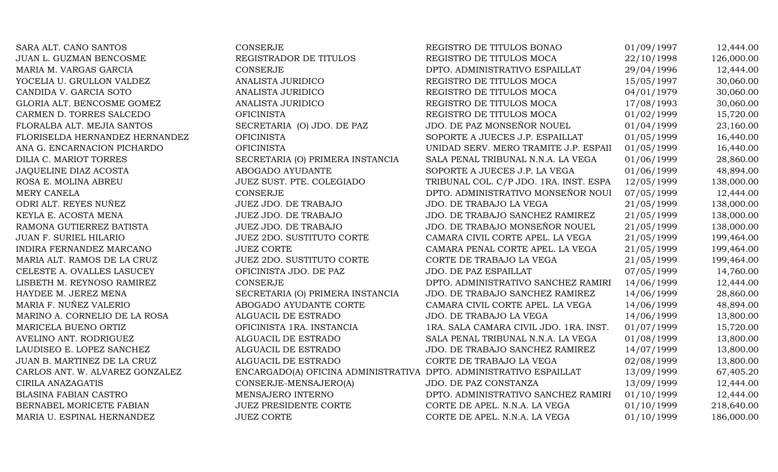| SARA ALT. CANO SANTOS           | <b>CONSERJE</b>                                                    | REGISTRO DE TITULOS BONAO              | 01/09/1997 | 12,444.00  |
|---------------------------------|--------------------------------------------------------------------|----------------------------------------|------------|------------|
| JUAN L. GUZMAN BENCOSME         | REGISTRADOR DE TITULOS                                             | REGISTRO DE TITULOS MOCA               | 22/10/1998 | 126,000.00 |
| MARIA M. VARGAS GARCIA          | <b>CONSERJE</b>                                                    | DPTO. ADMINISTRATIVO ESPAILLAT         | 29/04/1996 | 12,444.00  |
| YOCELIA U. GRULLON VALDEZ       | ANALISTA JURIDICO                                                  | REGISTRO DE TITULOS MOCA               | 15/05/1997 | 30,060.00  |
| CANDIDA V. GARCIA SOTO          | ANALISTA JURIDICO                                                  | REGISTRO DE TITULOS MOCA               | 04/01/1979 | 30,060.00  |
| GLORIA ALT. BENCOSME GOMEZ      | ANALISTA JURIDICO                                                  | REGISTRO DE TITULOS MOCA               | 17/08/1993 | 30,060.00  |
| CARMEN D. TORRES SALCEDO        | <b>OFICINISTA</b>                                                  | REGISTRO DE TITULOS MOCA               | 01/02/1999 | 15,720.00  |
| FLORALBA ALT. MEJIA SANTOS      | SECRETARIA (O) JDO. DE PAZ                                         | JDO. DE PAZ MONSEÑOR NOUEL             | 01/04/1999 | 23,160.00  |
| FLORISELDA HERNANDEZ HERNANDEZ  | <b>OFICINISTA</b>                                                  | SOPORTE A JUECES J.P. ESPAILLAT        | 01/05/1999 | 16,440.00  |
| ANA G. ENCARNACION PICHARDO     | <b>OFICINISTA</b>                                                  | UNIDAD SERV. MERO TRAMITE J.P. ESPAII  | 01/05/1999 | 16,440.00  |
| DILIA C. MARIOT TORRES          | SECRETARIA (O) PRIMERA INSTANCIA                                   | SALA PENAL TRIBUNAL N.N.A. LA VEGA     | 01/06/1999 | 28,860.00  |
| JAQUELINE DIAZ ACOSTA           | ABOGADO AYUDANTE                                                   | SOPORTE A JUECES J.P. LA VEGA          | 01/06/1999 | 48,894.00  |
| ROSA E. MOLINA ABREU            | JUEZ SUST. PTE. COLEGIADO                                          | TRIBUNAL COL. C/P JDO. 1RA. INST. ESPA | 12/05/1999 | 138,000.00 |
| MERY CANELA                     | CONSERJE                                                           | DPTO. ADMINISTRATIVO MONSEÑOR NOUI     | 07/05/1999 | 12,444.00  |
| ODRI ALT. REYES NUÑEZ           | JUEZ JDO. DE TRABAJO                                               | JDO. DE TRABAJO LA VEGA                | 21/05/1999 | 138,000.00 |
| KEYLA E. ACOSTA MENA            | JUEZ JDO. DE TRABAJO                                               | JDO. DE TRABAJO SANCHEZ RAMIREZ        | 21/05/1999 | 138,000.00 |
| RAMONA GUTIERREZ BATISTA        | JUEZ JDO. DE TRABAJO                                               | JDO. DE TRABAJO MONSEÑOR NOUEL         | 21/05/1999 | 138,000.00 |
| <b>JUAN F. SURIEL HILARIO</b>   | <b>JUEZ 2DO. SUSTITUTO CORTE</b>                                   | CAMARA CIVIL CORTE APEL. LA VEGA       | 21/05/1999 | 199,464.00 |
| INDIRA FERNANDEZ MARCANO        | <b>JUEZ CORTE</b>                                                  | CAMARA PENAL CORTE APEL. LA VEGA       | 21/05/1999 | 199,464.00 |
| MARIA ALT. RAMOS DE LA CRUZ     | <b>JUEZ 2DO. SUSTITUTO CORTE</b>                                   | CORTE DE TRABAJO LA VEGA               | 21/05/1999 | 199,464.00 |
| CELESTE A. OVALLES LASUCEY      | OFICINISTA JDO. DE PAZ                                             | <b>JDO. DE PAZ ESPAILLAT</b>           | 07/05/1999 | 14,760.00  |
| LISBETH M. REYNOSO RAMIREZ      | <b>CONSERJE</b>                                                    | DPTO. ADMINISTRATIVO SANCHEZ RAMIRI    | 14/06/1999 | 12,444.00  |
| HAYDEE M. JEREZ MENA            | SECRETARIA (O) PRIMERA INSTANCIA                                   | JDO. DE TRABAJO SANCHEZ RAMIREZ        | 14/06/1999 | 28,860.00  |
| MARIA F. NUÑEZ VALERIO          | ABOGADO AYUDANTE CORTE                                             | CAMARA CIVIL CORTE APEL. LA VEGA       | 14/06/1999 | 48,894.00  |
| MARINO A. CORNELIO DE LA ROSA   | ALGUACIL DE ESTRADO                                                | JDO. DE TRABAJO LA VEGA                | 14/06/1999 | 13,800.00  |
| MARICELA BUENO ORTIZ            | OFICINISTA 1RA. INSTANCIA                                          | 1RA. SALA CAMARA CIVIL JDO. 1RA. INST. | 01/07/1999 | 15,720.00  |
| AVELINO ANT. RODRIGUEZ          | ALGUACIL DE ESTRADO                                                | SALA PENAL TRIBUNAL N.N.A. LA VEGA     | 01/08/1999 | 13,800.00  |
| LAUDISEO E. LOPEZ SANCHEZ       | ALGUACIL DE ESTRADO                                                | JDO. DE TRABAJO SANCHEZ RAMIREZ        | 14/07/1999 | 13,800.00  |
| JUAN B. MARTINEZ DE LA CRUZ     | ALGUACIL DE ESTRADO                                                | CORTE DE TRABAJO LA VEGA               | 02/08/1999 | 13,800.00  |
| CARLOS ANT. W. ALVAREZ GONZALEZ | ENCARGADO(A) OFICINA ADMINISTRATIVA DPTO. ADMINISTRATIVO ESPAILLAT |                                        | 13/09/1999 | 67,405.20  |
| CIRILA ANAZAGATIS               | CONSERJE-MENSAJERO(A)                                              | JDO. DE PAZ CONSTANZA                  | 13/09/1999 | 12,444.00  |
| BLASINA FABIAN CASTRO           | MENSAJERO INTERNO                                                  | DPTO. ADMINISTRATIVO SANCHEZ RAMIRI    | 01/10/1999 | 12,444.00  |
| BERNABEL MORICETE FABIAN        | <b>JUEZ PRESIDENTE CORTE</b>                                       | CORTE DE APEL. N.N.A. LA VEGA          | 01/10/1999 | 218,640.00 |
| MARIA U. ESPINAL HERNANDEZ      | <b>JUEZ CORTE</b>                                                  | CORTE DE APEL. N.N.A. LA VEGA          | 01/10/1999 | 186,000.00 |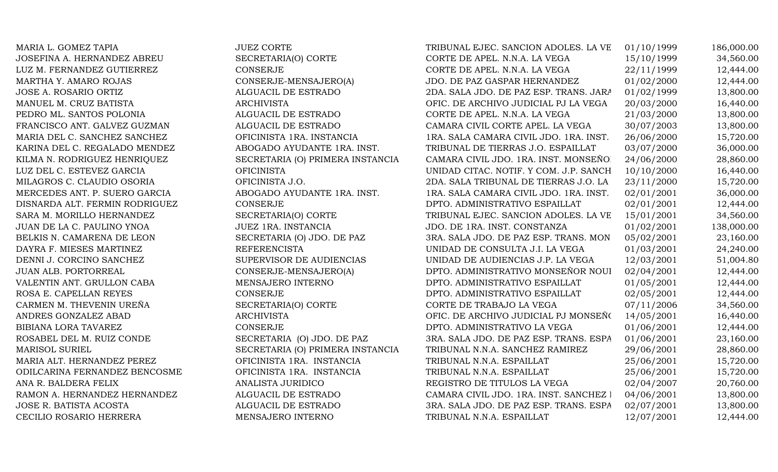MARIA L. GOMEZ TAPIA SANTO SUEZ CORTE SANCION ADOLES. LA VEGANO EN 186,000.00 JOSEFINA A. HERNANDEZ ABREU SECRETARIA(O) CORTE CORTE DE APEL. N.N.A. LA VEGA 15/10/1999 34,560.00 LUZ M. FERNANDEZ GUTIERREZ CONSERJE CONSERVE CORTE DE APEL. N.N.A. LA VEGA 22/11/1999 12,444.00 MARTHA Y. AMARO ROJAS CONSERJE-MENSAJERO(A) JDO. DE PAZ GASPAR HERNANDEZ 01/02/2000 12,444.00 JOSE A. ROSARIO ORTIZ ALGUACIL DE ESTRADO 2DA. SALA JDO. DE PAZ ESP. TRANS. JARA 01/02/1999 13,800.00 MANUEL M. CRUZ BATISTA ARCHIVISTA OFIC. DE ARCHIVO JUDICIAL PJ LA VEGA 20/03/2000 16,440.00 PEDRO ML. SANTOS POLONIA ALGUACIL DE ESTRADO CORTE DE APEL. N.N.A. LA VEGA 21/03/2000 13,800.00 FRANCISCO ANT. GALVEZ GUZMAN ALGUACIL DE ESTRADO CAMARA CIVIL CORTE APEL. LA VEGA 30/07/2003 13,800.00 MARIA DEL C. SANCHEZ SANCHEZ OFICINISTA 1RA. INSTANCIA 1RA. SALA CAMARA CIVIL JDO. 1RA. INST. 26/06/2000 15,720.00 KARINA DEL C. REGALADO MENDEZ ABOGADO AYUDANTE 1RA. INST. TRIBUNAL DE TIERRAS J.O. ESPAILLAT 03/07/2000 36,000.00 KILMA N. RODRIGUEZ HENRIQUEZ SECRETARIA (O) PRIMERA INSTANCIA CAMARA CIVIL JDO. 1RA. INST. MONSEÑOR 24/06/2000 28,860.00 LUZ DEL C. ESTEVEZ GARCIA  $OIFICINISTA$  OFICINISTA UNIDAD CITAC. NOTIF. Y COM. J.P. SANCH  $10/10/2000$  16,440.00 MILAGROS C. CLAUDIO OSORIA CHEICINISTA J.O. 2DA. SALA TRIBUNAL DE TIERRAS J.O. LA 23/11/2000 15,720.00 MERCEDES ANT. P. SUERO GARCIA ABOGADO AYUDANTE 1RA. INST. 1RA. SALA CAMARA CIVIL JDO. 1RA. INST. 02/01/2001 36,000.00 DISNARDA ALT. FERMIN RODRIGUEZ CONSERJE DPTO. ADMINISTRATIVO ESPAILLAT 02/01/2001 12,444.00 SARA M. MORILLO HERNANDEZ SECRETARIA(O) CORTE TRIBUNAL EJEC. SANCION ADOLES. LA VE 15/01/2001 34,560.00 JUAN DE LA C. PAULINO YNOA JUEZ 1RA. INSTANCIA JDO. DE 1RA. INST. CONSTANZA 01/02/2001 138,000.00 BELKIS N. CAMARENA DE LEON SECRETARIA (O) JDO. DE PAZ 3RA. SALA JDO. DE PAZ ESP. TRANS. MON 05/02/2001 23,160.00 DAYRA F. MIESES MARTINEZ REFERENCISTA REFERENCISTA UNIDAD DE CONSULTA J.I. LA VEGA 01/03/2001 24,240.00 DENNI J. CORCINO SANCHEZ SUPERVISOR DE AUDIENCIAS UNIDAD DE AUDIENCIAS J.P. LA VEGA 12/03/2001 51,004.80 JUAN ALB. PORTORREAL CONSERJE-MENSAJERO(A) DPTO. ADMINISTRATIVO MONSEÑOR NOUEL 02/04/2001 12,444.00 VALENTIN ANT. GRULLON CABA MENSAJERO INTERNO DPTO. ADMINISTRATIVO ESPAILLAT 01/05/2001 12,444.00 ROSA E. CAPELLAN REYES CONSERJE CONSERVE DPTO. ADMINISTRATIVO ESPAILLAT 02/05/2001 12,444.00 CARMEN M. THEVENIN UREÑA SECRETARIA(O) CORTE CORTE DE TRABAJO LA VEGA 07/11/2006 34,560.00 ANDRES GONZALEZ ABAD ARCHIVISTA ARCHIVISTA OFIC. DE ARCHIVO JUDICIAL PJ MONSEÑ (14/05/2001 16,440.00 BIBIANA LORA TAVAREZ CONSERJE CONSERIE DPTO. ADMINISTRATIVO LA VEGA 01/06/2001 12,444.00 ROSABEL DEL M. RUIZ CONDE SECRETARIA (O) JDO. DE PAZ 3RA. SALA JDO. DE PAZ ESP. TRANS. ESPA 01/06/2001 23,160.00 MARISOL SURIEL SECRETARIA (O) PRIMERA INSTANCIA TRIBUNAL N.N.A. SANCHEZ RAMIREZ 29/06/2001 28,860.00 MARIA ALT. HERNANDEZ PEREZ CHERT OFICINISTA 1RA. INSTANCIA TRIBUNAL N.N.A. ESPAILLAT 25/06/2001 15,720.00 ODILCARINA FERNANDEZ BENCOSME OFICINISTA 1RA. INSTANCIA TRIBUNAL N.N.A. ESPAILLAT 25/06/2001 15,720.00 ANA R. BALDERA FELIX ANALISTA JURIDICO REGISTRO DE TITULOS LA VEGA 02/04/2007 20,760.00 RAMON A. HERNANDEZ HERNANDEZ ALGUACIL DE ESTRADO CAMARA CIVIL JDO. 1RA. INST. SANCHEZ 1 04/06/2001 13,800.00 JOSE R. BATISTA ACOSTA ALGUACIL DE ESTRADO 3RA. SALA JDO. DE PAZ ESP. TRANS. ESPA 02/07/2001 13,800.00 CECILIO ROSARIO HERRERA MENSAJERO INTERNO TRIBUNAL N.N.A. ESPAILLAT 12/07/2001 12,444.00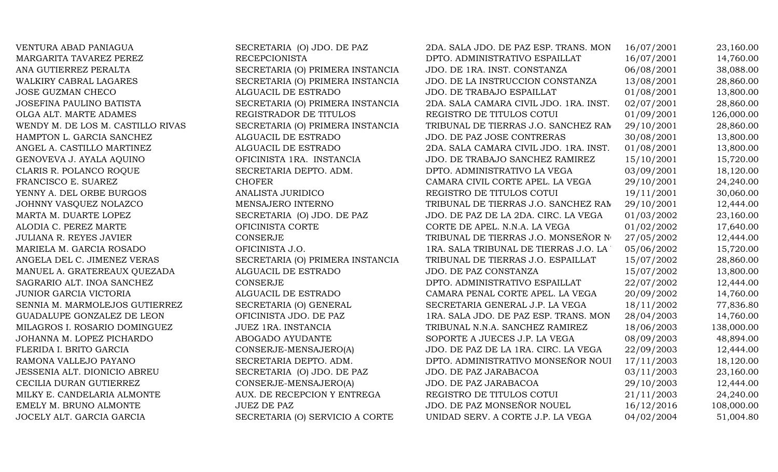| VENTURA ABAD PANIAGUA             | SECRETARIA (O) JDO. DE PAZ       | 2DA. SALA JDO. DE PAZ ESP. TRANS. MON   | 16/07/2001 | 23,160.00  |
|-----------------------------------|----------------------------------|-----------------------------------------|------------|------------|
| MARGARITA TAVAREZ PEREZ           | <b>RECEPCIONISTA</b>             | DPTO. ADMINISTRATIVO ESPAILLAT          | 16/07/2001 | 14,760.00  |
| ANA GUTIERREZ PERALTA             | SECRETARIA (O) PRIMERA INSTANCIA | JDO. DE 1RA. INST. CONSTANZA            | 06/08/2001 | 38,088.00  |
| WALKIRY CABRAL LAGARES            | SECRETARIA (O) PRIMERA INSTANCIA | JDO. DE LA INSTRUCCION CONSTANZA        | 13/08/2001 | 28,860.00  |
| <b>JOSE GUZMAN CHECO</b>          | ALGUACIL DE ESTRADO              | JDO. DE TRABAJO ESPAILLAT               | 01/08/2001 | 13,800.00  |
| <b>JOSEFINA PAULINO BATISTA</b>   | SECRETARIA (O) PRIMERA INSTANCIA | 2DA. SALA CAMARA CIVIL JDO. 1RA. INST.  | 02/07/2001 | 28,860.00  |
| OLGA ALT. MARTE ADAMES            | REGISTRADOR DE TITULOS           | REGISTRO DE TITULOS COTUI               | 01/09/2001 | 126,000.00 |
| WENDY M. DE LOS M. CASTILLO RIVAS | SECRETARIA (O) PRIMERA INSTANCIA | TRIBUNAL DE TIERRAS J.O. SANCHEZ RAM    | 29/10/2001 | 28,860.00  |
| HAMPTON L. GARCIA SANCHEZ         | ALGUACIL DE ESTRADO              | JDO. DE PAZ JOSE CONTRERAS              | 30/08/2001 | 13,800.00  |
| ANGEL A. CASTILLO MARTINEZ        | ALGUACIL DE ESTRADO              | 2DA. SALA CAMARA CIVIL JDO. 1RA. INST.  | 01/08/2001 | 13,800.00  |
| GENOVEVA J. AYALA AQUINO          | OFICINISTA 1RA. INSTANCIA        | JDO. DE TRABAJO SANCHEZ RAMIREZ         | 15/10/2001 | 15,720.00  |
| CLARIS R. POLANCO ROQUE           | SECRETARIA DEPTO. ADM.           | DPTO. ADMINISTRATIVO LA VEGA            | 03/09/2001 | 18,120.00  |
| FRANCISCO E. SUAREZ               | <b>CHOFER</b>                    | CAMARA CIVIL CORTE APEL. LA VEGA        | 29/10/2001 | 24,240.00  |
| YENNY A. DEL ORBE BURGOS          | ANALISTA JURIDICO                | REGISTRO DE TITULOS COTUI               | 19/11/2001 | 30,060.00  |
| JOHNNY VASQUEZ NOLAZCO            | MENSAJERO INTERNO                | TRIBUNAL DE TIERRAS J.O. SANCHEZ RAN    | 29/10/2001 | 12,444.00  |
| MARTA M. DUARTE LOPEZ             | SECRETARIA (O) JDO. DE PAZ       | JDO. DE PAZ DE LA 2DA. CIRC. LA VEGA    | 01/03/2002 | 23,160.00  |
| ALODIA C. PEREZ MARTE             | OFICINISTA CORTE                 | CORTE DE APEL. N.N.A. LA VEGA           | 01/02/2002 | 17,640.00  |
| <b>JULIANA R. REYES JAVIER</b>    | <b>CONSERJE</b>                  | TRIBUNAL DE TIERRAS J.O. MONSEÑOR Nº    | 27/05/2002 | 12,444.00  |
| MARIELA M. GARCIA ROSADO          | OFICINISTA J.O.                  | 1RA. SALA TRIBUNAL DE TIERRAS J.O. LA ' | 05/06/2002 | 15,720.00  |
| ANGELA DEL C. JIMENEZ VERAS       | SECRETARIA (O) PRIMERA INSTANCIA | TRIBUNAL DE TIERRAS J.O. ESPAILLAT      | 15/07/2002 | 28,860.00  |
| MANUEL A. GRATEREAUX QUEZADA      | ALGUACIL DE ESTRADO              | JDO. DE PAZ CONSTANZA                   | 15/07/2002 | 13,800.00  |
| SAGRARIO ALT. INOA SANCHEZ        | <b>CONSERJE</b>                  | DPTO. ADMINISTRATIVO ESPAILLAT          | 22/07/2002 | 12,444.00  |
| JUNIOR GARCIA VICTORIA            | ALGUACIL DE ESTRADO              | CAMARA PENAL CORTE APEL. LA VEGA        | 20/09/2002 | 14,760.00  |
| SENNIA M. MARMOLEJOS GUTIERREZ    | SECRETARIA (O) GENERAL           | SECRETARIA GENERAL J.P. LA VEGA         | 18/11/2002 | 77,836.80  |
| GUADALUPE GONZALEZ DE LEON        | OFICINISTA JDO. DE PAZ           | 1RA. SALA JDO. DE PAZ ESP. TRANS. MON   | 28/04/2003 | 14,760.00  |
| MILAGROS I. ROSARIO DOMINGUEZ     | JUEZ 1RA. INSTANCIA              | TRIBUNAL N.N.A. SANCHEZ RAMIREZ         | 18/06/2003 | 138,000.00 |
| JOHANNA M. LOPEZ PICHARDO         | ABOGADO AYUDANTE                 | SOPORTE A JUECES J.P. LA VEGA           | 08/09/2003 | 48,894.00  |
| FLERIDA I. BRITO GARCIA           | CONSERJE-MENSAJERO(A)            | JDO. DE PAZ DE LA 1RA. CIRC. LA VEGA    | 22/09/2003 | 12,444.00  |
| RAMONA VALLEJO PAYANO             | SECRETARIA DEPTO. ADM.           | DPTO. ADMINISTRATIVO MONSEÑOR NOUI      | 17/11/2003 | 18,120.00  |
| JESSENIA ALT. DIONICIO ABREU      | SECRETARIA (O) JDO. DE PAZ       | JDO. DE PAZ JARABACOA                   | 03/11/2003 | 23,160.00  |
| CECILIA DURAN GUTIERREZ           | CONSERJE-MENSAJERO(A)            | JDO. DE PAZ JARABACOA                   | 29/10/2003 | 12,444.00  |
| MILKY E. CANDELARIA ALMONTE       | AUX. DE RECEPCION Y ENTREGA      | REGISTRO DE TITULOS COTUI               | 21/11/2003 | 24,240.00  |
| EMELY M. BRUNO ALMONTE            | <b>JUEZ DE PAZ</b>               | JDO. DE PAZ MONSEÑOR NOUEL              | 16/12/2016 | 108,000.00 |
| JOCELY ALT. GARCIA GARCIA         | SECRETARIA (O) SERVICIO A CORTE  | UNIDAD SERV. A CORTE J.P. LA VEGA       | 04/02/2004 | 51,004.80  |
|                                   |                                  |                                         |            |            |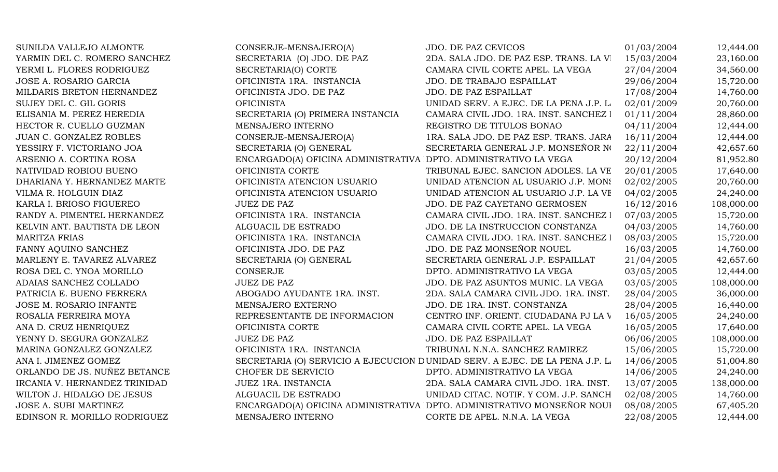| SUNILDA VALLEJO ALMONTE       | CONSERJE-MENSAJERO(A)                                            | JDO. DE PAZ CEVICOS                                                          | 01/03/2004 | 12,444.00  |
|-------------------------------|------------------------------------------------------------------|------------------------------------------------------------------------------|------------|------------|
| YARMIN DEL C. ROMERO SANCHEZ  | SECRETARIA (O) JDO. DE PAZ                                       | 2DA. SALA JDO. DE PAZ ESP. TRANS. LA VI                                      | 15/03/2004 | 23,160.00  |
| YERMI L. FLORES RODRIGUEZ     | SECRETARIA(O) CORTE                                              | CAMARA CIVIL CORTE APEL. LA VEGA                                             | 27/04/2004 | 34,560.00  |
| JOSE A. ROSARIO GARCIA        | OFICINISTA 1RA. INSTANCIA                                        | JDO. DE TRABAJO ESPAILLAT                                                    | 29/06/2004 | 15,720.00  |
| MILDARIS BRETON HERNANDEZ     | OFICINISTA JDO. DE PAZ                                           | JDO. DE PAZ ESPAILLAT                                                        | 17/08/2004 | 14,760.00  |
| SUJEY DEL C. GIL GORIS        | <b>OFICINISTA</b>                                                | UNIDAD SERV. A EJEC. DE LA PENA J.P. L.                                      | 02/01/2009 | 20,760.00  |
| ELISANIA M. PEREZ HEREDIA     | SECRETARIA (O) PRIMERA INSTANCIA                                 | CAMARA CIVIL JDO. 1RA. INST. SANCHEZ I                                       | 01/11/2004 | 28,860.00  |
| HECTOR R. CUELLO GUZMAN       | MENSAJERO INTERNO                                                | REGISTRO DE TITULOS BONAO                                                    | 04/11/2004 | 12,444.00  |
| JUAN C. GONZALEZ ROBLES       | CONSERJE-MENSAJERO(A)                                            | 1RA. SALA JDO. DE PAZ ESP. TRANS. JARA                                       | 16/11/2004 | 12,444.00  |
| YESSIRY F. VICTORIANO JOA     | SECRETARIA (O) GENERAL                                           | SECRETARIA GENERAL J.P. MONSEÑOR NO                                          | 22/11/2004 | 42,657.60  |
| ARSENIO A. CORTINA ROSA       | ENCARGADO(A) OFICINA ADMINISTRATIVA DPTO. ADMINISTRATIVO LA VEGA |                                                                              | 20/12/2004 | 81,952.80  |
| NATIVIDAD ROBIOU BUENO        | OFICINISTA CORTE                                                 | TRIBUNAL EJEC. SANCION ADOLES. LA VE                                         | 20/01/2005 | 17,640.00  |
| DHARIANA Y. HERNANDEZ MARTE   | OFICINISTA ATENCION USUARIO                                      | UNIDAD ATENCION AL USUARIO J.P. MONS                                         | 02/02/2005 | 20,760.00  |
| VILMA R. HOLGUIN DIAZ         | OFICINISTA ATENCION USUARIO                                      | UNIDAD ATENCION AL USUARIO J.P. LA VE                                        | 04/02/2005 | 24,240.00  |
| KARLA I. BRIOSO FIGUEREO      | <b>JUEZ DE PAZ</b>                                               | JDO. DE PAZ CAYETANO GERMOSEN                                                | 16/12/2016 | 108,000.00 |
| RANDY A. PIMENTEL HERNANDEZ   | OFICINISTA 1RA. INSTANCIA                                        | CAMARA CIVIL JDO. 1RA. INST. SANCHEZ 1                                       | 07/03/2005 | 15,720.00  |
| KELVIN ANT. BAUTISTA DE LEON  | ALGUACIL DE ESTRADO                                              | JDO. DE LA INSTRUCCION CONSTANZA                                             | 04/03/2005 | 14,760.00  |
| <b>MARITZA FRIAS</b>          | OFICINISTA 1RA. INSTANCIA                                        | CAMARA CIVIL JDO. 1RA. INST. SANCHEZ I                                       | 08/03/2005 | 15,720.00  |
| FANNY AQUINO SANCHEZ          | OFICINISTA JDO. DE PAZ                                           | JDO. DE PAZ MONSEÑOR NOUEL                                                   | 16/03/2005 | 14,760.00  |
| MARLENY E. TAVAREZ ALVAREZ    | SECRETARIA (O) GENERAL                                           | SECRETARIA GENERAL J.P. ESPAILLAT                                            | 21/04/2005 | 42,657.60  |
| ROSA DEL C. YNOA MORILLO      | <b>CONSERJE</b>                                                  | DPTO. ADMINISTRATIVO LA VEGA                                                 | 03/05/2005 | 12,444.00  |
| ADAIAS SANCHEZ COLLADO        | <b>JUEZ DE PAZ</b>                                               | JDO. DE PAZ ASUNTOS MUNIC. LA VEGA                                           | 03/05/2005 | 108,000.00 |
| PATRICIA E. BUENO FERRERA     | ABOGADO AYUDANTE 1RA. INST.                                      | 2DA. SALA CAMARA CIVIL JDO. 1RA. INST.                                       | 28/04/2005 | 36,000.00  |
| JOSE M. ROSARIO INFANTE       | MENSAJERO EXTERNO                                                | JDO. DE 1RA. INST. CONSTANZA                                                 | 28/04/2005 | 16,440.00  |
| ROSALIA FERREIRA MOYA         | REPRESENTANTE DE INFORMACION                                     | CENTRO INF. ORIENT. CIUDADANA PJ LA V                                        | 16/05/2005 | 24,240.00  |
| ANA D. CRUZ HENRIQUEZ         | OFICINISTA CORTE                                                 | CAMARA CIVIL CORTE APEL. LA VEGA                                             | 16/05/2005 | 17,640.00  |
| YENNY D. SEGURA GONZALEZ      | <b>JUEZ DE PAZ</b>                                               | JDO. DE PAZ ESPAILLAT                                                        | 06/06/2005 | 108,000.00 |
| MARINA GONZALEZ GONZALEZ      | OFICINISTA 1RA. INSTANCIA                                        | TRIBUNAL N.N.A. SANCHEZ RAMIREZ                                              | 15/06/2005 | 15,720.00  |
| ANA I. JIMENEZ GOMEZ          |                                                                  | SECRETARIA (O) SERVICIO A EJECUCION DUNIDAD SERV. A EJEC. DE LA PENA J.P. L. | 14/06/2005 | 51,004.80  |
| ORLANDO DE JS. NUÑEZ BETANCE  | CHOFER DE SERVICIO                                               | DPTO. ADMINISTRATIVO LA VEGA                                                 | 14/06/2005 | 24,240.00  |
| IRCANIA V. HERNANDEZ TRINIDAD | JUEZ 1RA. INSTANCIA                                              | 2DA. SALA CAMARA CIVIL JDO. 1RA. INST.                                       | 13/07/2005 | 138,000.00 |
| WILTON J. HIDALGO DE JESUS    | ALGUACIL DE ESTRADO                                              | UNIDAD CITAC. NOTIF. Y COM. J.P. SANCH                                       | 02/08/2005 | 14,760.00  |
| <b>JOSE A. SUBI MARTINEZ</b>  |                                                                  | ENCARGADO(A) OFICINA ADMINISTRATIVA DPTO. ADMINISTRATIVO MONSEÑOR NOUI       | 08/08/2005 | 67,405.20  |
| EDINSON R. MORILLO RODRIGUEZ  | MENSAJERO INTERNO                                                | CORTE DE APEL. N.N.A. LA VEGA                                                | 22/08/2005 | 12,444.00  |
|                               |                                                                  |                                                                              |            |            |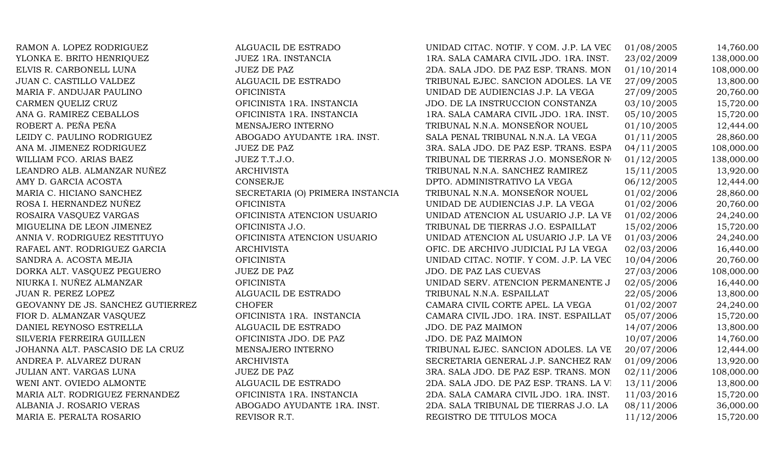RAMON A. LOPEZ RODRIGUEZ ALGUACIL DE ESTRADO UNIDAD CITAC. NOTIF. Y COM. J.P. LA VEC 01/08/2005 14,760.00 YLONKA E. BRITO HENRIQUEZ SANTA SUEZ 1RA. INSTANCIA 1RA. SALA CAMARA CIVIL JDO. 1RA. INST. 23/02/2009 138,000.00 ELVIS R. CARBONELL LUNA JUEZ DE PAZ 2DA. SALA JDO. DE PAZ ESP. TRANS. MON 01/10/2014 108,000.00 JUAN C. CASTILLO VALDEZ ALGUACIL DE ESTRADO TRIBUNAL EJEC. SANCION ADOLES. LA VE  $27/09/2005$  13,800.00 MARIA F. ANDUJAR PAULINO OFICINISTA UNIDAD DE AUDIENCIAS J.P. LA VEGA 27/09/2005 20,760.00 CARMEN QUELIZ CRUZ CRUZ OFICINISTA 1RA. INSTANCIA JDO. DE LA INSTRUCCION CONSTANZA 03/10/2005 15,720.00 ANA G. RAMIREZ CEBALLOS **OFICINISTA 1RA. INSTANCIA** 1RA. SALA CAMARA CIVIL JDO. 1RA. INST. 05/10/2005 15,720.00 ROBERT A. PEÑA PEÑA NENSAJERO INTERNO TRIBUNAL N.N.A. MONSEÑOR NOUEL 01/10/2005 12,444.00 LEIDY C. PAULINO RODRIGUEZ ABOGADO AYUDANTE 1RA. INST. SALA PENAL TRIBUNAL N.N.A. LA VEGA 01/11/2005 28,860.00 ANA M. JIMENEZ RODRIGUEZ JUEZ DE PAZ JUEZ DE PAZ 3RA. SALA JDO. DE PAZ ESP. TRANS. ESPA 04/11/2005 108,000.00 WILLIAM FCO. ARIAS BAEZ JUEZ T.T.J.O. TRIBUNAL DE TIERRAS J.O. MONSEÑOR N 01/12/2005 138,000.00 LEANDRO ALB. ALMANZAR NUÑEZ ARCHIVISTA ARCHIVISTA TRIBUNAL N.N.A. SANCHEZ RAMIREZ 15/11/2005 13,920.00 AMY D. GARCIA ACOSTA CONSERJE CONSERVE DPTO. ADMINISTRATIVO LA VEGA 06/12/2005 12,444.00 MARIA C. HICIANO SANCHEZ SECRETARIA (O) PRIMERA INSTANCIA TRIBUNAL N.N.A. MONSEÑOR NOUEL 01/02/2006 28,860.00 ROSA I. HERNANDEZ NUÑEZ CHORICINISTA OFICINISTA UNIDAD DE AUDIENCIAS J.P. LA VEGA 01/02/2006 20,760.00 ROSAIRA VASQUEZ VARGAS **OFICINISTA ATENCION USUARIO** UNIDAD ATENCION AL USUARIO J.P. LA VE 01/02/2006 24,240.00 MIGUELINA DE LEON JIMENEZ **OFICINISTA J.O.** TRIBUNAL DE TIERRAS J.O. ESPAILLAT 15/02/2006 15,720.00 ANNIA V. RODRIGUEZ RESTITUYO **OFICINISTA ATENCION USUARIO** UNIDAD ATENCION AL USUARIO J.P. LA VE 01/03/2006 24,240.00 RAFAEL ANT. RODRIGUEZ GARCIA ARCHIVISTA ARCHIVISTA OFIC. DE ARCHIVO JUDICIAL PJ LA VEGA 02/03/2006 16,440.00 SANDRA A. ACOSTA MEJIA **OFICINISTA** OFICINISTA UNIDAD CITAC. NOTIF. Y COM. J.P. LA VEC 10/04/2006 20,760.00 DORKA ALT. VASQUEZ PEGUERO JUEZ DE PAZ JDO. DE PAZ LAS CUEVAS 27/03/2006 108,000.00 NIURKA I. NUÑEZ ALMANZAR OFICINISTA OFICINISTA UNIDAD SERV. ATENCION PERMANENTE J 02/05/2006 16,440.00 JUAN R. PEREZ LOPEZ ALGUACIL DE ESTRADO TRIBUNAL N.N.A. ESPAILLAT 22/05/2006 13,800.00 GEOVANNY DE JS. SANCHEZ GUTIERREZ CHOFER CHOFER CAMARA CIVIL CORTE APEL. LA VEGA 01/02/2007 24,240.00 FIOR D. ALMANZAR VASQUEZ **OFICINISTA 1RA. INSTANCIA** CAMARA CIVIL JDO. 1RA. INST. ESPAILLAT 05/07/2006 15,720.00 DANIEL REYNOSO ESTRELLA ALGUACIL DE ESTRADO JDO. DE PAZ MAIMON 14/07/2006 13,800.00 SILVERIA FERREIRA GUILLEN **OFICINISTA JDO. DE PAZ** JDO. DE PAZ MAIMON 10/07/2006 14,760.00 JOHANNA ALT. PASCASIO DE LA CRUZ MENSAJERO INTERNO TRIBUNAL EJEC. SANCION ADOLES. LA VE 20/07/2006 12,444.00 ANDREA P. ALVAREZ DURAN ARCHIVISTA ARCHIVISTA SECRETARIA GENERAL J.P. SANCHEZ RAM 01/09/2006 13,920.00 JULIAN ANT. VARGAS LUNA JUEZ DE PAZ 3RA. SALA JDO. DE PAZ ESP. TRANS. MON 02/11/2006 108,000.00 WENI ANT. OVIEDO ALMONTE ALGUACIL DE ESTRADO 2DA. SALA JDO. DE PAZ ESP. TRANS. LA VEGANIZIO 13,800.00 MARIA ALT. RODRIGUEZ FERNANDEZ OFICINISTA 1RA. INSTANCIA 2DA. SALA CAMARA CIVIL JDO. 1RA. INST. 11/03/2016 15,720.00 ALBANIA J. ROSARIO VERAS ABOGADO AYUDANTE 1RA. INST. 2DA. SALA TRIBUNAL DE TIERRAS J.O. LA 08/11/2006 36,000.00 MARIA E. PERALTA ROSARIO REVISOR R.T. REVISOR R.T. REGISTRO DE TITULOS MOCA 11/12/2006 15,720.00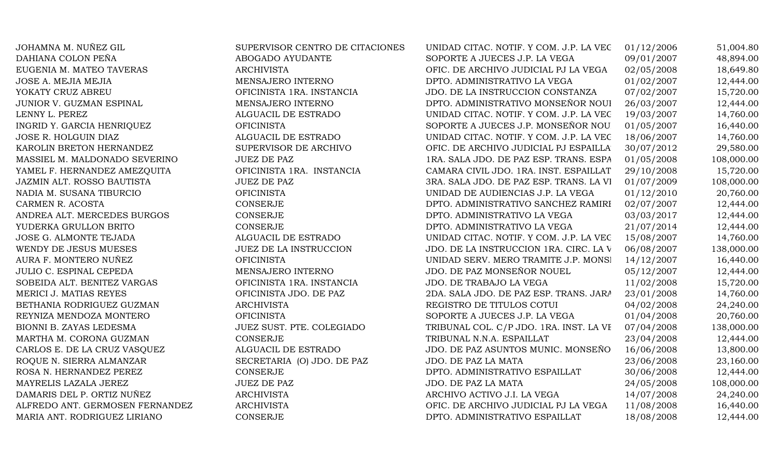| JOHAMNA M. NUÑEZ GIL            | SUPERVISOR CENTRO DE CITACIONES | UNIDAD CITAC. NOTIF. Y COM. J.P. LA VEC | 01/12/2006 | 51,004.80  |
|---------------------------------|---------------------------------|-----------------------------------------|------------|------------|
| DAHIANA COLON PEÑA              | ABOGADO AYUDANTE                | SOPORTE A JUECES J.P. LA VEGA           | 09/01/2007 | 48,894.00  |
| EUGENIA M. MATEO TAVERAS        | <b>ARCHIVISTA</b>               | OFIC. DE ARCHIVO JUDICIAL PJ LA VEGA    | 02/05/2008 | 18,649.80  |
| JOSE A. MEJIA MEJIA             | MENSAJERO INTERNO               | DPTO. ADMINISTRATIVO LA VEGA            | 01/02/2007 | 12,444.00  |
| YOKATY CRUZ ABREU               | OFICINISTA 1RA. INSTANCIA       | JDO. DE LA INSTRUCCION CONSTANZA        | 07/02/2007 | 15,720.00  |
| JUNIOR V. GUZMAN ESPINAL        | MENSAJERO INTERNO               | DPTO. ADMINISTRATIVO MONSEÑOR NOUI      | 26/03/2007 | 12,444.00  |
| LENNY L. PEREZ                  | ALGUACIL DE ESTRADO             | UNIDAD CITAC. NOTIF. Y COM. J.P. LA VEC | 19/03/2007 | 14,760.00  |
| INGRID Y. GARCIA HENRIQUEZ      | <b>OFICINISTA</b>               | SOPORTE A JUECES J.P. MONSEÑOR NOU      | 01/05/2007 | 16,440.00  |
| JOSE R. HOLGUIN DIAZ            | ALGUACIL DE ESTRADO             | UNIDAD CITAC. NOTIF. Y COM. J.P. LA VEC | 18/06/2007 | 14,760.00  |
| KAROLIN BRETON HERNANDEZ        | SUPERVISOR DE ARCHIVO           | OFIC. DE ARCHIVO JUDICIAL PJ ESPAILLA   | 30/07/2012 | 29,580.00  |
| MASSIEL M. MALDONADO SEVERINO   | <b>JUEZ DE PAZ</b>              | 1RA. SALA JDO. DE PAZ ESP. TRANS. ESPA  | 01/05/2008 | 108,000.00 |
| YAMEL F. HERNANDEZ AMEZQUITA    | OFICINISTA 1RA. INSTANCIA       | CAMARA CIVIL JDO. 1RA. INST. ESPAILLAT  | 29/10/2008 | 15,720.00  |
| JAZMIN ALT. ROSSO BAUTISTA      | <b>JUEZ DE PAZ</b>              | 3RA. SALA JDO. DE PAZ ESP. TRANS. LA VI | 01/07/2009 | 108,000.00 |
| NADIA M. SUSANA TIBURCIO        | <b>OFICINISTA</b>               | UNIDAD DE AUDIENCIAS J.P. LA VEGA       | 01/12/2010 | 20,760.00  |
| CARMEN R. ACOSTA                | CONSERJE                        | DPTO. ADMINISTRATIVO SANCHEZ RAMIRI     | 02/07/2007 | 12,444.00  |
| ANDREA ALT. MERCEDES BURGOS     | <b>CONSERJE</b>                 | DPTO. ADMINISTRATIVO LA VEGA            | 03/03/2017 | 12,444.00  |
| YUDERKA GRULLON BRITO           | CONSERJE                        | DPTO. ADMINISTRATIVO LA VEGA            | 21/07/2014 | 12,444.00  |
| JOSE G. ALMONTE TEJADA          | ALGUACIL DE ESTRADO             | UNIDAD CITAC. NOTIF. Y COM. J.P. LA VEC | 15/08/2007 | 14,760.00  |
| WENDY DE JESUS MUESES           | JUEZ DE LA INSTRUCCION          | JDO. DE LA INSTRUCCION 1RA. CIRC. LA V  | 06/08/2007 | 138,000.00 |
| AURA F. MONTERO NUÑEZ           | <b>OFICINISTA</b>               | UNIDAD SERV. MERO TRAMITE J.P. MONSI    | 14/12/2007 | 16,440.00  |
| JULIO C. ESPINAL CEPEDA         | MENSAJERO INTERNO               | JDO. DE PAZ MONSEÑOR NOUEL              | 05/12/2007 | 12,444.00  |
| SOBEIDA ALT. BENITEZ VARGAS     | OFICINISTA 1RA. INSTANCIA       | JDO. DE TRABAJO LA VEGA                 | 11/02/2008 | 15,720.00  |
| MERICI J. MATIAS REYES          | OFICINISTA JDO. DE PAZ          | 2DA. SALA JDO. DE PAZ ESP. TRANS. JARA  | 23/01/2008 | 14,760.00  |
| BETHANIA RODRIGUEZ GUZMAN       | <b>ARCHIVISTA</b>               | REGISTRO DE TITULOS COTUI               | 04/02/2008 | 24,240.00  |
| REYNIZA MENDOZA MONTERO         | <b>OFICINISTA</b>               | SOPORTE A JUECES J.P. LA VEGA           | 01/04/2008 | 20,760.00  |
| BIONNI B. ZAYAS LEDESMA         | JUEZ SUST. PTE. COLEGIADO       | TRIBUNAL COL. C/P JDO. 1RA. INST. LA VE | 07/04/2008 | 138,000.00 |
| MARTHA M. CORONA GUZMAN         | <b>CONSERJE</b>                 | TRIBUNAL N.N.A. ESPAILLAT               | 23/04/2008 | 12,444.00  |
| CARLOS E. DE LA CRUZ VASQUEZ    | ALGUACIL DE ESTRADO             | JDO. DE PAZ ASUNTOS MUNIC. MONSEÑO      | 16/06/2008 | 13,800.00  |
| ROQUE N. SIERRA ALMANZAR        | SECRETARIA (O) JDO. DE PAZ      | JDO. DE PAZ LA MATA                     | 23/06/2008 | 23,160.00  |
| ROSA N. HERNANDEZ PEREZ         | CONSERJE                        | DPTO. ADMINISTRATIVO ESPAILLAT          | 30/06/2008 | 12,444.00  |
| MAYRELIS LAZALA JEREZ           | <b>JUEZ DE PAZ</b>              | JDO. DE PAZ LA MATA                     | 24/05/2008 | 108,000.00 |
| DAMARIS DEL P. ORTIZ NUÑEZ      | <b>ARCHIVISTA</b>               | ARCHIVO ACTIVO J.I. LA VEGA             | 14/07/2008 | 24,240.00  |
| ALFREDO ANT. GERMOSEN FERNANDEZ | <b>ARCHIVISTA</b>               | OFIC. DE ARCHIVO JUDICIAL PJ LA VEGA    | 11/08/2008 | 16,440.00  |
| MARIA ANT. RODRIGUEZ LIRIANO    | <b>CONSERJE</b>                 | DPTO. ADMINISTRATIVO ESPAILLAT          | 18/08/2008 | 12,444.00  |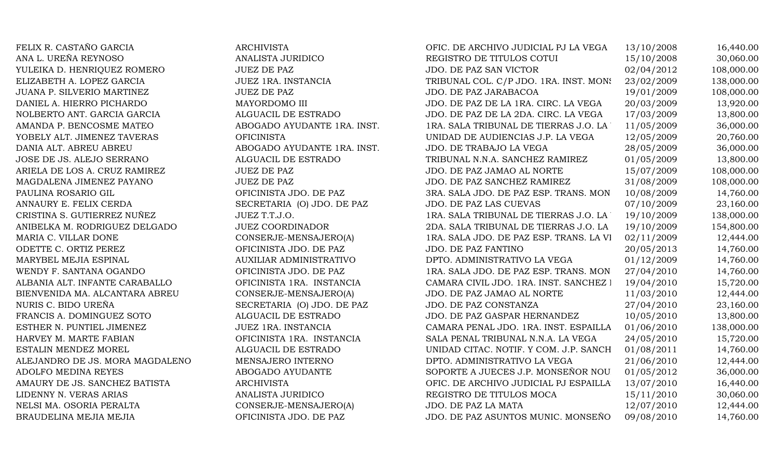FELIX R. CASTAÑO GARCIA ARCHIVISTA ANA L. UREÑA REYNOSO ANALISTA JURIDICO YULEIKA D. HENRIQUEZ ROMERO JUEZ DE PAZ ELIZABETH A. LOPEZ GARCIA JUEZ 1RA. INSTANCIA JUANA P. SILVERIO MARTINEZ JUEZ DE PAZ DANIEL A. HIERRO PICHARDO MAYORDOMO III NOLBERTO ANT. GARCIA GARCIA  $\hbox{\tt ALGUACIL DE ESTRADO}$ AMANDA P. BENCOSME MATEO ABOGADO AYUDANTE 1RA. INST. YOBELY ALT. JIMENEZ TAVERAS OFICINISTA DANIA ALT. ABREU ABREU ABOGADO AYUDANTE 1RA. INST. JOSE DE JS. ALEJO SERRANO ALGUACIL DE ESTRADO ARIELA DE LOS A. CRUZ RAMIREZ JUEZ DE PAZ MAGDALENA JIMENEZ PAYANO JUEZ DE PAZ PAULINA ROSARIO GIL OFICINISTA JDO. DE PAZ ANNAURY E. FELIX CERDA SECRETARIA (O) JDO. DE PAZ CRISTINA S. GUTIERREZ NUÑEZ JUEZ T.T.J.O. ANIBELKA M. RODRIGUEZ DELGADO JUEZ COORDINADOR MARIA C. VILLAR DONE CONSERJE-MENSAJERO(A) ODETTE C. ORTIZ PEREZ OFICINISTA JDO. DE PAZ MARYBEL MEJIA ESPINAL AUXILIAR ADMINISTRATIVO WENDY F. SANTANA OGANDO OFICINISTA JDO. DE PAZ ALBANIA ALT. INFANTE CARABALLO **OFICINISTA 1RA. INSTANCIA** BIENVENIDA MA. ALCANTARA ABREU CONSERJE-MENSAJERO(A) NURIS C. BIDO UREÑA SECRETARIA (O) JDO. DE PAZ FRANCIS A. DOMINGUEZ SOTO ALGUACIL DE ESTRADO ESTHER N. PUNTIEL JIMENEZ JUEZ 1RA. INSTANCIA HARVEY M. MARTE FABIAN OFICINISTA 1RA. INSTANCIA ESTALIN MENDEZ MOREL ALGUACIL DE ESTRADO ALEJANDRO DE JS. MORA MAGDALENO MENSAJERO INTERNO ADOLFO MEDINA REYES ABOGADO AYUDANTE AMAURY DE JS. SANCHEZ BATISTA **ARCHIVISTA** LIDENNY N. VERAS ARIAS ANALISTA JURIDICO NELSI MA. OSORIA PERALTA CONSERJE-MENSAJERO(A) BRAUDELINA MEJIA MEJIA 1999 DE PAZ QEICINISTA JDO. DE PAZ

| OFIC. DE ARCHIVO JUDICIAL PJ LA VEGA    | 13/10/2008 | 16,440.00  |
|-----------------------------------------|------------|------------|
| REGISTRO DE TITULOS COTUI               | 15/10/2008 | 30,060.00  |
| <b>JDO. DE PAZ SAN VICTOR</b>           | 02/04/2012 | 108,000.00 |
| TRIBUNAL COL. C/P JDO. 1RA. INST. MON!  | 23/02/2009 | 138,000.00 |
| JDO. DE PAZ JARABACOA                   | 19/01/2009 | 108,000.00 |
| JDO. DE PAZ DE LA 1RA. CIRC. LA VEGA    | 20/03/2009 | 13,920.00  |
| JDO. DE PAZ DE LA 2DA. CIRC. LA VEGA    | 17/03/2009 | 13,800.00  |
| 1RA. SALA TRIBUNAL DE TIERRAS J.O. LA ' | 11/05/2009 | 36,000.00  |
| UNIDAD DE AUDIENCIAS J.P. LA VEGA       | 12/05/2009 | 20,760.00  |
| JDO. DE TRABAJO LA VEGA                 | 28/05/2009 | 36,000.00  |
| TRIBUNAL N.N.A. SANCHEZ RAMIREZ         | 01/05/2009 | 13,800.00  |
| JDO. DE PAZ JAMAO AL NORTE              | 15/07/2009 | 108,000.00 |
| JDO. DE PAZ SANCHEZ RAMIREZ             | 31/08/2009 | 108,000.00 |
| 3RA. SALA JDO. DE PAZ ESP. TRANS. MON   | 10/08/2009 | 14,760.00  |
| JDO. DE PAZ LAS CUEVAS                  | 07/10/2009 | 23,160.00  |
| 1RA. SALA TRIBUNAL DE TIERRAS J.O. LA ' | 19/10/2009 | 138,000.00 |
| 2DA. SALA TRIBUNAL DE TIERRAS J.O. LA   | 19/10/2009 | 154,800.00 |
| 1RA. SALA JDO. DE PAZ ESP. TRANS. LA VI | 02/11/2009 | 12,444.00  |
| JDO. DE PAZ FANTINO                     | 20/05/2013 | 14,760.00  |
| DPTO. ADMINISTRATIVO LA VEGA            | 01/12/2009 | 14,760.00  |
| 1RA. SALA JDO. DE PAZ ESP. TRANS. MON   | 27/04/2010 | 14,760.00  |
| CAMARA CIVIL JDO. 1RA. INST. SANCHEZ I  | 19/04/2010 | 15,720.00  |
| JDO. DE PAZ JAMAO AL NORTE              | 11/03/2010 | 12,444.00  |
| JDO. DE PAZ CONSTANZA                   | 27/04/2010 | 23,160.00  |
| JDO. DE PAZ GASPAR HERNANDEZ            | 10/05/2010 | 13,800.00  |
| CAMARA PENAL JDO. 1RA. INST. ESPAILLA   | 01/06/2010 | 138,000.00 |
| SALA PENAL TRIBUNAL N.N.A. LA VEGA      | 24/05/2010 | 15,720.00  |
| UNIDAD CITAC. NOTIF. Y COM. J.P. SANCH  | 01/08/2011 | 14,760.00  |
| DPTO. ADMINISTRATIVO LA VEGA            | 21/06/2010 | 12,444.00  |
| SOPORTE A JUECES J.P. MONSEÑOR NOU      | 01/05/2012 | 36,000.00  |
| OFIC. DE ARCHIVO JUDICIAL PJ ESPAILLA   | 13/07/2010 | 16,440.00  |
| REGISTRO DE TITULOS MOCA                | 15/11/2010 | 30,060.00  |
| JDO. DE PAZ LA MATA                     | 12/07/2010 | 12,444.00  |
| JDO. DE PAZ ASUNTOS MUNIC. MONSEÑO      | 09/08/2010 | 14,760.00  |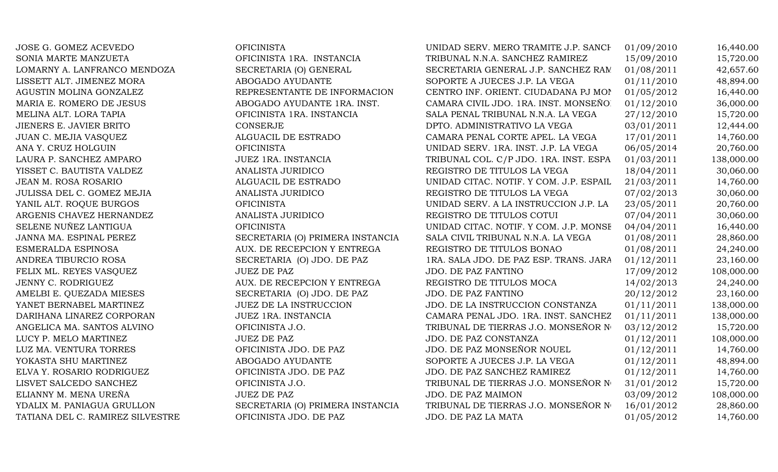JOSE G. GOMEZ ACEVEDO OFICINISTA SONIA MARTE MANZUETA **OFICINISTA 1RA. INSTANCIA** LOMARNY A. LANFRANCO MENDOZA SECRETARIA (O) GENERAL LISSETT ALT. JIMENEZ MORA ABOGADO AYUDANTE MARIA E. ROMERO DE JESUS ABOGADO AYUDANTE 1RA. INST. MELINA ALT. LORA TAPIA OFICINISTA 1RA. INSTANCIA JIENERS E. JAVIER BRITO. ADMINISTRATIVO LA VEGA DE LA VEGA DE LA VEGA DE LA VEGA DE LA VEGA DE LA VEGA DE LA V JUAN C. MEJIA VASQUEZ ALGUACIL DE ESTRADO ANA Y. CRUZ HOLGUIN OFICINISTA LAURA P. SANCHEZ AMPARO JUEZ 1RA. INSTANCIA YISSET C. BAUTISTA VALDEZ ANALISTA JURIDICO JEAN M. ROSA ROSARIO ALGUACIL DE ESTRADO JULISSA DEL C. GOMEZ MEJIA ANALISTA JURIDICO YANIL ALT. ROQUE BURGOS OFICINISTA ARGENIS CHAVEZ HERNANDEZ **ANALISTA DE TITULOS CONTINUES** SELENE NUÑEZ LANTIGUA OFICINISTA UNIDAD CITAC. NOTIF. Y COM. J.P. MONSEÑOR NOUEL 04/04/2011 16,440.00 ESMERALDA ESPINOSA AUX. DE RECEPCION Y ENTREGA ANDREA TIBURCIO ROSA SECRETARIA (O) JDO. DE PAZ FELIX ML. REYES VASOUEZ JUEZ DE PAZ JENNY C. RODRIGUEZ AUX. DE RECEPCION Y ENTREGA AMELBI E. QUEZADA MIESES SECRETARIA (O) JDO. DE PAZ YANET BERNABEL MARTINEZ JUEZ DE LA INSTRUCCION DARIHANA LINAREZ CORPORAN JUEZ 1RA. INSTANCIA ANGELICA MA. SANTOS ALVINO OFICINISTA J.O. LUCY P. MELO MARTINEZ JUEZ DE PAZ LUZ MA. VENTURA TORRES OFICINISTA JDO. DE PAZ YOKASTA SHU MARTINEZ ABOGADO AYUDANTE ELVA Y. ROSARIO RODRIGUEZ OFICINISTA JDO. DE PAZ LISVET SALCEDO SANCHEZ OFICINISTA J.O. ELIANNY M. MENA UREÑA JUEZ DE PAZ TATIANA DEL C. RAMIREZ SILVESTRE OFICINISTA JDO. DE PAZ

AGUSTIN MOLINA GONZALEZ REPRESENTANTE DE INFORMACION JANNA MA. ESPINAL PEREZ SECRETARIA (O) PRIMERA INSTANCIA YDALIX M. PANIAGUA GRULLON SECRETARIA (O) PRIMERA INSTANCIA

| UNIDAD SERV. MERO TRAMITE J.P. SANCH    | 01/09/2010 | 16,440.00  |
|-----------------------------------------|------------|------------|
| TRIBUNAL N.N.A. SANCHEZ RAMIREZ         | 15/09/2010 | 15,720.00  |
| SECRETARIA GENERAL J.P. SANCHEZ RAM     | 01/08/2011 | 42,657.60  |
| SOPORTE A JUECES J.P. LA VEGA           | 01/11/2010 | 48,894.00  |
| CENTRO INF. ORIENT. CIUDADANA PJ MON    | 01/05/2012 | 16,440.00  |
| CAMARA CIVIL JDO. 1RA. INST. MONSEÑO.   | 01/12/2010 | 36,000.00  |
| SALA PENAL TRIBUNAL N.N.A. LA VEGA      | 27/12/2010 | 15,720.00  |
| DPTO. ADMINISTRATIVO LA VEGA            | 03/01/2011 | 12,444.00  |
| CAMARA PENAL CORTE APEL. LA VEGA        | 17/01/2011 | 14,760.00  |
| UNIDAD SERV. 1RA. INST. J.P. LA VEGA    | 06/05/2014 | 20,760.00  |
| TRIBUNAL COL. C/P JDO. 1RA. INST. ESPA  | 01/03/2011 | 138,000.00 |
| REGISTRO DE TITULOS LA VEGA             | 18/04/2011 | 30,060.00  |
| UNIDAD CITAC. NOTIF. Y COM. J.P. ESPAIL | 21/03/2011 | 14,760.00  |
| REGISTRO DE TITULOS LA VEGA             | 07/02/2013 | 30,060.00  |
| UNIDAD SERV. A LA INSTRUCCION J.P. LA   | 23/05/2011 | 20,760.00  |
| REGISTRO DE TITULOS COTUI               | 07/04/2011 | 30,060.00  |
| UNIDAD CITAC. NOTIF. Y COM. J.P. MONSE  | 04/04/2011 | 16,440.00  |
| SALA CIVIL TRIBUNAL N.N.A. LA VEGA      | 01/08/2011 | 28,860.00  |
| REGISTRO DE TITULOS BONAO               | 01/08/2011 | 24,240.00  |
| 1RA. SALA JDO. DE PAZ ESP. TRANS. JARA  | 01/12/2011 | 23,160.00  |
| JDO. DE PAZ FANTINO                     | 17/09/2012 | 108,000.00 |
| REGISTRO DE TITULOS MOCA                | 14/02/2013 | 24,240.00  |
| JDO. DE PAZ FANTINO                     | 20/12/2012 | 23,160.00  |
| JDO. DE LA INSTRUCCION CONSTANZA        | 01/11/2011 | 138,000.00 |
| CAMARA PENAL JDO. 1RA. INST. SANCHEZ    | 01/11/2011 | 138,000.00 |
| TRIBUNAL DE TIERRAS J.O. MONSEÑOR Nº    | 03/12/2012 | 15,720.00  |
| JDO. DE PAZ CONSTANZA                   | 01/12/2011 | 108,000.00 |
| JDO. DE PAZ MONSEÑOR NOUEL              | 01/12/2011 | 14,760.00  |
| SOPORTE A JUECES J.P. LA VEGA           | 01/12/2011 | 48,894.00  |
| JDO. DE PAZ SANCHEZ RAMIREZ             | 01/12/2011 | 14,760.00  |
| TRIBUNAL DE TIERRAS J.O. MONSEÑOR NO    | 31/01/2012 | 15,720.00  |
| JDO. DE PAZ MAIMON                      | 03/09/2012 | 108,000.00 |
| TRIBUNAL DE TIERRAS J.O. MONSEÑOR Nº    | 16/01/2012 | 28,860.00  |
| JDO. DE PAZ LA MATA                     | 01/05/2012 | 14,760.00  |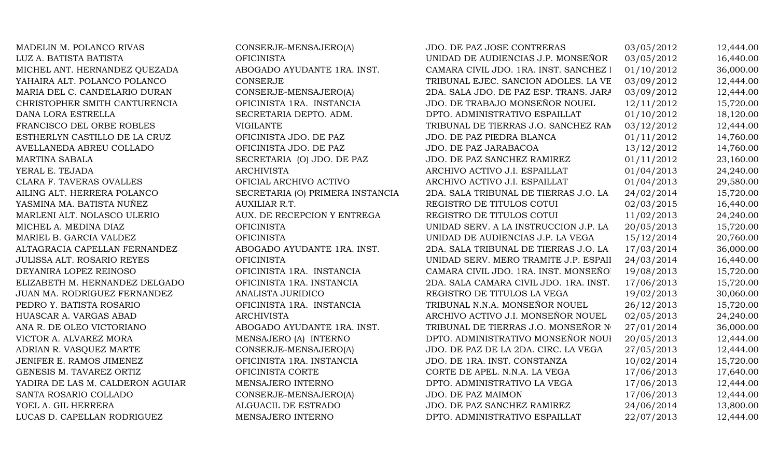MADELIN M. POLANCO RIVAS CONSERJE-MENSAJERO(A) JDO. DE PAZ JOSE CONTRERAS 03/05/2012 12,444.00 LUZ A. BATISTA BATISTA OFICINISTA UNIDAD DE AUDIENCIAS J.P. MONSEÑOR NOUEL 03/05/2012 16,440.00 MICHEL ANT. HERNANDEZ QUEZADA ABOGADO AYUDANTE 1RA. INST. CAMARA CIVIL JDO. 1RA. INST. SANCHEZ 1 01/10/2012 36,000.00 YAHAIRA ALT. POLANCO POLANCO CONSERJE CONSERVE TRIBUNAL EJEC. SANCION ADOLES. LA VE 03/09/2012 12,444.00 MARIA DEL C. CANDELARIO DURAN CONSERJE-MENSAJERO(A) 2DA. SALA JDO. DE PAZ ESP. TRANS. JARA 03/09/2012 12,444.00 CHRISTOPHER SMITH CANTURENCIA OFICINISTA 1RA. INSTANCIA JDO. DE TRABAJO MONSEÑOR NOUEL 12/11/2012 15,720.00 DANA LORA ESTRELLA SECRETARIA DEPTO. ADM. DPTO. ADMINISTRATIVO ESPAILLAT 01/10/2012 18,120.00 FRANCISCO DEL ORBE ROBLES VIGILANTE VIGLANTE TRIBUNAL DE TIERRAS J.O. SANCHEZ RAM 03/12/2012 12,444.00 ESTHERLYN CASTILLO DE LA CRUZ OFICINISTA JDO. DE PAZ JDO. DE PAZ PIEDRA BLANCA 01/11/2012 14,760.00 AVELLANEDA ABREU COLLADO **OFICINISTA JDO. DE PAZ** JDO. DE PAZ JARABACOA 13/12/2012 14,760.00 MARTINA SABALA SECRETARIA (O) JDO. DE PAZ JDO. DE PAZ SANCHEZ RAMIREZ 01/11/2012 23,160.00 YERAL E. TEJADA ARCHIVISTA ARCHIVO ACTIVO J.I. ESPAILLAT 01/04/2013 24,240.00 CLARA F. TAVERAS OVALLES OFICIAL ARCHIVO ACTIVO ARCHIVO ACTIVO J.I. ESPAILLAT 01/04/2013 29,580.00 AILING ALT. HERRERA POLANCO SECRETARIA (O) PRIMERA INSTANCIA 2DA. SALA TRIBUNAL DE TIERRAS J.O. LA VEGA24/02/2014 15,720.00 YASMINA MA. BATISTA NUÑEZ AUXILIAR R.T. SAUXILIAR R.T. REGISTRO DE TITULOS COTUI 02/03/2015 16,440.00 MARLENI ALT. NOLASCO ULERIO AUX. DE RECEPCION Y ENTREGA REGISTRO DE TITULOS COTUI 11/02/2013 24,240.00 MICHEL A. MEDINA DIAZ OFICINISTA OFICINISTA UNIDAD SERV. A LA INSTRUCCION J.P. LA 20/05/2013 15,720.00 MARIEL B. GARCIA VALDEZ OFICINISTA OFICINISTA UNIDAD DE AUDIENCIAS J.P. LA VEGA 15/12/2014 20.760.00 ALTAGRACIA CAPELLAN FERNANDEZ ABOGADO AYUDANTE 1RA. INST. 2DA. SALA TRIBUNAL DE TIERRAS J.O. LA 17/03/2014 36,000.00 JULISSA ALT. ROSARIO REYES **OFICINISTA** OFICINISTA UNIDAD SERV. MERO TRAMITE J.P. ESPAII 24/03/2014 16,440.00 DEYANIRA LOPEZ REINOSO **OFICINISTA 1RA. INSTANCIA** CAMARA CIVIL JDO. 1RA. INST. MONSEÑOR 19/08/2013 15,720.00 ELIZABETH M. HERNANDEZ DELGADO OFICINISTA 1RA. INSTANCIA 2DA. SALA CAMARA CIVIL JDO. 1RA. INST. 17/06/2013 15,720.00 JUAN MA. RODRIGUEZ FERNANDEZ ANALISTA JURIDICO REGISTRO DE TITULOS LA VEGA 19/02/2013 30,060.00 PEDRO Y. BATISTA ROSARIO **OFICINISTA 1RA. INSTANCIA** TRIBUNAL N.N.A. MONSEÑOR NOUEL 26/12/2013 15,720.00 HUASCAR A. VARGAS ABAD ARCHIVISTA ARCHIVISTA ARCHIVO ACTIVO J.I. MONSEÑOR NOUEL 02/05/2013 24,240.00 ANA R. DE OLEO VICTORIANO ANDOGADO AYUDANTE 1RA. INST. TRIBUNAL DE TIERRAS J.O. MONSEÑOR NOUELLEZZA 27/01/2014 36,000.00 VICTOR A. ALVAREZ MORA MENSAJERO (A) INTERNO DPTO. ADMINISTRATIVO MONSEÑOR NOUI 20/05/2013 12,444.00 ADRIAN R. VASQUEZ MARTE CONSERJE-MENSAJERO(A) JDO. DE PAZ DE LA 2DA. CIRC. LA VEGA 27/05/2013 12,444.00 JENIFER E. RAMOS JIMENEZ **OFICINISTA 1RA. INSTANCIA** JDO. DE 1RA. INST. CONSTANZA 10/02/2014 15.720.00 GENESIS M. TAVAREZ ORTIZ CORTE OFICINISTA CORTE CORTE CORTE DE APEL. N.N.A. LA VEGA 17/06/2013 17,640.00 YADIRA DE LAS M. CALDERON AGUIAR MENSAJERO INTERNO DE DETO. ADMINISTRATIVO LA VEGA 17/06/2013 12,444.00 SANTA ROSARIO COLLADO CONSERJE-MENSAJERO(A) JDO. DE PAZ MAIMON 17/06/2013 12,444.00 YOEL A. GIL HERRERA ALGUACIL DE ESTRADO JDO. DE PAZ SANCHEZ RAMIREZ 24/06/2014 13,800.00 LUCAS D. CAPELLAN RODRIGUEZ MENSAJERO INTERNO DPTO. ADMINISTRATIVO ESPAILLAT 22/07/2013 12,444.00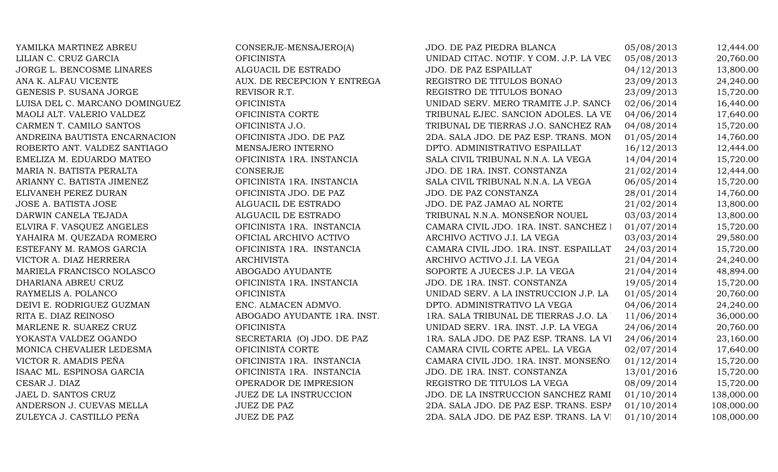YAMILKA MARTINEZ ABREU CONSERJE-MENSAJERO(A) LILIAN C. CRUZ GARCIA OFICINISTA JORGE L. BENCOSME LINARES ALGUACIL DE ESTRADO ANA K. ALFAU VICENTE AUX. DE RECEPCION Y ENTREGA GENESIS P. SUSANA JORGE REVISOR R.T. LUISA DEL C. MARCANO DOMINGUEZ OFICINISTA MAOLI ALT. VALERIO VALDEZ OFICINISTA CORTE CARMEN T. CAMILO SANTOS OFICINISTA J.O. ANDREINA BAUTISTA ENCARNACION OFICINISTA JDO. DE PAZ ROBERTO ANT. VALDEZ SANTIAGO MENSAJERO INTERNO EMELIZA M. EDUARDO MATEO **OFICINISTA 1RA. INSTANCIA** MARIA N. BATISTA PERALTA 1988 PERALTA 200 CONSERJE ARIANNY C. BATISTA JIMENEZ OFICINISTA 1RA. INSTANCIA ELIVANEH PEREZ DURAN OFICINISTA JDO. DE PAZ JOSE A. BATISTA JOSE ALGUACIL DE ESTRADO DARWIN CANELA TEJADA ALGUACIL DE ESTRADO ELVIRA F. VASQUEZ ANGELES OFICINISTA 1RA. INSTANCIA YAHAIRA M. OUEZADA ROMERO **OFICIAL ARCHIVO ACTIVO** ESTEFANY M. RAMOS GARCIA **OFICINISTA 1RA. INSTANCIA** VICTOR A. DIAZ HERRERA ARCHIVISTA MARIELA FRANCISCO NOLASCO ABOGADO AYUDANTE DHARIANA ABREU CRUZ OFICINISTA 1RA. INSTANCIA RAYMELIS A. POLANCO OFICINISTA DEIVI E. RODRIGUEZ GUZMAN ENC. ALMACEN ADMVO. RITA E. DIAZ REINOSO ABOGADO AYUDANTE 1RA. INST. MARLENE R. SUAREZ CRUZ OFICINISTA YOKASTA VALDEZ OGANDO SECRETARIA (O) JDO. DE PAZ MONICA CHEVALIER LEDESMA OFICINISTA CORTE VICTOR R. AMADIS PEÑA **OFICINISTA 1RA. INSTANCIA** ISAAC ML. ESPINOSA GARCIA OFICINISTA 1RA. INSTANCIA CESAR J. DIAZ OPERADOR DE IMPRESION JAEL D. SANTOS CRUZ JUEZ DE LA INSTRUCCION ANDERSON J. CUEVAS MELLA  $JUEZ$  DE PAZ ZULEYCA J. CASTILLO PEÑA JUEZ DE PAZ

| JDO. DE PAZ PIEDRA BLANCA               | 05/08/2013 | 12,444.00  |
|-----------------------------------------|------------|------------|
| UNIDAD CITAC. NOTIF. Y COM. J.P. LA VEC | 05/08/2013 | 20,760.00  |
| JDO. DE PAZ ESPAILLAT                   | 04/12/2013 | 13,800.00  |
| REGISTRO DE TITULOS BONAO               | 23/09/2013 | 24,240.00  |
| REGISTRO DE TITULOS BONAO               | 23/09/2013 | 15,720.00  |
| UNIDAD SERV. MERO TRAMITE J.P. SANCH    | 02/06/2014 | 16,440.00  |
| TRIBUNAL EJEC. SANCION ADOLES. LA VE    | 04/06/2014 | 17,640.00  |
| TRIBUNAL DE TIERRAS J.O. SANCHEZ RAM    | 04/08/2014 | 15,720.00  |
| 2DA. SALA JDO. DE PAZ ESP. TRANS. MON   | 01/05/2014 | 14,760.00  |
| DPTO. ADMINISTRATIVO ESPAILLAT          | 16/12/2013 | 12,444.00  |
| SALA CIVIL TRIBUNAL N.N.A. LA VEGA      | 14/04/2014 | 15,720.00  |
| JDO. DE 1RA. INST. CONSTANZA            | 21/02/2014 | 12,444.00  |
| SALA CIVIL TRIBUNAL N.N.A. LA VEGA      | 06/05/2014 | 15,720.00  |
| JDO. DE PAZ CONSTANZA                   | 28/01/2014 | 14,760.00  |
| JDO. DE PAZ JAMAO AL NORTE              | 21/02/2014 | 13,800.00  |
| TRIBUNAL N.N.A. MONSEÑOR NOUEL          | 03/03/2014 | 13,800.00  |
| CAMARA CIVIL JDO. 1RA. INST. SANCHEZ I  | 01/07/2014 | 15,720.00  |
| ARCHIVO ACTIVO J.I. LA VEGA             | 03/03/2014 | 29,580.00  |
| CAMARA CIVIL JDO. 1RA. INST. ESPAILLAT  | 24/03/2014 | 15,720.00  |
| ARCHIVO ACTIVO J.I. LA VEGA             | 21/04/2014 | 24,240.00  |
| SOPORTE A JUECES J.P. LA VEGA           | 21/04/2014 | 48,894.00  |
| JDO. DE 1RA. INST. CONSTANZA            | 19/05/2014 | 15,720.00  |
| UNIDAD SERV. A LA INSTRUCCION J.P. LA   | 01/05/2014 | 20,760.00  |
| DPTO. ADMINISTRATIVO LA VEGA            | 04/06/2014 | 24,240.00  |
| 1RA. SALA TRIBUNAL DE TIERRAS J.O. LA ' | 11/06/2014 | 36,000.00  |
| UNIDAD SERV. 1RA. INST. J.P. LA VEGA    | 24/06/2014 | 20,760.00  |
| 1RA. SALA JDO. DE PAZ ESP. TRANS. LA VI | 24/06/2014 | 23,160.00  |
| CAMARA CIVIL CORTE APEL. LA VEGA        | 02/07/2014 | 17,640.00  |
| CAMARA CIVIL JDO. 1RA. INST. MONSEÑO.   | 01/12/2014 | 15,720.00  |
| JDO. DE 1RA. INST. CONSTANZA            | 13/01/2016 | 15,720.00  |
| REGISTRO DE TITULOS LA VEGA             | 08/09/2014 | 15,720.00  |
| JDO. DE LA INSTRUCCION SANCHEZ RAMI     | 01/10/2014 | 138,000.00 |
| 2DA. SALA JDO. DE PAZ ESP. TRANS. ESPA  | 01/10/2014 | 108,000.00 |
| 2DA. SALA JDO. DE PAZ ESP. TRANS. LA VI | 01/10/2014 | 108,000.00 |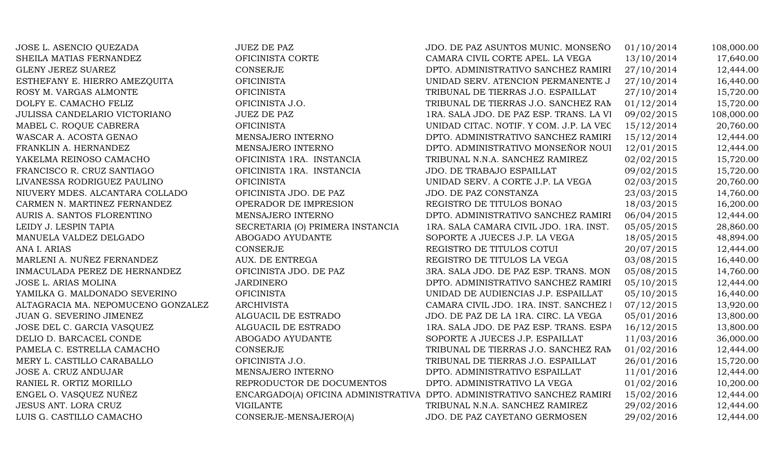| JOSE L. ASENCIO QUEZADA            | <b>JUEZ DE PAZ</b>               | JDO. DE PAZ ASUNTOS MUNIC. MONSEÑO                                      | 01/10/2014 | 108,000.00 |
|------------------------------------|----------------------------------|-------------------------------------------------------------------------|------------|------------|
| SHEILA MATIAS FERNANDEZ            | OFICINISTA CORTE                 | CAMARA CIVIL CORTE APEL. LA VEGA                                        | 13/10/2014 | 17,640.00  |
| GLENY JEREZ SUAREZ                 | <b>CONSERJE</b>                  | DPTO. ADMINISTRATIVO SANCHEZ RAMIRI                                     | 27/10/2014 | 12,444.00  |
| ESTHEFANY E. HIERRO AMEZQUITA      | <b>OFICINISTA</b>                | UNIDAD SERV. ATENCION PERMANENTE J                                      | 27/10/2014 | 16,440.00  |
| ROSY M. VARGAS ALMONTE             | <b>OFICINISTA</b>                | TRIBUNAL DE TIERRAS J.O. ESPAILLAT                                      | 27/10/2014 | 15,720.00  |
| DOLFY E. CAMACHO FELIZ             | OFICINISTA J.O.                  | TRIBUNAL DE TIERRAS J.O. SANCHEZ RAN                                    | 01/12/2014 | 15,720.00  |
| JULISSA CANDELARIO VICTORIANO      | <b>JUEZ DE PAZ</b>               | 1RA. SALA JDO. DE PAZ ESP. TRANS. LA VI                                 | 09/02/2015 | 108,000.00 |
| MABEL C. ROQUE CABRERA             | <b>OFICINISTA</b>                | UNIDAD CITAC. NOTIF. Y COM. J.P. LA VEC                                 | 15/12/2014 | 20,760.00  |
| WASCAR A. ACOSTA GENAO             | MENSAJERO INTERNO                | DPTO. ADMINISTRATIVO SANCHEZ RAMIRI                                     | 15/12/2014 | 12,444.00  |
| FRANKLIN A. HERNANDEZ              | MENSAJERO INTERNO                | DPTO. ADMINISTRATIVO MONSEÑOR NOUI                                      | 12/01/2015 | 12,444.00  |
| YAKELMA REINOSO CAMACHO            | OFICINISTA 1RA. INSTANCIA        | TRIBUNAL N.N.A. SANCHEZ RAMIREZ                                         | 02/02/2015 | 15,720.00  |
| FRANCISCO R. CRUZ SANTIAGO         | OFICINISTA 1RA. INSTANCIA        | <b>JDO. DE TRABAJO ESPAILLAT</b>                                        | 09/02/2015 | 15,720.00  |
| LIVANESSA RODRIGUEZ PAULINO        | <b>OFICINISTA</b>                | UNIDAD SERV. A CORTE J.P. LA VEGA                                       | 02/03/2015 | 20,760.00  |
| NIUVERY MDES. ALCANTARA COLLADO    | OFICINISTA JDO. DE PAZ           | JDO. DE PAZ CONSTANZA                                                   | 23/03/2015 | 14,760.00  |
| CARMEN N. MARTINEZ FERNANDEZ       | OPERADOR DE IMPRESION            | REGISTRO DE TITULOS BONAO                                               | 18/03/2015 | 16,200.00  |
| AURIS A. SANTOS FLORENTINO         | MENSAJERO INTERNO                | DPTO. ADMINISTRATIVO SANCHEZ RAMIRI                                     | 06/04/2015 | 12,444.00  |
| LEIDY J. LESPIN TAPIA              | SECRETARIA (O) PRIMERA INSTANCIA | 1RA. SALA CAMARA CIVIL JDO. 1RA. INST.                                  | 05/05/2015 | 28,860.00  |
| MANUELA VALDEZ DELGADO             | ABOGADO AYUDANTE                 | SOPORTE A JUECES J.P. LA VEGA                                           | 18/05/2015 | 48,894.00  |
| ANA I. ARIAS                       | <b>CONSERJE</b>                  | REGISTRO DE TITULOS COTUI                                               | 20/07/2015 | 12,444.00  |
| MARLENI A. NUÑEZ FERNANDEZ         | AUX. DE ENTREGA                  | REGISTRO DE TITULOS LA VEGA                                             | 03/08/2015 | 16,440.00  |
| INMACULADA PEREZ DE HERNANDEZ      | OFICINISTA JDO. DE PAZ           | 3RA. SALA JDO. DE PAZ ESP. TRANS. MON                                   | 05/08/2015 | 14,760.00  |
| JOSE L. ARIAS MOLINA               | <b>JARDINERO</b>                 | DPTO. ADMINISTRATIVO SANCHEZ RAMIRI                                     | 05/10/2015 | 12,444.00  |
| YAMILKA G. MALDONADO SEVERINO      | <b>OFICINISTA</b>                | UNIDAD DE AUDIENCIAS J.P. ESPAILLAT                                     | 05/10/2015 | 16,440.00  |
| ALTAGRACIA MA. NEPOMUCENO GONZALEZ | <b>ARCHIVISTA</b>                | CAMARA CIVIL JDO. 1RA. INST. SANCHEZ I                                  | 07/12/2015 | 13,920.00  |
| JUAN G. SEVERINO JIMENEZ           | ALGUACIL DE ESTRADO              | JDO. DE PAZ DE LA 1RA. CIRC. LA VEGA                                    | 05/01/2016 | 13,800.00  |
| JOSE DEL C. GARCIA VASQUEZ         | ALGUACIL DE ESTRADO              | 1RA. SALA JDO. DE PAZ ESP. TRANS. ESPA                                  | 16/12/2015 | 13,800.00  |
| DELIO D. BARCACEL CONDE            | ABOGADO AYUDANTE                 | SOPORTE A JUECES J.P. ESPAILLAT                                         | 11/03/2016 | 36,000.00  |
| PAMELA C. ESTRELLA CAMACHO         | <b>CONSERJE</b>                  | TRIBUNAL DE TIERRAS J.O. SANCHEZ RAN                                    | 01/02/2016 | 12,444.00  |
| MERY L. CASTILLO CARABALLO         | OFICINISTA J.O.                  | TRIBUNAL DE TIERRAS J.O. ESPAILLAT                                      | 26/01/2016 | 15,720.00  |
| JOSE A. CRUZ ANDUJAR               | MENSAJERO INTERNO                | DPTO. ADMINISTRATIVO ESPAILLAT                                          | 11/01/2016 | 12,444.00  |
| RANIEL R. ORTIZ MORILLO            | REPRODUCTOR DE DOCUMENTOS        | DPTO. ADMINISTRATIVO LA VEGA                                            | 01/02/2016 | 10,200.00  |
| ENGEL O. VASQUEZ NUÑEZ             |                                  | ENCARGADO(A) OFICINA ADMINISTRATIVA DPTO. ADMINISTRATIVO SANCHEZ RAMIRI | 15/02/2016 | 12,444.00  |
| JESUS ANT. LORA CRUZ               | <b>VIGILANTE</b>                 | TRIBUNAL N.N.A. SANCHEZ RAMIREZ                                         | 29/02/2016 | 12,444.00  |
| LUIS G. CASTILLO CAMACHO           | CONSERJE-MENSAJERO(A)            | JDO. DE PAZ CAYETANO GERMOSEN                                           | 29/02/2016 | 12,444.00  |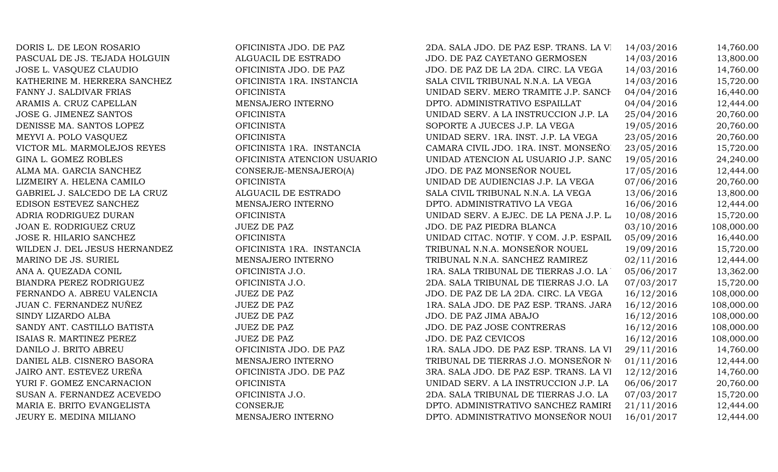| DORIS L. DE LEON ROSARIO      | OFICINISTA JDO. DE PAZ      | 2DA. SALA JDO. DE PAZ ESP. TRANS. LA VI | 14/03/2016 | 14,760.00  |
|-------------------------------|-----------------------------|-----------------------------------------|------------|------------|
| PASCUAL DE JS. TEJADA HOLGUIN | ALGUACIL DE ESTRADO         | JDO. DE PAZ CAYETANO GERMOSEN           | 14/03/2016 | 13,800.00  |
| JOSE L. VASQUEZ CLAUDIO       | OFICINISTA JDO. DE PAZ      | JDO. DE PAZ DE LA 2DA. CIRC. LA VEGA    | 14/03/2016 | 14,760.00  |
| KATHERINE M. HERRERA SANCHEZ  | OFICINISTA 1RA. INSTANCIA   | SALA CIVIL TRIBUNAL N.N.A. LA VEGA      | 14/03/2016 | 15,720.00  |
| FANNY J. SALDIVAR FRIAS       | <b>OFICINISTA</b>           | UNIDAD SERV. MERO TRAMITE J.P. SANCH    | 04/04/2016 | 16,440.00  |
| ARAMIS A. CRUZ CAPELLAN       | MENSAJERO INTERNO           | DPTO. ADMINISTRATIVO ESPAILLAT          | 04/04/2016 | 12,444.00  |
| JOSE G. JIMENEZ SANTOS        | <b>OFICINISTA</b>           | UNIDAD SERV. A LA INSTRUCCION J.P. LA   | 25/04/2016 | 20,760.00  |
| DENISSE MA. SANTOS LOPEZ      | <b>OFICINISTA</b>           | SOPORTE A JUECES J.P. LA VEGA           | 19/05/2016 | 20,760.00  |
| MEYVI A. POLO VASQUEZ         | <b>OFICINISTA</b>           | UNIDAD SERV. 1RA. INST. J.P. LA VEGA    | 23/05/2016 | 20,760.00  |
| VICTOR ML. MARMOLEJOS REYES   | OFICINISTA 1RA. INSTANCIA   | CAMARA CIVIL JDO. 1RA. INST. MONSEÑO.   | 23/05/2016 | 15,720.00  |
| GINA L. GOMEZ ROBLES          | OFICINISTA ATENCION USUARIO | UNIDAD ATENCION AL USUARIO J.P. SANC    | 19/05/2016 | 24,240.00  |
| ALMA MA. GARCIA SANCHEZ       | CONSERJE-MENSAJERO(A)       | JDO. DE PAZ MONSEÑOR NOUEL              | 17/05/2016 | 12,444.00  |
| LIZMEIRY A. HELENA CAMILO     | <b>OFICINISTA</b>           | UNIDAD DE AUDIENCIAS J.P. LA VEGA       | 07/06/2016 | 20,760.00  |
| GABRIEL J. SALCEDO DE LA CRUZ | ALGUACIL DE ESTRADO         | SALA CIVIL TRIBUNAL N.N.A. LA VEGA      | 13/06/2016 | 13,800.00  |
| EDISON ESTEVEZ SANCHEZ        | MENSAJERO INTERNO           | DPTO. ADMINISTRATIVO LA VEGA            | 16/06/2016 | 12,444.00  |
| ADRIA RODRIGUEZ DURAN         | <b>OFICINISTA</b>           | UNIDAD SERV. A EJEC. DE LA PENA J.P. L. | 10/08/2016 | 15,720.00  |
| JOAN E. RODRIGUEZ CRUZ        | <b>JUEZ DE PAZ</b>          | JDO. DE PAZ PIEDRA BLANCA               | 03/10/2016 | 108,000.00 |
| JOSE R. HILARIO SANCHEZ       | <b>OFICINISTA</b>           | UNIDAD CITAC. NOTIF. Y COM. J.P. ESPAIL | 05/09/2016 | 16,440.00  |
| WILDEN J. DEL JESUS HERNANDEZ | OFICINISTA 1RA. INSTANCIA   | TRIBUNAL N.N.A. MONSEÑOR NOUEL          | 19/09/2016 | 15,720.00  |
| MARINO DE JS. SURIEL          | MENSAJERO INTERNO           | TRIBUNAL N.N.A. SANCHEZ RAMIREZ         | 02/11/2016 | 12,444.00  |
| ANA A. QUEZADA CONIL          | OFICINISTA J.O.             | 1RA. SALA TRIBUNAL DE TIERRAS J.O. LA   | 05/06/2017 | 13,362.00  |
| BIANDRA PEREZ RODRIGUEZ       | OFICINISTA J.O.             | 2DA. SALA TRIBUNAL DE TIERRAS J.O. LA   | 07/03/2017 | 15,720.00  |
| FERNANDO A. ABREU VALENCIA    | <b>JUEZ DE PAZ</b>          | JDO. DE PAZ DE LA 2DA. CIRC. LA VEGA    | 16/12/2016 | 108,000.00 |
| JUAN C. FERNANDEZ NUÑEZ       | <b>JUEZ DE PAZ</b>          | 1RA. SALA JDO. DE PAZ ESP. TRANS. JARA  | 16/12/2016 | 108,000.00 |
| SINDY LIZARDO ALBA            | <b>JUEZ DE PAZ</b>          | JDO. DE PAZ JIMA ABAJO                  | 16/12/2016 | 108,000.00 |
| SANDY ANT. CASTILLO BATISTA   | <b>JUEZ DE PAZ</b>          | JDO. DE PAZ JOSE CONTRERAS              | 16/12/2016 | 108,000.00 |
| ISAIAS R. MARTINEZ PEREZ      | <b>JUEZ DE PAZ</b>          | <b>JDO. DE PAZ CEVICOS</b>              | 16/12/2016 | 108,000.00 |
| DANILO J. BRITO ABREU         | OFICINISTA JDO. DE PAZ      | 1RA. SALA JDO. DE PAZ ESP. TRANS. LA VI | 29/11/2016 | 14,760.00  |
| DANIEL ALB. CISNERO BASORA    | MENSAJERO INTERNO           | TRIBUNAL DE TIERRAS J.O. MONSEÑOR NO    | 01/11/2016 | 12,444.00  |
| JAIRO ANT. ESTEVEZ UREÑA      | OFICINISTA JDO. DE PAZ      | 3RA. SALA JDO. DE PAZ ESP. TRANS. LA VI | 12/12/2016 | 14,760.00  |
| YURI F. GOMEZ ENCARNACION     | <b>OFICINISTA</b>           | UNIDAD SERV. A LA INSTRUCCION J.P. LA   | 06/06/2017 | 20,760.00  |
| SUSAN A. FERNANDEZ ACEVEDO    | OFICINISTA J.O.             | 2DA. SALA TRIBUNAL DE TIERRAS J.O. LA   | 07/03/2017 | 15,720.00  |
| MARIA E. BRITO EVANGELISTA    | CONSERJE                    | DPTO. ADMINISTRATIVO SANCHEZ RAMIRI     | 21/11/2016 | 12,444.00  |
| JEURY E. MEDINA MILIANO       | MENSAJERO INTERNO           | DPTO. ADMINISTRATIVO MONSEÑOR NOUI      | 16/01/2017 | 12,444.00  |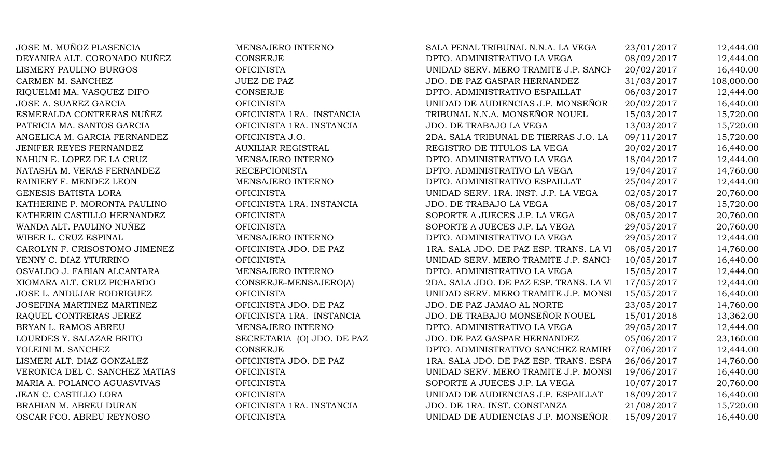JOSE M. MUÑOZ PLASENCIA MENSAJERO INTERNO DEYANIRA ALT. CORONADO NUÑEZ CONSERJE LISMERY PAULINO BURGOS OFICINISTA CARMEN M. SANCHEZ JUEZ DE PAZ RIQUELMI MA. VASQUEZ DIFO. CONSERJE JOSE A. SUAREZ GARCIA OFICINISTA ESMERALDA CONTRERAS NUÑEZ OFICINISTA 1RA. INSTANCIA PATRICIA MA. SANTOS GARCIA OFICINISTA 1RA. INSTANCIA ANGELICA M. GARCIA FERNANDEZ OFICINISTA J.O. JENIFER REYES FERNANDEZ AUXILIAR REGISTRAL NAHUN E. LOPEZ DE LA CRUZ MENSAJERO INTERNO NATASHA M. VERAS FERNANDEZ RECEPCIONISTA RAINIERY F. MENDEZ LEON MENSAJERO INTERNO GENESIS BATISTA LORA OFICINISTA UNIDAD SERV. 1RA. INST. J.P. LA VEGA 02/05/2017 20,760.00 KATHERINE P. MORONTA PAULINO OFICINISTA 1RA. INSTANCIA KATHERIN CASTILLO HERNANDEZ OFICINISTA WANDA ALT. PAULINO NUÑEZ OFICINISTA WIBER L. CRUZ ESPINAL MENSAJERO INTERNO CAROLYN F. CRISOSTOMO JIMENEZ OFICINISTA JDO. DE PAZ YENNY C. DIAZ YTURRINO OFICINISTA OSVALDO J. FABIAN ALCANTARA MENSAJERO INTERNO XIOMARA ALT. CRUZ PICHARDO CONSERJE-MENSAJERO(A) JOSE L. ANDUJAR RODRIGUEZ OFICINISTA JOSEFINA MARTINEZ MARTINEZ **OFICINISTA JDO.** DE PAZ RAQUEL CONTRERAS JEREZ OFICINISTA 1RA. INSTANCIA BRYAN L. RAMOS ABREU MENSAJERO INTERNO LOURDES Y. SALAZAR BRITO SECRETARIA (O) JDO. DE PAZ YOLEINI M. SANCHEZ CONSERJE LISMERI ALT. DIAZ GONZALEZ OFICINISTA JDO. DE PAZ VERONICA DEL C. SANCHEZ MATIAS OFICINISTA MARIA A. POLANCO AGUASVIVAS OFICINISTA JEAN C. CASTILLO LORA OFICINISTA BRAHIAN M. ABREU DURAN OFICINISTA 1RA. INSTANCIA OSCAR FCO. ABREU REYNOSO OFICINISTA UNIDAD DE AUDIENCIAS J.P. MONSEÑOR NOUEL 15/09/2017 16,440.00

| SALA PENAL TRIBUNAL N.N.A. LA VEGA      | 23/01/2017 | 12,444.00  |
|-----------------------------------------|------------|------------|
| DPTO. ADMINISTRATIVO LA VEGA            | 08/02/2017 | 12,444.00  |
| UNIDAD SERV. MERO TRAMITE J.P. SANCH    | 20/02/2017 | 16,440.00  |
| JDO. DE PAZ GASPAR HERNANDEZ            | 31/03/2017 | 108,000.00 |
| DPTO. ADMINISTRATIVO ESPAILLAT          | 06/03/2017 | 12,444.00  |
| UNIDAD DE AUDIENCIAS J.P. MONSEÑOR      | 20/02/2017 | 16,440.00  |
| TRIBUNAL N.N.A. MONSEÑOR NOUEL          | 15/03/2017 | 15,720.00  |
| JDO. DE TRABAJO LA VEGA                 | 13/03/2017 | 15,720.00  |
| 2DA. SALA TRIBUNAL DE TIERRAS J.O. LA   | 09/11/2017 | 15,720.00  |
| REGISTRO DE TITULOS LA VEGA             | 20/02/2017 | 16,440.00  |
| DPTO. ADMINISTRATIVO LA VEGA            | 18/04/2017 | 12,444.00  |
| DPTO. ADMINISTRATIVO LA VEGA            | 19/04/2017 | 14,760.00  |
| DPTO. ADMINISTRATIVO ESPAILLAT          | 25/04/2017 | 12,444.00  |
| UNIDAD SERV. 1RA. INST. J.P. LA VEGA    | 02/05/2017 | 20,760.00  |
| JDO. DE TRABAJO LA VEGA                 | 08/05/2017 | 15,720.00  |
| SOPORTE A JUECES J.P. LA VEGA           | 08/05/2017 | 20,760.00  |
| SOPORTE A JUECES J.P. LA VEGA           | 29/05/2017 | 20,760.00  |
| DPTO. ADMINISTRATIVO LA VEGA            | 29/05/2017 | 12,444.00  |
| 1RA. SALA JDO. DE PAZ ESP. TRANS. LA VI | 08/05/2017 | 14,760.00  |
| UNIDAD SERV. MERO TRAMITE J.P. SANCH    | 10/05/2017 | 16,440.00  |
| DPTO. ADMINISTRATIVO LA VEGA            | 15/05/2017 | 12,444.00  |
| 2DA. SALA JDO. DE PAZ ESP. TRANS. LA VI | 17/05/2017 | 12,444.00  |
| UNIDAD SERV. MERO TRAMITE J.P. MONSI    | 15/05/2017 | 16,440.00  |
| JDO. DE PAZ JAMAO AL NORTE              | 23/05/2017 | 14,760.00  |
| JDO. DE TRABAJO MONSEÑOR NOUEL          | 15/01/2018 | 13,362.00  |
| DPTO. ADMINISTRATIVO LA VEGA            | 29/05/2017 | 12,444.00  |
| JDO. DE PAZ GASPAR HERNANDEZ            | 05/06/2017 | 23,160.00  |
| DPTO. ADMINISTRATIVO SANCHEZ RAMIRI     | 07/06/2017 | 12,444.00  |
| 1RA. SALA JDO. DE PAZ ESP. TRANS. ESPA  | 26/06/2017 | 14,760.00  |
| UNIDAD SERV. MERO TRAMITE J.P. MONSI    | 19/06/2017 | 16,440.00  |
| SOPORTE A JUECES J.P. LA VEGA           | 10/07/2017 | 20,760.00  |
| UNIDAD DE AUDIENCIAS J.P. ESPAILLAT     | 18/09/2017 | 16,440.00  |
| JDO. DE 1RA. INST. CONSTANZA            | 21/08/2017 | 15,720.00  |
| UNIDAD DE AUDIENCIAS J.P. MONSEÑOR      | 15/09/2017 | 16,440.00  |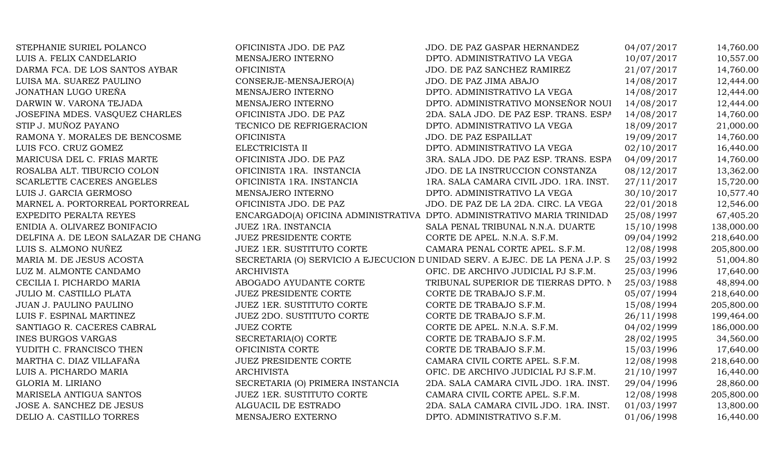| STEPHANIE SURIEL POLANCO            | OFICINISTA JDO. DE PAZ           | JDO. DE PAZ GASPAR HERNANDEZ                                                 | 04/07/2017 | 14,760.00  |
|-------------------------------------|----------------------------------|------------------------------------------------------------------------------|------------|------------|
| LUIS A. FELIX CANDELARIO            | MENSAJERO INTERNO                | DPTO. ADMINISTRATIVO LA VEGA                                                 | 10/07/2017 | 10,557.00  |
| DARMA FCA. DE LOS SANTOS AYBAR      | <b>OFICINISTA</b>                | JDO. DE PAZ SANCHEZ RAMIREZ                                                  | 21/07/2017 | 14,760.00  |
| LUISA MA. SUAREZ PAULINO            | CONSERJE-MENSAJERO(A)            | JDO. DE PAZ JIMA ABAJO                                                       | 14/08/2017 | 12,444.00  |
| JONATHAN LUGO UREÑA                 | MENSAJERO INTERNO                | DPTO. ADMINISTRATIVO LA VEGA                                                 | 14/08/2017 | 12,444.00  |
| DARWIN W. VARONA TEJADA             | MENSAJERO INTERNO                | DPTO. ADMINISTRATIVO MONSEÑOR NOUI                                           | 14/08/2017 | 12,444.00  |
| JOSEFINA MDES. VASQUEZ CHARLES      | OFICINISTA JDO. DE PAZ           | 2DA. SALA JDO. DE PAZ ESP. TRANS. ESPA                                       | 14/08/2017 | 14,760.00  |
| STIP J. MUÑOZ PAYANO                | TECNICO DE REFRIGERACION         | DPTO. ADMINISTRATIVO LA VEGA                                                 | 18/09/2017 | 21,000.00  |
| RAMONA Y. MORALES DE BENCOSME       | <b>OFICINISTA</b>                | JDO. DE PAZ ESPAILLAT                                                        | 19/09/2017 | 14,760.00  |
| LUIS FCO. CRUZ GOMEZ                | ELECTRICISTA II                  | DPTO. ADMINISTRATIVO LA VEGA                                                 | 02/10/2017 | 16,440.00  |
| MARICUSA DEL C. FRIAS MARTE         | OFICINISTA JDO. DE PAZ           | 3RA. SALA JDO. DE PAZ ESP. TRANS. ESPA                                       | 04/09/2017 | 14,760.00  |
| ROSALBA ALT. TIBURCIO COLON         | OFICINISTA 1RA. INSTANCIA        | JDO. DE LA INSTRUCCION CONSTANZA                                             | 08/12/2017 | 13,362.00  |
| SCARLETTE CACERES ANGELES           | OFICINISTA 1RA. INSTANCIA        | 1RA. SALA CAMARA CIVIL JDO. 1RA. INST.                                       | 27/11/2017 | 15,720.00  |
| LUIS J. GARCIA GERMOSO              | MENSAJERO INTERNO                | DPTO. ADMINISTRATIVO LA VEGA                                                 | 30/10/2017 | 10,577.40  |
| MARNEL A. PORTORREAL PORTORREAL     | OFICINISTA JDO. DE PAZ           | JDO. DE PAZ DE LA 2DA. CIRC. LA VEGA                                         | 22/01/2018 | 12,546.00  |
| EXPEDITO PERALTA REYES              |                                  | ENCARGADO(A) OFICINA ADMINISTRATIVA DPTO. ADMINISTRATIVO MARIA TRINIDAD      | 25/08/1997 | 67,405.20  |
| ENIDIA A. OLIVAREZ BONIFACIO        | JUEZ 1RA. INSTANCIA              | SALA PENAL TRIBUNAL N.N.A. DUARTE                                            | 15/10/1998 | 138,000.00 |
| DELFINA A. DE LEON SALAZAR DE CHANG | <b>JUEZ PRESIDENTE CORTE</b>     | CORTE DE APEL. N.N.A. S.F.M.                                                 | 09/04/1992 | 218,640.00 |
| LUIS S. ALMONO NUÑEZ                | <b>JUEZ 1ER. SUSTITUTO CORTE</b> | CAMARA PENAL CORTE APEL. S.F.M.                                              | 12/08/1998 | 205,800.00 |
| MARIA M. DE JESUS ACOSTA            |                                  | SECRETARIA (O) SERVICIO A EJECUCION DUNIDAD SERV. A EJEC. DE LA PENA J.P. S. | 25/03/1992 | 51,004.80  |
| LUZ M. ALMONTE CANDAMO              | <b>ARCHIVISTA</b>                | OFIC. DE ARCHIVO JUDICIAL PJ S.F.M.                                          | 25/03/1996 | 17,640.00  |
| CECILIA I. PICHARDO MARIA           | ABOGADO AYUDANTE CORTE           | TRIBUNAL SUPERIOR DE TIERRAS DPTO. N                                         | 25/03/1988 | 48,894.00  |
| JULIO M. CASTILLO PLATA             | <b>JUEZ PRESIDENTE CORTE</b>     | CORTE DE TRABAJO S.F.M.                                                      | 05/07/1994 | 218,640.00 |
| JUAN J. PAULINO PAULINO             | <b>JUEZ 1ER. SUSTITUTO CORTE</b> | CORTE DE TRABAJO S.F.M.                                                      | 15/08/1994 | 205,800.00 |
| LUIS F. ESPINAL MARTINEZ            | <b>JUEZ 2DO. SUSTITUTO CORTE</b> | CORTE DE TRABAJO S.F.M.                                                      | 26/11/1998 | 199,464.00 |
| SANTIAGO R. CACERES CABRAL          | <b>JUEZ CORTE</b>                | CORTE DE APEL. N.N.A. S.F.M.                                                 | 04/02/1999 | 186,000.00 |
| <b>INES BURGOS VARGAS</b>           | SECRETARIA(O) CORTE              | CORTE DE TRABAJO S.F.M.                                                      | 28/02/1995 | 34,560.00  |
| YUDITH C. FRANCISCO THEN            | OFICINISTA CORTE                 | CORTE DE TRABAJO S.F.M.                                                      | 15/03/1996 | 17,640.00  |
| MARTHA C. DIAZ VILLAFAÑA            | <b>JUEZ PRESIDENTE CORTE</b>     | CAMARA CIVIL CORTE APEL. S.F.M.                                              | 12/08/1998 | 218,640.00 |
| LUIS A. PICHARDO MARIA              | <b>ARCHIVISTA</b>                | OFIC. DE ARCHIVO JUDICIAL PJ S.F.M.                                          | 21/10/1997 | 16,440.00  |
| GLORIA M. LIRIANO                   | SECRETARIA (O) PRIMERA INSTANCIA | 2DA. SALA CAMARA CIVIL JDO. 1RA. INST.                                       | 29/04/1996 | 28,860.00  |
| MARISELA ANTIGUA SANTOS             | JUEZ 1ER. SUSTITUTO CORTE        | CAMARA CIVIL CORTE APEL. S.F.M.                                              | 12/08/1998 | 205,800.00 |
| JOSE A. SANCHEZ DE JESUS            | ALGUACIL DE ESTRADO              | 2DA. SALA CAMARA CIVIL JDO. 1RA. INST.                                       | 01/03/1997 | 13,800.00  |
| DELIO A. CASTILLO TORRES            | MENSAJERO EXTERNO                | DPTO. ADMINISTRATIVO S.F.M.                                                  | 01/06/1998 | 16,440.00  |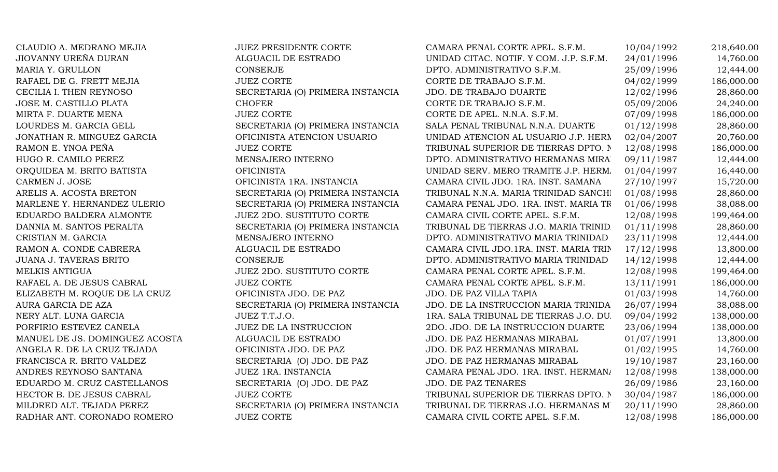| CLAUDIO A. MEDRANO MEJIA       | <b>JUEZ PRESIDENTE CORTE</b>     | CAMARA PENAL CORTE APEL. S.F.M.         | 10/04/1992 | 218,640.00 |
|--------------------------------|----------------------------------|-----------------------------------------|------------|------------|
| JIOVANNY UREÑA DURAN           | ALGUACIL DE ESTRADO              | UNIDAD CITAC. NOTIF. Y COM. J.P. S.F.M. | 24/01/1996 | 14,760.00  |
| MARIA Y. GRULLON               | CONSERJE                         | DPTO. ADMINISTRATIVO S.F.M.             | 25/09/1996 | 12,444.00  |
| RAFAEL DE G. FRETT MEJIA       | <b>JUEZ CORTE</b>                | CORTE DE TRABAJO S.F.M.                 | 04/02/1999 | 186,000.00 |
| CECILIA I. THEN REYNOSO        | SECRETARIA (O) PRIMERA INSTANCIA | JDO. DE TRABAJO DUARTE                  | 12/02/1996 | 28,860.00  |
| JOSE M. CASTILLO PLATA         | <b>CHOFER</b>                    | CORTE DE TRABAJO S.F.M.                 | 05/09/2006 | 24,240.00  |
| MIRTA F. DUARTE MENA           | <b>JUEZ CORTE</b>                | CORTE DE APEL. N.N.A. S.F.M.            | 07/09/1998 | 186,000.00 |
| LOURDES M. GARCIA GELL         | SECRETARIA (O) PRIMERA INSTANCIA | SALA PENAL TRIBUNAL N.N.A. DUARTE       | 01/12/1998 | 28,860.00  |
| JONATHAN R. MINGUEZ GARCIA     | OFICINISTA ATENCION USUARIO      | UNIDAD ATENCION AL USUARIO J.P. HERN    | 02/04/2007 | 20,760.00  |
| RAMON E. YNOA PEÑA             | <b>JUEZ CORTE</b>                | TRIBUNAL SUPERIOR DE TIERRAS DPTO. N    | 12/08/1998 | 186,000.00 |
| HUGO R. CAMILO PEREZ           | MENSAJERO INTERNO                | DPTO. ADMINISTRATIVO HERMANAS MIRA      | 09/11/1987 | 12,444.00  |
| ORQUIDEA M. BRITO BATISTA      | <b>OFICINISTA</b>                | UNIDAD SERV. MERO TRAMITE J.P. HERM.    | 01/04/1997 | 16,440.00  |
| CARMEN J. JOSE                 | OFICINISTA 1RA. INSTANCIA        | CAMARA CIVIL JDO. 1RA. INST. SAMANA     | 27/10/1997 | 15,720.00  |
| ARELIS A. ACOSTA BRETON        | SECRETARIA (O) PRIMERA INSTANCIA | TRIBUNAL N.N.A. MARIA TRINIDAD SANCHI   | 01/08/1998 | 28,860.00  |
| MARLENE Y. HERNANDEZ ULERIO    | SECRETARIA (O) PRIMERA INSTANCIA | CAMARA PENAL JDO. 1RA. INST. MARIA TR   | 01/06/1998 | 38,088.00  |
| EDUARDO BALDERA ALMONTE        | <b>JUEZ 2DO. SUSTITUTO CORTE</b> | CAMARA CIVIL CORTE APEL. S.F.M.         | 12/08/1998 | 199,464.00 |
| DANNIA M. SANTOS PERALTA       | SECRETARIA (O) PRIMERA INSTANCIA | TRIBUNAL DE TIERRAS J.O. MARIA TRINID.  | 01/11/1998 | 28,860.00  |
| CRISTIAN M. GARCIA             | MENSAJERO INTERNO                | DPTO. ADMINISTRATIVO MARIA TRINIDAD     | 23/11/1998 | 12,444.00  |
| RAMON A. CONDE CABRERA         | ALGUACIL DE ESTRADO              | CAMARA CIVIL JDO.1RA. INST. MARIA TRIN  | 17/12/1998 | 13,800.00  |
| <b>JUANA J. TAVERAS BRITO</b>  | <b>CONSERJE</b>                  | DPTO. ADMINISTRATIVO MARIA TRINIDAD     | 14/12/1998 | 12,444.00  |
| MELKIS ANTIGUA                 | JUEZ 2DO. SUSTITUTO CORTE        | CAMARA PENAL CORTE APEL. S.F.M.         | 12/08/1998 | 199,464.00 |
| RAFAEL A. DE JESUS CABRAL      | <b>JUEZ CORTE</b>                | CAMARA PENAL CORTE APEL. S.F.M.         | 13/11/1991 | 186,000.00 |
| ELIZABETH M. ROQUE DE LA CRUZ  | OFICINISTA JDO. DE PAZ           | JDO. DE PAZ VILLA TAPIA                 | 01/03/1998 | 14,760.00  |
| AURA GARCIA DE AZA             | SECRETARIA (O) PRIMERA INSTANCIA | JDO. DE LA INSTRUCCION MARIA TRINIDA    | 26/07/1994 | 38,088.00  |
| NERY ALT. LUNA GARCIA          | JUEZ T.T.J.O.                    | 1RA. SALA TRIBUNAL DE TIERRAS J.O. DU.  | 09/04/1992 | 138,000.00 |
| PORFIRIO ESTEVEZ CANELA        | <b>JUEZ DE LA INSTRUCCION</b>    | 2DO. JDO. DE LA INSTRUCCION DUARTE      | 23/06/1994 | 138,000.00 |
| MANUEL DE JS. DOMINGUEZ ACOSTA | ALGUACIL DE ESTRADO              | JDO. DE PAZ HERMANAS MIRABAL            | 01/07/1991 | 13,800.00  |
| ANGELA R. DE LA CRUZ TEJADA    | OFICINISTA JDO. DE PAZ           | JDO. DE PAZ HERMANAS MIRABAL            | 01/02/1995 | 14,760.00  |
| FRANCISCA R. BRITO VALDEZ      | SECRETARIA (O) JDO. DE PAZ       | JDO. DE PAZ HERMANAS MIRABAL            | 19/10/1987 | 23,160.00  |
| ANDRES REYNOSO SANTANA         | JUEZ 1RA. INSTANCIA              | CAMARA PENAL JDO. 1RA. INST. HERMAN/    | 12/08/1998 | 138,000.00 |
| EDUARDO M. CRUZ CASTELLANOS    | SECRETARIA (O) JDO. DE PAZ       | <b>JDO. DE PAZ TENARES</b>              | 26/09/1986 | 23,160.00  |
| HECTOR B. DE JESUS CABRAL      | <b>JUEZ CORTE</b>                | TRIBUNAL SUPERIOR DE TIERRAS DPTO. N    | 30/04/1987 | 186,000.00 |
| MILDRED ALT. TEJADA PEREZ      | SECRETARIA (O) PRIMERA INSTANCIA | TRIBUNAL DE TIERRAS J.O. HERMANAS MI    | 20/11/1990 | 28,860.00  |
| RADHAR ANT. CORONADO ROMERO    | <b>JUEZ CORTE</b>                | CAMARA CIVIL CORTE APEL. S.F.M.         | 12/08/1998 | 186,000.00 |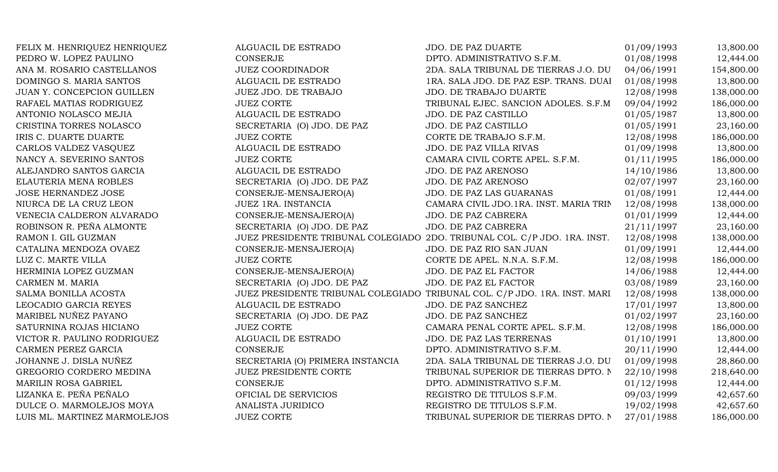| FELIX M. HENRIQUEZ HENRIQUEZ | ALGUACIL DE ESTRADO              | JDO. DE PAZ DUARTE                                                        | 01/09/1993 | 13,800.00  |
|------------------------------|----------------------------------|---------------------------------------------------------------------------|------------|------------|
| PEDRO W. LOPEZ PAULINO       | <b>CONSERJE</b>                  | DPTO. ADMINISTRATIVO S.F.M.                                               | 01/08/1998 | 12,444.00  |
| ANA M. ROSARIO CASTELLANOS   | <b>JUEZ COORDINADOR</b>          | 2DA. SALA TRIBUNAL DE TIERRAS J.O. DU                                     | 04/06/1991 | 154,800.00 |
| DOMINGO S. MARIA SANTOS      | ALGUACIL DE ESTRADO              | 1RA. SALA JDO. DE PAZ ESP. TRANS. DUAI                                    | 01/08/1998 | 13,800.00  |
| JUAN Y. CONCEPCION GUILLEN   | JUEZ JDO. DE TRABAJO             | JDO. DE TRABAJO DUARTE                                                    | 12/08/1998 | 138,000.00 |
| RAFAEL MATIAS RODRIGUEZ      | <b>JUEZ CORTE</b>                | TRIBUNAL EJEC. SANCION ADOLES. S.F.M                                      | 09/04/1992 | 186,000.00 |
| ANTONIO NOLASCO MEJIA        | ALGUACIL DE ESTRADO              | JDO. DE PAZ CASTILLO                                                      | 01/05/1987 | 13,800.00  |
| CRISTINA TORRES NOLASCO      | SECRETARIA (O) JDO. DE PAZ       | JDO. DE PAZ CASTILLO                                                      | 01/05/1991 | 23,160.00  |
| IRIS C. DUARTE DUARTE        | <b>JUEZ CORTE</b>                | CORTE DE TRABAJO S.F.M.                                                   | 12/08/1998 | 186,000.00 |
| CARLOS VALDEZ VASQUEZ        | ALGUACIL DE ESTRADO              | JDO. DE PAZ VILLA RIVAS                                                   | 01/09/1998 | 13,800.00  |
| NANCY A. SEVERINO SANTOS     | <b>JUEZ CORTE</b>                | CAMARA CIVIL CORTE APEL. S.F.M.                                           | 01/11/1995 | 186,000.00 |
| ALEJANDRO SANTOS GARCIA      | ALGUACIL DE ESTRADO              | JDO. DE PAZ ARENOSO                                                       | 14/10/1986 | 13,800.00  |
| ELAUTERIA MENA ROBLES        | SECRETARIA (O) JDO. DE PAZ       | JDO. DE PAZ ARENOSO                                                       | 02/07/1997 | 23,160.00  |
| <b>JOSE HERNANDEZ JOSE</b>   | CONSERJE-MENSAJERO(A)            | JDO. DE PAZ LAS GUARANAS                                                  | 01/08/1991 | 12,444.00  |
| NIURCA DE LA CRUZ LEON       | JUEZ 1RA. INSTANCIA              | CAMARA CIVIL JDO.1RA. INST. MARIA TRIN                                    | 12/08/1998 | 138,000.00 |
| VENECIA CALDERON ALVARADO    | CONSERJE-MENSAJERO(A)            | JDO. DE PAZ CABRERA                                                       | 01/01/1999 | 12,444.00  |
| ROBINSON R. PEÑA ALMONTE     | SECRETARIA (O) JDO. DE PAZ       | JDO. DE PAZ CABRERA                                                       | 21/11/1997 | 23,160.00  |
| RAMON I. GIL GUZMAN          |                                  | JUEZ PRESIDENTE TRIBUNAL COLEGIADO 2DO. TRIBUNAL COL. C/P JDO. 1RA. INST. | 12/08/1998 | 138,000.00 |
| CATALINA MENDOZA OVAEZ       | CONSERJE-MENSAJERO(A)            | JDO. DE PAZ RIO SAN JUAN                                                  | 01/09/1991 | 12,444.00  |
| LUZ C. MARTE VILLA           | <b>JUEZ CORTE</b>                | CORTE DE APEL. N.N.A. S.F.M.                                              | 12/08/1998 | 186,000.00 |
| HERMINIA LOPEZ GUZMAN        | CONSERJE-MENSAJERO(A)            | JDO. DE PAZ EL FACTOR                                                     | 14/06/1988 | 12,444.00  |
| CARMEN M. MARIA              | SECRETARIA (O) JDO. DE PAZ       | JDO. DE PAZ EL FACTOR                                                     | 03/08/1989 | 23,160.00  |
| SALMA BONILLA ACOSTA         |                                  | JUEZ PRESIDENTE TRIBUNAL COLEGIADO TRIBUNAL COL. C/P JDO. 1RA. INST. MARI | 12/08/1998 | 138,000.00 |
| LEOCADIO GARCIA REYES        | ALGUACIL DE ESTRADO              | JDO. DE PAZ SANCHEZ                                                       | 17/01/1997 | 13,800.00  |
| MARIBEL NUÑEZ PAYANO         | SECRETARIA (O) JDO. DE PAZ       | JDO. DE PAZ SANCHEZ                                                       | 01/02/1997 | 23,160.00  |
| SATURNINA ROJAS HICIANO      | <b>JUEZ CORTE</b>                | CAMARA PENAL CORTE APEL. S.F.M.                                           | 12/08/1998 | 186,000.00 |
| VICTOR R. PAULINO RODRIGUEZ  | ALGUACIL DE ESTRADO              | JDO. DE PAZ LAS TERRENAS                                                  | 01/10/1991 | 13,800.00  |
| CARMEN PEREZ GARCIA          | <b>CONSERJE</b>                  | DPTO. ADMINISTRATIVO S.F.M.                                               | 20/11/1990 | 12,444.00  |
| JOHANNE J. DISLA NUÑEZ       | SECRETARIA (O) PRIMERA INSTANCIA | 2DA. SALA TRIBUNAL DE TIERRAS J.O. DU                                     | 01/09/1998 | 28,860.00  |
| GREGORIO CORDERO MEDINA      | JUEZ PRESIDENTE CORTE            | TRIBUNAL SUPERIOR DE TIERRAS DPTO. N                                      | 22/10/1998 | 218,640.00 |
| <b>MARILIN ROSA GABRIEL</b>  | <b>CONSERJE</b>                  | DPTO. ADMINISTRATIVO S.F.M.                                               | 01/12/1998 | 12,444.00  |
| LIZANKA E. PEÑA PEÑALO       | OFICIAL DE SERVICIOS             | REGISTRO DE TITULOS S.F.M.                                                | 09/03/1999 | 42,657.60  |
| DULCE O. MARMOLEJOS MOYA     | ANALISTA JURIDICO                | REGISTRO DE TITULOS S.F.M.                                                | 19/02/1998 | 42,657.60  |
| LUIS ML. MARTINEZ MARMOLEJOS | <b>JUEZ CORTE</b>                | TRIBUNAL SUPERIOR DE TIERRAS DPTO. N                                      | 27/01/1988 | 186,000.00 |
|                              |                                  |                                                                           |            |            |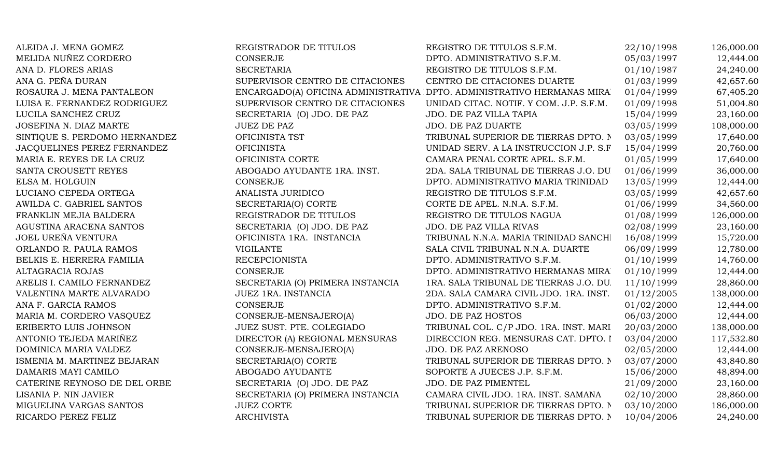| ALEIDA J. MENA GOMEZ          | REGISTRADOR DE TITULOS           | REGISTRO DE TITULOS S.F.M.                                             | 22/10/1998 | 126,000.00 |
|-------------------------------|----------------------------------|------------------------------------------------------------------------|------------|------------|
| MELIDA NUÑEZ CORDERO          | <b>CONSERJE</b>                  | DPTO. ADMINISTRATIVO S.F.M.                                            | 05/03/1997 | 12,444.00  |
| ANA D. FLORES ARIAS           | <b>SECRETARIA</b>                | REGISTRO DE TITULOS S.F.M.                                             | 01/10/1987 | 24,240.00  |
| ANA G. PEÑA DURAN             | SUPERVISOR CENTRO DE CITACIONES  | CENTRO DE CITACIONES DUARTE                                            | 01/03/1999 | 42,657.60  |
| ROSAURA J. MENA PANTALEON     |                                  | ENCARGADO(A) OFICINA ADMINISTRATIVA DPTO. ADMINISTRATIVO HERMANAS MIRA | 01/04/1999 | 67,405.20  |
| LUISA E. FERNANDEZ RODRIGUEZ  | SUPERVISOR CENTRO DE CITACIONES  | UNIDAD CITAC. NOTIF. Y COM. J.P. S.F.M.                                | 01/09/1998 | 51,004.80  |
| LUCILA SANCHEZ CRUZ           | SECRETARIA (O) JDO. DE PAZ       | JDO. DE PAZ VILLA TAPIA                                                | 15/04/1999 | 23,160.00  |
| JOSEFINA N. DIAZ MARTE        | <b>JUEZ DE PAZ</b>               | JDO. DE PAZ DUARTE                                                     | 03/05/1999 | 108,000.00 |
| SINTIQUE S. PERDOMO HERNANDEZ | OFICINISTA TST                   | TRIBUNAL SUPERIOR DE TIERRAS DPTO. N                                   | 03/05/1999 | 17,640.00  |
| JACQUELINES PEREZ FERNANDEZ   | <b>OFICINISTA</b>                | UNIDAD SERV. A LA INSTRUCCION J.P. S.F                                 | 15/04/1999 | 20,760.00  |
| MARIA E. REYES DE LA CRUZ     | OFICINISTA CORTE                 | CAMARA PENAL CORTE APEL. S.F.M.                                        | 01/05/1999 | 17,640.00  |
| SANTA CROUSETT REYES          | ABOGADO AYUDANTE 1RA. INST.      | 2DA. SALA TRIBUNAL DE TIERRAS J.O. DU                                  | 01/06/1999 | 36,000.00  |
| ELSA M. HOLGUIN               | CONSERJE                         | DPTO. ADMINISTRATIVO MARIA TRINIDAD                                    | 13/05/1999 | 12,444.00  |
| LUCIANO CEPEDA ORTEGA         | ANALISTA JURIDICO                | REGISTRO DE TITULOS S.F.M.                                             | 03/05/1999 | 42,657.60  |
| AWILDA C. GABRIEL SANTOS      | SECRETARIA(O) CORTE              | CORTE DE APEL. N.N.A. S.F.M.                                           | 01/06/1999 | 34,560.00  |
| FRANKLIN MEJIA BALDERA        | REGISTRADOR DE TITULOS           | REGISTRO DE TITULOS NAGUA                                              | 01/08/1999 | 126,000.00 |
| AGUSTINA ARACENA SANTOS       | SECRETARIA (O) JDO. DE PAZ       | JDO. DE PAZ VILLA RIVAS                                                | 02/08/1999 | 23,160.00  |
| JOEL UREÑA VENTURA            | OFICINISTA 1RA. INSTANCIA        | TRIBUNAL N.N.A. MARIA TRINIDAD SANCHI                                  | 16/08/1999 | 15,720.00  |
| ORLANDO R. PAULA RAMOS        | <b>VIGILANTE</b>                 | SALA CIVIL TRIBUNAL N.N.A. DUARTE                                      | 06/09/1999 | 12,780.00  |
| BELKIS E. HERRERA FAMILIA     | <b>RECEPCIONISTA</b>             | DPTO. ADMINISTRATIVO S.F.M.                                            | 01/10/1999 | 14,760.00  |
| ALTAGRACIA ROJAS              | <b>CONSERJE</b>                  | DPTO. ADMINISTRATIVO HERMANAS MIRA                                     | 01/10/1999 | 12,444.00  |
| ARELIS I. CAMILO FERNANDEZ    | SECRETARIA (O) PRIMERA INSTANCIA | 1RA. SALA TRIBUNAL DE TIERRAS J.O. DU.                                 | 11/10/1999 | 28,860.00  |
| VALENTINA MARTE ALVARADO      | JUEZ 1RA. INSTANCIA              | 2DA. SALA CAMARA CIVIL JDO. 1RA. INST.                                 | 01/12/2005 | 138,000.00 |
| ANA F. GARCIA RAMOS           | CONSERJE                         | DPTO. ADMINISTRATIVO S.F.M.                                            | 01/02/2000 | 12,444.00  |
| MARIA M. CORDERO VASQUEZ      | CONSERJE-MENSAJERO(A)            | JDO. DE PAZ HOSTOS                                                     | 06/03/2000 | 12,444.00  |
| ERIBERTO LUIS JOHNSON         | JUEZ SUST. PTE. COLEGIADO        | TRIBUNAL COL. C/P JDO. 1RA. INST. MARI                                 | 20/03/2000 | 138,000.00 |
| ANTONIO TEJEDA MARIÑEZ        | DIRECTOR (A) REGIONAL MENSURAS   | DIRECCION REG. MENSURAS CAT. DPTO. I                                   | 03/04/2000 | 117,532.80 |
| DOMINICA MARIA VALDEZ         | CONSERJE-MENSAJERO(A)            | JDO. DE PAZ ARENOSO                                                    | 02/05/2000 | 12,444.00  |
| ISMENIA M. MARTINEZ BEJARAN   | SECRETARIA(O) CORTE              | TRIBUNAL SUPERIOR DE TIERRAS DPTO. N                                   | 03/07/2000 | 43,840.80  |
| DAMARIS MAYI CAMILO           | ABOGADO AYUDANTE                 | SOPORTE A JUECES J.P. S.F.M.                                           | 15/06/2000 | 48,894.00  |
| CATERINE REYNOSO DE DEL ORBE  | SECRETARIA (O) JDO. DE PAZ       | JDO. DE PAZ PIMENTEL                                                   | 21/09/2000 | 23,160.00  |
| LISANIA P. NIN JAVIER         | SECRETARIA (O) PRIMERA INSTANCIA | CAMARA CIVIL JDO. 1RA. INST. SAMANA                                    | 02/10/2000 | 28,860.00  |
| MIGUELINA VARGAS SANTOS       | <b>JUEZ CORTE</b>                | TRIBUNAL SUPERIOR DE TIERRAS DPTO. N                                   | 03/10/2000 | 186,000.00 |
| RICARDO PEREZ FELIZ           | <b>ARCHIVISTA</b>                | TRIBUNAL SUPERIOR DE TIERRAS DPTO. N                                   | 10/04/2006 | 24,240.00  |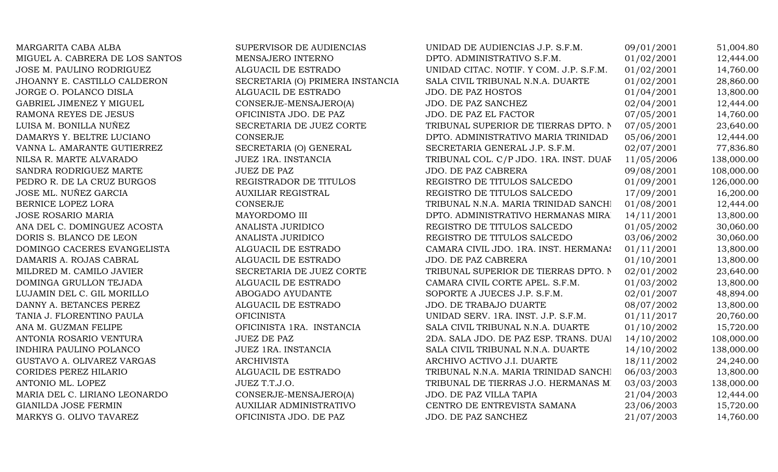| MARGARITA CABA ALBA             | SUPERVISOR DE AUDIENCIAS         | UNIDAD DE AUDIENCIAS J.P. S.F.M.        | 09/01/2001 | 51,004.80  |
|---------------------------------|----------------------------------|-----------------------------------------|------------|------------|
| MIGUEL A. CABRERA DE LOS SANTOS | MENSAJERO INTERNO                | DPTO. ADMINISTRATIVO S.F.M.             | 01/02/2001 | 12,444.00  |
| JOSE M. PAULINO RODRIGUEZ       | ALGUACIL DE ESTRADO              | UNIDAD CITAC. NOTIF. Y COM. J.P. S.F.M. | 01/02/2001 | 14,760.00  |
| JHOANNY E. CASTILLO CALDERON    | SECRETARIA (O) PRIMERA INSTANCIA | SALA CIVIL TRIBUNAL N.N.A. DUARTE       | 01/02/2001 | 28,860.00  |
| JORGE O. POLANCO DISLA          | ALGUACIL DE ESTRADO              | <b>JDO. DE PAZ HOSTOS</b>               | 01/04/2001 | 13,800.00  |
| GABRIEL JIMENEZ Y MIGUEL        | CONSERJE-MENSAJERO(A)            | JDO. DE PAZ SANCHEZ                     | 02/04/2001 | 12,444.00  |
| RAMONA REYES DE JESUS           | OFICINISTA JDO. DE PAZ           | JDO. DE PAZ EL FACTOR                   | 07/05/2001 | 14,760.00  |
| LUISA M. BONILLA NUÑEZ          | SECRETARIA DE JUEZ CORTE         | TRIBUNAL SUPERIOR DE TIERRAS DPTO. N    | 07/05/2001 | 23,640.00  |
| DAMARYS Y. BELTRE LUCIANO       | <b>CONSERJE</b>                  | DPTO. ADMINISTRATIVO MARIA TRINIDAD     | 05/06/2001 | 12,444.00  |
| VANNA L. AMARANTE GUTIERREZ     | SECRETARIA (O) GENERAL           | SECRETARIA GENERAL J.P. S.F.M.          | 02/07/2001 | 77,836.80  |
| NILSA R. MARTE ALVARADO         | JUEZ 1RA. INSTANCIA              | TRIBUNAL COL. C/P JDO. 1RA. INST. DUAF  | 11/05/2006 | 138,000.00 |
| SANDRA RODRIGUEZ MARTE          | <b>JUEZ DE PAZ</b>               | JDO. DE PAZ CABRERA                     | 09/08/2001 | 108,000.00 |
| PEDRO R. DE LA CRUZ BURGOS      | REGISTRADOR DE TITULOS           | REGISTRO DE TITULOS SALCEDO             | 01/09/2001 | 126,000.00 |
| JOSE ML. NUÑEZ GARCIA           | <b>AUXILIAR REGISTRAL</b>        | REGISTRO DE TITULOS SALCEDO             | 17/09/2001 | 16,200.00  |
| BERNICE LOPEZ LORA              | <b>CONSERJE</b>                  | TRIBUNAL N.N.A. MARIA TRINIDAD SANCHI   | 01/08/2001 | 12,444.00  |
| <b>JOSE ROSARIO MARIA</b>       | MAYORDOMO III                    | DPTO. ADMINISTRATIVO HERMANAS MIRA      | 14/11/2001 | 13,800.00  |
| ANA DEL C. DOMINGUEZ ACOSTA     | ANALISTA JURIDICO                | REGISTRO DE TITULOS SALCEDO             | 01/05/2002 | 30,060.00  |
| DORIS S. BLANCO DE LEON         | ANALISTA JURIDICO                | REGISTRO DE TITULOS SALCEDO             | 03/06/2002 | 30,060.00  |
| DOMINGO CACERES EVANGELISTA     | ALGUACIL DE ESTRADO              | CAMARA CIVIL JDO. 1RA. INST. HERMANAS   | 01/11/2001 | 13,800.00  |
| DAMARIS A. ROJAS CABRAL         | ALGUACIL DE ESTRADO              | JDO. DE PAZ CABRERA                     | 01/10/2001 | 13,800.00  |
| MILDRED M. CAMILO JAVIER        | SECRETARIA DE JUEZ CORTE         | TRIBUNAL SUPERIOR DE TIERRAS DPTO. N    | 02/01/2002 | 23,640.00  |
| DOMINGA GRULLON TEJADA          | ALGUACIL DE ESTRADO              | CAMARA CIVIL CORTE APEL. S.F.M.         | 01/03/2002 | 13,800.00  |
| LUJAMIN DEL C. GIL MORILLO      | ABOGADO AYUDANTE                 | SOPORTE A JUECES J.P. S.F.M.            | 02/01/2007 | 48,894.00  |
| DANNY A. BETANCES PEREZ         | ALGUACIL DE ESTRADO              | JDO. DE TRABAJO DUARTE                  | 08/07/2002 | 13,800.00  |
| TANIA J. FLORENTINO PAULA       | <b>OFICINISTA</b>                | UNIDAD SERV. 1RA. INST. J.P. S.F.M.     | 01/11/2017 | 20,760.00  |
| ANA M. GUZMAN FELIPE            | OFICINISTA 1RA. INSTANCIA        | SALA CIVIL TRIBUNAL N.N.A. DUARTE       | 01/10/2002 | 15,720.00  |
| ANTONIA ROSARIO VENTURA         | <b>JUEZ DE PAZ</b>               | 2DA. SALA JDO. DE PAZ ESP. TRANS. DUAI  | 14/10/2002 | 108,000.00 |
| INDHIRA PAULINO POLANCO         | JUEZ 1RA. INSTANCIA              | SALA CIVIL TRIBUNAL N.N.A. DUARTE       | 14/10/2002 | 138,000.00 |
| GUSTAVO A. OLIVAREZ VARGAS      | <b>ARCHIVISTA</b>                | ARCHIVO ACTIVO J.I. DUARTE              | 18/11/2002 | 24,240.00  |
| CORIDES PEREZ HILARIO           | ALGUACIL DE ESTRADO              | TRIBUNAL N.N.A. MARIA TRINIDAD SANCHI   | 06/03/2003 | 13,800.00  |
| ANTONIO ML. LOPEZ               | JUEZ T.T.J.O.                    | TRIBUNAL DE TIERRAS J.O. HERMANAS MI    | 03/03/2003 | 138,000.00 |
| MARIA DEL C. LIRIANO LEONARDO   | CONSERJE-MENSAJERO(A)            | JDO. DE PAZ VILLA TAPIA                 | 21/04/2003 | 12,444.00  |
| GIANILDA JOSE FERMIN            | <b>AUXILIAR ADMINISTRATIVO</b>   | CENTRO DE ENTREVISTA SAMANA             | 23/06/2003 | 15,720.00  |
| MARKYS G. OLIVO TAVAREZ         | OFICINISTA JDO. DE PAZ           | JDO. DE PAZ SANCHEZ                     | 21/07/2003 | 14,760.00  |
|                                 |                                  |                                         |            |            |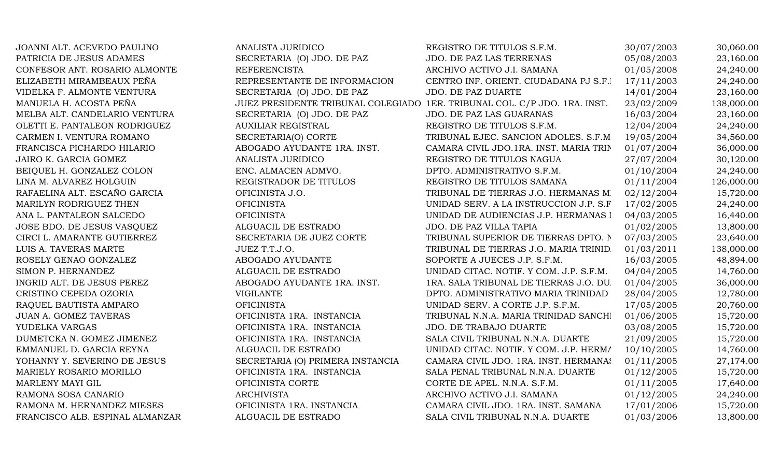| JOANNI ALT. ACEVEDO PAULINO     | ANALISTA JURIDICO                                                         | REGISTRO DE TITULOS S.F.M.              | 30/07/2003 | 30,060.00  |
|---------------------------------|---------------------------------------------------------------------------|-----------------------------------------|------------|------------|
| PATRICIA DE JESUS ADAMES        | SECRETARIA (O) JDO. DE PAZ                                                | JDO. DE PAZ LAS TERRENAS                | 05/08/2003 | 23,160.00  |
| CONFESOR ANT. ROSARIO ALMONTE   | <b>REFERENCISTA</b>                                                       | ARCHIVO ACTIVO J.I. SAMANA              | 01/05/2008 | 24,240.00  |
| ELIZABETH MIRAMBEAUX PEÑA       | REPRESENTANTE DE INFORMACION                                              | CENTRO INF. ORIENT. CIUDADANA PJ S.F.I  | 17/11/2003 | 24,240.00  |
| VIDELKA F. ALMONTE VENTURA      | SECRETARIA (O) JDO. DE PAZ                                                | JDO. DE PAZ DUARTE                      | 14/01/2004 | 23,160.00  |
| MANUELA H. ACOSTA PEÑA          | JUEZ PRESIDENTE TRIBUNAL COLEGIADO 1ER. TRIBUNAL COL. C/P JDO. 1RA. INST. |                                         | 23/02/2009 | 138,000.00 |
| MELBA ALT. CANDELARIO VENTURA   | SECRETARIA (O) JDO. DE PAZ                                                | JDO. DE PAZ LAS GUARANAS                | 16/03/2004 | 23,160.00  |
| OLETTI E. PANTALEON RODRIGUEZ   | <b>AUXILIAR REGISTRAL</b>                                                 | REGISTRO DE TITULOS S.F.M.              | 12/04/2004 | 24,240.00  |
| CARMEN I. VENTURA ROMANO        | SECRETARIA(O) CORTE                                                       | TRIBUNAL EJEC. SANCION ADOLES. S.F.M    | 19/05/2004 | 34,560.00  |
| FRANCISCA PICHARDO HILARIO      | ABOGADO AYUDANTE 1RA. INST.                                               | CAMARA CIVIL JDO.1RA. INST. MARIA TRIN  | 01/07/2004 | 36,000.00  |
| JAIRO K. GARCIA GOMEZ           | ANALISTA JURIDICO                                                         | REGISTRO DE TITULOS NAGUA               | 27/07/2004 | 30,120.00  |
| BEIQUEL H. GONZALEZ COLON       | ENC. ALMACEN ADMVO.                                                       | DPTO. ADMINISTRATIVO S.F.M.             | 01/10/2004 | 24,240.00  |
| LINA M. ALVAREZ HOLGUIN         | REGISTRADOR DE TITULOS                                                    | REGISTRO DE TITULOS SAMANA              | 01/11/2004 | 126,000.00 |
| RAFAELINA ALT. ESCAÑO GARCIA    | OFICINISTA J.O.                                                           | TRIBUNAL DE TIERRAS J.O. HERMANAS MI    | 02/12/2004 | 15,720.00  |
| MARILYN RODRIGUEZ THEN          | <b>OFICINISTA</b>                                                         | UNIDAD SERV. A LA INSTRUCCION J.P. S.F  | 17/02/2005 | 24,240.00  |
| ANA L. PANTALEON SALCEDO        | <b>OFICINISTA</b>                                                         | UNIDAD DE AUDIENCIAS J.P. HERMANAS I    | 04/03/2005 | 16,440.00  |
| JOSE BDO. DE JESUS VASQUEZ      | ALGUACIL DE ESTRADO                                                       | JDO. DE PAZ VILLA TAPIA                 | 01/02/2005 | 13,800.00  |
| CIRCI L. AMARANTE GUTIERREZ     | SECRETARIA DE JUEZ CORTE                                                  | TRIBUNAL SUPERIOR DE TIERRAS DPTO. N    | 07/03/2005 | 23,640.00  |
| LUIS A. TAVERAS MARTE           | JUEZ T.T.J.O.                                                             | TRIBUNAL DE TIERRAS J.O. MARIA TRINID.  | 01/03/2011 | 138,000.00 |
| ROSELY GENAO GONZALEZ           | ABOGADO AYUDANTE                                                          | SOPORTE A JUECES J.P. S.F.M.            | 16/03/2005 | 48,894.00  |
| SIMON P. HERNANDEZ              | ALGUACIL DE ESTRADO                                                       | UNIDAD CITAC. NOTIF. Y COM. J.P. S.F.M. | 04/04/2005 | 14,760.00  |
| INGRID ALT. DE JESUS PEREZ      | ABOGADO AYUDANTE 1RA. INST.                                               | 1RA. SALA TRIBUNAL DE TIERRAS J.O. DU.  | 01/04/2005 | 36,000.00  |
| CRISTINO CEPEDA OZORIA          | <b>VIGILANTE</b>                                                          | DPTO. ADMINISTRATIVO MARIA TRINIDAD     | 28/04/2005 | 12,780.00  |
| RAQUEL BAUTISTA AMPARO          | <b>OFICINISTA</b>                                                         | UNIDAD SERV. A CORTE J.P. S.F.M.        | 17/05/2005 | 20,760.00  |
| <b>JUAN A. GOMEZ TAVERAS</b>    | OFICINISTA 1RA. INSTANCIA                                                 | TRIBUNAL N.N.A. MARIA TRINIDAD SANCHI   | 01/06/2005 | 15,720.00  |
| YUDELKA VARGAS                  | OFICINISTA 1RA. INSTANCIA                                                 | JDO. DE TRABAJO DUARTE                  | 03/08/2005 | 15,720.00  |
| DUMETCKA N. GOMEZ JIMENEZ       | OFICINISTA 1RA. INSTANCIA                                                 | SALA CIVIL TRIBUNAL N.N.A. DUARTE       | 21/09/2005 | 15,720.00  |
| EMMANUEL D. GARCIA REYNA        | ALGUACIL DE ESTRADO                                                       | UNIDAD CITAC. NOTIF. Y COM. J.P. HERMA  | 10/10/2005 | 14,760.00  |
| YOHANNY Y. SEVERINO DE JESUS    | SECRETARIA (O) PRIMERA INSTANCIA                                          | CAMARA CIVIL JDO. 1RA. INST. HERMANAS   | 01/11/2005 | 27,174.00  |
| MARIELY ROSARIO MORILLO         | OFICINISTA 1RA. INSTANCIA                                                 | SALA PENAL TRIBUNAL N.N.A. DUARTE       | 01/12/2005 | 15,720.00  |
| MARLENY MAYI GIL                | OFICINISTA CORTE                                                          | CORTE DE APEL. N.N.A. S.F.M.            | 01/11/2005 | 17,640.00  |
| RAMONA SOSA CANARIO             | <b>ARCHIVISTA</b>                                                         | ARCHIVO ACTIVO J.I. SAMANA              | 01/12/2005 | 24,240.00  |
| RAMONA M. HERNANDEZ MIESES      | OFICINISTA 1RA. INSTANCIA                                                 | CAMARA CIVIL JDO. 1RA. INST. SAMANA     | 17/01/2006 | 15,720.00  |
| FRANCISCO ALB. ESPINAL ALMANZAR | ALGUACIL DE ESTRADO                                                       | SALA CIVIL TRIBUNAL N.N.A. DUARTE       | 01/03/2006 | 13,800.00  |
|                                 |                                                                           |                                         |            |            |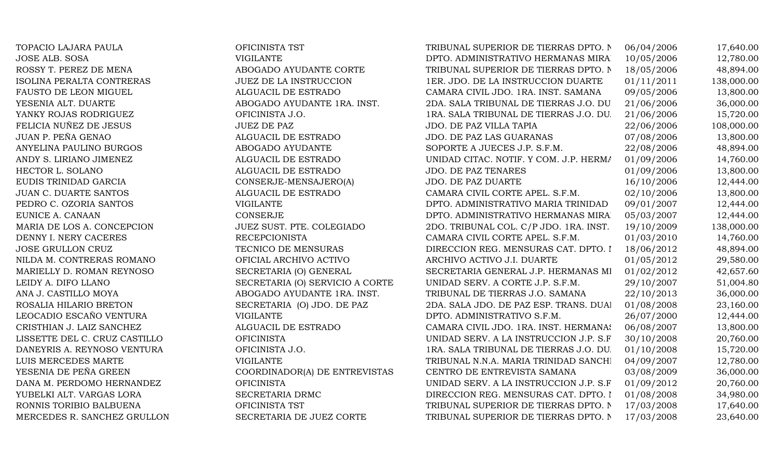| TOPACIO LAJARA PAULA          | OFICINISTA TST                  | TRIBUNAL SUPERIOR DE TIERRAS DPTO. N   | 06/04/2006 | 17,640.00  |
|-------------------------------|---------------------------------|----------------------------------------|------------|------------|
| <b>JOSE ALB. SOSA</b>         | <b>VIGILANTE</b>                | DPTO. ADMINISTRATIVO HERMANAS MIRA.    | 10/05/2006 | 12,780.00  |
| ROSSY T. PEREZ DE MENA        | ABOGADO AYUDANTE CORTE          | TRIBUNAL SUPERIOR DE TIERRAS DPTO. N   | 18/05/2006 | 48,894.00  |
| ISOLINA PERALTA CONTRERAS     | JUEZ DE LA INSTRUCCION          | 1ER. JDO. DE LA INSTRUCCION DUARTE     | 01/11/2011 | 138,000.00 |
| FAUSTO DE LEON MIGUEL         | ALGUACIL DE ESTRADO             | CAMARA CIVIL JDO. 1RA. INST. SAMANA    | 09/05/2006 | 13,800.00  |
| YESENIA ALT. DUARTE           | ABOGADO AYUDANTE 1RA. INST.     | 2DA. SALA TRIBUNAL DE TIERRAS J.O. DU  | 21/06/2006 | 36,000.00  |
| YANKY ROJAS RODRIGUEZ         | OFICINISTA J.O.                 | 1RA. SALA TRIBUNAL DE TIERRAS J.O. DU. | 21/06/2006 | 15,720.00  |
| FELICIA NUÑEZ DE JESUS        | <b>JUEZ DE PAZ</b>              | JDO. DE PAZ VILLA TAPIA                | 22/06/2006 | 108,000.00 |
| JUAN P. PEÑA GENAO            | ALGUACIL DE ESTRADO             | JDO. DE PAZ LAS GUARANAS               | 07/08/2006 | 13,800.00  |
| ANYELINA PAULINO BURGOS       | ABOGADO AYUDANTE                | SOPORTE A JUECES J.P. S.F.M.           | 22/08/2006 | 48,894.00  |
| ANDY S. LIRIANO JIMENEZ       | ALGUACIL DE ESTRADO             | UNIDAD CITAC. NOTIF. Y COM. J.P. HERMA | 01/09/2006 | 14,760.00  |
| HECTOR L. SOLANO              | ALGUACIL DE ESTRADO             | <b>JDO. DE PAZ TENARES</b>             | 01/09/2006 | 13,800.00  |
| EUDIS TRINIDAD GARCIA         | CONSERJE-MENSAJERO(A)           | <b>JDO. DE PAZ DUARTE</b>              | 16/10/2006 | 12,444.00  |
| <b>JUAN C. DUARTE SANTOS</b>  | ALGUACIL DE ESTRADO             | CAMARA CIVIL CORTE APEL. S.F.M.        | 02/10/2006 | 13,800.00  |
| PEDRO C. OZORIA SANTOS        | <b>VIGILANTE</b>                | DPTO. ADMINISTRATIVO MARIA TRINIDAD    | 09/01/2007 | 12,444.00  |
| EUNICE A. CANAAN              | <b>CONSERJE</b>                 | DPTO. ADMINISTRATIVO HERMANAS MIRA     | 05/03/2007 | 12,444.00  |
| MARIA DE LOS A. CONCEPCION    | JUEZ SUST. PTE. COLEGIADO       | 2DO. TRIBUNAL COL. C/P JDO. 1RA. INST. | 19/10/2009 | 138,000.00 |
| DENNY I. NERY CACERES         | <b>RECEPCIONISTA</b>            | CAMARA CIVIL CORTE APEL. S.F.M.        | 01/03/2010 | 14,760.00  |
| JOSE GRULLON CRUZ             | TECNICO DE MENSURAS             | DIRECCION REG. MENSURAS CAT. DPTO. I   | 18/06/2012 | 48,894.00  |
| NILDA M. CONTRERAS ROMANO     | OFICIAL ARCHIVO ACTIVO          | ARCHIVO ACTIVO J.I. DUARTE             | 01/05/2012 | 29,580.00  |
| MARIELLY D. ROMAN REYNOSO     | SECRETARIA (O) GENERAL          | SECRETARIA GENERAL J.P. HERMANAS MI    | 01/02/2012 | 42,657.60  |
| LEIDY A. DIFO LLANO           | SECRETARIA (O) SERVICIO A CORTE | UNIDAD SERV. A CORTE J.P. S.F.M.       | 29/10/2007 | 51,004.80  |
| ANA J. CASTILLO MOYA          | ABOGADO AYUDANTE 1RA. INST.     | TRIBUNAL DE TIERRAS J.O. SAMANA        | 22/10/2013 | 36,000.00  |
| ROSALIA HILARIO BRETON        | SECRETARIA (O) JDO. DE PAZ      | 2DA. SALA JDO. DE PAZ ESP. TRANS. DUAI | 01/08/2008 | 23,160.00  |
| LEOCADIO ESCAÑO VENTURA       | <b>VIGILANTE</b>                | DPTO. ADMINISTRATIVO S.F.M.            | 26/07/2000 | 12,444.00  |
| CRISTHIAN J. LAIZ SANCHEZ     | ALGUACIL DE ESTRADO             | CAMARA CIVIL JDO. 1RA. INST. HERMANAS  | 06/08/2007 | 13,800.00  |
| LISSETTE DEL C. CRUZ CASTILLO | <b>OFICINISTA</b>               | UNIDAD SERV. A LA INSTRUCCION J.P. S.F | 30/10/2008 | 20,760.00  |
| DANEYRIS A. REYNOSO VENTURA   | OFICINISTA J.O.                 | 1RA. SALA TRIBUNAL DE TIERRAS J.O. DU. | 01/10/2008 | 15,720.00  |
| LUIS MERCEDES MARTE           | <b>VIGILANTE</b>                | TRIBUNAL N.N.A. MARIA TRINIDAD SANCHI  | 04/09/2007 | 12,780.00  |
| YESENIA DE PEÑA GREEN         | COORDINADOR(A) DE ENTREVISTAS   | CENTRO DE ENTREVISTA SAMANA            | 03/08/2009 | 36,000.00  |
| DANA M. PERDOMO HERNANDEZ     | <b>OFICINISTA</b>               | UNIDAD SERV. A LA INSTRUCCION J.P. S.F | 01/09/2012 | 20,760.00  |
| YUBELKI ALT. VARGAS LORA      | SECRETARIA DRMC                 | DIRECCION REG. MENSURAS CAT. DPTO. I   | 01/08/2008 | 34,980.00  |
| RONNIS TORIBIO BALBUENA       | OFICINISTA TST                  | TRIBUNAL SUPERIOR DE TIERRAS DPTO. N   | 17/03/2008 | 17,640.00  |
| MERCEDES R. SANCHEZ GRULLON   | SECRETARIA DE JUEZ CORTE        | TRIBUNAL SUPERIOR DE TIERRAS DPTO. N   | 17/03/2008 | 23,640.00  |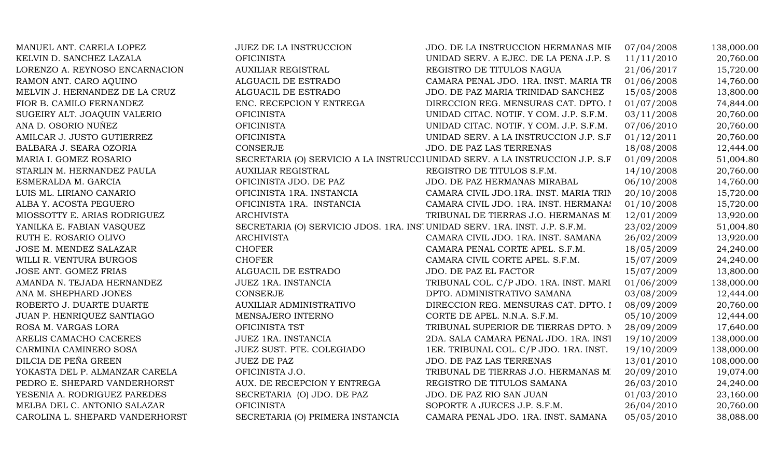| MANUEL ANT. CARELA LOPEZ        | <b>JUEZ DE LA INSTRUCCION</b>                                               | JDO. DE LA INSTRUCCION HERMANAS MIF                                           | 07/04/2008 | 138,000.00 |
|---------------------------------|-----------------------------------------------------------------------------|-------------------------------------------------------------------------------|------------|------------|
| KELVIN D. SANCHEZ LAZALA        | <b>OFICINISTA</b>                                                           | UNIDAD SERV. A EJEC. DE LA PENA J.P. S.                                       | 11/11/2010 | 20,760.00  |
| LORENZO A. REYNOSO ENCARNACION  | <b>AUXILIAR REGISTRAL</b>                                                   | REGISTRO DE TITULOS NAGUA                                                     | 21/06/2017 | 15,720.00  |
| RAMON ANT. CARO AQUINO          | ALGUACIL DE ESTRADO                                                         | CAMARA PENAL JDO. 1RA. INST. MARIA TR                                         | 01/06/2008 | 14,760.00  |
| MELVIN J. HERNANDEZ DE LA CRUZ  | ALGUACIL DE ESTRADO                                                         | JDO. DE PAZ MARIA TRINIDAD SANCHEZ                                            | 15/05/2008 | 13,800.00  |
| FIOR B. CAMILO FERNANDEZ        | ENC. RECEPCION Y ENTREGA                                                    | DIRECCION REG. MENSURAS CAT. DPTO. I                                          | 01/07/2008 | 74,844.00  |
| SUGEIRY ALT. JOAQUIN VALERIO    | <b>OFICINISTA</b>                                                           | UNIDAD CITAC. NOTIF. Y COM. J.P. S.F.M.                                       | 03/11/2008 | 20,760.00  |
| ANA D. OSORIO NUÑEZ             | <b>OFICINISTA</b>                                                           | UNIDAD CITAC. NOTIF. Y COM. J.P. S.F.M.                                       | 07/06/2010 | 20,760.00  |
| AMILCAR J. JUSTO GUTIERREZ      | <b>OFICINISTA</b>                                                           | UNIDAD SERV. A LA INSTRUCCION J.P. S.F                                        | 01/12/2011 | 20,760.00  |
| BALBARA J. SEARA OZORIA         | CONSERJE                                                                    | JDO. DE PAZ LAS TERRENAS                                                      | 18/08/2008 | 12,444.00  |
| MARIA I. GOMEZ ROSARIO          |                                                                             | SECRETARIA (O) SERVICIO A LA INSTRUCCI UNIDAD SERV. A LA INSTRUCCION J.P. S.F | 01/09/2008 | 51,004.80  |
| STARLIN M. HERNANDEZ PAULA      | <b>AUXILIAR REGISTRAL</b>                                                   | REGISTRO DE TITULOS S.F.M.                                                    | 14/10/2008 | 20,760.00  |
| ESMERALDA M. GARCIA             | OFICINISTA JDO. DE PAZ                                                      | JDO. DE PAZ HERMANAS MIRABAL                                                  | 06/10/2008 | 14,760.00  |
| LUIS ML. LIRIANO CANARIO        | OFICINISTA 1RA. INSTANCIA                                                   | CAMARA CIVIL JDO.1RA. INST. MARIA TRIN                                        | 20/10/2008 | 15,720.00  |
| ALBA Y. ACOSTA PEGUERO          | OFICINISTA 1RA. INSTANCIA                                                   | CAMARA CIVIL JDO. 1RA. INST. HERMANAS                                         | 01/10/2008 | 15,720.00  |
| MIOSSOTTY E. ARIAS RODRIGUEZ    | <b>ARCHIVISTA</b>                                                           | TRIBUNAL DE TIERRAS J.O. HERMANAS MI                                          | 12/01/2009 | 13,920.00  |
| YANILKA E. FABIAN VASQUEZ       | SECRETARIA (O) SERVICIO JDOS. 1RA. INSI UNIDAD SERV. 1RA. INST. J.P. S.F.M. |                                                                               | 23/02/2009 | 51,004.80  |
| RUTH E. ROSARIO OLIVO           | <b>ARCHIVISTA</b>                                                           | CAMARA CIVIL JDO. 1RA. INST. SAMANA                                           | 26/02/2009 | 13,920.00  |
| JOSE M. MENDEZ SALAZAR          | <b>CHOFER</b>                                                               | CAMARA PENAL CORTE APEL. S.F.M.                                               | 18/05/2009 | 24,240.00  |
| WILLI R. VENTURA BURGOS         | <b>CHOFER</b>                                                               | CAMARA CIVIL CORTE APEL. S.F.M.                                               | 15/07/2009 | 24,240.00  |
| JOSE ANT. GOMEZ FRIAS           | ALGUACIL DE ESTRADO                                                         | JDO. DE PAZ EL FACTOR                                                         | 15/07/2009 | 13,800.00  |
| AMANDA N. TEJADA HERNANDEZ      | <b>JUEZ 1RA. INSTANCIA</b>                                                  | TRIBUNAL COL. C/P JDO. 1RA. INST. MARI                                        | 01/06/2009 | 138,000.00 |
| ANA M. SHEPHARD JONES           | CONSERJE                                                                    | DPTO. ADMINISTRATIVO SAMANA                                                   | 03/08/2009 | 12,444.00  |
| ROBERTO J. DUARTE DUARTE        | AUXILIAR ADMINISTRATIVO                                                     | DIRECCION REG. MENSURAS CAT. DPTO. I                                          | 08/09/2009 | 20,760.00  |
| JUAN P. HENRIQUEZ SANTIAGO      | MENSAJERO INTERNO                                                           | CORTE DE APEL. N.N.A. S.F.M.                                                  | 05/10/2009 | 12,444.00  |
| ROSA M. VARGAS LORA             | OFICINISTA TST                                                              | TRIBUNAL SUPERIOR DE TIERRAS DPTO. N                                          | 28/09/2009 | 17,640.00  |
| ARELIS CAMACHO CACERES          | <b>JUEZ 1RA. INSTANCIA</b>                                                  | 2DA. SALA CAMARA PENAL JDO. 1RA. INST                                         | 19/10/2009 | 138,000.00 |
| CARMINIA CAMINERO SOSA          | JUEZ SUST. PTE. COLEGIADO                                                   | 1ER. TRIBUNAL COL. C/P JDO. 1RA. INST.                                        | 19/10/2009 | 138,000.00 |
| DILCIA DE PEÑA GREEN            | <b>JUEZ DE PAZ</b>                                                          | JDO. DE PAZ LAS TERRENAS                                                      | 13/01/2010 | 108,000.00 |
| YOKASTA DEL P. ALMANZAR CARELA  | OFICINISTA J.O.                                                             | TRIBUNAL DE TIERRAS J.O. HERMANAS MI                                          | 20/09/2010 | 19,074.00  |
| PEDRO E. SHEPARD VANDERHORST    | AUX. DE RECEPCION Y ENTREGA                                                 | REGISTRO DE TITULOS SAMANA                                                    | 26/03/2010 | 24,240.00  |
| YESENIA A. RODRIGUEZ PAREDES    | SECRETARIA (O) JDO. DE PAZ                                                  | JDO. DE PAZ RIO SAN JUAN                                                      | 01/03/2010 | 23,160.00  |
| MELBA DEL C. ANTONIO SALAZAR    | <b>OFICINISTA</b>                                                           | SOPORTE A JUECES J.P. S.F.M.                                                  | 26/04/2010 | 20,760.00  |
| CAROLINA L. SHEPARD VANDERHORST | SECRETARIA (O) PRIMERA INSTANCIA                                            | CAMARA PENAL JDO. 1RA. INST. SAMANA                                           | 05/05/2010 | 38,088.00  |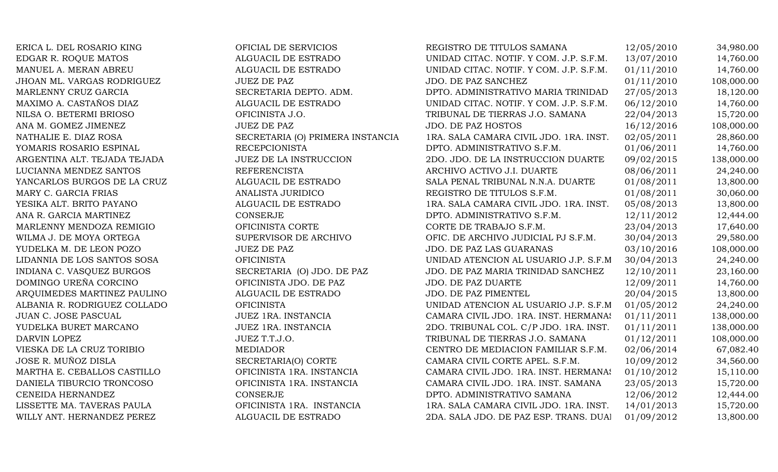ERICA L. DEL ROSARIO KING **OFICIAL DE SERVICIOS** REGISTRO DE TITULOS SAMANA 12/05/2010 34,980.00 EDGAR R. ROQUE MATOS ALGUACIL DE ESTRADO UNIDAD CITAC. NOTIF. Y COM. J.P. S.F.M. 13/07/2010 14,760.00 MANUEL A. MERAN ABREU ALGUACIL DE ESTRADO UNIDAD CITAC. NOTIF. Y COM. J.P. S.F.M. 01/11/2010 14,760.00 JHOAN ML. VARGAS RODRIGUEZ JUEZ DE PAZ JOURNEZ JDO. DE PAZ SANCHEZ 01/11/2010 108,000.00 MARLENNY CRUZ GARCIA SECRETARIA DEPTO. ADM. DPTO. ADMINISTRATIVO MARIA TRINIDAD 27/05/2013 18,120.00 MAXIMO A. CASTAÑOS DIAZ ALGUACIL DE ESTRADO UNIDAD CITAC. NOTIF. Y COM. J.P. S.F.M. 06/12/2010 14,760.00 NILSA O. BETERMI BRIOSO CONSTRIBUNISTA J.O. TRIBUNAL DE TIERRAS J.O. SAMANA 22/04/2013 15.720.00 ANA M. GOMEZ JIMENEZ JUEZ DE PAZ JUEZ DE PAZ 105.000.00 NATHALIE E. DIAZ ROSA SECRETARIA (O) PRIMERA INSTANCIA 1RA. SALA CAMARA CIVIL JDO. 1RA. INST. 02/05/2011 28,860.00 YOMARIS ROSARIO ESPINAL RECEPCIONISTA RECEPCIONISTA DPTO. ADMINISTRATIVO S.F.M. 01/06/2011 14,760.00 ARGENTINA ALT. TEJADA TEJADA JUEZ DE LA INSTRUCCION 2DO. JDO. DE LA INSTRUCCION DUARTE 09/02/2015 138,000.00 LUCIANNA MENDEZ SANTOS REFERENCISTA ARCHIVO ACTIVO J.I. DUARTE 08/06/2011 24,240.00 YANCARLOS BURGOS DE LA CRUZ ALGUACIL DE ESTRADO SALA PENAL TRIBUNAL N.N.A. DUARTE 01/08/2011 13,800.00 MARY C. GARCIA FRIAS ANALISTA JURIDICO ANALISTA ANALISTA ANALISTA ANALISTA O REGISTRO DE TITULOS S.F.M. 01/08/2011 30,060.00 YESIKA ALT. BRITO PAYANO ALGUACIL DE ESTRADO 1RA. SALA CAMARA CIVIL JDO. 1RA. INST. 05/08/2013 13,800.00 ANA R. GARCIA MARTINEZ CONSERJE CONSERUE DPTO. ADMINISTRATIVO S.F.M. 12/11/2012 12,444.00 MARLENNY MENDOZA REMIGIO **OFICINISTA CORTE** CORTE CORTE DE TRABAJO S.F.M. 23/04/2013 17,640.00 WILMA J. DE MOYA ORTEGA SUPERVISOR DE ARCHIVO OFIC. DE ARCHIVO JUDICIAL PJ S.F.M. 30/04/2013 29,580.00 YUDELKA M. DE LEON POZO JUEZ DE PAZ JUEZ DE PAZ VERTILES EN SUDO. DE PAZ LAS GUARANAS 03/10/2016 108,000.00 LIDANNIA DE LOS SANTOS SOSA OFICINISTA UNIDAD ATENCION AL USUARIO J.P. S.F.M. 30/04/2013 24,240.00 INDIANA C. VASQUEZ BURGOS SECRETARIA (O) JDO. DE PAZ JDO. DE PAZ MARIA TRINIDAD SANCHEZ 12/10/2011 23,160.00 DOMINGO UREÑA CORCINO **OFICINISTA JDO. DE PAZ** JDO. DE PAZ DUARTE 12/09/2011 14,760.00 ARQUIMEDES MARTINEZ PAULINO ALGUACIL DE ESTRADO JDO. DE PAZ PIMENTEL 20/04/2015 13,800.00 ALBANIA R. RODRIGUEZ COLLADO OFICINISTA UNIDAD ATENCION AL USUARIO J.P. S.F.M. 01/05/2012 24,240.00 JUAN C. JOSE PASCUAL JUEZ 1RA. INSTANCIA CAMARA CIVIL JDO. 1RA. INST. HERMANAS 01/11/2011 138,000.00 YUDELKA BURET MARCANO JUEZ 1RA. INSTANCIA 2DO. TRIBUNAL COL. C/P JDO. 1RA. INST. 01/11/2011 138,000.00 DARVIN LOPEZ 1.7.9.0. JUEZ T.T.J.O. TRIBUNAL DE TIERRAS J.O. SAMANA 01/12/2011 108,000.00 VIESKA DE LA CRUZ TORIBIO MEDIADOR CENTRO DE MEDIACION FAMILIAR S.F.M. 02/06/2014 67,082.40 JOSE R. MUÑOZ DISLA SECRETARIA(O) CORTE CAMARA CIVIL CORTE APEL. S.F.M. 10/09/2012 34,560.00 MARTHA E. CEBALLOS CASTILLO **OFICINISTA 1RA. INSTANCIA** CAMARA CIVIL JDO. 1RA. INST. HERMANAS 01/10/2012 15,110.00 DANIELA TIBURCIO TRONCOSO **OFICINISTA 1RA. INSTANCIA** CAMARA CIVIL JDO. 1RA. INST. SAMANA 23/05/2013 15,720.00 CENEIDA HERNANDEZ CONSERJE DPTO. ADMINISTRATIVO SAMANA 12/06/2012 12,444.00 LISSETTE MA. TAVERAS PAULA **OFICINISTA 1RA. INSTANCIA** 1RA. SALA CAMARA CIVIL JDO. 1RA. INST. 14/01/2013 15,720.00 WILLY ANT. HERNANDEZ PEREZ ALGUACIL DE ESTRADO 2DA. SALA JDO. DE PAZ ESP. TRANS. DUAl 01/09/2012 13,800.00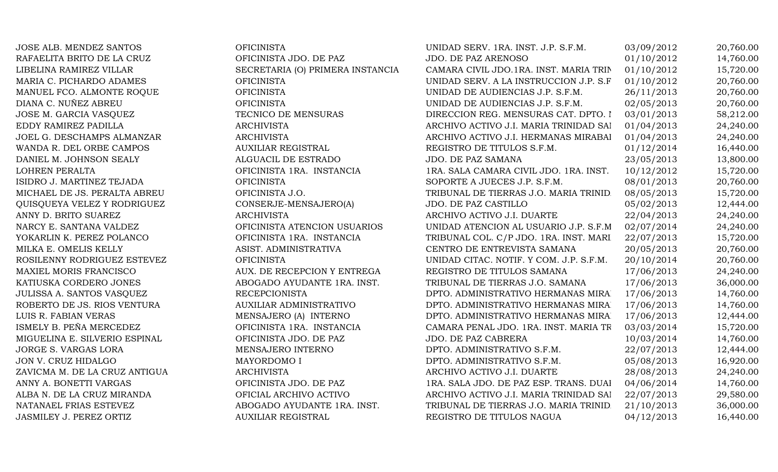JOSE ALB. MENDEZ SANTOS OFICINISTA RAFAELITA BRITO DE LA CRUZ OFICINISTA JDO. DE PAZ MARIA C. PICHARDO ADAMES OFICINISTA MANUEL FCO. ALMONTE ROOUE OFICINISTA DIANA C. NUÑEZ ABREU OFICINISTA JOSE M. GARCIA VASOUEZ TECNICO DE MENSURAS EDDY RAMIREZ PADILLA ARCHIVISTA JOEL G. DESCHAMPS ALMANZAR ARCHIVISTA WANDA R. DEL ORBE CAMPOS AUXILIAR REGISTRAL DANIEL M. JOHNSON SEALY ALGUACIL DE ESTRADO LOHREN PERALTA OFICINISTA 1RA. INSTANCIA ISIDRO J. MARTINEZ TEJADA OFICINISTA MICHAEL DE JS. PERALTA ABREU OFICINISTA J.O. QUISQUEYA VELEZ Y RODRIGUEZ CONSERJE-MENSAJERO(A) ANNY D. BRITO SUAREZ ARCHIVISTA NARCY E. SANTANA VALDEZ OFICINISTA ATENCION USUARIOS YOKARLIN K. PEREZ POLANCO OFICINISTA 1RA. INSTANCIA MILKA E. OMELIS KELLY ASIST. ADMINISTRATIVA ROSILENNY RODRIGUEZ ESTEVEZ **EXECULTS** OFICINISTA MAXIEL MORIS FRANCISCO AUX. DE RECEPCION Y ENTREGA KATIUSKA CORDERO JONES ABOGADO AYUDANTE 1RA. INST. JULISSA A. SANTOS VASQUEZ RECEPCIONISTA ROBERTO DE JS. RIOS VENTURA AUXILIAR ADMINISTRATIVO LUIS R. FABIAN VERAS MENSAJERO (A) INTERNO ISMELY B. PEÑA MERCEDEZ OFICINISTA 1RA. INSTANCIA MIGUELINA E. SILVERIO ESPINAL OFICINISTA JDO. DE PAZ JORGE S. VARGAS LORA MENSAJERO INTERNO JON V. CRUZ HIDALGO MAYORDOMO I ZAVICMA M. DE LA CRUZ ANTIGUA  $\overline{a}$ ANNY A. BONETTI VARGAS OFICINISTA JDO. DE PAZ ALBA N. DE LA CRUZ MIRANDA **OFICIAL ARCHIVO ACTIVO** NATANAEL FRIAS ESTEVEZ ABOGADO AYUDANTE 1RA. INST. JASMILEY J. PEREZ ORTIZ AUXILIAR REGISTRAL

LIBELINA RAMIREZ VILLAR SECRETARIA (O) PRIMERA INSTANCIA

| UNIDAD SERV. 1RA. INST. J.P. S.F.M.     | 03/09/2012 | 20,760.00 |
|-----------------------------------------|------------|-----------|
| <b>JDO. DE PAZ ARENOSO</b>              | 01/10/2012 | 14,760.00 |
| CAMARA CIVIL JDO.1RA. INST. MARIA TRIN  | 01/10/2012 | 15,720.00 |
| UNIDAD SERV. A LA INSTRUCCION J.P. S.F  | 01/10/2012 | 20,760.00 |
| UNIDAD DE AUDIENCIAS J.P. S.F.M.        | 26/11/2013 | 20,760.00 |
| UNIDAD DE AUDIENCIAS J.P. S.F.M.        | 02/05/2013 | 20,760.00 |
| DIRECCION REG. MENSURAS CAT. DPTO. I    | 03/01/2013 | 58,212.00 |
| ARCHIVO ACTIVO J.I. MARIA TRINIDAD SAI  | 01/04/2013 | 24,240.00 |
| ARCHIVO ACTIVO J.I. HERMANAS MIRABAI    | 01/04/2013 | 24,240.00 |
| REGISTRO DE TITULOS S.F.M.              | 01/12/2014 | 16,440.00 |
| JDO. DE PAZ SAMANA                      | 23/05/2013 | 13,800.00 |
| 1RA. SALA CAMARA CIVIL JDO. 1RA. INST.  | 10/12/2012 | 15,720.00 |
| SOPORTE A JUECES J.P. S.F.M.            | 08/01/2013 | 20,760.00 |
| TRIBUNAL DE TIERRAS J.O. MARIA TRINID.  | 08/05/2013 | 15,720.00 |
| JDO. DE PAZ CASTILLO                    | 05/02/2013 | 12,444.00 |
| ARCHIVO ACTIVO J.I. DUARTE              | 22/04/2013 | 24,240.00 |
| UNIDAD ATENCION AL USUARIO J.P. S.F.M   | 02/07/2014 | 24,240.00 |
| TRIBUNAL COL. C/P JDO. 1RA. INST. MARI  | 22/07/2013 | 15,720.00 |
| CENTRO DE ENTREVISTA SAMANA             | 20/05/2013 | 20,760.00 |
| UNIDAD CITAC. NOTIF. Y COM. J.P. S.F.M. | 20/10/2014 | 20,760.00 |
| REGISTRO DE TITULOS SAMANA              | 17/06/2013 | 24,240.00 |
| TRIBUNAL DE TIERRAS J.O. SAMANA         | 17/06/2013 | 36,000.00 |
| DPTO. ADMINISTRATIVO HERMANAS MIRA.     | 17/06/2013 | 14,760.00 |
| DPTO. ADMINISTRATIVO HERMANAS MIRA      | 17/06/2013 | 14,760.00 |
| DPTO. ADMINISTRATIVO HERMANAS MIRA.     | 17/06/2013 | 12,444.00 |
| CAMARA PENAL JDO. 1RA. INST. MARIA TR   | 03/03/2014 | 15,720.00 |
| <b>JDO. DE PAZ CABRERA</b>              | 10/03/2014 | 14,760.00 |
| DPTO. ADMINISTRATIVO S.F.M.             | 22/07/2013 | 12,444.00 |
| DPTO. ADMINISTRATIVO S.F.M.             | 05/08/2013 | 16,920.00 |
| ARCHIVO ACTIVO J.I. DUARTE              | 28/08/2013 | 24,240.00 |
| 1RA. SALA JDO. DE PAZ ESP. TRANS. DUAI  | 04/06/2014 | 14,760.00 |
| ARCHIVO ACTIVO J.I. MARIA TRINIDAD SAI  | 22/07/2013 | 29,580.00 |
| TRIBUNAL DE TIERRAS J.O. MARIA TRINID.  | 21/10/2013 | 36,000.00 |
| REGISTRO DE TITULOS NAGUA               | 04/12/2013 | 16,440.00 |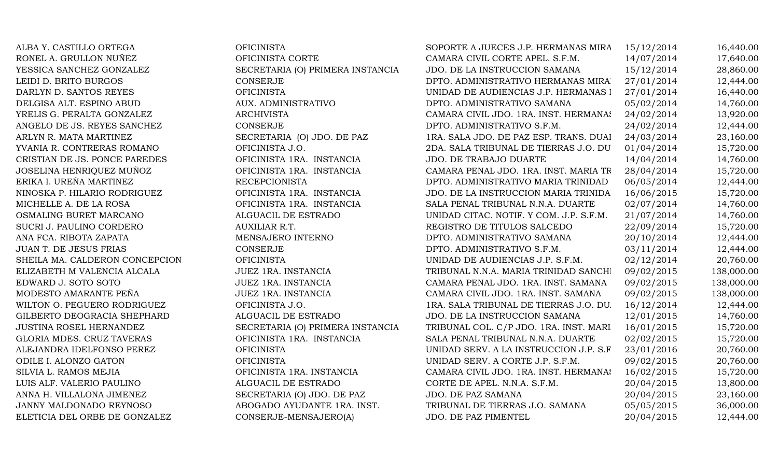ALBA Y. CASTILLO ORTEGA OFICINISTA RONEL A. GRULLON NUÑEZ OFICINISTA CORTE YESSICA SANCHEZ GONZALEZ SECRETARIA (O) PRIMERA INSTANCIA LEIDI D. BRITO BURGOS CONSERJE DARLYN D. SANTOS REYES OFICINISTA DELGISA ALT. ESPINO ABUD AUX. ADMINISTRATIVO YRELIS G. PERALTA GONZALEZ ARCHIVISTA ANGELO DE JS. REYES SANCHEZ CONSERJE ARLYN R. MATA MARTINEZ SECRETARIA (O) JDO. DE PAZ YVANIA R. CONTRERAS ROMANO OFICINISTA J.O. CRISTIAN DE JS. PONCE PAREDES OFICINISTA 1RA. INSTANCIA JOSELINA HENRIQUEZ MUÑOZ OFICINISTA 1RA. INSTANCIA ERIKA I. UREÑA MARTINEZ BECEPCIONISTA NINOSKA P. HILARIO RODRIGUEZ OFICINISTA 1RA. INSTANCIA MICHELLE A. DE LA ROSA OFICINISTA 1RA. INSTANCIA OSMALING BURET MARCANO ALGUACIL DE ESTRADO SUCRI J. PAULINO CORDERO AUXILIAR R.T. ANA FCA. RIBOTA ZAPATA MENSAJERO INTERNO JUAN T. DE JESUS FRIAS CONSERJE SHEILA MA. CALDERON CONCEPCION OFICINISTA ELIZABETH M VALENCIA ALCALA JUEZ 1RA. INSTANCIA EDWARD J. SOTO SOTO JUEZ 1RA. INSTANCIA MODESTO AMARANTE PEÑA JUEZ 1RA. INSTANCIA WILTON O. PEGUERO RODRIGUEZ OFICINISTA J.O. GILBERTO DEOGRACIA SHEPHARD ALGUACIL DE ESTRADO JUSTINA ROSEL HERNANDEZ SECRETARIA (O) PRIMERA INSTANCIA GLORIA MDES. CRUZ TAVERAS OFICINISTA 1RA. INSTANCIA ALEJANDRA IDELFONSO PEREZ OFICINISTA ODILE I. ALONZO GATON OFICINISTA SILVIA L. RAMOS MEJIA OFICINISTA 1RA. INSTANCIA LUIS ALF. VALERIO PAULINO ALGUACIL DE ESTRADO ANNA H. VILLALONA JIMENEZ SECRETARIA (O) JDO. DE PAZ JANNY MALDONADO REYNOSO ABOGADO AYUDANTE 1RA. INST. ELETICIA DEL ORBE DE GONZALEZ CONSERJE-MENSAJERO(A)

| SOPORTE A JUECES J.P. HERMANAS MIRA     | 15/12/2014 | 16,440.00  |
|-----------------------------------------|------------|------------|
| CAMARA CIVIL CORTE APEL. S.F.M.         | 14/07/2014 | 17,640.00  |
| JDO. DE LA INSTRUCCION SAMANA           | 15/12/2014 | 28,860.00  |
| DPTO. ADMINISTRATIVO HERMANAS MIRA.     | 27/01/2014 | 12,444.00  |
| UNIDAD DE AUDIENCIAS J.P. HERMANAS I    | 27/01/2014 | 16,440.00  |
| DPTO. ADMINISTRATIVO SAMANA             | 05/02/2014 | 14,760.00  |
| CAMARA CIVIL JDO. 1RA. INST. HERMANAS   | 24/02/2014 | 13,920.00  |
| DPTO. ADMINISTRATIVO S.F.M.             | 24/02/2014 | 12,444.00  |
| 1RA. SALA JDO. DE PAZ ESP. TRANS. DUAI  | 24/03/2014 | 23,160.00  |
| 2DA. SALA TRIBUNAL DE TIERRAS J.O. DU   | 01/04/2014 | 15,720.00  |
| <b>JDO. DE TRABAJO DUARTE</b>           | 14/04/2014 | 14,760.00  |
| CAMARA PENAL JDO. 1RA. INST. MARIA TR   | 28/04/2014 | 15,720.00  |
| DPTO. ADMINISTRATIVO MARIA TRINIDAD     | 06/05/2014 | 12,444.00  |
| JDO. DE LA INSTRUCCION MARIA TRINIDA    | 16/06/2015 | 15,720.00  |
| SALA PENAL TRIBUNAL N.N.A. DUARTE       | 02/07/2014 | 14,760.00  |
| UNIDAD CITAC. NOTIF. Y COM. J.P. S.F.M. | 21/07/2014 | 14,760.00  |
| REGISTRO DE TITULOS SALCEDO             | 22/09/2014 | 15,720.00  |
| DPTO. ADMINISTRATIVO SAMANA             | 20/10/2014 | 12,444.00  |
| DPTO. ADMINISTRATIVO S.F.M.             | 03/11/2014 | 12,444.00  |
| UNIDAD DE AUDIENCIAS J.P. S.F.M.        | 02/12/2014 | 20,760.00  |
| TRIBUNAL N.N.A. MARIA TRINIDAD SANCHI   | 09/02/2015 | 138,000.00 |
| CAMARA PENAL JDO. 1RA. INST. SAMANA     | 09/02/2015 | 138,000.00 |
| CAMARA CIVIL JDO. 1RA. INST. SAMANA     | 09/02/2015 | 138,000.00 |
| 1RA. SALA TRIBUNAL DE TIERRAS J.O. DU.  | 16/12/2014 | 12,444.00  |
| JDO. DE LA INSTRUCCION SAMANA           | 12/01/2015 | 14,760.00  |
| TRIBUNAL COL. C/P JDO. 1RA. INST. MARI  | 16/01/2015 | 15,720.00  |
| SALA PENAL TRIBUNAL N.N.A. DUARTE       | 02/02/2015 | 15,720.00  |
| UNIDAD SERV. A LA INSTRUCCION J.P. S.F  | 23/01/2016 | 20,760.00  |
| UNIDAD SERV. A CORTE J.P. S.F.M.        | 09/02/2015 | 20,760.00  |
| CAMARA CIVIL JDO. 1RA. INST. HERMANAS   | 16/02/2015 | 15,720.00  |
| CORTE DE APEL. N.N.A. S.F.M.            | 20/04/2015 | 13,800.00  |
| JDO. DE PAZ SAMANA                      | 20/04/2015 | 23,160.00  |
| TRIBUNAL DE TIERRAS J.O. SAMANA         | 05/05/2015 | 36,000.00  |
| JDO. DE PAZ PIMENTEL                    | 20/04/2015 | 12,444.00  |
|                                         |            |            |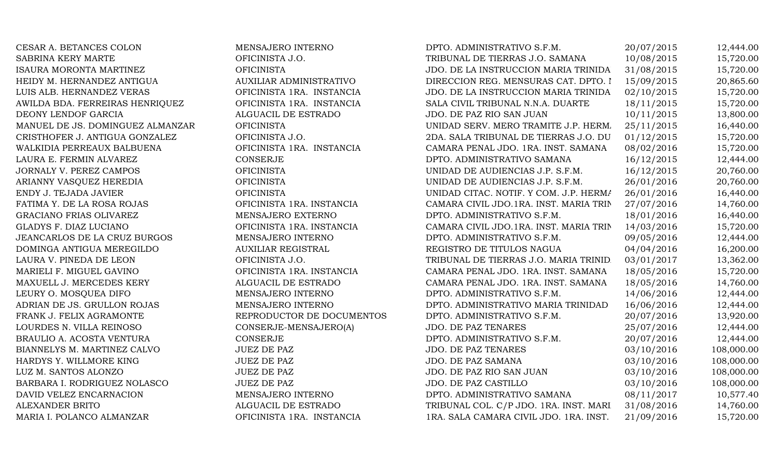CESAR A. BETANCES COLON MENSAJERO INTERNO SABRINA KERY MARTE **OFICINISTA J.O.** ISAURA MORONTA MARTINEZ OFICINISTA HEIDY M. HERNANDEZ ANTIGUA **AUXILIAR ADMINISTRATIVO** LUIS ALB. HERNANDEZ VERAS OFICINISTA 1RA. INSTANCIA AWILDA BDA. FERREIRAS HENRIQUEZ OFICINISTA 1RA. INSTANCIA DEONY LENDOF GARCIA ALGUACIL DE ESTRADO MANUEL DE JS. DOMINGUEZ ALMANZAR OFICINISTA CRISTHOFER J. ANTIGUA GONZALEZ OFICINISTA J.O. WALKIDIA PERREAUX BALBUENA **OFICINISTA 1RA. INSTANCIA** LAURA E. FERMIN ALVAREZ CONSERJE JORNALY V. PEREZ CAMPOS OFICINISTA ARIANNY VASQUEZ HEREDIA OFICINISTA ENDY J. TEJADA JAVIER OFICINISTA FATIMA Y. DE LA ROSA ROJAS OFICINISTA 1RA. INSTANCIA GRACIANO FRIAS OLIVAREZ MENSAJERO EXTERNO GLADYS F. DIAZ LUCIANO OFICINISTA 1RA. INSTANCIA JEANCARLOS DE LA CRUZ BURGOS MENSAJERO INTERNO DOMINGA ANTIGUA MEREGILDO AUXILIAR REGISTRAL LAURA V. PINEDA DE LEON OFICINISTA J.O. MARIELI F. MIGUEL GAVINO **OFICINISTA 1RA. INSTANCIA** MAXUELL J. MERCEDES KERY ALGUACIL DE ESTRADO LEURY O. MOSQUEA DIFO $\blacksquare$  MENSAJERO INTERNO ADRIAN DE JS. GRULLON ROJAS MENSAJERO INTERNO FRANK J. FELIX AGRAMONTE REPRODUCTOR DE DOCUMENTOS LOURDES N. VILLA REINOSO CONSERJE-MENSAJERO(A) BRAULIO A. ACOSTA VENTURA CONSERJE BIANNELYS M. MARTINEZ CALVO JUEZ DE PAZ HARDYS Y. WILLMORE KING JUEZ DE PAZ LUZ M. SANTOS ALONZO JUEZ DE PAZ BARBARA I. RODRIGUEZ NOLASCO JUEZ DE PAZ DAVID VELEZ ENCARNACION MENSAJERO INTERNO ALEXANDER BRITO ALGUACIL DE ESTRADO MARIA I. POLANCO ALMANZAR OFICINISTA 1RA. INSTANCIA

| DPTO. ADMINISTRATIVO S.F.M.            | 20/07/2015 | 12,444.00  |
|----------------------------------------|------------|------------|
| TRIBUNAL DE TIERRAS J.O. SAMANA        | 10/08/2015 | 15,720.00  |
| JDO. DE LA INSTRUCCION MARIA TRINIDA   | 31/08/2015 | 15,720.00  |
| DIRECCION REG. MENSURAS CAT. DPTO. I   | 15/09/2015 | 20,865.60  |
| JDO. DE LA INSTRUCCION MARIA TRINIDA   | 02/10/2015 | 15,720.00  |
| SALA CIVIL TRIBUNAL N.N.A. DUARTE      | 18/11/2015 | 15,720.00  |
| JDO. DE PAZ RIO SAN JUAN               | 10/11/2015 | 13,800.00  |
| UNIDAD SERV. MERO TRAMITE J.P. HERM.   | 25/11/2015 | 16,440.00  |
| 2DA. SALA TRIBUNAL DE TIERRAS J.O. DU  | 01/12/2015 | 15,720.00  |
| CAMARA PENAL JDO. 1RA. INST. SAMANA    | 08/02/2016 | 15,720.00  |
| DPTO. ADMINISTRATIVO SAMANA            | 16/12/2015 | 12,444.00  |
| UNIDAD DE AUDIENCIAS J.P. S.F.M.       | 16/12/2015 | 20,760.00  |
| UNIDAD DE AUDIENCIAS J.P. S.F.M.       | 26/01/2016 | 20,760.00  |
| UNIDAD CITAC. NOTIF. Y COM. J.P. HERMA | 26/01/2016 | 16,440.00  |
| CAMARA CIVIL JDO.1RA. INST. MARIA TRIN | 27/07/2016 | 14,760.00  |
| DPTO. ADMINISTRATIVO S.F.M.            | 18/01/2016 | 16,440.00  |
| CAMARA CIVIL JDO.1RA. INST. MARIA TRIN | 14/03/2016 | 15,720.00  |
| DPTO. ADMINISTRATIVO S.F.M.            | 09/05/2016 | 12,444.00  |
| REGISTRO DE TITULOS NAGUA              | 04/04/2016 | 16,200.00  |
| TRIBUNAL DE TIERRAS J.O. MARIA TRINID. | 03/01/2017 | 13,362.00  |
| CAMARA PENAL JDO. 1RA. INST. SAMANA    | 18/05/2016 | 15,720.00  |
| CAMARA PENAL JDO. 1RA. INST. SAMANA    | 18/05/2016 | 14,760.00  |
| DPTO. ADMINISTRATIVO S.F.M.            | 14/06/2016 | 12,444.00  |
| DPTO. ADMINISTRATIVO MARIA TRINIDAD    | 16/06/2016 | 12,444.00  |
| DPTO. ADMINISTRATIVO S.F.M.            | 20/07/2016 | 13,920.00  |
| <b>JDO. DE PAZ TENARES</b>             | 25/07/2016 | 12,444.00  |
| DPTO. ADMINISTRATIVO S.F.M.            | 20/07/2016 | 12,444.00  |
| <b>JDO. DE PAZ TENARES</b>             | 03/10/2016 | 108,000.00 |
| JDO. DE PAZ SAMANA                     | 03/10/2016 | 108,000.00 |
| JDO. DE PAZ RIO SAN JUAN               | 03/10/2016 | 108,000.00 |
| JDO. DE PAZ CASTILLO                   | 03/10/2016 | 108,000.00 |
| DPTO. ADMINISTRATIVO SAMANA            | 08/11/2017 | 10,577.40  |
| TRIBUNAL COL. C/P JDO. 1RA. INST. MARI | 31/08/2016 | 14,760.00  |
| 1RA. SALA CAMARA CIVIL JDO. 1RA. INST. | 21/09/2016 | 15,720.00  |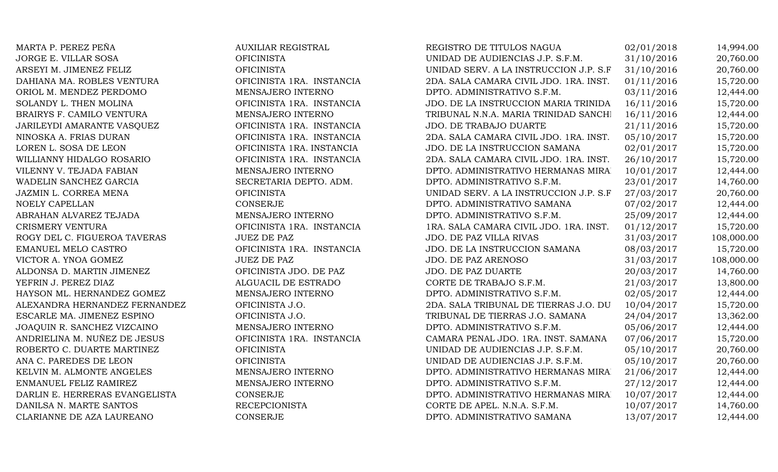| MARTA P. PEREZ PEÑA            | <b>AUXILIAR REGISTRAL</b> | REGISTRO DE TITULOS NAGUA              | 02/01/2018 | 14,994.00  |
|--------------------------------|---------------------------|----------------------------------------|------------|------------|
| JORGE E. VILLAR SOSA           | <b>OFICINISTA</b>         | UNIDAD DE AUDIENCIAS J.P. S.F.M.       | 31/10/2016 | 20,760.00  |
| ARSEYI M. JIMENEZ FELIZ        | <b>OFICINISTA</b>         | UNIDAD SERV. A LA INSTRUCCION J.P. S.F | 31/10/2016 | 20,760.00  |
| DAHIANA MA. ROBLES VENTURA     | OFICINISTA 1RA. INSTANCIA | 2DA. SALA CAMARA CIVIL JDO. 1RA. INST. | 01/11/2016 | 15,720.00  |
| ORIOL M. MENDEZ PERDOMO        | MENSAJERO INTERNO         | DPTO. ADMINISTRATIVO S.F.M.            | 03/11/2016 | 12,444.00  |
| SOLANDY L. THEN MOLINA         | OFICINISTA 1RA. INSTANCIA | JDO. DE LA INSTRUCCION MARIA TRINIDA   | 16/11/2016 | 15,720.00  |
| BRAIRYS F. CAMILO VENTURA      | MENSAJERO INTERNO         | TRIBUNAL N.N.A. MARIA TRINIDAD SANCHI  | 16/11/2016 | 12,444.00  |
| JARILEYDI AMARANTE VASQUEZ     | OFICINISTA 1RA. INSTANCIA | JDO. DE TRABAJO DUARTE                 | 21/11/2016 | 15,720.00  |
| NINOSKA A. FRIAS DURAN         | OFICINISTA 1RA. INSTANCIA | 2DA. SALA CAMARA CIVIL JDO. 1RA. INST. | 05/10/2017 | 15,720.00  |
| LOREN L. SOSA DE LEON          | OFICINISTA 1RA. INSTANCIA | JDO. DE LA INSTRUCCION SAMANA          | 02/01/2017 | 15,720.00  |
| WILLIANNY HIDALGO ROSARIO      | OFICINISTA 1RA. INSTANCIA | 2DA. SALA CAMARA CIVIL JDO. 1RA. INST. | 26/10/2017 | 15,720.00  |
| VILENNY V. TEJADA FABIAN       | MENSAJERO INTERNO         | DPTO. ADMINISTRATIVO HERMANAS MIRA     | 10/01/2017 | 12,444.00  |
| WADELIN SANCHEZ GARCIA         | SECRETARIA DEPTO. ADM.    | DPTO. ADMINISTRATIVO S.F.M.            | 23/01/2017 | 14,760.00  |
| JAZMIN L. CORREA MENA          | <b>OFICINISTA</b>         | UNIDAD SERV. A LA INSTRUCCION J.P. S.F | 27/03/2017 | 20,760.00  |
| NOELY CAPELLAN                 | <b>CONSERJE</b>           | DPTO. ADMINISTRATIVO SAMANA            | 07/02/2017 | 12,444.00  |
| ABRAHAN ALVAREZ TEJADA         | MENSAJERO INTERNO         | DPTO. ADMINISTRATIVO S.F.M.            | 25/09/2017 | 12,444.00  |
| CRISMERY VENTURA               | OFICINISTA 1RA. INSTANCIA | 1RA. SALA CAMARA CIVIL JDO. 1RA. INST. | 01/12/2017 | 15,720.00  |
| ROGY DEL C. FIGUEROA TAVERAS   | <b>JUEZ DE PAZ</b>        | JDO. DE PAZ VILLA RIVAS                | 31/03/2017 | 108,000.00 |
| EMANUEL MELO CASTRO            | OFICINISTA 1RA. INSTANCIA | JDO. DE LA INSTRUCCION SAMANA          | 08/03/2017 | 15,720.00  |
| VICTOR A. YNOA GOMEZ           | <b>JUEZ DE PAZ</b>        | JDO. DE PAZ ARENOSO                    | 31/03/2017 | 108,000.00 |
| ALDONSA D. MARTIN JIMENEZ      | OFICINISTA JDO. DE PAZ    | <b>JDO. DE PAZ DUARTE</b>              | 20/03/2017 | 14,760.00  |
| YEFRIN J. PEREZ DIAZ           | ALGUACIL DE ESTRADO       | CORTE DE TRABAJO S.F.M.                | 21/03/2017 | 13,800.00  |
| HAYSON ML. HERNANDEZ GOMEZ     | MENSAJERO INTERNO         | DPTO. ADMINISTRATIVO S.F.M.            | 02/05/2017 | 12,444.00  |
| ALEXANDRA HERNANDEZ FERNANDEZ  | OFICINISTA J.O.           | 2DA. SALA TRIBUNAL DE TIERRAS J.O. DU  | 10/04/2017 | 15,720.00  |
| ESCARLE MA. JIMENEZ ESPINO     | OFICINISTA J.O.           | TRIBUNAL DE TIERRAS J.O. SAMANA        | 24/04/2017 | 13,362.00  |
| JOAQUIN R. SANCHEZ VIZCAINO    | MENSAJERO INTERNO         | DPTO. ADMINISTRATIVO S.F.M.            | 05/06/2017 | 12,444.00  |
| ANDRIELINA M. NUÑEZ DE JESUS   | OFICINISTA 1RA. INSTANCIA | CAMARA PENAL JDO. 1RA. INST. SAMANA    | 07/06/2017 | 15,720.00  |
| ROBERTO C. DUARTE MARTINEZ     | <b>OFICINISTA</b>         | UNIDAD DE AUDIENCIAS J.P. S.F.M.       | 05/10/2017 | 20,760.00  |
| ANA C. PAREDES DE LEON         | <b>OFICINISTA</b>         | UNIDAD DE AUDIENCIAS J.P. S.F.M.       | 05/10/2017 | 20,760.00  |
| KELVIN M. ALMONTE ANGELES      | MENSAJERO INTERNO         | DPTO. ADMINISTRATIVO HERMANAS MIRA     | 21/06/2017 | 12,444.00  |
| ENMANUEL FELIZ RAMIREZ         | MENSAJERO INTERNO         | DPTO. ADMINISTRATIVO S.F.M.            | 27/12/2017 | 12,444.00  |
| DARLIN E. HERRERAS EVANGELISTA | <b>CONSERJE</b>           | DPTO. ADMINISTRATIVO HERMANAS MIRA     | 10/07/2017 | 12,444.00  |
| DANILSA N. MARTE SANTOS        | <b>RECEPCIONISTA</b>      | CORTE DE APEL. N.N.A. S.F.M.           | 10/07/2017 | 14,760.00  |
| CLARIANNE DE AZA LAUREANO      | <b>CONSERJE</b>           | DPTO. ADMINISTRATIVO SAMANA            | 13/07/2017 | 12,444.00  |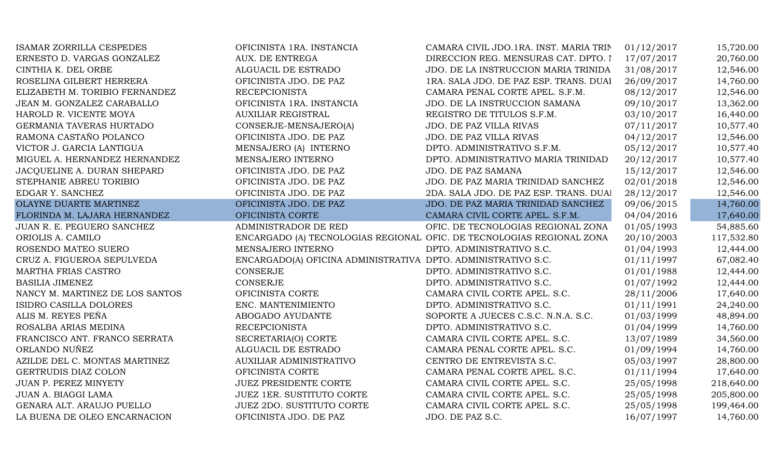| <b>ISAMAR ZORRILLA CESPEDES</b> | OFICINISTA 1RA. INSTANCIA                                     | CAMARA CIVIL JDO.1RA. INST. MARIA TRIN                                | 01/12/2017 | 15,720.00  |
|---------------------------------|---------------------------------------------------------------|-----------------------------------------------------------------------|------------|------------|
| ERNESTO D. VARGAS GONZALEZ      | AUX. DE ENTREGA                                               | DIRECCION REG. MENSURAS CAT. DPTO. I                                  | 17/07/2017 | 20,760.00  |
| CINTHIA K. DEL ORBE             | ALGUACIL DE ESTRADO                                           | JDO. DE LA INSTRUCCION MARIA TRINIDA                                  | 31/08/2017 | 12,546.00  |
| ROSELINA GILBERT HERRERA        | OFICINISTA JDO. DE PAZ                                        | 1RA. SALA JDO. DE PAZ ESP. TRANS. DUAI                                | 26/09/2017 | 14,760.00  |
| ELIZABETH M. TORIBIO FERNANDEZ  | <b>RECEPCIONISTA</b>                                          | CAMARA PENAL CORTE APEL. S.F.M.                                       | 08/12/2017 | 12,546.00  |
| JEAN M. GONZALEZ CARABALLO      | OFICINISTA 1RA. INSTANCIA                                     | JDO. DE LA INSTRUCCION SAMANA                                         | 09/10/2017 | 13,362.00  |
| HAROLD R. VICENTE MOYA          | <b>AUXILIAR REGISTRAL</b>                                     | REGISTRO DE TITULOS S.F.M.                                            | 03/10/2017 | 16,440.00  |
| GERMANIA TAVERAS HURTADO        | CONSERJE-MENSAJERO(A)                                         | JDO. DE PAZ VILLA RIVAS                                               | 07/11/2017 | 10,577.40  |
| RAMONA CASTAÑO POLANCO          | OFICINISTA JDO. DE PAZ                                        | JDO. DE PAZ VILLA RIVAS                                               | 04/12/2017 | 12,546.00  |
| VICTOR J. GARCIA LANTIGUA       | MENSAJERO (A) INTERNO                                         | DPTO. ADMINISTRATIVO S.F.M.                                           | 05/12/2017 | 10,577.40  |
| MIGUEL A. HERNANDEZ HERNANDEZ   | MENSAJERO INTERNO                                             | DPTO. ADMINISTRATIVO MARIA TRINIDAD                                   | 20/12/2017 | 10,577.40  |
| JACQUELINE A. DURAN SHEPARD     | OFICINISTA JDO. DE PAZ                                        | <b>JDO. DE PAZ SAMANA</b>                                             | 15/12/2017 | 12,546.00  |
| STEPHANIE ABREU TORIBIO         | OFICINISTA JDO. DE PAZ                                        | JDO. DE PAZ MARIA TRINIDAD SANCHEZ                                    | 02/01/2018 | 12,546.00  |
| EDGAR Y. SANCHEZ                | OFICINISTA JDO. DE PAZ                                        | 2DA. SALA JDO. DE PAZ ESP. TRANS. DUAI                                | 28/12/2017 | 12,546.00  |
| OLAYNE DUARTE MARTINEZ          | OFICINISTA JDO. DE PAZ                                        | JDO. DE PAZ MARIA TRINIDAD SANCHEZ                                    | 09/06/2015 | 14,760.00  |
| FLORINDA M. LAJARA HERNANDEZ    | OFICINISTA CORTE                                              | CAMARA CIVIL CORTE APEL. S.F.M.                                       | 04/04/2016 | 17,640.00  |
| JUAN R. E. PEGUERO SANCHEZ      | ADMINISTRADOR DE RED                                          | OFIC. DE TECNOLOGIAS REGIONAL ZONA                                    | 01/05/1993 | 54,885.60  |
| ORIOLIS A. CAMILO               |                                                               | ENCARGADO (A) TECNOLOGIAS REGIONAL OFIC. DE TECNOLOGIAS REGIONAL ZONA | 20/10/2003 | 117,532.80 |
| ROSENDO MATEO SUERO             | MENSAJERO INTERNO                                             | DPTO. ADMINISTRATIVO S.C.                                             | 01/04/1993 | 12,444.00  |
| CRUZ A. FIGUEROA SEPULVEDA      | ENCARGADO(A) OFICINA ADMINISTRATIVA DPTO. ADMINISTRATIVO S.C. |                                                                       | 01/11/1997 | 67,082.40  |
| MARTHA FRIAS CASTRO             | <b>CONSERJE</b>                                               | DPTO. ADMINISTRATIVO S.C.                                             | 01/01/1988 | 12,444.00  |
| <b>BASILIA JIMENEZ</b>          | CONSERJE                                                      | DPTO. ADMINISTRATIVO S.C.                                             | 01/07/1992 | 12,444.00  |
| NANCY M. MARTINEZ DE LOS SANTOS | OFICINISTA CORTE                                              | CAMARA CIVIL CORTE APEL. S.C.                                         | 28/11/2006 | 17,640.00  |
| ISIDRO CASILLA DOLORES          | ENC. MANTENIMIENTO                                            | DPTO. ADMINISTRATIVO S.C.                                             | 01/11/1991 | 24,240.00  |
| ALIS M. REYES PEÑA              | ABOGADO AYUDANTE                                              | SOPORTE A JUECES C.S.C. N.N.A. S.C.                                   | 01/03/1999 | 48,894.00  |
| ROSALBA ARIAS MEDINA            | <b>RECEPCIONISTA</b>                                          | DPTO. ADMINISTRATIVO S.C.                                             | 01/04/1999 | 14,760.00  |
| FRANCISCO ANT. FRANCO SERRATA   | SECRETARIA(O) CORTE                                           | CAMARA CIVIL CORTE APEL. S.C.                                         | 13/07/1989 | 34,560.00  |
| ORLANDO NUÑEZ                   | ALGUACIL DE ESTRADO                                           | CAMARA PENAL CORTE APEL. S.C.                                         | 01/09/1994 | 14,760.00  |
| AZILDE DEL C. MONTAS MARTINEZ   | AUXILIAR ADMINISTRATIVO                                       | CENTRO DE ENTREVISTA S.C.                                             | 05/03/1997 | 28,800.00  |
| GERTRUDIS DIAZ COLON            | OFICINISTA CORTE                                              | CAMARA PENAL CORTE APEL. S.C.                                         | 01/11/1994 | 17,640.00  |
| JUAN P. PEREZ MINYETY           | <b>JUEZ PRESIDENTE CORTE</b>                                  | CAMARA CIVIL CORTE APEL. S.C.                                         | 25/05/1998 | 218,640.00 |
| JUAN A. BIAGGI LAMA             | <b>JUEZ 1ER. SUSTITUTO CORTE</b>                              | CAMARA CIVIL CORTE APEL. S.C.                                         | 25/05/1998 | 205,800.00 |
| GENARA ALT. ARAUJO PUELLO       | <b>JUEZ 2DO. SUSTITUTO CORTE</b>                              | CAMARA CIVIL CORTE APEL. S.C.                                         | 25/05/1998 | 199,464.00 |
| LA BUENA DE OLEO ENCARNACION    | OFICINISTA JDO. DE PAZ                                        | JDO. DE PAZ S.C.                                                      | 16/07/1997 | 14,760.00  |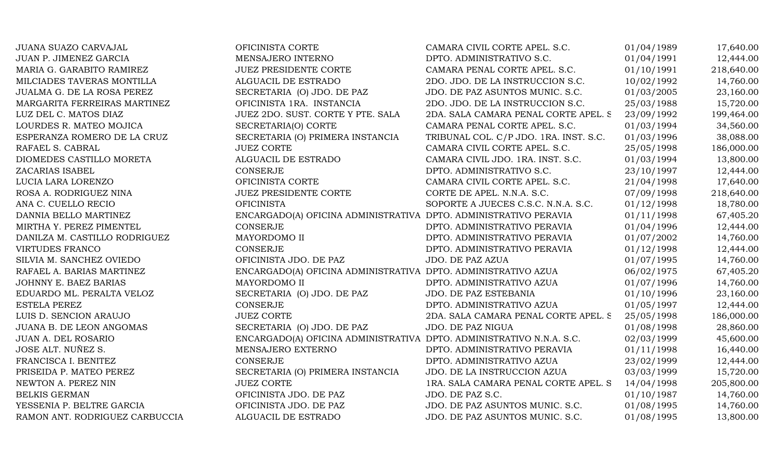| JUANA SUAZO CARVAJAL           | OFICINISTA CORTE                                                     | CAMARA CIVIL CORTE APEL. S.C.          | 01/04/1989 | 17,640.00  |
|--------------------------------|----------------------------------------------------------------------|----------------------------------------|------------|------------|
| JUAN P. JIMENEZ GARCIA         | MENSAJERO INTERNO                                                    | DPTO. ADMINISTRATIVO S.C.              | 01/04/1991 | 12,444.00  |
| MARIA G. GARABITO RAMIREZ      | <b>JUEZ PRESIDENTE CORTE</b>                                         | CAMARA PENAL CORTE APEL. S.C.          | 01/10/1991 | 218,640.00 |
| MILCIADES TAVERAS MONTILLA     | ALGUACIL DE ESTRADO                                                  | 2DO. JDO. DE LA INSTRUCCION S.C.       | 10/02/1992 | 14,760.00  |
| JUALMA G. DE LA ROSA PEREZ     | SECRETARIA (O) JDO. DE PAZ                                           | JDO. DE PAZ ASUNTOS MUNIC. S.C.        | 01/03/2005 | 23,160.00  |
| MARGARITA FERREIRAS MARTINEZ   | OFICINISTA 1RA. INSTANCIA                                            | 2DO. JDO. DE LA INSTRUCCION S.C.       | 25/03/1988 | 15,720.00  |
| LUZ DEL C. MATOS DIAZ          | JUEZ 2DO. SUST. CORTE Y PTE. SALA                                    | 2DA. SALA CAMARA PENAL CORTE APEL. S   | 23/09/1992 | 199,464.00 |
| LOURDES R. MATEO MOJICA        | SECRETARIA(O) CORTE                                                  | CAMARA PENAL CORTE APEL. S.C.          | 01/03/1994 | 34,560.00  |
| ESPERANZA ROMERO DE LA CRUZ    | SECRETARIA (O) PRIMERA INSTANCIA                                     | TRIBUNAL COL. C/P JDO. 1RA. INST. S.C. | 01/03/1996 | 38,088.00  |
| RAFAEL S. CABRAL               | <b>JUEZ CORTE</b>                                                    | CAMARA CIVIL CORTE APEL. S.C.          | 25/05/1998 | 186,000.00 |
| DIOMEDES CASTILLO MORETA       | ALGUACIL DE ESTRADO                                                  | CAMARA CIVIL JDO. 1RA. INST. S.C.      | 01/03/1994 | 13,800.00  |
| ZACARIAS ISABEL                | <b>CONSERJE</b>                                                      | DPTO. ADMINISTRATIVO S.C.              | 23/10/1997 | 12,444.00  |
| LUCIA LARA LORENZO             | OFICINISTA CORTE                                                     | CAMARA CIVIL CORTE APEL. S.C.          | 21/04/1998 | 17,640.00  |
| ROSA A. RODRIGUEZ NINA         | JUEZ PRESIDENTE CORTE                                                | CORTE DE APEL. N.N.A. S.C.             | 07/09/1998 | 218,640.00 |
| ANA C. CUELLO RECIO            | <b>OFICINISTA</b>                                                    | SOPORTE A JUECES C.S.C. N.N.A. S.C.    | 01/12/1998 | 18,780.00  |
| DANNIA BELLO MARTINEZ          | ENCARGADO(A) OFICINA ADMINISTRATIVA DPTO. ADMINISTRATIVO PERAVIA     |                                        | 01/11/1998 | 67,405.20  |
| MIRTHA Y. PEREZ PIMENTEL       | <b>CONSERJE</b>                                                      | DPTO. ADMINISTRATIVO PERAVIA           | 01/04/1996 | 12,444.00  |
| DANILZA M. CASTILLO RODRIGUEZ  | MAYORDOMO II                                                         | DPTO. ADMINISTRATIVO PERAVIA           | 01/07/2002 | 14,760.00  |
| <b>VIRTUDES FRANCO</b>         | <b>CONSERJE</b>                                                      | DPTO. ADMINISTRATIVO PERAVIA           | 01/12/1998 | 12,444.00  |
| SILVIA M. SANCHEZ OVIEDO       | OFICINISTA JDO. DE PAZ                                               | JDO. DE PAZ AZUA                       | 01/07/1995 | 14,760.00  |
| RAFAEL A. BARIAS MARTINEZ      | ENCARGADO(A) OFICINA ADMINISTRATIVA DPTO. ADMINISTRATIVO AZUA        |                                        | 06/02/1975 | 67,405.20  |
| JOHNNY E. BAEZ BARIAS          | MAYORDOMO II                                                         | DPTO. ADMINISTRATIVO AZUA              | 01/07/1996 | 14,760.00  |
| EDUARDO ML. PERALTA VELOZ      | SECRETARIA (O) JDO. DE PAZ                                           | JDO. DE PAZ ESTEBANIA                  | 01/10/1996 | 23,160.00  |
| <b>ESTELA PEREZ</b>            | <b>CONSERJE</b>                                                      | DPTO. ADMINISTRATIVO AZUA              | 01/05/1997 | 12,444.00  |
| LUIS D. SENCION ARAUJO         | <b>JUEZ CORTE</b>                                                    | 2DA. SALA CAMARA PENAL CORTE APEL. S   | 25/05/1998 | 186,000.00 |
| JUANA B. DE LEON ANGOMAS       | SECRETARIA (O) JDO. DE PAZ                                           | JDO. DE PAZ NIGUA                      | 01/08/1998 | 28,860.00  |
| JUAN A. DEL ROSARIO            | ENCARGADO(A) OFICINA ADMINISTRATIVA DPTO. ADMINISTRATIVO N.N.A. S.C. |                                        | 02/03/1999 | 45,600.00  |
| JOSE ALT. NUÑEZ S.             | MENSAJERO EXTERNO                                                    | DPTO. ADMINISTRATIVO PERAVIA           | 01/11/1998 | 16,440.00  |
| FRANCISCA I. BENITEZ           | <b>CONSERJE</b>                                                      | DPTO. ADMINISTRATIVO AZUA              | 23/02/1999 | 12,444.00  |
| PRISEIDA P. MATEO PEREZ        | SECRETARIA (O) PRIMERA INSTANCIA                                     | JDO. DE LA INSTRUCCION AZUA            | 03/03/1999 | 15,720.00  |
| NEWTON A. PEREZ NIN            | <b>JUEZ CORTE</b>                                                    | 1RA. SALA CAMARA PENAL CORTE APEL. S   | 14/04/1998 | 205,800.00 |
| <b>BELKIS GERMAN</b>           | OFICINISTA JDO. DE PAZ                                               | JDO. DE PAZ S.C.                       | 01/10/1987 | 14,760.00  |
| YESSENIA P. BELTRE GARCIA      | OFICINISTA JDO. DE PAZ                                               | JDO. DE PAZ ASUNTOS MUNIC. S.C.        | 01/08/1995 | 14,760.00  |
| RAMON ANT. RODRIGUEZ CARBUCCIA | ALGUACIL DE ESTRADO                                                  | JDO. DE PAZ ASUNTOS MUNIC. S.C.        | 01/08/1995 | 13,800.00  |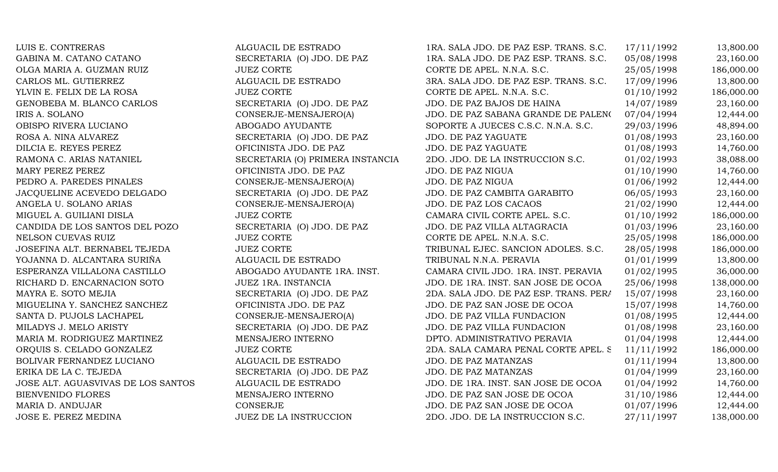| LUIS E. CONTRERAS                  | ALGUACIL DE ESTRADO              | 1RA. SALA JDO. DE PAZ ESP. TRANS. S.C. | 17/11/1992 | 13,800.00  |
|------------------------------------|----------------------------------|----------------------------------------|------------|------------|
| GABINA M. CATANO CATANO            | SECRETARIA (O) JDO. DE PAZ       | 1RA. SALA JDO. DE PAZ ESP. TRANS. S.C. | 05/08/1998 | 23,160.00  |
| OLGA MARIA A. GUZMAN RUIZ          | <b>JUEZ CORTE</b>                | CORTE DE APEL. N.N.A. S.C.             | 25/05/1998 | 186,000.00 |
| CARLOS ML. GUTIERREZ               | ALGUACIL DE ESTRADO              | 3RA. SALA JDO. DE PAZ ESP. TRANS. S.C. | 17/09/1996 | 13,800.00  |
| YLVIN E. FELIX DE LA ROSA          | <b>JUEZ CORTE</b>                | CORTE DE APEL. N.N.A. S.C.             | 01/10/1992 | 186,000.00 |
| GENOBEBA M. BLANCO CARLOS          | SECRETARIA (O) JDO. DE PAZ       | JDO. DE PAZ BAJOS DE HAINA             | 14/07/1989 | 23,160.00  |
| IRIS A. SOLANO                     | CONSERJE-MENSAJERO(A)            | JDO. DE PAZ SABANA GRANDE DE PALENO    | 07/04/1994 | 12,444.00  |
| OBISPO RIVERA LUCIANO              | ABOGADO AYUDANTE                 | SOPORTE A JUECES C.S.C. N.N.A. S.C.    | 29/03/1996 | 48,894.00  |
| ROSA A. NINA ALVAREZ               | SECRETARIA (O) JDO. DE PAZ       | JDO. DE PAZ YAGUATE                    | 01/08/1993 | 23,160.00  |
| DILCIA E. REYES PEREZ              | OFICINISTA JDO. DE PAZ           | JDO. DE PAZ YAGUATE                    | 01/08/1993 | 14,760.00  |
| RAMONA C. ARIAS NATANIEL           | SECRETARIA (O) PRIMERA INSTANCIA | 2DO. JDO. DE LA INSTRUCCION S.C.       | 01/02/1993 | 38,088.00  |
| MARY PEREZ PEREZ                   | OFICINISTA JDO. DE PAZ           | JDO. DE PAZ NIGUA                      | 01/10/1990 | 14,760.00  |
| PEDRO A. PAREDES PINALES           | CONSERJE-MENSAJERO(A)            | JDO. DE PAZ NIGUA                      | 01/06/1992 | 12,444.00  |
| JACQUELINE ACEVEDO DELGADO         | SECRETARIA (O) JDO. DE PAZ       | JDO. DE PAZ CAMBITA GARABITO           | 06/05/1993 | 23,160.00  |
| ANGELA U. SOLANO ARIAS             | CONSERJE-MENSAJERO(A)            | JDO. DE PAZ LOS CACAOS                 | 21/02/1990 | 12,444.00  |
| MIGUEL A. GUILIANI DISLA           | <b>JUEZ CORTE</b>                | CAMARA CIVIL CORTE APEL. S.C.          | 01/10/1992 | 186,000.00 |
| CANDIDA DE LOS SANTOS DEL POZO     | SECRETARIA (O) JDO. DE PAZ       | JDO. DE PAZ VILLA ALTAGRACIA           | 01/03/1996 | 23,160.00  |
| NELSON CUEVAS RUIZ                 | <b>JUEZ CORTE</b>                | CORTE DE APEL. N.N.A. S.C.             | 25/05/1998 | 186,000.00 |
| JOSEFINA ALT. BERNABEL TEJEDA      | <b>JUEZ CORTE</b>                | TRIBUNAL EJEC. SANCION ADOLES. S.C.    | 28/05/1998 | 186,000.00 |
| YOJANNA D. ALCANTARA SURIÑA        | ALGUACIL DE ESTRADO              | TRIBUNAL N.N.A. PERAVIA                | 01/01/1999 | 13,800.00  |
| ESPERANZA VILLALONA CASTILLO       | ABOGADO AYUDANTE 1RA. INST.      | CAMARA CIVIL JDO. 1RA. INST. PERAVIA   | 01/02/1995 | 36,000.00  |
| RICHARD D. ENCARNACION SOTO        | <b>JUEZ 1RA. INSTANCIA</b>       | JDO. DE 1RA. INST. SAN JOSE DE OCOA    | 25/06/1998 | 138,000.00 |
| MAYRA E. SOTO MEJIA                | SECRETARIA (O) JDO. DE PAZ       | 2DA. SALA JDO. DE PAZ ESP. TRANS. PERA | 15/07/1998 | 23,160.00  |
| MIGUELINA Y. SANCHEZ SANCHEZ       | OFICINISTA JDO. DE PAZ           | JDO. DE PAZ SAN JOSE DE OCOA           | 15/07/1998 | 14,760.00  |
| SANTA D. PUJOLS LACHAPEL           | CONSERJE-MENSAJERO(A)            | JDO. DE PAZ VILLA FUNDACION            | 01/08/1995 | 12,444.00  |
| MILADYS J. MELO ARISTY             | SECRETARIA (O) JDO. DE PAZ       | JDO. DE PAZ VILLA FUNDACION            | 01/08/1998 | 23,160.00  |
| MARIA M. RODRIGUEZ MARTINEZ        | MENSAJERO INTERNO                | DPTO. ADMINISTRATIVO PERAVIA           | 01/04/1998 | 12,444.00  |
| ORQUIS S. CELADO GONZALEZ          | <b>JUEZ CORTE</b>                | 2DA. SALA CAMARA PENAL CORTE APEL. S   | 11/11/1992 | 186,000.00 |
| BOLIVAR FERNANDEZ LUCIANO          | ALGUACIL DE ESTRADO              | <b>JDO. DE PAZ MATANZAS</b>            | 01/11/1994 | 13,800.00  |
| ERIKA DE LA C. TEJEDA              | SECRETARIA (O) JDO. DE PAZ       | JDO. DE PAZ MATANZAS                   | 01/04/1999 | 23,160.00  |
| JOSE ALT. AGUASVIVAS DE LOS SANTOS | ALGUACIL DE ESTRADO              | JDO. DE 1RA. INST. SAN JOSE DE OCOA    | 01/04/1992 | 14,760.00  |
| <b>BIENVENIDO FLORES</b>           | MENSAJERO INTERNO                | JDO. DE PAZ SAN JOSE DE OCOA           | 31/10/1986 | 12,444.00  |
| MARIA D. ANDUJAR                   | CONSERJE                         | JDO. DE PAZ SAN JOSE DE OCOA           | 01/07/1996 | 12,444.00  |
| JOSE E. PEREZ MEDINA               | <b>JUEZ DE LA INSTRUCCION</b>    | 2DO. JDO. DE LA INSTRUCCION S.C.       | 27/11/1997 | 138,000.00 |
|                                    |                                  |                                        |            |            |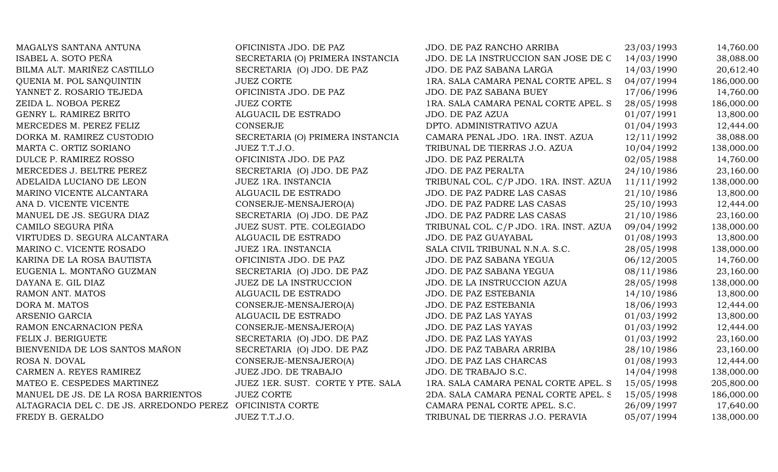| MAGALYS SANTANA ANTUNA                   | OFICINISTA JDO. DE PAZ            | JDO. DE PAZ RANCHO ARRIBA              | 23/03/1993 | 14,760.00  |
|------------------------------------------|-----------------------------------|----------------------------------------|------------|------------|
| ISABEL A. SOTO PEÑA                      | SECRETARIA (O) PRIMERA INSTANCIA  | JDO. DE LA INSTRUCCION SAN JOSE DE C   | 14/03/1990 | 38,088.00  |
| BILMA ALT. MARIÑEZ CASTILLO              | SECRETARIA (O) JDO. DE PAZ        | JDO. DE PAZ SABANA LARGA               | 14/03/1990 | 20,612.40  |
| QUENIA M. POL SANQUINTIN                 | <b>JUEZ CORTE</b>                 | 1RA. SALA CAMARA PENAL CORTE APEL. S   | 04/07/1994 | 186,000.00 |
| YANNET Z. ROSARIO TEJEDA                 | OFICINISTA JDO. DE PAZ            | JDO. DE PAZ SABANA BUEY                | 17/06/1996 | 14,760.00  |
| ZEIDA L. NOBOA PEREZ                     | <b>JUEZ CORTE</b>                 | 1RA. SALA CAMARA PENAL CORTE APEL. S   | 28/05/1998 | 186,000.00 |
| GENRY L. RAMIREZ BRITO                   | ALGUACIL DE ESTRADO               | JDO. DE PAZ AZUA                       | 01/07/1991 | 13,800.00  |
| MERCEDES M. PEREZ FELIZ                  | <b>CONSERJE</b>                   | DPTO. ADMINISTRATIVO AZUA              | 01/04/1993 | 12,444.00  |
| DORKA M. RAMIREZ CUSTODIO                | SECRETARIA (O) PRIMERA INSTANCIA  | CAMARA PENAL JDO. 1RA. INST. AZUA      | 12/11/1992 | 38,088.00  |
| MARTA C. ORTIZ SORIANO                   | JUEZ T.T.J.O.                     | TRIBUNAL DE TIERRAS J.O. AZUA          | 10/04/1992 | 138,000.00 |
| DULCE P. RAMIREZ ROSSO                   | OFICINISTA JDO. DE PAZ            | JDO. DE PAZ PERALTA                    | 02/05/1988 | 14,760.00  |
| MERCEDES J. BELTRE PEREZ                 | SECRETARIA (O) JDO. DE PAZ        | JDO. DE PAZ PERALTA                    | 24/10/1986 | 23,160.00  |
| ADELAIDA LUCIANO DE LEON                 | JUEZ 1RA. INSTANCIA               | TRIBUNAL COL. C/P JDO. 1RA. INST. AZUA | 11/11/1992 | 138,000.00 |
| MARINO VICENTE ALCANTARA                 | ALGUACIL DE ESTRADO               | JDO. DE PAZ PADRE LAS CASAS            | 21/10/1986 | 13,800.00  |
| ANA D. VICENTE VICENTE                   | CONSERJE-MENSAJERO(A)             | JDO. DE PAZ PADRE LAS CASAS            | 25/10/1993 | 12,444.00  |
| MANUEL DE JS. SEGURA DIAZ                | SECRETARIA (O) JDO. DE PAZ        | JDO. DE PAZ PADRE LAS CASAS            | 21/10/1986 | 23,160.00  |
| CAMILO SEGURA PIÑA                       | JUEZ SUST. PTE. COLEGIADO         | TRIBUNAL COL. C/P JDO. 1RA. INST. AZUA | 09/04/1992 | 138,000.00 |
| VIRTUDES D. SEGURA ALCANTARA             | ALGUACIL DE ESTRADO               | JDO. DE PAZ GUAYABAL                   | 01/08/1993 | 13,800.00  |
| MARINO C. VICENTE ROSADO                 | JUEZ 1RA. INSTANCIA               | SALA CIVIL TRIBUNAL N.N.A. S.C.        | 28/05/1998 | 138,000.00 |
| KARINA DE LA ROSA BAUTISTA               | OFICINISTA JDO. DE PAZ            | JDO. DE PAZ SABANA YEGUA               | 06/12/2005 | 14,760.00  |
| EUGENIA L. MONTAÑO GUZMAN                | SECRETARIA (O) JDO. DE PAZ        | JDO. DE PAZ SABANA YEGUA               | 08/11/1986 | 23,160.00  |
| DAYANA E. GIL DIAZ                       | <b>JUEZ DE LA INSTRUCCION</b>     | JDO. DE LA INSTRUCCION AZUA            | 28/05/1998 | 138,000.00 |
| RAMON ANT. MATOS                         | ALGUACIL DE ESTRADO               | JDO. DE PAZ ESTEBANIA                  | 14/10/1986 | 13,800.00  |
| DORA M. MATOS                            | CONSERJE-MENSAJERO(A)             | JDO. DE PAZ ESTEBANIA                  | 18/06/1993 | 12,444.00  |
| ARSENIO GARCIA                           | ALGUACIL DE ESTRADO               | JDO. DE PAZ LAS YAYAS                  | 01/03/1992 | 13,800.00  |
| RAMON ENCARNACION PEÑA                   | CONSERJE-MENSAJERO(A)             | JDO. DE PAZ LAS YAYAS                  | 01/03/1992 | 12,444.00  |
| FELIX J. BERIGUETE                       | SECRETARIA (O) JDO. DE PAZ        | JDO. DE PAZ LAS YAYAS                  | 01/03/1992 | 23,160.00  |
| BIENVENIDA DE LOS SANTOS MAÑON           | SECRETARIA (O) JDO. DE PAZ        | JDO. DE PAZ TABARA ARRIBA              | 28/10/1986 | 23,160.00  |
| ROSA N. DOVAL                            | CONSERJE-MENSAJERO(A)             | JDO. DE PAZ LAS CHARCAS                | 01/08/1993 | 12,444.00  |
| CARMEN A. REYES RAMIREZ                  | JUEZ JDO. DE TRABAJO              | JDO. DE TRABAJO S.C.                   | 14/04/1998 | 138,000.00 |
| MATEO E. CESPEDES MARTINEZ               | JUEZ 1ER. SUST. CORTE Y PTE. SALA | 1RA. SALA CAMARA PENAL CORTE APEL. S   | 15/05/1998 | 205,800.00 |
| MANUEL DE JS. DE LA ROSA BARRIENTOS      | <b>JUEZ CORTE</b>                 | 2DA. SALA CAMARA PENAL CORTE APEL. S   | 15/05/1998 | 186,000.00 |
| ALTAGRACIA DEL C. DE JS. ARREDONDO PEREZ | OFICINISTA CORTE                  | CAMARA PENAL CORTE APEL. S.C.          | 26/09/1997 | 17,640.00  |
| FREDY B. GERALDO                         | JUEZ T.T.J.O.                     | TRIBUNAL DE TIERRAS J.O. PERAVIA       | 05/07/1994 | 138,000.00 |
|                                          |                                   |                                        |            |            |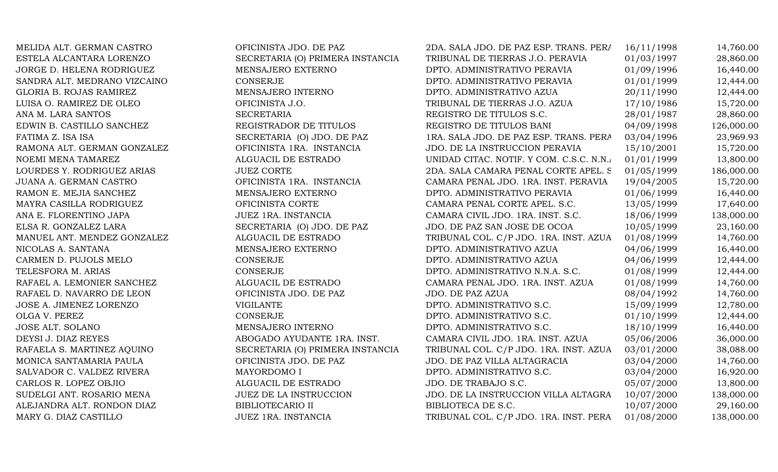MELIDA ALT. GERMAN CASTRO OFICINISTA JDO. DE PAZ 2DA. SALA JDO. DE PAZ ESP. TRANS. PERA 16/11/1998 14,760.00 ESTELA ALCANTARA LORENZO SECRETARIA (O) PRIMERA INSTANCIA TRIBUNAL DE TIERRAS J.O. PERAVIA 01/03/1997 28,860.00 JORGE D. HELENA RODRIGUEZ MENSAJERO EXTERNO DPTO. ADMINISTRATIVO PERAVIA 01/09/1996 16,440.00 SANDRA ALT. MEDRANO VIZCAINO CONSERJE CONSERJE DPTO. ADMINISTRATIVO PERAVIA 01/01/1999 12,444.00 GLORIA B. ROJAS RAMIREZ **MENSAJERO INTERNO 1999** DPTO. ADMINISTRATIVO AZUA 20/11/1990 12,444.00 LUISA O. RAMIREZ DE OLEO OFICINISTA J.O. TRIBUNAL DE TIERRAS J.O. AZUA 17/10/1986 15,720.00 ANA M. LARA SANTOS CONSERVABLE SECRETARIA SECRETARIA REGISTRO DE TITULOS S.C. 28/01/1987 28.860.00 EDWIN B. CASTILLO SANCHEZ REGISTRADOR DE TITULOS REGISTRO DE TITULOS BANI 04/09/1998 126,000.00 FATIMA Z. ISA ISA SECRETARIA (O) JDO. DE PAZ 1RA. SALA JDO. DE PAZ ESP. TRANS. PERA 03/04/1996 23,969.93 RAMONA ALT. GERMAN GONZALEZ **OFICINISTA 1RA. INSTANCIA** JDO. DE LA INSTRUCCION PERAVIA 15/10/2001 15,720.00 NOEMI MENA TAMAREZ ALGUACIL DE ESTRADO UNIDAD CITAC. NOTIF. Y COM. C.S.C. N.N.A.  $01/01/1999$  13,800.00 LOURDES Y. RODRIGUEZ ARIAS JUEZ CORTE 2DA. SALA CAMARA PENAL CORTE APEL. S. 01/05/1999 186,000.00 JUANA A. GERMAN CASTRO OFICINISTA 1RA. INSTANCIA CAMARA PENAL JDO. 1RA. INST. PERAVIA 19/04/2005 15,720.00 RAMON E. MEJIA SANCHEZ MENSAJERO EXTERNO DPTO. ADMINISTRATIVO PERAVIA 01/06/1999 16,440.00 MAYRA CASILLA RODRIGUEZ CORTE OFICINISTA CORTE CAMARA PENAL CORTE APEL. S.C. 13/05/1999 17,640.00 ANA E. FLORENTINO JAPA JUEZ 1RA. INSTANCIA CAMARA CIVIL JDO. 1RA. INST. S.C. 18/06/1999 138,000.00 ELSA R. GONZALEZ LARA SECRETARIA (O) JDO. DE PAZ JDO. DE PAZ SAN JOSE DE OCOA 10/05/1999 23,160.00 MANUEL ANT. MENDEZ GONZALEZ ALGUACIL DE ESTRADO TRIBUNAL COL. C/P JDO. 1RA. INST. AZUA 01/08/1999 14,760.00 NICOLAS A. SANTANA 1999 16,440.00 MENSAJERO EXTERNO 1997 DPTO. ADMINISTRATIVO AZUA 1999 16,440.00 CARMEN D. PUJOLS MELO CONSERJE CONSERVE DPTO. ADMINISTRATIVO AZUA 04/06/1999 12,444.00 TELESFORA M. ARIAS CONSERJE CONSERVE DPTO. ADMINISTRATIVO N.N.A. S.C. 01/08/1999 12.444.00 RAFAEL A. LEMONIER SANCHEZ ALGUACIL DE ESTRADO CAMARA PENAL JDO. 1RA. INST. AZUA 01/08/1999 14,760.00 RAFAEL D. NAVARRO DE LEON CFICINISTA JDO. DE PAZ JDO. DE PAZ AZUA 08/04/1992 14,760.00 JOSE A. JIMENEZ LORENZO VIGILANTE DPTO. ADMINISTRATIVO S.C. 15/09/1999 12,780.00 OLGA V. PEREZ CONSERJE CONSERJE DPTO. ADMINISTRATIVO S.C. 01/10/1999 12.444.00 JOSE ALT. SOLANO **MENSAJERO INTERNO** DPTO. ADMINISTRATIVO S.C. 18/10/1999 16,440.00 DEYSI J. DIAZ REYES ABOGADO AYUDANTE 1RA. INST. CAMARA CIVIL JDO. 1RA. INST. AZUA 05/06/2006 36,000.00 RAFAELA S. MARTINEZ AQUINO SECRETARIA (O) PRIMERA INSTANCIA TRIBUNAL COL. C/P JDO. 1RA. INST. AZUA 03/01/2000 38,088.00 MONICA SANTAMARIA PAULA OFICINISTA JDO. DE PAZ JDO. DE PAZ VILLA ALTAGRACIA 03/04/2000 14,760.00 SALVADOR C. VALDEZ RIVERA **MAYORDOMO I** DPTO. ADMINISTRATIVO S.C. 03/04/2000 16,920.00 CARLOS R. LOPEZ OBJIO ALGUACIL DE ESTRADO JDO. DE TRABAJO S.C. 05/07/2000 13,800.00 SUDELGI ANT. ROSARIO MENA  $JUEZ$  DE LA INSTRUCCION  $JD$   $JD$ . DE LA INSTRUCCION VILLA ALTAGRA  $10/07/2000$   $138,000.00$ ALEJANDRA ALT. RONDON DIAZ BIBLIOTECARIO II BIBLIOTECA DE S.C. 10/07/2000 29,160.00 MARY G. DIAZ CASTILLO JUEZ 1RA. INSTANCIA TRIBUNAL COL. C/P JDO. 1RA. INST. PERA 01/08/2000 138,000.00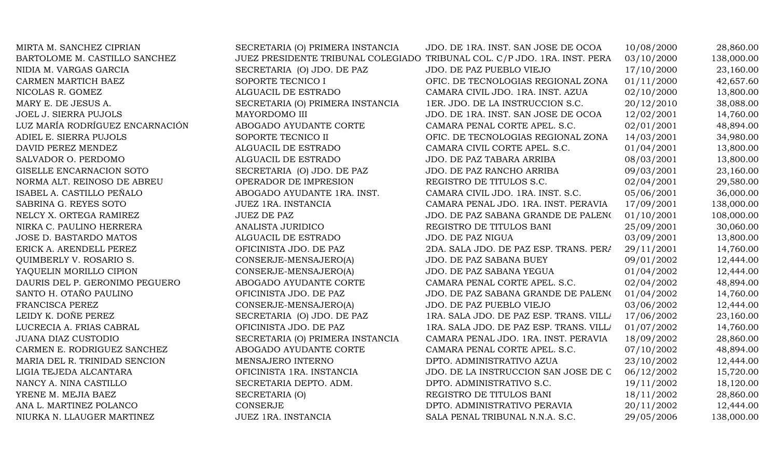| MIRTA M. SANCHEZ CIPRIAN        | SECRETARIA (O) PRIMERA INSTANCIA | JDO. DE 1RA. INST. SAN JOSE DE OCOA                                       | 10/08/2000 | 28,860.00  |
|---------------------------------|----------------------------------|---------------------------------------------------------------------------|------------|------------|
| BARTOLOME M. CASTILLO SANCHEZ   |                                  | JUEZ PRESIDENTE TRIBUNAL COLEGIADO TRIBUNAL COL. C/P JDO. 1RA. INST. PERA | 03/10/2000 | 138,000.00 |
| NIDIA M. VARGAS GARCIA          | SECRETARIA (O) JDO. DE PAZ       | JDO. DE PAZ PUEBLO VIEJO                                                  | 17/10/2000 | 23,160.00  |
| CARMEN MARTICH BAEZ             | SOPORTE TECNICO I                | OFIC. DE TECNOLOGIAS REGIONAL ZONA                                        | 01/11/2000 | 42,657.60  |
| NICOLAS R. GOMEZ                | ALGUACIL DE ESTRADO              | CAMARA CIVIL JDO. 1RA. INST. AZUA                                         | 02/10/2000 | 13,800.00  |
| MARY E. DE JESUS A.             | SECRETARIA (O) PRIMERA INSTANCIA | 1ER. JDO. DE LA INSTRUCCION S.C.                                          | 20/12/2010 | 38,088.00  |
| <b>JOEL J. SIERRA PUJOLS</b>    | MAYORDOMO III                    | JDO. DE 1RA. INST. SAN JOSE DE OCOA                                       | 12/02/2001 | 14,760.00  |
| LUZ MARÍA RODRÍGUEZ ENCARNACIÓN | ABOGADO AYUDANTE CORTE           | CAMARA PENAL CORTE APEL. S.C.                                             | 02/01/2001 | 48,894.00  |
| ADIEL E. SIERRA PUJOLS          | SOPORTE TECNICO II               | OFIC. DE TECNOLOGIAS REGIONAL ZONA                                        | 14/03/2001 | 34,980.00  |
| DAVID PEREZ MENDEZ              | ALGUACIL DE ESTRADO              | CAMARA CIVIL CORTE APEL. S.C.                                             | 01/04/2001 | 13,800.00  |
| SALVADOR O. PERDOMO             | ALGUACIL DE ESTRADO              | JDO. DE PAZ TABARA ARRIBA                                                 | 08/03/2001 | 13,800.00  |
| GISELLE ENCARNACION SOTO        | SECRETARIA (O) JDO. DE PAZ       | JDO. DE PAZ RANCHO ARRIBA                                                 | 09/03/2001 | 23,160.00  |
| NORMA ALT. REINOSO DE ABREU     | OPERADOR DE IMPRESION            | REGISTRO DE TITULOS S.C.                                                  | 02/04/2001 | 29,580.00  |
| ISABEL A. CASTILLO PEÑALO       | ABOGADO AYUDANTE 1RA. INST.      | CAMARA CIVIL JDO. 1RA. INST. S.C.                                         | 05/06/2001 | 36,000.00  |
| SABRINA G. REYES SOTO           | JUEZ 1RA. INSTANCIA              | CAMARA PENAL JDO. 1RA. INST. PERAVIA                                      | 17/09/2001 | 138,000.00 |
| NELCY X. ORTEGA RAMIREZ         | <b>JUEZ DE PAZ</b>               | JDO. DE PAZ SABANA GRANDE DE PALENO                                       | 01/10/2001 | 108,000.00 |
| NIRKA C. PAULINO HERRERA        | ANALISTA JURIDICO                | REGISTRO DE TITULOS BANI                                                  | 25/09/2001 | 30,060.00  |
| JOSE D. BASTARDO MATOS          | ALGUACIL DE ESTRADO              | <b>JDO. DE PAZ NIGUA</b>                                                  | 03/09/2001 | 13,800.00  |
| ERICK A. ARENDELL PEREZ         | OFICINISTA JDO. DE PAZ           | 2DA. SALA JDO. DE PAZ ESP. TRANS. PERA                                    | 29/11/2001 | 14,760.00  |
| QUIMBERLY V. ROSARIO S.         | CONSERJE-MENSAJERO(A)            | JDO. DE PAZ SABANA BUEY                                                   | 09/01/2002 | 12,444.00  |
| YAQUELIN MORILLO CIPION         | CONSERJE-MENSAJERO(A)            | JDO. DE PAZ SABANA YEGUA                                                  | 01/04/2002 | 12,444.00  |
| DAURIS DEL P. GERONIMO PEGUERO  | ABOGADO AYUDANTE CORTE           | CAMARA PENAL CORTE APEL. S.C.                                             | 02/04/2002 | 48,894.00  |
| SANTO H. OTAÑO PAULINO          | OFICINISTA JDO. DE PAZ           | JDO. DE PAZ SABANA GRANDE DE PALENO                                       | 01/04/2002 | 14,760.00  |
| FRANCISCA PEREZ                 | CONSERJE-MENSAJERO(A)            | JDO. DE PAZ PUEBLO VIEJO                                                  | 03/06/2002 | 12,444.00  |
| LEIDY K. DOÑE PEREZ             | SECRETARIA (O) JDO. DE PAZ       | 1RA. SALA JDO. DE PAZ ESP. TRANS. VILL/                                   | 17/06/2002 | 23,160.00  |
| LUCRECIA A. FRIAS CABRAL        | OFICINISTA JDO. DE PAZ           | 1RA. SALA JDO. DE PAZ ESP. TRANS. VILL/                                   | 01/07/2002 | 14,760.00  |
| <b>JUANA DIAZ CUSTODIO</b>      | SECRETARIA (O) PRIMERA INSTANCIA | CAMARA PENAL JDO. 1RA. INST. PERAVIA                                      | 18/09/2002 | 28,860.00  |
| CARMEN E. RODRIGUEZ SANCHEZ     | ABOGADO AYUDANTE CORTE           | CAMARA PENAL CORTE APEL. S.C.                                             | 07/10/2002 | 48,894.00  |
| MARIA DEL R. TRINIDAD SENCION   | MENSAJERO INTERNO                | DPTO. ADMINISTRATIVO AZUA                                                 | 23/10/2002 | 12,444.00  |
| LIGIA TEJEDA ALCANTARA          | OFICINISTA 1RA. INSTANCIA        | JDO. DE LA INSTRUCCION SAN JOSE DE C                                      | 06/12/2002 | 15,720.00  |
| NANCY A. NINA CASTILLO          | SECRETARIA DEPTO. ADM.           | DPTO. ADMINISTRATIVO S.C.                                                 | 19/11/2002 | 18,120.00  |
| YRENE M. MEJIA BAEZ             | SECRETARIA (O)                   | REGISTRO DE TITULOS BANI                                                  | 18/11/2002 | 28,860.00  |
| ANA L. MARTINEZ POLANCO         | <b>CONSERJE</b>                  | DPTO. ADMINISTRATIVO PERAVIA                                              | 20/11/2002 | 12,444.00  |
| NIURKA N. LLAUGER MARTINEZ      | JUEZ 1RA. INSTANCIA              | SALA PENAL TRIBUNAL N.N.A. S.C.                                           | 29/05/2006 | 138,000.00 |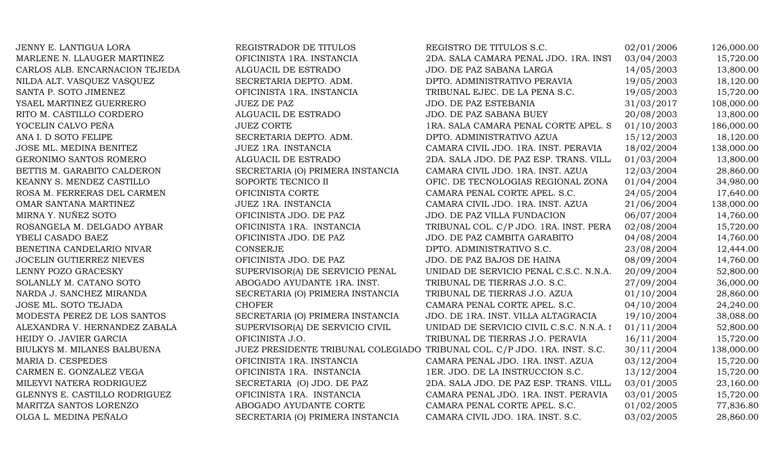| JENNY E. LANTIGUA LORA          | REGISTRADOR DE TITULOS                                                    | REGISTRO DE TITULOS S.C.                 | 02/01/2006 | 126,000.00 |
|---------------------------------|---------------------------------------------------------------------------|------------------------------------------|------------|------------|
| MARLENE N. LLAUGER MARTINEZ     | OFICINISTA 1RA. INSTANCIA                                                 | 2DA. SALA CAMARA PENAL JDO. 1RA. INST    | 03/04/2003 | 15,720.00  |
| CARLOS ALB. ENCARNACION TEJEDA  | ALGUACIL DE ESTRADO                                                       | JDO. DE PAZ SABANA LARGA                 | 14/05/2003 | 13,800.00  |
| NILDA ALT. VASQUEZ VASQUEZ      | SECRETARIA DEPTO. ADM.                                                    | DPTO. ADMINISTRATIVO PERAVIA             | 19/05/2003 | 18,120.00  |
| SANTA P. SOTO JIMENEZ           | OFICINISTA 1RA. INSTANCIA                                                 | TRIBUNAL EJEC. DE LA PENA S.C.           | 19/05/2003 | 15,720.00  |
| YSAEL MARTINEZ GUERRERO         | <b>JUEZ DE PAZ</b>                                                        | JDO. DE PAZ ESTEBANIA                    | 31/03/2017 | 108,000.00 |
| RITO M. CASTILLO CORDERO        | ALGUACIL DE ESTRADO                                                       | JDO. DE PAZ SABANA BUEY                  | 20/08/2003 | 13,800.00  |
| YOCELIN CALVO PEÑA              | <b>JUEZ CORTE</b>                                                         | 1RA. SALA CAMARA PENAL CORTE APEL. S     | 01/10/2003 | 186,000.00 |
| ANA I. D SOTO FELIPE            | SECRETARIA DEPTO. ADM.                                                    | DPTO. ADMINISTRATIVO AZUA                | 15/12/2003 | 18,120.00  |
| JOSE ML. MEDINA BENITEZ         | JUEZ 1RA. INSTANCIA                                                       | CAMARA CIVIL JDO. 1RA. INST. PERAVIA     | 18/02/2004 | 138,000.00 |
| GERONIMO SANTOS ROMERO          | ALGUACIL DE ESTRADO                                                       | 2DA. SALA JDO. DE PAZ ESP. TRANS. VILL   | 01/03/2004 | 13,800.00  |
| BETTIS M. GARABITO CALDERON     | SECRETARIA (O) PRIMERA INSTANCIA                                          | CAMARA CIVIL JDO. 1RA. INST. AZUA        | 12/03/2004 | 28,860.00  |
| KEANNY S. MENDEZ CASTILLO       | SOPORTE TECNICO II                                                        | OFIC. DE TECNOLOGIAS REGIONAL ZONA       | 01/04/2004 | 34,980.00  |
| ROSA M. FERRERAS DEL CARMEN     | OFICINISTA CORTE                                                          | CAMARA PENAL CORTE APEL. S.C.            | 24/05/2004 | 17,640.00  |
| OMAR SANTANA MARTINEZ           | JUEZ 1RA. INSTANCIA                                                       | CAMARA CIVIL JDO. 1RA. INST. AZUA        | 21/06/2004 | 138,000.00 |
| MIRNA Y. NUÑEZ SOTO             | OFICINISTA JDO. DE PAZ                                                    | JDO. DE PAZ VILLA FUNDACION              | 06/07/2004 | 14,760.00  |
| ROSANGELA M. DELGADO AYBAR      | OFICINISTA 1RA. INSTANCIA                                                 | TRIBUNAL COL. C/P JDO. 1RA. INST. PERA   | 02/08/2004 | 15,720.00  |
| YBELI CASADO BAEZ               | OFICINISTA JDO. DE PAZ                                                    | JDO. DE PAZ CAMBITA GARABITO             | 04/08/2004 | 14,760.00  |
| BENETINA CANDELARIO NIVAR       | <b>CONSERJE</b>                                                           | DPTO. ADMINISTRATIVO S.C.                | 23/08/2004 | 12,444.00  |
| <b>JOCELIN GUTIERREZ NIEVES</b> | OFICINISTA JDO. DE PAZ                                                    | JDO. DE PAZ BAJOS DE HAINA               | 08/09/2004 | 14,760.00  |
| LENNY POZO GRACESKY             | SUPERVISOR(A) DE SERVICIO PENAL                                           | UNIDAD DE SERVICIO PENAL C.S.C. N.N.A.   | 20/09/2004 | 52,800.00  |
| SOLANLLY M. CATANO SOTO         | ABOGADO AYUDANTE 1RA. INST.                                               | TRIBUNAL DE TIERRAS J.O. S.C.            | 27/09/2004 | 36,000.00  |
| NARDA J. SANCHEZ MIRANDA        | SECRETARIA (O) PRIMERA INSTANCIA                                          | TRIBUNAL DE TIERRAS J.O. AZUA            | 01/10/2004 | 28,860.00  |
| JOSE ML. SOTO TEJADA            | <b>CHOFER</b>                                                             | CAMARA PENAL CORTE APEL. S.C.            | 04/10/2004 | 24,240.00  |
| MODESTA PEREZ DE LOS SANTOS     | SECRETARIA (O) PRIMERA INSTANCIA                                          | JDO. DE 1RA. INST. VILLA ALTAGRACIA      | 19/10/2004 | 38,088.00  |
| ALEXANDRA V. HERNANDEZ ZABALA   | SUPERVISOR(A) DE SERVICIO CIVIL                                           | UNIDAD DE SERVICIO CIVIL C.S.C. N.N.A. { | 01/11/2004 | 52,800.00  |
| HEIDY O. JAVIER GARCIA          | OFICINISTA J.O.                                                           | TRIBUNAL DE TIERRAS J.O. PERAVIA         | 16/11/2004 | 15,720.00  |
| BIULKYS M. MILANES BALBUENA     | JUEZ PRESIDENTE TRIBUNAL COLEGIADO TRIBUNAL COL. C/P JDO. 1RA. INST. S.C. |                                          | 30/11/2004 | 138,000.00 |
| MARIA D. CESPEDES               | OFICINISTA 1RA. INSTANCIA                                                 | CAMARA PENAL JDO. 1RA. INST. AZUA        | 03/12/2004 | 15,720.00  |
| CARMEN E. GONZALEZ VEGA         | OFICINISTA 1RA. INSTANCIA                                                 | 1ER. JDO. DE LA INSTRUCCION S.C.         | 13/12/2004 | 15,720.00  |
| MILEYVI NATERA RODRIGUEZ        | SECRETARIA (O) JDO. DE PAZ                                                | 2DA. SALA JDO. DE PAZ ESP. TRANS. VILLA  | 03/01/2005 | 23,160.00  |
| GLENNYS E. CASTILLO RODRIGUEZ   | OFICINISTA 1RA. INSTANCIA                                                 | CAMARA PENAL JDO. 1RA. INST. PERAVIA     | 03/01/2005 | 15,720.00  |
| MARITZA SANTOS LORENZO          | ABOGADO AYUDANTE CORTE                                                    | CAMARA PENAL CORTE APEL. S.C.            | 01/02/2005 | 77,836.80  |
| OLGA L. MEDINA PEÑALO           | SECRETARIA (O) PRIMERA INSTANCIA                                          | CAMARA CIVIL JDO. 1RA. INST. S.C.        | 03/02/2005 | 28,860.00  |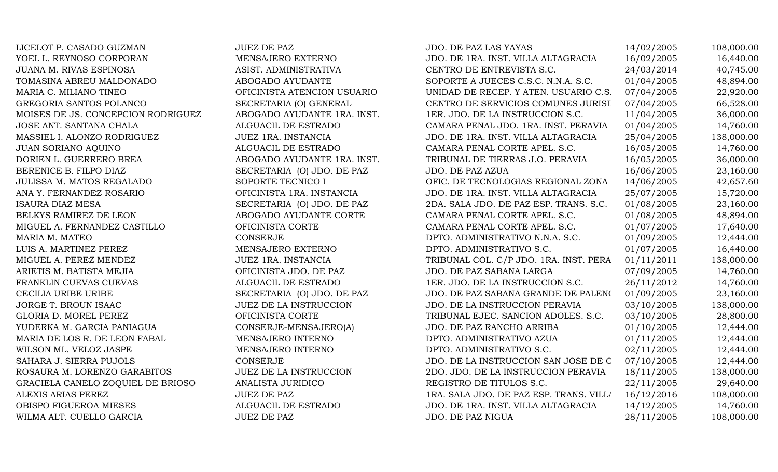| LICELOT P. CASADO GUZMAN           | <b>JUEZ DE PAZ</b>            | JDO. DE PAZ LAS YAYAS                   | 14/02/2005 | 108,000.00 |
|------------------------------------|-------------------------------|-----------------------------------------|------------|------------|
| YOEL L. REYNOSO CORPORAN           | MENSAJERO EXTERNO             | JDO. DE 1RA. INST. VILLA ALTAGRACIA     | 16/02/2005 | 16,440.00  |
| JUANA M. RIVAS ESPINOSA            | ASIST. ADMINISTRATIVA         | CENTRO DE ENTREVISTA S.C.               | 24/03/2014 | 40,745.00  |
| TOMASINA ABREU MALDONADO           | ABOGADO AYUDANTE              | SOPORTE A JUECES C.S.C. N.N.A. S.C.     | 01/04/2005 | 48,894.00  |
| MARIA C. MILIANO TINEO             | OFICINISTA ATENCION USUARIO   | UNIDAD DE RECEP. Y ATEN. USUARIO C.S.   | 07/04/2005 | 22,920.00  |
| GREGORIA SANTOS POLANCO            | SECRETARIA (O) GENERAL        | CENTRO DE SERVICIOS COMUNES JURISI      | 07/04/2005 | 66,528.00  |
| MOISES DE JS. CONCEPCION RODRIGUEZ | ABOGADO AYUDANTE 1RA. INST.   | 1ER. JDO. DE LA INSTRUCCION S.C.        | 11/04/2005 | 36,000.00  |
| JOSE ANT. SANTANA CHALA            | ALGUACIL DE ESTRADO           | CAMARA PENAL JDO. 1RA. INST. PERAVIA    | 01/04/2005 | 14,760.00  |
| MASSIEL I. ALONZO RODRIGUEZ        | JUEZ 1RA. INSTANCIA           | JDO. DE 1RA. INST. VILLA ALTAGRACIA     | 25/04/2005 | 138,000.00 |
| JUAN SORIANO AQUINO                | ALGUACIL DE ESTRADO           | CAMARA PENAL CORTE APEL. S.C.           | 16/05/2005 | 14,760.00  |
| DORIEN L. GUERRERO BREA            | ABOGADO AYUDANTE 1RA. INST.   | TRIBUNAL DE TIERRAS J.O. PERAVIA        | 16/05/2005 | 36,000.00  |
| BERENICE B. FILPO DIAZ             | SECRETARIA (O) JDO. DE PAZ    | JDO. DE PAZ AZUA                        | 16/06/2005 | 23,160.00  |
| JULISSA M. MATOS REGALADO          | SOPORTE TECNICO I             | OFIC. DE TECNOLOGIAS REGIONAL ZONA      | 14/06/2005 | 42,657.60  |
| ANA Y. FERNANDEZ ROSARIO           | OFICINISTA 1RA. INSTANCIA     | JDO. DE 1RA. INST. VILLA ALTAGRACIA     | 25/07/2005 | 15,720.00  |
| ISAURA DIAZ MESA                   | SECRETARIA (O) JDO. DE PAZ    | 2DA. SALA JDO. DE PAZ ESP. TRANS. S.C.  | 01/08/2005 | 23,160.00  |
| BELKYS RAMIREZ DE LEON             | ABOGADO AYUDANTE CORTE        | CAMARA PENAL CORTE APEL. S.C.           | 01/08/2005 | 48,894.00  |
| MIGUEL A. FERNANDEZ CASTILLO       | OFICINISTA CORTE              | CAMARA PENAL CORTE APEL. S.C.           | 01/07/2005 | 17,640.00  |
| MARIA M. MATEO                     | CONSERJE                      | DPTO. ADMINISTRATIVO N.N.A. S.C.        | 01/09/2005 | 12,444.00  |
| LUIS A. MARTINEZ PEREZ             | MENSAJERO EXTERNO             | DPTO. ADMINISTRATIVO S.C.               | 01/07/2005 | 16,440.00  |
| MIGUEL A. PEREZ MENDEZ             | <b>JUEZ 1RA. INSTANCIA</b>    | TRIBUNAL COL. C/P JDO. 1RA. INST. PERA  | 01/11/2011 | 138,000.00 |
| ARIETIS M. BATISTA MEJIA           | OFICINISTA JDO. DE PAZ        | JDO. DE PAZ SABANA LARGA                | 07/09/2005 | 14,760.00  |
| FRANKLIN CUEVAS CUEVAS             | ALGUACIL DE ESTRADO           | 1ER. JDO. DE LA INSTRUCCION S.C.        | 26/11/2012 | 14,760.00  |
| CECILIA URIBE URIBE                | SECRETARIA (O) JDO. DE PAZ    | JDO. DE PAZ SABANA GRANDE DE PALENO     | 01/09/2005 | 23,160.00  |
| JORGE T. BROUN ISAAC               | <b>JUEZ DE LA INSTRUCCION</b> | JDO. DE LA INSTRUCCION PERAVIA          | 03/10/2005 | 138,000.00 |
| GLORIA D. MOREL PEREZ              | OFICINISTA CORTE              | TRIBUNAL EJEC. SANCION ADOLES. S.C.     | 03/10/2005 | 28,800.00  |
| YUDERKA M. GARCIA PANIAGUA         | CONSERJE-MENSAJERO(A)         | JDO. DE PAZ RANCHO ARRIBA               | 01/10/2005 | 12,444.00  |
| MARIA DE LOS R. DE LEON FABAL      | MENSAJERO INTERNO             | DPTO. ADMINISTRATIVO AZUA               | 01/11/2005 | 12,444.00  |
| WILSON ML. VELOZ JASPE             | MENSAJERO INTERNO             | DPTO. ADMINISTRATIVO S.C.               | 02/11/2005 | 12,444.00  |
| SAHARA J. SIERRA PUJOLS            | CONSERJE                      | JDO. DE LA INSTRUCCION SAN JOSE DE C    | 07/10/2005 | 12,444.00  |
| ROSAURA M. LORENZO GARABITOS       | <b>JUEZ DE LA INSTRUCCION</b> | 2DO. JDO. DE LA INSTRUCCION PERAVIA     | 18/11/2005 | 138,000.00 |
| GRACIELA CANELO ZOQUIEL DE BRIOSO  | ANALISTA JURIDICO             | REGISTRO DE TITULOS S.C.                | 22/11/2005 | 29,640.00  |
| ALEXIS ARIAS PEREZ                 | <b>JUEZ DE PAZ</b>            | 1RA. SALA JDO. DE PAZ ESP. TRANS. VILL/ | 16/12/2016 | 108,000.00 |
| OBISPO FIGUEROA MIESES             | ALGUACIL DE ESTRADO           | JDO. DE 1RA. INST. VILLA ALTAGRACIA     | 14/12/2005 | 14,760.00  |
| WILMA ALT. CUELLO GARCIA           | <b>JUEZ DE PAZ</b>            | <b>JDO. DE PAZ NIGUA</b>                | 28/11/2005 | 108,000.00 |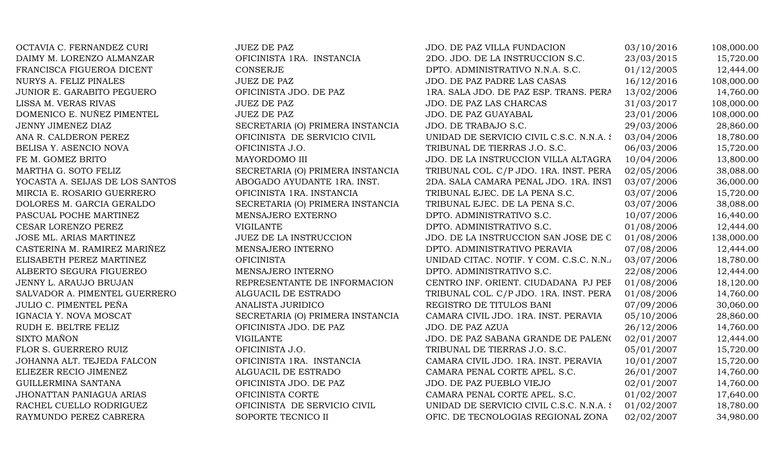| OCTAVIA C. FERNANDEZ CURI       | <b>JUEZ DE PAZ</b>               | JDO. DE PAZ VILLA FUNDACION               | 03/10/2016 | 108,000.00 |
|---------------------------------|----------------------------------|-------------------------------------------|------------|------------|
| DAIMY M. LORENZO ALMANZAR       | OFICINISTA 1RA. INSTANCIA        | 2DO. JDO. DE LA INSTRUCCION S.C.          | 23/03/2015 | 15,720.00  |
| FRANCISCA FIGUEROA DICENT       | CONSERJE                         | DPTO. ADMINISTRATIVO N.N.A. S.C.          | 01/12/2005 | 12,444.00  |
| NURYS A. FELIZ PINALES          | <b>JUEZ DE PAZ</b>               | JDO. DE PAZ PADRE LAS CASAS               | 16/12/2016 | 108,000.00 |
| JUNIOR E. GARABITO PEGUERO      | OFICINISTA JDO. DE PAZ           | 1RA. SALA JDO. DE PAZ ESP. TRANS. PERA    | 13/02/2006 | 14,760.00  |
| LISSA M. VERAS RIVAS            | JUEZ DE PAZ                      | JDO. DE PAZ LAS CHARCAS                   | 31/03/2017 | 108,000.00 |
| DOMENICO E. NUÑEZ PIMENTEL      | <b>JUEZ DE PAZ</b>               | JDO. DE PAZ GUAYABAL                      | 23/01/2006 | 108,000.00 |
| JENNY JIMENEZ DIAZ              | SECRETARIA (O) PRIMERA INSTANCIA | JDO. DE TRABAJO S.C.                      | 29/03/2006 | 28,860.00  |
| ANA R. CALDERON PEREZ           | OFICINISTA DE SERVICIO CIVIL     | UNIDAD DE SERVICIO CIVIL C.S.C. N.N.A. S. | 03/04/2006 | 18,780.00  |
| BELISA Y. ASENCIO NOVA          | OFICINISTA J.O.                  | TRIBUNAL DE TIERRAS J.O. S.C.             | 06/03/2006 | 15,720.00  |
| FE M. GOMEZ BRITO               | MAYORDOMO III                    | JDO. DE LA INSTRUCCION VILLA ALTAGRA      | 10/04/2006 | 13,800.00  |
| MARTHA G. SOTO FELIZ            | SECRETARIA (O) PRIMERA INSTANCIA | TRIBUNAL COL. C/P JDO. 1RA. INST. PERA    | 02/05/2006 | 38,088.00  |
| YOCASTA A. SEIJAS DE LOS SANTOS | ABOGADO AYUDANTE 1RA. INST.      | 2DA. SALA CAMARA PENAL JDO. 1RA. INST     | 03/07/2006 | 36,000.00  |
| MIRCIA E. ROSARIO GUERRERO      | OFICINISTA 1RA. INSTANCIA        | TRIBUNAL EJEC. DE LA PENA S.C.            | 03/07/2006 | 15,720.00  |
| DOLORES M. GARCIA GERALDO       | SECRETARIA (O) PRIMERA INSTANCIA | TRIBUNAL EJEC. DE LA PENA S.C.            | 03/07/2006 | 38,088.00  |
| PASCUAL POCHE MARTINEZ          | MENSAJERO EXTERNO                | DPTO. ADMINISTRATIVO S.C.                 | 10/07/2006 | 16,440.00  |
| CESAR LORENZO PEREZ             | <b>VIGILANTE</b>                 | DPTO. ADMINISTRATIVO S.C.                 | 01/08/2006 | 12,444.00  |
| JOSE ML. ARIAS MARTINEZ         | JUEZ DE LA INSTRUCCION           | JDO. DE LA INSTRUCCION SAN JOSE DE C      | 01/08/2006 | 138,000.00 |
| CASTERINA M. RAMIREZ MARIÑEZ    | MENSAJERO INTERNO                | DPTO. ADMINISTRATIVO PERAVIA              | 07/08/2006 | 12,444.00  |
| ELISABETH PEREZ MARTINEZ        | <b>OFICINISTA</b>                | UNIDAD CITAC. NOTIF. Y COM. C.S.C. N.N.   | 03/07/2006 | 18,780.00  |
| ALBERTO SEGURA FIGUEREO         | MENSAJERO INTERNO                | DPTO. ADMINISTRATIVO S.C.                 | 22/08/2006 | 12,444.00  |
| JENNY L. ARAUJO BRUJAN          | REPRESENTANTE DE INFORMACION     | CENTRO INF. ORIENT. CIUDADANA PJ PEF      | 01/08/2006 | 18,120.00  |
| SALVADOR A. PIMENTEL GUERRERO   | ALGUACIL DE ESTRADO              | TRIBUNAL COL. C/P JDO. 1RA. INST. PERA    | 01/08/2006 | 14,760.00  |
| JULIO C. PIMENTEL PEÑA          | ANALISTA JURIDICO                | REGISTRO DE TITULOS BANI                  | 07/09/2006 | 30,060.00  |
| IGNACIA Y. NOVA MOSCAT          | SECRETARIA (O) PRIMERA INSTANCIA | CAMARA CIVIL JDO. 1RA. INST. PERAVIA      | 05/10/2006 | 28,860.00  |
| RUDH E. BELTRE FELIZ            | OFICINISTA JDO. DE PAZ           | JDO. DE PAZ AZUA                          | 26/12/2006 | 14,760.00  |
| SIXTO MAÑON                     | <b>VIGILANTE</b>                 | JDO. DE PAZ SABANA GRANDE DE PALENO       | 02/01/2007 | 12,444.00  |
| FLOR S. GUERRERO RUIZ           | OFICINISTA J.O.                  | TRIBUNAL DE TIERRAS J.O. S.C.             | 05/01/2007 | 15,720.00  |
| JOHANNA ALT. TEJEDA FALCON      | OFICINISTA 1RA. INSTANCIA        | CAMARA CIVIL JDO. 1RA. INST. PERAVIA      | 10/01/2007 | 15,720.00  |
| ELIEZER RECIO JIMENEZ           | ALGUACIL DE ESTRADO              | CAMARA PENAL CORTE APEL. S.C.             | 26/01/2007 | 14,760.00  |
| GUILLERMINA SANTANA             | OFICINISTA JDO. DE PAZ           | JDO. DE PAZ PUEBLO VIEJO                  | 02/01/2007 | 14,760.00  |
| JHONATTAN PANIAGUA ARIAS        | OFICINISTA CORTE                 | CAMARA PENAL CORTE APEL. S.C.             | 01/02/2007 | 17,640.00  |
| RACHEL CUELLO RODRIGUEZ         | OFICINISTA DE SERVICIO CIVIL     | UNIDAD DE SERVICIO CIVIL C.S.C. N.N.A. {  | 01/02/2007 | 18,780.00  |
| RAYMUNDO PEREZ CABRERA          | SOPORTE TECNICO II               | OFIC. DE TECNOLOGIAS REGIONAL ZONA        | 02/02/2007 | 34,980.00  |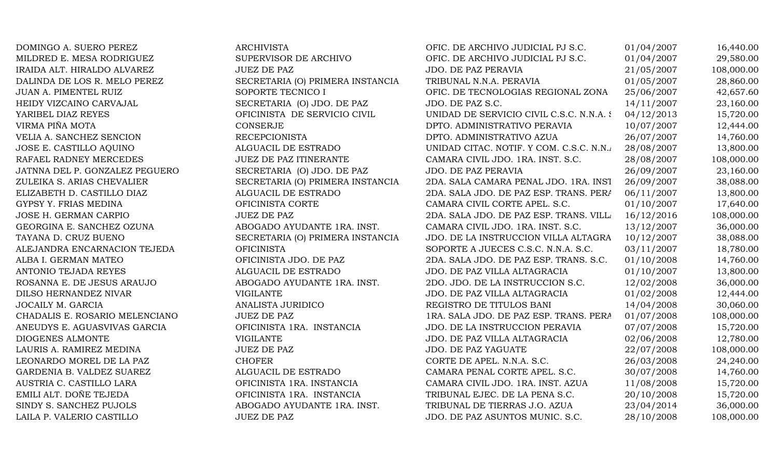| DOMINGO A. SUERO PEREZ         | <b>ARCHIVISTA</b>                | OFIC. DE ARCHIVO JUDICIAL PJ S.C.        | 01/04/2007 | 16,440.00  |
|--------------------------------|----------------------------------|------------------------------------------|------------|------------|
| MILDRED E. MESA RODRIGUEZ      | SUPERVISOR DE ARCHIVO            | OFIC. DE ARCHIVO JUDICIAL PJ S.C.        | 01/04/2007 | 29,580.00  |
| IRAIDA ALT. HIRALDO ALVAREZ    | <b>JUEZ DE PAZ</b>               | JDO. DE PAZ PERAVIA                      | 21/05/2007 | 108,000.00 |
| DALINDA DE LOS R. MELO PEREZ   | SECRETARIA (O) PRIMERA INSTANCIA | TRIBUNAL N.N.A. PERAVIA                  | 01/05/2007 | 28,860.00  |
| JUAN A. PIMENTEL RUIZ          | SOPORTE TECNICO I                | OFIC. DE TECNOLOGIAS REGIONAL ZONA       | 25/06/2007 | 42,657.60  |
| HEIDY VIZCAINO CARVAJAL        | SECRETARIA (O) JDO. DE PAZ       | JDO. DE PAZ S.C.                         | 14/11/2007 | 23,160.00  |
| YARIBEL DIAZ REYES             | OFICINISTA DE SERVICIO CIVIL     | UNIDAD DE SERVICIO CIVIL C.S.C. N.N.A. { | 04/12/2013 | 15,720.00  |
| VIRMA PIÑA MOTA                | <b>CONSERJE</b>                  | DPTO. ADMINISTRATIVO PERAVIA             | 10/07/2007 | 12,444.00  |
| VELIA A. SANCHEZ SENCION       | <b>RECEPCIONISTA</b>             | DPTO. ADMINISTRATIVO AZUA                | 26/07/2007 | 14,760.00  |
| JOSE E. CASTILLO AQUINO        | ALGUACIL DE ESTRADO              | UNIDAD CITAC. NOTIF. Y COM. C.S.C. N.N.  | 28/08/2007 | 13,800.00  |
| RAFAEL RADNEY MERCEDES         | <b>JUEZ DE PAZ ITINERANTE</b>    | CAMARA CIVIL JDO. 1RA. INST. S.C.        | 28/08/2007 | 108,000.00 |
| JATNNA DEL P. GONZALEZ PEGUERO | SECRETARIA (O) JDO. DE PAZ       | JDO. DE PAZ PERAVIA                      | 26/09/2007 | 23,160.00  |
| ZULEIKA S. ARIAS CHEVALIER     | SECRETARIA (O) PRIMERA INSTANCIA | 2DA. SALA CAMARA PENAL JDO. 1RA. INST    | 26/09/2007 | 38,088.00  |
| ELIZABETH D. CASTILLO DIAZ     | ALGUACIL DE ESTRADO              | 2DA. SALA JDO. DE PAZ ESP. TRANS. PERA   | 06/11/2007 | 13,800.00  |
| GYPSY Y. FRIAS MEDINA          | OFICINISTA CORTE                 | CAMARA CIVIL CORTE APEL. S.C.            | 01/10/2007 | 17,640.00  |
| JOSE H. GERMAN CARPIO          | <b>JUEZ DE PAZ</b>               | 2DA. SALA JDO. DE PAZ ESP. TRANS. VILLA  | 16/12/2016 | 108,000.00 |
| GEORGINA E. SANCHEZ OZUNA      | ABOGADO AYUDANTE 1RA. INST.      | CAMARA CIVIL JDO. 1RA. INST. S.C.        | 13/12/2007 | 36,000.00  |
| TAYANA D. CRUZ BUENO           | SECRETARIA (O) PRIMERA INSTANCIA | JDO. DE LA INSTRUCCION VILLA ALTAGRA     | 10/12/2007 | 38,088.00  |
| ALEJANDRA ENCARNACION TEJEDA   | <b>OFICINISTA</b>                | SOPORTE A JUECES C.S.C. N.N.A. S.C.      | 03/11/2007 | 18,780.00  |
| ALBA I. GERMAN MATEO           | OFICINISTA JDO. DE PAZ           | 2DA. SALA JDO. DE PAZ ESP. TRANS. S.C.   | 01/10/2008 | 14,760.00  |
| ANTONIO TEJADA REYES           | ALGUACIL DE ESTRADO              | JDO. DE PAZ VILLA ALTAGRACIA             | 01/10/2007 | 13,800.00  |
| ROSANNA E. DE JESUS ARAUJO     | ABOGADO AYUDANTE 1RA. INST.      | 2DO. JDO. DE LA INSTRUCCION S.C.         | 12/02/2008 | 36,000.00  |
| DILSO HERNANDEZ NIVAR          | <b>VIGILANTE</b>                 | JDO. DE PAZ VILLA ALTAGRACIA             | 01/02/2008 | 12,444.00  |
| JOCAILY M. GARCIA              | ANALISTA JURIDICO                | REGISTRO DE TITULOS BANI                 | 14/04/2008 | 30,060.00  |
| CHADALIS E. ROSARIO MELENCIANO | <b>JUEZ DE PAZ</b>               | 1RA. SALA JDO. DE PAZ ESP. TRANS. PERA   | 01/07/2008 | 108,000.00 |
| ANEUDYS E. AGUASVIVAS GARCIA   | OFICINISTA 1RA. INSTANCIA        | JDO. DE LA INSTRUCCION PERAVIA           | 07/07/2008 | 15,720.00  |
| DIOGENES ALMONTE               | <b>VIGILANTE</b>                 | JDO. DE PAZ VILLA ALTAGRACIA             | 02/06/2008 | 12,780.00  |
| LAURIS A. RAMIREZ MEDINA       | <b>JUEZ DE PAZ</b>               | JDO. DE PAZ YAGUATE                      | 22/07/2008 | 108,000.00 |
| LEONARDO MOREL DE LA PAZ       | <b>CHOFER</b>                    | CORTE DE APEL. N.N.A. S.C.               | 26/03/2008 | 24,240.00  |
| GARDENIA B. VALDEZ SUAREZ      | ALGUACIL DE ESTRADO              | CAMARA PENAL CORTE APEL. S.C.            | 30/07/2008 | 14,760.00  |
| AUSTRIA C. CASTILLO LARA       | OFICINISTA 1RA. INSTANCIA        | CAMARA CIVIL JDO. 1RA. INST. AZUA        | 11/08/2008 | 15,720.00  |
| EMILI ALT. DOÑE TEJEDA         | OFICINISTA 1RA. INSTANCIA        | TRIBUNAL EJEC. DE LA PENA S.C.           | 20/10/2008 | 15,720.00  |
| SINDY S. SANCHEZ PUJOLS        | ABOGADO AYUDANTE 1RA. INST.      | TRIBUNAL DE TIERRAS J.O. AZUA            | 23/04/2014 | 36,000.00  |
| LAILA P. VALERIO CASTILLO      | <b>JUEZ DE PAZ</b>               | JDO. DE PAZ ASUNTOS MUNIC. S.C.          | 28/10/2008 | 108,000.00 |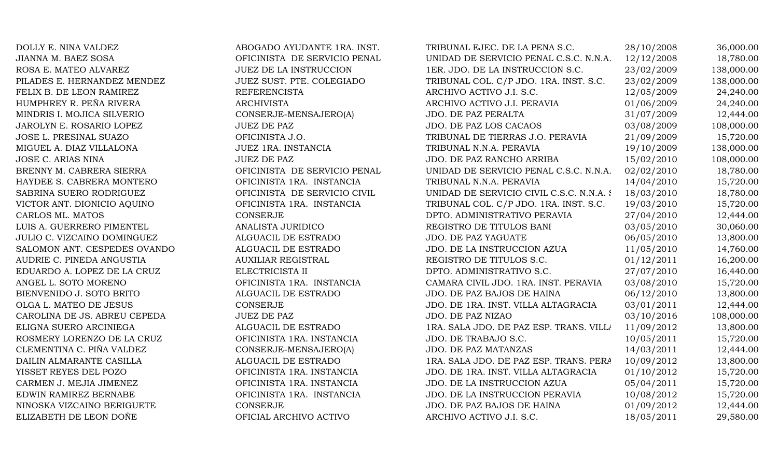| DOLLY E. NINA VALDEZ         | ABOGADO AYUDANTE 1RA. INST.   | TRIBUNAL EJEC. DE LA PENA S.C.           | 28/10/2008 | 36,000.00  |
|------------------------------|-------------------------------|------------------------------------------|------------|------------|
| JIANNA M. BAEZ SOSA          | OFICINISTA DE SERVICIO PENAL  | UNIDAD DE SERVICIO PENAL C.S.C. N.N.A.   | 12/12/2008 | 18,780.00  |
| ROSA E. MATEO ALVAREZ        | <b>JUEZ DE LA INSTRUCCION</b> | 1ER. JDO. DE LA INSTRUCCION S.C.         | 23/02/2009 | 138,000.00 |
| PILADES E. HERNANDEZ MENDEZ  | JUEZ SUST. PTE. COLEGIADO     | TRIBUNAL COL. C/P JDO. 1RA. INST. S.C.   | 23/02/2009 | 138,000.00 |
| FELIX B. DE LEON RAMIREZ     | <b>REFERENCISTA</b>           | ARCHIVO ACTIVO J.I. S.C.                 | 12/05/2009 | 24,240.00  |
| HUMPHREY R. PEÑA RIVERA      | <b>ARCHIVISTA</b>             | ARCHIVO ACTIVO J.I. PERAVIA              | 01/06/2009 | 24,240.00  |
| MINDRIS I. MOJICA SILVERIO   | CONSERJE-MENSAJERO(A)         | JDO. DE PAZ PERALTA                      | 31/07/2009 | 12,444.00  |
| JAROLYN E. ROSARIO LOPEZ     | <b>JUEZ DE PAZ</b>            | JDO. DE PAZ LOS CACAOS                   | 03/08/2009 | 108,000.00 |
| JOSE L. PRESINAL SUAZO       | OFICINISTA J.O.               | TRIBUNAL DE TIERRAS J.O. PERAVIA         | 21/09/2009 | 15,720.00  |
| MIGUEL A. DIAZ VILLALONA     | JUEZ 1RA. INSTANCIA           | TRIBUNAL N.N.A. PERAVIA                  | 19/10/2009 | 138,000.00 |
| JOSE C. ARIAS NINA           | <b>JUEZ DE PAZ</b>            | JDO. DE PAZ RANCHO ARRIBA                | 15/02/2010 | 108,000.00 |
| BRENNY M. CABRERA SIERRA     | OFICINISTA DE SERVICIO PENAL  | UNIDAD DE SERVICIO PENAL C.S.C. N.N.A.   | 02/02/2010 | 18,780.00  |
| HAYDEE S. CABRERA MONTERO    | OFICINISTA 1RA. INSTANCIA     | TRIBUNAL N.N.A. PERAVIA                  | 14/04/2010 | 15,720.00  |
| SABRINA SUERO RODRIGUEZ      | OFICINISTA DE SERVICIO CIVIL  | UNIDAD DE SERVICIO CIVIL C.S.C. N.N.A. { | 18/03/2010 | 18,780.00  |
| VICTOR ANT. DIONICIO AQUINO  | OFICINISTA 1RA. INSTANCIA     | TRIBUNAL COL. C/P JDO. 1RA. INST. S.C.   | 19/03/2010 | 15,720.00  |
| CARLOS ML. MATOS             | <b>CONSERJE</b>               | DPTO. ADMINISTRATIVO PERAVIA             | 27/04/2010 | 12,444.00  |
| LUIS A. GUERRERO PIMENTEL    | ANALISTA JURIDICO             | REGISTRO DE TITULOS BANI                 | 03/05/2010 | 30,060.00  |
| JULIO C. VIZCAINO DOMINGUEZ  | ALGUACIL DE ESTRADO           | <b>JDO. DE PAZ YAGUATE</b>               | 06/05/2010 | 13,800.00  |
| SALOMON ANT. CESPEDES OVANDO | ALGUACIL DE ESTRADO           | JDO. DE LA INSTRUCCION AZUA              | 11/05/2010 | 14,760.00  |
| AUDRIE C. PINEDA ANGUSTIA    | <b>AUXILIAR REGISTRAL</b>     | REGISTRO DE TITULOS S.C.                 | 01/12/2011 | 16,200.00  |
| EDUARDO A. LOPEZ DE LA CRUZ  | ELECTRICISTA II               | DPTO. ADMINISTRATIVO S.C.                | 27/07/2010 | 16,440.00  |
| ANGEL L. SOTO MORENO         | OFICINISTA 1RA. INSTANCIA     | CAMARA CIVIL JDO. 1RA. INST. PERAVIA     | 03/08/2010 | 15,720.00  |
| BIENVENIDO J. SOTO BRITO     | ALGUACIL DE ESTRADO           | JDO. DE PAZ BAJOS DE HAINA               | 06/12/2010 | 13,800.00  |
| OLGA L. MATEO DE JESUS       | <b>CONSERJE</b>               | JDO. DE 1RA. INST. VILLA ALTAGRACIA      | 03/01/2011 | 12,444.00  |
| CAROLINA DE JS. ABREU CEPEDA | <b>JUEZ DE PAZ</b>            | JDO. DE PAZ NIZAO                        | 03/10/2016 | 108,000.00 |
| ELIGNA SUERO ARCINIEGA       | ALGUACIL DE ESTRADO           | 1RA. SALA JDO. DE PAZ ESP. TRANS. VILL/  | 11/09/2012 | 13,800.00  |
| ROSMERY LORENZO DE LA CRUZ   | OFICINISTA 1RA. INSTANCIA     | JDO. DE TRABAJO S.C.                     | 10/05/2011 | 15,720.00  |
| CLEMENTINA C. PIÑA VALDEZ    | CONSERJE-MENSAJERO(A)         | <b>JDO. DE PAZ MATANZAS</b>              | 14/03/2011 | 12,444.00  |
| DAILIN ALMARANTE CASILLA     | ALGUACIL DE ESTRADO           | 1RA. SALA JDO. DE PAZ ESP. TRANS. PERA   | 10/09/2012 | 13,800.00  |
| YISSET REYES DEL POZO        | OFICINISTA 1RA. INSTANCIA     | JDO. DE 1RA. INST. VILLA ALTAGRACIA      | 01/10/2012 | 15,720.00  |
| CARMEN J. MEJIA JIMENEZ      | OFICINISTA 1RA. INSTANCIA     | JDO. DE LA INSTRUCCION AZUA              | 05/04/2011 | 15,720.00  |
| EDWIN RAMIREZ BERNABE        | OFICINISTA 1RA. INSTANCIA     | JDO. DE LA INSTRUCCION PERAVIA           | 10/08/2012 | 15,720.00  |
| NINOSKA VIZCAINO BERIGUETE   | CONSERJE                      | JDO. DE PAZ BAJOS DE HAINA               | 01/09/2012 | 12,444.00  |
| ELIZABETH DE LEON DOÑE       | OFICIAL ARCHIVO ACTIVO        | ARCHIVO ACTIVO J.I. S.C.                 | 18/05/2011 | 29,580.00  |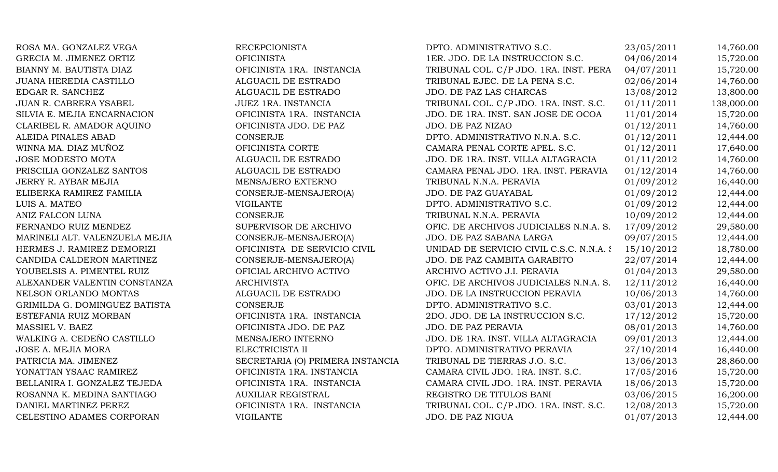| ROSA MA. GONZALEZ VEGA         | <b>RECEPCIONISTA</b>             | DPTO. ADMINISTRATIVO S.C.                | 23/05/2011 | 14,760.00  |
|--------------------------------|----------------------------------|------------------------------------------|------------|------------|
| GRECIA M. JIMENEZ ORTIZ        | <b>OFICINISTA</b>                | 1ER. JDO. DE LA INSTRUCCION S.C.         | 04/06/2014 | 15,720.00  |
| BIANNY M. BAUTISTA DIAZ        | OFICINISTA 1RA. INSTANCIA        | TRIBUNAL COL. C/P JDO. 1RA. INST. PERA   | 04/07/2011 | 15,720.00  |
| JUANA HEREDIA CASTILLO         | ALGUACIL DE ESTRADO              | TRIBUNAL EJEC. DE LA PENA S.C.           | 02/06/2014 | 14,760.00  |
| EDGAR R. SANCHEZ               | ALGUACIL DE ESTRADO              | JDO. DE PAZ LAS CHARCAS                  | 13/08/2012 | 13,800.00  |
| JUAN R. CABRERA YSABEL         | JUEZ 1RA. INSTANCIA              | TRIBUNAL COL. C/P JDO. 1RA. INST. S.C.   | 01/11/2011 | 138,000.00 |
| SILVIA E. MEJIA ENCARNACION    | OFICINISTA 1RA. INSTANCIA        | JDO. DE 1RA. INST. SAN JOSE DE OCOA      | 11/01/2014 | 15,720.00  |
| CLARIBEL R. AMADOR AQUINO      | OFICINISTA JDO. DE PAZ           | JDO. DE PAZ NIZAO                        | 01/12/2011 | 14,760.00  |
| ALEIDA PINALES ABAD            | CONSERJE                         | DPTO. ADMINISTRATIVO N.N.A. S.C.         | 01/12/2011 | 12,444.00  |
| WINNA MA. DIAZ MUÑOZ           | OFICINISTA CORTE                 | CAMARA PENAL CORTE APEL. S.C.            | 01/12/2011 | 17,640.00  |
| <b>JOSE MODESTO MOTA</b>       | ALGUACIL DE ESTRADO              | JDO. DE 1RA. INST. VILLA ALTAGRACIA      | 01/11/2012 | 14,760.00  |
| PRISCILIA GONZALEZ SANTOS      | ALGUACIL DE ESTRADO              | CAMARA PENAL JDO. 1RA. INST. PERAVIA     | 01/12/2014 | 14,760.00  |
| JERRY R. AYBAR MEJIA           | MENSAJERO EXTERNO                | TRIBUNAL N.N.A. PERAVIA                  | 01/09/2012 | 16,440.00  |
| ELIBERKA RAMIREZ FAMILIA       | CONSERJE-MENSAJERO(A)            | JDO. DE PAZ GUAYABAL                     | 01/09/2012 | 12,444.00  |
| LUIS A. MATEO                  | <b>VIGILANTE</b>                 | DPTO. ADMINISTRATIVO S.C.                | 01/09/2012 | 12,444.00  |
| ANIZ FALCON LUNA               | CONSERJE                         | TRIBUNAL N.N.A. PERAVIA                  | 10/09/2012 | 12,444.00  |
| FERNANDO RUIZ MENDEZ           | SUPERVISOR DE ARCHIVO            | OFIC. DE ARCHIVOS JUDICIALES N.N.A. S.   | 17/09/2012 | 29,580.00  |
| MARINELI ALT. VALENZUELA MEJIA | CONSERJE-MENSAJERO(A)            | JDO. DE PAZ SABANA LARGA                 | 09/07/2015 | 12,444.00  |
| HERMES J. RAMIREZ DEMORIZI     | OFICINISTA DE SERVICIO CIVIL     | UNIDAD DE SERVICIO CIVIL C.S.C. N.N.A. { | 15/10/2012 | 18,780.00  |
| CANDIDA CALDERON MARTINEZ      | CONSERJE-MENSAJERO(A)            | JDO. DE PAZ CAMBITA GARABITO             | 22/07/2014 | 12,444.00  |
| YOUBELSIS A. PIMENTEL RUIZ     | OFICIAL ARCHIVO ACTIVO           | ARCHIVO ACTIVO J.I. PERAVIA              | 01/04/2013 | 29,580.00  |
| ALEXANDER VALENTIN CONSTANZA   | <b>ARCHIVISTA</b>                | OFIC. DE ARCHIVOS JUDICIALES N.N.A. S.   | 12/11/2012 | 16,440.00  |
| NELSON ORLANDO MONTAS          | ALGUACIL DE ESTRADO              | JDO. DE LA INSTRUCCION PERAVIA           | 10/06/2013 | 14,760.00  |
| GRIMILDA G. DOMINGUEZ BATISTA  | CONSERJE                         | DPTO. ADMINISTRATIVO S.C.                | 03/01/2013 | 12,444.00  |
| ESTEFANIA RUIZ MORBAN          | OFICINISTA 1RA. INSTANCIA        | 2DO. JDO. DE LA INSTRUCCION S.C.         | 17/12/2012 | 15,720.00  |
| MASSIEL V. BAEZ                | OFICINISTA JDO. DE PAZ           | JDO. DE PAZ PERAVIA                      | 08/01/2013 | 14,760.00  |
| WALKING A. CEDEÑO CASTILLO     | MENSAJERO INTERNO                | JDO. DE 1RA. INST. VILLA ALTAGRACIA      | 09/01/2013 | 12,444.00  |
| JOSE A. MEJIA MORA             | ELECTRICISTA II                  | DPTO. ADMINISTRATIVO PERAVIA             | 27/10/2014 | 16,440.00  |
| PATRICIA MA. JIMENEZ           | SECRETARIA (O) PRIMERA INSTANCIA | TRIBUNAL DE TIERRAS J.O. S.C.            | 13/06/2013 | 28,860.00  |
| YONATTAN YSAAC RAMIREZ         | OFICINISTA 1RA. INSTANCIA        | CAMARA CIVIL JDO. 1RA. INST. S.C.        | 17/05/2016 | 15,720.00  |
| BELLANIRA I. GONZALEZ TEJEDA   | OFICINISTA 1RA. INSTANCIA        | CAMARA CIVIL JDO. 1RA. INST. PERAVIA     | 18/06/2013 | 15,720.00  |
| ROSANNA K. MEDINA SANTIAGO     | <b>AUXILIAR REGISTRAL</b>        | REGISTRO DE TITULOS BANI                 | 03/06/2015 | 16,200.00  |
| DANIEL MARTINEZ PEREZ          | OFICINISTA 1RA. INSTANCIA        | TRIBUNAL COL. C/P JDO. 1RA. INST. S.C.   | 12/08/2013 | 15,720.00  |
| CELESTINO ADAMES CORPORAN      | <b>VIGILANTE</b>                 | JDO. DE PAZ NIGUA                        | 01/07/2013 | 12,444.00  |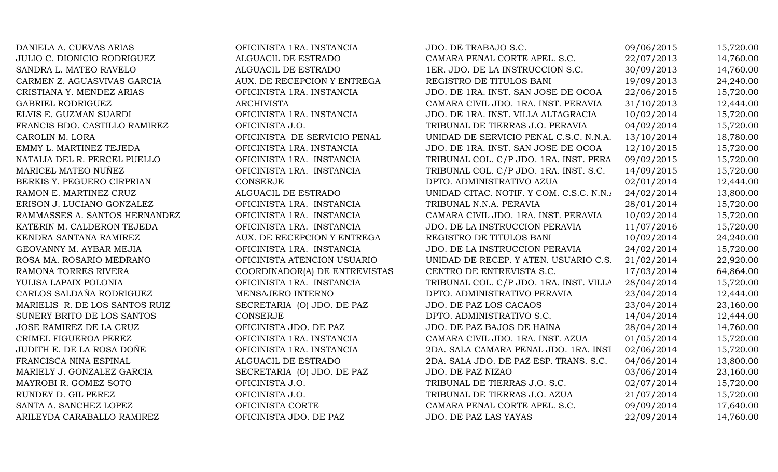DANIELA A. CUEVAS ARIAS **OFICINISTA 1RA. INSTANCIA** JDO. DE TRABAJO S.C. 09/06/2015 15,720.00 JULIO C. DIONICIO RODRIGUEZ ALGUACIL DE ESTRADO CAMARA PENAL CORTE APEL. S.C. 22/07/2013 14,760.00 SANDRA L. MATEO RAVELO ALGUACIL DE ESTRADO 1ER. JDO. DE LA INSTRUCCION S.C. 30/09/2013 14,760.00 CARMEN Z. AGUASVIVAS GARCIA AUX. DE RECEPCION Y ENTREGA REGISTRO DE TITULOS BANI 19/09/2013 24,240.00 CRISTIANA Y. MENDEZ ARIAS OFICINISTA 1RA. INSTANCIA JDO. DE 1RA. INST. SAN JOSE DE OCOA 22/06/2015 15,720.00 GABRIEL RODRIGUEZ **ARCHIVISTA** ARCHIVISTA CAMARA CIVIL JDO. 1RA. INST. PERAVIA 31/10/2013 12,444.00 ELVIS E. GUZMAN SUARDI OFICINISTA 1RA. INSTANCIA JDO. DE 1RA. INST. VILLA ALTAGRACIA 10/02/2014 15,720.00 FRANCIS BDO. CASTILLO RAMIREZ **OFICINISTA J.O.** TRIBUNAL DE TIERRAS J.O. PERAVIA 04/02/2014 15,720.00 CAROLIN M. LORA **OFICINISTA DE SERVICIO PENAL** UNIDAD DE SERVICIO PENAL C.S.C. N.N.A. 13/10/2014 18,780.00 EMMY L. MARTINEZ TEJEDA **OFICINISTA 1RA. INSTANCIA** JDO. DE 1RA. INST. SAN JOSE DE OCOA 12/10/2015 15,720.00 NATALIA DEL R. PERCEL PUELLO **OFICINISTA 1RA. INSTANCIA** TRIBUNAL COL. C/P JDO. 1RA. INST. PERA 09/02/2015 15,720.00 MARICEL MATEO NUÑEZ **OFICINISTA 1RA. INSTANCIA** TRIBUNAL COL. C/P JDO. 1RA. INST. S.C. 14/09/2015 15,720.00 BERKIS Y. PEGUERO CIRPRIAN CONSERJE CONSERVE DPTO. ADMINISTRATIVO AZUA 02/01/2014 12,444.00 RAMON E. MARTINEZ CRUZ ALGUACIL DE ESTRADO UNIDAD CITAC. NOTIF. Y COM. C.S.C. N.N.A. 24/02/2014 13,800.00 ERISON J. LUCIANO GONZALEZ OFICINISTA 1RA. INSTANCIA TRIBUNAL N.N.A. PERAVIA 28/01/2014 15,720.00 RAMMASSES A. SANTOS HERNANDEZ OFICINISTA 1RA. INSTANCIA CAMARA CIVIL JDO. 1RA. INST. PERAVIA 10/02/2014 15,720.00 KATERIN M. CALDERON TEJEDA **OFICINISTA 1RA. INSTANCIA** JDO. DE LA INSTRUCCION PERAVIA 11/07/2016 15,720.00 KENDRA SANTANA RAMIREZ AUX. DE RECEPCION Y ENTREGA REGISTRO DE TITULOS BANI 10/02/2014 24,240.00 GEOVANNY M. AYBAR MEJIA **OFICINISTA 1RA. INSTANCIA** JDO. DE LA INSTRUCCION PERAVIA 24/02/2014 15,720.00 ROSA MA. ROSARIO MEDRANO **OFICINISTA ATENCION USUARIO** UNIDAD DE RECEP. Y ATEN. USUARIO C.S. 21/02/2014 22,920.00 RAMONA TORRES RIVERA COORDINADOR(A) DE ENTREVISTAS CENTRO DE ENTREVISTA S.C. 17/03/2014 64,864.00 YULISA LAPAIX POLONIA COLONIA CORICINISTA 1RA. INSTANCIA TRIBUNAL COL. C/P JDO. 1RA. INST. VILLA 28/04/2014 15,720.00 CARLOS SALDAÑA RODRIGUEZ MENSAJERO INTERNO DPTO. ADMINISTRATIVO PERAVIA 23/04/2014 12,444.00 MARIELIS R. DE LOS SANTOS RUIZ SECRETARIA (O) JDO. DE PAZ JDO. DE PAZ LOS CACAOS 23/04/2014 23,160.00 SUNERY BRITO DE LOS SANTOS CONSERJE CONSERUE DPTO. ADMINISTRATIVO S.C. 14/04/2014 12,444.00 JOSE RAMIREZ DE LA CRUZ CHICINISTA JDO. DE PAZ JDO. DE PAZ BAJOS DE HAINA 28/04/2014 14,760.00 CRIMEL FIGUEROA PEREZ **OFICINISTA 1RA. INSTANCIA** CAMARA CIVIL JDO. 1RA. INST. AZUA 01/05/2014 15,720.00 JUDITH E. DE LA ROSA DOÑE  $\qquad \qquad$  OFICINISTA 1RA. INSTANCIA  $\qquad \qquad$  2DA. SALA CAMARA PENAL JDO. 1RA. INST $\qquad \qquad$  02/06/2014  $\qquad \qquad$  15,720.00 FRANCISCA NINA ESPINAL ALGUACIL DE ESTRADO 2DA. SALA JDO. DE PAZ ESP. TRANS. S.C. 04/06/2014 13,800.00 MARIELY J. GONZALEZ GARCIA SECRETARIA (O) JDO. DE PAZ JDO. DE PAZ NIZAO 03/06/2014 23,160.00 MAYROBI R. GOMEZ SOTO **OFICINISTA J.O. OFICINISTA J.O.** TRIBUNAL DE TIERRAS J.O. S.C. 02/07/2014 15,720.00 RUNDEY D. GIL PEREZ CHARGER OFICINISTA J.O. TRIBUNAL DE TIERRAS J.O. AZUA 21/07/2014 15.720.00 SANTA A. SANCHEZ LOPEZ **OFICINISTA CORTE** CAMARA PENAL CORTE APEL. S.C. 09/09/2014 17,640.00 ARILEYDA CARABALLO RAMIREZ CHE OFICINISTA JDO. DE PAZ JUDO. DE PAZ LAS YAYAS 22/09/2014 14,760.00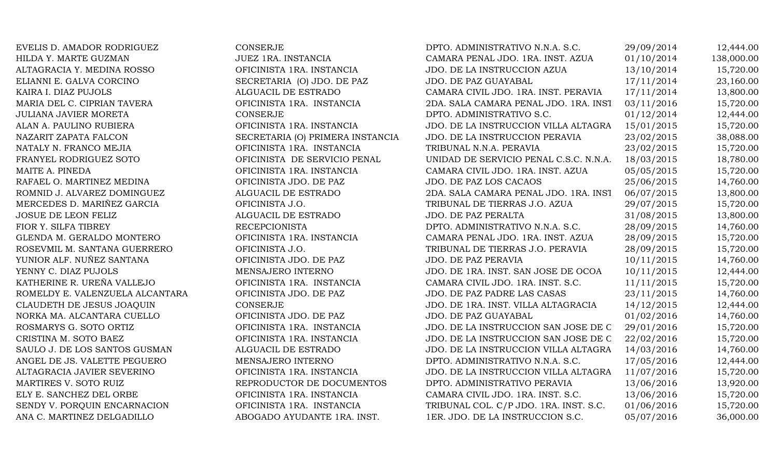| EVELIS D. AMADOR RODRIGUEZ      | CONSERJE                         | DPTO. ADMINISTRATIVO N.N.A. S.C.       | 29/09/2014 | 12,444.00  |
|---------------------------------|----------------------------------|----------------------------------------|------------|------------|
| HILDA Y. MARTE GUZMAN           | JUEZ 1RA. INSTANCIA              | CAMARA PENAL JDO. 1RA. INST. AZUA      | 01/10/2014 | 138,000.00 |
| ALTAGRACIA Y. MEDINA ROSSO      | OFICINISTA 1RA. INSTANCIA        | JDO. DE LA INSTRUCCION AZUA            | 13/10/2014 | 15,720.00  |
| ELIANNI E. GALVA CORCINO        | SECRETARIA (O) JDO. DE PAZ       | JDO. DE PAZ GUAYABAL                   | 17/11/2014 | 23,160.00  |
| KAIRA I. DIAZ PUJOLS            | ALGUACIL DE ESTRADO              | CAMARA CIVIL JDO. 1RA. INST. PERAVIA   | 17/11/2014 | 13,800.00  |
| MARIA DEL C. CIPRIAN TAVERA     | OFICINISTA 1RA. INSTANCIA        | 2DA. SALA CAMARA PENAL JDO. 1RA. INST  | 03/11/2016 | 15,720.00  |
| JULIANA JAVIER MORETA           | <b>CONSERJE</b>                  | DPTO. ADMINISTRATIVO S.C.              | 01/12/2014 | 12,444.00  |
| ALAN A. PAULINO RUBIERA         | OFICINISTA 1RA. INSTANCIA        | JDO. DE LA INSTRUCCION VILLA ALTAGRA   | 15/01/2015 | 15,720.00  |
| NAZARIT ZAPATA FALCON           | SECRETARIA (O) PRIMERA INSTANCIA | JDO. DE LA INSTRUCCION PERAVIA         | 23/02/2015 | 38,088.00  |
| NATALY N. FRANCO MEJIA          | OFICINISTA 1RA. INSTANCIA        | TRIBUNAL N.N.A. PERAVIA                | 23/02/2015 | 15,720.00  |
| FRANYEL RODRIGUEZ SOTO          | OFICINISTA DE SERVICIO PENAL     | UNIDAD DE SERVICIO PENAL C.S.C. N.N.A. | 18/03/2015 | 18,780.00  |
| MAITE A. PINEDA                 | OFICINISTA 1RA. INSTANCIA        | CAMARA CIVIL JDO. 1RA. INST. AZUA      | 05/05/2015 | 15,720.00  |
| RAFAEL O. MARTINEZ MEDINA       | OFICINISTA JDO. DE PAZ           | JDO. DE PAZ LOS CACAOS                 | 25/06/2015 | 14,760.00  |
| ROMNID J. ALVAREZ DOMINGUEZ     | ALGUACIL DE ESTRADO              | 2DA. SALA CAMARA PENAL JDO. 1RA. INST  | 06/07/2015 | 13,800.00  |
| MERCEDES D. MARIÑEZ GARCIA      | OFICINISTA J.O.                  | TRIBUNAL DE TIERRAS J.O. AZUA          | 29/07/2015 | 15,720.00  |
| JOSUE DE LEON FELIZ             | ALGUACIL DE ESTRADO              | <b>JDO. DE PAZ PERALTA</b>             | 31/08/2015 | 13,800.00  |
| FIOR Y. SILFA TIBREY            | <b>RECEPCIONISTA</b>             | DPTO. ADMINISTRATIVO N.N.A. S.C.       | 28/09/2015 | 14,760.00  |
| GLENDA M. GERALDO MONTERO       | OFICINISTA 1RA. INSTANCIA        | CAMARA PENAL JDO. 1RA. INST. AZUA      | 28/09/2015 | 15,720.00  |
| ROSEVMIL M. SANTANA GUERRERO    | OFICINISTA J.O.                  | TRIBUNAL DE TIERRAS J.O. PERAVIA       | 28/09/2015 | 15,720.00  |
| YUNIOR ALF. NUÑEZ SANTANA       | OFICINISTA JDO. DE PAZ           | <b>JDO. DE PAZ PERAVIA</b>             | 10/11/2015 | 14,760.00  |
| YENNY C. DIAZ PUJOLS            | MENSAJERO INTERNO                | JDO. DE 1RA. INST. SAN JOSE DE OCOA    | 10/11/2015 | 12,444.00  |
| KATHERINE R. UREÑA VALLEJO      | OFICINISTA 1RA. INSTANCIA        | CAMARA CIVIL JDO. 1RA. INST. S.C.      | 11/11/2015 | 15,720.00  |
| ROMELDY E. VALENZUELA ALCANTARA | OFICINISTA JDO. DE PAZ           | JDO. DE PAZ PADRE LAS CASAS            | 23/11/2015 | 14,760.00  |
| CLAUDETH DE JESUS JOAQUIN       | CONSERJE                         | JDO. DE 1RA. INST. VILLA ALTAGRACIA    | 14/12/2015 | 12,444.00  |
| NORKA MA. ALCANTARA CUELLO      | OFICINISTA JDO. DE PAZ           | JDO. DE PAZ GUAYABAL                   | 01/02/2016 | 14,760.00  |
| ROSMARYS G. SOTO ORTIZ          | OFICINISTA 1RA. INSTANCIA        | JDO. DE LA INSTRUCCION SAN JOSE DE C   | 29/01/2016 | 15,720.00  |
| CRISTINA M. SOTO BAEZ           | OFICINISTA 1RA. INSTANCIA        | JDO. DE LA INSTRUCCION SAN JOSE DE C   | 22/02/2016 | 15,720.00  |
| SAULO J. DE LOS SANTOS GUSMAN   | ALGUACIL DE ESTRADO              | JDO. DE LA INSTRUCCION VILLA ALTAGRA   | 14/03/2016 | 14,760.00  |
| ANGEL DE JS. VALETTE PEGUERO    | MENSAJERO INTERNO                | DPTO. ADMINISTRATIVO N.N.A. S.C.       | 17/05/2016 | 12,444.00  |
| ALTAGRACIA JAVIER SEVERINO      | OFICINISTA 1RA. INSTANCIA        | JDO. DE LA INSTRUCCION VILLA ALTAGRA   | 11/07/2016 | 15,720.00  |
| MARTIRES V. SOTO RUIZ           | REPRODUCTOR DE DOCUMENTOS        | DPTO. ADMINISTRATIVO PERAVIA           | 13/06/2016 | 13,920.00  |
| ELY E. SANCHEZ DEL ORBE         | OFICINISTA 1RA. INSTANCIA        | CAMARA CIVIL JDO. 1RA. INST. S.C.      | 13/06/2016 | 15,720.00  |
| SENDY V. PORQUIN ENCARNACION    | OFICINISTA 1RA. INSTANCIA        | TRIBUNAL COL. C/P JDO. 1RA. INST. S.C. | 01/06/2016 | 15,720.00  |
| ANA C. MARTINEZ DELGADILLO      | ABOGADO AYUDANTE 1RA. INST.      | 1ER. JDO. DE LA INSTRUCCION S.C.       | 05/07/2016 | 36,000.00  |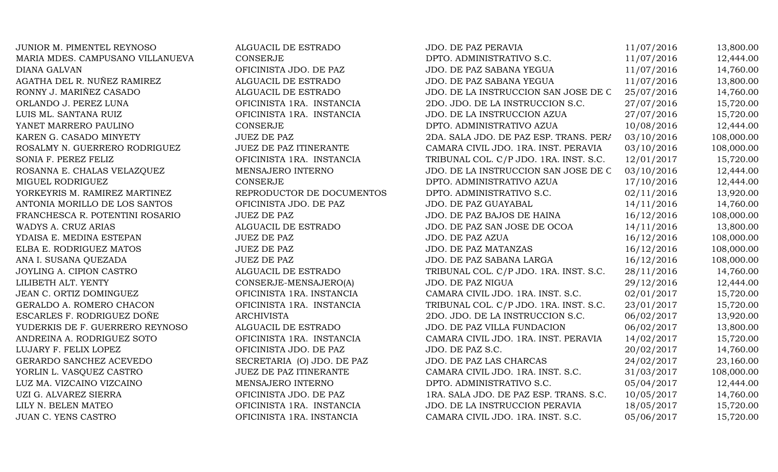| JUNIOR M. PIMENTEL REYNOSO       | ALGUACIL DE ESTRADO           | <b>JDO. DE PAZ PERAVIA</b>             | 11/07/2016 | 13,800.00  |
|----------------------------------|-------------------------------|----------------------------------------|------------|------------|
| MARIA MDES. CAMPUSANO VILLANUEVA | <b>CONSERJE</b>               | DPTO. ADMINISTRATIVO S.C.              | 11/07/2016 | 12,444.00  |
| <b>DIANA GALVAN</b>              | OFICINISTA JDO. DE PAZ        | JDO. DE PAZ SABANA YEGUA               | 11/07/2016 | 14,760.00  |
| AGATHA DEL R. NUÑEZ RAMIREZ      | ALGUACIL DE ESTRADO           | JDO. DE PAZ SABANA YEGUA               | 11/07/2016 | 13,800.00  |
| RONNY J. MARIÑEZ CASADO          | ALGUACIL DE ESTRADO           | JDO. DE LA INSTRUCCION SAN JOSE DE C   | 25/07/2016 | 14,760.00  |
| ORLANDO J. PEREZ LUNA            | OFICINISTA 1RA. INSTANCIA     | 2DO. JDO. DE LA INSTRUCCION S.C.       | 27/07/2016 | 15,720.00  |
| LUIS ML. SANTANA RUIZ            | OFICINISTA 1RA. INSTANCIA     | JDO. DE LA INSTRUCCION AZUA            | 27/07/2016 | 15,720.00  |
| YANET MARRERO PAULINO            | CONSERJE                      | DPTO. ADMINISTRATIVO AZUA              | 10/08/2016 | 12,444.00  |
| KAREN G. CASADO MINYETY          | <b>JUEZ DE PAZ</b>            | 2DA. SALA JDO. DE PAZ ESP. TRANS. PERA | 03/10/2016 | 108,000.00 |
| ROSALMY N. GUERRERO RODRIGUEZ    | JUEZ DE PAZ ITINERANTE        | CAMARA CIVIL JDO. 1RA. INST. PERAVIA   | 03/10/2016 | 108,000.00 |
| SONIA F. PEREZ FELIZ             | OFICINISTA 1RA. INSTANCIA     | TRIBUNAL COL. C/P JDO. 1RA. INST. S.C. | 12/01/2017 | 15,720.00  |
| ROSANNA E. CHALAS VELAZQUEZ      | MENSAJERO INTERNO             | JDO. DE LA INSTRUCCION SAN JOSE DE C   | 03/10/2016 | 12,444.00  |
| MIGUEL RODRIGUEZ                 | CONSERJE                      | DPTO. ADMINISTRATIVO AZUA              | 17/10/2016 | 12,444.00  |
| YORKEYRIS M. RAMIREZ MARTINEZ    | REPRODUCTOR DE DOCUMENTOS     | DPTO. ADMINISTRATIVO S.C.              | 02/11/2016 | 13,920.00  |
| ANTONIA MORILLO DE LOS SANTOS    | OFICINISTA JDO. DE PAZ        | JDO. DE PAZ GUAYABAL                   | 14/11/2016 | 14,760.00  |
| FRANCHESCA R. POTENTINI ROSARIO  | <b>JUEZ DE PAZ</b>            | JDO. DE PAZ BAJOS DE HAINA             | 16/12/2016 | 108,000.00 |
| WADYS A. CRUZ ARIAS              | ALGUACIL DE ESTRADO           | JDO. DE PAZ SAN JOSE DE OCOA           | 14/11/2016 | 13,800.00  |
| YDAISA E. MEDINA ESTEPAN         | <b>JUEZ DE PAZ</b>            | JDO. DE PAZ AZUA                       | 16/12/2016 | 108,000.00 |
| ELBA E. RODRIGUEZ MATOS          | <b>JUEZ DE PAZ</b>            | <b>JDO. DE PAZ MATANZAS</b>            | 16/12/2016 | 108,000.00 |
| ANA I. SUSANA QUEZADA            | <b>JUEZ DE PAZ</b>            | JDO. DE PAZ SABANA LARGA               | 16/12/2016 | 108,000.00 |
| JOYLING A. CIPION CASTRO         | ALGUACIL DE ESTRADO           | TRIBUNAL COL. C/P JDO. 1RA. INST. S.C. | 28/11/2016 | 14,760.00  |
| LILIBETH ALT. YENTY              | CONSERJE-MENSAJERO(A)         | <b>JDO. DE PAZ NIGUA</b>               | 29/12/2016 | 12,444.00  |
| JEAN C. ORTIZ DOMINGUEZ          | OFICINISTA 1RA. INSTANCIA     | CAMARA CIVIL JDO. 1RA. INST. S.C.      | 02/01/2017 | 15,720.00  |
| GERALDO A. ROMERO CHACON         | OFICINISTA 1RA. INSTANCIA     | TRIBUNAL COL. C/P JDO. 1RA. INST. S.C. | 23/01/2017 | 15,720.00  |
| ESCARLES F. RODRIGUEZ DOÑE       | <b>ARCHIVISTA</b>             | 2DO. JDO. DE LA INSTRUCCION S.C.       | 06/02/2017 | 13,920.00  |
| YUDERKIS DE F. GUERRERO REYNOSO  | ALGUACIL DE ESTRADO           | JDO. DE PAZ VILLA FUNDACION            | 06/02/2017 | 13,800.00  |
| ANDREINA A. RODRIGUEZ SOTO       | OFICINISTA 1RA. INSTANCIA     | CAMARA CIVIL JDO. 1RA. INST. PERAVIA   | 14/02/2017 | 15,720.00  |
| LUJARY F. FELIX LOPEZ            | OFICINISTA JDO. DE PAZ        | JDO. DE PAZ S.C.                       | 20/02/2017 | 14,760.00  |
| GERARDO SANCHEZ ACEVEDO          | SECRETARIA (O) JDO. DE PAZ    | JDO. DE PAZ LAS CHARCAS                | 24/02/2017 | 23,160.00  |
| YORLIN L. VASQUEZ CASTRO         | <b>JUEZ DE PAZ ITINERANTE</b> | CAMARA CIVIL JDO. 1RA. INST. S.C.      | 31/03/2017 | 108,000.00 |
| LUZ MA. VIZCAINO VIZCAINO        | MENSAJERO INTERNO             | DPTO. ADMINISTRATIVO S.C.              | 05/04/2017 | 12,444.00  |
| UZI G. ALVAREZ SIERRA            | OFICINISTA JDO. DE PAZ        | 1RA. SALA JDO. DE PAZ ESP. TRANS. S.C. | 10/05/2017 | 14,760.00  |
| LILY N. BELEN MATEO              | OFICINISTA 1RA. INSTANCIA     | JDO. DE LA INSTRUCCION PERAVIA         | 18/05/2017 | 15,720.00  |
| <b>JUAN C. YENS CASTRO</b>       | OFICINISTA 1RA. INSTANCIA     | CAMARA CIVIL JDO. 1RA. INST. S.C.      | 05/06/2017 | 15,720.00  |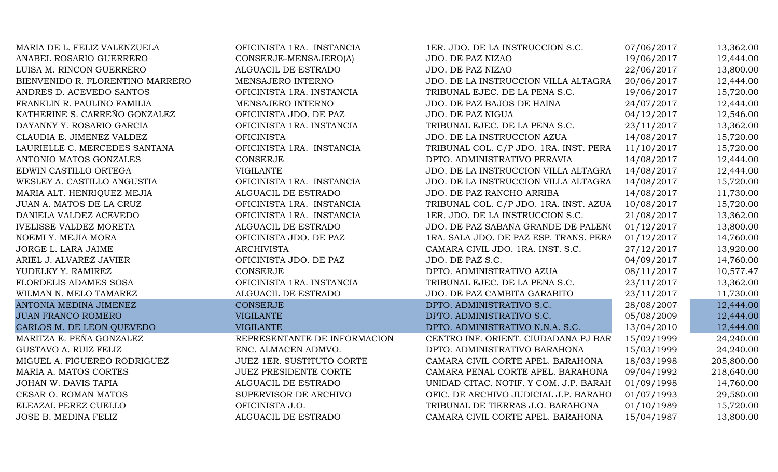| MARIA DE L. FELIZ VALENZUELA     | OFICINISTA 1RA. INSTANCIA        | 1ER. JDO. DE LA INSTRUCCION S.C.       | 07/06/2017 | 13,362.00  |
|----------------------------------|----------------------------------|----------------------------------------|------------|------------|
| ANABEL ROSARIO GUERRERO          | CONSERJE-MENSAJERO(A)            | JDO. DE PAZ NIZAO                      | 19/06/2017 | 12,444.00  |
| LUISA M. RINCON GUERRERO         | ALGUACIL DE ESTRADO              | JDO. DE PAZ NIZAO                      | 22/06/2017 | 13,800.00  |
| BIENVENIDO R. FLORENTINO MARRERO | MENSAJERO INTERNO                | JDO. DE LA INSTRUCCION VILLA ALTAGRA   | 20/06/2017 | 12,444.00  |
| ANDRES D. ACEVEDO SANTOS         | OFICINISTA 1RA. INSTANCIA        | TRIBUNAL EJEC. DE LA PENA S.C.         | 19/06/2017 | 15,720.00  |
| FRANKLIN R. PAULINO FAMILIA      | MENSAJERO INTERNO                | JDO. DE PAZ BAJOS DE HAINA             | 24/07/2017 | 12,444.00  |
| KATHERINE S. CARREÑO GONZALEZ    | OFICINISTA JDO. DE PAZ           | <b>JDO. DE PAZ NIGUA</b>               | 04/12/2017 | 12,546.00  |
| DAYANNY Y. ROSARIO GARCIA        | OFICINISTA 1RA. INSTANCIA        | TRIBUNAL EJEC. DE LA PENA S.C.         | 23/11/2017 | 13,362.00  |
| CLAUDIA E. JIMENEZ VALDEZ        | <b>OFICINISTA</b>                | JDO. DE LA INSTRUCCION AZUA            | 14/08/2017 | 15,720.00  |
| LAURIELLE C. MERCEDES SANTANA    | OFICINISTA 1RA. INSTANCIA        | TRIBUNAL COL. C/P JDO. 1RA. INST. PERA | 11/10/2017 | 15,720.00  |
| ANTONIO MATOS GONZALES           | <b>CONSERJE</b>                  | DPTO. ADMINISTRATIVO PERAVIA           | 14/08/2017 | 12,444.00  |
| EDWIN CASTILLO ORTEGA            | <b>VIGILANTE</b>                 | JDO. DE LA INSTRUCCION VILLA ALTAGRA   | 14/08/2017 | 12,444.00  |
| WESLEY A. CASTILLO ANGUSTIA      | OFICINISTA 1RA. INSTANCIA        | JDO. DE LA INSTRUCCION VILLA ALTAGRA   | 14/08/2017 | 15,720.00  |
| MARIA ALT. HENRIQUEZ MEJIA       | ALGUACIL DE ESTRADO              | JDO. DE PAZ RANCHO ARRIBA              | 14/08/2017 | 11,730.00  |
| JUAN A. MATOS DE LA CRUZ         | OFICINISTA 1RA. INSTANCIA        | TRIBUNAL COL. C/P JDO. 1RA. INST. AZUA | 10/08/2017 | 15,720.00  |
| DANIELA VALDEZ ACEVEDO           | OFICINISTA 1RA. INSTANCIA        | 1ER. JDO. DE LA INSTRUCCION S.C.       | 21/08/2017 | 13,362.00  |
| <b>IVELISSE VALDEZ MORETA</b>    | ALGUACIL DE ESTRADO              | JDO. DE PAZ SABANA GRANDE DE PALENO    | 01/12/2017 | 13,800.00  |
| NOEMI Y. MEJIA MORA              | OFICINISTA JDO. DE PAZ           | 1RA. SALA JDO. DE PAZ ESP. TRANS. PERA | 01/12/2017 | 14,760.00  |
| JORGE L. LARA JAIME              | <b>ARCHIVISTA</b>                | CAMARA CIVIL JDO. 1RA. INST. S.C.      | 27/12/2017 | 13,920.00  |
| ARIEL J. ALVAREZ JAVIER          | OFICINISTA JDO. DE PAZ           | JDO. DE PAZ S.C.                       | 04/09/2017 | 14,760.00  |
| YUDELKY Y. RAMIREZ               | <b>CONSERJE</b>                  | DPTO. ADMINISTRATIVO AZUA              | 08/11/2017 | 10,577.47  |
| FLORDELIS ADAMES SOSA            | OFICINISTA 1RA. INSTANCIA        | TRIBUNAL EJEC. DE LA PENA S.C.         | 23/11/2017 | 13,362.00  |
| WILMAN N. MELO TAMAREZ           | ALGUACIL DE ESTRADO              | JDO. DE PAZ CAMBITA GARABITO           | 23/11/2017 | 11,730.00  |
| ANTONIA MEDINA JIMENEZ           | <b>CONSERJE</b>                  | DPTO. ADMINISTRATIVO S.C.              | 28/08/2007 | 12,444.00  |
| <b>JUAN FRANCO ROMERO</b>        | <b>VIGILANTE</b>                 | DPTO. ADMINISTRATIVO S.C.              | 05/08/2009 | 12,444.00  |
| CARLOS M. DE LEON QUEVEDO        | <b>VIGILANTE</b>                 | DPTO. ADMINISTRATIVO N.N.A. S.C.       | 13/04/2010 | 12,444.00  |
| MARITZA E. PEÑA GONZALEZ         | REPRESENTANTE DE INFORMACION     | CENTRO INF. ORIENT. CIUDADANA PJ BAR   | 15/02/1999 | 24,240.00  |
| GUSTAVO A. RUIZ FELIZ            | ENC. ALMACEN ADMVO.              | DPTO. ADMINISTRATIVO BARAHONA          | 15/03/1999 | 24,240.00  |
| MIGUEL A. FIGUEREO RODRIGUEZ     | <b>JUEZ 1ER. SUSTITUTO CORTE</b> | CAMARA CIVIL CORTE APEL. BARAHONA      | 18/03/1998 | 205,800.00 |
| MARIA A. MATOS CORTES            | <b>JUEZ PRESIDENTE CORTE</b>     | CAMARA PENAL CORTE APEL. BARAHONA      | 09/04/1992 | 218,640.00 |
| JOHAN W. DAVIS TAPIA             | ALGUACIL DE ESTRADO              | UNIDAD CITAC. NOTIF. Y COM. J.P. BARAH | 01/09/1998 | 14,760.00  |
| CESAR O. ROMAN MATOS             | SUPERVISOR DE ARCHIVO            | OFIC. DE ARCHIVO JUDICIAL J.P. BARAHO  | 01/07/1993 | 29,580.00  |
| ELEAZAL PEREZ CUELLO             | OFICINISTA J.O.                  | TRIBUNAL DE TIERRAS J.O. BARAHONA      | 01/10/1989 | 15,720.00  |
| JOSE B. MEDINA FELIZ             | ALGUACIL DE ESTRADO              | CAMARA CIVIL CORTE APEL. BARAHONA      | 15/04/1987 | 13,800.00  |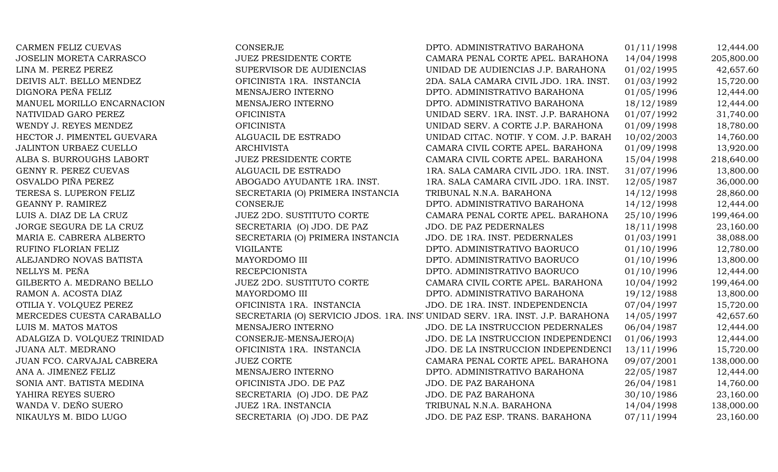CARMEN FELIZ CUEVAS CONSERJE CONSERIE CONSERUE DPTO. ADMINISTRATIVO BARAHONA 01/11/1998 12,444.00 JOSELIN MORETA CARRASCO JUEZ PRESIDENTE CORTE CAMARA PENAL CORTE APEL. BARAHONA 14/04/1998 205,800.00 LINA M. PEREZ PEREZ SUPERVISOR DE AUDIENCIAS UNIDAD DE AUDIENCIAS J.P. BARAHONA 01/02/1995 42,657.60 DEIVIS ALT. BELLO MENDEZ **OFICINISTA 1RA. INSTANCIA** 2DA. SALA CAMARA CIVIL JDO. 1RA. INST. 01/03/1992 15,720.00 DIGNORA PEÑA FELIZ MENSAJERO INTERNO DPTO. ADMINISTRATIVO BARAHONA 01/05/1996 12,444.00 MANUEL MORILLO ENCARNACION MENSAJERO INTERNO DPTO. ADMINISTRATIVO BARAHONA 18/12/1989 12,444.00 NATIVIDAD GARO PEREZ CHEMISTA OFICINISTA OFICINISTA UNIDAD SERV. 1RA. INST. J.P. BARAHONA 01/07/1992 31,740.00 WENDY J. REYES MENDEZ **OFICINISTA** OFICINISTA UNIDAD SERV. A CORTE J.P. BARAHONA 01/09/1998 18.780.00 HECTOR J. PIMENTEL GUEVARA ALGUACIL DE ESTRADO UNIDAD CITAC. NOTIF. Y COM. J.P. BARAH 10/02/2003 14,760.00 JALINTON URBAEZ CUELLO ARCHIVISTA ARCHIVISTA CAMARA CIVIL CORTE APEL. BARAHONA 01/09/1998 13,920.00 ALBA S. BURROUGHS LABORT JUEZ PRESIDENTE CORTE CAMARA CIVIL CORTE APEL. BARAHONA 15/04/1998 218,640.00 GENNY R. PEREZ CUEVAS **ALGUACIL DE ESTRADO** 1RA. SALA CAMARA CIVIL JDO. 1RA. INST. 31/07/1996 13,800.00 OSVALDO PIÑA PEREZ ABOGADO AYUDANTE 1RA. INST. 1RA. SALA CAMARA CIVIL JDO. 1RA. INST. 12/05/1987 36,000.00 TERESA S. LUPERON FELIZ SECRETARIA (O) PRIMERA INSTANCIA TRIBUNAL N.N.A. BARAHONA 14/12/1998 28,860.00 GEANNY P. RAMIREZ CONSERJE CONSERJE DPTO. ADMINISTRATIVO BARAHONA 14/12/1998 12,444.00 LUIS A. DIAZ DE LA CRUZ **199,464.00** JUEZ 2DO. SUSTITUTO CORTE CAMARA PENAL CORTE APEL. BARAHONA 25/10/1996 199,464.00 JORGE SEGURA DE LA CRUZ SECRETARIA (O) JDO. DE PAZ JDO. DE PAZ PEDERNALES 18/11/1998 23,160.00 MARIA E. CABRERA ALBERTO SECRETARIA (O) PRIMERA INSTANCIA JDO. DE 1RA. INST. PEDERNALES 01/03/1991 38,088.00 RUFINO FLORIAN FELIZ **Example 2019 SEPTO VIGILANTE** DPTO. ADMINISTRATIVO BAORUCO 201/10/1996 12,780.00 ALEJANDRO NOVAS BATISTA MAYORDOMO III DPTO. ADMINISTRATIVO BAORUCO 01/10/1996 13,800.00 NELLYS M. PEÑA CHEREPCIONISTA RECEPCIONISTA DPTO. ADMINISTRATIVO BAORUCO 01/10/1996 12,444.00 GILBERTO A. MEDRANO BELLO **GELO SELLO SUSTITUTO CORTE CAMARA CIVIL CORTE APEL. BARAHONA** 10/04/1992 199,464.00 RAMON A. ACOSTA DIAZ MAYORDOMO III DPTO. ADMINISTRATIVO BARAHONA 19/12/1988 13,800.00 OTILIA Y. VOLOUEZ PEREZ **OFICINISTA 1RA. INSTANCIA** JDO. DE 1RA. INST. INDEPENDENCIA 07/04/1997 15.720.00 MERCEDES CUESTA CARABALLO SECRETARIA (O) SERVICIO JDOS. 1RA. INSTUNIDAD SERV. 1RA. INST. J.P. BARAHONA 14/05/1997 42.657.60 LUIS M. MATOS MATOS NATOS MENSAJERO INTERNO JDO. DE LA INSTRUCCION PEDERNALES 06/04/1987 12,444.00 ADALGIZA D. VOLQUEZ TRINIDAD CONSERJE-MENSAJERO(A) JDO. DE LA INSTRUCCION INDEPENDENCI 01/06/1993 12,444.00 JUANA ALT. MEDRANO **OFICINISTA 1RA. INSTANCIA** JDO. DE LA INSTRUCCION INDEPENDENCI 13/11/1996 15,720.00 JUAN FCO. CARVAJAL CABRERA JUEZ CORTE CAMARA PENAL CORTE APEL. BARAHONA 09/07/2001 138,000.00 ANA A. JIMENEZ FELIZ SALLAM SALAHORA DENSAJERO INTERNO SALAHORA DPTO. ADMINISTRATIVO BARAHONA SALAHOS 22/05/1987 12,444.00 SONIA ANT. BATISTA MEDINA  $\qquad \qquad \text{OFICINISTA JDO. DE PAZ}$   $\qquad \qquad \text{JDO. DE PAZ BARAHONA}$  26/04/1981 14,760.00 YAHIRA REYES SUERO SUERO SECRETARIA (O) JDO. DE PAZ JDO. DE PAZ BARAHONA 30/10/1986 23.160.00 WANDA V. DEÑO SUERO **JUEZ 1RA. INSTANCIA** TRIBUNAL N.N.A. BARAHONA 14/04/1998 138,000.00 NIKAULYS M. BIDO LUGO SECRETARIA (O) JDO. DE PAZ JDO. DE PAZ ESP. TRANS. BARAHONA 07/11/1994 23,160.00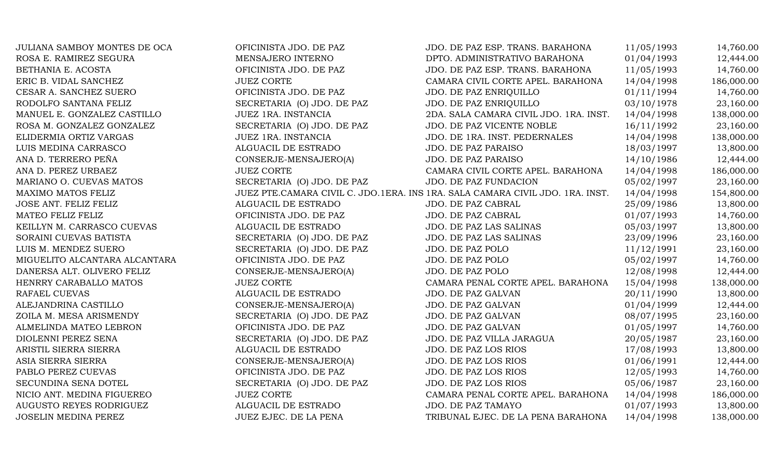| JULIANA SAMBOY MONTES DE OCA  | OFICINISTA JDO. DE PAZ     | JDO. DE PAZ ESP. TRANS. BARAHONA                                              | 11/05/1993 | 14,760.00  |
|-------------------------------|----------------------------|-------------------------------------------------------------------------------|------------|------------|
| ROSA E. RAMIREZ SEGURA        | MENSAJERO INTERNO          | DPTO. ADMINISTRATIVO BARAHONA                                                 | 01/04/1993 | 12,444.00  |
| BETHANIA E. ACOSTA            | OFICINISTA JDO. DE PAZ     | JDO. DE PAZ ESP. TRANS. BARAHONA                                              | 11/05/1993 | 14,760.00  |
| ERIC B. VIDAL SANCHEZ         | <b>JUEZ CORTE</b>          | CAMARA CIVIL CORTE APEL. BARAHONA                                             | 14/04/1998 | 186,000.00 |
| CESAR A. SANCHEZ SUERO        | OFICINISTA JDO. DE PAZ     | JDO. DE PAZ ENRIQUILLO                                                        | 01/11/1994 | 14,760.00  |
| RODOLFO SANTANA FELIZ         | SECRETARIA (O) JDO. DE PAZ | JDO. DE PAZ ENRIQUILLO                                                        | 03/10/1978 | 23,160.00  |
| MANUEL E. GONZALEZ CASTILLO   | JUEZ 1RA. INSTANCIA        | 2DA. SALA CAMARA CIVIL JDO. 1RA. INST.                                        | 14/04/1998 | 138,000.00 |
| ROSA M. GONZALEZ GONZALEZ     | SECRETARIA (O) JDO. DE PAZ | JDO. DE PAZ VICENTE NOBLE                                                     | 16/11/1992 | 23,160.00  |
| ELIDERMIA ORTIZ VARGAS        | JUEZ 1RA. INSTANCIA        | JDO. DE 1RA. INST. PEDERNALES                                                 | 14/04/1998 | 138,000.00 |
| LUIS MEDINA CARRASCO          | ALGUACIL DE ESTRADO        | <b>JDO. DE PAZ PARAISO</b>                                                    | 18/03/1997 | 13,800.00  |
| ANA D. TERRERO PEÑA           | CONSERJE-MENSAJERO(A)      | JDO. DE PAZ PARAISO                                                           | 14/10/1986 | 12,444.00  |
| ANA D. PEREZ URBAEZ           | <b>JUEZ CORTE</b>          | CAMARA CIVIL CORTE APEL. BARAHONA                                             | 14/04/1998 | 186,000.00 |
| MARIANO O. CUEVAS MATOS       | SECRETARIA (O) JDO. DE PAZ | <b>JDO. DE PAZ FUNDACION</b>                                                  | 05/02/1997 | 23,160.00  |
| MAXIMO MATOS FELIZ            |                            | JUEZ PTE.CAMARA CIVIL C. JDO.1ERA. INS 1RA. SALA CAMARA CIVIL JDO. 1RA. INST. | 14/04/1998 | 154,800.00 |
| JOSE ANT. FELIZ FELIZ         | ALGUACIL DE ESTRADO        | JDO. DE PAZ CABRAL                                                            | 25/09/1986 | 13,800.00  |
| MATEO FELIZ FELIZ             | OFICINISTA JDO. DE PAZ     | JDO. DE PAZ CABRAL                                                            | 01/07/1993 | 14,760.00  |
| KEILLYN M. CARRASCO CUEVAS    | ALGUACIL DE ESTRADO        | JDO. DE PAZ LAS SALINAS                                                       | 05/03/1997 | 13,800.00  |
| SORAINI CUEVAS BATISTA        | SECRETARIA (O) JDO. DE PAZ | JDO. DE PAZ LAS SALINAS                                                       | 23/09/1996 | 23,160.00  |
| LUIS M. MENDEZ SUERO          | SECRETARIA (O) JDO. DE PAZ | JDO. DE PAZ POLO                                                              | 11/12/1991 | 23,160.00  |
| MIGUELITO ALCANTARA ALCANTARA | OFICINISTA JDO. DE PAZ     | JDO. DE PAZ POLO                                                              | 05/02/1997 | 14,760.00  |
| DANERSA ALT. OLIVERO FELIZ    | CONSERJE-MENSAJERO(A)      | JDO. DE PAZ POLO                                                              | 12/08/1998 | 12,444.00  |
| HENRRY CARABALLO MATOS        | <b>JUEZ CORTE</b>          | CAMARA PENAL CORTE APEL. BARAHONA                                             | 15/04/1998 | 138,000.00 |
| RAFAEL CUEVAS                 | ALGUACIL DE ESTRADO        | JDO. DE PAZ GALVAN                                                            | 20/11/1990 | 13,800.00  |
| ALEJANDRINA CASTILLO          | CONSERJE-MENSAJERO(A)      | JDO. DE PAZ GALVAN                                                            | 01/04/1999 | 12,444.00  |
| ZOILA M. MESA ARISMENDY       | SECRETARIA (O) JDO. DE PAZ | JDO. DE PAZ GALVAN                                                            | 08/07/1995 | 23,160.00  |
| ALMELINDA MATEO LEBRON        | OFICINISTA JDO. DE PAZ     | JDO. DE PAZ GALVAN                                                            | 01/05/1997 | 14,760.00  |
| DIOLENNI PEREZ SENA           | SECRETARIA (O) JDO. DE PAZ | JDO. DE PAZ VILLA JARAGUA                                                     | 20/05/1987 | 23,160.00  |
| ARISTIL SIERRA SIERRA         | ALGUACIL DE ESTRADO        | <b>JDO. DE PAZ LOS RIOS</b>                                                   | 17/08/1993 | 13,800.00  |
| ASIA SIERRA SIERRA            | CONSERJE-MENSAJERO(A)      | JDO. DE PAZ LOS RIOS                                                          | 01/06/1991 | 12,444.00  |
| PABLO PEREZ CUEVAS            | OFICINISTA JDO. DE PAZ     | <b>JDO. DE PAZ LOS RIOS</b>                                                   | 12/05/1993 | 14,760.00  |
| SECUNDINA SENA DOTEL          | SECRETARIA (O) JDO. DE PAZ | <b>JDO. DE PAZ LOS RIOS</b>                                                   | 05/06/1987 | 23,160.00  |
| NICIO ANT. MEDINA FIGUEREO    | <b>JUEZ CORTE</b>          | CAMARA PENAL CORTE APEL. BARAHONA                                             | 14/04/1998 | 186,000.00 |
| AUGUSTO REYES RODRIGUEZ       | ALGUACIL DE ESTRADO        | JDO. DE PAZ TAMAYO                                                            | 01/07/1993 | 13,800.00  |
| <b>JOSELIN MEDINA PEREZ</b>   | JUEZ EJEC. DE LA PENA      | TRIBUNAL EJEC. DE LA PENA BARAHONA                                            | 14/04/1998 | 138,000.00 |
|                               |                            |                                                                               |            |            |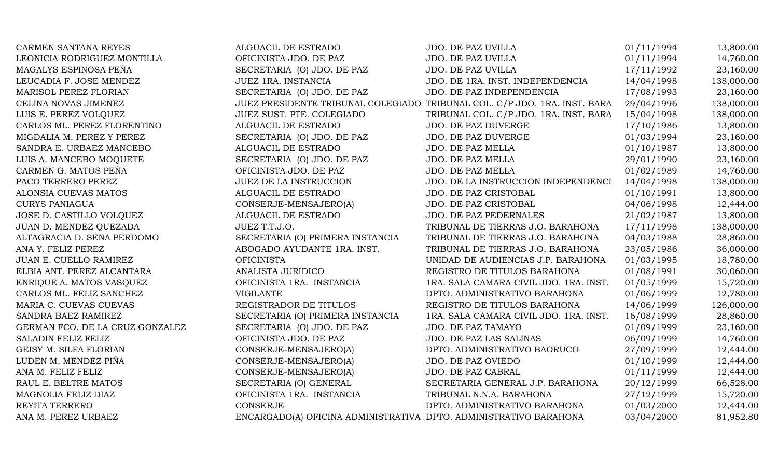| <b>CARMEN SANTANA REYES</b>     | ALGUACIL DE ESTRADO                                               | JDO. DE PAZ UVILLA                                                        | 01/11/1994 | 13,800.00  |
|---------------------------------|-------------------------------------------------------------------|---------------------------------------------------------------------------|------------|------------|
| LEONICIA RODRIGUEZ MONTILLA     | OFICINISTA JDO. DE PAZ                                            | JDO. DE PAZ UVILLA                                                        | 01/11/1994 | 14,760.00  |
| MAGALYS ESPINOSA PEÑA           | SECRETARIA (O) JDO. DE PAZ                                        | JDO. DE PAZ UVILLA                                                        | 17/11/1992 | 23,160.00  |
| LEUCADIA F. JOSE MENDEZ         | JUEZ 1RA. INSTANCIA                                               | JDO. DE 1RA. INST. INDEPENDENCIA                                          | 14/04/1998 | 138,000.00 |
| MARISOL PEREZ FLORIAN           | SECRETARIA (O) JDO. DE PAZ                                        | JDO. DE PAZ INDEPENDENCIA                                                 | 17/08/1993 | 23,160.00  |
| CELINA NOVAS JIMENEZ            |                                                                   | JUEZ PRESIDENTE TRIBUNAL COLEGIADO TRIBUNAL COL. C/P JDO. 1RA. INST. BARA | 29/04/1996 | 138,000.00 |
| LUIS E. PEREZ VOLQUEZ           | JUEZ SUST. PTE. COLEGIADO                                         | TRIBUNAL COL. C/P JDO. 1RA. INST. BARA                                    | 15/04/1998 | 138,000.00 |
| CARLOS ML. PEREZ FLORENTINO     | ALGUACIL DE ESTRADO                                               | JDO. DE PAZ DUVERGE                                                       | 17/10/1986 | 13,800.00  |
| MIGDALIA M. PEREZ Y PEREZ       | SECRETARIA (O) JDO. DE PAZ                                        | JDO. DE PAZ DUVERGE                                                       | 01/03/1994 | 23,160.00  |
| SANDRA E. URBAEZ MANCEBO        | ALGUACIL DE ESTRADO                                               | JDO. DE PAZ MELLA                                                         | 01/10/1987 | 13,800.00  |
| LUIS A. MANCEBO MOQUETE         | SECRETARIA (O) JDO. DE PAZ                                        | JDO. DE PAZ MELLA                                                         | 29/01/1990 | 23,160.00  |
| CARMEN G. MATOS PEÑA            | OFICINISTA JDO. DE PAZ                                            | JDO. DE PAZ MELLA                                                         | 01/02/1989 | 14,760.00  |
| PACO TERRERO PEREZ              | <b>JUEZ DE LA INSTRUCCION</b>                                     | JDO. DE LA INSTRUCCION INDEPENDENCI                                       | 14/04/1998 | 138,000.00 |
| ALONSIA CUEVAS MATOS            | ALGUACIL DE ESTRADO                                               | JDO. DE PAZ CRISTOBAL                                                     | 01/10/1991 | 13,800.00  |
| <b>CURYS PANIAGUA</b>           | CONSERJE-MENSAJERO(A)                                             | JDO. DE PAZ CRISTOBAL                                                     | 04/06/1998 | 12,444.00  |
| JOSE D. CASTILLO VOLQUEZ        | ALGUACIL DE ESTRADO                                               | JDO. DE PAZ PEDERNALES                                                    | 21/02/1987 | 13,800.00  |
| JUAN D. MENDEZ QUEZADA          | JUEZ T.T.J.O.                                                     | TRIBUNAL DE TIERRAS J.O. BARAHONA                                         | 17/11/1998 | 138,000.00 |
| ALTAGRACIA D. SENA PERDOMO      | SECRETARIA (O) PRIMERA INSTANCIA                                  | TRIBUNAL DE TIERRAS J.O. BARAHONA                                         | 04/03/1988 | 28,860.00  |
| ANA Y. FELIZ PEREZ              | ABOGADO AYUDANTE 1RA. INST.                                       | TRIBUNAL DE TIERRAS J.O. BARAHONA                                         | 23/05/1986 | 36,000.00  |
| JUAN E. CUELLO RAMIREZ          | <b>OFICINISTA</b>                                                 | UNIDAD DE AUDIENCIAS J.P. BARAHONA                                        | 01/03/1995 | 18,780.00  |
| ELBIA ANT. PEREZ ALCANTARA      | ANALISTA JURIDICO                                                 | REGISTRO DE TITULOS BARAHONA                                              | 01/08/1991 | 30,060.00  |
| ENRIQUE A. MATOS VASQUEZ        | OFICINISTA 1RA. INSTANCIA                                         | 1RA. SALA CAMARA CIVIL JDO. 1RA. INST.                                    | 01/05/1999 | 15,720.00  |
| CARLOS ML. FELIZ SANCHEZ        | <b>VIGILANTE</b>                                                  | DPTO. ADMINISTRATIVO BARAHONA                                             | 01/06/1999 | 12,780.00  |
| MARIA C. CUEVAS CUEVAS          | REGISTRADOR DE TITULOS                                            | REGISTRO DE TITULOS BARAHONA                                              | 14/06/1999 | 126,000.00 |
| SANDRA BAEZ RAMIREZ             | SECRETARIA (O) PRIMERA INSTANCIA                                  | 1RA. SALA CAMARA CIVIL JDO. 1RA. INST.                                    | 16/08/1999 | 28,860.00  |
| GERMAN FCO. DE LA CRUZ GONZALEZ | SECRETARIA (O) JDO. DE PAZ                                        | JDO. DE PAZ TAMAYO                                                        | 01/09/1999 | 23,160.00  |
| SALADIN FELIZ FELIZ             | OFICINISTA JDO. DE PAZ                                            | JDO. DE PAZ LAS SALINAS                                                   | 06/09/1999 | 14,760.00  |
| GEISY M. SILFA FLORIAN          | CONSERJE-MENSAJERO(A)                                             | DPTO. ADMINISTRATIVO BAORUCO                                              | 27/09/1999 | 12,444.00  |
| LUDEN M. MENDEZ PIÑA            | CONSERJE-MENSAJERO(A)                                             | JDO. DE PAZ OVIEDO                                                        | 01/10/1999 | 12,444.00  |
| ANA M. FELIZ FELIZ              | CONSERJE-MENSAJERO(A)                                             | JDO. DE PAZ CABRAL                                                        | 01/11/1999 | 12,444.00  |
| RAUL E. BELTRE MATOS            | SECRETARIA (O) GENERAL                                            | SECRETARIA GENERAL J.P. BARAHONA                                          | 20/12/1999 | 66,528.00  |
| MAGNOLIA FELIZ DIAZ             | OFICINISTA 1RA. INSTANCIA                                         | TRIBUNAL N.N.A. BARAHONA                                                  | 27/12/1999 | 15,720.00  |
| REYITA TERRERO                  | <b>CONSERJE</b>                                                   | DPTO. ADMINISTRATIVO BARAHONA                                             | 01/03/2000 | 12,444.00  |
| ANA M. PEREZ URBAEZ             | ENCARGADO(A) OFICINA ADMINISTRATIVA DPTO. ADMINISTRATIVO BARAHONA |                                                                           | 03/04/2000 | 81,952.80  |
|                                 |                                                                   |                                                                           |            |            |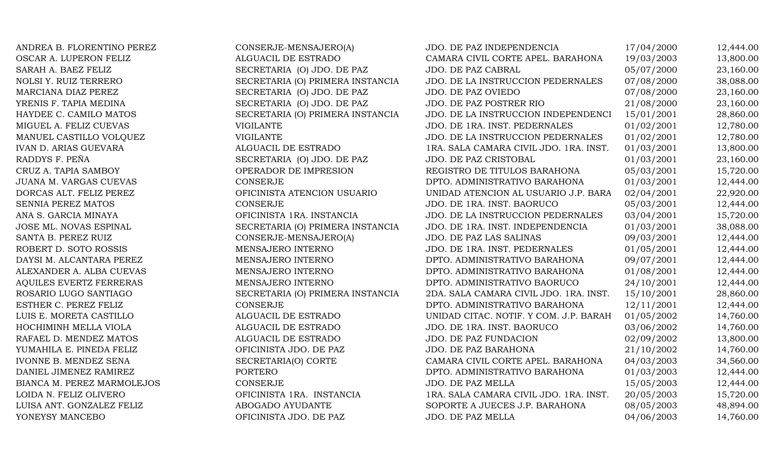| ANDREA B. FLORENTINO PEREZ     | CONSERJE-MENSAJERO(A)            | JDO. DE PAZ INDEPENDENCIA              | 17/04/2000 | 12,444.00 |
|--------------------------------|----------------------------------|----------------------------------------|------------|-----------|
| OSCAR A. LUPERON FELIZ         | ALGUACIL DE ESTRADO              | CAMARA CIVIL CORTE APEL. BARAHONA      | 19/03/2003 | 13,800.00 |
| SARAH A. BAEZ FELIZ            | SECRETARIA (O) JDO. DE PAZ       | JDO. DE PAZ CABRAL                     | 05/07/2000 | 23,160.00 |
| NOLSI Y. RUIZ TERRERO          | SECRETARIA (O) PRIMERA INSTANCIA | JDO. DE LA INSTRUCCION PEDERNALES      | 07/08/2000 | 38,088.00 |
| MARCIANA DIAZ PEREZ            | SECRETARIA (O) JDO. DE PAZ       | <b>JDO. DE PAZ OVIEDO</b>              | 07/08/2000 | 23,160.00 |
| YRENIS F. TAPIA MEDINA         | SECRETARIA (O) JDO. DE PAZ       | JDO. DE PAZ POSTRER RIO                | 21/08/2000 | 23,160.00 |
| HAYDEE C. CAMILO MATOS         | SECRETARIA (O) PRIMERA INSTANCIA | JDO. DE LA INSTRUCCION INDEPENDENCI    | 15/01/2001 | 28,860.00 |
| MIGUEL A. FELIZ CUEVAS         | <b>VIGILANTE</b>                 | JDO. DE 1RA. INST. PEDERNALES          | 01/02/2001 | 12,780.00 |
| MANUEL CASTILLO VOLQUEZ        | <b>VIGILANTE</b>                 | JDO. DE LA INSTRUCCION PEDERNALES      | 01/02/2001 | 12,780.00 |
| <b>IVAN D. ARIAS GUEVARA</b>   | ALGUACIL DE ESTRADO              | 1RA. SALA CAMARA CIVIL JDO. 1RA. INST. | 01/03/2001 | 13,800.00 |
| RADDYS F. PEÑA                 | SECRETARIA (O) JDO. DE PAZ       | JDO. DE PAZ CRISTOBAL                  | 01/03/2001 | 23,160.00 |
| CRUZ A. TAPIA SAMBOY           | OPERADOR DE IMPRESION            | REGISTRO DE TITULOS BARAHONA           | 05/03/2001 | 15,720.00 |
| JUANA M. VARGAS CUEVAS         | <b>CONSERJE</b>                  | DPTO. ADMINISTRATIVO BARAHONA          | 01/03/2001 | 12,444.00 |
| DORCAS ALT. FELIZ PEREZ        | OFICINISTA ATENCION USUARIO      | UNIDAD ATENCION AL USUARIO J.P. BARA   | 02/04/2001 | 22,920.00 |
| SENNIA PEREZ MATOS             | CONSERJE                         | JDO. DE 1RA. INST. BAORUCO             | 05/03/2001 | 12,444.00 |
| ANA S. GARCIA MINAYA           | OFICINISTA 1RA. INSTANCIA        | JDO. DE LA INSTRUCCION PEDERNALES      | 03/04/2001 | 15,720.00 |
| JOSE ML. NOVAS ESPINAL         | SECRETARIA (O) PRIMERA INSTANCIA | JDO. DE 1RA. INST. INDEPENDENCIA       | 01/03/2001 | 38,088.00 |
| SANTA B. PEREZ RUIZ            | CONSERJE-MENSAJERO(A)            | JDO. DE PAZ LAS SALINAS                | 09/03/2001 | 12,444.00 |
| ROBERT D. SOTO ROSSIS          | MENSAJERO INTERNO                | JDO. DE 1RA. INST. PEDERNALES          | 01/05/2001 | 12,444.00 |
| DAYSI M. ALCANTARA PEREZ       | MENSAJERO INTERNO                | DPTO. ADMINISTRATIVO BARAHONA          | 09/07/2001 | 12,444.00 |
| ALEXANDER A. ALBA CUEVAS       | MENSAJERO INTERNO                | DPTO. ADMINISTRATIVO BARAHONA          | 01/08/2001 | 12,444.00 |
| <b>AQUILES EVERTZ FERRERAS</b> | MENSAJERO INTERNO                | DPTO. ADMINISTRATIVO BAORUCO           | 24/10/2001 | 12,444.00 |
| ROSARIO LUGO SANTIAGO          | SECRETARIA (O) PRIMERA INSTANCIA | 2DA. SALA CAMARA CIVIL JDO. 1RA. INST. | 15/10/2001 | 28,860.00 |
| ESTHER C. PEREZ FELIZ          | <b>CONSERJE</b>                  | DPTO. ADMINISTRATIVO BARAHONA          | 12/11/2001 | 12,444.00 |
| LUIS E. MORETA CASTILLO        | ALGUACIL DE ESTRADO              | UNIDAD CITAC. NOTIF. Y COM. J.P. BARAH | 01/05/2002 | 14,760.00 |
| HOCHIMINH MELLA VIOLA          | ALGUACIL DE ESTRADO              | JDO. DE 1RA. INST. BAORUCO             | 03/06/2002 | 14,760.00 |
| RAFAEL D. MENDEZ MATOS         | ALGUACIL DE ESTRADO              | JDO. DE PAZ FUNDACION                  | 02/09/2002 | 13,800.00 |
| YUMAHILA E. PINEDA FELIZ       | OFICINISTA JDO. DE PAZ           | JDO. DE PAZ BARAHONA                   | 21/10/2002 | 14,760.00 |
| IVONNE B. MENDEZ SENA          | SECRETARIA(O) CORTE              | CAMARA CIVIL CORTE APEL. BARAHONA      | 04/03/2003 | 34,560.00 |
| DANIEL JIMENEZ RAMIREZ         | PORTERO                          | DPTO. ADMINISTRATIVO BARAHONA          | 01/03/2003 | 12,444.00 |
| BIANCA M. PEREZ MARMOLEJOS     | CONSERJE                         | JDO. DE PAZ MELLA                      | 15/05/2003 | 12,444.00 |
| LOIDA N. FELIZ OLIVERO         | OFICINISTA 1RA. INSTANCIA        | 1RA. SALA CAMARA CIVIL JDO. 1RA. INST. | 20/05/2003 | 15,720.00 |
| LUISA ANT. GONZALEZ FELIZ      | ABOGADO AYUDANTE                 | SOPORTE A JUECES J.P. BARAHONA         | 08/05/2003 | 48,894.00 |
| YONEYSY MANCEBO                | OFICINISTA JDO. DE PAZ           | JDO. DE PAZ MELLA                      | 04/06/2003 | 14,760.00 |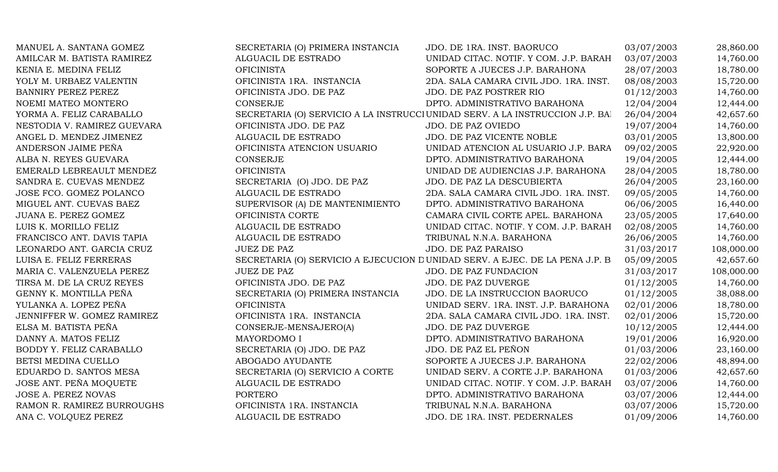| MANUEL A. SANTANA GOMEZ     | SECRETARIA (O) PRIMERA INSTANCIA | JDO. DE 1RA. INST. BAORUCO                                                    | 03/07/2003 | 28,860.00  |
|-----------------------------|----------------------------------|-------------------------------------------------------------------------------|------------|------------|
| AMILCAR M. BATISTA RAMIREZ  | ALGUACIL DE ESTRADO              | UNIDAD CITAC. NOTIF. Y COM. J.P. BARAH                                        | 03/07/2003 | 14,760.00  |
| KENIA E. MEDINA FELIZ       | <b>OFICINISTA</b>                | SOPORTE A JUECES J.P. BARAHONA                                                | 28/07/2003 | 18,780.00  |
| YOLY M. URBAEZ VALENTIN     | OFICINISTA 1RA. INSTANCIA        | 2DA. SALA CAMARA CIVIL JDO. 1RA. INST.                                        | 08/08/2003 | 15,720.00  |
| <b>BANNIRY PEREZ PEREZ</b>  | OFICINISTA JDO. DE PAZ           | JDO. DE PAZ POSTRER RIO                                                       | 01/12/2003 | 14,760.00  |
| NOEMI MATEO MONTERO         | <b>CONSERJE</b>                  | DPTO. ADMINISTRATIVO BARAHONA                                                 | 12/04/2004 | 12,444.00  |
| YORMA A. FELIZ CARABALLO    |                                  | SECRETARIA (O) SERVICIO A LA INSTRUCCI UNIDAD SERV. A LA INSTRUCCION J.P. BAI | 26/04/2004 | 42,657.60  |
| NESTODIA V. RAMIREZ GUEVARA | OFICINISTA JDO. DE PAZ           | JDO. DE PAZ OVIEDO                                                            | 19/07/2004 | 14,760.00  |
| ANGEL D. MENDEZ JIMENEZ     | ALGUACIL DE ESTRADO              | JDO. DE PAZ VICENTE NOBLE                                                     | 03/01/2005 | 13,800.00  |
| ANDERSON JAIME PEÑA         | OFICINISTA ATENCION USUARIO      | UNIDAD ATENCION AL USUARIO J.P. BARA                                          | 09/02/2005 | 22,920.00  |
| ALBA N. REYES GUEVARA       | <b>CONSERJE</b>                  | DPTO. ADMINISTRATIVO BARAHONA                                                 | 19/04/2005 | 12,444.00  |
| EMERALD LEBREAULT MENDEZ    | <b>OFICINISTA</b>                | UNIDAD DE AUDIENCIAS J.P. BARAHONA                                            | 28/04/2005 | 18,780.00  |
| SANDRA E. CUEVAS MENDEZ     | SECRETARIA (O) JDO. DE PAZ       | JDO. DE PAZ LA DESCUBIERTA                                                    | 26/04/2005 | 23,160.00  |
| JOSE FCO. GOMEZ POLANCO     | ALGUACIL DE ESTRADO              | 2DA. SALA CAMARA CIVIL JDO. 1RA. INST.                                        | 09/05/2005 | 14,760.00  |
| MIGUEL ANT. CUEVAS BAEZ     | SUPERVISOR (A) DE MANTENIMIENTO  | DPTO. ADMINISTRATIVO BARAHONA                                                 | 06/06/2005 | 16,440.00  |
| JUANA E. PEREZ GOMEZ        | OFICINISTA CORTE                 | CAMARA CIVIL CORTE APEL. BARAHONA                                             | 23/05/2005 | 17,640.00  |
| LUIS K. MORILLO FELIZ       | ALGUACIL DE ESTRADO              | UNIDAD CITAC. NOTIF. Y COM. J.P. BARAH                                        | 02/08/2005 | 14,760.00  |
| FRANCISCO ANT. DAVIS TAPIA  | ALGUACIL DE ESTRADO              | TRIBUNAL N.N.A. BARAHONA                                                      | 26/06/2005 | 14,760.00  |
| LEONARDO ANT. GARCIA CRUZ   | <b>JUEZ DE PAZ</b>               | <b>JDO. DE PAZ PARAISO</b>                                                    | 31/03/2017 | 108,000.00 |
| LUISA E. FELIZ FERRERAS     |                                  | SECRETARIA (O) SERVICIO A EJECUCION DUNIDAD SERV. A EJEC. DE LA PENA J.P. B.  | 05/09/2005 | 42,657.60  |
| MARIA C. VALENZUELA PEREZ   | <b>JUEZ DE PAZ</b>               | JDO. DE PAZ FUNDACION                                                         | 31/03/2017 | 108,000.00 |
| TIRSA M. DE LA CRUZ REYES   | OFICINISTA JDO. DE PAZ           | <b>JDO. DE PAZ DUVERGE</b>                                                    | 01/12/2005 | 14,760.00  |
| GENNY K. MONTILLA PEÑA      | SECRETARIA (O) PRIMERA INSTANCIA | JDO. DE LA INSTRUCCION BAORUCO                                                | 01/12/2005 | 38,088.00  |
| YULANKA A. LOPEZ PEÑA       | <b>OFICINISTA</b>                | UNIDAD SERV. 1RA. INST. J.P. BARAHONA                                         | 02/01/2006 | 18,780.00  |
| JENNIFFER W. GOMEZ RAMIREZ  | OFICINISTA 1RA. INSTANCIA        | 2DA. SALA CAMARA CIVIL JDO. 1RA. INST.                                        | 02/01/2006 | 15,720.00  |
| ELSA M. BATISTA PEÑA        | CONSERJE-MENSAJERO(A)            | JDO. DE PAZ DUVERGE                                                           | 10/12/2005 | 12,444.00  |
| DANNY A. MATOS FELIZ        | MAYORDOMO I                      | DPTO. ADMINISTRATIVO BARAHONA                                                 | 19/01/2006 | 16,920.00  |
| BODDY Y. FELIZ CARABALLO    | SECRETARIA (O) JDO. DE PAZ       | JDO. DE PAZ EL PEÑON                                                          | 01/03/2006 | 23,160.00  |
| BETSI MEDINA CUELLO         | ABOGADO AYUDANTE                 | SOPORTE A JUECES J.P. BARAHONA                                                | 22/02/2006 | 48,894.00  |
| EDUARDO D. SANTOS MESA      | SECRETARIA (O) SERVICIO A CORTE  | UNIDAD SERV. A CORTE J.P. BARAHONA                                            | 01/03/2006 | 42,657.60  |
| JOSE ANT. PEÑA MOQUETE      | ALGUACIL DE ESTRADO              | UNIDAD CITAC. NOTIF. Y COM. J.P. BARAH                                        | 03/07/2006 | 14,760.00  |
| JOSE A. PEREZ NOVAS         | <b>PORTERO</b>                   | DPTO. ADMINISTRATIVO BARAHONA                                                 | 03/07/2006 | 12,444.00  |
| RAMON R. RAMIREZ BURROUGHS  | OFICINISTA 1RA. INSTANCIA        | TRIBUNAL N.N.A. BARAHONA                                                      | 03/07/2006 | 15,720.00  |
| ANA C. VOLOUEZ PEREZ        | ALGUACIL DE ESTRADO              | JDO. DE 1RA. INST. PEDERNALES                                                 | 01/09/2006 | 14,760.00  |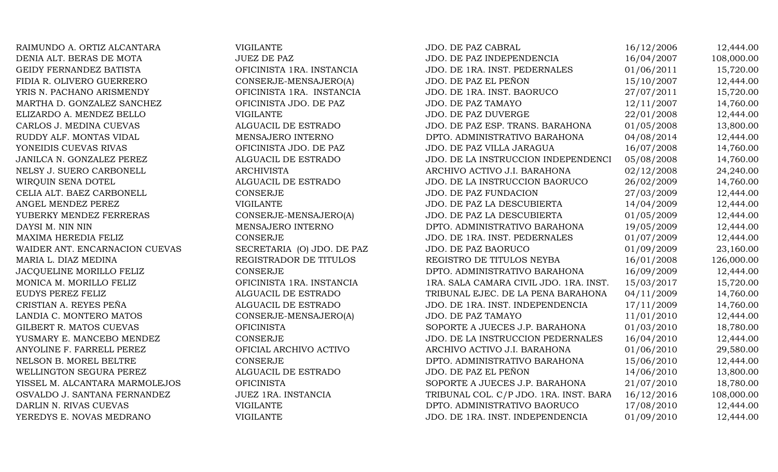RAIMUNDO A. ORTIZ ALCANTARA VIGILANTE DENIA ALT. BERAS DE MOTA JUEZ DE PAZ GEIDY FERNANDEZ BATISTA OFICINISTA 1RA. INSTANCIA FIDIA R. OLIVERO GUERRERO CONSERJE-MENSAJERO(A) YRIS N. PACHANO ARISMENDY OFICINISTA 1RA. INSTANCIA MARTHA D. GONZALEZ SANCHEZ OFICINISTA JDO. DE PAZ ELIZARDO A. MENDEZ BELLO VIGILANTE CARLOS J. MEDINA CUEVAS ALGUACIL DE ESTRADO RUDDY ALF. MONTAS VIDAL MENSAJERO INTERNO YONEIDIS CUEVAS RIVAS OFICINISTA JDO. DE PAZ JANILCA N. GONZALEZ PEREZ **ALGUACIL DE ESTRADO** NELSY J. SUERO CARBONELL ARCHIVISTA WIROUIN SENA DOTEL ALGUACIL DE ESTRADO CELIA ALT. BAEZ CARBONELL CONSERJE ANGEL MENDEZ PEREZ VIGILANTE YUBERKY MENDEZ FERRERAS CONSERJE-MENSAJERO(A) DAYSI M. NIN NIN GERO DENSAJERO INTERNO MAXIMA HEREDIA FELIZ CONSERJE WAIDER ANT. ENCARNACION CUEVAS SECRETARIA (O) JDO. DE PAZ MARIA L. DIAZ MEDINA REGISTRADOR DE TITULOS JACOUELINE MORILLO FELIZ CONSERJE MONICA M. MORILLO FELIZ OFICINISTA 1RA. INSTANCIA EUDYS PEREZ FELIZ TRIBUNAL EUDYS PEREZ FELIZ CRISTIAN A. REYES PEÑA ALGUACIL DE ESTRADO LANDIA C. MONTERO MATOS CONSERJE-MENSAJERO(A) GILBERT R. MATOS CUEVAS OFICINISTA YUSMARY E. MANCEBO MENDEZ CONSERJE ANYOLINE F. FARRELL PEREZ OFICIAL ARCHIVO ACTIVO NELSON B. MOREL BELTRE CONSERJE WELLINGTON SEGURA PEREZ ALGUACIL DE ESTRADO YISSEL M. ALCANTARA MARMOLEJOS OFICINISTA OSVALDO J. SANTANA FERNANDEZ JUEZ 1RA. INSTANCIA DARLIN N. RIVAS CUEVAS VIGILANTE YEREDYS E. NOVAS MEDRANO VIGILANTE

| <b>JDO. DE PAZ CABRAL</b>              | 16/12/2006 | 12,444.00  |
|----------------------------------------|------------|------------|
| JDO. DE PAZ INDEPENDENCIA              | 16/04/2007 | 108,000.00 |
| JDO. DE 1RA. INST. PEDERNALES          | 01/06/2011 | 15,720.00  |
| JDO. DE PAZ EL PEÑON                   | 15/10/2007 | 12,444.00  |
| JDO. DE 1RA. INST. BAORUCO             | 27/07/2011 | 15,720.00  |
| <b>JDO. DE PAZ TAMAYO</b>              | 12/11/2007 | 14,760.00  |
| JDO. DE PAZ DUVERGE                    | 22/01/2008 | 12,444.00  |
| JDO. DE PAZ ESP. TRANS. BARAHONA       | 01/05/2008 | 13,800.00  |
| DPTO. ADMINISTRATIVO BARAHONA          | 04/08/2014 | 12,444.00  |
| JDO. DE PAZ VILLA JARAGUA              | 16/07/2008 | 14,760.00  |
| JDO. DE LA INSTRUCCION INDEPENDENCI    | 05/08/2008 | 14,760.00  |
| ARCHIVO ACTIVO J.I. BARAHONA           | 02/12/2008 | 24,240.00  |
| JDO. DE LA INSTRUCCION BAORUCO         | 26/02/2009 | 14,760.00  |
| JDO. DE PAZ FUNDACION                  | 27/03/2009 | 12,444.00  |
| JDO. DE PAZ LA DESCUBIERTA             | 14/04/2009 | 12,444.00  |
| JDO. DE PAZ LA DESCUBIERTA             | 01/05/2009 | 12,444.00  |
| DPTO. ADMINISTRATIVO BARAHONA          | 19/05/2009 | 12,444.00  |
| JDO. DE 1RA. INST. PEDERNALES          | 01/07/2009 | 12,444.00  |
| JDO. DE PAZ BAORUCO                    | 01/09/2009 | 23,160.00  |
| REGISTRO DE TITULOS NEYBA              | 16/01/2008 | 126,000.00 |
| DPTO. ADMINISTRATIVO BARAHONA          | 16/09/2009 | 12,444.00  |
| 1RA. SALA CAMARA CIVIL JDO. 1RA. INST. | 15/03/2017 | 15,720.00  |
| TRIBUNAL EJEC. DE LA PENA BARAHONA     | 04/11/2009 | 14,760.00  |
| JDO. DE 1RA. INST. INDEPENDENCIA       | 17/11/2009 | 14,760.00  |
| JDO. DE PAZ TAMAYO                     | 11/01/2010 | 12,444.00  |
| SOPORTE A JUECES J.P. BARAHONA         | 01/03/2010 | 18,780.00  |
| JDO. DE LA INSTRUCCION PEDERNALES      | 16/04/2010 | 12,444.00  |
| ARCHIVO ACTIVO J.I. BARAHONA           | 01/06/2010 | 29,580.00  |
| DPTO. ADMINISTRATIVO BARAHONA          | 15/06/2010 | 12,444.00  |
| JDO. DE PAZ EL PEÑON                   | 14/06/2010 | 13,800.00  |
| SOPORTE A JUECES J.P. BARAHONA         | 21/07/2010 | 18,780.00  |
| TRIBUNAL COL. C/P JDO. 1RA. INST. BARA | 16/12/2016 | 108,000.00 |
| DPTO. ADMINISTRATIVO BAORUCO           | 17/08/2010 | 12,444.00  |
| JDO. DE 1RA. INST. INDEPENDENCIA       | 01/09/2010 | 12,444.00  |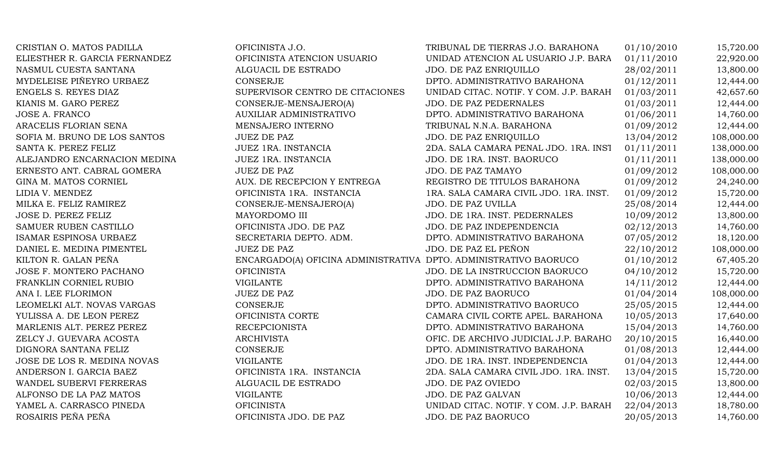| CRISTIAN O. MATOS PADILLA     | OFICINISTA J.O.                                                  | TRIBUNAL DE TIERRAS J.O. BARAHONA      | 01/10/2010 | 15,720.00  |
|-------------------------------|------------------------------------------------------------------|----------------------------------------|------------|------------|
| ELIESTHER R. GARCIA FERNANDEZ | OFICINISTA ATENCION USUARIO                                      | UNIDAD ATENCION AL USUARIO J.P. BARA   | 01/11/2010 | 22,920.00  |
| NASMUL CUESTA SANTANA         | ALGUACIL DE ESTRADO                                              | <b>JDO. DE PAZ ENRIQUILLO</b>          | 28/02/2011 | 13,800.00  |
| MYDELEISE PIÑEYRO URBAEZ      | <b>CONSERJE</b>                                                  | DPTO. ADMINISTRATIVO BARAHONA          | 01/12/2011 | 12,444.00  |
| ENGELS S. REYES DIAZ          | SUPERVISOR CENTRO DE CITACIONES                                  | UNIDAD CITAC. NOTIF. Y COM. J.P. BARAH | 01/03/2011 | 42,657.60  |
| KIANIS M. GARO PEREZ          | CONSERJE-MENSAJERO(A)                                            | JDO. DE PAZ PEDERNALES                 | 01/03/2011 | 12,444.00  |
| <b>JOSE A. FRANCO</b>         | <b>AUXILIAR ADMINISTRATIVO</b>                                   | DPTO. ADMINISTRATIVO BARAHONA          | 01/06/2011 | 14,760.00  |
| ARACELIS FLORIAN SENA         | MENSAJERO INTERNO                                                | TRIBUNAL N.N.A. BARAHONA               | 01/09/2012 | 12,444.00  |
| SOFIA M. BRUNO DE LOS SANTOS  | <b>JUEZ DE PAZ</b>                                               | JDO. DE PAZ ENRIQUILLO                 | 13/04/2012 | 108,000.00 |
| SANTA K. PEREZ FELIZ          | JUEZ 1RA. INSTANCIA                                              | 2DA. SALA CAMARA PENAL JDO. 1RA. INST  | 01/11/2011 | 138,000.00 |
| ALEJANDRO ENCARNACION MEDINA  | JUEZ 1RA. INSTANCIA                                              | JDO. DE 1RA. INST. BAORUCO             | 01/11/2011 | 138,000.00 |
| ERNESTO ANT. CABRAL GOMERA    | <b>JUEZ DE PAZ</b>                                               | JDO. DE PAZ TAMAYO                     | 01/09/2012 | 108,000.00 |
| GINA M. MATOS CORNIEL         | AUX. DE RECEPCION Y ENTREGA                                      | REGISTRO DE TITULOS BARAHONA           | 01/09/2012 | 24,240.00  |
| LIDIA V. MENDEZ               | OFICINISTA 1RA. INSTANCIA                                        | 1RA. SALA CAMARA CIVIL JDO. 1RA. INST. | 01/09/2012 | 15,720.00  |
| MILKA E. FELIZ RAMIREZ        | CONSERJE-MENSAJERO(A)                                            | JDO. DE PAZ UVILLA                     | 25/08/2014 | 12,444.00  |
| JOSE D. PEREZ FELIZ           | MAYORDOMO III                                                    | JDO. DE 1RA. INST. PEDERNALES          | 10/09/2012 | 13,800.00  |
| SAMUER RUBEN CASTILLO         | OFICINISTA JDO. DE PAZ                                           | JDO. DE PAZ INDEPENDENCIA              | 02/12/2013 | 14,760.00  |
| ISAMAR ESPINOSA URBAEZ        | SECRETARIA DEPTO. ADM.                                           | DPTO. ADMINISTRATIVO BARAHONA          | 07/05/2012 | 18,120.00  |
| DANIEL E. MEDINA PIMENTEL     | <b>JUEZ DE PAZ</b>                                               | JDO. DE PAZ EL PEÑON                   | 22/10/2012 | 108,000.00 |
| KILTON R. GALAN PEÑA          | ENCARGADO(A) OFICINA ADMINISTRATIVA DPTO. ADMINISTRATIVO BAORUCO |                                        | 01/10/2012 | 67,405.20  |
| JOSE F. MONTERO PACHANO       | <b>OFICINISTA</b>                                                | JDO. DE LA INSTRUCCION BAORUCO         | 04/10/2012 | 15,720.00  |
| FRANKLIN CORNIEL RUBIO        | <b>VIGILANTE</b>                                                 | DPTO. ADMINISTRATIVO BARAHONA          | 14/11/2012 | 12,444.00  |
| ANA I. LEE FLORIMON           | JUEZ DE PAZ                                                      | JDO. DE PAZ BAORUCO                    | 01/04/2014 | 108,000.00 |
| LEOMELKI ALT. NOVAS VARGAS    | <b>CONSERJE</b>                                                  | DPTO. ADMINISTRATIVO BAORUCO           | 25/05/2015 | 12,444.00  |
| YULISSA A. DE LEON PEREZ      | OFICINISTA CORTE                                                 | CAMARA CIVIL CORTE APEL. BARAHONA      | 10/05/2013 | 17,640.00  |
| MARLENIS ALT. PEREZ PEREZ     | <b>RECEPCIONISTA</b>                                             | DPTO. ADMINISTRATIVO BARAHONA          | 15/04/2013 | 14,760.00  |
| ZELCY J. GUEVARA ACOSTA       | <b>ARCHIVISTA</b>                                                | OFIC. DE ARCHIVO JUDICIAL J.P. BARAHO  | 20/10/2015 | 16,440.00  |
| DIGNORA SANTANA FELIZ         | <b>CONSERJE</b>                                                  | DPTO. ADMINISTRATIVO BARAHONA          | 01/08/2013 | 12,444.00  |
| JOSE DE LOS R. MEDINA NOVAS   | <b>VIGILANTE</b>                                                 | JDO. DE 1RA. INST. INDEPENDENCIA       | 01/04/2013 | 12,444.00  |
| ANDERSON I. GARCIA BAEZ       | OFICINISTA 1RA. INSTANCIA                                        | 2DA. SALA CAMARA CIVIL JDO. 1RA. INST. | 13/04/2015 | 15,720.00  |
| WANDEL SUBERVI FERRERAS       | ALGUACIL DE ESTRADO                                              | JDO. DE PAZ OVIEDO                     | 02/03/2015 | 13,800.00  |
| ALFONSO DE LA PAZ MATOS       | <b>VIGILANTE</b>                                                 | JDO. DE PAZ GALVAN                     | 10/06/2013 | 12,444.00  |
| YAMEL A. CARRASCO PINEDA      | <b>OFICINISTA</b>                                                | UNIDAD CITAC. NOTIF. Y COM. J.P. BARAH | 22/04/2013 | 18,780.00  |
| ROSAIRIS PEÑA PEÑA            | OFICINISTA JDO. DE PAZ                                           | JDO. DE PAZ BAORUCO                    | 20/05/2013 | 14,760.00  |
|                               |                                                                  |                                        |            |            |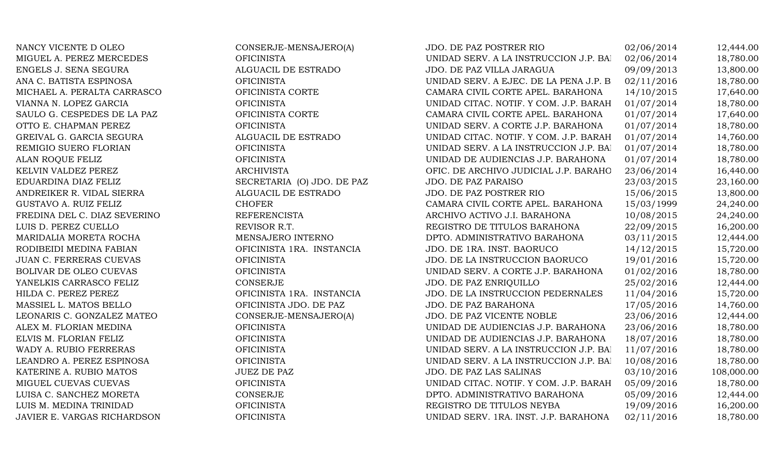NANCY VICENTE D OLEO CONSERJE-MENSAJERO(A) MIGUEL A. PEREZ MERCEDES OFICINISTA ENGELS J. SENA SEGURA ALGUACIL DE ESTRADO ANA C. BATISTA ESPINOSA OFICINISTA UNIDAD SERV. A EJEC. DE LA PENA J.P. BARAHONA 02/11/2016 18,780.00 MICHAEL A. PERALTA CARRASCO OFICINISTA CORTE VIANNA N. LOPEZ GARCIA OFICINISTA SAULO G. CESPEDES DE LA PAZ OFICINISTA CORTE OTTO E. CHAPMAN PEREZ OFICINISTA GREIVAL G. GARCIA SEGURA ALGUACIL DE ESTRADO REMIGIO SUERO FLORIAN OFICINISTA ALAN ROQUE FELIZ OFICINISTA KELVIN VALDEZ PEREZ ARCHIVISTA EDUARDINA DIAZ FELIZ SECRETARIA (O) JDO. DE PAZ ANDREIKER R. VIDAL SIERRA ALGUACIL DE ESTRADO GUSTAVO A. RUIZ FELIZ CHOFER FREDINA DEL C. DIAZ SEVERINO REFERENCISTA LUIS D. PEREZ CUELLO REVISOR R.T. MARIDALIA MORETA ROCHA MENSAJERO INTERNO RODIBEIDI MEDINA FABIAN DE 1999 DE 1999. DE 1999 OFICINISTA 1RA. INSTANCIA JUAN C. FERRERAS CUEVAS OFICINISTA BOLIVAR DE OLEO CUEVAS OFICINISTA YANELKIS CARRASCO FELIZ CONSERJE HILDA C. PEREZ PEREZ **DE LA INSTANCIA** OFICINISTA 1RA. INSTANCIA MASSIEL L. MATOS BELLO OFICINISTA JDO. DE PAZ LEONARIS C. GONZALEZ MATEO CONSERJE-MENSAJERO(A) ALEX M. FLORIAN MEDINA OFICINISTA ELVIS M. FLORIAN FELIZ OFICINISTA WADY A. RUBIO FERRERAS OFICINISTA LEANDRO A. PEREZ ESPINOSA OFICINISTA UNIDAD SERV. A LA INSTRUCCION J.P. BARAHONA 10/08/2016 18,780.00 KATERINE A. RUBIO MATOS **1988** JUEZ DE PAZ MIGUEL CUEVAS CUEVAS OFICINISTA LUISA C. SANCHEZ MORETA CONSERJE LUIS M. MEDINA TRINIDAD OFICINISTA JAVIER E. VARGAS RICHARDSON OFICINISTA

| <b>JDO. DE PAZ POSTRER RIO</b>            | 02/06/2014 | 12,444.00  |
|-------------------------------------------|------------|------------|
| JNIDAD SERV. A LA INSTRUCCION J.P. BAI    | 02/06/2014 | 18,780.00  |
| JDO. DE PAZ VILLA JARAGUA                 | 09/09/2013 | 13,800.00  |
| JNIDAD SERV. A EJEC. DE LA PENA J.P. B    | 02/11/2016 | 18,780.00  |
| CAMARA CIVIL CORTE APEL. BARAHONA         | 14/10/2015 | 17,640.00  |
| JNIDAD CITAC. NOTIF. Y COM. J.P. BARAH    | 01/07/2014 | 18,780.00  |
| CAMARA CIVIL CORTE APEL. BARAHONA         | 01/07/2014 | 17,640.00  |
| <b>JNIDAD SERV. A CORTE J.P. BARAHONA</b> | 01/07/2014 | 18,780.00  |
| UNIDAD CITAC. NOTIF. Y COM. J.P. BARAH    | 01/07/2014 | 14,760.00  |
| JNIDAD SERV. A LA INSTRUCCION J.P. BAI    | 01/07/2014 | 18,780.00  |
| JNIDAD DE AUDIENCIAS J.P. BARAHONA        | 01/07/2014 | 18,780.00  |
| OFIC. DE ARCHIVO JUDICIAL J.P. BARAHO     | 23/06/2014 | 16,440.00  |
| <b>JDO. DE PAZ PARAISO</b>                | 23/03/2015 | 23,160.00  |
| <b>JDO. DE PAZ POSTRER RIO</b>            | 15/06/2015 | 13,800.00  |
| CAMARA CIVIL CORTE APEL. BARAHONA         | 15/03/1999 | 24,240.00  |
| ARCHIVO ACTIVO J.I. BARAHONA              | 10/08/2015 | 24,240.00  |
| REGISTRO DE TITULOS BARAHONA              | 22/09/2015 | 16,200.00  |
| <b>DPTO. ADMINISTRATIVO BARAHONA</b>      | 03/11/2015 | 12,444.00  |
| JDO. DE 1RA. INST. BAORUCO                | 14/12/2015 | 15,720.00  |
| JDO. DE LA INSTRUCCION BAORUCO            | 19/01/2016 | 15,720.00  |
| JNIDAD SERV. A CORTE J.P. BARAHONA        | 01/02/2016 | 18,780.00  |
| JDO. DE PAZ ENRIQUILLO                    | 25/02/2016 | 12,444.00  |
| JDO. DE LA INSTRUCCION PEDERNALES         | 11/04/2016 | 15,720.00  |
| <b>JDO. DE PAZ BARAHONA</b>               | 17/05/2016 | 14,760.00  |
| JDO. DE PAZ VICENTE NOBLE                 | 23/06/2016 | 12,444.00  |
| JNIDAD DE AUDIENCIAS J.P. BARAHONA        | 23/06/2016 | 18,780.00  |
| JNIDAD DE AUDIENCIAS J.P. BARAHONA        | 18/07/2016 | 18,780.00  |
| UNIDAD SERV. A LA INSTRUCCION J.P. BAI    | 11/07/2016 | 18,780.00  |
| JNIDAD SERV. A LA INSTRUCCION J.P. BAI    | 10/08/2016 | 18,780.00  |
| JDO. DE PAZ LAS SALINAS                   | 03/10/2016 | 108,000.00 |
| UNIDAD CITAC. NOTIF. Y COM. J.P. BARAH    | 05/09/2016 | 18,780.00  |
| <b>DPTO. ADMINISTRATIVO BARAHONA</b>      | 05/09/2016 | 12,444.00  |
| REGISTRO DE TITULOS NEYBA                 | 19/09/2016 | 16,200.00  |
| JNIDAD SERV. 1RA. INST. J.P. BARAHONA     | 02/11/2016 | 18,780.00  |
|                                           |            |            |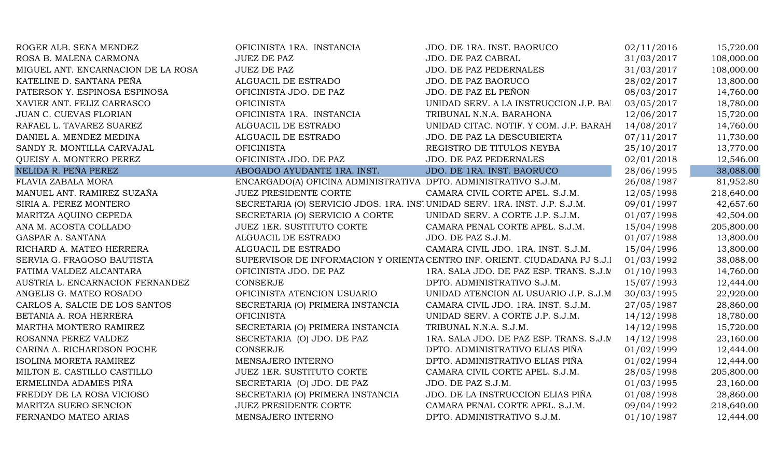| ROGER ALB. SENA MENDEZ             | OFICINISTA 1RA. INSTANCIA                                                   | JDO. DE 1RA. INST. BAORUCO                                                 | 02/11/2016 | 15,720.00  |
|------------------------------------|-----------------------------------------------------------------------------|----------------------------------------------------------------------------|------------|------------|
| ROSA B. MALENA CARMONA             | <b>JUEZ DE PAZ</b>                                                          | JDO. DE PAZ CABRAL                                                         | 31/03/2017 | 108,000.00 |
| MIGUEL ANT. ENCARNACION DE LA ROSA | <b>JUEZ DE PAZ</b>                                                          | JDO. DE PAZ PEDERNALES                                                     | 31/03/2017 | 108,000.00 |
| KATELINE D. SANTANA PEÑA           | ALGUACIL DE ESTRADO                                                         | JDO. DE PAZ BAORUCO                                                        | 28/02/2017 | 13,800.00  |
| PATERSON Y. ESPINOSA ESPINOSA      | OFICINISTA JDO. DE PAZ                                                      | JDO. DE PAZ EL PEÑON                                                       | 08/03/2017 | 14,760.00  |
| XAVIER ANT. FELIZ CARRASCO         | <b>OFICINISTA</b>                                                           | UNIDAD SERV. A LA INSTRUCCION J.P. BAI                                     | 03/05/2017 | 18,780.00  |
| JUAN C. CUEVAS FLORIAN             | OFICINISTA 1RA. INSTANCIA                                                   | TRIBUNAL N.N.A. BARAHONA                                                   | 12/06/2017 | 15,720.00  |
| RAFAEL L. TAVAREZ SUAREZ           | ALGUACIL DE ESTRADO                                                         | UNIDAD CITAC. NOTIF. Y COM. J.P. BARAH                                     | 14/08/2017 | 14,760.00  |
| DANIEL A. MENDEZ MEDINA            | ALGUACIL DE ESTRADO                                                         | JDO. DE PAZ LA DESCUBIERTA                                                 | 07/11/2017 | 11,730.00  |
| SANDY R. MONTILLA CARVAJAL         | <b>OFICINISTA</b>                                                           | REGISTRO DE TITULOS NEYBA                                                  | 25/10/2017 | 13,770.00  |
| QUEISY A. MONTERO PEREZ            | OFICINISTA JDO. DE PAZ                                                      | <b>JDO. DE PAZ PEDERNALES</b>                                              | 02/01/2018 | 12,546.00  |
| NELIDA R. PEÑA PEREZ               | ABOGADO AYUDANTE 1RA. INST.                                                 | JDO. DE 1RA. INST. BAORUCO                                                 | 28/06/1995 | 38,088.00  |
| FLAVIA ZABALA MORA                 | ENCARGADO(A) OFICINA ADMINISTRATIVA DPTO. ADMINISTRATIVO S.J.M.             |                                                                            | 26/08/1987 | 81,952.80  |
| MANUEL ANT. RAMIREZ SUZAÑA         | <b>JUEZ PRESIDENTE CORTE</b>                                                | CAMARA CIVIL CORTE APEL. S.J.M.                                            | 12/05/1998 | 218,640.00 |
| SIRIA A. PEREZ MONTERO             | SECRETARIA (O) SERVICIO JDOS. 1RA. INSI UNIDAD SERV. 1RA. INST. J.P. S.J.M. |                                                                            | 09/01/1997 | 42,657.60  |
| MARITZA AQUINO CEPEDA              | SECRETARIA (O) SERVICIO A CORTE                                             | UNIDAD SERV. A CORTE J.P. S.J.M.                                           | 01/07/1998 | 42,504.00  |
| ANA M. ACOSTA COLLADO              | JUEZ 1ER. SUSTITUTO CORTE                                                   | CAMARA PENAL CORTE APEL. S.J.M.                                            | 15/04/1998 | 205,800.00 |
| GASPAR A. SANTANA                  | ALGUACIL DE ESTRADO                                                         | JDO. DE PAZ S.J.M.                                                         | 01/07/1988 | 13,800.00  |
| RICHARD A. MATEO HERRERA           | ALGUACIL DE ESTRADO                                                         | CAMARA CIVIL JDO. 1RA. INST. S.J.M.                                        | 15/04/1996 | 13,800.00  |
| SERVIA G. FRAGOSO BAUTISTA         |                                                                             | SUPERVISOR DE INFORMACION Y ORIENTA CENTRO INF. ORIENT. CIUDADANA PJ S.J.1 | 01/03/1992 | 38,088.00  |
| FATIMA VALDEZ ALCANTARA            | OFICINISTA JDO. DE PAZ                                                      | 1RA. SALA JDO. DE PAZ ESP. TRANS. S.J.M                                    | 01/10/1993 | 14,760.00  |
| AUSTRIA L. ENCARNACION FERNANDEZ   | <b>CONSERJE</b>                                                             | DPTO. ADMINISTRATIVO S.J.M.                                                | 15/07/1993 | 12,444.00  |
| ANGELIS G. MATEO ROSADO            | OFICINISTA ATENCION USUARIO                                                 | UNIDAD ATENCION AL USUARIO J.P. S.J.M                                      | 30/03/1995 | 22,920.00  |
| CARLOS A. SALCIE DE LOS SANTOS     | SECRETARIA (O) PRIMERA INSTANCIA                                            | CAMARA CIVIL JDO. 1RA. INST. S.J.M.                                        | 27/05/1987 | 28,860.00  |
| BETANIA A. ROA HERRERA             | <b>OFICINISTA</b>                                                           | UNIDAD SERV. A CORTE J.P. S.J.M.                                           | 14/12/1998 | 18,780.00  |
| MARTHA MONTERO RAMIREZ             | SECRETARIA (O) PRIMERA INSTANCIA                                            | TRIBUNAL N.N.A. S.J.M.                                                     | 14/12/1998 | 15,720.00  |
| ROSANNA PEREZ VALDEZ               | SECRETARIA (O) JDO. DE PAZ                                                  | 1RA. SALA JDO. DE PAZ ESP. TRANS. S.J.M                                    | 14/12/1998 | 23,160.00  |
| CARINA A. RICHARDSON POCHE         | <b>CONSERJE</b>                                                             | DPTO. ADMINISTRATIVO ELIAS PIÑA                                            | 01/02/1999 | 12,444.00  |
| ISOLINA MORETA RAMIREZ             | MENSAJERO INTERNO                                                           | DPTO. ADMINISTRATIVO ELIAS PIÑA                                            | 01/02/1994 | 12,444.00  |
| MILTON E. CASTILLO CASTILLO        | <b>JUEZ 1ER. SUSTITUTO CORTE</b>                                            | CAMARA CIVIL CORTE APEL. S.J.M.                                            | 28/05/1998 | 205,800.00 |
| ERMELINDA ADAMES PIÑA              | SECRETARIA (O) JDO. DE PAZ                                                  | JDO. DE PAZ S.J.M.                                                         | 01/03/1995 | 23,160.00  |
| FREDDY DE LA ROSA VICIOSO          | SECRETARIA (O) PRIMERA INSTANCIA                                            | JDO. DE LA INSTRUCCION ELIAS PIÑA                                          | 01/08/1998 | 28,860.00  |
| MARITZA SUERO SENCION              | JUEZ PRESIDENTE CORTE                                                       | CAMARA PENAL CORTE APEL. S.J.M.                                            | 09/04/1992 | 218,640.00 |
| FERNANDO MATEO ARIAS               | MENSAJERO INTERNO                                                           | DPTO. ADMINISTRATIVO S.J.M.                                                | 01/10/1987 | 12,444.00  |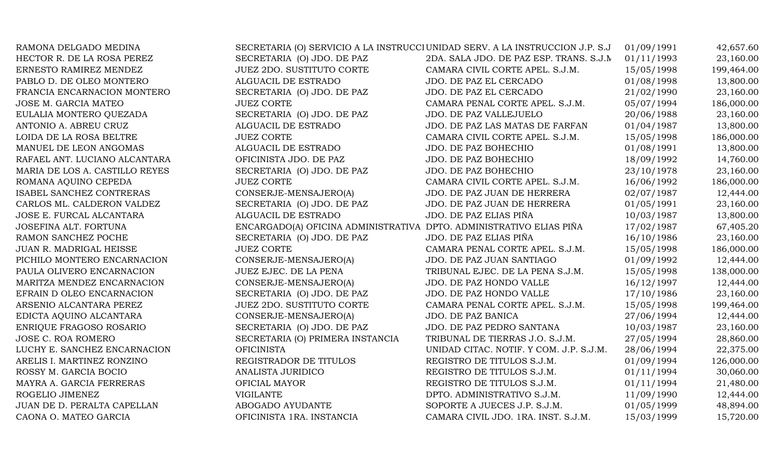| RAMONA DELGADO MEDINA          |                                                                     | SECRETARIA (O) SERVICIO A LA INSTRUCCI UNIDAD SERV. A LA INSTRUCCION J.P. S.J | 01/09/1991 | 42,657.60  |
|--------------------------------|---------------------------------------------------------------------|-------------------------------------------------------------------------------|------------|------------|
| HECTOR R. DE LA ROSA PEREZ     | SECRETARIA (O) JDO. DE PAZ                                          | 2DA. SALA JDO. DE PAZ ESP. TRANS. S.J.M                                       | 01/11/1993 | 23,160.00  |
| ERNESTO RAMIREZ MENDEZ         | <b>JUEZ 2DO. SUSTITUTO CORTE</b>                                    | CAMARA CIVIL CORTE APEL. S.J.M.                                               | 15/05/1998 | 199,464.00 |
| PABLO D. DE OLEO MONTERO       | ALGUACIL DE ESTRADO                                                 | JDO. DE PAZ EL CERCADO                                                        | 01/08/1998 | 13,800.00  |
| FRANCIA ENCARNACION MONTERO    | SECRETARIA (O) JDO. DE PAZ                                          | JDO. DE PAZ EL CERCADO                                                        | 21/02/1990 | 23,160.00  |
| JOSE M. GARCIA MATEO           | <b>JUEZ CORTE</b>                                                   | CAMARA PENAL CORTE APEL. S.J.M.                                               | 05/07/1994 | 186,000.00 |
| EULALIA MONTERO QUEZADA        | SECRETARIA (O) JDO. DE PAZ                                          | JDO. DE PAZ VALLEJUELO                                                        | 20/06/1988 | 23,160.00  |
| ANTONIO A. ABREU CRUZ          | ALGUACIL DE ESTRADO                                                 | JDO. DE PAZ LAS MATAS DE FARFAN                                               | 01/04/1987 | 13,800.00  |
| LOIDA DE LA ROSA BELTRE        | <b>JUEZ CORTE</b>                                                   | CAMARA CIVIL CORTE APEL. S.J.M.                                               | 15/05/1998 | 186,000.00 |
| MANUEL DE LEON ANGOMAS         | ALGUACIL DE ESTRADO                                                 | JDO. DE PAZ BOHECHIO                                                          | 01/08/1991 | 13,800.00  |
| RAFAEL ANT. LUCIANO ALCANTARA  | OFICINISTA JDO. DE PAZ                                              | JDO. DE PAZ BOHECHIO                                                          | 18/09/1992 | 14,760.00  |
| MARIA DE LOS A. CASTILLO REYES | SECRETARIA (O) JDO. DE PAZ                                          | JDO. DE PAZ BOHECHIO                                                          | 23/10/1978 | 23,160.00  |
| ROMANA AQUINO CEPEDA           | <b>JUEZ CORTE</b>                                                   | CAMARA CIVIL CORTE APEL. S.J.M.                                               | 16/06/1992 | 186,000.00 |
| ISABEL SANCHEZ CONTRERAS       | CONSERJE-MENSAJERO(A)                                               | JDO. DE PAZ JUAN DE HERRERA                                                   | 02/07/1987 | 12,444.00  |
| CARLOS ML. CALDERON VALDEZ     | SECRETARIA (O) JDO. DE PAZ                                          | JDO. DE PAZ JUAN DE HERRERA                                                   | 01/05/1991 | 23,160.00  |
| JOSE E. FURCAL ALCANTARA       | ALGUACIL DE ESTRADO                                                 | JDO. DE PAZ ELIAS PIÑA                                                        | 10/03/1987 | 13,800.00  |
| JOSEFINA ALT. FORTUNA          | ENCARGADO(A) OFICINA ADMINISTRATIVA DPTO. ADMINISTRATIVO ELIAS PIÑA |                                                                               | 17/02/1987 | 67,405.20  |
| RAMON SANCHEZ POCHE            | SECRETARIA (O) JDO. DE PAZ                                          | JDO. DE PAZ ELIAS PIÑA                                                        | 16/10/1986 | 23,160.00  |
| JUAN R. MADRIGAL HEISSE        | <b>JUEZ CORTE</b>                                                   | CAMARA PENAL CORTE APEL. S.J.M.                                               | 15/05/1998 | 186,000.00 |
| PICHILO MONTERO ENCARNACION    | CONSERJE-MENSAJERO(A)                                               | JDO. DE PAZ JUAN SANTIAGO                                                     | 01/09/1992 | 12,444.00  |
| PAULA OLIVERO ENCARNACION      | JUEZ EJEC. DE LA PENA                                               | TRIBUNAL EJEC. DE LA PENA S.J.M.                                              | 15/05/1998 | 138,000.00 |
| MARITZA MENDEZ ENCARNACION     | CONSERJE-MENSAJERO(A)                                               | JDO. DE PAZ HONDO VALLE                                                       | 16/12/1997 | 12,444.00  |
| EFRAIN D OLEO ENCARNACION      | SECRETARIA (O) JDO. DE PAZ                                          | JDO. DE PAZ HONDO VALLE                                                       | 17/10/1986 | 23,160.00  |
| ARSENIO ALCANTARA PEREZ        | <b>JUEZ 2DO. SUSTITUTO CORTE</b>                                    | CAMARA PENAL CORTE APEL. S.J.M.                                               | 15/05/1998 | 199,464.00 |
| EDICTA AQUINO ALCANTARA        | CONSERJE-MENSAJERO(A)                                               | JDO. DE PAZ BANICA                                                            | 27/06/1994 | 12,444.00  |
| ENRIQUE FRAGOSO ROSARIO        | SECRETARIA (O) JDO. DE PAZ                                          | JDO. DE PAZ PEDRO SANTANA                                                     | 10/03/1987 | 23,160.00  |
| JOSE C. ROA ROMERO             | SECRETARIA (O) PRIMERA INSTANCIA                                    | TRIBUNAL DE TIERRAS J.O. S.J.M.                                               | 27/05/1994 | 28,860.00  |
| LUCHY E. SANCHEZ ENCARNACION   | <b>OFICINISTA</b>                                                   | UNIDAD CITAC. NOTIF. Y COM. J.P. S.J.M.                                       | 28/06/1994 | 22,375.00  |
| ARELIS I. MARTINEZ RONZINO     | REGISTRADOR DE TITULOS                                              | REGISTRO DE TITULOS S.J.M.                                                    | 01/09/1994 | 126,000.00 |
| ROSSY M. GARCIA BOCIO          | ANALISTA JURIDICO                                                   | REGISTRO DE TITULOS S.J.M.                                                    | 01/11/1994 | 30,060.00  |
| MAYRA A. GARCIA FERRERAS       | OFICIAL MAYOR                                                       | REGISTRO DE TITULOS S.J.M.                                                    | 01/11/1994 | 21,480.00  |
| ROGELIO JIMENEZ                | <b>VIGILANTE</b>                                                    | DPTO. ADMINISTRATIVO S.J.M.                                                   | 11/09/1990 | 12,444.00  |
| JUAN DE D. PERALTA CAPELLAN    | ABOGADO AYUDANTE                                                    | SOPORTE A JUECES J.P. S.J.M.                                                  | 01/05/1999 | 48,894.00  |
| CAONA O. MATEO GARCIA          | OFICINISTA 1RA. INSTANCIA                                           | CAMARA CIVIL JDO. 1RA. INST. S.J.M.                                           | 15/03/1999 | 15,720.00  |
|                                |                                                                     |                                                                               |            |            |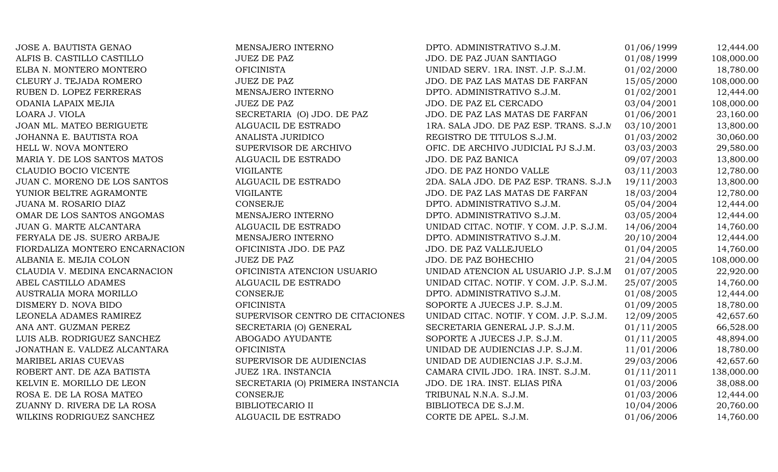JOSE A. BAUTISTA GENAO **MENSAJERO INTERNO** DPTO. ADMINISTRATIVO S.J.M. 01/06/1999 12,444.00 ALFIS B. CASTILLO CASTILLO JUEZ DE PAZ JDO. DE PAZ JUAN SANTIAGO 01/08/1999 108,000.00 ELBA N. MONTERO MONTERO **OFICINISTA** OFICINISTA UNIDAD SERV. 1RA. INST. J.P. S.J.M. 01/02/2000 18,780.00 CLEURY J. TEJADA ROMERO JUEZ DE PAZ JUEZ DE PAZ VERTILES EN SUDO. DE PAZ LAS MATAS DE FARFAN 15/05/2000 108,000.00 RUBEN D. LOPEZ FERRERAS MENSAJERO INTERNO DPTO. ADMINISTRATIVO S.J.M. 01/02/2001 12,444.00 ODANIA LAPAIX MEJIA **JUEZ DE PAZ** JUEZ DE PAZ JOO. DE PAZ EL CERCADO 03/04/2001 108,000.00 LOARA J. VIOLA SECRETARIA (O) JDO. DE PAZ JDO. DE PAZ LAS MATAS DE FARFAN 01/06/2001 23,160.00 JOAN ML. MATEO BERIGUETE ALGUACIL DE ESTRADO 1RA. SALA JDO. DE PAZ ESP. TRANS. S.J.M. 03/10/2001 13,800.00 JOHANNA E. BAUTISTA ROA ANALISTA JURIDICO REGISTRO DE TITULOS S.J.M. 01/03/2002 30,060.00 HELL W. NOVA MONTERO SUPERVISOR DE ARCHIVO OFIC. DE ARCHIVO JUDICIAL PJ S.J.M. 03/03/2003 29.580.00 MARIA Y. DE LOS SANTOS MATOS ALGUACIL DE ESTRADO JDO. DE PAZ BANICA 09/07/2003 13,800.00 CLAUDIO BOCIO VICENTE VIGILANTE VIGILANTE VIGILANTE JDO. DE PAZ HONDO VALLE 03/11/2003 12,780.00 JUAN C. MORENO DE LOS SANTOS ALGUACIL DE ESTRADO 2DA. SALA JDO. DE PAZ ESP. TRANS. S.J.M 19/11/2003 13,800.00 YUNIOR BELTRE AGRAMONTE VIGILANTE JDO. DE PAZ LAS MATAS DE FARFAN 18/03/2004 12,780.00 JUANA M. ROSARIO DIAZ CONSERJE DPTO. ADMINISTRATIVO S.J.M. 05/04/2004 12,444.00 OMAR DE LOS SANTOS ANGOMAS MENSAJERO INTERNO DPTO. ADMINISTRATIVO S.J.M. 03/05/2004 12,444.00 JUAN G. MARTE ALCANTARA ALGUACIL DE ESTRADO UNIDAD CITAC. NOTIF. Y COM. J.P. S.J.M. 14/06/2004 14,760.00 FERYALA DE JS. SUERO ARBAJE MENSAJERO INTERNO DPTO. ADMINISTRATIVO S.J.M. 20/10/2004 12,444.00 FIORDALIZA MONTERO ENCARNACION OFICINISTA JDO. DE PAZ JDO. DE PAZ VALLEJUELO 01/04/2005 14,760.00 ALBANIA E. MEJIA COLON JUEZ DE PAZ JUEZ DE PAZ JUEZ VERENDO DE PAZ BOHECHIO 21/04/2005 108,000.00 CLAUDIA V. MEDINA ENCARNACION OFICINISTA ATENCION USUARIO UNIDAD ATENCION AL USUARIO J.P. S.J.M. 01/07/2005 22,920.00 ABEL CASTILLO ADAMES ALGUACIL DE ESTRADO UNIDAD CITAC. NOTIF. Y COM. J.P. S.J.M. 25/07/2005 14,760.00 AUSTRALIA MORA MORILLO CONSERJE CONSERUE DPTO. ADMINISTRATIVO S.J.M. 01/08/2005 12,444.00 DISMERY D. NOVA BIDO CHUCINISTA OFICINISTA SOPORTE A JUECES J.P. S.J.M. 01/09/2005 18.780.00 LEONELA ADAMES RAMIREZ SUPERVISOR CENTRO DE CITACIONES UNIDAD CITAC. NOTIF. Y COM. J.P. S.J.M. 12/09/2005 42,657.60 ANA ANT. GUZMAN PEREZ SECRETARIA (O) GENERAL SECRETARIA GENERAL J.P. S.J.M. 01/11/2005 66,528.00 LUIS ALB. RODRIGUEZ SANCHEZ ABOGADO AYUDANTE SOPORTE A JUECES J.P. S.J.M. 01/11/2005 48,894.00 JONATHAN E. VALDEZ ALCANTARA OFICINISTA UNIDAD DE AUDIENCIAS J.P. S.J.M. 11/01/2006 18,780.00 MARIBEL ARIAS CUEVAS SUPERVISOR DE AUDIENCIAS UNIDAD DE AUDIENCIAS J.P. S.J.M. 29/03/2006 42,657.60 ROBERT ANT. DE AZA BATISTA  $JUEZ$  1RA. INSTANCIA CAMARA CIVIL JDO. 1RA. INST. S.J.M. 01/11/2011 138,000.00 KELVIN E. MORILLO DE LEON SECRETARIA (O) PRIMERA INSTANCIA JDO. DE 1RA. INST. ELIAS PIÑA 01/03/2006 38,088.00 ROSA E. DE LA ROSA MATEO CONSERJE CONSERUE TRIBUNAL N.N.A. S.J.M. 01/03/2006 12,444.00 ZUANNY D. RIVERA DE LA ROSA BIBLIOTECARIO II BIBLIOTECA DE S.J.M. 10/04/2006 20,760.00 WILKINS RODRIGUEZ SANCHEZ ALGUACIL DE ESTRADO CORTE DE APEL. S.J.M. 01/06/2006 14,760.00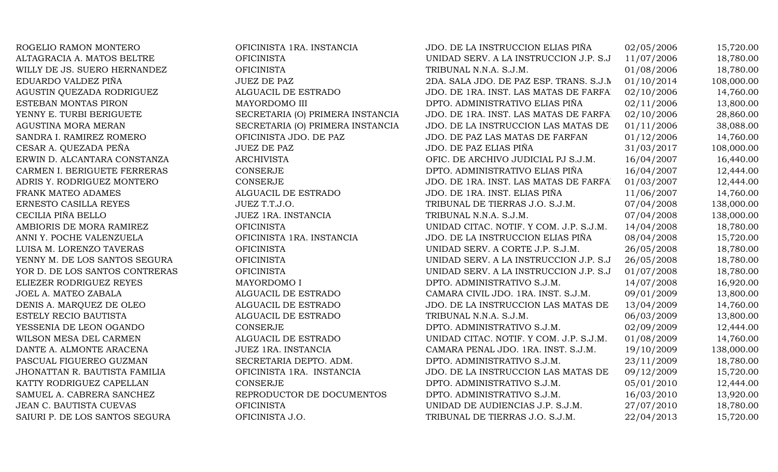| ROGELIO RAMON MONTERO          | OFICINISTA 1RA. INSTANCIA        | JDO. DE LA INSTRUCCION ELIAS PIÑA       | 02/05/2006 | 15,720.00  |
|--------------------------------|----------------------------------|-----------------------------------------|------------|------------|
| ALTAGRACIA A. MATOS BELTRE     | <b>OFICINISTA</b>                | UNIDAD SERV. A LA INSTRUCCION J.P. S.J  | 11/07/2006 | 18,780.00  |
| WILLY DE JS. SUERO HERNANDEZ   | <b>OFICINISTA</b>                | TRIBUNAL N.N.A. S.J.M.                  | 01/08/2006 | 18,780.00  |
| EDUARDO VALDEZ PIÑA            | <b>JUEZ DE PAZ</b>               | 2DA. SALA JDO. DE PAZ ESP. TRANS. S.J.M | 01/10/2014 | 108,000.00 |
| AGUSTIN QUEZADA RODRIGUEZ      | ALGUACIL DE ESTRADO              | JDO. DE 1RA. INST. LAS MATAS DE FARFA.  | 02/10/2006 | 14,760.00  |
| ESTEBAN MONTAS PIRON           | MAYORDOMO III                    | DPTO. ADMINISTRATIVO ELIAS PIÑA         | 02/11/2006 | 13,800.00  |
| YENNY E. TURBI BERIGUETE       | SECRETARIA (O) PRIMERA INSTANCIA | JDO. DE 1RA. INST. LAS MATAS DE FARFA.  | 02/10/2006 | 28,860.00  |
| AGUSTINA MORA MERAN            | SECRETARIA (O) PRIMERA INSTANCIA | JDO. DE LA INSTRUCCION LAS MATAS DE     | 01/11/2006 | 38,088.00  |
| SANDRA I. RAMIREZ ROMERO       | OFICINISTA JDO. DE PAZ           | JDO. DE PAZ LAS MATAS DE FARFAN         | 01/12/2006 | 14,760.00  |
| CESAR A. QUEZADA PEÑA          | <b>JUEZ DE PAZ</b>               | JDO. DE PAZ ELIAS PIÑA                  | 31/03/2017 | 108,000.00 |
| ERWIN D. ALCANTARA CONSTANZA   | <b>ARCHIVISTA</b>                | OFIC. DE ARCHIVO JUDICIAL PJ S.J.M.     | 16/04/2007 | 16,440.00  |
| CARMEN I. BERIGUETE FERRERAS   | <b>CONSERJE</b>                  | DPTO. ADMINISTRATIVO ELIAS PIÑA         | 16/04/2007 | 12,444.00  |
| ADRIS Y. RODRIGUEZ MONTERO     | CONSERJE                         | JDO. DE 1RA. INST. LAS MATAS DE FARFA.  | 01/03/2007 | 12,444.00  |
| FRANK MATEO ADAMES             | ALGUACIL DE ESTRADO              | JDO. DE 1RA. INST. ELIAS PIÑA           | 11/06/2007 | 14,760.00  |
| ERNESTO CASILLA REYES          | JUEZ T.T.J.O.                    | TRIBUNAL DE TIERRAS J.O. S.J.M.         | 07/04/2008 | 138,000.00 |
| CECILIA PIÑA BELLO             | JUEZ 1RA. INSTANCIA              | TRIBUNAL N.N.A. S.J.M.                  | 07/04/2008 | 138,000.00 |
| AMBIORIS DE MORA RAMIREZ       | <b>OFICINISTA</b>                | UNIDAD CITAC. NOTIF. Y COM. J.P. S.J.M. | 14/04/2008 | 18,780.00  |
| ANNI Y. POCHE VALENZUELA       | OFICINISTA 1RA. INSTANCIA        | JDO. DE LA INSTRUCCION ELIAS PIÑA       | 08/04/2008 | 15,720.00  |
| LUISA M. LORENZO TAVERAS       | <b>OFICINISTA</b>                | UNIDAD SERV. A CORTE J.P. S.J.M.        | 26/05/2008 | 18,780.00  |
| YENNY M. DE LOS SANTOS SEGURA  | <b>OFICINISTA</b>                | UNIDAD SERV. A LA INSTRUCCION J.P. S.J  | 26/05/2008 | 18,780.00  |
| YOR D. DE LOS SANTOS CONTRERAS | <b>OFICINISTA</b>                | UNIDAD SERV. A LA INSTRUCCION J.P. S.J  | 01/07/2008 | 18,780.00  |
| ELIEZER RODRIGUEZ REYES        | MAYORDOMO I                      | DPTO. ADMINISTRATIVO S.J.M.             | 14/07/2008 | 16,920.00  |
| JOEL A. MATEO ZABALA           | ALGUACIL DE ESTRADO              | CAMARA CIVIL JDO. 1RA. INST. S.J.M.     | 09/01/2009 | 13,800.00  |
| DENIS A. MARQUEZ DE OLEO       | ALGUACIL DE ESTRADO              | JDO. DE LA INSTRUCCION LAS MATAS DE     | 13/04/2009 | 14,760.00  |
| ESTELY RECIO BAUTISTA          | ALGUACIL DE ESTRADO              | TRIBUNAL N.N.A. S.J.M.                  | 06/03/2009 | 13,800.00  |
| YESSENIA DE LEON OGANDO        | <b>CONSERJE</b>                  | DPTO. ADMINISTRATIVO S.J.M.             | 02/09/2009 | 12,444.00  |
| WILSON MESA DEL CARMEN         | ALGUACIL DE ESTRADO              | UNIDAD CITAC. NOTIF. Y COM. J.P. S.J.M. | 01/08/2009 | 14,760.00  |
| DANTE A. ALMONTE ARACENA       | JUEZ 1RA. INSTANCIA              | CAMARA PENAL JDO. 1RA. INST. S.J.M.     | 19/10/2009 | 138,000.00 |
| PASCUAL FIGUEREO GUZMAN        | SECRETARIA DEPTO. ADM.           | DPTO. ADMINISTRATIVO S.J.M.             | 23/11/2009 | 18,780.00  |
| JHONATTAN R. BAUTISTA FAMILIA  | OFICINISTA 1RA. INSTANCIA        | JDO. DE LA INSTRUCCION LAS MATAS DE     | 09/12/2009 | 15,720.00  |
| KATTY RODRIGUEZ CAPELLAN       | <b>CONSERJE</b>                  | DPTO. ADMINISTRATIVO S.J.M.             | 05/01/2010 | 12,444.00  |
| SAMUEL A. CABRERA SANCHEZ      | REPRODUCTOR DE DOCUMENTOS        | DPTO. ADMINISTRATIVO S.J.M.             | 16/03/2010 | 13,920.00  |
| JEAN C. BAUTISTA CUEVAS        | <b>OFICINISTA</b>                | UNIDAD DE AUDIENCIAS J.P. S.J.M.        | 27/07/2010 | 18,780.00  |
| SAIURI P. DE LOS SANTOS SEGURA | OFICINISTA J.O.                  | TRIBUNAL DE TIERRAS J.O. S.J.M.         | 22/04/2013 | 15,720.00  |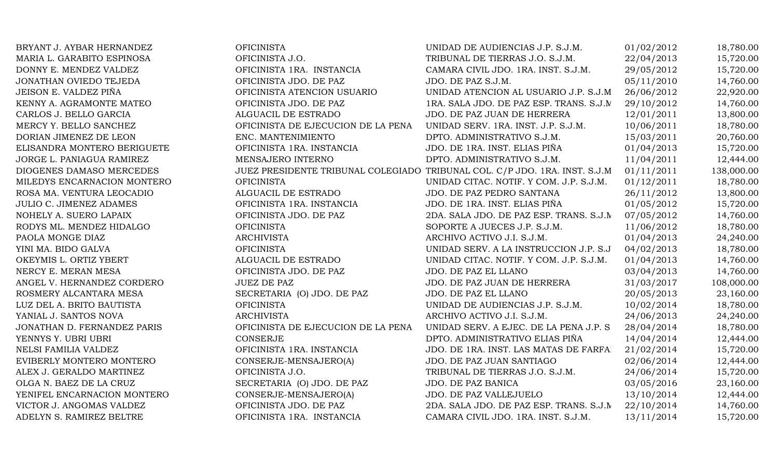| BRYANT J. AYBAR HERNANDEZ   | <b>OFICINISTA</b>                  | UNIDAD DE AUDIENCIAS J.P. S.J.M.                                           | 01/02/2012 | 18,780.00  |
|-----------------------------|------------------------------------|----------------------------------------------------------------------------|------------|------------|
| MARIA L. GARABITO ESPINOSA  | OFICINISTA J.O.                    | TRIBUNAL DE TIERRAS J.O. S.J.M.                                            | 22/04/2013 | 15,720.00  |
| DONNY E. MENDEZ VALDEZ      | OFICINISTA 1RA. INSTANCIA          | CAMARA CIVIL JDO. 1RA. INST. S.J.M.                                        | 29/05/2012 | 15,720.00  |
| JONATHAN OVIEDO TEJEDA      | OFICINISTA JDO. DE PAZ             | JDO. DE PAZ S.J.M.                                                         | 05/11/2010 | 14,760.00  |
| JEISON E. VALDEZ PIÑA       | OFICINISTA ATENCION USUARIO        | UNIDAD ATENCION AL USUARIO J.P. S.J.M                                      | 26/06/2012 | 22,920.00  |
| KENNY A. AGRAMONTE MATEO    | OFICINISTA JDO. DE PAZ             | 1RA. SALA JDO. DE PAZ ESP. TRANS. S.J.M.                                   | 29/10/2012 | 14,760.00  |
| CARLOS J. BELLO GARCIA      | ALGUACIL DE ESTRADO                | JDO. DE PAZ JUAN DE HERRERA                                                | 12/01/2011 | 13,800.00  |
| MERCY Y. BELLO SANCHEZ      | OFICINISTA DE EJECUCION DE LA PENA | UNIDAD SERV. 1RA. INST. J.P. S.J.M.                                        | 10/06/2011 | 18,780.00  |
| DORIAN JIMENEZ DE LEON      | ENC. MANTENIMIENTO                 | DPTO. ADMINISTRATIVO S.J.M.                                                | 15/03/2011 | 20,760.00  |
| ELISANDRA MONTERO BERIGUETE | OFICINISTA 1RA. INSTANCIA          | JDO. DE 1RA. INST. ELIAS PIÑA                                              | 01/04/2013 | 15,720.00  |
| JORGE L. PANIAGUA RAMIREZ   | MENSAJERO INTERNO                  | DPTO. ADMINISTRATIVO S.J.M.                                                | 11/04/2011 | 12,444.00  |
| DIOGENES DAMASO MERCEDES    |                                    | JUEZ PRESIDENTE TRIBUNAL COLEGIADO TRIBUNAL COL. C/P JDO. 1RA. INST. S.J.M | 01/11/2011 | 138,000.00 |
| MILEDYS ENCARNACION MONTERO | <b>OFICINISTA</b>                  | UNIDAD CITAC. NOTIF. Y COM. J.P. S.J.M.                                    | 01/12/2011 | 18,780.00  |
| ROSA MA. VENTURA LEOCADIO   | ALGUACIL DE ESTRADO                | JDO. DE PAZ PEDRO SANTANA                                                  | 26/11/2012 | 13,800.00  |
| JULIO C. JIMENEZ ADAMES     | OFICINISTA 1RA. INSTANCIA          | JDO. DE 1RA. INST. ELIAS PIÑA                                              | 01/05/2012 | 15,720.00  |
| NOHELY A. SUERO LAPAIX      | OFICINISTA JDO. DE PAZ             | 2DA. SALA JDO. DE PAZ ESP. TRANS. S.J.M                                    | 07/05/2012 | 14,760.00  |
| RODYS ML. MENDEZ HIDALGO    | <b>OFICINISTA</b>                  | SOPORTE A JUECES J.P. S.J.M.                                               | 11/06/2012 | 18,780.00  |
| PAOLA MONGE DIAZ            | <b>ARCHIVISTA</b>                  | ARCHIVO ACTIVO J.I. S.J.M.                                                 | 01/04/2013 | 24,240.00  |
| YINI MA. BIDO GALVA         | <b>OFICINISTA</b>                  | UNIDAD SERV. A LA INSTRUCCION J.P. S.J                                     | 04/02/2013 | 18,780.00  |
| OKEYMIS L. ORTIZ YBERT      | ALGUACIL DE ESTRADO                | UNIDAD CITAC. NOTIF. Y COM. J.P. S.J.M.                                    | 01/04/2013 | 14,760.00  |
| NERCY E. MERAN MESA         | OFICINISTA JDO. DE PAZ             | JDO. DE PAZ EL LLANO                                                       | 03/04/2013 | 14,760.00  |
| ANGEL V. HERNANDEZ CORDERO  | <b>JUEZ DE PAZ</b>                 | JDO. DE PAZ JUAN DE HERRERA                                                | 31/03/2017 | 108,000.00 |
| ROSMERY ALCANTARA MESA      | SECRETARIA (O) JDO. DE PAZ         | JDO. DE PAZ EL LLANO                                                       | 20/05/2013 | 23,160.00  |
| LUZ DEL A. BRITO BAUTISTA   | <b>OFICINISTA</b>                  | UNIDAD DE AUDIENCIAS J.P. S.J.M.                                           | 10/02/2014 | 18,780.00  |
| YANIAL J. SANTOS NOVA       | <b>ARCHIVISTA</b>                  | ARCHIVO ACTIVO J.I. S.J.M.                                                 | 24/06/2013 | 24,240.00  |
| JONATHAN D. FERNANDEZ PARIS | OFICINISTA DE EJECUCION DE LA PENA | UNIDAD SERV. A EJEC. DE LA PENA J.P. S.                                    | 28/04/2014 | 18,780.00  |
| YENNYS Y. UBRI UBRI         | <b>CONSERJE</b>                    | DPTO. ADMINISTRATIVO ELIAS PIÑA                                            | 14/04/2014 | 12,444.00  |
| NELSI FAMILIA VALDEZ        | OFICINISTA 1RA. INSTANCIA          | JDO. DE 1RA. INST. LAS MATAS DE FARFA.                                     | 21/02/2014 | 15,720.00  |
| EVIBERLY MONTERO MONTERO    | CONSERJE-MENSAJERO(A)              | JDO. DE PAZ JUAN SANTIAGO                                                  | 02/06/2014 | 12,444.00  |
| ALEX J. GERALDO MARTINEZ    | OFICINISTA J.O.                    | TRIBUNAL DE TIERRAS J.O. S.J.M.                                            | 24/06/2014 | 15,720.00  |
| OLGA N. BAEZ DE LA CRUZ     | SECRETARIA (O) JDO. DE PAZ         | JDO. DE PAZ BANICA                                                         | 03/05/2016 | 23,160.00  |
| YENIFEL ENCARNACION MONTERO | CONSERJE-MENSAJERO(A)              | JDO. DE PAZ VALLEJUELO                                                     | 13/10/2014 | 12,444.00  |
| VICTOR J. ANGOMAS VALDEZ    | OFICINISTA JDO. DE PAZ             | 2DA. SALA JDO. DE PAZ ESP. TRANS. S.J.M                                    | 22/10/2014 | 14,760.00  |
| ADELYN S. RAMIREZ BELTRE    | OFICINISTA 1RA. INSTANCIA          | CAMARA CIVIL JDO. 1RA. INST. S.J.M.                                        | 13/11/2014 | 15,720.00  |
|                             |                                    |                                                                            |            |            |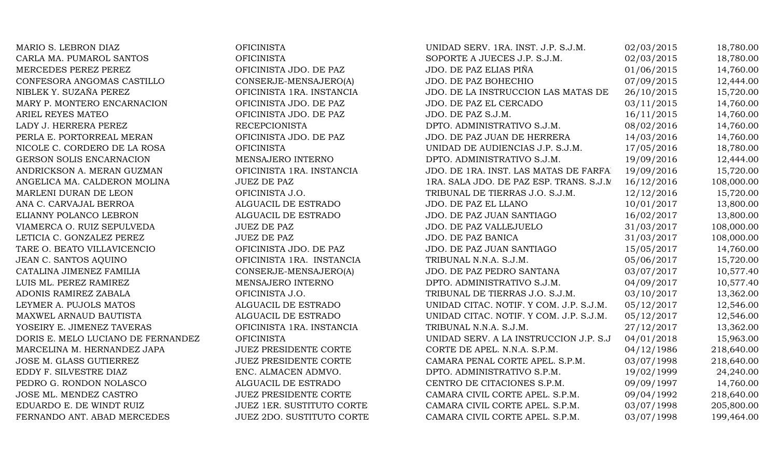MARIO S. LEBRON DIAZ OFICINISTA CARLA MA. PUMAROL SANTOS OFICINISTA MERCEDES PEREZ PEREZ OFICINISTA JDO. DE PAZ CONFESORA ANGOMAS CASTILLO CONSERJE-MENSAJERO(A) NIBLEK Y. SUZAÑA PEREZ OFICINISTA 1RA. INSTANCIA MARY P. MONTERO ENCARNACION OFICINISTA JDO. DE PAZ ARIEL REYES MATEO **OFICINISTA JDO. DE PAZ** LADY J. HERRERA PEREZ RECEPCIONISTA PERLA E. PORTORREAL MERAN OFICINISTA JDO. DE PAZ NICOLE C. CORDERO DE LA ROSA OFICINISTA GERSON SOLIS ENCARNACION MENSAJERO INTERNO ANDRICKSON A. MERAN GUZMAN OFICINISTA 1RA. INSTANCIA ANGELICA MA. CALDERON MOLINA JUEZ DE PAZ MARLENI DURAN DE LEON OFICINISTA J.O. ANA C. CARVAJAL BERROA ALGUACIL DE ESTRADO ELIANNY POLANCO LEBRON ALGUACIL DE ESTRADO VIAMERCA O. RUIZ SEPULVEDA JUEZ DE PAZ LETICIA C. GONZALEZ PEREZ JUEZ DE PAZ TARE O. BEATO VILLAVICENCIO OFICINISTA JDO. DE PAZ JEAN C. SANTOS AQUINO OFICINISTA 1RA. INSTANCIA CATALINA JIMENEZ FAMILIA CONSERJE-MENSAJERO(A) LUIS ML. PEREZ RAMIREZ MENSAJERO INTERNO ADONIS RAMIREZ ZABALA OFICINISTA J.O. LEYMER A. PUJOLS MATOS ALGUACIL DE ESTRADO MAXWEL ARNAUD BAUTISTA ALGUACIL DE ESTRADO YOSEIRY E. JIMENEZ TAVERAS OFICINISTA 1RA. INSTANCIA DORIS E. MELO LUCIANO DE FERNANDEZ OFICINISTA MARCELINA M. HERNANDEZ JAPA JUEZ PRESIDENTE CORTE JOSE M. GLASS GUTIERREZ JUEZ PRESIDENTE CORTE EDDY F. SILVESTRE DIAZ ENC. ALMACEN ADMVO. PEDRO G. RONDON NOLASCO ALGUACIL DE ESTRADO JOSE ML. MENDEZ CASTRO JUEZ PRESIDENTE CORTE EDUARDO E. DE WINDT RUIZ JUEZ 1ER. SUSTITUTO CORTE FERNANDO ANT. ABAD MERCEDES JUEZ 2DO. SUSTITUTO CORTE

| UNIDAD SERV. 1RA. INST. J.P. S.J.M.     | 02/03/2015 | 18,780.00  |
|-----------------------------------------|------------|------------|
| SOPORTE A JUECES J.P. S.J.M.            | 02/03/2015 | 18,780.00  |
| JDO. DE PAZ ELIAS PIÑA                  | 01/06/2015 | 14,760.00  |
| JDO. DE PAZ BOHECHIO                    | 07/09/2015 | 12,444.00  |
| JDO. DE LA INSTRUCCION LAS MATAS DE     | 26/10/2015 | 15,720.00  |
| JDO. DE PAZ EL CERCADO                  | 03/11/2015 | 14,760.00  |
| JDO. DE PAZ S.J.M.                      | 16/11/2015 | 14,760.00  |
| DPTO. ADMINISTRATIVO S.J.M.             | 08/02/2016 | 14,760.00  |
| JDO. DE PAZ JUAN DE HERRERA             | 14/03/2016 | 14,760.00  |
| UNIDAD DE AUDIENCIAS J.P. S.J.M.        | 17/05/2016 | 18,780.00  |
| DPTO. ADMINISTRATIVO S.J.M.             | 19/09/2016 | 12,444.00  |
| JDO. DE 1RA. INST. LAS MATAS DE FARFA.  | 19/09/2016 | 15,720.00  |
| 1RA. SALA JDO. DE PAZ ESP. TRANS. S.J.M | 16/12/2016 | 108,000.00 |
| TRIBUNAL DE TIERRAS J.O. S.J.M.         | 12/12/2016 | 15,720.00  |
| JDO. DE PAZ EL LLANO                    | 10/01/2017 | 13,800.00  |
| JDO. DE PAZ JUAN SANTIAGO               | 16/02/2017 | 13,800.00  |
| JDO. DE PAZ VALLEJUELO                  | 31/03/2017 | 108,000.00 |
| JDO. DE PAZ BANICA                      | 31/03/2017 | 108,000.00 |
| JDO. DE PAZ JUAN SANTIAGO               | 15/05/2017 | 14,760.00  |
| TRIBUNAL N.N.A. S.J.M.                  | 05/06/2017 | 15,720.00  |
| JDO. DE PAZ PEDRO SANTANA               | 03/07/2017 | 10,577.40  |
| DPTO. ADMINISTRATIVO S.J.M.             | 04/09/2017 | 10,577.40  |
| TRIBUNAL DE TIERRAS J.O. S.J.M.         | 03/10/2017 | 13,362.00  |
| UNIDAD CITAC. NOTIF. Y COM. J.P. S.J.M. | 05/12/2017 | 12,546.00  |
| UNIDAD CITAC. NOTIF. Y COM. J.P. S.J.M. | 05/12/2017 | 12,546.00  |
| TRIBUNAL N.N.A. S.J.M.                  | 27/12/2017 | 13,362.00  |
| UNIDAD SERV. A LA INSTRUCCION J.P. S.J  | 04/01/2018 | 15,963.00  |
| CORTE DE APEL. N.N.A. S.P.M.            | 04/12/1986 | 218,640.00 |
| CAMARA PENAL CORTE APEL. S.P.M.         | 03/07/1998 | 218,640.00 |
| DPTO. ADMINISTRATIVO S.P.M.             | 19/02/1999 | 24,240.00  |
| CENTRO DE CITACIONES S.P.M.             | 09/09/1997 | 14,760.00  |
| CAMARA CIVIL CORTE APEL. S.P.M.         | 09/04/1992 | 218,640.00 |
| CAMARA CIVIL CORTE APEL. S.P.M.         | 03/07/1998 | 205,800.00 |
| CAMARA CIVIL CORTE APEL. S.P.M.         | 03/07/1998 | 199,464.00 |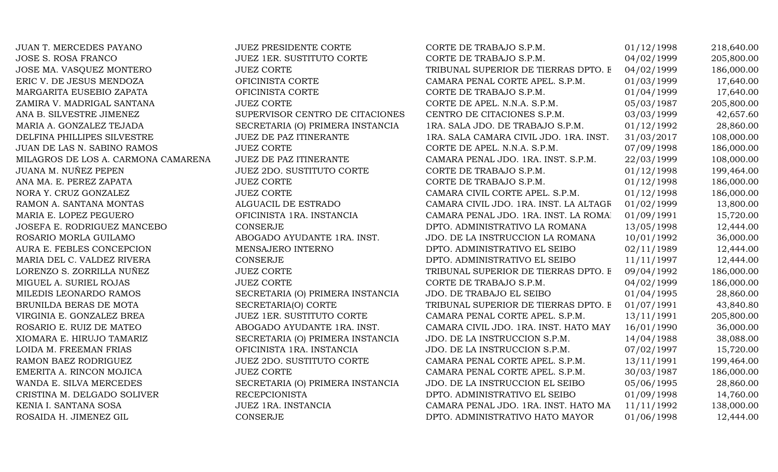| JUAN T. MERCEDES PAYANO             | <b>JUEZ PRESIDENTE CORTE</b>     | CORTE DE TRABAJO S.P.M.                | 01/12/1998 | 218,640.00 |
|-------------------------------------|----------------------------------|----------------------------------------|------------|------------|
| <b>JOSE S. ROSA FRANCO</b>          | JUEZ 1ER. SUSTITUTO CORTE        | CORTE DE TRABAJO S.P.M.                | 04/02/1999 | 205,800.00 |
| JOSE MA. VASQUEZ MONTERO            | <b>JUEZ CORTE</b>                | TRIBUNAL SUPERIOR DE TIERRAS DPTO. E   | 04/02/1999 | 186,000.00 |
| ERIC V. DE JESUS MENDOZA            | OFICINISTA CORTE                 | CAMARA PENAL CORTE APEL. S.P.M.        | 01/03/1999 | 17,640.00  |
| MARGARITA EUSEBIO ZAPATA            | OFICINISTA CORTE                 | CORTE DE TRABAJO S.P.M.                | 01/04/1999 | 17,640.00  |
| ZAMIRA V. MADRIGAL SANTANA          | <b>JUEZ CORTE</b>                | CORTE DE APEL. N.N.A. S.P.M.           | 05/03/1987 | 205,800.00 |
| ANA B. SILVESTRE JIMENEZ            | SUPERVISOR CENTRO DE CITACIONES  | CENTRO DE CITACIONES S.P.M.            | 03/03/1999 | 42,657.60  |
| MARIA A. GONZALEZ TEJADA            | SECRETARIA (O) PRIMERA INSTANCIA | 1RA. SALA JDO. DE TRABAJO S.P.M.       | 01/12/1992 | 28,860.00  |
| DELFINA PHILLIPES SILVESTRE         | JUEZ DE PAZ ITINERANTE           | 1RA. SALA CAMARA CIVIL JDO. 1RA. INST. | 31/03/2017 | 108,000.00 |
| JUAN DE LAS N. SABINO RAMOS         | <b>JUEZ CORTE</b>                | CORTE DE APEL. N.N.A. S.P.M.           | 07/09/1998 | 186,000.00 |
| MILAGROS DE LOS A. CARMONA CAMARENA | JUEZ DE PAZ ITINERANTE           | CAMARA PENAL JDO. 1RA. INST. S.P.M.    | 22/03/1999 | 108,000.00 |
| JUANA M. NUÑEZ PEPEN                | <b>JUEZ 2DO. SUSTITUTO CORTE</b> | CORTE DE TRABAJO S.P.M.                | 01/12/1998 | 199,464.00 |
| ANA MA. E. PEREZ ZAPATA             | <b>JUEZ CORTE</b>                | CORTE DE TRABAJO S.P.M.                | 01/12/1998 | 186,000.00 |
| NORA Y. CRUZ GONZALEZ               | <b>JUEZ CORTE</b>                | CAMARA CIVIL CORTE APEL. S.P.M.        | 01/12/1998 | 186,000.00 |
| RAMON A. SANTANA MONTAS             | ALGUACIL DE ESTRADO              | CAMARA CIVIL JDO. 1RA. INST. LA ALTAGR | 01/02/1999 | 13,800.00  |
| MARIA E. LOPEZ PEGUERO              | OFICINISTA 1RA. INSTANCIA        | CAMARA PENAL JDO. 1RA. INST. LA ROMAI  | 01/09/1991 | 15,720.00  |
| JOSEFA E. RODRIGUEZ MANCEBO         | <b>CONSERJE</b>                  | DPTO. ADMINISTRATIVO LA ROMANA         | 13/05/1998 | 12,444.00  |
| ROSARIO MORLA GUILAMO               | ABOGADO AYUDANTE 1RA. INST.      | JDO. DE LA INSTRUCCION LA ROMANA       | 10/01/1992 | 36,000.00  |
| AURA E. FEBLES CONCEPCION           | MENSAJERO INTERNO                | DPTO. ADMINISTRATIVO EL SEIBO          | 02/11/1989 | 12,444.00  |
| MARIA DEL C. VALDEZ RIVERA          | CONSERJE                         | DPTO. ADMINISTRATIVO EL SEIBO          | 11/11/1997 | 12,444.00  |
| LORENZO S. ZORRILLA NUÑEZ           | <b>JUEZ CORTE</b>                | TRIBUNAL SUPERIOR DE TIERRAS DPTO. E   | 09/04/1992 | 186,000.00 |
| MIGUEL A. SURIEL ROJAS              | <b>JUEZ CORTE</b>                | CORTE DE TRABAJO S.P.M.                | 04/02/1999 | 186,000.00 |
| MILEDIS LEONARDO RAMOS              | SECRETARIA (O) PRIMERA INSTANCIA | JDO. DE TRABAJO EL SEIBO               | 01/04/1995 | 28,860.00  |
| BRUNILDA BERAS DE MOTA              | SECRETARIA(O) CORTE              | TRIBUNAL SUPERIOR DE TIERRAS DPTO. E   | 01/07/1991 | 43,840.80  |
| VIRGINIA E. GONZALEZ BREA           | JUEZ 1ER. SUSTITUTO CORTE        | CAMARA PENAL CORTE APEL. S.P.M.        | 13/11/1991 | 205,800.00 |
| ROSARIO E. RUIZ DE MATEO            | ABOGADO AYUDANTE 1RA. INST.      | CAMARA CIVIL JDO. 1RA. INST. HATO MAY  | 16/01/1990 | 36,000.00  |
| XIOMARA E. HIRUJO TAMARIZ           | SECRETARIA (O) PRIMERA INSTANCIA | JDO. DE LA INSTRUCCION S.P.M.          | 14/04/1988 | 38,088.00  |
| LOIDA M. FREEMAN FRIAS              | OFICINISTA 1RA. INSTANCIA        | JDO. DE LA INSTRUCCION S.P.M.          | 07/02/1997 | 15,720.00  |
| RAMON BAEZ RODRIGUEZ                | <b>JUEZ 2DO. SUSTITUTO CORTE</b> | CAMARA PENAL CORTE APEL. S.P.M.        | 13/11/1991 | 199,464.00 |
| EMERITA A. RINCON MOJICA            | <b>JUEZ CORTE</b>                | CAMARA PENAL CORTE APEL. S.P.M.        | 30/03/1987 | 186,000.00 |
| WANDA E. SILVA MERCEDES             | SECRETARIA (O) PRIMERA INSTANCIA | JDO. DE LA INSTRUCCION EL SEIBO        | 05/06/1995 | 28,860.00  |
| CRISTINA M. DELGADO SOLIVER         | <b>RECEPCIONISTA</b>             | DPTO. ADMINISTRATIVO EL SEIBO          | 01/09/1998 | 14,760.00  |
| KENIA I. SANTANA SOSA               | JUEZ 1RA. INSTANCIA              | CAMARA PENAL JDO. 1RA. INST. HATO MA   | 11/11/1992 | 138,000.00 |
| ROSAIDA H. JIMENEZ GIL              | CONSERJE                         | DPTO. ADMINISTRATIVO HATO MAYOR        | 01/06/1998 | 12,444.00  |
|                                     |                                  |                                        |            |            |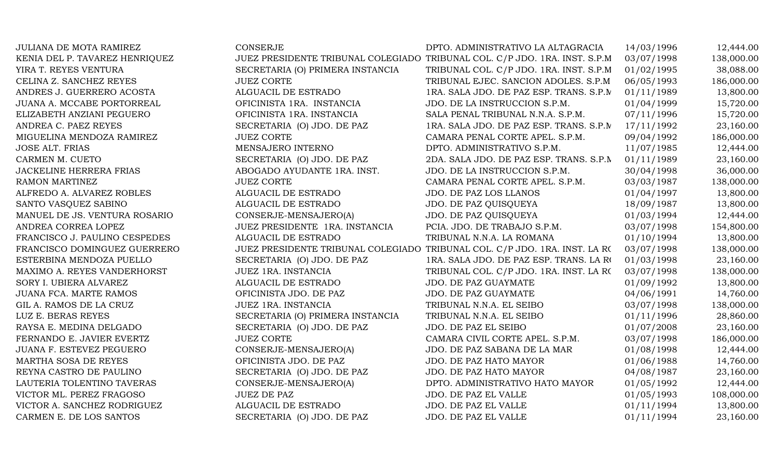| <b>JULIANA DE MOTA RAMIREZ</b> | <b>CONSERJE</b>                  | DPTO. ADMINISTRATIVO LA ALTAGRACIA                                         | 14/03/1996 | 12,444.00  |
|--------------------------------|----------------------------------|----------------------------------------------------------------------------|------------|------------|
| KENIA DEL P. TAVAREZ HENRIQUEZ |                                  | JUEZ PRESIDENTE TRIBUNAL COLEGIADO TRIBUNAL COL. C/P JDO. 1RA. INST. S.P.M | 03/07/1998 | 138,000.00 |
| YIRA T. REYES VENTURA          | SECRETARIA (O) PRIMERA INSTANCIA | TRIBUNAL COL. C/P JDO. 1RA. INST. S.P.M                                    | 01/02/1995 | 38,088.00  |
| CELINA Z. SANCHEZ REYES        | <b>JUEZ CORTE</b>                | TRIBUNAL EJEC. SANCION ADOLES. S.P.M                                       | 06/05/1993 | 186,000.00 |
| ANDRES J. GUERRERO ACOSTA      | ALGUACIL DE ESTRADO              | 1RA. SALA JDO. DE PAZ ESP. TRANS. S.P.M                                    | 01/11/1989 | 13,800.00  |
| JUANA A. MCCABE PORTORREAL     | OFICINISTA 1RA. INSTANCIA        | JDO. DE LA INSTRUCCION S.P.M.                                              | 01/04/1999 | 15,720.00  |
| ELIZABETH ANZIANI PEGUERO      | OFICINISTA 1RA. INSTANCIA        | SALA PENAL TRIBUNAL N.N.A. S.P.M.                                          | 07/11/1996 | 15,720.00  |
| ANDREA C. PAEZ REYES           | SECRETARIA (O) JDO. DE PAZ       | 1RA. SALA JDO. DE PAZ ESP. TRANS. S.P.M                                    | 17/11/1992 | 23,160.00  |
| MIGUELINA MENDOZA RAMIREZ      | <b>JUEZ CORTE</b>                | CAMARA PENAL CORTE APEL. S.P.M.                                            | 09/04/1992 | 186,000.00 |
| <b>JOSE ALT. FRIAS</b>         | MENSAJERO INTERNO                | DPTO. ADMINISTRATIVO S.P.M.                                                | 11/07/1985 | 12,444.00  |
| CARMEN M. CUETO                | SECRETARIA (O) JDO. DE PAZ       | 2DA. SALA JDO. DE PAZ ESP. TRANS. S.P.N                                    | 01/11/1989 | 23,160.00  |
| JACKELINE HERRERA FRIAS        | ABOGADO AYUDANTE 1RA. INST.      | JDO. DE LA INSTRUCCION S.P.M.                                              | 30/04/1998 | 36,000.00  |
| RAMON MARTINEZ                 | <b>JUEZ CORTE</b>                | CAMARA PENAL CORTE APEL. S.P.M.                                            | 03/03/1987 | 138,000.00 |
| ALFREDO A. ALVAREZ ROBLES      | ALGUACIL DE ESTRADO              | JDO. DE PAZ LOS LLANOS                                                     | 01/04/1997 | 13,800.00  |
| SANTO VASQUEZ SABINO           | ALGUACIL DE ESTRADO              | JDO. DE PAZ QUISQUEYA                                                      | 18/09/1987 | 13,800.00  |
| MANUEL DE JS. VENTURA ROSARIO  | CONSERJE-MENSAJERO(A)            | JDO. DE PAZ QUISQUEYA                                                      | 01/03/1994 | 12,444.00  |
| ANDREA CORREA LOPEZ            | JUEZ PRESIDENTE 1RA. INSTANCIA   | PCIA. JDO. DE TRABAJO S.P.M.                                               | 03/07/1998 | 154,800.00 |
| FRANCISCO J. PAULINO CESPEDES  | ALGUACIL DE ESTRADO              | TRIBUNAL N.N.A. LA ROMANA                                                  | 01/10/1994 | 13,800.00  |
| FRANCISCO DOMINGUEZ GUERRERO   |                                  | JUEZ PRESIDENTE TRIBUNAL COLEGIADO TRIBUNAL COL. C/P JDO. 1RA. INST. LA RO | 03/07/1998 | 138,000.00 |
| ESTERBINA MENDOZA PUELLO       | SECRETARIA (O) JDO. DE PAZ       | 1RA. SALA JDO. DE PAZ ESP. TRANS. LA RO                                    | 01/03/1998 | 23,160.00  |
| MAXIMO A. REYES VANDERHORST    | JUEZ 1RA. INSTANCIA              | TRIBUNAL COL. C/P JDO. 1RA. INST. LA RO                                    | 03/07/1998 | 138,000.00 |
| SORY I. UBIERA ALVAREZ         | ALGUACIL DE ESTRADO              | JDO. DE PAZ GUAYMATE                                                       | 01/09/1992 | 13,800.00  |
| JUANA FCA. MARTE RAMOS         | OFICINISTA JDO. DE PAZ           | JDO. DE PAZ GUAYMATE                                                       | 04/06/1991 | 14,760.00  |
| GIL A. RAMOS DE LA CRUZ        | JUEZ 1RA. INSTANCIA              | TRIBUNAL N.N.A. EL SEIBO                                                   | 03/07/1998 | 138,000.00 |
| LUZ E. BERAS REYES             | SECRETARIA (O) PRIMERA INSTANCIA | TRIBUNAL N.N.A. EL SEIBO                                                   | 01/11/1996 | 28,860.00  |
| RAYSA E. MEDINA DELGADO        | SECRETARIA (O) JDO. DE PAZ       | JDO. DE PAZ EL SEIBO                                                       | 01/07/2008 | 23,160.00  |
| FERNANDO E. JAVIER EVERTZ      | <b>JUEZ CORTE</b>                | CAMARA CIVIL CORTE APEL. S.P.M.                                            | 03/07/1998 | 186,000.00 |
| JUANA F. ESTEVEZ PEGUERO       | CONSERJE-MENSAJERO(A)            | JDO. DE PAZ SABANA DE LA MAR                                               | 01/08/1998 | 12,444.00  |
| MARTHA SOSA DE REYES           | OFICINISTA JDO. DE PAZ           | JDO. DE PAZ HATO MAYOR                                                     | 01/06/1988 | 14,760.00  |
| REYNA CASTRO DE PAULINO        | SECRETARIA (O) JDO. DE PAZ       | JDO. DE PAZ HATO MAYOR                                                     | 04/08/1987 | 23,160.00  |
| LAUTERIA TOLENTINO TAVERAS     | CONSERJE-MENSAJERO(A)            | DPTO. ADMINISTRATIVO HATO MAYOR                                            | 01/05/1992 | 12,444.00  |
| VICTOR ML. PEREZ FRAGOSO       | <b>JUEZ DE PAZ</b>               | JDO. DE PAZ EL VALLE                                                       | 01/05/1993 | 108,000.00 |
| VICTOR A. SANCHEZ RODRIGUEZ    | ALGUACIL DE ESTRADO              | JDO. DE PAZ EL VALLE                                                       | 01/11/1994 | 13,800.00  |
| CARMEN E. DE LOS SANTOS        | SECRETARIA (O) JDO. DE PAZ       | JDO. DE PAZ EL VALLE                                                       | 01/11/1994 | 23,160.00  |
|                                |                                  |                                                                            |            |            |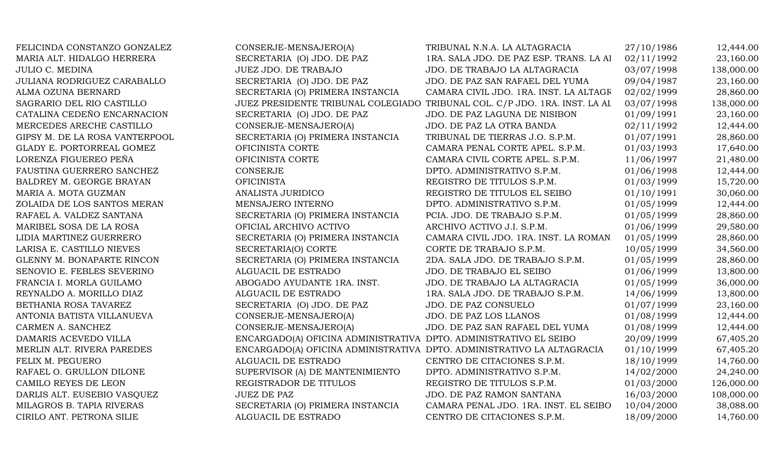| FELICINDA CONSTANZO GONZALEZ   | CONSERJE-MENSAJERO(A)                                                  | TRIBUNAL N.N.A. LA ALTAGRACIA                                              | 27/10/1986 | 12,444.00  |
|--------------------------------|------------------------------------------------------------------------|----------------------------------------------------------------------------|------------|------------|
| MARIA ALT. HIDALGO HERRERA     | SECRETARIA (O) JDO. DE PAZ                                             | 1RA. SALA JDO. DE PAZ ESP. TRANS. LA AI                                    | 02/11/1992 | 23,160.00  |
| <b>JULIO C. MEDINA</b>         | JUEZ JDO. DE TRABAJO                                                   | JDO. DE TRABAJO LA ALTAGRACIA                                              | 03/07/1998 | 138,000.00 |
| JULIANA RODRIGUEZ CARABALLO    | SECRETARIA (O) JDO. DE PAZ                                             | JDO. DE PAZ SAN RAFAEL DEL YUMA                                            | 09/04/1987 | 23,160.00  |
| ALMA OZUNA BERNARD             | SECRETARIA (O) PRIMERA INSTANCIA                                       | CAMARA CIVIL JDO. 1RA. INST. LA ALTAGR                                     | 02/02/1999 | 28,860.00  |
| SAGRARIO DEL RIO CASTILLO      |                                                                        | JUEZ PRESIDENTE TRIBUNAL COLEGIADO TRIBUNAL COL. C/P JDO. 1RA. INST. LA AL | 03/07/1998 | 138,000.00 |
| CATALINA CEDEÑO ENCARNACION    | SECRETARIA (O) JDO. DE PAZ                                             | JDO. DE PAZ LAGUNA DE NISIBON                                              | 01/09/1991 | 23,160.00  |
| MERCEDES ARECHE CASTILLO       | CONSERJE-MENSAJERO(A)                                                  | JDO. DE PAZ LA OTRA BANDA                                                  | 02/11/1992 | 12,444.00  |
| GIPSY M. DE LA ROSA VANTERPOOL | SECRETARIA (O) PRIMERA INSTANCIA                                       | TRIBUNAL DE TIERRAS J.O. S.P.M.                                            | 01/07/1991 | 28,860.00  |
| GLADY E. PORTORREAL GOMEZ      | OFICINISTA CORTE                                                       | CAMARA PENAL CORTE APEL. S.P.M.                                            | 01/03/1993 | 17,640.00  |
| LORENZA FIGUEREO PEÑA          | OFICINISTA CORTE                                                       | CAMARA CIVIL CORTE APEL. S.P.M.                                            | 11/06/1997 | 21,480.00  |
| FAUSTINA GUERRERO SANCHEZ      | CONSERJE                                                               | DPTO. ADMINISTRATIVO S.P.M.                                                | 01/06/1998 | 12,444.00  |
| BALDREY M. GEORGE BRAYAN       | <b>OFICINISTA</b>                                                      | REGISTRO DE TITULOS S.P.M.                                                 | 01/03/1999 | 15,720.00  |
| MARIA A. MOTA GUZMAN           | ANALISTA JURIDICO                                                      | REGISTRO DE TITULOS EL SEIBO                                               | 01/10/1991 | 30,060.00  |
| ZOLAIDA DE LOS SANTOS MERAN    | MENSAJERO INTERNO                                                      | DPTO. ADMINISTRATIVO S.P.M.                                                | 01/05/1999 | 12,444.00  |
| RAFAEL A. VALDEZ SANTANA       | SECRETARIA (O) PRIMERA INSTANCIA                                       | PCIA. JDO. DE TRABAJO S.P.M.                                               | 01/05/1999 | 28,860.00  |
| MARIBEL SOSA DE LA ROSA        | OFICIAL ARCHIVO ACTIVO                                                 | ARCHIVO ACTIVO J.I. S.P.M.                                                 | 01/06/1999 | 29,580.00  |
| LIDIA MARTINEZ GUERRERO        | SECRETARIA (O) PRIMERA INSTANCIA                                       | CAMARA CIVIL JDO. 1RA. INST. LA ROMAN                                      | 01/05/1999 | 28,860.00  |
| LARISA E. CASTILLO NIEVES      | SECRETARIA(O) CORTE                                                    | CORTE DE TRABAJO S.P.M.                                                    | 10/05/1999 | 34,560.00  |
| GLENNY M. BONAPARTE RINCON     | SECRETARIA (O) PRIMERA INSTANCIA                                       | 2DA. SALA JDO. DE TRABAJO S.P.M.                                           | 01/05/1999 | 28,860.00  |
| SENOVIO E. FEBLES SEVERINO     | ALGUACIL DE ESTRADO                                                    | JDO. DE TRABAJO EL SEIBO                                                   | 01/06/1999 | 13,800.00  |
| FRANCIA I. MORLA GUILAMO       | ABOGADO AYUDANTE 1RA. INST.                                            | JDO. DE TRABAJO LA ALTAGRACIA                                              | 01/05/1999 | 36,000.00  |
| REYNALDO A. MORILLO DIAZ       | ALGUACIL DE ESTRADO                                                    | 1RA. SALA JDO. DE TRABAJO S.P.M.                                           | 14/06/1999 | 13,800.00  |
| BETHANIA ROSA TAVAREZ          | SECRETARIA (O) JDO. DE PAZ                                             | JDO. DE PAZ CONSUELO                                                       | 01/07/1999 | 23,160.00  |
| ANTONIA BATISTA VILLANUEVA     | CONSERJE-MENSAJERO(A)                                                  | JDO. DE PAZ LOS LLANOS                                                     | 01/08/1999 | 12,444.00  |
| CARMEN A. SANCHEZ              | CONSERJE-MENSAJERO(A)                                                  | JDO. DE PAZ SAN RAFAEL DEL YUMA                                            | 01/08/1999 | 12,444.00  |
| DAMARIS ACEVEDO VILLA          | ENCARGADO(A) OFICINA ADMINISTRATIVA DPTO. ADMINISTRATIVO EL SEIBO      |                                                                            | 20/09/1999 | 67,405.20  |
| MERLIN ALT. RIVERA PAREDES     | ENCARGADO(A) OFICINA ADMINISTRATIVA DPTO. ADMINISTRATIVO LA ALTAGRACIA |                                                                            | 01/10/1999 | 67,405.20  |
| FELIX M. PEGUERO               | ALGUACIL DE ESTRADO                                                    | CENTRO DE CITACIONES S.P.M.                                                | 18/10/1999 | 14,760.00  |
| RAFAEL O. GRULLON DILONE       | SUPERVISOR (A) DE MANTENIMIENTO                                        | DPTO. ADMINISTRATIVO S.P.M.                                                | 14/02/2000 | 24,240.00  |
| CAMILO REYES DE LEON           | REGISTRADOR DE TITULOS                                                 | REGISTRO DE TITULOS S.P.M.                                                 | 01/03/2000 | 126,000.00 |
| DARLIS ALT. EUSEBIO VASQUEZ    | <b>JUEZ DE PAZ</b>                                                     | JDO. DE PAZ RAMON SANTANA                                                  | 16/03/2000 | 108,000.00 |
| MILAGROS B. TAPIA RIVERAS      | SECRETARIA (O) PRIMERA INSTANCIA                                       | CAMARA PENAL JDO. 1RA. INST. EL SEIBO                                      | 10/04/2000 | 38,088.00  |
| CIRILO ANT. PETRONA SILIE      | ALGUACIL DE ESTRADO                                                    | CENTRO DE CITACIONES S.P.M.                                                | 18/09/2000 | 14,760.00  |
|                                |                                                                        |                                                                            |            |            |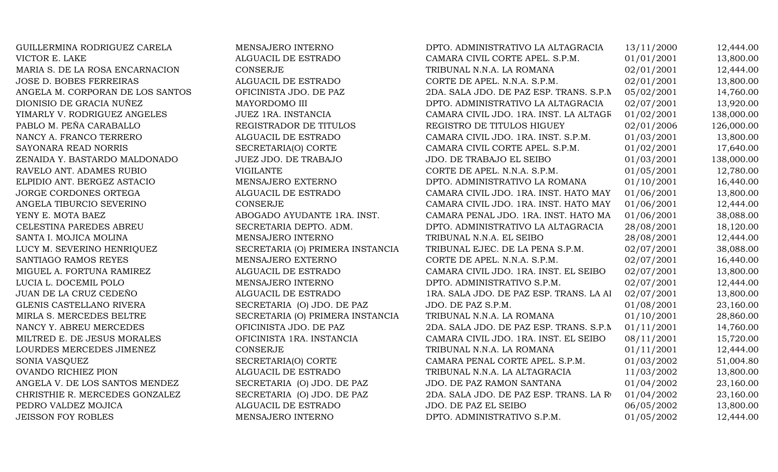| GUILLERMINA RODRIGUEZ CARELA     | MENSAJERO INTERNO                | DPTO. ADMINISTRATIVO LA ALTAGRACIA      | 13/11/2000 | 12,444.00  |
|----------------------------------|----------------------------------|-----------------------------------------|------------|------------|
| VICTOR E. LAKE                   | ALGUACIL DE ESTRADO              | CAMARA CIVIL CORTE APEL. S.P.M.         | 01/01/2001 | 13,800.00  |
| MARIA S. DE LA ROSA ENCARNACION  | <b>CONSERJE</b>                  | TRIBUNAL N.N.A. LA ROMANA               | 02/01/2001 | 12,444.00  |
| <b>JOSE D. BOBES FERREIRAS</b>   | ALGUACIL DE ESTRADO              | CORTE DE APEL. N.N.A. S.P.M.            | 02/01/2001 | 13,800.00  |
| ANGELA M. CORPORAN DE LOS SANTOS | OFICINISTA JDO. DE PAZ           | 2DA. SALA JDO. DE PAZ ESP. TRANS. S.P.M | 05/02/2001 | 14,760.00  |
| DIONISIO DE GRACIA NUÑEZ         | MAYORDOMO III                    | DPTO. ADMINISTRATIVO LA ALTAGRACIA      | 02/07/2001 | 13,920.00  |
| YIMARLY V. RODRIGUEZ ANGELES     | JUEZ 1RA. INSTANCIA              | CAMARA CIVIL JDO. 1RA. INST. LA ALTAGR  | 01/02/2001 | 138,000.00 |
| PABLO M. PEÑA CARABALLO          | REGISTRADOR DE TITULOS           | REGISTRO DE TITULOS HIGUEY              | 02/01/2006 | 126,000.00 |
| NANCY A. FRANCO TERRERO          | ALGUACIL DE ESTRADO              | CAMARA CIVIL JDO. 1RA. INST. S.P.M.     | 01/03/2001 | 13,800.00  |
| SAYONARA READ NORRIS             | SECRETARIA(O) CORTE              | CAMARA CIVIL CORTE APEL. S.P.M.         | 01/02/2001 | 17,640.00  |
| ZENAIDA Y. BASTARDO MALDONADO    | JUEZ JDO. DE TRABAJO             | JDO. DE TRABAJO EL SEIBO                | 01/03/2001 | 138,000.00 |
| RAVELO ANT. ADAMES RUBIO         | <b>VIGILANTE</b>                 | CORTE DE APEL. N.N.A. S.P.M.            | 01/05/2001 | 12,780.00  |
| ELPIDIO ANT. BERGEZ ASTACIO      | MENSAJERO EXTERNO                | DPTO. ADMINISTRATIVO LA ROMANA          | 01/10/2001 | 16,440.00  |
| JORGE CORDONES ORTEGA            | ALGUACIL DE ESTRADO              | CAMARA CIVIL JDO. 1RA. INST. HATO MAY   | 01/06/2001 | 13,800.00  |
| ANGELA TIBURCIO SEVERINO         | <b>CONSERJE</b>                  | CAMARA CIVIL JDO. 1RA. INST. HATO MAY   | 01/06/2001 | 12,444.00  |
| YENY E. MOTA BAEZ                | ABOGADO AYUDANTE 1RA. INST.      | CAMARA PENAL JDO. 1RA. INST. HATO MA    | 01/06/2001 | 38,088.00  |
| CELESTINA PAREDES ABREU          | SECRETARIA DEPTO. ADM.           | DPTO. ADMINISTRATIVO LA ALTAGRACIA      | 28/08/2001 | 18,120.00  |
| SANTA I. MOJICA MOLINA           | MENSAJERO INTERNO                | TRIBUNAL N.N.A. EL SEIBO                | 28/08/2001 | 12,444.00  |
| LUCY M. SEVERINO HENRIQUEZ       | SECRETARIA (O) PRIMERA INSTANCIA | TRIBUNAL EJEC. DE LA PENA S.P.M.        | 02/07/2001 | 38,088.00  |
| SANTIAGO RAMOS REYES             | MENSAJERO EXTERNO                | CORTE DE APEL. N.N.A. S.P.M.            | 02/07/2001 | 16,440.00  |
| MIGUEL A. FORTUNA RAMIREZ        | ALGUACIL DE ESTRADO              | CAMARA CIVIL JDO. 1RA. INST. EL SEIBO   | 02/07/2001 | 13,800.00  |
| LUCIA L. DOCEMIL POLO            | MENSAJERO INTERNO                | DPTO. ADMINISTRATIVO S.P.M.             | 02/07/2001 | 12,444.00  |
| JUAN DE LA CRUZ CEDEÑO           | ALGUACIL DE ESTRADO              | 1RA. SALA JDO. DE PAZ ESP. TRANS. LA AI | 02/07/2001 | 13,800.00  |
| GLENIS CASTELLANO RIVERA         | SECRETARIA (O) JDO. DE PAZ       | JDO. DE PAZ S.P.M.                      | 01/08/2001 | 23,160.00  |
| MIRLA S. MERCEDES BELTRE         | SECRETARIA (O) PRIMERA INSTANCIA | TRIBUNAL N.N.A. LA ROMANA               | 01/10/2001 | 28,860.00  |
| NANCY Y. ABREU MERCEDES          | OFICINISTA JDO. DE PAZ           | 2DA. SALA JDO. DE PAZ ESP. TRANS. S.P.M | 01/11/2001 | 14,760.00  |
| MILTRED E. DE JESUS MORALES      | OFICINISTA 1RA. INSTANCIA        | CAMARA CIVIL JDO. 1RA. INST. EL SEIBO   | 08/11/2001 | 15,720.00  |
| LOURDES MERCEDES JIMENEZ         | <b>CONSERJE</b>                  | TRIBUNAL N.N.A. LA ROMANA               | 01/11/2001 | 12,444.00  |
| SONIA VASQUEZ                    | SECRETARIA(O) CORTE              | CAMARA PENAL CORTE APEL. S.P.M.         | 01/03/2002 | 51,004.80  |
| <b>OVANDO RICHIEZ PION</b>       | ALGUACIL DE ESTRADO              | TRIBUNAL N.N.A. LA ALTAGRACIA           | 11/03/2002 | 13,800.00  |
| ANGELA V. DE LOS SANTOS MENDEZ   | SECRETARIA (O) JDO. DE PAZ       | JDO. DE PAZ RAMON SANTANA               | 01/04/2002 | 23,160.00  |
| CHRISTHIE R. MERCEDES GONZALEZ   | SECRETARIA (O) JDO. DE PAZ       | 2DA. SALA JDO. DE PAZ ESP. TRANS. LA RO | 01/04/2002 | 23,160.00  |
| PEDRO VALDEZ MOJICA              | ALGUACIL DE ESTRADO              | JDO. DE PAZ EL SEIBO                    | 06/05/2002 | 13,800.00  |
| <b>JEISSON FOY ROBLES</b>        | MENSAJERO INTERNO                | DPTO. ADMINISTRATIVO S.P.M.             | 01/05/2002 | 12,444.00  |
|                                  |                                  |                                         |            |            |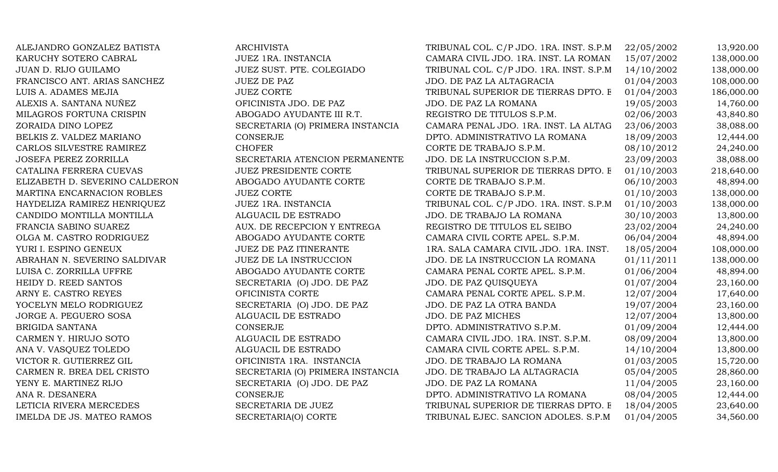| ALEJANDRO GONZALEZ BATISTA     | <b>ARCHIVISTA</b>                | TRIBUNAL COL. C/P JDO. 1RA. INST. S.P.M | 22/05/2002 | 13,920.00  |
|--------------------------------|----------------------------------|-----------------------------------------|------------|------------|
| KARUCHY SOTERO CABRAL          | JUEZ 1RA. INSTANCIA              | CAMARA CIVIL JDO. 1RA. INST. LA ROMAN.  | 15/07/2002 | 138,000.00 |
| JUAN D. RIJO GUILAMO           | JUEZ SUST. PTE. COLEGIADO        | TRIBUNAL COL. C/P JDO. 1RA. INST. S.P.M | 14/10/2002 | 138,000.00 |
| FRANCISCO ANT. ARIAS SANCHEZ   | <b>JUEZ DE PAZ</b>               | JDO. DE PAZ LA ALTAGRACIA               | 01/04/2003 | 108,000.00 |
| LUIS A. ADAMES MEJIA           | <b>JUEZ CORTE</b>                | TRIBUNAL SUPERIOR DE TIERRAS DPTO. E    | 01/04/2003 | 186,000.00 |
| ALEXIS A. SANTANA NUÑEZ        | OFICINISTA JDO. DE PAZ           | JDO. DE PAZ LA ROMANA                   | 19/05/2003 | 14,760.00  |
| MILAGROS FORTUNA CRISPIN       | ABOGADO AYUDANTE III R.T.        | REGISTRO DE TITULOS S.P.M.              | 02/06/2003 | 43,840.80  |
| ZORAIDA DINO LOPEZ             | SECRETARIA (O) PRIMERA INSTANCIA | CAMARA PENAL JDO. 1RA. INST. LA ALTAG   | 23/06/2003 | 38,088.00  |
| BELKIS Z. VALDEZ MARIANO       | CONSERJE                         | DPTO. ADMINISTRATIVO LA ROMANA          | 18/09/2003 | 12,444.00  |
| CARLOS SILVESTRE RAMIREZ       | <b>CHOFER</b>                    | CORTE DE TRABAJO S.P.M.                 | 08/10/2012 | 24,240.00  |
| JOSEFA PEREZ ZORRILLA          | SECRETARIA ATENCION PERMANENTE   | JDO. DE LA INSTRUCCION S.P.M.           | 23/09/2003 | 38,088.00  |
| CATALINA FERRERA CUEVAS        | <b>JUEZ PRESIDENTE CORTE</b>     | TRIBUNAL SUPERIOR DE TIERRAS DPTO. E    | 01/10/2003 | 218,640.00 |
| ELIZABETH D. SEVERINO CALDERON | ABOGADO AYUDANTE CORTE           | CORTE DE TRABAJO S.P.M.                 | 06/10/2003 | 48,894.00  |
| MARTINA ENCARNACION ROBLES     | <b>JUEZ CORTE</b>                | CORTE DE TRABAJO S.P.M.                 | 01/10/2003 | 138,000.00 |
| HAYDELIZA RAMIREZ HENRIQUEZ    | JUEZ 1RA. INSTANCIA              | TRIBUNAL COL. C/P JDO. 1RA. INST. S.P.M | 01/10/2003 | 138,000.00 |
| CANDIDO MONTILLA MONTILLA      | ALGUACIL DE ESTRADO              | JDO. DE TRABAJO LA ROMANA               | 30/10/2003 | 13,800.00  |
| FRANCIA SABINO SUAREZ          | AUX. DE RECEPCION Y ENTREGA      | REGISTRO DE TITULOS EL SEIBO            | 23/02/2004 | 24,240.00  |
| OLGA M. CASTRO RODRIGUEZ       | ABOGADO AYUDANTE CORTE           | CAMARA CIVIL CORTE APEL. S.P.M.         | 06/04/2004 | 48,894.00  |
| YURI I. ESPINO GENEUX          | JUEZ DE PAZ ITINERANTE           | 1RA. SALA CAMARA CIVIL JDO. 1RA. INST.  | 18/05/2004 | 108,000.00 |
| ABRAHAN N. SEVERINO SALDIVAR   | <b>JUEZ DE LA INSTRUCCION</b>    | JDO. DE LA INSTRUCCION LA ROMANA        | 01/11/2011 | 138,000.00 |
| LUISA C. ZORRILLA UFFRE        | ABOGADO AYUDANTE CORTE           | CAMARA PENAL CORTE APEL. S.P.M.         | 01/06/2004 | 48,894.00  |
| HEIDY D. REED SANTOS           | SECRETARIA (O) JDO. DE PAZ       | JDO. DE PAZ QUISQUEYA                   | 01/07/2004 | 23,160.00  |
| ARNY E. CASTRO REYES           | OFICINISTA CORTE                 | CAMARA PENAL CORTE APEL. S.P.M.         | 12/07/2004 | 17,640.00  |
| YOCELYN MELO RODRIGUEZ         | SECRETARIA (O) JDO. DE PAZ       | JDO. DE PAZ LA OTRA BANDA               | 19/07/2004 | 23,160.00  |
| JORGE A. PEGUERO SOSA          | ALGUACIL DE ESTRADO              | JDO. DE PAZ MICHES                      | 12/07/2004 | 13,800.00  |
| BRIGIDA SANTANA                | <b>CONSERJE</b>                  | DPTO. ADMINISTRATIVO S.P.M.             | 01/09/2004 | 12,444.00  |
| CARMEN Y. HIRUJO SOTO          | ALGUACIL DE ESTRADO              | CAMARA CIVIL JDO. 1RA. INST. S.P.M.     | 08/09/2004 | 13,800.00  |
| ANA V. VASQUEZ TOLEDO          | ALGUACIL DE ESTRADO              | CAMARA CIVIL CORTE APEL. S.P.M.         | 14/10/2004 | 13,800.00  |
| VICTOR R. GUTIERREZ GIL        | OFICINISTA 1RA. INSTANCIA        | JDO. DE TRABAJO LA ROMANA               | 01/03/2005 | 15,720.00  |
| CARMEN R. BREA DEL CRISTO      | SECRETARIA (O) PRIMERA INSTANCIA | JDO. DE TRABAJO LA ALTAGRACIA           | 05/04/2005 | 28,860.00  |
| YENY E. MARTINEZ RIJO          | SECRETARIA (O) JDO. DE PAZ       | JDO. DE PAZ LA ROMANA                   | 11/04/2005 | 23,160.00  |
| ANA R. DESANERA                | CONSERJE                         | DPTO. ADMINISTRATIVO LA ROMANA          | 08/04/2005 | 12,444.00  |
| LETICIA RIVERA MERCEDES        | SECRETARIA DE JUEZ               | TRIBUNAL SUPERIOR DE TIERRAS DPTO. E    | 18/04/2005 | 23,640.00  |
| IMELDA DE JS. MATEO RAMOS      | SECRETARIA(O) CORTE              | TRIBUNAL EJEC. SANCION ADOLES. S.P.M    | 01/04/2005 | 34,560.00  |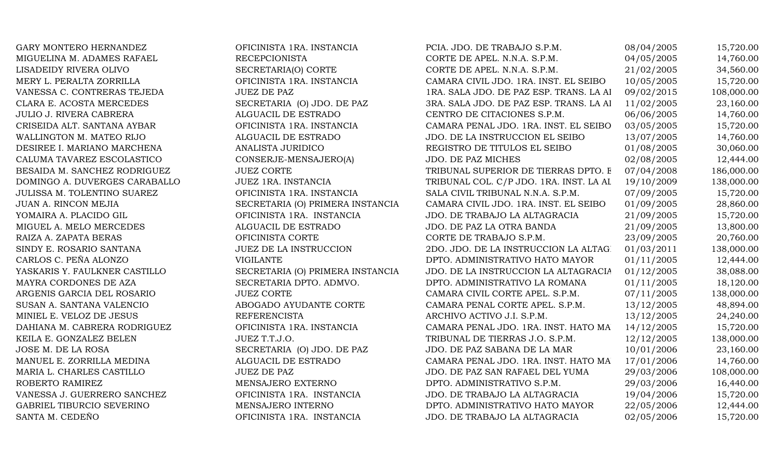GARY MONTERO HERNANDEZ **OFICINISTA 1RA. INSTANCIA** PCIA. JDO. DE TRABAJO S.P.M. 08/04/2005 15,720.00 MIGUELINA M. ADAMES RAFAEL RECEPCIONISTA RECEPCIONISTA CORTE DE APEL. N.N.A. S.P.M. 04/05/2005 14,760.00 LISADEIDY RIVERA OLIVO SECRETARIA(O) CORTE CORTE CORTE DE APEL. N.N.A. S.P.M. 21/02/2005 34,560.00 MERY L. PERALTA ZORRILLA OFICINISTA 1RA. INSTANCIA CAMARA CIVIL JDO. 1RA. INST. EL SEIBO 10/05/2005 15,720.00 VANESSA C. CONTRERAS TEJEDA JUEZ DE PAZ 1882 1RA. SALA JDO. DE PAZ ESP. TRANS. LA ALTAGRACIA 108,000.00 CLARA E. ACOSTA MERCEDES SECRETARIA (O) JDO. DE PAZ 3RA. SALA JDO. DE PAZ ESP. TRANS. LA ALTAGRACIA 11/02/2005 23,160.00 JULIO J. RIVERA CABRERA ALGUACIL DE ESTRADO CENTRO DE CITACIONES S.P.M. 06/06/2005 14,760.00 CRISEIDA ALT. SANTANA AYBAR OFICINISTA 1RA. INSTANCIA CAMARA PENAL JDO. 1RA. INST. EL SEIBO 03/05/2005 15,720.00 WALLINGTON M. MATEO RIJO **ALGUACIL DE ESTRADO** JDO. DE LA INSTRUCCION EL SEIBO 13/07/2005 14,760.00 DESIREE I. MARIANO MARCHENA ANALISTA JURIDICO REGISTRO DE TITULOS EL SEIBO 01/08/2005 30,060.00 CALUMA TAVAREZ ESCOLASTICO CONSERJE-MENSAJERO(A) JDO. DE PAZ MICHES 02/08/2005 12,444.00 BESAIDA M. SANCHEZ RODRIGUEZ JUEZ CORTE TRIBUNAL SUPERIOR DE TIERRAS DPTO. E 07/04/2008 186,000.00 DOMINGO A. DUVERGES CARABALLO JUEZ 1RA. INSTANCIA TRIBUNAL COL. C/P JDO. 1RA. INST. LA AL 19/10/2009 138,000.00 JULISSA M. TOLENTINO SUAREZ OFICINISTA 1RA. INSTANCIA SALA CIVIL TRIBUNAL N.N.A. S.P.M. 07/09/2005 15,720.00 JUAN A. RINCON MEJIA SECRETARIA (O) PRIMERA INSTANCIA CAMARA CIVIL JDO. 1RA. INST. EL SEIBO 01/09/2005 28,860.00 YOMAIRA A. PLACIDO GIL **OFICINISTA 1RA. INSTANCIA** JDO. DE TRABAJO LA ALTAGRACIA 21/09/2005 15,720.00 MIGUEL A. MELO MERCEDES ALGUACIL DE ESTRADO JDO. DE PAZ LA OTRA BANDA 21/09/2005 13,800.00 RAIZA A. ZAPATA BERAS CORTE OFICINISTA CORTE CORTE DE TRABAJO S.P.M. 23/09/2005 20.760.00 SINDY E. ROSARIO SANTANA JUEZ DE LA INSTRUCCION 2DO. JDO. DE LA INSTRUCCION LA ALTAGRACIAO 1/03/2011 138,000.00 CARLOS C. PEÑA ALONZO VIGILANTE VIGILANTE DPTO. ADMINISTRATIVO HATO MAYOR 01/11/2005 12,444.00 YASKARIS Y. FAULKNER CASTILLO SECRETARIA (O) PRIMERA INSTANCIA JDO. DE LA INSTRUCCION LA ALTAGRACIA 01/12/2005 38,088.00 MAYRA CORDONES DE AZA SECRETARIA DPTO. ADMVO. DPTO. ADMINISTRATIVO LA ROMANA 01/11/2005 18,120.00 ARGENIS GARCIA DEL ROSARIO JUEZ CORTE CAMARA CIVIL CORTE APEL. S.P.M. 07/11/2005 138,000.00 SUSAN A. SANTANA VALENCIO  $\qquad \qquad \text{ABOGADO AYUDANTE CORTE}$  CAMARA PENAL CORTE APEL. S.P.M.  $\qquad \qquad 13/12/2005$  48,894.00 MINIEL E. VELOZ DE JESUS REFERENCISTA REFERENCISTA ARCHIVO ACTIVO J.I. S.P.M. 13/12/2005 24,240.00 DAHIANA M. CABRERA RODRIGUEZ OFICINISTA 1RA. INSTANCIA CAMARA PENAL JDO. 1RA. INST. HATO MA 14/12/2005 15,720.00 KEILA E. GONZALEZ BELEN JUEZ T.T.J.O. TRIBUNAL DE TIERRAS J.O. S.P.M. 12/12/2005 138,000.00 JOSE M. DE LA ROSA SECRETARIA (O) JDO. DE PAZ JDO. DE PAZ SABANA DE LA MAR 10/01/2006 23,160.00 MANUEL E. ZORRILLA MEDINA ALGUACIL DE ESTRADO CAMARA PENAL JDO. 1RA. INST. HATO MA 17/01/2006 14,760.00 MARIA L. CHARLES CASTILLO JUEZ DE PAZ JUEZ DE PAZ JDO. DE PAZ SAN RAFAEL DEL YUMA 29/03/2006 108,000.00 ROBERTO RAMIREZ **MENSAJERO EXTERNO** DPTO. ADMINISTRATIVO S.P.M. 29/03/2006 16,440.00 VANESSA J. GUERRERO SANCHEZ OFICINISTA 1RA. INSTANCIA JDO. DE TRABAJO LA ALTAGRACIA 19/04/2006 15,720.00 GABRIEL TIBURCIO SEVERINO **MENSAJERO INTERNO** DPTO. ADMINISTRATIVO HATO MAYOR 22/05/2006 12,444.00 SANTA M. CEDEÑO OFICINISTA 1RA. INSTANCIA JDO. DE TRABAJO LA ALTAGRACIA 02/05/2006 15,720.00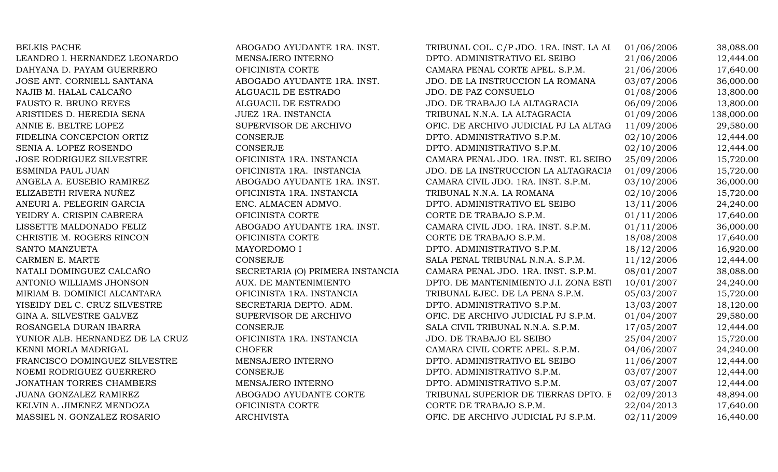| <b>BELKIS PACHE</b>              | ABOGADO AYUDANTE 1RA. INST.      | TRIBUNAL COL. C/P JDO. 1RA. INST. LA AL | 01/06/2006 | 38,088.00  |
|----------------------------------|----------------------------------|-----------------------------------------|------------|------------|
| LEANDRO I. HERNANDEZ LEONARDO    | MENSAJERO INTERNO                | DPTO. ADMINISTRATIVO EL SEIBO           | 21/06/2006 | 12,444.00  |
| DAHYANA D. PAYAM GUERRERO        | OFICINISTA CORTE                 | CAMARA PENAL CORTE APEL. S.P.M.         | 21/06/2006 | 17,640.00  |
| JOSE ANT. CORNIELL SANTANA       | ABOGADO AYUDANTE 1RA. INST.      | JDO. DE LA INSTRUCCION LA ROMANA        | 03/07/2006 | 36,000.00  |
| NAJIB M. HALAL CALCAÑO           | ALGUACIL DE ESTRADO              | JDO. DE PAZ CONSUELO                    | 01/08/2006 | 13,800.00  |
| FAUSTO R. BRUNO REYES            | ALGUACIL DE ESTRADO              | JDO. DE TRABAJO LA ALTAGRACIA           | 06/09/2006 | 13,800.00  |
| ARISTIDES D. HEREDIA SENA        | JUEZ 1RA. INSTANCIA              | TRIBUNAL N.N.A. LA ALTAGRACIA           | 01/09/2006 | 138,000.00 |
| ANNIE E. BELTRE LOPEZ            | SUPERVISOR DE ARCHIVO            | OFIC. DE ARCHIVO JUDICIAL PJ LA ALTAG   | 11/09/2006 | 29,580.00  |
| FIDELINA CONCEPCION ORTIZ        | CONSERJE                         | DPTO. ADMINISTRATIVO S.P.M.             | 02/10/2006 | 12,444.00  |
| SENIA A. LOPEZ ROSENDO           | <b>CONSERJE</b>                  | DPTO. ADMINISTRATIVO S.P.M.             | 02/10/2006 | 12,444.00  |
| <b>JOSE RODRIGUEZ SILVESTRE</b>  | OFICINISTA 1RA. INSTANCIA        | CAMARA PENAL JDO. 1RA. INST. EL SEIBO   | 25/09/2006 | 15,720.00  |
| ESMINDA PAUL JUAN                | OFICINISTA 1RA. INSTANCIA        | JDO. DE LA INSTRUCCION LA ALTAGRACIA    | 01/09/2006 | 15,720.00  |
| ANGELA A. EUSEBIO RAMIREZ        | ABOGADO AYUDANTE 1RA. INST.      | CAMARA CIVIL JDO. 1RA. INST. S.P.M.     | 03/10/2006 | 36,000.00  |
| ELIZABETH RIVERA NUÑEZ           | OFICINISTA 1RA. INSTANCIA        | TRIBUNAL N.N.A. LA ROMANA               | 02/10/2006 | 15,720.00  |
| ANEURI A. PELEGRIN GARCIA        | ENC. ALMACEN ADMVO.              | DPTO. ADMINISTRATIVO EL SEIBO           | 13/11/2006 | 24,240.00  |
| YEIDRY A. CRISPIN CABRERA        | OFICINISTA CORTE                 | CORTE DE TRABAJO S.P.M.                 | 01/11/2006 | 17,640.00  |
| LISSETTE MALDONADO FELIZ         | ABOGADO AYUDANTE 1RA. INST.      | CAMARA CIVIL JDO. 1RA. INST. S.P.M.     | 01/11/2006 | 36,000.00  |
| CHRISTIE M. ROGERS RINCON        | OFICINISTA CORTE                 | CORTE DE TRABAJO S.P.M.                 | 18/08/2008 | 17,640.00  |
| SANTO MANZUETA                   | MAYORDOMO I                      | DPTO. ADMINISTRATIVO S.P.M.             | 18/12/2006 | 16,920.00  |
| CARMEN E. MARTE                  | <b>CONSERJE</b>                  | SALA PENAL TRIBUNAL N.N.A. S.P.M.       | 11/12/2006 | 12,444.00  |
| NATALI DOMINGUEZ CALCAÑO         | SECRETARIA (O) PRIMERA INSTANCIA | CAMARA PENAL JDO. 1RA. INST. S.P.M.     | 08/01/2007 | 38,088.00  |
| ANTONIO WILLIAMS JHONSON         | AUX. DE MANTENIMIENTO            | DPTO. DE MANTENIMIENTO J.I. ZONA ESTI   | 10/01/2007 | 24,240.00  |
| MIRIAM B. DOMINICI ALCANTARA     | OFICINISTA 1RA. INSTANCIA        | TRIBUNAL EJEC. DE LA PENA S.P.M.        | 05/03/2007 | 15,720.00  |
| YISEIDY DEL C. CRUZ SILVESTRE    | SECRETARIA DEPTO. ADM.           | DPTO. ADMINISTRATIVO S.P.M.             | 13/03/2007 | 18,120.00  |
| GINA A. SILVESTRE GALVEZ         | SUPERVISOR DE ARCHIVO            | OFIC. DE ARCHIVO JUDICIAL PJ S.P.M.     | 01/04/2007 | 29,580.00  |
| ROSANGELA DURAN IBARRA           | <b>CONSERJE</b>                  | SALA CIVIL TRIBUNAL N.N.A. S.P.M.       | 17/05/2007 | 12,444.00  |
| YUNIOR ALB. HERNANDEZ DE LA CRUZ | OFICINISTA 1RA. INSTANCIA        | JDO. DE TRABAJO EL SEIBO                | 25/04/2007 | 15,720.00  |
| KENNI MORLA MADRIGAL             | <b>CHOFER</b>                    | CAMARA CIVIL CORTE APEL. S.P.M.         | 04/06/2007 | 24,240.00  |
| FRANCISCO DOMINGUEZ SILVESTRE    | MENSAJERO INTERNO                | DPTO. ADMINISTRATIVO EL SEIBO           | 11/06/2007 | 12,444.00  |
| NOEMI RODRIGUEZ GUERRERO         | <b>CONSERJE</b>                  | DPTO. ADMINISTRATIVO S.P.M.             | 03/07/2007 | 12,444.00  |
| JONATHAN TORRES CHAMBERS         | MENSAJERO INTERNO                | DPTO. ADMINISTRATIVO S.P.M.             | 03/07/2007 | 12,444.00  |
| JUANA GONZALEZ RAMIREZ           | ABOGADO AYUDANTE CORTE           | TRIBUNAL SUPERIOR DE TIERRAS DPTO. E    | 02/09/2013 | 48,894.00  |
| KELVIN A. JIMENEZ MENDOZA        | OFICINISTA CORTE                 | CORTE DE TRABAJO S.P.M.                 | 22/04/2013 | 17,640.00  |
| MASSIEL N. GONZALEZ ROSARIO      | <b>ARCHIVISTA</b>                | OFIC. DE ARCHIVO JUDICIAL PJ S.P.M.     | 02/11/2009 | 16,440.00  |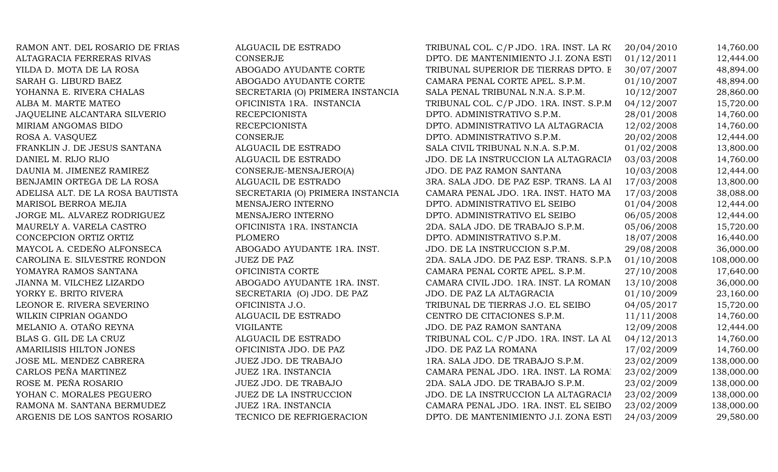| RAMON ANT. DEL ROSARIO DE FRIAS  | ALGUACIL DE ESTRADO              | TRIBUNAL COL. C/P JDO. 1RA. INST. LA RO | 20/04/2010 | 14,760.00  |
|----------------------------------|----------------------------------|-----------------------------------------|------------|------------|
| ALTAGRACIA FERRERAS RIVAS        | <b>CONSERJE</b>                  | DPTO. DE MANTENIMIENTO J.I. ZONA ESTI   | 01/12/2011 | 12,444.00  |
| YILDA D. MOTA DE LA ROSA         | ABOGADO AYUDANTE CORTE           | TRIBUNAL SUPERIOR DE TIERRAS DPTO. E    | 30/07/2007 | 48,894.00  |
| SARAH G. LIBURD BAEZ             | ABOGADO AYUDANTE CORTE           | CAMARA PENAL CORTE APEL. S.P.M.         | 01/10/2007 | 48,894.00  |
| YOHANNA E. RIVERA CHALAS         | SECRETARIA (O) PRIMERA INSTANCIA | SALA PENAL TRIBUNAL N.N.A. S.P.M.       | 10/12/2007 | 28,860.00  |
| ALBA M. MARTE MATEO              | OFICINISTA 1RA. INSTANCIA        | TRIBUNAL COL. C/P JDO. 1RA. INST. S.P.M | 04/12/2007 | 15,720.00  |
| JAQUELINE ALCANTARA SILVERIO     | <b>RECEPCIONISTA</b>             | DPTO. ADMINISTRATIVO S.P.M.             | 28/01/2008 | 14,760.00  |
| MIRIAM ANGOMAS BIDO              | <b>RECEPCIONISTA</b>             | DPTO. ADMINISTRATIVO LA ALTAGRACIA      | 12/02/2008 | 14,760.00  |
| ROSA A. VASQUEZ                  | <b>CONSERJE</b>                  | DPTO. ADMINISTRATIVO S.P.M.             | 20/02/2008 | 12,444.00  |
| FRANKLIN J. DE JESUS SANTANA     | ALGUACIL DE ESTRADO              | SALA CIVIL TRIBUNAL N.N.A. S.P.M.       | 01/02/2008 | 13,800.00  |
| DANIEL M. RIJO RIJO              | ALGUACIL DE ESTRADO              | JDO. DE LA INSTRUCCION LA ALTAGRACIA    | 03/03/2008 | 14,760.00  |
| DAUNIA M. JIMENEZ RAMIREZ        | CONSERJE-MENSAJERO(A)            | JDO. DE PAZ RAMON SANTANA               | 10/03/2008 | 12,444.00  |
| BENJAMIN ORTEGA DE LA ROSA       | ALGUACIL DE ESTRADO              | 3RA. SALA JDO. DE PAZ ESP. TRANS. LA AI | 17/03/2008 | 13,800.00  |
| ADELISA ALT. DE LA ROSA BAUTISTA | SECRETARIA (O) PRIMERA INSTANCIA | CAMARA PENAL JDO. 1RA. INST. HATO MA    | 17/03/2008 | 38,088.00  |
| MARISOL BERROA MEJIA             | MENSAJERO INTERNO                | DPTO. ADMINISTRATIVO EL SEIBO           | 01/04/2008 | 12,444.00  |
| JORGE ML. ALVAREZ RODRIGUEZ      | MENSAJERO INTERNO                | DPTO. ADMINISTRATIVO EL SEIBO           | 06/05/2008 | 12,444.00  |
| MAURELY A. VARELA CASTRO         | OFICINISTA 1RA. INSTANCIA        | 2DA. SALA JDO. DE TRABAJO S.P.M.        | 05/06/2008 | 15,720.00  |
| CONCEPCION ORTIZ ORTIZ           | PLOMERO                          | DPTO. ADMINISTRATIVO S.P.M.             | 18/07/2008 | 16,440.00  |
| MAYCOL A. CEDEÑO ALFONSECA       | ABOGADO AYUDANTE 1RA. INST.      | JDO. DE LA INSTRUCCION S.P.M.           | 29/08/2008 | 36,000.00  |
| CAROLINA E. SILVESTRE RONDON     | <b>JUEZ DE PAZ</b>               | 2DA. SALA JDO. DE PAZ ESP. TRANS. S.P.N | 01/10/2008 | 108,000.00 |
| YOMAYRA RAMOS SANTANA            | OFICINISTA CORTE                 | CAMARA PENAL CORTE APEL. S.P.M.         | 27/10/2008 | 17,640.00  |
| JIANNA M. VILCHEZ LIZARDO        | ABOGADO AYUDANTE 1RA. INST.      | CAMARA CIVIL JDO. 1RA. INST. LA ROMAN   | 13/10/2008 | 36,000.00  |
| YORKY E. BRITO RIVERA            | SECRETARIA (O) JDO. DE PAZ       | JDO. DE PAZ LA ALTAGRACIA               | 01/10/2009 | 23,160.00  |
| LEONOR E. RIVERA SEVERINO        | OFICINISTA J.O.                  | TRIBUNAL DE TIERRAS J.O. EL SEIBO       | 04/05/2017 | 15,720.00  |
| WILKIN CIPRIAN OGANDO            | ALGUACIL DE ESTRADO              | CENTRO DE CITACIONES S.P.M.             | 11/11/2008 | 14,760.00  |
| MELANIO A. OTAÑO REYNA           | <b>VIGILANTE</b>                 | JDO. DE PAZ RAMON SANTANA               | 12/09/2008 | 12,444.00  |
| BLAS G. GIL DE LA CRUZ           | ALGUACIL DE ESTRADO              | TRIBUNAL COL. C/P JDO. 1RA. INST. LA AL | 04/12/2013 | 14,760.00  |
| AMARILISIS HILTON JONES          | OFICINISTA JDO. DE PAZ           | JDO. DE PAZ LA ROMANA                   | 17/02/2009 | 14,760.00  |
| JOSE ML. MENDEZ CABRERA          | JUEZ JDO. DE TRABAJO             | 1RA. SALA JDO. DE TRABAJO S.P.M.        | 23/02/2009 | 138,000.00 |
| CARLOS PEÑA MARTINEZ             | <b>JUEZ 1RA. INSTANCIA</b>       | CAMARA PENAL JDO. 1RA. INST. LA ROMAI   | 23/02/2009 | 138,000.00 |
| ROSE M. PEÑA ROSARIO             | JUEZ JDO. DE TRABAJO             | 2DA. SALA JDO. DE TRABAJO S.P.M.        | 23/02/2009 | 138,000.00 |
| YOHAN C. MORALES PEGUERO         | <b>JUEZ DE LA INSTRUCCION</b>    | JDO. DE LA INSTRUCCION LA ALTAGRACIA    | 23/02/2009 | 138,000.00 |
| RAMONA M. SANTANA BERMUDEZ       | JUEZ 1RA. INSTANCIA              | CAMARA PENAL JDO. 1RA. INST. EL SEIBO   | 23/02/2009 | 138,000.00 |
| ARGENIS DE LOS SANTOS ROSARIO    | TECNICO DE REFRIGERACION         | DPTO. DE MANTENIMIENTO J.I. ZONA ESTI   | 24/03/2009 | 29,580.00  |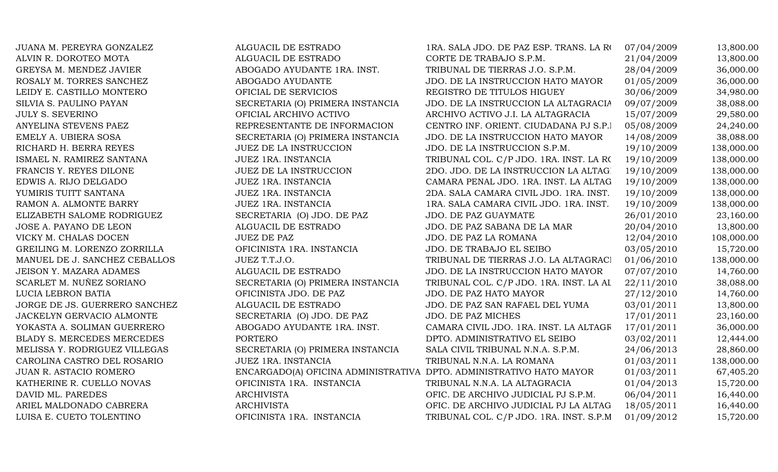| JUANA M. PEREYRA GONZALEZ         | ALGUACIL DE ESTRADO                                                 | 1RA. SALA JDO. DE PAZ ESP. TRANS. LA RO            | 07/04/2009 | 13,800.00  |
|-----------------------------------|---------------------------------------------------------------------|----------------------------------------------------|------------|------------|
| ALVIN R. DOROTEO MOTA             | ALGUACIL DE ESTRADO                                                 | CORTE DE TRABAJO S.P.M.                            | 21/04/2009 | 13,800.00  |
| GREYSA M. MENDEZ JAVIER           | ABOGADO AYUDANTE 1RA. INST.                                         | TRIBUNAL DE TIERRAS J.O. S.P.M.                    | 28/04/2009 | 36,000.00  |
| ROSALY M. TORRES SANCHEZ          | ABOGADO AYUDANTE                                                    | JDO. DE LA INSTRUCCION HATO MAYOR                  | 01/05/2009 | 36,000.00  |
| LEIDY E. CASTILLO MONTERO         | OFICIAL DE SERVICIOS                                                | REGISTRO DE TITULOS HIGUEY                         | 30/06/2009 | 34,980.00  |
| SILVIA S. PAULINO PAYAN           | SECRETARIA (O) PRIMERA INSTANCIA                                    | JDO. DE LA INSTRUCCION LA ALTAGRACIA               | 09/07/2009 | 38,088.00  |
| <b>JULY S. SEVERINO</b>           | OFICIAL ARCHIVO ACTIVO                                              | ARCHIVO ACTIVO J.I. LA ALTAGRACIA                  | 15/07/2009 | 29,580.00  |
| ANYELINA STEVENS PAEZ             | REPRESENTANTE DE INFORMACION                                        | CENTRO INF. ORIENT. CIUDADANA PJ S.P.I             | 05/08/2009 | 24,240.00  |
| EMELY A. UBIERA SOSA              | SECRETARIA (O) PRIMERA INSTANCIA                                    | JDO. DE LA INSTRUCCION HATO MAYOR                  | 14/08/2009 | 38,088.00  |
| RICHARD H. BERRA REYES            | JUEZ DE LA INSTRUCCION                                              | JDO. DE LA INSTRUCCION S.P.M.                      | 19/10/2009 | 138,000.00 |
| ISMAEL N. RAMIREZ SANTANA         | JUEZ 1RA. INSTANCIA                                                 | TRIBUNAL COL. C/P JDO. 1RA. INST. LA R( 19/10/2009 |            | 138,000.00 |
| FRANCIS Y. REYES DILONE           | JUEZ DE LA INSTRUCCION                                              | 2DO. JDO. DE LA INSTRUCCION LA ALTAGI              | 19/10/2009 | 138,000.00 |
| EDWIS A. RIJO DELGADO             | JUEZ 1RA. INSTANCIA                                                 | CAMARA PENAL JDO. 1RA. INST. LA ALTAG              | 19/10/2009 | 138,000.00 |
| YUMIRIS TUITT SANTANA             | <b>JUEZ 1RA. INSTANCIA</b>                                          | 2DA. SALA CAMARA CIVIL JDO. 1RA. INST.             | 19/10/2009 | 138,000.00 |
| RAMON A. ALMONTE BARRY            | JUEZ 1RA. INSTANCIA                                                 | 1RA. SALA CAMARA CIVIL JDO. 1RA. INST.             | 19/10/2009 | 138,000.00 |
| ELIZABETH SALOME RODRIGUEZ        | SECRETARIA (O) JDO. DE PAZ                                          | JDO. DE PAZ GUAYMATE                               | 26/01/2010 | 23,160.00  |
| JOSE A. PAYANO DE LEON            | ALGUACIL DE ESTRADO                                                 | JDO. DE PAZ SABANA DE LA MAR                       | 20/04/2010 | 13,800.00  |
| VICKY M. CHALAS DOCEN             | <b>JUEZ DE PAZ</b>                                                  | JDO. DE PAZ LA ROMANA                              | 12/04/2010 | 108,000.00 |
| GREILING M. LORENZO ZORRILLA      | OFICINISTA 1RA. INSTANCIA                                           | JDO. DE TRABAJO EL SEIBO                           | 03/05/2010 | 15,720.00  |
| MANUEL DE J. SANCHEZ CEBALLOS     | JUEZ T.T.J.O.                                                       | TRIBUNAL DE TIERRAS J.O. LA ALTAGRACI              | 01/06/2010 | 138,000.00 |
| <b>JEISON Y. MAZARA ADAMES</b>    | ALGUACIL DE ESTRADO                                                 | JDO. DE LA INSTRUCCION HATO MAYOR                  | 07/07/2010 | 14,760.00  |
| SCARLET M. NUÑEZ SORIANO          | SECRETARIA (O) PRIMERA INSTANCIA                                    | TRIBUNAL COL. C/P JDO. 1RA. INST. LA AL            | 22/11/2010 | 38,088.00  |
| LUCIA LEBRON BATIA                | OFICINISTA JDO. DE PAZ                                              | JDO. DE PAZ HATO MAYOR                             | 27/12/2010 | 14,760.00  |
| JORGE DE JS. GUERRERO SANCHEZ     | ALGUACIL DE ESTRADO                                                 | JDO. DE PAZ SAN RAFAEL DEL YUMA                    | 03/01/2011 | 13,800.00  |
| JACKELYN GERVACIO ALMONTE         | SECRETARIA (O) JDO. DE PAZ                                          | JDO. DE PAZ MICHES                                 | 17/01/2011 | 23,160.00  |
| YOKASTA A. SOLIMAN GUERRERO       | ABOGADO AYUDANTE 1RA. INST.                                         | CAMARA CIVIL JDO. 1RA. INST. LA ALTAGE             | 17/01/2011 | 36,000.00  |
| <b>BLADY S. MERCEDES MERCEDES</b> | <b>PORTERO</b>                                                      | DPTO. ADMINISTRATIVO EL SEIBO                      | 03/02/2011 | 12,444.00  |
| MELISSA Y. RODRIGUEZ VILLEGAS     | SECRETARIA (O) PRIMERA INSTANCIA                                    | SALA CIVIL TRIBUNAL N.N.A. S.P.M.                  | 24/06/2013 | 28,860.00  |
| CAROLINA CASTRO DEL ROSARIO       | JUEZ 1RA. INSTANCIA                                                 | TRIBUNAL N.N.A. LA ROMANA                          | 01/03/2011 | 138,000.00 |
| JUAN R. ASTACIO ROMERO            | ENCARGADO(A) OFICINA ADMINISTRATIVA DPTO. ADMINISTRATIVO HATO MAYOR |                                                    | 01/03/2011 | 67,405.20  |
| KATHERINE R. CUELLO NOVAS         | OFICINISTA 1RA. INSTANCIA                                           | TRIBUNAL N.N.A. LA ALTAGRACIA                      | 01/04/2013 | 15,720.00  |
| DAVID ML. PAREDES                 | <b>ARCHIVISTA</b>                                                   | OFIC. DE ARCHIVO JUDICIAL PJ S.P.M.                | 06/04/2011 | 16,440.00  |
| ARIEL MALDONADO CABRERA           | <b>ARCHIVISTA</b>                                                   | OFIC. DE ARCHIVO JUDICIAL PJ LA ALTAG              | 18/05/2011 | 16,440.00  |
| LUISA E. CUETO TOLENTINO          | OFICINISTA 1RA. INSTANCIA                                           | TRIBUNAL COL. C/P JDO. 1RA. INST. S.P.M            | 01/09/2012 | 15,720.00  |
|                                   |                                                                     |                                                    |            |            |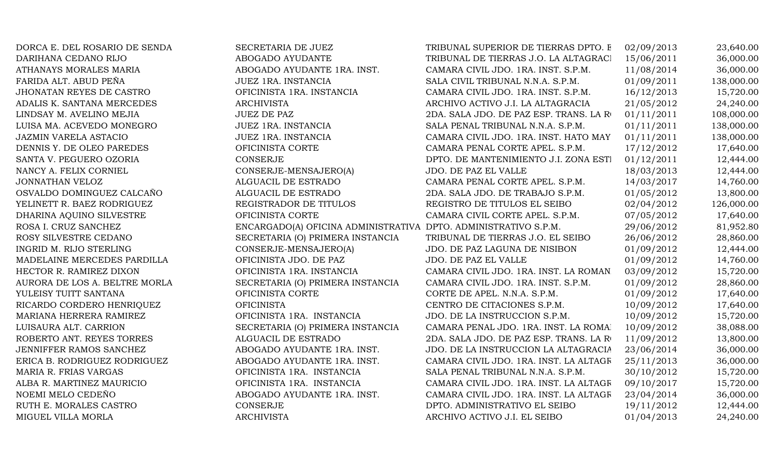| DORCA E. DEL ROSARIO DE SENDA | SECRETARIA DE JUEZ                                              | TRIBUNAL SUPERIOR DE TIERRAS DPTO. E    | 02/09/2013 | 23,640.00  |
|-------------------------------|-----------------------------------------------------------------|-----------------------------------------|------------|------------|
| DARIHANA CEDANO RIJO          | ABOGADO AYUDANTE                                                | TRIBUNAL DE TIERRAS J.O. LA ALTAGRACI   | 15/06/2011 | 36,000.00  |
| ATHANAYS MORALES MARIA        | ABOGADO AYUDANTE 1RA. INST.                                     | CAMARA CIVIL JDO. 1RA. INST. S.P.M.     | 11/08/2014 | 36,000.00  |
| FARIDA ALT. ABUD PEÑA         | <b>JUEZ 1RA. INSTANCIA</b>                                      | SALA CIVIL TRIBUNAL N.N.A. S.P.M.       | 01/09/2011 | 138,000.00 |
| JHONATAN REYES DE CASTRO      | OFICINISTA 1RA. INSTANCIA                                       | CAMARA CIVIL JDO. 1RA. INST. S.P.M.     | 16/12/2013 | 15,720.00  |
| ADALIS K. SANTANA MERCEDES    | <b>ARCHIVISTA</b>                                               | ARCHIVO ACTIVO J.I. LA ALTAGRACIA       | 21/05/2012 | 24,240.00  |
| LINDSAY M. AVELINO MEJIA      | <b>JUEZ DE PAZ</b>                                              | 2DA. SALA JDO. DE PAZ ESP. TRANS. LA RO | 01/11/2011 | 108,000.00 |
| LUISA MA. ACEVEDO MONEGRO     | JUEZ 1RA. INSTANCIA                                             | SALA PENAL TRIBUNAL N.N.A. S.P.M.       | 01/11/2011 | 138,000.00 |
| <b>JAZMIN VARELA ASTACIO</b>  | <b>JUEZ 1RA. INSTANCIA</b>                                      | CAMARA CIVIL JDO. 1RA. INST. HATO MAY   | 01/11/2011 | 138,000.00 |
| DENNIS Y. DE OLEO PAREDES     | OFICINISTA CORTE                                                | CAMARA PENAL CORTE APEL. S.P.M.         | 17/12/2012 | 17,640.00  |
| SANTA V. PEGUERO OZORIA       | <b>CONSERJE</b>                                                 | DPTO. DE MANTENIMIENTO J.I. ZONA ESTI   | 01/12/2011 | 12,444.00  |
| NANCY A. FELIX CORNIEL        | CONSERJE-MENSAJERO(A)                                           | JDO. DE PAZ EL VALLE                    | 18/03/2013 | 12,444.00  |
| JONNATHAN VELOZ               | ALGUACIL DE ESTRADO                                             | CAMARA PENAL CORTE APEL. S.P.M.         | 14/03/2017 | 14,760.00  |
| OSVALDO DOMINGUEZ CALCAÑO     | ALGUACIL DE ESTRADO                                             | 2DA. SALA JDO. DE TRABAJO S.P.M.        | 01/05/2012 | 13,800.00  |
| YELINETT R. BAEZ RODRIGUEZ    | REGISTRADOR DE TITULOS                                          | REGISTRO DE TITULOS EL SEIBO            | 02/04/2012 | 126,000.00 |
| DHARINA AQUINO SILVESTRE      | OFICINISTA CORTE                                                | CAMARA CIVIL CORTE APEL. S.P.M.         | 07/05/2012 | 17,640.00  |
| ROSA I. CRUZ SANCHEZ          | ENCARGADO(A) OFICINA ADMINISTRATIVA DPTO. ADMINISTRATIVO S.P.M. |                                         | 29/06/2012 | 81,952.80  |
| ROSY SILVESTRE CEDANO         | SECRETARIA (O) PRIMERA INSTANCIA                                | TRIBUNAL DE TIERRAS J.O. EL SEIBO       | 26/06/2012 | 28,860.00  |
| INGRID M. RIJO STERLING       | CONSERJE-MENSAJERO(A)                                           | JDO. DE PAZ LAGUNA DE NISIBON           | 01/09/2012 | 12,444.00  |
| MADELAINE MERCEDES PARDILLA   | OFICINISTA JDO. DE PAZ                                          | JDO. DE PAZ EL VALLE                    | 01/09/2012 | 14,760.00  |
| HECTOR R. RAMIREZ DIXON       | OFICINISTA 1RA. INSTANCIA                                       | CAMARA CIVIL JDO. 1RA. INST. LA ROMAN   | 03/09/2012 | 15,720.00  |
| AURORA DE LOS A. BELTRE MORLA | SECRETARIA (O) PRIMERA INSTANCIA                                | CAMARA CIVIL JDO. 1RA. INST. S.P.M.     | 01/09/2012 | 28,860.00  |
| YULEISY TUITT SANTANA         | OFICINISTA CORTE                                                | CORTE DE APEL. N.N.A. S.P.M.            | 01/09/2012 | 17,640.00  |
| RICARDO CORDERO HENRIQUEZ     | <b>OFICINISTA</b>                                               | CENTRO DE CITACIONES S.P.M.             | 10/09/2012 | 17,640.00  |
| MARIANA HERRERA RAMIREZ       | OFICINISTA 1RA. INSTANCIA                                       | JDO. DE LA INSTRUCCION S.P.M.           | 10/09/2012 | 15,720.00  |
| LUISAURA ALT. CARRION         | SECRETARIA (O) PRIMERA INSTANCIA                                | CAMARA PENAL JDO. 1RA. INST. LA ROMAI   | 10/09/2012 | 38,088.00  |
| ROBERTO ANT. REYES TORRES     | ALGUACIL DE ESTRADO                                             | 2DA. SALA JDO. DE PAZ ESP. TRANS. LA RO | 11/09/2012 | 13,800.00  |
| JENNIFFER RAMOS SANCHEZ       | ABOGADO AYUDANTE 1RA. INST.                                     | JDO. DE LA INSTRUCCION LA ALTAGRACIA    | 23/06/2014 | 36,000.00  |
| ERICA B. RODRIGUEZ RODRIGUEZ  | ABOGADO AYUDANTE 1RA. INST.                                     | CAMARA CIVIL JDO. 1RA. INST. LA ALTAGE  | 25/11/2013 | 36,000.00  |
| MARIA R. FRIAS VARGAS         | OFICINISTA 1RA. INSTANCIA                                       | SALA PENAL TRIBUNAL N.N.A. S.P.M.       | 30/10/2012 | 15,720.00  |
| ALBA R. MARTINEZ MAURICIO     | OFICINISTA 1RA. INSTANCIA                                       | CAMARA CIVIL JDO. 1RA. INST. LA ALTAGR  | 09/10/2017 | 15,720.00  |
| NOEMI MELO CEDEÑO             | ABOGADO AYUDANTE 1RA. INST.                                     | CAMARA CIVIL JDO. 1RA. INST. LA ALTAGR  | 23/04/2014 | 36,000.00  |
| RUTH E. MORALES CASTRO        | <b>CONSERJE</b>                                                 | DPTO. ADMINISTRATIVO EL SEIBO           | 19/11/2012 | 12,444.00  |
| MIGUEL VILLA MORLA            | <b>ARCHIVISTA</b>                                               | ARCHIVO ACTIVO J.I. EL SEIBO            | 01/04/2013 | 24,240.00  |
|                               |                                                                 |                                         |            |            |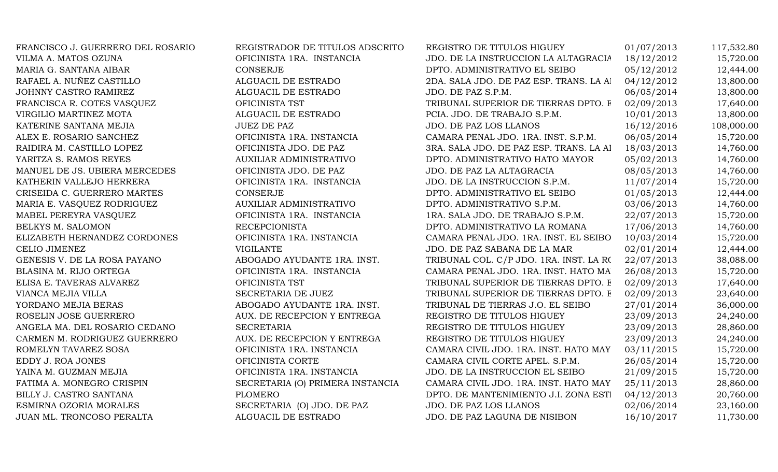| FRANCISCO J. GUERRERO DEL ROSARIO | REGISTRADOR DE TITULOS ADSCRITO  | REGISTRO DE TITULOS HIGUEY              | 01/07/2013 | 117,532.80 |
|-----------------------------------|----------------------------------|-----------------------------------------|------------|------------|
| VILMA A. MATOS OZUNA              | OFICINISTA 1RA. INSTANCIA        | JDO. DE LA INSTRUCCION LA ALTAGRACIA    | 18/12/2012 | 15,720.00  |
| MARIA G. SANTANA AIBAR            | CONSERJE                         | DPTO. ADMINISTRATIVO EL SEIBO           | 05/12/2012 | 12,444.00  |
| RAFAEL A. NUÑEZ CASTILLO          | ALGUACIL DE ESTRADO              | 2DA. SALA JDO. DE PAZ ESP. TRANS. LA Al | 04/12/2012 | 13,800.00  |
| JOHNNY CASTRO RAMIREZ             | ALGUACIL DE ESTRADO              | JDO. DE PAZ S.P.M.                      | 06/05/2014 | 13,800.00  |
| FRANCISCA R. COTES VASQUEZ        | OFICINISTA TST                   | TRIBUNAL SUPERIOR DE TIERRAS DPTO. E    | 02/09/2013 | 17,640.00  |
| VIRGILIO MARTINEZ MOTA            | ALGUACIL DE ESTRADO              | PCIA. JDO. DE TRABAJO S.P.M.            | 10/01/2013 | 13,800.00  |
| KATERINE SANTANA MEJIA            | <b>JUEZ DE PAZ</b>               | JDO. DE PAZ LOS LLANOS                  | 16/12/2016 | 108,000.00 |
| ALEX E. ROSARIO SANCHEZ           | OFICINISTA 1RA. INSTANCIA        | CAMARA PENAL JDO. 1RA. INST. S.P.M.     | 06/05/2014 | 15,720.00  |
| RAIDIRA M. CASTILLO LOPEZ         | OFICINISTA JDO. DE PAZ           | 3RA. SALA JDO. DE PAZ ESP. TRANS. LA AI | 18/03/2013 | 14,760.00  |
| YARITZA S. RAMOS REYES            | AUXILIAR ADMINISTRATIVO          | DPTO. ADMINISTRATIVO HATO MAYOR         | 05/02/2013 | 14,760.00  |
| MANUEL DE JS. UBIERA MERCEDES     | OFICINISTA JDO. DE PAZ           | JDO. DE PAZ LA ALTAGRACIA               | 08/05/2013 | 14,760.00  |
| KATHERIN VALLEJO HERRERA          | OFICINISTA 1RA. INSTANCIA        | JDO. DE LA INSTRUCCION S.P.M.           | 11/07/2014 | 15,720.00  |
| CRISEIDA C. GUERRERO MARTES       | CONSERJE                         | DPTO. ADMINISTRATIVO EL SEIBO           | 01/05/2013 | 12,444.00  |
| MARIA E. VASQUEZ RODRIGUEZ        | AUXILIAR ADMINISTRATIVO          | DPTO. ADMINISTRATIVO S.P.M.             | 03/06/2013 | 14,760.00  |
| MABEL PEREYRA VASQUEZ             | OFICINISTA 1RA. INSTANCIA        | 1RA. SALA JDO. DE TRABAJO S.P.M.        | 22/07/2013 | 15,720.00  |
| BELKYS M. SALOMON                 | <b>RECEPCIONISTA</b>             | DPTO. ADMINISTRATIVO LA ROMANA          | 17/06/2013 | 14,760.00  |
| ELIZABETH HERNANDEZ CORDONES      | OFICINISTA 1RA. INSTANCIA        | CAMARA PENAL JDO. 1RA. INST. EL SEIBO   | 10/03/2014 | 15,720.00  |
| CELIO JIMENEZ                     | <b>VIGILANTE</b>                 | JDO. DE PAZ SABANA DE LA MAR            | 02/01/2014 | 12,444.00  |
| GENESIS V. DE LA ROSA PAYANO      | ABOGADO AYUDANTE 1RA. INST.      | TRIBUNAL COL. C/P JDO. 1RA. INST. LA RO | 22/07/2013 | 38,088.00  |
| BLASINA M. RIJO ORTEGA            | OFICINISTA 1RA. INSTANCIA        | CAMARA PENAL JDO. 1RA. INST. HATO MA    | 26/08/2013 | 15,720.00  |
| ELISA E. TAVERAS ALVAREZ          | OFICINISTA TST                   | TRIBUNAL SUPERIOR DE TIERRAS DPTO. E    | 02/09/2013 | 17,640.00  |
| VIANCA MEJIA VILLA                | SECRETARIA DE JUEZ               | TRIBUNAL SUPERIOR DE TIERRAS DPTO. E    | 02/09/2013 | 23,640.00  |
| YORDANO MEJIA BERAS               | ABOGADO AYUDANTE 1RA. INST.      | TRIBUNAL DE TIERRAS J.O. EL SEIBO       | 27/01/2014 | 36,000.00  |
| ROSELIN JOSE GUERRERO             | AUX. DE RECEPCION Y ENTREGA      | REGISTRO DE TITULOS HIGUEY              | 23/09/2013 | 24,240.00  |
| ANGELA MA. DEL ROSARIO CEDANO     | <b>SECRETARIA</b>                | REGISTRO DE TITULOS HIGUEY              | 23/09/2013 | 28,860.00  |
| CARMEN M. RODRIGUEZ GUERRERO      | AUX. DE RECEPCION Y ENTREGA      | REGISTRO DE TITULOS HIGUEY              | 23/09/2013 | 24,240.00  |
| ROMELYN TAVAREZ SOSA              | OFICINISTA 1RA. INSTANCIA        | CAMARA CIVIL JDO. 1RA. INST. HATO MAY   | 03/11/2015 | 15,720.00  |
| EDDY J. ROA JONES                 | OFICINISTA CORTE                 | CAMARA CIVIL CORTE APEL. S.P.M.         | 26/05/2014 | 15,720.00  |
| YAINA M. GUZMAN MEJIA             | OFICINISTA 1RA. INSTANCIA        | JDO. DE LA INSTRUCCION EL SEIBO         | 21/09/2015 | 15,720.00  |
| FATIMA A. MONEGRO CRISPIN         | SECRETARIA (O) PRIMERA INSTANCIA | CAMARA CIVIL JDO. 1RA. INST. HATO MAY   | 25/11/2013 | 28,860.00  |
| BILLY J. CASTRO SANTANA           | <b>PLOMERO</b>                   | DPTO. DE MANTENIMIENTO J.I. ZONA ESTI   | 04/12/2013 | 20,760.00  |
| ESMIRNA OZORIA MORALES            | SECRETARIA (O) JDO. DE PAZ       | JDO. DE PAZ LOS LLANOS                  | 02/06/2014 | 23,160.00  |
| JUAN ML. TRONCOSO PERALTA         | ALGUACIL DE ESTRADO              | JDO. DE PAZ LAGUNA DE NISIBON           | 16/10/2017 | 11,730.00  |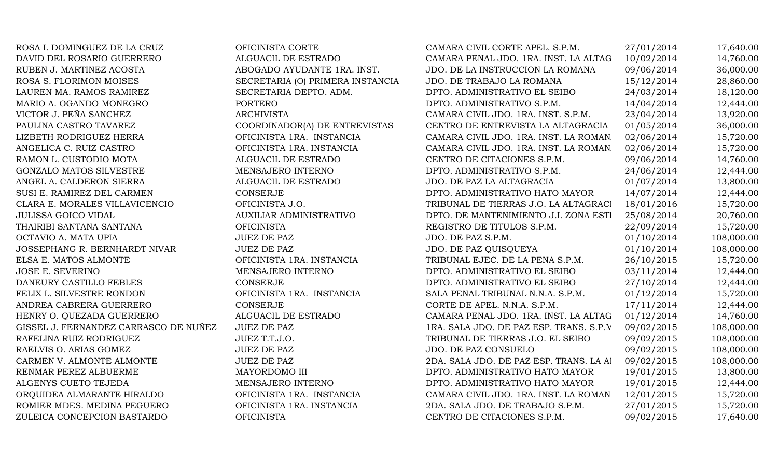| ROSA I. DOMINGUEZ DE LA CRUZ          | OFICINISTA CORTE                 | CAMARA CIVIL CORTE APEL. S.P.M.         | 27/01/2014 | 17,640.00  |
|---------------------------------------|----------------------------------|-----------------------------------------|------------|------------|
| DAVID DEL ROSARIO GUERRERO            | ALGUACIL DE ESTRADO              | CAMARA PENAL JDO. 1RA. INST. LA ALTAG   | 10/02/2014 | 14,760.00  |
| RUBEN J. MARTINEZ ACOSTA              | ABOGADO AYUDANTE 1RA. INST.      | JDO. DE LA INSTRUCCION LA ROMANA        | 09/06/2014 | 36,000.00  |
| ROSA S. FLORIMON MOISES               | SECRETARIA (O) PRIMERA INSTANCIA | JDO. DE TRABAJO LA ROMANA               | 15/12/2014 | 28,860.00  |
| LAUREN MA. RAMOS RAMIREZ              | SECRETARIA DEPTO. ADM.           | DPTO. ADMINISTRATIVO EL SEIBO           | 24/03/2014 | 18,120.00  |
| MARIO A. OGANDO MONEGRO               | <b>PORTERO</b>                   | DPTO. ADMINISTRATIVO S.P.M.             | 14/04/2014 | 12,444.00  |
| VICTOR J. PEÑA SANCHEZ                | <b>ARCHIVISTA</b>                | CAMARA CIVIL JDO. 1RA. INST. S.P.M.     | 23/04/2014 | 13,920.00  |
| PAULINA CASTRO TAVAREZ                | COORDINADOR(A) DE ENTREVISTAS    | CENTRO DE ENTREVISTA LA ALTAGRACIA      | 01/05/2014 | 36,000.00  |
| LIZBETH RODRIGUEZ HERRA               | OFICINISTA 1RA. INSTANCIA        | CAMARA CIVIL JDO. 1RA. INST. LA ROMAN   | 02/06/2014 | 15,720.00  |
| ANGELICA C. RUIZ CASTRO               | OFICINISTA 1RA. INSTANCIA        | CAMARA CIVIL JDO. 1RA. INST. LA ROMAN   | 02/06/2014 | 15,720.00  |
| RAMON L. CUSTODIO MOTA                | ALGUACIL DE ESTRADO              | CENTRO DE CITACIONES S.P.M.             | 09/06/2014 | 14,760.00  |
| GONZALO MATOS SILVESTRE               | MENSAJERO INTERNO                | DPTO. ADMINISTRATIVO S.P.M.             | 24/06/2014 | 12,444.00  |
| ANGEL A. CALDERON SIERRA              | ALGUACIL DE ESTRADO              | JDO. DE PAZ LA ALTAGRACIA               | 01/07/2014 | 13,800.00  |
| SUSI E. RAMIREZ DEL CARMEN            | <b>CONSERJE</b>                  | DPTO. ADMINISTRATIVO HATO MAYOR         | 14/07/2014 | 12,444.00  |
| CLARA E. MORALES VILLAVICENCIO        | OFICINISTA J.O.                  | TRIBUNAL DE TIERRAS J.O. LA ALTAGRACI   | 18/01/2016 | 15,720.00  |
| <b>JULISSA GOICO VIDAL</b>            | AUXILIAR ADMINISTRATIVO          | DPTO. DE MANTENIMIENTO J.I. ZONA ESTI   | 25/08/2014 | 20,760.00  |
| THAIRIBI SANTANA SANTANA              | <b>OFICINISTA</b>                | REGISTRO DE TITULOS S.P.M.              | 22/09/2014 | 15,720.00  |
| OCTAVIO A. MATA UPIA                  | <b>JUEZ DE PAZ</b>               | JDO. DE PAZ S.P.M.                      | 01/10/2014 | 108,000.00 |
| JOSSEPHANG R. BERNHARDT NIVAR         | <b>JUEZ DE PAZ</b>               | JDO. DE PAZ QUISQUEYA                   | 01/10/2014 | 108,000.00 |
| ELSA E. MATOS ALMONTE                 | OFICINISTA 1RA. INSTANCIA        | TRIBUNAL EJEC. DE LA PENA S.P.M.        | 26/10/2015 | 15,720.00  |
| <b>JOSE E. SEVERINO</b>               | MENSAJERO INTERNO                | DPTO. ADMINISTRATIVO EL SEIBO           | 03/11/2014 | 12,444.00  |
| DANEURY CASTILLO FEBLES               | <b>CONSERJE</b>                  | DPTO. ADMINISTRATIVO EL SEIBO           | 27/10/2014 | 12,444.00  |
| FELIX L. SILVESTRE RONDON             | OFICINISTA 1RA. INSTANCIA        | SALA PENAL TRIBUNAL N.N.A. S.P.M.       | 01/12/2014 | 15,720.00  |
| ANDREA CABRERA GUERRERO               | CONSERJE                         | CORTE DE APEL. N.N.A. S.P.M.            | 17/11/2014 | 12,444.00  |
| HENRY O. QUEZADA GUERRERO             | ALGUACIL DE ESTRADO              | CAMARA PENAL JDO. 1RA. INST. LA ALTAG   | 01/12/2014 | 14,760.00  |
| GISSEL J. FERNANDEZ CARRASCO DE NUÑEZ | <b>JUEZ DE PAZ</b>               | 1RA. SALA JDO. DE PAZ ESP. TRANS. S.P.M | 09/02/2015 | 108,000.00 |
| RAFELINA RUIZ RODRIGUEZ               | JUEZ T.T.J.O.                    | TRIBUNAL DE TIERRAS J.O. EL SEIBO       | 09/02/2015 | 108,000.00 |
| RAELVIS O. ARIAS GOMEZ                | <b>JUEZ DE PAZ</b>               | JDO. DE PAZ CONSUELO                    | 09/02/2015 | 108,000.00 |
| CARMEN V. ALMONTE ALMONTE             | <b>JUEZ DE PAZ</b>               | 2DA. SALA JDO. DE PAZ ESP. TRANS. LA Al | 09/02/2015 | 108,000.00 |
| RENMAR PEREZ ALBUERME                 | MAYORDOMO III                    | DPTO. ADMINISTRATIVO HATO MAYOR         | 19/01/2015 | 13,800.00  |
| ALGENYS CUETO TEJEDA                  | MENSAJERO INTERNO                | DPTO. ADMINISTRATIVO HATO MAYOR         | 19/01/2015 | 12,444.00  |
| ORQUIDEA ALMARANTE HIRALDO            | OFICINISTA 1RA. INSTANCIA        | CAMARA CIVIL JDO. 1RA. INST. LA ROMAN   | 12/01/2015 | 15,720.00  |
| ROMIER MDES. MEDINA PEGUERO           | OFICINISTA 1RA. INSTANCIA        | 2DA. SALA JDO. DE TRABAJO S.P.M.        | 27/01/2015 | 15,720.00  |
| ZULEICA CONCEPCION BASTARDO           | <b>OFICINISTA</b>                | CENTRO DE CITACIONES S.P.M.             | 09/02/2015 | 17,640.00  |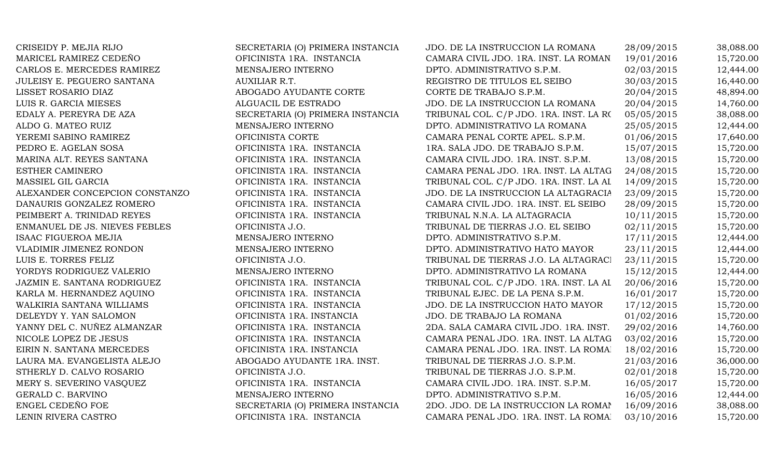| CRISEIDY P. MEJIA RIJO         | SECRETARIA (O) PRIMERA INSTANCIA | JDO. DE LA INSTRUCCION LA ROMANA        | 28/09/2015 | 38,088.00 |
|--------------------------------|----------------------------------|-----------------------------------------|------------|-----------|
| MARICEL RAMIREZ CEDEÑO         | OFICINISTA 1RA. INSTANCIA        | CAMARA CIVIL JDO. 1RA. INST. LA ROMAN   | 19/01/2016 | 15,720.00 |
| CARLOS E. MERCEDES RAMIREZ     | MENSAJERO INTERNO                | DPTO. ADMINISTRATIVO S.P.M.             | 02/03/2015 | 12,444.00 |
| JULEISY E. PEGUERO SANTANA     | AUXILIAR R.T.                    | REGISTRO DE TITULOS EL SEIBO            | 30/03/2015 | 16,440.00 |
| LISSET ROSARIO DIAZ            | ABOGADO AYUDANTE CORTE           | CORTE DE TRABAJO S.P.M.                 | 20/04/2015 | 48,894.00 |
| LUIS R. GARCIA MIESES          | ALGUACIL DE ESTRADO              | JDO. DE LA INSTRUCCION LA ROMANA        | 20/04/2015 | 14,760.00 |
| EDALY A. PEREYRA DE AZA        | SECRETARIA (O) PRIMERA INSTANCIA | TRIBUNAL COL. C/P JDO. 1RA. INST. LA RO | 05/05/2015 | 38,088.00 |
| ALDO G. MATEO RUIZ             | MENSAJERO INTERNO                | DPTO. ADMINISTRATIVO LA ROMANA          | 25/05/2015 | 12,444.00 |
| YEREMI SABINO RAMIREZ          | OFICINISTA CORTE                 | CAMARA PENAL CORTE APEL. S.P.M.         | 01/06/2015 | 17,640.00 |
| PEDRO E. AGELAN SOSA           | OFICINISTA 1RA. INSTANCIA        | 1RA. SALA JDO. DE TRABAJO S.P.M.        | 15/07/2015 | 15,720.00 |
| MARINA ALT. REYES SANTANA      | OFICINISTA 1RA. INSTANCIA        | CAMARA CIVIL JDO. 1RA. INST. S.P.M.     | 13/08/2015 | 15,720.00 |
| ESTHER CAMINERO                | OFICINISTA 1RA. INSTANCIA        | CAMARA PENAL JDO. 1RA. INST. LA ALTAG   | 24/08/2015 | 15,720.00 |
| MASSIEL GIL GARCIA             | OFICINISTA 1RA. INSTANCIA        | TRIBUNAL COL. C/P JDO. 1RA. INST. LA AL | 14/09/2015 | 15,720.00 |
| ALEXANDER CONCEPCION CONSTANZO | OFICINISTA 1RA. INSTANCIA        | JDO. DE LA INSTRUCCION LA ALTAGRACIA    | 23/09/2015 | 15,720.00 |
| DANAURIS GONZALEZ ROMERO       | OFICINISTA 1RA. INSTANCIA        | CAMARA CIVIL JDO. 1RA. INST. EL SEIBO   | 28/09/2015 | 15,720.00 |
| PEIMBERT A. TRINIDAD REYES     | OFICINISTA 1RA. INSTANCIA        | TRIBUNAL N.N.A. LA ALTAGRACIA           | 10/11/2015 | 15,720.00 |
| ENMANUEL DE JS. NIEVES FEBLES  | OFICINISTA J.O.                  | TRIBUNAL DE TIERRAS J.O. EL SEIBO       | 02/11/2015 | 15,720.00 |
| <b>ISAAC FIGUEROA MEJIA</b>    | MENSAJERO INTERNO                | DPTO. ADMINISTRATIVO S.P.M.             | 17/11/2015 | 12,444.00 |
| VLADIMIR JIMENEZ RONDON        | MENSAJERO INTERNO                | DPTO. ADMINISTRATIVO HATO MAYOR         | 23/11/2015 | 12,444.00 |
| LUIS E. TORRES FELIZ           | OFICINISTA J.O.                  | TRIBUNAL DE TIERRAS J.O. LA ALTAGRACI   | 23/11/2015 | 15,720.00 |
| YORDYS RODRIGUEZ VALERIO       | MENSAJERO INTERNO                | DPTO. ADMINISTRATIVO LA ROMANA          | 15/12/2015 | 12,444.00 |
| JAZMIN E. SANTANA RODRIGUEZ    | OFICINISTA 1RA. INSTANCIA        | TRIBUNAL COL. C/P JDO. 1RA. INST. LA AL | 20/06/2016 | 15,720.00 |
| KARLA M. HERNANDEZ AQUINO      | OFICINISTA 1RA. INSTANCIA        | TRIBUNAL EJEC. DE LA PENA S.P.M.        | 16/01/2017 | 15,720.00 |
| WALKIRIA SANTANA WILLIAMS      | OFICINISTA 1RA. INSTANCIA        | JDO. DE LA INSTRUCCION HATO MAYOR       | 17/12/2015 | 15,720.00 |
| DELEYDY Y. YAN SALOMON         | OFICINISTA 1RA. INSTANCIA        | JDO. DE TRABAJO LA ROMANA               | 01/02/2016 | 15,720.00 |
| YANNY DEL C. NUÑEZ ALMANZAR    | OFICINISTA 1RA. INSTANCIA        | 2DA. SALA CAMARA CIVIL JDO. 1RA. INST.  | 29/02/2016 | 14,760.00 |
| NICOLE LOPEZ DE JESUS          | OFICINISTA 1RA. INSTANCIA        | CAMARA PENAL JDO. 1RA. INST. LA ALTAG   | 03/02/2016 | 15,720.00 |
| EIRIN N. SANTANA MERCEDES      | OFICINISTA 1RA. INSTANCIA        | CAMARA PENAL JDO. 1RA. INST. LA ROMA    | 18/02/2016 | 15,720.00 |
| LAURA MA. EVANGELISTA ALEJO    | ABOGADO AYUDANTE 1RA. INST.      | TRIBUNAL DE TIERRAS J.O. S.P.M.         | 21/03/2016 | 36,000.00 |
| STHERLY D. CALVO ROSARIO       | OFICINISTA J.O.                  | TRIBUNAL DE TIERRAS J.O. S.P.M.         | 02/01/2018 | 15,720.00 |
| MERY S. SEVERINO VASQUEZ       | OFICINISTA 1RA. INSTANCIA        | CAMARA CIVIL JDO. 1RA. INST. S.P.M.     | 16/05/2017 | 15,720.00 |
| GERALD C. BARVINO              | MENSAJERO INTERNO                | DPTO. ADMINISTRATIVO S.P.M.             | 16/05/2016 | 12,444.00 |
| ENGEL CEDEÑO FOE               | SECRETARIA (O) PRIMERA INSTANCIA | 2DO. JDO. DE LA INSTRUCCION LA ROMAN    | 16/09/2016 | 38,088.00 |
| LENIN RIVERA CASTRO            | OFICINISTA 1RA. INSTANCIA        | CAMARA PENAL JDO. 1RA. INST. LA ROMAI   | 03/10/2016 | 15,720.00 |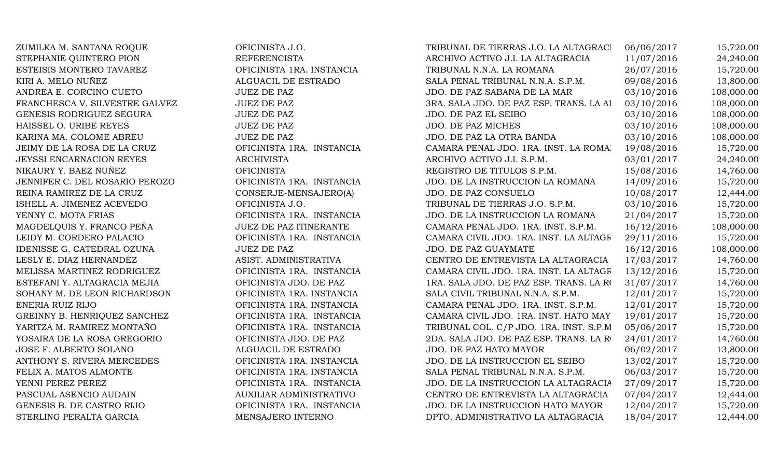ZUMILKA M. SANTANA ROQUE OFICINISTA J.O. STEPHANIE QUINTERO PION REFERENCISTA ESTEISIS MONTERO TAVAREZ OFICINISTA 1RA. INSTANCIA KIRI A. MELO NUÑEZ ALGUACIL DE ESTRADO ANDREA E. CORCINO CUETO JUEZ DE PAZ FRANCHESCA V. SILVESTRE GALVEZ 3RANCHESCA V. SALA BRANCHESCA V. SALA BRANCEZ 2000. LA ALTAGRACIA 03/10/2016 10 GENESIS RODRIGUEZ SEGURA JUEZ DE PAZ HAISSEL O. URIBE REYES JUEZ DE PAZ KARINA MA. COLOME ABREU JUEZ DE PAZ JEIMY DE LA ROSA DE LA CRUZ OFICINISTA 1RA. INSTANCIA JEYSSI ENCARNACION REYES ARCHIVISTA NIKAURY Y. BAEZ NUÑEZ **OFICINISTA** JENNIFER C. DEL ROSARIO PEROZO **OFICINISTA 1RA. INSTANCIA** REINA RAMIREZ DE LA CRUZ CONSERJE-MENSAJERO(A) ISHELL A. JIMENEZ ACEVEDO OFICINISTA J.O. YENNY C. MOTA FRIAS OFICINISTA 1RA. INSTANCIA MAGDELQUIS Y. FRANCO PEÑA JUEZ DE PAZ ITINERANTE LEIDY M. CORDERO PALACIO OFICINISTA 1RA. INSTANCIA IDENISSE G. CATEDRAL OZUNA JUEZ DE PAZ LESLY E. DIAZ HERNANDEZ ASIST. ADMINISTRATIVA MELISSA MARTINEZ RODRIGUEZ OFICINISTA 1RA. INSTANCIA ESTEFANI Y. ALTAGRACIA MEJIA OFICINISTA JDO. DE PAZ SOHANY M. DE LEON RICHARDSON OFICINISTA 1RA. INSTANCIA ENERIA RUIZ RIJO **OFICINISTA 1RA. INSTANCIA** GREINNY B. HENRIQUEZ SANCHEZ OFICINISTA 1RA. INSTANCIA YARITZA M. RAMIREZ MONTAÑO **OFICINISTA 1RA. INSTANCIA** YOSAIRA DE LA ROSA GREGORIO OFICINISTA JDO. DE PAZ JOSE F. ALBERTO SOLANO ALGUACIL DE ESTRADO ANTHONY S. RIVERA MERCEDES OFICINISTA 1RA. INSTANCIA FELIX A. MATOS ALMONTE OFICINISTA 1RA. INSTANCIA YENNI PEREZ PEREZ OFICINISTA 1RA. INSTANCIA PASCUAL ASENCIO AUDAIN AUXILIAR ADMINISTRATIVO GENESIS B. DE CASTRO RIJO **OFICINISTA 1RA. INSTANCIA** STERLING PERALTA GARCIA MENSAJERO INTERNO

| TRIBUNAL DE TIERRAS J.O. LA ALTAGRACI   | 06/06/2017 | 15,720.00  |
|-----------------------------------------|------------|------------|
| ARCHIVO ACTIVO J.I. LA ALTAGRACIA       | 11/07/2016 | 24,240.00  |
| TRIBUNAL N.N.A. LA ROMANA               | 26/07/2016 | 15,720.00  |
| SALA PENAL TRIBUNAL N.N.A. S.P.M.       | 09/08/2016 | 13,800.00  |
| JDO. DE PAZ SABANA DE LA MAR            | 03/10/2016 | 108,000.00 |
| 3RA. SALA JDO. DE PAZ ESP. TRANS. LA AI | 03/10/2016 | 108,000.00 |
| JDO. DE PAZ EL SEIBO                    | 03/10/2016 | 108,000.00 |
| <b>JDO. DE PAZ MICHES</b>               | 03/10/2016 | 108,000.00 |
| JDO. DE PAZ LA OTRA BANDA               | 03/10/2016 | 108,000.00 |
| CAMARA PENAL JDO. 1RA. INST. LA ROMAI   | 19/08/2016 | 15,720.00  |
| ARCHIVO ACTIVO J.I. S.P.M.              | 03/01/2017 | 24,240.00  |
| REGISTRO DE TITULOS S.P.M.              | 15/08/2016 | 14,760.00  |
| JDO. DE LA INSTRUCCION LA ROMANA        | 14/09/2016 | 15,720.00  |
| JDO. DE PAZ CONSUELO                    | 10/08/2017 | 12,444.00  |
| TRIBUNAL DE TIERRAS J.O. S.P.M.         | 03/10/2016 | 15,720.00  |
| JDO. DE LA INSTRUCCION LA ROMANA        | 21/04/2017 | 15,720.00  |
| CAMARA PENAL JDO. 1RA. INST. S.P.M.     | 16/12/2016 | 108,000.00 |
| CAMARA CIVIL JDO. 1RA. INST. LA ALTAGR  | 29/11/2016 | 15,720.00  |
| JDO. DE PAZ GUAYMATE                    | 16/12/2016 | 108,000.00 |
| CENTRO DE ENTREVISTA LA ALTAGRACIA      | 17/03/2017 | 14,760.00  |
| CAMARA CIVIL JDO. 1RA. INST. LA ALTAGR  | 13/12/2016 | 15,720.00  |
| 1RA. SALA JDO. DE PAZ ESP. TRANS. LA RO | 31/07/2017 | 14,760.00  |
| SALA CIVIL TRIBUNAL N.N.A. S.P.M.       | 12/01/2017 | 15,720.00  |
| CAMARA PENAL JDO. 1RA. INST. S.P.M.     | 12/01/2017 | 15,720.00  |
| CAMARA CIVIL JDO. 1RA. INST. HATO MAY   | 19/01/2017 | 15,720.00  |
| TRIBUNAL COL. C/P JDO. 1RA. INST. S.P.M | 05/06/2017 | 15,720.00  |
| 2DA. SALA JDO. DE PAZ ESP. TRANS. LA RO | 24/01/2017 | 14,760.00  |
| JDO. DE PAZ HATO MAYOR                  | 06/02/2017 | 13,800.00  |
| JDO. DE LA INSTRUCCION EL SEIBO         | 13/02/2017 | 15,720.00  |
| SALA PENAL TRIBUNAL N.N.A. S.P.M.       | 06/03/2017 | 15,720.00  |
| JDO. DE LA INSTRUCCION LA ALTAGRACIA    | 27/09/2017 | 15,720.00  |
| CENTRO DE ENTREVISTA LA ALTAGRACIA      | 07/04/2017 | 12,444.00  |
| JDO. DE LA INSTRUCCION HATO MAYOR       | 12/04/2017 | 15,720.00  |
| DPTO. ADMINISTRATIVO LA ALTAGRACIA      | 18/04/2017 | 12,444.00  |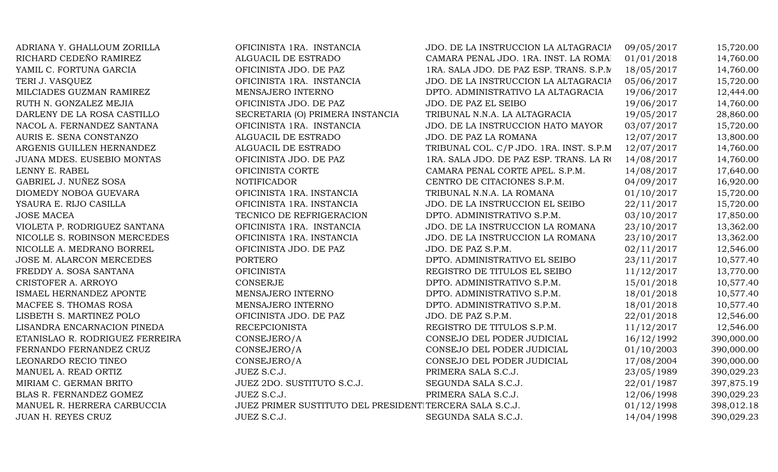| ADRIANA Y. GHALLOUM ZORILLA     | OFICINISTA 1RA. INSTANCIA                               | JDO. DE LA INSTRUCCION LA ALTAGRACIA     | 09/05/2017 | 15,720.00  |
|---------------------------------|---------------------------------------------------------|------------------------------------------|------------|------------|
| RICHARD CEDEÑO RAMIREZ          | ALGUACIL DE ESTRADO                                     | CAMARA PENAL JDO. 1RA. INST. LA ROMA     | 01/01/2018 | 14,760.00  |
| YAMIL C. FORTUNA GARCIA         | OFICINISTA JDO. DE PAZ                                  | 1RA. SALA JDO. DE PAZ ESP. TRANS. S.P.M. | 18/05/2017 | 14,760.00  |
| TERI J. VASQUEZ                 | OFICINISTA 1RA. INSTANCIA                               | JDO. DE LA INSTRUCCION LA ALTAGRACIA     | 05/06/2017 | 15,720.00  |
| MILCIADES GUZMAN RAMIREZ        | MENSAJERO INTERNO                                       | DPTO. ADMINISTRATIVO LA ALTAGRACIA       | 19/06/2017 | 12,444.00  |
| RUTH N. GONZALEZ MEJIA          | OFICINISTA JDO. DE PAZ                                  | JDO. DE PAZ EL SEIBO                     | 19/06/2017 | 14,760.00  |
| DARLENY DE LA ROSA CASTILLO     | SECRETARIA (O) PRIMERA INSTANCIA                        | TRIBUNAL N.N.A. LA ALTAGRACIA            | 19/05/2017 | 28,860.00  |
| NACOL A. FERNANDEZ SANTANA      | OFICINISTA 1RA. INSTANCIA                               | JDO. DE LA INSTRUCCION HATO MAYOR        | 03/07/2017 | 15,720.00  |
| AURIS E. SENA CONSTANZO         | ALGUACIL DE ESTRADO                                     | JDO. DE PAZ LA ROMANA                    | 12/07/2017 | 13,800.00  |
| ARGENIS GUILLEN HERNANDEZ       | ALGUACIL DE ESTRADO                                     | TRIBUNAL COL. C/P JDO. 1RA. INST. S.P.M  | 12/07/2017 | 14,760.00  |
| JUANA MDES. EUSEBIO MONTAS      | OFICINISTA JDO. DE PAZ                                  | 1RA. SALA JDO. DE PAZ ESP. TRANS. LA RO  | 14/08/2017 | 14,760.00  |
| LENNY E. RABEL                  | OFICINISTA CORTE                                        | CAMARA PENAL CORTE APEL. S.P.M.          | 14/08/2017 | 17,640.00  |
| GABRIEL J. NUÑEZ SOSA           | <b>NOTIFICADOR</b>                                      | CENTRO DE CITACIONES S.P.M.              | 04/09/2017 | 16,920.00  |
| DIOMEDY NOBOA GUEVARA           | OFICINISTA 1RA. INSTANCIA                               | TRIBUNAL N.N.A. LA ROMANA                | 01/10/2017 | 15,720.00  |
| YSAURA E. RIJO CASILLA          | OFICINISTA 1RA. INSTANCIA                               | JDO. DE LA INSTRUCCION EL SEIBO          | 22/11/2017 | 15,720.00  |
| <b>JOSE MACEA</b>               | TECNICO DE REFRIGERACION                                | DPTO. ADMINISTRATIVO S.P.M.              | 03/10/2017 | 17,850.00  |
| VIOLETA P. RODRIGUEZ SANTANA    | OFICINISTA 1RA. INSTANCIA                               | JDO. DE LA INSTRUCCION LA ROMANA         | 23/10/2017 | 13,362.00  |
| NICOLLE S. ROBINSON MERCEDES    | OFICINISTA 1RA. INSTANCIA                               | JDO. DE LA INSTRUCCION LA ROMANA         | 23/10/2017 | 13,362.00  |
| NICOLLE A. MEDRANO BORREL       | OFICINISTA JDO. DE PAZ                                  | JDO. DE PAZ S.P.M.                       | 02/11/2017 | 12,546.00  |
| JOSE M. ALARCON MERCEDES        | PORTERO                                                 | DPTO. ADMINISTRATIVO EL SEIBO            | 23/11/2017 | 10,577.40  |
| FREDDY A. SOSA SANTANA          | <b>OFICINISTA</b>                                       | REGISTRO DE TITULOS EL SEIBO             | 11/12/2017 | 13,770.00  |
| CRISTOFER A. ARROYO             | CONSERJE                                                | DPTO. ADMINISTRATIVO S.P.M.              | 15/01/2018 | 10,577.40  |
| ISMAEL HERNANDEZ APONTE         | MENSAJERO INTERNO                                       | DPTO. ADMINISTRATIVO S.P.M.              | 18/01/2018 | 10,577.40  |
| MACFEE S. THOMAS ROSA           | MENSAJERO INTERNO                                       | DPTO. ADMINISTRATIVO S.P.M.              | 18/01/2018 | 10,577.40  |
| LISBETH S. MARTINEZ POLO        | OFICINISTA JDO. DE PAZ                                  | JDO. DE PAZ S.P.M.                       | 22/01/2018 | 12,546.00  |
| LISANDRA ENCARNACION PINEDA     | <b>RECEPCIONISTA</b>                                    | REGISTRO DE TITULOS S.P.M.               | 11/12/2017 | 12,546.00  |
| ETANISLAO R. RODRIGUEZ FERREIRA | CONSEJERO/A                                             | CONSEJO DEL PODER JUDICIAL               | 16/12/1992 | 390,000.00 |
| FERNANDO FERNANDEZ CRUZ         | CONSEJERO/A                                             | CONSEJO DEL PODER JUDICIAL               | 01/10/2003 | 390,000.00 |
| LEONARDO RECIO TINEO            | CONSEJERO/A                                             | CONSEJO DEL PODER JUDICIAL               | 17/08/2004 | 390,000.00 |
| MANUEL A. READ ORTIZ            | JUEZ S.C.J.                                             | PRIMERA SALA S.C.J.                      | 23/05/1989 | 390,029.23 |
| MIRIAM C. GERMAN BRITO          | JUEZ 2DO. SUSTITUTO S.C.J.                              | SEGUNDA SALA S.C.J.                      | 22/01/1987 | 397,875.19 |
| BLAS R. FERNANDEZ GOMEZ         | JUEZ S.C.J.                                             | PRIMERA SALA S.C.J.                      | 12/06/1998 | 390,029.23 |
| MANUEL R. HERRERA CARBUCCIA     | JUEZ PRIMER SUSTITUTO DEL PRESIDENTITERCERA SALA S.C.J. |                                          | 01/12/1998 | 398,012.18 |
| JUAN H. REYES CRUZ              | JUEZ S.C.J.                                             | SEGUNDA SALA S.C.J.                      | 14/04/1998 | 390,029.23 |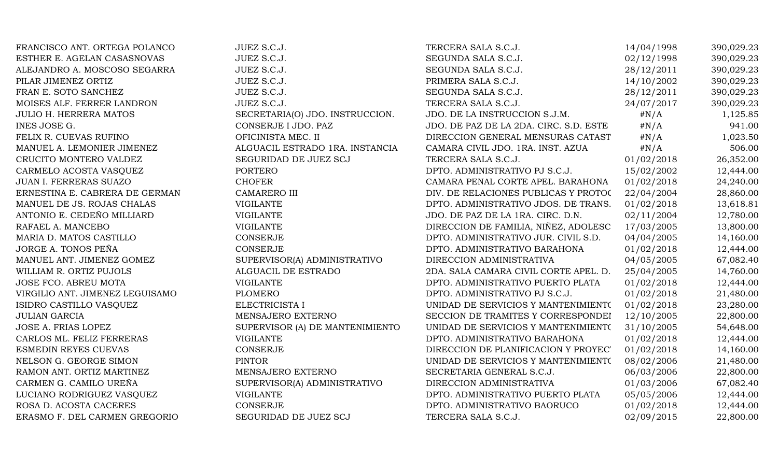| FRANCISCO ANT. ORTEGA POLANCO   | JUEZ S.C.J.                     | TERCERA SALA S.C.J.                    | 14/04/1998 | 390,029.23 |
|---------------------------------|---------------------------------|----------------------------------------|------------|------------|
| ESTHER E. AGELAN CASASNOVAS     | JUEZ S.C.J.                     | SEGUNDA SALA S.C.J.                    | 02/12/1998 | 390,029.23 |
| ALEJANDRO A. MOSCOSO SEGARRA    | JUEZ S.C.J.                     | SEGUNDA SALA S.C.J.                    | 28/12/2011 | 390,029.23 |
| PILAR JIMENEZ ORTIZ             | JUEZ S.C.J.                     | PRIMERA SALA S.C.J.                    | 14/10/2002 | 390,029.23 |
| FRAN E. SOTO SANCHEZ            | JUEZ S.C.J.                     | SEGUNDA SALA S.C.J.                    | 28/12/2011 | 390,029.23 |
| MOISES ALF. FERRER LANDRON      | JUEZ S.C.J.                     | TERCERA SALA S.C.J.                    | 24/07/2017 | 390,029.23 |
| <b>JULIO H. HERRERA MATOS</b>   | SECRETARIA(O) JDO. INSTRUCCION. | JDO. DE LA INSTRUCCION S.J.M.          | $\#N/A$    | 1,125.85   |
| INES JOSE G.                    | CONSERJE I JDO. PAZ             | JDO. DE PAZ DE LA 2DA. CIRC. S.D. ESTE | $\#N/A$    | 941.00     |
| FELIX R. CUEVAS RUFINO          | OFICINISTA MEC. II              | DIRECCION GENERAL MENSURAS CATAST      | $\#N/A$    | 1,023.50   |
| MANUEL A. LEMONIER JIMENEZ      | ALGUACIL ESTRADO 1RA. INSTANCIA | CAMARA CIVIL JDO. 1RA. INST. AZUA      | $\#N/A$    | 506.00     |
| CRUCITO MONTERO VALDEZ          | SEGURIDAD DE JUEZ SCJ           | TERCERA SALA S.C.J.                    | 01/02/2018 | 26,352.00  |
| CARMELO ACOSTA VASQUEZ          | <b>PORTERO</b>                  | DPTO. ADMINISTRATIVO PJ S.C.J.         | 15/02/2002 | 12,444.00  |
| JUAN I. FERRERAS SUAZO          | <b>CHOFER</b>                   | CAMARA PENAL CORTE APEL. BARAHONA      | 01/02/2018 | 24,240.00  |
| ERNESTINA E. CABRERA DE GERMAN  | <b>CAMARERO III</b>             | DIV. DE RELACIONES PUBLICAS Y PROTOC   | 22/04/2004 | 28,860.00  |
| MANUEL DE JS. ROJAS CHALAS      | <b>VIGILANTE</b>                | DPTO. ADMINISTRATIVO JDOS. DE TRANS.   | 01/02/2018 | 13,618.81  |
| ANTONIO E. CEDEÑO MILLIARD      | <b>VIGILANTE</b>                | JDO. DE PAZ DE LA 1RA. CIRC. D.N.      | 02/11/2004 | 12,780.00  |
| RAFAEL A. MANCEBO               | <b>VIGILANTE</b>                | DIRECCION DE FAMILIA, NIÑEZ, ADOLESC   | 17/03/2005 | 13,800.00  |
| MARIA D. MATOS CASTILLO         | CONSERJE                        | DPTO. ADMINISTRATIVO JUR. CIVIL S.D.   | 04/04/2005 | 14,160.00  |
| JORGE A. TONOS PEÑA             | <b>CONSERJE</b>                 | DPTO. ADMINISTRATIVO BARAHONA          | 01/02/2018 | 12,444.00  |
| MANUEL ANT. JIMENEZ GOMEZ       | SUPERVISOR(A) ADMINISTRATIVO    | DIRECCION ADMINISTRATIVA               | 04/05/2005 | 67,082.40  |
| WILLIAM R. ORTIZ PUJOLS         | ALGUACIL DE ESTRADO             | 2DA. SALA CAMARA CIVIL CORTE APEL. D.  | 25/04/2005 | 14,760.00  |
| JOSE FCO. ABREU MOTA            | <b>VIGILANTE</b>                | DPTO. ADMINISTRATIVO PUERTO PLATA      | 01/02/2018 | 12,444.00  |
| VIRGILIO ANT. JIMENEZ LEGUISAMO | <b>PLOMERO</b>                  | DPTO. ADMINISTRATIVO PJ S.C.J.         | 01/02/2018 | 21,480.00  |
| ISIDRO CASTILLO VASQUEZ         | ELECTRICISTA I                  | UNIDAD DE SERVICIOS Y MANTENIMIENTO    | 01/02/2018 | 23,280.00  |
| <b>JULIAN GARCIA</b>            | MENSAJERO EXTERNO               | SECCION DE TRAMITES Y CORRESPONDEI     | 12/10/2005 | 22,800.00  |
| JOSE A. FRIAS LOPEZ             | SUPERVISOR (A) DE MANTENIMIENTO | UNIDAD DE SERVICIOS Y MANTENIMIENTO    | 31/10/2005 | 54,648.00  |
| CARLOS ML. FELIZ FERRERAS       | <b>VIGILANTE</b>                | DPTO. ADMINISTRATIVO BARAHONA          | 01/02/2018 | 12,444.00  |
| <b>ESMEDIN REYES CUEVAS</b>     | CONSERJE                        | DIRECCION DE PLANIFICACION Y PROYEC'   | 01/02/2018 | 14,160.00  |
| NELSON G. GEORGE SIMON          | <b>PINTOR</b>                   | UNIDAD DE SERVICIOS Y MANTENIMIENTO    | 08/02/2006 | 21,480.00  |
| RAMON ANT. ORTIZ MARTINEZ       | MENSAJERO EXTERNO               | SECRETARIA GENERAL S.C.J.              | 06/03/2006 | 22,800.00  |
| CARMEN G. CAMILO UREÑA          | SUPERVISOR(A) ADMINISTRATIVO    | DIRECCION ADMINISTRATIVA               | 01/03/2006 | 67,082.40  |
| LUCIANO RODRIGUEZ VASQUEZ       | <b>VIGILANTE</b>                | DPTO. ADMINISTRATIVO PUERTO PLATA      | 05/05/2006 | 12,444.00  |
| ROSA D. ACOSTA CACERES          | <b>CONSERJE</b>                 | DPTO. ADMINISTRATIVO BAORUCO           | 01/02/2018 | 12,444.00  |
| ERASMO F. DEL CARMEN GREGORIO   | SEGURIDAD DE JUEZ SCJ           | TERCERA SALA S.C.J.                    | 02/09/2015 | 22,800.00  |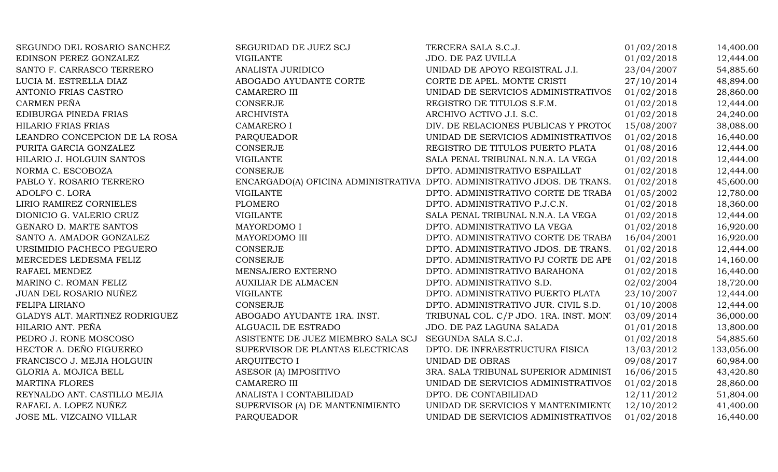| SEGUNDO DEL ROSARIO SANCHEZ    | SEGURIDAD DE JUEZ SCJ              | TERCERA SALA S.C.J.                                                      | 01/02/2018 | 14,400.00  |
|--------------------------------|------------------------------------|--------------------------------------------------------------------------|------------|------------|
| EDINSON PEREZ GONZALEZ         | <b>VIGILANTE</b>                   | JDO. DE PAZ UVILLA                                                       | 01/02/2018 | 12,444.00  |
| SANTO F. CARRASCO TERRERO      | ANALISTA JURIDICO                  | UNIDAD DE APOYO REGISTRAL J.I.                                           | 23/04/2007 | 54,885.60  |
| LUCIA M. ESTRELLA DIAZ         | ABOGADO AYUDANTE CORTE             | CORTE DE APEL. MONTE CRISTI                                              | 27/10/2014 | 48,894.00  |
| ANTONIO FRIAS CASTRO           | <b>CAMARERO III</b>                | UNIDAD DE SERVICIOS ADMINISTRATIVOS                                      | 01/02/2018 | 28,860.00  |
| CARMEN PEÑA                    | <b>CONSERJE</b>                    | REGISTRO DE TITULOS S.F.M.                                               | 01/02/2018 | 12,444.00  |
| EDIBURGA PINEDA FRIAS          | <b>ARCHIVISTA</b>                  | ARCHIVO ACTIVO J.I. S.C.                                                 | 01/02/2018 | 24,240.00  |
| HILARIO FRIAS FRIAS            | CAMARERO I                         | DIV. DE RELACIONES PUBLICAS Y PROTOC                                     | 15/08/2007 | 38,088.00  |
| LEANDRO CONCEPCION DE LA ROSA  | PARQUEADOR                         | UNIDAD DE SERVICIOS ADMINISTRATIVOS                                      | 01/02/2018 | 16,440.00  |
| PURITA GARCIA GONZALEZ         | <b>CONSERJE</b>                    | REGISTRO DE TITULOS PUERTO PLATA                                         | 01/08/2016 | 12,444.00  |
| HILARIO J. HOLGUIN SANTOS      | <b>VIGILANTE</b>                   | SALA PENAL TRIBUNAL N.N.A. LA VEGA                                       | 01/02/2018 | 12,444.00  |
| NORMA C. ESCOBOZA              | <b>CONSERJE</b>                    | DPTO. ADMINISTRATIVO ESPAILLAT                                           | 01/02/2018 | 12,444.00  |
| PABLO Y. ROSARIO TERRERO       |                                    | ENCARGADO(A) OFICINA ADMINISTRATIVA DPTO. ADMINISTRATIVO JDOS. DE TRANS. | 01/02/2018 | 45,600.00  |
| ADOLFO C. LORA                 | <b>VIGILANTE</b>                   | DPTO. ADMINISTRATIVO CORTE DE TRABA                                      | 01/05/2002 | 12,780.00  |
| LIRIO RAMIREZ CORNIELES        | PLOMERO                            | DPTO. ADMINISTRATIVO P.J.C.N.                                            | 01/02/2018 | 18,360.00  |
| DIONICIO G. VALERIO CRUZ       | <b>VIGILANTE</b>                   | SALA PENAL TRIBUNAL N.N.A. LA VEGA                                       | 01/02/2018 | 12,444.00  |
| GENARO D. MARTE SANTOS         | MAYORDOMO I                        | DPTO. ADMINISTRATIVO LA VEGA                                             | 01/02/2018 | 16,920.00  |
| SANTO A. AMADOR GONZALEZ       | MAYORDOMO III                      | DPTO. ADMINISTRATIVO CORTE DE TRABA                                      | 16/04/2001 | 16,920.00  |
| URSIMIDIO PACHECO PEGUERO      | <b>CONSERJE</b>                    | DPTO. ADMINISTRATIVO JDOS. DE TRANS.                                     | 01/02/2018 | 12,444.00  |
| MERCEDES LEDESMA FELIZ         | <b>CONSERJE</b>                    | DPTO. ADMINISTRATIVO PJ CORTE DE APF                                     | 01/02/2018 | 14,160.00  |
| RAFAEL MENDEZ                  | MENSAJERO EXTERNO                  | DPTO. ADMINISTRATIVO BARAHONA                                            | 01/02/2018 | 16,440.00  |
| MARINO C. ROMAN FELIZ          | <b>AUXILIAR DE ALMACEN</b>         | DPTO. ADMINISTRATIVO S.D.                                                | 02/02/2004 | 18,720.00  |
| JUAN DEL ROSARIO NUÑEZ         | <b>VIGILANTE</b>                   | DPTO. ADMINISTRATIVO PUERTO PLATA                                        | 23/10/2007 | 12,444.00  |
| FELIPA LIRIANO                 | <b>CONSERJE</b>                    | DPTO. ADMINISTRATIVO JUR. CIVIL S.D.                                     | 01/10/2008 | 12,444.00  |
| GLADYS ALT. MARTINEZ RODRIGUEZ | ABOGADO AYUDANTE 1RA. INST.        | TRIBUNAL COL. C/P JDO. 1RA. INST. MON.                                   | 03/09/2014 | 36,000.00  |
| HILARIO ANT. PEÑA              | ALGUACIL DE ESTRADO                | JDO. DE PAZ LAGUNA SALADA                                                | 01/01/2018 | 13,800.00  |
| PEDRO J. RONE MOSCOSO          | ASISTENTE DE JUEZ MIEMBRO SALA SCJ | SEGUNDA SALA S.C.J.                                                      | 01/02/2018 | 54,885.60  |
| HECTOR A. DEÑO FIGUEREO        | SUPERVISOR DE PLANTAS ELECTRICAS   | DPTO. DE INFRAESTRUCTURA FISICA                                          | 13/03/2012 | 133,056.00 |
| FRANCISCO J. MEJIA HOLGUIN     | <b>ARQUITECTO I</b>                | UNIDAD DE OBRAS                                                          | 09/08/2017 | 60,984.00  |
| GLORIA A. MOJICA BELL          | ASESOR (A) IMPOSITIVO              | 3RA. SALA TRIBUNAL SUPERIOR ADMINIST                                     | 16/06/2015 | 43,420.80  |
| <b>MARTINA FLORES</b>          | <b>CAMARERO III</b>                | UNIDAD DE SERVICIOS ADMINISTRATIVOS                                      | 01/02/2018 | 28,860.00  |
| REYNALDO ANT. CASTILLO MEJIA   | ANALISTA I CONTABILIDAD            | DPTO. DE CONTABILIDAD                                                    | 12/11/2012 | 51,804.00  |
| RAFAEL A. LOPEZ NUÑEZ          | SUPERVISOR (A) DE MANTENIMIENTO    | UNIDAD DE SERVICIOS Y MANTENIMIENTO                                      | 12/10/2012 | 41,400.00  |
| JOSE ML. VIZCAINO VILLAR       | <b>PARQUEADOR</b>                  | UNIDAD DE SERVICIOS ADMINISTRATIVOS                                      | 01/02/2018 | 16,440.00  |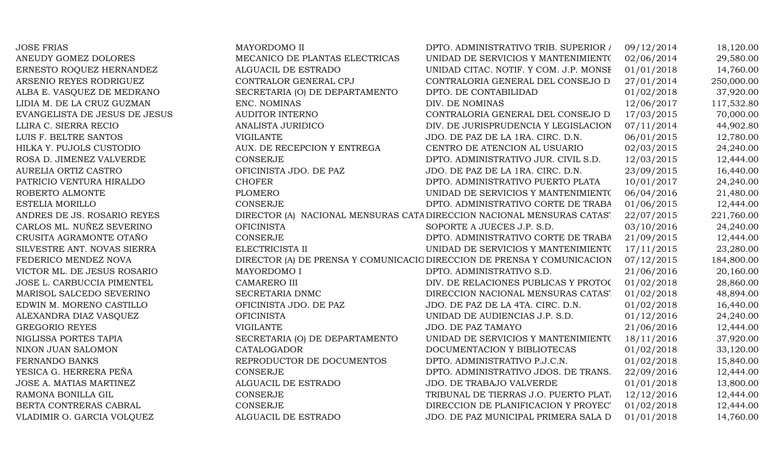| <b>JOSE FRIAS</b>             | MAYORDOMO II                   | DPTO. ADMINISTRATIVO TRIB. SUPERIOR /                                   | 09/12/2014 | 18,120.00  |
|-------------------------------|--------------------------------|-------------------------------------------------------------------------|------------|------------|
| ANEUDY GOMEZ DOLORES          | MECANICO DE PLANTAS ELECTRICAS | UNIDAD DE SERVICIOS Y MANTENIMIENTO                                     | 02/06/2014 | 29,580.00  |
| ERNESTO ROQUEZ HERNANDEZ      | ALGUACIL DE ESTRADO            | UNIDAD CITAC. NOTIF. Y COM. J.P. MONSE                                  | 01/01/2018 | 14,760.00  |
| ARSENIO REYES RODRIGUEZ       | CONTRALOR GENERAL CPJ          | CONTRALORIA GENERAL DEL CONSEJO D                                       | 27/01/2014 | 250,000.00 |
| ALBA E. VASQUEZ DE MEDRANO    | SECRETARIA (O) DE DEPARTAMENTO | DPTO. DE CONTABILIDAD                                                   | 01/02/2018 | 37,920.00  |
| LIDIA M. DE LA CRUZ GUZMAN    | ENC. NOMINAS                   | DIV. DE NOMINAS                                                         | 12/06/2017 | 117,532.80 |
| EVANGELISTA DE JESUS DE JESUS | <b>AUDITOR INTERNO</b>         | CONTRALORIA GENERAL DEL CONSEJO D                                       | 17/03/2015 | 70,000.00  |
| LLIRA C. SIERRA RECIO         | ANALISTA JURIDICO              | DIV. DE JURISPRUDENCIA Y LEGISLACION                                    | 07/11/2014 | 44,902.80  |
| LUIS F. BELTRE SANTOS         | <b>VIGILANTE</b>               | JDO. DE PAZ DE LA 1RA. CIRC. D.N.                                       | 06/01/2015 | 12,780.00  |
| HILKA Y. PUJOLS CUSTODIO      | AUX. DE RECEPCION Y ENTREGA    | CENTRO DE ATENCION AL USUARIO                                           | 02/03/2015 | 24,240.00  |
| ROSA D. JIMENEZ VALVERDE      | <b>CONSERJE</b>                | DPTO. ADMINISTRATIVO JUR. CIVIL S.D.                                    | 12/03/2015 | 12,444.00  |
| AURELIA ORTIZ CASTRO          | OFICINISTA JDO. DE PAZ         | JDO. DE PAZ DE LA 1RA. CIRC. D.N.                                       | 23/09/2015 | 16,440.00  |
| PATRICIO VENTURA HIRALDO      | <b>CHOFER</b>                  | DPTO. ADMINISTRATIVO PUERTO PLATA                                       | 10/01/2017 | 24,240.00  |
| ROBERTO ALMONTE               | <b>PLOMERO</b>                 | UNIDAD DE SERVICIOS Y MANTENIMIENTO                                     | 06/04/2016 | 21,480.00  |
| ESTELIA MORILLO               | <b>CONSERJE</b>                | DPTO. ADMINISTRATIVO CORTE DE TRABA                                     | 01/06/2015 | 12,444.00  |
| ANDRES DE JS. ROSARIO REYES   |                                | DIRECTOR (A) NACIONAL MENSURAS CATA DIRECCION NACIONAL MENSURAS CATAS.  | 22/07/2015 | 221,760.00 |
| CARLOS ML. NUÑEZ SEVERINO     | <b>OFICINISTA</b>              | SOPORTE A JUECES J.P. S.D.                                              | 03/10/2016 | 24,240.00  |
| CRUSITA AGRAMONTE OTAÑO       | CONSERJE                       | DPTO. ADMINISTRATIVO CORTE DE TRABA                                     | 21/09/2015 | 12,444.00  |
| SILVESTRE ANT. NOVAS SIERRA   | ELECTRICISTA II                | UNIDAD DE SERVICIOS Y MANTENIMIENTO                                     | 17/11/2015 | 23,280.00  |
| FEDERICO MENDEZ NOVA          |                                | DIRECTOR (A) DE PRENSA Y COMUNICACIO DIRECCION DE PRENSA Y COMUNICACION | 07/12/2015 | 184,800.00 |
| VICTOR ML. DE JESUS ROSARIO   | MAYORDOMO I                    | DPTO. ADMINISTRATIVO S.D.                                               | 21/06/2016 | 20,160.00  |
| JOSE L. CARBUCCIA PIMENTEL    | <b>CAMARERO III</b>            | DIV. DE RELACIONES PUBLICAS Y PROTOC                                    | 01/02/2018 | 28,860.00  |
| MARISOL SALCEDO SEVERINO      | SECRETARIA DNMC                | DIRECCION NACIONAL MENSURAS CATAST                                      | 01/02/2018 | 48,894.00  |
| EDWIN M. MORENO CASTILLO      | OFICINISTA JDO. DE PAZ         | JDO. DE PAZ DE LA 4TA. CIRC. D.N.                                       | 01/02/2018 | 16,440.00  |
| ALEXANDRA DIAZ VASQUEZ        | <b>OFICINISTA</b>              | UNIDAD DE AUDIENCIAS J.P. S.D.                                          | 01/12/2016 | 24,240.00  |
| <b>GREGORIO REYES</b>         | <b>VIGILANTE</b>               | JDO. DE PAZ TAMAYO                                                      | 21/06/2016 | 12,444.00  |
| NIGLISSA PORTES TAPIA         | SECRETARIA (O) DE DEPARTAMENTO | UNIDAD DE SERVICIOS Y MANTENIMIENTO                                     | 18/11/2016 | 37,920.00  |
| NIXON JUAN SALOMON            | CATALOGADOR                    | DOCUMENTACION Y BIBLIOTECAS                                             | 01/02/2018 | 33,120.00  |
| FERNANDO BANKS                | REPRODUCTOR DE DOCUMENTOS      | DPTO. ADMINISTRATIVO P.J.C.N.                                           | 01/02/2018 | 15,840.00  |
| YESICA G. HERRERA PEÑA        | <b>CONSERJE</b>                | DPTO. ADMINISTRATIVO JDOS. DE TRANS.                                    | 22/09/2016 | 12,444.00  |
| JOSE A. MATIAS MARTINEZ       | ALGUACIL DE ESTRADO            | JDO. DE TRABAJO VALVERDE                                                | 01/01/2018 | 13,800.00  |
| RAMONA BONILLA GIL            | <b>CONSERJE</b>                | TRIBUNAL DE TIERRAS J.O. PUERTO PLAT.                                   | 12/12/2016 | 12,444.00  |
| BERTA CONTRERAS CABRAL        | <b>CONSERJE</b>                | DIRECCION DE PLANIFICACION Y PROYEC'                                    | 01/02/2018 | 12,444.00  |
| VLADIMIR O. GARCIA VOLQUEZ    | ALGUACIL DE ESTRADO            | JDO. DE PAZ MUNICIPAL PRIMERA SALA D                                    | 01/01/2018 | 14,760.00  |